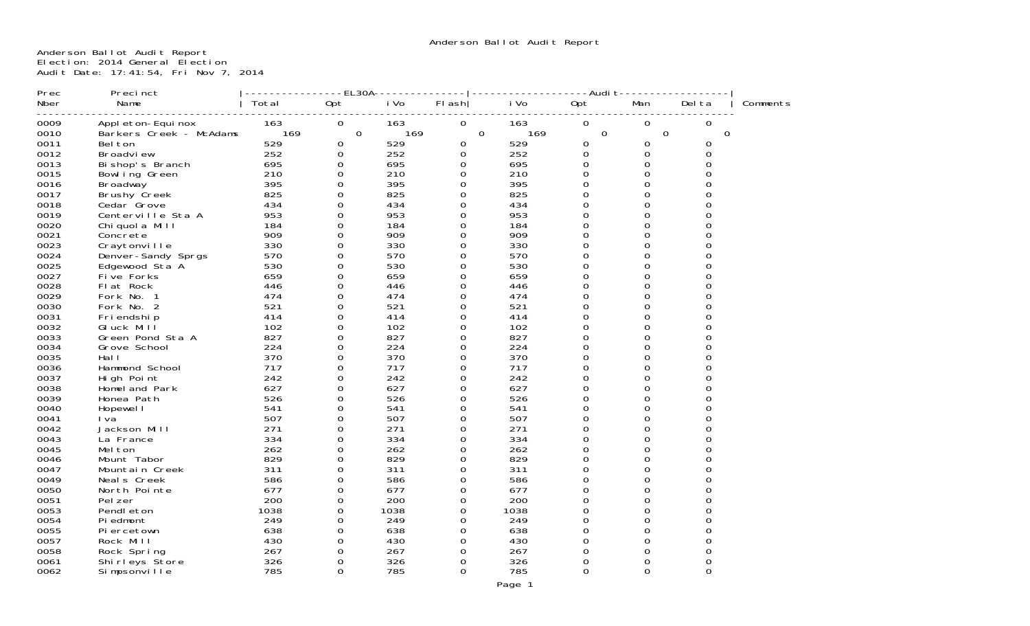Anderson Ballot Audit Report Election: 2014 General Election Audit Date: 17:41:54, Fri Nov 7, 2014

| Prec | Precinct                |       | ----EL30A-  |      |          |          | -------------Audi t-------- |             |        |          |
|------|-------------------------|-------|-------------|------|----------|----------|-----------------------------|-------------|--------|----------|
| Nber | Name                    | Total | Opt         | i Vo | $FI$ ash | i Vo     | 0pt                         | Man         | Del ta | Comments |
|      |                         |       |             |      |          |          |                             |             |        |          |
| 0009 | Appl eton-Equinox       | 163   | 0           | 163  | 0        | 163      | 0                           | 0           | 0      |          |
| 0010 | Barkers Creek - McAdams | 169   | 0           | 169  |          | 169<br>0 | $\mathbf 0$                 | $\mathbf 0$ | 0      |          |
| 0011 | Bel ton                 | 529   | 0           | 529  | 0        | 529      | 0                           | 0           | 0      |          |
| 0012 | Broadview               | 252   | 0           | 252  | 0        | 252      | 0                           | 0           | 0      |          |
| 0013 | Bi shop's Branch        | 695   | 0           | 695  | 0        | 695      | $\Omega$                    | $\Omega$    | 0      |          |
| 0015 | Bowl ing Green          | 210   | 0           | 210  | 0        | 210      | 0                           | 0           | 0      |          |
| 0016 | <b>Broadway</b>         | 395   | 0           | 395  | $\Omega$ | 395      | $\Omega$                    | 0           | ი      |          |
| 0017 | Brushy Creek            | 825   | 0           | 825  | 0        | 825      | 0                           | 0           | 0      |          |
| 0018 | Cedar Grove             | 434   | $\Omega$    | 434  | $\Omega$ | 434      | $\Omega$                    | 0           |        |          |
| 0019 | Centerville Sta A       | 953   | $\Omega$    | 953  | $\Omega$ | 953      | $\Omega$                    | 0           | U      |          |
| 0020 | Chi quol a Mill         | 184   | 0           | 184  | 0        | 184      | 0                           | 0           |        |          |
| 0021 | Concrete                | 909   | $\Omega$    | 909  | $\Omega$ | 909      | $\Omega$                    | 0           |        |          |
| 0023 | Craytonville            | 330   | 0           | 330  | 0        | 330      | 0                           | 0           | 0      |          |
| 0024 | Denver-Sandy Sprgs      | 570   | $\Omega$    | 570  | 0        | 570      | $\Omega$                    | 0           | ი      |          |
| 0025 | Edgewood Sta A          | 530   | 0           | 530  | $\Omega$ | 530      | 0                           | 0           | 0      |          |
| 0027 | Five Forks              | 659   | $\Omega$    | 659  | $\Omega$ | 659      | $\Omega$                    | 0           | ი      |          |
| 0028 | Flat Rock               | 446   | 0           | 446  | 0        | 446      | 0                           | 0           | 0      |          |
| 0029 | Fork No. 1              | 474   | $\Omega$    | 474  | $\Omega$ | 474      | $\Omega$                    | 0           |        |          |
| 0030 | Fork No. 2              | 521   | $\Omega$    | 521  | $\Omega$ | 521      | $\Omega$                    | $\Omega$    |        |          |
| 0031 | Fri endshi p            | 414   | 0           | 414  | $\Omega$ | 414      | 0                           | 0           | O      |          |
| 0032 | GI uck Mill             | 102   | 0           | 102  | $\Omega$ | 102      | $\Omega$                    | $\Omega$    |        |          |
| 0033 | Green Pond Sta A        | 827   | 0           | 827  | $\Omega$ | 827      | 0                           | 0           | O      |          |
| 0034 | Grove School            | 224   | $\Omega$    | 224  | $\Omega$ | 224      | $\Omega$                    | 0           | 0      |          |
| 0035 | Hal I                   | 370   | $\mathbf 0$ | 370  | 0        | 370      | 0                           | 0           | 0      |          |
| 0036 | Hammond School          | 717   | $\Omega$    | 717  | $\Omega$ | 717      | $\Omega$                    | $\Omega$    | ი      |          |
| 0037 | High Point              | 242   | 0           | 242  | $\Omega$ | 242      | O                           | 0           | 0      |          |
| 0038 | Homel and Park          | 627   | 0           | 627  | $\Omega$ | 627      | $\Omega$                    | 0           |        |          |
| 0039 | Honea Path              | 526   | $\Omega$    | 526  | $\Omega$ | 526      | $\Omega$                    | $\Omega$    |        |          |
| 0040 | Hopewel I               | 541   | 0           | 541  | 0        | 541      | O                           | 0           |        |          |
| 0041 | I va                    | 507   | 0           | 507  | $\Omega$ | 507      | $\Omega$                    | 0           |        |          |
| 0042 | Jackson Mill            | 271   | 0           | 271  | $\Omega$ | 271      | 0                           | 0           | Ω      |          |
| 0043 | La France               | 334   | $\Omega$    | 334  | $\Omega$ | 334      | $\Omega$                    | 0           | ი      |          |
| 0045 | Mel ton                 | 262   | 0           | 262  | 0        | 262      | 0                           | 0           | 0      |          |
| 0046 | Mount Tabor             | 829   | $\Omega$    | 829  | $\Omega$ | 829      | $\Omega$                    | 0           | ი      |          |
| 0047 | Mountain Creek          | 311   | 0           | 311  | $\Omega$ | 311      | O                           | 0           | 0      |          |
| 0049 | Neal s Creek            | 586   | $\Omega$    | 586  | $\Omega$ | 586      | $\Omega$                    | 0           |        |          |
| 0050 | North Pointe            | 677   | $\Omega$    | 677  | $\Omega$ | 677      | $\Omega$                    | $\Omega$    | ი      |          |
| 0051 | Pel zer                 | 200   | 0           | 200  | $\Omega$ | 200      | $\Omega$                    | 0           |        |          |
| 0053 | Pendl eton              | 1038  | 0           | 1038 | 0        | 1038     | 0                           | 0           |        |          |
| 0054 | Piedmont                | 249   | 0           | 249  | $\Omega$ | 249      | 0                           | 0           |        |          |
| 0055 | Piercetown              | 638   | $\Omega$    | 638  | $\Omega$ | 638      | $\Omega$                    | 0           | 0      |          |
| 0057 | Rock Mill               | 430   | 0           | 430  | 0        | 430      | 0                           | 0           | 0      |          |
| 0058 | Rock Spring             | 267   | $\Omega$    | 267  | $\Omega$ | 267      | $\Omega$                    | 0           | 0      |          |
| 0061 | Shirleys Store          | 326   | $\Omega$    | 326  | 0        | 326      | O                           | 0           | 0      |          |
| 0062 | Simpsonville            | 785   | $\Omega$    | 785  | $\Omega$ | 785      | 0                           | 0           | 0      |          |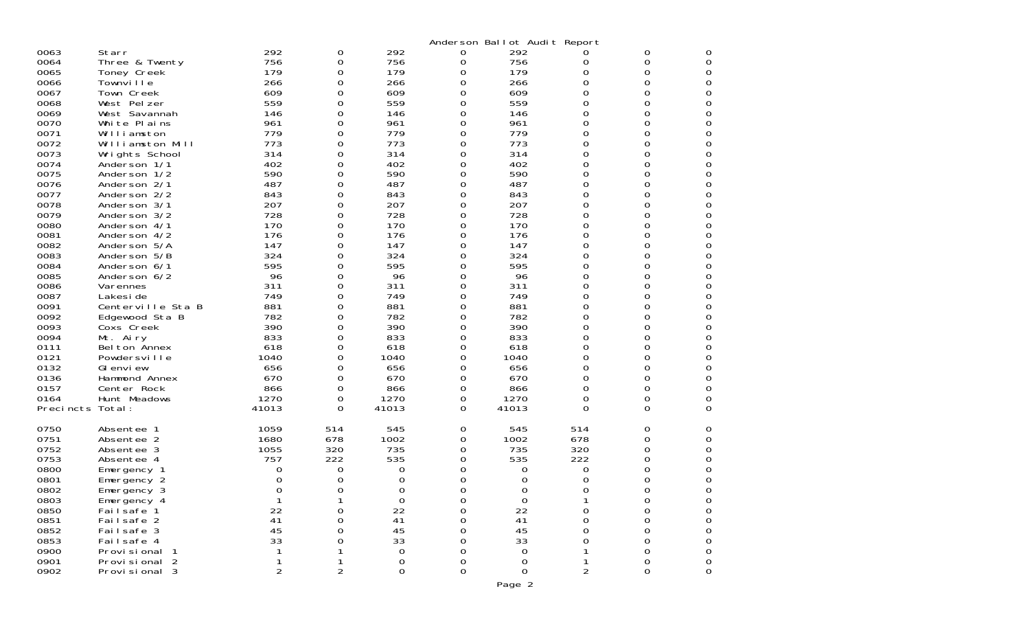|                  |                               |                |                  |                   |        | Anderson Ballot Audit Report |               |          |                     |
|------------------|-------------------------------|----------------|------------------|-------------------|--------|------------------------------|---------------|----------|---------------------|
| 0063             | Starr                         | 292            | $\boldsymbol{0}$ | 292               | 0      | 292                          | O             | 0        | 0                   |
| 0064             | Three & Twenty                | 756            | 0                | 756               | 0      | 756                          | 0             | 0        | 0                   |
| 0065             | Toney Creek                   | 179            | 0                | 179               | 0      | 179                          | 0             | 0        | 0                   |
| 0066             | Townville                     | 266            | 0                | 266               | 0      | 266                          | 0             | 0        | 0                   |
| 0067             | Town Creek                    | 609            | 0                | 609               | 0      | 609                          | 0             | 0        | 0                   |
| 0068             | West Pelzer                   | 559            | 0                | 559               | 0      | 559                          | 0             | 0        | 0                   |
| 0069<br>0070     | West Savannah<br>White Plains | 146<br>961     | 0<br>0           | 146<br>961        | 0<br>0 | 146<br>961                   | 0<br>0        | 0<br>0   | 0<br>0              |
| 0071             | Williamston                   | 779            | 0                | 779               | 0      | 779                          | 0             | 0        | $\mathbf 0$         |
| 0072             | Williamston Mill              | 773            | 0                | 773               | 0      | 773                          | 0             | 0        | 0                   |
| 0073             | Wrights School                | 314            | 0                | 314               | 0      | 314                          | 0             | 0        | 0                   |
| 0074             | Anderson 1/1                  | 402            | 0                | 402               | 0      | 402                          | 0             | 0        | $\mathbf 0$         |
| 0075             | Anderson 1/2                  | 590            | 0                | 590               | 0      | 590                          | 0             | 0        | 0                   |
| 0076             | Anderson 2/1                  | 487            | 0                | 487               | 0      | 487                          | 0             | 0        | 0                   |
| 0077             | Anderson 2/2                  | 843            | 0                | 843               | 0      | 843                          | 0             | 0        | $\Omega$            |
| 0078             | Anderson 3/1                  | 207            | 0                | 207               | 0      | 207                          | 0             | 0        | 0                   |
| 0079             | Anderson 3/2                  | 728            | 0                | 728               | 0      | 728                          | 0             | 0        | 0                   |
| 0080             | Anderson 4/1                  | 170            | 0                | 170               | 0      | 170                          | $\Omega$      | 0        | $\Omega$            |
| 0081             | Anderson 4/2                  | 176            | 0                | 176               | 0      | 176                          | 0             | 0        | 0                   |
| 0082<br>0083     | Anderson 5/A<br>Anderson 5/B  | 147<br>324     | 0<br>0           | 147<br>324        | 0<br>0 | 147<br>324                   | 0<br>$\Omega$ | 0<br>0   | 0<br>$\Omega$       |
| 0084             | Anderson 6/1                  | 595            | 0                | 595               | 0      | 595                          | 0             | 0        | 0                   |
| 0085             | Anderson 6/2                  | 96             | 0                | 96                | 0      | 96                           | 0             | 0        | 0                   |
| 0086             | Varennes                      | 311            | 0                | 311               | 0      | 311                          | 0             | 0        | 0                   |
| 0087             | Lakesi de                     | 749            | 0                | 749               | 0      | 749                          | 0             | 0        | 0                   |
| 0091             | Centerville Sta B             | 881            | 0                | 881               | 0      | 881                          | 0             | 0        | 0                   |
| 0092             | Edgewood Sta B                | 782            | 0                | 782               | 0      | 782                          | 0             | 0        | 0                   |
| 0093             | Coxs Creek                    | 390            | 0                | 390               | 0      | 390                          | 0             | 0        | 0                   |
| 0094             | Mt. Airy                      | 833            | 0                | 833               | 0      | 833                          | 0             | 0        | 0                   |
| 0111             | Belton Annex                  | 618            | 0                | 618               | 0      | 618                          | 0             | 0        | 0                   |
| 0121             | Powdersville                  | 1040           | 0                | 1040              | 0      | 1040                         | 0             | 0        | 0                   |
| 0132<br>0136     | GI envi ew                    | 656<br>670     | 0<br>0           | 656<br>670        | 0<br>0 | 656<br>670                   | 0<br>0        | 0<br>0   | 0<br>$\mathbf 0$    |
| 0157             | Hammond Annex<br>Center Rock  | 866            | $\boldsymbol{0}$ | 866               | 0      | 866                          | 0             | 0        | 0                   |
| 0164             | Hunt Meadows                  | 1270           | 0                | 1270              | 0      | 1270                         | 0             | 0        | 0                   |
| Precincts Total: |                               | 41013          | 0                | 41013             | 0      | 41013                        | $\Omega$      | $\Omega$ | $\Omega$            |
|                  |                               |                |                  |                   |        |                              |               |          |                     |
| 0750             | Absentee 1                    | 1059           | 514              | 545               | 0      | 545                          | 514           | 0        | 0                   |
| 0751             | Absentee 2                    | 1680           | 678              | 1002              | 0      | 1002                         | 678           | 0        | 0                   |
| 0752             | Absentee 3                    | 1055           | 320              | 735               | 0      | 735                          | 320           | 0        | 0                   |
| 0753             | Absentee 4                    | 757            | 222              | 535               | 0      | 535                          | 222           | 0        | 0                   |
| 0800             | Emergency 1                   | 0              | 0                | 0                 | 0      | 0                            | 0             | 0        | 0                   |
| 0801<br>0802     | Emergency 2                   | 0<br>∩         | 0<br>$\Omega$    | 0<br><sup>0</sup> | 0<br>U | 0<br>∩                       | $\Omega$<br>O | 0<br>U   | 0<br>U              |
| 0803             | $E$ mergency $3$              |                |                  | $\mbox{O}$        | 0      | $\mathbf 0$                  |               | 0        | 0                   |
| 0850             | Emergency 4<br>Failsafe 1     | 22             | 0                | 22                | 0      | 22                           | $\Omega$      | 0        |                     |
| 0851             | Failsafe 2                    | 41             | 0                | 41                | 0      | 41                           | $\Omega$      | 0        | $_{\rm 0}^{\rm 0}$  |
| 0852             | Failsafe 3                    | 45             | 0                | 45                | 0      | 45                           | 0             | 0        | 0                   |
| 0853             | Failsafe 4                    | 33             | 0                | 33                | 0      | 33                           | O             | 0        | 0                   |
| 0900             | Provi si onal                 |                |                  | 0                 | 0      | 0                            |               | 0        | $\mathsf{O}\xspace$ |
| 0901             | Provisional <sub>2</sub>      |                |                  | 0                 | 0      | 0                            |               | 0        | 0                   |
| 0902             | Provisional 3                 | $\overline{c}$ | $\overline{2}$   | 0                 | 0      | 0                            | 2             | 0        | 0                   |
|                  |                               |                |                  |                   |        | Page 2                       |               |          |                     |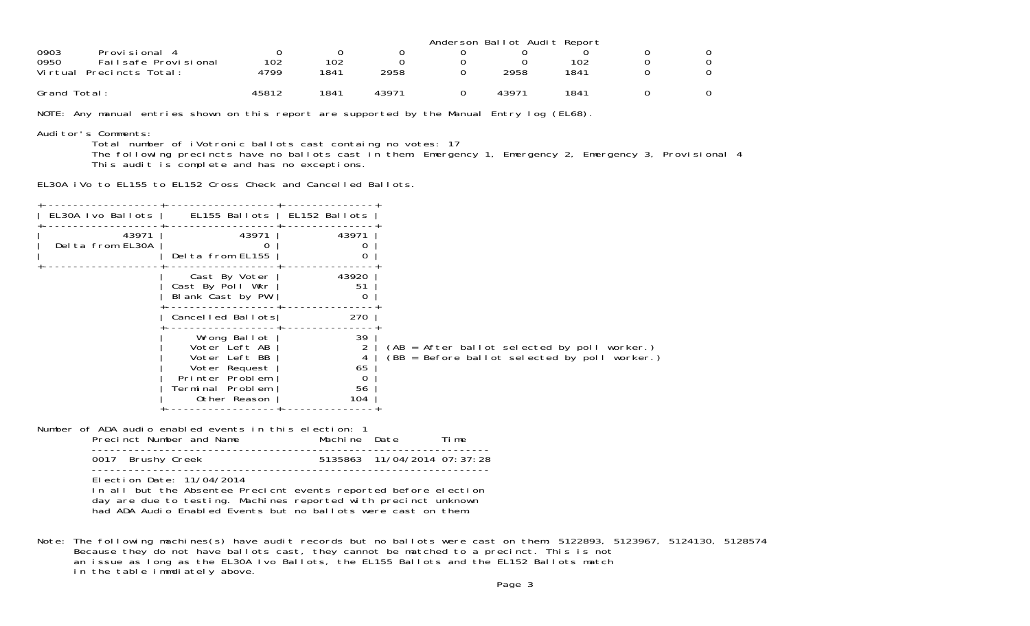|                              |       |      |       | Anderson Ballot Audit Report |      |  |
|------------------------------|-------|------|-------|------------------------------|------|--|
| 0903<br>Provi si onal        |       |      |       |                              |      |  |
| 0950<br>Failsafe Provisional | 102   | 102  |       |                              | 102  |  |
| Virtual<br>Precincts Total:  | 4799  | 1841 | 2958  | 2958                         | 1841 |  |
| Grand Total:                 | 45812 | 1841 | 43971 | 43971                        | 1841 |  |

NOTE: Any manual entries shown on this report are supported by the Manual Entry log (EL68).

Auditor's Comments:

Total number of iVotronic ballots cast containg no votes: 17

The following precincts have no ballots cast in them: Emergency 1, Emergency 2, Emergency 3, Provisional 4 This audit is complete and has no exceptions.

EL30A iVo to EL155 to EL152 Cross Check and Cancelled Ballots.

| 43971<br>Delta from EL30A | 43971<br>Delta from EL155                                                                                              | 43971                      |                                                                                                 |
|---------------------------|------------------------------------------------------------------------------------------------------------------------|----------------------------|-------------------------------------------------------------------------------------------------|
|                           | Cast By Voter<br>Cast By Poll Wkr<br>Blank Cast by PW                                                                  | 43920<br>51<br>O           |                                                                                                 |
|                           |                                                                                                                        | 270                        |                                                                                                 |
|                           | Wrong Ballot<br>Voter Left AB<br>Voter Left BB<br>Voter Request<br>Printer Problem<br>Terminal Problem<br>Other Reason | 39<br>65<br>0<br>56<br>104 | (AB = After ballot selected by poll worker.)<br>$(BB = Before ballot selected by poll worker.)$ |
|                           |                                                                                                                        | EL30A Ivo Ballots          | EL155 Ballots   EL152 Ballots<br>Cancelled Ballots                                              |

Number of ADA audio enabled events in this election: 1

| Precinct Number and Name | Machine Date |                             | ime - |
|--------------------------|--------------|-----------------------------|-------|
| 0017 Brushy Creek        |              | 5135863 11/04/2014 07:37:28 |       |

-----------------------------------------------------------------

Election Date: 11/04/2014

 In all but the Absentee Precicnt events reported before election day are due to testing. Machines reported with precinct unknown had ADA Audio Enabled Events but no ballots were cast on them.

Note: The following machines(s) have audit records but no ballots were cast on them: 5122893, 5123967, 5124130, 5128574 Because they do not have ballots cast, they cannot be matched to a precinct. This is not an issue as long as the EL30A Ivo Ballots, the EL155 Ballots and the EL152 Ballots match in the table immdiately above.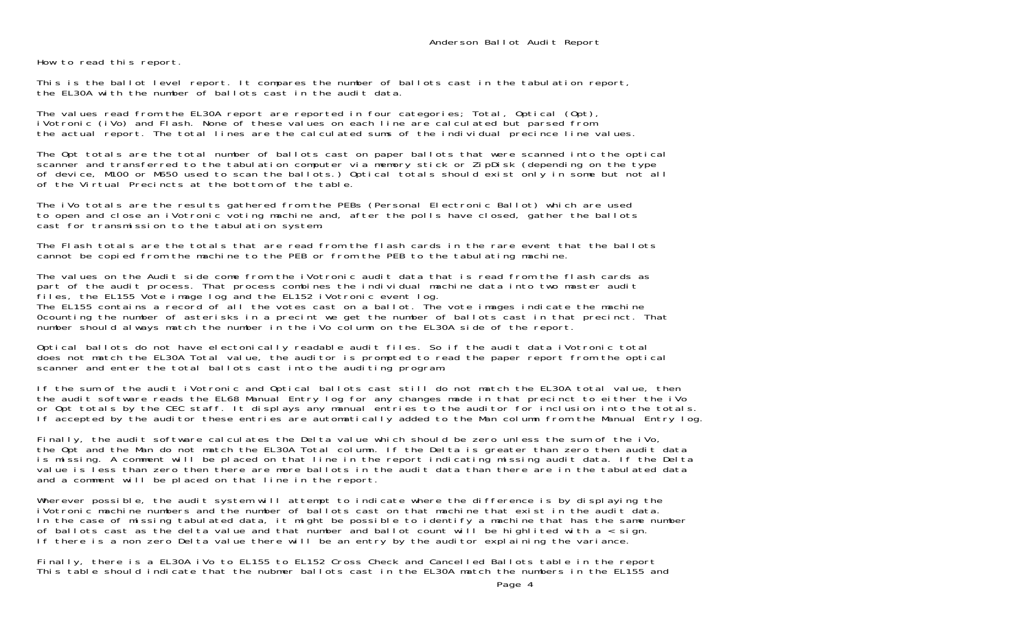How to read this report.

This is the ballot level report. It compares the number of ballots cast in the tabulation report, the EL30A with the number of ballots cast in the audit data.

The values read from the EL30A report are reported in four categories; Total, Optical (Opt), iVotronic (iVo) and Flash. None of these values on each line are calculated but parsed from the actual report. The total lines are the calculated sums of the individual precince line values.

The Opt totals are the total number of ballots cast on paper ballots that were scanned into the optical scanner and transferred to the tabulation computer via memory stick or ZipDisk (depending on the type of device, M100 or M650 used to scan the ballots.) Optical totals should exist only in some but not all of the Virtual Precincts at the bottom of the table.

The iVo totals are the results gathered from the PEBs (Personal Electronic Ballot) which are used to open and close an iVotronic voting machine and, after the polls have closed, gather the ballots cast for transmission to the tabulation system.

The Flash totals are the totals that are read from the flash cards in the rare event that the ballotscannot be copied from the machine to the PEB or from the PEB to the tabulating machine.

The values on the Audit side come from the iVotronic audit data that is read from the flash cards as part of the audit process. That process combines the individual machine data into two master audit files, the EL155 Vote image log and the EL152 iVotronic event log.

The EL155 contains a record of all the votes cast on a ballot. The vote images indicate the machine 0counting the number of asterisks in a precint we get the number of ballots cast in that precinct. That number should always match the number in the iVo column on the EL30A side of the report.

Optical ballots do not have electonically readable audit files. So if the audit data iVotronic total does not match the EL30A Total value, the auditor is prompted to read the paper report from the optical scanner and enter the total ballots cast into the auditing program.

If the sum of the audit iVotronic and Optical ballots cast still do not match the EL30A total value, then the audit software reads the EL68 Manual Entry log for any changes made in that precinct to either the iVo or Opt totals by the CEC staff. It displays any manual entries to the auditor for inclusion into the totals. If accepted by the auditor these entries are automatically added to the Man column from the Manual Entry log.

Finally, the audit software calculates the Delta value which should be zero unless the sum of the iVo, the Opt and the Man do not match the EL30A Total column. If the Delta is greater than zero then audit data is missing. A comment will be placed on that line in the report indicating missing audit data. If the Delta value is less than zero then there are more ballots in the audit data than there are in the tabulated data and a comment will be placed on that line in the report.

Wherever possible, the audit system will attempt to indicate where the difference is by displaying the iVotronic machine numbers and the number of ballots cast on that machine that exist in the audit data.In the case of missing tabulated data, it might be possible to identify a machine that has the same number of ballots cast as the delta value and that number and ballot count will be highlited with a  $\epsilon$  sign. If there is a non zero Delta value there will be an entry by the auditor explaining the variance.

Finally, there is a EL30A iVo to EL155 to EL152 Cross Check and Cancelled Ballots table in the report This table should indicate that the nubmer ballots cast in the EL30A match the numbers in the EL155 and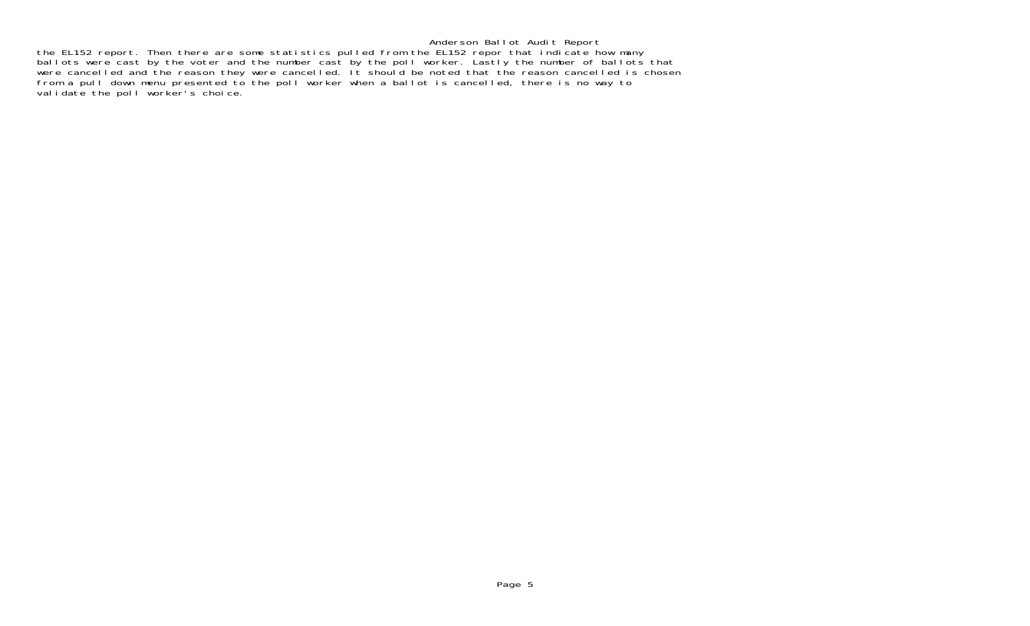Anderson Ballot Audit Report the EL152 report. Then there are some statistics pulled from the EL152 repor that indicate how many ballots were cast by the voter and the number cast by the poll worker. Lastly the number of ballots that were cancelled and the reason they were cancelled. It should be noted that the reason cancelled is chosen from a pull down menu presented to the poll worker when a ballot is cancelled, there is no way to validate the poll worker's choice.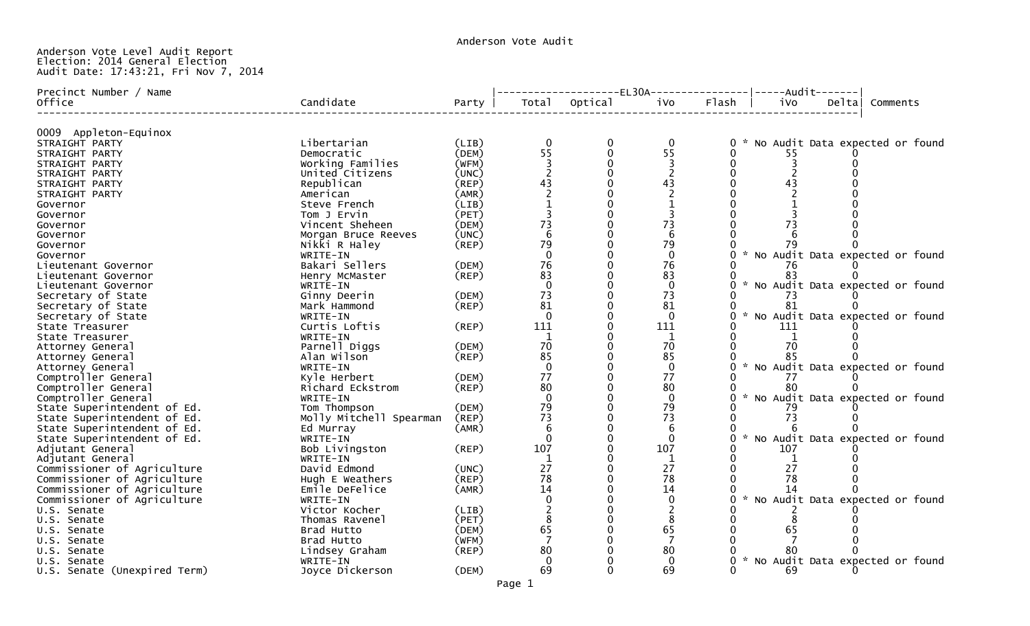Anderson Vote Audit

## Anderson Vote Level Audit Report Election: 2014 General Election Audit Date: 17:43:21, Fri Nov 7, 2014

| Precinct Number / Name       |                         |             |                |               | --------------------EL30A----------------- -----Audit------- |              |     |       |                                     |  |
|------------------------------|-------------------------|-------------|----------------|---------------|--------------------------------------------------------------|--------------|-----|-------|-------------------------------------|--|
| Office                       | Candidate               | Party       |                | Total Optical | iVo                                                          | Flash        | ivo | Delta | Comments                            |  |
|                              |                         |             |                |               |                                                              |              |     |       |                                     |  |
| 0009 Appleton-Equinox        |                         |             |                |               |                                                              |              |     |       |                                     |  |
| STRAIGHT PARTY               | Libertarian             | (LIB)       | $\mathbf{0}$   | 0             | $\mathbf{0}$                                                 | $\mathbf{0}$ |     |       | No Audit Data expected or found     |  |
| STRAIGHT PARTY               | Democratic              | (DEM)       | 55             | $\mathbf{0}$  | 55                                                           |              | 55  |       |                                     |  |
| STRAIGHT PARTY               | Working Families        | (WFM)       |                |               |                                                              |              |     |       |                                     |  |
| STRAIGHT PARTY               | United Citizens         | (UNC)       |                |               |                                                              |              |     |       |                                     |  |
| STRAIGHT PARTY               | Republican              | (REP)       | 43             |               | 43                                                           |              | 43  |       |                                     |  |
| STRAIGHT PARTY               | American                | (AMR)       |                |               |                                                              |              |     |       |                                     |  |
| Governor                     | Steve French            | (LIB)       |                |               |                                                              |              |     |       |                                     |  |
| Governor                     | Tom J Ervin             | (PET)       |                |               |                                                              |              |     |       |                                     |  |
| Governor                     | Vincent Sheheen         | (DEM)       | 73             |               | 73                                                           |              | 73  |       |                                     |  |
| Governor                     | Morgan Bruce Reeves     | (UNC)       | 6              |               | -6                                                           |              |     |       |                                     |  |
| Governor                     | Nikki R Haley           | (REP)       | 79             |               | 79                                                           |              | 79  |       |                                     |  |
| Governor                     | WRITE-IN                |             |                |               | $\Omega$                                                     |              |     |       | * No Audit Data expected or found   |  |
| Lieutenant Governor          | Bakari Sellers          | (DEM)       | 76             |               | 76                                                           |              | 76  |       |                                     |  |
| Lieutenant Governor          | Henry McMaster          | (REP)       | 83             |               | 83                                                           |              | 83  |       |                                     |  |
| Lieutenant Governor          | WRITE-IN                |             | $\Omega$       |               | $\Omega$                                                     |              |     |       | 0 * No Audit Data expected or found |  |
| Secretary of State           | Ginny Deerin            | (DEM)       | 73             |               | 73                                                           |              | 73  |       |                                     |  |
| Secretary of State           | Mark Hammond            | (REP)       | 81             |               | 81                                                           |              | 81  |       |                                     |  |
| Secretary of State           | WRITE-IN                |             | $\overline{0}$ |               | $\Omega$                                                     |              |     |       | * No Audit Data expected or found   |  |
| State Treasurer              | Curtis Loftis           | $($ REP $)$ | 111            |               | 111                                                          |              | 111 |       |                                     |  |
| State Treasurer              | WRITE-IN                |             | -1             |               | 1                                                            |              |     |       |                                     |  |
| Attorney General             | Parnell Diggs           | (DEM)       | 70             |               | 70                                                           |              | 70  |       |                                     |  |
| Attorney General             | Alan Wilson             | (REP)       | 85             |               | 85                                                           |              | 85  |       |                                     |  |
| Attorney General             | WRITE-IN                |             | $\Omega$       |               | $\mathbf{0}$                                                 |              |     |       | * No Audit Data expected or found   |  |
| Comptroller General          | Kyle Herbert            | (DEM)       | 77             |               | 77                                                           |              | 77  |       |                                     |  |
| Comptroller General          | Richard Eckstrom        | (REP)       | 80             |               | 80                                                           |              | 80  |       |                                     |  |
| Comptroller General          | WRITE-IN                |             | $\Omega$       |               | $\Omega$                                                     |              |     |       | * No Audit Data expected or found   |  |
| State Superintendent of Ed.  | Tom Thompson            | (DEM)       | 79             |               | 79                                                           |              |     |       |                                     |  |
| State Superintendent of Ed.  | Molly Mitchell Spearman | (REP)       | 73             |               | 73                                                           |              | 73  |       |                                     |  |
| State Superintendent of Ed.  | Ed Murray               | (AMR)       | 6              |               | 6                                                            |              |     |       |                                     |  |
| State Superintendent of Ed.  | WRITE-IN                |             | $\Omega$       |               | $\Omega$                                                     |              |     |       | * No Audit Data expected or found   |  |
| Adjutant General             | Bob Livingston          | $($ REP $)$ | 107            |               | 107                                                          |              | 107 |       |                                     |  |
| Adjutant General             | WRITE-IN                |             | $\mathbf{1}$   |               | $\mathbf{1}$                                                 |              |     |       |                                     |  |
| Commissioner of Agriculture  | David Edmond            | (UNC)       | 27             |               | 27                                                           |              | 27  |       |                                     |  |
| Commissioner of Agriculture  | Hugh E Weathers         | $($ REP $)$ | 78             |               | 78                                                           |              | 78  |       |                                     |  |
| Commissioner of Agriculture  | Emile DeFelice          | (AMR)       | 14             |               | 14                                                           |              |     |       |                                     |  |
| Commissioner of Agriculture  | WRITE-IN                |             |                |               | $\mathbf{0}$                                                 |              |     |       | * No Audit Data expected or found   |  |
| U.S. Senate                  | Victor Kocher           | (LIB)       |                |               |                                                              |              |     |       |                                     |  |
| U.S. Senate                  | Thomas Ravenel          | (PET)       |                |               | 8                                                            |              |     |       |                                     |  |
| U.S. Senate                  | Brad Hutto              | (DEM)       | 65             |               | 65                                                           |              | 65  |       |                                     |  |
| U.S. Senate                  | Brad Hutto              | (WFM)       |                |               | 7                                                            |              |     |       |                                     |  |
| U.S. Senate                  | Lindsey Graham          | $($ REP $)$ | 80             |               | 80                                                           |              | 80  |       |                                     |  |
| U.S. Senate                  | WRITE-IN                |             | $\Omega$       |               | $\Omega$                                                     |              |     |       | 0 * No Audit Data expected or found |  |
| U.S. Senate (Unexpired Term) | Joyce Dickerson         | (DEM)       | 69             |               | 69                                                           |              | 69  |       |                                     |  |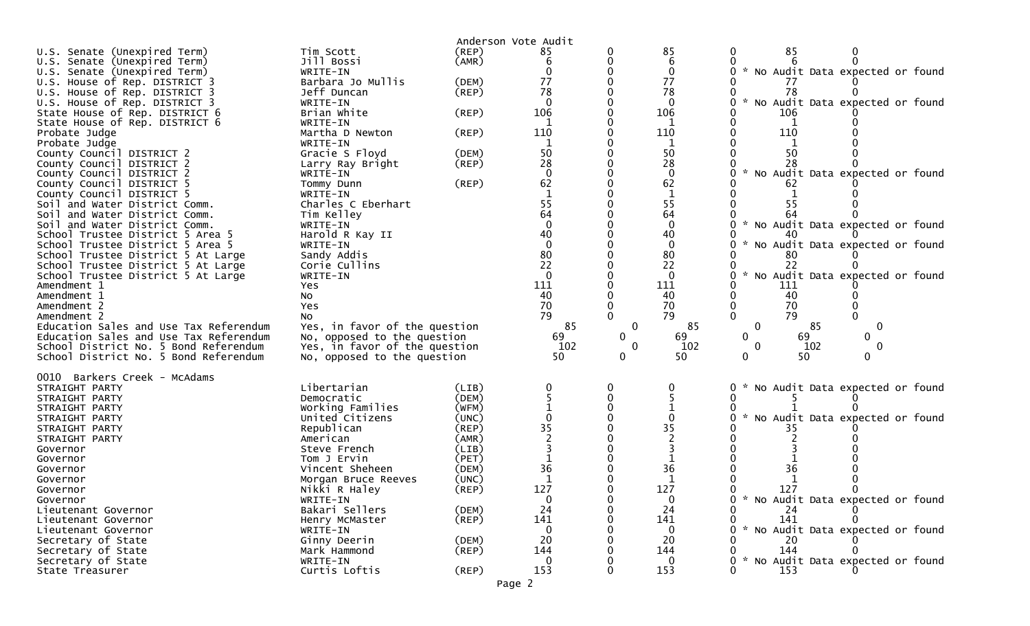|                                                                |                                  |             | Anderson Vote Audit |             |                    |                                                  |
|----------------------------------------------------------------|----------------------------------|-------------|---------------------|-------------|--------------------|--------------------------------------------------|
| U.S. Senate (Unexpired Term)                                   | Tim Scott                        | (REP)       | 85                  |             | 85                 | 85                                               |
| U.S. Senate (Unexpired Term)                                   | Jill Bossi                       | (AMR)       | 6                   |             | 6                  |                                                  |
| U.S. Senate (Unexpired Term)                                   | WRITE-IN                         |             |                     |             | $\mathbf{0}$       | * No Audit Data expected or found                |
| U.S. House of Rep. DISTRICT 3                                  | Barbara Jo Mullis                | (DEM)       | 77                  |             | 77                 |                                                  |
| U.S. House of Rep. DISTRICT 3                                  | Jeff Duncan                      | $($ REP $)$ | 78                  |             | 78                 | 78                                               |
| U.S. House of Rep. DISTRICT 3                                  | WRITE-IN                         |             | $\Omega$            |             | $\Omega$           | $\mathcal{H}$<br>No Audit Data expected or found |
| State House of Rep. DISTRICT 6                                 | Brian White                      | (REP)       | 106                 |             | 106                | 106                                              |
| State House of Rep. DISTRICT 6                                 | WRITE-IN                         |             |                     |             |                    |                                                  |
| Probate Judge                                                  | Martha D Newton                  | $($ REP $)$ | 110                 |             | 110                | 110                                              |
| Probate Judge                                                  | WRITE-IN                         |             |                     |             |                    |                                                  |
| County Council DISTRICT 2                                      | Gracie S Floyd                   | (DEM)       | 50                  |             | 50                 | 50                                               |
| County Council DISTRICT 2                                      | Larry Ray Bright                 | $($ REP $)$ | 28                  |             | 28                 | 28                                               |
| County Council DISTRICT 2                                      | WRITE-IN                         |             | $\Omega$            |             | $\mathbf{0}$       | * No Audit Data expected or found                |
| County Council DISTRICT 5                                      | Tommy Dunn                       | (REP)       | 62                  |             | 62                 | 62                                               |
| County Council DISTRICT 5                                      | WRITE-IN                         |             | 55                  |             | $\mathbf 1$        |                                                  |
| Soil and Water District Comm.<br>Soil and Water District Comm. | Charles C Eberhart<br>Tim Kelley |             | 64                  |             | 55<br>64           | 55                                               |
| Soil and Water District Comm.                                  | WRITE-IN                         |             | $\Omega$            |             | $\mathbf{0}$       | * No Audit Data expected or found                |
| School Trustee District 5 Area 5                               | Harold R Kay II                  |             | 40                  |             | 40                 |                                                  |
| School Trustee District 5 Area 5                               | WRITE-IN                         |             | $\Omega$            |             | $\mathbf{0}$       | No Audit Data expected or found                  |
| School Trustee District 5 At Large                             | Sandy Addis                      |             | 80                  |             | 80                 | 80                                               |
| School Trustee District 5 At Large                             | Corie Cullins                    |             | 22                  |             | 22                 | 22                                               |
| School Trustee District 5 At Large                             | WRITE-IN                         |             | $\Omega$            |             |                    | $\mathcal{H}$<br>No Audit Data expected or found |
| Amendment 1                                                    | Yes                              |             | 111                 |             | 111                | 111                                              |
| Amendment 1                                                    | No                               |             | 40                  |             | 40                 | 40                                               |
| Amendment 2                                                    | Yes                              |             | 70                  |             | 70                 | 70                                               |
| Amendment 2                                                    | No                               |             | 79                  |             | 79                 | 79                                               |
| Education Sales and Use Tax Referendum                         | Yes, in favor of the question    |             | 85                  | $\mathbf 0$ | 85                 | $\mathbf 0$<br>85<br>0                           |
| Education Sales and Use Tax Referendum                         | No, opposed to the question      |             | 69                  | 0           | 69                 | 69<br>$\mathbf{0}$<br>0                          |
| School District No. 5 Bond Referendum                          | Yes, in favor of the question    |             | 102                 | 0           | 102                | 102<br>$\mathbf 0$<br>0                          |
| School District No. 5 Bond Referendum                          | No, opposed to the question      |             | 50                  | 0           | 50                 | 50<br>0<br>0                                     |
| 0010 Barkers Creek - McAdams                                   |                                  |             |                     |             |                    |                                                  |
| STRAIGHT PARTY                                                 | Libertarian                      | (LIB)       |                     |             |                    | No Audit Data expected or found                  |
| STRAIGHT PARTY                                                 | Democratic                       | (DEM)       |                     |             |                    |                                                  |
| STRAIGHT PARTY                                                 | Working Families                 | (WFM)       |                     |             |                    |                                                  |
| STRAIGHT PARTY                                                 | United Citizens                  | (UNC)       |                     |             |                    | No Audit Data expected or found                  |
| STRAIGHT PARTY                                                 | Republican                       | (REP)       | 35                  |             | 35                 |                                                  |
| STRAIGHT PARTY                                                 | American                         | (AMR)       |                     |             |                    |                                                  |
| Governor                                                       | Steve French                     | (LIB)       |                     |             |                    |                                                  |
| Governor                                                       | Tom J Ervin                      | (PET)       |                     |             |                    |                                                  |
| Governor                                                       | Vincent Sheheen                  | (DEM)       | 36                  |             | 36                 | 36                                               |
| Governor                                                       | Morgan Bruce Reeves              | (UNC)       |                     |             |                    |                                                  |
| Governor                                                       | Nikki R Haley                    | (REP)       | 127                 |             | 127                | 127                                              |
| Governor                                                       | WRITE-IN                         |             | $\mathbf 0$         |             | 0                  | * No Audit Data expected or found                |
| Lieutenant Governor                                            | Bakari Sellers                   | (DEM)       | 24                  |             | 24                 | 24                                               |
| Lieutenant Governor                                            | Henry McMaster                   | (REP)       | 141                 |             | 141                | 141                                              |
| Lieutenant Governor<br>Secretary of State                      | WRITE-IN                         | (DEM)       | $\mathbf 0$<br>20   |             | $\mathbf{0}$<br>20 | * No Audit Data expected or found<br>20          |
| Secretary of State                                             |                                  |             |                     |             |                    |                                                  |
|                                                                | Ginny Deerin                     |             |                     |             |                    |                                                  |
|                                                                | Mark Hammond                     | $($ REP $)$ | 144                 |             | 144                | 144                                              |
| Secretary of State<br>State Treasurer                          | WRITE-IN<br>Curtis Loftis        | $($ REP $)$ | $\mathbf{0}$<br>153 |             | $\Omega$<br>153    | * No Audit Data expected or found<br>153         |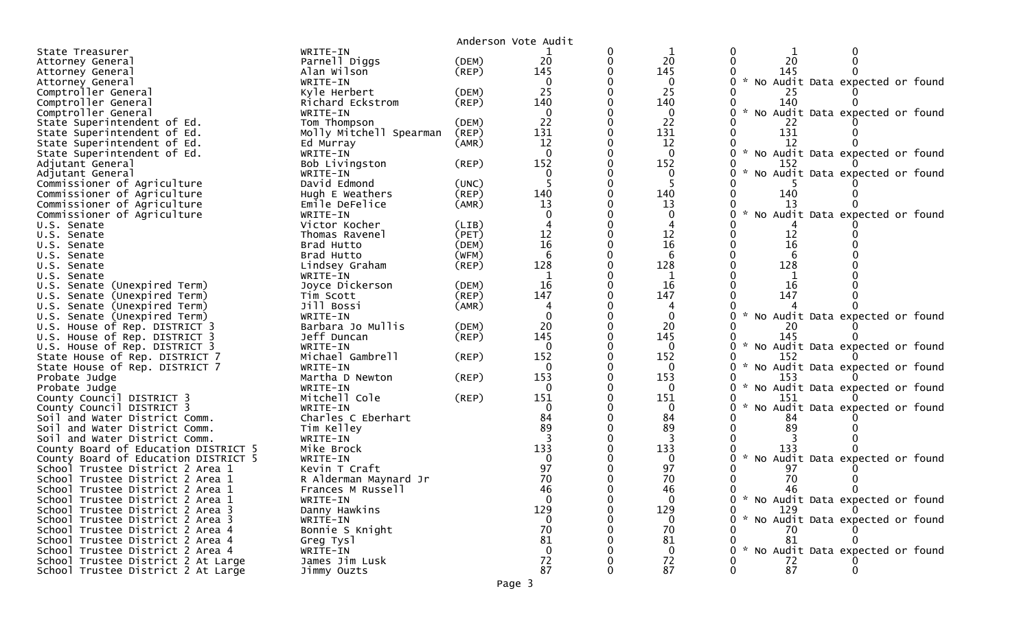|                                                                      |                              |                | Anderson Vote Audit |   |                |                                                  |  |
|----------------------------------------------------------------------|------------------------------|----------------|---------------------|---|----------------|--------------------------------------------------|--|
| State Treasurer                                                      | WRITE-IN                     |                |                     | 0 |                |                                                  |  |
| Attorney General                                                     | Parnell Diggs                | (DEM)          | 20                  | 0 | 20             | 20<br>$\mathbf{0}$                               |  |
| Attorney General                                                     | Alan Wilson                  | $($ REP $)$    | 145                 |   | 145            | 145                                              |  |
| Attorney General                                                     | WRITE-IN                     |                | $\Omega$            |   | $\Omega$       | * No Audit Data expected or found                |  |
| Comptroller General                                                  | Kyle Herbert                 | (DEM)          | 25                  |   | 25             | 25                                               |  |
| Comptroller General                                                  | Richard Eckstrom             | (REP)          | 140                 |   | 140            | 140                                              |  |
| Comptroller General                                                  | WRITE-IN                     |                | $\Omega$            |   | $\mathbf{0}$   | No Audit Data expected or found                  |  |
| State Superintendent of Ed.                                          | Tom Thompson                 | (DEM)          | 22                  |   | 22             | 22                                               |  |
| State Superintendent of Ed.                                          | Molly Mitchell Spearman      | (REP)          | 131                 |   | 131            | 131                                              |  |
| State Superintendent of Ed.                                          | Ed Murray                    | (AMR)          | 12                  |   | 12             | 12                                               |  |
| State Superintendent of Ed.                                          | WRITE-IN                     |                | $\mathbf{0}$        |   | $\mathbf 0$    | 0 * No Audit Data expected or found              |  |
| Adjutant General                                                     | Bob Livingston               | $($ REP $)$    | 152                 |   | 152            | 152                                              |  |
| Adjutant General                                                     | WRITE-IN                     |                | $\Omega$            |   | 0              | $\mathcal{H}$<br>No Audit Data expected or found |  |
| Commissioner of Agriculture                                          | David Edmond                 | (UNC)          |                     |   | 5              |                                                  |  |
| Commissioner of Agriculture                                          | Hugh E Weathers              | (REP)          | 140                 | U | 140            | 140                                              |  |
| Commissioner of Agriculture                                          | Emile DeFelice               | (AMR)          | 13                  |   | 13             | 13<br>$\sim$                                     |  |
| Commissioner of Agriculture                                          | WRITE-IN                     |                |                     |   | 0              | No Audit Data expected or found                  |  |
| U.S. Senate                                                          | Victor Kocher                | (LIB)<br>(PET) | 12                  |   | 12             |                                                  |  |
| U.S. Senate                                                          | Thomas Ravenel<br>Brad Hutto | (DEM)          | 16                  |   | 16             | 12<br>16                                         |  |
| U.S. Senate<br>U.S. Senate                                           | Brad Hutto                   | (WFM)          | 6                   |   | 6              |                                                  |  |
| U.S. Senate                                                          | Lindsey Graham               | $($ REP $)$    | 128                 |   | 128            | 128                                              |  |
| U.S. Senate                                                          | WRITE-IN                     |                |                     |   |                |                                                  |  |
| U.S. Senate (Unexpired Term)                                         | Joyce Dickerson              | (DEM)          | 16                  | U | 16             | 16                                               |  |
| U.S. Senate (Unexpired Term)                                         | Tim Scott                    | (REP)          | 147                 |   | 147            | 147                                              |  |
| U.S. Senate (Unexpired Term)                                         | Jill Bossi                   | (AMR)          |                     |   | 4              |                                                  |  |
| U.S. Senate (Unexpired Term)                                         | WRITE-IN                     |                | $\Omega$            | O | 0              | No Audit Data expected or found                  |  |
| U.S. House of Rep. DISTRICT 3                                        | Barbara Jo Mullis            | (DEM)          | 20                  |   | 20             | 20                                               |  |
| U.S. House of Rep. DISTRICT 3                                        | Jeff Duncan                  | (REP)          | 145                 |   | 145            | 145                                              |  |
| U.S. House of Rep. DISTRICT 3                                        | WRITE-IN                     |                | 0                   |   | 0              | * No Audit Data expected or found                |  |
| State House of Rep. DISTRICT 7                                       | Michael Gambrell             | (REP)          | 152                 |   | 152            | 152                                              |  |
| State House of Rep. DISTRICT 7                                       | WRITE-IN                     |                | $\Omega$            |   | $\Omega$       | $\mathcal{H}$<br>No Audit Data expected or found |  |
| Probate Judge                                                        | Martha D Newton              | (REP)          | 153                 |   | 153            | 153                                              |  |
| Probate Judge                                                        | WRITE-IN                     |                | $\Omega$            |   | 0              | No Audit Data expected or found                  |  |
| County Council DISTRICT 3                                            | Mitchell Cole                | (REP)          | 151                 |   | 151            | 151                                              |  |
| County Council DISTRICT 3                                            | WRITE-IN                     |                | $\Omega$            |   | 0              | No Audit Data expected or found                  |  |
| Soil and Water District Comm.                                        | Charles C Eberhart           |                | 84                  |   | 84             | 84                                               |  |
| Soil and Water District Comm.                                        | Tim Kelley                   |                | 89                  |   | 89             | 89                                               |  |
| Soil and Water District Comm.                                        | WRITE-IN                     |                |                     |   |                |                                                  |  |
| County Board of Education DISTRICT 5                                 | Mike Brock                   |                | 133                 |   | 133            | 133                                              |  |
| County Board of Education DISTRICT 5                                 | WRITE-IN                     |                |                     |   | $\Omega$       | $\mathcal{H}$<br>No Audit Data expected or found |  |
| School Trustee District 2 Area 1                                     | Kevin T Craft                |                | 97                  |   | 97             | 97                                               |  |
| School Trustee District 2 Area 1                                     | R Alderman Maynard Jr        |                | 70                  |   | 70             | 70                                               |  |
| School Trustee District 2 Area 1                                     | Frances M Russell            |                | 46<br>$\Omega$      |   | 46<br>$\Omega$ | - 46<br>0<br>0 * No Audit Data expected or found |  |
| School Trustee District 2 Area 1                                     | WRITE-IN<br>Danny Hawkins    |                | 129                 |   | 129            | 129<br>$\Omega$                                  |  |
| School Trustee District 2 Area 3<br>School Trustee District 2 Area 3 | WRITE-IN                     |                | $\Omega$            |   | $\bf{0}$       | * No Audit Data expected or found                |  |
| School Trustee District 2 Area 4                                     | Bonnie S Knight              |                | 70                  |   | 70             | 70                                               |  |
| School Trustee District 2 Area 4                                     | Greg Tysl                    |                | 81                  |   | 81             | 81                                               |  |
| School Trustee District 2 Area 4                                     | WRITE-IN                     |                | $\Omega$            |   | $\mathbf 0$    | * No Audit Data expected or found                |  |
| School Trustee District 2 At Large                                   | James Jim Lusk               |                | 72                  |   | 72             | 72                                               |  |
| School Trustee District 2 At Large                                   | Jimmy Ouzts                  |                | 87                  |   | 87             | 87                                               |  |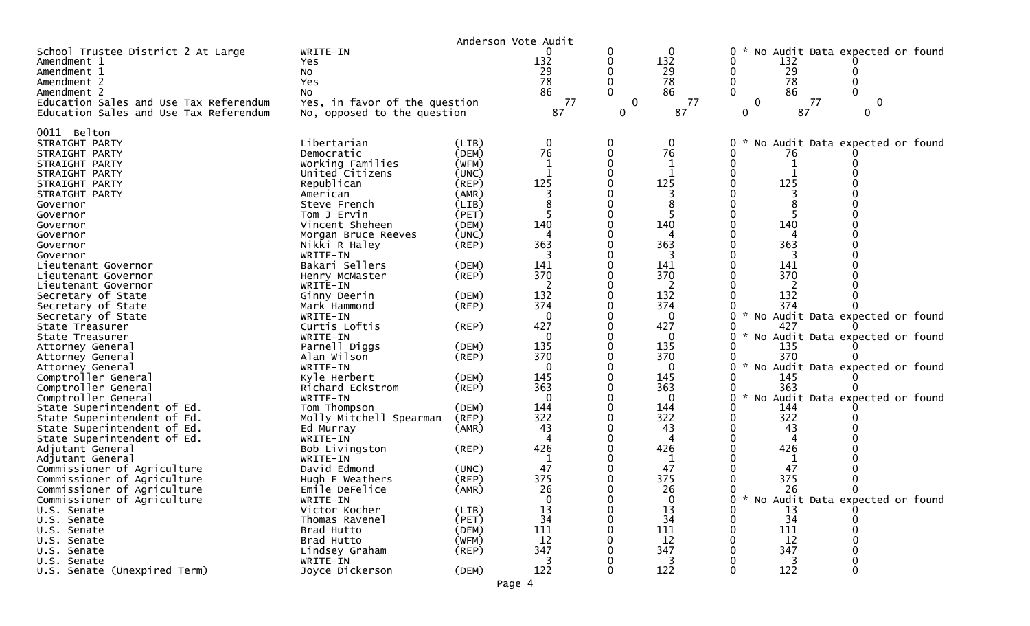|                                                            |                               | Anderson Vote Audit  |              |             |              |                                                       |   |
|------------------------------------------------------------|-------------------------------|----------------------|--------------|-------------|--------------|-------------------------------------------------------|---|
| School Trustee District 2 At Large                         | WRITE-IN                      |                      | 0            | 0           | $\mathbf{0}$ | 0<br>No Audit Data expected or found                  |   |
| Amendment 1                                                | Yes.                          |                      | 132          | 0           | 132          | 132<br>0                                              |   |
| Amendment 1                                                | NO.                           |                      | 29           | 0           | 29           | 29<br>0                                               |   |
| Amendment 2                                                | Yes                           |                      | 78           | $\Omega$    | 78           | 78<br>0<br>0                                          |   |
| Amendment 2                                                | No                            |                      | 86           |             | 86           | 86                                                    |   |
| Education Sales and Use Tax Referendum                     | Yes, in favor of the question |                      | 77           | $\mathbf 0$ | 77           | $\mathbf 0$<br>77                                     | 0 |
| Education Sales and Use Tax Referendum                     | No, opposed to the question   |                      | 87           | 0           | 87           | 87<br>0<br>0                                          |   |
| 0011 Belton                                                |                               |                      |              |             |              |                                                       |   |
| STRAIGHT PARTY                                             | Libertarian                   | (LIB)                | 0            | 0           | 0            | 0<br>No Audit Data expected or found                  |   |
| STRAIGHT PARTY                                             | Democratic                    | (DEM)                | 76           | 0           | 76           | 0<br>76                                               |   |
| STRAIGHT PARTY                                             | Working Families              | (WFM)                |              | 0           |              | 0                                                     |   |
| STRAIGHT PARTY                                             | United Citizens               | (UNC)                | $\mathbf{1}$ | 0           | 1            | 0<br>$\mathbf{1}$                                     |   |
| STRAIGHT PARTY                                             | Republican                    | (REP)                | 125          |             | 125          | 125                                                   |   |
| STRAIGHT PARTY                                             | American                      | (AMR)                |              |             |              |                                                       |   |
| Governor                                                   | Steve French                  | (LIB)                |              |             | 8            |                                                       |   |
| Governor                                                   | Tom J Ervin                   | (PET)                |              |             |              |                                                       |   |
| Governor                                                   | Vincent Sheheen               | (DEM)                | 140          |             | 140          | 140                                                   |   |
| Governor                                                   | Morgan Bruce Reeves           | (UNC)                | 4            |             | 4            | 4                                                     |   |
| Governor                                                   | Nikki R Haley                 | $($ REP $)$          | 363          |             | 363          | 363                                                   |   |
| Governor                                                   | WRITE-IN                      |                      |              |             | 3            | 3                                                     |   |
| Lieutenant Governor                                        | Bakari Sellers                | (DEM)                | 141          |             | 141          | 141                                                   |   |
| Lieutenant Governor                                        | Henry McMaster                | $($ REP $)$          | 370          |             | 370          | 370                                                   |   |
| Lieutenant Governor                                        | WRITE-IN                      |                      | 2<br>132     |             | 2<br>132     | 2<br>132                                              |   |
| Secretary of State<br>Secretary of State                   | Ginny Deerin<br>Mark Hammond  | (DEM)<br>$($ REP $)$ | 374          |             | 374          | 374                                                   |   |
| Secretary of State                                         | WRITE-IN                      |                      | $\Omega$     |             | $\mathbf{0}$ | No Audit Data expected or found<br>$\mathcal{H}$<br>0 |   |
| State Treasurer                                            | Curtis Loftis                 | (REP)                | 427          |             | 427          | 427                                                   |   |
| State Treasurer                                            | WRITE-IN                      |                      | $\Omega$     |             | 0            | 0<br>No Audit Data expected or found                  |   |
| Attorney General                                           | Parnell Diggs                 | (DEM)                | 135          |             | 135          | 135                                                   |   |
| Attorney General                                           | Alan Wilson                   | $($ REP $)$          | 370          |             | 370          | 370<br>0                                              |   |
| Attorney General                                           | WRITE-IN                      |                      | $\Omega$     |             | $\mathbf{0}$ | No Audit Data expected or found<br>0                  |   |
| Comptroller General                                        | Kyle Herbert                  | (DEM)                | 145          |             | 145          | 145<br>0                                              |   |
| Comptroller General                                        | Richard Eckstrom              | (REP)                | 363          |             | 363          | 363                                                   |   |
| Comptroller General                                        | WRITE-IN                      |                      | $\Omega$     |             | $\mathbf{0}$ | $\sim$<br>No Audit Data expected or found<br>0        |   |
| State Superintendent of Ed.                                | Tom Thompson                  | (DEM)                | 144          |             | 144          | 144<br>0                                              |   |
| State Superintendent of Ed.                                | Molly Mitchell Spearman       | (REP)                | 322          |             | 322          | 322                                                   |   |
| State Superintendent of Ed.                                | Ed Murray                     | (AMR)                | 43           | 0           | 43           | 43<br>0                                               |   |
| State Superintendent of Ed.                                | WRITE-IN                      |                      | 4            |             | 4            | 4                                                     |   |
| Adjutant General                                           | Bob Livingston                | $($ REP $)$          | 426          |             | 426          | 426                                                   |   |
| Adjutant General                                           | WRITE-IN                      |                      |              |             | -1           |                                                       |   |
| Commissioner of Agriculture                                | David Edmond                  | (UNC)                | 47           |             | 47           | 47                                                    |   |
| Commissioner of Agriculture                                | Hugh E Weathers               | $($ REP $)$          | 375<br>26    |             | 375<br>26    | 375<br>26                                             |   |
| Commissioner of Agriculture<br>Commissioner of Agriculture | Emile DeFelice<br>WRITE-IN    | (AMR)                | $\mathbf{0}$ |             | $\mathbf 0$  | 0 * No Audit Data expected or found                   |   |
| U.S. Senate                                                | Victor Kocher                 | (LIB)                | 13           |             | 13           | 13                                                    |   |
| U.S. Senate                                                | Thomas Ravenel                | (PET)                | 34           |             | 34           | 34                                                    |   |
| U.S. Senate                                                | Brad Hutto                    | (DEM)                | 111          |             | 111          | 111                                                   |   |
| U.S. Senate                                                | Brad Hutto                    | (WFM)                | 12           |             | 12           | 12                                                    |   |
| U.S. Senate                                                | Lindsey Graham                | $($ REP $)$          | 347          |             | 347          | 347                                                   |   |
| U.S. Senate                                                | WRITE-IN                      |                      | 3            |             | 3            | 3                                                     |   |
| U.S. Senate (Unexpired Term)                               | Joyce Dickerson               | (DEM)                | 122          |             | 122          | 122                                                   |   |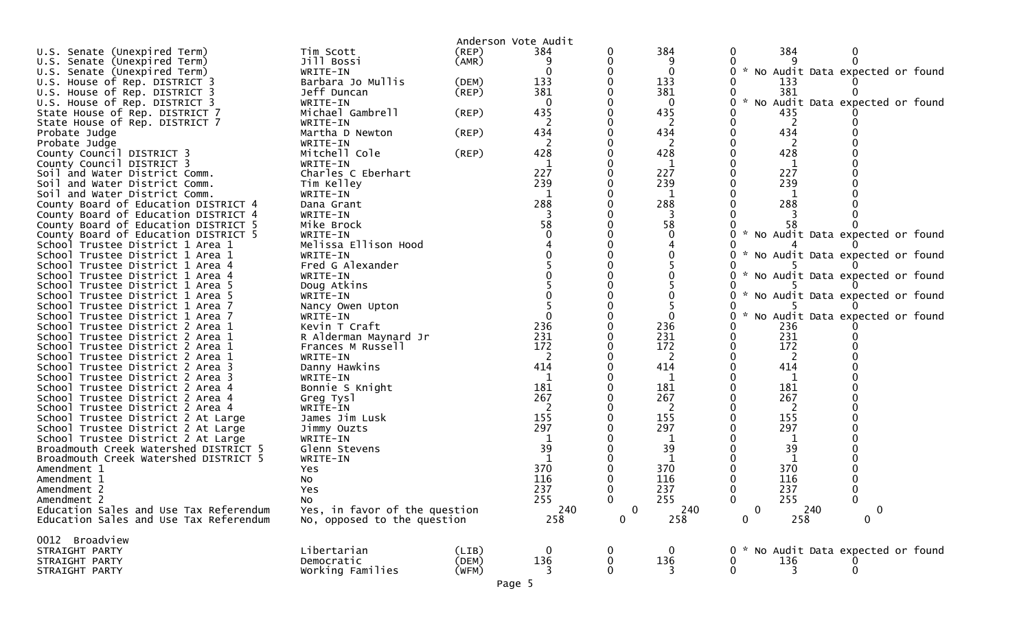|                                                                      |                               |       | Anderson Vote Audit |          |              |                    |            |                                   |  |
|----------------------------------------------------------------------|-------------------------------|-------|---------------------|----------|--------------|--------------------|------------|-----------------------------------|--|
| U.S. Senate (Unexpired Term)                                         | Tim Scott                     | (REP) | 384                 |          | 384          | 0                  | 384        |                                   |  |
| U.S. Senate (Unexpired Term)                                         | Jill Bossi                    | (AMR) | 9                   |          |              |                    |            |                                   |  |
| U.S. Senate (Unexpired Term)                                         | WRITE-IN                      |       | $\Omega$            |          | $\mathbf{0}$ | 0                  |            | * No Audit Data expected or found |  |
| U.S. House of Rep. DISTRICT 3                                        | Barbara Jo Mullis             | (DEM) | 133                 |          | 133          |                    | 133        |                                   |  |
| U.S. House of Rep. DISTRICT 3                                        | Jeff Duncan                   | (REP) | 381                 |          | 381          |                    | 381        |                                   |  |
| U.S. House of Rep. DISTRICT 3                                        | WRITE-IN                      |       | $\Omega$            |          | $\Omega$     | $\mathcal{H}$<br>0 |            | No Audit Data expected or found   |  |
| State House of Rep. DISTRICT 7                                       | Michael Gambrell              | (REP) | 435                 |          | 435          |                    | 435        |                                   |  |
| State House of Rep. DISTRICT 7                                       | WRITE-IN                      |       |                     |          | 2            |                    | 2          |                                   |  |
| Probate Judge<br>Probate Judge                                       | Martha D Newton               | (REP) | 434                 |          | 434<br>2     |                    | 434        |                                   |  |
| County Council DISTRICT 3                                            | WRITE-IN<br>Mitchell Cole     | (REP) | 428                 |          | 428          |                    | 428        |                                   |  |
| County Council DISTRICT 3                                            | WRITE-IN                      |       |                     |          | 1            |                    | 1          |                                   |  |
| Soil and Water District Comm.                                        | Charles C Eberhart            |       | 227                 |          | 227          |                    | 227        |                                   |  |
| Soil and Water District Comm.                                        | Tim Kelley                    |       | 239                 |          | 239          |                    | 239        |                                   |  |
| Soil and Water District Comm.                                        | WRITE-IN                      |       | 1                   |          | 1            |                    | 1          |                                   |  |
| County Board of Education DISTRICT 4                                 | Dana Grant                    |       | 288                 |          | 288          |                    | 288        |                                   |  |
| County Board of Education DISTRICT 4                                 | WRITE-IN                      |       |                     |          |              |                    |            |                                   |  |
| County Board of Education DISTRICT 5                                 | Mike Brock                    |       | 58                  |          | 58           |                    | 58         |                                   |  |
| County Board of Education DISTRICT 5                                 | WRITE-IN                      |       |                     |          |              |                    |            | * No Audit Data expected or found |  |
| School Trustee District 1 Area 1                                     | Melissa Ellison Hood          |       |                     |          |              |                    |            |                                   |  |
| School Trustee District 1 Area 1                                     | WRITE-IN                      |       |                     |          |              |                    |            | * No Audit Data expected or found |  |
| School Trustee District 1 Area 4                                     | Fred G Alexander              |       |                     |          |              |                    |            |                                   |  |
| School Trustee District 1 Area 4                                     | WRITE-IN                      |       |                     |          |              |                    |            | * No Audit Data expected or found |  |
| School Trustee District 1 Area 5                                     | Doug Atkins                   |       |                     |          |              |                    |            |                                   |  |
| School Trustee District 1 Area 5                                     | WRITE-IN                      |       |                     |          |              |                    |            | * No Audit Data expected or found |  |
| School Trustee District 1 Area 7                                     | Nancy Owen Upton              |       |                     |          | 0            |                    |            | * No Audit Data expected or found |  |
| School Trustee District 1 Area 7<br>School Trustee District 2 Area 1 | WRITE-IN<br>Kevin T Craft     |       | 236                 |          | 236          |                    | 236        |                                   |  |
| School Trustee District 2 Area 1                                     | R Alderman Maynard Jr         |       | 231                 |          | 231          |                    | 231        |                                   |  |
| School Trustee District 2 Area 1                                     | Frances M Russell             |       | 172                 |          | 172          |                    | 172        |                                   |  |
| School Trustee District 2 Area 1                                     | WRITE-IN                      |       |                     |          | 2            |                    | 2          |                                   |  |
| School Trustee District 2 Area 3                                     | Danny Hawkins                 |       | 414                 |          | 414          | 414                |            |                                   |  |
| School Trustee District 2 Area 3                                     | WRITE-IN                      |       | 1                   |          | 1            |                    | 1          |                                   |  |
| School Trustee District 2 Area 4                                     | Bonnie S Knight               |       | 181                 |          | 181          |                    | 181        |                                   |  |
| School Trustee District 2 Area 4                                     | Greg Tysl                     |       | 267                 |          | 267          |                    | 267        |                                   |  |
| School Trustee District 2 Area 4                                     | WRITE-IN                      |       | 2                   |          | 2            |                    | 2          |                                   |  |
| School Trustee District 2 At Large                                   | James Jim Lusk                |       | 155                 |          | 155          |                    | 155        |                                   |  |
| School Trustee District 2 At Large                                   | Jimmy Ouzts                   |       | 297                 |          | 297          |                    | 297        |                                   |  |
| School Trustee District 2 At Large                                   | WRITE-IN                      |       |                     |          |              |                    |            |                                   |  |
| Broadmouth Creek Watershed DISTRICT 5                                | Glenn Stevens                 |       | 39                  |          | 39           |                    | 39         |                                   |  |
| Broadmouth Creek Watershed DISTRICT 5                                | WRITE-IN                      |       | 370                 |          |              |                    |            |                                   |  |
| Amendment 1                                                          | Yes                           |       | 116                 |          | 370<br>116   |                    | 370<br>116 |                                   |  |
| Amendment 1<br>Amendment 2                                           | No<br>Yes                     |       | 237                 |          | 237          | 237                |            |                                   |  |
| Amendment 2                                                          | NO.                           |       | 255                 | 0        | 255          | $\mathbf 0$        | 255        | $\mathbf 0$                       |  |
| Education Sales and Use Tax Referendum                               | Yes, in favor of the question |       | 240                 | $\Omega$ | 240          | $\mathbf{0}$       | 240        | 0                                 |  |
| Education Sales and Use Tax Referendum                               | No, opposed to the question   |       | 258                 | 0        | 258          | 0                  | 258        | $\mathbf 0$                       |  |
|                                                                      |                               |       |                     |          |              |                    |            |                                   |  |
| 0012 Broadview                                                       |                               |       |                     |          |              |                    |            |                                   |  |
| STRAIGHT PARTY                                                       | Libertarian                   | (LIB) | 0                   |          | $\Omega$     | $\mathbf{0}$       |            | * No Audit Data expected or found |  |
| STRAIGHT PARTY                                                       | Democratic                    | (DEM) | 136                 | 0        | 136          | 0                  | 136        |                                   |  |
| STRAIGHT PARTY                                                       | Working Families              | (WFM) | 3                   |          | 3            | $\mathbf{0}$       | 3          | 0                                 |  |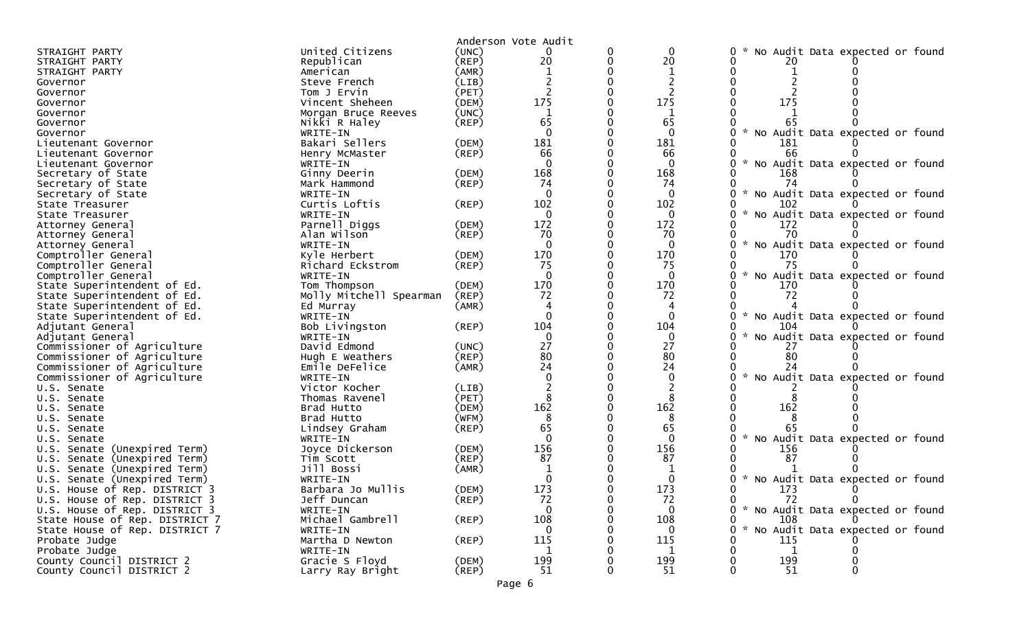|                                    |                         |             | Anderson Vote Audit |          |              |                                                |
|------------------------------------|-------------------------|-------------|---------------------|----------|--------------|------------------------------------------------|
| STRAIGHT PARTY                     | United Citizens         | (UNC)       | 0                   | 0        | $\mathbf{0}$ | No Audit Data expected or found                |
| STRAIGHT PARTY                     | Republican              | (REP)       | 20                  | 0        | 20           |                                                |
| STRAIGHT PARTY                     | American                | (AMR)       |                     |          | -1           |                                                |
| Governor                           | Steve French            | (LIB)       |                     |          |              |                                                |
| Governor                           | Tom J Ervin             | (PET)       |                     |          |              |                                                |
| Governor                           | Vincent Sheheen         | (DEM)       | 175                 |          | 175          | 175                                            |
| Governor                           | Morgan Bruce Reeves     | (UNC)       | 1                   |          | 1            |                                                |
| Governor                           | Nikki R Haley           | $($ REP $)$ | 65                  |          | 65           | 65                                             |
| Governor                           | WRITE-IN                |             | $\Omega$            | $\Omega$ | $\Omega$     | $\sim$<br>No Audit Data expected or found<br>0 |
| Lieutenant Governor                | Bakari Sellers          | (DEM)       | 181                 |          | 181          | 181                                            |
| Lieutenant Governor                | Henry McMaster          | $($ REP $)$ | 66                  |          | 66           | 66                                             |
| Lieutenant Governor                | WRITE-IN                |             | $\Omega$            |          | $\Omega$     | * No Audit Data expected or found<br>0         |
| Secretary of State                 | Ginny Deerin            | (DEM)       | 168                 |          | 168          | 168                                            |
| Secretary of State                 | Mark Hammond            | $($ REP $)$ | 74                  |          | 74           | 74                                             |
| Secretary of State                 | WRITE-IN                |             | $\Omega$            | 0        | $\Omega$     | * No Audit Data expected or found<br>0         |
| State Treasurer                    | Curtis Loftis           | (REP)       | 102                 |          | 102          | 102                                            |
| State Treasurer                    | WRITE-IN                |             | $\Omega$            |          | $\mathbf{0}$ | $\sim$<br>0<br>No Audit Data expected or found |
| Attorney General                   | Parnell Diggs           | (DEM)       | 172                 | 0        | 172          | 172                                            |
| Attorney General                   | Alan Wilson             | $($ REP $)$ | 70                  |          | 70           | 70                                             |
| Attorney General                   | WRITE-IN                |             | $\Omega$            |          | $\Omega$     | $\sim$<br>No Audit Data expected or found<br>U |
| Comptroller General                | Kyle Herbert            | (DEM)       | 170                 |          | 170          | 170                                            |
| Comptroller General                | Richard Eckstrom        | (REP)       | 75                  |          | 75           | 75                                             |
| Comptroller General                | WRITE-IN                |             | $\Omega$            |          | $\Omega$     | $\sim$<br>No Audit Data expected or found<br>U |
| State Superintendent of Ed.        | Tom Thompson            | (DEM)       | 170                 |          | 170          | 170                                            |
| State Superintendent of Ed.        | Molly Mitchell Spearman | (REP)       | 72                  |          | 72           | 72                                             |
| State Superintendent of Ed.        | Ed Murray               | (AMR)       |                     |          |              |                                                |
| State Superintendent of Ed.        | WRITE-IN                |             | $\Omega$            |          | $\mathbf{0}$ | * No Audit Data expected or found<br>0         |
| Adjutant General                   | Bob Livingston          | (REP)       | 104                 |          | 104          | 104                                            |
| Adjutant General                   | WRITE-IN                |             | $\Omega$            |          | $\mathbf{0}$ | $\sim$<br>No Audit Data expected or found<br>U |
| Commissioner of Agriculture        | David Edmond            | (UNC)       | 27                  |          | 27           | 27                                             |
| Commissioner of Agriculture        | Hugh E Weathers         | $($ REP $)$ | 80                  |          | 80           | 80                                             |
| Commissioner of Agriculture        | Emile DeFelice          | (AMR)       | 24                  |          | 24           |                                                |
| Commissioner of Agriculture        | WRITE-IN                |             | $\Omega$            |          | $\Omega$     | * No Audit Data expected or found              |
| U.S. Senate                        | Victor Kocher           | (LIB)       |                     |          |              |                                                |
| U.S. Senate                        | Thomas Ravenel          | (PET)       |                     |          |              |                                                |
| U.S. Senate                        | Brad Hutto              | (DEM)       | 162                 |          | 162          | 162                                            |
| U.S. Senate                        | Brad Hutto              | (WFM)       | 8                   |          | 8            |                                                |
| U.S. Senate                        | Lindsey Graham          | $($ REP $)$ | 65                  |          | 65           |                                                |
| U.S. Senate                        | WRITE-IN                |             | $\Omega$            |          | $\Omega$     | * No Audit Data expected or found<br>0         |
| (Unexpired Term)<br>U.S. Senate    | Joyce Dickerson         | (DEM)       | 156                 |          | 156          | 156                                            |
| (Unexpired Term)<br>Senate<br>U.S. | Tim Scott               | $($ REP $)$ | 87                  |          | 87           | 87                                             |
| Senate (Unexpired Term)<br>U.S.    | Jill Bossi              | (AMR)       |                     |          |              |                                                |
| U.S. Senate (Unexpired Term)       | WRITE-IN                |             |                     |          |              | No Audit Data expected or found                |
| U.S. House of Rep. DISTRICT 3      | Barbara Jo Mullis       | (DEM)       | 173                 |          | 173          | 173                                            |
| U.S. House of Rep. DISTRICT 3      | Jeff Duncan             | (REP)       | 72                  |          | 72           | 72<br>$\mathbf{0}$<br>$\mathbf{0}$             |
| U.S. House of Rep. DISTRICT 3      | WRITE-IN                |             | $\Omega$            |          | $\bf{0}$     | 0 * No Audit Data expected or found            |
| State House of Rep. DISTRICT 7     | Michael Gambrell        | $($ REP $)$ | 108                 |          | 108          | 108<br>0                                       |
| State House of Rep. DISTRICT 7     | WRITE-IN                |             | 0                   |          | $\mathbf{0}$ | 0 * No Audit Data expected or found            |
| Probate Judge                      | Martha D Newton         | $($ REP $)$ | 115                 |          | 115          | 115                                            |
| Probate Judge                      | WRITE-IN                |             | $\mathbf{1}$        |          | 1            | $\mathbf{1}$                                   |
| County Council DISTRICT 2          | Gracie S Floyd          | (DEM)       | 199                 |          | 199          | 199                                            |
| County Council DISTRICT 2          | Larry Ray Bright        | $($ REP $)$ | 51                  |          | 51           | 51                                             |
|                                    |                         |             |                     |          |              |                                                |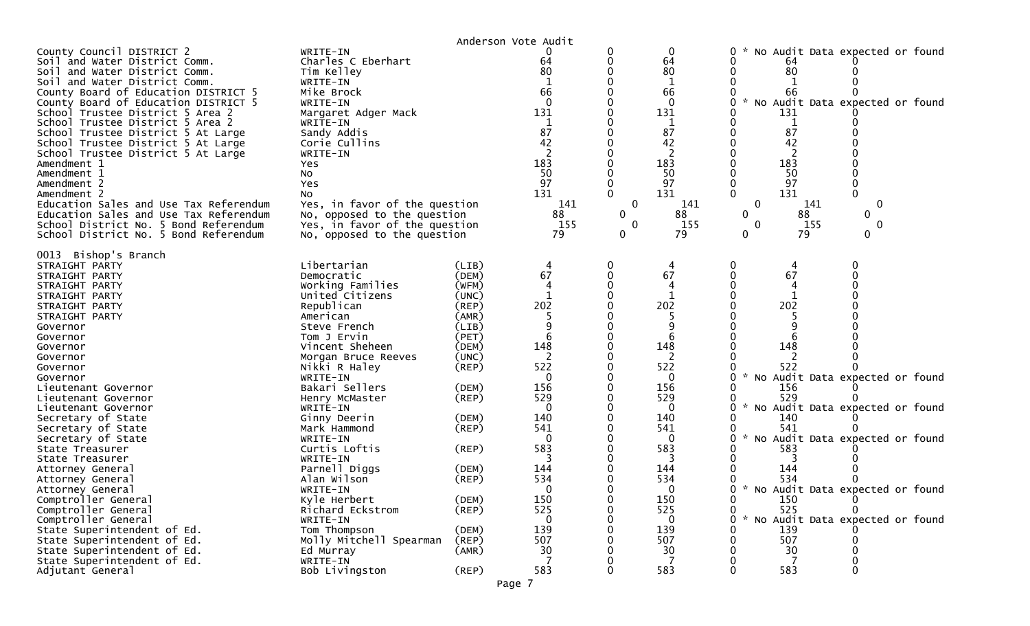|                                                                                                                                                                                                                                                                                                                                                                                                                                                                                                                                                                                                                                                                      |                                                                                                                                                                                                                                                                                                                                                                                                                                                                               | Anderson Vote Audit                                                                                                                                                                                                                 |                                                                                                                                                                                                                  |                                                                               |                                                                                                                                                                                                  |                                                                                                                                                         |                                                                                                                                                                                                                |  |
|----------------------------------------------------------------------------------------------------------------------------------------------------------------------------------------------------------------------------------------------------------------------------------------------------------------------------------------------------------------------------------------------------------------------------------------------------------------------------------------------------------------------------------------------------------------------------------------------------------------------------------------------------------------------|-------------------------------------------------------------------------------------------------------------------------------------------------------------------------------------------------------------------------------------------------------------------------------------------------------------------------------------------------------------------------------------------------------------------------------------------------------------------------------|-------------------------------------------------------------------------------------------------------------------------------------------------------------------------------------------------------------------------------------|------------------------------------------------------------------------------------------------------------------------------------------------------------------------------------------------------------------|-------------------------------------------------------------------------------|--------------------------------------------------------------------------------------------------------------------------------------------------------------------------------------------------|---------------------------------------------------------------------------------------------------------------------------------------------------------|----------------------------------------------------------------------------------------------------------------------------------------------------------------------------------------------------------------|--|
| County Council DISTRICT 2<br>Soil and Water District Comm.<br>Soil and Water District Comm.<br>Soil and Water District Comm.<br>County Board of Education DISTRICT 5<br>County Board of Education DISTRICT 5<br>School Trustee District 5 Area 2<br>School Trustee District 5 Area 2<br>School Trustee District 5 At Large<br>School Trustee District 5 At Large<br>School Trustee District 5 At Large<br>Amendment 1<br>Yes<br>Amendment 1<br>NO.<br>Amendment 2<br>Yes<br>Amendment 2<br>NO.<br>Education Sales and Use Tax Referendum<br>Education Sales and Use Tax Referendum<br>School District No. 5 Bond Referendum<br>School District No. 5 Bond Referendum | WRITE-IN<br>Charles C Eberhart<br>Tim Kelley<br>WRITE-IN<br>Mike Brock<br>WRITE-IN<br>Margaret Adger Mack<br>WRITE-IN<br>Sandy Addis<br>Corie Cullins<br>WRITE-IN<br>Yes, in favor of the question<br>No, opposed to the question<br>Yes, in favor of the question<br>No, opposed to the question                                                                                                                                                                             |                                                                                                                                                                                                                                     | 0<br>64<br>80<br>1<br>66<br>$\Omega$<br>131<br>1<br>87<br>42<br>183<br>50<br>97<br>131<br>141<br>88<br>155<br>79                                                                                                 | 0<br>0<br>$\Omega$<br>$\mathbf 0$<br>$\mathbf{0}$<br>$\Omega$<br>$\mathbf{0}$ | 0<br>64<br>80<br>1<br>66<br>$\Omega$<br>131<br>1<br>87<br>42<br>183<br>50<br>97<br>131<br>141<br>88<br>155<br>79                                                                                 | 0<br>0<br>64<br>80<br>66<br>131<br>1<br>87<br>42<br>183<br>50<br>97<br>131<br>$\Omega$<br>$\mathbf 0$<br>$\mathbf{0}$<br>$\mathbf{0}$<br>0              | No Audit Data expected or found<br>No Audit Data expected or found<br>$\Omega$<br>0<br>141<br>88<br>0.<br>$\mathbf{0}$<br>155<br>79<br>0                                                                       |  |
| 0013 Bishop's Branch<br>STRAIGHT PARTY<br>STRAIGHT PARTY<br>STRAIGHT PARTY<br>STRAIGHT PARTY<br>STRAIGHT PARTY<br>STRAIGHT PARTY<br>Governor<br>Governor<br>Governor<br>Governor<br>Governor<br>Governor<br>Lieutenant Governor<br>Lieutenant Governor<br>Lieutenant Governor<br>Secretary of State<br>Secretary of State<br>Secretary of State<br>State Treasurer<br>State Treasurer<br>Attorney General<br>Attorney General<br>Attorney General<br>Comptroller General<br>Comptroller General<br>Comptroller General<br>State Superintendent of Ed.<br>State Superintendent of Ed.<br>State Superintendent of Ed.                                                  | Libertarian<br>Democratic<br>Working Families<br>United Citizens<br>Republican<br>American<br>Steve French<br>Tom J Ervin<br>Vincent Sheheen<br>Morgan Bruce Reeves<br>Nikki R Haley<br>WRITE-IN<br>Bakari Sellers<br>Henry McMaster<br>WRITE-IN<br>Ginny Deerin<br>Mark Hammond<br>WRITE-IN<br>Curtis Loftis<br>WRITE-IN<br>Parnell Diggs<br>Alan Wilson<br>WRITE-IN<br>Kyle Herbert<br>Richard Eckstrom<br>WRITE-IN<br>Tom Thompson<br>Molly Mitchell Spearman<br>Ed Murray | (LIB)<br>(DEM)<br>(WFM)<br>(UNC)<br>(REP)<br>(AMR)<br>(LIB)<br>(PET)<br>(DEM)<br>(UNC)<br>$($ REP $)$<br>(DEM)<br>$($ REP $)$<br>(DEM)<br>(REP)<br>$($ REP $)$<br>(DEM)<br>(REP)<br>(DEM)<br>$($ REP $)$<br>(DEM)<br>(REP)<br>(AMR) | 4<br>67<br>4<br>$\mathbf{1}$<br>202<br>6<br>148<br>2<br>522<br>$\Omega$<br>156<br>529<br>$\Omega$<br>140<br>541<br>$\mathbf 0$<br>583<br>144<br>534<br>$\Omega$<br>150<br>525<br>$\mathbf 0$<br>139<br>507<br>30 | 0<br>0<br>0<br>0<br>0                                                         | 4<br>67<br>4<br>202<br>148<br>2<br>522<br>$\mathbf{0}$<br>156<br>529<br>$\Omega$<br>140<br>541<br>$\mathbf{0}$<br>583<br>144<br>534<br>$\Omega$<br>150<br>525<br>$\mathbf 0$<br>139<br>507<br>30 | 0<br>67<br>202<br>148<br>522<br>0<br>156<br>529<br>0<br>140<br>541<br>0<br>583<br>144<br>534<br>0<br>150<br>525<br>0<br>$\sim$<br>0<br>139<br>507<br>30 | 0<br>O<br>No Audit Data expected or found<br>No Audit Data expected or found<br>No Audit Data expected or found<br>0 * No Audit Data expected or found<br>$\mathbf{0}$<br>0<br>No Audit Data expected or found |  |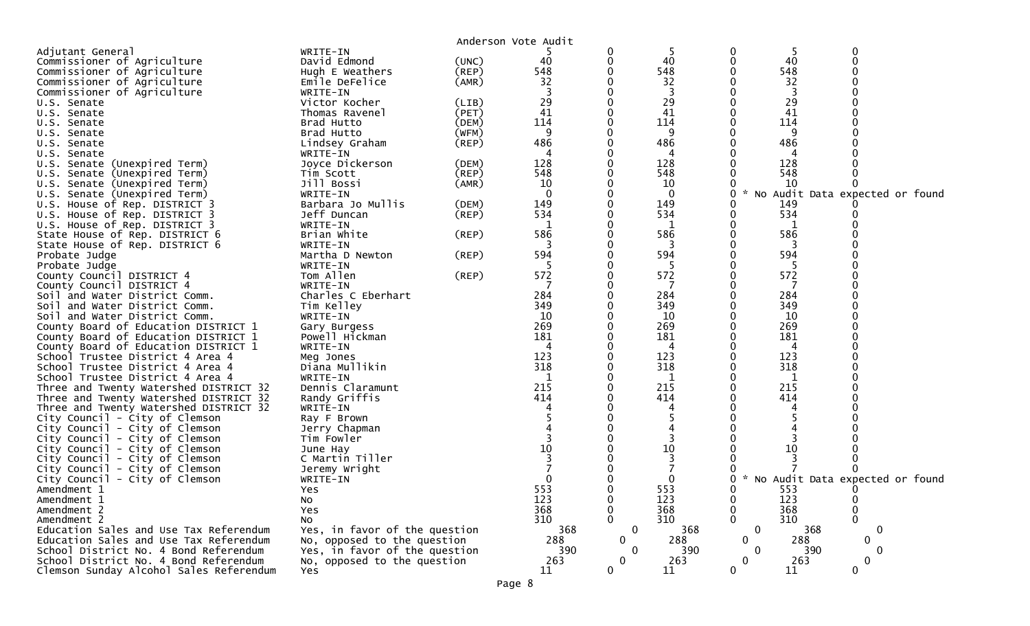|                                                                  |                               |             | Anderson Vote Audit |              |          |                    |     |                                   |  |
|------------------------------------------------------------------|-------------------------------|-------------|---------------------|--------------|----------|--------------------|-----|-----------------------------------|--|
| Adjutant General                                                 | WRITE-IN                      |             |                     |              |          | 0                  | 5   |                                   |  |
| Commissioner of Agriculture                                      | David Edmond                  | (UNC)       | 40                  | 0            | 40       |                    | 40  |                                   |  |
| Commissioner of Agriculture                                      | Hugh E Weathers               | $($ REP $)$ | 548                 |              | 548      |                    | 548 |                                   |  |
| Commissioner of Agriculture                                      | Emile DeFelice                | (AMR)       | 32                  |              | 32       |                    | 32  |                                   |  |
| Commissioner of Agriculture                                      | WRITE-IN                      |             |                     |              | 3        |                    |     |                                   |  |
| U.S. Senate                                                      | Victor Kocher                 | (LIB)       | 29                  |              | 29       |                    | 29  |                                   |  |
| U.S. Senate                                                      | Thomas Ravenel                | (PET)       | 41                  |              | 41       |                    | 41  |                                   |  |
| U.S. Senate                                                      | Brad Hutto                    | (DEM)       | 114                 |              | 114      |                    | 114 |                                   |  |
| U.S. Senate                                                      | Brad Hutto                    | (WFM)       | 9                   |              | 9        |                    | 9   |                                   |  |
| U.S. Senate                                                      | Lindsey Graham                | (REP)       | 486                 |              | 486      |                    | 486 |                                   |  |
| U.S. Senate                                                      | WRITE-IN                      |             | 4                   |              | 4        |                    | 4   |                                   |  |
| U.S. Senate (Unexpired Term)                                     | Joyce Dickerson               | (DEM)       | 128                 |              | 128      |                    | 128 |                                   |  |
| U.S. Senate (Unexpired Term)                                     | Tim Scott                     | (REP)       | 548                 |              | 548      |                    | 548 |                                   |  |
| U.S. Senate (Unexpired Term)                                     | Jill Bossi                    | (AMR)       | 10                  |              | 10       |                    | 10  |                                   |  |
| U.S. Senate (Unexpired Term)                                     | WRITE-IN                      |             |                     |              | $\Omega$ | $\mathcal{H}$<br>0 |     | No Audit Data expected or found   |  |
| U.S. House of Rep. DISTRICT 3                                    | Barbara Jo Mullis             | (DEM)       | 149                 |              | 149      |                    | 149 |                                   |  |
| U.S. House of Rep. DISTRICT 3                                    | Jeff Duncan                   | (REP)       | 534                 |              | 534      | 0                  | 534 |                                   |  |
| U.S. House of Rep. DISTRICT 3                                    | WRITE-IN                      |             |                     |              |          |                    |     |                                   |  |
| State House of Rep. DISTRICT 6                                   | Brian White                   | (REP)       | 586                 |              | 586      |                    | 586 |                                   |  |
| State House of Rep. DISTRICT 6                                   | WRITE-IN                      |             | 3                   |              | 3        |                    | 3   |                                   |  |
| Probate Judge                                                    | Martha D Newton               | (REP)       | 594                 |              | 594      |                    | 594 |                                   |  |
| Probate Judge                                                    | WRITE-IN                      |             | -5                  |              | -5       |                    | -5  |                                   |  |
| County Council DISTRICT 4                                        | Tom Allen                     | (REP)       | 572                 |              | 572      |                    | 572 |                                   |  |
| County Council DISTRICT 4                                        | WRITE-IN                      |             |                     |              |          |                    |     |                                   |  |
| Soil and Water District Comm.                                    | Charles C Eberhart            |             | 284                 |              | 284      |                    | 284 |                                   |  |
| Soil and Water District Comm.                                    | Tim Kelley                    |             | 349                 |              | 349      |                    | 349 |                                   |  |
| Soil and Water District Comm.                                    | WRITE-IN                      |             | 10                  |              | 10       |                    | 10  |                                   |  |
| County Board of Education DISTRICT 1                             | Gary Burgess                  |             | 269                 |              | 269      |                    | 269 |                                   |  |
| County Board of Education DISTRICT 1                             | Powell Hickman                |             | 181                 |              | 181      |                    | 181 |                                   |  |
| County Board of Education DISTRICT 1                             | WRITE-IN                      |             |                     |              | 4        |                    | 4   |                                   |  |
| School Trustee District 4 Area 4                                 | Meg Jones                     |             | 123                 |              | 123      |                    | 123 |                                   |  |
| School Trustee District 4 Area 4                                 | Diana Mullikin                |             | 318                 |              | 318      |                    | 318 |                                   |  |
| School Trustee District 4 Area 4                                 | WRITE-IN                      |             | 1                   |              | 1        |                    | 1   |                                   |  |
| Three and Twenty Watershed DISTRICT 32                           | Dennis Claramunt              |             | 215                 |              | 215      |                    | 215 |                                   |  |
| Three and Twenty Watershed DISTRICT 32                           | Randy Griffis                 |             | 414                 |              | 414      |                    | 414 |                                   |  |
| Three and Twenty Watershed DISTRICT 32                           | WRITE-IN                      |             |                     |              |          |                    |     |                                   |  |
| City Council - City of Clemson                                   | Ray F Brown                   |             |                     |              |          |                    |     |                                   |  |
| City Council - City of Clemson                                   | Jerry Chapman<br>Tim Fowler   |             |                     |              |          |                    |     |                                   |  |
| City Council - City of Clemson<br>City Council - City of Clemson |                               |             | 10                  |              | 10       |                    | 10  |                                   |  |
| City Council - City of Clemson                                   | June Hay<br>C Martin Tiller   |             |                     |              |          |                    |     |                                   |  |
| City Council - City of Clemson                                   | Jeremy Wright                 |             |                     |              |          |                    |     |                                   |  |
| City Council - City of Clemson                                   | WRITE-IN                      |             |                     |              |          | 0                  |     | * No Audit Data expected or found |  |
| Amendment 1                                                      | Yes                           |             | 553                 |              | 553      | ∩                  | 553 |                                   |  |
| Amendment 1                                                      | No                            |             | 123                 | 0            | 123      | 0                  | 123 | 0                                 |  |
| Amendment 2                                                      | Yes                           |             | 368                 |              | 368      | $\mathbf{0}$       | 368 | 0                                 |  |
| Amendment 2                                                      | No                            |             | 310                 |              | 310      |                    | 310 |                                   |  |
| Education Sales and Use Tax Referendum                           | Yes, in favor of the question |             | 368                 | $\mathbf 0$  | 368      | $\mathbf 0$        | 368 | $\mathbf 0$                       |  |
| Education Sales and Use Tax Referendum                           | No, opposed to the question   |             | 288                 | $\mathbf{0}$ | 288      | $\mathbf 0$        | 288 | 0                                 |  |
| School District No. 4 Bond Referendum                            | Yes, in favor of the question |             | 390                 | $\Omega$     | 390      | $\Omega$           | 390 | 0                                 |  |
| School District No. 4 Bond Referendum                            | No, opposed to the question   |             | 263                 | $\mathbf{0}$ | 263      | $\mathbf 0$        | 263 | $\Omega$                          |  |
| Clemson Sunday Alcohol Sales Referendum                          | Yes.                          |             | 11                  | $\mathbf{0}$ | 11       | $\mathbf 0$        | 11  | $\mathbf{0}$                      |  |
|                                                                  |                               |             |                     |              |          |                    |     |                                   |  |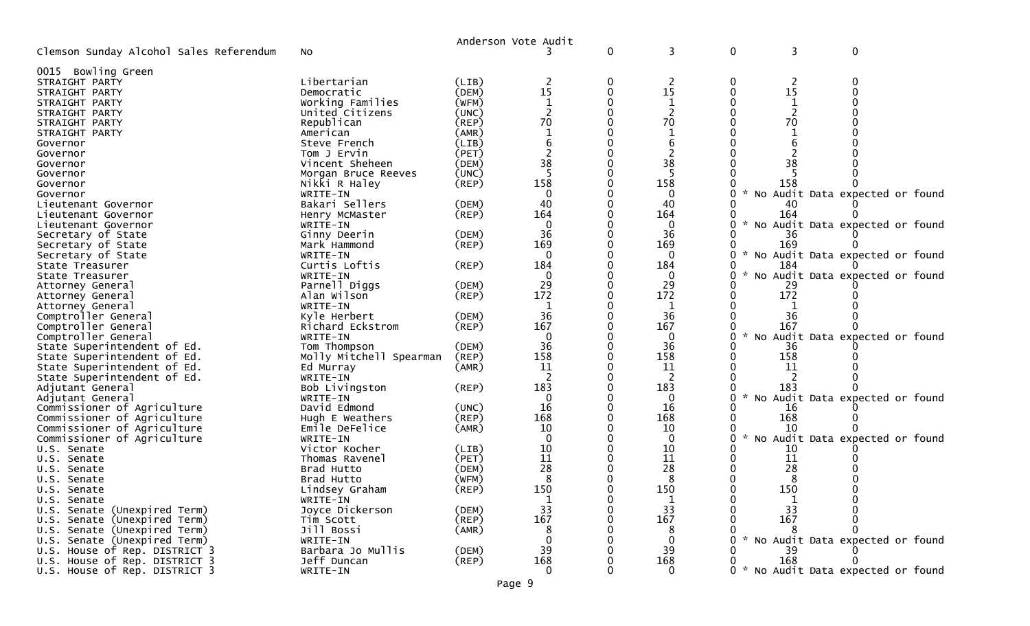|                                         |                         |             | Anderson Vote Audit  |   |              |   |        |                                     |  |
|-----------------------------------------|-------------------------|-------------|----------------------|---|--------------|---|--------|-------------------------------------|--|
| Clemson Sunday Alcohol Sales Referendum | No                      |             |                      | 0 | 3            | 0 | 3      | $\mathbf 0$                         |  |
| 0015 Bowling Green                      |                         |             |                      |   |              |   |        |                                     |  |
| STRAIGHT PARTY                          | Libertarian             | (LIB)       | 2                    | 0 | 2            | 0 | 2      |                                     |  |
| STRAIGHT PARTY                          | Democratic              | (DEM)       | 15                   | 0 | 15           | 0 | 15     |                                     |  |
| STRAIGHT PARTY                          | Working Families        | (WFM)       | $\mathbf{1}$         |   |              |   |        |                                     |  |
| STRAIGHT PARTY                          | United Citizens         | (UNC)       |                      |   |              |   |        |                                     |  |
|                                         | Republican              | (REP)       | 70                   |   | 70           |   | 70     |                                     |  |
| STRAIGHT PARTY<br>STRAIGHT PARTY        | American                | (AMR)       |                      |   |              |   |        |                                     |  |
|                                         |                         |             |                      |   |              |   |        |                                     |  |
| Governor                                | Steve French            | (LIB)       |                      |   |              |   |        |                                     |  |
| Governor                                | Tom J Ervin             | (PET)       | $\overline{c}$<br>38 |   | 2            |   |        |                                     |  |
| Governor                                | Vincent Sheheen         | (DEM)       |                      |   | 38           |   | 38     |                                     |  |
| Governor                                | Morgan Bruce Reeves     | (UNC)       |                      |   |              |   |        |                                     |  |
| Governor                                | Nikki R Haley           | (REP)       | 158                  |   | 158          |   | 158    |                                     |  |
| Governor                                | WRITE-IN                |             |                      |   | $\Omega$     |   |        | No Audit Data expected or found     |  |
| Lieutenant Governor                     | Bakari Sellers          | (DEM)       | 40                   |   | 40           |   |        |                                     |  |
| Lieutenant Governor                     | Henry McMaster          | (REP)       | 164                  |   | 164          |   | 164    |                                     |  |
| Lieutenant Governor                     | WRITE-IN                |             | $\Omega$             |   | $\bf{0}$     |   |        | No Audit Data expected or found     |  |
| Secretary of State                      | Ginny Deerin            | (DEM)       | 36                   |   | 36           |   | 36     |                                     |  |
| Secretary of State                      | Mark Hammond            | (REP)       | 169                  |   | 169          |   | 169    |                                     |  |
| Secretary of State                      | WRITE-IN                |             | $\Omega$             |   | $\Omega$     |   | $\sim$ | No Audit Data expected or found     |  |
| State Treasurer                         | Curtis Loftis           | (REP)       | 184                  |   | 184          |   | 184    |                                     |  |
| State Treasurer                         | WRITE-IN                |             | $\mathbf{0}$         |   | $\mathbf 0$  |   |        | No Audit Data expected or found     |  |
| Attorney General                        | Parnell Diggs           | (DEM)       | 29                   |   | 29           |   | 29     |                                     |  |
| Attorney General                        | Alan Wilson             | (REP)       | 172                  |   | 172          |   | 172    |                                     |  |
| Attorney General                        | WRITE-IN                |             | 1                    |   | 1            |   |        |                                     |  |
| Comptroller General                     | Kyle Herbert            | (DEM)       | 36                   | 0 | 36           |   | 36     |                                     |  |
| Comptroller General                     | Richard Eckstrom        | (REP)       | 167                  |   | 167          |   | 167    |                                     |  |
| Comptroller General                     | WRITE-IN                |             | $\Omega$             |   | $\mathbf{0}$ |   |        | No Audit Data expected or found     |  |
| State Superintendent of Ed.             | Tom Thompson            | (DEM)       | 36                   | 0 | 36           |   | 36     |                                     |  |
| State Superintendent of Ed.             | Molly Mitchell Spearman | (REP)       | 158                  |   | 158          |   | 158    |                                     |  |
| State Superintendent of Ed.             | Ed Murray               | (AMR)       | 11                   |   | 11           |   | 11     |                                     |  |
| State Superintendent of Ed.             | WRITE-IN                |             |                      |   |              |   |        |                                     |  |
|                                         |                         | (REP)       | 183                  |   | 183          |   | 183    |                                     |  |
| Adjutant General                        | Bob Livingston          |             |                      |   |              |   |        |                                     |  |
| Adjutant General                        | WRITE-IN                |             | $\Omega$<br>16       | 0 | $\mathbf{0}$ |   |        | No Audit Data expected or found     |  |
| Commissioner of Agriculture             | David Edmond            | (UNC)       |                      |   | 16           |   | 16     |                                     |  |
| Commissioner of Agriculture             | Hugh E Weathers         | (REP)       | 168                  |   | 168          |   | 168    |                                     |  |
| Commissioner of Agriculture             | Emile DeFelice          | (AMR)       | 10                   |   | 10           |   | 10     |                                     |  |
| Commissioner of Agriculture             | WRITE-IN                |             | $\Omega$             |   | $\mathbf 0$  | 0 |        | No Audit Data expected or found     |  |
| U.S. Senate                             | Victor Kocher           | (LIB)       | 10                   |   | 10           |   | 10     |                                     |  |
| U.S. Senate                             | Thomas Ravenel          | (PET)       | 11                   |   | 11           |   | 11     |                                     |  |
| U.S. Senate                             | Brad Hutto              | (DEM)       | 28                   |   | 28           |   | 28     |                                     |  |
| U.S. Senate                             | Brad Hutto              | (WFM)       | 8                    |   | 8            |   | 8      |                                     |  |
| U.S. Senate                             | Lindsey Graham          | $($ REP $)$ | 150                  |   | 150          |   | 150    |                                     |  |
| U.S. Senate                             | WRITE-IN                |             | $\mathbf{1}$         |   |              |   |        |                                     |  |
| U.S. Senate (Unexpired Term)            | Joyce Dickerson         | (DEM)       | 33                   |   | 33           |   | 33     |                                     |  |
| U.S. Senate (Unexpired Term)            | Tim Scott               | (REP)       | 167                  |   | 167          |   | 167    |                                     |  |
| U.S. Senate (Unexpired Term)            | Jill Bossi              | (AMR)       | 8                    |   | 8            |   |        |                                     |  |
| U.S. Senate (Unexpired Term)            | WRITE-IN                |             | $\Omega$             |   | $\Omega$     |   |        | * No Audit Data expected or found   |  |
| U.S. House of Rep. DISTRICT 3           | Barbara Jo Mullis       | (DEM)       | 39                   |   | 39           |   | 39     |                                     |  |
| U.S. House of Rep. DISTRICT 3           | Jeff Duncan             | $($ REP $)$ | 168                  |   | 168          |   | 168    |                                     |  |
| U.S. House of Rep. DISTRICT 3           | WRITE-IN                |             | $\mathbf 0$          | 0 | $\mathbf{0}$ |   |        | 0 * No Audit Data expected or found |  |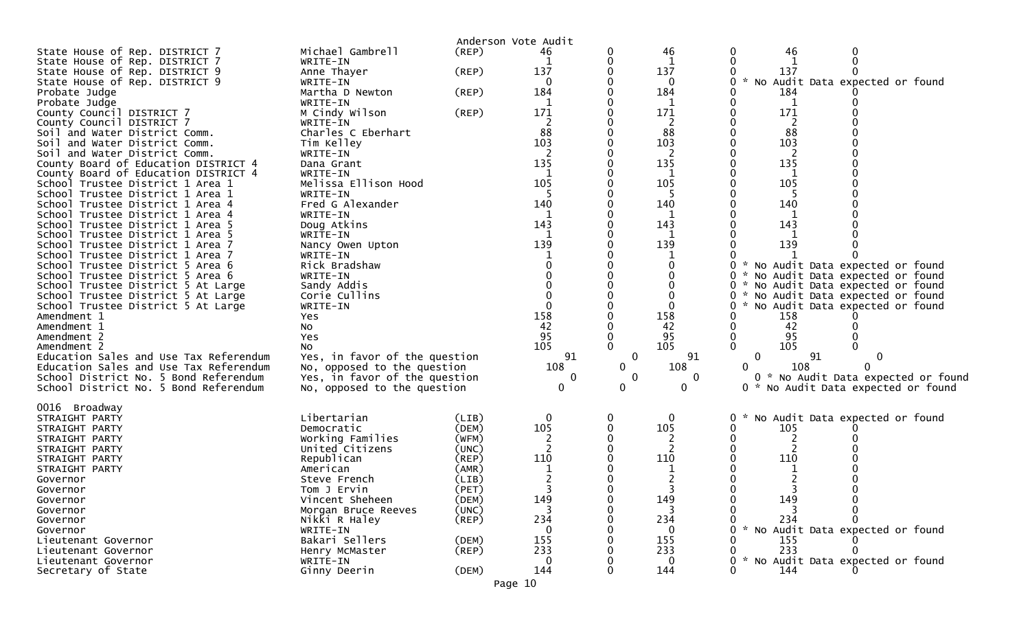|                                                                          |                               | Anderson Vote Audit |     |             |              |                             |     |                                                                    |  |
|--------------------------------------------------------------------------|-------------------------------|---------------------|-----|-------------|--------------|-----------------------------|-----|--------------------------------------------------------------------|--|
| State House of Rep. DISTRICT 7                                           | Michael Gambrell              | (REP)               | 46  | 0           | 46           | 0                           | 46  |                                                                    |  |
| State House of Rep. DISTRICT 7                                           | WRITE-IN                      |                     | 1   | 0           |              | 0                           |     | $\mathbf{0}$                                                       |  |
| State House of Rep. DISTRICT 9                                           | Anne Thayer                   | (REP)               | 137 |             | 137          |                             | 137 |                                                                    |  |
| State House of Rep. DISTRICT 9                                           | WRITE-IN                      |                     | 0   |             | 0            |                             |     | No Audit Data expected or found                                    |  |
| Probate Judge                                                            | Martha D Newton               | (REP)               | 184 |             | 184          |                             | 184 |                                                                    |  |
| Probate Judge                                                            | WRITE-IN                      |                     | 1   |             | 1            |                             | 1   |                                                                    |  |
| County Council DISTRICT 7                                                | M Cindy Wilson                | (REP)               | 171 |             | 171          |                             | 171 |                                                                    |  |
| County Council DISTRICT 7                                                | WRITE-IN                      |                     | 2   |             | 2            |                             | 2   |                                                                    |  |
| Soil and Water District Comm.                                            | Charles C Eberhart            |                     | 88  |             | 88           |                             | 88  |                                                                    |  |
| Soil and Water District Comm.                                            | Tim Kelley                    |                     | 103 |             | 103          |                             | 103 |                                                                    |  |
| Soil and Water District Comm.                                            | WRITE-IN                      |                     | 2   |             | 2            |                             | 2   |                                                                    |  |
| County Board of Education DISTRICT 4                                     | Dana Grant                    |                     | 135 |             | 135          |                             | 135 |                                                                    |  |
| County Board of Education DISTRICT 4                                     | WRITE-IN                      |                     | 1   |             | 1            |                             | 1   |                                                                    |  |
| School Trustee District 1 Area 1                                         | Melissa Ellison Hood          |                     | 105 |             | 105          |                             | 105 |                                                                    |  |
| School Trustee District 1 Area 1                                         | WRITE-IN                      |                     |     |             |              |                             | -5  |                                                                    |  |
| School Trustee District 1 Area 4                                         | Fred G Alexander              |                     | 140 |             | 140          |                             | 140 |                                                                    |  |
| School Trustee District 1 Area 4                                         | WRITE-IN                      |                     | 1   |             | 1            |                             |     |                                                                    |  |
| School Trustee District 1 Area 5                                         | Doug Atkins                   |                     | 143 |             | 143          |                             | 143 |                                                                    |  |
| School Trustee District 1 Area 5                                         | WRITE-IN                      |                     | -1  |             | 1            |                             |     |                                                                    |  |
| School Trustee District 1 Area 7                                         | Nancy Owen Upton              |                     | 139 |             | 139          |                             | 139 |                                                                    |  |
| School Trustee District 1 Area 7                                         | WRITE-IN                      |                     |     |             | $\Omega$     | 0                           |     |                                                                    |  |
| School Trustee District 5 Area 6                                         | Rick Bradshaw                 |                     |     |             |              |                             |     | * No Audit Data expected or found                                  |  |
| School Trustee District 5 Area 6                                         | WRITE-IN                      |                     |     |             |              | - 22                        |     | * No Audit Data expected or found                                  |  |
| School Trustee District 5 At Large                                       | Sandy Addis                   |                     |     |             | $\Omega$     | 0<br>0 *                    |     | No Audit Data expected or found<br>No Audit Data expected or found |  |
| School Trustee District 5 At Large<br>School Trustee District 5 At Large | Corie Cullins                 |                     |     |             | $\Omega$     | 0                           |     |                                                                    |  |
| Amendment 1                                                              | WRITE-IN<br>Yes               |                     | 158 |             | 158          |                             | 158 | * No Audit Data expected or found                                  |  |
| Amendment 1                                                              | No                            |                     | 42  |             | 42           | 0                           | 42  |                                                                    |  |
| Amendment 2                                                              | Yes                           |                     | 95  |             | 95           | 0                           | 95  |                                                                    |  |
| Amendment 2                                                              | No                            |                     | 105 | $\Omega$    | 105          | 0                           | 105 |                                                                    |  |
| Education Sales and Use Tax Referendum                                   | Yes, in favor of the question |                     | 91  | 0           | 91           | 0                           | 91  | 0                                                                  |  |
| Education Sales and Use Tax Referendum                                   | No, opposed to the question   |                     | 108 | $\mathbf 0$ | 108          | 0                           | 108 |                                                                    |  |
| School District No. 5 Bond Referendum                                    | Yes, in favor of the question |                     | 0   | 0           | $\mathbf{0}$ |                             |     | 0 * No Audit Data expected or found                                |  |
| School District No. 5 Bond Referendum                                    | No, opposed to the question   |                     | 0   | $\mathbf 0$ | 0            | 0 *                         |     | No Audit Data expected or found                                    |  |
|                                                                          |                               |                     |     |             |              |                             |     |                                                                    |  |
| 0016 Broadway                                                            |                               |                     |     |             |              |                             |     |                                                                    |  |
| STRAIGHT PARTY                                                           | Libertarian                   | (LIB)               | 0   | 0           | 0            | ₩.                          |     | No Audit Data expected or found                                    |  |
| STRAIGHT PARTY                                                           | Democratic                    | (DEM)               | 105 | $\mathbf 0$ | 105          | O                           | 105 |                                                                    |  |
| STRAIGHT PARTY                                                           | Working Families              | (WFM)               | 2   |             |              |                             |     |                                                                    |  |
| STRAIGHT PARTY                                                           | United Citizens               | (UNC)               | 2   |             | 2            |                             | 2   |                                                                    |  |
| STRAIGHT PARTY                                                           | Republican                    | (REP)               | 110 |             | 110          |                             | 110 |                                                                    |  |
| STRAIGHT PARTY                                                           | American                      | (AMR)               | -1  |             |              |                             |     |                                                                    |  |
| Governor                                                                 | Steve French                  | (LIB)               |     |             |              |                             |     |                                                                    |  |
| Governor                                                                 | Tom J Ervin                   | (PET)               |     |             | 3            |                             |     |                                                                    |  |
| Governor                                                                 | Vincent Sheheen               | (DEM)               | 149 |             | 149          |                             | 149 |                                                                    |  |
| Governor                                                                 | Morgan Bruce Reeves           | (UNC)               | 3   | 0           | 3            |                             |     |                                                                    |  |
| Governor                                                                 | Nikki R Haley                 | $($ REP $)$         | 234 |             | 234          |                             | 234 |                                                                    |  |
| Governor                                                                 | WRITE-IN                      |                     |     |             | ∩            |                             |     | * No Audit Data expected or found                                  |  |
| Lieutenant Governor                                                      | Bakari Sellers                | (DEM)               | 155 |             | 155          |                             | 155 |                                                                    |  |
| Lieutenant Governor                                                      | Henry McMaster                | $($ REP $)$         | 233 |             | 233          |                             | 233 |                                                                    |  |
| Lieutenant Governor                                                      | WRITE-IN                      |                     | 0   | 0           |              | $\mathcal{H}^{\prime}$<br>0 |     | No Audit Data expected or found                                    |  |
| Secretary of State                                                       | Ginny Deerin                  | (DEM)               | 144 | $\mathbf 0$ | 144          | 0                           | 144 |                                                                    |  |

Page 10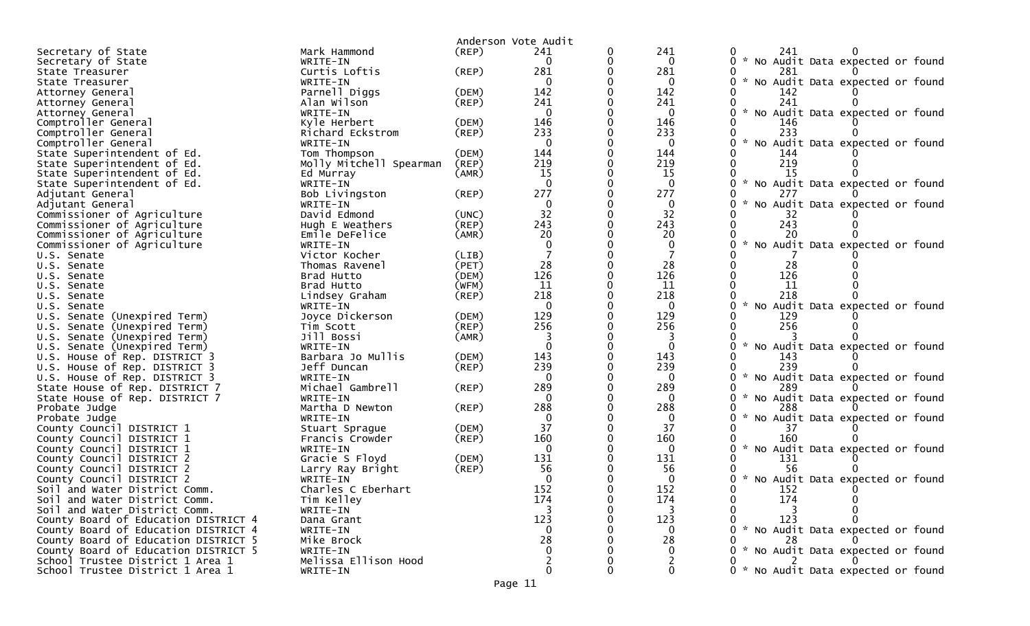|                                      |                         |             | Anderson Vote Audit |          |              |                                                       |
|--------------------------------------|-------------------------|-------------|---------------------|----------|--------------|-------------------------------------------------------|
| Secretary of State                   | Mark Hammond            | $($ REP $)$ | 241                 | 0        | 241          | 241<br>0                                              |
| Secretary of State                   | WRITE-IN                |             | $\Omega$            | 0        | $\mathbf 0$  | 0 * No Audit Data expected or found                   |
| State Treasurer                      | Curtis Loftis           | $($ REP $)$ | 281                 |          | 281          | 0<br>281                                              |
| State Treasurer                      | WRITE-IN                |             | $\mathbf{0}$        |          | 0            | * No Audit Data expected or found<br>0.               |
| Attorney General                     | Parnell Diggs           | (DEM)       | 142                 |          | 142          | 142                                                   |
| Attorney General                     | Alan Wilson             | (REP)       | 241                 |          | 241          | 241<br>0                                              |
| Attorney General                     | WRITE-IN                |             | $\mathbf{0}$        |          | $\mathbf{0}$ | $\sim$<br>No Audit Data expected or found<br>0        |
| Comptroller General                  | Kyle Herbert            | (DEM)       | 146                 |          | 146          | 146                                                   |
| Comptroller General                  | Richard Eckstrom        | (REP)       | 233                 |          | 233          | 233<br>0                                              |
| Comptroller General                  | WRITE-IN                |             | $\mathbf{0}$        | $\Omega$ | $\mathbf{0}$ | $\sim$<br>No Audit Data expected or found<br>0        |
| State Superintendent of Ed.          | Tom Thompson            | (DEM)       | 144                 |          | 144          | 144                                                   |
| State Superintendent of Ed.          | Molly Mitchell Spearman | (REP)       | 219                 |          | 219          | 219                                                   |
| State Superintendent of Ed.          | Ed Murray               | (AMR)       | 15                  |          | <b>15</b>    | 15                                                    |
| State Superintendent of Ed.          | WRITE-IN                |             | $\mathbf{0}$        |          | $\mathbf 0$  | $\sim$<br>0<br>No Audit Data expected or found        |
| Adjutant General                     | Bob Livingston          | (REP)       | 277                 | $\Omega$ | 277          | 277<br>0                                              |
| Adjutant General                     | WRITE-IN                |             | 0                   |          | $\mathbf{0}$ | No Audit Data expected or found<br>$\sim$<br>0        |
| Commissioner of Agriculture          | David Edmond            | (UNC)       | 32                  |          | 32           | 32                                                    |
| Commissioner of Agriculture          | Hugh E Weathers         | $($ REP $)$ | 243                 | $\Omega$ | 243          | 243<br>0                                              |
| Commissioner of Agriculture          | Emile DeFelice          | (AMR)       | 20                  |          | 20           | 20                                                    |
| Commissioner of Agriculture          | WRITE-IN                |             |                     |          | 0            | $\sim$<br>No Audit Data expected or found             |
| U.S. Senate                          | Victor Kocher           | (LIB)       |                     |          |              |                                                       |
| U.S. Senate                          | Thomas Ravenel          | (PET)       | 28                  |          | 28           | 28<br>0                                               |
| U.S. Senate                          | Brad Hutto              | (DEM)       | 126                 |          | 126          | 126                                                   |
| U.S. Senate                          | Brad Hutto              | (WFM)       | 11                  | 0        | 11           | 0<br>11                                               |
| U.S. Senate                          | Lindsey Graham          | $($ REP $)$ | 218                 |          | 218          | 218<br>0                                              |
| U.S. Senate                          | WRITE-IN                |             | $\Omega$            |          | $\Omega$     | 0<br>No Audit Data expected or found                  |
| U.S. Senate (Unexpired Term)         | Joyce Dickerson         | (DEM)       | 129                 | 0        | 129          | 129                                                   |
| U.S. Senate (Unexpired Term)         | Tim Scott               | (REP)       | 256                 |          | 256          | 256                                                   |
| U.S.<br>Senate (Unexpired Term)      | Jill Bossi              | (AMR)       |                     |          |              |                                                       |
| U.S. Senate (Unexpired Term)         | WRITE-IN                |             | $\Omega$            |          | $\mathbf{0}$ | $\sim$<br>0<br>No Audit Data expected or found        |
| U.S. House of Rep. DISTRICT 3        | Barbara Jo Mullis       | (DEM)       | 143                 |          | 143          | 143                                                   |
| U.S. House of Rep. DISTRICT 3        | Jeff Duncan             | $($ REP $)$ | 239                 |          | 239          | 239                                                   |
| U.S. House of Rep. DISTRICT 3        | WRITE-IN                |             | $\Omega$            |          | 0            | 0<br>No Audit Data expected or found                  |
| State House of Rep. DISTRICT 7       | Michael Gambrell        | $($ REP $)$ | 289                 |          | 289          | 289<br>0                                              |
| State House of Rep. DISTRICT 7       | WRITE-IN                |             | $\Omega$            |          | $\Omega$     | 0<br>$\sim$<br>No Audit Data expected or found        |
| Probate Judge                        | Martha D Newton         | $($ REP $)$ | 288                 | 0        | 288          | 288                                                   |
| Probate Judge                        | WRITE-IN                |             | $\Omega$            |          | $\mathbf{0}$ | $\sim$<br>0<br>No Audit Data expected or found        |
| County Council DISTRICT 1            | Stuart Sprague          | (DEM)       | 37                  |          | 37           |                                                       |
| County Council DISTRICT 1            | Francis Crowder         | $($ REP $)$ | 160                 |          | 160          | 160                                                   |
| County Council DISTRICT 1            | WRITE-IN                |             | $\mathbf{0}$        |          | 0            | $\mathcal{H}$<br>0<br>No Audit Data expected or found |
| County Council DISTRICT 2            | Gracie S Floyd          | (DEM)       | 131                 |          | 131          | 131                                                   |
| County Council DISTRICT 2            | Larry Ray Bright        | (REP)       | 56                  |          | 56           | 56                                                    |
| County Council DISTRICT 2            | WRITE-IN                |             | $\Omega$            |          | $\Omega$     | 0 * No Audit Data expected or found                   |
| Soil and Water District Comm.        | Charles C Eberhart      |             | 152                 |          | 152          | 0<br>152                                              |
| Soil and Water District Comm.        | Tim Kelley              |             | 174                 |          | 174          | 174                                                   |
| Soil and Water District Comm.        | WRITE-IN                |             |                     |          | 3            |                                                       |
| County Board of Education DISTRICT 4 | Dana Grant              |             | 123                 |          | 123          | 123                                                   |
| County Board of Education DISTRICT 4 | WRITE-IN                |             | $\Omega$            |          | $\Omega$     | 0 * No Audit Data expected or found                   |
| County Board of Education DISTRICT 5 | Mike Brock              |             | 28                  |          | 28           | 28                                                    |
| County Board of Education DISTRICT 5 | WRITE-IN                |             |                     |          |              | * No Audit Data expected or found                     |
| School Trustee District 1 Area 1     | Melissa Ellison Hood    |             |                     |          |              |                                                       |
| School Trustee District 1 Area 1     | WRITE-IN                |             | 0                   |          | $\mathbf{0}$ | 0 * No Audit Data expected or found                   |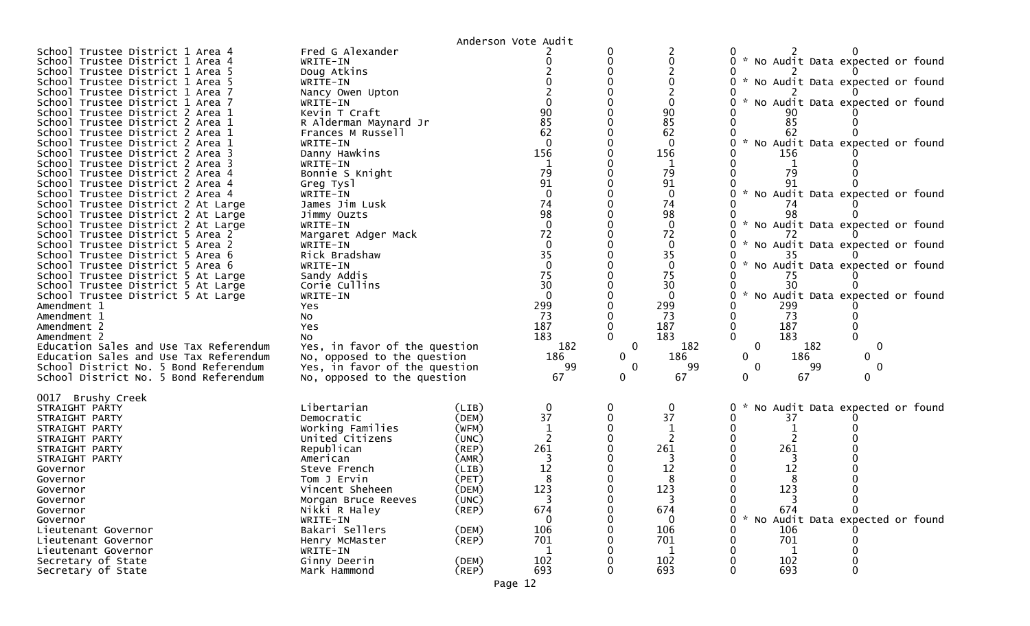|                                                                      |                                            | Anderson Vote Audit              |              |                         |              |                                          |             |  |
|----------------------------------------------------------------------|--------------------------------------------|----------------------------------|--------------|-------------------------|--------------|------------------------------------------|-------------|--|
| School Trustee District 1 Area 4                                     | Fred G Alexander                           |                                  |              |                         |              |                                          |             |  |
| School Trustee District 1 Area 4                                     | WRITE-IN                                   |                                  |              |                         |              | * No Audit Data expected or found        |             |  |
| School Trustee District 1 Area 5                                     | Doug Atkins                                |                                  |              |                         |              |                                          |             |  |
| School Trustee District 1 Area 5                                     | WRITE-IN                                   |                                  |              |                         |              | * No Audit Data expected or found        |             |  |
| School Trustee District 1 Area 7                                     | Nancy Owen Upton                           |                                  |              |                         |              |                                          |             |  |
| School Trustee District 1 Area 7                                     | WRITE-IN                                   |                                  |              |                         |              | * No Audit Data expected or found        |             |  |
| School Trustee District 2 Area 1                                     | Kevin T Craft                              | 90<br>85                         |              | 90<br>85                |              | 85                                       |             |  |
| School Trustee District 2 Area 1<br>School Trustee District 2 Area 1 | R Alderman Maynard Jr<br>Frances M Russell | 62                               |              | 62                      |              | 62                                       |             |  |
| School Trustee District 2 Area 1                                     | WRITE-IN                                   | $\Omega$                         |              | $\Omega$                |              | * No Audit Data expected or found        |             |  |
| School Trustee District 2 Area 3                                     | Danny Hawkins                              | 156                              |              | 156                     |              | 156                                      |             |  |
| School Trustee District 2 Area 3                                     | WRITE-IN                                   |                                  |              |                         |              |                                          |             |  |
| School Trustee District 2 Area 4                                     | Bonnie S Knight                            | 79                               |              | 79                      |              | 79                                       |             |  |
| School Trustee District 2 Area 4                                     | Greg Tysl                                  | 91                               |              | 91                      |              |                                          |             |  |
| School Trustee District 2 Area 4                                     | WRITE-IN                                   | $\Omega$                         |              | $\Omega$                |              | * No Audit Data expected or found        |             |  |
| School Trustee District 2 At Large                                   | James Jim Lusk                             | 74                               |              | 74                      |              | 74                                       |             |  |
| School Trustee District 2 At Large                                   | Jimmy Ouzts                                | 98                               |              | 98                      |              | 98                                       |             |  |
| School Trustee District 2 At Large                                   | WRITE-IN                                   | $\Omega$                         |              | $\Omega$                |              | * No Audit Data expected or found        |             |  |
| School Trustee District 5 Area 2                                     | Margaret Adger Mack                        | 72                               |              | 72                      |              |                                          |             |  |
| School Trustee District 5 Area 2                                     | WRITE-IN                                   | $\Omega$                         |              | 0                       |              | * No Audit Data expected or found        |             |  |
| School Trustee District 5 Area 6                                     | Rick Bradshaw                              | 35                               |              | 35                      |              |                                          |             |  |
| School Trustee District 5 Area 6                                     | WRITE-IN                                   | $\Omega$                         |              | $\mathbf{0}$            |              | * No Audit Data expected or found        |             |  |
| School Trustee District 5 At Large                                   | Sandy Addis                                | 75                               |              | 75                      |              | 75                                       |             |  |
| School Trustee District 5 At Large                                   | Corie Cullins                              | 30<br>$\Omega$                   |              | 30                      |              | 30                                       |             |  |
| School Trustee District 5 At Large<br>Amendment 1                    | WRITE-IN                                   | 299                              |              | $\Omega$                |              | * No Audit Data expected or found<br>299 |             |  |
| Amendment 1                                                          | Yes<br>No                                  | 73                               |              | 299<br>73               |              | 73                                       |             |  |
| Amendment 2                                                          | Yes                                        | 187                              |              | 187                     |              | 187                                      |             |  |
| Amendment 2                                                          | No                                         | 183                              |              | 183                     |              | 183                                      |             |  |
| Education Sales and Use Tax Referendum                               | Yes, in favor of the question              | 182                              | 0            | 182                     | $\mathbf{0}$ | 182                                      | $\mathbf 0$ |  |
| Education Sales and Use Tax Referendum                               | No, opposed to the question                | 186                              | $\mathbf{0}$ | 186                     | $\Omega$     | 186                                      | 0           |  |
| School District No. 5 Bond Referendum                                | Yes, in favor of the question              | 99                               | $\mathbf{0}$ | 99                      | 0            | -99                                      | 0           |  |
| School District No. 5 Bond Referendum                                | No, opposed to the question                | 67                               | $\mathbf{0}$ | 67                      | 0            | 67                                       | 0           |  |
|                                                                      |                                            |                                  |              |                         |              |                                          |             |  |
| 0017 Brushy Creek                                                    |                                            |                                  |              |                         |              |                                          |             |  |
| STRAIGHT PARTY                                                       | Libertarian                                | (LIB)                            |              | 0<br>37                 |              | * No Audit Data expected or found        |             |  |
| STRAIGHT PARTY<br>STRAIGHT PARTY                                     | Democratic<br>Working Families             | 37<br>(DEM)<br>(WFM)             |              |                         |              | 37                                       |             |  |
| STRAIGHT PARTY                                                       | United Citizens                            | (UNC)                            |              |                         |              |                                          |             |  |
| STRAIGHT PARTY                                                       | Republican                                 | 261<br>$($ REP $)$               |              | 261                     |              | 261                                      |             |  |
| STRAIGHT PARTY                                                       | American                                   | (AMR)                            |              |                         |              |                                          |             |  |
| Governor                                                             | Steve French                               | 12<br>(LIB)                      |              | 12                      |              | 12                                       |             |  |
| Governor                                                             | Tom J Ervin                                | (PET)                            |              |                         |              |                                          |             |  |
| Governor                                                             | Vincent Sheheen                            | 123<br>(DEM)                     |              | 123                     |              | 123                                      |             |  |
| Governor                                                             | Morgan Bruce Reeves                        | $\overline{\mathbf{3}}$<br>(UNC) |              | $\overline{\mathbf{3}}$ | 0            | -3                                       | 0           |  |
| Governor                                                             | Nikki R Haley                              | 674<br>$($ REP $)$               |              | 674                     |              | 674                                      |             |  |
| Governor                                                             | WRITE-IN                                   | 0                                |              | 0                       |              | * No Audit Data expected or found        |             |  |
| Lieutenant Governor                                                  | Bakari Sellers                             | 106<br>(DEM)                     |              | 106                     |              | 106                                      |             |  |
| Lieutenant Governor                                                  | Henry McMaster                             | (REP)<br>701                     |              | 701                     |              | 701                                      |             |  |
| Lieutenant Governor                                                  | WRITE-IN                                   | $\mathbf{1}$                     |              | 1                       |              |                                          |             |  |
| Secretary of State                                                   | Ginny Deerin                               | 102<br>(DEM)                     |              | 102                     |              | 102                                      |             |  |
| Secretary of State                                                   | Mark Hammond                               | $($ REP $)$<br>693               |              | 693                     |              | 693                                      |             |  |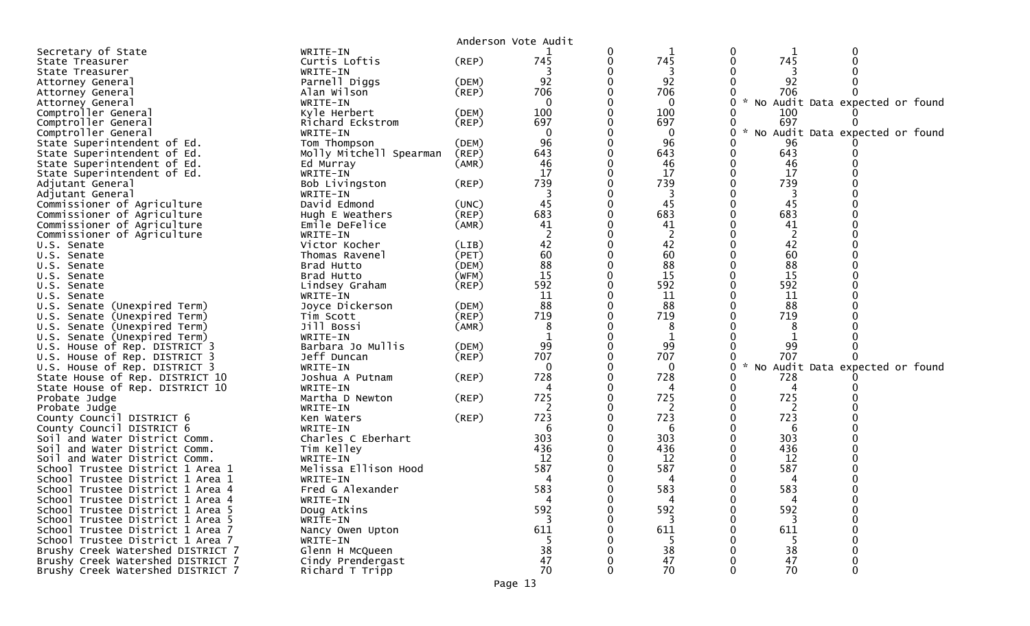|                                   |                         |             | Anderson Vote Audit |          |   |                                   |                                 |  |
|-----------------------------------|-------------------------|-------------|---------------------|----------|---|-----------------------------------|---------------------------------|--|
| Secretary of State                | WRITE-IN                |             |                     |          | 0 |                                   |                                 |  |
| State Treasurer                   | Curtis Loftis           | (REP)       | 745                 | 745      |   | 745                               |                                 |  |
| State Treasurer                   | WRITE-IN                |             |                     | 3        |   |                                   |                                 |  |
| Attorney General                  | Parnell Diggs           | (DEM)       | 92                  | 92       |   | 92                                |                                 |  |
| Attorney General                  | Alan Wilson             | (REP)       | 706                 | 706      |   | 706                               |                                 |  |
| Attorney General                  | WRITE-IN                |             |                     | $\Omega$ |   | * No Audit Data expected or found |                                 |  |
| Comptroller General               | Kyle Herbert            | (DEM)       | 100                 | 100      |   | 100                               |                                 |  |
| Comptroller General               | Richard Eckstrom        | (REP)       | 697                 | 697      |   | 697                               |                                 |  |
| Comptroller General               | WRITE-IN                |             |                     | 0        |   |                                   | No Audit Data expected or found |  |
| State Superintendent of Ed.       | Tom Thompson            | (DEM)       | 96                  | 96       |   | 96                                |                                 |  |
| State Superintendent of Ed.       | Molly Mitchell Spearman | (REP)       | 643                 | 643      |   | 643                               |                                 |  |
| State Superintendent of Ed.       | Ed Murray               | (AMR)       | 46                  | 46       |   | 46                                |                                 |  |
| State Superintendent of Ed.       | WRITE-IN                |             | 17                  | 17       |   | 17                                |                                 |  |
| Adjutant General                  | Bob Livingston          | (REP)       | 739                 | 739      |   | 739                               |                                 |  |
| Adjutant General                  | WRITE-IN                |             |                     | 3        |   | 3                                 |                                 |  |
| Commissioner of Agriculture       | David Edmond            | (UNC)       | 45                  | 45       |   | 45                                |                                 |  |
| Commissioner of Agriculture       | Hugh E Weathers         | (REP)       | 683                 | 683      |   | 683                               |                                 |  |
| Commissioner of Agriculture       | Emile DeFelice          | (AMR)       | 41                  | 41       |   | 41                                |                                 |  |
| Commissioner of Agriculture       | WRITE-IN                |             |                     | 2        |   | 2                                 |                                 |  |
| U.S. Senate                       | Victor Kocher           | (LIB)       | 42                  | 42       |   | 42                                |                                 |  |
| U.S. Senate                       | Thomas Ravenel          | (PET)       | 60                  | 60       |   | 60                                |                                 |  |
| U.S. Senate                       | Brad Hutto              | (DEM)       | 88                  | 88       |   | 88                                |                                 |  |
| U.S. Senate                       | Brad Hutto              | (WFM)       | 15                  | 15       |   | 15                                |                                 |  |
| U.S. Senate                       | Lindsey Graham          | $($ REP $)$ | 592                 | 592      |   | 592                               |                                 |  |
| U.S. Senate                       | WRITE-IN                |             | 11                  | 11       |   | 11                                |                                 |  |
| U.S. Senate (Unexpired Term)      | Joyce Dickerson         | (DEM)       | 88                  | 88       |   | 88                                |                                 |  |
| U.S. Senate (Unexpired Term)      | Tim Scott               | (REP)       | 719                 | 719      |   | 719                               |                                 |  |
| U.S. Senate (Unexpired Term)      | Jill Bossi              | (AMR)       | 8                   | 8        |   | 8                                 |                                 |  |
| U.S. Senate (Unexpired Term)      | WRITE-IN                |             |                     |          |   |                                   |                                 |  |
| U.S. House of Rep. DISTRICT 3     | Barbara Jo Mullis       | (DEM)       | 99                  | 99       |   | 99                                |                                 |  |
| U.S. House of Rep. DISTRICT 3     | Jeff Duncan             | $($ REP $)$ | 707                 | 707      |   | 707                               |                                 |  |
| U.S. House of Rep. DISTRICT 3     | WRITE-IN                |             |                     | $\Omega$ | 0 | $\mathcal{R}$                     | No Audit Data expected or found |  |
| State House of Rep. DISTRICT 10   | Joshua A Putnam         | (REP)       | 728                 | 728      |   | 728                               |                                 |  |
| State House of Rep. DISTRICT 10   | WRITE-IN                |             | 4                   | 4        |   | 4                                 |                                 |  |
| Probate Judge                     | Martha D Newton         | (REP)       | 725                 | 725      |   | 725                               |                                 |  |
| Probate Judge                     | WRITE-IN                |             |                     |          |   |                                   |                                 |  |
| County Council DISTRICT 6         | Ken Waters              | (REP)       | 723                 | 723      |   | 723                               |                                 |  |
| County Council DISTRICT 6         | WRITE-IN                |             |                     | 6        |   | 6                                 |                                 |  |
| Soil and Water District Comm.     | Charles C Eberhart      |             | 303                 | 303      |   | 303                               |                                 |  |
| Soil and Water District Comm.     | Tim Kelley              |             | 436                 | 436      |   | 436                               |                                 |  |
| Soil and Water District Comm.     | WRITE-IN                |             | 12                  | 12       |   | 12                                |                                 |  |
| School Trustee District 1 Area 1  | Melissa Ellison Hood    |             | 587                 | 587      |   | 587                               |                                 |  |
| School Trustee District 1 Area 1  | WRITE-IN                |             | 4                   | 4        |   | 4                                 |                                 |  |
| School Trustee District 1 Area 4  | Fred G Alexander        |             | 583                 | 583      |   | 583                               |                                 |  |
| School Trustee District 1 Area 4  | WRITE-IN                |             | 4                   | 4        |   | 4                                 |                                 |  |
| School Trustee District 1 Area 5  | Doug Atkins             |             | 592                 | 592      |   | 592                               |                                 |  |
| School Trustee District 1 Area 5  | WRITE-IN                |             | 3                   |          |   |                                   |                                 |  |
| School Trustee District 1 Area 7  | Nancy Owen Upton        |             | 611                 | 611      |   | 611                               |                                 |  |
| School Trustee District 1 Area 7  | WRITE-IN                |             |                     |          |   | -5                                |                                 |  |
| Brushy Creek Watershed DISTRICT 7 | Glenn H McQueen         |             | 38                  | 38       |   | 38                                |                                 |  |
| Brushy Creek Watershed DISTRICT 7 | Cindy Prendergast       |             | 47                  | 47       |   | 47                                |                                 |  |
| Brushy Creek Watershed DISTRICT 7 | Richard T Tripp         |             | 70                  | 70       |   | 70                                |                                 |  |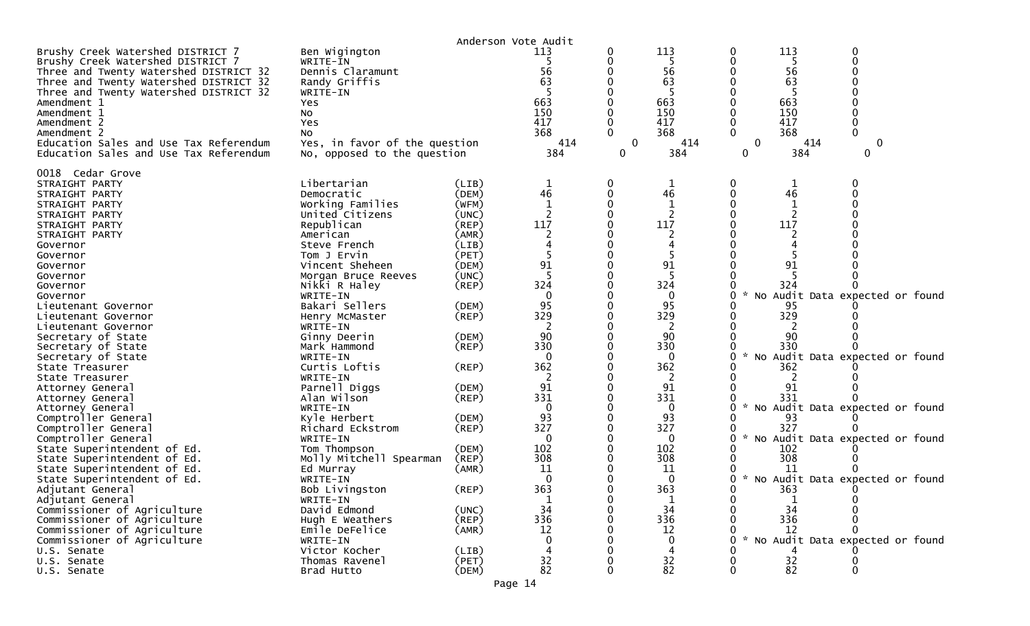| Anderson Vote Audit                                                                                                                                                                                                                                                                                                                                                                                                                                                                                                                                                                                                                                                                                                                                                                                                               |                                                                                                                                                                                                                                                                                                                                                                                                                                                                                                                                                                                                           |                                                                                                                                                                                                                                                                                        |                                                                                                                                                                                                                                           |                                        |                                                                                                                                                                                                                                         |                     |                                                                                                                                                                                                                                                                                                                                                                             |        |  |
|-----------------------------------------------------------------------------------------------------------------------------------------------------------------------------------------------------------------------------------------------------------------------------------------------------------------------------------------------------------------------------------------------------------------------------------------------------------------------------------------------------------------------------------------------------------------------------------------------------------------------------------------------------------------------------------------------------------------------------------------------------------------------------------------------------------------------------------|-----------------------------------------------------------------------------------------------------------------------------------------------------------------------------------------------------------------------------------------------------------------------------------------------------------------------------------------------------------------------------------------------------------------------------------------------------------------------------------------------------------------------------------------------------------------------------------------------------------|----------------------------------------------------------------------------------------------------------------------------------------------------------------------------------------------------------------------------------------------------------------------------------------|-------------------------------------------------------------------------------------------------------------------------------------------------------------------------------------------------------------------------------------------|----------------------------------------|-----------------------------------------------------------------------------------------------------------------------------------------------------------------------------------------------------------------------------------------|---------------------|-----------------------------------------------------------------------------------------------------------------------------------------------------------------------------------------------------------------------------------------------------------------------------------------------------------------------------------------------------------------------------|--------|--|
| Brushy Creek Watershed DISTRICT 7<br>Brushy Creek Watershed DISTRICT 7<br>Three and Twenty Watershed DISTRICT 32<br>Three and Twenty Watershed DISTRICT 32<br>Three and Twenty Watershed DISTRICT 32<br>Amendment 1<br>Amendment 1<br>Amendment 2<br>Amendment 2<br>Education Sales and Use Tax Referendum<br>Education Sales and Use Tax Referendum                                                                                                                                                                                                                                                                                                                                                                                                                                                                              | Ben Wigington<br>WRITE-IN<br>Dennis Claramunt<br>Randy Griffis<br>WRITE-IN<br>Yes<br>NO.<br>Yes<br>NO.<br>Yes, in favor of the question<br>No, opposed to the question                                                                                                                                                                                                                                                                                                                                                                                                                                    |                                                                                                                                                                                                                                                                                        | 113<br>5<br>56<br>63<br>663<br>150<br>417<br>368<br>414<br>384                                                                                                                                                                            | 0<br>0<br>$\Omega$<br>$\mathbf 0$<br>0 | 113<br>-5<br>56<br>63<br>663<br>150<br>417<br>368<br>414<br>384                                                                                                                                                                         | 0<br>0<br>0         | 113<br>5<br>56<br>63<br>663<br>150<br>417<br>368<br>414<br>384                                                                                                                                                                                                                                                                                                              | 0<br>0 |  |
| 0018 Cedar Grove<br>STRAIGHT PARTY<br>STRAIGHT PARTY<br>STRAIGHT PARTY<br>STRAIGHT PARTY<br>STRAIGHT PARTY<br>STRAIGHT PARTY<br>Governor<br>Governor<br>Governor<br>Governor<br>Governor<br>Governor<br>Lieutenant Governor<br>Lieutenant Governor<br>Lieutenant Governor<br>Secretary of State<br>Secretary of State<br>Secretary of State<br>State Treasurer<br>State Treasurer<br>Attorney General<br>Attorney General<br>Attorney General<br>Comptroller General<br>Comptroller General<br>Comptroller General<br>State Superintendent of Ed.<br>State Superintendent of Ed.<br>State Superintendent of Ed.<br>State Superintendent of Ed.<br>Adjutant General<br>Adjutant General<br>Commissioner of Agriculture<br>Commissioner of Agriculture<br>Commissioner of Agriculture<br>Commissioner of Agriculture<br>U.S. Senate | Libertarian<br>Democratic<br>Working Families<br>United Citizens<br>Republican<br>American<br>Steve French<br>Tom J Ervin<br>Vincent Sheheen<br>Morgan Bruce Reeves<br>Nikki R Haley<br>WRITE-IN<br>Bakari Sellers<br>Henry McMaster<br>WRITE-IN<br>Ginny Deerin<br>Mark Hammond<br>WRITE-IN<br>Curtis Loftis<br>WRITE-IN<br>Parnell Diggs<br>Alan Wilson<br>WRITE-IN<br>Kyle Herbert<br>Richard Eckstrom<br>WRITE-IN<br>Tom Thompson<br>Molly Mitchell Spearman<br>Ed Murray<br>WRITE-IN<br>Bob Livingston<br>WRITE-IN<br>David Edmond<br>Hugh E Weathers<br>Emile DeFelice<br>WRITE-IN<br>Victor Kocher | (LIB)<br>(DEM)<br>(WFM)<br>(UNC)<br>(REP)<br>(AMR)<br>(LIB)<br>(PET)<br>(DEM)<br>(UNC)<br>$($ REP $)$<br>(DEM)<br>(REP)<br>(DEM)<br>(REP)<br>(REP)<br>(DEM)<br>$($ REP $)$<br>(DEM)<br>$($ REP $)$<br>(DEM)<br>$($ REP $)$<br>(AMR)<br>$($ REP $)$<br>(UNC)<br>(REP)<br>(AMR)<br>(LIB) | 1<br>46<br>$\mathbf{1}$<br>117<br>91<br>324<br>$\mathbf{0}$<br>95<br>329<br>90<br>330<br>$\Omega$<br>362<br>2<br>91<br>331<br>$\mathbf{0}$<br>93<br>327<br>0<br>102<br>308<br>11<br>$\mathbf 0$<br>363<br>$\mathbf{1}$<br>34<br>336<br>12 | 0<br>0<br>0<br>0                       | $\mathbf 1$<br>46<br>117<br>91<br>324<br>$\mathbf{0}$<br>95<br>329<br>90<br>330<br>$\Omega$<br>362<br>2<br>91<br>331<br>$\Omega$<br>93<br>327<br>$\Omega$<br>102<br>308<br>11<br>$\mathbf 0$<br>363<br>1<br>34<br>336<br>12<br>$\Omega$ | NO<br>$\mathcal{H}$ | 1<br>46<br>$\mathbf{1}$<br>117<br>91<br>324<br>Audit Data expected or found<br>95<br>329<br>90<br>330<br>No Audit Data expected or found<br>362<br>2<br>91<br>331<br>No Audit Data expected or found<br>93<br>327<br>No Audit Data expected or found<br>102<br>308<br>-11<br>* No Audit Data expected or found<br>363<br>34<br>336<br>12<br>No Audit Data expected or found |        |  |
| U.S. Senate<br>U.S. Senate                                                                                                                                                                                                                                                                                                                                                                                                                                                                                                                                                                                                                                                                                                                                                                                                        | Thomas Ravenel<br>Brad Hutto                                                                                                                                                                                                                                                                                                                                                                                                                                                                                                                                                                              | (PET)<br>(DEM)                                                                                                                                                                                                                                                                         | 32<br>82                                                                                                                                                                                                                                  |                                        | 32<br>82                                                                                                                                                                                                                                |                     | 32<br>82                                                                                                                                                                                                                                                                                                                                                                    |        |  |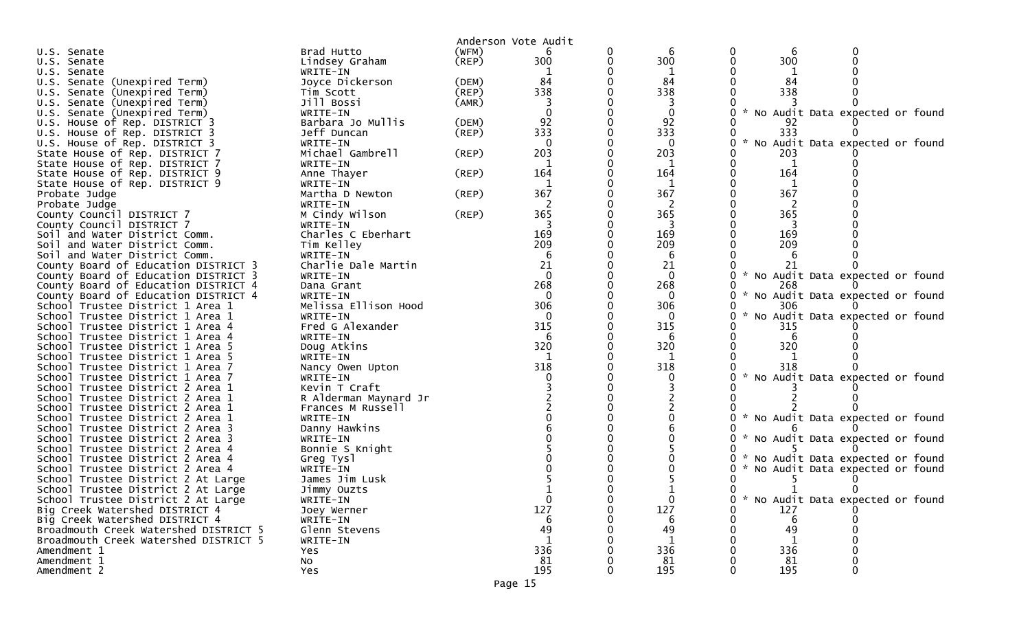|                                                                      |                                        |             | Anderson Vote Audit |   |          |                                                  |  |
|----------------------------------------------------------------------|----------------------------------------|-------------|---------------------|---|----------|--------------------------------------------------|--|
| U.S. Senate                                                          | Brad Hutto                             | (WFM)       | 6                   | 0 | 6        | 6                                                |  |
| U.S. Senate                                                          | Lindsey Graham                         | (REP)       | 300                 | 0 | 300      | 300                                              |  |
| U.S. Senate                                                          | WRITE-IN                               |             |                     |   |          |                                                  |  |
| U.S. Senate (Unexpired Term)                                         | Joyce Dickerson                        | (DEM)       | 84                  |   | 84       | 84                                               |  |
| U.S. Senate (Unexpired Term)                                         | Tim Scott                              | (REP)       | 338                 |   | 338      | 338                                              |  |
| U.S. Senate (Unexpired Term)                                         | Jill Bossi                             | (AMR)       |                     |   |          |                                                  |  |
| U.S. Senate (Unexpired Term)                                         | WRITE-IN                               |             |                     |   | 0        | No Audit Data expected or found                  |  |
| U.S. House of Rep. DISTRICT 3                                        | Barbara Jo Mullis                      | (DEM)       | 92                  |   | 92       |                                                  |  |
| U.S. House of Rep. DISTRICT 3                                        | Jeff Duncan                            | $($ REP $)$ | 333                 |   | 333      | 333                                              |  |
| U.S. House of Rep. DISTRICT 3                                        | WRITE-IN                               |             | $\Omega$            |   | $\Omega$ | No Audit Data expected or found                  |  |
| State House of Rep. DISTRICT 7                                       | Michael Gambrell                       | (REP)       | 203                 |   | 203      | 203                                              |  |
| State House of Rep. DISTRICT 7                                       | WRITE-IN                               |             |                     |   |          |                                                  |  |
| State House of Rep. DISTRICT 9                                       | Anne Thayer                            | (REP)       | 164<br>-1           |   | 164      | 164                                              |  |
| State House of Rep. DISTRICT 9                                       | WRITE-IN<br>Martha D Newton            | (REP)       | 367                 |   | 1<br>367 | 1<br>367                                         |  |
| Probate Judge<br>Probate Judge                                       | WRITE-IN                               |             | 2                   |   | 2        | 2                                                |  |
| County Council DISTRICT 7                                            | M Cindy Wilson                         | $($ REP $)$ | 365                 |   | 365      | 365                                              |  |
| County Council DISTRICT 7                                            | WRITE-IN                               |             |                     |   |          |                                                  |  |
| Soil and Water District Comm.                                        | Charles C Eberhart                     |             | 169                 |   | 169      | 169                                              |  |
| Soil and Water District Comm.                                        | Tim Kelley                             |             | 209                 |   | 209      | 209                                              |  |
| Soil and Water District Comm.                                        | WRITE-IN                               |             | 6                   |   | 6        |                                                  |  |
| County Board of Education DISTRICT 3                                 | Charlie Dale Martin                    |             | 21                  |   | 21       |                                                  |  |
| County Board of Education DISTRICT 3                                 | WRITE-IN                               |             | $\Omega$            |   | $\Omega$ | $\mathcal{H}$<br>No Audit Data expected or found |  |
| County Board of Education DISTRICT 4                                 | Dana Grant                             |             | 268                 |   | 268      | 268                                              |  |
| County Board of Education DISTRICT 4                                 | WRITE-IN                               |             | $\mathbf{0}$        |   | $\Omega$ | No Audit Data expected or found                  |  |
| School Trustee District 1 Area 1                                     | Melissa Ellison Hood                   |             | 306                 |   | 306      | 306                                              |  |
| School Trustee District 1 Area 1                                     | WRITE-IN                               |             | $\Omega$            |   | $\Omega$ | No Audit Data expected or found                  |  |
| School Trustee District 1 Area 4                                     | Fred G Alexander                       |             | 315                 |   | 315      | 315                                              |  |
| School Trustee District 1 Area 4                                     | WRITE-IN                               |             | 6                   |   | 6        |                                                  |  |
| School Trustee District 1 Area 5                                     | Doug Atkins                            |             | 320                 |   | 320      | 320                                              |  |
| School Trustee District 1 Area 5                                     | WRITE-IN                               |             |                     |   |          |                                                  |  |
| School Trustee District 1 Area 7                                     | Nancy Owen Upton                       |             | 318                 |   | 318      | 318                                              |  |
| School Trustee District 1 Area 7                                     | WRITE-IN                               |             |                     |   |          | No Audit Data expected or found                  |  |
| School Trustee District 2 Area 1<br>School Trustee District 2 Area 1 | Kevin T Craft<br>R Alderman Maynard Jr |             |                     |   |          |                                                  |  |
| School Trustee District 2 Area 1                                     | Frances M Russell                      |             |                     |   |          |                                                  |  |
| School Trustee District 2 Area 1                                     | WRITE-IN                               |             |                     |   |          | * No Audit Data expected or found                |  |
| School Trustee District 2 Area 3                                     | Danny Hawkins                          |             |                     |   |          |                                                  |  |
| School Trustee District 2 Area 3                                     | WRITE-IN                               |             |                     |   |          | No Audit Data expected or found                  |  |
| School Trustee District 2 Area 4                                     | Bonnie S Knight                        |             |                     |   |          |                                                  |  |
| School Trustee District 2 Area 4                                     | Greg Tysl                              |             |                     |   |          | No Audit Data expected or found                  |  |
| School Trustee District 2 Area 4                                     | WRITE-IN                               |             |                     |   |          | No Audit Data expected or found                  |  |
| School Trustee District 2 At Large                                   | James Jim Lusk                         |             |                     |   |          |                                                  |  |
| School Trustee District 2 At Large                                   | Jimmy Ouzts                            |             |                     |   |          | 0<br>$\Omega$                                    |  |
| School Trustee District 2 At Large                                   | WRITE-IN                               |             | $\mathbf{0}$        |   | $\Omega$ | * No Audit Data expected or found<br>0           |  |
| Big Creek Watershed DISTRICT 4                                       | Joey Werner                            |             | 127                 |   | 127      | 127                                              |  |
| Big Creek Watershed DISTRICT 4                                       | WRITE-IN                               |             | 6                   |   | 6        | 6                                                |  |
| Broadmouth Creek Watershed DISTRICT 5                                | Glenn Stevens                          |             | 49                  |   | 49       | 49                                               |  |
| Broadmouth Creek Watershed DISTRICT 5                                | WRITE-IN                               |             |                     |   |          |                                                  |  |
| Amendment 1                                                          | Yes                                    |             | 336                 |   | 336      | 336                                              |  |
| Amendment 1                                                          | No                                     |             | 81                  |   | 81       | 81                                               |  |
| Amendment 2                                                          | Yes                                    |             | 195                 |   | 195      | 195                                              |  |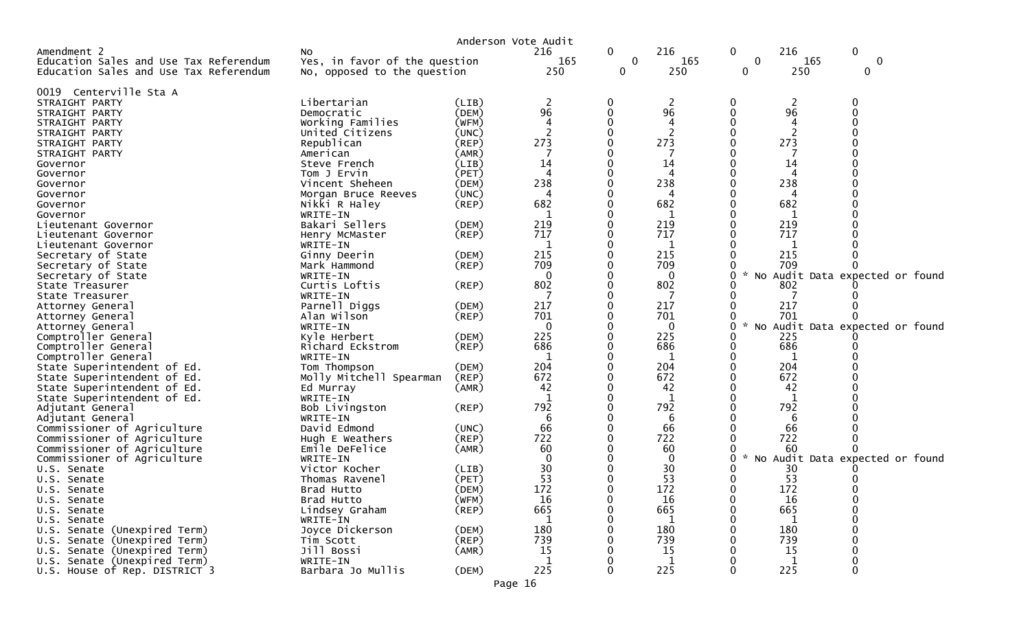|                                            |                                | Anderson Vote Audit  |          |        |             |             |              |                                 |
|--------------------------------------------|--------------------------------|----------------------|----------|--------|-------------|-------------|--------------|---------------------------------|
| Amendment 2                                | NO.                            |                      | 216      | 0      | 216         | 0           | 216          | 0                               |
| Education Sales and Use Tax Referendum     | Yes, in favor of the question  |                      | 165      | 0      | 165         | $\mathbf 0$ | 165          | 0                               |
| Education Sales and Use Tax Referendum     | No, opposed to the question    |                      | 250      | 0      | 250         | 0           | 250          | 0                               |
|                                            |                                |                      |          |        |             |             |              |                                 |
| 0019 Centerville Sta A                     | Libertarian                    |                      |          |        |             |             |              |                                 |
| STRAIGHT PARTY                             |                                | (LIB)                | 2<br>96  | 0<br>0 | 2<br>96     | 0           | 2<br>96      |                                 |
| STRAIGHT PARTY                             | Democratic<br>Working Families | (DEM)<br>(WFM)       | 4        |        | 4           |             | 4            |                                 |
| STRAIGHT PARTY                             | United Citizens                |                      | 2        |        |             |             |              |                                 |
| STRAIGHT PARTY<br>STRAIGHT PARTY           |                                | (UNC)                | 273      |        | 2<br>273    |             | 273          |                                 |
| STRAIGHT PARTY                             | Republican<br>American         | $($ REP $)$<br>(AMR) |          |        |             |             |              |                                 |
|                                            | Steve French                   | (LIB)                | 14       |        | 14          |             | 14           |                                 |
| Governor<br>Governor                       | Tom J Ervin                    | (PET)                | 4        |        | 4           |             | 4            |                                 |
| Governor                                   | Vincent Sheheen                | (DEM)                | 238      |        | 238         |             | 238          |                                 |
| Governor                                   | Morgan Bruce Reeves            | (UNC)                | 4        |        |             |             |              |                                 |
| Governor                                   | Nikki R Haley                  | $($ REP $)$          | 682      |        | 682         |             | 682          |                                 |
| Governor                                   | WRITE-IN                       |                      |          |        | 1           |             | 1            |                                 |
| Lieutenant Governor                        | Bakari Sellers                 | (DEM)                | 219      |        | 219         |             | 219          |                                 |
|                                            | Henry McMaster                 | (REP)                | 717      |        | 717         |             | 717          |                                 |
| Lieutenant Governor<br>Lieutenant Governor | WRITE-IN                       |                      |          |        | 1           |             |              |                                 |
| Secretary of State                         | Ginny Deerin                   | (DEM)                | 215      |        | 215         |             | 215          |                                 |
| Secretary of State                         | Mark Hammond                   | (REP)                | 709      |        | 709         |             | 709          |                                 |
| Secretary of State                         | WRITE-IN                       |                      | $\Omega$ |        | $\Omega$    | 0           |              | No Audit Data expected or found |
| State Treasurer                            | Curtis Loftis                  | $($ REP $)$          | 802      |        | 802         |             | 802          |                                 |
| State Treasurer                            | WRITE-IN                       |                      |          |        | 7           |             |              |                                 |
| Attorney General                           | Parnell Diggs                  | (DEM)                | 217      |        | 217         |             | 217          |                                 |
| Attorney General                           | Alan Wilson                    | (REP)                | 701      |        | 701         | 0           | 701          |                                 |
| Attorney General                           | WRITE-IN                       |                      | 0        |        | $\mathbf 0$ | 0           |              | No Audit Data expected or found |
| Comptroller General                        | Kyle Herbert                   | (DEM)                | 225      |        | 225         |             | 225          |                                 |
| Comptroller General                        | Richard Eckstrom               | $($ REP $)$          | 686      |        | 686         |             | 686          |                                 |
| Comptroller General                        | WRITE-IN                       |                      | 1        |        | 1           |             | 1            |                                 |
| State Superintendent of Ed.                | Tom Thompson                   | (DEM)                | 204      |        | 204         |             | 204          |                                 |
| State Superintendent of Ed.                | Molly Mitchell Spearman        | (REP)                | 672      |        | 672         |             | 672          |                                 |
| State Superintendent of Ed.                | Ed Murray                      | (AMR)                | 42       |        | 42          |             | 42           |                                 |
| State Superintendent of Ed.                | WRITE-IN                       |                      |          |        | 1           |             | 1            |                                 |
| Adjutant General                           | Bob Livingston                 | (REP)                | 792      |        | 792         |             | 792          |                                 |
| Adjutant General                           | WRITE-IN                       |                      | 6        |        | 6           |             | 6            |                                 |
| Commissioner of Agriculture                | David Edmond                   | (UNC)                | 66       |        | 66          |             | 66           |                                 |
| Commissioner of Agriculture                | Hugh E Weathers                | (REP)                | 722      |        | 722         |             | 722          |                                 |
| Commissioner of Agriculture                | Emile DeFelice                 | (AMR)                | 60       |        | 60          |             | 60           |                                 |
| Commissioner of Agriculture                | WRITE-IN                       |                      |          |        | $\mathbf 0$ | 0           |              | No Audit Data expected or found |
| U.S. Senate                                | Victor Kocher                  | (LIB)                | 30       |        | 30          |             | 30           |                                 |
| U.S. Senate                                | Thomas Ravenel                 | (PET)                | 53       |        | 53          |             | 53           |                                 |
| U.S. Senate                                | Brad Hutto                     | (DEM)                | 172      |        | 172         | 0           | 172          |                                 |
| U.S. Senate                                | Brad Hutto                     | (WFM)                | 16       | 0      | 16          | 0           | 16           | $\Omega$                        |
| U.S. Senate                                | Lindsey Graham                 | $($ REP $)$          | 665      |        | 665         | 0           | 665          |                                 |
| U.S. Senate                                | WRITE-IN                       |                      | 1        |        | -1          |             | -1           |                                 |
| U.S. Senate (Unexpired Term)               | Joyce Dickerson                | (DEM)                | 180      |        | 180         |             | 180          |                                 |
| U.S. Senate (Unexpired Term)               | Tim Scott                      | (REP)                | 739      |        | 739         |             | 739          |                                 |
| U.S. Senate (Unexpired Term)               | Jill Bossi                     | (AMR)                | 15       |        | 15          |             | 15           |                                 |
| U.S. Senate (Unexpired Term)               | WRITE-IN                       |                      | 1        |        | 1           |             | $\mathbf{1}$ |                                 |
| U.S. House of Rep. DISTRICT 3              | Barbara Jo Mullis              | (DEM)                | 225      | O      | 225         | 0           | 225          | $\Omega$                        |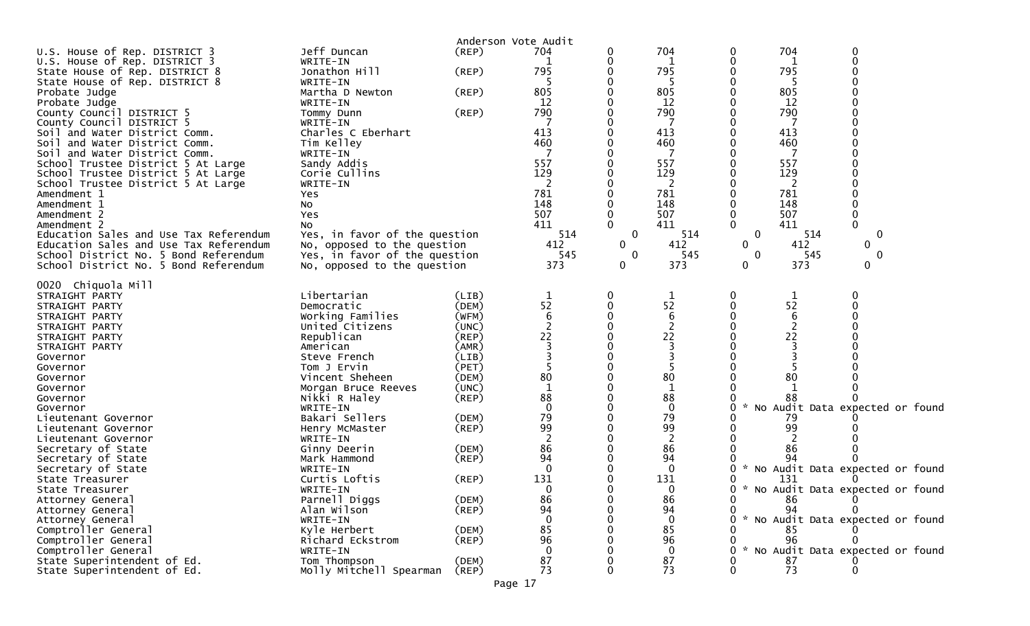|                                        |                               |             | Anderson Vote Audit |             |                 |                    |                                     |
|----------------------------------------|-------------------------------|-------------|---------------------|-------------|-----------------|--------------------|-------------------------------------|
| U.S. House of Rep. DISTRICT 3          | Jeff Duncan                   | $($ REP $)$ | 704                 | 0           | 704             | 0                  | 704<br>$\Omega$                     |
| U.S. House of Rep. DISTRICT 3          | WRITE-IN                      |             |                     | 0           | 1               | 0                  | $\Omega$<br>1                       |
| State House of Rep. DISTRICT 8         | Jonathon Hill                 | (REP)       | 795                 |             | 795             |                    | 795                                 |
| State House of Rep. DISTRICT 8         | WRITE-IN                      |             | 5                   |             | 5               | 0                  | 5                                   |
| Probate Judge                          | Martha D Newton               | (REP)       | 805                 |             | 805             |                    | 805                                 |
| Probate Judge                          | WRITE-IN                      |             | 12                  |             | 12              | 0                  | 12                                  |
| County Council DISTRICT 5              | Tommy Dunn                    | (REP)       | 790                 |             | 790             |                    | 790                                 |
| County Council DISTRICT 5              | WRITE-IN                      |             |                     |             |                 |                    |                                     |
| Soil and Water District Comm.          | Charles C Eberhart            |             | 413                 |             | 413             | 413                |                                     |
| Soil and Water District Comm.          | Tim Kelley                    |             | 460                 |             | 460             |                    | 460                                 |
| Soil and Water District Comm.          | WRITE-IN                      |             |                     |             | 7               |                    | -7                                  |
| School Trustee District 5 At Large     | Sandy Addis                   |             | 557                 |             | 557             |                    | 557                                 |
| School Trustee District 5 At Large     | Corie Cullins                 |             | 129                 |             | 129             |                    | 129                                 |
| School Trustee District 5 At Large     | WRITE-IN                      |             | 2                   |             | 2               |                    | 2                                   |
| Amendment 1                            | Yes                           |             | 781                 |             | 781             |                    | 781                                 |
| Amendment 1                            | No                            |             | 148                 |             | 148             |                    | 148                                 |
| Amendment 2                            | Yes                           |             | 507                 | 0           | 507             | 0                  | 507<br>0                            |
| Amendment 2                            | No                            |             | 411                 |             | 411             | 0                  | 411                                 |
| Education Sales and Use Tax Referendum | Yes, in favor of the question |             | 514                 | $\mathbf 0$ | 514             | $\mathbf{0}$       | 0<br>514                            |
| Education Sales and Use Tax Referendum | No, opposed to the question   |             | 412                 | 0           | 412             | 0                  | 412<br>0                            |
| School District No. 5 Bond Referendum  | Yes, in favor of the question |             | 545                 | 0           | 545             | 0                  | 545<br>0                            |
| School District No. 5 Bond Referendum  | No, opposed to the question   |             | 373                 | 0           | 373             | 0                  | 373<br>0                            |
|                                        |                               |             |                     |             |                 |                    |                                     |
| 0020 Chiquola Mill                     |                               |             |                     |             |                 |                    |                                     |
| STRAIGHT PARTY                         | Libertarian                   | (LIB)       | $\mathbf 1$         | 0           | 1               | 0                  | 1                                   |
| STRAIGHT PARTY                         | Democratic                    | (DEM)       | 52                  | 0           | 52              |                    | 52                                  |
| STRAIGHT PARTY                         | Working Families              | (WFM)       | 6                   |             | $6\phantom{1}6$ |                    | $\boldsymbol{6}$                    |
| STRAIGHT PARTY                         | United Citizens               | (UNC)       | $\overline{2}$      |             | $\overline{2}$  |                    | $\overline{2}$                      |
| STRAIGHT PARTY                         | Republican                    | (REP)       | 22                  |             | 22              |                    | 22                                  |
| STRAIGHT PARTY                         | American                      | (AMR)       |                     |             | 3               |                    | 3                                   |
| Governor                               | Steve French                  | (LIB)       |                     |             | 3               |                    | 3                                   |
| Governor                               | Tom J Ervin                   | (PET)       |                     |             | 5               |                    |                                     |
| Governor                               | Vincent Sheheen               | (DEM)       | 80                  |             | 80              |                    | 80                                  |
| Governor                               | Morgan Bruce Reeves           | (UNC)       | $\mathbf 1$         |             | 1               |                    | 1                                   |
| Governor                               | Nikki R Haley                 | (REP)       | 88                  |             | 88              |                    | 88                                  |
| Governor                               | WRITE-IN                      |             | $\mathbf 0$         |             | $\mathbf 0$     | $\mathcal{H}$<br>0 | No Audit Data expected or found     |
| Lieutenant Governor                    | Bakari Sellers                | (DEM)       | 79                  |             | 79              |                    | 79                                  |
| Lieutenant Governor                    | Henry McMaster                | (REP)       | 99                  |             | 99              |                    | 99                                  |
| Lieutenant Governor                    | WRITE-IN                      |             |                     |             | 2               |                    |                                     |
| Secretary of State                     | Ginny Deerin                  | (DEM)       | 86                  |             | 86              |                    | 86                                  |
| Secretary of State                     | Mark Hammond                  | (REP)       | 94                  |             | 94              |                    | 94                                  |
| Secretary of State                     | WRITE-IN                      |             | 0                   |             | $\mathbf{0}$    | 0                  | * No Audit Data expected or found   |
| State Treasurer                        | Curtis Loftis                 | (REP)       | 131                 |             | 131             | 0                  | 131<br>O                            |
| State Treasurer                        | WRITE-IN                      |             | <sup>n</sup>        |             | 0               |                    | 0 * No Audit Data expected or found |
| Attorney General                       | Parnell Diggs                 | (DEM)       | 86                  |             | 86              | 0                  | 86                                  |
| Attorney General                       | Alan Wilson                   | $($ REP $)$ | 94                  |             | 94              | 0                  | 94                                  |
| Attorney General                       | WRITE-IN                      |             |                     |             | $\mathbf 0$     |                    | * No Audit Data expected or found   |
| Comptroller General                    | Kyle Herbert                  | (DEM)       | 85                  |             | 85              |                    | 85                                  |
| Comptroller General                    | Richard Eckstrom              | (REP)       | 96                  |             | 96              |                    | 96                                  |
| Comptroller General                    | WRITE-IN                      |             |                     |             | $\mathbf{0}$    |                    | * No Audit Data expected or found   |
| State Superintendent of Ed.            | Tom Thompson                  | (DEM)       | 87                  |             | 87              |                    | 87                                  |
| State Superintendent of Ed.            | Molly Mitchell Spearman       | (REP)       | 73                  |             | 73              | 0                  | 73                                  |
|                                        |                               |             | Page 17             |             |                 |                    |                                     |
|                                        |                               |             |                     |             |                 |                    |                                     |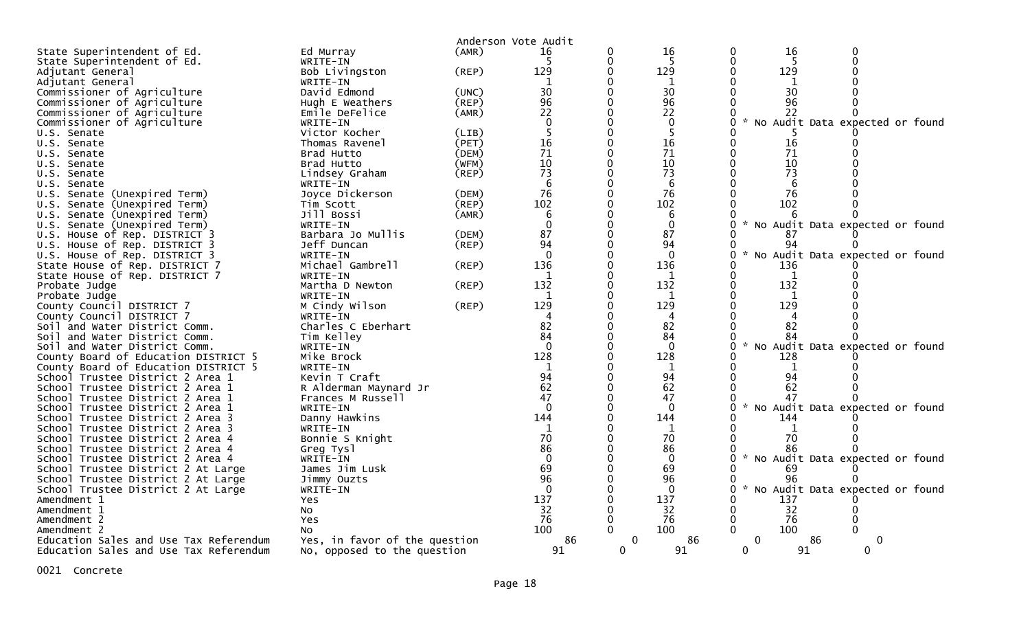|                                                       |                                     |             | Anderson Vote Audit |          |                |               |              |                                   |  |
|-------------------------------------------------------|-------------------------------------|-------------|---------------------|----------|----------------|---------------|--------------|-----------------------------------|--|
| State Superintendent of Ed.                           | Ed Murray                           | (AMR)       | 16                  | 0        | 16             | 0             | 16           | $\Omega$                          |  |
| State Superintendent of Ed.                           | WRITE-IN                            |             | -5                  | 0        | -5             |               | -5           |                                   |  |
| Adjutant General                                      | Bob Livingston                      | $($ REP $)$ | 129                 |          | 129            |               | 129          |                                   |  |
| Adjutant General                                      | WRITE-IN                            |             | 1                   |          | 1              |               | 1            |                                   |  |
| Commissioner of Agriculture                           | David Edmond                        | (UNC)       | 30                  |          | 30             |               | 30           |                                   |  |
| Commissioner of Agriculture                           | Hugh E Weathers                     | (REP)       | 96                  |          | 96             |               | 96           |                                   |  |
| Commissioner of Agriculture                           | Emile DeFelice                      | (AMR)       | 22                  |          | 22             |               | 22           |                                   |  |
| Commissioner of Agriculture                           | WRITE-IN                            |             | $\mathbf{0}$        |          | $\mathbf 0$    | $\mathcal{H}$ |              | No Audit Data expected or found   |  |
| U.S. Senate                                           | Victor Kocher                       | (LIB)       | 5                   |          | 5              |               |              |                                   |  |
| U.S. Senate                                           | Thomas Ravenel                      | (PET)       | 16                  |          | 16             |               | 16           |                                   |  |
| U.S. Senate                                           | Brad Hutto                          | (DEM)       | 71                  |          | 71             |               | 71           |                                   |  |
| U.S. Senate                                           | Brad Hutto                          | (WFM)       | 10                  |          | 10             |               | 10           |                                   |  |
| U.S. Senate                                           | Lindsey Graham                      | (REP)       | 73                  |          | 73             |               | 73           |                                   |  |
| U.S. Senate                                           | WRITE-IN                            |             | 6                   |          | 6              |               | 6            |                                   |  |
| U.S. Senate (Unexpired Term)                          | Joyce Dickerson                     | (DEM)       | 76                  |          | 76             |               | 76           |                                   |  |
| U.S. Senate (Unexpired Term)                          | Tim Scott                           | (REP)       | 102                 |          | 102            |               | 102          |                                   |  |
| U.S. Senate (Unexpired Term)                          | Jill Bossi                          | (AMR)       | 6                   |          | 6              |               | 6            |                                   |  |
| U.S. Senate (Unexpired Term)                          | WRITE-IN                            |             | $\mathbf{0}$        |          | $\mathbf{0}$   | $\mathcal{H}$ |              | No Audit Data expected or found   |  |
| U.S. House of Rep. DISTRICT 3                         | Barbara Jo Mullis                   | (DEM)       | 87                  |          | 87             |               | 87           |                                   |  |
| U.S. House of Rep. DISTRICT 3                         | Jeff Duncan                         | (REP)       | 94                  |          | 94             |               | 94           |                                   |  |
| U.S. House of Rep. DISTRICT 3                         | WRITE-IN                            |             | $\Omega$            |          | $\Omega$       | $\sim$<br>0   |              | No Audit Data expected or found   |  |
| State House of Rep. DISTRICT 7                        | Michael Gambrell                    | (REP)       | 136                 | $\Omega$ | 136            |               | 136          |                                   |  |
| State House of Rep. DISTRICT 7                        | WRITE-IN                            |             | 1                   |          | 1              |               | $\mathbf{1}$ |                                   |  |
| Probate Judge                                         | Martha D Newton                     | (REP)       | 132                 |          | 132            |               | 132          |                                   |  |
| Probate Judge                                         | WRITE-IN                            |             |                     |          | 1              |               | 1            |                                   |  |
| County Council DISTRICT 7                             | M Cindy Wilson                      | (REP)       | 129                 |          | 129            |               | 129          |                                   |  |
| County Council DISTRICT 7                             | WRITE-IN                            |             |                     |          | 4              |               | 4            |                                   |  |
| Soil and Water District Comm.                         | Charles C Eberhart                  |             | 82                  |          | 82             |               | 82           |                                   |  |
| Soil and Water District Comm.                         | Tim Kelley                          |             | 84                  |          | 84             |               | 84           |                                   |  |
| Soil and Water District Comm.                         | WRITE-IN                            |             | $\Omega$            |          | $\overline{0}$ | $\mathcal{H}$ |              | No Audit Data expected or found   |  |
| County Board of Education DISTRICT 5                  | Mike Brock                          |             | 128                 |          | 128            |               | 128          |                                   |  |
| County Board of Education DISTRICT 5                  | WRITE-IN                            |             | $\mathbf{1}$        |          | 1              |               | 1            |                                   |  |
| School Trustee District 2 Area 1                      | Kevin T Craft                       |             | 94                  |          | 94             |               | 94           |                                   |  |
| School Trustee District 2 Area 1                      | R Alderman Maynard Jr               |             | 62                  |          | 62             |               | 62           |                                   |  |
| School Trustee District 2 Area 1                      | Frances M Russell                   |             | 47                  |          | 47             |               | 47           |                                   |  |
| School Trustee District 2 Area 1                      | WRITE-IN                            |             | $\Omega$            |          | $\Omega$       | $\sim$        |              | No Audit Data expected or found   |  |
| School Trustee District 2 Area 3                      | Danny Hawkins                       |             | 144                 |          | 144            |               | 144          |                                   |  |
| School Trustee District 2 Area 3                      | WRITE-IN                            |             | 1                   |          | 1              |               | 1            |                                   |  |
| School Trustee District 2 Area 4                      | Bonnie S Knight                     |             | 70                  |          | 70             |               | 70           |                                   |  |
| School Trustee District 2 Area 4                      | Greg Tysl                           |             | 86                  |          | 86             |               | 86           |                                   |  |
| School Trustee District 2 Area 4                      | WRITE-IN                            |             | $\mathbf{0}$        |          | $\mathbf 0$    |               |              | * No Audit Data expected or found |  |
| School Trustee District 2 At Large                    | James Jim Lusk                      |             | 69<br>96            |          | 69             |               | 69           |                                   |  |
| School Trustee District 2 At Large                    | Jimmy Ouzts                         |             | $\Omega$            |          | 96             | $\mathcal{H}$ | 96           |                                   |  |
| School Trustee District 2 At Large                    | WRITE-IN                            |             |                     |          | $\Omega$       | 0             |              | No Audit Data expected or found   |  |
| Amendment 1                                           | <b>Yes</b>                          |             | 137                 |          | 137            |               | 137          |                                   |  |
| Amendment 1                                           | No                                  |             | 32<br>76            |          | 32<br>76       |               | 32<br>76     |                                   |  |
| Amendment 2                                           | Yes                                 |             | 100                 |          | 100            |               | 100          |                                   |  |
| Amendment 2<br>Education Sales and Use Tax Referendum | No<br>Yes, in favor of the question |             | 86                  | $\Omega$ | 86             | $\mathbf{0}$  | -86          | $\Omega$                          |  |
| Education Sales and Use Tax Referendum                | No, opposed to the question         |             | 91                  | 0        | 91             | $\mathbf 0$   | 91           | 0                                 |  |
|                                                       |                                     |             |                     |          |                |               |              |                                   |  |

0021 Concrete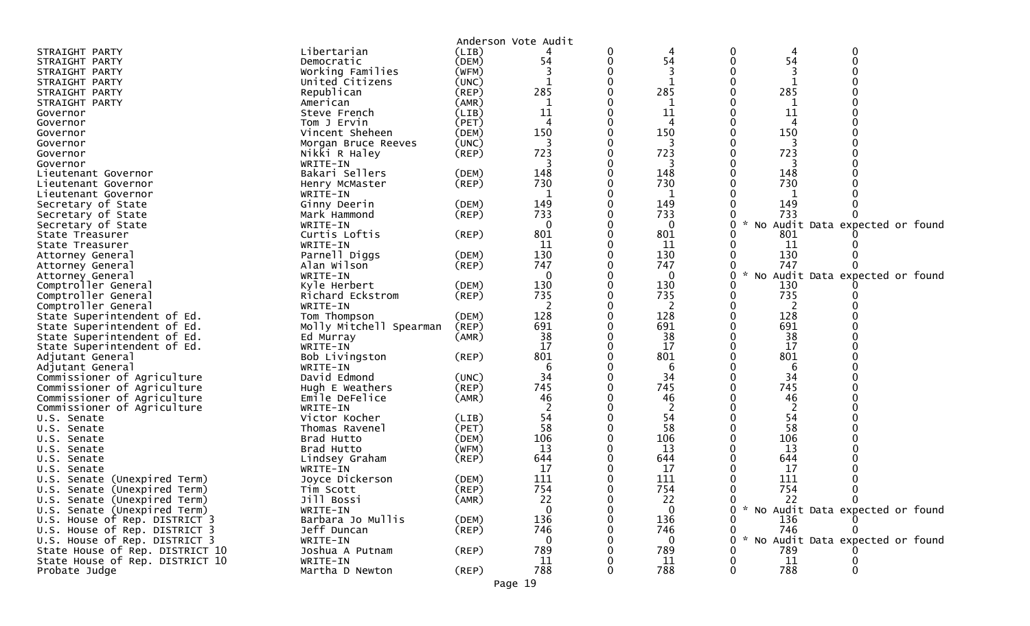|                                 |                         |             | Anderson Vote Audit |             |              |                    |     |                                     |  |
|---------------------------------|-------------------------|-------------|---------------------|-------------|--------------|--------------------|-----|-------------------------------------|--|
| STRAIGHT PARTY                  | Libertarian             | (LIB)       |                     | 0           | 4            | 0                  | 4   | 0                                   |  |
| STRAIGHT PARTY                  | Democratic              | (DEM)       | 54                  | 0           | 54           | 0                  | 54  | 0                                   |  |
| STRAIGHT PARTY                  | Working Families        | (WFM)       |                     |             | 3            |                    |     |                                     |  |
| STRAIGHT PARTY                  | United Citizens         | (UNC)       | $\mathbf{1}$        | 0           | 1            | 0                  | -1  |                                     |  |
| STRAIGHT PARTY                  | Republican              | (REP)       | 285                 | 0           | 285          |                    | 285 |                                     |  |
| STRAIGHT PARTY                  | American                | (AMR)       | 1                   |             | -1           |                    | -1  |                                     |  |
| Governor                        | Steve French            | (LIB)       | 11                  |             | 11           |                    | 11  |                                     |  |
| Governor                        | Tom J Ervin             | (PET)       | $\overline{4}$      |             | 4            |                    | 4   |                                     |  |
| Governor                        | Vincent Sheheen         | (DEM)       | 150                 |             | 150          |                    | 150 |                                     |  |
| Governor                        | Morgan Bruce Reeves     | (UNC)       |                     |             |              |                    |     |                                     |  |
| Governor                        | Nikki R Haley           | $($ REP $)$ | 723                 | 0           | 723          |                    | 723 |                                     |  |
| Governor                        | WRITE-IN                |             |                     |             |              |                    |     |                                     |  |
| Lieutenant Governor             | Bakari Sellers          | (DEM)       | 148                 | $\Omega$    | 148          |                    | 148 |                                     |  |
| Lieutenant Governor             | Henry McMaster          | (REP)       | 730                 |             | 730          |                    | 730 |                                     |  |
| Lieutenant Governor             | WRITE-IN                |             |                     |             | -1           |                    |     |                                     |  |
| Secretary of State              | Ginny Deerin            | (DEM)       | 149                 |             | 149          |                    | 149 |                                     |  |
| Secretary of State              | Mark Hammond            | (REP)       | 733                 |             | 733          |                    | 733 |                                     |  |
| Secretary of State              | WRITE-IN                |             | 0                   |             | 0            | 0<br>$\mathcal{H}$ |     | No Audit Data expected or found     |  |
| State Treasurer                 | Curtis Loftis           | $($ REP $)$ | 801                 |             | 801          |                    | 801 |                                     |  |
| State Treasurer                 | WRITE-IN                |             | 11                  |             | 11           |                    | -11 |                                     |  |
| Attorney General                | Parnell Diggs           | (DEM)       | 130                 |             | 130          |                    | 130 |                                     |  |
| Attorney General                | Alan Wilson             | (REP)       | 747                 | 0           | 747          | 0                  | 747 |                                     |  |
| Attorney General                | WRITE-IN                |             | 0                   |             | $\mathbf 0$  | 0<br>$\mathcal{H}$ |     | No Audit Data expected or found     |  |
| Comptroller General             | Kyle Herbert            | (DEM)       | 130                 |             | 130          |                    | 130 |                                     |  |
| Comptroller General             | Richard Eckstrom        | (REP)       | 735                 | 0           | 735          | 0                  | 735 |                                     |  |
| Comptroller General             | WRITE-IN                |             | 2                   |             | 2            |                    | 2   |                                     |  |
| State Superintendent of Ed.     | Tom Thompson            | (DEM)       | 128                 | $\mathbf 0$ | 128          |                    | 128 |                                     |  |
| State Superintendent of Ed.     | Molly Mitchell Spearman | $($ REP $)$ | 691                 |             | 691          |                    | 691 |                                     |  |
| State Superintendent of Ed.     | Ed Murray               | (AMR)       | 38                  |             | 38           |                    | 38  |                                     |  |
| State Superintendent of Ed.     | WRITE-IN                |             | 17                  |             | 17           |                    | 17  |                                     |  |
| Adjutant General                | Bob Livingston          | $($ REP $)$ | 801                 | $\Omega$    | 801          |                    | 801 |                                     |  |
| Adjutant General                | WRITE-IN                |             | 6                   |             | 6            |                    | 6   |                                     |  |
| Commissioner of Agriculture     | David Edmond            | (UNC)       | 34                  | $\Omega$    | 34           | 0                  | 34  |                                     |  |
| Commissioner of Agriculture     | Hugh E Weathers         | (REP)       | 745                 |             | 745          |                    | 745 |                                     |  |
| Commissioner of Agriculture     | Emile DeFelice          | (AMR)       | 46                  |             | 46           |                    | 46  |                                     |  |
| Commissioner of Agriculture     | WRITE-IN                |             |                     |             | 2            |                    |     |                                     |  |
| U.S. Senate                     | Victor Kocher           | (LIB)       | 54                  | $\Omega$    | 54           |                    | 54  |                                     |  |
| U.S. Senate                     | Thomas Ravenel          | (PET)       | 58                  |             | 58           |                    | 58  |                                     |  |
| U.S. Senate                     | Brad Hutto              | (DEM)       | 106                 |             | 106          |                    | 106 |                                     |  |
| U.S. Senate                     | Brad Hutto              | (WFM)       | 13                  |             | 13           |                    | 13  |                                     |  |
| U.S. Senate                     | Lindsey Graham          | $($ REP $)$ | 644                 |             | 644          |                    | 644 |                                     |  |
| U.S. Senate                     | WRITE-IN                |             | 17                  |             | 17           |                    | 17  |                                     |  |
| U.S. Senate (Unexpired Term)    | Joyce Dickerson         | (DEM)       | 111                 | 0           | 111          |                    | 111 |                                     |  |
| U.S. Senate (Unexpired Term)    | Tim Scott               | $($ REP $)$ | 754                 | $\mathbf 0$ | 754          |                    | 754 | $\mathbf 0$                         |  |
| U.S. Senate (Unexpired Term)    | Jill Bossi              | (AMR)       | 22                  | 0           | 22           | 0                  | 22  | $\mathbf{0}$                        |  |
| U.S. Senate (Unexpired Term)    | WRITE-IN                |             | $\mathbf 0$         | 0           | $\mathbf{0}$ |                    |     | 0 * No Audit Data expected or found |  |
| U.S. House of Rep. DISTRICT 3   | Barbara Jo Mullis       | (DEM)       | 136                 |             | 136          |                    | 136 |                                     |  |
| U.S. House of Rep. DISTRICT 3   | Jeff Duncan             | $($ REP $)$ | 746                 |             | 746          | 0                  | 746 | 0                                   |  |
| U.S. House of Rep. DISTRICT 3   | WRITE-IN                |             | 0                   |             | 0            | $\mathcal{H}$<br>0 |     | No Audit Data expected or found     |  |
| State House of Rep. DISTRICT 10 | Joshua A Putnam         | $($ REP $)$ | 789                 |             | 789          |                    | 789 |                                     |  |
| State House of Rep. DISTRICT 10 | WRITE-IN                |             | 11                  |             | 11           |                    | 11  |                                     |  |
| Probate Judge                   | Martha D Newton         | (REP)       | 788                 | $\Omega$    | 788          | 0                  | 788 | 0                                   |  |
|                                 |                         |             |                     |             |              |                    |     |                                     |  |

Page 19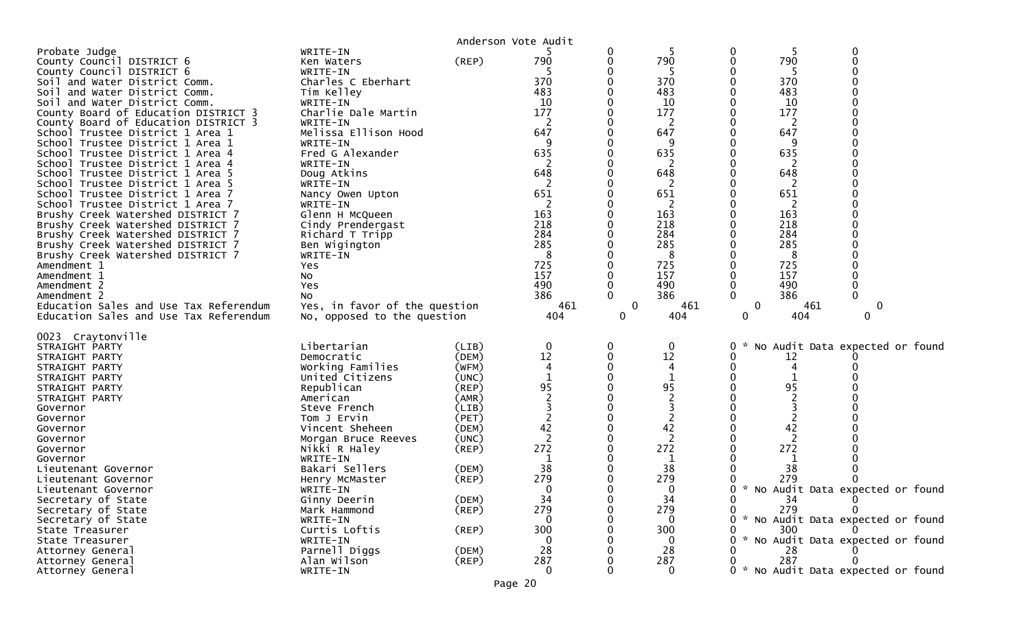|                                                                                                                                                                                                                                                                                                                                                                                                                                                                                                                                                                                                                                                                                                                                                                                                                                                                                                     |                                                                                                                                                                                                                                                                                                                                                                                                                                                    |                                                                                                                                                                            | Anderson Vote Audit                                                                                                                                  |                                              |                                                                                                                                                                 |                                                                                                                                                                                                                                                                                     |
|-----------------------------------------------------------------------------------------------------------------------------------------------------------------------------------------------------------------------------------------------------------------------------------------------------------------------------------------------------------------------------------------------------------------------------------------------------------------------------------------------------------------------------------------------------------------------------------------------------------------------------------------------------------------------------------------------------------------------------------------------------------------------------------------------------------------------------------------------------------------------------------------------------|----------------------------------------------------------------------------------------------------------------------------------------------------------------------------------------------------------------------------------------------------------------------------------------------------------------------------------------------------------------------------------------------------------------------------------------------------|----------------------------------------------------------------------------------------------------------------------------------------------------------------------------|------------------------------------------------------------------------------------------------------------------------------------------------------|----------------------------------------------|-----------------------------------------------------------------------------------------------------------------------------------------------------------------|-------------------------------------------------------------------------------------------------------------------------------------------------------------------------------------------------------------------------------------------------------------------------------------|
| Probate Judge<br>County Council DISTRICT 6<br>County Council DISTRICT 6<br>Soil and Water District Comm.<br>Soil and Water District Comm.<br>Soil and Water District Comm.<br>County Board of Education DISTRICT 3<br>County Board of Education DISTRICT 3<br>School Trustee District 1 Area 1<br>School Trustee District 1 Area 1<br>School Trustee District 1 Area 4<br>School Trustee District 1 Area 4<br>School Trustee District 1 Area 5<br>School Trustee District 1 Area 5<br>School Trustee District 1 Area 7<br>School Trustee District 1 Area 7<br>Brushy Creek Watershed DISTRICT 7<br>Brushy Creek Watershed DISTRICT 7<br>Brushy Creek Watershed DISTRICT 7<br>Brushy Creek Watershed DISTRICT 7<br>Brushy Creek Watershed DISTRICT 7<br>Amendment 1<br>Amendment 1<br>Amendment 2<br>Amendment 2<br>Education Sales and Use Tax Referendum<br>Education Sales and Use Tax Referendum | WRITE-IN<br>Ken Waters<br>WRITE-IN<br>Charles C Eberhart<br>Tim Kelley<br>WRITE-IN<br>Charlie Dale Martin<br>WRITE-IN<br>Melissa Ellison Hood<br>WRITE-IN<br>Fred G Alexander<br>WRITE-IN<br>Doug Atkins<br>WRITE-IN<br>Nancy Owen Upton<br>WRITE-IN<br>Glenn H McQueen<br>Cindy Prendergast<br>Richard T Tripp<br>Ben Wigington<br>WRITE-IN<br>Yes<br>N <sub>O</sub><br>Yes<br>No<br>Yes, in favor of the question<br>No, opposed to the question | (REP)                                                                                                                                                                      | 790<br>370<br>483<br>10<br>177<br>2<br>647<br>q<br>635<br>648<br>651<br>2<br>163<br>218<br>284<br>285<br>8<br>725<br>157<br>490<br>386<br>461<br>404 | 0<br>0<br>0<br>$\Omega$<br>$\mathbf{0}$<br>0 | 790<br>-5<br>370<br>483<br>10<br>177<br>2<br>647<br>9<br>635<br>648<br>2<br>651<br>2<br>163<br>218<br>284<br>285<br>8<br>725<br>157<br>490<br>386<br>461<br>404 | 0<br>0<br>790<br>-5<br>370<br>483<br>10<br>177<br>2<br>647<br>635<br>648<br>2<br>651<br>2<br>163<br>218<br>284<br>285<br>8<br>725<br>157<br>490<br>386<br>$\mathbf{0}$<br>461<br>0<br>$\Omega$<br>404<br>$\Omega$                                                                   |
| 0023 Craytonville<br>STRAIGHT PARTY<br>STRAIGHT PARTY<br>STRAIGHT PARTY<br>STRAIGHT PARTY<br>STRAIGHT PARTY<br>STRAIGHT PARTY<br>Governor<br>Governor<br>Governor<br>Governor<br>Governor<br>Governor<br>Lieutenant Governor<br>Lieutenant Governor<br>Lieutenant Governor<br>Secretary of State<br>Secretary of State<br>Secretary of State<br>State Treasurer<br>State Treasurer<br>Attorney General<br>Attorney General<br>Attorney General                                                                                                                                                                                                                                                                                                                                                                                                                                                      | Libertarian<br>Democratic<br>Working Families<br>United Citizens<br>Republican<br>American<br>Steve French<br>Tom J Ervin<br>Vincent Sheheen<br>Morgan Bruce Reeves<br>Nikki R Haley<br>WRITE-IN<br>Bakari Sellers<br>Henry McMaster<br>WRITE-IN<br>Ginny Deerin<br>Mark Hammond<br>WRITE-IN<br>Curtis Loftis<br>WRITE-IN<br>Parnell Diggs<br>Alan Wilson<br>WRITE-IN                                                                              | (LIB)<br>(DEM)<br>(WFM)<br>(UNC)<br>(REP)<br>(AMR)<br>(LIB)<br>(PET)<br>(DEM)<br>(UNC)<br>(REP)<br>(DEM)<br>$($ REP $)$<br>(DEM)<br>$($ REP $)$<br>(REP)<br>(DEM)<br>(REP) | 0<br>12<br>4<br>$\mathbf{1}$<br>95<br>42<br>2<br>272<br>38<br>279<br>0<br>34<br>279<br>0<br>300<br>$\Omega$<br>28<br>287<br>0                        | 0<br>0                                       | $\mathbf{0}$<br>12<br>4<br>1<br>95<br>3<br>2<br>42<br>2<br>272<br>1<br>38<br>279<br>0<br>34<br>279<br>0<br>300<br>0<br>28<br>287<br>$\Omega$                    | No Audit Data expected or found<br>0<br>0<br>12<br>4<br>95<br>42<br>2<br>272<br>38<br>279<br>* No Audit Data expected or found<br>0<br>34<br>279<br>* No Audit Data expected or found<br>300<br>* No Audit Data expected or found<br>28<br>287<br>* No Audit Data expected or found |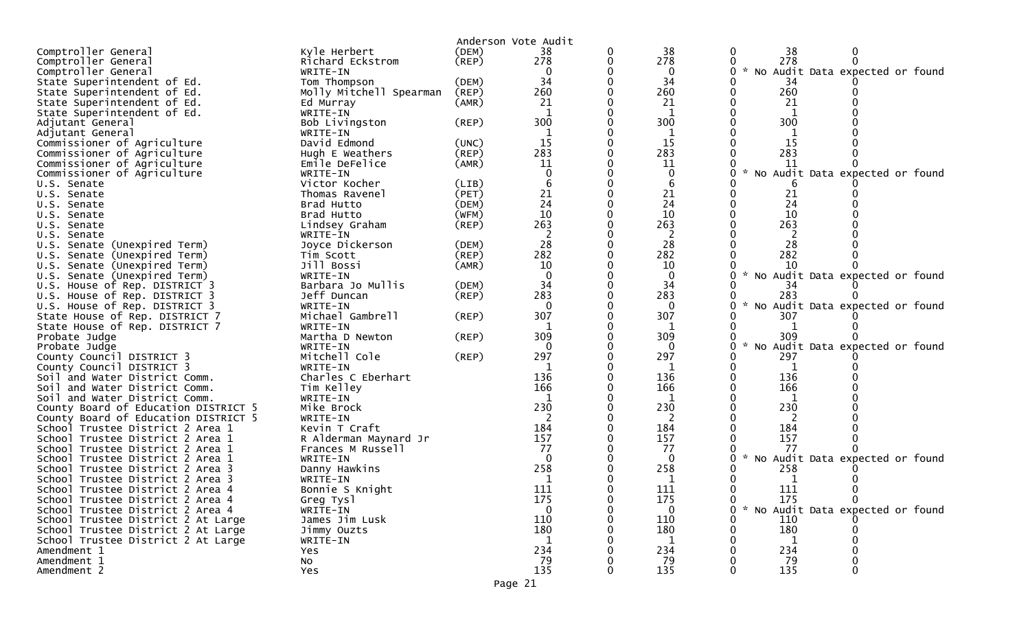|                                                                      |                              |             | Anderson Vote Audit |   |                 |                                                  |
|----------------------------------------------------------------------|------------------------------|-------------|---------------------|---|-----------------|--------------------------------------------------|
| Comptroller General                                                  | Kyle Herbert                 | (DEM)       | 38                  | 0 | 38              | 38<br>$\bf{0}$                                   |
| Comptroller General                                                  | Richard Eckstrom             | $($ REP $)$ | 278                 |   | 278             | 278                                              |
| Comptroller General                                                  | WRITE-IN                     |             | 0                   |   | 0               | * No Audit Data expected or found                |
| State Superintendent of Ed.                                          | Tom Thompson                 | (DEM)       | 34                  |   | 34              | 34                                               |
| State Superintendent of Ed.                                          | Molly Mitchell Spearman      | (REP)       | 260                 |   | 260             | 260                                              |
| State Superintendent of Ed.                                          | Ed Murray                    | (AMR)       | 21                  |   | 21              | 21                                               |
| State Superintendent of Ed.                                          | WRITE-IN                     |             |                     |   | 1               | 1                                                |
| Adjutant General                                                     | Bob Livingston               | (REP)       | 300                 |   | 300             | 300                                              |
| Adjutant General                                                     | WRITE-IN                     |             |                     |   |                 |                                                  |
| Commissioner of Agriculture                                          | David Edmond                 | (UNC)       | 15                  |   | 15              | 15                                               |
| Commissioner of Agriculture                                          | Hugh E Weathers              | (REP)       | 283                 |   | 283             | 283                                              |
| Commissioner of Agriculture                                          | Emile DeFelice               | (AMR)       | 11                  |   | 11              | 11                                               |
| Commissioner of Agriculture                                          | WRITE-IN                     |             |                     |   | 0               | * No Audit Data expected or found                |
| U.S. Senate                                                          | Victor Kocher                | (LIB)       |                     |   | 6               |                                                  |
| U.S. Senate                                                          | Thomas Ravenel               | (PET)       | 21                  |   | 21              | 21                                               |
| U.S. Senate                                                          | Brad Hutto                   | (DEM)       | 24                  |   | 24              | 24                                               |
| U.S. Senate                                                          | Brad Hutto                   | (WFM)       | 10                  |   | 10              | 10                                               |
| U.S. Senate                                                          | Lindsey Graham               | (REP)       | 263                 |   | 263             | 263                                              |
| U.S. Senate                                                          | WRITE-IN                     |             | 2                   |   | 2               | 2                                                |
| U.S. Senate (Unexpired Term)                                         | Joyce Dickerson              | (DEM)       | 28                  |   | 28              | 28                                               |
| U.S. Senate (Unexpired Term)                                         | Tim Scott                    | (REP)       | 282                 |   | 282             | 282                                              |
| U.S. Senate (Unexpired Term)                                         | Jill Bossi                   | (AMR)       | 10                  |   | 10              | 10                                               |
| Senate (Unexpired Term)<br>U.S.                                      | WRITE-IN                     |             | $\Omega$            |   | $\mathbf{0}$    | $\mathcal{H}$<br>No Audit Data expected or found |
| U.S. House of Rep. DISTRICT 3                                        | Barbara Jo Mullis            | (DEM)       | 34                  |   | 34              | 34                                               |
| U.S. House of Rep. DISTRICT 3                                        | Jeff Duncan                  | $($ REP $)$ | 283                 |   | 283             | 283                                              |
| U.S. House of Rep. DISTRICT 3                                        | WRITE-IN                     |             | $\Omega$            |   | $\Omega$        | $\mathcal{R}$<br>No Audit Data expected or found |
| State House of Rep. DISTRICT 7                                       | Michael Gambrell             | $($ REP $)$ | 307                 |   | 307             | 307                                              |
| State House of Rep. DISTRICT 7                                       | WRITE-IN                     |             |                     |   | 1               |                                                  |
| Probate Judge                                                        | Martha D Newton              | (REP)       | 309                 |   | 309             | 309                                              |
| Probate Judge                                                        | WRITE-IN                     |             | 0                   |   | $\Omega$        | $\sim$<br>No Audit Data expected or found        |
| County Council DISTRICT 3                                            | Mitchell Cole                | $($ REP $)$ | 297                 |   | 297             | 297                                              |
| County Council DISTRICT 3                                            | WRITE-IN                     |             |                     |   | 1               | 1                                                |
| Soil and Water District Comm.                                        | Charles C Eberhart           |             | 136                 |   | 136             | 136                                              |
| Soil and Water District Comm.                                        | Tim Kelley                   |             | 166                 |   | 166             | 166                                              |
| Soil and Water District Comm.                                        | WRITE-IN                     |             |                     |   | 1               |                                                  |
| County Board of Education DISTRICT 5                                 | Mike Brock                   |             | 230                 |   | 230             | 230                                              |
| County Board of Education DISTRICT 5                                 | WRITE-IN                     |             |                     |   | 2               | 2                                                |
| School Trustee District 2 Area 1                                     | Kevin T Craft                |             | 184                 |   | 184             | 184                                              |
| School Trustee District 2 Area 1                                     | R Alderman Maynard Jr        |             | 157                 |   | 157             | 157                                              |
| School Trustee District 2 Area 1                                     | Frances M Russell            |             | 77<br>0             |   | 77              | 77                                               |
| School Trustee District 2 Area 1                                     | WRITE-IN                     |             | 258                 |   | $\Omega$<br>258 | * No Audit Data expected or found<br>258         |
| School Trustee District 2 Area 3<br>School Trustee District 2 Area 3 | Danny Hawkins<br>WRITE-IN    |             |                     |   | 1               |                                                  |
| School Trustee District 2 Area 4                                     |                              |             | 111                 |   | 111             | 111                                              |
| School Trustee District 2 Area 4                                     | Bonnie S Knight<br>Greg Tysl |             | 175                 |   | 175             | 175<br>$\Omega$<br>$\mathbf{0}$                  |
| School Trustee District 2 Area 4                                     | WRITE-IN                     |             | $\Omega$            |   | $\Omega$        | * No Audit Data expected or found                |
| School Trustee District 2 At Large                                   | James Jim Lusk               |             | 110                 |   | 110             | 110                                              |
| School Trustee District 2 At Large                                   | Jimmy Ouzts                  |             | 180                 |   | 180             | 180                                              |
| School Trustee District 2 At Large                                   | WRITE-IN                     |             |                     |   | 1               |                                                  |
| Amendment 1                                                          | Yes                          |             | 234                 |   | 234             | 234                                              |
| Amendment 1                                                          | No                           |             | 79                  |   | 79              | 79                                               |
| Amendment 2                                                          | Yes                          |             | 135                 |   | 135             | 135                                              |
|                                                                      |                              |             |                     |   |                 |                                                  |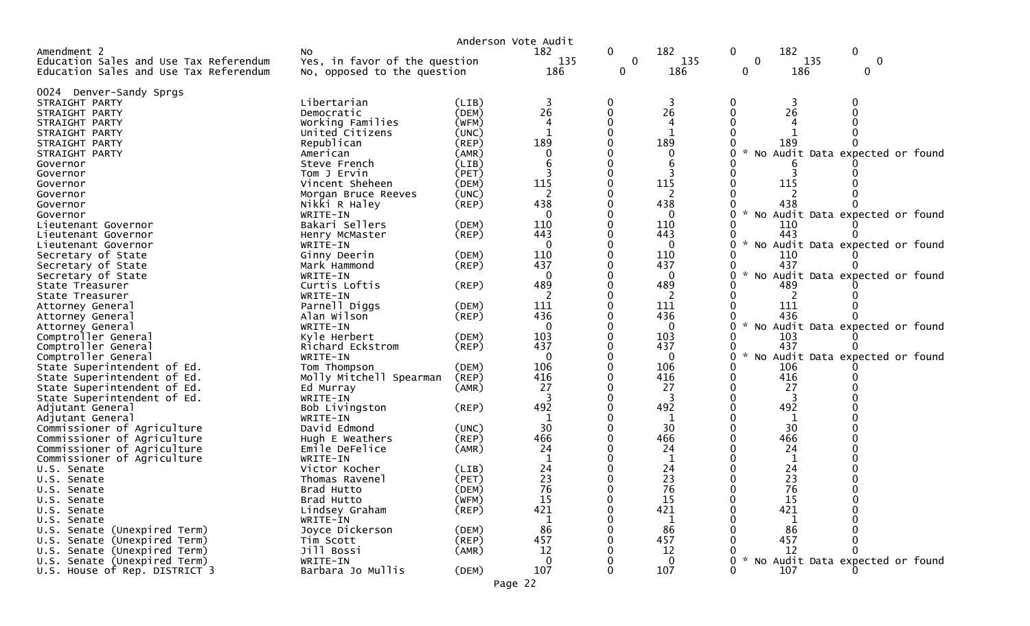|                                        |                               |             | Anderson Vote Audit |   |              |                                                       |
|----------------------------------------|-------------------------------|-------------|---------------------|---|--------------|-------------------------------------------------------|
| Amendment 2                            | NO.                           |             | 182                 | 0 | 182          | 182<br>$\mathbf 0$<br>$\mathbf 0$                     |
| Education Sales and Use Tax Referendum | Yes, in favor of the question |             | 135                 | 0 | 135          | 135<br>0<br>$\mathbf 0$                               |
| Education Sales and Use Tax Referendum | No, opposed to the question   |             | 186                 | 0 | 186          | 186<br>0<br>0                                         |
| 0024 Denver-Sandy Sprgs                |                               |             |                     |   |              |                                                       |
| STRAIGHT PARTY                         | Libertarian                   | (LIB)       | 3                   |   | 3            | 3                                                     |
| STRAIGHT PARTY                         | Democratic                    | (DEM)       | 26                  |   | 26           | 26                                                    |
| STRAIGHT PARTY                         | Working Families              | (WFM)       | 4                   |   | 4            |                                                       |
| STRAIGHT PARTY                         | United Citizens               | (UNC)       |                     |   |              |                                                       |
| STRAIGHT PARTY                         | Republican                    | (REP)       | 189                 |   | 189          | 189                                                   |
| STRAIGHT PARTY                         | American                      | (AMR)       |                     |   | $\Omega$     | No Audit Data expected or found                       |
| Governor                               | Steve French                  | (LIB)       |                     |   | 6            |                                                       |
| Governor                               | Tom J Ervin                   | (PET)       |                     |   |              |                                                       |
| Governor                               | Vincent Sheheen               | (DEM)       | 115                 |   | 115          | 115                                                   |
| Governor                               | Morgan Bruce Reeves           | (UNC)       | 2                   |   | 2            |                                                       |
| Governor                               | Nikki R Haley                 | (REP)       | 438                 |   | 438          | 438                                                   |
| Governor                               | WRITE-IN                      |             | $\Omega$            |   | $\Omega$     | $\sim$<br>No Audit Data expected or found             |
| Lieutenant Governor                    | Bakari Sellers                | (DEM)       | 110                 |   | 110          | 110                                                   |
| Lieutenant Governor                    | Henry McMaster                | (REP)       | 443                 |   | 443          | 443                                                   |
| Lieutenant Governor                    | WRITE-IN                      |             | $\Omega$            |   | $\Omega$     | No Audit Data expected or found                       |
| Secretary of State                     | Ginny Deerin                  | (DEM)       | 110                 |   | 110          | 110                                                   |
| Secretary of State                     | Mark Hammond                  | (REP)       | 437                 |   | 437          | 437                                                   |
| Secretary of State                     | WRITE-IN                      |             | $\Omega$            |   | $\Omega$     | $\mathcal{R}$<br>No Audit Data expected or found      |
| State Treasurer                        | Curtis Loftis                 | (REP)       | 489                 |   | 489          | 489                                                   |
| State Treasurer                        | WRITE-IN                      |             |                     |   |              |                                                       |
| Attorney General                       | Parnell Diggs                 | (DEM)       | 111                 |   | 111          | 111                                                   |
| Attorney General                       | Alan Wilson                   | (REP)       | 436                 |   | 436          | 436                                                   |
| Attorney General                       | WRITE-IN                      |             | $\Omega$            |   | 0            | No Audit Data expected or found<br>0                  |
| Comptroller General                    | Kyle Herbert                  | (DEM)       | 103                 |   | 103          | 103                                                   |
| Comptroller General                    | Richard Eckstrom              | (REP)       | 437                 |   | 437          | 437                                                   |
| Comptroller General                    | WRITE-IN                      |             | $\Omega$            |   | $\mathbf{0}$ | 0<br>$\mathcal{H}$<br>No Audit Data expected or found |
| State Superintendent of Ed.            | Tom Thompson                  | (DEM)       | 106                 |   | 106          | 106                                                   |
| State Superintendent of Ed.            | Molly Mitchell Spearman       | (REP)       | 416                 |   | 416          | 416<br>0                                              |
| State Superintendent of Ed.            | Ed Murray                     | (AMR)       | 27                  |   | 27           | 27                                                    |
| State Superintendent of Ed.            | WRITE-IN                      |             |                     |   |              |                                                       |
| Adjutant General                       | Bob Livingston                | (REP)       | 492                 |   | 492          | 492                                                   |
| Adjutant General                       | WRITE-IN                      |             |                     |   | 1            | 1                                                     |
| Commissioner of Agriculture            | David Edmond                  | (UNC)       | 30                  |   | 30           | 30                                                    |
| Commissioner of Agriculture            | Hugh E Weathers               | (REP)       | 466                 |   | 466          | 466                                                   |
| Commissioner of Agriculture            | Emile DeFelice                | (AMR)       | 24                  |   | 24           | 24                                                    |
| Commissioner of Agriculture            | WRITE-IN                      |             |                     |   |              | 1                                                     |
| U.S. Senate                            | Victor Kocher                 | (LIB)       | 24                  |   | 24           | 24                                                    |
| U.S. Senate                            | Thomas Ravenel                | (PET)       | 23                  |   | 23           | 23                                                    |
| U.S. Senate                            | Brad Hutto                    | (DEM)       | 76                  |   | 76           | 76                                                    |
| U.S. Senate                            | Brad Hutto                    | (WFM)       | 15                  |   | 15           | 15                                                    |
| U.S. Senate                            | Lindsey Graham                | $($ REP $)$ | 421                 |   | 421          | 421                                                   |
| U.S. Senate                            | WRITE-IN                      |             | 1                   |   | 1            | 1                                                     |
| U.S. Senate (Unexpired Term)           | Joyce Dickerson               | (DEM)       | 86                  |   | 86           | 86                                                    |
| U.S. Senate (Unexpired Term)           | Tim Scott                     | (REP)       | 457                 |   | 457          | 457                                                   |
| U.S. Senate (Unexpired Term)           | Jill Bossi                    | (AMR)       | 12                  |   | 12           | 12                                                    |
| U.S. Senate (Unexpired Term)           | WRITE-IN                      |             | $\Omega$            |   | $\Omega$     | No Audit Data expected or found                       |
| U.S. House of Rep. DISTRICT 3          | Barbara Jo Mullis             | (DEM)       | 107                 |   | 107          | 107<br>0                                              |
|                                        |                               |             |                     |   |              |                                                       |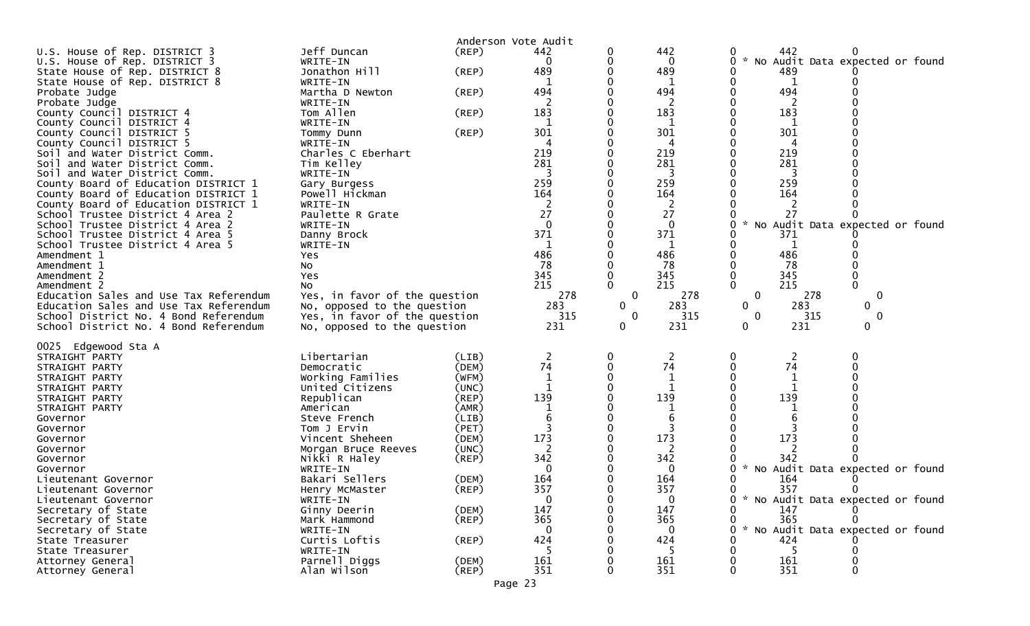|                                                                       |                                        |                | Anderson Vote Audit |                |                |                                                       |
|-----------------------------------------------------------------------|----------------------------------------|----------------|---------------------|----------------|----------------|-------------------------------------------------------|
| U.S. House of Rep. DISTRICT 3                                         | Jeff Duncan                            | (REP)          | 442                 |                | 442            | 442<br>0                                              |
| U.S. House of Rep. DISTRICT 3                                         | WRITE-IN                               |                | $\Omega$            |                | 0              | 0<br>$\sim$<br>No Audit Data expected or found        |
| State House of Rep. DISTRICT 8                                        | Jonathon Hill                          | $($ REP $)$    | 489                 |                | 489            | 489<br>0                                              |
| State House of Rep. DISTRICT 8<br>Probate Judge                       | WRITE-IN<br>Martha D Newton            | $($ REP $)$    | 494                 |                | 1<br>494       | 0<br>$\mathbf 1$<br>494                               |
| Probate Judge                                                         | WRITE-IN                               |                |                     |                |                | -2                                                    |
| County Council DISTRICT 4                                             | Tom Allen                              | (REP)          | 183                 |                | 183            | 183                                                   |
| County Council DISTRICT 4                                             | WRITE-IN                               |                |                     |                |                | 1                                                     |
| County Council DISTRICT 5                                             | Tommy Dunn                             | (REP)          | 301                 |                | 301            | 301                                                   |
| County Council DISTRICT 5                                             | WRITE-IN                               |                | 4                   |                | 4              | 4                                                     |
| Soil and Water District Comm.                                         | Charles C Eberhart                     |                | 219                 |                | 219            | 219                                                   |
| Soil and Water District Comm.                                         | Tim Kelley                             |                | 281                 |                | 281            | 281                                                   |
| Soil and Water District Comm.<br>County Board of Education DISTRICT 1 | WRITE-IN                               |                | 3<br>259            |                | 3<br>259       | 3<br>259                                              |
| County Board of Education DISTRICT 1                                  | Gary Burgess<br>Powell Hickman         |                | 164                 |                | 164            | 164                                                   |
| County Board of Education DISTRICT 1                                  | WRITE-IN                               |                |                     |                | 2              | 2                                                     |
| School Trustee District 4 Area 2                                      | Paulette R Grate                       |                | 27                  |                | 27             | 27                                                    |
| School Trustee District 4 Area 2                                      | WRITE-IN                               |                | $\Omega$            |                | $\Omega$       | No Audit Data expected or found<br>$\mathcal{H}$<br>0 |
| School Trustee District 4 Area 5                                      | Danny Brock                            |                | 371                 |                | 371            | 371                                                   |
| School Trustee District 4 Area 5                                      | WRITE-IN                               |                |                     |                |                | $\mathbf 1$                                           |
| Amendment 1                                                           | Yes                                    |                | 486                 |                | 486            | 486                                                   |
| Amendment 1                                                           | No                                     |                | 78                  |                | 78             | 78                                                    |
| Amendment 2<br>Amendment 2                                            | Yes<br>No                              |                | 345<br>215          |                | 345<br>215     | 345<br>215                                            |
| Education Sales and Use Tax Referendum                                | Yes, in favor of the question          |                | 278                 | $\mathbf 0$    | 278            | $\mathbf 0$<br>278<br>$\mathbf 0$                     |
| Education Sales and Use Tax Referendum                                | No, opposed to the question            |                | 283                 | $\Omega$       | 283            | 283<br>0<br>0                                         |
| School District No. 4 Bond Referendum                                 | Yes, in favor of the question          |                | 315                 | $\overline{0}$ | 315            | 315<br>$\mathbf 0$<br>0                               |
| School District No. 4 Bond Referendum                                 | No, opposed to the question            |                | 231                 | 0              | 231            | 231<br>0<br>0                                         |
|                                                                       |                                        |                |                     |                |                |                                                       |
| 0025 Edgewood Sta A<br>STRAIGHT PARTY                                 | Libertarian                            | (LIB)          | $\overline{2}$      |                | $\overline{c}$ | 2<br>0<br>0                                           |
| STRAIGHT PARTY                                                        | Democratic                             | (DEM)          | 74                  |                | 74             | 74                                                    |
| STRAIGHT PARTY                                                        | Working Families                       | (WFM)          | $\mathbf 1$         |                | 1              | $\mathbf 1$                                           |
| STRAIGHT PARTY                                                        | United Citizens                        | (UNC)          |                     |                |                |                                                       |
| STRAIGHT PARTY                                                        | Republican                             | $($ REP $)$    | 139                 |                | 139            | 139                                                   |
| STRAIGHT PARTY                                                        | American                               | (AMR)          |                     |                |                |                                                       |
| Governor                                                              | Steve French                           | (LIB)          |                     |                | 6              | 6                                                     |
| Governor                                                              | Tom J Ervin                            | (PET)          | 173                 |                | 173            | 173                                                   |
| Governor<br>Governor                                                  | Vincent Sheheen<br>Morgan Bruce Reeves | (DEM)<br>(UNC) | 2                   |                | 2              |                                                       |
| Governor                                                              | Nikki R Haley                          | (REP)          | 342                 |                | 342            | 342                                                   |
| Governor                                                              | WRITE-IN                               |                | 0                   |                | 0              | No Audit Data expected or found<br>0                  |
| Lieutenant Governor                                                   | Bakari Sellers                         | (DEM)          | 164                 |                | 164            | 164                                                   |
| Lieutenant Governor                                                   | Henry McMaster                         | (REP)          | 357                 |                | 357            | 357<br>0                                              |
| Lieutenant Governor                                                   | WRITE-IN                               |                | $\mathbf{0}$        |                | $\overline{0}$ | $\mathbf{0}$<br>* No Audit Data expected or found     |
| Secretary of State                                                    | Ginny Deerin                           | (DEM)          | 147                 |                | 147            | 147                                                   |
| Secretary of State                                                    | Mark Hammond                           | $($ REP $)$    | 365                 |                | 365            | 365                                                   |
| Secretary of State<br>State Treasurer                                 | WRITE-IN                               |                | $\Omega$            |                | 0              | * No Audit Data expected or found                     |
|                                                                       |                                        |                |                     |                |                |                                                       |
|                                                                       | Curtis Loftis                          | $($ REP $)$    | 424                 |                | 424            | 424                                                   |
| State Treasurer                                                       | WRITE-IN                               |                |                     |                |                | -5                                                    |
| Attorney General<br>Attorney General                                  | Parnell Diggs<br>Alan Wilson           | (DEM)<br>(REP) | 161<br>351          |                | 161<br>351     | 161<br>351                                            |

Page 23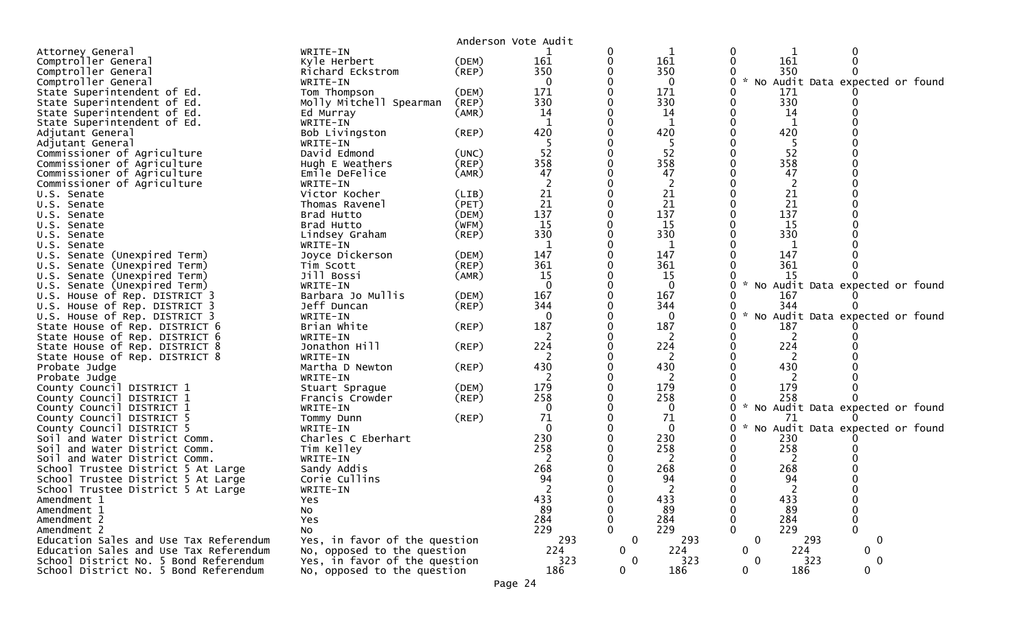|                                        |                                   |             | Anderson Vote Audit |              |              |              |              |                                   |  |
|----------------------------------------|-----------------------------------|-------------|---------------------|--------------|--------------|--------------|--------------|-----------------------------------|--|
| Attorney General                       | WRITE-IN                          |             |                     |              | 1            | 0            |              |                                   |  |
| Comptroller General                    | Kyle Herbert                      | (DEM)       | 161                 |              | 161          |              | 161          |                                   |  |
| Comptroller General                    | Richard Eckstrom                  | $($ REP $)$ | 350                 |              | 350          |              | 350          |                                   |  |
| Comptroller General                    | WRITE-IN                          |             | 0                   |              | $\mathbf 0$  | 0            |              | * No Audit Data expected or found |  |
| State Superintendent of Ed.            | Tom Thompson                      | (DEM)       | 171                 |              | 171          |              | 171          |                                   |  |
| State Superintendent of Ed.            | Molly Mitchell Spearman           | (REP)       | 330                 |              | 330          | 0            | 330          |                                   |  |
| State Superintendent of Ed.            | Ed Murray                         | (AMR)       | 14                  |              | 14           |              | 14           |                                   |  |
| State Superintendent of Ed.            | WRITE-IN                          |             | 1                   |              | $\mathbf 1$  |              | $\mathbf{1}$ |                                   |  |
|                                        |                                   | $($ REP $)$ | 420                 |              | 420          |              | 420          |                                   |  |
| Adjutant General                       | Bob Livingston                    |             |                     |              |              |              |              |                                   |  |
| Adjutant General                       | WRITE-IN                          |             | -5                  |              | -5           |              | 5            |                                   |  |
| Commissioner of Agriculture            | David Edmond                      | (UNC)       | 52                  |              | 52           |              | 52           |                                   |  |
| Commissioner of Agriculture            | Hugh E Weathers                   | (REP)       | 358                 |              | 358          |              | 358          |                                   |  |
| Commissioner of Agriculture            | Emile DeFelice                    | (AMR)       | 47                  |              | 47           |              | 47           |                                   |  |
| Commissioner of Agriculture            | WRITE-IN                          |             |                     |              | 2            |              | 2            |                                   |  |
| U.S. Senate                            | Victor Kocher                     | (LIB)       | 21                  |              | 21           |              | 21           |                                   |  |
| U.S. Senate                            | Thomas Ravenel                    | (PET)       | 21                  |              | 21           |              | 21           |                                   |  |
| U.S. Senate                            | Brad Hutto                        | (DEM)       | 137                 |              | 137          |              | 137          |                                   |  |
| U.S. Senate                            | Brad Hutto                        | (WFM)       | 15                  |              | 15           |              | 15           |                                   |  |
| U.S. Senate                            | Lindsey Graham                    | $($ REP $)$ | 330                 |              | 330          |              | 330          |                                   |  |
| U.S. Senate                            | WRITE-IN                          |             |                     |              | 1            |              | 1            |                                   |  |
| U.S. Senate (Unexpired Term)           | Joyce Dickerson                   | (DEM)       | 147                 |              | 147          |              | 147          |                                   |  |
| U.S. Senate (Unexpired Term)           | Tim Scott                         | (REP)       | 361                 |              | 361          |              | 361          |                                   |  |
| U.S. Senate (Unexpired Term)           | Jill Bossi                        | (AMR)       | 15                  |              | 15           |              | 15           |                                   |  |
| U.S. Senate (Unexpired Term)           | WRITE-IN                          |             | $\Omega$            |              | $\mathbf{0}$ | 0            |              | No Audit Data expected or found   |  |
| U.S. House of Rep. DISTRICT 3          | Barbara Jo Mullis                 | (DEM)       | 167                 |              | 167          |              | 167          |                                   |  |
| U.S. House of Rep. DISTRICT 3          | Jeff Duncan                       | $($ REP $)$ | 344                 |              | 344          |              | 344          |                                   |  |
| U.S. House of Rep. DISTRICT 3          | WRITE-IN                          |             | $\Omega$            |              | $\Omega$     | 0            |              | No Audit Data expected or found   |  |
| State House of Rep. DISTRICT 6         | Brian White                       | $($ REP $)$ | 187                 |              | 187          |              | 187          |                                   |  |
| State House of Rep. DISTRICT 6         | WRITE-IN                          |             |                     |              | 2            |              | 2            |                                   |  |
| State House of Rep. DISTRICT 8         | Jonathon Hill                     | $($ REP $)$ | 224                 |              | 224          |              | 224          |                                   |  |
| State House of Rep. DISTRICT 8         | WRITE-IN                          |             | 2                   |              | 2            |              | 2            |                                   |  |
| Probate Judge                          | Martha D Newton                   | (REP)       | 430                 |              | 430          |              | 430          |                                   |  |
| Probate Judge                          | WRITE-IN                          |             | 2                   |              | 2            |              |              |                                   |  |
| County Council DISTRICT 1              |                                   | (DEM)       | 179                 |              | 179          |              | 179          |                                   |  |
| County Council DISTRICT 1              | Stuart Sprague<br>Francis Crowder | $($ REP $)$ | 258                 |              | 258          |              | 258          |                                   |  |
|                                        | WRITE-IN                          |             | $\Omega$            |              | $\Omega$     | W.           |              | No Audit Data expected or found   |  |
| County Council DISTRICT 1              |                                   |             | 71                  |              | 71           |              | 71           |                                   |  |
| County Council DISTRICT 5              | Tommy Dunn                        | (REP)       |                     |              |              |              |              |                                   |  |
| County Council DISTRICT 5              | WRITE-IN                          |             |                     |              | 0            |              |              | No Audit Data expected or found   |  |
| Soil and Water District Comm.          | Charles C Eberhart                |             | 230<br>258          |              | 230          |              | 230          |                                   |  |
| Soil and Water District Comm.          | Tim Kelley                        |             |                     |              | 258          |              | 258          |                                   |  |
| Soil and Water District Comm.          | WRITE-IN                          |             | 2                   |              | 2            |              | 2            |                                   |  |
| School Trustee District 5 At Large     | Sandy Addis                       |             | 268                 |              | 268          |              | 268          |                                   |  |
| School Trustee District 5 At Large     | Corie Cullins                     |             | 94                  |              | 94           |              | 94           |                                   |  |
| School Trustee District 5 At Large     | WRITE-IN                          |             |                     |              |              |              |              |                                   |  |
| Amendment 1                            | Yes.                              |             | 433                 |              | 433          | 0            | 433          |                                   |  |
| Amendment 1                            | No                                |             | 89                  |              | 89           |              | 89           |                                   |  |
| Amendment 2                            | Yes                               |             | 284                 |              | 284          |              | 284          |                                   |  |
| Amendment 2                            | N <sub>O</sub>                    |             | 229                 |              | 229          |              | 229          | 0                                 |  |
| Education Sales and Use Tax Referendum | Yes, in favor of the question     |             | 293                 | $\mathbf 0$  | 293          | $\mathbf 0$  | 293          | $\mathbf 0$                       |  |
| Education Sales and Use Tax Referendum | No, opposed to the question       |             | 224                 | $\mathbf{0}$ | 224          | $\mathbf{0}$ | 224          | $\mathbf{0}$                      |  |
| School District No. 5 Bond Referendum  | Yes, in favor of the question     |             | 323                 | 0            | 323          | $\mathbf{0}$ | 323          | 0                                 |  |
| School District No. 5 Bond Referendum  | No, opposed to the question       |             | 186                 | $\mathbf 0$  | 186          | $\mathbf 0$  | 186          | $\overline{0}$                    |  |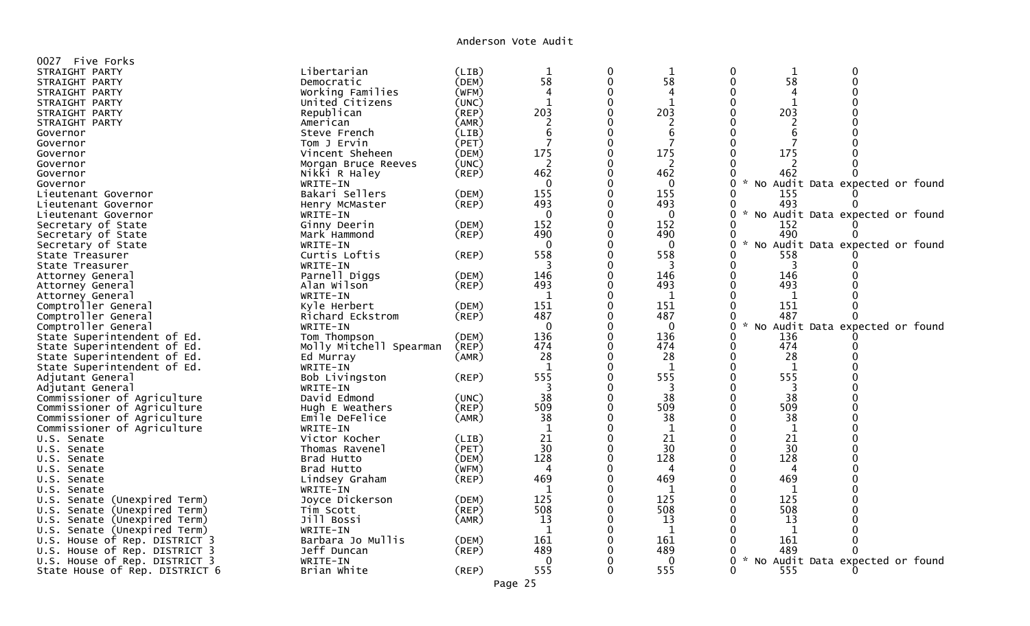Anderson Vote Audit

| 0027<br>Five Forks<br>Libertarian<br>STRAIGHT PARTY<br>(LIB)<br>$\mathbf 1$<br>0<br>$\mathbf 1$<br>0<br>$\mathbf 1$<br>0<br>58<br>58<br>$\mathbf 0$<br>58<br>$\mathbf 0$<br>0<br>(DEM)<br>STRAIGHT PARTY<br>Democratic<br>$\Omega$<br>Working Families<br>(WFM)<br>$\overline{4}$<br>4<br>0<br>STRAIGHT PARTY<br>4<br>$\mathbf 1$<br>$\mathbf 0$<br>0<br>$\mathbf 1$<br>$\Omega$<br>United Citizens<br>(UNC)<br>1<br>STRAIGHT PARTY |  |
|-------------------------------------------------------------------------------------------------------------------------------------------------------------------------------------------------------------------------------------------------------------------------------------------------------------------------------------------------------------------------------------------------------------------------------------|--|
|                                                                                                                                                                                                                                                                                                                                                                                                                                     |  |
|                                                                                                                                                                                                                                                                                                                                                                                                                                     |  |
|                                                                                                                                                                                                                                                                                                                                                                                                                                     |  |
|                                                                                                                                                                                                                                                                                                                                                                                                                                     |  |
| 203<br>$\Omega$<br>203<br>203<br>Republican<br>(REP)<br>STRAIGHT PARTY                                                                                                                                                                                                                                                                                                                                                              |  |
| $\overline{2}$<br>$\Omega$<br>(AMR)<br>$\overline{2}$<br>$\Omega$<br>$\overline{2}$<br>STRAIGHT PARTY<br>American                                                                                                                                                                                                                                                                                                                   |  |
| 6<br>$\Omega$<br>6<br>$\Omega$<br>Steve French<br>(LIB)<br>6<br>Governor                                                                                                                                                                                                                                                                                                                                                            |  |
| 7<br>$\mathbf 0$<br>(PET)<br>7<br>$\Omega$<br>7<br>Tom J Ervin<br>Governor                                                                                                                                                                                                                                                                                                                                                          |  |
| 175<br>175<br>175<br>Vincent Sheheen<br>(DEM)<br>$\Omega$<br>0<br>Governor                                                                                                                                                                                                                                                                                                                                                          |  |
| 2<br>(UNC)<br>$\Omega$<br>2                                                                                                                                                                                                                                                                                                                                                                                                         |  |
| Governor<br>Morgan Bruce Reeves<br>462<br>462<br>462<br>$\mathbf 0$<br>Nikki R Haley<br>(REP)<br>0<br>Governor                                                                                                                                                                                                                                                                                                                      |  |
| $\Omega$<br>0<br>No Audit Data expected or found<br>Governor<br>$\Omega$                                                                                                                                                                                                                                                                                                                                                            |  |
| WRITE-IN<br>155<br>155<br>$\Omega$<br>O                                                                                                                                                                                                                                                                                                                                                                                             |  |
| Bakari Sellers<br>(DEM)<br>155<br>Lieutenant Governor<br>493<br>$\Omega$<br>493<br>493                                                                                                                                                                                                                                                                                                                                              |  |
| (REP)<br>0<br>Lieutenant Governor<br>Henry McMaster<br>$\Omega$<br>$\mathcal{H}$                                                                                                                                                                                                                                                                                                                                                    |  |
| $\mathbf 0$<br>$\mathbf{0}$<br>0<br>No Audit Data expected or found<br>WRITE-IN<br>Lieutenant Governor                                                                                                                                                                                                                                                                                                                              |  |
| 152<br>$\Omega$<br>152<br>$\mathbf{0}$<br>152<br>Secretary of State<br>Ginny Deerin<br>(DEM)                                                                                                                                                                                                                                                                                                                                        |  |
| 490<br>$\Omega$<br>490<br>490<br>(REP)<br>0<br>Secretary of State<br>Mark Hammond<br>$\sim$                                                                                                                                                                                                                                                                                                                                         |  |
| $\Omega$<br>$\Omega$<br>No Audit Data expected or found<br>Secretary of State<br>WRITE-IN<br>$\Omega$<br>0                                                                                                                                                                                                                                                                                                                          |  |
| Curtis Loftis<br>558<br>$\Omega$<br>558<br>558<br>State Treasurer<br>(REP)<br>O                                                                                                                                                                                                                                                                                                                                                     |  |
| $\Omega$<br>WRITE-IN<br>3<br>3<br>3<br>State Treasurer<br>0                                                                                                                                                                                                                                                                                                                                                                         |  |
| 146<br>$\Omega$<br>Parnell Diggs<br>146<br>0<br>146<br>(DEM)<br>Attorney General                                                                                                                                                                                                                                                                                                                                                    |  |
| 493<br>493<br>493<br>(REP)<br>$\Omega$<br>Alan Wilson<br>Attorney General                                                                                                                                                                                                                                                                                                                                                           |  |
| $\mathbf 0$<br>WRITE-IN<br>1<br>1<br>1<br>Attorney General                                                                                                                                                                                                                                                                                                                                                                          |  |
| 151<br>$\mathbf 0$<br>151<br>151<br>(DEM)<br>0<br>Comptroller General<br>Kyle Herbert                                                                                                                                                                                                                                                                                                                                               |  |
| 487<br>487<br>$\Omega$<br>487<br>Richard Eckstrom<br>(REP)<br>$\Omega$<br>Comptroller General                                                                                                                                                                                                                                                                                                                                       |  |
| $\mathbf 0$<br>$\mathbf 0$<br>$\mathbf{0}$<br>0<br>$\mathcal{H}$<br>Audit Data expected or found<br>Comptroller General<br>WRITE-IN<br>NO.                                                                                                                                                                                                                                                                                          |  |
| 136<br>$\Omega$<br>136<br>136<br>Tom Thompson<br>(DEM)<br>State Superintendent of Ed.<br>0                                                                                                                                                                                                                                                                                                                                          |  |
| 474<br>474<br>Molly Mitchell Spearman<br>(REP)<br>$\Omega$<br>474<br>State Superintendent of Ed.<br>0                                                                                                                                                                                                                                                                                                                               |  |
| 28<br>$\Omega$<br>28<br>28<br>State Superintendent of Ed.<br>Ed Murray<br>(AMR)<br>0                                                                                                                                                                                                                                                                                                                                                |  |
| $\Omega$<br>0<br>State Superintendent of Ed.<br>WRITE-IN<br>1<br>$\mathbf{1}$<br>$\mathbf{1}$                                                                                                                                                                                                                                                                                                                                       |  |
| 555<br>555<br>555<br>$\mathbf 0$<br>(REP)<br>Adjutant General<br>Bob Livingston                                                                                                                                                                                                                                                                                                                                                     |  |
| 3<br>0<br>3<br>3<br>Adjutant General<br>WRITE-IN                                                                                                                                                                                                                                                                                                                                                                                    |  |
| 38<br>$\mathbf 0$<br>38<br>38<br>David Edmond<br>0<br>Commissioner of Agriculture<br>(UNC)                                                                                                                                                                                                                                                                                                                                          |  |
| 509<br>$\Omega$<br>Commissioner of Agriculture<br>509<br>509<br>(REP)<br>Hugh E Weathers                                                                                                                                                                                                                                                                                                                                            |  |
| 38<br>38<br>38<br>Commissioner of Agriculture<br>$\mathbf 0$<br>$\Omega$<br>Emile DeFelice<br>(AMR)                                                                                                                                                                                                                                                                                                                                 |  |
| $\mathbf{1}$<br>$\Omega$<br>Commissioner of Agriculture<br>$\Omega$<br>1<br>WRITE-IN<br>1                                                                                                                                                                                                                                                                                                                                           |  |
| 21<br>$\Omega$<br>21<br>21<br>$\Omega$<br>Victor Kocher<br>(LIB)<br>U.S. Senate                                                                                                                                                                                                                                                                                                                                                     |  |
| 30<br>$\Omega$<br>(PET)<br>30<br>30<br>U.S. Senate<br>Thomas Ravenel<br>0                                                                                                                                                                                                                                                                                                                                                           |  |
| 128<br>$\Omega$<br>128<br>128<br>Brad Hutto<br>(DEM)<br>U.S. Senate                                                                                                                                                                                                                                                                                                                                                                 |  |
| $\mathbf 0$<br>(WFM)<br>4<br>0<br>U.S. Senate<br>Brad Hutto<br>4<br>4                                                                                                                                                                                                                                                                                                                                                               |  |
| 469<br>469<br>469<br>Lindsey Graham<br>(REP)<br>U.S. Senate                                                                                                                                                                                                                                                                                                                                                                         |  |
| $\Omega$<br>-1<br>$\mathbf{1}$<br>WRITE-IN<br>-1<br>U.S. Senate                                                                                                                                                                                                                                                                                                                                                                     |  |
| 125<br>$\Omega$<br>125<br>125<br>Joyce Dickerson<br>U.S. Senate (Unexpired Term)<br>(DEM)                                                                                                                                                                                                                                                                                                                                           |  |
| 508<br>508<br>508<br>$\mathbf 0$<br>$\Omega$<br>(REP)<br>Senate (Unexpired Term)<br>Tim Scott<br>U.S.                                                                                                                                                                                                                                                                                                                               |  |
| 13<br>Jill Bossi<br>$\Omega$<br>13<br>13<br>U.S. Senate (Unexpired Term)<br>(AMR)                                                                                                                                                                                                                                                                                                                                                   |  |
| $\mathbf{1}$<br>$\Omega$<br>1<br>1<br>Senate (Unexpired Term)<br>WRITE-IN<br>U.S.                                                                                                                                                                                                                                                                                                                                                   |  |
| Barbara Jo Mullis<br>161<br>161<br>161<br>U.S. House of Rep. DISTRICT 3<br>(DEM)<br>$\Omega$<br>∩                                                                                                                                                                                                                                                                                                                                   |  |
| 489<br>Jeff Duncan<br>(REP)<br>$\Omega$<br>489<br>489<br>U.S. House of Rep. DISTRICT 3<br>n                                                                                                                                                                                                                                                                                                                                         |  |
| $\Omega$<br>Audit Data expected or found<br>U.S. House of Rep. DISTRICT 3<br>$\Omega$<br>$\Omega$<br>0<br>WRITE-IN<br>NO.                                                                                                                                                                                                                                                                                                           |  |
| 555<br>555<br>$\mathbf 0$<br>555<br>Brian White<br>(REP)<br>State House of Rep. DISTRICT 6                                                                                                                                                                                                                                                                                                                                          |  |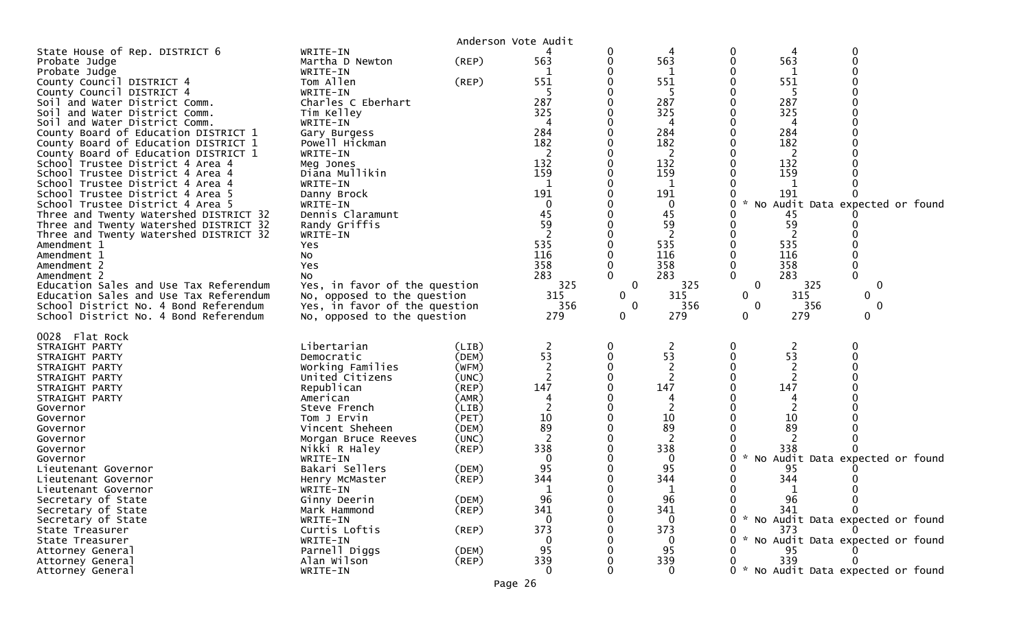|                                                                                                                                                                                                                                                                                                                                                                                                                                                                                                                                                                                                                                                                                                                                                                                                                                                                                                           |                                                                                                                                                                                                                                                                                                                                                                                                                                                 |                                                                                                                                                                                        | Anderson Vote Audit                                                                                                                                |                                                     |                                                                                                                                                                                           |                                                                    |                                                                                                                                                                |                                                                                                                                                            |  |
|-----------------------------------------------------------------------------------------------------------------------------------------------------------------------------------------------------------------------------------------------------------------------------------------------------------------------------------------------------------------------------------------------------------------------------------------------------------------------------------------------------------------------------------------------------------------------------------------------------------------------------------------------------------------------------------------------------------------------------------------------------------------------------------------------------------------------------------------------------------------------------------------------------------|-------------------------------------------------------------------------------------------------------------------------------------------------------------------------------------------------------------------------------------------------------------------------------------------------------------------------------------------------------------------------------------------------------------------------------------------------|----------------------------------------------------------------------------------------------------------------------------------------------------------------------------------------|----------------------------------------------------------------------------------------------------------------------------------------------------|-----------------------------------------------------|-------------------------------------------------------------------------------------------------------------------------------------------------------------------------------------------|--------------------------------------------------------------------|----------------------------------------------------------------------------------------------------------------------------------------------------------------|------------------------------------------------------------------------------------------------------------------------------------------------------------|--|
| State House of Rep. DISTRICT 6<br>Probate Judge<br>Probate Judge<br>County Council DISTRICT 4<br>County Council DISTRICT 4<br>Soil and Water District Comm.<br>Soil and Water District Comm.<br>Soil and Water District Comm.<br>County Board of Education DISTRICT 1<br>County Board of Education DISTRICT 1<br>County Board of Education DISTRICT 1<br>School Trustee District 4 Area 4<br>School Trustee District 4 Area 4<br>School Trustee District 4 Area 4<br>School Trustee District 4 Area 5<br>School Trustee District 4 Area 5<br>Three and Twenty Watershed DISTRICT 32<br>Three and Twenty Watershed DISTRICT 32<br>Three and Twenty Watershed DISTRICT 32<br>Amendment 1<br>Amendment 1<br>Amendment 2<br>Amendment 2<br>Education Sales and Use Tax Referendum<br>Education Sales and Use Tax Referendum<br>School District No. 4 Bond Referendum<br>School District No. 4 Bond Referendum | WRITE-IN<br>Martha D Newton<br>WRITE-IN<br>Tom Allen<br>WRITE-IN<br>Charles C Eberhart<br>Tim Kelley<br>WRITE-IN<br>Gary Burgess<br>Powell Hickman<br>WRITE-IN<br>Meg Jones<br>Diana Mullikin<br>WRITE-IN<br>Danny Brock<br>WRITE-IN<br>Dennis Claramunt<br>Randy Griffis<br>WRITE-IN<br>Yes<br>NO<br>Yes<br>No<br>Yes, in favor of the question<br>No, opposed to the question<br>Yes, in favor of the question<br>No, opposed to the question | (REP)<br>$($ REP $)$                                                                                                                                                                   | 563<br>551<br>287<br>325<br>4<br>284<br>182<br>2<br>132<br>159<br>191<br>0<br>45<br>59<br>535<br>116<br>358<br>283<br>325<br>315<br>356<br>279     | 0<br>0<br>0<br>0<br>$\mathbf 0$<br>$\mathbf 0$<br>0 | 4<br>563<br>551<br>5<br>287<br>325<br>4<br>284<br>182<br>2<br>132<br>159<br>1<br>191<br>$\mathbf 0$<br>45<br>59<br>$\overline{2}$<br>535<br>116<br>358<br>283<br>325<br>315<br>356<br>279 | 0<br>0<br>0<br>0<br>0<br>0<br>0<br>0<br>0<br>0<br>0<br>0<br>0<br>0 | 4<br>563<br>551<br>-5<br>287<br>325<br>4<br>284<br>182<br>2<br>132<br>159<br>1<br>191<br>45<br>59<br>2<br>535<br>116<br>358<br>283<br>325<br>315<br>356<br>279 | 0<br>0<br>* No Audit Data expected or found<br>0<br>0<br>0<br>0<br>$\mathbf 0$<br>0                                                                        |  |
| 0028 Flat Rock<br>STRAIGHT PARTY<br>STRAIGHT PARTY<br>STRAIGHT PARTY<br>STRAIGHT PARTY<br>STRAIGHT PARTY<br>STRAIGHT PARTY<br>Governor<br>Governor<br>Governor<br>Governor<br>Governor<br>Governor<br>Lieutenant Governor<br>Lieutenant Governor<br>Lieutenant Governor<br>Secretary of State<br>Secretary of State<br>Secretary of State<br>State Treasurer<br>State Treasurer<br>Attorney General<br>Attorney General<br>Attorney General                                                                                                                                                                                                                                                                                                                                                                                                                                                               | Libertarian<br>Democratic<br>Working Families<br>United Citizens<br>Republican<br>American<br>Steve French<br>Tom J Ervin<br>Vincent Sheheen<br>Morgan Bruce Reeves<br>Nikki R Haley<br>WRITE-IN<br>Bakari Sellers<br>Henry McMaster<br>WRITE-IN<br>Ginny Deerin<br>Mark Hammond<br>WRITE-IN<br>Curtis Loftis<br>WRITE-IN<br>Parnell Diggs<br>Alan Wilson<br>WRITE-IN                                                                           | (LIB)<br>(DEM)<br>(WFM)<br>(UNC)<br>$($ REP $)$<br>(AMR)<br>(LIB)<br>(PET)<br>(DEM)<br>(UNC)<br>$($ REP $)$<br>(DEM)<br>(REP)<br>(DEM)<br>$($ REP $)$<br>(REP)<br>(DEM)<br>$($ REP $)$ | 2<br>53<br>$\overline{2}$<br>$\overline{2}$<br>147<br>4<br>10<br>89<br>2<br>338<br>$\mathbf{0}$<br>95<br>344<br>96<br>341<br>373<br>95<br>339<br>0 | 0<br>0                                              | 2<br>53<br>$\overline{2}$<br>$\overline{c}$<br>147<br>2<br>10<br>89<br>2<br>338<br>0<br>95<br>344<br>96<br>341<br>0<br>373<br>0<br>95<br>339<br>0                                         | 0<br>0<br>0<br>$\mathcal{H}$<br>0<br>0                             | 2<br>53<br>2<br>2<br>147<br>10<br>89<br>338<br>95<br>344<br>96<br>341<br>373<br>339                                                                            | 0<br>No Audit Data expected or found<br>0<br>* No Audit Data expected or found<br>* No Audit Data expected or found<br>0 * No Audit Data expected or found |  |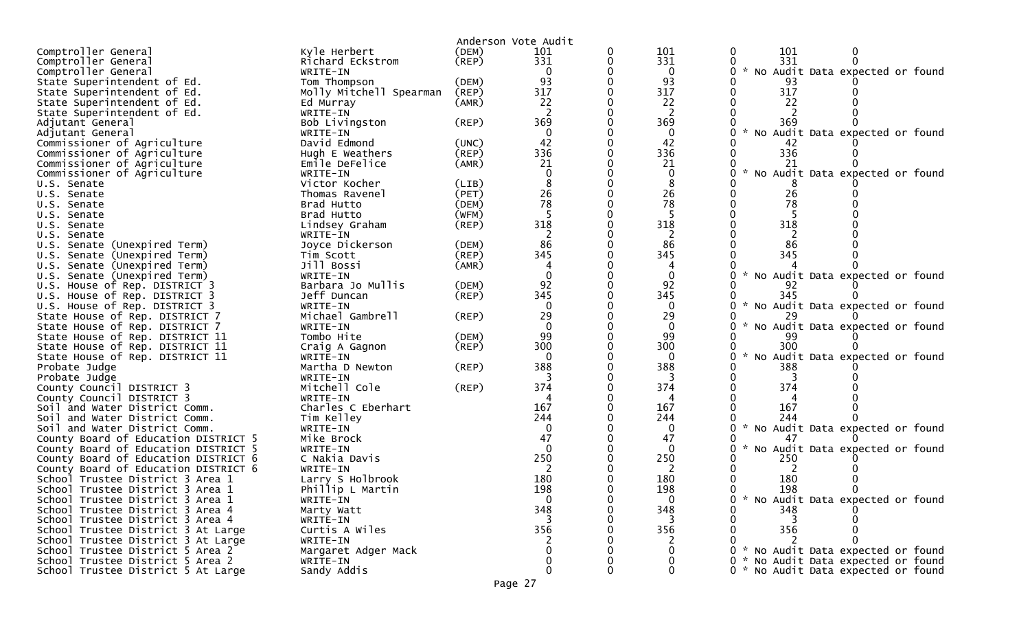|                                                            |                                |             | Anderson Vote Audit |             |                                                       |
|------------------------------------------------------------|--------------------------------|-------------|---------------------|-------------|-------------------------------------------------------|
| Comptroller General                                        | Kyle Herbert                   | (DEM)       | 101                 | 101         | 101<br>0                                              |
| Comptroller General                                        | Richard Eckstrom               | (REP)       | 331                 | 331         | 331                                                   |
| Comptroller General                                        | WRITE-IN                       |             |                     | 0           | * No Audit Data expected or found<br>0                |
| State Superintendent of Ed.                                | Tom Thompson                   | (DEM)       | 93                  | 93          | 93                                                    |
| State Superintendent of Ed.                                | Molly Mitchell Spearman        | (REP)       | 317                 | 317         | 317                                                   |
| State Superintendent of Ed.                                | Ed Murray                      | (AMR)       | 22                  | 22          | 22                                                    |
| State Superintendent of Ed.                                | WRITE-IN                       |             |                     | 2           |                                                       |
| Adjutant General                                           | Bob Livingston                 | (REP)       | 369                 | 369         | 369                                                   |
| Adjutant General                                           | WRITE-IN                       |             |                     | 0           | No Audit Data expected or found                       |
| Commissioner of Agriculture                                | David Edmond                   | (UNC)       | 42                  | 42          | 42                                                    |
| Commissioner of Agriculture                                | Hugh E Weathers                | (REP)       | 336                 | 336         | 336                                                   |
| Commissioner of Agriculture                                | Emile DeFelice                 | (AMR)       | 21                  | 21          | 21                                                    |
| Commissioner of Agriculture                                | WRITE-IN                       |             |                     | 0           | $\mathcal{H}$<br>No Audit Data expected or found<br>0 |
| U.S. Senate                                                | Victor Kocher                  | (LIB)       |                     | 8           |                                                       |
| U.S. Senate                                                | Thomas Ravenel                 | (PET)       | 26                  | 26          | 26                                                    |
| U.S. Senate                                                | Brad Hutto                     | (DEM)       | 78                  | 78          | 78                                                    |
| U.S. Senate                                                | Brad Hutto                     | (WFM)       |                     | -5          |                                                       |
| U.S. Senate                                                | Lindsey Graham                 | $($ REP $)$ | 318                 | 318         | 318                                                   |
| U.S. Senate                                                | WRITE-IN                       |             |                     | 2           |                                                       |
| U.S. Senate (Unexpired Term)                               | Joyce Dickerson                | (DEM)       | 86                  | 86          | 86                                                    |
| U.S. Senate (Unexpired Term)                               | Tim Scott                      | (REP)       | 345                 | 345         | 345                                                   |
| U.S. Senate (Unexpired Term)                               | Jill Bossi                     | (AMR)       |                     |             |                                                       |
| U.S. Senate (Unexpired Term)                               | WRITE-IN                       |             |                     |             | $\sim$<br>No Audit Data expected or found             |
| U.S. House of Rep. DISTRICT 3                              | Barbara Jo Mullis              | (DEM)       | 92                  | 92          | 92                                                    |
| U.S. House of Rep. DISTRICT 3                              | Jeff Duncan                    | (REP)       | 345                 | 345         | 345                                                   |
| U.S. House of Rep. DISTRICT 3                              | WRITE-IN                       |             |                     | $\Omega$    | $\sim$<br>No Audit Data expected or found             |
| State House of Rep. DISTRICT 7                             | Michael Gambrell               | (REP)       | 29                  | 29          |                                                       |
| State House of Rep. DISTRICT 7                             | WRITE-IN                       |             | $\Omega$            | $\mathbf 0$ | * No Audit Data expected or found                     |
| State House of Rep. DISTRICT 11                            | Tombo Hite                     | (DEM)       | 99                  | 99          | -99                                                   |
| State House of Rep. DISTRICT 11                            | Craig A Gagnon                 | (REP)       | 300                 | 300         | 300                                                   |
| State House of Rep. DISTRICT 11                            | WRITE-IN                       |             |                     | $\Omega$    | $\mathcal{H}$<br>No Audit Data expected or found      |
| Probate Judge                                              | Martha D Newton                | (REP)       | 388                 | 388         | 388                                                   |
| Probate Judge                                              | WRITE-IN                       |             |                     | 374         | 374                                                   |
| County Council DISTRICT 3                                  | Mitchell Cole                  | (REP)       | 374                 |             |                                                       |
| County Council DISTRICT 3<br>Soil and Water District Comm. | WRITE-IN<br>Charles C Eberhart |             | 167                 | 167         | 167                                                   |
| Soil and Water District Comm.                              | Tim Kelley                     |             | 244                 | 244         | 244                                                   |
| Soil and Water District Comm.                              | WRITE-IN                       |             |                     | 0           | * No Audit Data expected or found                     |
| County Board of Education DISTRICT 5                       | Mike Brock                     |             | 47                  | 47          |                                                       |
| County Board of Education DISTRICT 5                       | WRITE-IN                       |             | $\Omega$            | $\Omega$    | No Audit Data expected or found<br>$\mathcal{H}$      |
| County Board of Education DISTRICT 6                       | C Nakia Davis                  |             | 250                 | 250         | 250                                                   |
| County Board of Education DISTRICT 6                       | WRITE-IN                       |             |                     | 2           |                                                       |
| School Trustee District 3 Area 1                           | Larry S Holbrook               |             | 180                 | 180         | 180                                                   |
| School Trustee District 3 Area 1                           | Phillip L Martin               |             | 198                 | 198         | 198                                                   |
| School Trustee District 3 Area 1                           | WRITE-IN                       |             | $\Omega$            | $\Omega$    | 0<br>* No Audit Data expected or found                |
| School Trustee District 3 Area 4                           | Marty Watt                     |             | 348                 | 348         | 348                                                   |
| School Trustee District 3 Area 4                           | WRITE-IN                       |             | 3                   | 3           | 3                                                     |
| School Trustee District 3 At Large                         | Curtis A Wiles                 |             | 356                 | 356         | 356                                                   |
| School Trustee District 3 At Large                         | WRITE-IN                       |             |                     | 2           |                                                       |
| School Trustee District 5 Area 2                           | Margaret Adger Mack            |             |                     | 0           | 0 * No Audit Data expected or found                   |
| School Trustee District 5 Area 2                           | WRITE-IN                       |             |                     |             | * No Audit Data expected or found                     |
| School Trustee District 5 At Large                         | Sandy Addis                    |             | 0                   | 0           | 0 * No Audit Data expected or found                   |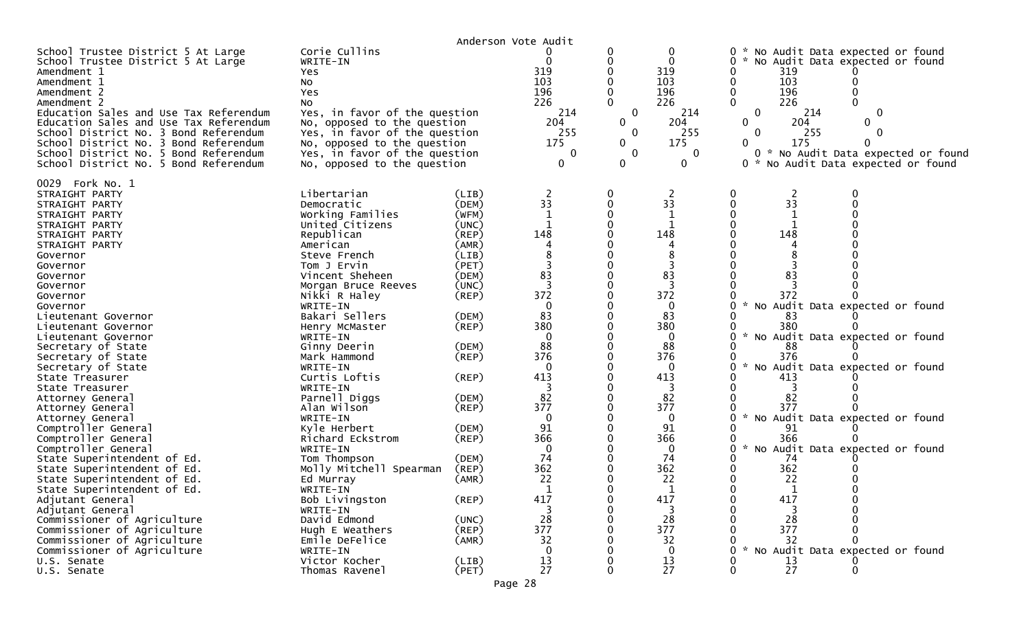|                                                                                                                                                                                                                                                                                                                                                                                                                                                                                                                                                                                                                                                                                                                                                                                                                  |                                                                                                                                                                                                                                                                                                                                                                                                                                                                                                                                                                                          |                                                                                                                                                                                                                                                       | Anderson Vote Audit                                                                                                                                                                     |                                                                   |                                                                                                                                                                                                                                     |                                                                                                                                                                                                                                                                                                                                                                                                                                                                                                                                           |
|------------------------------------------------------------------------------------------------------------------------------------------------------------------------------------------------------------------------------------------------------------------------------------------------------------------------------------------------------------------------------------------------------------------------------------------------------------------------------------------------------------------------------------------------------------------------------------------------------------------------------------------------------------------------------------------------------------------------------------------------------------------------------------------------------------------|------------------------------------------------------------------------------------------------------------------------------------------------------------------------------------------------------------------------------------------------------------------------------------------------------------------------------------------------------------------------------------------------------------------------------------------------------------------------------------------------------------------------------------------------------------------------------------------|-------------------------------------------------------------------------------------------------------------------------------------------------------------------------------------------------------------------------------------------------------|-----------------------------------------------------------------------------------------------------------------------------------------------------------------------------------------|-------------------------------------------------------------------|-------------------------------------------------------------------------------------------------------------------------------------------------------------------------------------------------------------------------------------|-------------------------------------------------------------------------------------------------------------------------------------------------------------------------------------------------------------------------------------------------------------------------------------------------------------------------------------------------------------------------------------------------------------------------------------------------------------------------------------------------------------------------------------------|
| School Trustee District 5 At Large<br>School Trustee District 5 At Large<br>Amendment 1<br>Amendment 1<br>Amendment 2<br>Amendment 2<br>Education Sales and Use Tax Referendum<br>Education Sales and Use Tax Referendum<br>School District No. 3 Bond Referendum<br>School District No. 3 Bond Referendum<br>School District No. 5 Bond Referendum<br>School District No. 5 Bond Referendum                                                                                                                                                                                                                                                                                                                                                                                                                     | Corie Cullins<br>WRITE-IN<br>Yes<br><b>NO</b><br>Yes<br>NO.<br>Yes, in favor of the question<br>No, opposed to the question<br>Yes, in favor of the question<br>No, opposed to the question<br>Yes, in favor of the question<br>No, opposed to the question                                                                                                                                                                                                                                                                                                                              |                                                                                                                                                                                                                                                       | 319<br>103<br>196<br>226<br>214<br>204<br>255<br>175<br>0<br>$\mathbf{0}$                                                                                                               | 0<br>0<br>$\overline{0}$<br>$\mathbf{0}$<br>0<br>0<br>$\mathbf 0$ | 0<br>$\Omega$<br>319<br>103<br>196<br>226<br>214<br>204<br>255<br>175<br>0<br>$\mathbf{0}$                                                                                                                                          | 0 * No Audit Data expected or found<br>0<br>* No Audit Data expected or found<br>319<br>103<br>0<br>196<br>0<br>$\Omega$<br>226<br>214<br>0<br>0<br>$\Omega$<br>0<br>204<br>$\Omega$<br>255<br>$\Omega$<br>175<br>0<br>0<br>0 * No Audit Data expected or found<br>No Audit Data expected or found<br>0 *                                                                                                                                                                                                                                 |
| 0029 Fork No. 1<br>STRAIGHT PARTY<br>STRAIGHT PARTY<br>STRAIGHT PARTY<br>STRAIGHT PARTY<br>STRAIGHT PARTY<br>STRAIGHT PARTY<br>Governor<br>Governor<br>Governor<br>Governor<br>Governor<br>Governor<br>Lieutenant Governor<br>Lieutenant Governor<br>Lieutenant Governor<br>Secretary of State<br>Secretary of State<br>Secretary of State<br>State Treasurer<br>State Treasurer<br>Attorney General<br>Attorney General<br>Attorney General<br>Comptroller General<br>Comptroller General<br>Comptroller General<br>State Superintendent of Ed.<br>State Superintendent of Ed.<br>State Superintendent of Ed.<br>State Superintendent of Ed<br>Adjutant General<br>Adjutant General<br>Commissioner of Agriculture<br>Commissioner of Agriculture<br>Commissioner of Agriculture<br>Commissioner of Agriculture | Libertarian<br>Democratic<br>Working Families<br>United Citizens<br>Republican<br>American<br>Steve French<br>Tom J Ervin<br>Vincent Sheheen<br>Morgan Bruce Reeves<br>Nikki R Haley<br>WRITE-IN<br>Bakari Sellers<br>Henry McMaster<br>WRITE-IN<br>Ginny Deerin<br>Mark Hammond<br>WRITE-IN<br>Curtis Loftis<br>WRITE-IN<br>Parnell Diggs<br>Alan Wilson<br>WRITE-IN<br>Kyle Herbert<br>Richard Eckstrom<br>WRITE-IN<br>Tom Thompson<br>Molly Mitchell Spearman<br>Ed Murray<br>WRITE-IN<br>Bob Livingston<br>WRITE-IN<br>David Edmond<br>Hugh E Weathers<br>Emile DeFelice<br>WRITE-IN | (LIB)<br>(DEM)<br>(WFM)<br>(UNC)<br>(REP)<br>(AMR)<br>(LIB)<br>(PET)<br>(DEM)<br>(UNC)<br>(REP)<br>(DEM)<br>(REP)<br>(DEM)<br>(REP)<br>(REP)<br>(DEM)<br>(REP)<br>(DEM)<br>(REP)<br>(DEM)<br>(REP)<br>(AMR)<br>(REP)<br>(UNC)<br>$($ REP $)$<br>(AMR) | 2<br>33<br>148<br>83<br>3<br>372<br>0<br>83<br>380<br>0<br>88<br>376<br>$\Omega$<br>413<br>3<br>82<br>377<br>$\mathbf 0$<br>91<br>366<br>0<br>74<br>362<br>22<br>417<br>28<br>377<br>32 | 0                                                                 | 2<br>33<br>$\mathbf{1}$<br>148<br>4<br>8<br>3<br>83<br>3<br>372<br>0<br>83<br>380<br>0<br>88<br>376<br>$\Omega$<br>413<br>3<br>82<br>377<br>$\mathbf{0}$<br>91<br>366<br>0<br>74<br>362<br>22<br>417<br>28<br>377<br>32<br>$\Omega$ | 0<br>2<br>0<br>33<br>0<br>0<br>O<br>0<br>148<br>0<br>O<br>0<br>83<br>372<br>No Audit Data expected or found<br>0<br>-83<br>0<br>380<br>0<br>W.<br>No Audit Data expected or found<br>88<br>376<br>O<br>$\mathcal{H}$<br>No Audit Data expected or found<br>0<br>413<br>0<br>82<br>377<br>$\mathcal{H}$<br>No Audit Data expected or found<br>0<br>91<br>366<br>0<br>$\mathcal{H}$<br>0<br>No Audit Data expected or found<br>74<br>362<br>22<br>417<br>0<br>0<br>28<br>O<br>377<br>32<br>$\mathcal{H}$<br>No Audit Data expected or found |
| U.S. Senate<br>U.S. Senate                                                                                                                                                                                                                                                                                                                                                                                                                                                                                                                                                                                                                                                                                                                                                                                       | Victor Kocher<br>Thomas Ravenel                                                                                                                                                                                                                                                                                                                                                                                                                                                                                                                                                          | (LIB)<br>(PET)                                                                                                                                                                                                                                        | 13<br>27                                                                                                                                                                                | 0<br>$\mathbf{0}$                                                 | 13<br>27                                                                                                                                                                                                                            | 13<br>$\overline{27}$<br>0<br>$\Omega$                                                                                                                                                                                                                                                                                                                                                                                                                                                                                                    |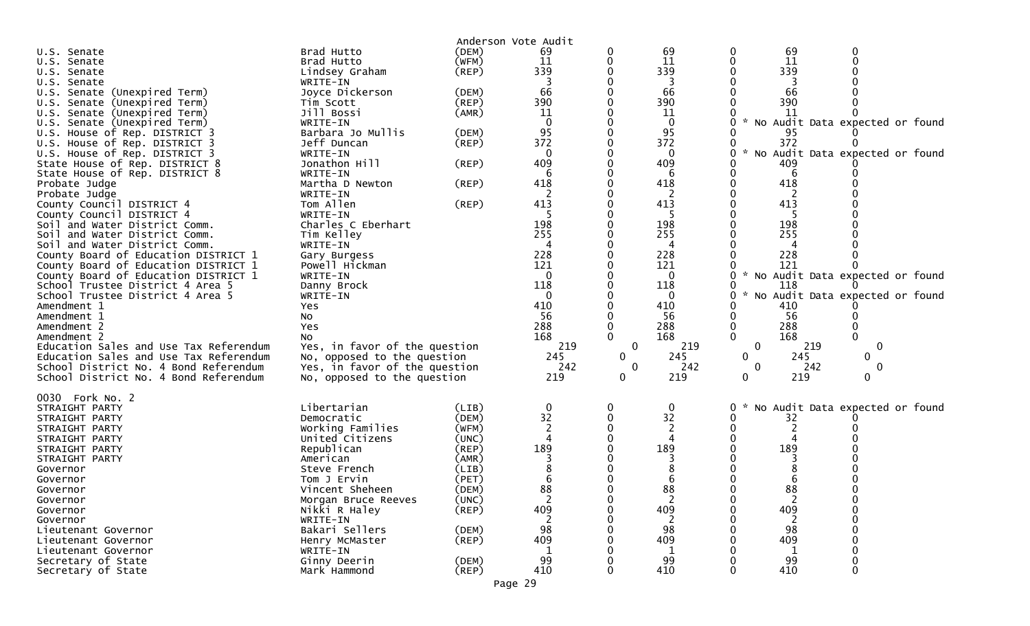|                                                            |                                  |                      | Anderson Vote Audit |              |             |                    |           |                                   |  |
|------------------------------------------------------------|----------------------------------|----------------------|---------------------|--------------|-------------|--------------------|-----------|-----------------------------------|--|
| U.S. Senate                                                | Brad Hutto                       | (DEM)                | 69                  |              | 69          | 0                  | 69        | 0                                 |  |
| U.S.<br>Senate                                             | Brad Hutto                       | (WFM)                | 11                  | 0            | 11          | 0                  | 11        |                                   |  |
| U.S. Senate                                                | Lindsey Graham                   | $($ REP $)$          | 339                 |              | 339         |                    | 339       |                                   |  |
| U.S. Senate                                                | WRITE-IN                         |                      |                     |              | 3           |                    | 3         |                                   |  |
| Senate (Unexpired Term)<br>U.S.                            | Joyce Dickerson                  | (DEM)                | 66                  |              | 66          |                    | 66        |                                   |  |
| U.S. Senate (Unexpired Term)                               | Tim Scott                        | (REP)                | 390                 |              | 390         |                    | 390       |                                   |  |
| U.S. Senate (Unexpired Term)                               | Jill Bossi                       | (AMR)                | 11                  |              | 11          |                    | -11       |                                   |  |
| Senate (Unexpired Term)<br>U.S.                            | WRITE-IN                         |                      | $\Omega$            |              | $\mathbf 0$ | $\mathcal{H}$<br>0 |           | No Audit Data expected or found   |  |
| U.S. House of Rep. DISTRICT 3                              | Barbara Jo Mullis                | (DEM)                | 95                  |              | 95          |                    | 95        |                                   |  |
| U.S. House of Rep. DISTRICT 3                              | Jeff Duncan                      | (REP)                | 372                 |              | 372         |                    | 372       |                                   |  |
| U.S. House of Rep. DISTRICT 3                              | WRITE-IN                         |                      | 0                   |              | 0           | 0                  |           | * No Audit Data expected or found |  |
| State House of Rep. DISTRICT 8                             | Jonathon Hill                    | (REP)                | 409                 |              | 409         |                    | 409       |                                   |  |
| State House of Rep. DISTRICT 8                             | WRITE-IN                         |                      | 6                   |              | 6           |                    | 6         |                                   |  |
| Probate Judge                                              | Martha D Newton                  | (REP)                | 418                 |              | 418         |                    | 418       |                                   |  |
| Probate Judge                                              | WRITE-IN                         |                      | 2                   |              | 2           |                    |           |                                   |  |
| County Council DISTRICT 4                                  | Tom Allen                        | (REP)                | 413                 |              | 413<br>-5   |                    | 413       |                                   |  |
| County Council DISTRICT 4<br>Soil and Water District Comm. | WRITE-IN<br>Charles C Eberhart   |                      | 198                 |              | 198         |                    | 198       |                                   |  |
| Soil and Water District Comm.                              | Tim Kelley                       |                      | 255                 |              | 255         |                    | 255       |                                   |  |
| Soil and Water District Comm.                              | WRITE-IN                         |                      |                     |              | 4           |                    | 4         |                                   |  |
| County Board of Education DISTRICT 1                       | Gary Burgess                     |                      | 228                 |              | 228         |                    | 228       |                                   |  |
| County Board of Education DISTRICT 1                       | Powell Hickman                   |                      | 121                 |              | 121         |                    | 121       |                                   |  |
| County Board of Education DISTRICT 1                       | WRITE-IN                         |                      | 0                   |              | $\Omega$    | 0                  |           | * No Audit Data expected or found |  |
| School Trustee District 4 Area 5                           | Danny Brock                      |                      | 118                 |              | 118         |                    | 118       |                                   |  |
| School Trustee District 4 Area 5                           | WRITE-IN                         |                      | $\mathbf 0$         |              | $\mathbf 0$ | 0                  |           | * No Audit Data expected or found |  |
| Amendment 1                                                | Yes                              |                      | 410                 |              | 410         |                    | 410       |                                   |  |
| Amendment 1                                                | NO.                              |                      | 56                  |              | 56          |                    | 56        |                                   |  |
| Amendment 2                                                | Yes                              |                      | 288                 |              | 288         | 0                  | 288       |                                   |  |
| Amendment 2                                                | NO.                              |                      | 168                 |              | 168         | 0                  | 168       |                                   |  |
| Education Sales and Use Tax Referendum                     | Yes, in favor of the question    |                      | 219                 | $\mathbf 0$  | 219         | $\mathbf{0}$       | 219       | 0                                 |  |
| Education Sales and Use Tax Referendum                     | No, opposed to the question      |                      | 245                 | $\mathbf{0}$ | 245         | 0                  | 245       | 0                                 |  |
| School District No. 4 Bond Referendum                      | Yes, in favor of the question    |                      | 242                 | $\mathbf 0$  | 242         | 0                  | 242       | 0                                 |  |
| School District No. 4 Bond Referendum                      | No, opposed to the question      |                      | 219                 | $\mathbf{0}$ | 219         | 0                  | 219       | 0                                 |  |
| 0030 Fork No. 2                                            |                                  |                      |                     |              |             |                    |           |                                   |  |
| STRAIGHT PARTY                                             | Libertarian                      | (LIB)                | 0                   | 0            | $\mathbf 0$ | 0<br>ж.,           |           | No Audit Data expected or found   |  |
| STRAIGHT PARTY                                             | Democratic                       | (DEM)                | 32                  |              | 32          |                    | 32        |                                   |  |
| STRAIGHT PARTY                                             | Working Families                 | (WFM)                |                     |              |             |                    | 2         |                                   |  |
| STRAIGHT PARTY                                             | United Citizens                  | (UNC)                |                     |              |             |                    |           |                                   |  |
| STRAIGHT PARTY                                             | Republican                       | (REP)                | 189                 |              | 189         |                    | 189       |                                   |  |
| STRAIGHT PARTY                                             | American                         | (AMR)                |                     |              |             |                    |           |                                   |  |
| Governor                                                   | Steve French                     | (LIB)                |                     |              |             |                    |           |                                   |  |
| Governor                                                   | Tom J Ervin                      | (PET)                |                     |              | 6           |                    | 6         |                                   |  |
| Governor                                                   | Vincent Sheheen                  | (DEM)                | 88                  |              | 88          |                    | 88        |                                   |  |
| Governor                                                   | Morgan Bruce Reeves              | (UNC)                | 2                   |              | 2           | 0                  | 2         |                                   |  |
| Governor                                                   | Nikki R Haley                    | (REP)                | 409                 |              | 409         |                    | 409       |                                   |  |
| Governor                                                   | WRITE-IN                         |                      | 98                  |              | 98          |                    |           |                                   |  |
| Lieutenant Governor<br>Lieutenant Governor                 | Bakari Sellers<br>Henry McMaster | (DEM)<br>$($ REP $)$ | 409                 |              | 409         |                    | 98<br>409 |                                   |  |
| Lieutenant Governor                                        | WRITE-IN                         |                      |                     |              | 1           |                    | 1         |                                   |  |
| Secretary of State                                         | Ginny Deerin                     | (DEM)                | 99                  |              | 99          |                    | 99        |                                   |  |
| Secretary of State                                         | Mark Hammond                     | $($ REP $)$          | 410                 |              | 410         |                    | 410       |                                   |  |
|                                                            |                                  |                      |                     |              |             |                    |           |                                   |  |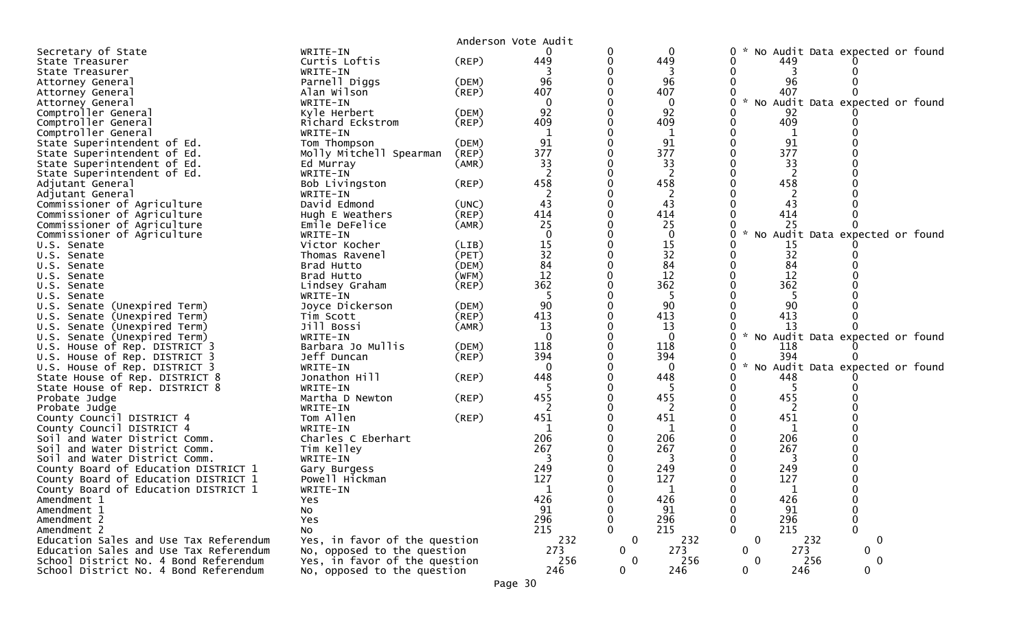|                                        |                                |             | Anderson Vote Audit |              |              |   |               |           |     |                                 |  |
|----------------------------------------|--------------------------------|-------------|---------------------|--------------|--------------|---|---------------|-----------|-----|---------------------------------|--|
| Secretary of State                     | WRITE-IN                       |             |                     |              | $\mathbf 0$  | 0 |               |           |     | No Audit Data expected or found |  |
| State Treasurer                        | Curtis Loftis                  | $($ REP $)$ | 449                 |              | 449          |   |               | 449       |     |                                 |  |
| State Treasurer                        | WRITE-IN                       |             |                     |              |              |   |               |           |     |                                 |  |
| Attorney General                       | Parnell Diggs                  | (DEM)       | 96                  |              | 96           |   |               | 96        |     |                                 |  |
| Attorney General                       | Alan Wilson                    | (REP)       | 407                 |              | 407          |   |               | 407       |     |                                 |  |
| Attorney General                       | WRITE-IN                       |             | $\mathbf{0}$        |              | $\mathbf{0}$ |   | $\mathcal{H}$ |           |     | No Audit Data expected or found |  |
| Comptroller General                    | Kyle Herbert                   | (DEM)       | 92                  |              | 92           |   |               | 92        |     |                                 |  |
| Comptroller General                    | Richard Eckstrom               | $($ REP $)$ | 409                 |              | 409          |   |               | 409       |     |                                 |  |
| Comptroller General                    | WRITE-IN                       |             | 1                   |              | 1            |   |               | 1         |     |                                 |  |
| State Superintendent of Ed.            | Tom Thompson                   | (DEM)       | 91                  |              | 91           |   |               | 91        |     |                                 |  |
| State Superintendent of Ed.            | Molly Mitchell Spearman        | (REP)       | 377                 |              | 377          |   |               | 377       |     |                                 |  |
| State Superintendent of Ed.            | Ed Murray                      | (AMR)       | 33                  |              | 33           |   |               | 33        |     |                                 |  |
| State Superintendent of Ed.            | WRITE-IN                       |             | 2                   |              | 2            |   |               | 2         |     |                                 |  |
| Adjutant General                       | Bob Livingston                 | (REP)       | 458                 |              | 458          |   |               | 458       |     |                                 |  |
| Adjutant General                       | WRITE-IN                       |             | 2                   |              | 2            |   |               | 2         |     |                                 |  |
| Commissioner of Agriculture            | David Edmond                   | (UNC)       | 43                  |              | 43           |   |               | 43        |     |                                 |  |
| Commissioner of Agriculture            | Hugh E Weathers                | $($ REP $)$ | 414                 |              | 414          |   |               | 414       |     |                                 |  |
| Commissioner of Agriculture            | Emile DeFelice                 | (AMR)       | 25                  |              | 25           |   |               | 25        |     |                                 |  |
| Commissioner of Agriculture            | WRITE-IN                       |             |                     |              | $\mathbf 0$  |   |               |           |     | No Audit Data expected or found |  |
| U.S. Senate                            | Victor Kocher                  | (LIB)       | 15                  |              | 15           |   |               | 15        |     |                                 |  |
| U.S. Senate                            | Thomas Ravenel                 | (PET)       | 32                  |              | 32           |   |               | 32        |     |                                 |  |
| U.S. Senate                            | Brad Hutto                     | (DEM)       | $8\overline{4}$     |              | 84           |   |               | 84        |     |                                 |  |
| U.S. Senate                            | Brad Hutto                     | (WFM)       | 12                  |              | 12           |   |               | 12        |     |                                 |  |
| U.S. Senate                            | Lindsey Graham                 | $($ REP $)$ | 362                 |              | 362          |   |               | 362       |     |                                 |  |
| U.S. Senate                            | WRITE-IN                       |             |                     |              |              |   |               |           |     |                                 |  |
| U.S. Senate (Unexpired Term)           | Joyce Dickerson                | (DEM)       | 90                  |              | 90           |   |               | 90        |     |                                 |  |
| U.S. Senate (Unexpired Term)           | Tim Scott                      | (REP)       | 413                 |              | 413          |   |               | 413       |     |                                 |  |
| U.S. Senate (Unexpired Term)           | Jill Bossi                     | (AMR)       | 13                  |              | 13           |   |               | 13        |     |                                 |  |
| U.S. Senate (Unexpired Term)           | WRITE-IN                       |             |                     |              | $\Omega$     |   | $\mathcal{H}$ |           |     | No Audit Data expected or found |  |
| U.S. House of Rep. DISTRICT 3          | Barbara Jo Mullis              | (DEM)       | 118                 |              | 118          |   |               | 118       |     |                                 |  |
| U.S. House of Rep. DISTRICT 3          | Jeff Duncan                    | $($ REP $)$ | 394                 |              | 394          |   |               | 394       |     |                                 |  |
| U.S. House of Rep. DISTRICT 3          | WRITE-IN                       |             | $\Omega$            |              | $\Omega$     | U | $\mathcal{R}$ |           |     | No Audit Data expected or found |  |
| State House of Rep. DISTRICT 8         | Jonathon Hill                  | $($ REP $)$ | 448                 |              | 448          |   |               | 448       |     |                                 |  |
| State House of Rep. DISTRICT 8         | WRITE-IN                       |             |                     |              |              |   |               |           |     |                                 |  |
| Probate Judge                          | Martha D Newton                | $($ REP $)$ | 455                 |              | 455          |   |               | 455       |     |                                 |  |
| Probate Judge                          | WRITE-IN                       |             | 2                   |              | 2            |   |               | 2         |     |                                 |  |
| County Council DISTRICT 4              | Tom Allen                      | $($ REP $)$ | 451                 |              | 451          |   |               | 451       |     |                                 |  |
| County Council DISTRICT 4              | WRITE-IN                       |             | 1                   |              | 1            |   |               | 1         |     |                                 |  |
| Soil and Water District Comm.          | Charles C Eberhart             |             | 206                 |              | 206          |   |               | 206       |     |                                 |  |
| Soil and Water District Comm.          | Tim Kelley                     |             | 267                 |              | 267          |   |               | 267       |     |                                 |  |
| Soil and Water District Comm.          | WRITE-IN                       |             |                     |              |              |   |               |           |     |                                 |  |
|                                        |                                |             | 249                 |              | 249          |   |               | 249       |     |                                 |  |
| County Board of Education DISTRICT 1   | Gary Burgess<br>Powell Hickman |             | 127                 |              |              |   |               | 127       |     |                                 |  |
| County Board of Education DISTRICT 1   |                                |             |                     |              | 127          |   |               |           |     |                                 |  |
| County Board of Education DISTRICT 1   | WRITE-IN                       |             | 426                 |              | 426          | 0 |               | 426       |     |                                 |  |
| Amendment 1                            | Yes                            |             |                     |              |              |   |               |           |     |                                 |  |
| Amendment 1                            | <b>NO</b>                      |             | 91                  |              | 91           |   |               | 91<br>296 |     | $\Omega$                        |  |
| Amendment 2                            | Yes                            |             | 296                 |              | 296          |   |               |           |     |                                 |  |
| Amendment 2                            | NO.                            |             | 215                 |              | 215          |   |               | 215       |     |                                 |  |
| Education Sales and Use Tax Referendum | Yes, in favor of the question  |             | 232                 | $\mathbf 0$  | 232          |   | $\mathbf{0}$  |           | 232 | 0                               |  |
| Education Sales and Use Tax Referendum | No, opposed to the question    |             | 273                 | $\mathbf{0}$ | 273          |   | $\Omega$      | 273       |     | $\mathbf{0}$                    |  |
| School District No. 4 Bond Referendum  | Yes, in favor of the question  |             | 256                 | $\mathbf 0$  | 256          |   | $\mathbf{0}$  |           | 256 | $\mathbf 0$                     |  |
| School District No. 4 Bond Referendum  | No, opposed to the question    |             | 246                 | $\mathbf{0}$ | 246          |   | $\mathbf 0$   | 246       |     | $\mathbf{0}$                    |  |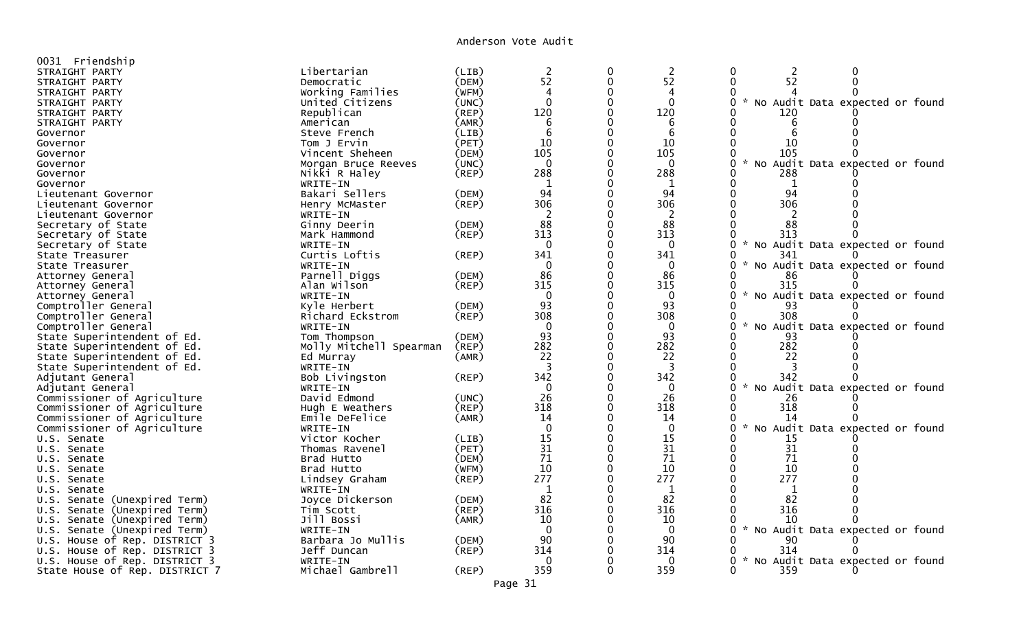Anderson Vote Audit

| 0031 Friendship                 |                                |       |                |             |                |                                                       |
|---------------------------------|--------------------------------|-------|----------------|-------------|----------------|-------------------------------------------------------|
| STRAIGHT PARTY                  | Libertarian                    | (LIB) |                | 0           | $\overline{c}$ | 0<br>0<br>2                                           |
| STRAIGHT PARTY                  | Democratic                     | (DEM) | $\frac{2}{52}$ | $\mathbf 0$ | 52             | 52<br>$\mathbf 0$<br>0                                |
| STRAIGHT PARTY                  | Working Families               | (WFM) | 4              | 0           | 4              |                                                       |
| STRAIGHT PARTY                  | United Citizens                | (UNC) | $\mathbf{0}$   | 0           | $\Omega$       | $\sim$<br>No Audit Data expected or found<br>0        |
| STRAIGHT PARTY                  | Republican                     | (REP) | 120            | $\Omega$    | 120            | 120                                                   |
|                                 | American                       | (AMR) | 6              | 0           | 6              | 0<br>6                                                |
| STRAIGHT PARTY<br>Governor      | Steve French                   | (LIB) | 6              | $\Omega$    | 6              | 6                                                     |
|                                 |                                | (PET) | 10             | $\mathbf 0$ | 10             | $\Omega$<br>10                                        |
| Governor                        | Tom J Ervin<br>Vincent Sheheen | (DEM) | 105            | $\Omega$    | 105            | 105<br>O                                              |
| Governor                        |                                |       | $\mathbf{0}$   |             | $\Omega$       | 0<br>$\sim$                                           |
| Governor                        | Morgan Bruce Reeves            | (UNC) | 288            | 0           | 288            | No Audit Data expected or found<br>O                  |
| Governor                        | Nikki R Haley                  | (REF) |                |             |                | 288                                                   |
| Governor                        | WRITE-IN                       |       | 1<br>94        | 0           | 1<br>94        | 1<br>94<br>0                                          |
| Lieutenant Governor             | Bakari Sellers                 | (DEM) |                |             |                |                                                       |
| Lieutenant Governor             | Henry McMaster                 | (REP) | 306            |             | 306            | 306                                                   |
| Lieutenant Governor             | WRITE-IN                       |       | $\overline{2}$ | $\mathbf 0$ | 2              |                                                       |
| Secretary of State              | Ginny Deerin                   | (DEM) | 88             | $\mathbf 0$ | 88             | $\Omega$<br>88                                        |
| Secretary of State              | Mark Hammond                   | (REP) | 313            | $\mathbf 0$ | 313            | 0<br>313<br>$\sim$                                    |
| Secretary of State              | WRITE-IN                       |       | $\Omega$       | 0           | $\Omega$       | 0<br>No Audit Data expected or found                  |
| State Treasurer                 | Curtis Loftis                  | (REP) | 341            |             | 341            | 341<br>0                                              |
| State Treasurer                 | WRITE-IN                       |       | $\Omega$       | 0           | $\Omega$       | $\mathcal{H}$<br>No Audit Data expected or found<br>0 |
| Attorney General                | Parnell Diggs                  | (DEM) | 86             |             | 86             | 86                                                    |
| Attorney General                | Alan Wilson                    | (REP) | 315            |             | 315            | 315<br>0                                              |
| Attorney General                | WRITE-IN                       |       | $\overline{0}$ |             | $\Omega$       | No Audit Data expected or found                       |
| Comptroller General             | Kyle Herbert                   | (DEM) | 93             |             | 93             | 93<br>0                                               |
| Comptroller General             | Richard Eckstrom               | (REP) | 308            |             | 308            | 308<br>0                                              |
| Comptroller General             | WRITE-IN                       |       | $\mathbf 0$    | $\mathbf 0$ | $\mathbf{0}$   | 0<br>$\mathcal{H}$<br>No Audit Data expected or found |
| State Superintendent of Ed.     | Tom Thompson                   | (DEM) | 93             | $\mathbf 0$ | 93             | O<br>93                                               |
| State Superintendent of Ed.     | Molly Mitchell Spearman        | (REP) | 282            |             | 282            | 282<br>O                                              |
| State Superintendent of Ed.     | Ed Murray                      | (AMR) | 22             | $\Omega$    | 22             | 22<br>0                                               |
| State Superintendent of Ed.     | WRITE-IN                       |       | 3              |             | -3             | $\Omega$                                              |
| Adjutant General                | Bob Livingston                 | (REP) | 342            |             | 342            | 342<br>0                                              |
| Adjutant General                | WRITE-IN                       |       | $\overline{0}$ |             | $\Omega$       | $\sim$<br>0<br>No Audit Data expected or found        |
| Commissioner of Agriculture     | David Edmond                   | (UNC) | 26             | $\mathbf 0$ | 26             | 26<br>O                                               |
| Commissioner of Agriculture     | Hugh E Weathers                | (REP) | 318            |             | 318            | 318<br>O                                              |
| Commissioner of Agriculture     | Emile DeFelice                 | (AMR) | 14             | 0           | 14             | 0<br>14                                               |
| Commissioner of Agriculture     | WRITE-IN                       |       | $\Omega$       | $\Omega$    | $\Omega$       | 0<br>$\sim$<br>No Audit Data expected or found        |
| U.S. Senate                     | Victor Kocher                  | (LIB) | 15             |             | 15             | O<br>15                                               |
| U.S. Senate                     | Thomas Ravenel                 | (PET) | 31             | $\mathbf 0$ | 31             | 31<br>0                                               |
| U.S. Senate                     | Brad Hutto                     | (DEM) | 71             | $\Omega$    | 71             | 71                                                    |
| U.S. Senate                     | Brad Hutto                     | (WFM) | 10             | $\Omega$    | 10             | 10<br>$\Omega$                                        |
| U.S. Senate                     | Lindsey Graham                 | (REP) | 277            |             | 277            | 277                                                   |
| U.S. Senate                     | WRITE-IN                       |       | $\mathbf{1}$   |             | $\mathbf 1$    | $\mathbf{1}$                                          |
| U.S. Senate (Unexpired Term)    | Joyce Dickerson                | (DEM) | 82             |             | 82             | 82                                                    |
| U.S. Senate (Unexpired Term)    | Tim Scott                      | (REF) | 316            | $\mathbf 0$ | 316            | 316<br>0                                              |
| U.S. Senate (Unexpired Term)    | Jill Bossi                     | (AMR) | 10             |             | 10             | 10                                                    |
| Senate (Unexpired Term)<br>U.S. | WRITE-IN                       |       | $\Omega$       |             | $\mathbf{0}$   | $\mathcal{H}$<br>No Audit Data expected or found<br>0 |
| U.S. House of Rep. DISTRICT 3   | Barbara Jo Mullis              | (DEM) | 90             |             | 90             | 90                                                    |
| U.S. House of Rep. DISTRICT 3   | Jeff Duncan                    | (REP) | 314            |             | 314            | 314<br>0                                              |
| U.S. House of Rep. DISTRICT 3   | WRITE-IN                       |       | $\Omega$       |             | $\Omega$       | No Audit Data expected or found<br>0                  |
| State House of Rep. DISTRICT 7  | Michael Gambrell               | (REP) | 359            |             | 359            | 359<br>O                                              |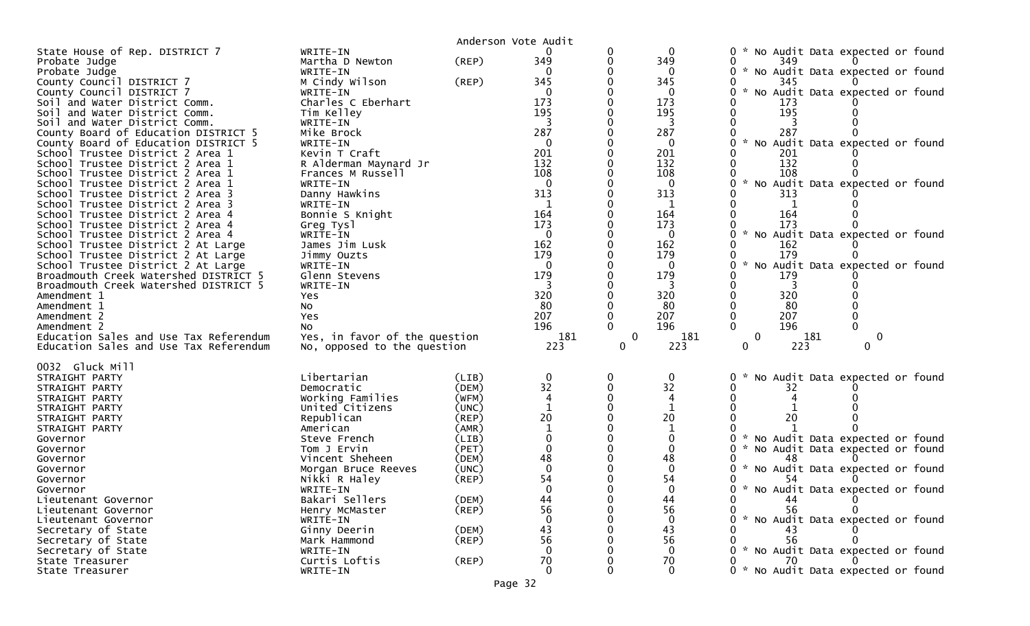| State House of Rep. DISTRICT 7<br>WRITE-IN<br>* No Audit Data expected or found<br>349<br>(REP)<br>349<br>Probate Judge<br>Martha D Newton<br>349<br>* No Audit Data expected or found<br>Probate Judge<br>WRITE-IN<br>$\Omega$<br>$\Omega$<br>M Cindy Wilson<br>County Council DISTRICT 7<br>(REP)<br>345<br>345<br>345<br>County Council DISTRICT 7<br>$\mathcal{H}$<br>No Audit Data expected or found<br>WRITE-IN<br>$\Omega$<br>Charles C Eberhart<br>173<br>173<br>Soil and Water District Comm.<br>173<br>195<br>195<br>195<br>Soil and Water District Comm.<br>Tim Kelley<br>Soil and Water District Comm.<br>WRITE-IN<br>3<br>3<br>287<br>287<br>287<br>County Board of Education DISTRICT 5<br>Mike Brock<br>* No Audit Data expected or found<br>$\mathbf{0}$<br>$\mathbf{0}$<br>County Board of Education DISTRICT 5<br>WRITE-IN<br>201<br>201<br>School Trustee District 2 Area 1<br>Kevin T Craft<br>201<br>132<br>132<br>132<br>R Alderman Maynard Jr<br>School Trustee District 2 Area 1<br>108<br>108<br>108<br>School Trustee District 2 Area 1<br>Frances M Russell<br>$\mathcal{H}$<br>School Trustee District 2 Area 1<br>WRITE-IN<br>$\Omega$<br>No Audit Data expected or found<br>$\Omega$<br>313<br>313<br>Danny Hawkins<br>313<br>School Trustee District 2 Area 3<br>School Trustee District 2 Area 3<br>WRITE-IN<br>1<br>164<br>164<br>164<br>School Trustee District 2 Area 4<br>Bonnie S Knight<br>173<br>173<br>173<br>School Trustee District 2 Area 4<br>Greg Tysl<br>$\Omega$<br>$\Omega$<br>No Audit Data expected or found<br>School Trustee District 2 Area 4<br>WRITE-IN<br>162<br>School Trustee District 2 At Large<br>James Jim Lusk<br>162<br>162<br>179<br>179<br>179<br>School Trustee District 2 At Large<br>Jimmy Ouzts<br>$\mathcal{H}$<br>No Audit Data expected or found<br>School Trustee District 2 At Large<br>$\Omega$<br>WRITE-IN<br>$\Omega$<br>179<br>179<br>Broadmouth Creek Watershed DISTRICT 5<br>179<br>Glenn Stevens<br>Broadmouth Creek Watershed DISTRICT 5<br>3<br>WRITE-IN<br>3<br>3<br>320<br>320<br>320<br>Amendment 1<br>Yes<br>80<br>80<br>-80<br>Amendment 1<br>No<br>207<br>207<br>207<br>Amendment 2<br>Yes<br>196<br>196<br>196<br>Amendment 2<br>No.<br>Yes, in favor of the question<br>181<br>$\mathbf{0}$<br>181<br>$\mathbf{0}$<br>181<br>Education Sales and Use Tax Referendum<br>0<br>223<br>223<br>No, opposed to the question<br>223<br>Education Sales and Use Tax Referendum<br>0<br>0<br>0<br>0032 Gluck Mill<br>Libertarian<br>$\mathbf{0}$<br>0<br>0<br>No Audit Data expected or found<br>(LIB)<br>STRAIGHT PARTY<br>32<br>32<br>(DEM)<br>STRAIGHT PARTY<br>Democratic<br>32<br>Working Families<br>(WFM)<br>4<br>STRAIGHT PARTY<br>United Citizens<br>(UNC)<br>STRAIGHT PARTY<br>20<br>20<br>20<br>Republican<br>(REP)<br>STRAIGHT PARTY<br>(AMR)<br>STRAIGHT PARTY<br>American<br>* No Audit Data expected or found<br>(LIB)<br>Governor<br>Steve French<br>(PET)<br>$\Omega$<br>* No Audit Data expected or found<br>Tom J Ervin<br>Governor<br>48<br>48<br>Vincent Sheheen<br>(DEM)<br>Governor<br>$\Omega$<br>$\Omega$<br>(UNC)<br>* No Audit Data expected or found<br>Governor<br>Morgan Bruce Reeves<br>54<br>54<br>Nikki R Haley<br>(REP)<br>Governor<br>54<br>$\Omega$<br>* No Audit Data expected or found<br>WRITE-IN<br>Governor<br>44<br>Bakari Sellers<br>44<br>(DEM)<br>0<br>44<br>Lieutenant Governor<br>56<br>(REP)<br>56<br>Lieutenant Governor<br>Henry McMaster<br>56<br>* No Audit Data expected or found<br>$\Omega$<br>$\mathbf{0}$<br>Lieutenant Governor<br>WRITE-IN<br>43<br>43<br>Secretary of State<br>Ginny Deerin<br>(DEM)<br>43<br>56<br>56<br>56<br>Secretary of State<br>Mark Hammond<br>$($ REP $)$<br>$\mathbf 0$<br>* No Audit Data expected or found<br>Secretary of State<br>$\Omega$<br>WRITE-IN<br>70<br>70<br>Curtis Loftis<br>70<br>State Treasurer<br>(REP)<br>$\mathbf 0$<br>$\mathbf 0$<br>* No Audit Data expected or found<br>WRITE-IN<br>State Treasurer<br>0 |  | Anderson Vote Audit |  |  |
|----------------------------------------------------------------------------------------------------------------------------------------------------------------------------------------------------------------------------------------------------------------------------------------------------------------------------------------------------------------------------------------------------------------------------------------------------------------------------------------------------------------------------------------------------------------------------------------------------------------------------------------------------------------------------------------------------------------------------------------------------------------------------------------------------------------------------------------------------------------------------------------------------------------------------------------------------------------------------------------------------------------------------------------------------------------------------------------------------------------------------------------------------------------------------------------------------------------------------------------------------------------------------------------------------------------------------------------------------------------------------------------------------------------------------------------------------------------------------------------------------------------------------------------------------------------------------------------------------------------------------------------------------------------------------------------------------------------------------------------------------------------------------------------------------------------------------------------------------------------------------------------------------------------------------------------------------------------------------------------------------------------------------------------------------------------------------------------------------------------------------------------------------------------------------------------------------------------------------------------------------------------------------------------------------------------------------------------------------------------------------------------------------------------------------------------------------------------------------------------------------------------------------------------------------------------------------------------------------------------------------------------------------------------------------------------------------------------------------------------------------------------------------------------------------------------------------------------------------------------------------------------------------------------------------------------------------------------------------------------------------------------------------------------------------------------------------------------------------------------------------------------------------------------------------------------------------------------------------------------------------------------------------------------------------------------------------------------------------------------------------------------------------------------------------------------------------------------------------------------------------------------------------------------------------------------------------------------------------------------------------------------------------------------------------------------------------------------------------------------------------------------------------------------------------------------------------------------------------------------------------------------------------------------------------------------------------------------------------------------------------------|--|---------------------|--|--|
|                                                                                                                                                                                                                                                                                                                                                                                                                                                                                                                                                                                                                                                                                                                                                                                                                                                                                                                                                                                                                                                                                                                                                                                                                                                                                                                                                                                                                                                                                                                                                                                                                                                                                                                                                                                                                                                                                                                                                                                                                                                                                                                                                                                                                                                                                                                                                                                                                                                                                                                                                                                                                                                                                                                                                                                                                                                                                                                                                                                                                                                                                                                                                                                                                                                                                                                                                                                                                                                                                                                                                                                                                                                                                                                                                                                                                                                                                                                                                                                                          |  |                     |  |  |
|                                                                                                                                                                                                                                                                                                                                                                                                                                                                                                                                                                                                                                                                                                                                                                                                                                                                                                                                                                                                                                                                                                                                                                                                                                                                                                                                                                                                                                                                                                                                                                                                                                                                                                                                                                                                                                                                                                                                                                                                                                                                                                                                                                                                                                                                                                                                                                                                                                                                                                                                                                                                                                                                                                                                                                                                                                                                                                                                                                                                                                                                                                                                                                                                                                                                                                                                                                                                                                                                                                                                                                                                                                                                                                                                                                                                                                                                                                                                                                                                          |  |                     |  |  |
|                                                                                                                                                                                                                                                                                                                                                                                                                                                                                                                                                                                                                                                                                                                                                                                                                                                                                                                                                                                                                                                                                                                                                                                                                                                                                                                                                                                                                                                                                                                                                                                                                                                                                                                                                                                                                                                                                                                                                                                                                                                                                                                                                                                                                                                                                                                                                                                                                                                                                                                                                                                                                                                                                                                                                                                                                                                                                                                                                                                                                                                                                                                                                                                                                                                                                                                                                                                                                                                                                                                                                                                                                                                                                                                                                                                                                                                                                                                                                                                                          |  |                     |  |  |
|                                                                                                                                                                                                                                                                                                                                                                                                                                                                                                                                                                                                                                                                                                                                                                                                                                                                                                                                                                                                                                                                                                                                                                                                                                                                                                                                                                                                                                                                                                                                                                                                                                                                                                                                                                                                                                                                                                                                                                                                                                                                                                                                                                                                                                                                                                                                                                                                                                                                                                                                                                                                                                                                                                                                                                                                                                                                                                                                                                                                                                                                                                                                                                                                                                                                                                                                                                                                                                                                                                                                                                                                                                                                                                                                                                                                                                                                                                                                                                                                          |  |                     |  |  |
|                                                                                                                                                                                                                                                                                                                                                                                                                                                                                                                                                                                                                                                                                                                                                                                                                                                                                                                                                                                                                                                                                                                                                                                                                                                                                                                                                                                                                                                                                                                                                                                                                                                                                                                                                                                                                                                                                                                                                                                                                                                                                                                                                                                                                                                                                                                                                                                                                                                                                                                                                                                                                                                                                                                                                                                                                                                                                                                                                                                                                                                                                                                                                                                                                                                                                                                                                                                                                                                                                                                                                                                                                                                                                                                                                                                                                                                                                                                                                                                                          |  |                     |  |  |
|                                                                                                                                                                                                                                                                                                                                                                                                                                                                                                                                                                                                                                                                                                                                                                                                                                                                                                                                                                                                                                                                                                                                                                                                                                                                                                                                                                                                                                                                                                                                                                                                                                                                                                                                                                                                                                                                                                                                                                                                                                                                                                                                                                                                                                                                                                                                                                                                                                                                                                                                                                                                                                                                                                                                                                                                                                                                                                                                                                                                                                                                                                                                                                                                                                                                                                                                                                                                                                                                                                                                                                                                                                                                                                                                                                                                                                                                                                                                                                                                          |  |                     |  |  |
|                                                                                                                                                                                                                                                                                                                                                                                                                                                                                                                                                                                                                                                                                                                                                                                                                                                                                                                                                                                                                                                                                                                                                                                                                                                                                                                                                                                                                                                                                                                                                                                                                                                                                                                                                                                                                                                                                                                                                                                                                                                                                                                                                                                                                                                                                                                                                                                                                                                                                                                                                                                                                                                                                                                                                                                                                                                                                                                                                                                                                                                                                                                                                                                                                                                                                                                                                                                                                                                                                                                                                                                                                                                                                                                                                                                                                                                                                                                                                                                                          |  |                     |  |  |
|                                                                                                                                                                                                                                                                                                                                                                                                                                                                                                                                                                                                                                                                                                                                                                                                                                                                                                                                                                                                                                                                                                                                                                                                                                                                                                                                                                                                                                                                                                                                                                                                                                                                                                                                                                                                                                                                                                                                                                                                                                                                                                                                                                                                                                                                                                                                                                                                                                                                                                                                                                                                                                                                                                                                                                                                                                                                                                                                                                                                                                                                                                                                                                                                                                                                                                                                                                                                                                                                                                                                                                                                                                                                                                                                                                                                                                                                                                                                                                                                          |  |                     |  |  |
|                                                                                                                                                                                                                                                                                                                                                                                                                                                                                                                                                                                                                                                                                                                                                                                                                                                                                                                                                                                                                                                                                                                                                                                                                                                                                                                                                                                                                                                                                                                                                                                                                                                                                                                                                                                                                                                                                                                                                                                                                                                                                                                                                                                                                                                                                                                                                                                                                                                                                                                                                                                                                                                                                                                                                                                                                                                                                                                                                                                                                                                                                                                                                                                                                                                                                                                                                                                                                                                                                                                                                                                                                                                                                                                                                                                                                                                                                                                                                                                                          |  |                     |  |  |
|                                                                                                                                                                                                                                                                                                                                                                                                                                                                                                                                                                                                                                                                                                                                                                                                                                                                                                                                                                                                                                                                                                                                                                                                                                                                                                                                                                                                                                                                                                                                                                                                                                                                                                                                                                                                                                                                                                                                                                                                                                                                                                                                                                                                                                                                                                                                                                                                                                                                                                                                                                                                                                                                                                                                                                                                                                                                                                                                                                                                                                                                                                                                                                                                                                                                                                                                                                                                                                                                                                                                                                                                                                                                                                                                                                                                                                                                                                                                                                                                          |  |                     |  |  |
|                                                                                                                                                                                                                                                                                                                                                                                                                                                                                                                                                                                                                                                                                                                                                                                                                                                                                                                                                                                                                                                                                                                                                                                                                                                                                                                                                                                                                                                                                                                                                                                                                                                                                                                                                                                                                                                                                                                                                                                                                                                                                                                                                                                                                                                                                                                                                                                                                                                                                                                                                                                                                                                                                                                                                                                                                                                                                                                                                                                                                                                                                                                                                                                                                                                                                                                                                                                                                                                                                                                                                                                                                                                                                                                                                                                                                                                                                                                                                                                                          |  |                     |  |  |
|                                                                                                                                                                                                                                                                                                                                                                                                                                                                                                                                                                                                                                                                                                                                                                                                                                                                                                                                                                                                                                                                                                                                                                                                                                                                                                                                                                                                                                                                                                                                                                                                                                                                                                                                                                                                                                                                                                                                                                                                                                                                                                                                                                                                                                                                                                                                                                                                                                                                                                                                                                                                                                                                                                                                                                                                                                                                                                                                                                                                                                                                                                                                                                                                                                                                                                                                                                                                                                                                                                                                                                                                                                                                                                                                                                                                                                                                                                                                                                                                          |  |                     |  |  |
|                                                                                                                                                                                                                                                                                                                                                                                                                                                                                                                                                                                                                                                                                                                                                                                                                                                                                                                                                                                                                                                                                                                                                                                                                                                                                                                                                                                                                                                                                                                                                                                                                                                                                                                                                                                                                                                                                                                                                                                                                                                                                                                                                                                                                                                                                                                                                                                                                                                                                                                                                                                                                                                                                                                                                                                                                                                                                                                                                                                                                                                                                                                                                                                                                                                                                                                                                                                                                                                                                                                                                                                                                                                                                                                                                                                                                                                                                                                                                                                                          |  |                     |  |  |
|                                                                                                                                                                                                                                                                                                                                                                                                                                                                                                                                                                                                                                                                                                                                                                                                                                                                                                                                                                                                                                                                                                                                                                                                                                                                                                                                                                                                                                                                                                                                                                                                                                                                                                                                                                                                                                                                                                                                                                                                                                                                                                                                                                                                                                                                                                                                                                                                                                                                                                                                                                                                                                                                                                                                                                                                                                                                                                                                                                                                                                                                                                                                                                                                                                                                                                                                                                                                                                                                                                                                                                                                                                                                                                                                                                                                                                                                                                                                                                                                          |  |                     |  |  |
|                                                                                                                                                                                                                                                                                                                                                                                                                                                                                                                                                                                                                                                                                                                                                                                                                                                                                                                                                                                                                                                                                                                                                                                                                                                                                                                                                                                                                                                                                                                                                                                                                                                                                                                                                                                                                                                                                                                                                                                                                                                                                                                                                                                                                                                                                                                                                                                                                                                                                                                                                                                                                                                                                                                                                                                                                                                                                                                                                                                                                                                                                                                                                                                                                                                                                                                                                                                                                                                                                                                                                                                                                                                                                                                                                                                                                                                                                                                                                                                                          |  |                     |  |  |
|                                                                                                                                                                                                                                                                                                                                                                                                                                                                                                                                                                                                                                                                                                                                                                                                                                                                                                                                                                                                                                                                                                                                                                                                                                                                                                                                                                                                                                                                                                                                                                                                                                                                                                                                                                                                                                                                                                                                                                                                                                                                                                                                                                                                                                                                                                                                                                                                                                                                                                                                                                                                                                                                                                                                                                                                                                                                                                                                                                                                                                                                                                                                                                                                                                                                                                                                                                                                                                                                                                                                                                                                                                                                                                                                                                                                                                                                                                                                                                                                          |  |                     |  |  |
|                                                                                                                                                                                                                                                                                                                                                                                                                                                                                                                                                                                                                                                                                                                                                                                                                                                                                                                                                                                                                                                                                                                                                                                                                                                                                                                                                                                                                                                                                                                                                                                                                                                                                                                                                                                                                                                                                                                                                                                                                                                                                                                                                                                                                                                                                                                                                                                                                                                                                                                                                                                                                                                                                                                                                                                                                                                                                                                                                                                                                                                                                                                                                                                                                                                                                                                                                                                                                                                                                                                                                                                                                                                                                                                                                                                                                                                                                                                                                                                                          |  |                     |  |  |
|                                                                                                                                                                                                                                                                                                                                                                                                                                                                                                                                                                                                                                                                                                                                                                                                                                                                                                                                                                                                                                                                                                                                                                                                                                                                                                                                                                                                                                                                                                                                                                                                                                                                                                                                                                                                                                                                                                                                                                                                                                                                                                                                                                                                                                                                                                                                                                                                                                                                                                                                                                                                                                                                                                                                                                                                                                                                                                                                                                                                                                                                                                                                                                                                                                                                                                                                                                                                                                                                                                                                                                                                                                                                                                                                                                                                                                                                                                                                                                                                          |  |                     |  |  |
|                                                                                                                                                                                                                                                                                                                                                                                                                                                                                                                                                                                                                                                                                                                                                                                                                                                                                                                                                                                                                                                                                                                                                                                                                                                                                                                                                                                                                                                                                                                                                                                                                                                                                                                                                                                                                                                                                                                                                                                                                                                                                                                                                                                                                                                                                                                                                                                                                                                                                                                                                                                                                                                                                                                                                                                                                                                                                                                                                                                                                                                                                                                                                                                                                                                                                                                                                                                                                                                                                                                                                                                                                                                                                                                                                                                                                                                                                                                                                                                                          |  |                     |  |  |
|                                                                                                                                                                                                                                                                                                                                                                                                                                                                                                                                                                                                                                                                                                                                                                                                                                                                                                                                                                                                                                                                                                                                                                                                                                                                                                                                                                                                                                                                                                                                                                                                                                                                                                                                                                                                                                                                                                                                                                                                                                                                                                                                                                                                                                                                                                                                                                                                                                                                                                                                                                                                                                                                                                                                                                                                                                                                                                                                                                                                                                                                                                                                                                                                                                                                                                                                                                                                                                                                                                                                                                                                                                                                                                                                                                                                                                                                                                                                                                                                          |  |                     |  |  |
|                                                                                                                                                                                                                                                                                                                                                                                                                                                                                                                                                                                                                                                                                                                                                                                                                                                                                                                                                                                                                                                                                                                                                                                                                                                                                                                                                                                                                                                                                                                                                                                                                                                                                                                                                                                                                                                                                                                                                                                                                                                                                                                                                                                                                                                                                                                                                                                                                                                                                                                                                                                                                                                                                                                                                                                                                                                                                                                                                                                                                                                                                                                                                                                                                                                                                                                                                                                                                                                                                                                                                                                                                                                                                                                                                                                                                                                                                                                                                                                                          |  |                     |  |  |
|                                                                                                                                                                                                                                                                                                                                                                                                                                                                                                                                                                                                                                                                                                                                                                                                                                                                                                                                                                                                                                                                                                                                                                                                                                                                                                                                                                                                                                                                                                                                                                                                                                                                                                                                                                                                                                                                                                                                                                                                                                                                                                                                                                                                                                                                                                                                                                                                                                                                                                                                                                                                                                                                                                                                                                                                                                                                                                                                                                                                                                                                                                                                                                                                                                                                                                                                                                                                                                                                                                                                                                                                                                                                                                                                                                                                                                                                                                                                                                                                          |  |                     |  |  |
|                                                                                                                                                                                                                                                                                                                                                                                                                                                                                                                                                                                                                                                                                                                                                                                                                                                                                                                                                                                                                                                                                                                                                                                                                                                                                                                                                                                                                                                                                                                                                                                                                                                                                                                                                                                                                                                                                                                                                                                                                                                                                                                                                                                                                                                                                                                                                                                                                                                                                                                                                                                                                                                                                                                                                                                                                                                                                                                                                                                                                                                                                                                                                                                                                                                                                                                                                                                                                                                                                                                                                                                                                                                                                                                                                                                                                                                                                                                                                                                                          |  |                     |  |  |
|                                                                                                                                                                                                                                                                                                                                                                                                                                                                                                                                                                                                                                                                                                                                                                                                                                                                                                                                                                                                                                                                                                                                                                                                                                                                                                                                                                                                                                                                                                                                                                                                                                                                                                                                                                                                                                                                                                                                                                                                                                                                                                                                                                                                                                                                                                                                                                                                                                                                                                                                                                                                                                                                                                                                                                                                                                                                                                                                                                                                                                                                                                                                                                                                                                                                                                                                                                                                                                                                                                                                                                                                                                                                                                                                                                                                                                                                                                                                                                                                          |  |                     |  |  |
|                                                                                                                                                                                                                                                                                                                                                                                                                                                                                                                                                                                                                                                                                                                                                                                                                                                                                                                                                                                                                                                                                                                                                                                                                                                                                                                                                                                                                                                                                                                                                                                                                                                                                                                                                                                                                                                                                                                                                                                                                                                                                                                                                                                                                                                                                                                                                                                                                                                                                                                                                                                                                                                                                                                                                                                                                                                                                                                                                                                                                                                                                                                                                                                                                                                                                                                                                                                                                                                                                                                                                                                                                                                                                                                                                                                                                                                                                                                                                                                                          |  |                     |  |  |
|                                                                                                                                                                                                                                                                                                                                                                                                                                                                                                                                                                                                                                                                                                                                                                                                                                                                                                                                                                                                                                                                                                                                                                                                                                                                                                                                                                                                                                                                                                                                                                                                                                                                                                                                                                                                                                                                                                                                                                                                                                                                                                                                                                                                                                                                                                                                                                                                                                                                                                                                                                                                                                                                                                                                                                                                                                                                                                                                                                                                                                                                                                                                                                                                                                                                                                                                                                                                                                                                                                                                                                                                                                                                                                                                                                                                                                                                                                                                                                                                          |  |                     |  |  |
|                                                                                                                                                                                                                                                                                                                                                                                                                                                                                                                                                                                                                                                                                                                                                                                                                                                                                                                                                                                                                                                                                                                                                                                                                                                                                                                                                                                                                                                                                                                                                                                                                                                                                                                                                                                                                                                                                                                                                                                                                                                                                                                                                                                                                                                                                                                                                                                                                                                                                                                                                                                                                                                                                                                                                                                                                                                                                                                                                                                                                                                                                                                                                                                                                                                                                                                                                                                                                                                                                                                                                                                                                                                                                                                                                                                                                                                                                                                                                                                                          |  |                     |  |  |
|                                                                                                                                                                                                                                                                                                                                                                                                                                                                                                                                                                                                                                                                                                                                                                                                                                                                                                                                                                                                                                                                                                                                                                                                                                                                                                                                                                                                                                                                                                                                                                                                                                                                                                                                                                                                                                                                                                                                                                                                                                                                                                                                                                                                                                                                                                                                                                                                                                                                                                                                                                                                                                                                                                                                                                                                                                                                                                                                                                                                                                                                                                                                                                                                                                                                                                                                                                                                                                                                                                                                                                                                                                                                                                                                                                                                                                                                                                                                                                                                          |  |                     |  |  |
|                                                                                                                                                                                                                                                                                                                                                                                                                                                                                                                                                                                                                                                                                                                                                                                                                                                                                                                                                                                                                                                                                                                                                                                                                                                                                                                                                                                                                                                                                                                                                                                                                                                                                                                                                                                                                                                                                                                                                                                                                                                                                                                                                                                                                                                                                                                                                                                                                                                                                                                                                                                                                                                                                                                                                                                                                                                                                                                                                                                                                                                                                                                                                                                                                                                                                                                                                                                                                                                                                                                                                                                                                                                                                                                                                                                                                                                                                                                                                                                                          |  |                     |  |  |
|                                                                                                                                                                                                                                                                                                                                                                                                                                                                                                                                                                                                                                                                                                                                                                                                                                                                                                                                                                                                                                                                                                                                                                                                                                                                                                                                                                                                                                                                                                                                                                                                                                                                                                                                                                                                                                                                                                                                                                                                                                                                                                                                                                                                                                                                                                                                                                                                                                                                                                                                                                                                                                                                                                                                                                                                                                                                                                                                                                                                                                                                                                                                                                                                                                                                                                                                                                                                                                                                                                                                                                                                                                                                                                                                                                                                                                                                                                                                                                                                          |  |                     |  |  |
|                                                                                                                                                                                                                                                                                                                                                                                                                                                                                                                                                                                                                                                                                                                                                                                                                                                                                                                                                                                                                                                                                                                                                                                                                                                                                                                                                                                                                                                                                                                                                                                                                                                                                                                                                                                                                                                                                                                                                                                                                                                                                                                                                                                                                                                                                                                                                                                                                                                                                                                                                                                                                                                                                                                                                                                                                                                                                                                                                                                                                                                                                                                                                                                                                                                                                                                                                                                                                                                                                                                                                                                                                                                                                                                                                                                                                                                                                                                                                                                                          |  |                     |  |  |
|                                                                                                                                                                                                                                                                                                                                                                                                                                                                                                                                                                                                                                                                                                                                                                                                                                                                                                                                                                                                                                                                                                                                                                                                                                                                                                                                                                                                                                                                                                                                                                                                                                                                                                                                                                                                                                                                                                                                                                                                                                                                                                                                                                                                                                                                                                                                                                                                                                                                                                                                                                                                                                                                                                                                                                                                                                                                                                                                                                                                                                                                                                                                                                                                                                                                                                                                                                                                                                                                                                                                                                                                                                                                                                                                                                                                                                                                                                                                                                                                          |  |                     |  |  |
|                                                                                                                                                                                                                                                                                                                                                                                                                                                                                                                                                                                                                                                                                                                                                                                                                                                                                                                                                                                                                                                                                                                                                                                                                                                                                                                                                                                                                                                                                                                                                                                                                                                                                                                                                                                                                                                                                                                                                                                                                                                                                                                                                                                                                                                                                                                                                                                                                                                                                                                                                                                                                                                                                                                                                                                                                                                                                                                                                                                                                                                                                                                                                                                                                                                                                                                                                                                                                                                                                                                                                                                                                                                                                                                                                                                                                                                                                                                                                                                                          |  |                     |  |  |
|                                                                                                                                                                                                                                                                                                                                                                                                                                                                                                                                                                                                                                                                                                                                                                                                                                                                                                                                                                                                                                                                                                                                                                                                                                                                                                                                                                                                                                                                                                                                                                                                                                                                                                                                                                                                                                                                                                                                                                                                                                                                                                                                                                                                                                                                                                                                                                                                                                                                                                                                                                                                                                                                                                                                                                                                                                                                                                                                                                                                                                                                                                                                                                                                                                                                                                                                                                                                                                                                                                                                                                                                                                                                                                                                                                                                                                                                                                                                                                                                          |  |                     |  |  |
|                                                                                                                                                                                                                                                                                                                                                                                                                                                                                                                                                                                                                                                                                                                                                                                                                                                                                                                                                                                                                                                                                                                                                                                                                                                                                                                                                                                                                                                                                                                                                                                                                                                                                                                                                                                                                                                                                                                                                                                                                                                                                                                                                                                                                                                                                                                                                                                                                                                                                                                                                                                                                                                                                                                                                                                                                                                                                                                                                                                                                                                                                                                                                                                                                                                                                                                                                                                                                                                                                                                                                                                                                                                                                                                                                                                                                                                                                                                                                                                                          |  |                     |  |  |
|                                                                                                                                                                                                                                                                                                                                                                                                                                                                                                                                                                                                                                                                                                                                                                                                                                                                                                                                                                                                                                                                                                                                                                                                                                                                                                                                                                                                                                                                                                                                                                                                                                                                                                                                                                                                                                                                                                                                                                                                                                                                                                                                                                                                                                                                                                                                                                                                                                                                                                                                                                                                                                                                                                                                                                                                                                                                                                                                                                                                                                                                                                                                                                                                                                                                                                                                                                                                                                                                                                                                                                                                                                                                                                                                                                                                                                                                                                                                                                                                          |  |                     |  |  |
|                                                                                                                                                                                                                                                                                                                                                                                                                                                                                                                                                                                                                                                                                                                                                                                                                                                                                                                                                                                                                                                                                                                                                                                                                                                                                                                                                                                                                                                                                                                                                                                                                                                                                                                                                                                                                                                                                                                                                                                                                                                                                                                                                                                                                                                                                                                                                                                                                                                                                                                                                                                                                                                                                                                                                                                                                                                                                                                                                                                                                                                                                                                                                                                                                                                                                                                                                                                                                                                                                                                                                                                                                                                                                                                                                                                                                                                                                                                                                                                                          |  |                     |  |  |
|                                                                                                                                                                                                                                                                                                                                                                                                                                                                                                                                                                                                                                                                                                                                                                                                                                                                                                                                                                                                                                                                                                                                                                                                                                                                                                                                                                                                                                                                                                                                                                                                                                                                                                                                                                                                                                                                                                                                                                                                                                                                                                                                                                                                                                                                                                                                                                                                                                                                                                                                                                                                                                                                                                                                                                                                                                                                                                                                                                                                                                                                                                                                                                                                                                                                                                                                                                                                                                                                                                                                                                                                                                                                                                                                                                                                                                                                                                                                                                                                          |  |                     |  |  |
|                                                                                                                                                                                                                                                                                                                                                                                                                                                                                                                                                                                                                                                                                                                                                                                                                                                                                                                                                                                                                                                                                                                                                                                                                                                                                                                                                                                                                                                                                                                                                                                                                                                                                                                                                                                                                                                                                                                                                                                                                                                                                                                                                                                                                                                                                                                                                                                                                                                                                                                                                                                                                                                                                                                                                                                                                                                                                                                                                                                                                                                                                                                                                                                                                                                                                                                                                                                                                                                                                                                                                                                                                                                                                                                                                                                                                                                                                                                                                                                                          |  |                     |  |  |
|                                                                                                                                                                                                                                                                                                                                                                                                                                                                                                                                                                                                                                                                                                                                                                                                                                                                                                                                                                                                                                                                                                                                                                                                                                                                                                                                                                                                                                                                                                                                                                                                                                                                                                                                                                                                                                                                                                                                                                                                                                                                                                                                                                                                                                                                                                                                                                                                                                                                                                                                                                                                                                                                                                                                                                                                                                                                                                                                                                                                                                                                                                                                                                                                                                                                                                                                                                                                                                                                                                                                                                                                                                                                                                                                                                                                                                                                                                                                                                                                          |  |                     |  |  |
|                                                                                                                                                                                                                                                                                                                                                                                                                                                                                                                                                                                                                                                                                                                                                                                                                                                                                                                                                                                                                                                                                                                                                                                                                                                                                                                                                                                                                                                                                                                                                                                                                                                                                                                                                                                                                                                                                                                                                                                                                                                                                                                                                                                                                                                                                                                                                                                                                                                                                                                                                                                                                                                                                                                                                                                                                                                                                                                                                                                                                                                                                                                                                                                                                                                                                                                                                                                                                                                                                                                                                                                                                                                                                                                                                                                                                                                                                                                                                                                                          |  |                     |  |  |
|                                                                                                                                                                                                                                                                                                                                                                                                                                                                                                                                                                                                                                                                                                                                                                                                                                                                                                                                                                                                                                                                                                                                                                                                                                                                                                                                                                                                                                                                                                                                                                                                                                                                                                                                                                                                                                                                                                                                                                                                                                                                                                                                                                                                                                                                                                                                                                                                                                                                                                                                                                                                                                                                                                                                                                                                                                                                                                                                                                                                                                                                                                                                                                                                                                                                                                                                                                                                                                                                                                                                                                                                                                                                                                                                                                                                                                                                                                                                                                                                          |  |                     |  |  |
|                                                                                                                                                                                                                                                                                                                                                                                                                                                                                                                                                                                                                                                                                                                                                                                                                                                                                                                                                                                                                                                                                                                                                                                                                                                                                                                                                                                                                                                                                                                                                                                                                                                                                                                                                                                                                                                                                                                                                                                                                                                                                                                                                                                                                                                                                                                                                                                                                                                                                                                                                                                                                                                                                                                                                                                                                                                                                                                                                                                                                                                                                                                                                                                                                                                                                                                                                                                                                                                                                                                                                                                                                                                                                                                                                                                                                                                                                                                                                                                                          |  |                     |  |  |
|                                                                                                                                                                                                                                                                                                                                                                                                                                                                                                                                                                                                                                                                                                                                                                                                                                                                                                                                                                                                                                                                                                                                                                                                                                                                                                                                                                                                                                                                                                                                                                                                                                                                                                                                                                                                                                                                                                                                                                                                                                                                                                                                                                                                                                                                                                                                                                                                                                                                                                                                                                                                                                                                                                                                                                                                                                                                                                                                                                                                                                                                                                                                                                                                                                                                                                                                                                                                                                                                                                                                                                                                                                                                                                                                                                                                                                                                                                                                                                                                          |  |                     |  |  |
|                                                                                                                                                                                                                                                                                                                                                                                                                                                                                                                                                                                                                                                                                                                                                                                                                                                                                                                                                                                                                                                                                                                                                                                                                                                                                                                                                                                                                                                                                                                                                                                                                                                                                                                                                                                                                                                                                                                                                                                                                                                                                                                                                                                                                                                                                                                                                                                                                                                                                                                                                                                                                                                                                                                                                                                                                                                                                                                                                                                                                                                                                                                                                                                                                                                                                                                                                                                                                                                                                                                                                                                                                                                                                                                                                                                                                                                                                                                                                                                                          |  |                     |  |  |
|                                                                                                                                                                                                                                                                                                                                                                                                                                                                                                                                                                                                                                                                                                                                                                                                                                                                                                                                                                                                                                                                                                                                                                                                                                                                                                                                                                                                                                                                                                                                                                                                                                                                                                                                                                                                                                                                                                                                                                                                                                                                                                                                                                                                                                                                                                                                                                                                                                                                                                                                                                                                                                                                                                                                                                                                                                                                                                                                                                                                                                                                                                                                                                                                                                                                                                                                                                                                                                                                                                                                                                                                                                                                                                                                                                                                                                                                                                                                                                                                          |  |                     |  |  |
|                                                                                                                                                                                                                                                                                                                                                                                                                                                                                                                                                                                                                                                                                                                                                                                                                                                                                                                                                                                                                                                                                                                                                                                                                                                                                                                                                                                                                                                                                                                                                                                                                                                                                                                                                                                                                                                                                                                                                                                                                                                                                                                                                                                                                                                                                                                                                                                                                                                                                                                                                                                                                                                                                                                                                                                                                                                                                                                                                                                                                                                                                                                                                                                                                                                                                                                                                                                                                                                                                                                                                                                                                                                                                                                                                                                                                                                                                                                                                                                                          |  |                     |  |  |
|                                                                                                                                                                                                                                                                                                                                                                                                                                                                                                                                                                                                                                                                                                                                                                                                                                                                                                                                                                                                                                                                                                                                                                                                                                                                                                                                                                                                                                                                                                                                                                                                                                                                                                                                                                                                                                                                                                                                                                                                                                                                                                                                                                                                                                                                                                                                                                                                                                                                                                                                                                                                                                                                                                                                                                                                                                                                                                                                                                                                                                                                                                                                                                                                                                                                                                                                                                                                                                                                                                                                                                                                                                                                                                                                                                                                                                                                                                                                                                                                          |  |                     |  |  |
|                                                                                                                                                                                                                                                                                                                                                                                                                                                                                                                                                                                                                                                                                                                                                                                                                                                                                                                                                                                                                                                                                                                                                                                                                                                                                                                                                                                                                                                                                                                                                                                                                                                                                                                                                                                                                                                                                                                                                                                                                                                                                                                                                                                                                                                                                                                                                                                                                                                                                                                                                                                                                                                                                                                                                                                                                                                                                                                                                                                                                                                                                                                                                                                                                                                                                                                                                                                                                                                                                                                                                                                                                                                                                                                                                                                                                                                                                                                                                                                                          |  |                     |  |  |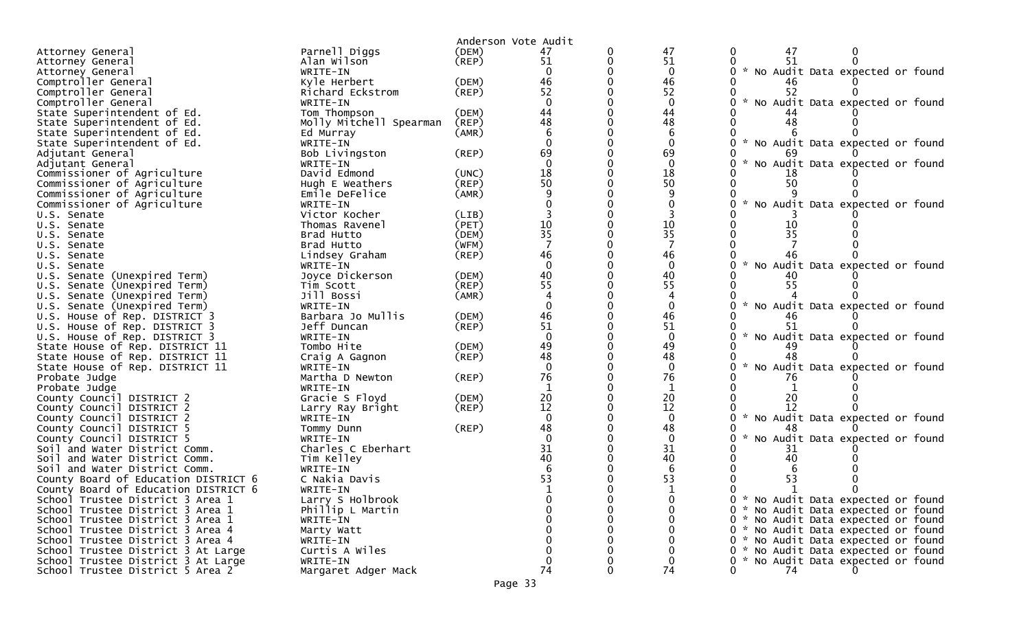|                                                        |                              | Anderson Vote Audit |              |   |                    |                                               |
|--------------------------------------------------------|------------------------------|---------------------|--------------|---|--------------------|-----------------------------------------------|
| Attorney General                                       | Parnell Diggs                | (DEM)               | 47           | 0 | 47                 | 47                                            |
| Attorney General                                       | Alan Wilson                  | (REP)               | 51           |   | 51                 | 51                                            |
| Attorney General                                       | WRITE-IN                     |                     | $\Omega$     |   | $\mathbf{0}$       | * No Audit Data expected or found             |
| Comptroller General                                    | Kyle Herbert                 | (DEM)               | 46           |   | 46                 |                                               |
| Comptroller General                                    | Richard Eckstrom             | (REP)               | 52           |   | 52                 | 52                                            |
| Comptroller General                                    | WRITE-IN                     |                     | $\Omega$     |   | $\mathbf 0$        | No Audit Data expected or found               |
| State Superintendent of Ed.                            | Tom Thompson                 | (DEM)               | 44           |   | 44                 |                                               |
| State Superintendent of Ed.                            | Molly Mitchell Spearman      | (REP)               | 48           |   | 48                 | 48                                            |
| State Superintendent of Ed.                            | Ed Murray                    | (AMR)               |              |   |                    |                                               |
| State Superintendent of Ed.                            | WRITE-IN                     |                     | $\Omega$     |   | $\mathbf{0}$       | * No Audit Data expected or found             |
| Adjutant General                                       | Bob Livingston               | (REP)               | 69           |   | 69                 |                                               |
| Adjutant General                                       | WRITE-IN                     |                     | $\Omega$     |   | $\Omega$           | No Audit Data expected or found               |
| Commissioner of Agriculture                            | David Edmond                 | (UNC)               | 18           |   | 18                 |                                               |
| Commissioner of Agriculture                            | Hugh E Weathers              | (REP)               | 50           |   | 50                 | 50                                            |
| Commissioner of Agriculture                            | Emile DeFelice               | (AMR)               |              |   |                    |                                               |
| Commissioner of Agriculture                            | WRITE-IN                     |                     |              |   |                    | No Audit Data expected or found               |
| U.S. Senate                                            | Victor Kocher                | (LIB)               |              |   |                    |                                               |
| U.S. Senate                                            | Thomas Ravenel               | (PET)               | 10           |   | 10                 | 10                                            |
| U.S. Senate                                            | Brad Hutto                   | (DEM)               | 35           |   | 35                 | 35                                            |
| U.S. Senate                                            | Brad Hutto                   | (WFM)               |              |   |                    |                                               |
| U.S. Senate                                            | Lindsey Graham               | (REP)               | 46           |   | 46                 |                                               |
| U.S. Senate                                            | WRITE-IN                     |                     | $\Omega$     |   | $\mathbf{0}$       | * No Audit Data expected or found             |
| U.S. Senate (Unexpired Term)                           | Joyce Dickerson              | (DEM)               | 40           |   | 40                 |                                               |
| U.S. Senate (Unexpired Term)                           | Tim Scott                    | (REP)               | 55           |   | 55                 | 55                                            |
| U.S. Senate (Unexpired Term)                           | Jill Bossi                   | (AMR)               |              |   |                    |                                               |
| U.S. Senate (Unexpired Term)                           | WRITE-IN                     |                     |              |   | $\Omega$           | No Audit Data expected or found               |
| U.S. House of Rep. DISTRICT 3                          | Barbara Jo Mullis            | (DEM)               | 46           |   | 46                 |                                               |
| U.S. House of Rep. DISTRICT 3                          | Jeff Duncan                  | (REP)               | 51           |   | 51                 |                                               |
| U.S. House of Rep. DISTRICT 3                          | WRITE-IN                     |                     | $\Omega$     |   | $\mathbf{0}$       | * No Audit Data expected or found             |
| State House of Rep. DISTRICT 11                        | Tombo Hite                   | (DEM)               | 49<br>48     |   | 49                 |                                               |
| State House of Rep. DISTRICT 11                        | Craig A Gagnon               | (REP)               |              |   | 48                 | 48                                            |
| State House of Rep. DISTRICT 11                        | WRITE-IN                     |                     | 76           |   | $\mathbf{0}$<br>76 | No Audit Data expected or found               |
| Probate Judge                                          | Martha D Newton              | (REP)               |              |   |                    |                                               |
| Probate Judge                                          | WRITE-IN                     |                     | 20           |   | 20                 |                                               |
| County Council DISTRICT 2<br>County Council DISTRICT 2 | Gracie S Floyd               | (DEM)<br>(REP)      | 12           |   | 12                 | 20<br>12                                      |
| County Council DISTRICT 2                              | Larry Ray Bright<br>WRITE-IN |                     | $\mathbf{0}$ |   | $\mathbf{0}$       | * No Audit Data expected or found             |
| County Council DISTRICT 5                              | Tommy Dunn                   | (REP)               | 48           |   | 48                 |                                               |
| County Council DISTRICT 5                              | WRITE-IN                     |                     |              |   | $\Omega$           | No Audit Data expected or found               |
| Soil and Water District Comm.                          | Charles C Eberhart           |                     | 31           |   | 31                 | 31                                            |
| Soil and Water District Comm.                          | Tim Kelley                   |                     | 40           |   | 40                 |                                               |
| Soil and Water District Comm.                          | WRITE-IN                     |                     |              |   |                    |                                               |
| County Board of Education DISTRICT 6                   | C Nakia Davis                |                     | 53           |   | 53                 | 53                                            |
| County Board of Education DISTRICT 6                   | WRITE-IN                     |                     |              |   |                    |                                               |
| School Trustee District 3 Area 1                       | Larry S Holbrook             |                     |              |   |                    | 0 * No Audit Data expected or found           |
| School Trustee District 3 Area 1                       | Phillip L Martin             |                     |              |   |                    | 0 * No Audit Data expected or found           |
| School Trustee District 3 Area 1                       | WRITE-IN                     |                     |              |   |                    | 0 * No Audit Data expected or found           |
| School Trustee District 3 Area 4                       | Marty Watt                   |                     |              |   |                    | * No Audit Data expected or found<br>$\Omega$ |
| School Trustee District 3 Area 4                       | WRITE-IN                     |                     |              |   |                    | 0 * No Audit Data expected or found           |
| School Trustee District 3 At Large                     | Curtis A Wiles               |                     |              |   |                    | 0 * No Audit Data expected or found           |
| School Trustee District 3 At Large                     | WRITE-IN                     |                     | 0            |   |                    | * No Audit Data expected or found             |
| School Trustee District 5 Area 2                       | Margaret Adger Mack          |                     | 74           |   | 74                 | 74                                            |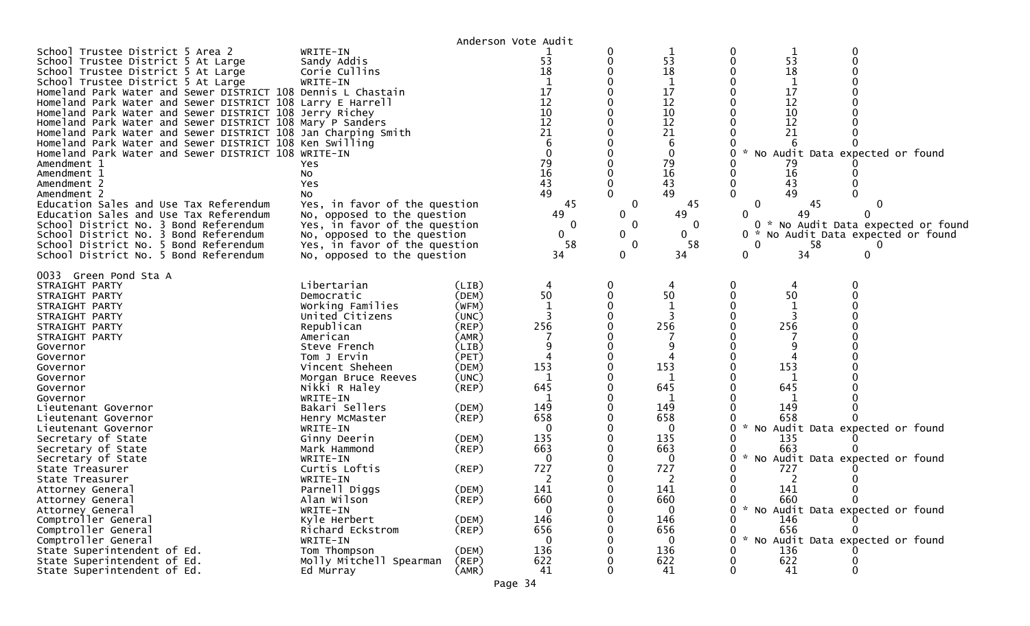| 0<br>School Trustee District 5 Area 2<br>0<br>WRITE-IN<br>0<br>53<br>53<br>53<br>0<br>0<br>Sandy Addis<br>$\Omega$<br>School Trustee District 5 At Large<br>18<br>18<br>18<br>School Trustee District 5 At Large<br>Corie Cullins<br>$\mathbf{1}$<br>1<br>School Trustee District 5 At Large<br>1<br>WRITE-IN<br>17<br>17<br>17<br>Homeland Park Water and Sewer DISTRICT 108 Dennis L Chastain<br>12<br>12<br>12<br>Homeland Park Water and Sewer DISTRICT 108 Larry E Harrell<br>10<br>10<br>10<br>Homeland Park Water and Sewer DISTRICT 108 Jerry Richey<br>12<br>12<br>12<br>Homeland Park Water and Sewer DISTRICT 108 Mary P Sanders<br>21<br>21<br>21<br>Homeland Park Water and Sewer DISTRICT 108 Jan Charping Smith<br>6<br>Homeland Park Water and Sewer DISTRICT 108 Ken Swilling<br>6<br>$\mathbf 0$<br>Homeland Park Water and Sewer DISTRICT 108 WRITE-IN<br>$\mathbf{0}$<br>* No Audit Data expected or found<br>79<br>79<br>79<br>Amendment 1<br>Yes<br>16<br>16<br>16<br>Amendment 1<br>No<br>43<br>43<br>43<br>$\Omega$<br>Amendment 2<br>Yes<br>0<br>49<br>$\Omega$<br>49<br>$\Omega$<br>49<br>Amendment 2<br>NO.<br>Yes, in favor of the question<br>45<br>45<br>Education Sales and Use Tax Referendum<br>0<br>$\bf{0}$<br>45<br>0<br>$\mathbf{0}$<br>49<br>49<br>Education Sales and Use Tax Referendum<br>No, opposed to the question<br>49<br>0<br>Yes, in favor of the question<br>0<br>School District No. 3 Bond Referendum<br>0<br>0<br>0<br>$\mathbf{0}$<br>School District No. 3 Bond Referendum<br>No, opposed to the question<br>0<br>0 *<br>58<br>58<br>58<br>School District No. 5 Bond Referendum<br>Yes, in favor of the question<br>0<br>0<br>$\mathbf{0}$<br>34<br>34<br>$\Omega$<br>School District No. 5 Bond Referendum<br>No, opposed to the question<br>34<br>0<br>0033 Green Pond Sta A<br>Libertarian<br>STRAIGHT PARTY<br>(LIB)<br>0<br>0<br>4<br>50<br>$\mathbf{0}$<br>50<br>50<br>(DEM)<br>0<br>Democratic<br>STRAIGHT PARTY<br>$\mathbf{1}$<br>(WFM)<br>STRAIGHT PARTY<br>Working Families<br>1<br>United Citizens<br>(UNC)<br>∩<br>STRAIGHT PARTY<br>256<br>256<br>256<br>Republican<br>(REP)<br>STRAIGHT PARTY<br>(AMR)<br>STRAIGHT PARTY<br>American<br>(LIB)<br>9<br>q<br>Governor<br>Steve French<br>(PET)<br>4<br>4<br>Governor<br>Tom J Ervin<br>153<br>153<br>153<br>(DEM)<br>Vincent Sheheen<br>Governor<br>(UNC)<br>1<br><sup>0</sup><br>Governor<br>Morgan Bruce Reeves<br>645<br>645<br>(REP)<br>645<br>Nikki R Haley<br>Governor<br>WRITE-IN<br>Governor<br>-1<br>Bakari Sellers<br>149<br>149<br>149<br>(DEM)<br>Lieutenant Governor<br>658<br>658<br>(REP)<br>658<br>Lieutenant Governor<br>Henry McMaster<br>$\mathcal{H}$<br>No Audit Data expected or found<br>0<br>0<br>Lieutenant Governor<br>WRITE-IN<br>$\Omega$<br>135<br>135<br>135<br>Secretary of State<br>Ginny Deerin<br>(DEM)<br>663<br>(REP)<br>663<br>663<br>Secretary of State<br>Mark Hammond<br>$\mathcal{H}$<br>No Audit Data expected or found<br>Secretary of State<br>0<br>O<br>WRITE-IN<br>0<br>727<br>727<br>Curtis Loftis<br>$($ REP $)$<br>727<br>State Treasurer<br>$\overline{2}$<br>State Treasurer<br>2<br>2<br>WRITE-IN<br>Parnell Diggs<br>141<br>141<br>141<br>(DEM)<br>Attorney General<br><sup>n</sup><br>∩<br>660<br>660<br>Alan Wilson<br>$($ REP $)$<br>660<br>0<br>Attorney General<br>* No Audit Data expected or found<br>WRITE-IN<br>$\mathbf{0}$<br>Attorney General<br>0<br>Comptroller General<br>Kyle Herbert<br>(DEM)<br>146<br>146<br>146<br>656<br>656<br>Comptroller General<br>(REP)<br>656<br>Richard Eckstrom |                     |          |                     |   |   |                                                                        |
|---------------------------------------------------------------------------------------------------------------------------------------------------------------------------------------------------------------------------------------------------------------------------------------------------------------------------------------------------------------------------------------------------------------------------------------------------------------------------------------------------------------------------------------------------------------------------------------------------------------------------------------------------------------------------------------------------------------------------------------------------------------------------------------------------------------------------------------------------------------------------------------------------------------------------------------------------------------------------------------------------------------------------------------------------------------------------------------------------------------------------------------------------------------------------------------------------------------------------------------------------------------------------------------------------------------------------------------------------------------------------------------------------------------------------------------------------------------------------------------------------------------------------------------------------------------------------------------------------------------------------------------------------------------------------------------------------------------------------------------------------------------------------------------------------------------------------------------------------------------------------------------------------------------------------------------------------------------------------------------------------------------------------------------------------------------------------------------------------------------------------------------------------------------------------------------------------------------------------------------------------------------------------------------------------------------------------------------------------------------------------------------------------------------------------------------------------------------------------------------------------------------------------------------------------------------------------------------------------------------------------------------------------------------------------------------------------------------------------------------------------------------------------------------------------------------------------------------------------------------------------------------------------------------------------------------------------------------------------------------------------------------------------------------------------------------------------------------------------------------------------------------------------------------------------------------------------------------------------------------------------------------------------------------------------------------------------------------------------------------------------------------------------------------------------------------------------------------------------------------------------------------------------------------------------------------------------------------|---------------------|----------|---------------------|---|---|------------------------------------------------------------------------|
|                                                                                                                                                                                                                                                                                                                                                                                                                                                                                                                                                                                                                                                                                                                                                                                                                                                                                                                                                                                                                                                                                                                                                                                                                                                                                                                                                                                                                                                                                                                                                                                                                                                                                                                                                                                                                                                                                                                                                                                                                                                                                                                                                                                                                                                                                                                                                                                                                                                                                                                                                                                                                                                                                                                                                                                                                                                                                                                                                                                                                                                                                                                                                                                                                                                                                                                                                                                                                                                                                                                                                                                       |                     |          | Anderson Vote Audit |   |   | 0 * No Audit Data expected or found<br>No Audit Data expected or found |
| State Superintendent of Ed.<br>Tom Thompson<br>(DEM)<br>136<br>136<br>136<br>622<br>622<br>State Superintendent of Ed.<br>Molly Mitchell Spearman<br>(REP)<br>622                                                                                                                                                                                                                                                                                                                                                                                                                                                                                                                                                                                                                                                                                                                                                                                                                                                                                                                                                                                                                                                                                                                                                                                                                                                                                                                                                                                                                                                                                                                                                                                                                                                                                                                                                                                                                                                                                                                                                                                                                                                                                                                                                                                                                                                                                                                                                                                                                                                                                                                                                                                                                                                                                                                                                                                                                                                                                                                                                                                                                                                                                                                                                                                                                                                                                                                                                                                                                     | Comptroller General | WRITE-IN |                     | 0 | 0 | 0<br>* No Audit Data expected or found                                 |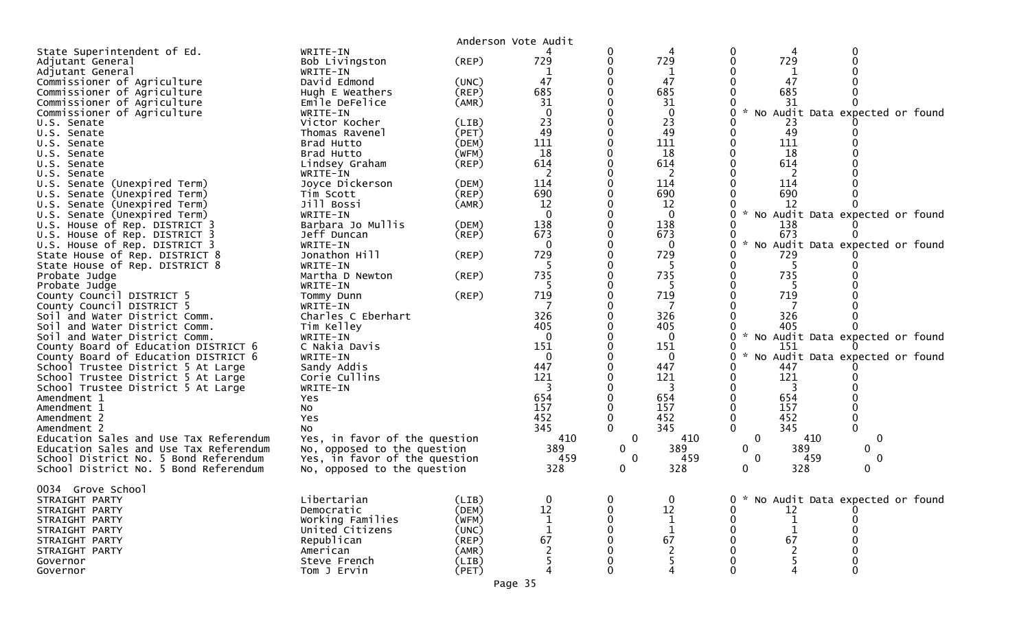|                                                                 |                               |             | Anderson Vote Audit |                             |                |                                                               |
|-----------------------------------------------------------------|-------------------------------|-------------|---------------------|-----------------------------|----------------|---------------------------------------------------------------|
| State Superintendent of Ed.                                     | WRITE-IN                      |             |                     |                             |                | $\Omega$<br>0                                                 |
| Adjutant General                                                | Bob Livingston                | (REP)       | 729                 | 0                           | 729            | 729<br>0                                                      |
| Adjutant General                                                | WRITE-IN                      |             |                     |                             | $\mathbf 1$    |                                                               |
| Commissioner of Agriculture                                     | David Edmond                  | (UNC)       | 47                  |                             | 47             | 47                                                            |
| Commissioner of Agriculture                                     | Hugh E Weathers               | (REP)       | 685                 |                             | 685            | 685                                                           |
| Commissioner of Agriculture                                     | Emile DeFelice                | (AMR)       | 31                  |                             | 31             | 31                                                            |
| Commissioner of Agriculture                                     | WRITE-IN                      |             | $\Omega$            |                             | $\Omega$       | No Audit Data expected or found<br>$\sim$<br>0                |
| U.S. Senate                                                     | Victor Kocher                 | (LIB)       | 23                  |                             | 23             | 23                                                            |
| U.S. Senate                                                     | Thomas Ravenel                | (PET)       | 49                  |                             | 49             | 49                                                            |
| U.S. Senate                                                     | Brad Hutto                    | (DEM)       | 111                 |                             | 111            | 111                                                           |
| U.S. Senate                                                     | Brad Hutto                    | (WFM)       | 18                  |                             | 18             | 18                                                            |
| U.S. Senate                                                     | Lindsey Graham                | $($ REP $)$ | 614                 |                             | 614            | 614                                                           |
| U.S. Senate                                                     | WRITE-IN                      |             | 2                   |                             | 2              | 2                                                             |
| U.S. Senate (Unexpired Term)                                    | Joyce Dickerson               | (DEM)       | 114                 |                             | 114            | 114                                                           |
| U.S. Senate (Unexpired Term)                                    | Tim Scott                     | $($ REP $)$ | 690                 |                             | 690            | 690                                                           |
| U.S. Senate (Unexpired Term)                                    | Jill Bossi                    | (AMR)       | 12                  |                             | 12             | 12                                                            |
| U.S. Senate (Unexpired Term)                                    | WRITE-IN                      |             | $\overline{0}$      |                             | $\mathbf 0$    | $\mathcal{H}$<br>No Audit Data expected or found              |
| U.S. House of Rep. DISTRICT 3                                   | Barbara Jo Mullis             | (DEM)       | 138<br>673          |                             | 138            | 138                                                           |
| U.S. House of Rep. DISTRICT 3                                   | Jeff Duncan                   | (REP)       |                     |                             | 673            | 673<br>0<br>No Audit Data expected or found                   |
| U.S. House of Rep. DISTRICT 3<br>State House of Rep. DISTRICT 8 | WRITE-IN<br>Jonathon Hill     | $($ REP $)$ | 729                 |                             | 0<br>729       | 729                                                           |
| State House of Rep. DISTRICT 8                                  | WRITE-IN                      |             | 5                   |                             | 5              | 0<br>-5                                                       |
| Probate Judge                                                   | Martha D Newton               | $($ REP $)$ | 735                 |                             | 735            | 735                                                           |
| Probate Judge                                                   | WRITE-IN                      |             |                     |                             |                |                                                               |
| County Council DISTRICT 5                                       | Tommy Dunn                    | $($ REP $)$ | 719                 |                             | 719            | 719                                                           |
| County Council DISTRICT 5                                       | WRITE-IN                      |             |                     |                             | 7              |                                                               |
| Soil and Water District Comm.                                   | Charles C Eberhart            |             | 326                 |                             | 326            | 326                                                           |
| Soil and Water District Comm.                                   | Tim Kelley                    |             | 405                 |                             | 405            | 405                                                           |
| Soil and Water District Comm.                                   | WRITE-IN                      |             | 0                   |                             | $\overline{0}$ | * No Audit Data expected or found<br>0                        |
| County Board of Education DISTRICT 6                            | C Nakia Davis                 |             | 151                 |                             | 151            | 151                                                           |
| County Board of Education DISTRICT 6                            | WRITE-IN                      |             | $\mathbf{0}$        |                             | $\mathbf 0$    | * No Audit Data expected or found<br>0                        |
| School Trustee District 5 At Large                              | Sandy Addis                   |             | 447                 |                             | 447            | 447                                                           |
| School Trustee District 5 At Large                              | Corie Cullins                 |             | 121                 |                             | 121            | 121<br>0                                                      |
| School Trustee District 5 At Large                              | WRITE-IN                      |             | 3                   |                             | 3              | 3                                                             |
| Amendment 1                                                     | Yes                           |             | 654                 |                             | 654            | 654                                                           |
| Amendment 1                                                     | No                            |             | 157                 |                             | 157            | 157                                                           |
| Amendment 2                                                     | Yes                           |             | 452                 |                             | 452            | 452<br>$\pmb{0}$<br>$\mathbf 0$                               |
| Amendment 2                                                     | <b>NO</b>                     |             | 345                 |                             | 345            | $\Omega$<br>345                                               |
| Education Sales and Use Tax Referendum                          | Yes, in favor of the question |             | 410                 | $\mathbf 0$                 | 410            | $\mathbf 0$<br>410<br>$\mathbf 0$                             |
| Education Sales and Use Tax Referendum                          | No, opposed to the question   |             | 389                 | 0                           | 389            | 389<br>0<br>0                                                 |
| School District No. 5 Bond Referendum                           | Yes, in favor of the question |             | 459<br>328          | $\mathbf 0$<br>$\mathbf{0}$ | 459<br>328     | $\mathbf 0$<br>459<br>$\mathbf 0$<br>328<br>0<br>$\mathbf{0}$ |
| School District No. 5 Bond Referendum                           | No, opposed to the question   |             |                     |                             |                |                                                               |
| 0034 Grove School                                               |                               |             |                     |                             |                |                                                               |
| STRAIGHT PARTY                                                  | Libertarian                   | (LIB)       |                     |                             | 0              | No Audit Data expected or found                               |
| STRAIGHT PARTY                                                  | Democratic                    | (DEM)       | 12                  |                             | 12             | 12                                                            |
| STRAIGHT PARTY                                                  | Working Families              | (WFM)       |                     |                             |                |                                                               |
| STRAIGHT PARTY                                                  | United Citizens               | (UNC)       |                     |                             |                |                                                               |
| STRAIGHT PARTY                                                  | Republican                    | (REP)       | 67                  |                             | 67             | 67                                                            |
| STRAIGHT PARTY                                                  | American                      | (AMR)       |                     |                             |                |                                                               |
| Governor                                                        | Steve French                  | (LIB)       |                     |                             |                |                                                               |
| Governor                                                        | Tom J Ervin                   | (PET)       |                     |                             |                |                                                               |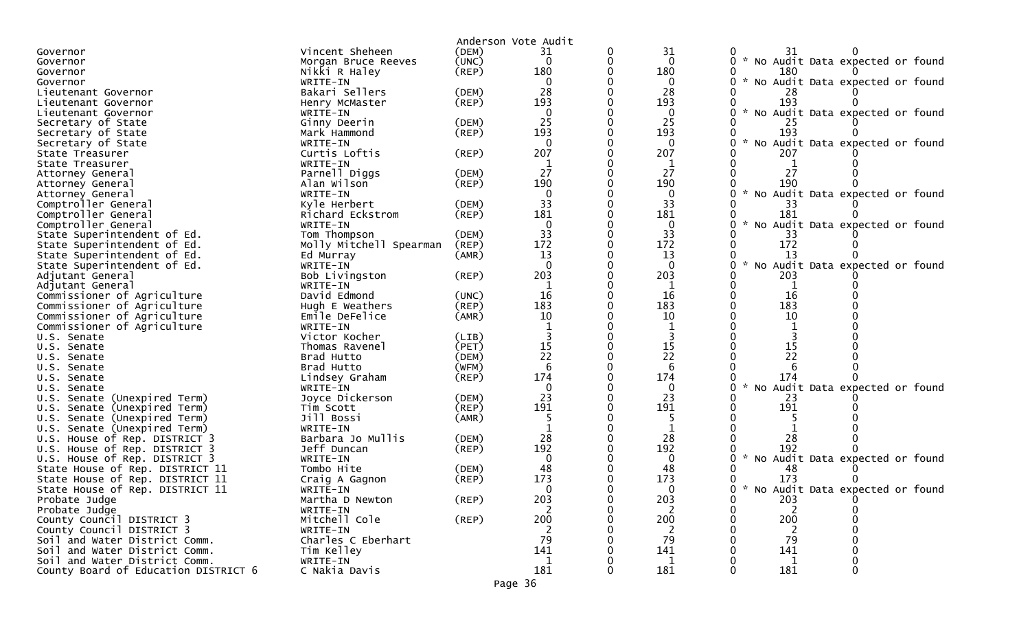|                                                                |                                  |                | Anderson Vote Audit |   |              |                                           |
|----------------------------------------------------------------|----------------------------------|----------------|---------------------|---|--------------|-------------------------------------------|
| Governor                                                       | Vincent Sheheen                  | (DEM)          | 31                  | 0 | 31           | 31                                        |
| Governor                                                       | Morgan Bruce Reeves              | (UNC)          | $\Omega$            | 0 | $\mathbf{0}$ | * No Audit Data expected or found         |
| Governor                                                       | Nikki R Haley                    | $($ REP $)$    | 180                 |   | 180          | 180                                       |
| Governor                                                       | WRITE-IN                         |                | $\Omega$            |   | 0            | * No Audit Data expected or found         |
| Lieutenant Governor                                            | Bakari Sellers                   | (DEM)          | 28                  |   | 28           | 28                                        |
| Lieutenant Governor                                            | Henry McMaster                   | (REP)          | 193                 |   | 193          | 193                                       |
| Lieutenant Governor                                            | WRITE-IN                         |                | $\Omega$            |   | $\mathbf{0}$ | * No Audit Data expected or found         |
| Secretary of State                                             | Ginny Deerin                     | (DEM)          | 25                  |   | 25           |                                           |
| Secretary of State                                             | Mark Hammond                     | (REP)          | 193                 |   | 193          | 193                                       |
| Secretary of State                                             | WRITE-IN                         |                | $\Omega$            |   | 0            | * No Audit Data expected or found         |
| State Treasurer                                                | Curtis Loftis                    | $($ REP $)$    | 207                 |   | 207          | 207                                       |
| State Treasurer                                                | WRITE-IN                         |                | -1                  |   |              |                                           |
| Attorney General                                               | Parnell Diggs                    | (DEM)          | 27                  |   | 27           | 27                                        |
| Attorney General                                               | Alan Wilson                      | (REP)          | 190                 |   | 190          | 190                                       |
| Attorney General                                               | WRITE-IN                         |                | $\Omega$            |   | $\Omega$     | * No Audit Data expected or found         |
| Comptroller General                                            | Kyle Herbert                     | (DEM)          | 33                  |   | 33           | 33                                        |
| Comptroller General                                            | Richard Eckstrom                 | (REP)          | 181                 |   | 181          | 181                                       |
| Comptroller General                                            | WRITE-IN                         |                | $\Omega$            |   | $\mathbf{0}$ | $\sim$<br>No Audit Data expected or found |
| State Superintendent of Ed.                                    | Tom Thompson                     | (DEM)          | 33                  |   | 33           | 33                                        |
| State Superintendent of Ed.                                    | Molly Mitchell Spearman          | (REP)          | 172                 |   | 172          | 172                                       |
| State Superintendent of Ed.                                    | Ed Murray                        | (AMR)          | 13                  |   | 13           | 13                                        |
| State Superintendent of Ed.                                    | WRITE-IN                         |                | $\Omega$            |   | $\mathbf{0}$ | * No Audit Data expected or found         |
| Adjutant General                                               | Bob Livingston                   | (REP)          | 203                 |   | 203          | 203                                       |
| Adjutant General                                               | WRITE-IN                         |                | 1                   |   | 1            |                                           |
| Commissioner of Agriculture                                    | David Edmond                     | (UNC)          | 16                  |   | 16           | 16                                        |
| Commissioner of Agriculture                                    | Hugh E Weathers                  | (REP)          | 183                 |   | 183          | 183                                       |
| Commissioner of Agriculture                                    | Emile DeFelice                   | (AMR)          | 10                  |   | 10           | 10                                        |
| Commissioner of Agriculture                                    | WRITE-IN                         |                |                     |   |              |                                           |
| U.S. Senate                                                    | Victor Kocher                    | (LIB)          |                     |   |              |                                           |
| U.S. Senate                                                    | Thomas Ravenel                   | (PET)          | 15                  |   | 15           | 15                                        |
|                                                                | Brad Hutto                       | (DEM)          | 22                  |   | 22           | 22                                        |
| U.S. Senate<br>U.S. Senate                                     | Brad Hutto                       | (WFM)          | 6                   |   | 6            |                                           |
|                                                                |                                  | (REP)          | 174                 |   | 174          | 174                                       |
| U.S. Senate                                                    | Lindsey Graham                   |                | $\Omega$            |   | 0            | No Audit Data expected or found           |
| U.S. Senate                                                    | WRITE-IN                         |                | 23                  |   | 23           |                                           |
| U.S. Senate (Unexpired Term)                                   | Joyce Dickerson                  | (DEM)<br>(REP) | 191                 |   | 191          | 23<br>191                                 |
| (Unexpired Term)<br>U.S. Senate                                | Tim Scott<br>Jill Bossi          |                |                     |   |              |                                           |
| U.S. Senate (Unexpired Term)                                   | WRITE-IN                         | (AMR)          |                     |   |              |                                           |
| Senate (Unexpired Term)<br>U.S.                                |                                  | (DEM)          | 28                  |   | 28           | 28                                        |
| U.S. House of Rep. DISTRICT 3                                  | Barbara Jo Mullis<br>Jeff Duncan | (REP)          | 192                 |   | 192          | 192                                       |
| U.S. House of Rep. DISTRICT 3<br>U.S. House of Rep. DISTRICT 3 | WRITE-IN                         |                | $\Omega$            |   | 0            | * No Audit Data expected or found         |
|                                                                |                                  |                | 48                  |   | 48           |                                           |
| State House of Rep. DISTRICT 11                                | Tombo Hite                       | (DEM)          | 173                 |   | 173          | 48<br>173                                 |
| State House of Rep. DISTRICT 11                                | Craig A Gagnon                   | (REP)          | $\Omega$            |   |              | * No Audit Data expected or found         |
| State House of Rep. DISTRICT 11                                | WRITE-IN                         | $($ REP $)$    | 203                 | 0 | 203          | 203                                       |
| Probate Judge                                                  | Martha D Newton                  |                | 2                   |   |              | 0                                         |
| Probate Judge                                                  | WRITE-IN<br>Mitchell Cole        | (REP)          | 200                 |   | 2<br>200     | 200                                       |
| County Council DISTRICT 3                                      |                                  |                |                     |   |              |                                           |
| County Council DISTRICT 3                                      | WRITE-IN<br>Charles C Eberhart   |                | 2<br>79             |   | 2<br>79      | 2<br>79                                   |
| Soil and Water District Comm.                                  |                                  |                |                     |   |              |                                           |
| Soil and Water District Comm.                                  | Tim Kelley                       |                | 141                 |   | 141          | 141                                       |
| Soil and Water District Comm.                                  | WRITE-IN                         |                | 1                   |   | 1            | 1                                         |
| County Board of Education DISTRICT 6                           | C Nakia Davis                    |                | 181                 |   | 181          | 181                                       |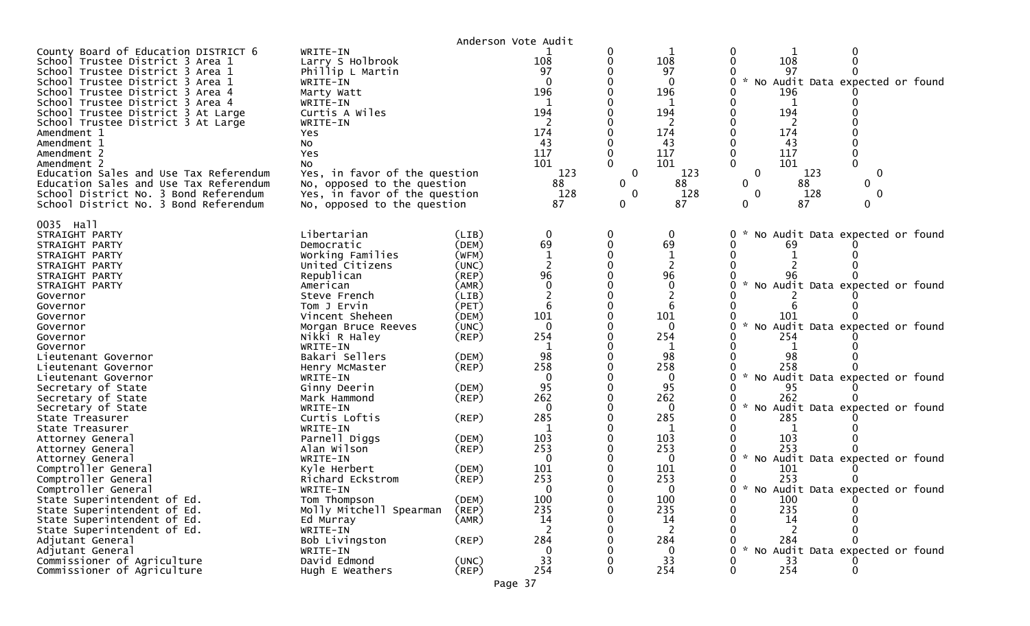|                                                                                                                                                                                                                                                                                                                                                                                                                                                                                                                                        |                                                                                                                                                                                                                                                                                |                                           | Anderson Vote Audit                                                                      |                                                    |                                                                                              |                                                                                                                                                                                                                             |
|----------------------------------------------------------------------------------------------------------------------------------------------------------------------------------------------------------------------------------------------------------------------------------------------------------------------------------------------------------------------------------------------------------------------------------------------------------------------------------------------------------------------------------------|--------------------------------------------------------------------------------------------------------------------------------------------------------------------------------------------------------------------------------------------------------------------------------|-------------------------------------------|------------------------------------------------------------------------------------------|----------------------------------------------------|----------------------------------------------------------------------------------------------|-----------------------------------------------------------------------------------------------------------------------------------------------------------------------------------------------------------------------------|
| County Board of Education DISTRICT 6<br>School Trustee District 3 Area 1<br>School Trustee District 3 Area 1<br>School Trustee District 3 Area 1<br>School Trustee District 3 Area 4<br>School Trustee District 3 Area 4<br>School Trustee District 3 At Large<br>School Trustee District 3 At Large<br>Amendment 1<br>Amendment 1<br>Amendment 2<br>Amendment 2<br>Education Sales and Use Tax Referendum<br>Education Sales and Use Tax Referendum<br>School District No. 3 Bond Referendum<br>School District No. 3 Bond Referendum | WRITE-IN<br>Larry S Holbrook<br>Phillip L Martin<br>WRITE-IN<br>Marty Watt<br>WRITE-IN<br>Curtis A Wiles<br>WRITE-IN<br>Yes<br>No<br>Yes<br>No<br>Yes, in favor of the question<br>No, opposed to the question<br>Yes, in favor of the question<br>No, opposed to the question |                                           | 108<br>97<br>$\Omega$<br>196<br>194<br>174<br>43<br>117<br>101<br>123<br>88<br>128<br>87 | 0<br>$\Omega$<br>$\mathbf 0$<br>0<br>$\Omega$<br>0 | 108<br>97<br>$\mathbf{0}$<br>196<br>194<br>174<br>43<br>117<br>101<br>123<br>88<br>128<br>87 | 108<br>97<br>* No Audit Data expected or found<br>196<br>194<br>174<br>43<br>117<br>101<br>$\mathbf 0$<br>$\mathbf 0$<br>123<br>$\Omega$<br>88<br>0<br>128<br>$\mathbf{0}$<br>$\Omega$<br>87<br>$\mathbf{0}$<br>$\mathbf 0$ |
| 0035 Hall<br>STRAIGHT PARTY<br>STRAIGHT PARTY                                                                                                                                                                                                                                                                                                                                                                                                                                                                                          | Libertarian<br>Democratic                                                                                                                                                                                                                                                      | (LIB)<br>(DEM)                            | 0<br>69                                                                                  |                                                    | 69                                                                                           | No Audit Data expected or found<br>69                                                                                                                                                                                       |
| STRAIGHT PARTY<br>STRAIGHT PARTY<br>STRAIGHT PARTY<br>STRAIGHT PARTY<br>Governor                                                                                                                                                                                                                                                                                                                                                                                                                                                       | Working Families<br>United Citizens<br>Republican<br>American<br>Steve French                                                                                                                                                                                                  | (WFM)<br>(UNC)<br>(REP)<br>(AMR)<br>(LIB) | 96<br>$\mathbf 0$                                                                        |                                                    | 96<br>$\mathbf 0$                                                                            | No Audit Data expected or found                                                                                                                                                                                             |
| Governor<br>Governor<br>Governor<br>Governor<br>Governor                                                                                                                                                                                                                                                                                                                                                                                                                                                                               | Tom J Ervin<br>Vincent Sheheen<br>Morgan Bruce Reeves<br>Nikki R Haley<br>WRITE-IN                                                                                                                                                                                             | (PET)<br>(DEM)<br>(UNC)<br>$($ REP $)$    | 101<br>$\mathbf{0}$<br>254<br>1                                                          |                                                    | 6<br>101<br>0<br>254<br>1                                                                    | 101<br>* No Audit Data expected or found<br>254                                                                                                                                                                             |
| Lieutenant Governor<br>Lieutenant Governor<br>Lieutenant Governor<br>Secretary of State                                                                                                                                                                                                                                                                                                                                                                                                                                                | Bakari Sellers<br>Henry McMaster<br>WRITE-IN<br>Ginny Deerin                                                                                                                                                                                                                   | (DEM)<br>$($ REP $)$<br>(DEM)             | 98<br>258<br>$\mathbf{0}$<br>95                                                          |                                                    | 98<br>258<br>0<br>95                                                                         | 98<br>258<br>* No Audit Data expected or found<br>95                                                                                                                                                                        |
| Secretary of State<br>Secretary of State<br>State Treasurer<br>State Treasurer                                                                                                                                                                                                                                                                                                                                                                                                                                                         | Mark Hammond<br>WRITE-IN<br>Curtis Loftis<br>WRITE-IN                                                                                                                                                                                                                          | $($ REP $)$<br>(REP)                      | 262<br>$\Omega$<br>285                                                                   |                                                    | 262<br>0<br>285                                                                              | 262<br>* No Audit Data expected or found<br>285                                                                                                                                                                             |
| Attorney General<br>Attorney General<br>Attorney General<br>Comptroller General                                                                                                                                                                                                                                                                                                                                                                                                                                                        | Parnell Diggs<br>Alan Wilson<br>WRITE-IN<br>Kyle Herbert                                                                                                                                                                                                                       | (DEM)<br>(REP)<br>(DEM)                   | 103<br>253<br>$\mathbf{0}$<br>101                                                        |                                                    | 103<br>253<br>$\Omega$<br>101                                                                | 103<br>253<br>$\mathcal{H}$<br>No Audit Data expected or found<br>101                                                                                                                                                       |
| Comptroller General<br>Comptroller General<br>State Superintendent of Ed.<br>State Superintendent of Ed.                                                                                                                                                                                                                                                                                                                                                                                                                               | Richard Eckstrom<br>WRITE-IN<br>Tom Thompson<br>Molly Mitchell Spearman                                                                                                                                                                                                        | (REP)<br>(DEM)<br>$($ REP $)$             | 253<br>$\Omega$<br>100<br>235                                                            | 0                                                  | 253<br>0<br>100<br>235                                                                       | 253<br>* No Audit Data expected or found<br>0<br>100<br>235                                                                                                                                                                 |
| State Superintendent of Ed.<br>State Superintendent of Ed.<br>Adjutant General<br>Adjutant General                                                                                                                                                                                                                                                                                                                                                                                                                                     | Ed Murray<br>WRITE-IN<br>Bob Livingston<br>WRITE-IN                                                                                                                                                                                                                            | (AMR)<br>$($ REP $)$                      | 14<br>2<br>284<br>$\mathbf 0$                                                            |                                                    | 14<br>2<br>284<br>0                                                                          | 14<br><sup>2</sup><br>284<br>$\mathcal{H}$<br>No Audit Data expected or found                                                                                                                                               |
| Commissioner of Agriculture<br>Commissioner of Agriculture                                                                                                                                                                                                                                                                                                                                                                                                                                                                             | David Edmond<br>Hugh E Weathers                                                                                                                                                                                                                                                | (UNC)<br>$($ REP $)$                      | 33<br>254                                                                                | 0                                                  | 33<br>254                                                                                    | 33<br>254<br>$\Omega$                                                                                                                                                                                                       |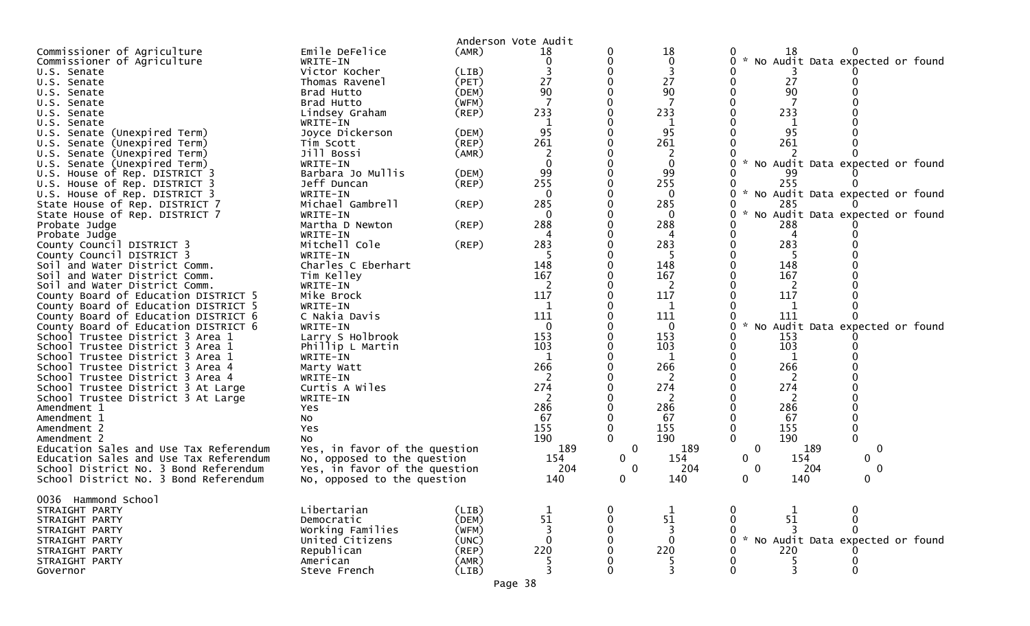|                                        | Emile DeFelice                |             | Anderson Vote Audit |              | 18          |                                                       |
|----------------------------------------|-------------------------------|-------------|---------------------|--------------|-------------|-------------------------------------------------------|
| Commissioner of Agriculture            | WRITE-IN                      | (AMR)       | 18<br>$\mathbf 0$   |              | $\mathbf 0$ | 18<br>* No Audit Data expected or found               |
| Commissioner of Agriculture            |                               |             |                     |              |             |                                                       |
| U.S. Senate                            | Victor Kocher                 | (LIB)       |                     |              | 3           |                                                       |
| U.S. Senate                            | Thomas Ravenel                | (PET)       | 27                  |              | 27          | 27<br>90                                              |
| U.S. Senate                            | Brad Hutto                    | (DEM)       | 90                  |              | 90          |                                                       |
| U.S. Senate                            | Brad Hutto                    | (WFM)       |                     |              |             |                                                       |
| U.S. Senate                            | Lindsey Graham                | $($ REP $)$ | 233                 |              | 233         | 233                                                   |
| U.S. Senate                            | WRITE-IN                      |             | 1                   |              | 1           |                                                       |
| U.S. Senate (Unexpired Term)           | Joyce Dickerson               | (DEM)       | 95                  |              | 95          | 95                                                    |
| Senate (Unexpired Term)<br>U.S.        | Tim Scott                     | $($ REP $)$ | 261                 |              | 261         | 261                                                   |
| Senate (Unexpired Term)<br>U.S.        | Jill Bossi                    | (AMR)       | $\overline{c}$      |              | 2           |                                                       |
| U.S. Senate (Unexpired Term)           | WRITE-IN                      |             |                     |              | $\mathbf 0$ | $\sim$<br>No Audit Data expected or found             |
| U.S. House of Rep. DISTRICT 3          | Barbara Jo Mullis             | (DEM)       | 99                  |              | 99          | 99                                                    |
| U.S. House of Rep. DISTRICT 3          | Jeff Duncan                   | $($ REP $)$ | 255                 |              | 255         | 255                                                   |
| U.S. House of Rep. DISTRICT 3          | WRITE-IN                      |             |                     |              | $\Omega$    | $\mathcal{H}$<br>No Audit Data expected or found<br>0 |
| State House of Rep. DISTRICT 7         | Michael Gambrell              | (REP)       | 285                 |              | 285         | 285                                                   |
| State House of Rep. DISTRICT 7         | WRITE-IN                      |             |                     |              | 0           | $\mathcal{H}$<br>No Audit Data expected or found<br>0 |
| Probate Judge                          | Martha D Newton               | $($ REP $)$ | 288                 |              | 288         | 288                                                   |
| Probate Judge                          | WRITE-IN                      |             | 4                   |              |             | 4                                                     |
| County Council DISTRICT 3              | Mitchell Cole                 | (REP)       | 283                 |              | 283         | 283                                                   |
| County Council DISTRICT 3              | WRITE-IN                      |             |                     |              |             |                                                       |
| Soil and Water District Comm.          | Charles C Eberhart            |             | 148                 |              | 148         | 148                                                   |
| Soil and Water District Comm.          | Tim Kelley                    |             | 167                 |              | 167         | 167                                                   |
| Soil and Water District Comm.          | WRITE-IN                      |             |                     |              | 2           |                                                       |
| County Board of Education DISTRICT 5   | Mike Brock                    |             | 117                 |              | 117         | 117                                                   |
| County Board of Education DISTRICT 5   | WRITE-IN                      |             | 1                   |              | 1           |                                                       |
| County Board of Education DISTRICT 6   | C Nakia Davis                 |             | 111                 |              | 111         | 111                                                   |
| County Board of Education DISTRICT 6   | WRITE-IN                      |             | $\mathbf{0}$        |              | $\mathbf 0$ | No Audit Data expected or found<br>$\mathcal{H}$<br>0 |
| School Trustee District 3 Area 1       | Larry S Holbrook              |             | 153                 |              | 153         | 153                                                   |
| School Trustee District 3 Area 1       | Phillip L Martin              |             | 103                 |              | 103         | 103                                                   |
| School Trustee District 3 Area 1       | WRITE-IN                      |             | $\mathbf{1}$        |              | $\mathbf 1$ | 1                                                     |
| School Trustee District 3 Area 4       | Marty Watt                    |             | 266                 |              | 266         | 266                                                   |
| School Trustee District 3 Area 4       | WRITE-IN                      |             |                     |              |             |                                                       |
| School Trustee District 3 At Large     | Curtis A Wiles                |             | 274                 |              | 274         | 274                                                   |
| School Trustee District 3 At Large     | WRITE-IN                      |             |                     |              | 2           | 2                                                     |
| Amendment 1                            | Yes                           |             | 286                 |              | 286         | 286                                                   |
| Amendment 1                            | No                            |             | 67                  |              | 67          | 67                                                    |
| Amendment 2                            | Yes                           |             | 155                 |              | 155         | 155                                                   |
| Amendment 2                            | No                            |             | 190                 |              | 190         | $\mathbf 0$<br>190                                    |
| Education Sales and Use Tax Referendum | Yes, in favor of the question |             | 189                 | 0            | 189         | 0<br>189<br>0                                         |
| Education Sales and Use Tax Referendum | No, opposed to the question   |             | 154                 | $\mathbf{0}$ | 154         | 154<br>$\mathbf{0}$<br>$\mathbf{0}$                   |
| School District No. 3 Bond Referendum  | Yes, in favor of the question |             | 204                 | 0            | 204         | 204<br>$\Omega$<br>∩                                  |
| School District No. 3 Bond Referendum  | No, opposed to the question   |             | 140                 | 0            | 140         | 140<br>0                                              |
|                                        |                               |             |                     |              |             |                                                       |
| 0036 Hammond School                    |                               |             |                     |              |             |                                                       |
| STRAIGHT PARTY                         | Libertarian                   | (LIB)       |                     |              |             |                                                       |
| STRAIGHT PARTY                         | Democratic                    | (DEM)       | 51                  |              | 51          | 51                                                    |
| STRAIGHT PARTY                         | Working Families              | (WFM)       |                     |              | 3           |                                                       |
| STRAIGHT PARTY                         | United Citizens               | (UNC)       |                     |              | $\Omega$    | $\sim$<br>No Audit Data expected or found<br>0        |
| STRAIGHT PARTY                         | Republican                    | (REP)       | 220                 |              | 220         | 220                                                   |
| STRAIGHT PARTY                         | American                      | (AMR)       |                     |              |             |                                                       |
| Governor                               | Steve French                  | (LIB)       |                     |              | 3           | ∩                                                     |
|                                        |                               |             |                     |              |             |                                                       |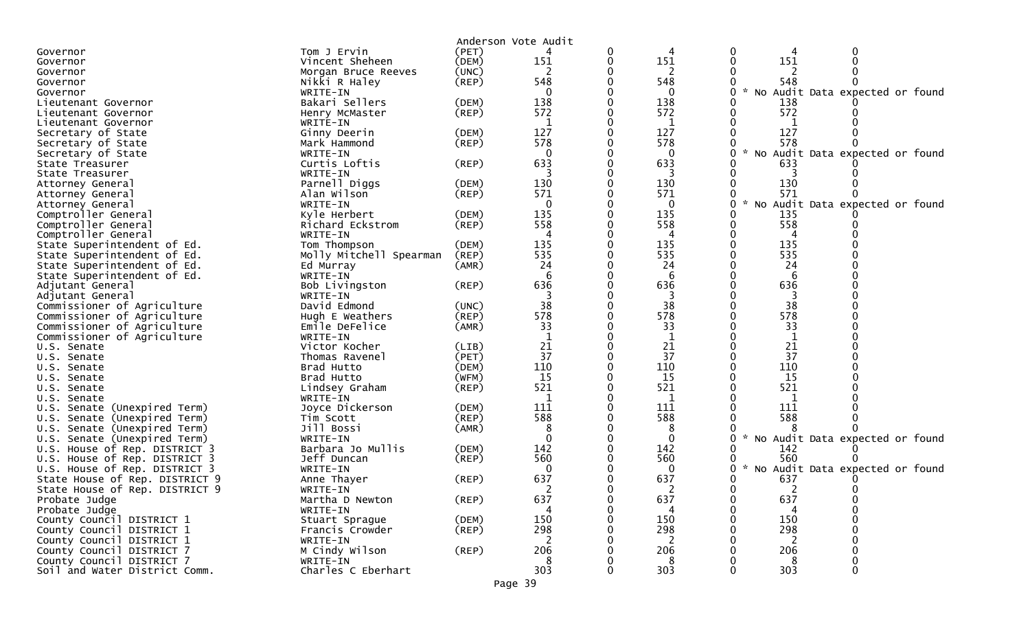|                                                                                |                | Anderson Vote Audit |   |                   |                                                            |
|--------------------------------------------------------------------------------|----------------|---------------------|---|-------------------|------------------------------------------------------------|
| Tom J Ervin<br>Governor                                                        | (PET)          |                     | 0 |                   |                                                            |
| Vincent Sheheen<br>Governor                                                    | (DEM)          | 151                 | 0 | 151               | 151                                                        |
| Morgan Bruce Reeves<br>Governor                                                | (UNC)          | 2                   |   | 2                 |                                                            |
| Nikki R Haley<br>Governor                                                      | $($ REP $)$    | 548                 |   | 548               | 548                                                        |
| WRITE-IN<br>Governor                                                           |                | $\Omega$            |   | 0                 | * No Audit Data expected or found                          |
| Bakari Sellers<br>Lieutenant Governor                                          | (DEM)          | 138                 |   | 138               | 138                                                        |
| Henry McMaster<br>Lieutenant Governor                                          | $($ REP $)$    | 572                 |   | 572               | 572                                                        |
| WRITE-IN<br>Lieutenant Governor                                                |                | 1                   |   | 1                 |                                                            |
| Secretary of State<br>Ginny Deerin                                             | (DEM)          | 127                 |   | 127               | 127                                                        |
| Secretary of State<br>Mark Hammond                                             | (REP)          | 578                 |   | 578               | 578                                                        |
| Secretary of State<br>WRITE-IN                                                 |                | 0                   |   | 0                 | * No Audit Data expected or found                          |
| Curtis Loftis<br>State Treasurer                                               | (REP)          | 633                 |   | 633               | 633                                                        |
| WRITE-IN<br>State Treasurer                                                    |                |                     |   | 3                 |                                                            |
| Parnell Diggs<br>Attorney General                                              | (DEM)          | 130                 |   | 130               | 130                                                        |
| Alan Wilson<br>Attorney General                                                | $($ REP $)$    | 571                 |   | 571               | 571                                                        |
| WRITE-IN<br>Attorney General                                                   |                | $\mathbf{0}$        |   | $\mathbf{0}$      | Audit Data expected or found<br>$\mathcal{H}$<br><b>NO</b> |
| Comptroller General<br>Kyle Herbert                                            | (DEM)          | 135                 |   | 135               | 135                                                        |
| Comptroller General<br>Richard Eckstrom                                        | $($ REP $)$    | 558                 |   | 558               | 558                                                        |
| Comptroller General<br>WRITE-IN                                                |                | 4                   |   | 4                 | 4                                                          |
| State Superintendent of Ed.<br>Tom Thompson                                    | (DEM)          | 135                 |   | 135               | 135                                                        |
| Molly Mitchell Spearman<br>State Superintendent of Ed.                         | (REP)          | 535                 |   | 535               | 535                                                        |
| State Superintendent of Ed.<br>Ed Murray                                       | (AMR)          | 24                  |   | 24                | 24                                                         |
| State Superintendent of Ed.<br>WRITE-IN                                        |                | 6                   |   | 6                 | 6                                                          |
| Bob Livingston<br>Adjutant General                                             | (REP)          | 636                 |   | 636               | 636                                                        |
| WRITE-IN<br>Adjutant General                                                   |                |                     |   | 3                 | 3                                                          |
| Commissioner of Agriculture<br>David Edmond                                    | (UNC)          | 38                  |   | 38                | 38                                                         |
| Commissioner of Agriculture<br>Hugh E Weathers                                 | (REP)          | 578                 |   | 578               | 578                                                        |
| Commissioner of Agriculture<br>Emile DeFelice                                  | (AMR)          | 33                  |   | 33                | 33                                                         |
| Commissioner of Agriculture<br>WRITE-IN                                        |                | 1                   |   | 1                 |                                                            |
| Victor Kocher<br>U.S. Senate                                                   | (LIB)          | 21                  |   | 21                | 21                                                         |
| Thomas Ravenel<br>U.S. Senate                                                  | (PET)          | 37                  |   | 37                | 37                                                         |
| Brad Hutto<br>U.S. Senate                                                      | (DEM)          | 110                 |   | 110               | 110                                                        |
| Brad Hutto<br>U.S. Senate                                                      | (WFM)          | 15                  | 0 | 15                | <b>15</b>                                                  |
| Lindsey Graham<br>U.S. Senate                                                  | $($ REP $)$    | 521                 |   | 521               | 521                                                        |
| WRITE-IN<br>U.S. Senate                                                        |                | 1                   |   | 1                 | 1                                                          |
| U.S. Senate (Unexpired Term)<br>Joyce Dickerson                                | (DEM)          | 111                 |   | 111               | 111                                                        |
| U.S. Senate (Unexpired Term)<br>Tim Scott<br>Jill Bossi                        | $($ REP $)$    | 588                 |   | 588               | 588                                                        |
| U.S. Senate (Unexpired Term)                                                   | (AMR)          | 8<br>$\Omega$       |   | 8<br>$\mathbf{0}$ | $\mathcal{H}$                                              |
| U.S. Senate (Unexpired Term)<br>WRITE-IN<br>Barbara Jo Mullis                  |                | 142                 |   | 142               | No Audit Data expected or found<br>142                     |
| U.S. House of Rep. DISTRICT 3<br>U.S. House of Rep. DISTRICT 3<br>Jeff Duncan  | (DEM)<br>(REP) | 560                 |   | 560               | 560                                                        |
| WRITE-IN                                                                       |                | $\Omega$            |   | $\Omega$          | $\sim$<br>No Audit Data expected or found                  |
| U.S. House of Rep. DISTRICT 3<br>State House of Rep. DISTRICT 9<br>Anne Thayer |                | 637                 |   | 637               | 637                                                        |
| State House of Rep. DISTRICT 9<br>WRITE-IN                                     | (REP)          |                     |   |                   | <sup>n</sup><br>$\Omega$                                   |
| Martha D Newton<br>Probate Judge                                               | $($ REP $)$    | 637                 |   | 637               | 637                                                        |
| Probate Judge<br>WRITE-IN                                                      |                |                     |   |                   |                                                            |
| County Council DISTRICT 1<br>Stuart Sprague                                    | (DEM)          | 150                 |   | 150               | 150                                                        |
| County Council DISTRICT 1<br>Francis Crowder                                   | $($ REP $)$    | 298                 |   | 298               | 298                                                        |
| County Council DISTRICT 1<br>WRITE-IN                                          |                | 2                   |   | 2                 | 2                                                          |
| County Council DISTRICT 7<br>M Cindy Wilson                                    | $($ REP $)$    | 206                 |   | 206               | 206                                                        |
| County Council DISTRICT 7<br>WRITE-IN                                          |                | 8                   |   | 8                 | 8                                                          |
| Charles C Eberhart<br>Soil and Water District Comm.                            |                | 303                 |   | 303               | 303                                                        |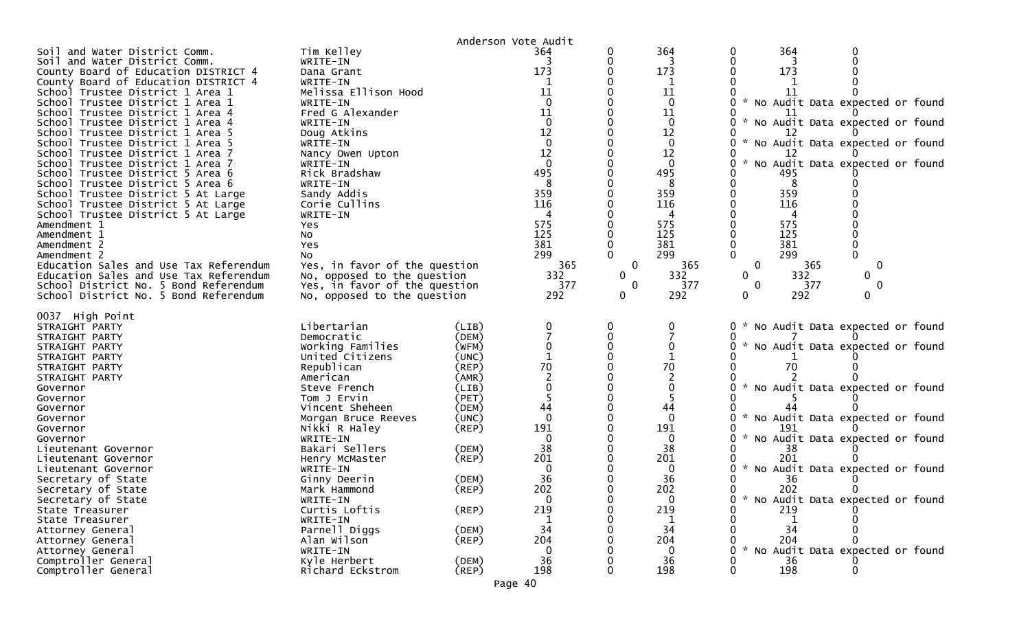|                                                                          |                                  |                      | Anderson Vote Audit |              |                |                                                  |
|--------------------------------------------------------------------------|----------------------------------|----------------------|---------------------|--------------|----------------|--------------------------------------------------|
| Soil and Water District Comm.                                            | Tim Kelley                       |                      | 364                 |              | 364            | 364<br>0                                         |
| Soil and Water District Comm.                                            | WRITE-IN                         |                      |                     |              |                |                                                  |
| County Board of Education DISTRICT 4                                     | Dana Grant                       |                      | 173                 |              | 173            | 173                                              |
| County Board of Education DISTRICT 4                                     | WRITE-IN                         |                      | 1                   |              | 1              |                                                  |
| School Trustee District 1 Area 1                                         | Melissa Ellison Hood             |                      | 11                  |              | 11             | 11                                               |
| School Trustee District 1 Area 1                                         | WRITE-IN                         |                      | $\Omega$            |              | $\mathbf 0$    | * No Audit Data expected or found                |
| School Trustee District 1 Area 4                                         | Fred G Alexander                 |                      | 11                  |              | 11             |                                                  |
| School Trustee District 1 Area 4                                         | WRITE-IN                         |                      |                     |              | $\mathbf 0$    | * No Audit Data expected or found                |
| School Trustee District 1 Area 5                                         | Doug Atkins                      |                      | 12                  |              | 12             |                                                  |
| School Trustee District 1 Area 5                                         | WRITE-IN                         |                      | $\mathbf 0$         |              | 0              | * No Audit Data expected or found                |
| School Trustee District 1 Area 7                                         | Nancy Owen Upton                 |                      | 12                  |              | 12             | $\mathcal{R}$                                    |
| School Trustee District 1 Area 7                                         | WRITE-IN                         |                      | $\Omega$            |              | $\mathbf{0}$   | No Audit Data expected or found<br>U             |
| School Trustee District 5 Area 6                                         | Rick Bradshaw                    |                      | 495                 |              | 495            | 495                                              |
| School Trustee District 5 Area 6                                         | WRITE-IN                         |                      | 359                 |              | 8<br>359       | 8<br>359                                         |
| School Trustee District 5 At Large                                       | Sandy Addis<br>Corie Cullins     |                      | 116                 |              | 116            | 116                                              |
| School Trustee District 5 At Large<br>School Trustee District 5 At Large | WRITE-IN                         |                      |                     |              | 4              |                                                  |
| Amendment 1                                                              | Yes                              |                      | 575                 |              | 575            | 575                                              |
| Amendment 1                                                              | No                               |                      | 125                 |              | 125            | 125                                              |
| Amendment 2                                                              | Yes                              |                      | 381                 |              | 381            | 381                                              |
| Amendment 2                                                              | No                               |                      | 299                 |              | 299            | 299<br>$\Omega$                                  |
| Education Sales and Use Tax Referendum                                   | Yes, in favor of the question    |                      | 365                 | $\mathbf 0$  | 365            | $\mathbf 0$<br>$\mathbf 0$<br>365                |
| Education Sales and Use Tax Referendum                                   | No, opposed to the question      |                      | 332                 | $\mathbf{0}$ | 332            | $\mathbf{0}$<br>332<br>0                         |
| School District No. 5 Bond Referendum                                    | Yes, in favor of the question    |                      | 377                 | 0            | 377            | 377<br>$\mathbf{0}$<br>$\Omega$                  |
| School District No. 5 Bond Referendum                                    | No, opposed to the question      |                      | 292                 | $\mathbf 0$  | 292            | 292<br>0<br>0                                    |
|                                                                          |                                  |                      |                     |              |                |                                                  |
| 0037 High Point                                                          |                                  |                      |                     |              |                |                                                  |
| STRAIGHT PARTY                                                           | Libertarian                      | (LIB)                |                     |              | 0              | 0<br>* No Audit Data expected or found           |
| STRAIGHT PARTY                                                           | Democratic                       | (DEM)                |                     |              |                |                                                  |
| STRAIGHT PARTY                                                           | Working Families                 | (WFM)                |                     |              |                | * No Audit Data expected or found<br>0           |
| STRAIGHT PARTY                                                           | United Citizens                  | (UNC)                |                     |              |                |                                                  |
| STRAIGHT PARTY                                                           | Republican                       |                      |                     |              |                |                                                  |
|                                                                          |                                  | $($ REP $)$          | 70                  |              | 70             | 70                                               |
| STRAIGHT PARTY                                                           | American                         | (AMR)                |                     |              | $\overline{c}$ |                                                  |
| Governor                                                                 | Steve French                     | (LIB)                |                     |              |                | No Audit Data expected or found                  |
| Governor                                                                 | Tom J Ervin                      | (PET)                |                     |              |                |                                                  |
| Governor                                                                 | Vincent Sheheen                  | (DEM)                | 44                  |              | 44             |                                                  |
| Governor                                                                 | Morgan Bruce Reeves              | (UNC)                | $\Omega$            |              | $\mathbf{0}$   | $\mathcal{H}$<br>No Audit Data expected or found |
| Governor                                                                 | Nikki R Haley                    | $($ REP $)$          | 191                 |              | 191            | 191                                              |
| Governor                                                                 | WRITE-IN                         |                      | $\Omega$            |              | 0              | No Audit Data expected or found                  |
| Lieutenant Governor                                                      | Bakari Sellers                   | (DEM)                | 38                  |              | 38             | 38                                               |
| Lieutenant Governor                                                      | Henry McMaster                   | (REP)                | 201                 |              | 201            | 201                                              |
| Lieutenant Governor                                                      | WRITE-IN                         |                      | 0                   |              | 0              | No Audit Data expected or found                  |
| Secretary of State                                                       | Ginny Deerin                     | (DEM)                | 36                  |              | 36             | 36                                               |
| Secretary of State                                                       | Mark Hammond                     | $($ REP $)$          | 202                 |              | 202            | 202                                              |
| Secretary of State                                                       | WRITE-IN                         |                      | $\Omega$            |              | $\mathbf 0$    | $\mathbf 0$<br>* No Audit Data expected or found |
| State Treasurer                                                          | Curtis Loftis                    | $($ REP $)$          | 219                 |              | 219            | 219                                              |
| State Treasurer                                                          | WRITE-IN                         |                      |                     |              |                |                                                  |
| Attorney General                                                         | Parnell Diggs                    | (DEM)                | 34                  |              | 34             | 34                                               |
| Attorney General                                                         | Alan Wilson                      | $($ REP $)$          | 204                 |              | 204            | 204                                              |
| Attorney General                                                         | WRITE-IN                         |                      |                     |              | $\mathbf{0}$   | * No Audit Data expected or found                |
| Comptroller General<br>Comptroller General                               | Kyle Herbert<br>Richard Eckstrom | (DEM)<br>$($ REP $)$ | 36<br>198           |              | 36<br>198      | 36<br>198                                        |

Page 40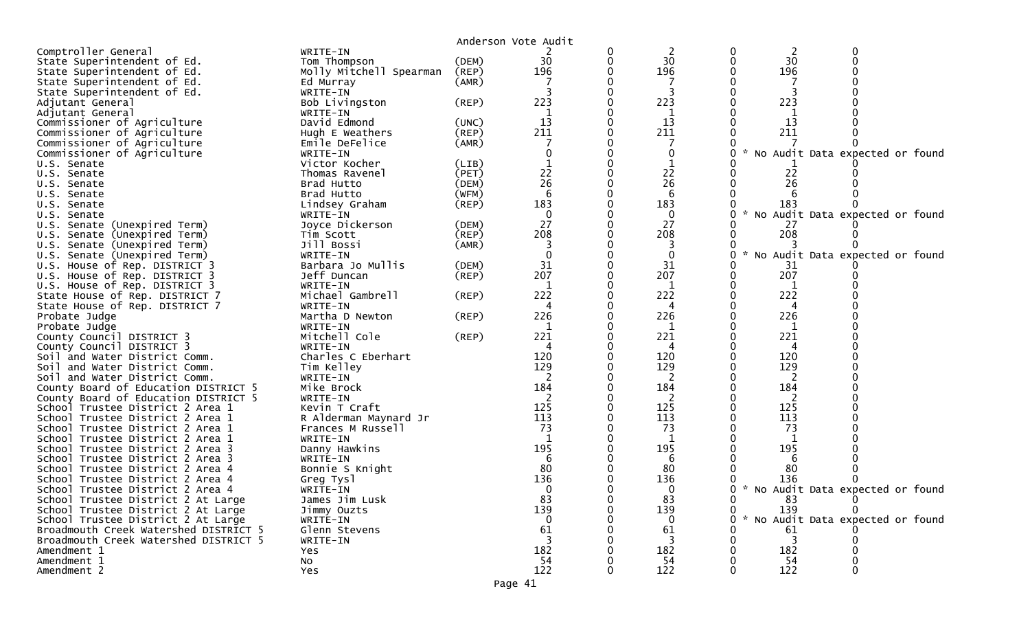|                                                        |                                |       | Anderson Vote Audit |          |   |                            |                                     |
|--------------------------------------------------------|--------------------------------|-------|---------------------|----------|---|----------------------------|-------------------------------------|
| Comptroller General                                    | WRITE-IN                       |       |                     | 2        | 0 | $\overline{2}$             |                                     |
| State Superintendent of Ed.                            | Tom Thompson                   | (DEM) | 30                  | 30       |   | 30                         |                                     |
| State Superintendent of Ed.                            | Molly Mitchell Spearman        | (REP) | 196                 | 196      |   | 196                        |                                     |
| State Superintendent of Ed.                            | Ed Murray                      | (AMR) |                     |          |   |                            |                                     |
| State Superintendent of Ed.                            | WRITE-IN                       |       |                     |          |   |                            |                                     |
| Adjutant General                                       | Bob Livingston                 | (REP) | 223                 | 223      |   | 223                        |                                     |
| Adjutant General                                       | WRITE-IN                       |       |                     | 1        |   | 1                          |                                     |
| Commissioner of Agriculture                            | David Edmond                   | (UNC) | 13                  | 13       |   | 13                         |                                     |
| Commissioner of Agriculture                            | Hugh E Weathers                | (REP) | 211                 | 211      |   | 211                        |                                     |
| Commissioner of Agriculture                            | Emile DeFelice                 | (AMR) |                     |          |   |                            |                                     |
| Commissioner of Agriculture                            | WRITE-IN                       |       |                     | 0        |   |                            | * No Audit Data expected or found   |
| U.S. Senate                                            | Victor Kocher                  | (LIB) |                     |          |   |                            |                                     |
| U.S. Senate                                            | Thomas Ravenel                 | (PET) | 22                  | 22       |   | 22                         |                                     |
| U.S. Senate                                            | Brad Hutto                     | (DEM) | 26                  | 26       |   | 26                         |                                     |
| U.S. Senate                                            | Brad Hutto                     | (WFM) | 6                   | 6        |   |                            |                                     |
| U.S. Senate                                            | Lindsey Graham                 | (REP) | 183                 | 183      |   | 183                        |                                     |
| U.S. Senate                                            | WRITE-IN                       |       | 0                   | $\Omega$ |   | $\sim$                     | No Audit Data expected or found     |
| U.S. Senate (Unexpired Term)                           | Joyce Dickerson                | (DEM) | 27                  | 27       |   | -27                        |                                     |
| U.S. Senate (Unexpired Term)                           | Tim Scott                      | (REP) | 208                 | 208      |   | 208                        |                                     |
| U.S. Senate (Unexpired Term)                           | Jill Bossi                     | (AMR) |                     |          |   |                            |                                     |
| U.S. Senate (Unexpired Term)                           | WRITE-IN                       |       |                     | $\Omega$ | 0 | $\boldsymbol{\mathcal{L}}$ | No Audit Data expected or found     |
| U.S. House of Rep. DISTRICT 3                          | Barbara Jo Mullis              | (DEM) | 31                  | 31       |   | 31                         |                                     |
| U.S. House of Rep. DISTRICT 3                          | Jeff Duncan                    | (REP) | 207                 | 207      |   | 207                        |                                     |
| U.S. House of Rep. DISTRICT 3                          | WRITE-IN                       |       |                     |          |   |                            |                                     |
| State House of Rep. DISTRICT 7                         | Michael Gambrell               | (REP) | 222                 | 222      |   | 222                        |                                     |
| State House of Rep. DISTRICT 7                         | WRITE-IN                       |       | 4                   | 4        |   | 4                          |                                     |
| Probate Judge                                          | Martha D Newton                | (REP) | 226                 | 226      |   | 226                        |                                     |
| Probate Judge                                          | WRITE-IN                       |       | 1<br>221            | 1<br>221 |   | 1<br>221                   |                                     |
| County Council DISTRICT 3<br>County Council DISTRICT 3 | Mitchell Cole                  | (REP) |                     |          |   |                            |                                     |
| Soil and Water District Comm.                          | WRITE-IN<br>Charles C Eberhart |       | 120                 | 120      |   | 120                        |                                     |
| Soil and Water District Comm.                          | Tim Kelley                     |       | 129                 | 129      |   | 129                        |                                     |
| Soil and Water District Comm.                          | WRITE-IN                       |       | 2                   | 2        |   |                            |                                     |
| County Board of Education DISTRICT 5                   | Mike Brock                     |       | 184                 | 184      |   | 184                        |                                     |
| County Board of Education DISTRICT 5                   | WRITE-IN                       |       |                     | 2        |   | 2                          |                                     |
| School Trustee District 2 Area 1                       | Kevin T Craft                  |       | 125                 | 125      |   | 125                        |                                     |
| School Trustee District 2 Area 1                       | R Alderman Maynard Jr          |       | 113                 | 113      |   | 113                        |                                     |
| School Trustee District 2 Area 1                       | Frances M Russell              |       | 73                  | 73       |   | 73                         |                                     |
| School Trustee District 2 Area 1                       | WRITE-IN                       |       |                     |          |   |                            |                                     |
| School Trustee District 2 Area 3                       | Danny Hawkins                  |       | 195                 | 195      |   | 195                        |                                     |
| School Trustee District 2 Area 3                       | WRITE-IN                       |       |                     | 6        |   | 6                          |                                     |
| School Trustee District 2 Area 4                       | Bonnie S Knight                |       | 80                  | 80       |   | -80                        |                                     |
| School Trustee District 2 Area 4                       | Greg Tysl                      |       | 136                 | 136      |   | 136                        |                                     |
| School Trustee District 2 Area 4                       | WRITE-IN                       |       | $\Omega$            | $\Omega$ |   |                            | 0 * No Audit Data expected or found |
| School Trustee District 2 At Large                     | James Jim Lusk                 |       | 83                  | 83       |   | 83                         |                                     |
| School Trustee District 2 At Large                     | Jimmy Ouzts                    |       | 139                 | 139      |   | 139                        |                                     |
| School Trustee District 2 At Large                     | WRITE-IN                       |       | $\Omega$            | $\bf{0}$ |   |                            | * No Audit Data expected or found   |
| Broadmouth Creek Watershed DISTRICT 5                  | Glenn Stevens                  |       | 61                  | 61       |   | 61                         |                                     |
| Broadmouth Creek Watershed DISTRICT 5                  | WRITE-IN                       |       | 3                   | 3        |   | $\overline{3}$             |                                     |
| Amendment 1                                            | Yes                            |       | 182                 | 182      |   | 182                        |                                     |
| Amendment 1                                            | <b>NO</b>                      |       | 54                  | 54       |   | -54                        |                                     |
| Amendment 2                                            | <b>Yes</b>                     |       | 122                 | 122      |   | 122                        |                                     |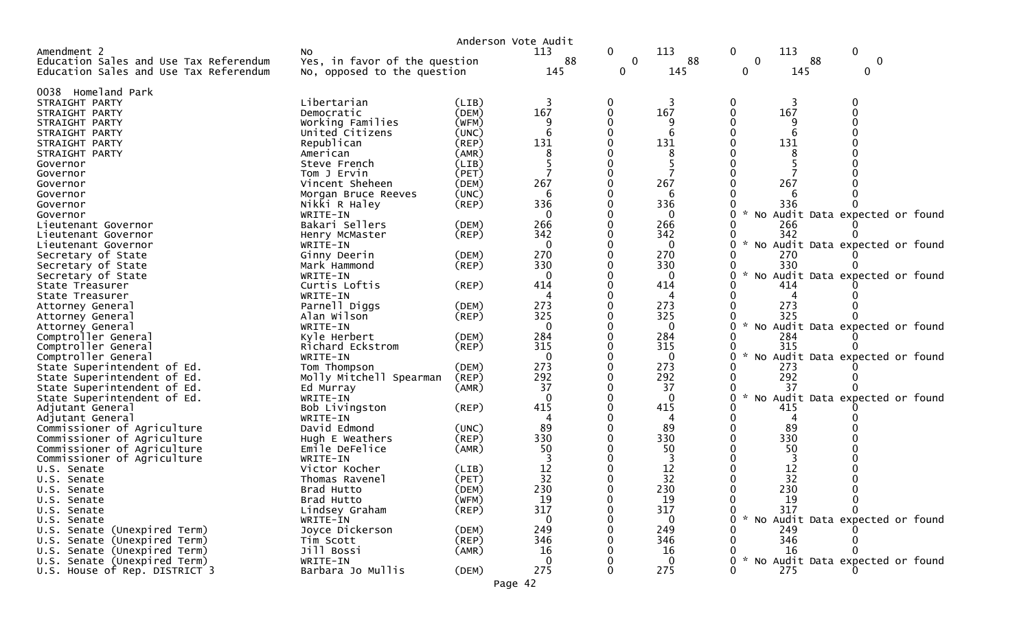|                                        |                               | Anderson Vote Audit |             |              |             |                                                       |
|----------------------------------------|-------------------------------|---------------------|-------------|--------------|-------------|-------------------------------------------------------|
| Amendment 2                            | NO.                           |                     | 113         | $\mathbf{0}$ | 113         | $\mathbf 0$<br>0<br>113                               |
| Education Sales and Use Tax Referendum | Yes, in favor of the question |                     | 88          | $\mathbf 0$  | 88          | 0<br>88<br>$\mathbf 0$                                |
| Education Sales and Use Tax Referendum | No, opposed to the question   |                     | 145         | 0            | 145         | 145<br>0<br>0                                         |
| 0038 Homeland Park                     |                               |                     |             |              |             |                                                       |
| STRAIGHT PARTY                         | Libertarian                   | (LIB)               | 3           | 0            | 3           | 3                                                     |
| STRAIGHT PARTY                         | Democratic                    | (DEM)               | 167         |              | 167         | 167<br>0                                              |
| STRAIGHT PARTY                         | Working Families              | (WFM)               |             |              | 9           |                                                       |
| STRAIGHT PARTY                         | United Citizens               | (UNC)               | 6           |              | 6           | 6                                                     |
| STRAIGHT PARTY                         | Republican                    | $($ REP $)$         | 131         |              | 131         | 131                                                   |
| STRAIGHT PARTY                         | American                      | (AMR)               |             |              | 8           | 8                                                     |
| Governor                               | Steve French                  | (LIB)               |             |              |             |                                                       |
| Governor                               | Tom J Ervin                   | (PET)               |             |              |             |                                                       |
| Governor                               | Vincent Sheheen               | (DEM)               | 267         |              | 267         | 267                                                   |
| Governor                               | Morgan Bruce Reeves           | (UNC)               | 6           |              | 6           | h                                                     |
|                                        |                               | (REP)               | 336         |              | 336         | 336                                                   |
| Governor                               | Nikki R Haley                 |                     | $\Omega$    |              | $\Omega$    | * No Audit Data expected or found<br>0                |
| Governor                               | WRITE-IN                      |                     |             |              |             |                                                       |
| Lieutenant Governor                    | Bakari Sellers                | (DEM)               | 266<br>342  |              | 266         | 266                                                   |
| Lieutenant Governor                    | Henry McMaster                | $($ REP $)$         |             |              | 342         | 342<br>0                                              |
| Lieutenant Governor                    | WRITE-IN                      |                     | 0           |              | $\bf{0}$    | * No Audit Data expected or found                     |
| Secretary of State                     | Ginny Deerin                  | (DEM)               | 270         |              | 270         | 270                                                   |
| Secretary of State                     | Mark Hammond                  | (REP)               | 330         |              | 330         | 330<br>$\mathcal{H}$                                  |
| Secretary of State                     | WRITE-IN                      |                     | $\Omega$    |              | $\Omega$    | 0<br>No Audit Data expected or found                  |
| State Treasurer                        | Curtis Loftis                 | (REP)               | 414         |              | 414         | 414                                                   |
| State Treasurer                        | WRITE-IN                      |                     | 4           |              | 4           |                                                       |
| Attorney General                       | Parnell Diggs                 | (DEM)               | 273         |              | 273         | 273                                                   |
| Attorney General                       | Alan Wilson                   | $($ REP $)$         | 325         |              | 325         | 325                                                   |
| Attorney General                       | WRITE-IN                      |                     | 0           |              | $\mathbf 0$ | * No Audit Data expected or found<br>0                |
| Comptroller General                    | Kyle Herbert                  | (DEM)               | 284         |              | 284         | 284                                                   |
| Comptroller General                    | Richard Eckstrom              | (REP)               | 315         |              | 315         | 315                                                   |
| Comptroller General                    | WRITE-IN                      |                     | $\mathbf 0$ |              | $\mathbf 0$ | 0<br>* No Audit Data expected or found                |
| State Superintendent of Ed.            | Tom Thompson                  | (DEM)               | 273         |              | 273         | 273                                                   |
| State Superintendent of Ed.            | Molly Mitchell Spearman       | (REP)               | 292         |              | 292         | 292                                                   |
| State Superintendent of Ed.            | Ed Murray                     | (AMR)               | 37          |              | 37          | 37                                                    |
| State Superintendent of Ed.            | WRITE-IN                      |                     | $\Omega$    |              | $\Omega$    | $\mathcal{H}$<br>No Audit Data expected or found<br>0 |
| Adjutant General                       | Bob Livingston                | $($ REP $)$         | 415         |              | 415         | 415                                                   |
| Adjutant General                       | WRITE-IN                      |                     | 4           |              | 4           | 0<br>4                                                |
| Commissioner of Agriculture            | David Edmond                  | (UNC)               | 89          |              | 89          | 89                                                    |
| Commissioner of Agriculture            | Hugh E Weathers               | (REP)               | 330         |              | 330         | 330                                                   |
| Commissioner of Agriculture            | Emile DeFelice                | (AMR)               | 50          |              | 50          | 50                                                    |
| Commissioner of Agriculture            | WRITE-IN                      |                     |             |              |             |                                                       |
| U.S. Senate                            | Victor Kocher                 | (LIB)               | 12          |              | 12          | 12                                                    |
| U.S. Senate                            | Thomas Ravenel                | (PET)               | 32          |              | 32          | 32                                                    |
| U.S. Senate                            | Brad Hutto                    | (DEM)               | 230         |              | 230         | 230                                                   |
| U.S. Senate                            | Brad Hutto                    | (WFM)               | 19          |              | 19          | 0<br>19                                               |
| U.S. Senate                            | Lindsey Graham                | (REP)               | 317         |              | 317         | 317                                                   |
| U.S. Senate                            | WRITE-IN                      |                     | 0           |              | $\bf{0}$    | * No Audit Data expected or found<br>0                |
| U.S. Senate (Unexpired Term)           | Joyce Dickerson               | (DEM)               | 249         |              | 249         | 249                                                   |
| U.S. Senate (Unexpired Term)           | Tim Scott                     | (REP)               | 346         |              | 346         | 346                                                   |
| U.S. Senate (Unexpired Term)           | Jill Bossi                    | (AMR)               | 16          |              | 16          | 16                                                    |
| U.S. Senate (Unexpired Term)           | WRITE-IN                      |                     | $\Omega$    |              | $\Omega$    | * No Audit Data expected or found                     |
| U.S. House of Rep. DISTRICT 3          | Barbara Jo Mullis             | (DEM)               | 275         |              | 275         | 275                                                   |

Page 42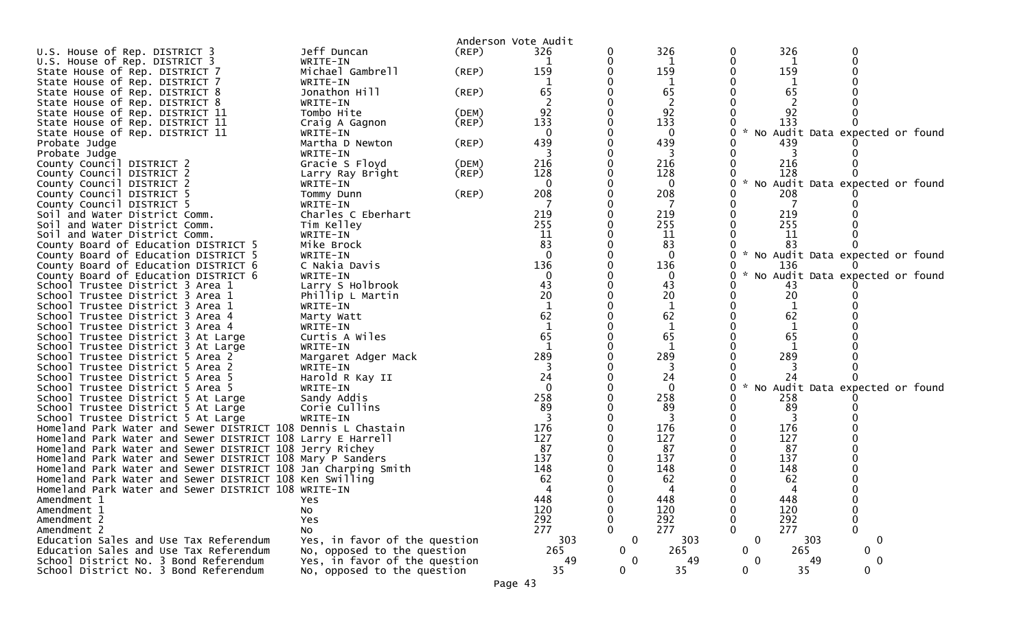|                                                                                                                            |                               |             | Anderson Vote Audit |              |              |              |           |                                   |  |
|----------------------------------------------------------------------------------------------------------------------------|-------------------------------|-------------|---------------------|--------------|--------------|--------------|-----------|-----------------------------------|--|
| U.S. House of Rep. DISTRICT 3                                                                                              | Jeff Duncan                   | (REP)       | 326                 |              | 326          | 0            | 326       | 0                                 |  |
| U.S. House of Rep. DISTRICT 3                                                                                              | WRITE-IN                      |             |                     |              | 1            | 0            | 1         |                                   |  |
| State House of Rep. DISTRICT 7                                                                                             | Michael Gambrell              | $($ REP $)$ | 159                 |              | 159          |              | 159       |                                   |  |
| State House of Rep. DISTRICT 7                                                                                             | WRITE-IN                      |             |                     |              | 1            |              | 1         |                                   |  |
| State House of Rep. DISTRICT 8                                                                                             | Jonathon Hill                 | (REP)       | 65                  |              | 65           |              | 65        |                                   |  |
| State House of Rep. DISTRICT 8                                                                                             | WRITE-IN                      |             |                     |              | 2            |              |           |                                   |  |
| State House of Rep. DISTRICT 11                                                                                            | Tombo Hite                    | (DEM)       | 92                  |              | 92           |              | 92        |                                   |  |
| State House of Rep. DISTRICT 11                                                                                            | Craig A Gagnon                | (REP)       | 133                 |              | 133          |              | 133       |                                   |  |
| State House of Rep. DISTRICT 11                                                                                            | WRITE-IN                      |             |                     |              | $\bf{0}$     | 0            |           | * No Audit Data expected or found |  |
| Probate Judge                                                                                                              | Martha D Newton               | (REP)       | 439                 |              | 439          |              | 439       |                                   |  |
| Probate Judge                                                                                                              | WRITE-IN                      |             |                     |              | 3            |              |           |                                   |  |
| County Council DISTRICT 2                                                                                                  | Gracie S Floyd                | (DEM)       | 216                 |              | 216          |              | 216       |                                   |  |
| County Council DISTRICT 2                                                                                                  | Larry Ray Bright              | (REP)       | 128                 |              | 128          | 0            | 128       |                                   |  |
| County Council DISTRICT 2                                                                                                  | WRITE-IN                      |             | $\Omega$            |              | $\mathbf 0$  | 0            |           | * No Audit Data expected or found |  |
| County Council DISTRICT 5                                                                                                  | Tommy Dunn                    | (REP)       | 208                 |              | 208          |              | 208       |                                   |  |
| County Council DISTRICT 5                                                                                                  | WRITE-IN                      |             |                     |              | 7            | 0            |           |                                   |  |
| Soil and Water District Comm.                                                                                              | Charles C Eberhart            |             | 219                 |              | 219          | 0            | 219       |                                   |  |
| Soil and Water District Comm.                                                                                              | Tim Kelley                    |             | 255                 |              | 255          |              | 255       |                                   |  |
| Soil and Water District Comm.                                                                                              | WRITE-IN                      |             | 11                  |              | 11           | 0            | 11        |                                   |  |
| County Board of Education DISTRICT 5                                                                                       | Mike Brock                    |             | 83                  |              | 83           |              | 83        |                                   |  |
| County Board of Education DISTRICT 5                                                                                       | WRITE-IN                      |             | $\Omega$            |              | $\Omega$     |              |           | * No Audit Data expected or found |  |
| County Board of Education DISTRICT 6                                                                                       | C Nakia Davis                 |             | 136                 |              | 136          |              | 136       |                                   |  |
| County Board of Education DISTRICT 6                                                                                       | WRITE-IN                      |             |                     |              | $\mathbf 0$  | 0            |           | * No Audit Data expected or found |  |
| School Trustee District 3 Area 1                                                                                           | Larry S Holbrook              |             | 43                  |              | 43           |              | 43        |                                   |  |
| School Trustee District 3 Area 1                                                                                           | Phillip L Martin              |             | 20                  |              | 20           | 0            | 20        |                                   |  |
| School Trustee District 3 Area 1                                                                                           | WRITE-IN                      |             |                     |              | $\mathbf{1}$ |              | 1         |                                   |  |
| School Trustee District 3 Area 4                                                                                           | Marty Watt                    |             | 62                  |              | 62           |              | 62        |                                   |  |
| School Trustee District 3 Area 4                                                                                           | WRITE-IN                      |             | $\mathbf{1}$        |              | 1            |              | 1         |                                   |  |
| School Trustee District 3 At Large                                                                                         | Curtis A Wiles                |             | 65                  |              | 65           |              | 65        |                                   |  |
| School Trustee District 3 At Large                                                                                         | WRITE-IN                      |             |                     |              |              |              |           |                                   |  |
| School Trustee District 5 Area 2                                                                                           | Margaret Adger Mack           |             | 289                 |              | 289          |              | 289       |                                   |  |
| School Trustee District 5 Area 2                                                                                           | WRITE-IN                      |             |                     |              |              |              |           |                                   |  |
| School Trustee District 5 Area 5                                                                                           | Harold R Kay II               |             | 24                  |              | 24           |              | 24        |                                   |  |
| School Trustee District 5 Area 5                                                                                           | WRITE-IN                      |             | $\Omega$            |              | $\mathbf 0$  | 0            |           | * No Audit Data expected or found |  |
| School Trustee District 5 At Large                                                                                         | Sandy Addis                   |             | 258                 |              | 258          |              | 258       |                                   |  |
| School Trustee District 5 At Large                                                                                         | Corie Cullins                 |             | 89                  |              | 89           |              | 89        |                                   |  |
| School Trustee District 5 At Large                                                                                         | WRITE-IN                      |             | 3                   |              | 3            |              | 3         |                                   |  |
| Homeland Park Water and Sewer DISTRICT 108 Dennis L Chastain                                                               |                               |             | 176                 |              | 176          |              | 176       |                                   |  |
| Homeland Park Water and Sewer DISTRICT 108 Larry E Harrell                                                                 |                               |             | 127<br>87           |              | 127<br>87    |              | 127<br>87 |                                   |  |
| Homeland Park Water and Sewer DISTRICT 108 Jerry Richey                                                                    |                               |             | 137                 |              | 137          |              | 137       |                                   |  |
| Homeland Park Water and Sewer DISTRICT 108 Mary P Sanders<br>Homeland Park Water and Sewer DISTRICT 108 Jan Charping Smith |                               |             | 148                 |              | 148          |              | 148       |                                   |  |
| Homeland Park Water and Sewer DISTRICT 108 Ken Swilling                                                                    |                               |             | 62                  |              | 62           |              | 62        |                                   |  |
|                                                                                                                            |                               |             |                     |              |              |              |           |                                   |  |
| Homeland Park Water and Sewer DISTRICT 108 WRITE-IN<br>Amendment 1                                                         | Yes                           |             | 448                 | ∩            | 448          | 0            | 448       | 0                                 |  |
| Amendment 1                                                                                                                | No                            |             | 120                 |              | 120          | 0            | 120       | $\pmb{0}$                         |  |
| Amendment 2                                                                                                                | Yes                           |             | 292                 |              | 292          | 0            | 292       | $\mathbf 0$                       |  |
| Amendment 2                                                                                                                | No                            |             | 277                 |              | 277          | $\Omega$     | 277       | $\Omega$                          |  |
| Education Sales and Use Tax Referendum                                                                                     | Yes, in favor of the question |             | 303                 | $\mathbf 0$  | 303          | $\mathbf 0$  |           | 303<br>$\mathbf 0$                |  |
| Education Sales and Use Tax Referendum                                                                                     | No, opposed to the question   |             | 265                 | $\mathbf 0$  | 265          | 0            | 265       | 0                                 |  |
| School District No. 3 Bond Referendum                                                                                      | Yes, in favor of the question |             | 49                  | $\bf{0}$     | 49           | $\mathbf{0}$ |           | 0<br>49                           |  |
| School District No. 3 Bond Referendum                                                                                      | No, opposed to the question   |             | 35                  | $\mathbf{0}$ | 35           | $\mathbf{0}$ | 35        | $\mathbf{0}$                      |  |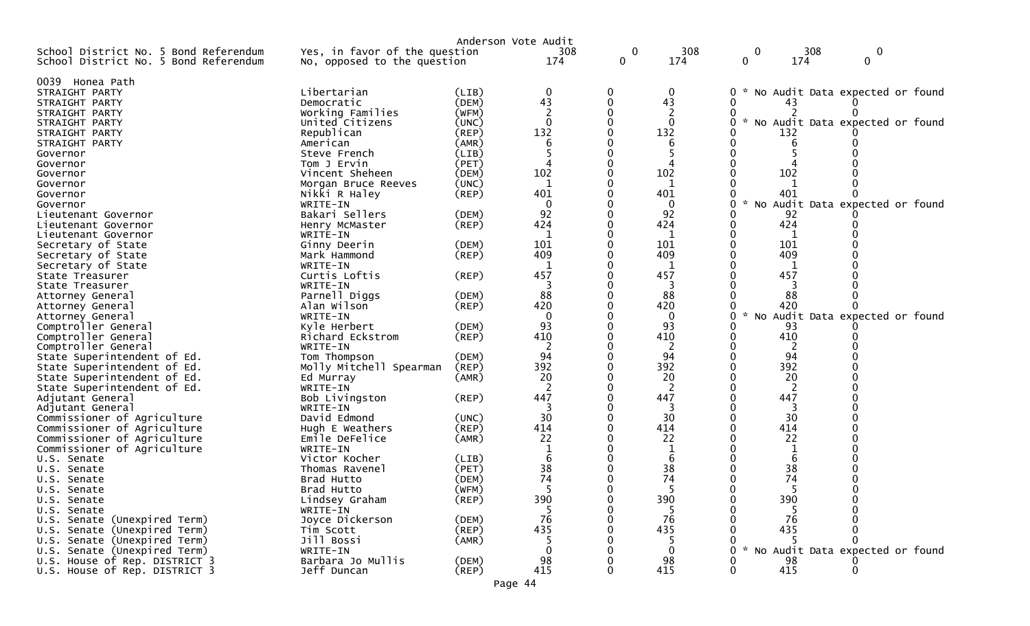| School District No. 5 Bond Referendum<br>Yes, in favor of the question<br>$\mathbf 0$<br>308<br>308<br>0<br>0<br>$\mathbf 0$<br>174<br>174<br>174<br>0<br>0<br>School District No. 5 Bond Referendum<br>No, opposed to the question<br>0039 Honea Path<br>Libertarian<br>$\mathbf 0$<br>0<br>$\mathbf 0$<br>No Audit Data expected or found<br>(LIB)<br>STRAIGHT PARTY<br>43<br>43<br>(DEM)<br>0<br>Democratic<br>STRAIGHT PARTY<br>Working Families<br>STRAIGHT PARTY<br>(WFM)<br>$\Omega$<br>$\mathbf{0}$<br>$\mathcal{H}$<br>No Audit Data expected or found<br>United Citizens<br>(UNC)<br>STRAIGHT PARTY<br>132<br>132<br>Republican<br>(REP)<br>132<br>STRAIGHT PARTY<br>STRAIGHT PARTY<br>American<br>(AMR)<br>(LIB)<br>Governor<br>Steve French<br>Tom J Ervin<br>(PET)<br>Governor<br>102<br>102<br>102<br>Vincent Sheheen<br>(DEM)<br>Governor<br>$\mathbf 1$<br>1<br>(UNC)<br>Governor<br>Morgan Bruce Reeves<br>401<br>401<br>(REP)<br>401<br>Nikki R Haley<br>Governor<br>$\mathbf{0}$<br>Audit Data expected or found<br>WRITE-IN<br>$\Omega$<br>NO<br>Governor<br>92<br>92<br>Bakari Sellers<br>92<br>(DEM)<br>Lieutenant Governor<br>424<br>$($ REP $)$<br>424<br>424<br>Henry McMaster<br>Lieutenant Governor<br>WRITE-IN<br>1<br>1<br>1<br>Lieutenant Governor<br>101<br>101<br>101<br>Secretary of State<br>Ginny Deerin<br>(DEM)<br>409<br>409<br>409<br>(REP)<br>Secretary of State<br>Mark Hammond<br>-1<br>1<br>Secretary of State<br>WRITE-IN<br>1<br>Curtis Loftis<br>457<br>457<br>457<br>(REP)<br>State Treasurer<br>State Treasurer<br>WRITE-IN<br>3<br>88<br>88<br>88<br>Parnell Diggs<br>(DEM)<br>Attorney General<br>420<br>420<br>420<br>Alan Wilson<br>(REP)<br>Attorney General<br>Audit Data expected or found<br>WRITE-IN<br>$\Omega$<br>$\Omega$<br>No<br>Attorney General<br>93<br>93<br>Comptroller General<br>Kyle Herbert<br>(DEM)<br>93<br>410<br>(REP)<br>410<br>410<br>Comptroller General<br>Richard Eckstrom<br>2<br>Comptroller General<br>WRITE-IN<br>2<br>2<br>94<br>94<br>94<br>(DEM)<br>State Superintendent of Ed.<br>Tom Thompson<br>392<br>392<br>392<br>Molly Mitchell Spearman<br>(REP)<br>State Superintendent of Ed.<br>20<br>20<br>20<br>State Superintendent of Ed.<br>Ed Murray<br>(AMR)<br>2<br>2<br>2<br>State Superintendent of Ed.<br>WRITE-IN<br>447<br>447<br>447<br>Adjutant General<br>Bob Livingston<br>(REP)<br>WRITE-IN<br>Adjutant General<br>3<br>3<br>30<br>30<br>30<br>(UNC)<br>Commissioner of Agriculture<br>David Edmond<br>414<br>414<br>414<br>Commissioner of Agriculture<br>$($ REP $)$<br>Hugh E Weathers<br>22<br>22<br>22<br>Commissioner of Agriculture<br>Emile DeFelice<br>(AMR)<br>Commissioner of Agriculture<br>WRITE-IN<br>-1<br>6<br>6<br>6<br>Victor Kocher<br>(LIB)<br>U.S. Senate<br>38<br>38<br>38<br>(PET)<br>0<br>Thomas Ravenel<br>U.S. Senate<br>74<br>74<br>74<br>Brad Hutto<br>(DEM)<br>U.S. Senate<br>5<br>5<br>Brad Hutto<br>(WFM)<br>U.S. Senate<br>(REP)<br>390<br>390<br>390<br>Lindsey Graham<br>U.S. Senate<br>O)<br>5<br>WRITE-IN<br>5<br>-5<br>U.S. Senate<br>76<br>76<br>76<br>Joyce Dickerson<br>U.S. Senate (Unexpired Term)<br>(DEM)<br>435<br>435<br>435<br>U.S. Senate (Unexpired Term)<br>(REP)<br>Tim Scott<br>Jill Bossi<br>U.S. Senate (Unexpired Term)<br>(AMR)<br>5<br>5<br>No Audit Data expected or found<br>U.S. Senate (Unexpired Term)<br>WRITE-IN<br>$\Omega$<br>0<br>Barbara Jo Mullis<br>98<br>98<br>U.S. House of Rep. DISTRICT 3<br>(DEM)<br>98<br>415<br>415<br>Jeff Duncan<br>$($ REP $)$<br>415<br>U.S. House of Rep. DISTRICT 3<br>0<br>0 |  | Anderson Vote Audit |     |  |  |  |
|--------------------------------------------------------------------------------------------------------------------------------------------------------------------------------------------------------------------------------------------------------------------------------------------------------------------------------------------------------------------------------------------------------------------------------------------------------------------------------------------------------------------------------------------------------------------------------------------------------------------------------------------------------------------------------------------------------------------------------------------------------------------------------------------------------------------------------------------------------------------------------------------------------------------------------------------------------------------------------------------------------------------------------------------------------------------------------------------------------------------------------------------------------------------------------------------------------------------------------------------------------------------------------------------------------------------------------------------------------------------------------------------------------------------------------------------------------------------------------------------------------------------------------------------------------------------------------------------------------------------------------------------------------------------------------------------------------------------------------------------------------------------------------------------------------------------------------------------------------------------------------------------------------------------------------------------------------------------------------------------------------------------------------------------------------------------------------------------------------------------------------------------------------------------------------------------------------------------------------------------------------------------------------------------------------------------------------------------------------------------------------------------------------------------------------------------------------------------------------------------------------------------------------------------------------------------------------------------------------------------------------------------------------------------------------------------------------------------------------------------------------------------------------------------------------------------------------------------------------------------------------------------------------------------------------------------------------------------------------------------------------------------------------------------------------------------------------------------------------------------------------------------------------------------------------------------------------------------------------------------------------------------------------------------------------------------------------------------------------------------------------------------------------------------------------------------------------------------------------------------------------------------------------------------------------------------------------------|--|---------------------|-----|--|--|--|
|                                                                                                                                                                                                                                                                                                                                                                                                                                                                                                                                                                                                                                                                                                                                                                                                                                                                                                                                                                                                                                                                                                                                                                                                                                                                                                                                                                                                                                                                                                                                                                                                                                                                                                                                                                                                                                                                                                                                                                                                                                                                                                                                                                                                                                                                                                                                                                                                                                                                                                                                                                                                                                                                                                                                                                                                                                                                                                                                                                                                                                                                                                                                                                                                                                                                                                                                                                                                                                                                                                                                                                                      |  |                     | 308 |  |  |  |
|                                                                                                                                                                                                                                                                                                                                                                                                                                                                                                                                                                                                                                                                                                                                                                                                                                                                                                                                                                                                                                                                                                                                                                                                                                                                                                                                                                                                                                                                                                                                                                                                                                                                                                                                                                                                                                                                                                                                                                                                                                                                                                                                                                                                                                                                                                                                                                                                                                                                                                                                                                                                                                                                                                                                                                                                                                                                                                                                                                                                                                                                                                                                                                                                                                                                                                                                                                                                                                                                                                                                                                                      |  |                     |     |  |  |  |
|                                                                                                                                                                                                                                                                                                                                                                                                                                                                                                                                                                                                                                                                                                                                                                                                                                                                                                                                                                                                                                                                                                                                                                                                                                                                                                                                                                                                                                                                                                                                                                                                                                                                                                                                                                                                                                                                                                                                                                                                                                                                                                                                                                                                                                                                                                                                                                                                                                                                                                                                                                                                                                                                                                                                                                                                                                                                                                                                                                                                                                                                                                                                                                                                                                                                                                                                                                                                                                                                                                                                                                                      |  |                     |     |  |  |  |
|                                                                                                                                                                                                                                                                                                                                                                                                                                                                                                                                                                                                                                                                                                                                                                                                                                                                                                                                                                                                                                                                                                                                                                                                                                                                                                                                                                                                                                                                                                                                                                                                                                                                                                                                                                                                                                                                                                                                                                                                                                                                                                                                                                                                                                                                                                                                                                                                                                                                                                                                                                                                                                                                                                                                                                                                                                                                                                                                                                                                                                                                                                                                                                                                                                                                                                                                                                                                                                                                                                                                                                                      |  |                     |     |  |  |  |
|                                                                                                                                                                                                                                                                                                                                                                                                                                                                                                                                                                                                                                                                                                                                                                                                                                                                                                                                                                                                                                                                                                                                                                                                                                                                                                                                                                                                                                                                                                                                                                                                                                                                                                                                                                                                                                                                                                                                                                                                                                                                                                                                                                                                                                                                                                                                                                                                                                                                                                                                                                                                                                                                                                                                                                                                                                                                                                                                                                                                                                                                                                                                                                                                                                                                                                                                                                                                                                                                                                                                                                                      |  |                     |     |  |  |  |
|                                                                                                                                                                                                                                                                                                                                                                                                                                                                                                                                                                                                                                                                                                                                                                                                                                                                                                                                                                                                                                                                                                                                                                                                                                                                                                                                                                                                                                                                                                                                                                                                                                                                                                                                                                                                                                                                                                                                                                                                                                                                                                                                                                                                                                                                                                                                                                                                                                                                                                                                                                                                                                                                                                                                                                                                                                                                                                                                                                                                                                                                                                                                                                                                                                                                                                                                                                                                                                                                                                                                                                                      |  |                     |     |  |  |  |
|                                                                                                                                                                                                                                                                                                                                                                                                                                                                                                                                                                                                                                                                                                                                                                                                                                                                                                                                                                                                                                                                                                                                                                                                                                                                                                                                                                                                                                                                                                                                                                                                                                                                                                                                                                                                                                                                                                                                                                                                                                                                                                                                                                                                                                                                                                                                                                                                                                                                                                                                                                                                                                                                                                                                                                                                                                                                                                                                                                                                                                                                                                                                                                                                                                                                                                                                                                                                                                                                                                                                                                                      |  |                     |     |  |  |  |
|                                                                                                                                                                                                                                                                                                                                                                                                                                                                                                                                                                                                                                                                                                                                                                                                                                                                                                                                                                                                                                                                                                                                                                                                                                                                                                                                                                                                                                                                                                                                                                                                                                                                                                                                                                                                                                                                                                                                                                                                                                                                                                                                                                                                                                                                                                                                                                                                                                                                                                                                                                                                                                                                                                                                                                                                                                                                                                                                                                                                                                                                                                                                                                                                                                                                                                                                                                                                                                                                                                                                                                                      |  |                     |     |  |  |  |
|                                                                                                                                                                                                                                                                                                                                                                                                                                                                                                                                                                                                                                                                                                                                                                                                                                                                                                                                                                                                                                                                                                                                                                                                                                                                                                                                                                                                                                                                                                                                                                                                                                                                                                                                                                                                                                                                                                                                                                                                                                                                                                                                                                                                                                                                                                                                                                                                                                                                                                                                                                                                                                                                                                                                                                                                                                                                                                                                                                                                                                                                                                                                                                                                                                                                                                                                                                                                                                                                                                                                                                                      |  |                     |     |  |  |  |
|                                                                                                                                                                                                                                                                                                                                                                                                                                                                                                                                                                                                                                                                                                                                                                                                                                                                                                                                                                                                                                                                                                                                                                                                                                                                                                                                                                                                                                                                                                                                                                                                                                                                                                                                                                                                                                                                                                                                                                                                                                                                                                                                                                                                                                                                                                                                                                                                                                                                                                                                                                                                                                                                                                                                                                                                                                                                                                                                                                                                                                                                                                                                                                                                                                                                                                                                                                                                                                                                                                                                                                                      |  |                     |     |  |  |  |
|                                                                                                                                                                                                                                                                                                                                                                                                                                                                                                                                                                                                                                                                                                                                                                                                                                                                                                                                                                                                                                                                                                                                                                                                                                                                                                                                                                                                                                                                                                                                                                                                                                                                                                                                                                                                                                                                                                                                                                                                                                                                                                                                                                                                                                                                                                                                                                                                                                                                                                                                                                                                                                                                                                                                                                                                                                                                                                                                                                                                                                                                                                                                                                                                                                                                                                                                                                                                                                                                                                                                                                                      |  |                     |     |  |  |  |
|                                                                                                                                                                                                                                                                                                                                                                                                                                                                                                                                                                                                                                                                                                                                                                                                                                                                                                                                                                                                                                                                                                                                                                                                                                                                                                                                                                                                                                                                                                                                                                                                                                                                                                                                                                                                                                                                                                                                                                                                                                                                                                                                                                                                                                                                                                                                                                                                                                                                                                                                                                                                                                                                                                                                                                                                                                                                                                                                                                                                                                                                                                                                                                                                                                                                                                                                                                                                                                                                                                                                                                                      |  |                     |     |  |  |  |
|                                                                                                                                                                                                                                                                                                                                                                                                                                                                                                                                                                                                                                                                                                                                                                                                                                                                                                                                                                                                                                                                                                                                                                                                                                                                                                                                                                                                                                                                                                                                                                                                                                                                                                                                                                                                                                                                                                                                                                                                                                                                                                                                                                                                                                                                                                                                                                                                                                                                                                                                                                                                                                                                                                                                                                                                                                                                                                                                                                                                                                                                                                                                                                                                                                                                                                                                                                                                                                                                                                                                                                                      |  |                     |     |  |  |  |
|                                                                                                                                                                                                                                                                                                                                                                                                                                                                                                                                                                                                                                                                                                                                                                                                                                                                                                                                                                                                                                                                                                                                                                                                                                                                                                                                                                                                                                                                                                                                                                                                                                                                                                                                                                                                                                                                                                                                                                                                                                                                                                                                                                                                                                                                                                                                                                                                                                                                                                                                                                                                                                                                                                                                                                                                                                                                                                                                                                                                                                                                                                                                                                                                                                                                                                                                                                                                                                                                                                                                                                                      |  |                     |     |  |  |  |
|                                                                                                                                                                                                                                                                                                                                                                                                                                                                                                                                                                                                                                                                                                                                                                                                                                                                                                                                                                                                                                                                                                                                                                                                                                                                                                                                                                                                                                                                                                                                                                                                                                                                                                                                                                                                                                                                                                                                                                                                                                                                                                                                                                                                                                                                                                                                                                                                                                                                                                                                                                                                                                                                                                                                                                                                                                                                                                                                                                                                                                                                                                                                                                                                                                                                                                                                                                                                                                                                                                                                                                                      |  |                     |     |  |  |  |
|                                                                                                                                                                                                                                                                                                                                                                                                                                                                                                                                                                                                                                                                                                                                                                                                                                                                                                                                                                                                                                                                                                                                                                                                                                                                                                                                                                                                                                                                                                                                                                                                                                                                                                                                                                                                                                                                                                                                                                                                                                                                                                                                                                                                                                                                                                                                                                                                                                                                                                                                                                                                                                                                                                                                                                                                                                                                                                                                                                                                                                                                                                                                                                                                                                                                                                                                                                                                                                                                                                                                                                                      |  |                     |     |  |  |  |
|                                                                                                                                                                                                                                                                                                                                                                                                                                                                                                                                                                                                                                                                                                                                                                                                                                                                                                                                                                                                                                                                                                                                                                                                                                                                                                                                                                                                                                                                                                                                                                                                                                                                                                                                                                                                                                                                                                                                                                                                                                                                                                                                                                                                                                                                                                                                                                                                                                                                                                                                                                                                                                                                                                                                                                                                                                                                                                                                                                                                                                                                                                                                                                                                                                                                                                                                                                                                                                                                                                                                                                                      |  |                     |     |  |  |  |
|                                                                                                                                                                                                                                                                                                                                                                                                                                                                                                                                                                                                                                                                                                                                                                                                                                                                                                                                                                                                                                                                                                                                                                                                                                                                                                                                                                                                                                                                                                                                                                                                                                                                                                                                                                                                                                                                                                                                                                                                                                                                                                                                                                                                                                                                                                                                                                                                                                                                                                                                                                                                                                                                                                                                                                                                                                                                                                                                                                                                                                                                                                                                                                                                                                                                                                                                                                                                                                                                                                                                                                                      |  |                     |     |  |  |  |
|                                                                                                                                                                                                                                                                                                                                                                                                                                                                                                                                                                                                                                                                                                                                                                                                                                                                                                                                                                                                                                                                                                                                                                                                                                                                                                                                                                                                                                                                                                                                                                                                                                                                                                                                                                                                                                                                                                                                                                                                                                                                                                                                                                                                                                                                                                                                                                                                                                                                                                                                                                                                                                                                                                                                                                                                                                                                                                                                                                                                                                                                                                                                                                                                                                                                                                                                                                                                                                                                                                                                                                                      |  |                     |     |  |  |  |
|                                                                                                                                                                                                                                                                                                                                                                                                                                                                                                                                                                                                                                                                                                                                                                                                                                                                                                                                                                                                                                                                                                                                                                                                                                                                                                                                                                                                                                                                                                                                                                                                                                                                                                                                                                                                                                                                                                                                                                                                                                                                                                                                                                                                                                                                                                                                                                                                                                                                                                                                                                                                                                                                                                                                                                                                                                                                                                                                                                                                                                                                                                                                                                                                                                                                                                                                                                                                                                                                                                                                                                                      |  |                     |     |  |  |  |
|                                                                                                                                                                                                                                                                                                                                                                                                                                                                                                                                                                                                                                                                                                                                                                                                                                                                                                                                                                                                                                                                                                                                                                                                                                                                                                                                                                                                                                                                                                                                                                                                                                                                                                                                                                                                                                                                                                                                                                                                                                                                                                                                                                                                                                                                                                                                                                                                                                                                                                                                                                                                                                                                                                                                                                                                                                                                                                                                                                                                                                                                                                                                                                                                                                                                                                                                                                                                                                                                                                                                                                                      |  |                     |     |  |  |  |
|                                                                                                                                                                                                                                                                                                                                                                                                                                                                                                                                                                                                                                                                                                                                                                                                                                                                                                                                                                                                                                                                                                                                                                                                                                                                                                                                                                                                                                                                                                                                                                                                                                                                                                                                                                                                                                                                                                                                                                                                                                                                                                                                                                                                                                                                                                                                                                                                                                                                                                                                                                                                                                                                                                                                                                                                                                                                                                                                                                                                                                                                                                                                                                                                                                                                                                                                                                                                                                                                                                                                                                                      |  |                     |     |  |  |  |
|                                                                                                                                                                                                                                                                                                                                                                                                                                                                                                                                                                                                                                                                                                                                                                                                                                                                                                                                                                                                                                                                                                                                                                                                                                                                                                                                                                                                                                                                                                                                                                                                                                                                                                                                                                                                                                                                                                                                                                                                                                                                                                                                                                                                                                                                                                                                                                                                                                                                                                                                                                                                                                                                                                                                                                                                                                                                                                                                                                                                                                                                                                                                                                                                                                                                                                                                                                                                                                                                                                                                                                                      |  |                     |     |  |  |  |
|                                                                                                                                                                                                                                                                                                                                                                                                                                                                                                                                                                                                                                                                                                                                                                                                                                                                                                                                                                                                                                                                                                                                                                                                                                                                                                                                                                                                                                                                                                                                                                                                                                                                                                                                                                                                                                                                                                                                                                                                                                                                                                                                                                                                                                                                                                                                                                                                                                                                                                                                                                                                                                                                                                                                                                                                                                                                                                                                                                                                                                                                                                                                                                                                                                                                                                                                                                                                                                                                                                                                                                                      |  |                     |     |  |  |  |
|                                                                                                                                                                                                                                                                                                                                                                                                                                                                                                                                                                                                                                                                                                                                                                                                                                                                                                                                                                                                                                                                                                                                                                                                                                                                                                                                                                                                                                                                                                                                                                                                                                                                                                                                                                                                                                                                                                                                                                                                                                                                                                                                                                                                                                                                                                                                                                                                                                                                                                                                                                                                                                                                                                                                                                                                                                                                                                                                                                                                                                                                                                                                                                                                                                                                                                                                                                                                                                                                                                                                                                                      |  |                     |     |  |  |  |
|                                                                                                                                                                                                                                                                                                                                                                                                                                                                                                                                                                                                                                                                                                                                                                                                                                                                                                                                                                                                                                                                                                                                                                                                                                                                                                                                                                                                                                                                                                                                                                                                                                                                                                                                                                                                                                                                                                                                                                                                                                                                                                                                                                                                                                                                                                                                                                                                                                                                                                                                                                                                                                                                                                                                                                                                                                                                                                                                                                                                                                                                                                                                                                                                                                                                                                                                                                                                                                                                                                                                                                                      |  |                     |     |  |  |  |
|                                                                                                                                                                                                                                                                                                                                                                                                                                                                                                                                                                                                                                                                                                                                                                                                                                                                                                                                                                                                                                                                                                                                                                                                                                                                                                                                                                                                                                                                                                                                                                                                                                                                                                                                                                                                                                                                                                                                                                                                                                                                                                                                                                                                                                                                                                                                                                                                                                                                                                                                                                                                                                                                                                                                                                                                                                                                                                                                                                                                                                                                                                                                                                                                                                                                                                                                                                                                                                                                                                                                                                                      |  |                     |     |  |  |  |
|                                                                                                                                                                                                                                                                                                                                                                                                                                                                                                                                                                                                                                                                                                                                                                                                                                                                                                                                                                                                                                                                                                                                                                                                                                                                                                                                                                                                                                                                                                                                                                                                                                                                                                                                                                                                                                                                                                                                                                                                                                                                                                                                                                                                                                                                                                                                                                                                                                                                                                                                                                                                                                                                                                                                                                                                                                                                                                                                                                                                                                                                                                                                                                                                                                                                                                                                                                                                                                                                                                                                                                                      |  |                     |     |  |  |  |
|                                                                                                                                                                                                                                                                                                                                                                                                                                                                                                                                                                                                                                                                                                                                                                                                                                                                                                                                                                                                                                                                                                                                                                                                                                                                                                                                                                                                                                                                                                                                                                                                                                                                                                                                                                                                                                                                                                                                                                                                                                                                                                                                                                                                                                                                                                                                                                                                                                                                                                                                                                                                                                                                                                                                                                                                                                                                                                                                                                                                                                                                                                                                                                                                                                                                                                                                                                                                                                                                                                                                                                                      |  |                     |     |  |  |  |
|                                                                                                                                                                                                                                                                                                                                                                                                                                                                                                                                                                                                                                                                                                                                                                                                                                                                                                                                                                                                                                                                                                                                                                                                                                                                                                                                                                                                                                                                                                                                                                                                                                                                                                                                                                                                                                                                                                                                                                                                                                                                                                                                                                                                                                                                                                                                                                                                                                                                                                                                                                                                                                                                                                                                                                                                                                                                                                                                                                                                                                                                                                                                                                                                                                                                                                                                                                                                                                                                                                                                                                                      |  |                     |     |  |  |  |
|                                                                                                                                                                                                                                                                                                                                                                                                                                                                                                                                                                                                                                                                                                                                                                                                                                                                                                                                                                                                                                                                                                                                                                                                                                                                                                                                                                                                                                                                                                                                                                                                                                                                                                                                                                                                                                                                                                                                                                                                                                                                                                                                                                                                                                                                                                                                                                                                                                                                                                                                                                                                                                                                                                                                                                                                                                                                                                                                                                                                                                                                                                                                                                                                                                                                                                                                                                                                                                                                                                                                                                                      |  |                     |     |  |  |  |
|                                                                                                                                                                                                                                                                                                                                                                                                                                                                                                                                                                                                                                                                                                                                                                                                                                                                                                                                                                                                                                                                                                                                                                                                                                                                                                                                                                                                                                                                                                                                                                                                                                                                                                                                                                                                                                                                                                                                                                                                                                                                                                                                                                                                                                                                                                                                                                                                                                                                                                                                                                                                                                                                                                                                                                                                                                                                                                                                                                                                                                                                                                                                                                                                                                                                                                                                                                                                                                                                                                                                                                                      |  |                     |     |  |  |  |
|                                                                                                                                                                                                                                                                                                                                                                                                                                                                                                                                                                                                                                                                                                                                                                                                                                                                                                                                                                                                                                                                                                                                                                                                                                                                                                                                                                                                                                                                                                                                                                                                                                                                                                                                                                                                                                                                                                                                                                                                                                                                                                                                                                                                                                                                                                                                                                                                                                                                                                                                                                                                                                                                                                                                                                                                                                                                                                                                                                                                                                                                                                                                                                                                                                                                                                                                                                                                                                                                                                                                                                                      |  |                     |     |  |  |  |
|                                                                                                                                                                                                                                                                                                                                                                                                                                                                                                                                                                                                                                                                                                                                                                                                                                                                                                                                                                                                                                                                                                                                                                                                                                                                                                                                                                                                                                                                                                                                                                                                                                                                                                                                                                                                                                                                                                                                                                                                                                                                                                                                                                                                                                                                                                                                                                                                                                                                                                                                                                                                                                                                                                                                                                                                                                                                                                                                                                                                                                                                                                                                                                                                                                                                                                                                                                                                                                                                                                                                                                                      |  |                     |     |  |  |  |
|                                                                                                                                                                                                                                                                                                                                                                                                                                                                                                                                                                                                                                                                                                                                                                                                                                                                                                                                                                                                                                                                                                                                                                                                                                                                                                                                                                                                                                                                                                                                                                                                                                                                                                                                                                                                                                                                                                                                                                                                                                                                                                                                                                                                                                                                                                                                                                                                                                                                                                                                                                                                                                                                                                                                                                                                                                                                                                                                                                                                                                                                                                                                                                                                                                                                                                                                                                                                                                                                                                                                                                                      |  |                     |     |  |  |  |
|                                                                                                                                                                                                                                                                                                                                                                                                                                                                                                                                                                                                                                                                                                                                                                                                                                                                                                                                                                                                                                                                                                                                                                                                                                                                                                                                                                                                                                                                                                                                                                                                                                                                                                                                                                                                                                                                                                                                                                                                                                                                                                                                                                                                                                                                                                                                                                                                                                                                                                                                                                                                                                                                                                                                                                                                                                                                                                                                                                                                                                                                                                                                                                                                                                                                                                                                                                                                                                                                                                                                                                                      |  |                     |     |  |  |  |
|                                                                                                                                                                                                                                                                                                                                                                                                                                                                                                                                                                                                                                                                                                                                                                                                                                                                                                                                                                                                                                                                                                                                                                                                                                                                                                                                                                                                                                                                                                                                                                                                                                                                                                                                                                                                                                                                                                                                                                                                                                                                                                                                                                                                                                                                                                                                                                                                                                                                                                                                                                                                                                                                                                                                                                                                                                                                                                                                                                                                                                                                                                                                                                                                                                                                                                                                                                                                                                                                                                                                                                                      |  |                     |     |  |  |  |
|                                                                                                                                                                                                                                                                                                                                                                                                                                                                                                                                                                                                                                                                                                                                                                                                                                                                                                                                                                                                                                                                                                                                                                                                                                                                                                                                                                                                                                                                                                                                                                                                                                                                                                                                                                                                                                                                                                                                                                                                                                                                                                                                                                                                                                                                                                                                                                                                                                                                                                                                                                                                                                                                                                                                                                                                                                                                                                                                                                                                                                                                                                                                                                                                                                                                                                                                                                                                                                                                                                                                                                                      |  |                     |     |  |  |  |
|                                                                                                                                                                                                                                                                                                                                                                                                                                                                                                                                                                                                                                                                                                                                                                                                                                                                                                                                                                                                                                                                                                                                                                                                                                                                                                                                                                                                                                                                                                                                                                                                                                                                                                                                                                                                                                                                                                                                                                                                                                                                                                                                                                                                                                                                                                                                                                                                                                                                                                                                                                                                                                                                                                                                                                                                                                                                                                                                                                                                                                                                                                                                                                                                                                                                                                                                                                                                                                                                                                                                                                                      |  |                     |     |  |  |  |
|                                                                                                                                                                                                                                                                                                                                                                                                                                                                                                                                                                                                                                                                                                                                                                                                                                                                                                                                                                                                                                                                                                                                                                                                                                                                                                                                                                                                                                                                                                                                                                                                                                                                                                                                                                                                                                                                                                                                                                                                                                                                                                                                                                                                                                                                                                                                                                                                                                                                                                                                                                                                                                                                                                                                                                                                                                                                                                                                                                                                                                                                                                                                                                                                                                                                                                                                                                                                                                                                                                                                                                                      |  |                     |     |  |  |  |
|                                                                                                                                                                                                                                                                                                                                                                                                                                                                                                                                                                                                                                                                                                                                                                                                                                                                                                                                                                                                                                                                                                                                                                                                                                                                                                                                                                                                                                                                                                                                                                                                                                                                                                                                                                                                                                                                                                                                                                                                                                                                                                                                                                                                                                                                                                                                                                                                                                                                                                                                                                                                                                                                                                                                                                                                                                                                                                                                                                                                                                                                                                                                                                                                                                                                                                                                                                                                                                                                                                                                                                                      |  |                     |     |  |  |  |
|                                                                                                                                                                                                                                                                                                                                                                                                                                                                                                                                                                                                                                                                                                                                                                                                                                                                                                                                                                                                                                                                                                                                                                                                                                                                                                                                                                                                                                                                                                                                                                                                                                                                                                                                                                                                                                                                                                                                                                                                                                                                                                                                                                                                                                                                                                                                                                                                                                                                                                                                                                                                                                                                                                                                                                                                                                                                                                                                                                                                                                                                                                                                                                                                                                                                                                                                                                                                                                                                                                                                                                                      |  |                     |     |  |  |  |
|                                                                                                                                                                                                                                                                                                                                                                                                                                                                                                                                                                                                                                                                                                                                                                                                                                                                                                                                                                                                                                                                                                                                                                                                                                                                                                                                                                                                                                                                                                                                                                                                                                                                                                                                                                                                                                                                                                                                                                                                                                                                                                                                                                                                                                                                                                                                                                                                                                                                                                                                                                                                                                                                                                                                                                                                                                                                                                                                                                                                                                                                                                                                                                                                                                                                                                                                                                                                                                                                                                                                                                                      |  |                     |     |  |  |  |
|                                                                                                                                                                                                                                                                                                                                                                                                                                                                                                                                                                                                                                                                                                                                                                                                                                                                                                                                                                                                                                                                                                                                                                                                                                                                                                                                                                                                                                                                                                                                                                                                                                                                                                                                                                                                                                                                                                                                                                                                                                                                                                                                                                                                                                                                                                                                                                                                                                                                                                                                                                                                                                                                                                                                                                                                                                                                                                                                                                                                                                                                                                                                                                                                                                                                                                                                                                                                                                                                                                                                                                                      |  |                     |     |  |  |  |
|                                                                                                                                                                                                                                                                                                                                                                                                                                                                                                                                                                                                                                                                                                                                                                                                                                                                                                                                                                                                                                                                                                                                                                                                                                                                                                                                                                                                                                                                                                                                                                                                                                                                                                                                                                                                                                                                                                                                                                                                                                                                                                                                                                                                                                                                                                                                                                                                                                                                                                                                                                                                                                                                                                                                                                                                                                                                                                                                                                                                                                                                                                                                                                                                                                                                                                                                                                                                                                                                                                                                                                                      |  |                     |     |  |  |  |
|                                                                                                                                                                                                                                                                                                                                                                                                                                                                                                                                                                                                                                                                                                                                                                                                                                                                                                                                                                                                                                                                                                                                                                                                                                                                                                                                                                                                                                                                                                                                                                                                                                                                                                                                                                                                                                                                                                                                                                                                                                                                                                                                                                                                                                                                                                                                                                                                                                                                                                                                                                                                                                                                                                                                                                                                                                                                                                                                                                                                                                                                                                                                                                                                                                                                                                                                                                                                                                                                                                                                                                                      |  |                     |     |  |  |  |
|                                                                                                                                                                                                                                                                                                                                                                                                                                                                                                                                                                                                                                                                                                                                                                                                                                                                                                                                                                                                                                                                                                                                                                                                                                                                                                                                                                                                                                                                                                                                                                                                                                                                                                                                                                                                                                                                                                                                                                                                                                                                                                                                                                                                                                                                                                                                                                                                                                                                                                                                                                                                                                                                                                                                                                                                                                                                                                                                                                                                                                                                                                                                                                                                                                                                                                                                                                                                                                                                                                                                                                                      |  |                     |     |  |  |  |
|                                                                                                                                                                                                                                                                                                                                                                                                                                                                                                                                                                                                                                                                                                                                                                                                                                                                                                                                                                                                                                                                                                                                                                                                                                                                                                                                                                                                                                                                                                                                                                                                                                                                                                                                                                                                                                                                                                                                                                                                                                                                                                                                                                                                                                                                                                                                                                                                                                                                                                                                                                                                                                                                                                                                                                                                                                                                                                                                                                                                                                                                                                                                                                                                                                                                                                                                                                                                                                                                                                                                                                                      |  |                     |     |  |  |  |
|                                                                                                                                                                                                                                                                                                                                                                                                                                                                                                                                                                                                                                                                                                                                                                                                                                                                                                                                                                                                                                                                                                                                                                                                                                                                                                                                                                                                                                                                                                                                                                                                                                                                                                                                                                                                                                                                                                                                                                                                                                                                                                                                                                                                                                                                                                                                                                                                                                                                                                                                                                                                                                                                                                                                                                                                                                                                                                                                                                                                                                                                                                                                                                                                                                                                                                                                                                                                                                                                                                                                                                                      |  |                     |     |  |  |  |
|                                                                                                                                                                                                                                                                                                                                                                                                                                                                                                                                                                                                                                                                                                                                                                                                                                                                                                                                                                                                                                                                                                                                                                                                                                                                                                                                                                                                                                                                                                                                                                                                                                                                                                                                                                                                                                                                                                                                                                                                                                                                                                                                                                                                                                                                                                                                                                                                                                                                                                                                                                                                                                                                                                                                                                                                                                                                                                                                                                                                                                                                                                                                                                                                                                                                                                                                                                                                                                                                                                                                                                                      |  |                     |     |  |  |  |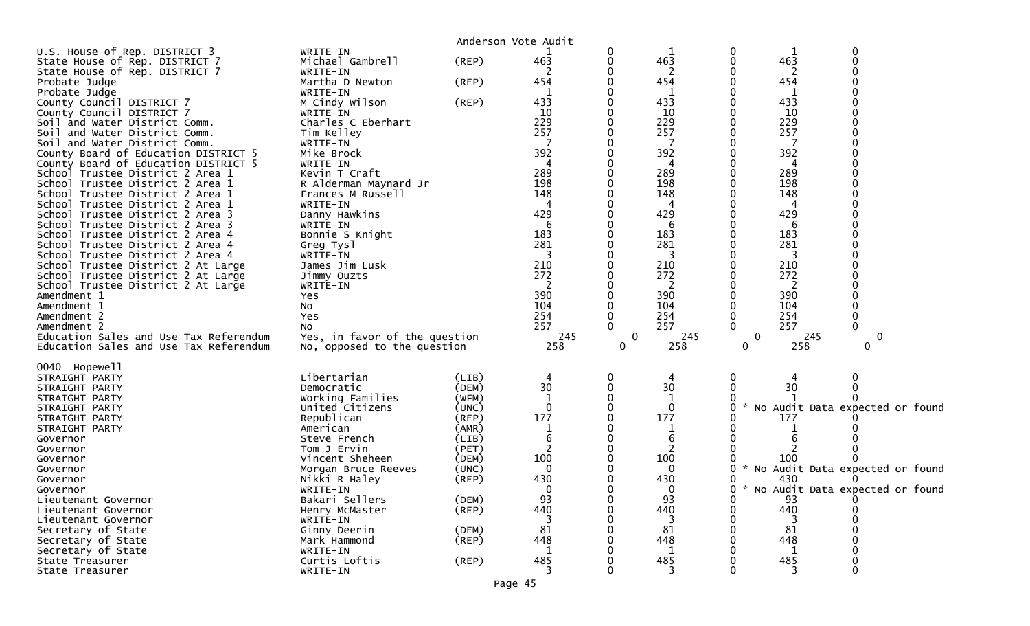|                                                                          |                               | Anderson Vote Audit  |              |             |                     |                   |            |                                   |
|--------------------------------------------------------------------------|-------------------------------|----------------------|--------------|-------------|---------------------|-------------------|------------|-----------------------------------|
| U.S. House of Rep. DISTRICT 3                                            | WRITE-IN                      |                      |              | 0           |                     | 0                 |            | $\mathbf 0$                       |
| State House of Rep. DISTRICT 7                                           | Michael Gambrell              | (REP)                | 463          | 0           | 463                 | 0                 | 463        |                                   |
| State House of Rep. DISTRICT 7                                           | WRITE-IN                      |                      |              |             | 2                   |                   | 2          |                                   |
| Probate Judge                                                            | Martha D Newton               | (REP)                | 454          |             | 454<br>$\mathbf{1}$ |                   | 454<br>1   |                                   |
| Probate Judge<br>County Council DISTRICT 7                               | WRITE-IN<br>M Cindy Wilson    | (REP)                | 1<br>433     |             | 433                 |                   | 433        |                                   |
| County Council DISTRICT 7                                                | WRITE-IN                      |                      | 10           |             | 10                  |                   | 10         |                                   |
| Soil and Water District Comm.                                            | Charles C Eberhart            |                      | 229          |             | 229                 |                   | 229        |                                   |
| Soil and Water District Comm.                                            | Tim Kelley                    |                      | 257          |             | 257                 |                   | 257        |                                   |
| Soil and Water District Comm.                                            | WRITE-IN                      |                      |              |             | -7                  |                   | 7          |                                   |
| County Board of Education DISTRICT 5                                     | Mike Brock                    |                      | 392          |             | 392                 |                   | 392        |                                   |
| County Board of Education DISTRICT 5<br>School Trustee District 2 Area 1 | WRITE-IN<br>Kevin T Craft     |                      | 289          |             | 4<br>289            |                   | 4<br>289   |                                   |
| School Trustee District 2 Area 1                                         | R Alderman Maynard Jr         |                      | 198          |             | 198                 |                   | 198        |                                   |
| School Trustee District 2 Area 1                                         | Frances M Russell             |                      | 148          |             | 148                 |                   | 148        |                                   |
| School Trustee District 2 Area 1                                         | WRITE-IN                      |                      | 4            |             | 4                   |                   | 4          |                                   |
| School Trustee District 2 Area 3                                         | Danny Hawkins                 |                      | 429          |             | 429                 |                   | 429        |                                   |
| School Trustee District 2 Area 3                                         | WRITE-IN                      |                      | 6            |             | 6                   |                   | 6          |                                   |
| School Trustee District 2 Area 4                                         | Bonnie S Knight               |                      | 183          |             | 183                 |                   | 183        |                                   |
| School Trustee District 2 Area 4<br>School Trustee District 2 Area 4     | Greg Tysl<br>WRITE-IN         |                      | 281<br>3     |             | 281<br>3            |                   | 281<br>3   |                                   |
| School Trustee District 2 At Large                                       | James Jim Lusk                |                      | 210          |             | 210                 |                   | 210        |                                   |
| School Trustee District 2 At Large                                       | Jimmy Ouzts                   |                      | 272          |             | 272                 |                   | 272        |                                   |
| School Trustee District 2 At Large                                       | WRITE-IN                      |                      | 2            |             | 2                   |                   | 2          |                                   |
| Amendment 1                                                              | Yes                           |                      | 390          |             | 390                 |                   | 390        |                                   |
| Amendment 1<br>Amendment 2                                               | NO.                           |                      | 104<br>254   |             | 104<br>254          |                   | 104<br>254 | $\mathbf 0$                       |
| Amendment 2                                                              | Yes<br>NO.                    |                      | 257          | 0           | 257                 | $\Omega$          | 257        | $\Omega$                          |
| Education Sales and Use Tax Referendum                                   | Yes, in favor of the question |                      | 245          | $\mathbf 0$ | 245                 | 0                 | 245        | 0                                 |
| Education Sales and Use Tax Referendum                                   | No, opposed to the question   |                      | 258          | 0           | 258                 | 0                 | 258        | 0                                 |
|                                                                          |                               |                      |              |             |                     |                   |            |                                   |
| 0040 Hopewell<br>STRAIGHT PARTY                                          | Libertarian                   | (LIB)                | 4            | 0           | 4                   | 0                 | 4          | 0                                 |
| STRAIGHT PARTY                                                           | Democratic                    | (DEM)                | 30           |             | 30                  | 0                 | 30         |                                   |
| STRAIGHT PARTY                                                           | Working Families              | (WFM)                | $\mathbf 1$  |             | $\mathbf{1}$        |                   |            |                                   |
| STRAIGHT PARTY                                                           | United Citizens               | (UNC)                | $\mathbf{0}$ |             | $\mathbf{0}$        | $\mathbf{x}$<br>0 |            | No Audit Data expected or found   |
| STRAIGHT PARTY                                                           | Republican                    | (REP)                | 177          |             | 177                 |                   | 177        |                                   |
| STRAIGHT PARTY<br>Governor                                               | American<br>Steve French      | (AMR)<br>(LIB)       | 1<br>6       |             | 1<br>6              |                   |            |                                   |
| Governor                                                                 | Tom J Ervin                   | (PET)                | 2            |             | $\overline{2}$      |                   |            |                                   |
| Governor                                                                 | Vincent Sheheen               | (DEM)                | 100          |             | 100                 |                   | 100        |                                   |
| Governor                                                                 | Morgan Bruce Reeves           | (UNC)                | $\Omega$     |             | $\Omega$            | O                 |            | * No Audit Data expected or found |
| Governor                                                                 | Nikki R Haley                 | (REP)                | 430          |             | 430                 | 0                 | 430        |                                   |
| Governor                                                                 | WRITE-IN                      |                      | <sup>n</sup> |             | $\bf{0}$            | 0                 |            | * No Audit Data expected or found |
| Lieutenant Governor<br>Lieutenant Governor                               | Bakari Sellers                | (DEM)<br>$($ REP $)$ | 93<br>440    |             | 93<br>440           | 0<br>0            | 93<br>440  |                                   |
| Lieutenant Governor                                                      | Henry McMaster<br>WRITE-IN    |                      | 3            |             | -3                  |                   | -3         |                                   |
| Secretary of State                                                       | Ginny Deerin                  | (DEM)                | 81           |             | 81                  |                   | 81         |                                   |
| Secretary of State                                                       | Mark Hammond                  | $($ REP $)$          | 448          |             | 448                 |                   | 448        |                                   |
| Secretary of State                                                       | WRITE-IN                      |                      |              |             | 1                   |                   | 1          |                                   |
| State Treasurer                                                          | Curtis Loftis                 | $($ REP $)$          | 485          |             | 485                 |                   | 485        |                                   |
| State Treasurer                                                          | WRITE-IN                      |                      |              |             |                     |                   |            | $\Omega$                          |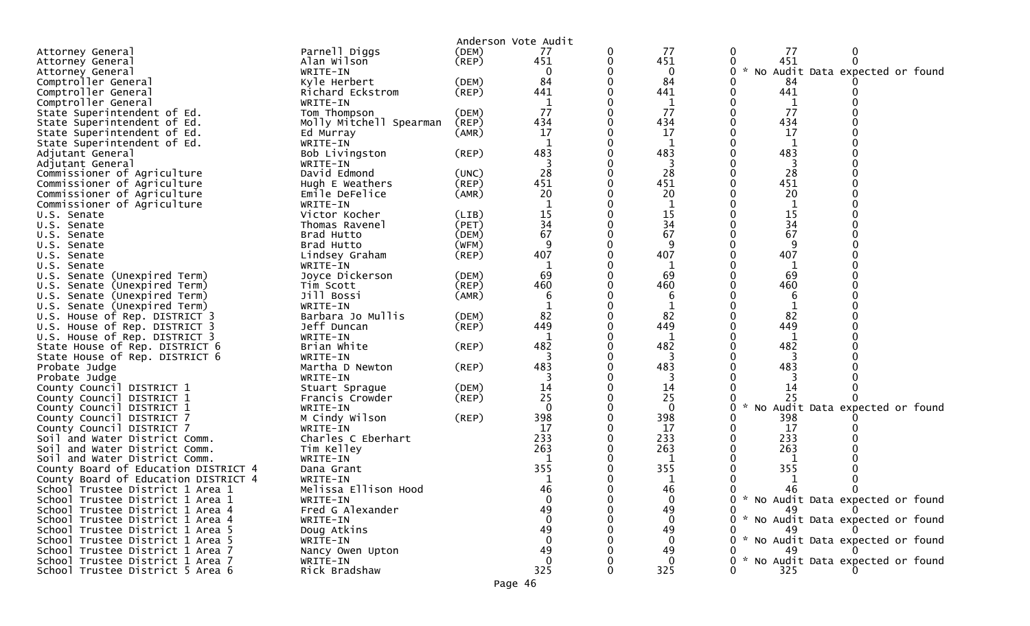|                                      |                                   |             | Anderson Vote Audit |   |              |                                                  |
|--------------------------------------|-----------------------------------|-------------|---------------------|---|--------------|--------------------------------------------------|
| Attorney General                     | Parnell Diggs                     | (DEM)       | 77                  | 0 | 77           | 77<br>$\bf{0}$                                   |
| Attorney General                     | Alan wilson                       | $($ REP $)$ | 451                 | 0 | 451          | 451<br>$\Omega$                                  |
| Attorney General                     | WRITE-IN                          |             | 0                   |   | $\bf{0}$     | $\mathcal{H}$<br>No Audit Data expected or found |
| Comptroller General                  | Kyle Herbert                      | (DEM)       | 84                  |   | 84           | 84                                               |
| Comptroller General                  | Richard Eckstrom                  | (REP)       | 441                 |   | 441          | 441                                              |
| Comptroller General                  | WRITE-IN                          |             |                     |   | 1            | 1                                                |
| State Superintendent of Ed.          | Tom Thompson                      | (DEM)       | 77                  |   | 77           | 77                                               |
| State Superintendent of Ed.          | Molly Mitchell Spearman           | (REP)       | 434                 |   | 434          | 434                                              |
| State Superintendent of Ed.          | Ed Murray                         | (AMR)       | 17                  |   | 17           | 17                                               |
| State Superintendent of Ed.          | WRITE-IN                          |             | $\mathbf{1}$        |   | 1            | 1                                                |
| Adjutant General                     | Bob Livingston                    | (REP)       | 483                 |   | 483          | 483                                              |
| Adjutant General                     | WRITE-IN                          |             |                     |   | 3            | 3                                                |
| Commissioner of Agriculture          | David Edmond                      | (UNC)       | 28                  |   | 28           | 28                                               |
| Commissioner of Agriculture          | Hugh E Weathers                   | $($ REP $)$ | 451                 |   | 451          | 451                                              |
| Commissioner of Agriculture          | Emile DeFelice                    | (AMR)       | 20                  |   | 20           | 20                                               |
| Commissioner of Agriculture          | WRITE-IN                          |             |                     |   | 1            | 1                                                |
| U.S. Senate                          | Victor Kocher                     | (LIB)       | $\frac{15}{34}$     |   | 15           | 15                                               |
| U.S. Senate                          | Thomas Ravenel                    | (PET)       |                     |   | 34           | 34                                               |
| U.S. Senate                          | Brad Hutto                        | (DEM)       | 67                  |   | 67           | 67                                               |
| U.S. Senate                          | Brad Hutto                        | (WFM)       | 9                   |   | 9            | 9                                                |
| U.S. Senate                          | Lindsey Graham                    | (REP)       | 407                 |   | 407          | 407                                              |
| U.S. Senate                          | WRITE-IN                          |             |                     |   | 1            | 1                                                |
| U.S. Senate (Unexpired Term)         | Joyce Dickerson                   | (DEM)       | 69                  |   | 69           | 69                                               |
| U.S. Senate (Unexpired Term)         | Tim Scott                         | (REP)       | 460                 |   | 460          | 460                                              |
| U.S. Senate (Unexpired Term)         | Jill Bossi                        | (AMR)       | 6                   |   | 6            | 6                                                |
| U.S. Senate (Unexpired Term)         | WRITE-IN                          |             |                     |   |              |                                                  |
| U.S. House of Rep. DISTRICT 3        | Barbara Jo Mullis                 | (DEM)       | 82                  |   | 82           | 82                                               |
| U.S. House of Rep. DISTRICT 3        | Jeff Duncan                       | (REP)       | 449                 |   | 449          | 449                                              |
| U.S. House of Rep. DISTRICT 3        | WRITE-IN                          |             |                     |   | 1            | 1                                                |
| State House of Rep. DISTRICT 6       | Brian White                       | $($ REP $)$ | 482                 |   | 482          | 482                                              |
| State House of Rep. DISTRICT 6       | WRITE-IN                          |             | 3                   |   | 3            | 3                                                |
| Probate Judge<br>Probate Judge       | Martha D Newton<br>WRITE-IN       | (REP)       | 483                 |   | 483          | 483                                              |
| County Council DISTRICT 1            |                                   | (DEM)       | 14                  |   | 14           | 14                                               |
| County Council DISTRICT 1            | Stuart Sprague<br>Francis Crowder | $($ REP $)$ | 25                  |   | 25           | 25                                               |
| County Council DISTRICT 1            | WRITE-IN                          |             | $\Omega$            |   | $\mathbf{0}$ | $\mathcal{H}$<br>No Audit Data expected or found |
| County Council DISTRICT 7            | M Cindy Wilson                    | (REP)       | 398                 |   | 398          | 398                                              |
| County Council DISTRICT 7            | WRITE-IN                          |             | 17                  |   | 17           | 17                                               |
| Soil and Water District Comm.        | Charles C Eberhart                |             | 233                 |   | 233          | 233                                              |
| Soil and Water District Comm.        | Tim Kelley                        |             | 263                 |   | 263          | 263                                              |
| Soil and Water District Comm.        | WRITE-IN                          |             |                     |   | 1            |                                                  |
| County Board of Education DISTRICT 4 | Dana Grant                        |             | 355                 |   | 355          | 355                                              |
| County Board of Education DISTRICT 4 | WRITE-IN                          |             |                     |   | 1            | 1                                                |
| School Trustee District 1 Area 1     | Melissa Ellison Hood              |             | 46                  |   | 46           | 46                                               |
| School Trustee District 1 Area 1     | WRITE-IN                          |             | $\Omega$            |   | $\Omega$     | 0 * No Audit Data expected or found              |
| School Trustee District 1 Area 4     | Fred G Alexander                  |             | 49                  |   | 49           | 49                                               |
| School Trustee District 1 Area 4     | WRITE-IN                          |             |                     |   |              | * No Audit Data expected or found                |
| School Trustee District 1 Area 5     | Doug Atkins                       |             | 49                  |   | 49           | 49                                               |
| School Trustee District 1 Area 5     | WRITE-IN                          |             |                     |   |              | * No Audit Data expected or found                |
| School Trustee District 1 Area 7     | Nancy Owen Upton                  |             | 49                  |   | 49           |                                                  |
| School Trustee District 1 Area 7     | WRITE-IN                          |             |                     |   |              | * No Audit Data expected or found                |
| School Trustee District 5 Area 6     | Rick Bradshaw                     |             | 325                 |   | 325          | 325                                              |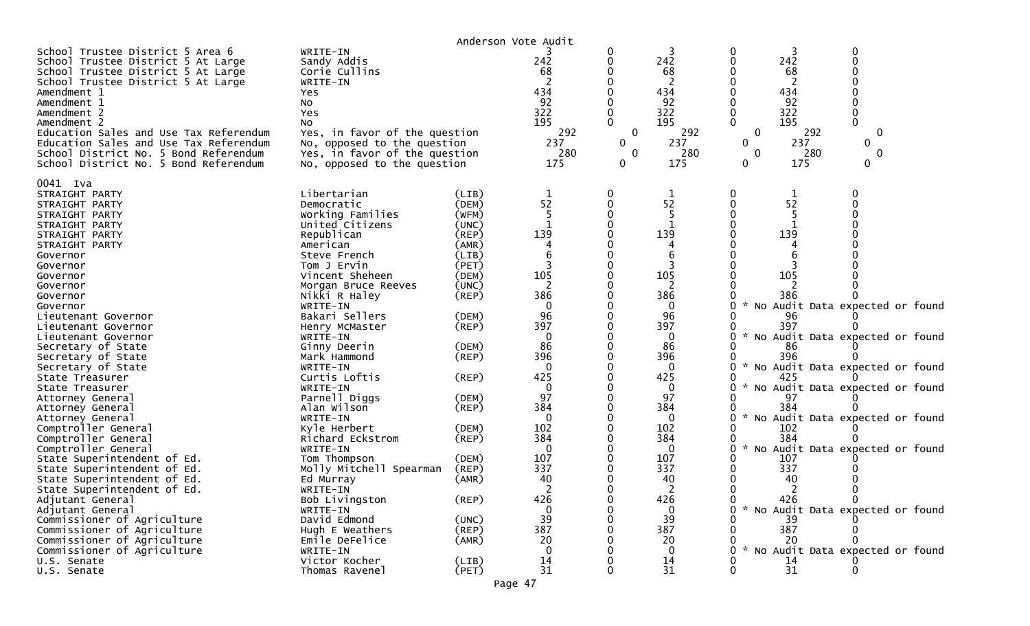| WRITE-IN<br>Sandy Addis<br>Corie Cullins<br>WRITE-IN<br>Yes<br>No<br>Yes<br>No                                                                                                                                                                                                                                                                                                                                                                                                                                                                                                           |                                                                                                                                                                                                                                                 | 242<br>68<br>434<br>92<br>322<br>195<br>292<br>237<br>280<br>175                                                                                                                                                                    | 0<br>0<br>$\mathbf 0$<br>0<br>$\mathbf 0$<br>0 | 242<br>68<br>2<br>434<br>92<br>322<br>195<br>292<br>237<br>280<br>175                                                                                                                                       | 0<br>$\mathbf 0$<br>$\mathbf{0}$<br>$\mathbf{0}$<br>$\mathbf{0}$ | 68<br>2<br>92<br>292<br>237<br>280<br>175   | 0<br>$\mathbf 0$<br>0<br>0<br>0                                                                                           |                                                                                                                                                                                                                                                                                          |
|------------------------------------------------------------------------------------------------------------------------------------------------------------------------------------------------------------------------------------------------------------------------------------------------------------------------------------------------------------------------------------------------------------------------------------------------------------------------------------------------------------------------------------------------------------------------------------------|-------------------------------------------------------------------------------------------------------------------------------------------------------------------------------------------------------------------------------------------------|-------------------------------------------------------------------------------------------------------------------------------------------------------------------------------------------------------------------------------------|------------------------------------------------|-------------------------------------------------------------------------------------------------------------------------------------------------------------------------------------------------------------|------------------------------------------------------------------|---------------------------------------------|---------------------------------------------------------------------------------------------------------------------------|------------------------------------------------------------------------------------------------------------------------------------------------------------------------------------------------------------------------------------------------------------------------------------------|
| Libertarian<br>Democratic<br>Working Families<br>United Citizens<br>Republican<br>American<br>Steve French<br>Tom J Ervin<br>Vincent Sheheen<br>Morgan Bruce Reeves<br>Nikki R Haley<br>WRITE-IN<br>Bakari Sellers<br>Henry McMaster<br>WRITE-IN<br>Ginny Deerin<br>Mark Hammond<br>WRITE-IN<br>Curtis Loftis<br>WRITE-IN<br>Parnell Diggs<br>Alan Wilson<br>WRITE-IN<br>Kyle Herbert<br>Richard Eckstrom<br>WRITE-IN<br>Tom Thompson<br>Molly Mitchell Spearman<br>Ed Murray<br>WRITE-IN<br>Bob Livingston<br>WRITE-IN<br>David Edmond<br>Hugh E Weathers<br>Emile DeFelice<br>WRITE-IN | (LIB)<br>(DEM)<br>(WFM)<br>(UNC)<br>(REP)<br>(AMR)<br>(LIB)<br>(PET)<br>(DEM)<br>(UNC)<br>(REP)<br>(DEM)<br>(REP)<br>(DEM)<br>(REP)<br>(REP)<br>(DEM)<br>(REP)<br>(DEM)<br>(REP)<br>(DEM)<br>(REP)<br>(AMR)<br>(REP)<br>(UNC)<br>(REP)<br>(AMR) | $\mathbf 1$<br>52<br>139<br>105<br>2<br>386<br>$\Omega$<br>96<br>397<br>$\Omega$<br>86<br>396<br>$\Omega$<br>425<br>$\mathbf 0$<br>97<br>384<br>$\Omega$<br>102<br>384<br>$\mathbf 0$<br>107<br>337<br>40<br>426<br>39<br>387<br>20 | 0<br>$\Omega$                                  | 1<br>52<br>139<br>105<br>386<br>0<br>96<br>397<br>0<br>86<br>396<br>$\Omega$<br>425<br>$\mathbf 0$<br>97<br>384<br>$\mathbf 0$<br>102<br>384<br>0<br>107<br>337<br>40<br>426<br>$\Omega$<br>39<br>387<br>20 | $\sim$<br>$\mathcal{H}$<br>$\mathcal{H}$<br>$\sim$<br>0          | 1<br>52<br>96<br>86<br>97<br>40<br>39<br>20 | $\mathbf{0}$                                                                                                              |                                                                                                                                                                                                                                                                                          |
| Thomas Ravenel                                                                                                                                                                                                                                                                                                                                                                                                                                                                                                                                                                           | (PET)                                                                                                                                                                                                                                           | 31                                                                                                                                                                                                                                  |                                                | 31                                                                                                                                                                                                          |                                                                  | 31                                          |                                                                                                                           |                                                                                                                                                                                                                                                                                          |
|                                                                                                                                                                                                                                                                                                                                                                                                                                                                                                                                                                                          | Victor Kocher                                                                                                                                                                                                                                   | Yes, in favor of the question<br>No, opposed to the question<br>Yes, in favor of the question<br>No, opposed to the question<br>(LIB)                                                                                               | Anderson Vote Audit<br>14                      |                                                                                                                                                                                                             | 14                                                               |                                             | 242<br>434<br>322<br>195<br>139<br>105<br>386<br>397<br>396<br>425<br>384<br>102<br>384<br>107<br>337<br>426<br>387<br>14 | No Audit Data expected or found<br>No Audit Data expected or found<br>No Audit Data expected or found<br>No Audit Data expected or found<br>No Audit Data expected or found<br>No Audit Data expected or found<br>* No Audit Data expected or found<br>* No Audit Data expected or found |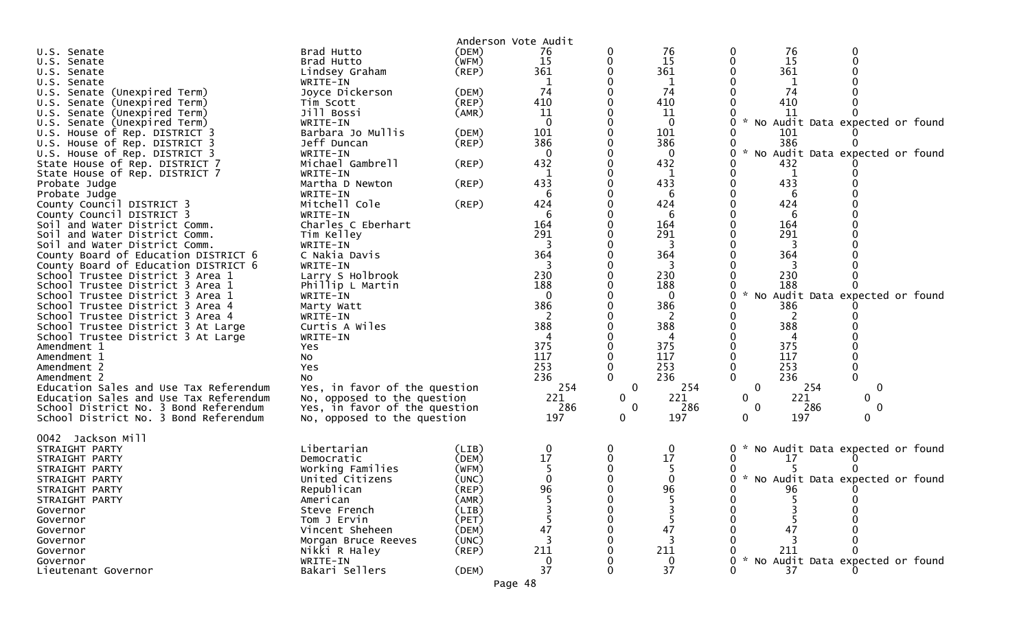|                                        |                               | Anderson Vote Audit |                |              |              |                                                               |
|----------------------------------------|-------------------------------|---------------------|----------------|--------------|--------------|---------------------------------------------------------------|
| U.S. Senate                            | Brad Hutto                    | (DEM)               | 76             |              | 76           | 76<br>0                                                       |
| U.S. Senate                            | Brad Hutto                    | (WFM)               | 15             |              | 15           | 15                                                            |
| U.S. Senate                            | Lindsey Graham                | $($ REP $)$         | 361            |              | 361          | 361                                                           |
| U.S. Senate                            | WRITE-IN                      |                     | 1              |              | 1            | 1                                                             |
| U.S. Senate (Unexpired Term)           | Joyce Dickerson               | (DEM)               | 74             |              | 74           | 74                                                            |
| U.S. Senate (Unexpired Term)           | Tim Scott                     | $($ REP $)$         | 410            |              | 410          | 410                                                           |
| U.S. Senate (Unexpired Term)           | Jill Bossi                    | (AMR)               | 11             |              | 11           | 11                                                            |
| U.S. Senate (Unexpired Term)           | WRITE-IN                      |                     | $\overline{0}$ |              | $\mathbf 0$  | $\boldsymbol{\mathcal{L}}$<br>No Audit Data expected or found |
| U.S. House of Rep. DISTRICT 3          | Barbara Jo Mullis             | (DEM)               | 101            |              | 101          | 101                                                           |
| U.S. House of Rep. DISTRICT 3          | Jeff Duncan                   | (REP)               | 386            |              | 386          | 386                                                           |
| U.S. House of Rep. DISTRICT 3          | WRITE-IN                      |                     | $\mathbf 0$    |              | 0            | $\sim$<br>No Audit Data expected or found<br>0                |
| State House of Rep. DISTRICT 7         | Michael Gambrell              | (REP)               | 432            |              | 432          | 432                                                           |
| State House of Rep. DISTRICT 7         | WRITE-IN                      |                     | 1              |              | 1            | 1                                                             |
| Probate Judge                          | Martha D Newton               | (REP)               | 433            |              | 433          | 433                                                           |
| Probate Judge                          | WRITE-IN                      |                     | 6              |              | 6            | 6                                                             |
| County Council DISTRICT 3              | Mitchell Cole                 | (REP)               | 424            |              | 424          | 424                                                           |
| County Council DISTRICT 3              | WRITE-IN                      |                     | 6              |              | 6            | 6                                                             |
| Soil and Water District Comm.          | Charles C Eberhart            |                     | 164            |              | 164          | 164                                                           |
| Soil and Water District Comm.          | Tim Kelley                    |                     | 291            |              | 291          | 291                                                           |
| Soil and Water District Comm.          | WRITE-IN                      |                     | 3              |              | 3            | 3                                                             |
| County Board of Education DISTRICT 6   | C Nakia Davis                 |                     | 364            |              | 364          | 364                                                           |
| County Board of Education DISTRICT 6   | WRITE-IN                      |                     | 3              |              | 3            | 3                                                             |
| School Trustee District 3 Area 1       | Larry S Holbrook              |                     | 230            |              | 230          | 230                                                           |
| School Trustee District 3 Area 1       | Phillip L Martin              |                     | 188            |              | 188          | 188                                                           |
| School Trustee District 3 Area 1       | WRITE-IN                      |                     | $\mathbf{0}$   |              | $\mathbf{0}$ | No Audit Data expected or found<br>0                          |
| School Trustee District 3 Area 4       | Marty Watt                    |                     | 386            |              | 386          | 386                                                           |
| School Trustee District 3 Area 4       | WRITE-IN                      |                     | 2              |              | 2            | 2                                                             |
| School Trustee District 3 At Large     | Curtis A Wiles                |                     | 388            |              | 388          | 388                                                           |
| School Trustee District 3 At Large     | WRITE-IN                      |                     |                |              |              | 4                                                             |
| Amendment 1                            | Yes                           |                     | 375            |              | 375          | 375                                                           |
| Amendment 1                            | No                            |                     | 117            |              | 117          | 117                                                           |
| Amendment 2                            | Yes                           |                     | 253            |              | 253          | 253                                                           |
| Amendment 2                            | NO.                           |                     | 236            |              | 236          | 0<br>$\mathbf{0}$<br>236                                      |
| Education Sales and Use Tax Referendum | Yes, in favor of the question |                     | 254            | 0            | 254          | 0<br>254<br>0                                                 |
| Education Sales and Use Tax Referendum | No, opposed to the question   |                     | 221            | 0            | 221          | 221<br>0<br>$\mathbf{0}$                                      |
| School District No. 3 Bond Referendum  | Yes, in favor of the question |                     | 286            | $\mathbf{0}$ | 286          | $\mathbf 0$<br>286<br>$\mathbf 0$                             |
| School District No. 3 Bond Referendum  | No, opposed to the question   |                     | 197            | 0            | 197          | 0<br>197<br>0                                                 |
|                                        |                               |                     |                |              |              |                                                               |
| 0042 Jackson Mill                      |                               |                     |                |              |              |                                                               |
| STRAIGHT PARTY                         | Libertarian                   | (LIB)               | $\mathbf 0$    | 0            | 0            | No Audit Data expected or found                               |
| STRAIGHT PARTY                         | Democratic                    | (DEM)               | 17             |              | 17           | 17                                                            |
| STRAIGHT PARTY                         | Working Families              | (WFM)               |                |              |              |                                                               |
| STRAIGHT PARTY                         | United Citizens               | (UNC)               | 0              |              |              | 0<br>* No Audit Data expected or found                        |
| STRAIGHT PARTY                         | Republican                    | (REP)               | 96             |              | 96           | 96                                                            |
| STRAIGHT PARTY                         | American                      | (AMR)               |                |              |              |                                                               |
| Governor                               | Steve French                  | (LIB)               |                |              |              |                                                               |
| Governor                               | Tom J Ervin                   | (PET)               |                |              |              |                                                               |
| Governor                               | Vincent Sheheen               | (DEM)               | 47             |              | 47           | 47                                                            |
| Governor                               | Morgan Bruce Reeves           | (UNC)               |                |              |              |                                                               |
| Governor                               | Nikki R Haley                 | $($ REP $)$         | 211            |              | 211          | 211                                                           |
| Governor                               | WRITE-IN                      |                     | 0              |              |              | No Audit Data expected or found                               |
| Lieutenant Governor                    | Bakari Sellers                | (DEM)               | 37             |              | 37           | 37                                                            |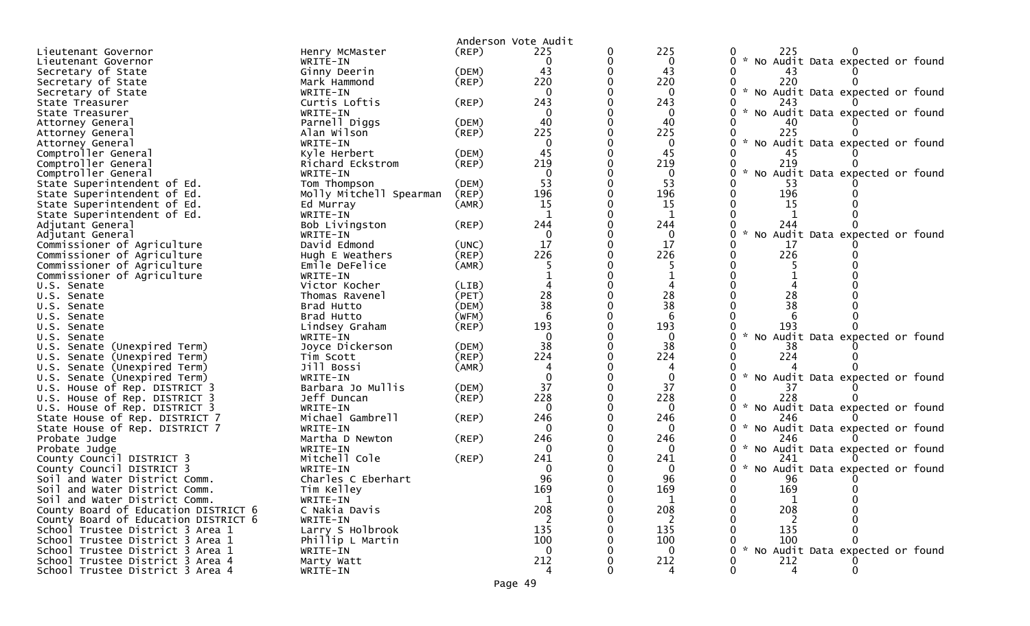|                                                 |                           |             | Anderson Vote Audit |          |                     |                                                  |
|-------------------------------------------------|---------------------------|-------------|---------------------|----------|---------------------|--------------------------------------------------|
| Lieutenant Governor                             | Henry McMaster            | $($ REP $)$ | 225                 | 0        | 225                 | 225                                              |
| Lieutenant Governor                             | WRITE-IN                  |             | 0                   | 0        | 0                   | 0 * No Audit Data expected or found              |
| Secretary of State                              | Ginny Deerin              | (DEM)       | 43                  |          | 43                  | 43                                               |
| Secretary of State                              | Mark Hammond              | (REP)       | 220                 |          | 220                 | 220                                              |
| Secretary of State                              | WRITE-IN                  |             | $\Omega$            |          | $\mathbf{0}$        | * No Audit Data expected or found                |
| State Treasurer                                 | Curtis Loftis             | $($ REP $)$ | 243                 |          | 243                 | 243                                              |
| State Treasurer                                 | WRITE-IN                  |             | $\Omega$            |          | 0                   | $\sim$<br>No Audit Data expected or found        |
| Attorney General                                | Parnell Diggs             | (DEM)       | 40                  |          | 40                  |                                                  |
| Attorney General                                | Alan Wilson               | (REP)       | 225                 |          | 225                 | 225                                              |
| Attorney General                                | WRITE-IN                  |             | $\Omega$            |          | 0                   | No Audit Data expected or found                  |
| Comptroller General                             | Kyle Herbert              | (DEM)       | 45                  |          | 45                  | 45                                               |
| Comptroller General                             | Richard Eckstrom          | (REP)       | 219                 |          | 219                 | 219                                              |
| Comptroller General                             | WRITE-IN                  |             | $\Omega$            |          | $\mathbf{0}$        | $\mathcal{H}$<br>No Audit Data expected or found |
| State Superintendent of Ed.                     | Tom Thompson              | (DEM)       | 53                  |          | 53                  | 53                                               |
| State Superintendent of Ed.                     | Molly Mitchell Spearman   | (REP)       | 196                 | $\Omega$ | 196                 | 196                                              |
| State Superintendent of Ed.                     | Ed Murray                 | (AMR)       | 15                  |          | 15                  | 15                                               |
| State Superintendent of Ed.                     | WRITE-IN                  |             | $\mathbf{1}$        | O        | 1                   |                                                  |
| Adjutant General                                | Bob Livingston            | (REP)       | 244<br>$\Omega$     |          | 244<br>$\mathbf{0}$ | 244<br>$\mathcal{H}$<br>0                        |
| Adjutant General<br>Commissioner of Agriculture | WRITE-IN<br>David Edmond  | (UNC)       | 17                  |          | 17                  | Audit Data expected or found<br><b>NO</b><br>17  |
| Commissioner of Agriculture                     | Hugh E Weathers           | (REP)       | 226                 |          | 226                 | 226                                              |
| Commissioner of Agriculture                     | Emile DeFelice            | (AMR)       |                     |          |                     |                                                  |
| Commissioner of Agriculture                     | WRITE-IN                  |             |                     |          |                     |                                                  |
| U.S. Senate                                     | Victor Kocher             | (LIB)       |                     |          |                     |                                                  |
| U.S. Senate                                     | Thomas Ravenel            | (PET)       | 28                  |          | 28                  | 28                                               |
| U.S. Senate                                     | Brad Hutto                | (DEM)       | 38                  |          | 38                  | 38                                               |
| U.S. Senate                                     | Brad Hutto                | (WFM)       | 6                   | 0        | 6                   |                                                  |
| U.S. Senate                                     | Lindsey Graham            | (REP)       | 193                 |          | 193                 | 193                                              |
| U.S. Senate                                     | WRITE-IN                  |             | $\Omega$            |          | $\Omega$            | No Audit Data expected or found                  |
| U.S. Senate (Unexpired Term)                    | Joyce Dickerson           | (DEM)       | 38                  |          | 38                  | 38                                               |
| (Unexpired Term)<br>U.S. Senate                 | Tim Scott                 | $($ REP $)$ | 224                 |          | 224                 | 224                                              |
| Senate (Unexpired Term)<br>U.S.                 | Jill Bossi                | (AMR)       |                     |          | 4                   |                                                  |
| U.S. Senate (Unexpired Term)                    | WRITE-IN                  |             | $\Omega$            |          | $\mathbf{0}$        | No Audit Data expected or found                  |
| U.S. House of Rep. DISTRICT 3                   | Barbara Jo Mullis         | (DEM)       | 37                  |          | 37                  | 37                                               |
| U.S. House of Rep. DISTRICT 3                   | Jeff Duncan               | (REP)       | 228                 |          | 228                 | 228                                              |
| U.S. House of Rep. DISTRICT 3                   | WRITE-IN                  |             | $\Omega$            |          | $\Omega$            | $\sim$<br>No Audit Data expected or found        |
| State House of Rep. DISTRICT 7                  | Michael Gambrell          | $($ REP $)$ | 246                 |          | 246                 | 246<br>*                                         |
| State House of Rep. DISTRICT 7                  | WRITE-IN                  |             | $\Omega$            |          | 0                   | No Audit Data expected or found<br>0             |
| Probate Judge                                   | Martha D Newton           | $($ REP $)$ | 246<br>0            |          | 246<br>0            | 246<br>0                                         |
| Probate Judge<br>County Council DISTRICT 3      | WRITE-IN<br>Mitchell Cole | $($ REP $)$ | 241                 |          | 241                 | * No Audit Data expected or found<br>241         |
| County Council DISTRICT 3                       | WRITE-IN                  |             | $\Omega$            |          | 0                   | $\sim$<br>No Audit Data expected or found        |
| Soil and Water District Comm.                   | Charles C Eberhart        |             | 96                  |          | 96                  | 96                                               |
| Soil and Water District Comm.                   | Tim Kelley                |             | 169                 |          | 169                 | 169<br>$\Omega$<br>∩.                            |
| Soil and Water District Comm.                   | WRITE-IN                  |             | 1                   |          | -1                  | -1                                               |
| County Board of Education DISTRICT 6            | C Nakia Davis             |             | 208                 |          | 208                 | 208                                              |
| County Board of Education DISTRICT 6            | WRITE-IN                  |             |                     |          |                     |                                                  |
| School Trustee District 3 Area 1                | Larry S Holbrook          |             | 135                 |          | 135                 | 135                                              |
| School Trustee District 3 Area 1                | Phillip L Martin          |             | 100                 |          | 100                 | 100                                              |
| School Trustee District 3 Area 1                | WRITE-IN                  |             | $\bf{0}$            |          | 0                   | No Audit Data expected or found                  |
| School Trustee District 3 Area 4                | Marty Watt                |             | 212                 |          | 212                 | 212                                              |
| School Trustee District 3 Area 4                | WRITE-IN                  |             | 4                   |          | 4                   | $\overline{4}$<br>$\Omega$                       |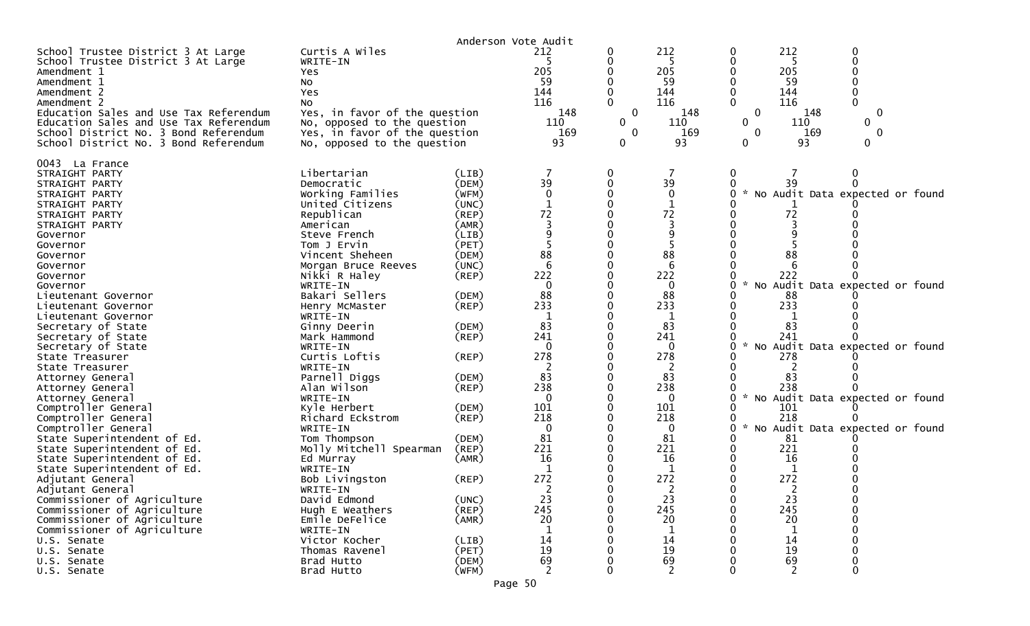|                                                                                                                                                                                                                                                                                                                                                                                                                                                                                                                                                                                                                                                                                                                                                    |                                                                                                                                                                                                                                                                                                                                                                                                                                                                                                                                                            |                                                                                                                                                                                                                                              | Anderson Vote Audit                                                                                                                                                                            |                                                 |                                                                                                                                                                                         |                                       |                                                                                                                                                                                                                                                                                                                   |  |
|----------------------------------------------------------------------------------------------------------------------------------------------------------------------------------------------------------------------------------------------------------------------------------------------------------------------------------------------------------------------------------------------------------------------------------------------------------------------------------------------------------------------------------------------------------------------------------------------------------------------------------------------------------------------------------------------------------------------------------------------------|------------------------------------------------------------------------------------------------------------------------------------------------------------------------------------------------------------------------------------------------------------------------------------------------------------------------------------------------------------------------------------------------------------------------------------------------------------------------------------------------------------------------------------------------------------|----------------------------------------------------------------------------------------------------------------------------------------------------------------------------------------------------------------------------------------------|------------------------------------------------------------------------------------------------------------------------------------------------------------------------------------------------|-------------------------------------------------|-----------------------------------------------------------------------------------------------------------------------------------------------------------------------------------------|---------------------------------------|-------------------------------------------------------------------------------------------------------------------------------------------------------------------------------------------------------------------------------------------------------------------------------------------------------------------|--|
| School Trustee District 3 At Large<br>School Trustee District 3 At Large<br>Amendment 1<br>Amendment 1<br>Amendment 2<br>Amendment 2<br>Education Sales and Use Tax Referendum<br>Education Sales and Use Tax Referendum<br>School District No. 3 Bond Referendum<br>School District No. 3 Bond Referendum                                                                                                                                                                                                                                                                                                                                                                                                                                         | Curtis A Wiles<br>WRITE-IN<br>Yes<br>No<br>Yes<br>No<br>Yes, in favor of the question<br>No, opposed to the question<br>Yes, in favor of the question<br>No, opposed to the question                                                                                                                                                                                                                                                                                                                                                                       |                                                                                                                                                                                                                                              | 212<br>5<br>205<br>59<br>144<br>116<br>148<br>110<br>169<br>93                                                                                                                                 | 0<br>0<br>0<br>$\mathbf{0}$<br>$\mathbf 0$<br>0 | 212<br>5<br>205<br>59<br>144<br>116<br>148<br>110<br>169<br>93                                                                                                                          | 0<br>$\Omega$<br>$\Omega$<br>$\Omega$ | 212<br>-5<br>205<br>59<br>144<br>116<br>148<br>0<br>110<br>0<br>169<br>0<br>93                                                                                                                                                                                                                                    |  |
| 0043 La France<br>STRAIGHT PARTY<br>STRAIGHT PARTY<br>STRAIGHT PARTY<br>STRAIGHT PARTY<br>STRAIGHT PARTY<br>STRAIGHT PARTY<br>Governor<br>Governor<br>Governor<br>Governor<br>Governor<br>Governor<br>Lieutenant Governor<br>Lieutenant Governor<br>Lieutenant Governor<br>Secretary of State<br>Secretary of State<br>Secretary of State<br>State Treasurer<br>State Treasurer<br>Attorney General<br>Attorney General<br>Attorney General<br>Comptroller General<br>Comptroller General<br>Comptroller General<br>State Superintendent of Ed.<br>State Superintendent of Ed.<br>State Superintendent of Ed.<br>State Superintendent of Ed.<br>Adjutant General<br>Adjutant General<br>Commissioner of Agriculture<br>Commissioner of Agriculture | Libertarian<br>Democratic<br>Working Families<br>United Citizens<br>Republican<br>American<br>Steve French<br>Tom J Ervin<br>Vincent Sheheen<br>Morgan Bruce Reeves<br>Nikki R Haley<br>WRITE-IN<br>Bakari Sellers<br>Henry McMaster<br>WRITE-IN<br>Ginny Deerin<br>Mark Hammond<br>WRITE-IN<br>Curtis Loftis<br>WRITE-IN<br>Parnell Diggs<br>Alan Wilson<br>WRITE-IN<br>Kyle Herbert<br>Richard Eckstrom<br>WRITE-IN<br>Tom Thompson<br>Molly Mitchell Spearman<br>Ed Murray<br>WRITE-IN<br>Bob Livingston<br>WRITE-IN<br>David Edmond<br>Hugh E Weathers | (LIB)<br>(DEM)<br>(WFM)<br>(UNC)<br>(REP)<br>(AMR)<br>(LIB)<br>(PET)<br>(DEM)<br>(UNC)<br>(REP)<br>(DEM)<br>(REP)<br>(DEM)<br>(REP)<br>(REP)<br>(DEM)<br>(REP)<br>(DEM)<br>(REP)<br>(DEM)<br>(REP)<br>(AMR)<br>$($ REP $)$<br>(UNC)<br>(REP) | 39<br>$\mathbf{0}$<br>72<br>88<br>6<br>222<br>$\mathbf{0}$<br>88<br>233<br>83<br>241<br>$\Omega$<br>278<br>83<br>238<br>$\mathbf{0}$<br>101<br>218<br>0<br>81<br>221<br>16<br>272<br>23<br>245 | 0                                               | 39<br>$\mathbf{0}$<br>72<br>88<br>6<br>222<br>0<br>88<br>233<br>1<br>83<br>241<br>$\Omega$<br>278<br>83<br>238<br>0<br>101<br>218<br>0<br>81<br>221<br>16<br>272<br>$\sim$<br>23<br>245 | $\mathcal{H}$<br>$\sim$               | No Audit Data expected or found<br>72<br>88<br>222<br>No Audit Data expected or found<br>88<br>233<br>83<br>241<br>No Audit Data expected or found<br>278<br>83<br>238<br>* No Audit Data expected or found<br>101<br>218<br>No Audit Data expected or found<br>81<br>221<br>16<br>272<br>$\epsilon$<br>23<br>245 |  |
| Commissioner of Agriculture<br>Commissioner of Agriculture                                                                                                                                                                                                                                                                                                                                                                                                                                                                                                                                                                                                                                                                                         | Emile DeFelice<br>WRITE-IN                                                                                                                                                                                                                                                                                                                                                                                                                                                                                                                                 | (AMR)                                                                                                                                                                                                                                        | 20                                                                                                                                                                                             |                                                 | 20                                                                                                                                                                                      |                                       | 20                                                                                                                                                                                                                                                                                                                |  |
| U.S. Senate<br>U.S. Senate                                                                                                                                                                                                                                                                                                                                                                                                                                                                                                                                                                                                                                                                                                                         | Victor Kocher<br>Thomas Ravenel                                                                                                                                                                                                                                                                                                                                                                                                                                                                                                                            | (LIB)<br>(PET)                                                                                                                                                                                                                               | 14<br>19                                                                                                                                                                                       |                                                 | 14<br>19                                                                                                                                                                                |                                       | 14<br>19                                                                                                                                                                                                                                                                                                          |  |
| U.S. Senate                                                                                                                                                                                                                                                                                                                                                                                                                                                                                                                                                                                                                                                                                                                                        | Brad Hutto                                                                                                                                                                                                                                                                                                                                                                                                                                                                                                                                                 | (DEM)                                                                                                                                                                                                                                        | 69                                                                                                                                                                                             |                                                 | 69                                                                                                                                                                                      |                                       | 69                                                                                                                                                                                                                                                                                                                |  |
| U.S. Senate                                                                                                                                                                                                                                                                                                                                                                                                                                                                                                                                                                                                                                                                                                                                        | Brad Hutto                                                                                                                                                                                                                                                                                                                                                                                                                                                                                                                                                 | (WFM)                                                                                                                                                                                                                                        | $\overline{2}$                                                                                                                                                                                 |                                                 | $\overline{2}$                                                                                                                                                                          |                                       | $\overline{2}$<br>$\Omega$                                                                                                                                                                                                                                                                                        |  |
|                                                                                                                                                                                                                                                                                                                                                                                                                                                                                                                                                                                                                                                                                                                                                    |                                                                                                                                                                                                                                                                                                                                                                                                                                                                                                                                                            |                                                                                                                                                                                                                                              | Page 50                                                                                                                                                                                        |                                                 |                                                                                                                                                                                         |                                       |                                                                                                                                                                                                                                                                                                                   |  |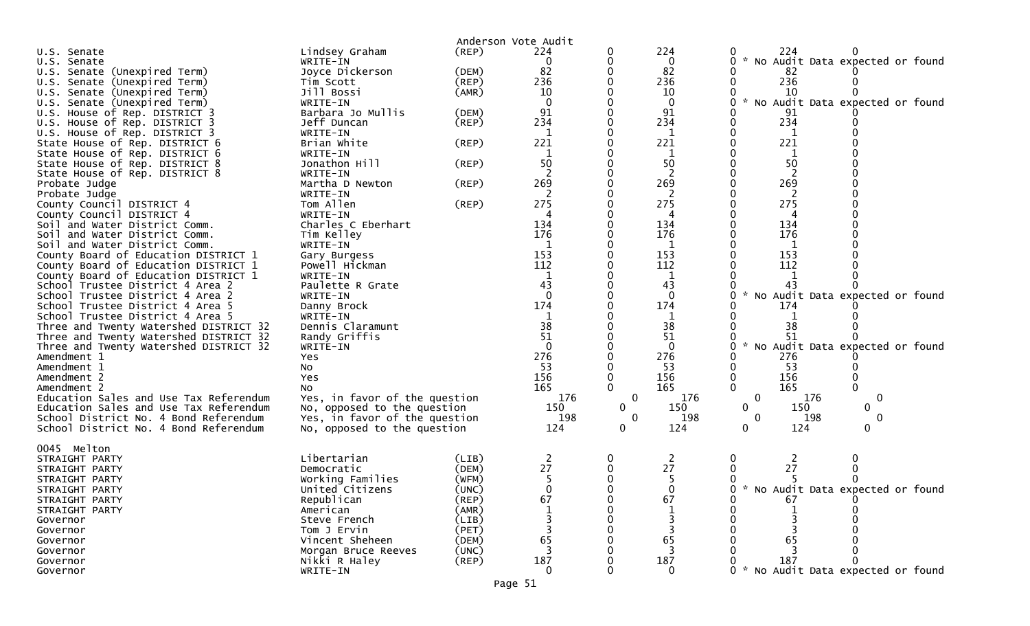|                                                                  |                                | Anderson Vote Audit |            |                   |                     |                                                                     |
|------------------------------------------------------------------|--------------------------------|---------------------|------------|-------------------|---------------------|---------------------------------------------------------------------|
| U.S. Senate                                                      | Lindsey Graham                 | (REP)               | 224        |                   | 224                 | 224                                                                 |
| U.S. Senate                                                      | WRITE-IN                       |                     | 0          |                   | 0                   | $\mathcal{H}_{\mathcal{A}}$<br>No Audit Data expected or found<br>0 |
| U.S. Senate (Unexpired Term)                                     | Joyce Dickerson                | (DEM)               | 82         |                   | 82                  | 82                                                                  |
| U.S. Senate (Unexpired Term)                                     | Tim Scott                      | $($ REP $)$         | 236        |                   | 236                 | 236                                                                 |
| U.S. Senate (Unexpired Term)                                     | Jill Bossi                     | (AMR)               | 10         |                   | 10                  | 10                                                                  |
| U.S. Senate (Unexpired Term)                                     | WRITE-IN                       |                     |            |                   | $\Omega$            | $\sim$<br>No Audit Data expected or found                           |
| U.S. House of Rep. DISTRICT 3                                    | Barbara Jo Mullis              | (DEM)               | 91         |                   | 91                  | 91                                                                  |
| U.S. House of Rep. DISTRICT 3                                    | Jeff Duncan                    | $($ REP $)$         | 234        |                   | 234                 | 234<br>0                                                            |
| U.S. House of Rep. DISTRICT 3                                    | WRITE-IN                       |                     | 1          |                   |                     | $\mathbf 1$                                                         |
| State House of Rep. DISTRICT 6                                   | Brian White                    | (REP)               | 221        |                   | $\mathbf{1}$<br>221 | 221                                                                 |
| State House of Rep. DISTRICT 6                                   | WRITE-IN                       |                     | 1          |                   | 1                   | $\mathbf 1$                                                         |
|                                                                  | Jonathon Hill                  | (REP)               | 50         |                   | 50                  | 50                                                                  |
| State House of Rep. DISTRICT 8<br>State House of Rep. DISTRICT 8 | WRITE-IN                       |                     | 2          |                   | 2                   | 2                                                                   |
|                                                                  | Martha D Newton                |                     | 269        |                   | 269                 | 269                                                                 |
| Probate Judge<br>Probate Judge                                   | WRITE-IN                       | (REP)               |            |                   | 2                   | 2                                                                   |
|                                                                  | Tom Allen                      | (REP)               | 275        |                   | 275                 | 275                                                                 |
| County Council DISTRICT 4<br>County Council DISTRICT 4           | WRITE-IN                       |                     | 4          |                   | 4                   | 4                                                                   |
| Soil and Water District Comm.                                    | Charles C Eberhart             |                     | 134        |                   | 134                 | 134                                                                 |
|                                                                  |                                |                     | 176        |                   | 176                 | 176                                                                 |
| Soil and Water District Comm.                                    | Tim Kelley                     |                     | 1          |                   | 1                   |                                                                     |
| Soil and Water District Comm.                                    | WRITE-IN                       |                     | 153        |                   | 153                 | $\mathbf 1$<br>153                                                  |
| County Board of Education DISTRICT 1                             | Gary Burgess<br>Powell Hickman |                     | 112        |                   | 112                 | 112                                                                 |
| County Board of Education DISTRICT 1                             | WRITE-IN                       |                     | 1          |                   |                     |                                                                     |
| County Board of Education DISTRICT 1                             | Paulette R Grate               |                     | 43         |                   | 1<br>43             | 43                                                                  |
| School Trustee District 4 Area 2                                 |                                |                     | $\Omega$   |                   | $\Omega$            |                                                                     |
| School Trustee District 4 Area 2                                 | WRITE-IN                       |                     | 174        |                   |                     | No Audit Data expected or found<br>0                                |
| School Trustee District 4 Area 5                                 | Danny Brock                    |                     |            |                   | 174                 | 174                                                                 |
| School Trustee District 4 Area 5                                 | WRITE-IN                       |                     | 38         |                   |                     | 1                                                                   |
| Three and Twenty Watershed DISTRICT 32                           | Dennis Claramunt               |                     | 51         |                   | 38<br>51            | 38<br>51                                                            |
| Three and Twenty Watershed DISTRICT 32                           | Randy Griffis                  |                     |            |                   |                     | $\sim$                                                              |
| Three and Twenty Watershed DISTRICT 32                           | WRITE-IN                       |                     |            |                   | $\mathbf{0}$        | No Audit Data expected or found<br>0                                |
| Amendment 1                                                      | Yes                            |                     | 276<br>53  |                   | 276                 | 276<br>53                                                           |
| Amendment 1                                                      | No                             |                     |            |                   | 53                  |                                                                     |
| Amendment 2                                                      | Yes                            |                     | 156<br>165 |                   | 156                 | 156<br>0<br>$\mathbf{0}$<br>165                                     |
| Amendment 2                                                      | No                             |                     |            |                   | 165                 |                                                                     |
| Education Sales and Use Tax Referendum                           | Yes, in favor of the question  |                     | 176        | $\mathbf 0$       | 176                 | $\mathbf 0$<br>176<br>$\mathbf 0$                                   |
| Education Sales and Use Tax Referendum                           | No, opposed to the question    |                     | 150        | $\mathbf{0}$      | 150                 | 0<br>150<br>$\mathbf{0}$                                            |
| School District No. 4 Bond Referendum                            | Yes, in favor of the question  |                     | 198        | 0<br>$\mathbf{0}$ | 198                 | 198<br>$\mathbf 0$<br>0<br>0<br>0                                   |
| School District No. 4 Bond Referendum                            | No, opposed to the question    |                     | 124        |                   | 124                 | 124                                                                 |
| 0045 Melton                                                      |                                |                     |            |                   |                     |                                                                     |
| STRAIGHT PARTY                                                   | Libertarian                    | (LIB)               | 2          | 0                 | 2                   | 0<br>2                                                              |
| STRAIGHT PARTY                                                   | Democratic                     | (DEM)               | 27         |                   | 27                  | 27                                                                  |
| STRAIGHT PARTY                                                   | Working Families               | (WFM)               | 5.         |                   | 5.                  |                                                                     |
| STRAIGHT PARTY                                                   | United Citizens                | (UNC)               | ∩          |                   | $\Omega$            | * No Audit Data expected or found<br>∩                              |
| STRAIGHT PARTY                                                   | Republican                     | (REP)               | 67         |                   | 67                  | 67                                                                  |
| STRAIGHT PARTY                                                   | American                       | (AMR)               |            |                   |                     |                                                                     |
| Governor                                                         | Steve French                   | (LIB)               |            |                   |                     |                                                                     |
| Governor                                                         | Tom J Ervin                    | (PET)               |            |                   |                     |                                                                     |
| Governor                                                         | Vincent Sheheen                | (DEM)               | 65         |                   | 65                  | 65                                                                  |
| Governor                                                         | Morgan Bruce Reeves            | (UNC)               |            |                   |                     |                                                                     |
| Governor                                                         | Nikki R Haley                  | $($ REP $)$         | 187        |                   | 187                 | 187                                                                 |
| Governor                                                         | WRITE-IN                       |                     |            |                   | $\Omega$            | 0 * No Audit Data expected or found                                 |
|                                                                  |                                |                     |            |                   |                     |                                                                     |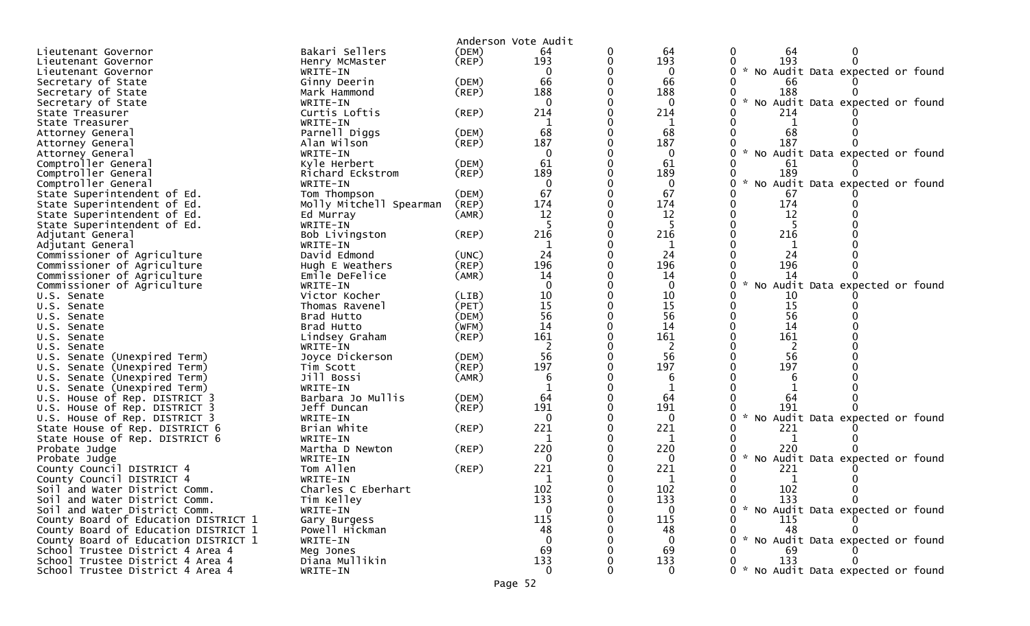|                                            |                              |                | Anderson Vote Audit |        |                 |                                                  |
|--------------------------------------------|------------------------------|----------------|---------------------|--------|-----------------|--------------------------------------------------|
| Lieutenant Governor                        | Bakari Sellers               | (DEM)          | 64                  | 0      | 64              | 0<br>64<br>0                                     |
|                                            |                              | $($ REP $)$    | 193                 | 0      | 193             | 193<br>0<br>0                                    |
| Lieutenant Governor                        | Henry McMaster<br>WRITE-IN   |                | $\Omega$            |        | $\Omega$        | No Audit Data expected or found                  |
| Lieutenant Governor<br>Secretary of State  | Ginny Deerin                 | (DEM)          | 66                  |        | 66              | 66                                               |
|                                            | Mark Hammond                 | (REP)          | 188                 |        | 188             | 188                                              |
| Secretary of State                         | WRITE-IN                     |                | $\Omega$            |        | $\Omega$        | $\mathcal{H}$<br>No Audit Data expected or found |
| Secretary of State                         | Curtis Loftis                |                | 214                 |        | 214             |                                                  |
| State Treasurer                            |                              | (REP)          |                     |        | 1               | 214                                              |
| State Treasurer                            | WRITE-IN                     |                | 68                  |        | 68              | 68                                               |
| Attorney General                           | Parnell Diggs<br>Alan Wilson | (DEM)<br>(REP) | 187                 |        | 187             | 187                                              |
| Attorney General                           |                              |                | $\Omega$            |        | $\Omega$        | * No Audit Data expected or found<br>0           |
| Attorney General                           | WRITE-IN<br>Kyle Herbert     |                | 61                  |        | 61              |                                                  |
| Comptroller General                        |                              | (DEM)          | 189                 |        | 189             | 61<br>189                                        |
| Comptroller General<br>Comptroller General | Richard Eckstrom             | (REP)          | $\mathbf{0}$        |        | $\mathbf{0}$    |                                                  |
|                                            | WRITE-IN                     |                | 67                  |        | 67              | No Audit Data expected or found                  |
| State Superintendent of Ed.                | Tom Thompson                 | (DEM)          | 174                 |        | 174             | 67<br>174                                        |
| State Superintendent of Ed.                | Molly Mitchell Spearman      | (REP)          |                     |        |                 | 12                                               |
| State Superintendent of Ed.                | Ed Murray                    | (AMR)          | 12                  |        | 12              |                                                  |
| State Superintendent of Ed.                | WRITE-IN                     |                |                     |        | 5               |                                                  |
| Adjutant General                           | Bob Livingston               | (REP)          | 216                 |        | 216             | 216                                              |
| Adjutant General                           | WRITE-IN                     |                |                     |        |                 |                                                  |
| Commissioner of Agriculture                | David Edmond                 | (UNC)          | 24                  |        | 24              | 24                                               |
| Commissioner of Agriculture                | Hugh E Weathers              | (REP)          | 196                 |        | 196             | 196                                              |
| Commissioner of Agriculture                | Emile DeFelice               | (AMR)          | 14                  |        | 14              | 14                                               |
| Commissioner of Agriculture                | WRITE-IN                     |                |                     |        | $\Omega$        | No Audit Data expected or found                  |
| U.S. Senate                                | Victor Kocher                | (LIB)          | 10                  |        | 10              | 10                                               |
| U.S. Senate                                | Thomas Ravenel               | (PET)          | 15                  |        | 15              | 15<br>0                                          |
| U.S. Senate                                | Brad Hutto                   | (DEM)          | 56                  |        | 56              | 56                                               |
| U.S. Senate                                | Brad Hutto                   | (WFM)          | 14                  |        | 14              | 14                                               |
| U.S. Senate                                | Lindsey Graham               | (REP)          | 161                 |        | 161             | 161                                              |
| U.S. Senate                                | WRITE-IN                     |                | 56                  |        | 2<br>56         | 56                                               |
| U.S. Senate (Unexpired Term)               | Joyce Dickerson              | (DEM)          |                     |        |                 |                                                  |
| U.S. Senate (Unexpired Term)               | Tim Scott                    | (REP)          | 197                 |        | 197             | 197                                              |
| U.S. Senate (Unexpired Term)               | Jill Bossi                   | (AMR)          | 6                   |        | 6               |                                                  |
| U.S. Senate (Unexpired Term)               | WRITE-IN                     |                |                     |        |                 |                                                  |
| U.S. House of Rep. DISTRICT 3              | Barbara Jo Mullis            | (DEM)          | 64                  |        | 64              | 64                                               |
| U.S. House of Rep. DISTRICT 3              | Jeff Duncan                  | (REP)          | 191                 |        | 191             | 191<br>*                                         |
| U.S. House of Rep. DISTRICT 3              | WRITE-IN                     |                | $\Omega$<br>221     |        | $\Omega$        | No Audit Data expected or found<br>0             |
| State House of Rep. DISTRICT 6             | Brian White                  | (REP)          |                     |        | 221             | 221                                              |
| State House of Rep. DISTRICT 6             | WRITE-IN                     |                | 220                 |        |                 |                                                  |
| Probate Judge                              | Martha D Newton              | (REP)          | $\Omega$            |        | 220             | 220<br>$\sim$                                    |
| Probate Judge                              | WRITE-IN                     |                | 221                 |        | $\Omega$<br>221 | No Audit Data expected or found                  |
| County Council DISTRICT 4                  | Tom Allen                    | (REP)          |                     |        |                 | 221                                              |
| County Council DISTRICT 4                  | WRITE-IN                     |                | 1                   |        | 1               | 1<br>0                                           |
| Soil and Water District Comm.              | Charles C Eberhart           |                | 102<br>133          | 0<br>0 | 102             | 102<br>0<br>0                                    |
| Soil and Water District Comm.              | Tim Kelley                   |                | $\mathbf{0}$        |        | 133             | 133<br>0<br>0                                    |
| Soil and Water District Comm.              | WRITE-IN                     |                |                     |        | $\overline{0}$  | * No Audit Data expected or found                |
| County Board of Education DISTRICT 1       | Gary Burgess                 |                | 115                 |        | 115             | 115                                              |
| County Board of Education DISTRICT 1       | Powell Hickman               |                | 48<br>$\Omega$      |        | 48              | 48                                               |
| County Board of Education DISTRICT 1       | WRITE-IN                     |                |                     |        | $\Omega$        | No Audit Data expected or found                  |
| School Trustee District 4 Area 4           | Meg Jones                    |                | 69                  |        | 69              | 69                                               |
| School Trustee District 4 Area 4           | Diana Mullikin               |                | 133                 |        | 133             | 133                                              |
| School Trustee District 4 Area 4           | WRITE-IN                     |                | $\Omega$            |        | $\overline{0}$  | 0 * No Audit Data expected or found              |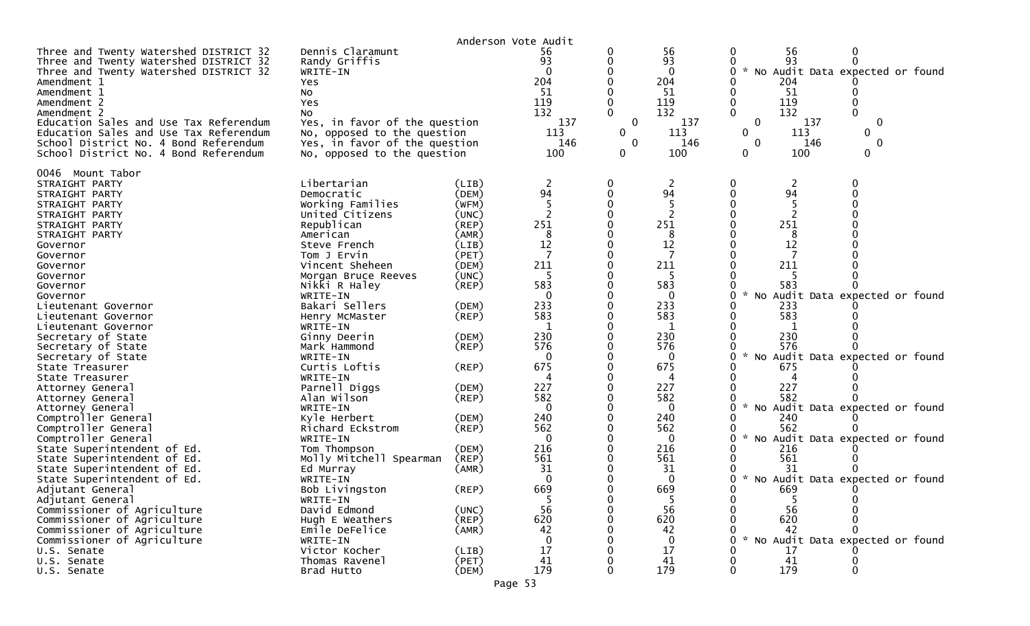|                                                                                                                                                                                                                                                                                                                                                                                                                                                                                                                                                                                                                                                                                                                                                                                                                                                                 |                                                                                                                                                                                                                                                                                                                                                                                                                                                                                                                                                                                                                                           |                                                                                                                                                                                                                                                                                                    | Anderson Vote Audit                                                                                                                                                                                                                              |                                           |                                                                                                                                                                                                                                                                     |                                                                                                                                                                                                                                                                                                                                                                                                                                                 |
|-----------------------------------------------------------------------------------------------------------------------------------------------------------------------------------------------------------------------------------------------------------------------------------------------------------------------------------------------------------------------------------------------------------------------------------------------------------------------------------------------------------------------------------------------------------------------------------------------------------------------------------------------------------------------------------------------------------------------------------------------------------------------------------------------------------------------------------------------------------------|-------------------------------------------------------------------------------------------------------------------------------------------------------------------------------------------------------------------------------------------------------------------------------------------------------------------------------------------------------------------------------------------------------------------------------------------------------------------------------------------------------------------------------------------------------------------------------------------------------------------------------------------|----------------------------------------------------------------------------------------------------------------------------------------------------------------------------------------------------------------------------------------------------------------------------------------------------|--------------------------------------------------------------------------------------------------------------------------------------------------------------------------------------------------------------------------------------------------|-------------------------------------------|---------------------------------------------------------------------------------------------------------------------------------------------------------------------------------------------------------------------------------------------------------------------|-------------------------------------------------------------------------------------------------------------------------------------------------------------------------------------------------------------------------------------------------------------------------------------------------------------------------------------------------------------------------------------------------------------------------------------------------|
| Three and Twenty Watershed DISTRICT 32<br>Three and Twenty Watershed DISTRICT 32<br>Three and Twenty Watershed DISTRICT 32<br>Amendment 1<br>Amendment 1<br>Amendment 2<br>Amendment 2<br>Education Sales and Use Tax Referendum<br>Education Sales and Use Tax Referendum<br>School District No. 4 Bond Referendum<br>School District No. 4 Bond Referendum                                                                                                                                                                                                                                                                                                                                                                                                                                                                                                    | Dennis Claramunt<br>Randy Griffis<br>WRITE-IN<br>Yes<br>No<br>Yes<br>No<br>Yes, in favor of the question<br>No, opposed to the question<br>Yes, in favor of the question<br>No, opposed to the question                                                                                                                                                                                                                                                                                                                                                                                                                                   |                                                                                                                                                                                                                                                                                                    | 56<br>93<br>$\Omega$<br>204<br>51<br>119<br>132<br>137<br>113<br>146<br>100                                                                                                                                                                      | 0<br>$\mathbf 0$<br>0<br>$\mathbf 0$<br>0 | 56<br>93<br>$\Omega$<br>204<br>51<br>119<br>132<br>137<br>113<br>146<br>100                                                                                                                                                                                         | 56<br>0<br>0<br>93<br>No Audit Data expected or found<br>$\mathcal{H}$<br>204<br>-51<br>119<br>132<br>137<br>0<br>0<br>113<br>0<br>0<br>146<br>$\mathbf 0$<br>0<br>0<br>100<br>0                                                                                                                                                                                                                                                                |
| 0046 Mount Tabor<br>STRAIGHT PARTY<br>STRAIGHT PARTY<br>STRAIGHT PARTY<br>STRAIGHT PARTY<br>STRAIGHT PARTY<br>STRAIGHT PARTY<br>Governor<br>Governor<br>Governor<br>Governor<br>Governor<br>Governor<br>Lieutenant Governor<br>Lieutenant Governor<br>Lieutenant Governor<br>Secretary of State<br>Secretary of State<br>Secretary of State<br>State Treasurer<br>State Treasurer<br>Attorney General<br>Attorney General<br>Attorney General<br>Comptroller General<br>Comptroller General<br>Comptroller General<br>State Superintendent of Ed.<br>State Superintendent of Ed.<br>State Superintendent of Ed.<br>State Superintendent of Ed.<br>Adjutant General<br>Adjutant General<br>Commissioner of Agriculture<br>Commissioner of Agriculture<br>Commissioner of Agriculture<br>Commissioner of Agriculture<br>U.S. Senate<br>U.S. Senate<br>U.S. Senate | Libertarian<br>Democratic<br>Working Families<br>United Citizens<br>Republican<br>American<br>Steve French<br>Tom J Ervin<br>Vincent Sheheen<br>Morgan Bruce Reeves<br>Nikki R Haley<br>WRITE-IN<br>Bakari Sellers<br>Henry McMaster<br>WRITE-IN<br>Ginny Deerin<br>Mark Hammond<br>WRITE-IN<br>Curtis Loftis<br>WRITE-IN<br>Parnell Diggs<br>Alan Wilson<br>WRITE-IN<br>Kyle Herbert<br>Richard Eckstrom<br>WRITE-IN<br>Tom Thompson<br>Molly Mitchell Spearman<br>Ed Murray<br>WRITE-IN<br>Bob Livingston<br>WRITE-IN<br>David Edmond<br>Hugh E Weathers<br>Emile DeFelice<br>WRITE-IN<br>Victor Kocher<br>Thomas Ravenel<br>Brad Hutto | (LIB)<br>(DEM)<br>(WFM)<br>(UNC)<br>$($ REP $)$<br>(AMR)<br>(LIB)<br>(PET)<br>(DEM)<br>(UNC)<br>$($ REP $)$<br>(DEM)<br>(REP)<br>(DEM)<br>(REP)<br>(REP)<br>(DEM)<br>(REP)<br>(DEM)<br>(REP)<br>(DEM)<br>$($ REP $)$<br>(AMR)<br>(REP)<br>(UNC)<br>$($ REP $)$<br>(AMR)<br>(LIB)<br>(PET)<br>(DEM) | 2<br>94<br>-5<br>251<br>8<br>12<br>7<br>211<br>-5<br>583<br>$\Omega$<br>233<br>583<br>230<br>576<br>0<br>675<br>4<br>227<br>582<br>$\Omega$<br>240<br>562<br>$\Omega$<br>216<br>561<br>31<br>0<br>669<br>5<br>56<br>620<br>42<br>17<br>41<br>179 | 0<br>0<br>0<br>0<br>0<br>0                | 2<br>94<br>251<br>8<br>12<br>7<br>211<br>583<br>$\Omega$<br>233<br>583<br>1<br>230<br>576<br>$\bf{0}$<br>675<br>4<br>227<br>582<br>$\Omega$<br>240<br>562<br>$\mathbf{0}$<br>216<br>561<br>31<br>$\mathbf 0$<br>669<br>5<br>56<br>620<br>42<br>0<br>17<br>41<br>179 | 2<br>94<br>251<br>8<br>12<br>211<br>583<br>No Audit Data expected or found<br>233<br>583<br>230<br>576<br>No Audit Data expected or found<br>675<br>4<br>227<br>582<br>$\mathcal{H}$<br>No Audit Data expected or found<br>240<br>562<br>No Audit Data expected or found<br>$\mathcal{H}$<br>216<br>561<br>31<br>No Audit Data expected or found<br>669<br>0<br>56<br>620<br>42<br>No Audit Data expected or found<br>17<br>41<br>179<br>0<br>0 |
|                                                                                                                                                                                                                                                                                                                                                                                                                                                                                                                                                                                                                                                                                                                                                                                                                                                                 |                                                                                                                                                                                                                                                                                                                                                                                                                                                                                                                                                                                                                                           |                                                                                                                                                                                                                                                                                                    | Page 53                                                                                                                                                                                                                                          |                                           |                                                                                                                                                                                                                                                                     |                                                                                                                                                                                                                                                                                                                                                                                                                                                 |
|                                                                                                                                                                                                                                                                                                                                                                                                                                                                                                                                                                                                                                                                                                                                                                                                                                                                 |                                                                                                                                                                                                                                                                                                                                                                                                                                                                                                                                                                                                                                           |                                                                                                                                                                                                                                                                                                    |                                                                                                                                                                                                                                                  |                                           |                                                                                                                                                                                                                                                                     |                                                                                                                                                                                                                                                                                                                                                                                                                                                 |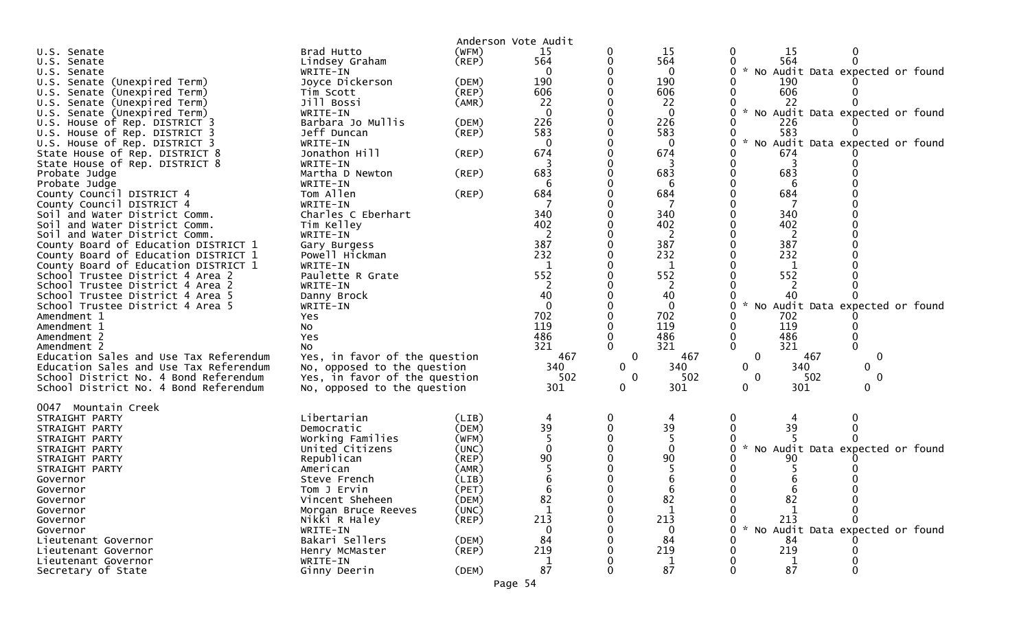|                                                                      |                               | Anderson Vote Audit |          |              |              |                                                       |
|----------------------------------------------------------------------|-------------------------------|---------------------|----------|--------------|--------------|-------------------------------------------------------|
| U.S. Senate                                                          | Brad Hutto                    | (WFM)               | 15       |              | 15           | <b>15</b><br>$\bf{0}$<br>0                            |
| U.S. Senate                                                          | Lindsey Graham                | (REP)               | 564      |              | 564          | 564                                                   |
| U.S. Senate                                                          | WRITE-IN                      |                     |          |              | 0            | $\mathcal{H}$<br>No Audit Data expected or found<br>0 |
| U.S. Senate (Unexpired Term)                                         | Joyce Dickerson               | (DEM)               | 190      |              | 190          | 190                                                   |
| Senate (Unexpired Term)<br>U.S.                                      | Tim Scott                     | (REP)               | 606      |              | 606          | 606                                                   |
| U.S. Senate (Unexpired Term)                                         | Jill Bossi                    | (AMR)               | 22       |              | 22           | 22                                                    |
| Senate (Unexpired Term)<br>U.S.                                      | WRITE-IN                      |                     | $\Omega$ |              | $\Omega$     | $\sim$<br>No Audit Data expected or found             |
| U.S. House of Rep. DISTRICT 3                                        | Barbara Jo Mullis             | (DEM)               | 226      |              | 226          | 226                                                   |
| U.S. House of Rep. DISTRICT 3                                        | Jeff Duncan                   | (REP)               | 583      |              | 583          | 583                                                   |
| U.S. House of Rep. DISTRICT 3                                        | WRITE-IN                      |                     | $\Omega$ |              | $\Omega$     | $\sim$<br>No Audit Data expected or found<br>O.       |
| State House of Rep. DISTRICT 8                                       | Jonathon Hill                 | (REP)               | 674      |              | 674          | 674                                                   |
| State House of Rep. DISTRICT 8                                       | WRITE-IN                      |                     |          |              |              |                                                       |
| Probate Judge                                                        | Martha D Newton               | (REP)               | 683      |              | 683          | 683                                                   |
| Probate Judge                                                        | WRITE-IN                      |                     | 6        |              | 6            | 6                                                     |
| County Council DISTRICT 4                                            | Tom Allen                     | (REP)               | 684      |              | 684          | 684                                                   |
| County Council DISTRICT 4                                            | WRITE-IN                      |                     |          |              |              |                                                       |
| Soil and Water District Comm.                                        | Charles C Eberhart            |                     | 340      |              | 340          | 340                                                   |
| Soil and Water District Comm.                                        | Tim Kelley                    |                     | 402      |              | 402          | 402                                                   |
| Soil and Water District Comm.                                        | WRITE-IN                      |                     | 2        |              | 2            | 2                                                     |
| County Board of Education DISTRICT 1                                 | Gary Burgess                  |                     | 387      |              | 387          | 387                                                   |
| County Board of Education DISTRICT 1                                 | Powell Hickman                |                     | 232      |              | 232          | 232                                                   |
| County Board of Education DISTRICT 1                                 | WRITE-IN                      |                     | 1        |              | 1            | 1                                                     |
| School Trustee District 4 Area 2                                     | Paulette R Grate              |                     | 552      |              | 552          | 552                                                   |
| School Trustee District 4 Area 2                                     | WRITE-IN                      |                     | 40       |              | 2<br>40      | 40                                                    |
| School Trustee District 4 Area 5<br>School Trustee District 4 Area 5 | Danny Brock                   |                     | $\Omega$ |              | $\mathbf{0}$ |                                                       |
| Amendment 1                                                          | WRITE-IN<br><b>Yes</b>        |                     | 702      |              | 702          | No Audit Data expected or found<br>702                |
| Amendment 1                                                          | No                            |                     | 119      |              | 119          | 119                                                   |
| Amendment 2                                                          | Yes                           |                     | 486      |              | 486          | 486                                                   |
| Amendment 2                                                          | NO.                           |                     | 321      |              | 321          | $\mathbf{0}$<br>321                                   |
| Education Sales and Use Tax Referendum                               | Yes, in favor of the question |                     | 467      | 0            | 467          | $\mathbf 0$<br>467<br>$\mathbf 0$                     |
| Education Sales and Use Tax Referendum                               | No, opposed to the question   |                     | 340      | $\Omega$     | 340          | 340<br>$\overline{0}$<br>0                            |
| School District No. 4 Bond Referendum                                | Yes, in favor of the question |                     | 502      | $\mathbf{0}$ | 502          | $\mathbf 0$<br>$\mathbf{0}$<br>502                    |
| School District No. 4 Bond Referendum                                | No, opposed to the question   |                     | 301      | 0            | 301          | 301<br>0<br>0                                         |
|                                                                      |                               |                     |          |              |              |                                                       |
| 0047 Mountain Creek                                                  |                               |                     |          |              |              |                                                       |
| STRAIGHT PARTY                                                       | Libertarian                   | (LIB)               |          |              |              |                                                       |
| STRAIGHT PARTY                                                       | Democratic                    | (DEM)               | 39       |              | 39           | 39                                                    |
| STRAIGHT PARTY                                                       | Working Families              | (WFM)               |          |              |              |                                                       |
| STRAIGHT PARTY                                                       | United Citizens               | (UNC)               |          |              | $\Omega$     | $\sim$<br>No Audit Data expected or found             |
| STRAIGHT PARTY                                                       | Republican                    | $($ REP $)$         | 90       |              | 90           | 90                                                    |
| STRAIGHT PARTY                                                       | American                      | (AMR)               |          |              |              |                                                       |
| Governor                                                             | Steve French                  | (LIB)               |          |              |              |                                                       |
| Governor                                                             | Tom J Ervin                   | (PET)               |          |              |              |                                                       |
| Governor                                                             | Vincent Sheheen               | (DEM)               | 82       |              | 82           | 82<br>0                                               |
| Governor                                                             | Morgan Bruce Reeves           | (UNC)               |          |              |              |                                                       |
| Governor                                                             | Nikki R Haley                 | $($ REP $)$         | 213      |              | 213          | 213                                                   |
| Governor                                                             | WRITE-IN                      |                     | $\Omega$ |              | $\Omega$     | No Audit Data expected or found                       |
| Lieutenant Governor                                                  | Bakari Sellers                | (DEM)               | 84       |              | 84           | 84                                                    |
| Lieutenant Governor                                                  | Henry McMaster                | $($ REP $)$         | 219      |              | 219          | 219                                                   |
| Lieutenant Governor                                                  | WRITE-IN                      |                     |          |              |              |                                                       |
| Secretary of State                                                   | Ginny Deerin                  | (DEM)               | 87       |              | 87           | 87                                                    |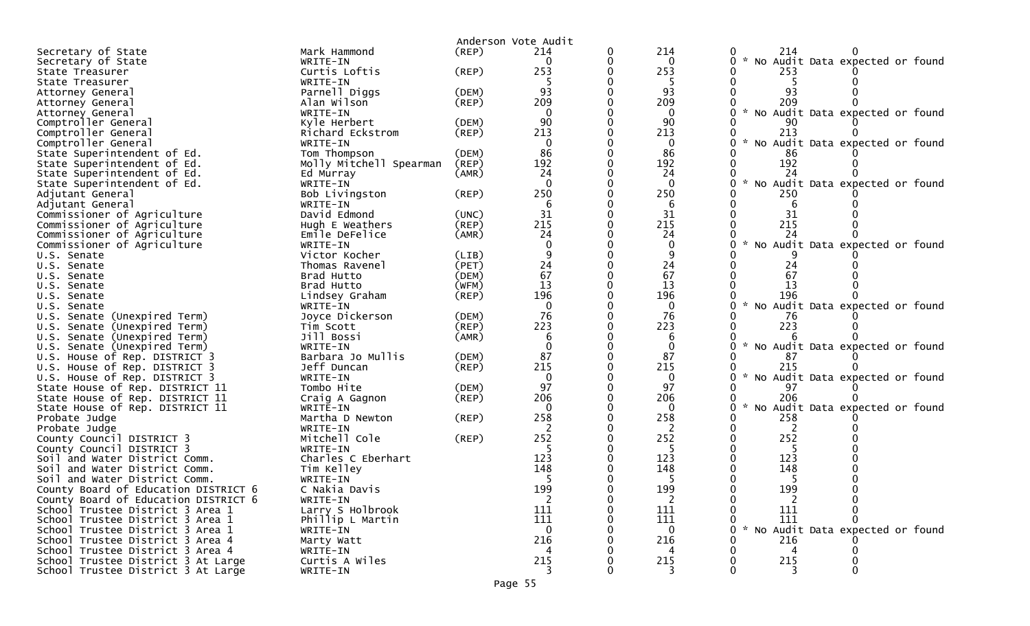|                                      |                         |             | Anderson Vote Audit                     |   |                |                                                  |
|--------------------------------------|-------------------------|-------------|-----------------------------------------|---|----------------|--------------------------------------------------|
| Secretary of State                   | Mark Hammond            | (REP)       | 214                                     | 0 | 214            | 214                                              |
| Secretary of State                   | WRITE-IN                |             | $\Omega$                                | 0 | 0              | $\sim$<br>No Audit Data expected or found        |
| State Treasurer                      | Curtis Loftis           | (REP)       | 253                                     |   | 253            | 253                                              |
| State Treasurer                      | WRITE-IN                |             |                                         |   | -5             |                                                  |
| Attorney General                     | Parnell Diggs           | (DEM)       | 93                                      |   | 93             | 93                                               |
| Attorney General                     | Alan Wilson             | (REP)       | 209                                     |   | 209            | 209                                              |
| Attorney General                     | WRITE-IN                |             | $\overline{0}$                          |   | $\mathbf{0}$   | * No Audit Data expected or found                |
| Comptroller General                  | Kyle Herbert            | (DEM)       | 90                                      |   | 90             |                                                  |
| Comptroller General                  | Richard Eckstrom        | (REP)       | 213                                     |   | 213            | 213                                              |
| Comptroller General                  | WRITE-IN                |             | $\Omega$                                |   | $\mathbf{0}$   | * No Audit Data expected or found                |
| State Superintendent of Ed.          | Tom Thompson            | (DEM)       | 86                                      |   | 86             | 86                                               |
| State Superintendent of Ed.          | Molly Mitchell Spearman | (REP)       | 192                                     |   | 192            | 192                                              |
| State Superintendent of Ed.          | Ed Murray               | (AMR)       | 24                                      |   | 24             | 24                                               |
| State Superintendent of Ed.          | WRITE-IN                |             | $\Omega$                                |   | $\Omega$       | $\sim$<br>No Audit Data expected or found        |
| Adjutant General                     | Bob Livingston          | (REP)       | 250                                     |   | 250            | 250                                              |
| Adjutant General                     | WRITE-IN                |             | 6                                       |   | 6              |                                                  |
| Commissioner of Agriculture          | David Edmond            | (UNC)       | 31                                      |   | 31             | 31                                               |
| Commissioner of Agriculture          | Hugh E Weathers         | (REP)       | 215                                     |   | 215            | 215                                              |
| Commissioner of Agriculture          | Emile DeFelice          | (AMR)       | 24                                      |   | 24             | 24                                               |
| Commissioner of Agriculture          | WRITE-IN                |             |                                         |   |                | No Audit Data expected or found                  |
| U.S. Senate                          | Victor Kocher           | (LIB)       |                                         |   |                |                                                  |
| U.S. Senate                          | Thomas Ravenel          | (PET)       | $\begin{array}{c} 24 \\ 67 \end{array}$ |   | 24             | 24                                               |
| U.S. Senate                          | Brad Hutto              | (DEM)       |                                         |   | 67             | 67                                               |
| U.S. Senate                          | Brad Hutto              | (WFM)       | 13                                      |   | 13             | 13                                               |
| U.S. Senate                          | Lindsey Graham          | $($ REP $)$ | 196                                     |   | 196            | 196                                              |
| U.S. Senate                          | WRITE-IN                |             |                                         |   | 0              | No Audit Data expected or found                  |
| U.S. Senate (Unexpired Term)         | Joyce Dickerson         | (DEM)       | 76                                      |   | 76             | 76                                               |
| U.S. Senate (Unexpired Term)         | Tim Scott               | (REP)       | 223                                     |   | 223            | 223                                              |
| U.S. Senate (Unexpired Term)         | Jill Bossi              | (AMR)       |                                         |   | 6              |                                                  |
| U.S. Senate (Unexpired Term)         | WRITE-IN                |             |                                         |   | $\mathbf{0}$   | * No Audit Data expected or found                |
| U.S. House of Rep. DISTRICT 3        | Barbara Jo Mullis       | (DEM)       | 87                                      |   | 87             |                                                  |
| U.S. House of Rep. DISTRICT 3        | Jeff Duncan             | $($ REP $)$ | 215                                     |   | 215            | 215                                              |
| U.S. House of Rep. DISTRICT 3        | WRITE-IN                |             | $\Omega$                                |   | 0              | * No Audit Data expected or found                |
| State House of Rep. DISTRICT 11      | Tombo Hite              | (DEM)       | 97                                      |   | 97             | 97                                               |
| State House of Rep. DISTRICT 11      | Craig A Gagnon          | $($ REP $)$ | 206                                     |   | 206            | 206                                              |
| State House of Rep. DISTRICT 11      | WRITE-IN                |             | $\Omega$                                |   | 0              | $\mathcal{H}$<br>No Audit Data expected or found |
| Probate Judge                        | Martha D Newton         | (REP)       | 258                                     |   | 258            | 258                                              |
| Probate Judge                        | WRITE-IN                |             |                                         |   |                | 2                                                |
| County Council DISTRICT 3            | Mitchell Cole           | $($ REP $)$ | 252                                     |   | 252            | 252                                              |
| County Council DISTRICT 3            | WRITE-IN                |             |                                         |   | 5              |                                                  |
| Soil and Water District Comm.        | Charles C Eberhart      |             | 123                                     |   | 123            | 123                                              |
| Soil and Water District Comm.        | Tim Kelley              |             | 148                                     |   | 148            | 148                                              |
| Soil and Water District Comm.        | WRITE-IN                |             |                                         |   |                |                                                  |
| County Board of Education DISTRICT 6 | C Nakia Davis           |             | 199                                     |   | 199            | 199                                              |
| County Board of Education DISTRICT 6 | WRITE-IN                |             | $\overline{2}$                          | 0 | $\overline{2}$ | $\overline{2}$                                   |
| School Trustee District 3 Area 1     | Larry S Holbrook        |             | 111                                     |   | 111            | 111                                              |
| School Trustee District 3 Area 1     | Phillip L Martin        |             | 111                                     |   | 111            | 111                                              |
| School Trustee District 3 Area 1     | WRITE-IN                |             | $\Omega$                                |   | 0              | * No Audit Data expected or found                |
| School Trustee District 3 Area 4     | Marty Watt              |             | 216                                     |   | 216            | 216                                              |
| School Trustee District 3 Area 4     | WRITE-IN                |             |                                         |   |                |                                                  |
| School Trustee District 3 At Large   | Curtis A Wiles          |             | 215                                     |   | 215            | 215                                              |
| School Trustee District 3 At Large   | WRITE-IN                |             |                                         |   |                |                                                  |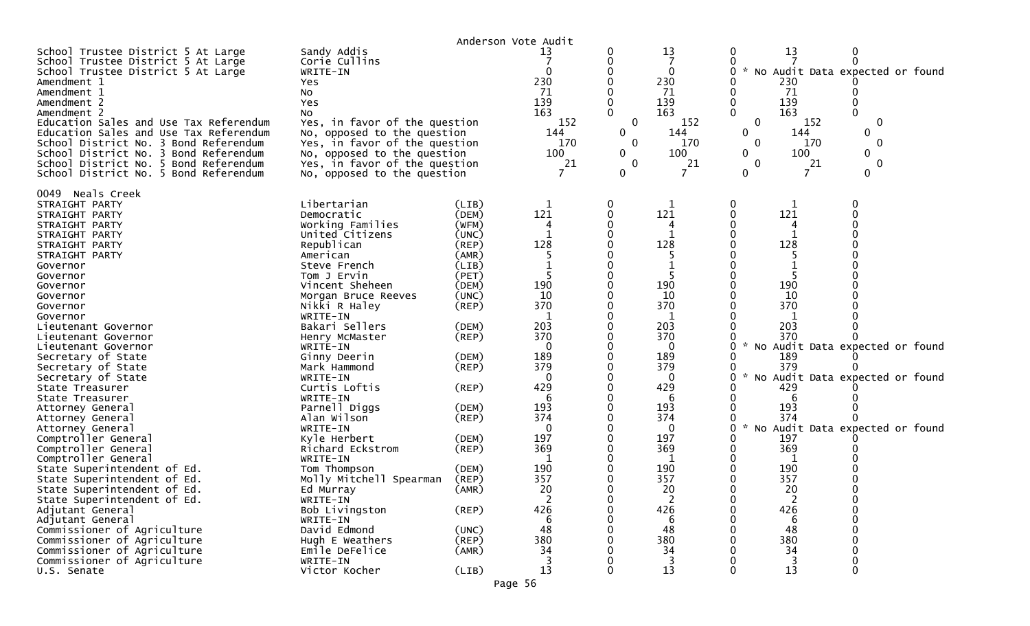|                                                                                                                                                                                                                                                                                                                                                                                                                                                                                                                                                                                                                                                                                                                                                                                                                                   |                                                                                                                                                                                                                                                                                                                                                                                                                                                                                                                                                                                                           |                                                                                                                                                                                                                                                                                  | Anderson Vote Audit                                                                                                                                                                                                          |                                                                                           |                                                                                                                                                                                                                        |                                                             |                                                                                                                                                                       |                                                                                                       |  |
|-----------------------------------------------------------------------------------------------------------------------------------------------------------------------------------------------------------------------------------------------------------------------------------------------------------------------------------------------------------------------------------------------------------------------------------------------------------------------------------------------------------------------------------------------------------------------------------------------------------------------------------------------------------------------------------------------------------------------------------------------------------------------------------------------------------------------------------|-----------------------------------------------------------------------------------------------------------------------------------------------------------------------------------------------------------------------------------------------------------------------------------------------------------------------------------------------------------------------------------------------------------------------------------------------------------------------------------------------------------------------------------------------------------------------------------------------------------|----------------------------------------------------------------------------------------------------------------------------------------------------------------------------------------------------------------------------------------------------------------------------------|------------------------------------------------------------------------------------------------------------------------------------------------------------------------------------------------------------------------------|-------------------------------------------------------------------------------------------|------------------------------------------------------------------------------------------------------------------------------------------------------------------------------------------------------------------------|-------------------------------------------------------------|-----------------------------------------------------------------------------------------------------------------------------------------------------------------------|-------------------------------------------------------------------------------------------------------|--|
| School Trustee District 5 At Large<br>School Trustee District 5 At Large<br>School Trustee District 5 At Large<br>Amendment 1<br>Amendment 1<br>Amendment 2<br>Amendment 2<br>Education Sales and Use Tax Referendum<br>Education Sales and Use Tax Referendum<br>School District No. 3 Bond Referendum<br>School District No. 3 Bond Referendum<br>School District No. 5 Bond Referendum<br>School District No. 5 Bond Referendum                                                                                                                                                                                                                                                                                                                                                                                                | Sandy Addis<br>Corie Cullins<br>WRITE-IN<br>Yes<br>No<br>Yes<br>No<br>Yes, in favor of the question<br>No, opposed to the question<br>Yes, in favor of the question<br>No, opposed to the question<br>Yes, in favor of the question<br>No, opposed to the question                                                                                                                                                                                                                                                                                                                                        |                                                                                                                                                                                                                                                                                  | 13<br>$\Omega$<br>230<br>71<br>139<br>163<br>152<br>144<br>170<br>100<br>21                                                                                                                                                  | 0<br>0<br>0<br>0<br>0<br>$\mathbf{0}$<br>$\mathbf 0$<br>$\mathbf{0}$<br>$\mathbf{0}$<br>0 | 13<br>$\mathbf{0}$<br>230<br>71<br>139<br>163<br>152<br>144<br>170<br>100<br>21                                                                                                                                        | 0<br>$\mathcal{H}$<br>0<br>0<br>0<br>0<br>$\mathbf{0}$<br>0 | 13<br>230<br>71<br>139<br>163<br>152<br>144<br>170<br>100<br>21<br>7                                                                                                  | No Audit Data expected or found<br>0<br>0<br>0<br>0<br>$\mathbf{0}$<br>0                              |  |
| 0049 Neals Creek<br>STRAIGHT PARTY<br>STRAIGHT PARTY<br>STRAIGHT PARTY<br>STRAIGHT PARTY<br>STRAIGHT PARTY<br>STRAIGHT PARTY<br>Governor<br>Governor<br>Governor<br>Governor<br>Governor<br>Governor<br>Lieutenant Governor<br>Lieutenant Governor<br>Lieutenant Governor<br>Secretary of State<br>Secretary of State<br>Secretary of State<br>State Treasurer<br>State Treasurer<br>Attorney General<br>Attorney General<br>Attorney General<br>Comptroller General<br>Comptroller General<br>Comptroller General<br>State Superintendent of Ed.<br>State Superintendent of Ed.<br>State Superintendent of Ed.<br>State Superintendent of Ed.<br>Adjutant General<br>Adjutant General<br>Commissioner of Agriculture<br>Commissioner of Agriculture<br>Commissioner of Agriculture<br>Commissioner of Agriculture<br>U.S. Senate | Libertarian<br>Democratic<br>Working Families<br>United Citizens<br>Republican<br>American<br>Steve French<br>Tom J Ervin<br>Vincent Sheheen<br>Morgan Bruce Reeves<br>Nikki R Haley<br>WRITE-IN<br>Bakari Sellers<br>Henry McMaster<br>WRITE-IN<br>Ginny Deerin<br>Mark Hammond<br>WRITE-IN<br>Curtis Loftis<br>WRITE-IN<br>Parnell Diggs<br>Alan Wilson<br>WRITE-IN<br>Kyle Herbert<br>Richard Eckstrom<br>WRITE-IN<br>Tom Thompson<br>Molly Mitchell Spearman<br>Ed Murray<br>WRITE-IN<br>Bob Livingston<br>WRITE-IN<br>David Edmond<br>Hugh E Weathers<br>Emile DeFelice<br>WRITE-IN<br>Victor Kocher | (LIB)<br>(DEM)<br>(WFM)<br>(UNC)<br>(REP)<br>(AMR)<br>(LIB)<br>(PET)<br>(DEM)<br>(UNC)<br>$($ REP $)$<br>(DEM)<br>(REP)<br>(DEM)<br>$($ REP $)$<br>(REP)<br>(DEM)<br>(REP)<br>(DEM)<br>(REP)<br>(DEM)<br>(REP)<br>(AMR)<br>$($ REP $)$<br>(UNC)<br>$($ REP $)$<br>(AMR)<br>(LIB) | 1<br>121<br>128<br>-1<br>190<br>10<br>370<br>-1<br>203<br>370<br>$\Omega$<br>189<br>379<br>0<br>429<br>6<br>193<br>374<br>$\Omega$<br>197<br>369<br>190<br>357<br>20<br>$\overline{2}$<br>426<br>-6<br>48<br>380<br>34<br>13 | 0<br>0<br>$\Omega$<br>0<br>0                                                              | 121<br>128<br>190<br>10<br>370<br>1<br>203<br>370<br>$\Omega$<br>189<br>379<br>$\Omega$<br>429<br>6<br>193<br>374<br>$\Omega$<br>197<br>369<br>190<br>357<br>20<br>$\overline{2}$<br>426<br>6<br>48<br>380<br>34<br>13 | 0                                                           | 121<br>128<br>190<br>10<br>370<br>1<br>203<br>370<br>189<br>379<br>429<br>6<br>193<br>374<br>197<br>369<br>190<br>357<br>20<br>2<br>426<br>6<br>48<br>380<br>34<br>13 | No Audit Data expected or found<br>No Audit Data expected or found<br>No Audit Data expected or found |  |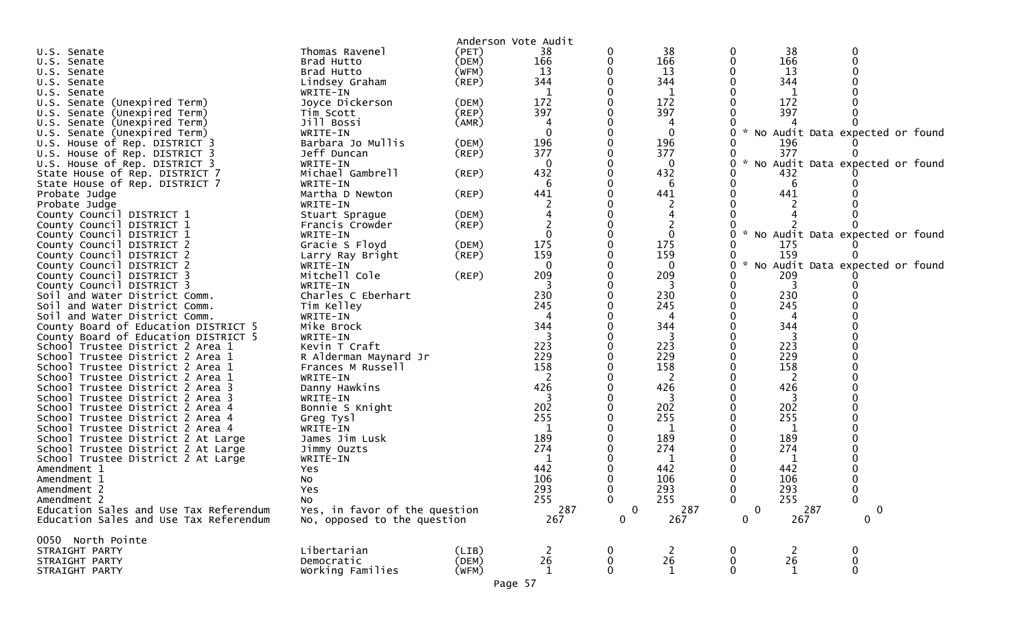|                                        |                               | Anderson Vote Audit |                     |                          |                    |                            |                |                                   |
|----------------------------------------|-------------------------------|---------------------|---------------------|--------------------------|--------------------|----------------------------|----------------|-----------------------------------|
| U.S. Senate                            | Thomas Ravenel                | (PET)               | 38                  | 0                        | 38                 |                            | 38             | 0                                 |
| U.S. Senate                            | Brad Hutto                    | (DEM)               | 166                 |                          | 166                |                            | 166            |                                   |
| U.S. Senate                            | Brad Hutto                    | (WFM)               | 13                  |                          | 13                 |                            | 13             |                                   |
| U.S. Senate                            | Lindsey Graham                | (REP)               | 344                 |                          | 344                |                            | 344            |                                   |
| U.S. Senate                            | WRITE-IN                      |                     | $\mathbf 1$         |                          | 1                  |                            | 1              |                                   |
| U.S. Senate (Unexpired Term)           | Joyce Dickerson               | (DEM)               | 172                 |                          | 172                |                            | 172            |                                   |
| U.S. Senate (Unexpired Term)           | Tim Scott                     | (REP)               | 397                 |                          | 397                |                            | 397            |                                   |
| U.S. Senate (Unexpired Term)           | Jill Bossi                    | (AMR)               | 4                   |                          | 4                  |                            |                |                                   |
| U.S. Senate (Unexpired Term)           | WRITE-IN                      |                     | $\mathbf 0$         |                          | 0                  |                            |                | * No Audit Data expected or found |
| U.S. House of Rep. DISTRICT 3          | Barbara Jo Mullis             | (DEM)               | 196                 |                          | 196                |                            | 196            |                                   |
| U.S. House of Rep. DISTRICT 3          | Jeff Duncan                   | (REP)               | 377                 |                          | 377                |                            | 377            | ∩                                 |
| U.S. House of Rep. DISTRICT 3          | WRITE-IN                      |                     | 0                   |                          | 0                  | 0                          |                | No Audit Data expected or found   |
| State House of Rep. DISTRICT 7         | Michael Gambrell              | (REP)               | 432                 |                          | 432                |                            | 432            |                                   |
| State House of Rep. DISTRICT 7         | WRITE-IN                      |                     | 6                   |                          | 6                  |                            | 6              |                                   |
| Probate Judge                          | Martha D Newton               | (REP)               | 441                 |                          | 441                |                            | 441            |                                   |
|                                        |                               |                     |                     |                          |                    |                            |                |                                   |
| Probate Judge                          | WRITE-IN                      |                     |                     |                          |                    |                            |                |                                   |
| County Council DISTRICT 1              | Stuart Sprague                | (DEM)               |                     |                          |                    |                            |                |                                   |
| County Council DISTRICT 1              | Francis Crowder               | (REP)               |                     |                          |                    |                            |                |                                   |
| County Council DISTRICT 1              | WRITE-IN                      |                     | $\mathbf{0}$        |                          | $\mathbf{0}$       | 0                          |                | * No Audit Data expected or found |
| County Council DISTRICT 2              | Gracie S Floyd                | (DEM)               | 175                 |                          | 175                |                            | 175            |                                   |
| County Council DISTRICT 2              | Larry Ray Bright              | (REP)               | 159                 |                          | 159                |                            | 159            |                                   |
| County Council DISTRICT 2              | WRITE-IN                      |                     | $\mathbf 0$         |                          | $\bf{0}$           | 0                          |                | * No Audit Data expected or found |
| County Council DISTRICT 3              | Mitchell Cole                 | (REP)               | 209                 |                          | 209                |                            | 209            |                                   |
| County Council DISTRICT 3              | WRITE-IN                      |                     |                     |                          |                    |                            | 3              |                                   |
| Soil and Water District Comm.          | Charles C Eberhart            |                     | 230                 |                          | 230                |                            | 230            |                                   |
| Soil and Water District Comm.          | Tim Kelley                    |                     | 245                 |                          | 245                |                            | 245            |                                   |
| Soil and Water District Comm.          | WRITE-IN                      |                     |                     |                          |                    |                            |                |                                   |
| County Board of Education DISTRICT 5   | Mike Brock                    |                     | 344                 |                          | 344                |                            | 344            |                                   |
| County Board of Education DISTRICT 5   | WRITE-IN                      |                     |                     |                          | -3                 |                            | 3              |                                   |
| School Trustee District 2 Area 1       | Kevin T Craft                 |                     | 223                 |                          | 223                |                            | 223            |                                   |
| School Trustee District 2 Area 1       | R Alderman Maynard Jr         |                     | 229                 |                          | 229                |                            | 229            |                                   |
| School Trustee District 2 Area 1       | Frances M Russell             |                     | 158                 |                          | 158                |                            | 158            |                                   |
| School Trustee District 2 Area 1       | WRITE-IN                      |                     |                     |                          |                    |                            |                |                                   |
| School Trustee District 2 Area 3       | Danny Hawkins                 |                     | 426                 |                          | 426                |                            | 426            |                                   |
| School Trustee District 2 Area 3       | WRITE-IN                      |                     |                     |                          | -3                 |                            | -3             |                                   |
| School Trustee District 2 Area 4       | Bonnie S Knight               |                     | 202                 |                          | 202                |                            | 202            |                                   |
| School Trustee District 2 Area 4       | Greg Tysl                     |                     | 255                 |                          | 255                |                            | 255            |                                   |
| School Trustee District 2 Area 4       | WRITE-IN                      |                     |                     |                          | 1                  |                            | 1              |                                   |
| School Trustee District 2 At Large     | James Jim Lusk                |                     | 189                 |                          | 189                |                            | 189            |                                   |
| School Trustee District 2 At Large     | Jimmy Ouzts                   |                     | 274                 |                          | 274                |                            | 274            |                                   |
| School Trustee District 2 At Large     | WRITE-IN                      |                     |                     |                          | 1                  |                            | 1              |                                   |
| Amendment 1                            | Yes                           |                     | 442                 |                          | 442                |                            | 442            |                                   |
| Amendment 1                            | No                            |                     | 106                 |                          | 106                |                            | 106            |                                   |
| Amendment 2                            | Yes                           |                     | 293                 | 0                        | 293                | 0                          | 293            | $\Omega$                          |
| Amendment 2                            | No                            |                     | 255                 | 0                        | 255                | 0                          | 255            | $\bf{0}$                          |
| Education Sales and Use Tax Referendum | Yes, in favor of the question |                     | 287                 | $\mathbf 0$              | 287                | $\pmb{0}$                  | 287            | 0                                 |
| Education Sales and Use Tax Referendum |                               |                     | 267                 | $\mathbf 0$              | 267                | 0                          | 267            | 0                                 |
|                                        | No, opposed to the question   |                     |                     |                          |                    |                            |                |                                   |
| 0050 North Pointe                      |                               |                     |                     |                          |                    |                            |                |                                   |
| STRAIGHT PARTY                         | Libertarian                   | (LIB)               | $\overline{2}$      | 0                        | $\overline{2}$     | 0                          | $\overline{2}$ | 0                                 |
| STRAIGHT PARTY                         | Democratic                    | (DEM)               | $^{\rm 26}_{\rm 1}$ | $\bf{0}$<br>$\mathbf{0}$ | 26<br>$\mathbf{1}$ | $\mathbf 0$<br>$\mathbf 0$ | 26<br>1        | $\mathbf 0$<br>$\mathbf 0$        |
| STRAIGHT PARTY                         | Working Families              | (WFM)               |                     |                          |                    |                            |                |                                   |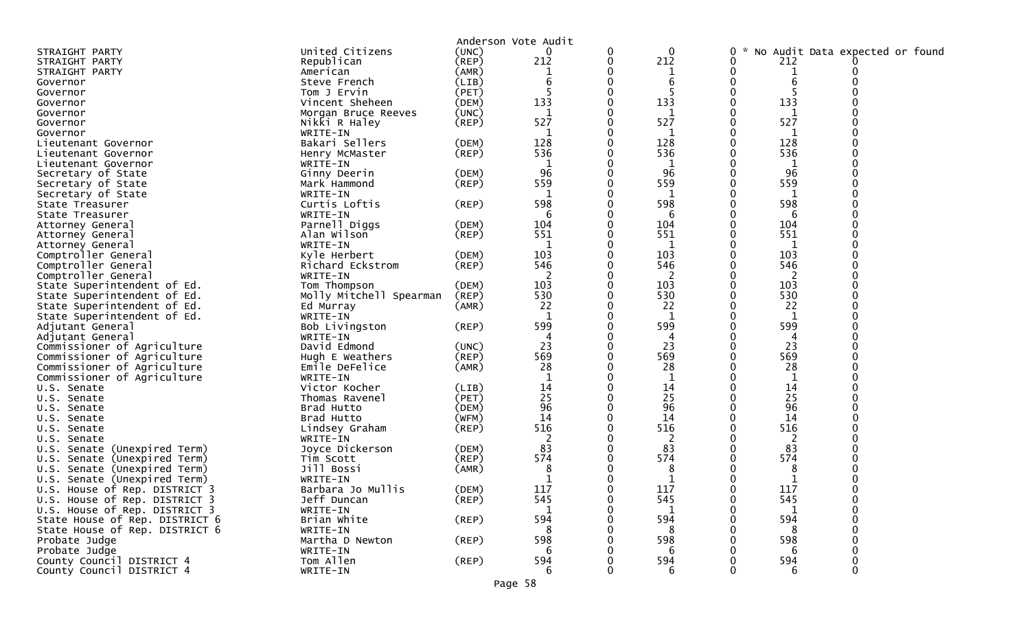|                                 |                         |             | Anderson Vote Audit |   |                |                                      |   |  |
|---------------------------------|-------------------------|-------------|---------------------|---|----------------|--------------------------------------|---|--|
| STRAIGHT PARTY                  | United Citizens         | (UNC)       | 0                   | 0 | $\mathbf 0$    | No Audit Data expected or found<br>0 |   |  |
| STRAIGHT PARTY                  | Republican              | (REP)       | 212                 | 0 | 212            | 0<br>212                             |   |  |
| STRAIGHT PARTY                  | American                | (AMR)       |                     |   | $\mathbf{1}$   | 0                                    |   |  |
| Governor                        | Steve French            | (LIB)       | 6                   |   | 6              | 6                                    |   |  |
| Governor                        | Tom J Ervin             | (PET)       |                     |   |                |                                      |   |  |
| Governor                        | Vincent Sheheen         | (DEM)       | 133                 |   | 133            | 133<br>0                             |   |  |
| Governor                        | Morgan Bruce Reeves     | (UNC)       |                     |   | 1              |                                      |   |  |
| Governor                        | Nikki R Haley           | $($ REP $)$ | 527                 |   | 527            | 527                                  |   |  |
|                                 |                         |             | 1                   |   | 1              |                                      |   |  |
| Governor                        | WRITE-IN                |             | 128                 |   | 128            | 1<br>128                             |   |  |
| Lieutenant Governor             | Bakari Sellers          | (DEM)       |                     |   |                |                                      |   |  |
| Lieutenant Governor             | Henry McMaster          | $($ REP $)$ | 536                 |   | 536            | 536                                  |   |  |
| Lieutenant Governor             | WRITE-IN                |             | 1                   |   | 1              | 1                                    |   |  |
| Secretary of State              | Ginny Deerin            | (DEM)       | 96                  |   | 96             | 96                                   |   |  |
| Secretary of State              | Mark Hammond            | $($ REP $)$ | 559                 |   | 559            | 559                                  |   |  |
| Secretary of State              | WRITE-IN                |             | 1                   |   | 1              | 1                                    |   |  |
| State Treasurer                 | Curtis Loftis           | $($ REP $)$ | 598                 |   | 598            | 598                                  |   |  |
| State Treasurer                 | WRITE-IN                |             | 6                   |   | 6              | 6                                    |   |  |
| Attorney General                | Parnell Diggs           | (DEM)       | 104                 |   | 104            | 104                                  |   |  |
| Attorney General                | Alan Wilson             | $($ REP $)$ | 551                 |   | 551            | 551                                  |   |  |
| Attorney General                | WRITE-IN                |             |                     |   |                |                                      |   |  |
| Comptroller General             | Kyle Herbert            | (DEM)       | 103                 |   | 103            | 103                                  |   |  |
| Comptroller General             | Richard Eckstrom        | $($ REP $)$ | 546                 |   | 546            | 546                                  |   |  |
| Comptroller General             | WRITE-IN                |             |                     |   | 2              | 2                                    |   |  |
| State Superintendent of Ed.     | Tom Thompson            | (DEM)       | 103                 |   | 103            | 103                                  |   |  |
| State Superintendent of Ed.     | Molly Mitchell Spearman | (REP)       | 530                 |   | 530            | 530                                  |   |  |
| State Superintendent of Ed.     | Ed Murray               | (AMR)       | 22                  |   | 22             | 22                                   |   |  |
| State Superintendent of Ed.     | WRITE-IN                |             | $\mathbf 1$         |   | 1              | 1                                    |   |  |
| Adjutant General                | Bob Livingston          | $($ REP $)$ | 599                 |   | 599            | 599                                  |   |  |
| Adjutant General                | WRITE-IN                |             |                     |   |                |                                      |   |  |
| Commissioner of Agriculture     | David Edmond            | (UNC)       | 23                  |   | 23             | 23                                   |   |  |
| Commissioner of Agriculture     | Hugh E Weathers         | $($ REP $)$ | 569                 |   | 569            | 569                                  |   |  |
| Commissioner of Agriculture     | Emile DeFelice          | (AMR)       | 28                  |   | 28             | 28                                   |   |  |
| Commissioner of Agriculture     | WRITE-IN                |             |                     |   | $\mathbf{1}$   | 1                                    |   |  |
| U.S. Senate                     | Victor Kocher           | (LIB)       | 14                  |   | 14             | 14                                   |   |  |
| U.S. Senate                     | Thomas Ravenel          | (PET)       | 25                  |   | 25             | 25                                   |   |  |
|                                 | Brad Hutto              | (DEM)       | 96                  |   | 96             | 96                                   |   |  |
| U.S. Senate                     | Brad Hutto              |             | 14                  |   | 14             | 14                                   |   |  |
| U.S. Senate                     |                         | (WFM)       | 516                 |   | 516            | 516                                  |   |  |
| U.S. Senate                     | Lindsey Graham          | $($ REP $)$ |                     |   |                |                                      |   |  |
| U.S. Senate                     | WRITE-IN                |             | 2                   |   | $\overline{c}$ | 2                                    |   |  |
| U.S. Senate (Unexpired Term)    | Joyce Dickerson         | (DEM)       | 83                  |   | 83             | 83                                   |   |  |
| U.S. Senate (Unexpired Term)    | Tim Scott               | (REP)       | 574                 |   | 574            | 574                                  |   |  |
| Senate (Unexpired Term)<br>U.S. | Jill Bossi              | (AMR)       | 8                   |   | 8              | 8                                    |   |  |
| U.S. Senate (Unexpired Term)    | WRITE-IN                |             |                     |   |                |                                      |   |  |
| U.S. House of Rep. DISTRICT 3   | Barbara Jo Mullis       | (DEM)       | 117                 |   | 117            | 117                                  |   |  |
| U.S. House of Rep. DISTRICT 3   | Jeff Duncan             | (REP)       | 545                 |   | 545            | 545<br>0                             |   |  |
| U.S. House of Rep. DISTRICT 3   | WRITE-IN                |             |                     |   |                |                                      |   |  |
| State House of Rep. DISTRICT 6  | Brian White             | $($ REP $)$ | 594                 |   | 594            | 594                                  |   |  |
| State House of Rep. DISTRICT 6  | WRITE-IN                |             | 8                   |   | 8              | 8                                    |   |  |
| Probate Judge                   | Martha D Newton         | $($ REP $)$ | 598                 |   | 598            | 598                                  |   |  |
| Probate Judge                   | WRITE-IN                |             | 6                   |   | 6              | 6                                    |   |  |
| County Council DISTRICT 4       | Tom Allen               | $($ REP $)$ | 594                 |   | 594            | 594                                  |   |  |
| County Council DISTRICT 4       | WRITE-IN                |             | 6                   |   | 6              | 6                                    | 0 |  |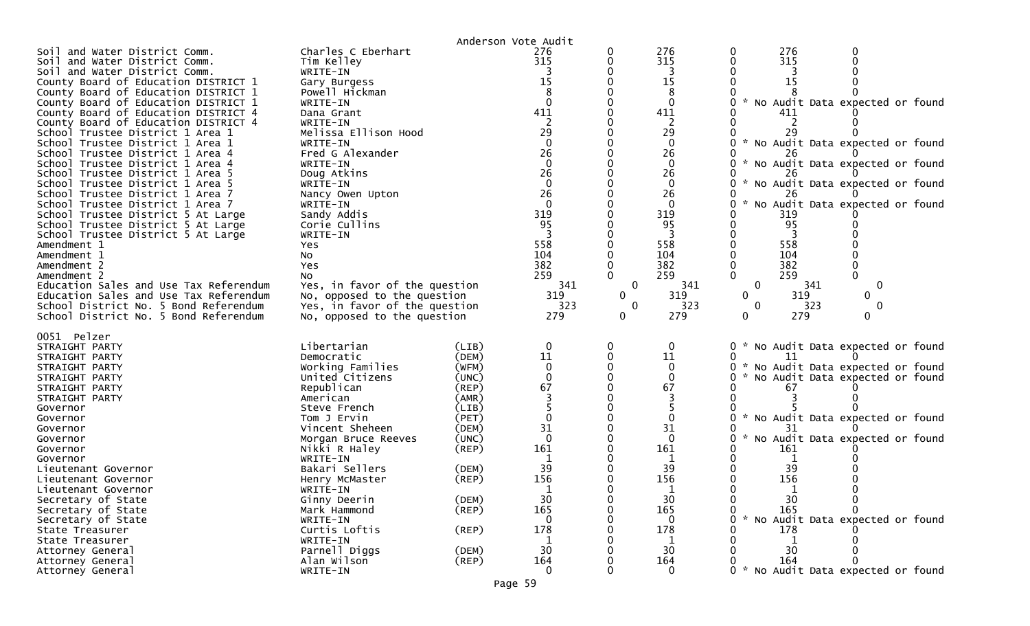|                                                                          |                                        |                | Anderson Vote Audit |              |                   |                                                  |
|--------------------------------------------------------------------------|----------------------------------------|----------------|---------------------|--------------|-------------------|--------------------------------------------------|
| and Water District Comm.<br>Soil                                         | Charles C Eberhart                     |                | 276                 |              | 276               | 276<br>0                                         |
| Soil and Water District Comm.                                            | Tim Kelley                             |                | 315                 |              | 315               | 315<br>0                                         |
| Soil and Water District Comm.<br>County Board of Education DISTRICT 1    | WRITE-IN                               |                | 15                  |              | 15                | 15                                               |
| County Board of Education DISTRICT 1                                     | Gary Burgess<br>Powell Hickman         |                |                     |              | 8                 |                                                  |
| County Board of Education DISTRICT 1                                     | WRITE-IN                               |                | $\Omega$            |              | $\mathbf{0}$      | No Audit Data expected or found                  |
| County Board of Education DISTRICT 4                                     | Dana Grant                             |                | 411                 |              | 411               | 411                                              |
| County Board of Education DISTRICT 4                                     | WRITE-IN                               |                |                     |              | 2                 |                                                  |
| School Trustee District 1 Area 1                                         | Melissa Ellison Hood                   |                | 29                  |              | 29                | 29                                               |
| School Trustee District 1 Area 1                                         | WRITE-IN                               |                | $\Omega$            |              | $\mathbf{0}$      | * No Audit Data expected or found                |
| School Trustee District 1 Area 4                                         | Fred G Alexander                       |                | 26                  |              | 26                |                                                  |
| School Trustee District 1 Area 4                                         | WRITE-IN                               |                | $\Omega$            |              | $\Omega$          | $\sim$<br>No Audit Data expected or found        |
| School Trustee District 1 Area 5                                         | Doug Atkins                            |                | 26                  |              | 26                |                                                  |
| School Trustee District 1 Area 5                                         | WRITE-IN                               |                |                     |              | 0                 | No Audit Data expected or found                  |
| School Trustee District 1 Area 7                                         | Nancy Owen Upton                       |                | 26                  |              | 26                | 26                                               |
| School Trustee District 1 Area 7                                         | WRITE-IN                               |                | $\Omega$            |              | $\mathbf{0}$      | No Audit Data expected or found<br>$\mathcal{H}$ |
| School Trustee District 5 At Large                                       | Sandy Addis                            |                | 319<br>95           |              | 319<br>95         | 319<br>95                                        |
| School Trustee District 5 At Large<br>School Trustee District 5 At Large | Corie Cullins<br>WRITE-IN              |                |                     |              |                   |                                                  |
| Amendment 1                                                              | Yes                                    |                | 558                 |              | 558               | 558                                              |
| Amendment 1                                                              | NO.                                    |                | 104                 |              | 104               | 104                                              |
| Amendment 2                                                              | Yes                                    |                | 382                 |              | 382               | 382                                              |
| Amendment 2                                                              | No                                     |                | 259                 |              | 259               | 259                                              |
| Education Sales and Use Tax Referendum                                   | Yes, in favor of the question          |                | 341                 | 0            | 341               | 341<br>$\mathbf 0$<br>0                          |
| Education Sales and Use Tax Referendum                                   | No, opposed to the question            |                | 319                 | $\mathbf{0}$ | 319               | $\mathbf 0$<br>319<br>0                          |
| School District No. 5 Bond Referendum                                    | Yes, in favor of the question          |                | 323                 | 0            | 323               | $\mathbf 0$<br>323<br>0                          |
| School District No. 5 Bond Referendum                                    | No, opposed to the question            |                | 279                 | 0            | 279               | 279<br>0<br>$\mathbf{0}$                         |
| 0051 Pelzer                                                              |                                        |                |                     |              |                   |                                                  |
| STRAIGHT PARTY                                                           | Libertarian                            | (LIB)          |                     |              | 0                 | * No Audit Data expected or found<br>0           |
| STRAIGHT PARTY                                                           | Democratic                             | (DEM)          | 11                  |              | 11                | O                                                |
| STRAIGHT PARTY                                                           | Working Families                       | (WFM)          |                     |              | $\mathbf 0$       | * No Audit Data expected or found                |
| STRAIGHT PARTY                                                           | United Citizens                        | (UNC)          |                     |              | 0                 | 0<br>No Audit Data expected or found             |
| STRAIGHT PARTY                                                           | Republican                             | $($ REP $)$    | 67                  |              | 67                | 67                                               |
| STRAIGHT PARTY                                                           | American                               | (AMR)          |                     |              |                   |                                                  |
| Governor                                                                 | Steve French                           | (LIB)          |                     |              |                   |                                                  |
| Governor                                                                 | Tom J Ervin                            | (PET)          |                     |              |                   | * No Audit Data expected or found                |
| Governor                                                                 | Vincent Sheheen<br>Morgan Bruce Reeves | (DEM)<br>(UNC) | 31<br>$\Omega$      |              | 31<br>$\mathbf 0$ | No Audit Data expected or found<br>o             |
| Governor<br>Governor                                                     | Nikki R Haley                          | $($ REP $)$    | 161                 |              | 161               | 161                                              |
| Governor                                                                 | WRITE-IN                               |                |                     |              |                   |                                                  |
| Lieutenant Governor                                                      | Bakari Sellers                         | (DEM)          | 39                  |              | 39                | 39                                               |
| Lieutenant Governor                                                      | Henry McMaster                         | $($ REP $)$    | 156                 |              | 156               | 156                                              |
| Lieutenant Governor                                                      | WRITE-IN                               |                |                     |              |                   |                                                  |
| Secretary of State                                                       | Ginny Deerin                           | (DEM)          | 30                  |              | 30                | 30<br>0<br>$\mathbf 0$                           |
| Secretary of State                                                       |                                        |                |                     |              | 165               |                                                  |
| Secretary of State                                                       | Mark Hammond                           | $($ REP $)$    | 165                 |              |                   | 165                                              |
|                                                                          | WRITE-IN                               |                |                     |              | 0                 | No Audit Data expected or found<br>0             |
| State Treasurer                                                          | Curtis Loftis                          | $($ REP $)$    | 178                 |              | 178               | 178                                              |
| State Treasurer                                                          | WRITE-IN                               |                |                     |              | 1                 |                                                  |
| Attorney General                                                         | Parnell Diggs                          | (DEM)          | 30                  |              | 30                | 30                                               |
| Attorney General<br>Attorney General                                     | Alan Wilson<br>WRITE-IN                | $($ REP $)$    | 164<br>0            |              | 164<br>$\Omega$   | 164<br>* No Audit Data expected or found         |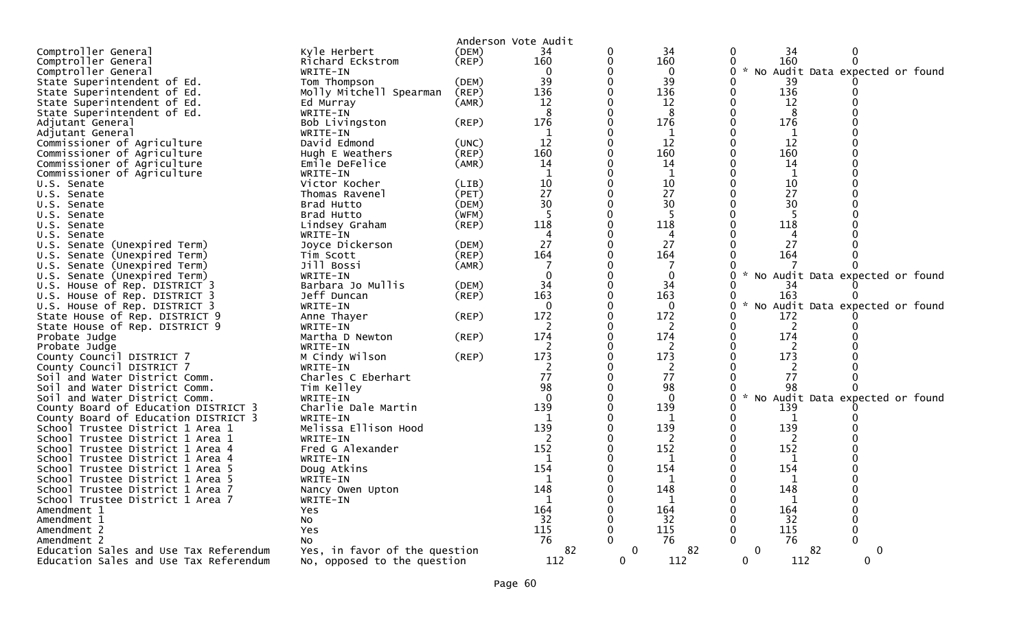|                                        |                               |             | Anderson Vote Audit |             |              |                                                  |
|----------------------------------------|-------------------------------|-------------|---------------------|-------------|--------------|--------------------------------------------------|
| Comptroller General                    | Kyle Herbert                  | (DEM)       | 34                  |             | 34           | 34<br>0                                          |
| Comptroller General                    | Richard Eckstrom              | (REP)       | 160                 |             | 160          | 160                                              |
| Comptroller General                    | WRITE-IN                      |             |                     |             | 0            | No Audit Data expected or found<br>$\mathcal{H}$ |
| State Superintendent of Ed.            | Tom Thompson                  | (DEM)       | 39                  |             | 39           | 39                                               |
| State Superintendent of Ed.            | Molly Mitchell Spearman       | (REP)       | 136                 |             | 136          | 136                                              |
| State Superintendent of Ed.            | Ed Murray                     | (AMR)       | 12                  |             | 12           | 12                                               |
| State Superintendent of Ed.            | WRITE-IN                      |             | 8                   |             | 8            | 8                                                |
| Adjutant General                       | Bob Livingston                | (REP)       | 176                 |             | 176          | 176                                              |
| Adjutant General                       | WRITE-IN                      |             |                     |             | 1            | 1                                                |
| Commissioner of Agriculture            | David Edmond                  | (UNC)       | 12                  |             | 12           | 12                                               |
| Commissioner of Agriculture            | Hugh E Weathers               | (REP)       | 160                 |             | 160          | 160                                              |
| Commissioner of Agriculture            | Emile DeFelice                | (AMR)       | 14                  |             | 14           | 14                                               |
| Commissioner of Agriculture            | WRITE-IN                      |             |                     |             | $\mathbf 1$  | 1                                                |
| U.S. Senate                            | Victor Kocher                 | (LIB)       | 10                  |             | 10           | 10                                               |
| U.S. Senate                            | Thomas Ravenel                | (PET)       | 27                  |             | 27           | 27                                               |
| U.S. Senate                            | Brad Hutto                    | (DEM)       | 30                  |             | 30           | 30                                               |
| U.S. Senate                            | Brad Hutto                    | (WFM)       |                     |             |              |                                                  |
| U.S. Senate                            | Lindsey Graham                | $($ REP $)$ | 118                 |             | 118          | 118                                              |
| U.S. Senate                            | WRITE-IN                      |             | 4                   |             | 4            | 4                                                |
| U.S. Senate (Unexpired Term)           | Joyce Dickerson               | (DEM)       | 27                  |             | 27           | 27                                               |
| U.S. Senate (Unexpired Term)           | Tim Scott                     | (REP)       | 164                 |             | 164          | 164                                              |
| U.S. Senate (Unexpired Term)           | Jill Bossi                    | (AMR)       |                     |             |              |                                                  |
| U.S. Senate (Unexpired Term)           | WRITE-IN                      |             |                     |             | 0            | $\mathcal{H}$<br>No Audit Data expected or found |
| U.S. House of Rep. DISTRICT 3          | Barbara Jo Mullis             | (DEM)       | 34                  |             | 34           | 34                                               |
| U.S. House of Rep. DISTRICT 3          | Jeff Duncan                   | $($ REP $)$ | 163                 |             | 163          | 163                                              |
| U.S. House of Rep. DISTRICT 3          | WRITE-IN                      |             | $\Omega$            |             | $\Omega$     | No Audit Data expected or found                  |
| State House of Rep. DISTRICT 9         | Anne Thayer                   | $($ REP $)$ | 172                 |             | 172          | 172                                              |
| State House of Rep. DISTRICT 9         | WRITE-IN                      |             | 2                   |             | 2            | 2                                                |
| Probate Judge                          | Martha D Newton               | $($ REP $)$ | 174                 |             | 174          | 174                                              |
| Probate Judge                          | WRITE-IN                      |             | 2                   |             | 2            | 2                                                |
| County Council DISTRICT 7              | M Cindy Wilson                | (REP)       | 173                 |             | 173          | 173                                              |
| County Council DISTRICT 7              | WRITE-IN                      |             |                     |             | 2            | 2                                                |
| Soil and Water District Comm.          | Charles C Eberhart            |             | 77                  |             | 77           | 77                                               |
| Soil and Water District Comm.          | Tim Kelley                    |             | 98                  |             | 98           | 98                                               |
| Soil and Water District Comm.          | WRITE-IN                      |             |                     |             | $\Omega$     | No Audit Data expected or found<br>$\mathcal{H}$ |
| County Board of Education DISTRICT 3   | Charlie Dale Martin           |             | 139                 |             | 139          | 139                                              |
| County Board of Education DISTRICT 3   | WRITE-IN                      |             |                     |             | 1            | 1                                                |
| School Trustee District 1 Area 1       | Melissa Ellison Hood          |             | 139                 |             | 139          | 139                                              |
| School Trustee District 1 Area 1       | WRITE-IN                      |             | 2                   |             | 2            | 2                                                |
| School Trustee District 1 Area 4       | Fred G Alexander              |             | 152                 |             | 152          | 152                                              |
| School Trustee District 1 Area 4       | WRITE-IN                      |             |                     |             |              |                                                  |
| School Trustee District 1 Area 5       | Doug Atkins                   |             | 154                 |             | 154          | 154                                              |
| School Trustee District 1 Area 5       | WRITE-IN                      |             | 1                   |             | 1            | 1                                                |
| School Trustee District 1 Area 7       | Nancy Owen Upton              |             | 148                 |             | 148          | 148                                              |
| School Trustee District 1 Area 7       | WRITE-IN                      |             | 1                   |             | $\mathbf{1}$ | 1                                                |
| Amendment 1                            | Yes                           |             | 164                 |             | 164          | 164                                              |
| Amendment 1                            | <b>NO</b>                     |             | 32                  |             | 32           | 32                                               |
| Amendment 2                            | Yes                           |             | 115                 |             | 115          | 115                                              |
| Amendment 2                            | <b>NO</b>                     |             | 76                  |             | 76           | 76                                               |
| Education Sales and Use Tax Referendum | Yes, in favor of the question |             | 82                  | $\mathbf 0$ | 82           | $\mathbf{0}$<br>82<br>0                          |
| Education Sales and Use Tax Referendum | No, opposed to the question   |             | 112                 | 0           | 112          | 112<br>$\mathbf{0}$<br>0                         |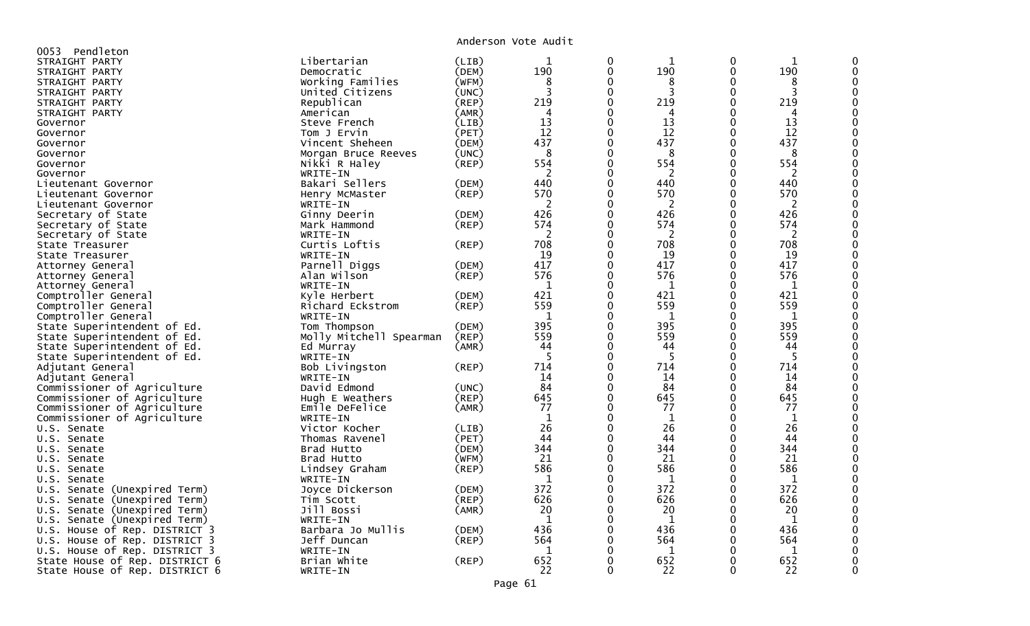Anderson Vote Audit

| Pendleton                        |                         |                | ANG SUN VULL AGGIL |          |              |              |             |   |
|----------------------------------|-------------------------|----------------|--------------------|----------|--------------|--------------|-------------|---|
| 0053<br>STRAIGHT PARTY           | Libertarian             | (LIB)          | 1                  | 0        | 1            | 0            | 1           |   |
| STRAIGHT PARTY                   | Democratic              | (DEM)          | 190                | 0        | 190          | $\mathbf{0}$ | 190         |   |
| STRAIGHT PARTY                   | Working Families        | (WFM)          | 8                  | $\Omega$ | 8            | 0            | 8           |   |
| STRAIGHT PARTY                   | United Citizens         | (UNC)          | 3                  | $\Omega$ | 3            | 0            | 3           |   |
|                                  |                         |                | 219                | $\Omega$ | 219          | 0            | 219         |   |
| STRAIGHT PARTY                   | Republican              | (REP)          | 4                  | 0        | 4            | 0            | 4           |   |
| STRAIGHT PARTY                   | American                | (AMR)<br>(LIB) | 13                 | 0        | 13           | $\mathbf{0}$ | 13          |   |
| Governor                         | Steve French            |                | 12                 | ∩        | 12           | $\Omega$     | 12          |   |
| Governor                         | Tom J Ervin             | (PET)          | 437                | 0        | 437          | $\mathbf{0}$ | 437         |   |
| Governor                         | Vincent Sheheen         | (DEM)<br>(UNC) | 8                  | ∩        | 8            | $\Omega$     |             |   |
| Governor                         | Morgan Bruce Reeves     |                |                    | ∩        |              | 0            | 8           |   |
| Governor                         | Nikki R Haley           | $($ REP $)$    | 554<br>2           | 0        | 554          | 0            | 554         |   |
| Governor                         | WRITE-IN                |                |                    |          | 2            | 0            | 2           |   |
| Lieutenant Governor              | Bakari Sellers          | (DEM)          | 440<br>570         | 0        | 440<br>570   |              | 440         |   |
| Lieutenant Governor              | Henry McMaster          | (REP)          |                    |          |              | 0<br>0       | 570         |   |
| Lieutenant Governor              | WRITE-IN                |                | 2<br>426           |          | 2<br>426     |              | 2           |   |
| Secretary of State               | Ginny Deerin            | (DEM)          |                    | 0<br>∩   |              | 0            | 426         |   |
| Secretary of State               | Mark Hammond            | $($ REP $)$    | 574                |          | 574          | $\Omega$     | 574         |   |
| Secretary of State               | WRITE-IN                |                | 2                  | ∩        | 2            | $\mathbf{0}$ | 2           |   |
| State Treasurer                  | Curtis Loftis           | (REP)          | 708                | 0        | 708          | 0            | 708         |   |
| State Treasurer                  | WRITE-IN                |                | 19                 | 0        | 19           | 0            | 19          |   |
| Attorney General                 | Parnell Diggs           | (DEM)          | 417                | 0        | 417          | 0            | 417         |   |
| Attorney General                 | Alan Wilson             | $($ REP $)$    | 576                | ∩        | 576          | $\Omega$     | 576         |   |
| Attorney General                 | WRITE-IN                |                | 1                  | 0        | 1            | 0            | 1           |   |
| Comptroller General              | Kyle Herbert            | (DEM)          | 421                | ∩        | 421          | $\Omega$     | 421         |   |
| Comptroller General              | Richard Eckstrom        | $($ REP $)$    | 559                | ∩        | 559          | 0            | 559         |   |
| Comptroller General              | WRITE-IN                |                | 1                  | 0        | 1            | 0            | $\mathbf 1$ |   |
| State Superintendent of Ed.      | Tom Thompson            | (DEM)          | 395                |          | 395          | 0            | 395         |   |
| State Superintendent of Ed.      | Molly Mitchell Spearman | (REP)          | 559                | 0        | 559          | $\mathbf{0}$ | 559         |   |
| State Superintendent of Ed.      | Ed Murray               | (AMR)          | 44                 | ∩        | 44           | 0            | 44          |   |
| State Superintendent of Ed.      | WRITE-IN                |                | 5                  | 0        | -5           | 0            | 5           |   |
| Adjutant General                 | Bob Livingston          | (REP)          | 714                | ∩        | 714          | $\Omega$     | 714         |   |
| Adjutant General                 | WRITE-IN                |                | 14                 | 0        | 14           | $\mathbf{0}$ | 14          |   |
| Commissioner of Agriculture      | David Edmond            | (UNC)          | 84                 | $\Omega$ | 84           | $\mathbf{0}$ | 84          |   |
| Commissioner of Agriculture      | Hugh E Weathers         | (REP)          | 645                |          | 645          | 0            | 645         |   |
| Commissioner of Agriculture      | Emile DeFelice          | (AMR)          | 77                 | 0        | 77           | 0            | 77          |   |
| Commissioner of Agriculture      | WRITE-IN                |                | $\mathbf{1}$       |          | 1            | 0            | 1           |   |
| U.S. Senate                      | Victor Kocher           | (LIB)          | 26                 | 0        | 26           | 0            | 26          |   |
| U.S. Senate                      | Thomas Ravenel          | (PET)          | 44                 | ∩        | 44           | $\Omega$     | 44          |   |
| U.S. Senate                      | Brad Hutto              | (DEM)          | 344                | 0        | 344          | $\mathbf{0}$ | 344         |   |
| U.S. Senate                      | Brad Hutto              | (WFM)          | 21                 | O        | 21           | $\Omega$     | 21          |   |
| U.S. Senate                      | Lindsey Graham          | (REP)          | 586                | ∩        | 586          | 0            | 586         |   |
| U.S. Senate                      | WRITE-IN                |                | 1                  | ∩        | 1            | $\mathbf{0}$ | 1           |   |
| U.S. Senate (Unexpired Term)     | Joyce Dickerson         | (DEM)          | 372                | ∩        | 372          | $\Omega$     | 372         |   |
| U.S.<br>Senate (Unexpired Term)  | Tim Scott               | (REP)          | 626                | 0        | 626          | 0            | 626         |   |
| U.S. Senate (Unexpired Term)     | Jill Bossi              | (AMR)          | 20                 | ∩        | 20           | $\Omega$     | 20          |   |
| Senate (Unexpired Term)<br>U.S.  | WRITE-IN                |                | 1                  | ∩        | 1            | 0            | 1           |   |
| House of Rep. DISTRICT 3<br>U.S. | Barbara Jo Mullis       | (DEM)          | 436                | 0        | 436          | 0            | 436         |   |
| U.S. House of Rep. DISTRICT 3    | Jeff Duncan             | (REP)          | 564                | ∩        | 564          | 0            | 564         |   |
| U.S. House of Rep. DISTRICT 3    | WRITE-IN                |                | $\mathbf{1}$       | ∩        | $\mathbf{1}$ | 0            | 1           |   |
| State House of Rep. DISTRICT 6   | Brian White             | (REP)          | 652                | 0        | 652          | 0            | 652         |   |
| State House of Rep. DISTRICT 6   | WRITE-IN                |                | 22                 | $\Omega$ | 22           | $\Omega$     | 22          | 0 |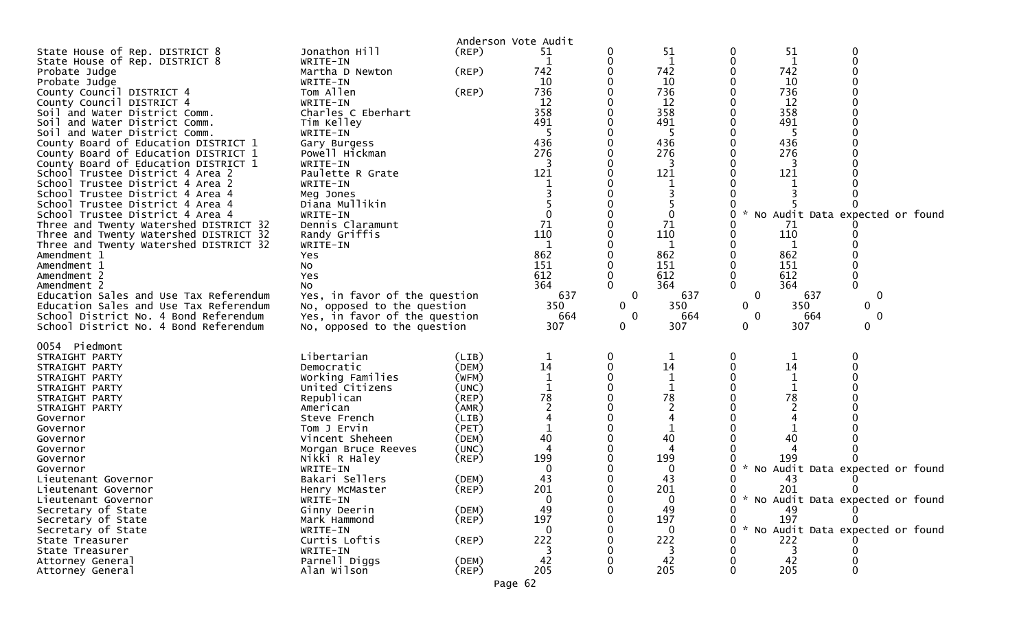|                                                                                   |                                                              | Anderson Vote Audit    |                |                             |                 |                             |                |                                   |  |
|-----------------------------------------------------------------------------------|--------------------------------------------------------------|------------------------|----------------|-----------------------------|-----------------|-----------------------------|----------------|-----------------------------------|--|
| State House of Rep. DISTRICT 8<br>State House of Rep. DISTRICT 8<br>Probate Judge | Jonathon Hill<br>WRITE-IN<br>Martha D Newton                 | (REP)<br>(REP)         | 51<br>1<br>742 | 0<br>0                      | 51<br>1<br>742  | 0<br>0                      | 51<br>1<br>742 | 0<br>0                            |  |
| Probate Judge                                                                     | WRITE-IN                                                     |                        | 10             |                             | 10              | 0                           | 10             |                                   |  |
| County Council DISTRICT 4                                                         | Tom Allen                                                    | $($ REP $)$            | 736            |                             | 736             |                             | 736            |                                   |  |
| County Council DISTRICT 4<br>Soil and Water District Comm.                        | WRITE-IN<br>Charles C Eberhart                               |                        | 12<br>358      |                             | 12<br>358       |                             | 12<br>358      |                                   |  |
| Soil and Water District Comm.                                                     | Tim Kelley                                                   |                        | 491            |                             | 491             |                             | 491            |                                   |  |
| Soil and Water District Comm.                                                     | WRITE-IN                                                     |                        | -5             |                             | 5               |                             | 5              |                                   |  |
| County Board of Education DISTRICT 1                                              | Gary Burgess                                                 |                        | 436            |                             | 436             |                             | 436            |                                   |  |
| County Board of Education DISTRICT 1<br>County Board of Education DISTRICT 1      | Powell Hickman<br>WRITE-IN                                   |                        | 276            |                             | 276             |                             | 276            |                                   |  |
| School Trustee District 4 Area 2                                                  | Paulette R Grate                                             |                        | 121            |                             | 121             |                             | 121            |                                   |  |
| School Trustee District 4 Area 2                                                  | WRITE-IN                                                     |                        |                |                             |                 |                             |                |                                   |  |
| School Trustee District 4 Area 4<br>School Trustee District 4 Area 4              | Meg Jones<br>Diana Mullikin                                  |                        |                |                             |                 |                             |                |                                   |  |
| School Trustee District 4 Area 4                                                  | WRITE-IN                                                     |                        |                |                             | 0               | 0                           |                | * No Audit Data expected or found |  |
| Three and Twenty Watershed DISTRICT 32                                            | Dennis Claramunt                                             |                        | 71             |                             | 71              |                             | 71             |                                   |  |
| Three and Twenty Watershed DISTRICT 32<br>Three and Twenty Watershed DISTRICT 32  | Randy Griffis<br>WRITE-IN                                    |                        | 110<br>1       |                             | 110<br>1        | 0                           | 110<br>1       |                                   |  |
| Amendment 1                                                                       | Yes                                                          |                        | 862            |                             | 862             |                             | 862            |                                   |  |
| Amendment 1                                                                       | No                                                           |                        | 151            |                             | 151             |                             | 151            |                                   |  |
| Amendment 2<br>Amendment 2                                                        | Yes<br>No                                                    |                        | 612<br>364     |                             | 612<br>364      | 0<br>0                      | 612<br>364     | 0<br>0                            |  |
| Education Sales and Use Tax Referendum                                            | Yes, in favor of the question                                |                        | 637            | 0                           | 637             | 0                           | 637            | 0                                 |  |
| Education Sales and Use Tax Referendum                                            | No, opposed to the question                                  |                        | 350            | 0                           | 350             | 0                           | 350            | 0                                 |  |
| School District No. 4 Bond Referendum<br>School District No. 4 Bond Referendum    | Yes, in favor of the question<br>No, opposed to the question |                        | 664<br>307     | $\mathbf 0$<br>$\mathbf{0}$ | 664<br>307      | $\Omega$<br>0               | 664<br>307     | 0<br>0                            |  |
|                                                                                   |                                                              |                        |                |                             |                 |                             |                |                                   |  |
| 0054 Piedmont                                                                     |                                                              |                        |                |                             |                 |                             |                |                                   |  |
| STRAIGHT PARTY<br>STRAIGHT PARTY                                                  | Libertarian<br>Democratic                                    | (LIB)<br>(DEM)         | 1<br>14        | 0                           | 14              | 0                           | 1<br>14        | 0                                 |  |
| STRAIGHT PARTY                                                                    | Working Families                                             | (WFM)                  |                |                             |                 |                             | 1              |                                   |  |
| STRAIGHT PARTY                                                                    | United Citizens                                              | (UNC)                  |                |                             |                 |                             | 1              |                                   |  |
| STRAIGHT PARTY<br>STRAIGHT PARTY                                                  | Republican<br>American                                       | (REP)<br>(AMR)         | 78             |                             | 78              |                             | 78             |                                   |  |
| Governor                                                                          | Steve French                                                 | (LIB)                  |                |                             |                 |                             |                |                                   |  |
| Governor                                                                          | Tom J Ervin                                                  | (PET)                  |                |                             |                 |                             |                |                                   |  |
| Governor<br>Governor                                                              | Vincent Sheheen<br>Morgan Bruce Reeves                       | (DEM)<br>(UNC)         | 40<br>4        |                             | 40<br>4         |                             | 40             |                                   |  |
| Governor                                                                          | Nikki R Haley                                                | (REP)                  | 199            |                             | 199             |                             | 199            |                                   |  |
| Governor                                                                          | WRITE-IN                                                     |                        |                |                             | 0               | 0                           |                | * No Audit Data expected or found |  |
| Lieutenant Governor<br>Lieutenant Governor                                        | Bakari Sellers                                               | (DEM)<br>(REP)         | 43<br>201      |                             | 43<br>201       | 0<br>0                      | 43<br>201      | Ü<br>$\Omega$                     |  |
| Lieutenant Governor                                                               | Henry McMaster<br>WRITE-IN                                   |                        | 0              |                             | 0               | 0                           |                | * No Audit Data expected or found |  |
| Secretary of State                                                                | Ginny Deerin                                                 | (DEM)                  | 49             |                             | 49              |                             | 49             |                                   |  |
| Secretary of State<br>Secretary of State                                          | Mark Hammond<br>WRITE-IN                                     | $($ REP $)$            | 197            |                             | 197<br>$\Omega$ | $\mathcal{H}^{\mathcal{C}}$ | 197            | 0                                 |  |
| State Treasurer                                                                   | Curtis Loftis                                                | $($ REP $)$            | 222            |                             | 222             |                             | 222            | No Audit Data expected or found   |  |
| State Treasurer                                                                   | WRITE-IN                                                     |                        |                |                             |                 |                             | 3              |                                   |  |
| Attorney General                                                                  | Parnell Diggs                                                | (DEM)                  | 42             |                             | 42              |                             | 42             |                                   |  |
| Attorney General                                                                  | Alan Wilson                                                  | $($ REP $)$<br>Page 62 | 205            |                             | 205             | 0                           | 205            |                                   |  |
|                                                                                   |                                                              |                        |                |                             |                 |                             |                |                                   |  |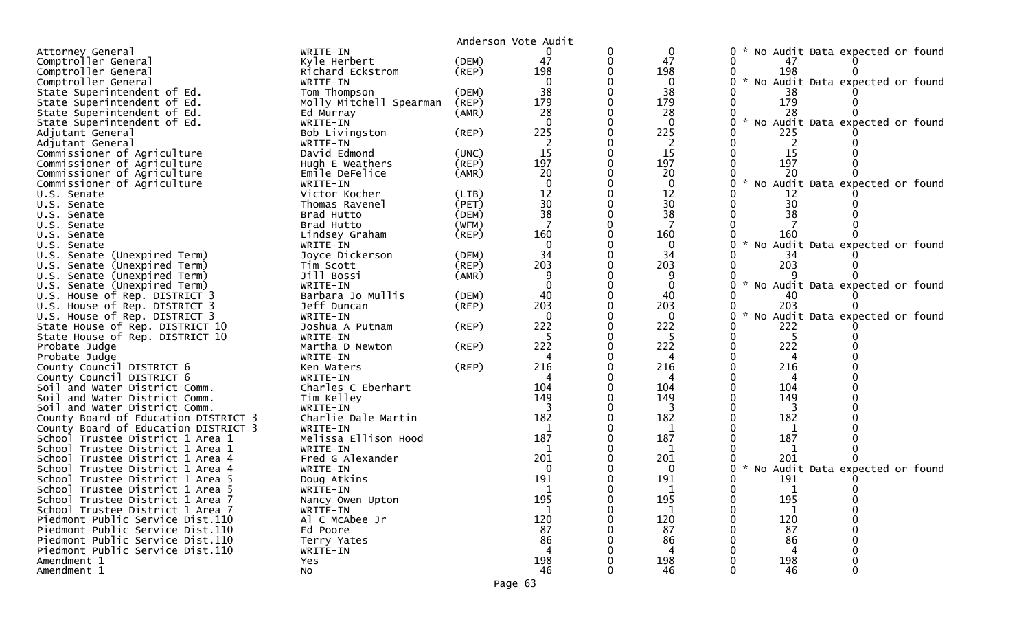|                                                                |                                  |             | Anderson Vote Audit |          |                                                     |
|----------------------------------------------------------------|----------------------------------|-------------|---------------------|----------|-----------------------------------------------------|
| Attorney General                                               | WRITE-IN                         |             |                     | 0        | No Audit Data expected or found<br>0                |
| Comptroller General                                            | Kyle Herbert                     | (DEM)       | 47                  | 47       |                                                     |
| Comptroller General                                            | Richard Eckstrom                 | $($ REP $)$ | 198                 | 198      | 198                                                 |
| Comptroller General                                            | WRITE-IN                         |             |                     | 0        | * No Audit Data expected or found                   |
| State Superintendent of Ed.                                    | Tom Thompson                     | (DEM)       | 38                  | 38       | 38                                                  |
| State Superintendent of Ed.                                    | Molly Mitchell Spearman          | (REP)       | 179                 | 179      | 179                                                 |
| State Superintendent of Ed.                                    | Ed Murray                        | (AMR)       | 28                  | 28       | 28                                                  |
| State Superintendent of Ed.                                    | WRITE-IN                         |             |                     | $\Omega$ | $\mathcal{R}$<br>No Audit Data expected or found    |
| Adjutant General                                               | Bob Livingston                   | $($ REP $)$ | 225                 | 225      | 225                                                 |
| Adjutant General                                               | WRITE-IN                         |             |                     | 2        |                                                     |
| Commissioner of Agriculture                                    | David Edmond                     | (UNC)       | 15                  | 15       | 15                                                  |
| Commissioner of Agriculture                                    | Hugh E Weathers                  | $($ REP $)$ | 197                 | 197      | 197                                                 |
| Commissioner of Agriculture                                    | Emile DeFelice                   | (AMR)       | 20                  | 20       | 20                                                  |
| Commissioner of Agriculture                                    | WRITE-IN                         |             |                     | $\Omega$ | $\mathcal{H}$<br>No Audit Data expected or<br>found |
| U.S. Senate                                                    | Victor Kocher                    | (LIB)       | 12                  | 12       | 12                                                  |
| U.S. Senate                                                    | Thomas Ravenel                   | (PET)       | 30                  | 30       | 30                                                  |
| U.S. Senate                                                    | Brad Hutto                       | (DEM)       | 38                  | 38       | 38                                                  |
| U.S. Senate                                                    | Brad Hutto                       | (WFM)       |                     |          |                                                     |
| U.S. Senate                                                    | Lindsey Graham                   | (REP)       | 160                 | 160      | 160                                                 |
| U.S. Senate                                                    | WRITE-IN                         |             |                     | $\Omega$ | $\mathcal{H}$<br>No Audit Data expected or found    |
| U.S. Senate (Unexpired Term)                                   | Joyce Dickerson                  | (DEM)       | 34                  | 34       | 34                                                  |
| U.S. Senate (Unexpired Term)                                   | Tim Scott                        | (REP)       | 203                 | 203      | 203                                                 |
| U.S. Senate (Unexpired Term)                                   | Jill Bossi                       | (AMR)       |                     | $\Omega$ |                                                     |
| U.S. Senate (Unexpired Term)                                   | WRITE-IN                         |             | 40                  | 40       | * No Audit Data expected or found                   |
| U.S. House of Rep. DISTRICT 3                                  | Barbara Jo Mullis<br>Jeff Duncan | (DEM)       | 203                 | 203      | 203                                                 |
| U.S. House of Rep. DISTRICT 3<br>U.S. House of Rep. DISTRICT 3 | WRITE-IN                         | $($ REP $)$ | $\Omega$            | $\Omega$ | * No Audit Data expected or found                   |
| State House of Rep. DISTRICT 10                                | Joshua A Putnam                  | $($ REP $)$ | 222                 | 222      | 222                                                 |
| State House of Rep. DISTRICT 10                                | WRITE-IN                         |             |                     |          |                                                     |
| Probate Judge                                                  | Martha D Newton                  | (REP)       | 222                 | 222      | 222                                                 |
| Probate Judge                                                  | WRITE-IN                         |             |                     |          |                                                     |
| County Council DISTRICT 6                                      | Ken Waters                       | $($ REP $)$ | 216                 | 216      | 216                                                 |
| County Council DISTRICT 6                                      | WRITE-IN                         |             | 4                   | 4        | 4                                                   |
| Soil and Water District Comm.                                  | Charles C Eberhart               |             | 104                 | 104      | 104                                                 |
| Soil and Water District Comm.                                  | Tim Kelley                       |             | 149                 | 149      | 149                                                 |
| Soil and Water District Comm.                                  | WRITE-IN                         |             |                     | 3        |                                                     |
| County Board of Education DISTRICT 3                           | Charlie Dale Martin              |             | 182                 | 182      | 182                                                 |
| County Board of Education DISTRICT 3                           | WRITE-IN                         |             | 1                   | 1        | 1                                                   |
| School Trustee District 1 Area 1                               | Melissa Ellison Hood             |             | 187                 | 187      | 187                                                 |
| School Trustee District 1 Area 1                               | WRITE-IN                         |             |                     | 1        |                                                     |
| School Trustee District 1 Area 4                               | Fred G Alexander                 |             | 201                 | 201      | 201                                                 |
| School Trustee District 1 Area 4                               | WRITE-IN                         |             | $\mathbf{0}$        | $\Omega$ | W.<br>No Audit Data expected or found               |
| School Trustee District 1 Area 5                               | Doug Atkins                      |             | 191                 | 191      | 191                                                 |
| School Trustee District 1 Area 5                               | WRITE-IN                         |             |                     |          |                                                     |
| School Trustee District 1 Area 7                               | Nancy Owen Upton                 |             | 195                 | 195      | 195                                                 |
| School Trustee District 1 Area 7                               | WRITE-IN                         |             | 1                   |          |                                                     |
| Piedmont Public Service Dist.110                               | Al C McAbee Jr                   |             | 120                 | 120      | 120                                                 |
| Piedmont Public Service Dist.110                               | Ed Poore                         |             | 87                  | 87       | 87                                                  |
| Piedmont Public Service Dist.110                               | Terry Yates                      |             | 86                  | 86       | 86                                                  |
| Piedmont Public Service Dist.110                               | WRITE-IN                         |             | 4                   | 4        | 4                                                   |
| Amendment 1                                                    | Yes                              |             | 198                 | 198      | 198                                                 |
| Amendment 1                                                    | No                               |             | 46                  | 46       | 46<br>$\Omega$                                      |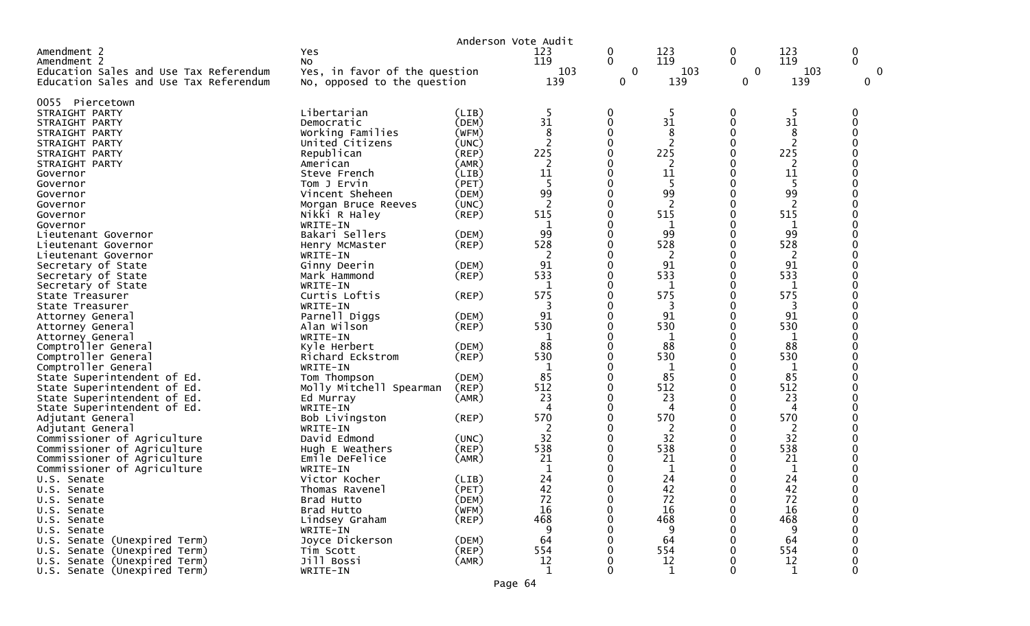|                                        |                               |             | Anderson Vote Audit  |              |                |              |         |             |
|----------------------------------------|-------------------------------|-------------|----------------------|--------------|----------------|--------------|---------|-------------|
| Amendment 2                            | Yes                           |             | 123                  | 0            | 123            | 0            | 123     | 0           |
| Amendment 2                            | No                            |             | 119                  | $\mathbf{0}$ | 119            | $\Omega$     | 119     | $\Omega$    |
| Education Sales and Use Tax Referendum | Yes, in favor of the question |             | 103                  | $\mathbf 0$  | 103            | $\mathbf 0$  | 103     | 0           |
| Education Sales and Use Tax Referendum | No, opposed to the question   |             | 139                  | 0            | 139            | 0            | 139     | $\mathbf 0$ |
|                                        |                               |             |                      |              |                |              |         |             |
| 0055 Piercetown                        |                               |             |                      |              |                |              |         |             |
| STRAIGHT PARTY                         | Libertarian                   | (LIB)       | 5                    | 0            | -5             | 0            | 5       | 0           |
| STRAIGHT PARTY                         | Democratic                    | (DEM)       | 31                   | $\Omega$     | 31             | $\mathbf{0}$ | 31      | ∩           |
| STRAIGHT PARTY                         | Working Families              | (WFM)       | 8                    | $\Omega$     | 8              | 0            | 8       |             |
| STRAIGHT PARTY                         | United Citizens               | (UNC)       | $\overline{2}$       | $\Omega$     |                | 0            |         |             |
| STRAIGHT PARTY                         | Republican                    | $($ REP $)$ | 225                  |              | 225            | 0            | 225     |             |
| STRAIGHT PARTY                         | American                      | (AMR)       | 2                    | 0            |                | 0            |         |             |
| Governor                               | Steve French                  | (LIB)       | 11                   | 0            | 11             | 0            | 11      |             |
| Governor                               | Tom J Ervin                   | (PET)       | 5                    |              | -5             | 0            | 5       |             |
| Governor                               | Vincent Sheheen               | (DEM)       | 99                   | 0            | 99             | 0            | 99      |             |
| Governor                               | Morgan Bruce Reeves           | (UNC)       | $\overline{2}$       | 0            | $\overline{2}$ | 0            | 2       |             |
| Governor                               | Nikki R Haley                 | $($ REP $)$ | 515                  | 0            | 515            | 0            | 515     |             |
| Governor                               | WRITE-IN                      |             |                      | ∩            |                | 0            |         |             |
| Lieutenant Governor                    | Bakari Sellers                | (DEM)       | 99                   | 0            | 99             | 0            | 99      |             |
| Lieutenant Governor                    | Henry McMaster                | $($ REP $)$ | 528                  | 0<br>∩       | 528            | 0            | 528     |             |
| Lieutenant Governor                    | WRITE-IN                      |             | $\overline{2}$<br>91 |              | 2<br>91        | 0            | 2<br>91 |             |
| Secretary of State                     | Ginny Deerin                  | (DEM)       | 533                  | 0<br>0       | 533            | 0<br>0       | 533     |             |
| Secretary of State                     | Mark Hammond                  | $($ REP $)$ | 1                    | ∩            |                | 0            | 1       |             |
| Secretary of State<br>State Treasurer  | WRITE-IN<br>Curtis Loftis     |             | 575                  | 0            | 575            | 0            | 575     |             |
| State Treasurer                        | WRITE-IN                      | (REP)       | 3                    | 0            | 3              | 0            | 3       |             |
| Attorney General                       | Parnell Diggs                 | (DEM)       | 91                   | ∩            | 91             | 0            | 91      |             |
| Attorney General                       | Alan Wilson                   | $($ REP $)$ | 530                  | 0            | 530            | 0            | 530     |             |
| Attorney General                       | WRITE-IN                      |             | 1                    |              | 1              | 0            | 1       |             |
| Comptroller General                    | Kyle Herbert                  | (DEM)       | 88                   | ∩            | 88             | 0            | 88      |             |
| Comptroller General                    | Richard Eckstrom              | $($ REP $)$ | 530                  | 0            | 530            | 0            | 530     |             |
| Comptroller General                    | WRITE-IN                      |             | 1                    | 0            | 1              | 0            | 1       |             |
| State Superintendent of Ed.            | Tom Thompson                  | (DEM)       | 85                   | 0            | 85             | 0            | 85      |             |
| State Superintendent of Ed.            | Molly Mitchell Spearman       | $($ REP $)$ | 512                  | 0            | 512            | 0            | 512     |             |
| State Superintendent of Ed.            | Ed Murray                     | (AMR)       | 23                   | 0            | 23             | 0            | 23      |             |
| State Superintendent of Ed.            | WRITE-IN                      |             | 4                    | ∩            | Δ              | 0            | 4       |             |
| Adjutant General                       | Bob Livingston                | (REP)       | 570                  | 0            | 570            | 0            | 570     |             |
| Adjutant General                       | WRITE-IN                      |             | 2                    | 0            | 2              | 0            | 2       |             |
| Commissioner of Agriculture            | David Edmond                  | (UNC)       | 32                   | ∩            | 32             | 0            | 32      |             |
| Commissioner of Agriculture            | Hugh E Weathers               | $($ REP $)$ | 538                  |              | 538            | 0            | 538     |             |
| Commissioner of Agriculture            | Emile DeFelice                | (AMR)       | 21                   |              | 21             | 0            | 21      |             |
| Commissioner of Agriculture            | WRITE-IN                      |             | 1                    |              | 1              | 0            | 1       |             |
| U.S. Senate                            | Victor Kocher                 | (LIB)       | 24                   |              | 24             | 0            | 24      |             |
| U.S. Senate                            | Thomas Ravenel                | (PET)       | 42                   |              | 42             | ∩            | 42      |             |
| U.S. Senate                            | Brad Hutto                    | (DEM)       | 72                   |              | 72             | 0            | 72      |             |
| U.S. Senate                            | Brad Hutto                    | (WFM)       | 16                   |              | 16             | 0            | 16      |             |
| U.S. Senate                            | Lindsey Graham                | $($ REP $)$ | 468                  | 0            | 468            | O            | 468     |             |
| U.S. Senate                            | WRITE-IN                      |             | 9                    |              | 9              | 0            | 9       |             |
| U.S. Senate (Unexpired Term)           | Joyce Dickerson               | (DEM)       | 64                   |              | 64             | 0            | 64      |             |
| U.S. Senate (Unexpired Term)           | Tim Scott                     | (REP)       | 554                  |              | 554            | 0            | 554     |             |
| U.S. Senate (Unexpired Term)           | Jill Bossi                    | (AMR)       | 12                   | 0            | 12             | 0            | 12      |             |
| U.S. Senate (Unexpired Term)           | WRITE-IN                      |             |                      | $\Omega$     | $\mathbf{1}$   | 0            | 1       | $\Omega$    |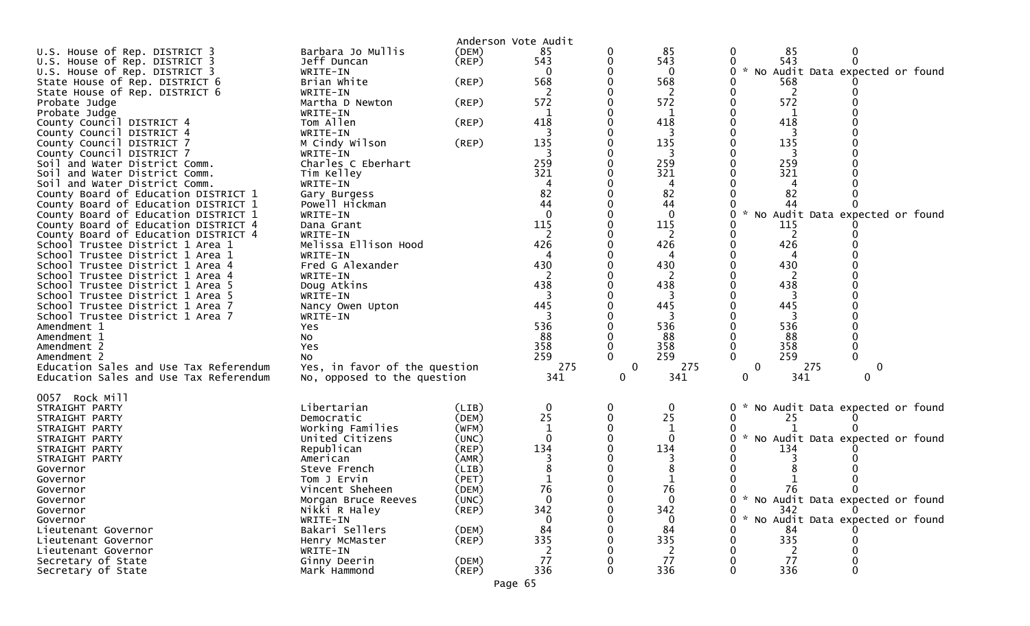| Anderson Vote Audit                                                                                                 |  |
|---------------------------------------------------------------------------------------------------------------------|--|
| Barbara Jo Mullis<br>85<br>U.S. House of Rep. DISTRICT 3<br>(DEM)<br>85<br>85<br>0<br>$\bf{0}$                      |  |
| 543<br>543<br>543<br>$\Omega$<br>Jeff Duncan<br>$($ REP $)$<br>U.S. House of Rep. DISTRICT 3                        |  |
| U.S. House of Rep. DISTRICT 3<br>$\mathcal{H}$<br>No Audit Data expected or found<br>WRITE-IN<br>0<br>0             |  |
| 568<br>568<br>Brian White<br>(REP)<br>568<br>State House of Rep. DISTRICT 6                                         |  |
| State House of Rep. DISTRICT 6<br>2<br>2<br>WRITE-IN                                                                |  |
| 572<br>572<br>572<br>Probate Judge<br>Martha D Newton<br>(REP)                                                      |  |
| 1<br>Probate Judge<br>WRITE-IN<br>1                                                                                 |  |
| Tom Allen<br>418<br>418<br>418<br>County Council DISTRICT 4<br>(REP)                                                |  |
| County Council DISTRICT 4<br>WRITE-IN<br>3<br>3                                                                     |  |
| 135<br>135<br>135<br>M Cindy Wilson<br>(REP)<br>County Council DISTRICT 7                                           |  |
| County Council DISTRICT 7<br>WRITE-IN<br>3<br>3                                                                     |  |
| 259<br>259<br>Charles C Eberhart<br>259<br>Soil and Water District Comm.                                            |  |
| 321<br>321<br>321<br>Soil and Water District Comm.<br>Tim Kelley                                                    |  |
| Soil and Water District Comm.<br>WRITE-IN<br>4                                                                      |  |
| 82<br>82<br>County Board of Education DISTRICT 1<br>82<br>Gary Burgess                                              |  |
| 44<br>Powell Hickman<br>44<br>County Board of Education DISTRICT 1<br>44                                            |  |
| $\Omega$<br>$\mathbf 0$<br>County Board of Education DISTRICT 1<br>WRITE-IN<br>0<br>No Audit Data expected or found |  |
| 115<br>County Board of Education DISTRICT 4<br>115<br>115<br>Dana Grant                                             |  |
| 2<br>2<br>County Board of Education DISTRICT 4<br>2<br>WRITE-IN<br>Melissa Ellison Hood<br>426<br>426<br>426        |  |
| School Trustee District 1 Area 1<br>WRITE-IN<br>4<br>4                                                              |  |
| School Trustee District 1 Area 1<br>430<br>430<br>430<br>Fred G Alexander<br>School Trustee District 1 Area 4       |  |
| 2<br>School Trustee District 1 Area 4<br>WRITE-IN<br>2                                                              |  |
| 438<br>438<br>438<br>Doug Atkins<br>School Trustee District 1 Area 5                                                |  |
| 3<br>School Trustee District 1 Area 5<br>WRITE-IN<br>3<br>3                                                         |  |
| 445<br>445<br>445<br>School Trustee District 1 Area 7<br>Nancy Owen Upton                                           |  |
| School Trustee District 1 Area 7<br>WRITE-IN                                                                        |  |
| 536<br>536<br>536<br>Amendment 1<br>Yes                                                                             |  |
| 88<br>88<br>Amendment 1<br>No<br>88                                                                                 |  |
| 358<br>358<br>358<br>Amendment 2<br><b>Yes</b>                                                                      |  |
| 259<br>259<br>259<br>0<br>Amendment 2<br>NO.                                                                        |  |
| 275<br>Yes, in favor of the question<br>0<br>275<br>0<br>275<br>Education Sales and Use Tax Referendum<br>0         |  |
| No, opposed to the question<br>341<br>341<br>341<br>Education Sales and Use Tax Referendum<br>0<br>0<br>0           |  |
|                                                                                                                     |  |
| 0057 Rock Mill                                                                                                      |  |
| Libertarian<br>* No Audit Data expected or found<br>STRAIGHT PARTY<br>(LIB)<br>0<br>0<br>$\mathbf{0}$               |  |
| 25<br>25<br>STRAIGHT PARTY<br>Democratic<br>(DEM)<br>25                                                             |  |
| Working Families<br>(WFM)<br>1<br>STRAIGHT PARTY                                                                    |  |
| United Citizens<br>$\Omega$<br>$\mathbf{0}$<br>* No Audit Data expected or found<br>STRAIGHT PARTY<br>(UNC)<br>0    |  |
| 134<br>134<br>Republican<br>134<br>(REP)<br>STRAIGHT PARTY                                                          |  |
| STRAIGHT PARTY<br>American<br>(AMR)                                                                                 |  |
| (LIB)<br>Governor<br>Steve French<br>Tom J Ervin<br>(PET)                                                           |  |
| Governor<br>76<br>76<br>- 76<br>Vincent Sheheen<br>(DEM)<br>Governor                                                |  |
| 0 * No Audit Data expected or found<br>$\Omega$<br>$\mathbf{0}$<br>(UNC)<br>Morgan Bruce Reeves<br>Governor         |  |
| 342<br>342<br>342<br>Nikki R Haley<br>$($ REP $)$<br>$\Omega$<br>Governor                                           |  |
| * No Audit Data expected or found<br>WRITE-IN<br>Governor<br>0<br>0                                                 |  |
| 84<br>Bakari Sellers<br>(DEM)<br>84<br>84<br>Lieutenant Governor                                                    |  |
| 335<br>335<br>335<br>(REP)<br>Lieutenant Governor<br>Henry McMaster                                                 |  |
|                                                                                                                     |  |
| Lieutenant Governor<br>WRITE-IN                                                                                     |  |
| 77<br>77<br>Secretary of State<br>(DEM)<br>77<br>Ginny Deerin<br>336<br>336<br>336<br>Mark Hammond<br>$($ REP $)$   |  |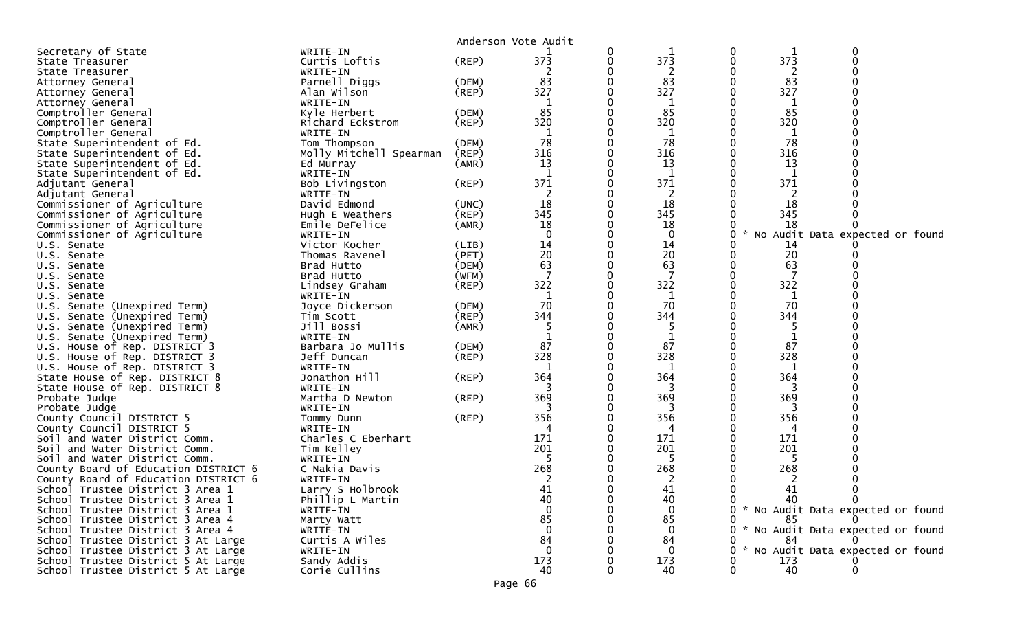|                                                                          |                              |             | Anderson Vote Audit |   |                   |   |     |                                     |  |
|--------------------------------------------------------------------------|------------------------------|-------------|---------------------|---|-------------------|---|-----|-------------------------------------|--|
| Secretary of State                                                       | WRITE-IN                     |             |                     | 0 |                   | 0 |     | 0                                   |  |
| State Treasurer                                                          | Curtis Loftis                | $($ REP $)$ | 373                 | 0 | 373               |   | 373 | $\Omega$                            |  |
| State Treasurer                                                          | WRITE-IN                     |             |                     |   |                   |   |     |                                     |  |
| Attorney General                                                         | Parnell Diggs                | (DEM)       | 83                  |   | 83                |   | 83  |                                     |  |
| Attorney General                                                         | Alan Wilson                  | (REP)       | 327                 |   | 327               |   | 327 |                                     |  |
| Attorney General                                                         | WRITE-IN                     |             |                     |   |                   |   | 1   |                                     |  |
| Comptroller General                                                      | Kyle Herbert                 | (DEM)       | 85                  |   | 85                |   | 85  |                                     |  |
| Comptroller General                                                      | Richard Eckstrom             | (REP)       | 320                 |   | 320               |   | 320 |                                     |  |
| Comptroller General                                                      | WRITE-IN                     |             | 1                   |   | 1                 |   | 1   |                                     |  |
| State Superintendent of Ed.                                              | Tom Thompson                 | (DEM)       | 78                  |   | 78                |   | 78  |                                     |  |
| State Superintendent of Ed.                                              | Molly Mitchell Spearman      | (REP)       | 316                 |   | 316               |   | 316 |                                     |  |
| State Superintendent of Ed.                                              | Ed Murray                    | (AMR)       | 13                  |   | 13                |   | 13  |                                     |  |
| State Superintendent of Ed.                                              | WRITE-IN                     |             |                     |   |                   |   |     |                                     |  |
| Adjutant General                                                         | Bob Livingston               | (REP)       | 371                 |   | 371               |   | 371 |                                     |  |
| Adjutant General                                                         | WRITE-IN                     |             | 2                   |   | 2                 |   | 2   |                                     |  |
| Commissioner of Agriculture                                              | David Edmond                 | (UNC)       | 18<br>345           | 0 | 18                |   | 18  |                                     |  |
| Commissioner of Agriculture                                              | Hugh E Weathers              | $($ REP $)$ |                     |   | 345               |   | 345 |                                     |  |
| Commissioner of Agriculture                                              | Emile DeFelice               | (AMR)       | 18<br>$\Omega$      |   | 18<br>$\mathbf 0$ |   | 18  |                                     |  |
| Commissioner of Agriculture                                              | WRITE-IN<br>Victor Kocher    | (LIB)       | 14                  |   | 14                |   | 14  | No Audit Data expected or found     |  |
| U.S. Senate<br>U.S. Senate                                               | Thomas Ravenel               | (PET)       | 20                  |   | 20                |   | 20  |                                     |  |
| U.S. Senate                                                              | Brad Hutto                   | (DEM)       | 63                  |   | 63                |   | 63  |                                     |  |
| U.S. Senate                                                              | Brad Hutto                   | (WFM)       | 7                   |   | 7                 |   | 7   |                                     |  |
| U.S. Senate                                                              | Lindsey Graham               | $($ REP $)$ | 322                 |   | 322               |   | 322 |                                     |  |
| U.S. Senate                                                              | WRITE-IN                     |             |                     |   |                   |   | 1   |                                     |  |
| U.S. Senate (Unexpired Term)                                             | Joyce Dickerson              | (DEM)       | 70                  |   | 70                |   | 70  |                                     |  |
| Senate (Unexpired Term)<br>U.S.                                          | Tim Scott                    | $($ REP $)$ | 344                 |   | 344               |   | 344 |                                     |  |
| U.S. Senate (Unexpired Term)                                             | Jill Bossi                   | (AMR)       | 5                   |   |                   |   |     |                                     |  |
| U.S. Senate (Unexpired Term)                                             | WRITE-IN                     |             |                     |   |                   |   | 1   |                                     |  |
| U.S. House of Rep. DISTRICT 3                                            | Barbara Jo Mullis            | (DEM)       | 87                  |   | 87                |   | 87  |                                     |  |
| U.S. House of Rep. DISTRICT 3                                            | Jeff Duncan                  | (REP)       | 328                 |   | 328               |   | 328 |                                     |  |
| U.S. House of Rep. DISTRICT 3                                            | WRITE-IN                     |             | $\mathbf{1}$        |   | 1                 |   | 1   |                                     |  |
| State House of Rep. DISTRICT 8                                           | Jonathon Hill                | (REP)       | 364                 |   | 364               |   | 364 |                                     |  |
| State House of Rep. DISTRICT 8                                           | WRITE-IN                     |             | 3                   |   | 3                 |   | 3   |                                     |  |
| Probate Judge                                                            | Martha D Newton              | (REP)       | 369                 |   | 369               |   | 369 |                                     |  |
| Probate Judge                                                            | WRITE-IN                     |             |                     |   |                   |   |     |                                     |  |
| County Council DISTRICT 5                                                | Tommy Dunn                   | (REP)       | 356                 |   | 356               |   | 356 |                                     |  |
| County Council DISTRICT 5                                                | WRITE-IN                     |             | 4                   |   | 4                 |   | 4   |                                     |  |
| Soil and Water District Comm.                                            | Charles C Eberhart           |             | 171                 |   | 171               |   | 171 |                                     |  |
| Soil and Water District Comm.                                            | Tim Kelley                   |             | 201                 |   | 201               |   | 201 |                                     |  |
| Soil and Water District Comm.                                            | WRITE-IN                     |             | -5                  |   | 5                 |   | 5   |                                     |  |
| County Board of Education DISTRICT 6                                     | C Nakia Davis                |             | 268                 |   | 268               |   | 268 |                                     |  |
| County Board of Education DISTRICT 6<br>School Trustee District 3 Area 1 | WRITE-IN<br>Larry S Holbrook |             | 2<br>41             |   | 2<br>41           | 0 | 41  | 0                                   |  |
| School Trustee District 3 Area 1                                         | Phillip L Martin             |             | 40                  | 0 | 40                |   | 40  | 0                                   |  |
| School Trustee District 3 Area 1                                         | WRITE-IN                     |             | $\Omega$            |   | $\Omega$          |   |     | 0 * No Audit Data expected or found |  |
| School Trustee District 3 Area 4                                         | Marty Watt                   |             | 85                  |   | 85                |   | 85  |                                     |  |
| School Trustee District 3 Area 4                                         | WRITE-IN                     |             | $\mathbf{0}$        |   | 0                 |   |     | No Audit Data expected or found     |  |
| School Trustee District 3 At Large                                       | Curtis A Wiles               |             | 84                  |   | 84                |   | 84  |                                     |  |
| School Trustee District 3 At Large                                       | WRITE-IN                     |             | $\mathbf{0}$        |   | $\mathbf 0$       |   |     | * No Audit Data expected or found   |  |
| School Trustee District 5 At Large                                       | Sandy Addis                  |             | 173                 |   | 173               |   | 173 |                                     |  |
| School Trustee District 5 At Large                                       | Corie Cullins                |             | 40                  |   | 40                |   | 40  |                                     |  |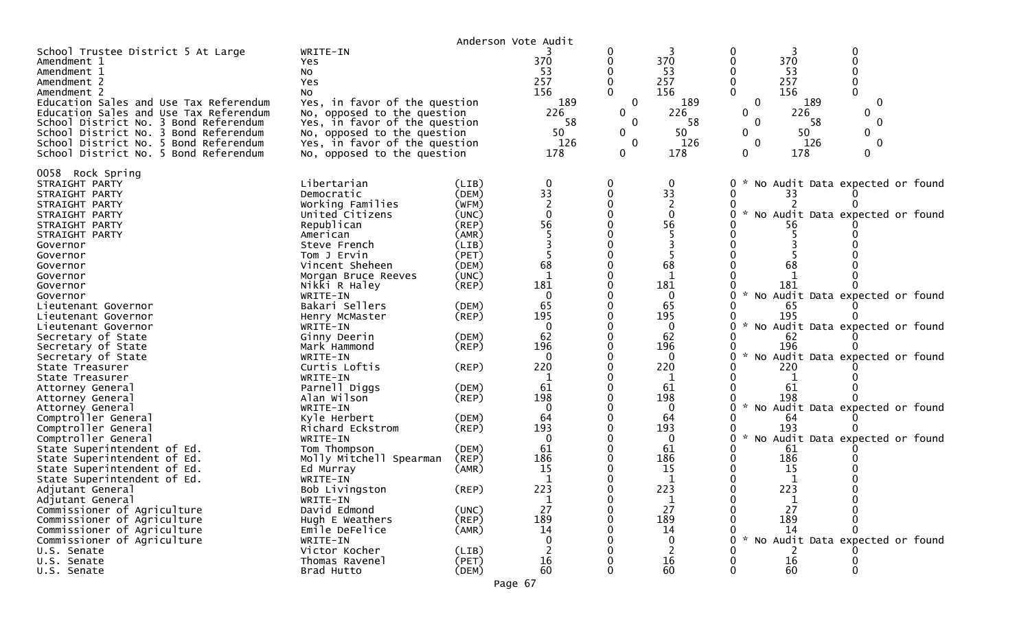|                                                                                                                                                                                                                                                                                                                                                                                                                                                                                                                                                                                  |                                                                                                                                                                                                                                                                                                                                                                                                                                                                  |                                                                                                                                                                                                                | Anderson Vote Audit                                                                                                                                                                           |                                                                    |                                                                                                                                                                                               |                                                                 |                                                                                                                                                                                                                                                                                                                                    |                                             |
|----------------------------------------------------------------------------------------------------------------------------------------------------------------------------------------------------------------------------------------------------------------------------------------------------------------------------------------------------------------------------------------------------------------------------------------------------------------------------------------------------------------------------------------------------------------------------------|------------------------------------------------------------------------------------------------------------------------------------------------------------------------------------------------------------------------------------------------------------------------------------------------------------------------------------------------------------------------------------------------------------------------------------------------------------------|----------------------------------------------------------------------------------------------------------------------------------------------------------------------------------------------------------------|-----------------------------------------------------------------------------------------------------------------------------------------------------------------------------------------------|--------------------------------------------------------------------|-----------------------------------------------------------------------------------------------------------------------------------------------------------------------------------------------|-----------------------------------------------------------------|------------------------------------------------------------------------------------------------------------------------------------------------------------------------------------------------------------------------------------------------------------------------------------------------------------------------------------|---------------------------------------------|
| School Trustee District 5 At Large<br>Amendment 1<br>Amendment 1<br>Amendment 2<br>Amendment 2<br>Education Sales and Use Tax Referendum<br>Education Sales and Use Tax Referendum<br>School District No. 3 Bond Referendum<br>School District No. 3 Bond Referendum<br>School District No. 5 Bond Referendum                                                                                                                                                                                                                                                                    | WRITE-IN<br><b>Yes</b><br>No<br>Yes<br>No<br>Yes, in favor of the question<br>No, opposed to the question<br>Yes, in favor of the question<br>No, opposed to the question<br>Yes, in favor of the question                                                                                                                                                                                                                                                       |                                                                                                                                                                                                                | 370<br>53<br>257<br>156<br>189<br>226<br>58<br>50<br>126                                                                                                                                      | 0<br>0<br>$\mathbf{0}$<br>$\Omega$<br>$\mathbf{0}$<br>$\mathbf{0}$ | 370<br>53<br>257<br>156<br>189<br>226<br>58<br>50<br>126                                                                                                                                      | $\mathbf 0$<br>$\mathbf{0}$<br>$\Omega$<br>$\Omega$<br>$\Omega$ | 370<br>53<br>257<br>156<br>189<br>226<br>0<br>58<br>$\mathbf{0}$<br>50<br>126                                                                                                                                                                                                                                                      | $\mathbf 0$<br>$\mathbf{0}$<br>$\mathbf{0}$ |
| School District No. 5 Bond Referendum                                                                                                                                                                                                                                                                                                                                                                                                                                                                                                                                            | No, opposed to the question                                                                                                                                                                                                                                                                                                                                                                                                                                      |                                                                                                                                                                                                                | 178                                                                                                                                                                                           | 0                                                                  | 178                                                                                                                                                                                           | 0                                                               | $\mathbf{0}$<br>178                                                                                                                                                                                                                                                                                                                |                                             |
| 0058 Rock Spring<br>STRAIGHT PARTY<br>STRAIGHT PARTY<br>STRAIGHT PARTY<br>STRAIGHT PARTY<br>STRAIGHT PARTY<br>STRAIGHT PARTY<br>Governor<br>Governor<br>Governor<br>Governor<br>Governor<br>Governor<br>Lieutenant Governor<br>Lieutenant Governor<br>Lieutenant Governor<br>Secretary of State<br>Secretary of State<br>Secretary of State<br>State Treasurer<br>State Treasurer<br>Attorney General<br>Attorney General<br>Attorney General<br>Comptroller General<br>Comptroller General<br>Comptroller General<br>State Superintendent of Ed.<br>State Superintendent of Ed. | Libertarian<br>Democratic<br>Working Families<br>United Citizens<br>Republican<br>American<br>Steve French<br>Tom J Ervin<br>Vincent Sheheen<br>Morgan Bruce Reeves<br>Nikki R Haley<br>WRITE-IN<br>Bakari Sellers<br>Henry McMaster<br>WRITE-IN<br>Ginny Deerin<br>Mark Hammond<br>WRITE-IN<br>Curtis Loftis<br>WRITE-IN<br>Parnell Diggs<br>Alan Wilson<br>WRITE-IN<br>Kyle Herbert<br>Richard Eckstrom<br>WRITE-IN<br>Tom Thompson<br>Molly Mitchell Spearman | (LIB)<br>(DEM)<br>(WFM)<br>(UNC)<br>(REP)<br>(AMR)<br>(LIB)<br>(PET)<br>(DEM)<br>(UNC)<br>$($ REP $)$<br>(DEM)<br>(REP)<br>(DEM)<br>(REP)<br>$($ REP $)$<br>(DEM)<br>(REP)<br>(DEM)<br>(REP)<br>(DEM)<br>(REP) | $\mathbf{0}$<br>33<br>$\Omega$<br>56<br>68<br>181<br>$\Omega$<br>65<br>195<br>$\mathbf 0$<br>62<br>196<br>$\Omega$<br>220<br>1<br>61<br>198<br>$\Omega$<br>64<br>193<br>$\Omega$<br>61<br>186 | 0<br>0                                                             | $\mathbf 0$<br>33<br>2<br>$\Omega$<br>56<br>68<br>181<br>$\mathbf 0$<br>65<br>195<br>0<br>62<br>196<br>$\mathbf 0$<br>220<br>1<br>61<br>198<br>$\Omega$<br>64<br>193<br>$\Omega$<br>61<br>186 | 0<br>$\sim$<br>195<br>$\mathcal{H}$<br>$\sim$<br>220<br>193     | No Audit Data expected or found<br>33<br>No Audit Data expected or found<br>56<br>68<br>181<br>* No Audit Data expected or found<br>65<br>No Audit Data expected or found<br>-62<br>196<br>No Audit Data expected or found<br>61<br>198<br>* No Audit Data expected or found<br>64<br>No Audit Data expected or found<br>61<br>186 |                                             |
| State Superintendent of Ed.<br>State Superintendent of Ed.<br>Adjutant General<br>Adjutant General<br>Commissioner of Agriculture<br>Commissioner of Agriculture<br>Commissioner of Agriculture<br>Commissioner of Agriculture<br>U.S. Senate<br>U.S. Senate<br>U.S. Senate                                                                                                                                                                                                                                                                                                      | Ed Murray<br>WRITE-IN<br>Bob Livingston<br>WRITE-IN<br>David Edmond<br>Hugh E Weathers<br>Emile DeFelice<br>WRITE-IN<br>Victor Kocher<br>Thomas Ravenel<br>Brad Hutto                                                                                                                                                                                                                                                                                            | (AMR)<br>(REP)<br>(UNC)<br>(REP)<br>(AMR)<br>(LIB)<br>(PET)<br>(DEM)                                                                                                                                           | 15<br>223<br>27<br>189<br>14<br>16<br>60<br>Page 67                                                                                                                                           |                                                                    | 15<br>1<br>223<br>1<br>27<br>189<br>14<br>$\Omega$<br>2<br>16<br>60                                                                                                                           | $\mathcal{H}$                                                   | 15<br>223<br>1<br>27<br>189<br>14<br>No Audit Data expected or found<br>$\mathcal{L}$<br>16<br>60                                                                                                                                                                                                                                  |                                             |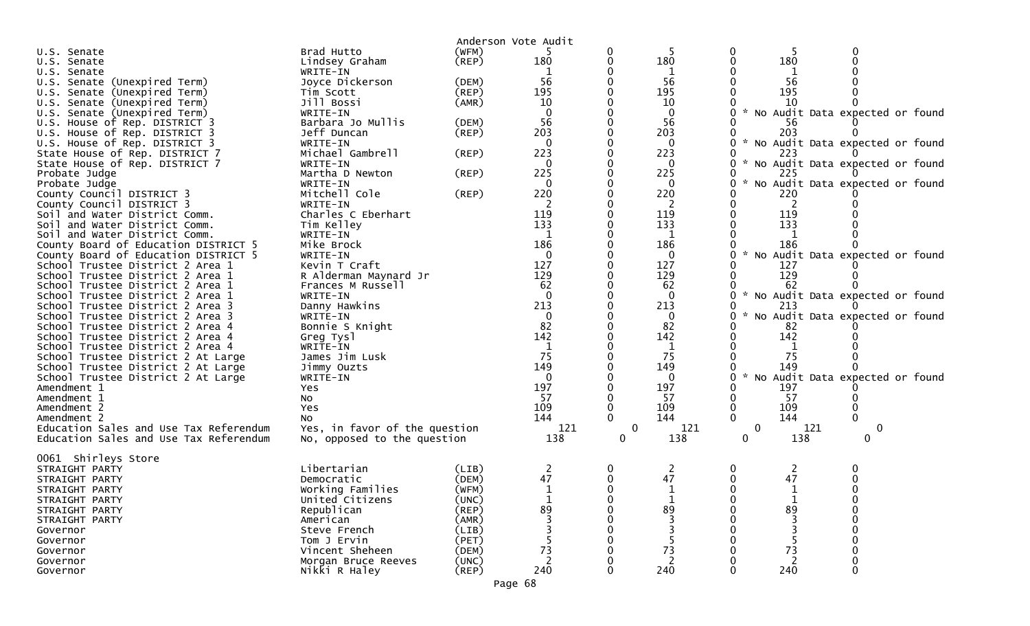|                                                                      |                               |             | Anderson Vote Audit |          |                 |              |              |                                   |  |
|----------------------------------------------------------------------|-------------------------------|-------------|---------------------|----------|-----------------|--------------|--------------|-----------------------------------|--|
| U.S. Senate                                                          | Brad Hutto                    | (WFM)       |                     |          |                 | 0            |              |                                   |  |
| U.S. Senate                                                          | Lindsey Graham                | $($ REP $)$ | 180                 | 0        | 180             | 0            | 180          |                                   |  |
| U.S. Senate                                                          | WRITE-IN                      |             |                     |          | 1               |              | 1            |                                   |  |
| U.S. Senate (Unexpired Term)                                         | Joyce Dickerson               | (DEM)       | 56                  |          | 56              |              | 56           |                                   |  |
| U.S. Senate (Unexpired Term)                                         | Tim Scott                     | (REP)       | 195                 |          | 195             |              | 195          |                                   |  |
| U.S. Senate (Unexpired Term)                                         | Jill Bossi                    | (AMR)       | 10                  |          | 10              |              | 10           |                                   |  |
| U.S. Senate (Unexpired Term)                                         | WRITE-IN                      |             |                     |          | $\mathbf 0$     |              |              | * No Audit Data expected or found |  |
| U.S. House of Rep. DISTRICT 3                                        | Barbara Jo Mullis             | (DEM)       | 56                  |          | 56              |              | 56           |                                   |  |
| U.S. House of Rep. DISTRICT 3                                        | Jeff Duncan                   | $($ REP $)$ | 203                 |          | 203             |              | 203          |                                   |  |
| U.S. House of Rep. DISTRICT 3                                        | WRITE-IN                      |             |                     |          | $\mathbf{0}$    | 0            |              | * No Audit Data expected or found |  |
| State House of Rep. DISTRICT 7                                       | Michael Gambrell              | (REP)       | 223                 |          | 223             |              | 223          |                                   |  |
| State House of Rep. DISTRICT 7                                       | WRITE-IN                      |             |                     |          | 0               | 0            |              | * No Audit Data expected or found |  |
| Probate Judge                                                        | Martha D Newton               | (REP)       | 225                 |          | 225             |              | 225          |                                   |  |
| Probate Judge                                                        | WRITE-IN                      |             | $\Omega$            |          | $\Omega$        | 0            |              | * No Audit Data expected or found |  |
| County Council DISTRICT 3                                            | Mitchell Cole                 | (REP)       | 220                 |          | 220             |              | 220          |                                   |  |
| County Council DISTRICT 3                                            | WRITE-IN                      |             | 2                   |          | -2              | 0            | 2            |                                   |  |
| Soil and Water District Comm.                                        | Charles C Eberhart            |             | 119                 |          | 119             | 0            | 119          |                                   |  |
| Soil and Water District Comm.                                        | Tim Kelley                    |             | 133                 |          | 133             |              | 133          |                                   |  |
| Soil and Water District Comm.                                        | WRITE-IN                      |             | 1                   |          | 1               |              |              |                                   |  |
| County Board of Education DISTRICT 5                                 | Mike Brock                    |             | 186                 |          | 186             |              | 186          |                                   |  |
| County Board of Education DISTRICT 5                                 | WRITE-IN                      |             | 0                   |          | $\bf{0}$<br>127 | 0            |              | No Audit Data expected or found   |  |
| School Trustee District 2 Area 1                                     | Kevin T Craft                 |             | 127<br>129          |          | 129             |              | 127<br>129   |                                   |  |
| School Trustee District 2 Area 1                                     | R Alderman Maynard Jr         |             | 62                  |          |                 |              | 62           |                                   |  |
| School Trustee District 2 Area 1<br>School Trustee District 2 Area 1 | Frances M Russell<br>WRITE-IN |             | $\Omega$            |          | 62<br>$\Omega$  | 0            |              | * No Audit Data expected or found |  |
| School Trustee District 2 Area 3                                     | Danny Hawkins                 |             | 213                 |          | 213             |              | 213          |                                   |  |
| School Trustee District 2 Area 3                                     | WRITE-IN                      |             |                     |          | $\mathbf 0$     |              |              | No Audit Data expected or found   |  |
| School Trustee District 2 Area 4                                     | Bonnie S Knight               |             | 82                  |          | 82              |              | 82           |                                   |  |
| School Trustee District 2 Area 4                                     | Greg Tysl                     |             | 142                 |          | 142             |              | 142          |                                   |  |
| School Trustee District 2 Area 4                                     | WRITE-IN                      |             | -1                  |          | $\mathbf{1}$    |              | 1            |                                   |  |
| School Trustee District 2 At Large                                   | James Jim Lusk                |             | 75                  |          | 75              | 0            | 75           |                                   |  |
| School Trustee District 2 At Large                                   | Jimmy Ouzts                   |             | 149                 |          | 149             |              | 149          |                                   |  |
| School Trustee District 2 At Large                                   | WRITE-IN                      |             | $\Omega$            |          | 0               | 0            |              | * No Audit Data expected or found |  |
| Amendment 1                                                          | Yes                           |             | 197                 |          | 197             | 0            | 197          |                                   |  |
| Amendment 1                                                          | NO.                           |             | -57                 |          | -57             |              | -57          |                                   |  |
| Amendment 2                                                          | Yes                           |             | 109                 |          | 109             | 0            | 109          |                                   |  |
| Amendment 2                                                          | No                            |             | 144                 |          | 144             | $\Omega$     | 144          | $\Omega$                          |  |
| Education Sales and Use Tax Referendum                               | Yes, in favor of the question |             | 121                 | 0        | 121             | 0            | 121          | $\bf{0}$                          |  |
| Education Sales and Use Tax Referendum                               | No, opposed to the question   |             | 138                 | $\Omega$ | 138             | 0            | 138          | 0                                 |  |
| 0061 Shirleys Store                                                  |                               |             |                     |          |                 |              |              |                                   |  |
| STRAIGHT PARTY                                                       | Libertarian                   | (LIB)       | 2                   | 0        | 2               | 0            | 2            |                                   |  |
| STRAIGHT PARTY                                                       | Democratic                    | (DEM)       | 47                  | 0        | 47              | 0            | 47           |                                   |  |
| STRAIGHT PARTY                                                       | Working Families              | (WFM)       |                     |          |                 | <sup>n</sup> | $\mathbf{1}$ |                                   |  |
| STRAIGHT PARTY                                                       | United Citizens               | (UNC)       |                     |          |                 | 0            |              |                                   |  |
| STRAIGHT PARTY                                                       | Republican                    | (REP)       | 89                  |          | 89              |              | 89           |                                   |  |
| STRAIGHT PARTY                                                       | American                      | (AMR)       |                     |          |                 |              |              |                                   |  |
| Governor                                                             | Steve French                  | (LIB)       |                     |          |                 |              |              |                                   |  |
| Governor                                                             | Tom J Ervin                   | (PET)       |                     |          |                 |              |              |                                   |  |
| Governor                                                             | Vincent Sheheen               | (DEM)       | 73                  |          | 73              |              | 73           |                                   |  |
| Governor                                                             | Morgan Bruce Reeves           | (UNC)       |                     |          |                 |              |              |                                   |  |
| Governor                                                             | Nikki R Haley                 | (REP)       | 240                 |          | 240             |              | 240          |                                   |  |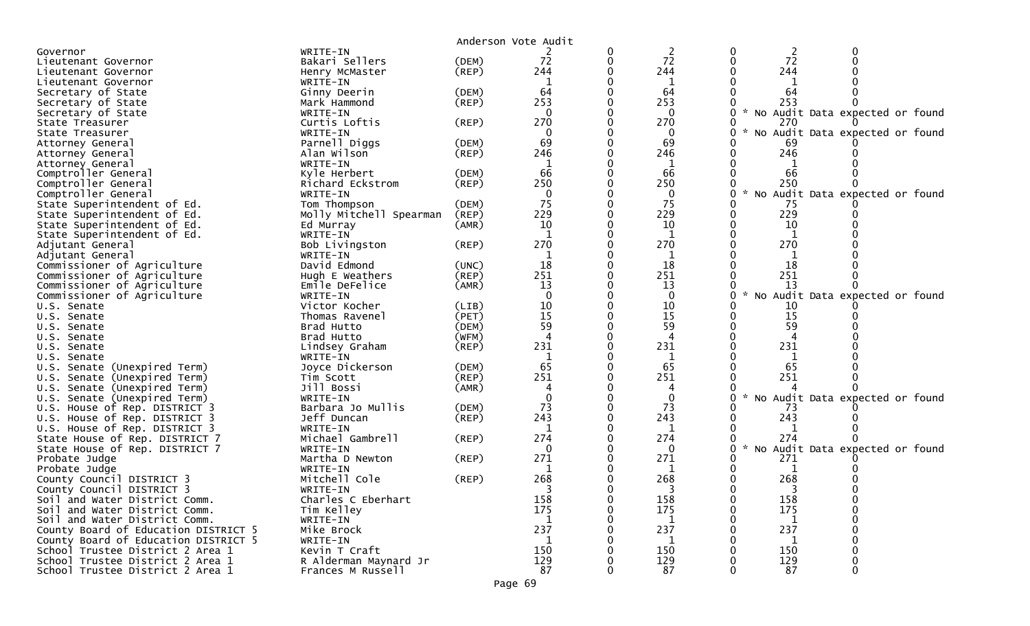|                                                                      |                                            |                      | Anderson Vote Audit |   |                |                    |                |                                    |
|----------------------------------------------------------------------|--------------------------------------------|----------------------|---------------------|---|----------------|--------------------|----------------|------------------------------------|
| Governor                                                             | WRITE-IN                                   |                      |                     |   | $\overline{2}$ | 0                  | $\overline{2}$ |                                    |
| Lieutenant Governor                                                  | Bakari Sellers                             | (DEM)                | 72                  | 0 | 72             | $\mathbf{0}$       | 72             |                                    |
| Lieutenant Governor                                                  | Henry McMaster                             | $($ REP $)$          | 244                 |   | 244            |                    | 244            |                                    |
| Lieutenant Governor                                                  | WRITE-IN                                   |                      |                     |   | 1              |                    |                |                                    |
| Secretary of State                                                   | Ginny Deerin                               | (DEM)                | 64                  |   | 64             |                    | 64             |                                    |
| Secretary of State                                                   | Mark Hammond                               | $($ REP $)$          | 253                 |   | 253            |                    | 253            |                                    |
| Secretary of State                                                   | WRITE-IN                                   |                      | $\Omega$            |   | $\Omega$       | $\mathcal{H}$      |                | No Audit Data expected or found    |
| State Treasurer                                                      | Curtis Loftis                              | (REP)                | 270                 |   | 270            | 0                  | 270            |                                    |
| State Treasurer                                                      | WRITE-IN                                   |                      |                     |   | 0              |                    |                | No Audit Data expected or found    |
| Attorney General                                                     | Parnell Diggs                              | (DEM)                | 69                  |   | 69             |                    | 69             |                                    |
| Attorney General                                                     | Alan Wilson                                | (REP)                | 246                 |   | 246            | 0                  | 246            |                                    |
| Attorney General                                                     | WRITE-IN<br>Kyle Herbert                   |                      | 66                  |   | 66             |                    | 66             |                                    |
| Comptroller General<br>Comptroller General                           | Richard Eckstrom                           | (DEM)<br>$($ REP $)$ | 250                 |   | 250            |                    | 250            |                                    |
| Comptroller General                                                  | WRITE-IN                                   |                      |                     |   | 0              | $\sim$<br>0        |                | No Audit Data expected or<br>found |
| State Superintendent of Ed.                                          | Tom Thompson                               | (DEM)                | 75                  |   | 75             |                    | -75            |                                    |
| State Superintendent of Ed.                                          | Molly Mitchell Spearman                    | (REP)                | 229                 |   | 229            | 0                  | 229            |                                    |
| State Superintendent of Ed.                                          | Ed Murray                                  | (AMR)                | 10                  |   | 10             |                    | 10             |                                    |
| State Superintendent of Ed.                                          | WRITE-IN                                   |                      | $\mathbf{1}$        |   | 1              |                    | 1              |                                    |
| Adjutant General                                                     | Bob Livingston                             | (REP)                | 270                 |   | 270            |                    | 270            |                                    |
| Adjutant General                                                     | WRITE-IN                                   |                      |                     |   |                |                    |                |                                    |
| Commissioner of Agriculture                                          | David Edmond                               | (UNC)                | 18                  |   | 18             |                    | 18             |                                    |
| Commissioner of Agriculture                                          | Hugh E Weathers                            | $($ REP $)$          | 251                 |   | 251            |                    | 251            |                                    |
| Commissioner of Agriculture                                          | Emile DeFelice                             | (AMR)                | 13                  |   | 13             |                    | 13             |                                    |
| Commissioner of Agriculture                                          | WRITE-IN                                   |                      | $\Omega$            |   | $\mathbf 0$    | 0                  |                | No Audit Data expected or found    |
| U.S. Senate                                                          | Victor Kocher                              | (LIB)                | 10                  |   | 10             |                    | 10             |                                    |
| U.S. Senate                                                          | Thomas Ravenel                             | (PET)                | 15                  |   | 15             |                    | 15             |                                    |
| U.S. Senate                                                          | Brad Hutto                                 | (DEM)                | 59                  |   | 59             |                    | 59             |                                    |
| U.S. Senate                                                          | Brad Hutto                                 | (WFM)                |                     |   | 4              |                    |                |                                    |
| U.S. Senate                                                          | Lindsey Graham                             | $($ REP $)$          | 231                 |   | 231            |                    | 231            |                                    |
| U.S. Senate                                                          | WRITE-IN                                   |                      | 1                   |   | 1              |                    | 1              |                                    |
| U.S. Senate (Unexpired Term)                                         | Joyce Dickerson                            | (DEM)                | 65<br>251           |   | 65<br>251      |                    | 65<br>251      |                                    |
| U.S. Senate (Unexpired Term)                                         | Tim Scott<br>Jill Bossi                    | (REP)<br>(AMR)       |                     |   |                |                    |                |                                    |
| U.S. Senate (Unexpired Term)<br>U.S. Senate (Unexpired Term)         | WRITE-IN                                   |                      |                     |   |                | $\mathcal{R}$      |                | No Audit Data expected or found    |
| U.S. House of Rep. DISTRICT 3                                        | Barbara Jo Mullis                          | (DEM)                | 73                  |   | 73             |                    | 73             |                                    |
| U.S. House of Rep. DISTRICT 3                                        | Jeff Duncan                                | $($ REP $)$          | 243                 |   | 243            |                    | 243            |                                    |
| U.S. House of Rep. DISTRICT 3                                        | WRITE-IN                                   |                      |                     |   | 1              |                    |                |                                    |
| State House of Rep. DISTRICT 7                                       | Michael Gambrell                           | (REP)                | 274                 |   | 274            |                    | 274            |                                    |
| State House of Rep. DISTRICT 7                                       | WRITE-IN                                   |                      | $\Omega$            |   | 0              | $\mathcal{H}$<br>0 |                | No Audit Data expected or found    |
| Probate Judge                                                        | Martha D Newton                            | (REP)                | 271                 |   | 271            |                    | 271            |                                    |
| Probate Judge                                                        | WRITE-IN                                   |                      |                     |   |                |                    |                |                                    |
| County Council DISTRICT 3                                            | Mitchell Cole                              | (REP)                | 268                 |   | 268            |                    | 268            |                                    |
| County Council DISTRICT 3                                            | WRITE-IN                                   |                      |                     |   |                |                    |                |                                    |
| Soil and Water District Comm.                                        | Charles C Eberhart                         |                      | 158                 |   | 158            |                    | 158            |                                    |
| Soil and Water District Comm.                                        | Tim Kelley                                 |                      | 175                 |   | 175            |                    | 175            |                                    |
| Soil and Water District Comm.                                        | WRITE-IN                                   |                      | 1                   |   | 1              |                    | 1              |                                    |
| County Board of Education DISTRICT 5                                 | Mike Brock                                 |                      | 237                 |   | 237            |                    | 237            |                                    |
| County Board of Education DISTRICT 5                                 | WRITE-IN                                   |                      | $\mathbf 1$         |   | 1              |                    | 1              |                                    |
| School Trustee District 2 Area 1                                     | Kevin T Craft                              |                      | 150                 |   | 150            |                    | 150            |                                    |
| School Trustee District 2 Area 1<br>School Trustee District 2 Area 1 | R Alderman Maynard Jr<br>Frances M Russell |                      | 129<br>87           |   | 129<br>87      |                    | 129<br>87      |                                    |
|                                                                      |                                            |                      |                     |   |                |                    |                |                                    |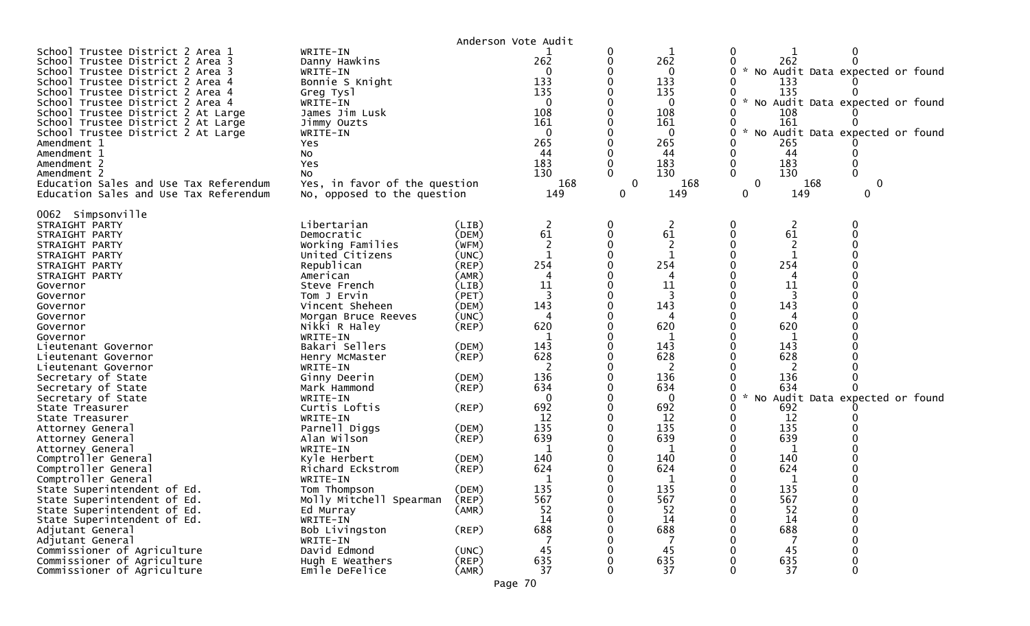| Anderson Vote Audit                                                                                                                                                                                                                                                                                                                                                                                                                                                                                                                                                                                                                                                                                                                                                                  |                                                                                                                                                                                                                                                                                                                                                                                                                                                                                                                                                                              |                                                                                                                                                                                                                                                                         |                                                                                                                                                                              |        |                                                                                                                                                                                           |                                                  |                                                                                                                                                                                                                                                           |               |  |
|--------------------------------------------------------------------------------------------------------------------------------------------------------------------------------------------------------------------------------------------------------------------------------------------------------------------------------------------------------------------------------------------------------------------------------------------------------------------------------------------------------------------------------------------------------------------------------------------------------------------------------------------------------------------------------------------------------------------------------------------------------------------------------------|------------------------------------------------------------------------------------------------------------------------------------------------------------------------------------------------------------------------------------------------------------------------------------------------------------------------------------------------------------------------------------------------------------------------------------------------------------------------------------------------------------------------------------------------------------------------------|-------------------------------------------------------------------------------------------------------------------------------------------------------------------------------------------------------------------------------------------------------------------------|------------------------------------------------------------------------------------------------------------------------------------------------------------------------------|--------|-------------------------------------------------------------------------------------------------------------------------------------------------------------------------------------------|--------------------------------------------------|-----------------------------------------------------------------------------------------------------------------------------------------------------------------------------------------------------------------------------------------------------------|---------------|--|
| School Trustee District 2 Area 1<br>School Trustee District 2 Area 3<br>School Trustee District 2 Area 3<br>School Trustee District 2 Area 4<br>School Trustee District 2 Area 4<br>School Trustee District 2 Area 4<br>School Trustee District 2 At Large<br>School Trustee District 2 At Large<br>School Trustee District 2 At Large<br>Amendment 1<br>Amendment 1<br>Amendment 2<br>Amendment 2<br>Education Sales and Use Tax Referendum<br>Education Sales and Use Tax Referendum                                                                                                                                                                                                                                                                                               | WRITE-IN<br>Danny Hawkins<br>WRITE-IN<br>Bonnie S Knight<br>Greg Tysl<br>WRITE-IN<br>James Jim Lusk<br>Jimmy Ouzts<br>WRITE-IN<br>Yes<br>No<br>Yes<br>NO.<br>Yes, in favor of the question<br>No, opposed to the question                                                                                                                                                                                                                                                                                                                                                    |                                                                                                                                                                                                                                                                         | 262<br>0<br>133<br>135<br>108<br>161<br>$\Omega$<br>265<br>44<br>183<br>130<br>168<br>149                                                                                    | 0<br>0 | 262<br>0<br>133<br>135<br>0<br>108<br>161<br>0<br>265<br>44<br>183<br>130<br>168<br>149                                                                                                   | 0<br>$\mathcal{H}$<br>$\sim$<br>$\mathbf 0$<br>0 | 262<br>No Audit Data expected or found<br>133<br>135<br>No Audit Data expected or found<br>108<br>161<br>No Audit Data expected or found<br>265<br>44<br>183<br>130<br>168<br>149                                                                         | $\bf{0}$<br>0 |  |
| 0062 Simpsonville<br>STRAIGHT PARTY<br>STRAIGHT PARTY<br>STRAIGHT PARTY<br>STRAIGHT PARTY<br>STRAIGHT PARTY<br>STRAIGHT PARTY<br>Governor<br>Governor<br>Governor<br>Governor<br>Governor<br>Governor<br>Lieutenant Governor<br>Lieutenant Governor<br>Lieutenant Governor<br>Secretary of State<br>Secretary of State<br>Secretary of State<br>State Treasurer<br>State Treasurer<br>Attorney General<br>Attorney General<br>Attorney General<br>Comptroller General<br>Comptroller General<br>Comptroller General<br>State Superintendent of Ed.<br>State Superintendent of Ed.<br>State Superintendent of Ed.<br>State Superintendent of Ed.<br>Adjutant General<br>Adjutant General<br>Commissioner of Agriculture<br>Commissioner of Agriculture<br>Commissioner of Agriculture | Libertarian<br>Democratic<br>Working Families<br>United Citizens<br>Republican<br>American<br>Steve French<br>Tom J Ervin<br>Vincent Sheheen<br>Morgan Bruce Reeves<br>Nikki R Haley<br>WRITE-IN<br>Bakari Sellers<br>Henry McMaster<br>WRITE-IN<br>Ginny Deerin<br>Mark Hammond<br>WRITE-IN<br>Curtis Loftis<br>WRITE-IN<br>Parnell Diggs<br>Alan Wilson<br>WRITE-IN<br>Kyle Herbert<br>Richard Eckstrom<br>WRITE-IN<br>Tom Thompson<br>Molly Mitchell Spearman<br>Ed Murray<br>WRITE-IN<br>Bob Livingston<br>WRITE-IN<br>David Edmond<br>Hugh E Weathers<br>Emile DeFelice | (LIB)<br>(DEM)<br>(WFM)<br>(UNC)<br>(REP)<br>(AMR)<br>(LIB)<br>(PET)<br>(DEM)<br>(UNC)<br>$($ REP $)$<br>(DEM)<br>(REP)<br>(DEM)<br>$($ REP $)$<br>$($ REP $)$<br>(DEM)<br>(REP)<br>(DEM)<br>(REP)<br>(DEM)<br>(REP)<br>(AMR)<br>$($ REP $)$<br>(UNC)<br>(REP)<br>(AMR) | 2<br>61<br>254<br>11<br>143<br>620<br>143<br>628<br>136<br>634<br>$\Omega$<br>692<br>12<br>135<br>639<br>1<br>140<br>624<br>135<br>567<br>52<br>14<br>688<br>45<br>635<br>37 |        | 2<br>61<br>254<br>4<br>11<br>143<br>620<br>143<br>628<br>2<br>136<br>634<br>0<br>692<br>12<br>135<br>639<br>1<br>140<br>624<br>1<br>135<br>567<br>52<br>14<br>688<br>7<br>45<br>635<br>37 | 0<br>$\sim$<br>0<br>ν<br>0                       | 2<br>61<br>$\overline{2}$<br>254<br>4<br>11<br>3<br>143<br>620<br>143<br>628<br>2<br>136<br>634<br>No Audit Data expected or found<br>692<br>12<br>135<br>639<br>1<br>140<br>624<br>$\mathbf{1}$<br>135<br>567<br>52<br>14<br>688<br>7<br>45<br>635<br>37 | 0<br>0        |  |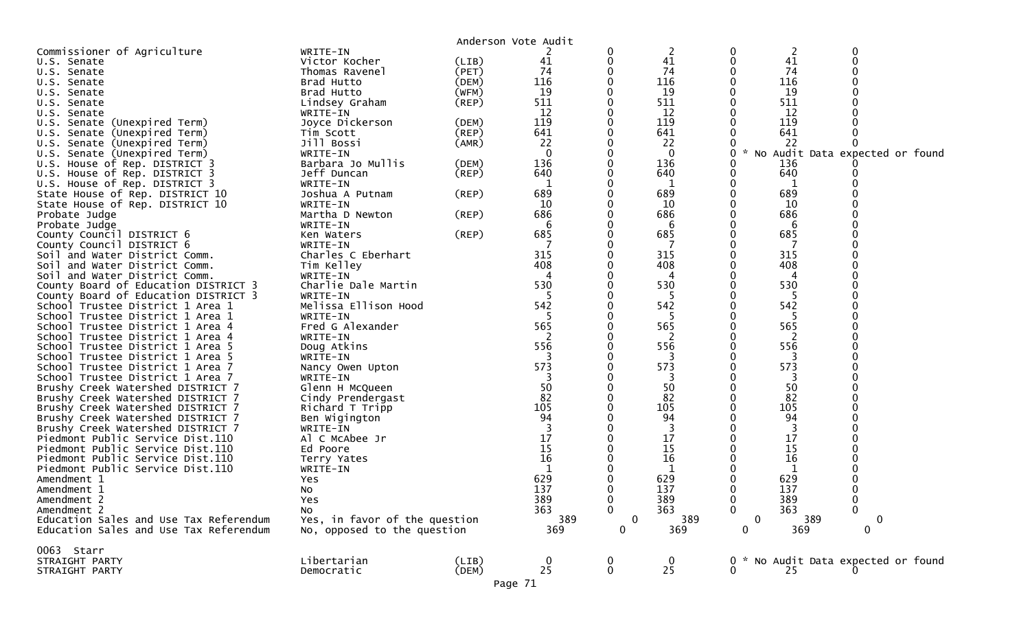|                                        |                               |             | Anderson Vote Audit |             |                  |              |                |                                   |  |
|----------------------------------------|-------------------------------|-------------|---------------------|-------------|------------------|--------------|----------------|-----------------------------------|--|
| Commissioner of Agriculture            | WRITE-IN                      |             |                     |             | 2                | 0            | $\overline{c}$ | 0                                 |  |
| U.S. Senate                            | Victor Kocher                 | (LIB)       | 41                  |             | 41               | 0            | 41             |                                   |  |
| U.S. Senate                            | Thomas Ravenel                | (PET)       | 74                  |             | 74               |              | 74             |                                   |  |
| U.S. Senate                            | Brad Hutto                    | (DEM)       | 116                 |             | 116              |              | 116            |                                   |  |
| U.S. Senate                            | Brad Hutto                    | (WFM)       | 19                  |             | 19               |              | 19             |                                   |  |
| U.S. Senate                            | Lindsey Graham                | (REP)       | 511                 |             | 511              |              | 511            |                                   |  |
| U.S. Senate                            | WRITE-IN                      |             | 12                  |             | 12               |              | 12             |                                   |  |
| U.S. Senate (Unexpired Term)           | Joyce Dickerson               | (DEM)       | 119                 |             | 119              |              | 119            |                                   |  |
| U.S. Senate (Unexpired Term)           | Tim Scott                     | (REP)       | 641                 |             | 641              |              | 641            |                                   |  |
| U.S. Senate (Unexpired Term)           | Jill Bossi                    | (AMR)       | 22                  |             | 22               |              | 22             |                                   |  |
| U.S. Senate (Unexpired Term)           | WRITE-IN                      |             | $\mathbf{0}$        |             | $\mathbf{0}$     | 0            |                | * No Audit Data expected or found |  |
| U.S. House of Rep. DISTRICT 3          | Barbara Jo Mullis             | (DEM)       | 136                 |             | 136              |              | 136            |                                   |  |
| U.S. House of Rep. DISTRICT 3          | Jeff Duncan                   | $($ REP $)$ | 640                 |             | 640              | 0            | 640            |                                   |  |
| U.S. House of Rep. DISTRICT 3          | WRITE-IN                      |             |                     |             | 1                |              |                |                                   |  |
| State House of Rep. DISTRICT 10        | Joshua A Putnam               | $($ REP $)$ | 689                 |             | 689              |              | 689            |                                   |  |
| State House of Rep. DISTRICT 10        | WRITE-IN                      |             | 10                  |             | 10               |              | 10             |                                   |  |
| Probate Judge                          | Martha D Newton               | (REP)       | 686                 |             | 686              |              | 686            |                                   |  |
| Probate Judge                          | WRITE-IN                      |             | 6                   |             | 6                |              | 6              |                                   |  |
| County Council DISTRICT 6              | Ken Waters                    | $($ REP $)$ | 685                 |             | 685              |              | 685            |                                   |  |
| County Council DISTRICT 6              | WRITE-IN                      |             |                     |             |                  |              |                |                                   |  |
| Soil and Water District Comm.          | Charles C Eberhart            |             | 315                 |             | 315              |              | 315            |                                   |  |
| Soil and Water District Comm.          |                               |             | 408                 |             | 408              |              | 408            |                                   |  |
|                                        | Tim Kelley                    |             |                     |             |                  |              |                |                                   |  |
| Soil and Water District Comm.          | WRITE-IN                      |             |                     |             | 4                |              | 4              |                                   |  |
| County Board of Education DISTRICT 3   | Charlie Dale Martin           |             | 530                 |             | 530              |              | 530            |                                   |  |
| County Board of Education DISTRICT 3   | WRITE-IN                      |             | 5                   |             | 5                |              | 5              |                                   |  |
| School Trustee District 1 Area 1       | Melissa Ellison Hood          |             | 542                 |             | 542              |              | 542            |                                   |  |
| School Trustee District 1 Area 1       | WRITE-IN                      |             |                     |             |                  |              | -5             |                                   |  |
| School Trustee District 1 Area 4       | Fred G Alexander              |             | 565                 |             | 565              |              | 565            |                                   |  |
| School Trustee District 1 Area 4       | WRITE-IN                      |             |                     |             | 2                |              | 2              |                                   |  |
| School Trustee District 1 Area 5       | Doug Atkins                   |             | 556                 |             | 556              |              | 556            |                                   |  |
| School Trustee District 1 Area 5       | WRITE-IN                      |             | 3                   |             | 3                |              | 3              |                                   |  |
| School Trustee District 1 Area 7       | Nancy Owen Upton              |             | 573                 |             | 573              |              | 573            |                                   |  |
| School Trustee District 1 Area 7       | WRITE-IN                      |             |                     |             | 3                |              | 3              |                                   |  |
| Brushy Creek Watershed DISTRICT 7      | Glenn H McQueen               |             | 50                  |             | 50               |              | 50             |                                   |  |
| Brushy Creek Watershed DISTRICT 7      | Cindy Prendergast             |             | 82                  |             | 82               |              | 82             |                                   |  |
| Brushy Creek Watershed DISTRICT 7      | Richard T Tripp               |             | 105                 |             | 105              |              | 105            |                                   |  |
| Brushy Creek Watershed DISTRICT 7      | Ben Wigington                 |             | 94                  |             | 94               |              | 94             |                                   |  |
| Brushy Creek Watershed DISTRICT 7      | WRITE-IN                      |             |                     |             |                  |              |                |                                   |  |
| Piedmont Public Service Dist.110       | Al C McAbee Jr                |             | 17                  |             | 17               |              | 17             |                                   |  |
| Piedmont Public Service Dist.110       | Ed Poore                      |             | 15                  |             | 15               |              | 15             |                                   |  |
| Piedmont Public Service Dist.110       | Terry Yates                   |             | 16                  |             | 16               |              | 16             |                                   |  |
| Piedmont Public Service Dist.110       | WRITE-IN                      |             |                     |             |                  |              |                |                                   |  |
| Amendment 1                            | Yes                           |             | 629                 |             | 629              |              | 629            |                                   |  |
| Amendment 1                            | No                            |             | 137                 |             | 137              | v            | 137            | v                                 |  |
| Amendment 2                            | Yes                           |             | 389                 | 0           | 389              | 0            | 389            | 0                                 |  |
| Amendment 2                            | No                            |             | 363                 | $\Omega$    | 363              | $\Omega$     | 363            | $\overline{0}$                    |  |
| Education Sales and Use Tax Referendum | Yes, in favor of the question |             | 389                 | $\mathbf 0$ | 389              | $\mathbf 0$  | 389            | $\mathbf 0$                       |  |
| Education Sales and Use Tax Referendum | No, opposed to the question   |             | 369                 | 0           | 369              | $\mathbf{0}$ | 369            | $\mathbf 0$                       |  |
|                                        |                               |             |                     |             |                  |              |                |                                   |  |
| 0063 Starr                             |                               |             |                     |             |                  |              |                |                                   |  |
| STRAIGHT PARTY                         | Libertarian                   | (LIB)       |                     |             | $\boldsymbol{0}$ | 0            |                | * No Audit Data expected or found |  |
| STRAIGHT PARTY                         | Democratic                    | (DEM)       | $\frac{0}{25}$      | 0           | 25               | 0            | 25             |                                   |  |
|                                        |                               |             |                     |             |                  |              |                |                                   |  |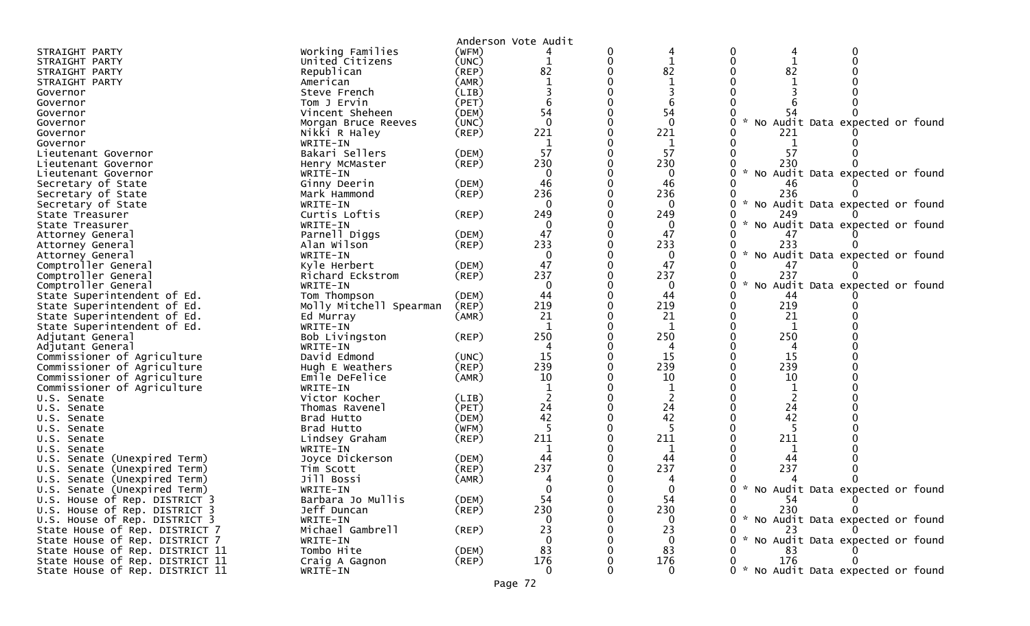|                                 |                         |             | Anderson Vote Audit |   |              |                                                       |
|---------------------------------|-------------------------|-------------|---------------------|---|--------------|-------------------------------------------------------|
| STRAIGHT PARTY                  | Working Families        | (WFM)       |                     | 0 | 4            | 0<br>0<br>4                                           |
| STRAIGHT PARTY                  | United Citizens         | (UNC)       | 1                   | 0 | $\mathbf{1}$ | 0                                                     |
| STRAIGHT PARTY                  | Republican              | $($ REP $)$ | 82                  |   | 82           | 82                                                    |
| STRAIGHT PARTY                  | American                | (AMR)       |                     |   | $\mathbf{1}$ |                                                       |
| Governor                        | Steve French            | (LIB)       |                     |   |              |                                                       |
| Governor                        | Tom J Ervin             | (PET)       |                     |   |              |                                                       |
| Governor                        | Vincent Sheheen         | (DEM)       | 54                  |   | 54           |                                                       |
| Governor                        | Morgan Bruce Reeves     | (UNC)       | $\mathbf 0$         |   | $\mathbf{0}$ | No Audit Data expected or found                       |
| Governor                        | Nikki R Haley           | $($ REP $)$ | 221                 |   | 221          | 221                                                   |
| Governor                        | WRITE-IN                |             | $\mathbf{1}$        |   | 1            | 1                                                     |
| Lieutenant Governor             | Bakari Sellers          | (DEM)       | 57                  |   | 57           | 57                                                    |
| Lieutenant Governor             | Henry McMaster          | $($ REP $)$ | 230                 |   | 230          | 230                                                   |
| Lieutenant Governor             | WRITE-IN                |             | $\Omega$            |   | $\mathbf{0}$ | $\mathcal{H}$<br>No Audit Data expected or found      |
| Secretary of State              | Ginny Deerin            | (DEM)       | 46                  |   | 46           | 46                                                    |
| Secretary of State              | Mark Hammond            | $($ REP $)$ | 236                 | 0 | 236          | 236                                                   |
| Secretary of State              | WRITE-IN                |             | $\Omega$            |   | $\mathbf{0}$ | $\mathcal{H}$<br>No Audit Data expected or found<br>0 |
| State Treasurer                 | Curtis Loftis           | $($ REP $)$ | 249                 |   | 249          | 249                                                   |
| State Treasurer                 | WRITE-IN                |             | $\Omega$            |   | 0            | No Audit Data expected or found                       |
| Attorney General                | Parnell Diggs           | (DEM)       | 47                  |   | 47           | 47                                                    |
| Attorney General                | Alan Wilson             | $($ REP $)$ | 233                 |   | 233          | 233                                                   |
| Attorney General                | WRITE-IN                |             | $\Omega$            |   | 0            | No Audit Data expected or found                       |
| Comptroller General             | Kyle Herbert            | (DEM)       | 47                  |   | 47           | 47                                                    |
| Comptroller General             | Richard Eckstrom        | $($ REP $)$ | 237                 |   | 237          | 237                                                   |
| Comptroller General             | WRITE-IN                |             | 0                   | U | 0            | $\sim$<br>No Audit Data expected or found<br>0        |
| State Superintendent of Ed.     | Tom Thompson            | (DEM)       | 44                  |   | 44           | 44                                                    |
| State Superintendent of Ed.     | Molly Mitchell Spearman | (REP)       | 219                 |   | 219          | 219                                                   |
| State Superintendent of Ed.     | Ed Murray               | (AMR)       | 21                  | 0 | 21           | 21                                                    |
| State Superintendent of Ed.     | WRITE-IN                |             | $\mathbf{1}$        |   | 1            | 1                                                     |
| Adjutant General                | Bob Livingston          | $($ REP $)$ | 250                 |   | 250          | 250                                                   |
| Adjutant General                | WRITE-IN                |             |                     |   |              |                                                       |
| Commissioner of Agriculture     | David Edmond            | (UNC)       | 15                  |   | 15           | 15                                                    |
| Commissioner of Agriculture     | Hugh E Weathers         | $($ REP $)$ | 239                 |   | 239          | 239                                                   |
| Commissioner of Agriculture     | Emile DeFelice          | (AMR)       | 10                  |   | 10           | 10                                                    |
| Commissioner of Agriculture     | WRITE-IN                |             |                     |   |              |                                                       |
| U.S. Senate                     | Victor Kocher           | (LIB)       |                     |   |              |                                                       |
| U.S. Senate                     | Thomas Ravenel          | (PET)       | 24                  | U | 24           | 24                                                    |
| U.S. Senate                     | Brad Hutto              | (DEM)       | 42                  |   | 42           | 42                                                    |
| U.S. Senate                     | Brad Hutto              | (WFM)       |                     |   |              |                                                       |
| U.S. Senate                     | Lindsey Graham          | $($ REP $)$ | 211                 |   | 211          | 211                                                   |
| U.S. Senate                     | WRITE-IN                |             | 1                   |   | 1            |                                                       |
| Senate (Unexpired Term)<br>U.S. | Joyce Dickerson         | (DEM)       | 44                  |   | 44           | 44                                                    |
| Senate (Unexpired Term)<br>U.S. | Tim Scott               | (REP)       | 237                 |   | 237          | 237                                                   |
| U.S. Senate (Unexpired Term)    | Jill Bossi              | (AMR)       |                     |   | 4            |                                                       |
| U.S. Senate (Unexpired Term)    | WRITE-IN                |             |                     |   | ∩            | 0 * No Audit Data expected or found                   |
| U.S. House of Rep. DISTRICT 3   | Barbara Jo Mullis       | (DEM)       | 54                  |   | 54           | 54                                                    |
| U.S. House of Rep. DISTRICT 3   | Jeff Duncan             | $($ REP $)$ | 230                 |   | 230          | 230<br>0                                              |
| U.S. House of Rep. DISTRICT 3   | WRITE-IN                |             | $\Omega$            |   | 0            | * No Audit Data expected or found                     |
| State House of Rep. DISTRICT 7  | Michael Gambrell        | (REP)       | 23                  |   | 23           | 23                                                    |
| State House of Rep. DISTRICT 7  | WRITE-IN                |             | 0                   |   | $\mathbf 0$  | 0 * No Audit Data expected or found                   |
| State House of Rep. DISTRICT 11 | Tombo Hite              | (DEM)       | 83                  |   | 83           | 83                                                    |
| State House of Rep. DISTRICT 11 | Craig A Gagnon          | (REP)       | 176                 |   | 176          | 176                                                   |
| State House of Rep. DISTRICT 11 | WRITE-IN                |             | $\mathbf{0}$        |   | $\mathbf{0}$ | 0 * No Audit Data expected or found                   |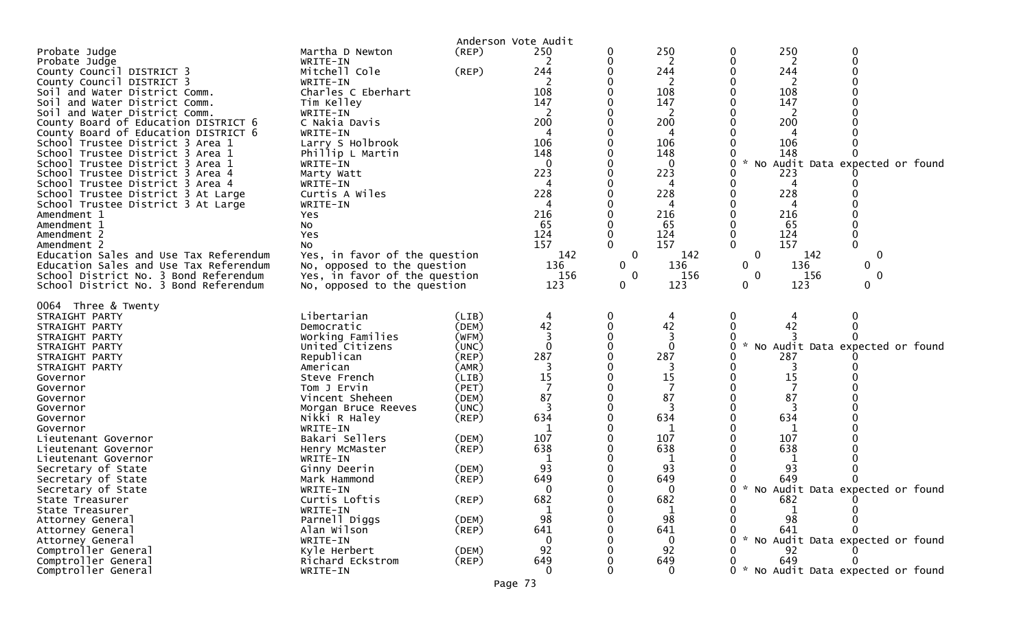| Probate Judge<br>Probate Judge<br>County Council DISTRICT 3<br>County Council DISTRICT 3<br>Soil and Water District Comm.<br>Soil and Water District Comm.<br>Soil and Water District Comm.<br>County Board of Education DISTRICT 6<br>County Board of Education DISTRICT 6<br>School Trustee District 3 Area 1<br>School Trustee District 3 Area 1<br>School Trustee District 3 Area 1<br>School Trustee District 3 Area 4<br>School Trustee District 3 Area 4<br>School Trustee District 3 At Large<br>School Trustee District 3 At Large<br>Amendment 1<br>Amendment 1<br>Amendment 2<br>Amendment 2<br>Education Sales and Use Tax Referendum<br>Education Sales and Use Tax Referendum<br>School District No. 3 Bond Referendum<br>School District No. 3 Bond Referendum | Martha D Newton<br>WRITE-IN<br>Mitchell Cole<br>WRITE-IN<br>Charles C Eberhart<br>Tim Kelley<br>WRITE-IN<br>C Nakia Davis<br>WRITE-IN<br>Larry S Holbrook<br>Phillip L Martin<br>WRITE-IN<br>Marty Watt<br>WRITE-IN<br>Curtis A Wiles<br>WRITE-IN<br>Yes<br>No<br>Yes<br>No<br>Yes, in favor of the question<br>No, opposed to the question<br>Yes, in favor of the question<br>No, opposed to the question | (REP)<br>(REP)                                                                                                                   | Anderson Vote Audit<br>250<br>2<br>244<br>2<br>108<br>147<br>2<br>200<br>106<br>148<br>223<br>4<br>228<br>4<br>216<br>65<br>124<br>157<br>142<br>136<br>156<br>123 | 0<br>0<br>0<br>0<br>0<br>$\mathbf 0$<br>0<br>0<br>0 | 250<br>2<br>244<br>2<br>108<br>147<br>2<br>200<br>4<br>106<br>148<br>0<br>223<br>4<br>228<br>4<br>216<br>65<br>124<br>157<br>142<br>136<br>156<br>123 | 250<br>0<br>0<br>2<br>0<br>0<br>244<br>2<br>108<br>147<br>$\mathcal{L}$<br>200<br>106<br>148<br>No Audit Data expected or found<br>223<br>4<br>228<br>4<br>216<br>65<br>124<br>0<br>$\Omega$<br>157<br>$\Omega$<br>$\mathbf{0}$<br>142<br>$\mathbf{0}$<br>136<br>0<br>0<br>0<br>156<br>0<br>0<br>123<br>0 |  |
|-------------------------------------------------------------------------------------------------------------------------------------------------------------------------------------------------------------------------------------------------------------------------------------------------------------------------------------------------------------------------------------------------------------------------------------------------------------------------------------------------------------------------------------------------------------------------------------------------------------------------------------------------------------------------------------------------------------------------------------------------------------------------------|-------------------------------------------------------------------------------------------------------------------------------------------------------------------------------------------------------------------------------------------------------------------------------------------------------------------------------------------------------------------------------------------------------------|----------------------------------------------------------------------------------------------------------------------------------|--------------------------------------------------------------------------------------------------------------------------------------------------------------------|-----------------------------------------------------|-------------------------------------------------------------------------------------------------------------------------------------------------------|-----------------------------------------------------------------------------------------------------------------------------------------------------------------------------------------------------------------------------------------------------------------------------------------------------------|--|
| 0064 Three & Twenty<br>STRAIGHT PARTY<br>STRAIGHT PARTY<br>STRAIGHT PARTY<br>STRAIGHT PARTY<br>STRAIGHT PARTY<br>STRAIGHT PARTY<br>Governor<br>Governor<br>Governor<br>Governor<br>Governor<br>Governor<br>Lieutenant Governor<br>Lieutenant Governor<br>Lieutenant Governor<br>Secretary of State                                                                                                                                                                                                                                                                                                                                                                                                                                                                            | Libertarian<br>Democratic<br>Working Families<br>United Citizens<br>Republican<br>American<br>Steve French<br>Tom J Ervin<br>Vincent Sheheen<br>Morgan Bruce Reeves<br>Nikki R Haley<br>WRITE-IN<br>Bakari Sellers<br>Henry McMaster<br>WRITE-IN<br>Ginny Deerin                                                                                                                                            | (LIB)<br>(DEM)<br>(WFM)<br>(UNC)<br>(REP)<br>(AMR)<br>(LIB)<br>(PET)<br>(DEM)<br>(UNC)<br>$($ REP $)$<br>(DEM)<br>(REP)<br>(DEM) | 4<br>42<br>3<br>$\Omega$<br>287<br>3<br>15<br>7<br>87<br>3<br>634<br>107<br>638<br>93                                                                              | $\bf{0}$<br>0                                       | 4<br>42<br>3<br>0<br>287<br>3<br>15<br>7<br>87<br>3<br>634<br>1<br>107<br>638<br>1<br>93                                                              | 0<br>4<br>42<br>$\mathbf{x}$<br>No Audit Data expected or found<br>0<br>287<br>3<br>15<br>7<br>87<br>634<br>1<br>107<br>638<br>1<br>93                                                                                                                                                                    |  |
| Secretary of State<br>Secretary of State<br>State Treasurer<br>State Treasurer<br>Attorney General<br>Attorney General<br>Attorney General<br>Comptroller General<br>Comptroller General<br>Comptroller General                                                                                                                                                                                                                                                                                                                                                                                                                                                                                                                                                               | Mark Hammond<br>WRITE-IN<br>Curtis Loftis<br>WRITE-IN<br>Parnell Diggs<br>Alan Wilson<br>WRITE-IN<br>Kyle Herbert<br>Richard Eckstrom<br>WRITE-IN                                                                                                                                                                                                                                                           | $($ REP $)$<br>$($ REP $)$<br>(DEM)<br>$($ REP $)$<br>(DEM)<br>$($ REP $)$                                                       | 649<br>$\Omega$<br>682<br>98<br>641<br>$\mathbf 0$<br>92<br>649<br>$\Omega$                                                                                        | 0                                                   | 649<br>0<br>682<br>1<br>98<br>641<br>$\Omega$<br>92<br>649<br>$\Omega$                                                                                | 649<br>0<br>* No Audit Data expected or found<br>∩<br>0<br>682<br>98<br>641<br>* No Audit Data expected or found<br>92<br>649<br>0 * No Audit Data expected or found                                                                                                                                      |  |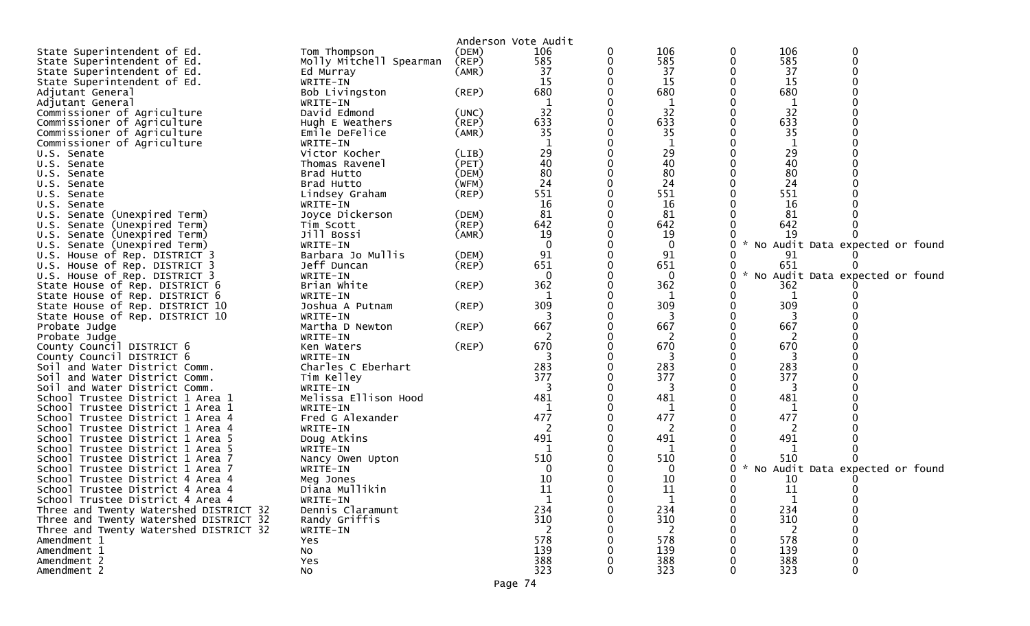| State Superintendent of Ed.                                    | Tom Thompson                     | (DEM)       | Anderson Vote Audit<br>106 | 0 | 106          | 0 | 106           | 0                               |  |
|----------------------------------------------------------------|----------------------------------|-------------|----------------------------|---|--------------|---|---------------|---------------------------------|--|
| State Superintendent of Ed.                                    | Molly Mitchell Spearman          | (REP)       | 585                        | 0 | 585          | 0 | 585           | $\Omega$                        |  |
| State Superintendent of Ed.                                    | Ed Murray                        | (AMR)       | 37                         |   | 37           |   | 37            |                                 |  |
| State Superintendent of Ed.                                    | WRITE-IN                         |             | -15                        |   | 15           |   | 15            |                                 |  |
| Adjutant General                                               | Bob Livingston                   | $($ REP $)$ | 680                        |   | 680          |   | 680           |                                 |  |
| Adjutant General                                               | WRITE-IN                         |             | 1                          |   | 1            |   | 1             |                                 |  |
| Commissioner of Agriculture                                    | David Edmond                     | (UNC)       | 32                         | 0 | 32           |   | 32            |                                 |  |
| Commissioner of Agriculture                                    | Hugh E Weathers                  | $($ REP $)$ | 633                        | 0 | 633          |   | 633           |                                 |  |
| Commissioner of Agriculture                                    | Emile DeFelice                   | (AMR)       | 35                         |   | 35           |   | 35            |                                 |  |
| Commissioner of Agriculture                                    | WRITE-IN                         |             |                            | 0 |              |   |               |                                 |  |
| U.S. Senate                                                    | Victor Kocher                    | (LIB)       | 29                         | 0 | 29           |   | 29            |                                 |  |
| U.S. Senate                                                    | Thomas Ravenel                   | (PET)       | 40                         |   | 40           |   | 40            |                                 |  |
| U.S. Senate                                                    | Brad Hutto                       | (DEM)       | 80                         | 0 | 80           |   | 80            |                                 |  |
| U.S. Senate                                                    | Brad Hutto                       | (WFM)       | 24                         | 0 | 24           |   | 24            |                                 |  |
| U.S. Senate                                                    | Lindsey Graham                   | (REP)       | 551                        |   | 551          |   | 551           |                                 |  |
| U.S. Senate                                                    | WRITE-IN                         |             | 16                         |   | 16           |   | 16            |                                 |  |
| U.S. Senate (Unexpired Term)                                   | Joyce Dickerson                  | (DEM)       | 81                         |   | 81           |   | 81            |                                 |  |
| U.S. Senate (Unexpired Term)                                   | Tim Scott                        | (REP)       | 642                        |   | 642          |   | 642           |                                 |  |
| U.S. Senate (Unexpired Term)                                   | Jill Bossi                       | (AMR)       | 19                         |   | 19           |   | 19            |                                 |  |
| U.S. Senate (Unexpired Term)                                   | WRITE-IN                         |             | 0                          |   | $\bf{0}$     |   |               | No Audit Data expected or found |  |
| U.S. House of Rep. DISTRICT 3                                  | Barbara Jo Mullis                | (DEM)       | 91                         |   | 91           |   | 91            |                                 |  |
| U.S. House of Rep. DISTRICT 3                                  | Jeff Duncan                      | $($ REP $)$ | 651                        |   | 651          |   | 651           |                                 |  |
| U.S. House of Rep. DISTRICT 3                                  | WRITE-IN                         |             | $\Omega$                   |   | $\mathbf{0}$ | 0 | $\mathcal{H}$ | No Audit Data expected or found |  |
| State House of Rep. DISTRICT 6                                 | Brian White                      | $($ REP $)$ | 362                        |   | 362          |   | 362           |                                 |  |
| State House of Rep. DISTRICT 6                                 | WRITE-IN                         |             | -1                         |   | 1            |   |               |                                 |  |
| State House of Rep. DISTRICT 10                                | Joshua A Putnam                  | (REP)       | 309                        |   | 309          |   | 309           |                                 |  |
| State House of Rep. DISTRICT 10                                | WRITE-IN                         |             |                            |   |              |   |               |                                 |  |
| Probate Judge                                                  | Martha D Newton                  | (REP)       | 667                        |   | 667          |   | 667           |                                 |  |
| Probate Judge                                                  | WRITE-IN                         |             | <sup>2</sup>               |   | 2            |   | 2             |                                 |  |
| County Council DISTRICT 6                                      | Ken Waters                       | $($ REP $)$ | 670                        |   | 670<br>3     |   | 670           |                                 |  |
| County Council DISTRICT 6                                      | WRITE-IN                         |             | 283                        |   | 283          |   | 283           |                                 |  |
| Soil and Water District Comm.<br>Soil and Water District Comm. | Charles C Eberhart<br>Tim Kelley |             | 377                        |   | 377          |   | 377           |                                 |  |
| Soil and Water District Comm.                                  | WRITE-IN                         |             | 3                          |   | 3            |   | 3             |                                 |  |
| School Trustee District 1 Area 1                               | Melissa Ellison Hood             |             | 481                        |   | 481          |   | 481           |                                 |  |
| School Trustee District 1 Area 1                               | WRITE-IN                         |             | -1                         |   | 1            |   | 1             |                                 |  |
| School Trustee District 1 Area 4                               | Fred G Alexander                 |             | 477                        |   | 477          |   | 477           |                                 |  |
| School Trustee District 1 Area 4                               | WRITE-IN                         |             | 2                          |   | 2            |   | 2             |                                 |  |
| School Trustee District 1 Area 5                               | Doug Atkins                      |             | 491                        |   | 491          |   | 491           |                                 |  |
| School Trustee District 1 Area 5                               | WRITE-IN                         |             | 1                          |   | 1            |   | -1            |                                 |  |
| School Trustee District 1 Area 7                               | Nancy Owen Upton                 |             | 510                        |   | 510          |   | 510           |                                 |  |
| School Trustee District 1 Area 7                               | WRITE-IN                         |             | $\Omega$                   |   | 0            |   |               | No Audit Data expected or found |  |
| School Trustee District 4 Area 4                               | Meg Jones                        |             | 10                         |   | 10           |   | 10            |                                 |  |
| School Trustee District 4 Area 4                               | Diana Mullikin                   |             | 11                         | 0 | 11           | 0 | 11            | $\mathbf{0}$                    |  |
| School Trustee District 4 Area 4                               | WRITE-IN                         |             | 1                          | 0 | 1            | 0 | 1             |                                 |  |
| Three and Twenty Watershed DISTRICT 32                         | Dennis Claramunt                 |             | 234                        |   | 234          |   | 234           |                                 |  |
| Three and Twenty Watershed DISTRICT 32                         | Randy Griffis                    |             | 310                        |   | 310          |   | 310           |                                 |  |
| Three and Twenty Watershed DISTRICT 32                         | WRITE-IN                         |             | 2                          |   | 2            |   | 2             |                                 |  |
| Amendment 1                                                    | Yes                              |             | 578                        |   | 578          |   | 578           |                                 |  |
| Amendment 1                                                    | No                               |             | 139                        |   | 139          |   | 139           |                                 |  |
| Amendment 2                                                    | Yes                              |             | 388                        |   | 388          |   | 388           |                                 |  |
| Amendment 2                                                    | No                               |             | 323                        |   | 323          |   | 323           | U                               |  |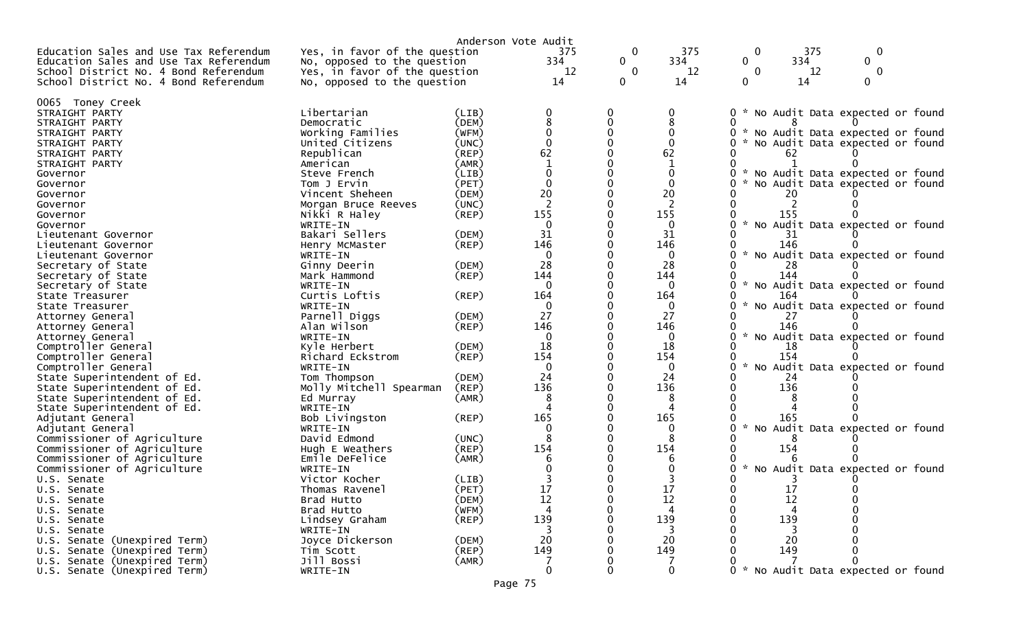|                                        |                               |             | Anderson Vote Audit |              |              |              |                                     |  |
|----------------------------------------|-------------------------------|-------------|---------------------|--------------|--------------|--------------|-------------------------------------|--|
| Education Sales and Use Tax Referendum | Yes, in favor of the question |             | 375                 | $\mathbf 0$  | 375          | 0            | 375<br>$\mathbf{0}$                 |  |
| Education Sales and Use Tax Referendum | No, opposed to the question   |             | 334                 | $\mathbf{0}$ | 334          | $\mathbf{0}$ | 334<br>$\mathbf{0}$                 |  |
| School District No. 4 Bond Referendum  | Yes, in favor of the question |             | 12                  | $\mathbf{0}$ | 12           | $\bf{0}$     | 12<br>$\bf{0}$                      |  |
| School District No. 4 Bond Referendum  | No, opposed to the question   |             | 14                  | $\Omega$     | 14           | $\Omega$     | 14<br>$\Omega$                      |  |
|                                        |                               |             |                     |              |              |              |                                     |  |
| 0065 Toney Creek                       |                               |             |                     |              |              |              |                                     |  |
| STRAIGHT PARTY                         | Libertarian                   | (LIB)       |                     |              |              | $\Omega$     | * No Audit Data expected or found   |  |
| STRAIGHT PARTY                         | Democratic                    | (DEM)       |                     | 0            |              |              |                                     |  |
| STRAIGHT PARTY                         | Working Families              | (WFM)       | $\Omega$            |              |              |              | * No Audit Data expected or found   |  |
| STRAIGHT PARTY                         | United Citizens               | (UNC)       |                     |              |              |              | * No Audit Data expected or found   |  |
| STRAIGHT PARTY                         | Republican                    | (REP)       | 62                  |              | 62           | 62           |                                     |  |
| STRAIGHT PARTY                         | American                      | (AMR)       |                     |              |              |              |                                     |  |
| Governor                               | Steve French                  | (LIB)       | $\Omega$            |              |              |              | * No Audit Data expected or found   |  |
| Governor                               | Tom J Ervin                   | (PET)       |                     |              |              |              | * No Audit Data expected or found   |  |
| Governor                               | Vincent Sheheen               | (DEM)       | 20                  |              | 20           |              |                                     |  |
| Governor                               | Morgan Bruce Reeves           | (UNC)       | 2                   |              | 2            |              |                                     |  |
| Governor                               | Nikki R Haley                 | $($ REP $)$ | 155                 |              | 155          | 155          |                                     |  |
| Governor                               | WRITE-IN                      |             | $\Omega$            |              | 0            |              | * No Audit Data expected or found   |  |
| Lieutenant Governor                    | Bakari Sellers                | (DEM)       | 31                  |              | 31           | 31           |                                     |  |
| Lieutenant Governor                    | Henry McMaster                | (REP)       | 146                 |              | 146          | 146          |                                     |  |
| Lieutenant Governor                    | WRITE-IN                      |             | $\Omega$            |              | 0            |              | * No Audit Data expected or found   |  |
| Secretary of State                     | Ginny Deerin                  | (DEM)       | 28                  |              | 28           | 28           |                                     |  |
| Secretary of State                     | Mark Hammond                  | $($ REP $)$ | 144                 |              | 144          | 144          |                                     |  |
| Secretary of State                     | WRITE-IN                      |             | $\Omega$            |              | 0            |              | * No Audit Data expected or found   |  |
| State Treasurer                        | Curtis Loftis                 | $($ REP $)$ | 164                 |              | 164          | 164          |                                     |  |
| State Treasurer                        | WRITE-IN                      |             | 0                   |              | 0            |              | No Audit Data expected or found     |  |
| Attorney General                       | Parnell Diggs                 | (DEM)       | 27                  |              | 27           |              |                                     |  |
| Attorney General                       | Alan Wilson                   | (REP)       | 146                 |              | 146          | 146          |                                     |  |
| Attorney General                       | WRITE-IN                      |             | $\Omega$            |              | 0            |              | * No Audit Data expected or found   |  |
| Comptroller General                    | Kyle Herbert                  | (DEM)       | 18                  |              | 18           | 18           |                                     |  |
| Comptroller General                    | Richard Eckstrom              | (REP)       | 154                 |              | 154          | 154          |                                     |  |
| Comptroller General                    | WRITE-IN                      |             | 0                   |              | 0            |              | No Audit Data expected or found     |  |
| State Superintendent of Ed.            | Tom Thompson                  | (DEM)       | 24                  |              | 24           | 24           |                                     |  |
| State Superintendent of Ed.            | Molly Mitchell Spearman       | (REP)       | 136                 |              | 136          | 136          |                                     |  |
| State Superintendent of Ed.            | Ed Murray                     | (AMR)       | 8                   |              |              |              |                                     |  |
| State Superintendent of Ed.            | WRITE-IN                      |             |                     |              |              |              |                                     |  |
| Adjutant General                       | Bob Livingston                | (REP)       | 165                 |              | 165          | 165          |                                     |  |
| Adjutant General                       | WRITE-IN                      |             |                     |              | 0            |              | No Audit Data expected or found     |  |
| Commissioner of Agriculture            | David Edmond                  | (UNC)       |                     |              |              |              |                                     |  |
| Commissioner of Agriculture            | Hugh E Weathers               | (REP)       | 154                 |              | 154          | 154          |                                     |  |
| Commissioner of Agriculture            | Emile DeFelice                | (AMR)       |                     |              |              |              |                                     |  |
| Commissioner of Agriculture            | WRITE-IN                      |             |                     |              |              |              | * No Audit Data expected or found   |  |
| U.S. Senate                            | Victor Kocher                 | (LIB)       |                     |              |              |              |                                     |  |
| U.S. Senate                            | Thomas Ravenel                | (PET)       | 17                  |              | 17           | 17           | 0                                   |  |
| U.S. Senate                            | Brad Hutto                    | (DEM)       | 12                  |              | 12           | 12           |                                     |  |
| U.S. Senate                            | Brad Hutto                    | (WFM)       |                     |              |              |              |                                     |  |
| U.S. Senate                            | Lindsey Graham                | $($ REP $)$ | 139                 |              | 139          | 139          |                                     |  |
| U.S. Senate                            | WRITE-IN                      |             | 3                   |              | 3            |              |                                     |  |
| U.S. Senate (Unexpired Term)           | Joyce Dickerson               | (DEM)       | 20                  |              | 20           | 20           |                                     |  |
| U.S. Senate (Unexpired Term)           | Tim Scott                     | (REP)       | 149                 |              | 149          | 149          |                                     |  |
| U.S. Senate (Unexpired Term)           | Jill Bossi                    | (AMR)       |                     |              |              |              |                                     |  |
| U.S. Senate (Unexpired Term)           | WRITE-IN                      |             | $\mathbf{0}$        |              | $\mathbf{0}$ |              | 0 * No Audit Data expected or found |  |
|                                        |                               |             |                     |              |              |              |                                     |  |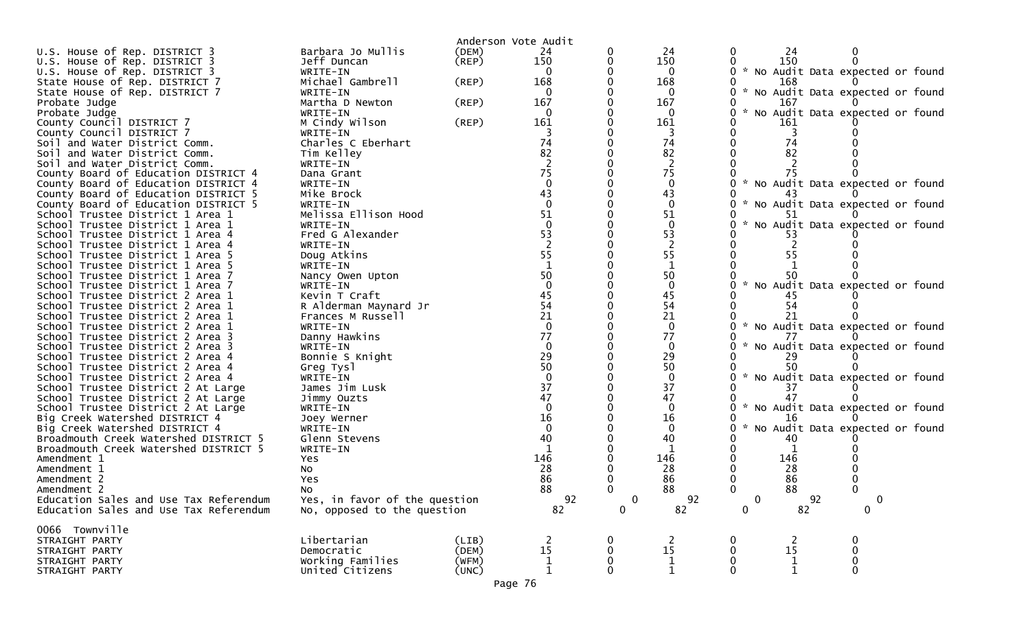| Barbara Jo Mullis<br>(DEM)<br>U.S. House of Rep. DISTRICT 3<br>24<br>24<br>24<br>150<br>150<br>150<br>U.S. House of Rep. DISTRICT 3<br>Jeff Duncan<br>$($ REP $)$<br>U.S. House of Rep. DISTRICT 3<br>* No Audit Data expected or found<br>WRITE-IN<br>0<br>168<br>168<br>State House of Rep. DISTRICT 7<br>Michael Gambrell<br>(REP)<br>168<br>State House of Rep. DISTRICT 7<br>* No Audit Data expected or found<br>WRITE-IN<br>167<br>Probate Judge<br>Martha D Newton<br>(REP)<br>167<br>167<br>Probate Judge<br>* No Audit Data expected or found<br>WRITE-IN<br>0<br>$\Omega$<br>161<br>County Council DISTRICT 7<br>M Cindy Wilson<br>(REP)<br>161<br>161<br>County Council DISTRICT 7<br>WRITE-IN<br>74<br>74<br>Soil and Water District Comm.<br>Charles C Eberhart<br>74<br>82<br>82<br>82<br>Tim Kelley<br>Soil and Water District Comm.<br>2<br>Soil and Water District Comm.<br>WRITE-IN<br>75<br>75<br>County Board of Education DISTRICT 4<br>75<br>Dana Grant<br>* No Audit Data expected or found<br>County Board of Education DISTRICT 4<br>WRITE-IN<br>43<br>43<br>County Board of Education DISTRICT 5<br>Mike Brock<br>$\Omega$<br>* No Audit Data expected or found<br>County Board of Education DISTRICT 5<br>$\mathbf{0}$<br>WRITE-IN<br>51<br>51<br>School Trustee District 1 Area 1<br>Melissa Ellison Hood<br>$\Omega$<br>$\Omega$<br>* No Audit Data expected or found<br>School Trustee District 1 Area 1<br>WRITE-IN<br>53<br>53<br>Fred G Alexander<br>School Trustee District 1 Area 4<br>53<br>School Trustee District 1 Area 4<br>WRITE-IN<br>55<br>55<br>School Trustee District 1 Area 5<br>Doug Atkins<br>$\mathbf{1}$<br>1<br>School Trustee District 1 Area 5<br>WRITE-IN<br>50<br>50<br>School Trustee District 1 Area 7<br>Nancy Owen Upton<br>$\Omega$<br>$\mathbf{0}$<br>* No Audit Data expected or found<br>School Trustee District 1 Area 7<br>WRITE-IN<br>45<br>45<br>Kevin T Craft<br>School Trustee District 2 Area 1<br>54<br>54<br>School Trustee District 2 Area 1<br>R Alderman Maynard Jr<br>54<br>21<br>21<br>School Trustee District 2 Area 1<br>Frances M Russell<br>* No Audit Data expected or found<br>$\Omega$<br>$\mathbf{0}$<br>School Trustee District 2 Area 1<br>WRITE-IN<br>77<br>77<br>Danny Hawkins<br>School Trustee District 2 Area 3<br>$\Omega$<br>$\mathbf{0}$<br>* No Audit Data expected or found<br>School Trustee District 2 Area 3<br>WRITE-IN<br>29<br>29<br>School Trustee District 2 Area 4<br>Bonnie S Knight<br>50<br>50<br>School Trustee District 2 Area 4<br>Greg Tysl<br>$\Omega$<br>* No Audit Data expected or found<br>School Trustee District 2 Area 4<br>WRITE-IN<br>$\mathbf{0}$<br>37<br>37<br>School Trustee District 2 At Large<br>James Jim Lusk<br>37<br>47<br>47<br>School Trustee District 2 At Large<br>Jimmy Ouzts<br>$\Omega$<br>School Trustee District 2 At Large<br>$\mathbf{0}$<br>* No Audit Data expected or found<br>WRITE-IN<br>16<br>16<br>Big Creek Watershed DISTRICT 4<br>Joey Werner<br>Big Creek Watershed DISTRICT 4<br>$\Omega$<br>No Audit Data expected or found<br>WRITE-IN<br>40<br>40<br>Broadmouth Creek Watershed DISTRICT 5<br>Glenn Stevens<br>40<br>Broadmouth Creek Watershed DISTRICT 5<br>WRITE-IN<br>146<br>Amendment 1<br>146<br>146<br>Yes<br>28<br>28<br>28<br>Amendment 1<br>NO.<br>86<br>86<br>86<br>Amendment 2<br>Yes<br>88<br>88<br>Amendment 2<br>88<br>NO.<br>Education Sales and Use Tax Referendum<br>92<br>92<br>92<br>Yes, in favor of the question<br>0<br>0<br>0<br>82<br>82<br>82<br>$\mathbf 0$<br>No, opposed to the question<br>0<br>0<br>Education Sales and Use Tax Referendum<br>0066 Townville<br>Libertarian<br>STRAIGHT PARTY<br>(LIB)<br>0<br>0<br>15<br>15<br>15<br>$\mathbf 0$<br>Democratic<br>(DEM)<br>0<br>STRAIGHT PARTY<br>$\mathbf{1}$<br>$\mathbf{1}$<br>$\mathbf 0$<br>Working Families<br>(WFM)<br>$\mathbf{1}$<br>0<br>$\mathbf{0}$<br>STRAIGHT PARTY<br>$\mathbf{1}$<br>$\mathbf{1}$<br>United Citizens<br>$\Omega$<br>STRAIGHT PARTY<br>(UNC)<br>$\Omega$ |  | Anderson Vote Audit |  |  |  |
|-------------------------------------------------------------------------------------------------------------------------------------------------------------------------------------------------------------------------------------------------------------------------------------------------------------------------------------------------------------------------------------------------------------------------------------------------------------------------------------------------------------------------------------------------------------------------------------------------------------------------------------------------------------------------------------------------------------------------------------------------------------------------------------------------------------------------------------------------------------------------------------------------------------------------------------------------------------------------------------------------------------------------------------------------------------------------------------------------------------------------------------------------------------------------------------------------------------------------------------------------------------------------------------------------------------------------------------------------------------------------------------------------------------------------------------------------------------------------------------------------------------------------------------------------------------------------------------------------------------------------------------------------------------------------------------------------------------------------------------------------------------------------------------------------------------------------------------------------------------------------------------------------------------------------------------------------------------------------------------------------------------------------------------------------------------------------------------------------------------------------------------------------------------------------------------------------------------------------------------------------------------------------------------------------------------------------------------------------------------------------------------------------------------------------------------------------------------------------------------------------------------------------------------------------------------------------------------------------------------------------------------------------------------------------------------------------------------------------------------------------------------------------------------------------------------------------------------------------------------------------------------------------------------------------------------------------------------------------------------------------------------------------------------------------------------------------------------------------------------------------------------------------------------------------------------------------------------------------------------------------------------------------------------------------------------------------------------------------------------------------------------------------------------------------------------------------------------------------------------------------------------------------------------------------------------------------------------------------------------------------------------------------------------------------------------------------------------------------------------------------------------------------------------------------------------------------------------------------------------------------------------------------------------------------------------------------------------------------------------------------------------------------------------------|--|---------------------|--|--|--|
|                                                                                                                                                                                                                                                                                                                                                                                                                                                                                                                                                                                                                                                                                                                                                                                                                                                                                                                                                                                                                                                                                                                                                                                                                                                                                                                                                                                                                                                                                                                                                                                                                                                                                                                                                                                                                                                                                                                                                                                                                                                                                                                                                                                                                                                                                                                                                                                                                                                                                                                                                                                                                                                                                                                                                                                                                                                                                                                                                                                                                                                                                                                                                                                                                                                                                                                                                                                                                                                                                                                                                                                                                                                                                                                                                                                                                                                                                                                                                                                                                                           |  |                     |  |  |  |
|                                                                                                                                                                                                                                                                                                                                                                                                                                                                                                                                                                                                                                                                                                                                                                                                                                                                                                                                                                                                                                                                                                                                                                                                                                                                                                                                                                                                                                                                                                                                                                                                                                                                                                                                                                                                                                                                                                                                                                                                                                                                                                                                                                                                                                                                                                                                                                                                                                                                                                                                                                                                                                                                                                                                                                                                                                                                                                                                                                                                                                                                                                                                                                                                                                                                                                                                                                                                                                                                                                                                                                                                                                                                                                                                                                                                                                                                                                                                                                                                                                           |  |                     |  |  |  |
|                                                                                                                                                                                                                                                                                                                                                                                                                                                                                                                                                                                                                                                                                                                                                                                                                                                                                                                                                                                                                                                                                                                                                                                                                                                                                                                                                                                                                                                                                                                                                                                                                                                                                                                                                                                                                                                                                                                                                                                                                                                                                                                                                                                                                                                                                                                                                                                                                                                                                                                                                                                                                                                                                                                                                                                                                                                                                                                                                                                                                                                                                                                                                                                                                                                                                                                                                                                                                                                                                                                                                                                                                                                                                                                                                                                                                                                                                                                                                                                                                                           |  |                     |  |  |  |
|                                                                                                                                                                                                                                                                                                                                                                                                                                                                                                                                                                                                                                                                                                                                                                                                                                                                                                                                                                                                                                                                                                                                                                                                                                                                                                                                                                                                                                                                                                                                                                                                                                                                                                                                                                                                                                                                                                                                                                                                                                                                                                                                                                                                                                                                                                                                                                                                                                                                                                                                                                                                                                                                                                                                                                                                                                                                                                                                                                                                                                                                                                                                                                                                                                                                                                                                                                                                                                                                                                                                                                                                                                                                                                                                                                                                                                                                                                                                                                                                                                           |  |                     |  |  |  |
|                                                                                                                                                                                                                                                                                                                                                                                                                                                                                                                                                                                                                                                                                                                                                                                                                                                                                                                                                                                                                                                                                                                                                                                                                                                                                                                                                                                                                                                                                                                                                                                                                                                                                                                                                                                                                                                                                                                                                                                                                                                                                                                                                                                                                                                                                                                                                                                                                                                                                                                                                                                                                                                                                                                                                                                                                                                                                                                                                                                                                                                                                                                                                                                                                                                                                                                                                                                                                                                                                                                                                                                                                                                                                                                                                                                                                                                                                                                                                                                                                                           |  |                     |  |  |  |
|                                                                                                                                                                                                                                                                                                                                                                                                                                                                                                                                                                                                                                                                                                                                                                                                                                                                                                                                                                                                                                                                                                                                                                                                                                                                                                                                                                                                                                                                                                                                                                                                                                                                                                                                                                                                                                                                                                                                                                                                                                                                                                                                                                                                                                                                                                                                                                                                                                                                                                                                                                                                                                                                                                                                                                                                                                                                                                                                                                                                                                                                                                                                                                                                                                                                                                                                                                                                                                                                                                                                                                                                                                                                                                                                                                                                                                                                                                                                                                                                                                           |  |                     |  |  |  |
|                                                                                                                                                                                                                                                                                                                                                                                                                                                                                                                                                                                                                                                                                                                                                                                                                                                                                                                                                                                                                                                                                                                                                                                                                                                                                                                                                                                                                                                                                                                                                                                                                                                                                                                                                                                                                                                                                                                                                                                                                                                                                                                                                                                                                                                                                                                                                                                                                                                                                                                                                                                                                                                                                                                                                                                                                                                                                                                                                                                                                                                                                                                                                                                                                                                                                                                                                                                                                                                                                                                                                                                                                                                                                                                                                                                                                                                                                                                                                                                                                                           |  |                     |  |  |  |
|                                                                                                                                                                                                                                                                                                                                                                                                                                                                                                                                                                                                                                                                                                                                                                                                                                                                                                                                                                                                                                                                                                                                                                                                                                                                                                                                                                                                                                                                                                                                                                                                                                                                                                                                                                                                                                                                                                                                                                                                                                                                                                                                                                                                                                                                                                                                                                                                                                                                                                                                                                                                                                                                                                                                                                                                                                                                                                                                                                                                                                                                                                                                                                                                                                                                                                                                                                                                                                                                                                                                                                                                                                                                                                                                                                                                                                                                                                                                                                                                                                           |  |                     |  |  |  |
|                                                                                                                                                                                                                                                                                                                                                                                                                                                                                                                                                                                                                                                                                                                                                                                                                                                                                                                                                                                                                                                                                                                                                                                                                                                                                                                                                                                                                                                                                                                                                                                                                                                                                                                                                                                                                                                                                                                                                                                                                                                                                                                                                                                                                                                                                                                                                                                                                                                                                                                                                                                                                                                                                                                                                                                                                                                                                                                                                                                                                                                                                                                                                                                                                                                                                                                                                                                                                                                                                                                                                                                                                                                                                                                                                                                                                                                                                                                                                                                                                                           |  |                     |  |  |  |
|                                                                                                                                                                                                                                                                                                                                                                                                                                                                                                                                                                                                                                                                                                                                                                                                                                                                                                                                                                                                                                                                                                                                                                                                                                                                                                                                                                                                                                                                                                                                                                                                                                                                                                                                                                                                                                                                                                                                                                                                                                                                                                                                                                                                                                                                                                                                                                                                                                                                                                                                                                                                                                                                                                                                                                                                                                                                                                                                                                                                                                                                                                                                                                                                                                                                                                                                                                                                                                                                                                                                                                                                                                                                                                                                                                                                                                                                                                                                                                                                                                           |  |                     |  |  |  |
|                                                                                                                                                                                                                                                                                                                                                                                                                                                                                                                                                                                                                                                                                                                                                                                                                                                                                                                                                                                                                                                                                                                                                                                                                                                                                                                                                                                                                                                                                                                                                                                                                                                                                                                                                                                                                                                                                                                                                                                                                                                                                                                                                                                                                                                                                                                                                                                                                                                                                                                                                                                                                                                                                                                                                                                                                                                                                                                                                                                                                                                                                                                                                                                                                                                                                                                                                                                                                                                                                                                                                                                                                                                                                                                                                                                                                                                                                                                                                                                                                                           |  |                     |  |  |  |
|                                                                                                                                                                                                                                                                                                                                                                                                                                                                                                                                                                                                                                                                                                                                                                                                                                                                                                                                                                                                                                                                                                                                                                                                                                                                                                                                                                                                                                                                                                                                                                                                                                                                                                                                                                                                                                                                                                                                                                                                                                                                                                                                                                                                                                                                                                                                                                                                                                                                                                                                                                                                                                                                                                                                                                                                                                                                                                                                                                                                                                                                                                                                                                                                                                                                                                                                                                                                                                                                                                                                                                                                                                                                                                                                                                                                                                                                                                                                                                                                                                           |  |                     |  |  |  |
|                                                                                                                                                                                                                                                                                                                                                                                                                                                                                                                                                                                                                                                                                                                                                                                                                                                                                                                                                                                                                                                                                                                                                                                                                                                                                                                                                                                                                                                                                                                                                                                                                                                                                                                                                                                                                                                                                                                                                                                                                                                                                                                                                                                                                                                                                                                                                                                                                                                                                                                                                                                                                                                                                                                                                                                                                                                                                                                                                                                                                                                                                                                                                                                                                                                                                                                                                                                                                                                                                                                                                                                                                                                                                                                                                                                                                                                                                                                                                                                                                                           |  |                     |  |  |  |
|                                                                                                                                                                                                                                                                                                                                                                                                                                                                                                                                                                                                                                                                                                                                                                                                                                                                                                                                                                                                                                                                                                                                                                                                                                                                                                                                                                                                                                                                                                                                                                                                                                                                                                                                                                                                                                                                                                                                                                                                                                                                                                                                                                                                                                                                                                                                                                                                                                                                                                                                                                                                                                                                                                                                                                                                                                                                                                                                                                                                                                                                                                                                                                                                                                                                                                                                                                                                                                                                                                                                                                                                                                                                                                                                                                                                                                                                                                                                                                                                                                           |  |                     |  |  |  |
|                                                                                                                                                                                                                                                                                                                                                                                                                                                                                                                                                                                                                                                                                                                                                                                                                                                                                                                                                                                                                                                                                                                                                                                                                                                                                                                                                                                                                                                                                                                                                                                                                                                                                                                                                                                                                                                                                                                                                                                                                                                                                                                                                                                                                                                                                                                                                                                                                                                                                                                                                                                                                                                                                                                                                                                                                                                                                                                                                                                                                                                                                                                                                                                                                                                                                                                                                                                                                                                                                                                                                                                                                                                                                                                                                                                                                                                                                                                                                                                                                                           |  |                     |  |  |  |
|                                                                                                                                                                                                                                                                                                                                                                                                                                                                                                                                                                                                                                                                                                                                                                                                                                                                                                                                                                                                                                                                                                                                                                                                                                                                                                                                                                                                                                                                                                                                                                                                                                                                                                                                                                                                                                                                                                                                                                                                                                                                                                                                                                                                                                                                                                                                                                                                                                                                                                                                                                                                                                                                                                                                                                                                                                                                                                                                                                                                                                                                                                                                                                                                                                                                                                                                                                                                                                                                                                                                                                                                                                                                                                                                                                                                                                                                                                                                                                                                                                           |  |                     |  |  |  |
|                                                                                                                                                                                                                                                                                                                                                                                                                                                                                                                                                                                                                                                                                                                                                                                                                                                                                                                                                                                                                                                                                                                                                                                                                                                                                                                                                                                                                                                                                                                                                                                                                                                                                                                                                                                                                                                                                                                                                                                                                                                                                                                                                                                                                                                                                                                                                                                                                                                                                                                                                                                                                                                                                                                                                                                                                                                                                                                                                                                                                                                                                                                                                                                                                                                                                                                                                                                                                                                                                                                                                                                                                                                                                                                                                                                                                                                                                                                                                                                                                                           |  |                     |  |  |  |
|                                                                                                                                                                                                                                                                                                                                                                                                                                                                                                                                                                                                                                                                                                                                                                                                                                                                                                                                                                                                                                                                                                                                                                                                                                                                                                                                                                                                                                                                                                                                                                                                                                                                                                                                                                                                                                                                                                                                                                                                                                                                                                                                                                                                                                                                                                                                                                                                                                                                                                                                                                                                                                                                                                                                                                                                                                                                                                                                                                                                                                                                                                                                                                                                                                                                                                                                                                                                                                                                                                                                                                                                                                                                                                                                                                                                                                                                                                                                                                                                                                           |  |                     |  |  |  |
|                                                                                                                                                                                                                                                                                                                                                                                                                                                                                                                                                                                                                                                                                                                                                                                                                                                                                                                                                                                                                                                                                                                                                                                                                                                                                                                                                                                                                                                                                                                                                                                                                                                                                                                                                                                                                                                                                                                                                                                                                                                                                                                                                                                                                                                                                                                                                                                                                                                                                                                                                                                                                                                                                                                                                                                                                                                                                                                                                                                                                                                                                                                                                                                                                                                                                                                                                                                                                                                                                                                                                                                                                                                                                                                                                                                                                                                                                                                                                                                                                                           |  |                     |  |  |  |
|                                                                                                                                                                                                                                                                                                                                                                                                                                                                                                                                                                                                                                                                                                                                                                                                                                                                                                                                                                                                                                                                                                                                                                                                                                                                                                                                                                                                                                                                                                                                                                                                                                                                                                                                                                                                                                                                                                                                                                                                                                                                                                                                                                                                                                                                                                                                                                                                                                                                                                                                                                                                                                                                                                                                                                                                                                                                                                                                                                                                                                                                                                                                                                                                                                                                                                                                                                                                                                                                                                                                                                                                                                                                                                                                                                                                                                                                                                                                                                                                                                           |  |                     |  |  |  |
|                                                                                                                                                                                                                                                                                                                                                                                                                                                                                                                                                                                                                                                                                                                                                                                                                                                                                                                                                                                                                                                                                                                                                                                                                                                                                                                                                                                                                                                                                                                                                                                                                                                                                                                                                                                                                                                                                                                                                                                                                                                                                                                                                                                                                                                                                                                                                                                                                                                                                                                                                                                                                                                                                                                                                                                                                                                                                                                                                                                                                                                                                                                                                                                                                                                                                                                                                                                                                                                                                                                                                                                                                                                                                                                                                                                                                                                                                                                                                                                                                                           |  |                     |  |  |  |
|                                                                                                                                                                                                                                                                                                                                                                                                                                                                                                                                                                                                                                                                                                                                                                                                                                                                                                                                                                                                                                                                                                                                                                                                                                                                                                                                                                                                                                                                                                                                                                                                                                                                                                                                                                                                                                                                                                                                                                                                                                                                                                                                                                                                                                                                                                                                                                                                                                                                                                                                                                                                                                                                                                                                                                                                                                                                                                                                                                                                                                                                                                                                                                                                                                                                                                                                                                                                                                                                                                                                                                                                                                                                                                                                                                                                                                                                                                                                                                                                                                           |  |                     |  |  |  |
|                                                                                                                                                                                                                                                                                                                                                                                                                                                                                                                                                                                                                                                                                                                                                                                                                                                                                                                                                                                                                                                                                                                                                                                                                                                                                                                                                                                                                                                                                                                                                                                                                                                                                                                                                                                                                                                                                                                                                                                                                                                                                                                                                                                                                                                                                                                                                                                                                                                                                                                                                                                                                                                                                                                                                                                                                                                                                                                                                                                                                                                                                                                                                                                                                                                                                                                                                                                                                                                                                                                                                                                                                                                                                                                                                                                                                                                                                                                                                                                                                                           |  |                     |  |  |  |
|                                                                                                                                                                                                                                                                                                                                                                                                                                                                                                                                                                                                                                                                                                                                                                                                                                                                                                                                                                                                                                                                                                                                                                                                                                                                                                                                                                                                                                                                                                                                                                                                                                                                                                                                                                                                                                                                                                                                                                                                                                                                                                                                                                                                                                                                                                                                                                                                                                                                                                                                                                                                                                                                                                                                                                                                                                                                                                                                                                                                                                                                                                                                                                                                                                                                                                                                                                                                                                                                                                                                                                                                                                                                                                                                                                                                                                                                                                                                                                                                                                           |  |                     |  |  |  |
|                                                                                                                                                                                                                                                                                                                                                                                                                                                                                                                                                                                                                                                                                                                                                                                                                                                                                                                                                                                                                                                                                                                                                                                                                                                                                                                                                                                                                                                                                                                                                                                                                                                                                                                                                                                                                                                                                                                                                                                                                                                                                                                                                                                                                                                                                                                                                                                                                                                                                                                                                                                                                                                                                                                                                                                                                                                                                                                                                                                                                                                                                                                                                                                                                                                                                                                                                                                                                                                                                                                                                                                                                                                                                                                                                                                                                                                                                                                                                                                                                                           |  |                     |  |  |  |
|                                                                                                                                                                                                                                                                                                                                                                                                                                                                                                                                                                                                                                                                                                                                                                                                                                                                                                                                                                                                                                                                                                                                                                                                                                                                                                                                                                                                                                                                                                                                                                                                                                                                                                                                                                                                                                                                                                                                                                                                                                                                                                                                                                                                                                                                                                                                                                                                                                                                                                                                                                                                                                                                                                                                                                                                                                                                                                                                                                                                                                                                                                                                                                                                                                                                                                                                                                                                                                                                                                                                                                                                                                                                                                                                                                                                                                                                                                                                                                                                                                           |  |                     |  |  |  |
|                                                                                                                                                                                                                                                                                                                                                                                                                                                                                                                                                                                                                                                                                                                                                                                                                                                                                                                                                                                                                                                                                                                                                                                                                                                                                                                                                                                                                                                                                                                                                                                                                                                                                                                                                                                                                                                                                                                                                                                                                                                                                                                                                                                                                                                                                                                                                                                                                                                                                                                                                                                                                                                                                                                                                                                                                                                                                                                                                                                                                                                                                                                                                                                                                                                                                                                                                                                                                                                                                                                                                                                                                                                                                                                                                                                                                                                                                                                                                                                                                                           |  |                     |  |  |  |
|                                                                                                                                                                                                                                                                                                                                                                                                                                                                                                                                                                                                                                                                                                                                                                                                                                                                                                                                                                                                                                                                                                                                                                                                                                                                                                                                                                                                                                                                                                                                                                                                                                                                                                                                                                                                                                                                                                                                                                                                                                                                                                                                                                                                                                                                                                                                                                                                                                                                                                                                                                                                                                                                                                                                                                                                                                                                                                                                                                                                                                                                                                                                                                                                                                                                                                                                                                                                                                                                                                                                                                                                                                                                                                                                                                                                                                                                                                                                                                                                                                           |  |                     |  |  |  |
|                                                                                                                                                                                                                                                                                                                                                                                                                                                                                                                                                                                                                                                                                                                                                                                                                                                                                                                                                                                                                                                                                                                                                                                                                                                                                                                                                                                                                                                                                                                                                                                                                                                                                                                                                                                                                                                                                                                                                                                                                                                                                                                                                                                                                                                                                                                                                                                                                                                                                                                                                                                                                                                                                                                                                                                                                                                                                                                                                                                                                                                                                                                                                                                                                                                                                                                                                                                                                                                                                                                                                                                                                                                                                                                                                                                                                                                                                                                                                                                                                                           |  |                     |  |  |  |
|                                                                                                                                                                                                                                                                                                                                                                                                                                                                                                                                                                                                                                                                                                                                                                                                                                                                                                                                                                                                                                                                                                                                                                                                                                                                                                                                                                                                                                                                                                                                                                                                                                                                                                                                                                                                                                                                                                                                                                                                                                                                                                                                                                                                                                                                                                                                                                                                                                                                                                                                                                                                                                                                                                                                                                                                                                                                                                                                                                                                                                                                                                                                                                                                                                                                                                                                                                                                                                                                                                                                                                                                                                                                                                                                                                                                                                                                                                                                                                                                                                           |  |                     |  |  |  |
|                                                                                                                                                                                                                                                                                                                                                                                                                                                                                                                                                                                                                                                                                                                                                                                                                                                                                                                                                                                                                                                                                                                                                                                                                                                                                                                                                                                                                                                                                                                                                                                                                                                                                                                                                                                                                                                                                                                                                                                                                                                                                                                                                                                                                                                                                                                                                                                                                                                                                                                                                                                                                                                                                                                                                                                                                                                                                                                                                                                                                                                                                                                                                                                                                                                                                                                                                                                                                                                                                                                                                                                                                                                                                                                                                                                                                                                                                                                                                                                                                                           |  |                     |  |  |  |
|                                                                                                                                                                                                                                                                                                                                                                                                                                                                                                                                                                                                                                                                                                                                                                                                                                                                                                                                                                                                                                                                                                                                                                                                                                                                                                                                                                                                                                                                                                                                                                                                                                                                                                                                                                                                                                                                                                                                                                                                                                                                                                                                                                                                                                                                                                                                                                                                                                                                                                                                                                                                                                                                                                                                                                                                                                                                                                                                                                                                                                                                                                                                                                                                                                                                                                                                                                                                                                                                                                                                                                                                                                                                                                                                                                                                                                                                                                                                                                                                                                           |  |                     |  |  |  |
|                                                                                                                                                                                                                                                                                                                                                                                                                                                                                                                                                                                                                                                                                                                                                                                                                                                                                                                                                                                                                                                                                                                                                                                                                                                                                                                                                                                                                                                                                                                                                                                                                                                                                                                                                                                                                                                                                                                                                                                                                                                                                                                                                                                                                                                                                                                                                                                                                                                                                                                                                                                                                                                                                                                                                                                                                                                                                                                                                                                                                                                                                                                                                                                                                                                                                                                                                                                                                                                                                                                                                                                                                                                                                                                                                                                                                                                                                                                                                                                                                                           |  |                     |  |  |  |
|                                                                                                                                                                                                                                                                                                                                                                                                                                                                                                                                                                                                                                                                                                                                                                                                                                                                                                                                                                                                                                                                                                                                                                                                                                                                                                                                                                                                                                                                                                                                                                                                                                                                                                                                                                                                                                                                                                                                                                                                                                                                                                                                                                                                                                                                                                                                                                                                                                                                                                                                                                                                                                                                                                                                                                                                                                                                                                                                                                                                                                                                                                                                                                                                                                                                                                                                                                                                                                                                                                                                                                                                                                                                                                                                                                                                                                                                                                                                                                                                                                           |  |                     |  |  |  |
|                                                                                                                                                                                                                                                                                                                                                                                                                                                                                                                                                                                                                                                                                                                                                                                                                                                                                                                                                                                                                                                                                                                                                                                                                                                                                                                                                                                                                                                                                                                                                                                                                                                                                                                                                                                                                                                                                                                                                                                                                                                                                                                                                                                                                                                                                                                                                                                                                                                                                                                                                                                                                                                                                                                                                                                                                                                                                                                                                                                                                                                                                                                                                                                                                                                                                                                                                                                                                                                                                                                                                                                                                                                                                                                                                                                                                                                                                                                                                                                                                                           |  |                     |  |  |  |
|                                                                                                                                                                                                                                                                                                                                                                                                                                                                                                                                                                                                                                                                                                                                                                                                                                                                                                                                                                                                                                                                                                                                                                                                                                                                                                                                                                                                                                                                                                                                                                                                                                                                                                                                                                                                                                                                                                                                                                                                                                                                                                                                                                                                                                                                                                                                                                                                                                                                                                                                                                                                                                                                                                                                                                                                                                                                                                                                                                                                                                                                                                                                                                                                                                                                                                                                                                                                                                                                                                                                                                                                                                                                                                                                                                                                                                                                                                                                                                                                                                           |  |                     |  |  |  |
|                                                                                                                                                                                                                                                                                                                                                                                                                                                                                                                                                                                                                                                                                                                                                                                                                                                                                                                                                                                                                                                                                                                                                                                                                                                                                                                                                                                                                                                                                                                                                                                                                                                                                                                                                                                                                                                                                                                                                                                                                                                                                                                                                                                                                                                                                                                                                                                                                                                                                                                                                                                                                                                                                                                                                                                                                                                                                                                                                                                                                                                                                                                                                                                                                                                                                                                                                                                                                                                                                                                                                                                                                                                                                                                                                                                                                                                                                                                                                                                                                                           |  |                     |  |  |  |
|                                                                                                                                                                                                                                                                                                                                                                                                                                                                                                                                                                                                                                                                                                                                                                                                                                                                                                                                                                                                                                                                                                                                                                                                                                                                                                                                                                                                                                                                                                                                                                                                                                                                                                                                                                                                                                                                                                                                                                                                                                                                                                                                                                                                                                                                                                                                                                                                                                                                                                                                                                                                                                                                                                                                                                                                                                                                                                                                                                                                                                                                                                                                                                                                                                                                                                                                                                                                                                                                                                                                                                                                                                                                                                                                                                                                                                                                                                                                                                                                                                           |  |                     |  |  |  |
|                                                                                                                                                                                                                                                                                                                                                                                                                                                                                                                                                                                                                                                                                                                                                                                                                                                                                                                                                                                                                                                                                                                                                                                                                                                                                                                                                                                                                                                                                                                                                                                                                                                                                                                                                                                                                                                                                                                                                                                                                                                                                                                                                                                                                                                                                                                                                                                                                                                                                                                                                                                                                                                                                                                                                                                                                                                                                                                                                                                                                                                                                                                                                                                                                                                                                                                                                                                                                                                                                                                                                                                                                                                                                                                                                                                                                                                                                                                                                                                                                                           |  |                     |  |  |  |
|                                                                                                                                                                                                                                                                                                                                                                                                                                                                                                                                                                                                                                                                                                                                                                                                                                                                                                                                                                                                                                                                                                                                                                                                                                                                                                                                                                                                                                                                                                                                                                                                                                                                                                                                                                                                                                                                                                                                                                                                                                                                                                                                                                                                                                                                                                                                                                                                                                                                                                                                                                                                                                                                                                                                                                                                                                                                                                                                                                                                                                                                                                                                                                                                                                                                                                                                                                                                                                                                                                                                                                                                                                                                                                                                                                                                                                                                                                                                                                                                                                           |  |                     |  |  |  |
|                                                                                                                                                                                                                                                                                                                                                                                                                                                                                                                                                                                                                                                                                                                                                                                                                                                                                                                                                                                                                                                                                                                                                                                                                                                                                                                                                                                                                                                                                                                                                                                                                                                                                                                                                                                                                                                                                                                                                                                                                                                                                                                                                                                                                                                                                                                                                                                                                                                                                                                                                                                                                                                                                                                                                                                                                                                                                                                                                                                                                                                                                                                                                                                                                                                                                                                                                                                                                                                                                                                                                                                                                                                                                                                                                                                                                                                                                                                                                                                                                                           |  |                     |  |  |  |
|                                                                                                                                                                                                                                                                                                                                                                                                                                                                                                                                                                                                                                                                                                                                                                                                                                                                                                                                                                                                                                                                                                                                                                                                                                                                                                                                                                                                                                                                                                                                                                                                                                                                                                                                                                                                                                                                                                                                                                                                                                                                                                                                                                                                                                                                                                                                                                                                                                                                                                                                                                                                                                                                                                                                                                                                                                                                                                                                                                                                                                                                                                                                                                                                                                                                                                                                                                                                                                                                                                                                                                                                                                                                                                                                                                                                                                                                                                                                                                                                                                           |  |                     |  |  |  |
|                                                                                                                                                                                                                                                                                                                                                                                                                                                                                                                                                                                                                                                                                                                                                                                                                                                                                                                                                                                                                                                                                                                                                                                                                                                                                                                                                                                                                                                                                                                                                                                                                                                                                                                                                                                                                                                                                                                                                                                                                                                                                                                                                                                                                                                                                                                                                                                                                                                                                                                                                                                                                                                                                                                                                                                                                                                                                                                                                                                                                                                                                                                                                                                                                                                                                                                                                                                                                                                                                                                                                                                                                                                                                                                                                                                                                                                                                                                                                                                                                                           |  |                     |  |  |  |
|                                                                                                                                                                                                                                                                                                                                                                                                                                                                                                                                                                                                                                                                                                                                                                                                                                                                                                                                                                                                                                                                                                                                                                                                                                                                                                                                                                                                                                                                                                                                                                                                                                                                                                                                                                                                                                                                                                                                                                                                                                                                                                                                                                                                                                                                                                                                                                                                                                                                                                                                                                                                                                                                                                                                                                                                                                                                                                                                                                                                                                                                                                                                                                                                                                                                                                                                                                                                                                                                                                                                                                                                                                                                                                                                                                                                                                                                                                                                                                                                                                           |  |                     |  |  |  |
|                                                                                                                                                                                                                                                                                                                                                                                                                                                                                                                                                                                                                                                                                                                                                                                                                                                                                                                                                                                                                                                                                                                                                                                                                                                                                                                                                                                                                                                                                                                                                                                                                                                                                                                                                                                                                                                                                                                                                                                                                                                                                                                                                                                                                                                                                                                                                                                                                                                                                                                                                                                                                                                                                                                                                                                                                                                                                                                                                                                                                                                                                                                                                                                                                                                                                                                                                                                                                                                                                                                                                                                                                                                                                                                                                                                                                                                                                                                                                                                                                                           |  |                     |  |  |  |
|                                                                                                                                                                                                                                                                                                                                                                                                                                                                                                                                                                                                                                                                                                                                                                                                                                                                                                                                                                                                                                                                                                                                                                                                                                                                                                                                                                                                                                                                                                                                                                                                                                                                                                                                                                                                                                                                                                                                                                                                                                                                                                                                                                                                                                                                                                                                                                                                                                                                                                                                                                                                                                                                                                                                                                                                                                                                                                                                                                                                                                                                                                                                                                                                                                                                                                                                                                                                                                                                                                                                                                                                                                                                                                                                                                                                                                                                                                                                                                                                                                           |  |                     |  |  |  |
|                                                                                                                                                                                                                                                                                                                                                                                                                                                                                                                                                                                                                                                                                                                                                                                                                                                                                                                                                                                                                                                                                                                                                                                                                                                                                                                                                                                                                                                                                                                                                                                                                                                                                                                                                                                                                                                                                                                                                                                                                                                                                                                                                                                                                                                                                                                                                                                                                                                                                                                                                                                                                                                                                                                                                                                                                                                                                                                                                                                                                                                                                                                                                                                                                                                                                                                                                                                                                                                                                                                                                                                                                                                                                                                                                                                                                                                                                                                                                                                                                                           |  |                     |  |  |  |
|                                                                                                                                                                                                                                                                                                                                                                                                                                                                                                                                                                                                                                                                                                                                                                                                                                                                                                                                                                                                                                                                                                                                                                                                                                                                                                                                                                                                                                                                                                                                                                                                                                                                                                                                                                                                                                                                                                                                                                                                                                                                                                                                                                                                                                                                                                                                                                                                                                                                                                                                                                                                                                                                                                                                                                                                                                                                                                                                                                                                                                                                                                                                                                                                                                                                                                                                                                                                                                                                                                                                                                                                                                                                                                                                                                                                                                                                                                                                                                                                                                           |  |                     |  |  |  |
|                                                                                                                                                                                                                                                                                                                                                                                                                                                                                                                                                                                                                                                                                                                                                                                                                                                                                                                                                                                                                                                                                                                                                                                                                                                                                                                                                                                                                                                                                                                                                                                                                                                                                                                                                                                                                                                                                                                                                                                                                                                                                                                                                                                                                                                                                                                                                                                                                                                                                                                                                                                                                                                                                                                                                                                                                                                                                                                                                                                                                                                                                                                                                                                                                                                                                                                                                                                                                                                                                                                                                                                                                                                                                                                                                                                                                                                                                                                                                                                                                                           |  |                     |  |  |  |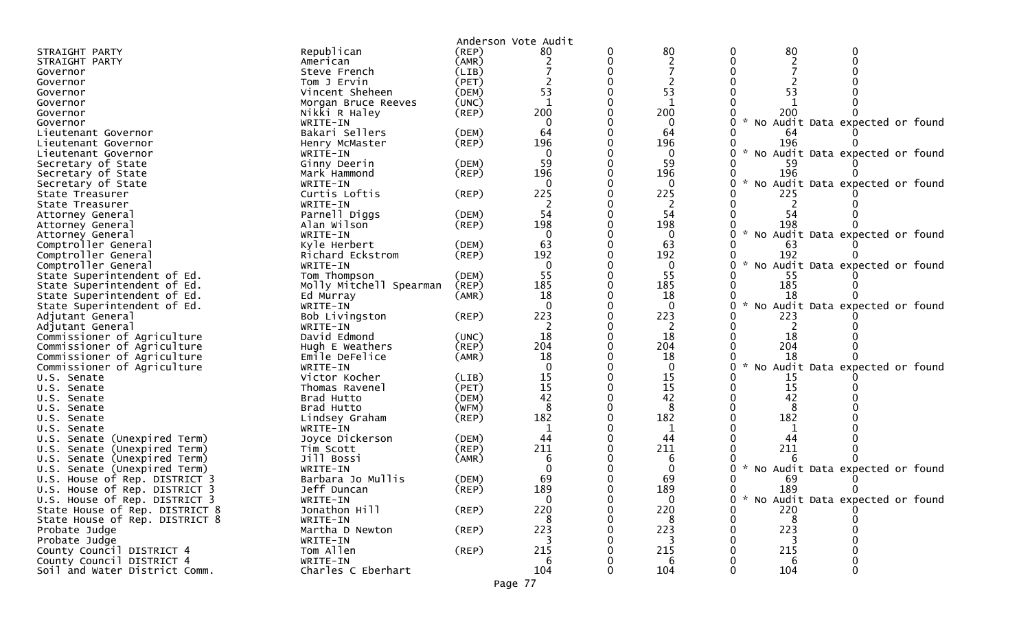|                                                                  |                             |             | Anderson Vote Audit |   |                |        |           |                                   |
|------------------------------------------------------------------|-----------------------------|-------------|---------------------|---|----------------|--------|-----------|-----------------------------------|
| STRAIGHT PARTY                                                   | Republican                  | $($ REP $)$ | 80                  | 0 | 80             |        | 80        |                                   |
| STRAIGHT PARTY                                                   | American                    | (AMR)       |                     |   |                |        |           |                                   |
| Governor                                                         | Steve French                | (LIB)       |                     |   |                |        |           |                                   |
| Governor                                                         | Tom J Ervin                 | (PET)       |                     |   |                |        |           |                                   |
| Governor                                                         | Vincent Sheheen             | (DEM)       | 53                  |   | 53             |        | 53        |                                   |
| Governor                                                         | Morgan Bruce Reeves         | (UNC)       | $\mathbf{1}$        |   | -1             |        |           |                                   |
| Governor                                                         | Nikki R Haley               | (REP)       | 200                 |   | 200            |        | 200       |                                   |
| Governor                                                         | WRITE-IN                    |             | 0                   |   | 0              |        |           | No Audit Data expected or found   |
| Lieutenant Governor                                              | Bakari Sellers              | (DEM)       | 64                  |   | 64             |        | 64        |                                   |
| Lieutenant Governor                                              | Henry McMaster              | (REP)       | 196                 |   | 196            |        | 196       |                                   |
| Lieutenant Governor                                              | WRITE-IN                    |             | 0                   |   | 0              |        |           | * No Audit Data expected or found |
| Secretary of State                                               | Ginny Deerin                | (DEM)       | 59                  |   | 59             |        |           |                                   |
| Secretary of State                                               | Mark Hammond                | (REP)       | 196                 |   | 196            |        | 196       |                                   |
| Secretary of State                                               | WRITE-IN                    |             | 0                   |   | $\Omega$       |        |           | No Audit Data expected or found   |
| State Treasurer                                                  | Curtis Loftis               | (REP)       | 225                 |   | 225            |        | 225       |                                   |
| State Treasurer                                                  | WRITE-IN                    |             |                     |   | -2             |        |           |                                   |
| Attorney General                                                 | Parnell Diggs               | (DEM)       | 54                  |   | 54             |        | 54        |                                   |
| Attorney General                                                 | Alan Wilson                 | (REP)       | 198                 |   | 198            |        | 198       |                                   |
| Attorney General                                                 | WRITE-IN                    |             | $\mathbf 0$         |   | $\mathbf{0}$   |        |           | No Audit Data expected or found   |
| Comptroller General                                              | Kyle Herbert                | (DEM)       | 63                  |   | 63             |        | 63        |                                   |
| Comptroller General                                              | Richard Eckstrom            | (REP)       | 192                 |   | 192            |        | 192       |                                   |
| Comptroller General                                              | WRITE-IN                    |             | $\mathbf 0$         |   | 0              |        |           | * No Audit Data expected or found |
| State Superintendent of Ed.                                      | Tom Thompson                | (DEM)       | 55                  |   | 55             |        | -55       |                                   |
| State Superintendent of Ed.                                      | Molly Mitchell Spearman     | (REP)       | 185                 |   | 185            |        | 185       |                                   |
| State Superintendent of Ed.                                      | Ed Murray                   | (AMR)       | 18                  |   | 18             |        | 18        |                                   |
| State Superintendent of Ed.                                      | WRITE-IN                    |             |                     |   |                |        |           | No Audit Data expected or found   |
| Adjutant General                                                 | Bob Livingston              | (REP)       | 223                 |   | 223            |        | 223       |                                   |
| Adjutant General                                                 | WRITE-IN                    |             |                     |   | 2              |        |           |                                   |
| Commissioner of Agriculture                                      | David Edmond                | (UNC)       | 18                  |   | 18             |        | 18        |                                   |
| Commissioner of Agriculture                                      | Hugh E Weathers             | (REP)       | 204                 |   | 204            |        | 204       |                                   |
| Commissioner of Agriculture                                      | Emile DeFelice              | (AMR)       | 18                  |   | 18             |        | 18        |                                   |
| Commissioner of Agriculture                                      | WRITE-IN                    |             |                     |   | $\Omega$       | $\sim$ |           | No Audit Data expected or found   |
| U.S. Senate                                                      | Victor Kocher               | (LIB)       | 15                  |   | 15             |        | 15        |                                   |
| U.S. Senate                                                      | Thomas Ravenel              | (PET)       | 15                  |   | 15             |        | 15        |                                   |
| U.S. Senate                                                      | Brad Hutto                  | (DEM)       | 42                  |   | 42             |        | 42        |                                   |
| U.S. Senate                                                      | Brad Hutto                  | (WFM)       | 8                   |   | 8              |        |           |                                   |
| U.S. Senate                                                      | Lindsey Graham              | $($ REP $)$ | 182                 |   | 182            |        | 182       |                                   |
| U.S. Senate                                                      | WRITE-IN                    |             |                     |   |                |        |           |                                   |
| (Unexpired Term)<br>U.S. Senate                                  | Joyce Dickerson             | (DEM)       | 44                  |   | 44             |        | 44        |                                   |
| Senate (Unexpired Term)<br>U.S.                                  | Tim Scott                   | (REP)       | 211                 |   | 211            |        | 211       |                                   |
| Senate (Unexpired Term)<br>U.S.                                  | Jill Bossi                  | (AMR)       | 6                   |   |                |        |           |                                   |
| U.S. Senate (Unexpired Term)                                     | WRITE-IN                    |             | 69                  |   |                |        |           | * No Audit Data expected or found |
| U.S. House of Rep. DISTRICT 3                                    | Barbara Jo Mullis           | (DEM)       |                     |   | 69<br>189      |        | 69<br>189 |                                   |
| U.S. House of Rep. DISTRICT 3                                    | Jeff Duncan                 | (REP)       | 189<br>$\mathbf 0$  |   | $\overline{0}$ |        |           | * No Audit Data expected or found |
| U.S. House of Rep. DISTRICT 3                                    | WRITE-IN                    | (REP)       | 220                 |   | 220            |        | 220       |                                   |
| State House of Rep. DISTRICT 8<br>State House of Rep. DISTRICT 8 | Jonathon Hill<br>WRITE-IN   |             | 8                   |   | 8              |        | 8         |                                   |
|                                                                  |                             | $($ REP $)$ | 223                 |   | 223            |        | 223       |                                   |
| Probate Judge<br>Probate Judge                                   | Martha D Newton<br>WRITE-IN |             |                     |   |                |        |           |                                   |
| County Council DISTRICT 4                                        | Tom Allen                   | (REP)       | 215                 |   | 215            |        | 215       |                                   |
| County Council DISTRICT 4                                        | WRITE-IN                    |             | -6                  |   | 6              |        | 6         |                                   |
| Soil and Water District Comm.                                    | Charles C Eberhart          |             | 104                 |   | 104            |        | 104       |                                   |
|                                                                  |                             |             |                     |   |                |        |           |                                   |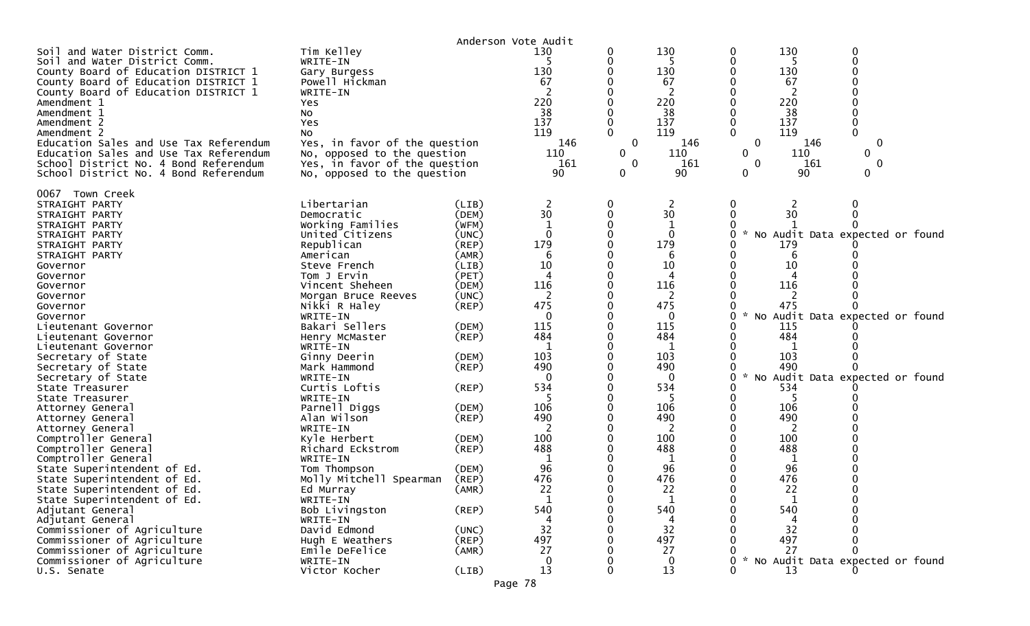| Anderson Vote Audit                                                                                                                                                                                                                                                                                                                                                                                                                                                                                                                                                                                                                                                                                                                                    |                                                                                                                                                                                                                                                                                                                                                                                                                                                                                                                                                            |                                                                                                                                                                                                                                                                                  |                                                                                                                                                                                                                                          |                                       |                                                                                                                                                                                                              |                                                                         |                                                                                                                                                                                                                                                         |                             |  |
|--------------------------------------------------------------------------------------------------------------------------------------------------------------------------------------------------------------------------------------------------------------------------------------------------------------------------------------------------------------------------------------------------------------------------------------------------------------------------------------------------------------------------------------------------------------------------------------------------------------------------------------------------------------------------------------------------------------------------------------------------------|------------------------------------------------------------------------------------------------------------------------------------------------------------------------------------------------------------------------------------------------------------------------------------------------------------------------------------------------------------------------------------------------------------------------------------------------------------------------------------------------------------------------------------------------------------|----------------------------------------------------------------------------------------------------------------------------------------------------------------------------------------------------------------------------------------------------------------------------------|------------------------------------------------------------------------------------------------------------------------------------------------------------------------------------------------------------------------------------------|---------------------------------------|--------------------------------------------------------------------------------------------------------------------------------------------------------------------------------------------------------------|-------------------------------------------------------------------------|---------------------------------------------------------------------------------------------------------------------------------------------------------------------------------------------------------------------------------------------------------|-----------------------------|--|
| Soil and Water District Comm.<br>Soil and Water District Comm.<br>County Board of Education DISTRICT 1<br>County Board of Education DISTRICT 1<br>County Board of Education DISTRICT 1<br>Amendment 1<br>Amendment 1<br>Amendment 2<br>Amendment 2                                                                                                                                                                                                                                                                                                                                                                                                                                                                                                     | Tim Kelley<br>WRITE-IN<br>Gary Burgess<br>Powell Hickman<br>WRITE-IN<br><b>Yes</b><br>No<br>Yes<br>NO.                                                                                                                                                                                                                                                                                                                                                                                                                                                     |                                                                                                                                                                                                                                                                                  | 130<br>5<br>130<br>67<br>220<br>38<br>137<br>119                                                                                                                                                                                         | 0<br>0<br>0<br>$\Omega$               | 130<br>5<br>130<br>67<br>220<br>38<br>137<br>119                                                                                                                                                             | 0<br>0<br>$\Omega$                                                      | 130<br>5<br>130<br>67<br>220<br>38<br>137<br>119                                                                                                                                                                                                        | 0<br>0<br>$\Omega$          |  |
| Education Sales and Use Tax Referendum<br>Education Sales and Use Tax Referendum<br>School District No. 4 Bond Referendum<br>School District No. 4 Bond Referendum                                                                                                                                                                                                                                                                                                                                                                                                                                                                                                                                                                                     | Yes, in favor of the question<br>No, opposed to the question<br>Yes, in favor of the question<br>No, opposed to the question                                                                                                                                                                                                                                                                                                                                                                                                                               |                                                                                                                                                                                                                                                                                  | 146<br>110<br>161<br>90                                                                                                                                                                                                                  | $\mathbf 0$<br>0<br>$\mathbf{0}$<br>0 | 146<br>110<br>161<br>90                                                                                                                                                                                      | 0<br>0<br>$\mathbf{0}$<br>0                                             | 146<br>110<br>161<br>90                                                                                                                                                                                                                                 | 0<br>0<br>$\mathbf{0}$<br>0 |  |
| Town Creek<br>0067<br>STRAIGHT PARTY<br>STRAIGHT PARTY<br>STRAIGHT PARTY<br>STRAIGHT PARTY<br>STRAIGHT PARTY<br>STRAIGHT PARTY<br>Governor<br>Governor<br>Governor<br>Governor<br>Governor<br>Governor<br>Lieutenant Governor<br>Lieutenant Governor<br>Lieutenant Governor<br>Secretary of State<br>Secretary of State<br>Secretary of State<br>State Treasurer<br>State Treasurer<br>Attorney General<br>Attorney General<br>Attorney General<br>Comptroller General<br>Comptroller General<br>Comptroller General<br>State Superintendent of Ed.<br>State Superintendent of Ed.<br>State Superintendent of Ed.<br>State Superintendent of Ed.<br>Adjutant General<br>Adjutant General<br>Commissioner of Agriculture<br>Commissioner of Agriculture | Libertarian<br>Democratic<br>Working Families<br>United Citizens<br>Republican<br>American<br>Steve French<br>Tom J Ervin<br>Vincent Sheheen<br>Morgan Bruce Reeves<br>Nikki R Haley<br>WRITE-IN<br>Bakari Sellers<br>Henry McMaster<br>WRITE-IN<br>Ginny Deerin<br>Mark Hammond<br>WRITE-IN<br>Curtis Loftis<br>WRITE-IN<br>Parnell Diggs<br>Alan Wilson<br>WRITE-IN<br>Kyle Herbert<br>Richard Eckstrom<br>WRITE-IN<br>Tom Thompson<br>Molly Mitchell Spearman<br>Ed Murray<br>WRITE-IN<br>Bob Livingston<br>WRITE-IN<br>David Edmond<br>Hugh E Weathers | (LIB)<br>(DEM)<br>(WFM)<br>(UNC)<br>(REP)<br>(AMR)<br>(LIB)<br>(PET)<br>(DEM)<br>(UNC)<br>$($ REP $)$<br>(DEM)<br>$($ REP $)$<br>(DEM)<br>$($ REP $)$<br>$($ REP $)$<br>(DEM)<br>$($ REP $)$<br>(DEM)<br>(REP)<br>(DEM)<br>(REP)<br>(AMR)<br>$($ REP $)$<br>(UNC)<br>$($ REP $)$ | 2<br>30<br>-1<br>$\Omega$<br>179<br>6<br>10<br>4<br>116<br>$\overline{2}$<br>475<br>$\Omega$<br>115<br>484<br>-1<br>103<br>490<br>0<br>534<br>5<br>106<br>490<br>100<br>488<br>-1<br>96<br>476<br>22<br>$\mathbf{1}$<br>540<br>32<br>497 | 0<br>0<br><sup>0</sup>                | 2<br>30<br>$\Omega$<br>179<br>6<br>10<br>4<br>116<br>2<br>475<br>0<br>115<br>484<br>-1<br>103<br>490<br>0<br>534<br>5<br>106<br>490<br>100<br>488<br>96<br>476<br>22<br>$\mathbf 1$<br>540<br>4<br>32<br>497 | $\bf{0}$<br>0<br>0<br>NO.<br>0<br><b>NO</b><br>0<br><b>NO</b><br>0<br>0 | 2<br>30<br>Audit Data expected or found<br>179<br>10<br>116<br>2<br>475<br>Audit Data expected or found<br>115<br>484<br>1<br>103<br>490<br>Audit Data expected or found<br>534<br>106<br>490<br>100<br>488<br>96<br>476<br>22<br>1<br>540<br>32<br>497 | 0<br>0<br><sup>0</sup>      |  |
| Commissioner of Agriculture<br>Commissioner of Agriculture<br>U.S. Senate                                                                                                                                                                                                                                                                                                                                                                                                                                                                                                                                                                                                                                                                              | Emile DeFelice<br>WRITE-IN<br>Victor Kocher                                                                                                                                                                                                                                                                                                                                                                                                                                                                                                                | (AMR)<br>(LIB)                                                                                                                                                                                                                                                                   | 27<br>$\Omega$<br>13                                                                                                                                                                                                                     | 0                                     | 27<br>$\mathbf{0}$<br>13                                                                                                                                                                                     | 0<br>0                                                                  | 27<br>No Audit Data expected or found<br>13                                                                                                                                                                                                             | 0                           |  |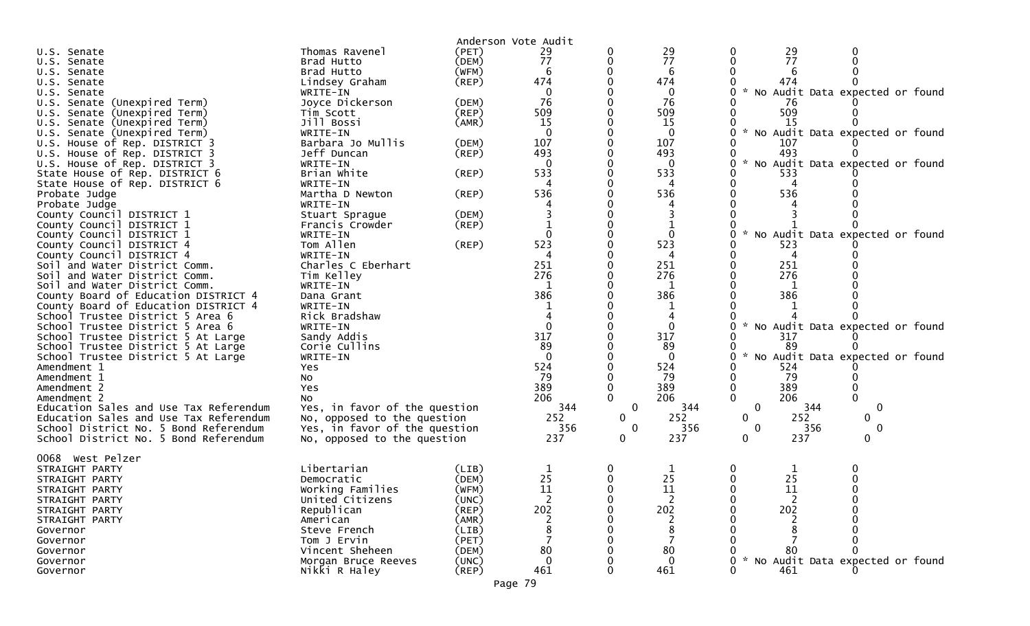| U.S. Senate                            | Thomas Ravenel                | Anderson Vote Audit<br>(PET) | 29             |              | 29       | 0                    |                                 |  |
|----------------------------------------|-------------------------------|------------------------------|----------------|--------------|----------|----------------------|---------------------------------|--|
| U.S. Senate                            | Brad Hutto                    | (DEM)                        | 77             | 0            | 77       | $\frac{29}{77}$<br>0 |                                 |  |
| U.S. Senate                            | Brad Hutto                    | (WFM)                        | 6              |              | 6        |                      |                                 |  |
| U.S. Senate                            | Lindsey Graham                | (REP)                        | 474            |              | 474      | 474                  |                                 |  |
| U.S. Senate                            | WRITE-IN                      |                              | 0              |              | $\Omega$ |                      | No Audit Data expected or found |  |
| U.S. Senate (Unexpired Term)           | Joyce Dickerson               | (DEM)                        | 76             |              | 76       | 76                   |                                 |  |
| U.S. Senate (Unexpired Term)           | Tim Scott                     | $($ REP $)$                  | 509            |              | 509      | 509                  |                                 |  |
| U.S. Senate (Unexpired Term)           | Jill Bossi                    | (AMR)                        | 15             |              | 15       | 15                   |                                 |  |
| U.S. Senate (Unexpired Term)           | WRITE-IN                      |                              | $\Omega$       |              | 0        |                      | No Audit Data expected or found |  |
| U.S. House of Rep. DISTRICT 3          | Barbara Jo Mullis             | (DEM)                        | 107            |              | 107      | 107                  |                                 |  |
| U.S. House of Rep. DISTRICT 3          | Jeff Duncan                   | (REP)                        | 493            |              | 493      | 493                  |                                 |  |
| U.S. House of Rep. DISTRICT 3          | WRITE-IN                      |                              | $\Omega$       |              | $\Omega$ |                      | No Audit Data expected or found |  |
| State House of Rep. DISTRICT 6         | Brian White                   | $($ REP $)$                  | 533            |              | 533      | 533                  |                                 |  |
| State House of Rep. DISTRICT 6         | WRITE-IN                      |                              | Δ              |              | 4        | 4                    |                                 |  |
| Probate Judge                          | Martha D Newton               | $($ REP $)$                  | 536            |              | 536      | 536                  |                                 |  |
| Probate Judge                          | WRITE-IN                      |                              |                |              |          |                      |                                 |  |
| County Council DISTRICT 1              | Stuart Sprague                | (DEM)                        |                |              |          |                      |                                 |  |
| County Council DISTRICT 1              | Francis Crowder               | (REP)                        |                |              |          |                      |                                 |  |
| County Council DISTRICT 1              | WRITE-IN                      |                              |                |              | $\Omega$ |                      | No Audit Data expected or found |  |
| County Council DISTRICT 4              | Tom Allen                     | $($ REP $)$                  | 523            |              | 523      | 523                  |                                 |  |
| County Council DISTRICT 4              | WRITE-IN                      |                              |                |              | 4        | 4                    |                                 |  |
| Soil and Water District Comm.          | Charles C Eberhart            |                              | 251            |              | 251      | 251                  |                                 |  |
| Soil and Water District Comm.          | Tim Kelley                    |                              | 276            |              | 276      | 276                  |                                 |  |
| Soil and Water District Comm.          | WRITE-IN                      |                              |                |              | 1        |                      |                                 |  |
| County Board of Education DISTRICT 4   | Dana Grant                    |                              | 386            |              | 386      | 386                  |                                 |  |
| County Board of Education DISTRICT 4   | WRITE-IN                      |                              |                |              |          |                      |                                 |  |
| School Trustee District 5 Area 6       | Rick Bradshaw                 |                              |                |              |          |                      |                                 |  |
| School Trustee District 5 Area 6       | WRITE-IN                      |                              | $\Omega$       |              | $\Omega$ |                      | No Audit Data expected or found |  |
| School Trustee District 5 At Large     | Sandy Addis                   |                              | 317            |              | 317      | 317                  |                                 |  |
| School Trustee District 5 At Large     | Corie Cullins                 |                              | 89             |              | 89       | 89                   |                                 |  |
| School Trustee District 5 At Large     | WRITE-IN                      |                              | $\Omega$       |              | $\Omega$ |                      | No Audit Data expected or found |  |
| Amendment 1                            | Yes                           |                              | 524            |              | 524      | 524                  |                                 |  |
| Amendment 1                            | No                            |                              | 79             |              | 79       | 79                   |                                 |  |
| Amendment 2                            | Yes                           |                              | 389            |              | 389      | 389                  |                                 |  |
| Amendment 2                            | No                            |                              | 206            | $\mathbf{0}$ | 206      | 206<br>0             |                                 |  |
| Education Sales and Use Tax Referendum | Yes, in favor of the question |                              | 344            | $\mathbf 0$  | 344      | 0                    | 344<br>0                        |  |
| Education Sales and Use Tax Referendum | No, opposed to the question   |                              | 252            | 0            | 252      | 252<br>0             | 0                               |  |
| School District No. 5 Bond Referendum  | Yes, in favor of the question |                              | 356            | $\mathbf{0}$ | 356      | $\mathbf 0$          | 356<br>0                        |  |
| School District No. 5 Bond Referendum  | No, opposed to the question   |                              | 237            | 0            | 237      | 237<br>0             |                                 |  |
| 0068 West Pelzer                       |                               |                              |                |              |          |                      |                                 |  |
| STRAIGHT PARTY                         | Libertarian                   | (LIB)                        |                | 0            |          | 0<br>T.              |                                 |  |
| STRAIGHT PARTY                         | Democratic                    | (DEM)                        | 25             | $\Omega$     | 25       | 25<br>0              |                                 |  |
| STRAIGHT PARTY                         | Working Families              | (WFM)                        | 11             |              | 11       | 11                   |                                 |  |
| STRAIGHT PARTY                         | United Citizens               | (UNC)                        | $\overline{2}$ |              | 2        | 2<br>O               |                                 |  |
| STRAIGHT PARTY                         | Republican                    | (REP)                        | 202            |              | 202      | 202                  |                                 |  |
| STRAIGHT PARTY                         | American                      | (AMR)                        |                |              |          |                      |                                 |  |
| Governor                               | Steve French                  | (LIB)                        |                |              | 8        |                      |                                 |  |
| Governor                               | Tom J Ervin                   | (PET)                        |                |              |          |                      |                                 |  |
| Governor                               | Vincent Sheheen               | (DEM)                        | 80             |              | 80       | 80                   |                                 |  |
| Governor                               | Morgan Bruce Reeves           | (UNC)                        | 0              |              | $\Omega$ |                      | No Audit Data expected or found |  |
| Governor                               | Nikki R Haley                 | $($ REP $)$                  | 461            |              | 461      | 461                  |                                 |  |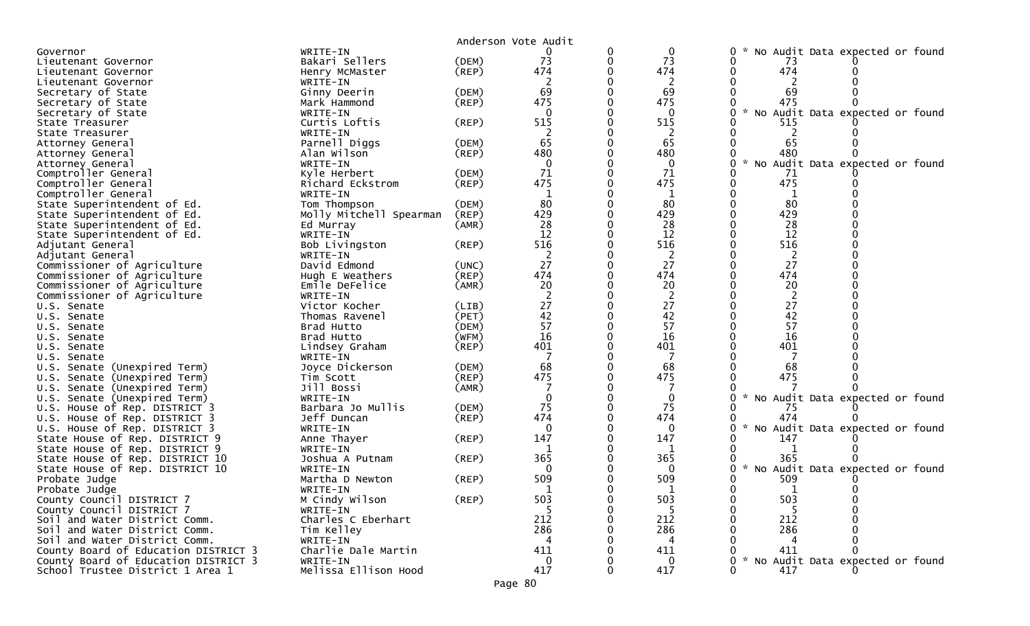|                                      |                         |             | Anderson Vote Audit |          |                |                                                          |
|--------------------------------------|-------------------------|-------------|---------------------|----------|----------------|----------------------------------------------------------|
| Governor                             | WRITE-IN                |             |                     | 0        | 0              | No Audit Data expected or found<br>0                     |
| Lieutenant Governor                  | Bakari Sellers          | (DEM)       | 73                  | 0        | 73             | 0<br>73                                                  |
| Lieutenant Governor                  | Henry McMaster          | $($ REP $)$ | 474                 |          | 474            | 474<br>0                                                 |
| Lieutenant Governor                  | WRITE-IN                |             |                     |          | 2              | 0                                                        |
| Secretary of State                   | Ginny Deerin            | (DEM)       | 69                  |          | 69             | 69                                                       |
| Secretary of State                   | Mark Hammond            | (REP)       | 475                 | $\Omega$ | 475            | 475<br>∩                                                 |
| Secretary of State                   | WRITE-IN                |             | $\Omega$            |          | $\Omega$       | 0<br>$\mathcal{H}$<br>Audit Data expected or found<br>No |
| State Treasurer                      | Curtis Loftis           | (REP)       | 515                 |          | 515            | 0<br>515                                                 |
| State Treasurer                      | WRITE-IN                |             |                     |          | 2              |                                                          |
| Attorney General                     | Parnell Diggs           | (DEM)       | 65                  |          | 65             | 65                                                       |
| Attorney General                     | Alan Wilson             | (REP)       | 480                 |          | 480            | 480                                                      |
| Attorney General                     | WRITE-IN                |             | $\mathbf{0}$        |          | $\mathbf{0}$   | 0<br>$\mathcal{H}$<br>No<br>Audit Data expected or found |
| Comptroller General                  | Kyle Herbert            | (DEM)       | 71                  |          | 71             | 0<br>71                                                  |
| Comptroller General                  | Richard Eckstrom        | (REP)       | 475                 |          | 475            | 475<br>$\Omega$                                          |
| Comptroller General                  | WRITE-IN                |             | 1                   |          | 1              | O                                                        |
| State Superintendent of Ed.          | Tom Thompson            | (DEM)       | 80                  |          | 80             | 80<br>0                                                  |
| State Superintendent of Ed.          | Molly Mitchell Spearman | (REP)       | 429                 |          | 429            | 429                                                      |
| State Superintendent of Ed.          | Ed Murray               | (AMR)       | 28                  |          | 28             | 28<br>$\Omega$                                           |
| State Superintendent of Ed.          | WRITE-IN                |             | 12                  |          | 12             | 12<br>$\Omega$                                           |
| Adjutant General                     | Bob Livingston          | (REP)       | 516                 |          | 516            | 516                                                      |
| Adjutant General                     | WRITE-IN                |             | 2                   |          | $\overline{c}$ | $\overline{c}$                                           |
| Commissioner of Agriculture          | David Edmond            | (UNC)       | 27                  | 0        | 27             | 27<br>0                                                  |
| Commissioner of Agriculture          | Hugh E Weathers         | (REP)       | 474                 |          | 474            | 474                                                      |
| Commissioner of Agriculture          | Emile DeFelice          | (AMR)       | 20                  |          | 20             | 20<br>$\Omega$                                           |
| Commissioner of Agriculture          | WRITE-IN                |             | $\overline{2}$      |          | $\overline{2}$ | $\overline{2}$                                           |
| U.S. Senate                          | Victor Kocher           | (LIB)       | 27                  |          | 27             | 27                                                       |
| U.S. Senate                          | Thomas Ravenel          | (PET)       | 42                  | $\Omega$ | 42             | 42<br>$\Omega$                                           |
| U.S. Senate                          | Brad Hutto              | (DEM)       | 57                  | 0        | 57             | 57<br>$\mathbf 0$                                        |
| U.S. Senate                          | Brad Hutto              | (WFM)       | 16                  |          | 16             | 16                                                       |
| U.S. Senate                          | Lindsey Graham          | $($ REP $)$ | 401                 |          | 401            | 401                                                      |
| U.S. Senate                          | WRITE-IN                |             | 7                   |          | 7              |                                                          |
| U.S. Senate (Unexpired Term)         | Joyce Dickerson         | (DEM)       | 68                  |          | 68             | 68                                                       |
| U.S. Senate (Unexpired Term)         | Tim Scott               | (REP)       | 475                 |          | 475            | 475<br>∩                                                 |
| U.S. Senate (Unexpired Term)         | Jill Bossi              | (AMR)       |                     |          |                |                                                          |
| Senate (Unexpired Term)<br>U.S.      | WRITE-IN                |             | $\mathbf 0$         |          | 0              | 0<br>No Audit Data expected or found                     |
| U.S. House of Rep. DISTRICT 3        | Barbara Jo Mullis       | (DEM)       | 75                  |          | 75             | 75                                                       |
| U.S. House of Rep. DISTRICT 3        | Jeff Duncan             | (REP)       | 474                 |          | 474            | 474                                                      |
| U.S. House of Rep. DISTRICT 3        | WRITE-IN                |             | $\mathbf{0}$        |          | 0              | 0<br>No Audit Data expected or found                     |
| State House of Rep. DISTRICT 9       | Anne Thayer             | (REP)       | 147                 |          | 147            | 147                                                      |
| State House of Rep. DISTRICT 9       | WRITE-IN                |             | -1                  |          | 1              |                                                          |
| State House of Rep. DISTRICT 10      | Joshua A Putnam         | (REP)       | 365                 |          | 365            | 365<br>0                                                 |
| State House of Rep. DISTRICT 10      | WRITE-IN                |             | $\Omega$            |          | $\Omega$       | $\mathcal{R}$<br>No Audit Data expected or found<br>0    |
| Probate Judge                        | Martha D Newton         | (REP)       | 509                 |          | 509            | 509<br>0                                                 |
| Probate Judge                        | WRITE-IN                |             |                     |          |                | 0<br>$\Omega$                                            |
| County Council DISTRICT 7            | M Cindy Wilson          | $($ REP $)$ | 503                 |          | 503            | 503<br>0                                                 |
| County Council DISTRICT 7            | WRITE-IN                |             |                     |          | -5             | -5                                                       |
| Soil and Water District Comm.        | Charles C Eberhart      |             | 212                 |          | 212            | 212                                                      |
| Soil and Water District Comm.        | Tim Kelley              |             | 286                 |          | 286            | 286                                                      |
| Soil and Water District Comm.        | WRITE-IN                |             | 4                   |          | 4              | 4                                                        |
| County Board of Education DISTRICT 3 | Charlie Dale Martin     |             | 411                 |          | 411            | 411                                                      |
| County Board of Education DISTRICT 3 | WRITE-IN                |             | $\Omega$            |          | $\Omega$       | No Audit Data expected or found<br>0                     |
| School Trustee District 1 Area 1     | Melissa Ellison Hood    |             | 417                 | 0        | 417            | $\Omega$<br>417                                          |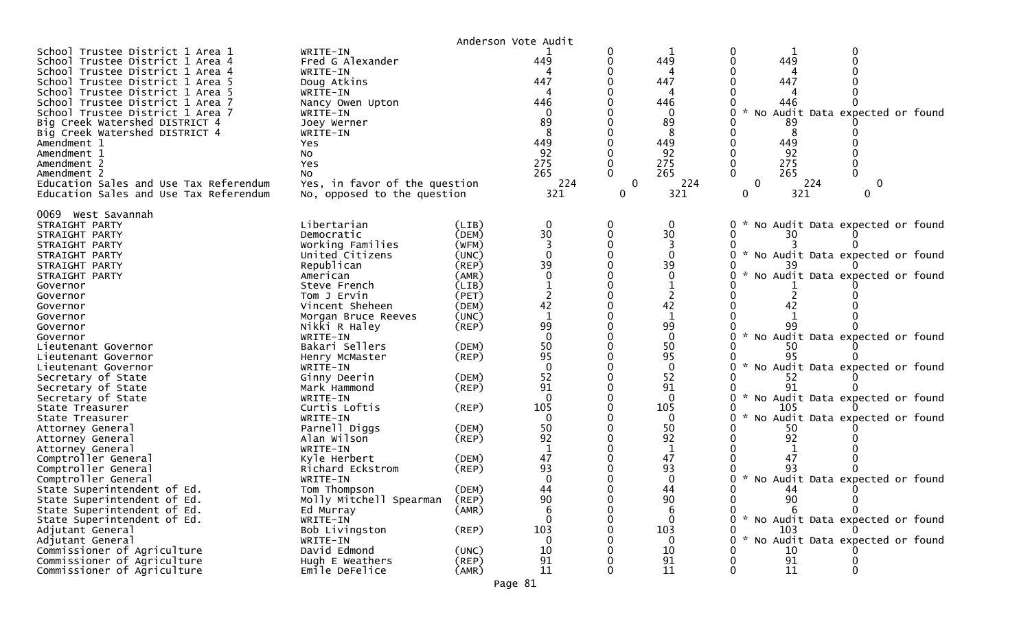|                                                                                                                                                                                                                                                                                                                                                                                                                                                                              |                                                                                                                                                                                                                             |                                  | Anderson Vote Audit                                                        |                            |                                                                                        |                                                                                                                                                     |
|------------------------------------------------------------------------------------------------------------------------------------------------------------------------------------------------------------------------------------------------------------------------------------------------------------------------------------------------------------------------------------------------------------------------------------------------------------------------------|-----------------------------------------------------------------------------------------------------------------------------------------------------------------------------------------------------------------------------|----------------------------------|----------------------------------------------------------------------------|----------------------------|----------------------------------------------------------------------------------------|-----------------------------------------------------------------------------------------------------------------------------------------------------|
| School Trustee District 1 Area 1<br>School Trustee District 1 Area 4<br>School Trustee District 1 Area 4<br>School Trustee District 1 Area 5<br>School Trustee District 1 Area 5<br>School Trustee District 1 Area 7<br>School Trustee District 1 Area 7<br>Big Creek Watershed DISTRICT 4<br>Big Creek Watershed DISTRICT 4<br>Amendment 1<br>Amendment 1<br>Amendment 2<br>Amendment 2<br>Education Sales and Use Tax Referendum<br>Education Sales and Use Tax Referendum | WRITE-IN<br>Fred G Alexander<br>WRITE-IN<br>Doug Atkins<br>WRITE-IN<br>Nancy Owen Upton<br>WRITE-IN<br>Joey Werner<br>WRITE-IN<br>Yes.<br>NO.<br>Yes<br>No.<br>Yes, in favor of the question<br>No, opposed to the question |                                  | 449<br>447<br>4<br>446<br>89<br>8<br>449<br>92<br>275<br>265<br>224<br>321 | 0<br>0<br>$\mathbf 0$<br>0 | 449<br>4<br>447<br>Δ<br>446<br>$\Omega$<br>89<br>449<br>92<br>275<br>265<br>224<br>321 | 0<br>0<br>449<br>447<br>446<br>No Audit Data expected or found<br>89<br>449<br>92<br>275<br>265<br>224<br>0<br>$\bf{0}$<br>321<br>$\mathbf{0}$<br>0 |
| 0069 West Savannah<br>STRAIGHT PARTY<br>STRAIGHT PARTY                                                                                                                                                                                                                                                                                                                                                                                                                       | Libertarian<br>Democratic                                                                                                                                                                                                   | (LIB)<br>(DEM)                   | 0<br>30                                                                    | 0<br>0                     | $\mathbf 0$<br>30                                                                      | No Audit Data expected or found<br>0<br>30                                                                                                          |
| STRAIGHT PARTY<br>STRAIGHT PARTY<br>STRAIGHT PARTY                                                                                                                                                                                                                                                                                                                                                                                                                           | Working Families<br>United Citizens<br>Republican                                                                                                                                                                           | (WFM)<br>(UNC)<br>(REP)          | $\Omega$<br>39                                                             |                            | $\Omega$<br>39                                                                         | No Audit Data expected or found                                                                                                                     |
| STRAIGHT PARTY<br>Governor<br>Governor<br>Governor                                                                                                                                                                                                                                                                                                                                                                                                                           | American<br>Steve French<br>Tom J Ervin<br>Vincent Sheheen                                                                                                                                                                  | (AMR)<br>(LIB)<br>(PET)<br>(DEM) | 42                                                                         |                            | $\mathbf{0}$<br>42                                                                     | No Audit Data expected or found<br>42                                                                                                               |
| Governor<br>Governor                                                                                                                                                                                                                                                                                                                                                                                                                                                         | Morgan Bruce Reeves<br>Nikki R Haley                                                                                                                                                                                        | (UNC)<br>$($ REP $)$             | 99                                                                         |                            | 99                                                                                     |                                                                                                                                                     |
| Governor<br>Lieutenant Governor                                                                                                                                                                                                                                                                                                                                                                                                                                              | WRITE-IN<br>Bakari Sellers                                                                                                                                                                                                  | (DEM)                            | $\Omega$<br>50<br>95                                                       |                            | $\mathbf{0}$<br>50<br>95                                                               | No Audit Data expected or found<br>50<br>95                                                                                                         |
| Lieutenant Governor<br>Lieutenant Governor<br>Secretary of State                                                                                                                                                                                                                                                                                                                                                                                                             | Henry McMaster<br>WRITE-IN<br>Ginny Deerin                                                                                                                                                                                  | (REP)<br>(DEM)                   | $\Omega$<br>52                                                             |                            | $\mathbf{0}$<br>52                                                                     | No Audit Data expected or found<br>52                                                                                                               |
| Secretary of State<br>Secretary of State                                                                                                                                                                                                                                                                                                                                                                                                                                     | Mark Hammond<br>WRITE-IN                                                                                                                                                                                                    | (REP)                            | 91<br>$\Omega$                                                             |                            | 91<br>$\mathbf{0}$                                                                     | 91<br>$\sim$<br>No Audit Data expected or found                                                                                                     |
| State Treasurer<br>State Treasurer                                                                                                                                                                                                                                                                                                                                                                                                                                           | Curtis Loftis<br>WRITE-IN                                                                                                                                                                                                   | (REP)                            | 105<br>$\mathbf{0}$                                                        |                            | 105<br>$\mathbf{0}$                                                                    | 105<br>No Audit Data expected or found<br>$\mathcal{H}$<br>0                                                                                        |
| Attorney General<br>Attorney General                                                                                                                                                                                                                                                                                                                                                                                                                                         | Parnell Diggs<br>Alan Wilson                                                                                                                                                                                                | (DEM)<br>(REP)                   | 50<br>92                                                                   |                            | 50<br>92                                                                               | 50<br>92                                                                                                                                            |
| Attorney General<br>Comptroller General                                                                                                                                                                                                                                                                                                                                                                                                                                      | WRITE-IN<br>Kyle Herbert                                                                                                                                                                                                    | (DEM)                            | $\mathbf{1}$<br>47                                                         |                            | 1<br>47                                                                                | 47                                                                                                                                                  |
| Comptroller General<br>Comptroller General<br>State Superintendent of Ed.                                                                                                                                                                                                                                                                                                                                                                                                    | Richard Eckstrom<br>WRITE-IN<br>Tom Thompson                                                                                                                                                                                | $($ REP $)$<br>(DEM)             | 93<br>$\Omega$<br>44                                                       |                            | 93<br>$\Omega$<br>44                                                                   | * No Audit Data expected or found<br>0                                                                                                              |
| State Superintendent of Ed.<br>State Superintendent of Ed.                                                                                                                                                                                                                                                                                                                                                                                                                   | Molly Mitchell Spearman<br>Ed Murray                                                                                                                                                                                        | (REP)<br>(AMR)                   | 90<br>6                                                                    | 0<br>0                     | 90<br>6                                                                                | 90<br>0<br>0<br>0<br>0                                                                                                                              |
| State Superintendent of Ed.<br>Adjutant General                                                                                                                                                                                                                                                                                                                                                                                                                              | WRITE-IN<br>Bob Livingston                                                                                                                                                                                                  | $($ REP $)$                      | $\Omega$<br>103                                                            |                            | $\Omega$<br>103                                                                        | * No Audit Data expected or found<br>103                                                                                                            |
| Adjutant General<br>Commissioner of Agriculture                                                                                                                                                                                                                                                                                                                                                                                                                              | WRITE-IN<br>David Edmond                                                                                                                                                                                                    | (UNC)                            | $\mathbf 0$<br>10                                                          |                            | $\mathbf{0}$<br>10                                                                     | No Audit Data expected or found<br>0<br>10                                                                                                          |
| Commissioner of Agriculture<br>Commissioner of Agriculture                                                                                                                                                                                                                                                                                                                                                                                                                   | Hugh E Weathers<br>Emile DeFelice                                                                                                                                                                                           | (REP)<br>(AMR)                   | 91<br>11                                                                   | 0                          | 91<br>11                                                                               | 91<br>11<br>0<br>0                                                                                                                                  |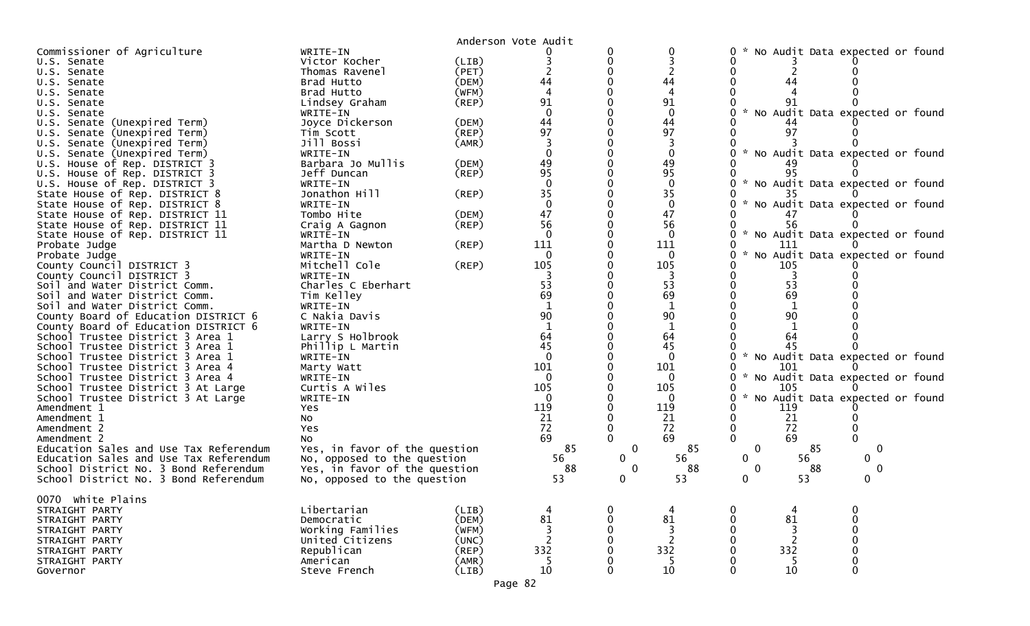|                                        |                               |             | Anderson Vote Audit      |             |                          |                                                  |
|----------------------------------------|-------------------------------|-------------|--------------------------|-------------|--------------------------|--------------------------------------------------|
| Commissioner of Agriculture            | WRITE-IN                      |             |                          |             |                          | No Audit Data expected or found<br>0             |
| U.S. Senate                            | Victor Kocher                 | (LIB)       |                          |             |                          |                                                  |
| U.S. Senate                            | Thomas Ravenel                | (PET)       |                          |             |                          |                                                  |
| U.S. Senate                            | Brad Hutto                    | (DEM)       | 44                       |             | 44                       | 44                                               |
| U.S. Senate                            | Brad Hutto                    | (WFM)       |                          |             |                          |                                                  |
| U.S. Senate                            | Lindsey Graham                | $($ REP $)$ | 91                       |             | 91                       |                                                  |
| U.S. Senate                            | WRITE-IN                      |             | $\Omega$                 |             | $\mathbf 0$              | * No Audit Data expected or found                |
| U.S. Senate (Unexpired Term)           | Joyce Dickerson               | (DEM)       | 44                       |             | 44                       |                                                  |
| U.S. Senate (Unexpired Term)           | Tim Scott                     | $($ REP $)$ | 97                       |             | 97                       | 97                                               |
| U.S. Senate (Unexpired Term)           | Jill Bossi                    | (AMR)       |                          |             |                          |                                                  |
| U.S. Senate (Unexpired Term)           | WRITE-IN                      |             |                          |             |                          | * No Audit Data expected or found                |
| U.S. House of Rep. DISTRICT 3          | Barbara Jo Mullis             | (DEM)       | 49                       |             | 49                       |                                                  |
| U.S. House of Rep. DISTRICT 3          | Jeff Duncan                   | (REP)       | 95                       |             | 95                       | 95                                               |
|                                        |                               |             |                          |             | $\Omega$                 |                                                  |
| U.S. House of Rep. DISTRICT 3          | WRITE-IN                      |             |                          |             | 35                       | * No Audit Data expected or found                |
| State House of Rep. DISTRICT 8         | Jonathon Hill                 | (REP)       | 35                       |             |                          |                                                  |
| State House of Rep. DISTRICT 8         | WRITE-IN                      |             |                          |             | $\mathbf 0$              | * No Audit Data expected or found                |
| State House of Rep. DISTRICT 11        | Tombo Hite                    | (DEM)       | 47                       |             | 47                       |                                                  |
| State House of Rep. DISTRICT 11        | Craig A Gagnon                | (REP)       | 56                       |             | 56                       | 56                                               |
| State House of Rep. DISTRICT 11        | WRITE-IN                      |             | $\Omega$                 |             | $\mathbf{0}$             | * No Audit Data expected or found                |
| Probate Judge                          | Martha D Newton               | (REP)       | 111                      |             | 111                      | 111                                              |
| Probate Judge                          | WRITE-IN                      |             |                          |             | 0                        | No Audit Data expected or found                  |
| County Council DISTRICT 3              | Mitchell Cole                 | (REP)       | 105                      |             | 105                      | 105                                              |
| County Council DISTRICT 3              | WRITE-IN                      |             |                          |             |                          |                                                  |
| Soil and Water District Comm.          | Charles C Eberhart            |             | 53                       |             | 53                       | 53                                               |
| Soil and Water District Comm.          | Tim Kelley                    |             | 69                       |             | 69                       | 69                                               |
| Soil and Water District Comm.          | WRITE-IN                      |             |                          |             |                          |                                                  |
| County Board of Education DISTRICT 6   | C Nakia Davis                 |             | 90                       |             | 90                       | 90                                               |
| County Board of Education DISTRICT 6   | WRITE-IN                      |             | $\mathbf{1}$             |             | 1                        |                                                  |
| School Trustee District 3 Area 1       | Larry S Holbrook              |             | 64                       |             | 64                       | 64                                               |
| School Trustee District 3 Area 1       | Phillip L Martin              |             | 45                       |             | 45                       |                                                  |
| School Trustee District 3 Area 1       | WRITE-IN                      |             | $\Omega$                 |             | $\mathbf{0}$             | * No Audit Data expected or found                |
| School Trustee District 3 Area 4       | Marty Watt                    |             | 101                      |             | 101                      | 101                                              |
| School Trustee District 3 Area 4       | WRITE-IN                      |             | $\Omega$                 |             | $\Omega$                 | No Audit Data expected or found<br>$\mathcal{H}$ |
| School Trustee District 3 At Large     | Curtis A Wiles                |             | 105                      |             | 105                      | 105                                              |
| School Trustee District 3 At Large     | WRITE-IN                      |             |                          |             | 0                        | No Audit Data expected or found<br>$\sim$        |
| Amendment 1                            | Yes                           |             | 119                      |             | 119                      | 119                                              |
| Amendment 1                            | No                            |             | 21                       |             | 21                       | 21                                               |
| Amendment 2                            | Yes                           |             | 72                       |             | 72                       | 72<br>0                                          |
|                                        |                               |             | 69                       |             | 69                       | $\Omega$<br>69                                   |
| Amendment 2                            | No                            |             | 85                       | $\mathbf 0$ | 85                       | $\mathbf 0$<br>85                                |
| Education Sales and Use Tax Referendum | Yes, in favor of the question |             |                          |             |                          | $\mathbf 0$                                      |
| Education Sales and Use Tax Referendum | No, opposed to the question   |             | 56                       | $\Omega$    | 56                       | 56<br>0<br>0                                     |
| School District No. 3 Bond Referendum  | Yes, in favor of the question |             | 88                       | $\Omega$    | 88                       | 88<br>$\mathbf{0}$<br>0                          |
| School District No. 3 Bond Referendum  | No, opposed to the question   |             | 53                       |             | 53                       | 53<br>0                                          |
|                                        |                               |             |                          |             |                          |                                                  |
| 0070 white Plains                      |                               |             |                          |             |                          |                                                  |
| STRAIGHT PARTY                         | Libertarian                   | (LIB)       |                          |             |                          | 0<br>0<br>4                                      |
| STRAIGHT PARTY                         | Democratic                    | (DEM)       | 81                       |             | 81                       | 81<br>$\Omega$<br>0                              |
| STRAIGHT PARTY                         | Working Families              | (WFM)       | 3                        |             | 3                        | 3                                                |
| STRAIGHT PARTY                         | United Citizens               | (UNC)       | $\overline{\phantom{0}}$ |             | $\overline{\phantom{a}}$ | 2                                                |
| STRAIGHT PARTY                         | Republican                    | $($ REP $)$ | 332                      |             | 332                      | 332                                              |
| STRAIGHT PARTY                         | American                      | (AMR)       | -5                       |             | 5                        | -5                                               |
| Governor                               | Steve French                  | (LIB)       | 10                       |             | 10                       | 10<br>$\Omega$<br>∩                              |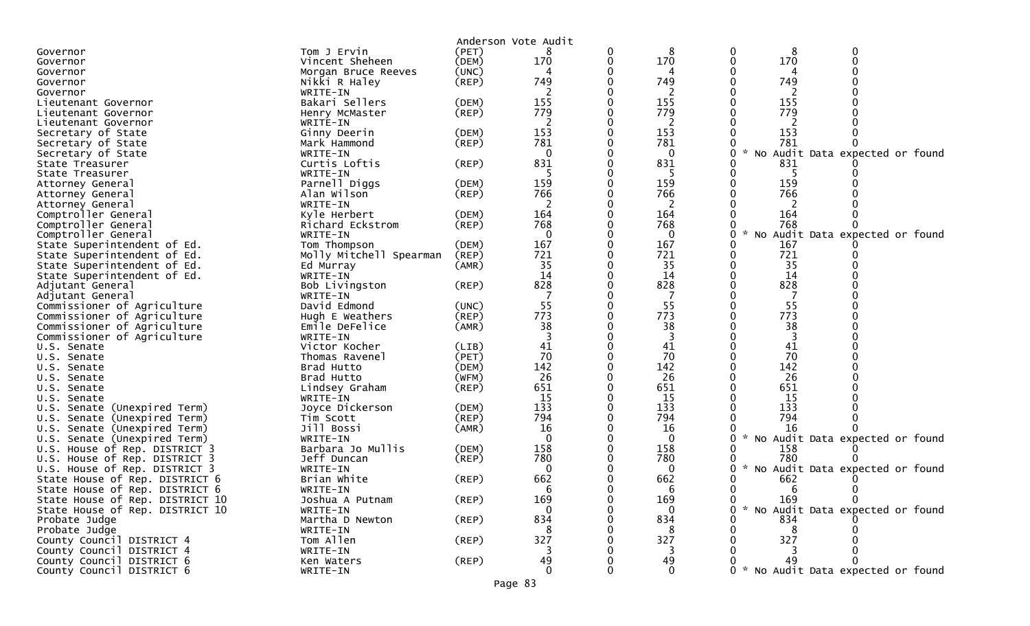|                                             |                             |             | Anderson Vote Audit |   |              |        |           |                                   |  |
|---------------------------------------------|-----------------------------|-------------|---------------------|---|--------------|--------|-----------|-----------------------------------|--|
| Governor                                    | Tom J Ervin                 | (PET)       |                     | 0 | 8            | 0      | 8         |                                   |  |
| Governor                                    | Vincent Sheheen             | (DEM)       | 170                 | 0 | 170          | 0      | 170       |                                   |  |
| Governor                                    | Morgan Bruce Reeves         | (UNC)       | 4                   |   | 4            |        |           |                                   |  |
| Governor                                    | Nikki R Haley               | (REP)       | 749                 |   | 749          |        | 749       |                                   |  |
| Governor                                    | WRITE-IN                    |             |                     |   | 2            |        | 2         |                                   |  |
| Lieutenant Governor                         | Bakari Sellers              | (DEM)       | 155                 |   | 155          |        | 155       |                                   |  |
| Lieutenant Governor                         | Henry McMaster              | $($ REP $)$ | 779                 |   | 779          |        | 779       |                                   |  |
| Lieutenant Governor                         | WRITE-IN                    |             | 2                   |   | 2            |        | 2         |                                   |  |
| Secretary of State                          | Ginny Deerin                | (DEM)       | 153                 |   | 153          |        | 153       |                                   |  |
| Secretary of State                          | Mark Hammond                | (REP)       | 781                 |   | 781          |        | 781       |                                   |  |
| Secretary of State                          | WRITE-IN                    |             | $\Omega$            |   | $\mathbf{0}$ | $*$ No |           | Audit Data expected or found      |  |
| State Treasurer                             | Curtis Loftis               | $($ REP $)$ | 831                 |   | 831          |        | 831       |                                   |  |
| State Treasurer                             | WRITE-IN                    |             |                     |   |              |        |           |                                   |  |
| Attorney General                            | Parnell Diggs               | (DEM)       | 159                 |   | 159          |        | 159       |                                   |  |
| Attorney General                            | Alan Wilson                 | $($ REP $)$ | 766                 |   | 766          |        | 766       |                                   |  |
| Attorney General                            | WRITE-IN                    |             | 2                   |   | 2            |        |           |                                   |  |
| Comptroller General                         | Kyle Herbert                | (DEM)       | 164                 |   | 164          |        | 164       |                                   |  |
| Comptroller General                         | Richard Eckstrom            | $($ REP $)$ | 768                 |   | 768          |        | 768       |                                   |  |
| Comptroller General                         | WRITE-IN                    |             | $\Omega$            |   | $\Omega$     | No     |           | Audit Data expected or found      |  |
| State Superintendent of Ed.                 | Tom Thompson                | (DEM)       | 167                 |   | 167          |        | 167       |                                   |  |
| State Superintendent of Ed.                 | Molly Mitchell Spearman     | (REP)       | 721                 |   | 721          |        | 721       |                                   |  |
| State Superintendent of Ed.                 | Ed Murray                   | (AMR)       | 35                  |   | 35           |        | 35        |                                   |  |
| State Superintendent of Ed.                 | WRITE-IN                    |             | 14                  |   | 14           |        | 14        |                                   |  |
| Adjutant General                            | Bob Livingston              | (REP)       | 828                 |   | 828          |        | 828       |                                   |  |
| Adjutant General                            | WRITE-IN                    |             |                     |   |              |        |           |                                   |  |
| Commissioner of Agriculture                 | David Edmond                | (UNC)       | 55                  |   | 55           |        | 55        |                                   |  |
| Commissioner of Agriculture                 | Hugh E Weathers             | (REP)       | 773                 |   | 773          |        | 773       |                                   |  |
| Commissioner of Agriculture                 | Emile DeFelice              | (AMR)       | 38                  |   | 38           |        | 38        |                                   |  |
| Commissioner of Agriculture                 | WRITE-IN                    |             |                     |   |              |        |           |                                   |  |
| U.S. Senate                                 | Victor Kocher               | (LIB)       | 41                  |   | 41           |        | 41        |                                   |  |
| U.S. Senate                                 | Thomas Ravenel              | (PET)       | 70                  |   | 70           |        | 70        |                                   |  |
| U.S. Senate                                 | Brad Hutto                  | (DEM)       | 142<br>26           | 0 | 142<br>26    |        | 142<br>26 |                                   |  |
| U.S. Senate                                 | Brad Hutto                  | (WFM)       | 651                 |   | 651          |        | 651       |                                   |  |
| U.S. Senate                                 | Lindsey Graham              | $($ REP $)$ | 15                  |   | 15           |        | 15        |                                   |  |
| U.S. Senate<br>U.S. Senate (Unexpired Term) | WRITE-IN<br>Joyce Dickerson | (DEM)       | 133                 |   | 133          |        | 133       |                                   |  |
| U.S. Senate (Unexpired Term)                | Tim Scott                   | (REP)       | 794                 |   | 794          |        | 794       |                                   |  |
| U.S. Senate (Unexpired Term)                | Jill Bossi                  | (AMR)       | 16                  |   | 16           |        | 16        |                                   |  |
| U.S. Senate (Unexpired Term)                | WRITE-IN                    |             | $\Omega$            |   | $\Omega$     |        |           | No Audit Data expected or found   |  |
| U.S. House of Rep. DISTRICT 3               | Barbara Jo Mullis           | (DEM)       | 158                 |   | 158          |        | 158       |                                   |  |
| U.S. House of Rep. DISTRICT 3               | Jeff Duncan                 | (REP)       | 780                 |   | 780          |        | 780       |                                   |  |
| U.S. House of Rep. DISTRICT 3               | WRITE-IN                    |             | 0                   |   | 0            |        |           | * No Audit Data expected or found |  |
| State House of Rep. DISTRICT 6              | Brian White                 | (REP)       | 662                 |   | 662          |        | 662       |                                   |  |
| State House of Rep. DISTRICT 6              | WRITE-IN                    |             |                     |   |              | 0      | - 6       | 0                                 |  |
| State House of Rep. DISTRICT 10             | Joshua A Putnam             | (REP)       | 169                 |   | 169          | 0      | 169       | $\mathbf{0}$                      |  |
| State House of Rep. DISTRICT 10             | WRITE-IN                    |             | $\mathbf{0}$        |   | $\Omega$     |        |           | * No Audit Data expected or found |  |
| Probate Judge                               | Martha D Newton             | (REP)       | 834                 |   | 834          |        | 834       |                                   |  |
| Probate Judge                               | WRITE-IN                    |             | 8                   |   | 8            |        | 8         |                                   |  |
| County Council DISTRICT 4                   | Tom Allen                   | (REP)       | 327                 |   | 327          |        | 327       |                                   |  |
| County Council DISTRICT 4                   | WRITE-IN                    |             |                     |   |              |        |           |                                   |  |
| County Council DISTRICT 6                   | Ken Waters                  | (REP)       | 49                  |   | 49           |        | 49        |                                   |  |
| County Council DISTRICT 6                   | WRITE-IN                    |             | $\Omega$            |   | $\Omega$     |        |           | * No Audit Data expected or found |  |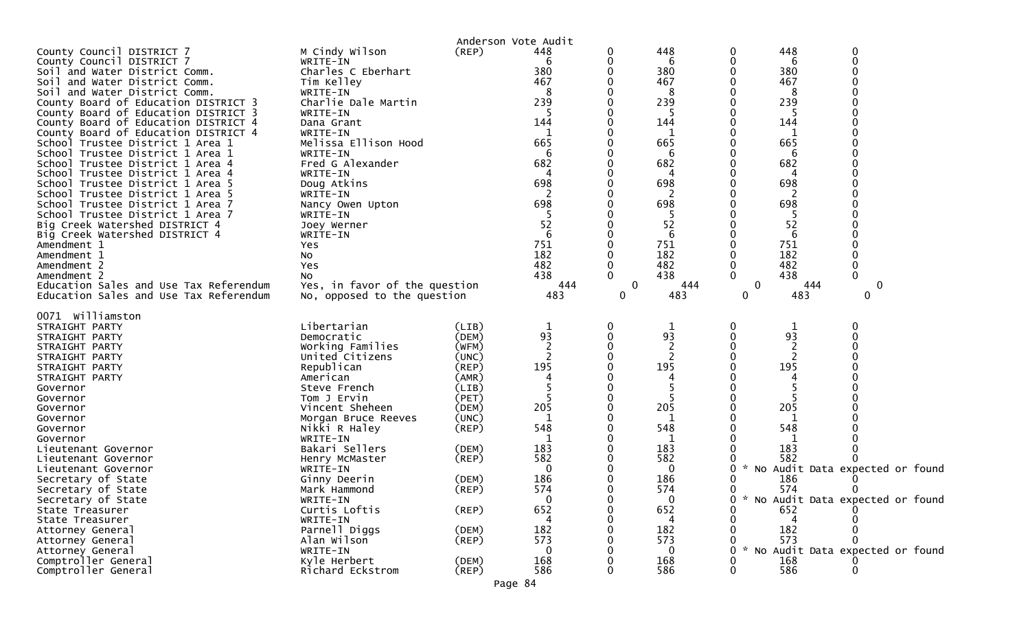|                                                                      |                               |                | Anderson Vote Audit |              |                |              |          |                                 |
|----------------------------------------------------------------------|-------------------------------|----------------|---------------------|--------------|----------------|--------------|----------|---------------------------------|
| County Council DISTRICT 7                                            | M Cindy Wilson                | (REP)          | 448                 | 0            | 448            | 0            | 448      | 0                               |
| County Council DISTRICT 7                                            | WRITE-IN                      |                | 6                   |              | 6              | 0            | 6        | $\Omega$                        |
| Soil and Water District Comm.                                        | Charles C Eberhart            |                | 380                 |              | 380            |              | 380      |                                 |
| Soil and Water District Comm.                                        | Tim Kelley                    |                | 467                 |              | 467            |              | 467      |                                 |
| Soil and Water District Comm.                                        | WRITE-IN                      |                | 8                   |              | 8              |              | 8        |                                 |
| County Board of Education DISTRICT 3                                 | Charlie Dale Martin           |                | 239                 |              | 239            |              | 239      |                                 |
| County Board of Education DISTRICT 3                                 | WRITE-IN                      |                |                     |              | 5              |              | 5        |                                 |
| County Board of Education DISTRICT 4                                 | Dana Grant                    |                | 144                 |              | 144            |              | 144      |                                 |
| County Board of Education DISTRICT 4                                 | WRITE-IN                      |                |                     |              |                |              |          |                                 |
| School Trustee District 1 Area 1                                     | Melissa Ellison Hood          |                | 665                 |              | 665            |              | 665      |                                 |
| School Trustee District 1 Area 1                                     | WRITE-IN                      |                | 6                   |              | 6              |              | 6        |                                 |
| School Trustee District 1 Area 4                                     | Fred G Alexander              |                | 682<br>4            |              | 682            |              | 682<br>4 |                                 |
| School Trustee District 1 Area 4                                     | WRITE-IN                      |                | 698                 |              | 4<br>698       |              | 698      |                                 |
| School Trustee District 1 Area 5<br>School Trustee District 1 Area 5 | Doug Atkins<br>WRITE-IN       |                |                     |              |                |              |          |                                 |
| School Trustee District 1 Area 7                                     |                               |                | 698                 |              | 698            |              | 698      |                                 |
| School Trustee District 1 Area 7                                     | Nancy Owen Upton<br>WRITE-IN  |                |                     |              | 5              |              | -5       |                                 |
| Big Creek Watershed DISTRICT 4                                       | Joey Werner                   |                | 52                  |              | 52             |              | 52       |                                 |
| Big Creek Watershed DISTRICT 4                                       | WRITE-IN                      |                | 6                   |              | 6              |              | 6        |                                 |
| Amendment 1                                                          | Yes                           |                | 751                 |              | 751            |              | 751      |                                 |
| Amendment 1                                                          | NO.                           |                | 182                 |              | 182            |              | 182      |                                 |
| Amendment 2                                                          | Yes                           |                | 482                 | 0            | 482            | 0            | 482      |                                 |
| Amendment 2                                                          | No                            |                | 438                 | 0            | 438            | $\Omega$     | 438      |                                 |
| Education Sales and Use Tax Referendum                               | Yes, in favor of the question |                | 444                 | $\mathbf{0}$ | 444            | $\mathbf{0}$ | 444      | 0                               |
| Education Sales and Use Tax Referendum                               | No, opposed to the question   |                | 483                 | 0            | 483            | 0            | 483      | 0                               |
|                                                                      |                               |                |                     |              |                |              |          |                                 |
| 0071 williamston                                                     |                               |                |                     |              |                |              |          |                                 |
| STRAIGHT PARTY                                                       | Libertarian                   | (LIB)          |                     | 0            | 1              | 0            |          |                                 |
| STRAIGHT PARTY                                                       | Democratic                    | (DEM)          | 93                  |              | 93             |              | 93       |                                 |
| STRAIGHT PARTY                                                       | Working Families              | (WFM)          |                     |              | 2              |              |          |                                 |
| STRAIGHT PARTY                                                       | United Citizens               | (UNC)          | $\overline{c}$      |              | $\overline{c}$ |              | 2        |                                 |
| STRAIGHT PARTY                                                       | Republican                    | $($ REP $)$    | 195                 |              | 195            |              | 195      |                                 |
| STRAIGHT PARTY                                                       | American                      | (AMR)          |                     |              |                |              |          |                                 |
| Governor<br>Governor                                                 | Steve French<br>Tom J Ervin   | (LIB)<br>(PET) |                     |              |                |              |          |                                 |
| Governor                                                             | Vincent Sheheen               | (DEM)          | 205                 | 0            | 205            | 0            | 205      |                                 |
| Governor                                                             | Morgan Bruce Reeves           | (UNC)          |                     |              | $\mathbf{1}$   |              |          |                                 |
| Governor                                                             | Nikki R Haley                 | $($ REP $)$    | 548                 |              | 548            |              | 548      |                                 |
| Governor                                                             | WRITE-IN                      |                |                     |              |                |              |          |                                 |
| Lieutenant Governor                                                  | Bakari Sellers                | (DEM)          | 183                 |              | 183            |              | 183      |                                 |
| Lieutenant Governor                                                  | Henry McMaster                | $($ REP $)$    | 582                 |              | 582            |              | 582      |                                 |
| Lieutenant Governor                                                  | WRITE-IN                      |                | 0                   |              | 0              | 0            |          | No Audit Data expected or found |
| Secretary of State                                                   | Ginny Deerin                  | (DEM)          | 186                 |              | 186            |              | 186      |                                 |
| Secretary of State                                                   | Mark Hammond                  | (REP)          | 574                 | 0            | 574            | 0            | 574      | 0                               |
| Secretary of State                                                   | WRITE-IN                      |                | $\bf{0}$            | 0            | 0              | 0<br>W.      |          | No Audit Data expected or found |
| State Treasurer                                                      | Curtis Loftis                 | (REP)          | 652                 |              | 652            | 0            | 652      |                                 |
| State Treasurer                                                      | WRITE-IN                      |                |                     |              |                |              |          |                                 |
| Attorney General                                                     | Parnell Diggs                 | (DEM)          | 182                 |              | 182            |              | 182      |                                 |
| Attorney General                                                     | Alan Wilson                   | (REP)          | 573                 |              | 573            |              | 573      |                                 |
| Attorney General                                                     | WRITE-IN                      |                |                     |              | 0              |              |          | No Audit Data expected or found |
| Comptroller General                                                  | Kyle Herbert                  | (DEM)          | 168                 |              | 168            |              | 168      |                                 |
| Comptroller General                                                  | Richard Eckstrom              | $($ REP $)$    | 586                 |              | 586            | 0            | 586      |                                 |
|                                                                      |                               |                | Page 84             |              |                |              |          |                                 |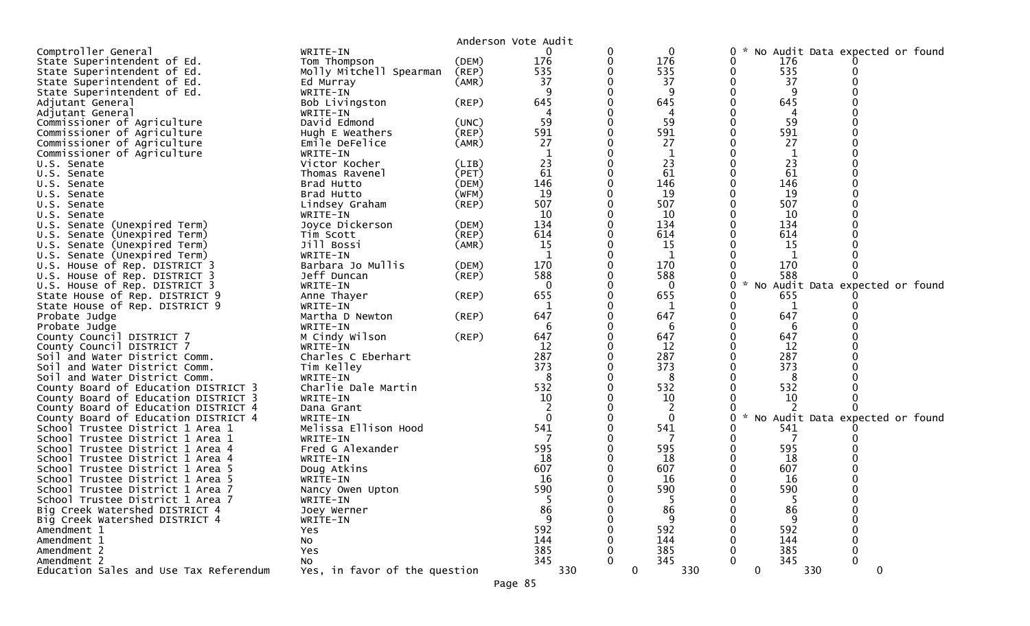|                                                            |                                |             | Anderson Vote Audit |                    |   |               |                                 |             |  |
|------------------------------------------------------------|--------------------------------|-------------|---------------------|--------------------|---|---------------|---------------------------------|-------------|--|
| Comptroller General                                        | WRITE-IN                       |             | 0                   | 0                  | 0 |               | No Audit Data expected or found |             |  |
| State Superintendent of Ed.                                | Tom Thompson                   | (DEM)       | 176                 | 176                | 0 | 176           |                                 |             |  |
| State Superintendent of Ed.                                | Molly Mitchell Spearman        | (REP)       | 535                 | 535                | 0 | 535           |                                 |             |  |
| State Superintendent of Ed.                                | Ed Murray                      | (AMR)       | 37                  | 37                 |   | 37            |                                 |             |  |
| State Superintendent of Ed.                                | WRITE-IN                       |             |                     | -9                 |   | -9            |                                 |             |  |
| Adjutant General                                           | Bob Livingston                 | $($ REP $)$ | 645                 | 645                |   | 645           |                                 |             |  |
| Adjutant General                                           | WRITE-IN                       |             |                     | 4                  |   | 4             |                                 |             |  |
| Commissioner of Agriculture                                | David Edmond                   | (UNC)       | 59                  | 59                 |   | 59            |                                 |             |  |
| Commissioner of Agriculture                                | Hugh E Weathers                | (REP)       | 591                 | 591                |   | 591           |                                 |             |  |
| Commissioner of Agriculture                                | Emile DeFelice                 | (AMR)       | 27                  | 27                 |   | 27            |                                 |             |  |
| Commissioner of Agriculture                                | WRITE-IN                       |             |                     |                    |   |               |                                 |             |  |
| U.S. Senate                                                | Victor Kocher                  | (LIB)       | 23                  | 23                 |   | 23            |                                 |             |  |
| U.S. Senate                                                | Thomas Ravenel                 | (PET)       | 61                  | 61                 |   | 61            |                                 |             |  |
| U.S. Senate                                                | Brad Hutto                     | (DEM)       | 146                 | 146                |   | 146           |                                 |             |  |
| U.S. Senate                                                | Brad Hutto                     | (WFM)       | 19                  | 19                 |   | 19            |                                 |             |  |
| U.S. Senate                                                | Lindsey Graham                 | $($ REP $)$ | 507                 | 507                |   | 507           |                                 |             |  |
| U.S. Senate                                                | WRITE-IN                       |             | 10                  | 10                 |   | 10            |                                 |             |  |
| U.S. Senate (Unexpired Term)                               | Joyce Dickerson                | (DEM)       | 134                 | 134                |   | 134           |                                 |             |  |
| U.S. Senate (Unexpired Term)                               | Tim Scott                      | $($ REP $)$ | 614                 | 614                |   | 614           |                                 |             |  |
| U.S. Senate (Unexpired Term)                               | Jill Bossi                     | (AMR)       | 15                  | 15                 |   | 15            |                                 |             |  |
| U.S. Senate (Unexpired Term)                               | WRITE-IN                       |             | 1                   | 1                  |   | 1             |                                 |             |  |
| U.S. House of Rep. DISTRICT 3                              | Barbara Jo Mullis              | (DEM)       | 170                 | 170                |   | 170           |                                 |             |  |
| U.S. House of Rep. DISTRICT 3                              | Jeff Duncan                    | $($ REP $)$ | 588                 | 588                |   | 588           |                                 |             |  |
| U.S. House of Rep. DISTRICT 3                              | WRITE-IN                       |             | $\Omega$            | 0                  | 0 | $\mathcal{H}$ | No Audit Data expected or found |             |  |
| State House of Rep. DISTRICT 9                             | Anne Thayer                    | (REP)       | 655                 | 655                |   | 655           |                                 |             |  |
| State House of Rep. DISTRICT 9                             | WRITE-IN                       |             |                     |                    | 0 | 1             |                                 |             |  |
| Probate Judge                                              | Martha D Newton                | $($ REP $)$ | 647                 | 647                |   | 647           |                                 |             |  |
| Probate Judge                                              | WRITE-IN                       |             |                     | 6                  |   | 6             |                                 |             |  |
| County Council DISTRICT 7                                  | M Cindy Wilson                 | $($ REP $)$ | 647                 | 647<br>12          |   | 647<br>12     |                                 |             |  |
| County Council DISTRICT 7<br>Soil and Water District Comm. | WRITE-IN<br>Charles C Eberhart |             | 12<br>287           | 287                |   | 287           |                                 |             |  |
| Soil and Water District Comm.                              | Tim Kelley                     |             | 373                 | 373                |   | 373           |                                 |             |  |
| Soil and Water District Comm.                              | WRITE-IN                       |             | 8                   | 8                  |   | 8             |                                 |             |  |
| County Board of Education DISTRICT 3                       | Charlie Dale Martin            |             | 532                 | 532                |   | 532           |                                 |             |  |
| County Board of Education DISTRICT 3                       | WRITE-IN                       |             | 10                  | 10                 |   | 10            |                                 |             |  |
| County Board of Education DISTRICT 4                       | Dana Grant                     |             | 2                   | 2                  |   |               |                                 |             |  |
| County Board of Education DISTRICT 4                       | WRITE-IN                       |             | $\Omega$            | $\mathbf{0}$       | 0 | $\sim$        | No Audit Data expected or found |             |  |
| School Trustee District 1 Area 1                           | Melissa Ellison Hood           |             | 541                 | 541                |   | 541           |                                 |             |  |
| School Trustee District 1 Area 1                           | WRITE-IN                       |             |                     |                    |   |               |                                 |             |  |
| School Trustee District 1 Area 4                           | Fred G Alexander               |             | 595                 | 595                |   | 595           |                                 |             |  |
| School Trustee District 1 Area 4                           | WRITE-IN                       |             | 18                  | 18                 |   | 18            |                                 |             |  |
| School Trustee District 1 Area 5                           | Doug Atkins                    |             | 607                 | 607                |   | 607           |                                 |             |  |
| School Trustee District 1 Area 5                           | WRITE-IN                       |             | 16                  | 16                 |   | 16            |                                 |             |  |
| School Trustee District 1 Area 7                           | Nancy Owen Upton               |             | 590                 | 590                |   | 590           |                                 |             |  |
| School Trustee District 1 Area 7                           | WRITE-IN                       |             | 5                   | 5                  |   | 5             |                                 |             |  |
| Big Creek Watershed DISTRICT 4                             | Joey Werner                    |             | 86                  | 86                 |   | 86            |                                 |             |  |
| Big Creek Watershed DISTRICT 4                             | WRITE-IN                       |             | 9                   | 9                  |   | 9             |                                 |             |  |
| Amendment 1                                                | Yes                            |             | 592                 | 592                |   | 592           |                                 |             |  |
| Amendment 1                                                | No                             |             | 144                 | 144                |   | 144           |                                 |             |  |
| Amendment 2                                                | Yes                            |             | 385                 | 385                |   | 385           |                                 |             |  |
| Amendment 2                                                | No                             |             | 345                 | 345                |   | 345           |                                 | $\Omega$    |  |
| Education Sales and Use Tax Referendum                     | Yes, in favor of the question  |             | 330                 | $\mathbf 0$<br>330 |   | $\mathbf 0$   | 330                             | $\mathbf 0$ |  |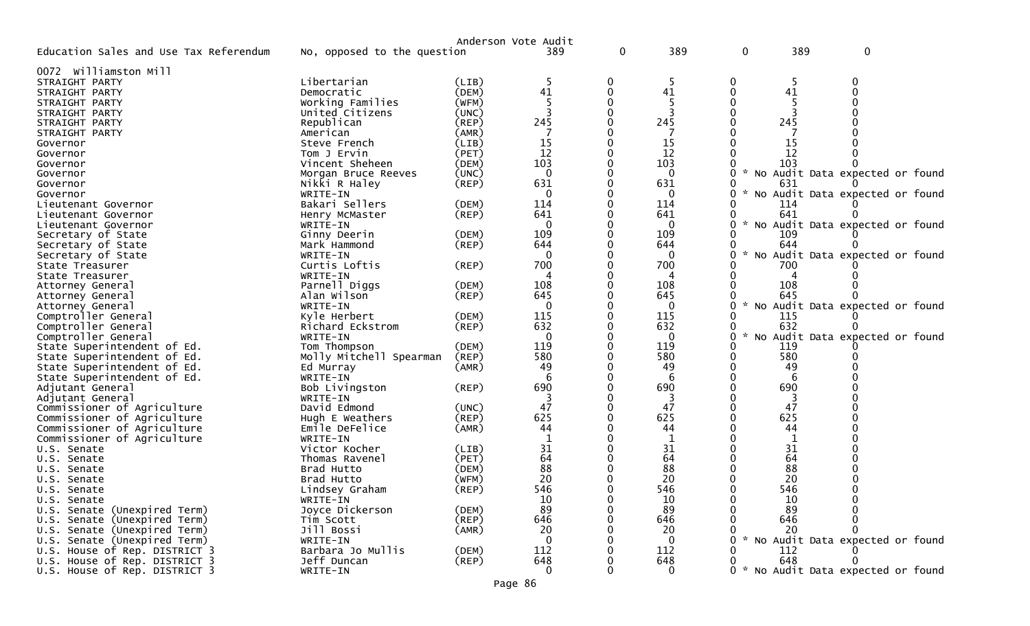|                                                            |                             |             | Anderson Vote Audit |          |              |               |     |                                   |  |
|------------------------------------------------------------|-----------------------------|-------------|---------------------|----------|--------------|---------------|-----|-----------------------------------|--|
| Education Sales and Use Tax Referendum                     | No, opposed to the question |             | 389                 | 0        | 389          | 0             | 389 | $\Omega$                          |  |
| 0072 Williamston Mill                                      |                             |             |                     |          |              |               |     |                                   |  |
| STRAIGHT PARTY                                             | Libertarian                 | (LIB)       | 5                   | 0        | 5            | 0             | 5   |                                   |  |
| STRAIGHT PARTY                                             | Democratic                  | (DEM)       | 41                  | 0        | 41           | 0             | 41  |                                   |  |
| STRAIGHT PARTY                                             | Working Families            | (WFM)       |                     |          |              |               |     |                                   |  |
| STRAIGHT PARTY                                             | United Citizens             | (UNC)       |                     | $\Omega$ |              |               |     |                                   |  |
| STRAIGHT PARTY                                             | Republican                  | $($ REP $)$ | 245                 |          | 245          |               | 245 |                                   |  |
| STRAIGHT PARTY                                             | American                    | (AMR)       |                     |          |              |               |     |                                   |  |
| Governor                                                   | Steve French                | (LIB)       | 15                  | $\Omega$ | 15           |               | 15  |                                   |  |
| Governor                                                   | Tom J Ervin                 | (PET)       | 12                  |          | 12           |               | 12  |                                   |  |
| Governor                                                   | Vincent Sheheen             | (DEM)       | 103                 |          | 103          |               | 103 |                                   |  |
| Governor                                                   | Morgan Bruce Reeves         | (UNC)       | $\Omega$            |          | $\mathbf{0}$ |               |     | No Audit Data expected or found   |  |
| Governor                                                   | Nikki R Haley               | (REP)       | 631                 |          | 631          |               | 631 |                                   |  |
| Governor                                                   | WRITE-IN                    |             | $\mathbf{0}$        |          | $\mathbf{0}$ |               |     | No Audit Data expected or found   |  |
| Lieutenant Governor                                        | Bakari Sellers              | (DEM)       | 114                 |          | 114          |               | 114 |                                   |  |
| Lieutenant Governor                                        | Henry McMaster              | $($ REP $)$ | 641                 |          | 641          |               | 641 |                                   |  |
| Lieutenant Governor                                        | WRITE-IN                    |             | $\Omega$            |          | $\mathbf{0}$ |               |     | No Audit Data expected or found   |  |
| Secretary of State                                         | Ginny Deerin                | (DEM)       | 109                 |          | 109          |               | 109 |                                   |  |
| Secretary of State                                         | Mark Hammond                | (REP)       | 644                 |          | 644          |               | 644 |                                   |  |
| Secretary of State                                         | WRITE-IN                    |             | $\Omega$            |          | $\mathbf 0$  |               |     | No Audit Data expected or found   |  |
| State Treasurer                                            | Curtis Loftis               | (REP)       | 700                 |          | 700          |               | 700 |                                   |  |
| State Treasurer                                            | WRITE-IN                    |             | 4                   |          | 4            |               |     |                                   |  |
| Attorney General                                           | Parnell Diggs               | (DEM)       | 108                 |          | 108          |               | 108 |                                   |  |
| Attorney General                                           | Alan Wilson                 | (REP)       | 645                 |          | 645          |               | 645 |                                   |  |
| Attorney General                                           | WRITE-IN                    |             | $\Omega$            |          | $\mathbf{0}$ | $\mathcal{H}$ |     | No Audit Data expected or found   |  |
| Comptroller General                                        | Kyle Herbert                | (DEM)       | 115                 |          | 115          |               | 115 |                                   |  |
| Comptroller General                                        | Richard Eckstrom            | (REP)       | 632                 |          | 632          |               | 632 |                                   |  |
| Comptroller General                                        | WRITE-IN                    |             | $\mathbf{0}$        |          | $\mathbf{0}$ |               |     | No Audit Data expected or found   |  |
| State Superintendent of Ed.                                | Tom Thompson                | (DEM)       | 119                 |          | 119          |               | 119 |                                   |  |
| State Superintendent of Ed.                                | Molly Mitchell Spearman     | (REP)       | 580                 |          | 580          |               | 580 |                                   |  |
|                                                            |                             | (AMR)       | 49                  |          | 49           |               | 49  |                                   |  |
| State Superintendent of Ed.<br>State Superintendent of Ed. | Ed Murray<br>WRITE-IN       |             | 6                   |          | 6            |               |     |                                   |  |
| Adjutant General                                           |                             | $($ REP $)$ | 690                 |          | 690          |               | 690 |                                   |  |
|                                                            | Bob Livingston              |             |                     |          |              |               |     |                                   |  |
| Adjutant General                                           | WRITE-IN<br>David Edmond    |             | 47                  |          | 47           |               | 47  |                                   |  |
| Commissioner of Agriculture                                |                             | (UNC)       | 625                 |          | 625          |               | 625 |                                   |  |
| Commissioner of Agriculture                                | Hugh E Weathers             | $($ REP $)$ | 44                  |          | 44           |               | 44  |                                   |  |
| Commissioner of Agriculture                                | Emile DeFelice              | (AMR)       |                     |          |              |               |     |                                   |  |
| Commissioner of Agriculture                                | WRITE-IN<br>Victor Kocher   |             | 31                  |          | 31           |               | 31  |                                   |  |
| U.S. Senate                                                |                             | (LIB)       | 64                  |          |              |               |     |                                   |  |
| U.S. Senate                                                | Thomas Ravenel              | (PET)       |                     |          | 64           |               | 64  |                                   |  |
| U.S. Senate                                                | Brad Hutto                  | (DEM)       | 88                  |          | 88           |               | 88  |                                   |  |
| U.S. Senate                                                | Brad Hutto                  | (WFM)       | 20                  |          | 20           |               | 20  |                                   |  |
| U.S. Senate                                                | Lindsey Graham              | (REP)       | 546                 | 0        | 546          |               | 546 |                                   |  |
| U.S. Senate                                                | WRITE-IN                    |             | 10                  |          | 10           |               | 10  |                                   |  |
| U.S. Senate (Unexpired Term)                               | Joyce Dickerson             | (DEM)       | 89                  |          | 89           |               | 89  |                                   |  |
| U.S. Senate (Unexpired Term)                               | Tim Scott                   | $($ REP $)$ | 646                 |          | 646          |               | 646 |                                   |  |
| U.S. Senate (Unexpired Term)                               | Jill Bossi                  | (AMR)       | 20                  |          | 20           |               | 20  |                                   |  |
| U.S. Senate (Unexpired Term)                               | WRITE-IN                    |             | $\Omega$            |          | $\mathbf 0$  |               |     | No Audit Data expected or found   |  |
| U.S. House of Rep. DISTRICT 3                              | Barbara Jo Mullis           | (DEM)       | 112                 |          | 112          |               | 112 |                                   |  |
| U.S. House of Rep. DISTRICT 3                              | Jeff Duncan                 | (REP)       | 648                 |          | 648          |               | 648 |                                   |  |
| U.S. House of Rep. DISTRICT 3                              | WRITE-IN                    |             | $\mathbf{0}$        | 0        | $\mathbf{0}$ | 0             |     | * No Audit Data expected or found |  |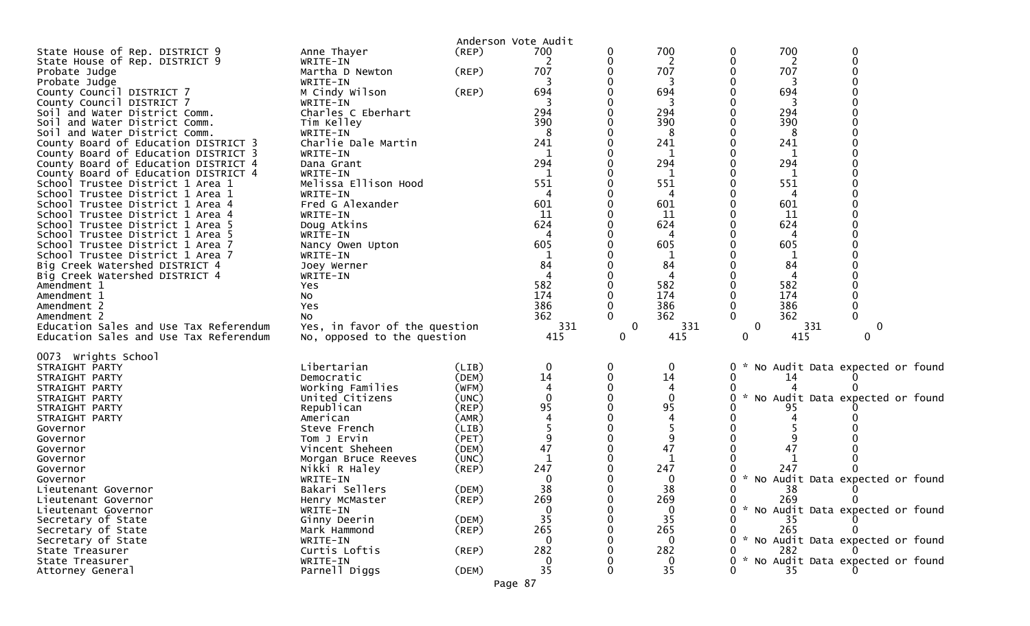|                                                                              |                                 |                | Anderson Vote Audit |        |              |                                                   |
|------------------------------------------------------------------------------|---------------------------------|----------------|---------------------|--------|--------------|---------------------------------------------------|
| State House of Rep. DISTRICT 9                                               | Anne Thayer                     | $($ REP $)$    | 700                 | 0      | 700          | 700<br>0<br>0                                     |
| State House of Rep. DISTRICT 9                                               | WRITE-IN                        |                | 2                   | 0      | 2            | 2                                                 |
| Probate Judge                                                                | Martha D Newton                 | (REP)          | 707                 |        | 707          | 707                                               |
| Probate Judge                                                                | WRITE-IN                        |                |                     |        | 3            | 3                                                 |
| County Council DISTRICT 7                                                    | M Cindy Wilson                  | (REP)          | 694                 |        | 694          | 694                                               |
| County Council DISTRICT 7                                                    | WRITE-IN                        |                |                     |        |              | 3                                                 |
| Soil and Water District Comm.                                                | Charles C Eberhart              |                | 294                 |        | 294          | 294                                               |
| Soil and Water District Comm.                                                | Tim Kelley                      |                | 390                 |        | 390          | 390                                               |
| Soil and Water District Comm.                                                | WRITE-IN                        |                | 8                   |        | 8            | 8                                                 |
| County Board of Education DISTRICT 3<br>County Board of Education DISTRICT 3 | Charlie Dale Martin<br>WRITE-IN |                | 241<br>1            |        | 241<br>1     | 241<br>1                                          |
| County Board of Education DISTRICT 4                                         | Dana Grant                      |                | 294                 |        | 294          | 294                                               |
| County Board of Education DISTRICT 4                                         | WRITE-IN                        |                |                     |        |              |                                                   |
| School Trustee District 1 Area 1                                             | Melissa Ellison Hood            |                | 551                 |        | 551          | 551                                               |
| School Trustee District 1 Area 1                                             | WRITE-IN                        |                | 4                   |        | 4            | 4                                                 |
| School Trustee District 1 Area 4                                             | Fred G Alexander                |                | 601                 |        | 601          | 601                                               |
| School Trustee District 1 Area 4                                             | WRITE-IN                        |                | 11                  |        | 11           | 11                                                |
| School Trustee District 1 Area 5                                             | Doug Atkins                     |                | 624                 |        | 624          | 624                                               |
| School Trustee District 1 Area 5                                             | WRITE-IN                        |                |                     |        | Δ            |                                                   |
| School Trustee District 1 Area 7                                             | Nancy Owen Upton                |                | 605                 |        | 605          | 605                                               |
| School Trustee District 1 Area 7                                             | WRITE-IN                        |                | 84                  |        | 1<br>84      |                                                   |
| Big Creek Watershed DISTRICT 4<br>Big Creek Watershed DISTRICT 4             | Joey Werner<br>WRITE-IN         |                | 4                   |        | 4            | 84<br>4                                           |
| Amendment 1                                                                  | Yes                             |                | 582                 |        | 582          | 582                                               |
| Amendment 1                                                                  | NO.                             |                | 174                 |        | 174          | 174                                               |
| Amendment 2                                                                  | Yes                             |                | 386                 |        | 386          | 386<br>0<br>0                                     |
| Amendment 2                                                                  | NO.                             |                | 362                 |        | 362          | $\Omega$<br>$\Omega$<br>362                       |
| Education Sales and Use Tax Referendum                                       | Yes, in favor of the question   |                | 331                 | 0      | 331          | 331<br>0<br>0                                     |
| Education Sales and Use Tax Referendum                                       | No, opposed to the question     |                | 415                 | 0      | 415          | 0<br>415<br>0                                     |
|                                                                              |                                 |                |                     |        |              |                                                   |
| 0073 Wrights School                                                          |                                 |                |                     |        |              |                                                   |
| STRAIGHT PARTY<br>STRAIGHT PARTY                                             | Libertarian<br>Democratic       | (LIB)<br>(DEM) | $\mathbf 0$<br>14   | 0<br>0 | 0<br>14      | No Audit Data expected or found<br>0<br>0<br>14   |
| STRAIGHT PARTY                                                               | Working Families                | (WFM)          | 4                   |        | 4            |                                                   |
| STRAIGHT PARTY                                                               | United Citizens                 | (UNC)          |                     |        | 0            | 0<br>* No Audit Data expected or found            |
| STRAIGHT PARTY                                                               | Republican                      | (REP)          | 95                  |        | 95           | 95                                                |
| STRAIGHT PARTY                                                               | American                        | (AMR)          |                     |        | 4            |                                                   |
| Governor                                                                     | Steve French                    | (LIB)          |                     |        |              |                                                   |
| Governor                                                                     | Tom J Ervin                     | (PET)          | 9                   |        | 9            |                                                   |
| Governor                                                                     | Vincent Sheheen                 | (DEM)          | 47                  |        | 47           | 47                                                |
| Governor                                                                     | Morgan Bruce Reeves             | (UNC)          |                     |        | $\mathbf{1}$ |                                                   |
| Governor                                                                     | Nikki R Haley                   | (REP)          | 247                 |        | 247          | 247                                               |
| Governor                                                                     | WRITE-IN<br>Bakari Sellers      | (DEM)          | 0<br>38             |        | 0<br>38      | * No Audit Data expected or found<br>0<br>0<br>38 |
| Lieutenant Governor<br>Lieutenant Governor                                   | Henry McMaster                  | $($ REP $)$    | 269                 | 0      | 269          | 269<br>$\mathbf{0}$<br>0                          |
| Lieutenant Governor                                                          | WRITE-IN                        |                | $\mathbf 0$         |        | 0            | * No Audit Data expected or found                 |
| Secretary of State                                                           | Ginny Deerin                    | (DEM)          | 35                  |        | 35           | 35                                                |
| Secretary of State                                                           | Mark Hammond                    | $($ REP $)$    | 265                 |        | 265          | 265                                               |
| Secretary of State                                                           | WRITE-IN                        |                | 0                   |        | $\Omega$     | * No Audit Data expected or found<br>0            |
| State Treasurer                                                              | Curtis Loftis                   | $($ REP $)$    | 282                 |        | 282          | 282                                               |
| State Treasurer                                                              | WRITE-IN                        |                |                     |        | $\Omega$     | * No Audit Data expected or found<br>O            |
| Attorney General                                                             | Parnell Diggs                   | (DEM)          | 35                  | O      | 35           | 35                                                |
|                                                                              |                                 |                | Page 87             |        |              |                                                   |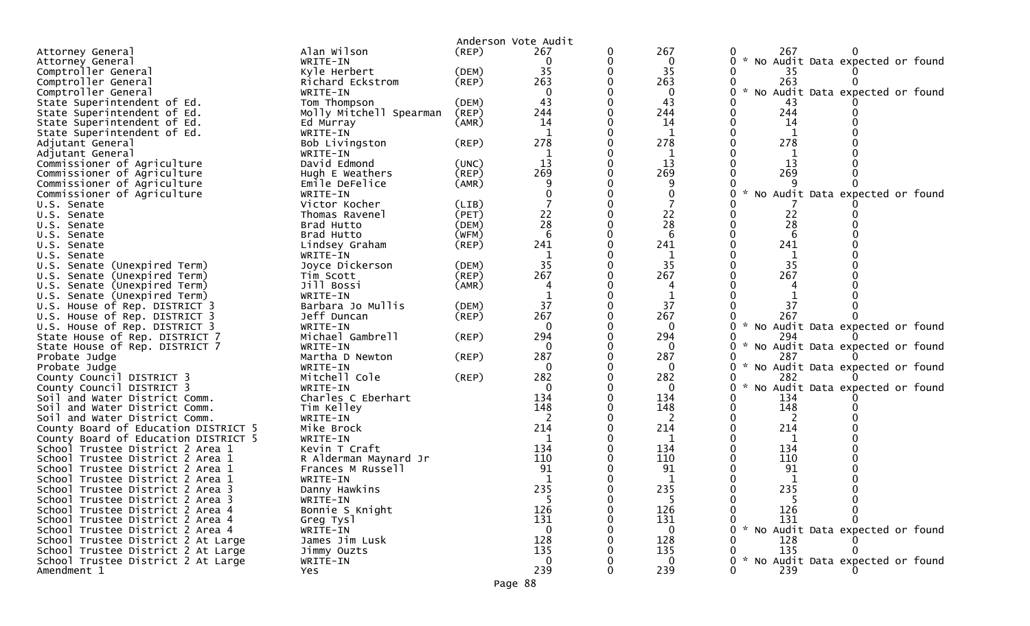|                                      |                         |             | Anderson Vote Audit |   |              |                                                       |
|--------------------------------------|-------------------------|-------------|---------------------|---|--------------|-------------------------------------------------------|
| Attorney General                     | Alan Wilson             | (REP)       | 267                 | 0 | 267          | 267<br>0                                              |
| Attorney General                     | WRITE-IN                |             | 0                   | 0 | 0            | No Audit Data expected or found<br>0<br><b>*</b>      |
| Comptroller General                  | Kyle Herbert            | (DEM)       | 35                  |   | 35           | 35                                                    |
| Comptroller General                  | Richard Eckstrom        | (REP)       | 263                 |   | 263          | 263                                                   |
| Comptroller General                  | WRITE-IN                |             | 0                   |   | 0            | $\mathcal{H}$<br>No Audit Data expected or found<br>0 |
| State Superintendent of Ed.          | Tom Thompson            | (DEM)       | 43                  |   | 43           | 43                                                    |
| State Superintendent of Ed.          | Molly Mitchell Spearman | (REP)       | 244                 |   | 244          | 244                                                   |
| State Superintendent of Ed.          | Ed Murray               | (AMR)       | 14                  |   | 14           | 14                                                    |
| State Superintendent of Ed.          | WRITE-IN                |             |                     |   | 1            |                                                       |
| Adjutant General                     | Bob Livingston          | (REP)       | 278                 |   | 278          | 278                                                   |
| Adjutant General                     | WRITE-IN                |             |                     |   | 1            |                                                       |
| Commissioner of Agriculture          | David Edmond            | (UNC)       | 13                  |   | 13           | 13                                                    |
| Commissioner of Agriculture          | Hugh E Weathers         | (REP)       | 269                 |   | 269          | 269                                                   |
| Commissioner of Agriculture          | Emile DeFelice          | (AMR)       |                     |   | 9            |                                                       |
| Commissioner of Agriculture          | WRITE-IN                |             |                     |   | 0            | No Audit Data expected or found                       |
| U.S. Senate                          | Victor Kocher           | (LIB)       |                     |   |              |                                                       |
| U.S. Senate                          | Thomas Ravenel          | (PET)       | 22                  |   | 22           | 22                                                    |
| U.S. Senate                          | Brad Hutto              | (DEM)       | 28                  |   | 28           | 28                                                    |
| U.S. Senate                          | Brad Hutto              | (WFM)       | 6                   | 0 | 6            | 6                                                     |
| U.S. Senate                          | Lindsey Graham          | $($ REP $)$ | 241                 |   | 241          | 241                                                   |
| U.S. Senate                          | WRITE-IN                |             |                     |   |              |                                                       |
| U.S. Senate (Unexpired Term)         | Joyce Dickerson         | (DEM)       | 35                  |   | 35           | 35                                                    |
| U.S. Senate (Unexpired Term)         | Tim Scott               | (REP)       | 267                 |   | 267          | 267                                                   |
| U.S. Senate (Unexpired Term)         | Jill Bossi              | (AMR)       |                     |   |              |                                                       |
| U.S. Senate (Unexpired Term)         | WRITE-IN                |             |                     |   |              |                                                       |
| U.S. House of Rep. DISTRICT 3        | Barbara Jo Mullis       | (DEM)       | 37                  |   | 37           | 37                                                    |
| U.S. House of Rep. DISTRICT 3        | Jeff Duncan             | $($ REP $)$ | 267                 | 0 | 267          | 267                                                   |
| U.S. House of Rep. DISTRICT 3        | WRITE-IN                |             | 0                   |   | $\mathbf{0}$ | * No Audit Data expected or found<br>0                |
| State House of Rep. DISTRICT 7       | Michael Gambrell        | $($ REP $)$ | 294                 |   | 294          | 294                                                   |
| State House of Rep. DISTRICT 7       | WRITE-IN                |             | 0                   |   | 0            | $\mathcal{H}$<br>No Audit Data expected or found<br>0 |
| Probate Judge                        | Martha D Newton         | (REP)       | 287                 |   | 287          | 287                                                   |
| Probate Judge                        | WRITE-IN                |             | $\Omega$            |   | $\Omega$     | $\mathcal{H}$<br>No Audit Data expected or found      |
| County Council DISTRICT 3            | Mitchell Cole           | $($ REP $)$ | 282                 |   | 282          | 282                                                   |
| County Council DISTRICT 3            | WRITE-IN                |             | $\bf{0}$            |   | $\mathbf{0}$ | No Audit Data expected or found                       |
| Soil and Water District Comm.        | Charles C Eberhart      |             | 134                 |   | 134          | 134                                                   |
| Soil and Water District Comm.        | Tim Kelley              |             | 148                 |   | 148          | 148<br>0                                              |
| Soil and Water District Comm.        | WRITE-IN                |             | 2                   |   | 2            | 2                                                     |
| County Board of Education DISTRICT 5 | Mike Brock              |             | 214                 |   | 214          | 214                                                   |
| County Board of Education DISTRICT 5 | WRITE-IN                |             | -1                  |   | 1            | 1                                                     |
| School Trustee District 2 Area 1     | Kevin T Craft           |             | 134                 |   | 134          | 134                                                   |
| School Trustee District 2 Area 1     | R Alderman Maynard Jr   |             | 110                 |   | 110          | 110                                                   |
| School Trustee District 2 Area 1     | Frances M Russell       |             | 91                  |   | 91           | 91                                                    |
| School Trustee District 2 Area 1     | WRITE-IN                |             | -1                  |   | 1            | 1                                                     |
| School Trustee District 2 Area 3     | Danny Hawkins           |             | 235                 |   | 235          | 235                                                   |
| School Trustee District 2 Area 3     | WRITE-IN                |             | -5                  |   | 5.           | 0<br>5                                                |
| School Trustee District 2 Area 4     | Bonnie S Knight         |             | 126                 |   | 126          | 126<br>0                                              |
| School Trustee District 2 Area 4     | Greg Tysl               |             | 131                 |   | 131          | 131                                                   |
| School Trustee District 2 Area 4     | WRITE-IN                |             | 0                   |   | $\Omega$     | * No Audit Data expected or found                     |
| School Trustee District 2 At Large   | James Jim Lusk          |             | 128                 |   | 128          | 128                                                   |
| School Trustee District 2 At Large   | Jimmy Ouzts             |             | 135                 |   | 135          | 135                                                   |
| School Trustee District 2 At Large   | WRITE-IN                |             | $\Omega$            |   | $\Omega$     | * No Audit Data expected or found                     |
| Amendment 1                          | Yes.                    |             | 239                 |   | 239          | 239<br>0                                              |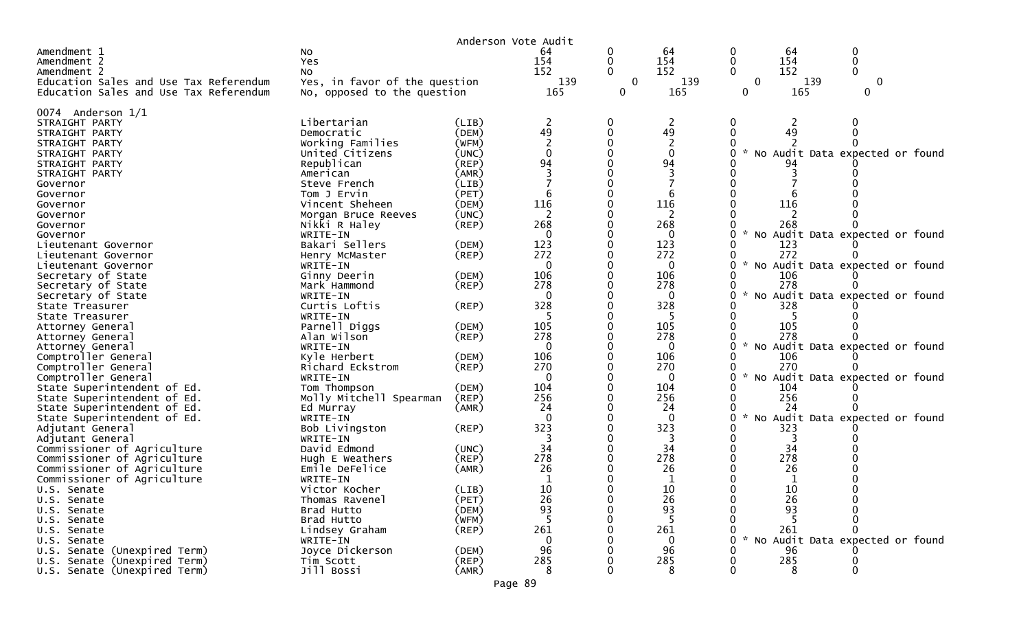|                                         |                               | Anderson Vote Audit |                |              |                |              |            |                                 |  |
|-----------------------------------------|-------------------------------|---------------------|----------------|--------------|----------------|--------------|------------|---------------------------------|--|
| Amendment 1                             | No                            |                     | 64             | 0            | 64             |              | 64         | 0                               |  |
| Amendment 2                             | Yes                           |                     | 154            | 0            | 154            |              | 154        | 0                               |  |
| Amendment 2                             | No                            |                     | 152            | 0            | 152            |              | 152        |                                 |  |
| Education Sales and Use Tax Referendum  | Yes, in favor of the question |                     | 139            | $\mathbf{0}$ | 139            | $\mathbf{0}$ | 139        | $\mathbf 0$                     |  |
| Education Sales and Use Tax Referendum  | No, opposed to the question   |                     | 165            | 0            | 165            | 0            | 165        | 0                               |  |
| 0074 Anderson $1/1$                     |                               |                     |                |              |                |              |            |                                 |  |
| STRAIGHT PARTY                          | Libertarian                   | (LIB)               | $\overline{2}$ | 0            | $\overline{2}$ |              | 2          |                                 |  |
| STRAIGHT PARTY                          | Democratic                    | (DEM)               | 49             | $\mathbf{0}$ | 49             |              | 49         |                                 |  |
| STRAIGHT PARTY                          | Working Families              | (WFM)               |                |              |                |              |            |                                 |  |
| STRAIGHT PARTY                          | United Citizens               | (UNC)               | $\Omega$       |              | $\Omega$       |              |            | No Audit Data expected or found |  |
| STRAIGHT PARTY                          | Republican                    | (REP)               | 94             |              | 94             |              |            |                                 |  |
| STRAIGHT PARTY                          | American                      | (AMR)               |                |              |                |              |            |                                 |  |
| Governor                                | Steve French                  | (LIB)               |                |              |                |              |            |                                 |  |
| Governor                                | Tom J Ervin                   | (PET)               | 6              | 0            |                |              |            |                                 |  |
| Governor                                | Vincent Sheheen               | (DEM)               | 116            |              | 116            |              | 116        |                                 |  |
| Governor                                | Morgan Bruce Reeves           | (UNC)               | 2              |              | 2              |              |            |                                 |  |
| Governor                                | Nikki R Haley                 | (REP)               | 268            | 0            | 268            |              | 268        |                                 |  |
| Governor                                | WRITE-IN                      |                     | $\Omega$       |              | $\Omega$       |              |            | No Audit Data expected or found |  |
| Lieutenant Governor                     | Bakari Sellers                | (DEM)               | 123            |              | 123            |              | 123        |                                 |  |
| Lieutenant Governor                     | Henry McMaster                | $($ REP $)$         | 272            |              | 272            |              | 272        |                                 |  |
| Lieutenant Governor                     | WRITE-IN                      |                     | $\mathbf 0$    |              | $\mathbf 0$    |              |            | No Audit Data expected or found |  |
| Secretary of State                      | Ginny Deerin                  | (DEM)               | 106            |              | 106            |              | 106        |                                 |  |
| Secretary of State                      | Mark Hammond                  | (REP)               | 278            | 0            | 278            |              | 278        |                                 |  |
| Secretary of State                      | WRITE-IN                      |                     | $\mathbf{0}$   |              | $\mathbf{0}$   |              |            | No Audit Data expected or found |  |
| State Treasurer                         | Curtis Loftis<br>WRITE-IN     | (REP)               | 328            | 0            | 328            |              | 328        |                                 |  |
| State Treasurer                         |                               |                     |                |              |                |              |            |                                 |  |
| Attorney General                        | Parnell Diggs<br>Alan Wilson  | (DEM)<br>(REP)      | 105<br>278     |              | 105<br>278     |              | 105<br>278 |                                 |  |
| Attorney General                        | WRITE-IN                      |                     | $\Omega$       |              | $\mathbf{0}$   |              |            | No Audit Data expected or found |  |
| Attorney General<br>Comptroller General | Kyle Herbert                  | (DEM)               | 106            |              | 106            |              | 106        |                                 |  |
| Comptroller General                     | Richard Eckstrom              | $($ REP $)$         | 270            |              | 270            |              | 270        |                                 |  |
| Comptroller General                     | WRITE-IN                      |                     | $\mathbf{0}$   | 0            | $\mathbf{0}$   |              |            | No Audit Data expected or found |  |
| State Superintendent of Ed.             | Tom Thompson                  | (DEM)               | 104            |              | 104            |              | 104        |                                 |  |
| State Superintendent of Ed.             | Molly Mitchell Spearman       | (REP)               | 256            |              | 256            |              | 256        |                                 |  |
| State Superintendent of Ed.             | Ed Murray                     | (AMR)               | 24             |              | 24             |              | 24         |                                 |  |
| State Superintendent of Ed.             | WRITE-IN                      |                     | $\Omega$       |              | $\Omega$       | <b>NO</b>    |            | Audit Data expected or found    |  |
| Adjutant General                        | Bob Livingston                | (REP)               | 323            |              | 323            |              | 323        |                                 |  |
| Adjutant General                        | WRITE-IN                      |                     |                |              |                |              |            |                                 |  |
| Commissioner of Agriculture             | David Edmond                  | (UNC)               | 34             |              | 34             |              | 34         |                                 |  |
| Commissioner of Agriculture             | Hugh E Weathers               | $($ REP $)$         | 278            |              | 278            |              | 278        |                                 |  |
| Commissioner of Agriculture             | Emile DeFelice                | (AMR)               | 26             |              | 26             |              | 26         |                                 |  |
| Commissioner of Agriculture             | WRITE-IN                      |                     | -1             |              |                |              |            |                                 |  |
| U.S. Senate                             | Victor Kocher                 | (LIB)               | 10             |              | 10             |              | 10         |                                 |  |
| U.S. Senate                             | Thomas Ravenel                | (PET)               | 26             |              | 26             |              | 26         |                                 |  |
| U.S. Senate                             | Brad Hutto                    | (DEM)               | 93             |              | 93             |              | 93         |                                 |  |
| U.S. Senate                             | Brad Hutto                    | (WFM)               | -5             |              | 5              |              |            |                                 |  |
| U.S. Senate                             | Lindsey Graham                | (REP)               | 261            |              | 261            |              | 261        |                                 |  |
| U.S. Senate                             | WRITE-IN                      |                     | 0              |              | $\Omega$       |              |            | No Audit Data expected or found |  |
| U.S. Senate (Unexpired Term)            | Joyce Dickerson               | (DEM)               | 96             |              | 96             |              | 96         |                                 |  |
| U.S. Senate (Unexpired Term)            | Tim Scott                     | (REP)               | 285            |              | 285            |              | 285        |                                 |  |
| U.S. Senate (Unexpired Term)            | Jill Bossi                    | (AMR)               | 8              |              | 8              |              | 8          |                                 |  |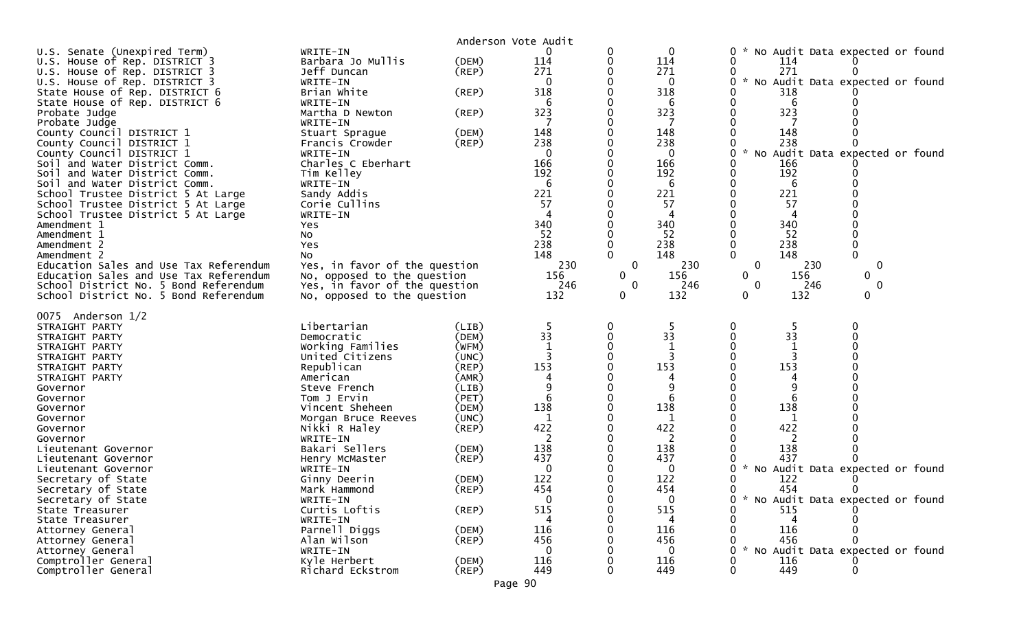| WRITE-IN<br>$\mathbf 0$<br>U.S. Senate (Unexpired Term)<br>0<br>0<br>0<br>No Audit Data expected or found<br>Barbara Jo Mullis<br>114<br>114<br>U.S. House of Rep. DISTRICT 3<br>(DEM)<br>0<br>114<br>271<br>Jeff Duncan<br>271<br>271<br>$($ REP $)$<br>U.S. House of Rep. DISTRICT 3<br>* No Audit Data expected or found<br>$\mathbf{0}$<br>U.S. House of Rep. DISTRICT 3<br>WRITE-IN<br>0<br>0<br>318<br>State House of Rep. DISTRICT 6<br>Brian White<br>318<br>318<br>(REP)<br>6<br>State House of Rep. DISTRICT 6<br>WRITE-IN<br>6<br>6<br>323<br>323<br>323<br>Martha D Newton<br>Probate Judge<br>(REP)<br>Probate Judge<br>WRITE-IN<br>148<br>148<br>148<br>(DEM)<br>County Council DISTRICT 1<br>Stuart Sprague<br>238<br>238<br>238<br>County Council DISTRICT 1<br>$($ REP $)$<br>Francis Crowder<br>County Council DISTRICT 1<br>$\mathcal{H}$<br>No Audit Data expected or found<br>WRITE-IN<br>$\Omega$<br>0<br>166<br>166<br>Charles C Eberhart<br>166<br>Soil and Water District Comm.<br>192<br>192<br>192<br>Tim Kelley<br>Soil<br>and Water District Comm.<br>Soil and Water District Comm.<br>WRITE-IN<br>6<br>6<br>6<br>221<br>221<br>221<br>School Trustee District 5 At Large<br>Sandy Addis<br>57<br>57<br>57<br>Corie Cullins<br>School Trustee District 5 At Large<br>School Trustee District 5 At Large<br>WRITE-IN<br>340<br>340<br>340<br>Amendment 1<br>Yes<br>52<br>52<br>52<br>Amendment 1<br>No<br>238<br>238<br>238<br>Amendment 2<br>Yes<br>148<br>148<br>148<br>0<br>Amendment 2<br>No<br>230<br>$\mathbf 0$<br>230<br>Yes, in favor of the question<br>$\mathbf 0$<br>230<br>$\mathbf 0$<br>Education Sales and Use Tax Referendum<br>Education Sales and Use Tax Referendum<br>No, opposed to the question<br>156<br>0<br>156<br>$\mathbf{0}$<br>156<br>$\mathbf{0}$<br>Yes, in favor of the question<br>246<br>246<br>$\mathbf 0$<br>246<br>$\mathbf{0}$<br>$\mathbf 0$<br>School District No. 5 Bond Referendum<br>132<br>132<br>132<br>0<br>$\mathbf{0}$<br>$\Omega$<br>School District No. 5 Bond Referendum<br>No, opposed to the question<br>0075 Anderson 1/2<br>Libertarian<br>-5<br>STRAIGHT PARTY<br>(LIB)<br>5<br>33<br>33<br>33<br>(DEM)<br>Democratic<br>STRAIGHT PARTY<br>Working Families<br>(WFM)<br>STRAIGHT PARTY<br>United Citizens<br>(UNC)<br>STRAIGHT PARTY<br>153<br>153<br>153<br>Republican<br>STRAIGHT PARTY<br>(REP)<br>(AMR)<br>STRAIGHT PARTY<br>American<br>9<br>9<br>(LIB)<br>Governor<br>Steve French<br>(PET)<br>6<br>Tom J Ervin<br>Governor<br>138<br>138<br>138<br>Vincent Sheheen<br>(DEM)<br>Governor<br>(UNC)<br>1<br>1<br>1<br>Governor<br>Morgan Bruce Reeves<br>422<br>422<br>422<br>Nikki R Haley<br>(REP)<br>Governor<br>2<br>2<br>2<br>WRITE-IN<br>Governor<br>138<br>Bakari Sellers<br>138<br>138<br>(DEM)<br>Lieutenant Governor<br>437<br>437<br>437<br>(REP)<br>Lieutenant Governor<br>Henry McMaster<br>$\mathbf 0$<br>W.<br>No Audit Data expected or found<br>0<br>WRITE-IN<br>Lieutenant Governor<br>122<br>122<br>122<br>Secretary of State<br>Ginny Deerin<br>(DEM)<br>454<br>454<br>454<br>(REP)<br>Secretary of State<br>Mark Hammond<br>$\mathbf 0$<br>$\mathbf 0$<br>* No Audit Data expected or found<br>Secretary of State<br>WRITE-IN<br>515<br>515<br>Curtis Loftis<br>$($ REP $)$<br>515<br>State Treasurer<br>State Treasurer<br>WRITE-IN<br>4<br>116<br>116<br>Parnell Diggs<br>(DEM)<br>116<br>Attorney General<br>456<br>Alan Wilson<br>$($ REP $)$<br>456<br>456<br>Attorney General<br>* No Audit Data expected or found<br>WRITE-IN<br>$\Omega$<br>$\Omega$<br>Attorney General<br>116<br>116<br>Comptroller General<br>Kyle Herbert<br>(DEM)<br>116<br>449<br>$($ REP $)$<br>449<br>Comptroller General<br>Richard Eckstrom<br>449 |  | Anderson Vote Audit |  |  |
|----------------------------------------------------------------------------------------------------------------------------------------------------------------------------------------------------------------------------------------------------------------------------------------------------------------------------------------------------------------------------------------------------------------------------------------------------------------------------------------------------------------------------------------------------------------------------------------------------------------------------------------------------------------------------------------------------------------------------------------------------------------------------------------------------------------------------------------------------------------------------------------------------------------------------------------------------------------------------------------------------------------------------------------------------------------------------------------------------------------------------------------------------------------------------------------------------------------------------------------------------------------------------------------------------------------------------------------------------------------------------------------------------------------------------------------------------------------------------------------------------------------------------------------------------------------------------------------------------------------------------------------------------------------------------------------------------------------------------------------------------------------------------------------------------------------------------------------------------------------------------------------------------------------------------------------------------------------------------------------------------------------------------------------------------------------------------------------------------------------------------------------------------------------------------------------------------------------------------------------------------------------------------------------------------------------------------------------------------------------------------------------------------------------------------------------------------------------------------------------------------------------------------------------------------------------------------------------------------------------------------------------------------------------------------------------------------------------------------------------------------------------------------------------------------------------------------------------------------------------------------------------------------------------------------------------------------------------------------------------------------------------------------------------------------------------------------------------------------------------------------------------------------------------------------------------------------------------------------------------------------------------------------------------------------------------------------------------------------------------------------------------------------------------------------------------------------------------------------------------------------------------------------------------------------------------------------------------------------------------------------------------------------------------------------------------------------------------------------------------------------|--|---------------------|--|--|
|                                                                                                                                                                                                                                                                                                                                                                                                                                                                                                                                                                                                                                                                                                                                                                                                                                                                                                                                                                                                                                                                                                                                                                                                                                                                                                                                                                                                                                                                                                                                                                                                                                                                                                                                                                                                                                                                                                                                                                                                                                                                                                                                                                                                                                                                                                                                                                                                                                                                                                                                                                                                                                                                                                                                                                                                                                                                                                                                                                                                                                                                                                                                                                                                                                                                                                                                                                                                                                                                                                                                                                                                                                                                                                                                                    |  |                     |  |  |
|                                                                                                                                                                                                                                                                                                                                                                                                                                                                                                                                                                                                                                                                                                                                                                                                                                                                                                                                                                                                                                                                                                                                                                                                                                                                                                                                                                                                                                                                                                                                                                                                                                                                                                                                                                                                                                                                                                                                                                                                                                                                                                                                                                                                                                                                                                                                                                                                                                                                                                                                                                                                                                                                                                                                                                                                                                                                                                                                                                                                                                                                                                                                                                                                                                                                                                                                                                                                                                                                                                                                                                                                                                                                                                                                                    |  |                     |  |  |
|                                                                                                                                                                                                                                                                                                                                                                                                                                                                                                                                                                                                                                                                                                                                                                                                                                                                                                                                                                                                                                                                                                                                                                                                                                                                                                                                                                                                                                                                                                                                                                                                                                                                                                                                                                                                                                                                                                                                                                                                                                                                                                                                                                                                                                                                                                                                                                                                                                                                                                                                                                                                                                                                                                                                                                                                                                                                                                                                                                                                                                                                                                                                                                                                                                                                                                                                                                                                                                                                                                                                                                                                                                                                                                                                                    |  |                     |  |  |
|                                                                                                                                                                                                                                                                                                                                                                                                                                                                                                                                                                                                                                                                                                                                                                                                                                                                                                                                                                                                                                                                                                                                                                                                                                                                                                                                                                                                                                                                                                                                                                                                                                                                                                                                                                                                                                                                                                                                                                                                                                                                                                                                                                                                                                                                                                                                                                                                                                                                                                                                                                                                                                                                                                                                                                                                                                                                                                                                                                                                                                                                                                                                                                                                                                                                                                                                                                                                                                                                                                                                                                                                                                                                                                                                                    |  |                     |  |  |
|                                                                                                                                                                                                                                                                                                                                                                                                                                                                                                                                                                                                                                                                                                                                                                                                                                                                                                                                                                                                                                                                                                                                                                                                                                                                                                                                                                                                                                                                                                                                                                                                                                                                                                                                                                                                                                                                                                                                                                                                                                                                                                                                                                                                                                                                                                                                                                                                                                                                                                                                                                                                                                                                                                                                                                                                                                                                                                                                                                                                                                                                                                                                                                                                                                                                                                                                                                                                                                                                                                                                                                                                                                                                                                                                                    |  |                     |  |  |
|                                                                                                                                                                                                                                                                                                                                                                                                                                                                                                                                                                                                                                                                                                                                                                                                                                                                                                                                                                                                                                                                                                                                                                                                                                                                                                                                                                                                                                                                                                                                                                                                                                                                                                                                                                                                                                                                                                                                                                                                                                                                                                                                                                                                                                                                                                                                                                                                                                                                                                                                                                                                                                                                                                                                                                                                                                                                                                                                                                                                                                                                                                                                                                                                                                                                                                                                                                                                                                                                                                                                                                                                                                                                                                                                                    |  |                     |  |  |
|                                                                                                                                                                                                                                                                                                                                                                                                                                                                                                                                                                                                                                                                                                                                                                                                                                                                                                                                                                                                                                                                                                                                                                                                                                                                                                                                                                                                                                                                                                                                                                                                                                                                                                                                                                                                                                                                                                                                                                                                                                                                                                                                                                                                                                                                                                                                                                                                                                                                                                                                                                                                                                                                                                                                                                                                                                                                                                                                                                                                                                                                                                                                                                                                                                                                                                                                                                                                                                                                                                                                                                                                                                                                                                                                                    |  |                     |  |  |
|                                                                                                                                                                                                                                                                                                                                                                                                                                                                                                                                                                                                                                                                                                                                                                                                                                                                                                                                                                                                                                                                                                                                                                                                                                                                                                                                                                                                                                                                                                                                                                                                                                                                                                                                                                                                                                                                                                                                                                                                                                                                                                                                                                                                                                                                                                                                                                                                                                                                                                                                                                                                                                                                                                                                                                                                                                                                                                                                                                                                                                                                                                                                                                                                                                                                                                                                                                                                                                                                                                                                                                                                                                                                                                                                                    |  |                     |  |  |
|                                                                                                                                                                                                                                                                                                                                                                                                                                                                                                                                                                                                                                                                                                                                                                                                                                                                                                                                                                                                                                                                                                                                                                                                                                                                                                                                                                                                                                                                                                                                                                                                                                                                                                                                                                                                                                                                                                                                                                                                                                                                                                                                                                                                                                                                                                                                                                                                                                                                                                                                                                                                                                                                                                                                                                                                                                                                                                                                                                                                                                                                                                                                                                                                                                                                                                                                                                                                                                                                                                                                                                                                                                                                                                                                                    |  |                     |  |  |
|                                                                                                                                                                                                                                                                                                                                                                                                                                                                                                                                                                                                                                                                                                                                                                                                                                                                                                                                                                                                                                                                                                                                                                                                                                                                                                                                                                                                                                                                                                                                                                                                                                                                                                                                                                                                                                                                                                                                                                                                                                                                                                                                                                                                                                                                                                                                                                                                                                                                                                                                                                                                                                                                                                                                                                                                                                                                                                                                                                                                                                                                                                                                                                                                                                                                                                                                                                                                                                                                                                                                                                                                                                                                                                                                                    |  |                     |  |  |
|                                                                                                                                                                                                                                                                                                                                                                                                                                                                                                                                                                                                                                                                                                                                                                                                                                                                                                                                                                                                                                                                                                                                                                                                                                                                                                                                                                                                                                                                                                                                                                                                                                                                                                                                                                                                                                                                                                                                                                                                                                                                                                                                                                                                                                                                                                                                                                                                                                                                                                                                                                                                                                                                                                                                                                                                                                                                                                                                                                                                                                                                                                                                                                                                                                                                                                                                                                                                                                                                                                                                                                                                                                                                                                                                                    |  |                     |  |  |
|                                                                                                                                                                                                                                                                                                                                                                                                                                                                                                                                                                                                                                                                                                                                                                                                                                                                                                                                                                                                                                                                                                                                                                                                                                                                                                                                                                                                                                                                                                                                                                                                                                                                                                                                                                                                                                                                                                                                                                                                                                                                                                                                                                                                                                                                                                                                                                                                                                                                                                                                                                                                                                                                                                                                                                                                                                                                                                                                                                                                                                                                                                                                                                                                                                                                                                                                                                                                                                                                                                                                                                                                                                                                                                                                                    |  |                     |  |  |
|                                                                                                                                                                                                                                                                                                                                                                                                                                                                                                                                                                                                                                                                                                                                                                                                                                                                                                                                                                                                                                                                                                                                                                                                                                                                                                                                                                                                                                                                                                                                                                                                                                                                                                                                                                                                                                                                                                                                                                                                                                                                                                                                                                                                                                                                                                                                                                                                                                                                                                                                                                                                                                                                                                                                                                                                                                                                                                                                                                                                                                                                                                                                                                                                                                                                                                                                                                                                                                                                                                                                                                                                                                                                                                                                                    |  |                     |  |  |
|                                                                                                                                                                                                                                                                                                                                                                                                                                                                                                                                                                                                                                                                                                                                                                                                                                                                                                                                                                                                                                                                                                                                                                                                                                                                                                                                                                                                                                                                                                                                                                                                                                                                                                                                                                                                                                                                                                                                                                                                                                                                                                                                                                                                                                                                                                                                                                                                                                                                                                                                                                                                                                                                                                                                                                                                                                                                                                                                                                                                                                                                                                                                                                                                                                                                                                                                                                                                                                                                                                                                                                                                                                                                                                                                                    |  |                     |  |  |
|                                                                                                                                                                                                                                                                                                                                                                                                                                                                                                                                                                                                                                                                                                                                                                                                                                                                                                                                                                                                                                                                                                                                                                                                                                                                                                                                                                                                                                                                                                                                                                                                                                                                                                                                                                                                                                                                                                                                                                                                                                                                                                                                                                                                                                                                                                                                                                                                                                                                                                                                                                                                                                                                                                                                                                                                                                                                                                                                                                                                                                                                                                                                                                                                                                                                                                                                                                                                                                                                                                                                                                                                                                                                                                                                                    |  |                     |  |  |
|                                                                                                                                                                                                                                                                                                                                                                                                                                                                                                                                                                                                                                                                                                                                                                                                                                                                                                                                                                                                                                                                                                                                                                                                                                                                                                                                                                                                                                                                                                                                                                                                                                                                                                                                                                                                                                                                                                                                                                                                                                                                                                                                                                                                                                                                                                                                                                                                                                                                                                                                                                                                                                                                                                                                                                                                                                                                                                                                                                                                                                                                                                                                                                                                                                                                                                                                                                                                                                                                                                                                                                                                                                                                                                                                                    |  |                     |  |  |
|                                                                                                                                                                                                                                                                                                                                                                                                                                                                                                                                                                                                                                                                                                                                                                                                                                                                                                                                                                                                                                                                                                                                                                                                                                                                                                                                                                                                                                                                                                                                                                                                                                                                                                                                                                                                                                                                                                                                                                                                                                                                                                                                                                                                                                                                                                                                                                                                                                                                                                                                                                                                                                                                                                                                                                                                                                                                                                                                                                                                                                                                                                                                                                                                                                                                                                                                                                                                                                                                                                                                                                                                                                                                                                                                                    |  |                     |  |  |
|                                                                                                                                                                                                                                                                                                                                                                                                                                                                                                                                                                                                                                                                                                                                                                                                                                                                                                                                                                                                                                                                                                                                                                                                                                                                                                                                                                                                                                                                                                                                                                                                                                                                                                                                                                                                                                                                                                                                                                                                                                                                                                                                                                                                                                                                                                                                                                                                                                                                                                                                                                                                                                                                                                                                                                                                                                                                                                                                                                                                                                                                                                                                                                                                                                                                                                                                                                                                                                                                                                                                                                                                                                                                                                                                                    |  |                     |  |  |
|                                                                                                                                                                                                                                                                                                                                                                                                                                                                                                                                                                                                                                                                                                                                                                                                                                                                                                                                                                                                                                                                                                                                                                                                                                                                                                                                                                                                                                                                                                                                                                                                                                                                                                                                                                                                                                                                                                                                                                                                                                                                                                                                                                                                                                                                                                                                                                                                                                                                                                                                                                                                                                                                                                                                                                                                                                                                                                                                                                                                                                                                                                                                                                                                                                                                                                                                                                                                                                                                                                                                                                                                                                                                                                                                                    |  |                     |  |  |
|                                                                                                                                                                                                                                                                                                                                                                                                                                                                                                                                                                                                                                                                                                                                                                                                                                                                                                                                                                                                                                                                                                                                                                                                                                                                                                                                                                                                                                                                                                                                                                                                                                                                                                                                                                                                                                                                                                                                                                                                                                                                                                                                                                                                                                                                                                                                                                                                                                                                                                                                                                                                                                                                                                                                                                                                                                                                                                                                                                                                                                                                                                                                                                                                                                                                                                                                                                                                                                                                                                                                                                                                                                                                                                                                                    |  |                     |  |  |
|                                                                                                                                                                                                                                                                                                                                                                                                                                                                                                                                                                                                                                                                                                                                                                                                                                                                                                                                                                                                                                                                                                                                                                                                                                                                                                                                                                                                                                                                                                                                                                                                                                                                                                                                                                                                                                                                                                                                                                                                                                                                                                                                                                                                                                                                                                                                                                                                                                                                                                                                                                                                                                                                                                                                                                                                                                                                                                                                                                                                                                                                                                                                                                                                                                                                                                                                                                                                                                                                                                                                                                                                                                                                                                                                                    |  |                     |  |  |
|                                                                                                                                                                                                                                                                                                                                                                                                                                                                                                                                                                                                                                                                                                                                                                                                                                                                                                                                                                                                                                                                                                                                                                                                                                                                                                                                                                                                                                                                                                                                                                                                                                                                                                                                                                                                                                                                                                                                                                                                                                                                                                                                                                                                                                                                                                                                                                                                                                                                                                                                                                                                                                                                                                                                                                                                                                                                                                                                                                                                                                                                                                                                                                                                                                                                                                                                                                                                                                                                                                                                                                                                                                                                                                                                                    |  |                     |  |  |
|                                                                                                                                                                                                                                                                                                                                                                                                                                                                                                                                                                                                                                                                                                                                                                                                                                                                                                                                                                                                                                                                                                                                                                                                                                                                                                                                                                                                                                                                                                                                                                                                                                                                                                                                                                                                                                                                                                                                                                                                                                                                                                                                                                                                                                                                                                                                                                                                                                                                                                                                                                                                                                                                                                                                                                                                                                                                                                                                                                                                                                                                                                                                                                                                                                                                                                                                                                                                                                                                                                                                                                                                                                                                                                                                                    |  |                     |  |  |
|                                                                                                                                                                                                                                                                                                                                                                                                                                                                                                                                                                                                                                                                                                                                                                                                                                                                                                                                                                                                                                                                                                                                                                                                                                                                                                                                                                                                                                                                                                                                                                                                                                                                                                                                                                                                                                                                                                                                                                                                                                                                                                                                                                                                                                                                                                                                                                                                                                                                                                                                                                                                                                                                                                                                                                                                                                                                                                                                                                                                                                                                                                                                                                                                                                                                                                                                                                                                                                                                                                                                                                                                                                                                                                                                                    |  |                     |  |  |
|                                                                                                                                                                                                                                                                                                                                                                                                                                                                                                                                                                                                                                                                                                                                                                                                                                                                                                                                                                                                                                                                                                                                                                                                                                                                                                                                                                                                                                                                                                                                                                                                                                                                                                                                                                                                                                                                                                                                                                                                                                                                                                                                                                                                                                                                                                                                                                                                                                                                                                                                                                                                                                                                                                                                                                                                                                                                                                                                                                                                                                                                                                                                                                                                                                                                                                                                                                                                                                                                                                                                                                                                                                                                                                                                                    |  |                     |  |  |
|                                                                                                                                                                                                                                                                                                                                                                                                                                                                                                                                                                                                                                                                                                                                                                                                                                                                                                                                                                                                                                                                                                                                                                                                                                                                                                                                                                                                                                                                                                                                                                                                                                                                                                                                                                                                                                                                                                                                                                                                                                                                                                                                                                                                                                                                                                                                                                                                                                                                                                                                                                                                                                                                                                                                                                                                                                                                                                                                                                                                                                                                                                                                                                                                                                                                                                                                                                                                                                                                                                                                                                                                                                                                                                                                                    |  |                     |  |  |
|                                                                                                                                                                                                                                                                                                                                                                                                                                                                                                                                                                                                                                                                                                                                                                                                                                                                                                                                                                                                                                                                                                                                                                                                                                                                                                                                                                                                                                                                                                                                                                                                                                                                                                                                                                                                                                                                                                                                                                                                                                                                                                                                                                                                                                                                                                                                                                                                                                                                                                                                                                                                                                                                                                                                                                                                                                                                                                                                                                                                                                                                                                                                                                                                                                                                                                                                                                                                                                                                                                                                                                                                                                                                                                                                                    |  |                     |  |  |
|                                                                                                                                                                                                                                                                                                                                                                                                                                                                                                                                                                                                                                                                                                                                                                                                                                                                                                                                                                                                                                                                                                                                                                                                                                                                                                                                                                                                                                                                                                                                                                                                                                                                                                                                                                                                                                                                                                                                                                                                                                                                                                                                                                                                                                                                                                                                                                                                                                                                                                                                                                                                                                                                                                                                                                                                                                                                                                                                                                                                                                                                                                                                                                                                                                                                                                                                                                                                                                                                                                                                                                                                                                                                                                                                                    |  |                     |  |  |
|                                                                                                                                                                                                                                                                                                                                                                                                                                                                                                                                                                                                                                                                                                                                                                                                                                                                                                                                                                                                                                                                                                                                                                                                                                                                                                                                                                                                                                                                                                                                                                                                                                                                                                                                                                                                                                                                                                                                                                                                                                                                                                                                                                                                                                                                                                                                                                                                                                                                                                                                                                                                                                                                                                                                                                                                                                                                                                                                                                                                                                                                                                                                                                                                                                                                                                                                                                                                                                                                                                                                                                                                                                                                                                                                                    |  |                     |  |  |
|                                                                                                                                                                                                                                                                                                                                                                                                                                                                                                                                                                                                                                                                                                                                                                                                                                                                                                                                                                                                                                                                                                                                                                                                                                                                                                                                                                                                                                                                                                                                                                                                                                                                                                                                                                                                                                                                                                                                                                                                                                                                                                                                                                                                                                                                                                                                                                                                                                                                                                                                                                                                                                                                                                                                                                                                                                                                                                                                                                                                                                                                                                                                                                                                                                                                                                                                                                                                                                                                                                                                                                                                                                                                                                                                                    |  |                     |  |  |
|                                                                                                                                                                                                                                                                                                                                                                                                                                                                                                                                                                                                                                                                                                                                                                                                                                                                                                                                                                                                                                                                                                                                                                                                                                                                                                                                                                                                                                                                                                                                                                                                                                                                                                                                                                                                                                                                                                                                                                                                                                                                                                                                                                                                                                                                                                                                                                                                                                                                                                                                                                                                                                                                                                                                                                                                                                                                                                                                                                                                                                                                                                                                                                                                                                                                                                                                                                                                                                                                                                                                                                                                                                                                                                                                                    |  |                     |  |  |
|                                                                                                                                                                                                                                                                                                                                                                                                                                                                                                                                                                                                                                                                                                                                                                                                                                                                                                                                                                                                                                                                                                                                                                                                                                                                                                                                                                                                                                                                                                                                                                                                                                                                                                                                                                                                                                                                                                                                                                                                                                                                                                                                                                                                                                                                                                                                                                                                                                                                                                                                                                                                                                                                                                                                                                                                                                                                                                                                                                                                                                                                                                                                                                                                                                                                                                                                                                                                                                                                                                                                                                                                                                                                                                                                                    |  |                     |  |  |
|                                                                                                                                                                                                                                                                                                                                                                                                                                                                                                                                                                                                                                                                                                                                                                                                                                                                                                                                                                                                                                                                                                                                                                                                                                                                                                                                                                                                                                                                                                                                                                                                                                                                                                                                                                                                                                                                                                                                                                                                                                                                                                                                                                                                                                                                                                                                                                                                                                                                                                                                                                                                                                                                                                                                                                                                                                                                                                                                                                                                                                                                                                                                                                                                                                                                                                                                                                                                                                                                                                                                                                                                                                                                                                                                                    |  |                     |  |  |
|                                                                                                                                                                                                                                                                                                                                                                                                                                                                                                                                                                                                                                                                                                                                                                                                                                                                                                                                                                                                                                                                                                                                                                                                                                                                                                                                                                                                                                                                                                                                                                                                                                                                                                                                                                                                                                                                                                                                                                                                                                                                                                                                                                                                                                                                                                                                                                                                                                                                                                                                                                                                                                                                                                                                                                                                                                                                                                                                                                                                                                                                                                                                                                                                                                                                                                                                                                                                                                                                                                                                                                                                                                                                                                                                                    |  |                     |  |  |
|                                                                                                                                                                                                                                                                                                                                                                                                                                                                                                                                                                                                                                                                                                                                                                                                                                                                                                                                                                                                                                                                                                                                                                                                                                                                                                                                                                                                                                                                                                                                                                                                                                                                                                                                                                                                                                                                                                                                                                                                                                                                                                                                                                                                                                                                                                                                                                                                                                                                                                                                                                                                                                                                                                                                                                                                                                                                                                                                                                                                                                                                                                                                                                                                                                                                                                                                                                                                                                                                                                                                                                                                                                                                                                                                                    |  |                     |  |  |
|                                                                                                                                                                                                                                                                                                                                                                                                                                                                                                                                                                                                                                                                                                                                                                                                                                                                                                                                                                                                                                                                                                                                                                                                                                                                                                                                                                                                                                                                                                                                                                                                                                                                                                                                                                                                                                                                                                                                                                                                                                                                                                                                                                                                                                                                                                                                                                                                                                                                                                                                                                                                                                                                                                                                                                                                                                                                                                                                                                                                                                                                                                                                                                                                                                                                                                                                                                                                                                                                                                                                                                                                                                                                                                                                                    |  |                     |  |  |
|                                                                                                                                                                                                                                                                                                                                                                                                                                                                                                                                                                                                                                                                                                                                                                                                                                                                                                                                                                                                                                                                                                                                                                                                                                                                                                                                                                                                                                                                                                                                                                                                                                                                                                                                                                                                                                                                                                                                                                                                                                                                                                                                                                                                                                                                                                                                                                                                                                                                                                                                                                                                                                                                                                                                                                                                                                                                                                                                                                                                                                                                                                                                                                                                                                                                                                                                                                                                                                                                                                                                                                                                                                                                                                                                                    |  |                     |  |  |
|                                                                                                                                                                                                                                                                                                                                                                                                                                                                                                                                                                                                                                                                                                                                                                                                                                                                                                                                                                                                                                                                                                                                                                                                                                                                                                                                                                                                                                                                                                                                                                                                                                                                                                                                                                                                                                                                                                                                                                                                                                                                                                                                                                                                                                                                                                                                                                                                                                                                                                                                                                                                                                                                                                                                                                                                                                                                                                                                                                                                                                                                                                                                                                                                                                                                                                                                                                                                                                                                                                                                                                                                                                                                                                                                                    |  |                     |  |  |
|                                                                                                                                                                                                                                                                                                                                                                                                                                                                                                                                                                                                                                                                                                                                                                                                                                                                                                                                                                                                                                                                                                                                                                                                                                                                                                                                                                                                                                                                                                                                                                                                                                                                                                                                                                                                                                                                                                                                                                                                                                                                                                                                                                                                                                                                                                                                                                                                                                                                                                                                                                                                                                                                                                                                                                                                                                                                                                                                                                                                                                                                                                                                                                                                                                                                                                                                                                                                                                                                                                                                                                                                                                                                                                                                                    |  |                     |  |  |
|                                                                                                                                                                                                                                                                                                                                                                                                                                                                                                                                                                                                                                                                                                                                                                                                                                                                                                                                                                                                                                                                                                                                                                                                                                                                                                                                                                                                                                                                                                                                                                                                                                                                                                                                                                                                                                                                                                                                                                                                                                                                                                                                                                                                                                                                                                                                                                                                                                                                                                                                                                                                                                                                                                                                                                                                                                                                                                                                                                                                                                                                                                                                                                                                                                                                                                                                                                                                                                                                                                                                                                                                                                                                                                                                                    |  |                     |  |  |
|                                                                                                                                                                                                                                                                                                                                                                                                                                                                                                                                                                                                                                                                                                                                                                                                                                                                                                                                                                                                                                                                                                                                                                                                                                                                                                                                                                                                                                                                                                                                                                                                                                                                                                                                                                                                                                                                                                                                                                                                                                                                                                                                                                                                                                                                                                                                                                                                                                                                                                                                                                                                                                                                                                                                                                                                                                                                                                                                                                                                                                                                                                                                                                                                                                                                                                                                                                                                                                                                                                                                                                                                                                                                                                                                                    |  |                     |  |  |
|                                                                                                                                                                                                                                                                                                                                                                                                                                                                                                                                                                                                                                                                                                                                                                                                                                                                                                                                                                                                                                                                                                                                                                                                                                                                                                                                                                                                                                                                                                                                                                                                                                                                                                                                                                                                                                                                                                                                                                                                                                                                                                                                                                                                                                                                                                                                                                                                                                                                                                                                                                                                                                                                                                                                                                                                                                                                                                                                                                                                                                                                                                                                                                                                                                                                                                                                                                                                                                                                                                                                                                                                                                                                                                                                                    |  |                     |  |  |
|                                                                                                                                                                                                                                                                                                                                                                                                                                                                                                                                                                                                                                                                                                                                                                                                                                                                                                                                                                                                                                                                                                                                                                                                                                                                                                                                                                                                                                                                                                                                                                                                                                                                                                                                                                                                                                                                                                                                                                                                                                                                                                                                                                                                                                                                                                                                                                                                                                                                                                                                                                                                                                                                                                                                                                                                                                                                                                                                                                                                                                                                                                                                                                                                                                                                                                                                                                                                                                                                                                                                                                                                                                                                                                                                                    |  |                     |  |  |
|                                                                                                                                                                                                                                                                                                                                                                                                                                                                                                                                                                                                                                                                                                                                                                                                                                                                                                                                                                                                                                                                                                                                                                                                                                                                                                                                                                                                                                                                                                                                                                                                                                                                                                                                                                                                                                                                                                                                                                                                                                                                                                                                                                                                                                                                                                                                                                                                                                                                                                                                                                                                                                                                                                                                                                                                                                                                                                                                                                                                                                                                                                                                                                                                                                                                                                                                                                                                                                                                                                                                                                                                                                                                                                                                                    |  |                     |  |  |
|                                                                                                                                                                                                                                                                                                                                                                                                                                                                                                                                                                                                                                                                                                                                                                                                                                                                                                                                                                                                                                                                                                                                                                                                                                                                                                                                                                                                                                                                                                                                                                                                                                                                                                                                                                                                                                                                                                                                                                                                                                                                                                                                                                                                                                                                                                                                                                                                                                                                                                                                                                                                                                                                                                                                                                                                                                                                                                                                                                                                                                                                                                                                                                                                                                                                                                                                                                                                                                                                                                                                                                                                                                                                                                                                                    |  |                     |  |  |
|                                                                                                                                                                                                                                                                                                                                                                                                                                                                                                                                                                                                                                                                                                                                                                                                                                                                                                                                                                                                                                                                                                                                                                                                                                                                                                                                                                                                                                                                                                                                                                                                                                                                                                                                                                                                                                                                                                                                                                                                                                                                                                                                                                                                                                                                                                                                                                                                                                                                                                                                                                                                                                                                                                                                                                                                                                                                                                                                                                                                                                                                                                                                                                                                                                                                                                                                                                                                                                                                                                                                                                                                                                                                                                                                                    |  |                     |  |  |
|                                                                                                                                                                                                                                                                                                                                                                                                                                                                                                                                                                                                                                                                                                                                                                                                                                                                                                                                                                                                                                                                                                                                                                                                                                                                                                                                                                                                                                                                                                                                                                                                                                                                                                                                                                                                                                                                                                                                                                                                                                                                                                                                                                                                                                                                                                                                                                                                                                                                                                                                                                                                                                                                                                                                                                                                                                                                                                                                                                                                                                                                                                                                                                                                                                                                                                                                                                                                                                                                                                                                                                                                                                                                                                                                                    |  |                     |  |  |
|                                                                                                                                                                                                                                                                                                                                                                                                                                                                                                                                                                                                                                                                                                                                                                                                                                                                                                                                                                                                                                                                                                                                                                                                                                                                                                                                                                                                                                                                                                                                                                                                                                                                                                                                                                                                                                                                                                                                                                                                                                                                                                                                                                                                                                                                                                                                                                                                                                                                                                                                                                                                                                                                                                                                                                                                                                                                                                                                                                                                                                                                                                                                                                                                                                                                                                                                                                                                                                                                                                                                                                                                                                                                                                                                                    |  |                     |  |  |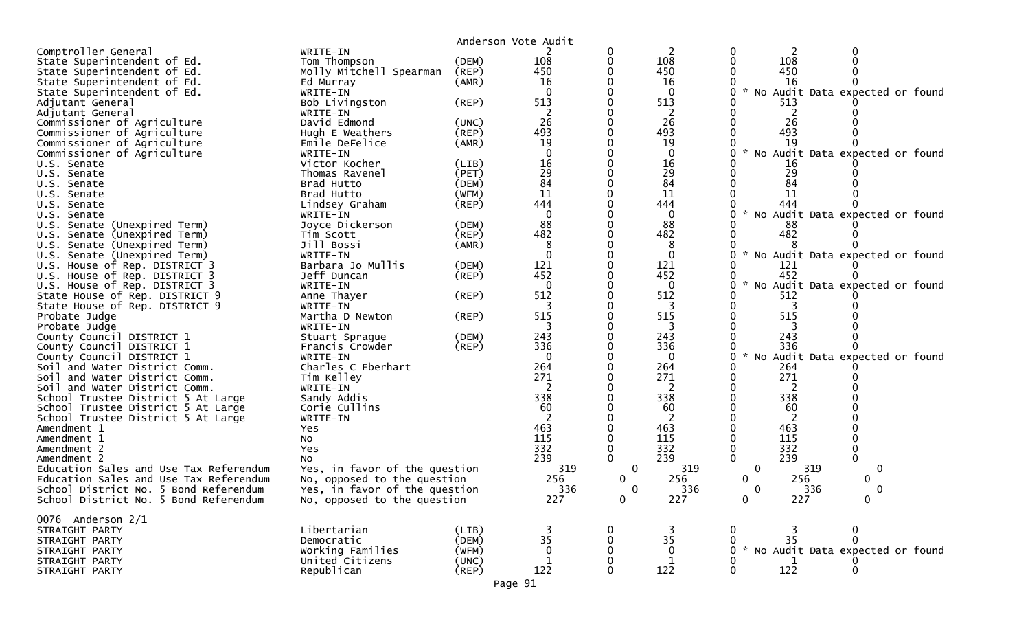|                                        |                               |                | Anderson Vote Audit |          |              |                                                       |
|----------------------------------------|-------------------------------|----------------|---------------------|----------|--------------|-------------------------------------------------------|
| Comptroller General                    | WRITE-IN                      |                |                     | 0        | 2            | 0<br>2                                                |
| State Superintendent of Ed.            | Tom Thompson                  | (DEM)          | 108                 | 0        | 108          | 0<br>108                                              |
| State Superintendent of Ed.            | Molly Mitchell Spearman       | (REP)          | 450                 |          | 450          | 450                                                   |
| State Superintendent of Ed.            | Ed Murray                     | (AMR)          | 16                  |          | 16           | 16                                                    |
| State Superintendent of Ed.            | WRITE-IN                      |                | $\Omega$            |          | $\mathbf{0}$ | 0<br>$\sim$<br>No Audit Data expected or found        |
| Adjutant General                       | Bob Livingston                | (REP)          | 513                 |          | 513          | 513                                                   |
| Adjutant General                       | WRITE-IN                      |                |                     |          | 2            |                                                       |
| Commissioner of Agriculture            | David Edmond                  | (UNC)          | 26                  |          | 26           | 26                                                    |
| Commissioner of Agriculture            | Hugh E Weathers               | (REP)          | 493                 |          | 493          | 493                                                   |
| Commissioner of Agriculture            | Emile DeFelice                | (AMR)          | 19                  |          | 19           | 19                                                    |
| Commissioner of Agriculture            | WRITE-IN                      |                | $\Omega$            |          | 0            | $\mathcal{H}$<br>o<br>No Audit Data expected or found |
| U.S. Senate                            | Victor Kocher                 | (LIB)          | 16                  |          | 16           | 16                                                    |
|                                        | Thomas Ravenel                | (PET)          | 29                  |          | 29           | 29                                                    |
| U.S. Senate                            | Brad Hutto                    |                | 84                  |          | 84           | 84                                                    |
| U.S. Senate                            |                               | (DEM)<br>(WFM) | 11                  |          | 11           | 11                                                    |
| U.S. Senate                            | Brad Hutto                    |                |                     |          |              |                                                       |
| U.S. Senate                            | Lindsey Graham                | (REP)          | 444                 |          | 444          | 444<br>$\mathcal{H}$                                  |
| U.S. Senate                            | WRITE-IN                      |                | $\Omega$            |          | 0            | No Audit Data expected or found                       |
| U.S. Senate (Unexpired Term)           | Joyce Dickerson               | (DEM)          | 88                  |          | 88           | 88                                                    |
| U.S. Senate (Unexpired Term)           | Tim Scott                     | (REP)          | 482                 |          | 482          | 482                                                   |
| Senate (Unexpired Term)<br>U.S.        | Jill Bossi                    | (AMR)          | 8                   |          | 8            |                                                       |
| U.S. Senate (Unexpired Term)           | WRITE-IN                      |                | $\Omega$            |          | $\mathbf{0}$ | No Audit Data expected or found<br>0                  |
| U.S. House of Rep. DISTRICT 3          | Barbara Jo Mullis             | (DEM)          | 121                 |          | 121          | 121                                                   |
| U.S. House of Rep. DISTRICT 3          | Jeff Duncan                   | (REP)          | 452                 |          | 452          | 452                                                   |
| U.S. House of Rep. DISTRICT 3          | WRITE-IN                      |                | $\Omega$            |          | 0            | $\sim$<br>No Audit Data expected or found<br>0        |
| State House of Rep. DISTRICT 9         | Anne Thayer                   | (REP)          | 512                 |          | 512          | 512                                                   |
| State House of Rep. DISTRICT 9         | WRITE-IN                      |                |                     |          | 3            | 3                                                     |
| Probate Judge                          | Martha D Newton               | (REP)          | 515                 |          | 515          | 515                                                   |
| Probate Judge                          | WRITE-IN                      |                |                     |          | 3            |                                                       |
| County Council DISTRICT 1              | Stuart Sprague                | (DEM)          | 243                 |          | 243          | 243                                                   |
| County Council DISTRICT 1              | Francis Crowder               | $($ REP $)$    | 336                 |          | 336          | 336                                                   |
| County Council DISTRICT 1              | WRITE-IN                      |                | $\Omega$            |          | $\mathbf{0}$ | 0<br>$\mathcal{H}$<br>No Audit Data expected or found |
| Soil and Water District Comm.          | Charles C Eberhart            |                | 264                 |          | 264          | 264                                                   |
| Soil and Water District Comm.          | Tim Kelley                    |                | 271                 |          | 271          | 271<br>0                                              |
| Soil and Water District Comm.          | WRITE-IN                      |                | 2                   |          | 2            | 2                                                     |
| School Trustee District 5 At Large     | Sandy Addis                   |                | 338                 |          | 338          | 338                                                   |
| School Trustee District 5 At Large     | Corie Cullins                 |                | 60                  |          | 60           | 60                                                    |
| School Trustee District 5 At Large     | WRITE-IN                      |                |                     |          | 2            | 2                                                     |
| Amendment 1                            | Yes                           |                | 463                 |          | 463          | 463                                                   |
| Amendment 1                            | <b>NO</b>                     |                | 115                 |          | 115          | 115                                                   |
| Amendment 2                            | Yes                           |                | 332                 |          | 332          | 332                                                   |
| Amendment 2                            | No                            |                | 239                 |          | 239          | 239                                                   |
| Education Sales and Use Tax Referendum | Yes, in favor of the question |                | 319                 | 0        | 319          | 319<br>0<br>0                                         |
| Education Sales and Use Tax Referendum | No, opposed to the question   |                | 256                 | 0        | 256          | 256<br>0<br>0                                         |
| School District No. 5 Bond Referendum  | Yes, in favor of the question |                | 336                 | $\Omega$ | 336          | 336<br>0<br>∩                                         |
| School District No. 5 Bond Referendum  | No, opposed to the question   |                | 227                 | 0        | 227          | 227<br>$\Omega$<br>0                                  |
|                                        |                               |                |                     |          |              |                                                       |
| 0076 Anderson $2/1$                    |                               |                |                     |          |              |                                                       |
| STRAIGHT PARTY                         | Libertarian                   | (LIB)          |                     |          |              | $\mathbf 0$<br>0                                      |
| STRAIGHT PARTY                         | Democratic                    | (DEM)          | 35                  |          | 35           | 35<br>$\mathbf 0$                                     |
| STRAIGHT PARTY                         | Working Families              | (WFM)          |                     |          | 0            | * No Audit Data expected or found                     |
| STRAIGHT PARTY                         | United Citizens               | (UNC)          |                     |          |              |                                                       |
| STRAIGHT PARTY                         | Republican                    | $($ REP $)$    | 122                 |          | 122          | 122<br>$\Omega$                                       |
|                                        |                               |                |                     |          |              |                                                       |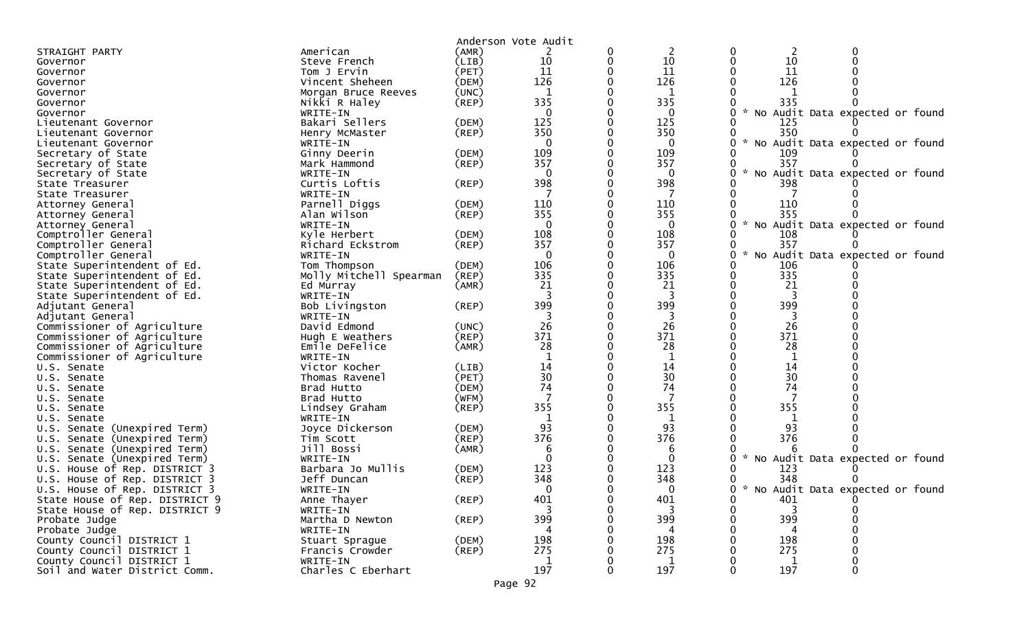|                                                                   |                         |                | Anderson Vote Audit |   |              |             |               |                                   |
|-------------------------------------------------------------------|-------------------------|----------------|---------------------|---|--------------|-------------|---------------|-----------------------------------|
| STRAIGHT PARTY                                                    | American                | (AMR)          |                     | 0 | 2            |             | 2             |                                   |
| Governor                                                          | Steve French            | (LIB)          | 10                  | 0 | 10           |             | 10            |                                   |
| Governor                                                          | Tom J Ervin             | (PET)          | 11                  | 0 | 11           |             | 11            |                                   |
| Governor                                                          | Vincent Sheheen         | (DEM)          | 126                 |   | 126          |             | 126           |                                   |
| Governor                                                          | Morgan Bruce Reeves     | (UNC)          | 1                   |   | 1            |             |               |                                   |
| Governor                                                          | Nikki R Haley           | (REP)          | 335                 |   | 335          |             | 335           |                                   |
| Governor                                                          | WRITE-IN                |                | $\mathbf{0}$        |   | $\mathbf{0}$ |             |               | * No Audit Data expected or found |
| Lieutenant Governor                                               | Bakari Sellers          | (DEM)          | 125                 |   | 125          |             | 125           |                                   |
| Lieutenant Governor                                               | Henry McMaster          | (REP)          | 350                 |   | 350          |             | 350           |                                   |
| Lieutenant Governor                                               | WRITE-IN                |                | $\mathbf{0}$        |   | $\mathbf{0}$ |             |               | * No Audit Data expected or found |
| Secretary of State                                                | Ginny Deerin            | (DEM)          | 109                 |   | 109          |             | 109           |                                   |
| Secretary of State                                                | Mark Hammond            | (REP)          | 357                 |   | 357          |             | 357           |                                   |
| Secretary of State                                                | WRITE-IN                |                | $\Omega$            |   | 0            |             |               | No Audit Data expected or found   |
| State Treasurer                                                   | Curtis Loftis           | (REP)          | 398                 |   | 398          |             | 398           |                                   |
| State Treasurer                                                   | WRITE-IN                |                |                     |   |              |             |               |                                   |
| Attorney General                                                  | Parnell Diggs           | (DEM)          | 110                 |   | 110          |             | 110           |                                   |
| Attorney General                                                  | Alan Wilson             | (REP)          | 355                 |   | 355          |             | 355           |                                   |
| Attorney General                                                  | WRITE-IN                |                | $\mathbf{0}$        |   | $\mathbf{0}$ |             | $\mathcal{H}$ | No Audit Data expected or found   |
| Comptroller General                                               | Kyle Herbert            | (DEM)          | 108                 |   | 108          |             | 108           |                                   |
| Comptroller General                                               | Richard Eckstrom        | $($ REP $)$    | 357                 |   | 357          |             | 357           |                                   |
| Comptroller General                                               | WRITE-IN                |                | $\mathbf{0}$        |   | $\mathbf{0}$ |             | $\mathcal{R}$ | No Audit Data expected or found   |
| State Superintendent of Ed.                                       | Tom Thompson            | (DEM)          | 106                 |   | 106          |             | 106           |                                   |
| State Superintendent of Ed.                                       | Molly Mitchell Spearman | (REP)          | 335                 |   | 335          |             | 335           |                                   |
| State Superintendent of Ed.                                       | Ed Murray               | (AMR)          | 21                  |   | 21           |             | 21            |                                   |
| State Superintendent of Ed.                                       | WRITE-IN                |                |                     |   | 3            |             | 3             |                                   |
| Adjutant General                                                  | Bob Livingston          | $($ REP $)$    | 399                 |   | 399          |             | 399           |                                   |
| Adjutant General                                                  | WRITE-IN                |                |                     |   | 3            |             |               |                                   |
| Commissioner of Agriculture                                       | David Edmond            | (UNC)          | 26                  |   | 26           |             | 26            |                                   |
| Commissioner of Agriculture                                       | Hugh E Weathers         | (REP)          | 371                 |   | 371          |             | 371           |                                   |
| Commissioner of Agriculture                                       | Emile DeFelice          | (AMR)          | 28                  |   | 28           |             | 28            |                                   |
| Commissioner of Agriculture                                       | WRITE-IN                |                |                     |   | 1            |             | $\mathbf{1}$  |                                   |
| U.S. Senate                                                       | Victor Kocher           | (LIB)          | 14                  |   | 14           |             | 14            |                                   |
| U.S. Senate                                                       | Thomas Ravenel          | (PET)          | 30                  |   | 30           |             | 30            |                                   |
| U.S. Senate                                                       | Brad Hutto              | (DEM)          | 74                  |   | 74           |             | 74            |                                   |
| U.S. Senate                                                       | Brad Hutto              | (WFM)          |                     |   |              |             |               |                                   |
| U.S. Senate                                                       | Lindsey Graham          | $($ REP $)$    | 355                 |   | 355          |             | 355           |                                   |
| U.S. Senate                                                       | WRITE-IN                |                |                     |   | 1            |             |               |                                   |
| U.S. Senate (Unexpired Term)                                      | Joyce Dickerson         | (DEM)          | 93<br>376           |   | 93<br>376    |             | 93<br>376     |                                   |
| (Unexpired Term)<br>Senate<br>U.S.                                | Tim Scott               | (REP)          |                     |   |              |             |               |                                   |
| U.S.<br>Senate (Unexpired Term)                                   | Jill Bossi<br>WRITE-IN  | (AMR)          | $\Omega$            |   | 6<br>0       |             | $\mathcal{H}$ |                                   |
| Senate (Unexpired Term)<br>U.S.                                   | Barbara Jo Mullis       |                | 123                 |   | 123          |             | 123           | No Audit Data expected or found   |
| House of Rep. DISTRICT 3<br>U.S.<br>U.S. House of Rep. DISTRICT 3 | Jeff Duncan             | (DEM)<br>(REP) | 348                 |   | 348          |             | 348           |                                   |
|                                                                   |                         |                | <sup>n</sup>        |   | ∩            |             |               | * No Audit Data expected or found |
| U.S. House of Rep. DISTRICT 3<br>State House of Rep. DISTRICT 9   | WRITE-IN<br>Anne Thayer | $($ REP $)$    | 401                 | 0 | 401          | $\mathbf 0$ | 401           |                                   |
| State House of Rep. DISTRICT 9                                    | WRITE-IN                |                |                     |   | 3            |             |               |                                   |
| Probate Judge                                                     | Martha D Newton         | (REP)          | 399                 |   | 399          |             | 399           |                                   |
| Probate Judge                                                     | WRITE-IN                |                | 4                   |   | 4            |             | 4             |                                   |
| County Council DISTRICT 1                                         | Stuart Sprague          | (DEM)          | 198                 |   | 198          |             | 198           |                                   |
| County Council DISTRICT 1                                         | Francis Crowder         | (REP)          | 275                 |   | 275          |             | 275           |                                   |
| County Council DISTRICT 1                                         | WRITE-IN                |                | 1                   |   | 1            |             | 1             |                                   |
| Soil and Water District Comm.                                     | Charles C Eberhart      |                | 197                 |   | 197          |             | 197           |                                   |
|                                                                   |                         |                |                     |   |              |             |               |                                   |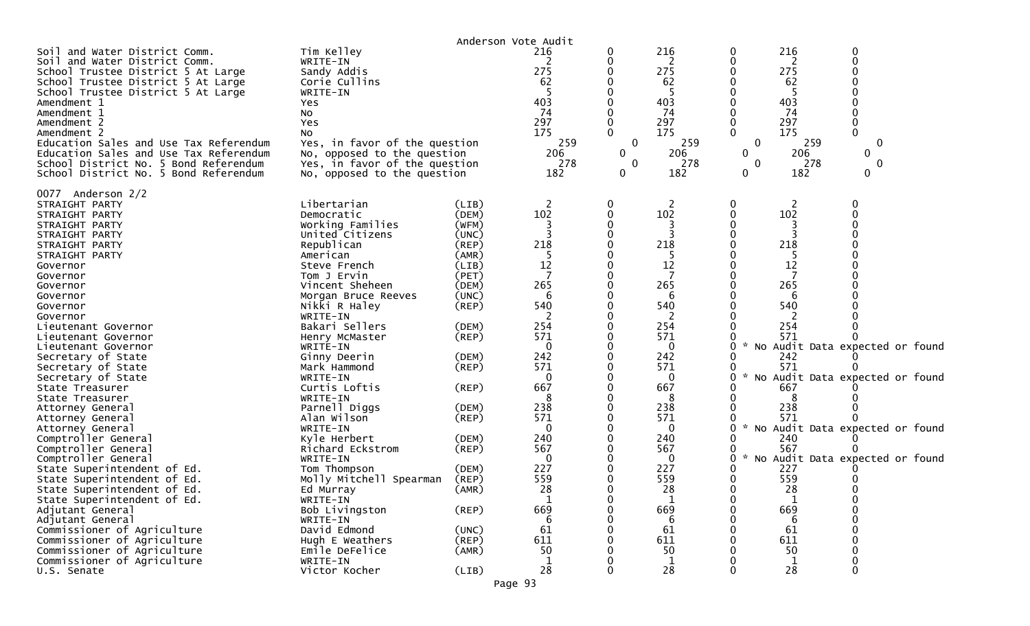|                                                                                                                                                                                                                                                                                                                                                                                    |                                                                                                                                                                                                                                                                                                                           |                                                                                                                                              | Anderson Vote Audit                                                                                    |                                  |                                                                                                                                   |                                                          |                                                                                             |                                                                         |
|------------------------------------------------------------------------------------------------------------------------------------------------------------------------------------------------------------------------------------------------------------------------------------------------------------------------------------------------------------------------------------|---------------------------------------------------------------------------------------------------------------------------------------------------------------------------------------------------------------------------------------------------------------------------------------------------------------------------|----------------------------------------------------------------------------------------------------------------------------------------------|--------------------------------------------------------------------------------------------------------|----------------------------------|-----------------------------------------------------------------------------------------------------------------------------------|----------------------------------------------------------|---------------------------------------------------------------------------------------------|-------------------------------------------------------------------------|
| Soil and Water District Comm.<br>Soil and Water District Comm.<br>School Trustee District 5 At Large<br>School Trustee District 5 At Large<br>School Trustee District 5 At Large<br>Amendment 1<br>Amendment 1<br>Amendment 2<br>Amendment 2<br>Education Sales and Use Tax Referendum<br>Education Sales and Use Tax Referendum<br>School District No. 5 Bond Referendum          | Tim Kelley<br>WRITE-IN<br>Sandy Addis<br>Corie Cullins<br>WRITE-IN<br>Yes<br>No<br>Yes<br>No<br>Yes, in favor of the question<br>No, opposed to the question<br>Yes, in favor of the question                                                                                                                             |                                                                                                                                              | 216<br>2<br>275<br>62<br>403<br>74<br>297<br>175<br>259<br>206<br>278                                  | 0<br>O<br>0<br>$\mathbf{0}$<br>0 | 216<br>2<br>275<br>62<br>-5<br>403<br>74<br>297<br>175<br>259<br>206<br>278                                                       | 0<br>0<br>0<br>$\Omega$<br>$\Omega$<br>0<br>$\mathbf{0}$ | 216<br>2<br>275<br>62<br>-5<br>403<br>74<br>297<br>175<br>259<br>206<br>278                 | $\mathbf 0$<br>$\Omega$<br>$\Omega$<br>$\mathbf{0}$<br>$\mathbf 0$<br>0 |
| School District No. 5 Bond Referendum                                                                                                                                                                                                                                                                                                                                              | No, opposed to the question                                                                                                                                                                                                                                                                                               |                                                                                                                                              | 182                                                                                                    | 0                                | 182                                                                                                                               | 0                                                        | 182                                                                                         | 0                                                                       |
| 0077 Anderson 2/2<br>STRAIGHT PARTY<br>STRAIGHT PARTY<br>STRAIGHT PARTY<br>STRAIGHT PARTY<br>STRAIGHT PARTY<br>STRAIGHT PARTY<br>Governor<br>Governor<br>Governor<br>Governor<br>Governor<br>Governor<br>Lieutenant Governor<br>Lieutenant Governor<br>Lieutenant Governor<br>Secretary of State<br>Secretary of State<br>Secretary of State<br>State Treasurer<br>State Treasurer | Libertarian<br>Democratic<br>Working Families<br>United Citizens<br>Republican<br>American<br>Steve French<br>Tom J Ervin<br>Vincent Sheheen<br>Morgan Bruce Reeves<br>Nikki R Haley<br>WRITE-IN<br>Bakari Sellers<br>Henry McMaster<br>WRITE-IN<br>Ginny Deerin<br>Mark Hammond<br>WRITE-IN<br>Curtis Loftis<br>WRITE-IN | (LIB)<br>(DEM)<br>(WFM)<br>(UNC)<br>(REP)<br>(AMR)<br>(LIB)<br>(PET)<br>(DEM)<br>(UNC)<br>(REP)<br>(DEM)<br>(REP)<br>(DEM)<br>(REP)<br>(REP) | 2<br>102<br>218<br>12<br>7<br>265<br>6<br>540<br>254<br>571<br>$\Omega$<br>242<br>571<br>0<br>667<br>8 | 0<br>0                           | 2<br>102<br>3<br>218<br>-5<br>12<br>7<br>265<br>6<br>540<br>2<br>254<br>571<br>$\mathbf{0}$<br>242<br>571<br>$\Omega$<br>667<br>8 | 0<br>0<br>0<br>0                                         | 2<br>102<br>218<br>-5<br>12<br>7<br>265<br>6<br>540<br>254<br>571<br>242<br>571<br>667<br>8 | 0<br>No Audit Data expected or found<br>No Audit Data expected or found |
| Attorney General                                                                                                                                                                                                                                                                                                                                                                   | Parnell Diggs                                                                                                                                                                                                                                                                                                             | (DEM)                                                                                                                                        | 238                                                                                                    |                                  | 238                                                                                                                               |                                                          | 238                                                                                         |                                                                         |
| Attorney General<br>Attorney General<br>Comptroller General<br>Comptroller General                                                                                                                                                                                                                                                                                                 | Alan Wilson<br>WRITE-IN<br>Kyle Herbert<br>Richard Eckstrom                                                                                                                                                                                                                                                               | (REP)<br>(DEM)<br>$($ REP $)$                                                                                                                | 571<br>$\Omega$<br>240<br>567                                                                          |                                  | 571<br>$\Omega$<br>240<br>567                                                                                                     | 0                                                        | 571<br>240<br>567                                                                           | No Audit Data expected or found                                         |
| Comptroller General<br>State Superintendent of Ed.<br>State Superintendent of Ed.<br>State Superintendent of Ed.                                                                                                                                                                                                                                                                   | WRITE-IN<br>Tom Thompson<br>Molly Mitchell Spearman<br>Ed Murray                                                                                                                                                                                                                                                          | (DEM)<br>(REP)<br>(AMR)                                                                                                                      | 0<br>227<br>559<br>28                                                                                  |                                  | 0<br>227<br>559<br>28                                                                                                             | 0<br>$\mathcal{H}$<br>0<br>0                             | 227<br>559<br>28                                                                            | No Audit Data expected or found                                         |
| State Superintendent of Ed.<br>Adjutant General<br>Adjutant General                                                                                                                                                                                                                                                                                                                | WRITE-IN<br>Bob Livingston<br>WRITE-IN                                                                                                                                                                                                                                                                                    | $($ REP $)$                                                                                                                                  | $\mathbf{1}$<br>669<br>6<br>61                                                                         | 0                                | 1<br>669<br>6<br>61                                                                                                               | 0<br>0                                                   | $\mathbf{1}$<br>669<br>6<br>61                                                              | $\Omega$                                                                |
| Commissioner of Agriculture<br>Commissioner of Agriculture                                                                                                                                                                                                                                                                                                                         | David Edmond<br>Hugh E Weathers                                                                                                                                                                                                                                                                                           | (UNC)<br>(REP)                                                                                                                               | 611                                                                                                    |                                  | 611                                                                                                                               |                                                          | 611                                                                                         |                                                                         |
| Commissioner of Agriculture                                                                                                                                                                                                                                                                                                                                                        | Emile DeFelice                                                                                                                                                                                                                                                                                                            | (AMR)                                                                                                                                        | 50                                                                                                     |                                  | 50                                                                                                                                |                                                          | 50                                                                                          |                                                                         |
| Commissioner of Agriculture<br>U.S. Senate                                                                                                                                                                                                                                                                                                                                         | WRITE-IN<br>Victor Kocher                                                                                                                                                                                                                                                                                                 | (LIB)                                                                                                                                        | 28                                                                                                     | O                                | 1<br>28                                                                                                                           | 0                                                        | 1<br>28                                                                                     | $\Omega$                                                                |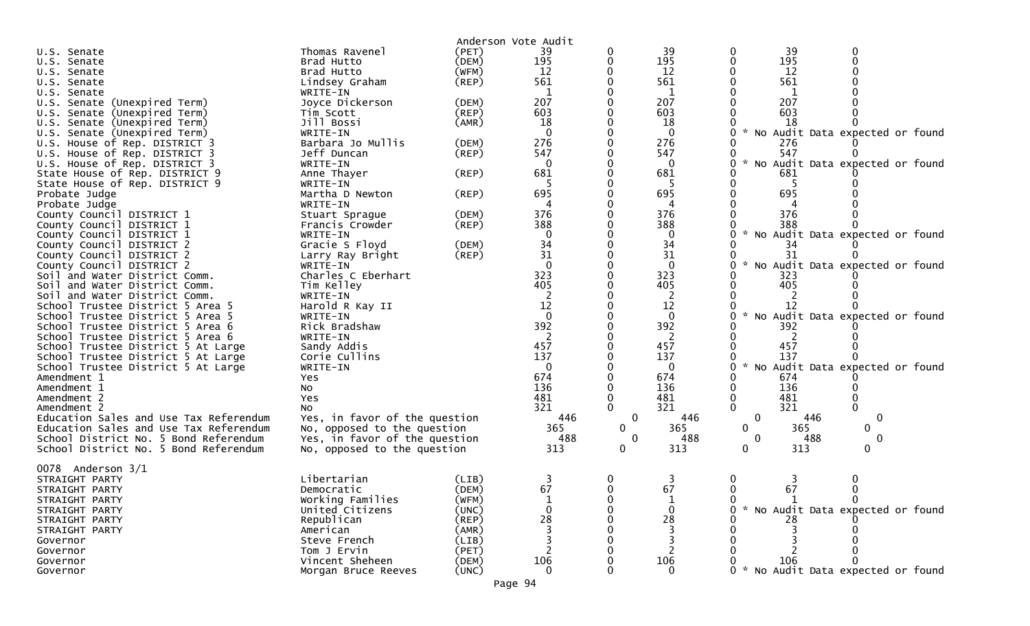|                                        | Thomas Ravenel                | (PET)       | Anderson Vote Audit<br>39 |              | 39       | 0                                                             |
|----------------------------------------|-------------------------------|-------------|---------------------------|--------------|----------|---------------------------------------------------------------|
| U.S. Senate                            | Brad Hutto                    | (DEM)       | 195                       | 0<br>0       | 195      | 39<br>195<br>$\Omega$                                         |
| U.S. Senate<br>U.S. Senate             | Brad Hutto                    | (WFM)       | 12                        |              | 12       | 12                                                            |
| U.S. Senate                            | Lindsey Graham                | $($ REP $)$ | 561                       |              | 561      | 561                                                           |
| U.S. Senate                            | WRITE-IN                      |             | 1                         |              | 1        | 1                                                             |
| U.S. Senate (Unexpired Term)           | Joyce Dickerson               | (DEM)       | 207                       |              | 207      | 207                                                           |
| U.S. Senate (Unexpired Term)           | Tim Scott                     | $($ REP $)$ | 603                       |              | 603      | 603                                                           |
| U.S. Senate (Unexpired Term)           | Jill Bossi                    | (AMR)       | 18                        |              | 18       | 18                                                            |
| U.S. Senate (Unexpired Term)           | WRITE-IN                      |             | $\Omega$                  |              | $\Omega$ | $\mathcal{H}$<br>No Audit Data expected or found              |
| U.S. House of Rep. DISTRICT 3          | Barbara Jo Mullis             | (DEM)       | 276                       |              | 276      | 276                                                           |
| U.S. House of Rep. DISTRICT 3          | Jeff Duncan                   | (REP)       | 547                       |              | 547      | 547                                                           |
| U.S. House of Rep. DISTRICT 3          | WRITE-IN                      |             | $\Omega$                  |              | 0        | $\mathcal{H}$<br>No Audit Data expected or found              |
| State House of Rep. DISTRICT 9         | Anne Thayer                   | (REP)       | 681                       |              | 681      | 681                                                           |
| State House of Rep. DISTRICT 9         | WRITE-IN                      |             |                           |              | -5       | -5                                                            |
| Probate Judge                          | Martha D Newton               | $($ REP $)$ | 695                       |              | 695      | 695                                                           |
| Probate Judge                          | WRITE-IN                      |             | 4                         |              |          |                                                               |
| County Council DISTRICT 1              | Stuart Sprague                | (DEM)       | 376                       |              | 376      | 376                                                           |
| County Council DISTRICT 1              | Francis Crowder               | (REP)       | 388                       |              | 388      | 388                                                           |
| County Council DISTRICT 1              | WRITE-IN                      |             | $\Omega$                  |              | $\Omega$ | No Audit Data expected or found                               |
| County Council DISTRICT 2              | Gracie S Floyd                | (DEM)       | 34                        |              | 34       | 34                                                            |
| County Council DISTRICT 2              | Larry Ray Bright              | $($ REP $)$ | 31                        |              | 31       | 31                                                            |
| County Council DISTRICT 2              | WRITE-IN                      |             | $\Omega$                  |              | $\Omega$ | $\boldsymbol{\mathcal{L}}$<br>No Audit Data expected or found |
| Soil and Water District Comm.          | Charles C Eberhart            |             | 323                       |              | 323      | 323                                                           |
| Soil and Water District Comm.          | Tim Kelley                    |             | 405                       |              | 405      | 405                                                           |
| Soil and Water District Comm.          | WRITE-IN                      |             | 2                         |              |          |                                                               |
| School Trustee District 5 Area 5       | Harold R Kay II               |             | 12                        |              | 12       | 12                                                            |
| School Trustee District 5 Area 5       | WRITE-IN                      |             | $\Omega$                  |              | 0        | No Audit Data expected or found                               |
| School Trustee District 5 Area 6       | Rick Bradshaw                 |             | 392                       |              | 392      | 392                                                           |
| School Trustee District 5 Area 6       | WRITE-IN                      |             |                           |              |          |                                                               |
| School Trustee District 5 At Large     | Sandy Addis                   |             | 457                       |              | 457      | 457                                                           |
| School Trustee District 5 At Large     | Corie Cullins                 |             | 137                       |              | 137      | 137                                                           |
| School Trustee District 5 At Large     | WRITE-IN                      |             | $\Omega$                  |              | $\Omega$ | * No Audit Data expected or found<br>0                        |
| Amendment 1                            | <b>Yes</b>                    |             | 674                       |              | 674      | 674                                                           |
| Amendment 1                            | No                            |             | 136                       |              | 136      | 136                                                           |
| Amendment 2                            | Yes                           |             | 481                       |              | 481      | 481                                                           |
| Amendment 2                            | No                            |             | 321                       |              | 321      | 321<br>$\mathbf{0}$                                           |
| Education Sales and Use Tax Referendum | Yes, in favor of the question |             | 446                       | $\bf{0}$     | 446      | 446<br>0<br>0                                                 |
| Education Sales and Use Tax Referendum | No, opposed to the question   |             | 365                       | $\mathbf{0}$ | 365      | $\mathbf{0}$<br>365<br>0                                      |
| School District No. 5 Bond Referendum  | Yes, in favor of the question |             | 488                       | $\mathbf{0}$ | 488      | $\boldsymbol{0}$<br>$\mathbf{0}$<br>488                       |
| School District No. 5 Bond Referendum  | No, opposed to the question   |             | 313                       | 0            | 313      | $\mathbf 0$<br>313<br>0                                       |
| 0078 Anderson 3/1                      |                               |             |                           |              |          |                                                               |
| STRAIGHT PARTY                         | Libertarian                   | (LIB)       | 3                         | 0            | 3        | 0                                                             |
| STRAIGHT PARTY                         | Democratic                    | (DEM)       | 67                        | $\Omega$     | 67       | 67<br>0                                                       |
| STRAIGHT PARTY                         | Working Families              | (WFM)       |                           |              |          |                                                               |
| STRAIGHT PARTY                         | United Citizens               | (UNC)       |                           |              | $\Omega$ | * No Audit Data expected or found                             |
| STRAIGHT PARTY                         | Republican                    | (REP)       | 28                        |              | 28       |                                                               |
| STRAIGHT PARTY                         | American                      | (AMR)       |                           |              |          |                                                               |
| Governor                               | Steve French                  | (LIB)       |                           |              |          |                                                               |
| Governor                               | Tom J Ervin                   | (PET)       |                           |              |          |                                                               |
| Governor                               | Vincent Sheheen               | (DEM)       | 106                       |              | 106      | 106                                                           |
| Governor                               | Morgan Bruce Reeves           | (UNC)       | $\Omega$                  |              | $\Omega$ | * No Audit Data expected or found                             |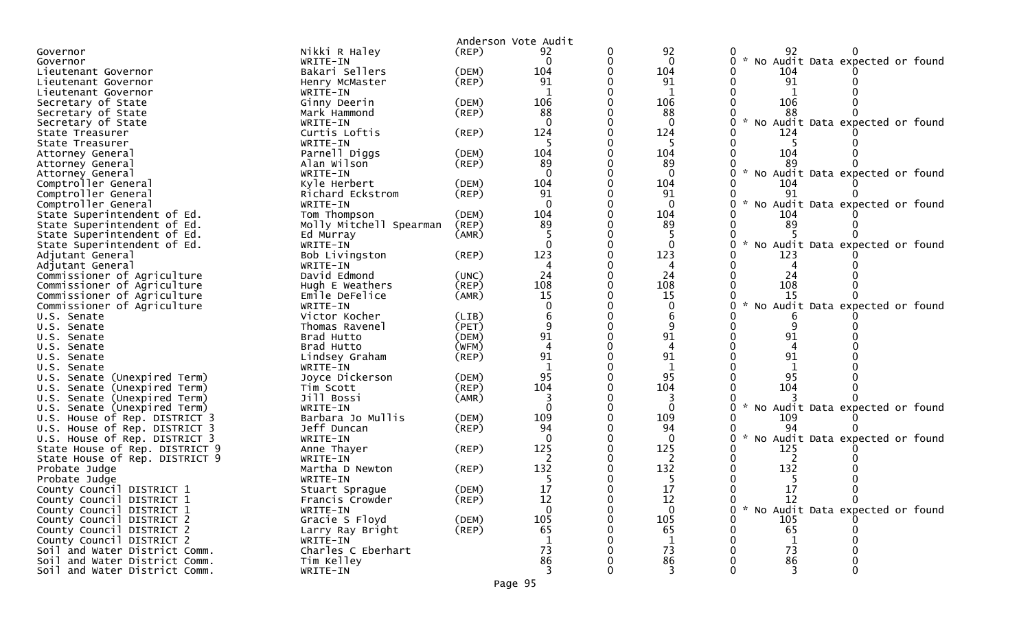|                                                                |                         |                      | Anderson Vote Audit |              |                                                  |
|----------------------------------------------------------------|-------------------------|----------------------|---------------------|--------------|--------------------------------------------------|
| Governor                                                       | Nikki R Haley           | (REP)                | 92                  | 92           | 92                                               |
| Governor                                                       | WRITE-IN                |                      | $\mathbf{0}$        | $\mathbf{0}$ | * No Audit Data expected or found<br>0           |
| Lieutenant Governor                                            | Bakari Sellers          | (DEM)                | 104                 | 104          | 104                                              |
| Lieutenant Governor                                            | Henry McMaster          | $($ REP $)$          | 91                  | 91           | 91                                               |
| Lieutenant Governor                                            | WRITE-IN                |                      | 1                   | 1            | 1                                                |
| Secretary of State                                             | Ginny Deerin            | (DEM)                | 106                 | 106          | 106                                              |
| Secretary of State                                             | Mark Hammond            | (REP)                | 88                  | 88           | 88                                               |
| Secretary of State                                             | WRITE-IN                |                      | $\Omega$            | $\Omega$     | No Audit Data expected or found                  |
| State Treasurer                                                | Curtis Loftis           | (REP)                | 124                 | 124          | 124                                              |
| State Treasurer                                                | WRITE-IN                |                      |                     | -5           |                                                  |
| Attorney General                                               | Parnell Diggs           | (DEM)                | 104                 | 104          | 104                                              |
| Attorney General                                               | Alan Wilson             | (REP)                | 89                  | 89           | 89                                               |
| Attorney General                                               | WRITE-IN                |                      | $\Omega$            | $\Omega$     | * No Audit Data expected or found                |
| Comptroller General                                            | Kyle Herbert            | (DEM)                | 104                 | 104          | 104                                              |
| Comptroller General                                            | Richard Eckstrom        | (REP)                | 91                  | 91           | 91                                               |
| Comptroller General                                            | WRITE-IN                |                      | $\Omega$            | $\Omega$     | No Audit Data expected or found<br>$\mathcal{H}$ |
| State Superintendent of Ed.                                    | Tom Thompson            | (DEM)                | 104                 | 104          | 104                                              |
| State Superintendent of Ed.                                    | Molly Mitchell Spearman | (REP)                | 89                  | 89           | -89                                              |
| State Superintendent of Ed.                                    | Ed Murray               | (AMR)                |                     |              |                                                  |
| State Superintendent of Ed.                                    | WRITE-IN                |                      |                     | $\Omega$     | No Audit Data expected or found                  |
| Adjutant General                                               | Bob Livingston          | (REP)                | 123                 | 123          | 123                                              |
| Adjutant General                                               | WRITE-IN                |                      |                     | 4            |                                                  |
| Commissioner of Agriculture                                    | David Edmond            | (UNC)                | 24                  | 24           | 24                                               |
| Commissioner of Agriculture                                    | Hugh E Weathers         | $($ REP $)$          | 108                 | 108          | 108                                              |
| Commissioner of Agriculture                                    | Emile DeFelice          | (AMR)                | 15                  | 15           | 15                                               |
| Commissioner of Agriculture                                    | WRITE-IN                |                      |                     |              | No Audit Data expected or found                  |
| U.S. Senate                                                    | Victor Kocher           | (LIB)                |                     |              |                                                  |
| U.S. Senate                                                    | Thomas Ravenel          | (PET)                |                     |              |                                                  |
| U.S. Senate                                                    | Brad Hutto              | (DEM)                | 91                  | 91           | 91                                               |
| U.S. Senate                                                    | Brad Hutto              | (WFM)                |                     |              |                                                  |
| U.S. Senate                                                    | Lindsey Graham          | $($ REP $)$          | 91                  | 91           | 91                                               |
| U.S. Senate                                                    | WRITE-IN                |                      | 95                  | 95           | 95                                               |
| U.S. Senate (Unexpired Term)                                   | Joyce Dickerson         | (DEM)                | 104                 | 104          | 104                                              |
| U.S. Senate (Unexpired Term)                                   | Tim Scott               | (REP)                |                     |              |                                                  |
| U.S. Senate (Unexpired Term)                                   | Jill Bossi<br>WRITE-IN  | (AMR)                |                     | $\Omega$     | $\mathcal{H}$                                    |
| U.S. Senate (Unexpired Term)                                   | Barbara Jo Mullis       |                      | 109                 | 109          | No Audit Data expected or found<br>109           |
| U.S. House of Rep. DISTRICT 3<br>U.S. House of Rep. DISTRICT 3 | Jeff Duncan             | (DEM)<br>$($ REP $)$ | 94                  | 94           | 94                                               |
| U.S. House of Rep. DISTRICT 3                                  | WRITE-IN                |                      |                     | $\Omega$     | No Audit Data expected or found                  |
| State House of Rep. DISTRICT 9                                 | Anne Thayer             | (REP)                | 125                 | 125          | 125                                              |
| State House of Rep. DISTRICT 9                                 | WRITE-IN                |                      |                     | 2            | 2                                                |
| Probate Judge                                                  | Martha D Newton         | (REP)                | 132                 | 132          | 132                                              |
| Probate Judge                                                  | WRITE-IN                |                      |                     | 5            | -5                                               |
| County Council DISTRICT 1                                      | Stuart Sprague          | (DEM)                | 17                  | 17           | 17                                               |
| County Council DISTRICT 1                                      | Francis Crowder         | $($ REP $)$          | 12                  | 12           | 12<br>$\Omega$<br>0                              |
| County Council DISTRICT 1                                      | WRITE-IN                |                      | $\Omega$            | $\mathbf{0}$ | 0 * No Audit Data expected or found              |
| County Council DISTRICT 2                                      | Gracie S Floyd          | (DEM)                | 105                 | 105          | 105                                              |
| County Council DISTRICT 2                                      | Larry Ray Bright        | (REP)                | 65                  | 65           | 65                                               |
| County Council DISTRICT 2                                      | WRITE-IN                |                      |                     | 1            |                                                  |
| Soil and Water District Comm.                                  | Charles C Eberhart      |                      | 73                  | 73           | 73                                               |
| Soil and Water District Comm.                                  | Tim Kelley              |                      | 86                  | 86           | 86                                               |
| Soil and Water District Comm.                                  | WRITE-IN                |                      |                     |              |                                                  |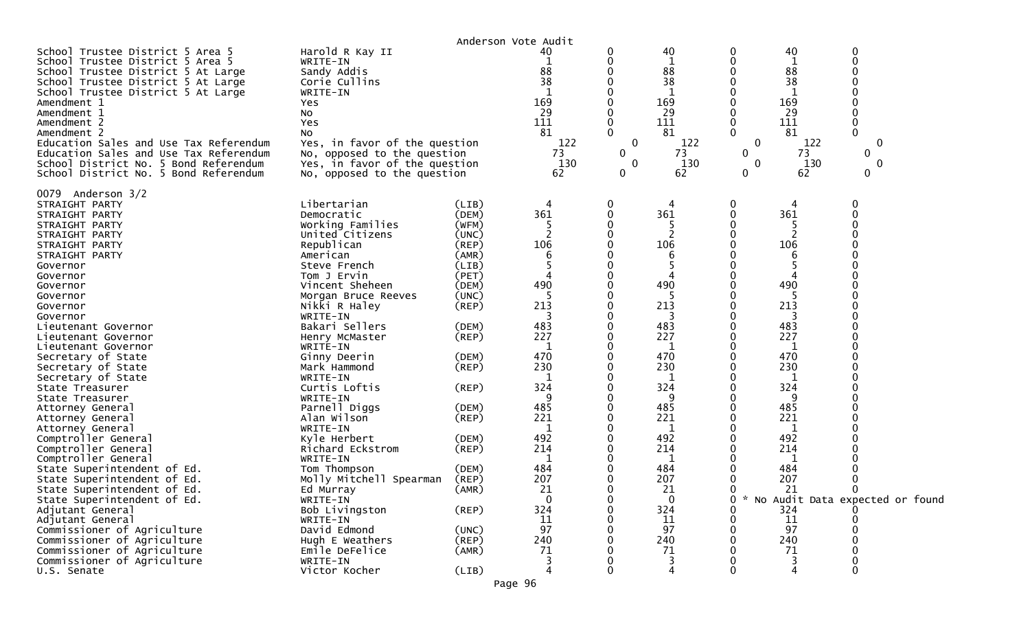|                                                                                                                                                                                                                                                                                                                                                                                                                                                                                                                                                                                   |                                                                                                                                                                                                                                                                                                                                                                                                                                                                  |                                                                                                                                                                                                                      | Anderson Vote Audit                                                                                                                              |                                   |                                                                                                                                                    |                              |                                                                                                                                                |                                             |  |
|-----------------------------------------------------------------------------------------------------------------------------------------------------------------------------------------------------------------------------------------------------------------------------------------------------------------------------------------------------------------------------------------------------------------------------------------------------------------------------------------------------------------------------------------------------------------------------------|------------------------------------------------------------------------------------------------------------------------------------------------------------------------------------------------------------------------------------------------------------------------------------------------------------------------------------------------------------------------------------------------------------------------------------------------------------------|----------------------------------------------------------------------------------------------------------------------------------------------------------------------------------------------------------------------|--------------------------------------------------------------------------------------------------------------------------------------------------|-----------------------------------|----------------------------------------------------------------------------------------------------------------------------------------------------|------------------------------|------------------------------------------------------------------------------------------------------------------------------------------------|---------------------------------------------|--|
| School Trustee District 5 Area 5<br>School Trustee District 5 Area 5<br>School Trustee District 5 At Large<br>School Trustee District 5 At Large<br>School Trustee District 5 At Large<br>Amendment 1<br>Amendment 1<br>Amendment 2<br>Amendment 2<br>Education Sales and Use Tax Referendum                                                                                                                                                                                                                                                                                      | Harold R Kay II<br>WRITE-IN<br>Sandy Addis<br>Corie Cullins<br>WRITE-IN<br>Yes<br>No<br>Yes<br>NO.<br>Yes, in favor of the question                                                                                                                                                                                                                                                                                                                              |                                                                                                                                                                                                                      | 40<br>88<br>38<br>169<br>29<br>111<br>81<br>122                                                                                                  | 0<br>0<br>$\Omega$<br>$\mathbf 0$ | 40<br>1<br>88<br>38<br>1<br>169<br>29<br>111<br>81<br>122                                                                                          | 0<br>0<br>0<br>$\Omega$<br>0 | 40<br>1<br>88<br>38<br>1<br>169<br>29<br>111<br>81<br>122                                                                                      | 0<br>0<br>0<br>$\Omega$<br>0                |  |
| Education Sales and Use Tax Referendum<br>School District No. 5 Bond Referendum<br>School District No. 5 Bond Referendum                                                                                                                                                                                                                                                                                                                                                                                                                                                          | No, opposed to the question<br>Yes, in favor of the question<br>No, opposed to the question                                                                                                                                                                                                                                                                                                                                                                      |                                                                                                                                                                                                                      | 73<br>130<br>62                                                                                                                                  | $\mathbf{0}$<br>0<br>0            | 73<br>130<br>62                                                                                                                                    | 0<br>0<br>0                  | 73<br>130<br>62                                                                                                                                | 0<br>$\Omega$<br>0                          |  |
| 0079 Anderson 3/2<br>STRAIGHT PARTY<br>STRAIGHT PARTY<br>STRAIGHT PARTY<br>STRAIGHT PARTY<br>STRAIGHT PARTY<br>STRAIGHT PARTY<br>Governor<br>Governor<br>Governor<br>Governor<br>Governor<br>Governor<br>Lieutenant Governor<br>Lieutenant Governor<br>Lieutenant Governor<br>Secretary of State<br>Secretary of State<br>Secretary of State<br>State Treasurer<br>State Treasurer<br>Attorney General<br>Attorney General<br>Attorney General<br>Comptroller General<br>Comptroller General<br>Comptroller General<br>State Superintendent of Ed.<br>State Superintendent of Ed. | Libertarian<br>Democratic<br>Working Families<br>United Citizens<br>Republican<br>American<br>Steve French<br>Tom J Ervin<br>Vincent Sheheen<br>Morgan Bruce Reeves<br>Nikki R Haley<br>WRITE-IN<br>Bakari Sellers<br>Henry McMaster<br>WRITE-IN<br>Ginny Deerin<br>Mark Hammond<br>WRITE-IN<br>Curtis Loftis<br>WRITE-IN<br>Parnell Diggs<br>Alan Wilson<br>WRITE-IN<br>Kyle Herbert<br>Richard Eckstrom<br>WRITE-IN<br>Tom Thompson<br>Molly Mitchell Spearman | (LIB)<br>(DEM)<br>(WFM)<br>(UNC)<br>(REP)<br>(AMR)<br>(LIB)<br>(PET)<br>(DEM)<br>(UNC)<br>$($ REP $)$<br>(DEM)<br>$($ REP $)$<br>(DEM)<br>$($ REP $)$<br>(REP)<br>(DEM)<br>(REP)<br>(DEM)<br>(REP)<br>(DEM)<br>(REP) | 361<br>$\overline{2}$<br>106<br>6<br>490<br>213<br>3<br>483<br>227<br>1<br>470<br>230<br>1<br>324<br>485<br>221<br>1<br>492<br>214<br>484<br>207 | 0<br>0                            | 361<br>2<br>106<br>6<br>490<br>5<br>213<br>3<br>483<br>227<br>1<br>470<br>230<br>1<br>324<br>9<br>485<br>221<br>1<br>492<br>214<br>1<br>484<br>207 | 0<br>0                       | 361<br>2<br>106<br>490<br>-5<br>213<br>3<br>483<br>227<br>1<br>470<br>230<br>1<br>324<br>9<br>485<br>221<br>1<br>492<br>214<br>1<br>484<br>207 | 0<br>∩                                      |  |
| State Superintendent of Ed<br>State Superintendent of Ed.<br>Adjutant General<br>Adjutant General<br>Commissioner of Agriculture<br>Commissioner of Agriculture<br>Commissioner of Agriculture<br>Commissioner of Agriculture<br>U.S. Senate                                                                                                                                                                                                                                                                                                                                      | Ed Murray<br>WRITE-IN<br>Bob Livingston<br>WRITE-IN<br>David Edmond<br>Hugh E Weathers<br>Emile DeFelice<br>WRITE-IN<br>Victor Kocher                                                                                                                                                                                                                                                                                                                            | (AMR)<br>(REP)<br>(UNC)<br>$($ REP $)$<br>(AMR)<br>(LIB)                                                                                                                                                             | 21<br>$\mathbf{0}$<br>324<br>11<br>97<br>240<br>71                                                                                               | 0                                 | 21<br>$\mathbf 0$<br>324<br>11<br>97<br>240<br>71<br>3<br>4                                                                                        | 0<br>0                       | 21<br>324<br>11<br>97<br>240<br>71<br>3                                                                                                        | ∩<br>* No Audit Data expected or found<br>0 |  |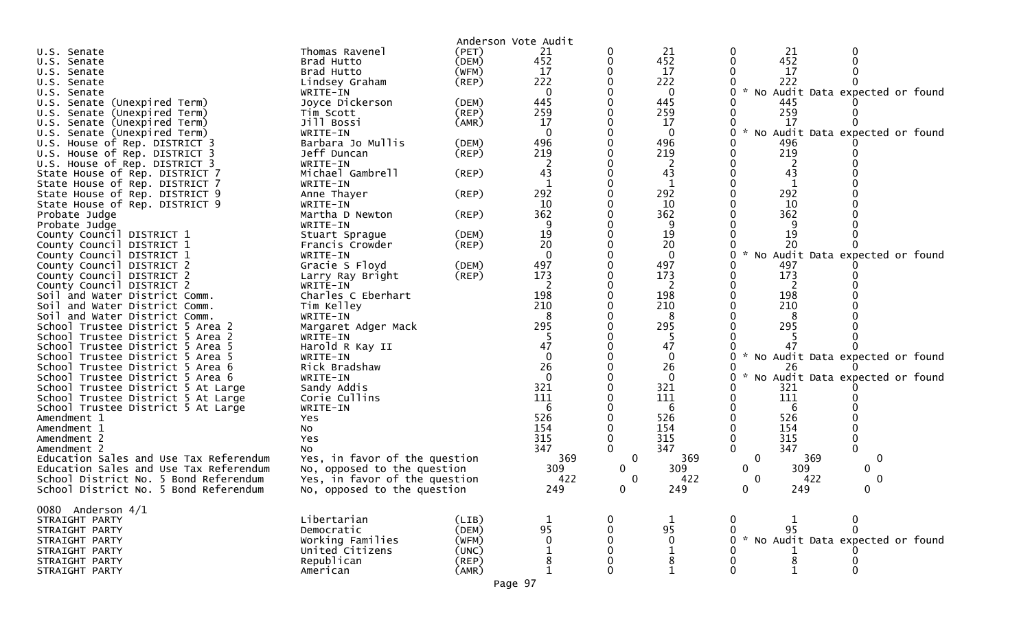|                                                                      |                               |                | Anderson Vote Audit |          |                |                                        |
|----------------------------------------------------------------------|-------------------------------|----------------|---------------------|----------|----------------|----------------------------------------|
| U.S. Senate                                                          | Thomas Ravenel<br>Brad Hutto  | (PET)<br>(DEM) | 21<br>452           |          | 21<br>452      | 21<br>0<br>452                         |
| U.S. Senate<br>U.S. Senate                                           | Brad Hutto                    | (WFM)          | 17                  |          | 17             | 17                                     |
| U.S. Senate                                                          | Lindsey Graham                | $($ REP $)$    | 222                 |          | 222            | 222                                    |
| U.S. Senate                                                          | WRITE-IN                      |                | $\mathbf{0}$        |          | $\Omega$       | * No Audit Data expected or found<br>0 |
| U.S. Senate (Unexpired Term)                                         | Joyce Dickerson               | (DEM)          | 445                 |          | 445            | 445                                    |
| U.S. Senate (Unexpired Term)                                         | Tim Scott                     | (REP)          | 259                 |          | 259            | 259                                    |
| U.S. Senate (Unexpired Term)                                         | Jill Bossi                    | (AMR)          | 17                  |          | 17             | 17                                     |
| U.S. Senate (Unexpired Term)                                         | WRITE-IN                      |                |                     |          | 0              | No Audit Data expected or found        |
| U.S. House of Rep. DISTRICT 3                                        | Barbara Jo Mullis             | (DEM)          | 496                 |          | 496            | 496                                    |
| U.S. House of Rep. DISTRICT 3                                        | Jeff Duncan                   | (REP)          | 219                 |          | 219            | 219                                    |
| U.S. House of Rep. DISTRICT 3                                        | WRITE-IN                      |                |                     |          |                |                                        |
| State House of Rep. DISTRICT 7                                       | Michael Gambrell              | (REP)          | 43                  |          | 43             | 43                                     |
| State House of Rep. DISTRICT 7                                       | WRITE-IN                      |                |                     |          | 1              | 1                                      |
| State House of Rep. DISTRICT 9                                       | Anne Thayer                   | (REP)          | 292                 |          | 292            | 292                                    |
| State House of Rep. DISTRICT 9                                       | WRITE-IN                      |                | 10                  |          | 10             | 10                                     |
| Probate Judge                                                        | Martha D Newton               | (REP)          | 362                 |          | 362            | 362                                    |
| Probate Judge                                                        | WRITE-IN                      |                |                     |          |                |                                        |
| County Council DISTRICT 1                                            | Stuart Sprague                | (DEM)          | 19                  |          | 19             | 19                                     |
| County Council DISTRICT 1                                            | Francis Crowder               | (REP)          | 20                  |          | 20             | 20                                     |
| County Council DISTRICT 1                                            | WRITE-IN                      |                | $\Omega$            |          | $\Omega$       | No Audit Data expected or found        |
| County Council DISTRICT 2                                            | Gracie S Floyd                | (DEM)          | 497                 |          | 497            | 497                                    |
| County Council DISTRICT 2                                            | Larry Ray Bright              | (REP)          | 173                 |          | 173            | 173                                    |
| County Council DISTRICT 2                                            | WRITE-IN                      |                |                     |          | 2              | 2                                      |
| Soil and Water District Comm.                                        | Charles C Eberhart            |                | 198                 |          | 198            | 198                                    |
| Soil and Water District Comm.                                        | Tim Kelley                    |                | 210                 |          | 210            | 210                                    |
| Soil and Water District Comm.                                        | WRITE-IN                      |                |                     |          | 8              |                                        |
| School Trustee District 5 Area 2                                     | Margaret Adger Mack           |                | 295                 |          | 295            | 295                                    |
| School Trustee District 5 Area 2                                     | WRITE-IN                      |                |                     |          | -5             |                                        |
| School Trustee District 5 Area 5                                     | Harold R Kay II               |                | 47<br>$\Omega$      |          | 47<br>$\Omega$ |                                        |
| School Trustee District 5 Area 5                                     | WRITE-IN<br>Rick Bradshaw     |                | 26                  |          | 26             | No Audit Data expected or found<br>26  |
| School Trustee District 5 Area 6<br>School Trustee District 5 Area 6 | WRITE-IN                      |                | $\Omega$            |          | $\Omega$       | No Audit Data expected or found        |
| School Trustee District 5 At Large                                   | Sandy Addis                   |                | 321                 |          | 321            | 321                                    |
| School Trustee District 5 At Large                                   | Corie Cullins                 |                | 111                 |          | 111            | 111                                    |
| School Trustee District 5 At Large                                   | WRITE-IN                      |                | 6                   |          | 6              | 6                                      |
| Amendment 1                                                          | Yes                           |                | 526                 |          | 526            | 526                                    |
| Amendment 1                                                          | NO.                           |                | 154                 |          | 154            | 154                                    |
| Amendment 2                                                          | Yes                           |                | 315                 |          | 315            | 315                                    |
| Amendment 2                                                          | No                            |                | 347                 |          | 347            | 347                                    |
| Education Sales and Use Tax Referendum                               | Yes, in favor of the question |                | 369                 | 0        | 369            | $\mathbf 0$<br>0<br>369                |
| Education Sales and Use Tax Referendum                               | No, opposed to the question   |                | 309                 | 0        | 309            | 0<br>309<br>0                          |
| School District No. 5 Bond Referendum                                | Yes, in favor of the question |                | 422                 | $\Omega$ | 422            | 422<br>0<br>0                          |
| School District No. 5 Bond Referendum                                | No, opposed to the question   |                | 249                 | 0        | 249            | 249<br>$\mathbf{0}$<br>$\mathbf{0}$    |
|                                                                      |                               |                |                     |          |                |                                        |
| 0080 Anderson 4/1                                                    |                               |                |                     |          |                |                                        |
| STRAIGHT PARTY                                                       | Libertarian                   | (LIB)          | $\mathbf 1$         |          | 1              | 0<br>0                                 |
| STRAIGHT PARTY                                                       | Democratic                    | (DEM)          | 95                  |          | 95             | 95<br>0                                |
| STRAIGHT PARTY                                                       | Working Families              | (WFM)          | $\mathbf 0$         |          | $\mathbf 0$    | No Audit Data expected or found<br>0   |
| STRAIGHT PARTY                                                       | United Citizens               | (UNC)          |                     |          |                |                                        |
| STRAIGHT PARTY                                                       | Republican                    | $($ REP $)$    | 8                   |          | 8              | 8                                      |
| STRAIGHT PARTY                                                       | American                      | (AMR)          |                     |          |                | 0                                      |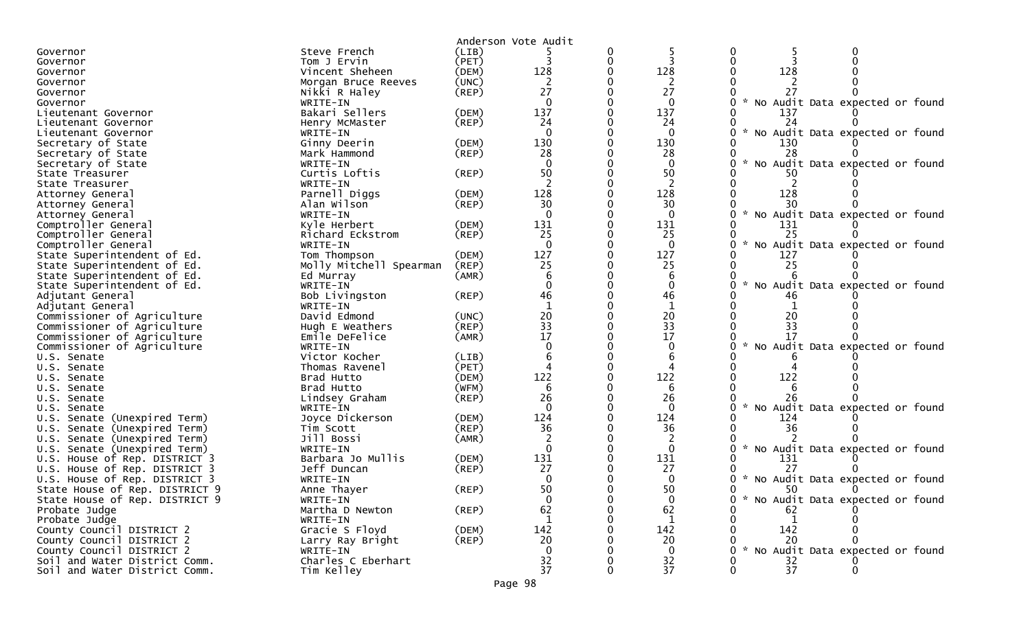|                                |                         |             | Anderson Vote Audit      |          |                |                                                       |
|--------------------------------|-------------------------|-------------|--------------------------|----------|----------------|-------------------------------------------------------|
| Governor                       | Steve French            | (LIB)       |                          | $\Omega$ |                | 0                                                     |
| Governor                       | Tom J Ervin             | (PET)       | 3                        | 0        |                | $\mathbf{0}$                                          |
| Governor                       | Vincent Sheheen         | (DEM)       | 128                      |          | 128            | 128                                                   |
| Governor                       | Morgan Bruce Reeves     | (UNC)       |                          |          |                |                                                       |
| Governor                       | Nikki R Haley           | (REP)       | 27                       |          | 27             | 27                                                    |
| Governor                       | WRITE-IN                |             | $\Omega$                 |          | $\Omega$       | $\sim$<br>No Audit Data expected or found             |
| Lieutenant Governor            | Bakari Sellers          | (DEM)       | 137                      |          | 137            | 137                                                   |
| Lieutenant Governor            | Henry McMaster          | (REP)       | 24                       |          | 24             | 24                                                    |
| Lieutenant Governor            | WRITE-IN                |             |                          |          | $\Omega$       | No Audit Data expected or found                       |
| Secretary of State             | Ginny Deerin            | (DEM)       | 130                      |          | 130            | 130                                                   |
| Secretary of State             | Mark Hammond            | (REP)       | 28                       |          | 28             | 28                                                    |
| Secretary of State             | WRITE-IN                |             |                          |          | $\Omega$       | $\sim$<br>No Audit Data expected or found             |
| State Treasurer                | Curtis Loftis           | $($ REP $)$ | 50                       |          | 50             |                                                       |
| State Treasurer                | WRITE-IN                |             | $\overline{\phantom{a}}$ |          | 2              |                                                       |
| Attorney General               | Parnell Diggs           | (DEM)       | 128                      |          | 128            | 128                                                   |
| Attorney General               | Alan Wilson             | (REP)       | 30                       |          | 30             | 30                                                    |
| Attorney General               | WRITE-IN                |             | $\Omega$                 |          | $\overline{0}$ | $\mathcal{H}$<br>0<br>No Audit Data expected or found |
| Comptroller General            | Kyle Herbert            | (DEM)       | 131                      |          | 131            | 131                                                   |
| Comptroller General            | Richard Eckstrom        | (REP)       | 25                       |          | 25             | 25                                                    |
| Comptroller General            | WRITE-IN                |             | $\Omega$                 |          | $\Omega$       | 0<br>$\mathcal{H}$<br>No Audit Data expected or found |
| State Superintendent of Ed.    | Tom Thompson            | (DEM)       | 127                      |          | 127            | 127                                                   |
| State Superintendent of Ed.    | Molly Mitchell Spearman | (REP)       | 25                       |          | 25             | 25                                                    |
| State Superintendent of Ed.    | Ed Murray               | (AMR)       |                          |          | 6              |                                                       |
| State Superintendent of Ed.    | WRITE-IN                |             |                          |          | 0              | 0<br>No Audit Data expected or found                  |
| Adjutant General               | Bob Livingston          | (REP)       | 46                       |          | 46             | 46                                                    |
| Adjutant General               | WRITE-IN                |             | $\mathbf 1$              |          | $\mathbf{1}$   |                                                       |
| Commissioner of Agriculture    | David Edmond            | (UNC)       | 20                       |          | 20             | 20                                                    |
| Commissioner of Agriculture    | Hugh E Weathers         | $($ REP $)$ | 33                       |          | 33             | 33                                                    |
| Commissioner of Agriculture    | Emile DeFelice          | (AMR)       | 17                       |          | 17             | 17                                                    |
| Commissioner of Agriculture    | WRITE-IN                |             |                          |          |                | No Audit Data expected or found                       |
| U.S. Senate                    | Victor Kocher           | (LIB)       |                          |          |                |                                                       |
| U.S. Senate                    | Thomas Ravenel          | (PET)       |                          |          |                |                                                       |
| U.S. Senate                    | Brad Hutto              | (DEM)       | 122                      |          | 122            | 122                                                   |
| U.S. Senate                    | Brad Hutto              | (WFM)       | 6                        |          | 6              |                                                       |
| U.S. Senate                    | Lindsey Graham          | (REP)       | 26                       |          | 26             | 26                                                    |
| U.S. Senate                    | WRITE-IN                |             |                          |          | $\Omega$       | No Audit Data expected or found                       |
| U.S. Senate (Unexpired Term)   | Joyce Dickerson         | (DEM)       | 124                      |          | 124            | 124                                                   |
| U.S. Senate (Unexpired Term)   | Tim Scott               | $($ REP $)$ | 36                       |          | 36             | 36                                                    |
| U.S. Senate (Unexpired Term)   | Jill Bossi              | (AMR)       |                          |          |                |                                                       |
| U.S. Senate (Unexpired Term)   | WRITE-IN                |             | $\Omega$                 |          | $\Omega$       | No Audit Data expected or found<br>0                  |
| U.S. House of Rep. DISTRICT 3  | Barbara Jo Mullis       | (DEM)       | 131                      |          | 131            | 131                                                   |
| U.S. House of Rep. DISTRICT 3  | Jeff Duncan             | $($ REP $)$ | 27                       |          | 27             | 27                                                    |
| U.S. House of Rep. DISTRICT 3  | WRITE-IN                |             | $\Omega$                 |          | $\Omega$       | 0 * No Audit Data expected or found                   |
| State House of Rep. DISTRICT 9 | Anne Thayer             | (REP)       | 50                       |          | 50             | 50                                                    |
| State House of Rep. DISTRICT 9 | WRITE-IN                |             | $\mathbf{0}$             |          | $\Omega$       | * No Audit Data expected or found                     |
| Probate Judge                  | Martha D Newton         | $($ REP $)$ | 62                       |          | 62             | 62                                                    |
| Probate Judge                  | WRITE-IN                |             | 1                        |          | 1              | 1                                                     |
| County Council DISTRICT 2      | Gracie S Floyd          | (DEM)       | 142                      |          | 142            | 142                                                   |
| County Council DISTRICT 2      | Larry Ray Bright        | (REP)       | 20                       |          | 20             | 20                                                    |
| County Council DISTRICT 2      | WRITE-IN                |             | $\Omega$                 |          | $\Omega$       | $\sim$<br>No Audit Data expected or found             |
| Soil and Water District Comm.  | Charles C Eberhart      |             | 32                       |          | 32             | 32                                                    |
| Soil and Water District Comm.  | Tim Kelley              |             | 37                       |          | 37             | 37<br>$\Omega$                                        |
|                                |                         |             |                          |          |                |                                                       |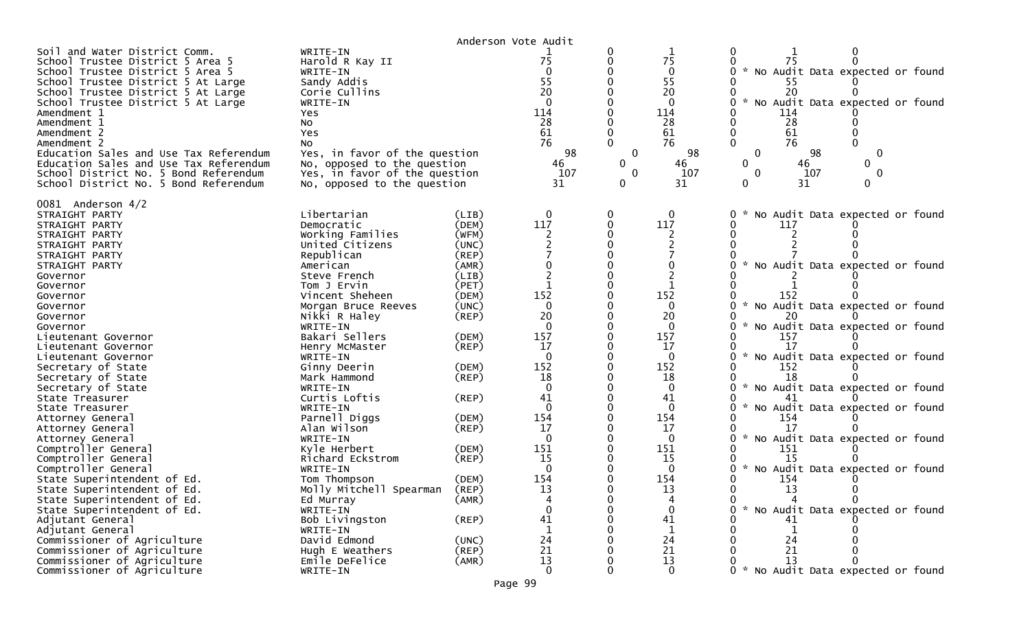|                                                                                                                                                                                                                                                                                                                                                                                                                                                           |                                                                                                                                                                                                                                               |                                           | Anderson Vote Audit                                                                 |                                                     |                                                                                             |                                                                                                                                                                                                                                                  |
|-----------------------------------------------------------------------------------------------------------------------------------------------------------------------------------------------------------------------------------------------------------------------------------------------------------------------------------------------------------------------------------------------------------------------------------------------------------|-----------------------------------------------------------------------------------------------------------------------------------------------------------------------------------------------------------------------------------------------|-------------------------------------------|-------------------------------------------------------------------------------------|-----------------------------------------------------|---------------------------------------------------------------------------------------------|--------------------------------------------------------------------------------------------------------------------------------------------------------------------------------------------------------------------------------------------------|
| Soil and Water District Comm.<br>School Trustee District 5 Area 5<br>School Trustee District 5 Area 5<br>School Trustee District 5 At Large<br>School Trustee District 5 At Large<br>School Trustee District 5 At Large<br>Amendment 1<br>Amendment 1<br>Amendment 2<br>Amendment 2<br>Education Sales and Use Tax Referendum<br>Education Sales and Use Tax Referendum<br>School District No. 5 Bond Referendum<br>School District No. 5 Bond Referendum | WRITE-IN<br>Harold R Kay II<br>WRITE-IN<br>Sandy Addis<br>Corie Cullins<br>WRITE-IN<br>Yes<br>No<br>Yes<br>No<br>Yes, in favor of the question<br>No, opposed to the question<br>Yes, in favor of the question<br>No, opposed to the question |                                           | 75<br>$\frac{55}{20}$<br>$\Omega$<br>114<br>28<br>61<br>76<br>98<br>46<br>107<br>31 | $\mathbf 0$<br>$\Omega$<br>$\mathbf{0}$<br>$\Omega$ | 75<br>$\mathbf 0$<br>55<br>20<br>$\Omega$<br>114<br>28<br>61<br>76<br>98<br>46<br>107<br>31 | 75<br>* No Audit Data expected or found<br>55<br>20<br>No Audit Data expected or found<br>$\mathcal{H}$<br>114<br>28<br>61<br>76<br>$\mathbf 0$<br>98<br>$\mathbf 0$<br>46<br>$\Omega$<br>0<br>107<br>$\mathbf 0$<br>$\mathbf 0$<br>31<br>0<br>0 |
| 0081 Anderson 4/2<br>STRAIGHT PARTY<br>STRAIGHT PARTY<br>STRAIGHT PARTY<br>STRAIGHT PARTY                                                                                                                                                                                                                                                                                                                                                                 | Libertarian<br>Democratic<br>Working Families<br>United Citizens                                                                                                                                                                              | (LIB)<br>(DEM)<br>(WFM)<br>(UNC)          | 0<br>117                                                                            |                                                     | $\Omega$<br>117                                                                             | No Audit Data expected or found<br>0<br>117                                                                                                                                                                                                      |
| STRAIGHT PARTY<br>STRAIGHT PARTY<br>Governor<br>Governor<br>Governor                                                                                                                                                                                                                                                                                                                                                                                      | Republican<br>American<br>Steve French<br>Tom J Ervin<br>Vincent Sheheen                                                                                                                                                                      | (REP)<br>(AMR)<br>(LIB)<br>(PET)<br>(DEM) | 152                                                                                 |                                                     | 152                                                                                         | No Audit Data expected or found<br>152                                                                                                                                                                                                           |
| Governor<br>Governor                                                                                                                                                                                                                                                                                                                                                                                                                                      | Morgan Bruce Reeves<br>Nikki R Haley                                                                                                                                                                                                          | (UNC)<br>(REP)                            | $\mathbf 0$<br>20                                                                   |                                                     | $\Omega$<br>20                                                                              | No Audit Data expected or found<br>$\mathcal{H}$<br>20                                                                                                                                                                                           |
| Governor<br>Lieutenant Governor                                                                                                                                                                                                                                                                                                                                                                                                                           | WRITE-IN<br>Bakari Sellers                                                                                                                                                                                                                    | (DEM)                                     | 157                                                                                 |                                                     | $\Omega$<br>157                                                                             | $\mathcal{R}$<br>No Audit Data expected or found<br>157                                                                                                                                                                                          |
| Lieutenant Governor<br>Lieutenant Governor<br>Secretary of State                                                                                                                                                                                                                                                                                                                                                                                          | Henry McMaster<br>WRITE-IN<br>Ginny Deerin                                                                                                                                                                                                    | $($ REP $)$<br>(DEM)                      | 17<br>152                                                                           |                                                     | 17<br>0<br>152                                                                              | 17<br>No Audit Data expected or found<br>152                                                                                                                                                                                                     |
| Secretary of State<br>Secretary of State                                                                                                                                                                                                                                                                                                                                                                                                                  | Mark Hammond<br>WRITE-IN                                                                                                                                                                                                                      | (REP)                                     | 18                                                                                  |                                                     | 18<br>$\mathbf 0$                                                                           | 18<br>$\mathcal{H}$<br>No Audit Data expected or found                                                                                                                                                                                           |
| State Treasurer<br>State Treasurer                                                                                                                                                                                                                                                                                                                                                                                                                        | Curtis Loftis<br>WRITE-IN<br>Parnell Diggs                                                                                                                                                                                                    | (REP)<br>(DEM)                            | 41<br>$\Omega$<br>154                                                               |                                                     | 41<br>$\mathbf{0}$<br>154                                                                   | * No Audit Data expected or found<br>154                                                                                                                                                                                                         |
| Attorney General<br>Attorney General<br>Attorney General                                                                                                                                                                                                                                                                                                                                                                                                  | Alan Wilson<br>WRITE-IN                                                                                                                                                                                                                       | (REP)                                     | 17<br>$\Omega$                                                                      |                                                     | 17<br>$\Omega$                                                                              | 17<br>$\mathcal{H}$<br>No Audit Data expected or found                                                                                                                                                                                           |
| Comptroller General<br>Comptroller General                                                                                                                                                                                                                                                                                                                                                                                                                | Kyle Herbert<br>Richard Eckstrom<br>WRITE-IN                                                                                                                                                                                                  | (DEM)<br>(REP)                            | 151<br>15<br>$\Omega$                                                               |                                                     | 151<br>15<br>$\Omega$                                                                       | 151<br>15<br>$\mathcal{H}^{\mathcal{A}}$<br>No Audit Data expected or found                                                                                                                                                                      |
| Comptroller General<br>State Superintendent of Ed.<br>State Superintendent of Ed.                                                                                                                                                                                                                                                                                                                                                                         | Tom Thompson<br>Molly Mitchell Spearman                                                                                                                                                                                                       | (DEM)<br>(REP)                            | 154<br>13                                                                           |                                                     | 154<br>13                                                                                   | 154<br>13                                                                                                                                                                                                                                        |
| State Superintendent of Ed.<br>State Superintendent of Ed.<br>Adjutant General                                                                                                                                                                                                                                                                                                                                                                            | Ed Murray<br>WRITE-IN<br>Bob Livingston                                                                                                                                                                                                       | (AMR)<br>(REP)                            | 41                                                                                  |                                                     | $\mathbf 0$<br>41                                                                           | $\Omega$<br>0<br>* No Audit Data expected or found<br>41                                                                                                                                                                                         |
| Adjutant General<br>Commissioner of Agriculture                                                                                                                                                                                                                                                                                                                                                                                                           | WRITE-IN<br>David Edmond                                                                                                                                                                                                                      | (UNC)                                     | $\mathbf{1}$<br>24                                                                  |                                                     | $\mathbf 1$<br>24                                                                           | 24                                                                                                                                                                                                                                               |
| Commissioner of Agriculture<br>Commissioner of Agriculture                                                                                                                                                                                                                                                                                                                                                                                                | Hugh E Weathers<br>Emile DeFelice                                                                                                                                                                                                             | $($ REP $)$<br>(AMR)                      | 21<br>13                                                                            |                                                     | 21<br>13                                                                                    | 21<br>13                                                                                                                                                                                                                                         |
| Commissioner of Agriculture                                                                                                                                                                                                                                                                                                                                                                                                                               | WRITE-IN                                                                                                                                                                                                                                      |                                           | $\mathbf 0$                                                                         |                                                     | $\mathbf 0$                                                                                 | * No Audit Data expected or found                                                                                                                                                                                                                |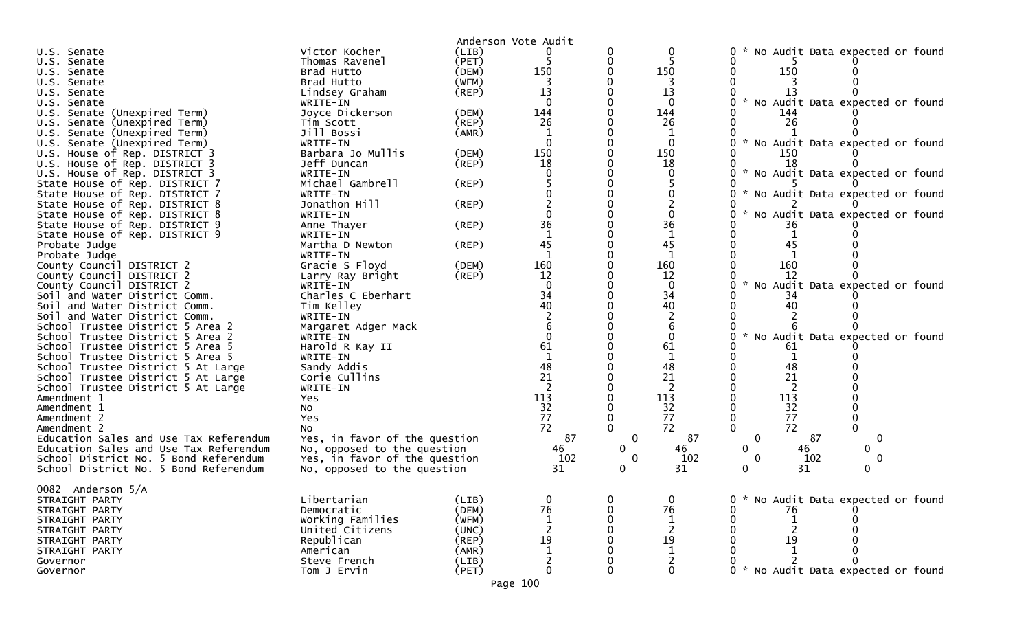|                                                   |                               |             | Anderson Vote Audit |              |                |                                           |
|---------------------------------------------------|-------------------------------|-------------|---------------------|--------------|----------------|-------------------------------------------|
| U.S. Senate                                       | Victor Kocher                 | (LIB)       |                     |              | 0              | No Audit Data expected or found           |
| U.S. Senate                                       | Thomas Ravenel                | (PET)       |                     | 0            |                |                                           |
| U.S. Senate                                       | Brad Hutto                    | (DEM)       | 150                 |              | 150            | 150                                       |
| U.S. Senate                                       | Brad Hutto                    | (WFM)       | 3                   |              |                |                                           |
| U.S. Senate                                       | Lindsey Graham                | (REP)       | 13                  |              | 13             | 13                                        |
| U.S. Senate                                       | WRITE-IN                      |             |                     |              |                | No Audit Data expected or found           |
| U.S. Senate (Unexpired Term)                      | Joyce Dickerson               | (DEM)       | 144                 |              | 144            | 144                                       |
| U.S. Senate (Unexpired Term)                      | Tim Scott                     | $($ REP $)$ | 26                  |              | 26             | 26                                        |
| U.S. Senate (Unexpired Term)                      | Jill Bossi                    | (AMR)       |                     |              |                |                                           |
| U.S. Senate (Unexpired Term)                      | WRITE-IN                      |             | $\Omega$            |              | $\mathbf{0}$   | * No Audit Data expected or found         |
| U.S. House of Rep. DISTRICT 3                     | Barbara Jo Mullis             | (DEM)       | 150                 |              | 150            | 150                                       |
| U.S. House of Rep. DISTRICT 3                     | Jeff Duncan                   | (REP)       | 18                  |              | 18             | 18                                        |
| U.S. House of Rep. DISTRICT 3                     | WRITE-IN                      |             |                     |              |                | * No Audit Data expected or found         |
| State House of Rep. DISTRICT 7                    | Michael Gambrell              | (REP)       |                     |              |                |                                           |
| State House of Rep. DISTRICT 7                    | WRITE-IN                      |             |                     |              |                | No Audit Data expected or found           |
| State House of Rep. DISTRICT 8                    | Jonathon Hill                 | (REP)       |                     |              |                |                                           |
| State House of Rep. DISTRICT 8                    | WRITE-IN                      |             |                     |              |                | No Audit Data expected or found           |
| State House of Rep. DISTRICT 9                    | Anne Thayer                   | (REP)       | 36                  |              | 36             | 36                                        |
| State House of Rep. DISTRICT 9                    | WRITE-IN                      |             | $\mathbf{1}$        |              | $\mathbf 1$    |                                           |
| Probate Judge                                     | Martha D Newton               | (REP)       | 45                  |              | 45             | 45                                        |
| Probate Judge                                     | WRITE-IN                      |             |                     |              | $\mathbf{1}$   |                                           |
| County Council DISTRICT 2                         | Gracie S Floyd                | (DEM)       | 160                 |              | 160            | 160                                       |
| County Council DISTRICT 2                         | Larry Ray Bright              | (REP)       | 12                  |              | 12             | 12                                        |
| County Council DISTRICT 2                         | WRITE-IN                      |             | $\Omega$            |              | $\mathbf{0}$   | $\sim$<br>No Audit Data expected or found |
| Soil and Water District Comm.                     | Charles C Eberhart            |             | 34                  |              | 34             | 34                                        |
| Soil and Water District Comm.                     | Tim Kelley                    |             | 40                  |              | 40             | 40                                        |
| Soil and Water District Comm.                     | WRITE-IN                      |             |                     |              |                |                                           |
| School Trustee District 5 Area 2                  | Margaret Adger Mack           |             |                     |              | 6              | $\mathcal{H}$                             |
| School Trustee District 5 Area 2                  | WRITE-IN                      |             |                     |              | $\Omega$       | No Audit Data expected or found           |
| School Trustee District 5 Area 5                  | Harold R Kay II               |             | 61<br>$\mathbf{1}$  |              | 61             | 61                                        |
| School Trustee District 5 Area 5                  | WRITE-IN                      |             |                     |              |                |                                           |
| School Trustee District 5 At Large                | Sandy Addis<br>Corie Cullins  |             | 48<br>21            |              | 48<br>21       | 48<br>21                                  |
| School Trustee District 5 At Large                |                               |             | $\overline{2}$      |              | $\overline{2}$ | $\overline{2}$                            |
| School Trustee District 5 At Large<br>Amendment 1 | WRITE-IN                      |             | 113                 |              | 113            | 113                                       |
| Amendment 1                                       | Yes<br>NO.                    |             | 32                  |              | 32             | 32                                        |
| Amendment 2                                       | Yes                           |             | 77                  | $\mathbf 0$  | 77             | 77                                        |
| Amendment 2                                       | <b>NO</b>                     |             | 72                  |              | 72             | 72                                        |
| Education Sales and Use Tax Referendum            | Yes, in favor of the question |             | 87                  | $\mathbf 0$  | 87             | 87<br>$\mathbf 0$<br>0                    |
| Education Sales and Use Tax Referendum            | No, opposed to the question   |             | 46                  | $\mathbf{0}$ | 46             | 46<br>0<br>0                              |
| School District No. 5 Bond Referendum             | Yes, in favor of the question |             | 102                 | $\mathbf 0$  | 102            | 102<br>0<br>0                             |
| School District No. 5 Bond Referendum             | No, opposed to the question   |             | 31                  | 0            | 31             | 31<br>0                                   |
|                                                   |                               |             |                     |              |                |                                           |
| 0082 Anderson 5/A                                 |                               |             |                     |              |                |                                           |
| STRAIGHT PARTY                                    | Libertarian                   | (LIB)       | 0                   |              | 0              | No Audit Data expected or found           |
| STRAIGHT PARTY                                    | Democratic                    | (DEM)       | 76                  |              | 76             | 76                                        |
| STRAIGHT PARTY                                    | Working Families              | (WFM)       |                     |              |                |                                           |
| STRAIGHT PARTY                                    | United Citizens               | (UNC)       |                     |              |                |                                           |
| STRAIGHT PARTY                                    | Republican                    | (REP)       | 19                  |              | 19             | 19                                        |
| STRAIGHT PARTY                                    | American                      | (AMR)       |                     |              |                |                                           |
| Governor                                          | Steve French                  | (LIB)       |                     |              |                |                                           |
| Governor                                          | Tom J Ervin                   | (PET)       | 0                   |              | $\mathbf{0}$   | * No Audit Data expected or found         |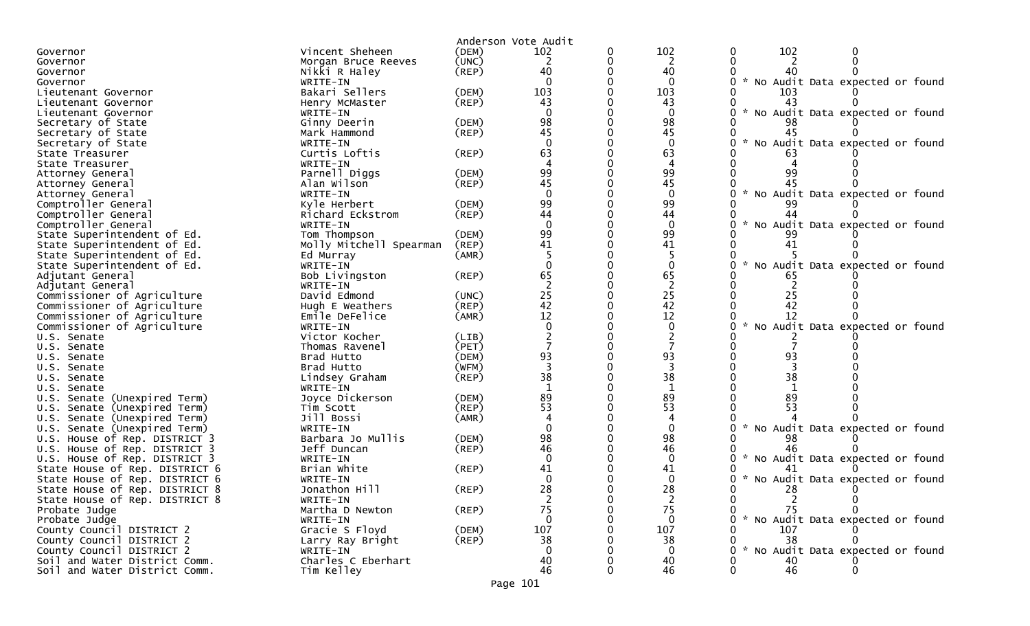|                                                        |             | Anderson Vote Audit      |   |              |                                           |
|--------------------------------------------------------|-------------|--------------------------|---|--------------|-------------------------------------------|
| Vincent Sheheen<br>Governor                            | (DEM)       | 102                      | 0 | 102          | 102<br>0<br>0                             |
| Morgan Bruce Reeves<br>Governor                        | (UNC)       | 2                        | 0 | 2            |                                           |
| Nikki R Haley<br>Governor                              | $($ REP $)$ | 40                       |   | 40           |                                           |
| WRITE-IN<br>Governor                                   |             | $\Omega$                 |   | $\mathbf{0}$ | No Audit Data expected or found<br>0      |
| Bakari Sellers<br>Lieutenant Governor                  | (DEM)       | 103                      |   | 103          | 103                                       |
| Henry McMaster<br>Lieutenant Governor                  | (REP)       | 43                       |   | 43           | 43                                        |
| WRITE-IN<br>Lieutenant Governor                        |             | $\Omega$                 |   | $\mathbf{0}$ | No Audit Data expected or found           |
| Secretary of State<br>Ginny Deerin                     | (DEM)       | 98                       |   | 98           |                                           |
| Mark Hammond<br>Secretary of State                     | (REP)       | 45                       |   | 45           |                                           |
| Secretary of State<br>WRITE-IN                         |             | $\Omega$                 |   | $\Omega$     | No Audit Data expected or found           |
| Curtis Loftis<br>State Treasurer                       | (REP)       | 63                       |   | 63           |                                           |
| WRITE-IN<br>State Treasurer                            |             |                          |   | 4            |                                           |
| Parnell Diggs<br>Attorney General                      | (DEM)       | 99                       |   | 99           | 99                                        |
| Alan Wilson<br>Attorney General                        | (REP)       | 45                       |   | 45           |                                           |
| WRITE-IN<br>Attorney General                           |             | $\Omega$                 |   | $\mathbf{0}$ | No Audit Data expected or found           |
| Comptroller General<br>Kyle Herbert                    | (DEM)       | 99                       |   | 99           | 99                                        |
| Comptroller General<br>Richard Eckstrom                | (REP)       | 44                       |   | 44           | 44                                        |
| Comptroller General<br>WRITE-IN                        |             | $\Omega$                 |   | $\mathbf{0}$ | No Audit Data expected or found           |
| Tom Thompson<br>State Superintendent of Ed.            | (DEM)       | 99                       |   | 99           | 99                                        |
| State Superintendent of Ed.<br>Molly Mitchell Spearman | (REP)       | 41                       |   | 41           | 41                                        |
| State Superintendent of Ed.<br>Ed Murray               | (AMR)       |                          |   |              |                                           |
| State Superintendent of Ed.<br>WRITE-IN                |             | $\Omega$                 |   | $\Omega$     | No Audit Data expected or found           |
| Adjutant General<br>Bob Livingston                     | (REP)       | 65                       |   | 65           | 65                                        |
| Adjutant General<br>WRITE-IN                           |             | $\overline{\phantom{0}}$ |   | 2            |                                           |
| Commissioner of Agriculture<br>David Edmond            | (UNC)       | 25                       |   | 25           | 25                                        |
| Commissioner of Agriculture<br>Hugh E Weathers         | (REP)       | 42                       |   | 42           | 42                                        |
| Commissioner of Agriculture<br>Emile DeFelice          | (AMR)       | 12                       |   | 12           | 12                                        |
| Commissioner of Agriculture<br>WRITE-IN                |             | $\Omega$                 |   | $\mathbf 0$  | No Audit Data expected or found           |
| Victor Kocher<br>U.S. Senate                           | (LIB)       |                          |   |              |                                           |
| Thomas Ravenel<br>U.S. Senate                          | (PET)       |                          |   |              |                                           |
| Brad Hutto<br>U.S. Senate                              | (DEM)       | 93                       |   | 93           | 93                                        |
| Brad Hutto<br>U.S. Senate                              | (WFM)       |                          |   |              |                                           |
| Lindsey Graham<br>U.S. Senate                          | $($ REP $)$ | 38                       |   | 38           | 38                                        |
| WRITE-IN<br>U.S. Senate                                |             | $\mathbf 1$              |   | $\mathbf{1}$ |                                           |
| U.S. Senate (Unexpired Term)<br>Joyce Dickerson        | (DEM)       | 89                       |   | 89           | 89                                        |
| U.S. Senate<br>(Unexpired Term)<br>Tim Scott           | (REP)       | 53                       |   | 53           | 53                                        |
| Jill Bossi<br>Senate (Unexpired Term)<br>U.S.          | (AMR)       |                          |   | 4            |                                           |
| U.S. Senate (Unexpired Term)<br>WRITE-IN               |             |                          |   | $\Omega$     | No Audit Data expected or found           |
| Barbara Jo Mullis<br>U.S. House of Rep. DISTRICT 3     | (DEM)       | 98                       |   | 98           |                                           |
| Jeff Duncan<br>U.S. House of Rep. DISTRICT 3           | (REP)       | 46                       |   | 46           | 46                                        |
| U.S. House of Rep. DISTRICT 3<br>WRITE-IN              |             |                          |   | 0            | $\sim$<br>No Audit Data expected or found |
| State House of Rep. DISTRICT 6<br>Brian White          | $($ REP $)$ | 41                       |   | 41           |                                           |
| State House of Rep. DISTRICT 6<br>WRITE-IN             |             |                          |   | 0            | No Audit Data expected or found<br>*      |
| Jonathon Hill<br>State House of Rep. DISTRICT 8        | (REP)       | 28                       |   | 28           | 28                                        |
| State House of Rep. DISTRICT 8<br>WRITE-IN             |             | 2                        |   | 2            | 2                                         |
| Probate Judge<br>Martha D Newton                       | $($ REP $)$ | 75                       |   | 75           | 75                                        |
| Probate Judge<br>WRITE-IN                              |             | $\Omega$                 |   | $\Omega$     | * No Audit Data expected or found         |
| County Council DISTRICT 2<br>Gracie S Floyd            | (DEM)       | 107                      |   | 107          | 107                                       |
| County Council DISTRICT 2<br>Larry Ray Bright          | (REP)       | 38                       |   | 38           | 38                                        |
| County Council DISTRICT 2<br>WRITE-IN                  |             |                          |   | $\Omega$     | * No Audit Data expected or found         |
| Charles C Eberhart<br>Soil and Water District Comm.    |             | 40                       |   | 40           | 40                                        |
| Soil and Water District Comm.<br>Tim Kelley            |             | 46                       |   | 46           | 46                                        |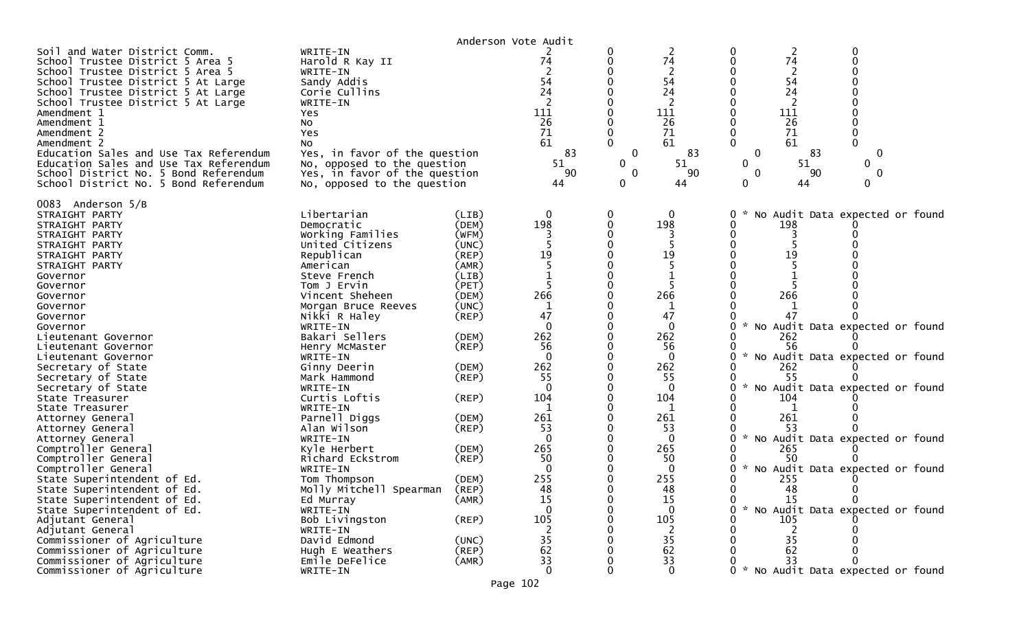|                                                                                                                                                                                                                                                                                                                                                                                                                                                           |                                                                                                                                                                                                                                                      |                                                                                                 | Anderson Vote Audit                                             |                                                 |                                                                                        |                                   |                                                                                                     |                                                                        |  |
|-----------------------------------------------------------------------------------------------------------------------------------------------------------------------------------------------------------------------------------------------------------------------------------------------------------------------------------------------------------------------------------------------------------------------------------------------------------|------------------------------------------------------------------------------------------------------------------------------------------------------------------------------------------------------------------------------------------------------|-------------------------------------------------------------------------------------------------|-----------------------------------------------------------------|-------------------------------------------------|----------------------------------------------------------------------------------------|-----------------------------------|-----------------------------------------------------------------------------------------------------|------------------------------------------------------------------------|--|
| Soil and Water District Comm.<br>School Trustee District 5 Area 5<br>School Trustee District 5 Area 5<br>School Trustee District 5 At Large<br>School Trustee District 5 At Large<br>School Trustee District 5 At Large<br>Amendment 1<br>Amendment 1<br>Amendment 2<br>Amendment 2<br>Education Sales and Use Tax Referendum<br>Education Sales and Use Tax Referendum<br>School District No. 5 Bond Referendum<br>School District No. 5 Bond Referendum | WRITE-IN<br>Harold R Kay II<br>WRITE-IN<br>Sandy Addis<br>Corie Cullins<br>WRITE-IN<br>Yes<br><b>NO</b><br>Yes<br>No<br>Yes, in favor of the question<br>No, opposed to the question<br>Yes, in favor of the question<br>No, opposed to the question |                                                                                                 | 74<br>54<br>24<br>111<br>26<br>71<br>61<br>83<br>51<br>90<br>44 | O<br>0<br>0<br>$\mathbf{0}$<br>$\mathbf 0$<br>0 | 2<br>74<br>$\overline{c}$<br>54<br>24<br>111<br>26<br>71<br>61<br>83<br>51<br>90<br>44 | 0<br>$\Omega$<br>0<br>0<br>0<br>0 | $\overline{2}$<br>74<br>$\overline{2}$<br>54<br>24<br>111<br>26<br>71<br>61<br>83<br>51<br>90<br>44 | 0<br>0<br>$\mathbf{0}$<br>0<br>0<br>$\Omega$                           |  |
| 0083 Anderson 5/B<br>STRAIGHT PARTY<br>STRAIGHT PARTY<br>STRAIGHT PARTY<br>STRAIGHT PARTY<br>STRAIGHT PARTY<br>STRAIGHT PARTY<br>Governor<br>Governor<br>Governor<br>Governor<br>Governor                                                                                                                                                                                                                                                                 | Libertarian<br>Democratic<br>Working Families<br>United Citizens<br>Republican<br>American<br>Steve French<br>Tom J Ervin<br>Vincent Sheheen<br>Morgan Bruce Reeves<br>Nikki R Haley                                                                 | (LIB)<br>(DEM)<br>(WFM)<br>(UNC)<br>(REP)<br>(AMR)<br>(LIB)<br>(PET)<br>(DEM)<br>(UNC)<br>(REP) | 0<br>198<br>19<br>266<br>1<br>47                                | 0<br>∩                                          | 0<br>198<br>19<br>5<br>266<br>1<br>47                                                  | 0<br>$\mathcal{H}_\mathrm{c}$     | 198<br>19<br>266<br>47                                                                              | No Audit Data expected or found                                        |  |
| Governor<br>Lieutenant Governor<br>Lieutenant Governor<br>Lieutenant Governor                                                                                                                                                                                                                                                                                                                                                                             | WRITE-IN<br>Bakari Sellers<br>Henry McMaster<br>WRITE-IN                                                                                                                                                                                             | (DEM)<br>$($ REP $)$<br>(DEM)                                                                   | $\Omega$<br>262<br>56<br>$\Omega$<br>262                        |                                                 | $\mathbf{0}$<br>262<br>56<br>$\Omega$<br>262                                           | 0                                 | 262<br>56<br>262                                                                                    | * No Audit Data expected or found<br>* No Audit Data expected or found |  |
| Secretary of State<br>Secretary of State<br>Secretary of State<br>State Treasurer<br>State Treasurer                                                                                                                                                                                                                                                                                                                                                      | Ginny Deerin<br>Mark Hammond<br>WRITE-IN<br>Curtis Loftis<br>WRITE-IN                                                                                                                                                                                | (REP)<br>(REP)                                                                                  | 55<br>$\Omega$<br>104<br>-1                                     |                                                 | 55<br>$\Omega$<br>104<br>1                                                             | $\mathcal{H}$<br>0                | 55<br>104                                                                                           | No Audit Data expected or found                                        |  |
| Attorney General<br>Attorney General<br>Attorney General<br>Comptroller General                                                                                                                                                                                                                                                                                                                                                                           | Parnell Diggs<br>Alan Wilson<br>WRITE-IN<br>Kyle Herbert                                                                                                                                                                                             | (DEM)<br>$($ REP $)$<br>(DEM)                                                                   | 261<br>53<br>$\Omega$<br>265                                    |                                                 | 261<br>53<br>$\Omega$<br>265                                                           | $\mathcal{H}$<br>U                | 261<br>53<br>265                                                                                    | No Audit Data expected or found                                        |  |
| Comptroller General<br>Comptroller General<br>State Superintendent of Ed.<br>State Superintendent of Ed.<br>State Superintendent of Ed.                                                                                                                                                                                                                                                                                                                   | Richard Eckstrom<br>WRITE-IN<br>Tom Thompson<br>Molly Mitchell Spearman<br>Ed Murray                                                                                                                                                                 | (REP)<br>(DEM)<br>(REP)<br>(AMR)                                                                | 50<br>$\Omega$<br>255<br>48<br>15                               | 0                                               | 50<br>$\bf{0}$<br>255<br>48<br>15                                                      | U<br>0<br>0                       | 50<br>255<br>48<br>15                                                                               | * No Audit Data expected or found<br>0<br>$\mathbf{0}$                 |  |
| State Superintendent of Ed.<br>Adjutant General<br>Adjutant General<br>Commissioner of Agriculture                                                                                                                                                                                                                                                                                                                                                        | WRITE-IN<br>Bob Livingston<br>WRITE-IN<br>David Edmond                                                                                                                                                                                               | (REP)<br>(UNC)                                                                                  | $\mathbf 0$<br>105<br>35                                        |                                                 | 0<br>105<br>2<br>35                                                                    |                                   | 105<br>35                                                                                           | * No Audit Data expected or found                                      |  |
| Commissioner of Agriculture<br>Commissioner of Agriculture<br>Commissioner of Agriculture                                                                                                                                                                                                                                                                                                                                                                 | Hugh E Weathers<br>Emile DeFelice<br>WRITE-IN                                                                                                                                                                                                        | (REP)<br>(AMR)                                                                                  | 62<br>33<br>$\Omega$                                            |                                                 | 62<br>33<br>$\Omega$                                                                   |                                   | 62<br>33                                                                                            | 0 * No Audit Data expected or found                                    |  |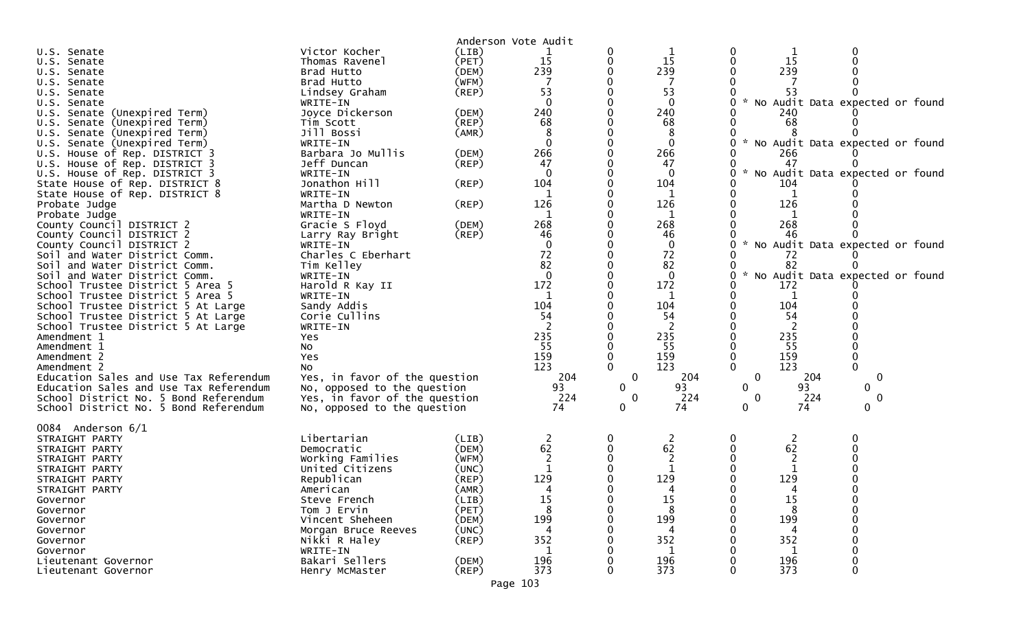|                                        |                               |             | Anderson Vote Audit |              |              |   |     |                                   |
|----------------------------------------|-------------------------------|-------------|---------------------|--------------|--------------|---|-----|-----------------------------------|
| U.S. Senate                            | Victor Kocher                 | (LIB)       |                     | 0            |              |   |     |                                   |
| U.S. Senate                            | Thomas Ravenel                | (PET)       | 15                  |              | 15           |   | 15  |                                   |
| U.S. Senate                            | Brad Hutto                    | (DEM)       | 239                 |              | 239          |   | 239 |                                   |
| U.S. Senate                            | Brad Hutto                    | (WFM)       |                     |              | 7            |   |     |                                   |
| U.S. Senate                            | Lindsey Graham                | $($ REP $)$ | 53                  |              | 53           |   | 53  |                                   |
| U.S. Senate                            | WRITE-IN                      |             |                     |              | $\bf{0}$     |   |     | No Audit Data expected or found   |
| U.S. Senate (Unexpired Term)           | Joyce Dickerson               | (DEM)       | 240                 |              | 240          |   | 240 |                                   |
| U.S. Senate (Unexpired Term)           | Tim Scott                     | (REP)       | 68                  |              | 68           |   | 68  |                                   |
| U.S. Senate (Unexpired Term)           | Jill Bossi                    | (AMR)       | 8                   |              | 8            |   |     |                                   |
| U.S. Senate (Unexpired Term)           | WRITE-IN                      |             | $\Omega$            |              | $\mathbf{0}$ | 0 |     | * No Audit Data expected or found |
| U.S. House of Rep. DISTRICT 3          | Barbara Jo Mullis             | (DEM)       | 266                 |              | 266          |   | 266 |                                   |
| U.S. House of Rep. DISTRICT 3          | Jeff Duncan                   | (REP)       | 47                  |              | 47           |   | 47  |                                   |
| U.S. House of Rep. DISTRICT 3          | WRITE-IN                      |             | $\Omega$            |              | $\mathbf{0}$ | 0 |     | * No Audit Data expected or found |
| State House of Rep. DISTRICT 8         | Jonathon Hill                 | (REP)       | 104                 |              | 104          |   | 104 |                                   |
| State House of Rep. DISTRICT 8         | WRITE-IN                      |             |                     |              |              |   |     |                                   |
| Probate Judge                          | Martha D Newton               | (REP)       | 126                 |              | 126          |   | 126 |                                   |
| Probate Judge                          | WRITE-IN                      |             | 1                   |              | 1            |   | 1   |                                   |
| County Council DISTRICT 2              | Gracie S Floyd                | (DEM)       | 268                 |              | 268          |   | 268 |                                   |
| County Council DISTRICT 2              | Larry Ray Bright              | (REP)       | 46                  |              | 46           |   | 46  |                                   |
| County Council DISTRICT 2              | WRITE-IN                      |             | $\mathbf 0$         |              | $\mathbf 0$  |   |     | No Audit Data expected or found   |
| Soil and Water District Comm.          | Charles C Eberhart            |             | 72                  |              | 72           |   | 72  |                                   |
| Soil and Water District Comm.          | Tim Kelley                    |             | 82                  |              | 82           |   | 82  |                                   |
| Soil and Water District Comm.          | WRITE-IN                      |             | $\mathbf{0}$        |              | $\mathbf 0$  | 0 |     | No Audit Data expected or found   |
| School Trustee District 5 Area 5       | Harold R Kay II               |             | 172                 |              | 172          |   | 172 |                                   |
| School Trustee District 5 Area 5       | WRITE-IN                      |             | $\mathbf{1}$        |              | 1            |   |     |                                   |
| School Trustee District 5 At Large     | Sandy Addis                   |             | 104                 |              | 104          |   | 104 |                                   |
| School Trustee District 5 At Large     | Corie Cullins                 |             | 54                  |              | 54           |   | 54  |                                   |
| School Trustee District 5 At Large     | WRITE-IN                      |             |                     |              | 2            |   | 2   |                                   |
| Amendment 1                            | Yes                           |             | 235                 |              | 235          |   | 235 |                                   |
| Amendment 1                            | No                            |             | 55                  |              | 55           |   | 55  |                                   |
| Amendment 2                            | Yes                           |             | 159                 |              | 159          | 0 | 159 | $\mathbf 0$                       |
| Amendment 2                            | No                            |             | 123                 |              | 123          | 0 | 123 |                                   |
| Education Sales and Use Tax Referendum | Yes, in favor of the question |             | 204                 | $\mathbf 0$  | 204          | 0 | 204 | $\mathbf{0}$                      |
| Education Sales and Use Tax Referendum | No, opposed to the question   |             | 93                  | $\mathbf{0}$ | 93           | 0 | 93  | $\mathbf 0$                       |
| School District No. 5 Bond Referendum  | Yes, in favor of the question |             | 224                 | 0            | 224          | 0 | 224 | 0                                 |
| School District No. 5 Bond Referendum  | No, opposed to the question   |             | 74                  | $\mathbf{0}$ | 74           | 0 | 74  | $\Omega$                          |
|                                        |                               |             |                     |              |              |   |     |                                   |
| 0084 Anderson 6/1                      |                               |             |                     |              |              |   |     |                                   |
| STRAIGHT PARTY                         | Libertarian                   | (LIB)       | 2                   | $\mathbf 0$  | 2            | 0 | 2   |                                   |
| STRAIGHT PARTY                         | Democratic                    | (DEM)       | 62                  |              | 62           |   | 62  |                                   |
| STRAIGHT PARTY                         | Working Families              | (WFM)       | 2                   |              | 2            |   |     |                                   |
| STRAIGHT PARTY                         | United Citizens               | (UNC)       |                     |              | 1            |   |     |                                   |
| STRAIGHT PARTY                         | Republican                    | (REP)       | 129                 |              | 129          |   | 129 |                                   |
| STRAIGHT PARTY                         | American                      | (AMR)       | 4                   |              | 4            |   |     |                                   |
| Governor                               | Steve French                  | (LIB)       | 15                  |              | 15           | 0 | ŦР  |                                   |
| Governor                               | Tom J Ervin                   | (PET)       | 8                   |              | 8            | 0 | 8   |                                   |
| Governor                               | Vincent Sheheen               | (DEM)       | 199                 |              | 199          |   | 199 |                                   |
| Governor                               | Morgan Bruce Reeves           | (UNC)       |                     |              |              |   |     |                                   |
| Governor                               | Nikki R Haley                 | $($ REP $)$ | 352                 |              | 352          |   | 352 |                                   |
| Governor                               | WRITE-IN                      |             |                     |              | 1            |   | 1   |                                   |
| Lieutenant Governor                    | Bakari Sellers                | (DEM)       | 196                 |              | 196          |   | 196 | $\Omega$                          |
| Lieutenant Governor                    | Henry McMaster                | $($ REP $)$ | 373                 | 0            | 373          | 0 | 373 | 0                                 |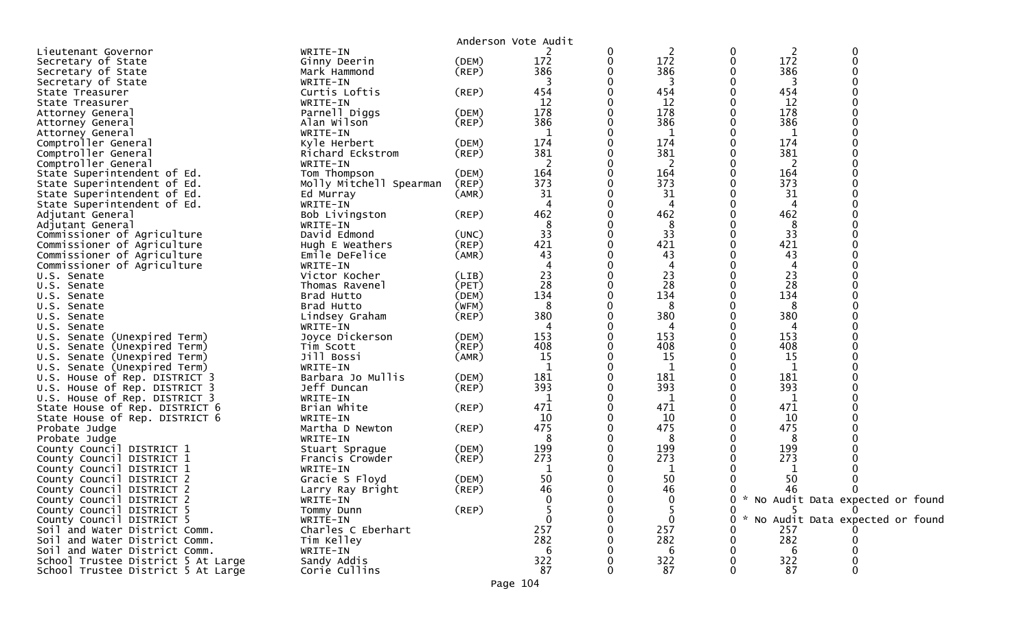|                                    |                         |             | Anderson Vote Audit |   |             |             |     |                                   |
|------------------------------------|-------------------------|-------------|---------------------|---|-------------|-------------|-----|-----------------------------------|
| Lieutenant Governor                | WRITE-IN                |             |                     | 0 | 2           | 0           | 2   | 0                                 |
| Secretary of State                 | Ginny Deerin            | (DEM)       | 172                 | 0 | 172         | $\mathbf 0$ | 172 | $\Omega$                          |
| Secretary of State                 | Mark Hammond            | $($ REP $)$ | 386                 | 0 | 386         | 0           | 386 |                                   |
| Secretary of State                 | WRITE-IN                |             | 3                   | 0 | 3           | 0           | 3   |                                   |
| State Treasurer                    | Curtis Loftis           | $($ REP $)$ | 454                 | 0 | 454         | 0           | 454 |                                   |
| State Treasurer                    | WRITE-IN                |             | 12                  |   | 12          |             | 12  |                                   |
| Attorney General                   | Parnell Diggs           | (DEM)       | 178                 |   | 178         |             | 178 |                                   |
| Attorney General                   | Alan Wilson             | (REP)       | 386                 | 0 | 386         | 0           | 386 |                                   |
| Attorney General                   | WRITE-IN                |             |                     |   | 1           |             | 1   |                                   |
| Comptroller General                | Kyle Herbert            | (DEM)       | 174                 |   | 174         |             | 174 |                                   |
| Comptroller General                | Richard Eckstrom        | $($ REP $)$ | 381                 |   | 381         |             | 381 |                                   |
| Comptroller General                | WRITE-IN                |             | 2                   |   | 2           |             | 2   |                                   |
| State Superintendent of Ed.        | Tom Thompson            | (DEM)       | 164                 | 0 | 164         | 0           | 164 |                                   |
| State Superintendent of Ed.        | Molly Mitchell Spearman | (REP)       | 373                 | 0 | 373         |             | 373 |                                   |
| State Superintendent of Ed.        | Ed Murray               | (AMR)       | 31                  |   | 31          |             | 31  |                                   |
| State Superintendent of Ed.        | WRITE-IN                |             | $\overline{4}$      | 0 | 4           |             | 4   |                                   |
| Adjutant General                   | Bob Livingston          | (REP)       | 462                 |   | 462         |             | 462 |                                   |
|                                    | WRITE-IN                |             | 8                   |   | 8           |             | 8   |                                   |
| Adjutant General                   | David Edmond            | (UNC)       | 33                  | 0 | 33          | 0           | 33  |                                   |
| Commissioner of Agriculture        |                         |             | 421                 | 0 | 421         |             | 421 |                                   |
| Commissioner of Agriculture        | Hugh E Weathers         | (REP)       |                     |   |             |             |     |                                   |
| Commissioner of Agriculture        | Emile DeFelice          | (AMR)       | 43                  |   | 43          |             | 43  |                                   |
| Commissioner of Agriculture        | WRITE-IN                |             |                     |   | 4           |             | 4   |                                   |
| U.S. Senate                        | Victor Kocher           | (LIB)       | 23                  |   | 23          |             | 23  |                                   |
| U.S. Senate                        | Thomas Ravenel          | (PET)       | 28                  | 0 | 28          | $\Omega$    | 28  |                                   |
| U.S. Senate                        | Brad Hutto              | (DEM)       | 134                 | 0 | 134         | 0           | 134 |                                   |
| Senate<br>U.S.                     | Brad Hutto              | (WFM)       | 8                   |   | 8           |             | 8   |                                   |
| U.S. Senate                        | Lindsey Graham          | $($ REP $)$ | 380                 | ∩ | 380         | 0           | 380 |                                   |
| U.S. Senate                        | WRITE-IN                |             |                     |   | 4           |             | 4   |                                   |
| Senate (Unexpired Term)<br>U.S.    | Joyce Dickerson         | (DEM)       | 153                 |   | 153         | 0           | 153 |                                   |
| U.S. Senate (Unexpired Term)       | Tim Scott               | (REP)       | 408                 | 0 | 408         | 0           | 408 |                                   |
| U.S. Senate (Unexpired Term)       | Jill Bossi              | (AMR)       | 15                  | 0 | 15          |             | 15  |                                   |
| Senate (Unexpired Term)<br>U.S.    | WRITE-IN                |             |                     |   | $\mathbf 1$ |             | 1   |                                   |
| U.S. House of Rep. DISTRICT 3      | Barbara Jo Mullis       | (DEM)       | 181                 | 0 | 181         | 0           | 181 |                                   |
| U.S. House of Rep. DISTRICT 3      | Jeff Duncan             | $($ REP $)$ | 393                 | 0 | 393         | 0           | 393 |                                   |
| U.S. House of Rep. DISTRICT 3      | WRITE-IN                |             | -1                  | 0 | 1           | 0           | -1  |                                   |
| State House of Rep. DISTRICT 6     | Brian White             | $($ REP $)$ | 471                 | 0 | 471         | 0           | 471 |                                   |
| State House of Rep. DISTRICT 6     | WRITE-IN                |             | 10                  |   | 10          |             | 10  |                                   |
| Probate Judge                      | Martha D Newton         | $($ REP $)$ | 475                 |   | 475         |             | 475 |                                   |
| Probate Judge                      | WRITE-IN                |             | 8                   | 0 | 8           |             | 8   |                                   |
| County Council DISTRICT 1          | Stuart Sprague          | (DEM)       | 199                 | 0 | 199         | 0           | 199 |                                   |
| County Council DISTRICT 1          | Francis Crowder         | $($ REP $)$ | 273                 | 0 | 273         | 0           | 273 |                                   |
| County Council DISTRICT 1          | WRITE-IN                |             |                     |   | $\mathbf 1$ | 0           |     |                                   |
| County Council DISTRICT 2          | Gracie S Floyd          | (DEM)       | 50                  |   | 50          |             | 50  |                                   |
| County Council DISTRICT 2          | Larry Ray Bright        | (REP)       | 46                  | 0 | 46          | 0           | 46  | $\Omega$                          |
| County Council DISTRICT 2          | WRITE-IN                |             |                     |   | 0           |             |     | * No Audit Data expected or found |
| County Council DISTRICT 5          | Tommy Dunn              | (REP)       |                     |   | 5           | 0           |     |                                   |
| County Council DISTRICT 5          | WRITE-IN                |             |                     |   | 0           | 0           |     | * No Audit Data expected or found |
| Soil and Water District Comm.      | Charles C Eberhart      |             | 257                 |   | 257         |             | 257 |                                   |
| Soil and Water District Comm.      | Tim Kelley              |             | 282                 |   | 282         |             | 282 |                                   |
| Soil and Water District Comm.      | WRITE-IN                |             | 6                   |   | 6           |             | 6   |                                   |
| School Trustee District 5 At Large | Sandy Addis             |             | 322                 |   | 322         |             | 322 |                                   |
| School Trustee District 5 At Large | Corie Cullins           |             | 87                  |   | 87          | 0           | 87  |                                   |
|                                    |                         |             |                     |   |             |             |     |                                   |
|                                    |                         |             | Page 104            |   |             |             |     |                                   |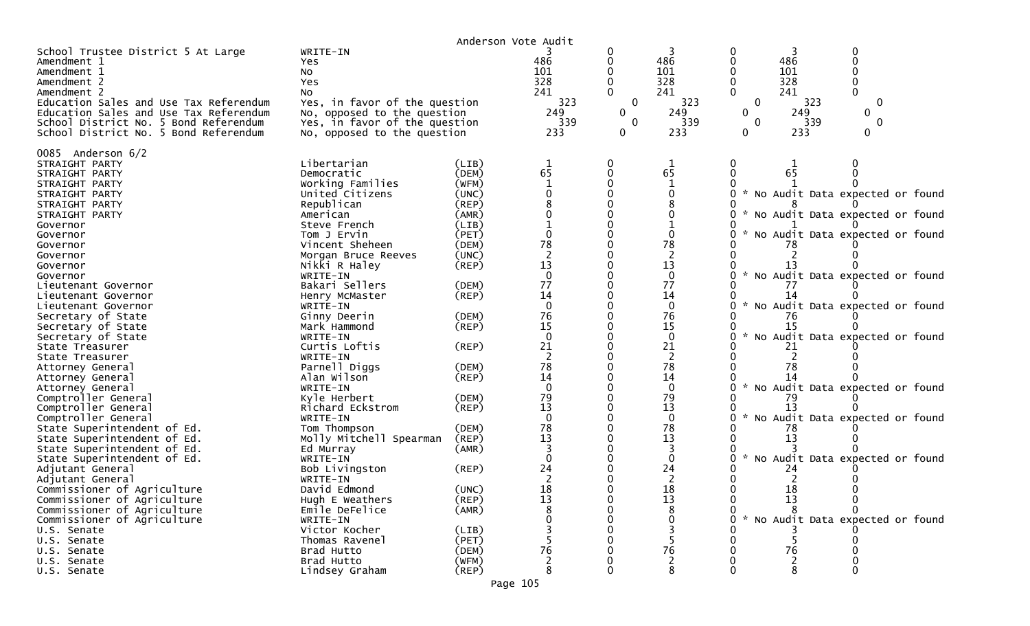|                                                                  |                                     | Anderson Vote Audit |                                         |              |                    |              |            |                                   |  |
|------------------------------------------------------------------|-------------------------------------|---------------------|-----------------------------------------|--------------|--------------------|--------------|------------|-----------------------------------|--|
| School Trustee District 5 At Large<br>Amendment 1<br>Amendment 1 | WRITE-IN<br><b>Yes</b><br>No        |                     | 486<br>101                              | 0<br>0       | 486<br>101         |              | 486<br>101 |                                   |  |
| Amendment 2                                                      | Yes                                 |                     | 328                                     |              | 328                |              | 328        |                                   |  |
| Amendment 2<br>Education Sales and Use Tax Referendum            | No<br>Yes, in favor of the question |                     | 241<br>323                              | $\mathbf 0$  | 241<br>323         | $\mathbf{0}$ | 241<br>323 | $\Omega$                          |  |
| Education Sales and Use Tax Referendum                           | No, opposed to the question         |                     | 249                                     | $\mathbf{0}$ | 249                | 0            | 249        | 0                                 |  |
| School District No. 5 Bond Referendum                            | Yes, in favor of the question       |                     | 339                                     | $\mathbf{0}$ | 339                | $\Omega$     | 339        | $\mathbf{0}$                      |  |
| School District No. 5 Bond Referendum                            | No, opposed to the question         |                     | 233                                     | $\Omega$     | 233                | 0            | 233        |                                   |  |
| 0085 Anderson 6/2                                                |                                     |                     |                                         |              |                    |              |            |                                   |  |
| STRAIGHT PARTY                                                   | Libertarian                         | (LIB)               | 1                                       | 0            |                    |              |            |                                   |  |
| STRAIGHT PARTY                                                   | Democratic                          | (DEM)               | 65                                      | 0            | 65                 |              | 65         |                                   |  |
| STRAIGHT PARTY                                                   | Working Families                    | (WFM)               | $\mathbf{1}$                            |              |                    |              |            |                                   |  |
| STRAIGHT PARTY                                                   | United Citizens                     | (UNC)               |                                         |              |                    |              |            | * No Audit Data expected or found |  |
| STRAIGHT PARTY                                                   | Republican                          | (REP)               |                                         |              |                    |              |            |                                   |  |
| STRAIGHT PARTY                                                   | American                            | (AMR)               |                                         |              |                    |              |            | * No Audit Data expected or found |  |
| Governor                                                         | Steve French                        | (LIB)               |                                         |              |                    |              |            |                                   |  |
| Governor<br>Governor                                             | Tom J Ervin<br>Vincent Sheheen      | (PET)<br>(DEM)      | 78                                      |              | 78                 |              |            | No Audit Data expected or found   |  |
| Governor                                                         | Morgan Bruce Reeves                 | (UNC)               |                                         |              |                    |              |            |                                   |  |
| Governor                                                         | Nikki R Haley                       | (REP)               | 13                                      |              | 13                 |              |            |                                   |  |
| Governor                                                         | WRITE-IN                            |                     | $\Omega$                                |              | $\mathbf{0}$       |              |            | * No Audit Data expected or found |  |
| Lieutenant Governor                                              | Bakari Sellers                      | (DEM)               | 77                                      |              | 77                 |              | 77         |                                   |  |
| Lieutenant Governor                                              | Henry McMaster                      | (REP)               | 14                                      |              | 14                 |              | 14         |                                   |  |
| Lieutenant Governor                                              | WRITE-IN                            |                     | $\Omega$                                |              | $\mathbf{0}$       |              |            | * No Audit Data expected or found |  |
| Secretary of State                                               | Ginny Deerin                        | (DEM)               | 76                                      |              | 76                 |              |            |                                   |  |
| Secretary of State                                               | Mark Hammond                        | (REP)               | 15                                      |              | 15                 |              | 15         |                                   |  |
| Secretary of State                                               | WRITE-IN                            |                     | $\Omega$                                |              | $\mathbf{0}$       |              |            | * No Audit Data expected or found |  |
| State Treasurer                                                  | Curtis Loftis                       | (REP)               | 21                                      |              | 21                 |              | 21         |                                   |  |
| State Treasurer                                                  | WRITE-IN                            |                     | 2                                       |              | 2                  |              |            |                                   |  |
| Attorney General                                                 | Parnell Diggs                       | (DEM)               | 78                                      |              | 78                 |              | 78         |                                   |  |
| Attorney General                                                 | Alan Wilson                         | (REP)               | 14                                      |              | 14                 |              |            |                                   |  |
| Attorney General                                                 | WRITE-IN                            |                     | $\Omega$                                |              | $\mathbf{0}$       |              |            | No Audit Data expected or found   |  |
| Comptroller General                                              | Kyle Herbert                        | (DEM)               | 79                                      |              | 79                 |              | 79         |                                   |  |
| Comptroller General<br>Comptroller General                       | Richard Eckstrom                    | (REP)               | 13<br>$\Omega$                          |              | 13<br>$\mathbf{0}$ |              |            | * No Audit Data expected or found |  |
| State Superintendent of Ed.                                      | WRITE-IN<br>Tom Thompson            | (DEM)               | 78                                      |              | 78                 |              | 78         |                                   |  |
| State Superintendent of Ed.                                      | Molly Mitchell Spearman             | (REP)               | 13                                      |              | 13                 |              | 13         |                                   |  |
| State Superintendent of Ed.                                      | Ed Murray                           | (AMR)               |                                         |              |                    |              |            |                                   |  |
| State Superintendent of Ed.                                      | WRITE-IN                            |                     |                                         |              |                    |              |            | No Audit Data expected or found   |  |
| Adjutant General                                                 | Bob Livingston                      | $($ REP $)$         | 24                                      |              | 24                 |              | 24         |                                   |  |
| Adjutant General                                                 | WRITE-IN                            |                     |                                         |              |                    |              |            |                                   |  |
| Commissioner of Agriculture                                      | David Edmond                        | (UNC)               |                                         |              | 18                 |              | 18         |                                   |  |
| Commissioner of Agriculture                                      | Hugh E Weathers                     | (REP)               | $\begin{array}{c} 18 \\ 13 \end{array}$ |              | 13                 |              | 13         |                                   |  |
| Commissioner of Agriculture                                      | Emile DeFelice                      | (AMR)               |                                         |              |                    |              |            |                                   |  |
| Commissioner of Agriculture                                      | WRITE-IN                            |                     |                                         |              |                    |              |            | * No Audit Data expected or found |  |
| U.S. Senate                                                      | Victor Kocher                       | (LIB)               |                                         |              |                    |              |            |                                   |  |
| U.S. Senate                                                      | Thomas Ravenel                      | (PET)               |                                         |              |                    |              |            |                                   |  |
| U.S. Senate                                                      | Brad Hutto                          | (DEM)               | 76                                      |              | 76                 |              | 76         |                                   |  |
| U.S. Senate                                                      | Brad Hutto                          | (WFM)               |                                         |              |                    |              |            |                                   |  |
| U.S. Senate                                                      | Lindsey Graham                      | $($ REP $)$         | 8                                       |              |                    |              |            |                                   |  |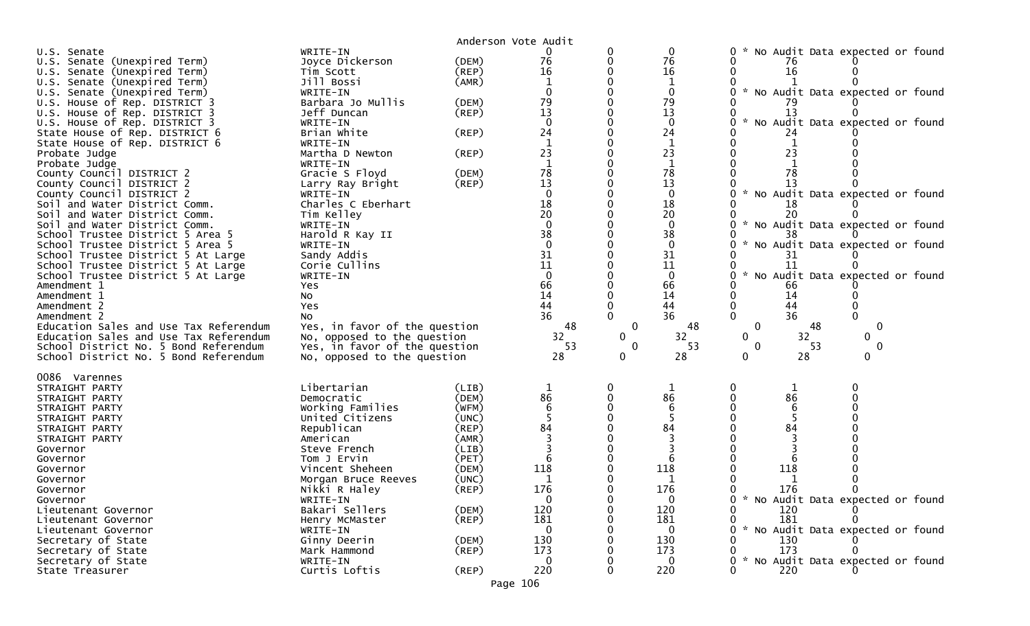|                                        |                               |             | Anderson Vote Audit                    |             |                |                                                  |
|----------------------------------------|-------------------------------|-------------|----------------------------------------|-------------|----------------|--------------------------------------------------|
| U.S. Senate                            | WRITE-IN                      |             | 0                                      |             | 0              | No Audit Data expected or found                  |
| U.S. Senate (Unexpired Term)           | Joyce Dickerson               | (DEM)       | 76                                     |             | 76             | 76                                               |
| U.S. Senate (Unexpired Term)           | Tim Scott                     | $($ REP $)$ | 16                                     |             | 16             | 16                                               |
| U.S. Senate (Unexpired Term)           | Jill Bossi                    | (AMR)       |                                        |             | $\mathbf 1$    |                                                  |
| U.S. Senate (Unexpired Term)           | WRITE-IN                      |             |                                        |             | $\mathbf{0}$   | $\mathcal{H}$<br>No Audit Data expected or found |
| U.S. House of Rep. DISTRICT 3          | Barbara Jo Mullis             | (DEM)       | 79                                     |             | 79             |                                                  |
| U.S. House of Rep. DISTRICT 3          | Jeff Duncan                   | (REP)       | 13                                     |             | 13             | 13                                               |
| U.S. House of Rep. DISTRICT 3          | WRITE-IN                      |             | $\Omega$                               |             | $\mathbf{0}$   | No Audit Data expected or found                  |
| State House of Rep. DISTRICT 6         | Brian White                   | (REP)       | 24                                     |             | 24             | 24                                               |
| State House of Rep. DISTRICT 6         | WRITE-IN                      |             | $\mathbf{1}$                           |             | $\mathbf{1}$   |                                                  |
| Probate Judge                          | Martha D Newton               | (REP)       | 23                                     |             | 23             | 23                                               |
| Probate Judge                          | WRITE-IN                      |             |                                        |             | $\mathbf{1}$   |                                                  |
| County Council DISTRICT 2              | Gracie S Floyd                | (DEM)       | 78                                     |             | 78             | 78                                               |
| County Council DISTRICT 2              | Larry Ray Bright              | (REP)       | 13                                     |             | 13             |                                                  |
| County Council DISTRICT 2              | WRITE-IN                      |             | $\Omega$                               |             | $\mathbf 0$    | * No Audit Data expected or found                |
| Soil and Water District Comm.          | Charles C Eberhart            |             | 18                                     |             | 18             | 18                                               |
| Soil and Water District Comm.          | Tim Kelley                    |             | 20                                     |             | 20             | 20                                               |
|                                        |                               |             | $\Omega$                               |             | $\mathbf{0}$   |                                                  |
| Soil and Water District Comm.          | WRITE-IN                      |             |                                        |             |                | * No Audit Data expected or found                |
| School Trustee District 5 Area 5       | Harold R Kay II               |             | 38<br>$\Omega$                         |             | 38             |                                                  |
| School Trustee District 5 Area 5       | WRITE-IN                      |             |                                        |             | $\mathbf{0}$   | No Audit Data expected or found                  |
| School Trustee District 5 At Large     | Sandy Addis                   |             | 31                                     |             | 31             | 31                                               |
| School Trustee District 5 At Large     | Corie Cullins                 |             | 11                                     |             | 11             | 11                                               |
| School Trustee District 5 At Large     | WRITE-IN                      |             | $\Omega$                               |             | $\mathbf{0}$   | No Audit Data expected or found<br>$\mathcal{H}$ |
| Amendment 1                            | Yes                           |             | 66                                     |             | 66             | 66                                               |
| Amendment 1                            | No                            |             | 14                                     |             | 14             | 14                                               |
| Amendment 2                            | Yes                           |             | 44                                     |             | 44             | 44                                               |
| Amendment 2                            | No                            |             | 36                                     |             | 36             | 36                                               |
| Education Sales and Use Tax Referendum | Yes, in favor of the question |             | 48                                     | 0           | 48             | $\mathbf 0$<br>48<br>0                           |
| Education Sales and Use Tax Referendum | No, opposed to the question   |             | 32                                     | 0           | 32             | 32<br>$\mathbf{0}$<br>0                          |
| School District No. 5 Bond Referendum  | Yes, in favor of the question |             | 53                                     | $\mathbf 0$ | 53             | $\mathbf 0$<br>53<br>$\mathbf 0$                 |
| School District No. 5 Bond Referendum  | No, opposed to the question   |             | 28                                     | 0           | 28             | 28<br>$\Omega$<br>$\Omega$                       |
|                                        |                               |             |                                        |             |                |                                                  |
| 0086 Varennes                          |                               |             |                                        |             |                |                                                  |
| STRAIGHT PARTY                         | Libertarian                   | (LIB)       |                                        |             |                |                                                  |
| STRAIGHT PARTY                         | Democratic                    | (DEM)       | $\begin{array}{c} 86 \\ 6 \end{array}$ |             | 86             | 86<br>6                                          |
| STRAIGHT PARTY                         | Working Families              | (WFM)       |                                        |             | $\overline{6}$ |                                                  |
| STRAIGHT PARTY                         | United Citizens               | (UNC)       |                                        |             |                |                                                  |
| STRAIGHT PARTY                         | Republican                    | (REP)       | 84                                     |             | 84             | 84                                               |
| STRAIGHT PARTY                         | American                      | (AMR)       |                                        |             |                |                                                  |
| Governor                               | Steve French                  | (LIB)       |                                        |             |                |                                                  |
| Governor                               | Tom J Ervin                   | (PET)       |                                        |             |                |                                                  |
| Governor                               | Vincent Sheheen               | (DEM)       | 118                                    |             | 118            | 118                                              |
| Governor                               | Morgan Bruce Reeves           | (UNC)       |                                        |             |                |                                                  |
| Governor                               | Nikki R Haley                 | (REP)       | 176                                    |             | 176            | 176                                              |
| Governor                               | WRITE-IN                      |             | $\mathbf{0}$                           |             | $\mathbf{0}$   | * No Audit Data expected or found                |
| Lieutenant Governor                    | Bakari Sellers                | (DEM)       | 120                                    |             | 120            | 120                                              |
| Lieutenant Governor                    | Henry McMaster                | $($ REP $)$ | 181                                    |             | 181            | 181                                              |
| Lieutenant Governor                    | WRITE-IN                      |             | 0                                      |             | 0              | * No Audit Data expected or found                |
| Secretary of State                     |                               |             |                                        |             | 130            |                                                  |
|                                        | Ginny Deerin                  | (DEM)       | 130                                    |             |                | 130                                              |
|                                        | Mark Hammond                  |             | 173                                    |             | 173            | 173                                              |
| Secretary of State                     | WRITE-IN                      | $($ REP $)$ | 0                                      |             | $\mathbf{0}$   |                                                  |
| Secretary of State<br>State Treasurer  |                               |             | 220                                    |             |                | * No Audit Data expected or found<br>220         |
|                                        | Curtis Loftis                 | (REP)       | Page 106                               |             | 220            |                                                  |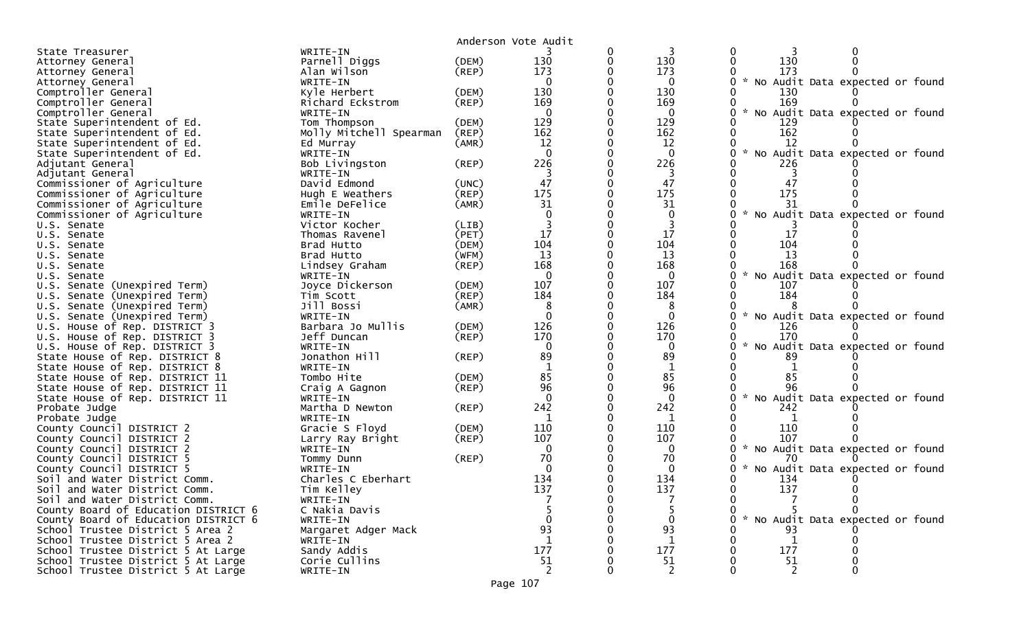|                                                                   |                            |             | Anderson Vote Audit |          |                    |                                                       |
|-------------------------------------------------------------------|----------------------------|-------------|---------------------|----------|--------------------|-------------------------------------------------------|
| State Treasurer                                                   | WRITE-IN                   |             |                     | 0        |                    | 0                                                     |
| Attorney General                                                  | Parnell Diggs              | (DEM)       | 130                 | 0        | 130                | 130<br>$\mathbf{0}$                                   |
| Attorney General                                                  | Alan Wilson                | $($ REP $)$ | 173                 |          | 173                | 173                                                   |
| Attorney General                                                  | WRITE-IN                   |             | $\Omega$            |          | $\Omega$           | * No Audit Data expected or found<br>0                |
| Comptroller General                                               | Kyle Herbert               | (DEM)       | 130                 |          | 130                | 130                                                   |
| Comptroller General                                               | Richard Eckstrom           | (REP)       | 169                 |          | 169                | 169                                                   |
| Comptroller General                                               | WRITE-IN                   |             | $\Omega$            |          | $\mathbf{0}$       | * No Audit Data expected or found<br>0                |
| State Superintendent of Ed.                                       | Tom Thompson               | (DEM)       | 129                 |          | 129                | 129                                                   |
| State Superintendent of Ed.                                       | Molly Mitchell Spearman    | (REP)       | 162                 |          | 162                | 162                                                   |
| State Superintendent of Ed.                                       | Ed Murray                  | (AMR)       | 12                  | 0        | 12                 | 12                                                    |
| State Superintendent of Ed.                                       | WRITE-IN                   |             | $\Omega$            |          | $\mathbf 0$        | * No Audit Data expected or found<br>0                |
| Adjutant General                                                  | Bob Livingston             | (REP)       | 226                 |          | 226                | 226                                                   |
| Adjutant General                                                  | WRITE-IN                   |             |                     |          |                    | 0                                                     |
| Commissioner of Agriculture                                       | David Edmond               | (UNC)       | 47                  |          | 47                 | 47                                                    |
| Commissioner of Agriculture                                       | Hugh E Weathers            | (REP)       | 175                 | $\Omega$ | 175                | 175<br>0                                              |
| Commissioner of Agriculture                                       | Emile DeFelice             | (AMR)       | 31                  |          | 31                 | 31                                                    |
| Commissioner of Agriculture                                       | WRITE-IN                   |             | $\Omega$            |          | $\mathbf{0}$       | $\mathcal{H}$<br>No Audit Data expected or found      |
| U.S. Senate                                                       | Victor Kocher              | (LIB)       |                     |          |                    |                                                       |
| U.S. Senate                                                       | Thomas Ravenel             | (PET)       | 17                  |          | 17                 | 17                                                    |
| U.S. Senate                                                       | Brad Hutto                 | (DEM)       | 104                 |          | 104                | 104                                                   |
| U.S. Senate                                                       | Brad Hutto                 | (WFM)       | 13                  |          | 13                 | 13                                                    |
| U.S. Senate                                                       | Lindsey Graham             | (REP)       | 168                 |          | 168                | 168                                                   |
| U.S. Senate                                                       | WRITE-IN                   |             | $\mathbf 0$         |          | $\mathbf 0$        | $\sim$<br>No Audit Data expected or found             |
| U.S. Senate (Unexpired Term)                                      | Joyce Dickerson            | (DEM)       | 107                 | $\Omega$ | 107                | 107                                                   |
| (Unexpired Term)<br>U.S. Senate                                   | Tim Scott                  | (REP)       | 184                 |          | 184                | 184                                                   |
| U.S. Senate (Unexpired Term)                                      | Jill Bossi                 | (AMR)       | 8                   |          | 8                  |                                                       |
| U.S. Senate (Unexpired Term)                                      | WRITE-IN                   |             | $\Omega$            | $\Omega$ | $\mathbf{0}$       | $\mathcal{H}$<br>No Audit Data expected or found<br>0 |
| U.S. House of Rep. DISTRICT 3                                     | Barbara Jo Mullis          | (DEM)       | 126                 |          | 126                | 126                                                   |
| U.S. House of Rep. DISTRICT 3                                     | Jeff Duncan                | (REP)       | 170                 |          | 170                | 170<br>$\sim$                                         |
| U.S. House of Rep. DISTRICT 3                                     | WRITE-IN                   |             | $\Omega$            |          | $\mathbf{0}$       | 0<br>No Audit Data expected or found                  |
| State House of Rep. DISTRICT 8                                    | Jonathon Hill              | $($ REP $)$ | 89<br>$\mathbf{1}$  |          | 89<br>$\mathbf{1}$ | 89                                                    |
| State House of Rep. DISTRICT 8<br>State House of Rep. DISTRICT 11 | WRITE-IN<br>Tombo Hite     | (DEM)       | 85                  | $\Omega$ | 85                 | 85                                                    |
| State House of Rep. DISTRICT 11                                   |                            | (REP)       | 96                  |          | 96                 | 96                                                    |
| State House of Rep. DISTRICT 11                                   | Craig A Gagnon<br>WRITE-IN |             | $\Omega$            |          | $\Omega$           | $\mathcal{H}$<br>No Audit Data expected or found      |
| Probate Judge                                                     | Martha D Newton            | (REP)       | 242                 | $\Omega$ | 242                | 242                                                   |
| Probate Judge                                                     | WRITE-IN                   |             | 1                   |          | 1                  | 1                                                     |
| County Council DISTRICT 2                                         | Gracie S Floyd             | (DEM)       | 110                 |          | 110                | 110                                                   |
| County Council DISTRICT 2                                         | Larry Ray Bright           | (REP)       | 107                 |          | 107                | 107                                                   |
| County Council DISTRICT 2                                         | WRITE-IN                   |             | $\Omega$            |          | $\Omega$           | 0 * No Audit Data expected or found                   |
| County Council DISTRICT 5                                         | Tommy Dunn                 | (REP)       | 70                  |          | 70                 | 70                                                    |
| County Council DISTRICT 5                                         | WRITE-IN                   |             |                     |          | $\Omega$           | * No Audit Data expected or found                     |
| Soil and Water District Comm.                                     | Charles C Eberhart         |             | 134                 |          | 134                | 134                                                   |
| Soil and Water District Comm.                                     | Tim Kelley                 |             | 137                 |          | 137                | 137<br>$\Omega$<br>$\Omega$                           |
| Soil and Water District Comm.                                     | WRITE-IN                   |             |                     |          |                    |                                                       |
| County Board of Education DISTRICT 6                              | C Nakia Davis              |             |                     |          |                    | 0                                                     |
| County Board of Education DISTRICT 6                              | WRITE-IN                   |             |                     |          |                    | * No Audit Data expected or found                     |
| School Trustee District 5 Area 2                                  | Margaret Adger Mack        |             | 93                  |          | 93                 | 93                                                    |
| School Trustee District 5 Area 2                                  | WRITE-IN                   |             |                     |          | 1                  | 1                                                     |
| School Trustee District 5 At Large                                | Sandy Addis                |             | 177                 |          | 177                | 177                                                   |
| School Trustee District 5 At Large                                | Corie Cullins              |             | 51                  |          | 51                 | 51                                                    |
| School Trustee District 5 At Large                                | WRITE-IN                   |             |                     |          | 2                  |                                                       |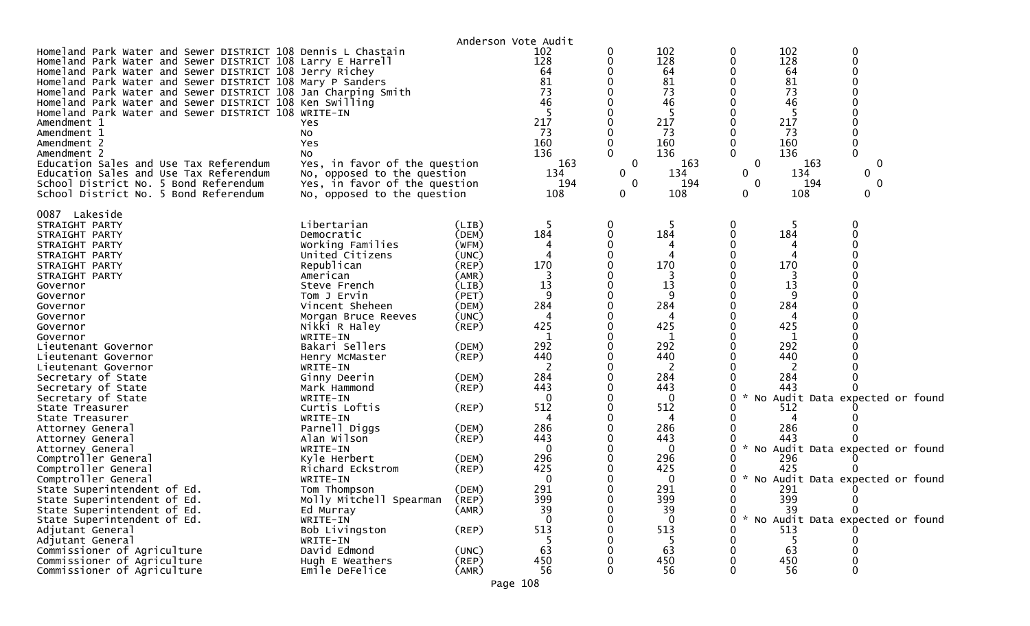|                                                                                                                                                                                                                                                                                                                                                                                                                                                                                                                                                                                                                                                                                                                    |                                                                                                                                                                                                                                                                                                                                                                                                                                                                                                                                         | Anderson Vote Audit                                                                                                                                                                                                                                         |                                                                                                                                                                                               |                       |                                                                                                                                                                                                   |                                                              |                                                                                                                                                     |                                                                                                                                                             |  |
|--------------------------------------------------------------------------------------------------------------------------------------------------------------------------------------------------------------------------------------------------------------------------------------------------------------------------------------------------------------------------------------------------------------------------------------------------------------------------------------------------------------------------------------------------------------------------------------------------------------------------------------------------------------------------------------------------------------------|-----------------------------------------------------------------------------------------------------------------------------------------------------------------------------------------------------------------------------------------------------------------------------------------------------------------------------------------------------------------------------------------------------------------------------------------------------------------------------------------------------------------------------------------|-------------------------------------------------------------------------------------------------------------------------------------------------------------------------------------------------------------------------------------------------------------|-----------------------------------------------------------------------------------------------------------------------------------------------------------------------------------------------|-----------------------|---------------------------------------------------------------------------------------------------------------------------------------------------------------------------------------------------|--------------------------------------------------------------|-----------------------------------------------------------------------------------------------------------------------------------------------------|-------------------------------------------------------------------------------------------------------------------------------------------------------------|--|
| Homeland Park Water and Sewer DISTRICT 108 Dennis L Chastain<br>Homeland Park Water and Sewer DISTRICT 108 Larry E Harrell<br>Homeland Park Water and Sewer DISTRICT 108 Jerry Richey<br>Homeland Park Water and Sewer DISTRICT 108 Mary P Sanders<br>Homeland Park Water and Sewer DISTRICT 108 Jan Charping Smith<br>Homeland Park Water and Sewer DISTRICT 108 Ken Swilling<br>Homeland Park Water and Sewer DISTRICT 108 WRITE-IN<br>Amendment 1<br>Amendment 1<br>Amendment 2<br>Amendment 2<br>Education Sales and Use Tax Referendum<br>Education Sales and Use Tax Referendum<br>School District No. 5 Bond Referendum<br>School District No. 5 Bond Referendum                                            | Yes<br>No<br>Yes<br>No<br>Yes, in favor of the question<br>No, opposed to the question<br>Yes, in favor of the question<br>No, opposed to the question                                                                                                                                                                                                                                                                                                                                                                                  |                                                                                                                                                                                                                                                             | 102<br>128<br>64<br>81<br>73<br>46<br>217<br>73<br>160<br>136<br>163<br>134<br>194<br>108                                                                                                     | O<br>0<br>0<br>0<br>0 | 102<br>128<br>64<br>81<br>73<br>46<br>217<br>73<br>160<br>136<br>163<br>134<br>194<br>108                                                                                                         | 0<br>0<br>0<br>$\bf{0}$<br>$\mathbf{0}$                      | 102<br>128<br>64<br>81<br>73<br>46<br>217<br>73<br>160<br>136<br>163<br>134<br>194<br>108                                                           | 0<br>0<br>0<br>0<br>0<br>0                                                                                                                                  |  |
| 0087 Lakeside<br>STRAIGHT PARTY<br>STRAIGHT PARTY<br>STRAIGHT PARTY<br>STRAIGHT PARTY<br>STRAIGHT PARTY<br>STRAIGHT PARTY<br>Governor<br>Governor<br>Governor<br>Governor<br>Governor<br>Governor<br>Lieutenant Governor<br>Lieutenant Governor<br>Lieutenant Governor<br>Secretary of State<br>Secretary of State<br>Secretary of State<br>State Treasurer<br>State Treasurer<br>Attorney General<br>Attorney General<br>Attorney General<br>Comptroller General<br>Comptroller General<br>Comptroller General<br>State Superintendent of Ed.<br>State Superintendent of Ed.<br>State Superintendent of Ed.<br>State Superintendent of Ed.<br>Adjutant General<br>Adjutant General<br>Commissioner of Agriculture | Libertarian<br>Democratic<br>Working Families<br>United Citizens<br>Republican<br>American<br>Steve French<br>Tom J Ervin<br>Vincent Sheheen<br>Morgan Bruce Reeves<br>Nikki R Haley<br>WRITE-IN<br>Bakari Sellers<br>Henry McMaster<br>WRITE-IN<br>Ginny Deerin<br>Mark Hammond<br>WRITE-IN<br>Curtis Loftis<br>WRITE-IN<br>Parnell Diggs<br>Alan Wilson<br>WRITE-IN<br>Kyle Herbert<br>Richard Eckstrom<br>WRITE-IN<br>Tom Thompson<br>Molly Mitchell Spearman<br>Ed Murray<br>WRITE-IN<br>Bob Livingston<br>WRITE-IN<br>David Edmond | (LIB)<br>(DEM)<br>(WFM)<br>(UNC)<br>$($ REP $)$<br>(AMR)<br>(LIB)<br>(PET)<br>(DEM)<br>(UNC)<br>$($ REP $)$<br>(DEM)<br>(REP)<br>(DEM)<br>(REP)<br>$($ REP $)$<br>(DEM)<br>$($ REP $)$<br>(DEM)<br>$($ REP $)$<br>(DEM)<br>(REP)<br>(AMR)<br>(REP)<br>(UNC) | 5<br>184<br>170<br>13<br>9<br>284<br>4<br>425<br>-1<br>292<br>440<br>2<br>284<br>443<br>$\Omega$<br>512<br>4<br>286<br>443<br>0<br>296<br>425<br>0<br>291<br>399<br>39<br>0<br>513<br>5<br>63 | 0<br>0<br>0           | 184<br>170<br>13<br>$\Omega$<br>284<br>425<br>1<br>292<br>440<br>2<br>284<br>443<br>$\Omega$<br>512<br>4<br>286<br>443<br>0<br>296<br>425<br>$\Omega$<br>291<br>399<br>39<br>0<br>513<br>-5<br>63 | 0<br>$\mathcal{H}$<br>0<br>0<br>0<br>0<br>$\mathcal{H}$<br>0 | 184<br>170<br>13<br>9<br>284<br>425<br>1<br>292<br>440<br>2<br>284<br>443<br>512<br>286<br>443<br>296<br>425<br>291<br>399<br>39<br>513<br>-5<br>63 | 0<br>No Audit Data expected or found<br>* No Audit Data expected or found<br>0<br>* No Audit Data expected or found<br>0<br>No Audit Data expected or found |  |
| Commissioner of Agriculture<br>Commissioner of Agriculture                                                                                                                                                                                                                                                                                                                                                                                                                                                                                                                                                                                                                                                         | Hugh E Weathers<br>Emile DeFelice                                                                                                                                                                                                                                                                                                                                                                                                                                                                                                       | (REP)<br>(AMR)                                                                                                                                                                                                                                              | 450<br>56                                                                                                                                                                                     | 0                     | 450<br>56                                                                                                                                                                                         |                                                              | 450<br>56                                                                                                                                           |                                                                                                                                                             |  |

Page 108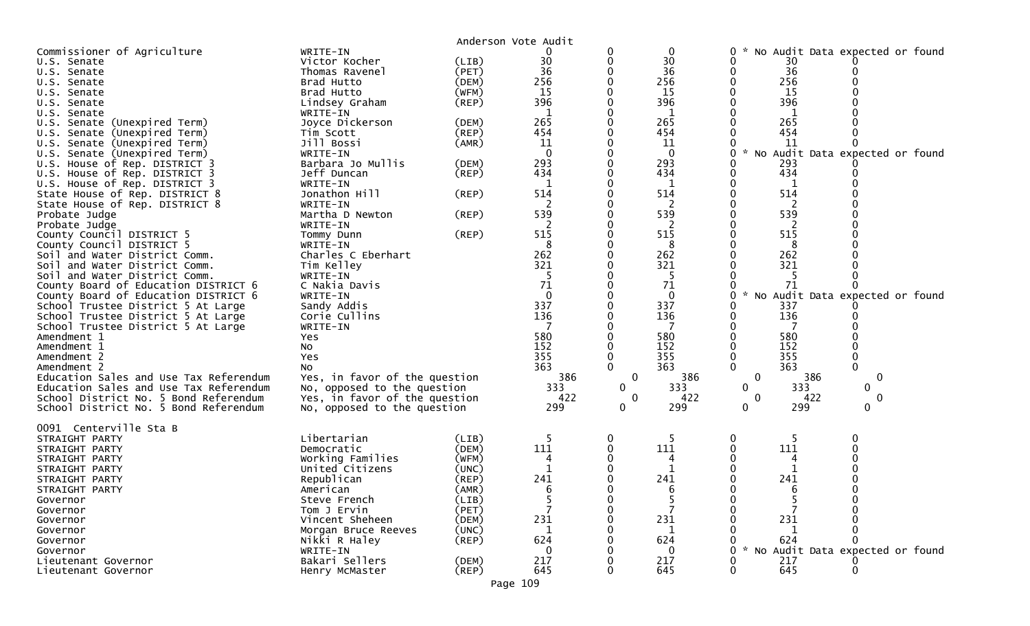|                                                       |                                     |             | Anderson Vote Audit |                  |              |                                      |                                 |        |  |
|-------------------------------------------------------|-------------------------------------|-------------|---------------------|------------------|--------------|--------------------------------------|---------------------------------|--------|--|
| Commissioner of Agriculture                           | WRITE-IN                            |             | 0                   | 0                | $\mathbf 0$  | 0                                    | No Audit Data expected or found |        |  |
| U.S. Senate                                           | Victor Kocher                       | (LIB)       | 30                  | 0                | 30           | 0                                    | 30                              |        |  |
| U.S. Senate                                           | Thomas Ravenel                      | (PET)       | 36                  |                  | 36           | 0                                    | 36                              |        |  |
| U.S.<br>Senate                                        | Brad Hutto                          | (DEM)       | 256                 |                  | 256          | 0                                    | 256                             |        |  |
| U.S. Senate                                           | Brad Hutto                          | (WFM)       | 15                  |                  | 15           |                                      | 15                              |        |  |
| U.S. Senate                                           | Lindsey Graham                      | (REP)       | 396                 | 0                | 396          |                                      | 396                             |        |  |
| U.S.<br>Senate                                        | WRITE-IN                            |             | 1                   |                  | 1            |                                      | 1                               |        |  |
| U.S. Senate (Unexpired Term)                          | Joyce Dickerson                     | (DEM)       | 265                 | 0                | 265          |                                      | 265                             |        |  |
| Senate (Unexpired Term)<br>U.S.                       | Tim Scott                           | (REP)       | 454                 |                  | 454          |                                      | 454                             |        |  |
| Senate (Unexpired Term)<br>U.S.                       | Jill Bossi                          | (AMR)       | 11                  |                  | 11           |                                      | 11                              |        |  |
| Senate (Unexpired Term)<br>U.S.                       | WRITE-IN                            |             | $\overline{0}$      | 0                | $\Omega$     | 0<br>NO                              | Audit Data expected or found    |        |  |
| U.S. House of Rep. DISTRICT 3                         | Barbara Jo Mullis                   | (DEM)       | 293                 |                  | 293          | 0                                    | 293                             |        |  |
| House of Rep. DISTRICT 3<br>U.S.                      | Jeff Duncan                         | $($ REP $)$ | 434                 |                  | 434          | 0                                    | 434                             |        |  |
| U.S. House of Rep. DISTRICT 3                         | WRITE-IN                            |             | $\mathbf{1}$        | 0                | 1            | 0                                    |                                 |        |  |
| State House of Rep. DISTRICT 8                        | Jonathon Hill                       | (REP)       | 514                 |                  | 514          |                                      | 514                             |        |  |
| State House of Rep. DISTRICT 8                        | WRITE-IN                            |             | 2                   |                  | 2            |                                      | 2                               |        |  |
| Probate Judge                                         | Martha D Newton                     | (REP)       | 539                 | 0                | 539          |                                      | 539                             |        |  |
| Probate Judge                                         | WRITE-IN                            |             | 2                   |                  | 2            |                                      | 2                               |        |  |
| County Council DISTRICT 5                             | Tommy Dunn                          | (REP)       | 515                 |                  | 515          |                                      | 515                             |        |  |
| County Council DISTRICT 5                             | WRITE-IN                            |             | 8                   | 0                | 8            |                                      | 8                               |        |  |
| Soil and Water District Comm.                         | Charles C Eberhart                  |             | 262                 |                  | 262          |                                      | 262                             |        |  |
| Soil and Water District Comm.                         | Tim Kelley                          |             | 321                 |                  | 321          |                                      | 321                             |        |  |
| Soil and Water District Comm.                         | WRITE-IN                            |             | .5                  |                  | -5           |                                      |                                 |        |  |
| County Board of Education DISTRICT 6                  | C Nakia Davis                       |             | 71                  |                  | 71           |                                      | 71                              | U      |  |
| County Board of Education DISTRICT 6                  | WRITE-IN                            |             | $\mathbf{0}$        |                  | $\mathbf{0}$ |                                      | No Audit Data expected or found |        |  |
| School Trustee District 5 At Large                    | Sandy Addis                         |             | 337                 |                  | 337          |                                      | 337                             |        |  |
| School Trustee District 5 At Large                    | Corie Cullins                       |             | 136                 |                  | 136          |                                      | 136                             |        |  |
| School Trustee District 5 At Large                    | WRITE-IN                            |             |                     |                  |              |                                      |                                 |        |  |
| Amendment 1                                           | Yes                                 |             | 580                 |                  | 580          |                                      | 580                             |        |  |
| Amendment 1                                           | No                                  |             | 152                 |                  | 152          |                                      | 152                             |        |  |
| Amendment 2                                           | Yes                                 |             | 355                 |                  | 355          |                                      | 355                             |        |  |
|                                                       |                                     |             | 363                 | $\Omega$         | 363          | $\Omega$                             | 363                             | 0      |  |
| Amendment 2<br>Education Sales and Use Tax Referendum | No<br>Yes, in favor of the question |             | 386                 | 0                | 386          | 0                                    | 386                             | 0      |  |
|                                                       |                                     |             | 333                 |                  | 333          | 0                                    | 333                             |        |  |
| Education Sales and Use Tax Referendum                | No, opposed to the question         |             | 422                 | 0<br>$\mathbf 0$ |              | $\mathbf{0}$                         |                                 | 0<br>0 |  |
| School District No. 5 Bond Referendum                 | Yes, in favor of the question       |             | 299                 | $\mathbf 0$      | 422<br>299   |                                      | 422<br>299                      | 0      |  |
| School District No. 5 Bond Referendum                 | No, opposed to the question         |             |                     |                  |              | 0                                    |                                 |        |  |
| 0091 Centerville Sta B                                |                                     |             |                     |                  |              |                                      |                                 |        |  |
| STRAIGHT PARTY                                        | Libertarian                         | (LIB)       | -5                  | 0                | -5           | $\bf{0}$                             | 5                               | 0      |  |
| STRAIGHT PARTY                                        | Democratic                          | (DEM)       | 111                 |                  | 111          |                                      | 111                             |        |  |
| STRAIGHT PARTY                                        | Working Families                    | (WFM)       | 4                   |                  | 4            |                                      | 4                               |        |  |
| STRAIGHT PARTY                                        | United Citizens                     | (UNC)       | $\mathbf{1}$        |                  |              |                                      |                                 |        |  |
| STRAIGHT PARTY                                        | Republican                          | $($ REP $)$ | 241                 |                  | 241          |                                      | 241                             |        |  |
| STRAIGHT PARTY                                        | American                            | (AMR)       | 6                   |                  |              |                                      |                                 |        |  |
| Governor                                              | Steve French                        | (LIB)       | 5                   | 0                | 5            | 0                                    |                                 |        |  |
| Governor                                              | Tom J Ervin                         | (PET)       |                     | 0                |              | 0                                    |                                 |        |  |
| Governor                                              | Vincent Sheheen                     | (DEM)       | 231                 |                  | 231          |                                      | 231                             |        |  |
| Governor                                              | Morgan Bruce Reeves                 | (UNC)       | $\mathbf{1}$        |                  | -1           |                                      |                                 |        |  |
| Governor                                              | Nikki R Haley                       | $($ REP $)$ | 624                 |                  | 624          |                                      | 624                             | 0      |  |
| Governor                                              |                                     |             | $\Omega$            |                  | $\Omega$     | $\mathcal{H}$<br>0<br>N <sub>O</sub> | Audit Data expected or found    |        |  |
| Lieutenant Governor                                   | WRITE-IN<br>Bakari Sellers          | (DEM)       | 217                 |                  | 217          |                                      | 217                             |        |  |
| Lieutenant Governor                                   | Henry McMaster                      | $($ REP $)$ | 645                 |                  | 645          | 0                                    | 645                             | 0      |  |
|                                                       |                                     |             |                     |                  |              |                                      |                                 |        |  |
|                                                       |                                     |             | Page 109            |                  |              |                                      |                                 |        |  |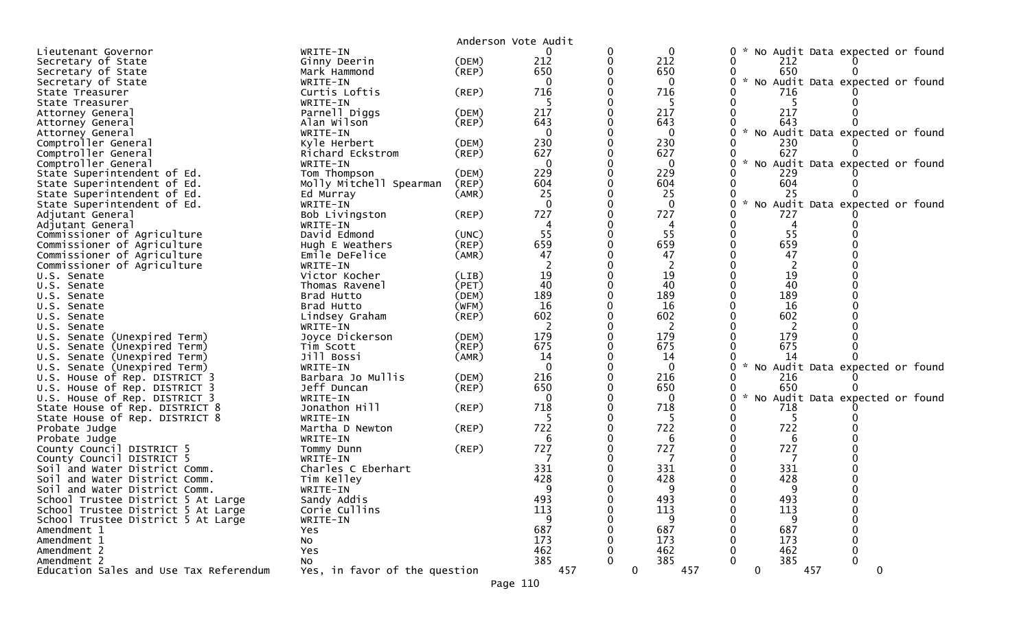|                                                                |                               |             | Anderson Vote Audit |                    |                                                       |  |
|----------------------------------------------------------------|-------------------------------|-------------|---------------------|--------------------|-------------------------------------------------------|--|
| Lieutenant Governor                                            | WRITE-IN                      |             |                     | 0                  | No Audit Data expected or found<br>0                  |  |
| Secretary of State                                             | Ginny Deerin                  | (DEM)       | 212                 | 212                | 0<br>212                                              |  |
| Secretary of State                                             | Mark Hammond                  | $($ REP $)$ | 650                 | 650                | 650                                                   |  |
| Secretary of State                                             | WRITE-IN                      |             | $\mathbf{0}$        | $\mathbf{0}$       | * No Audit Data expected or found<br>0                |  |
| State Treasurer                                                | Curtis Loftis                 | (REP)       | 716                 | 716                | 716                                                   |  |
| State Treasurer                                                | WRITE-IN                      |             |                     |                    |                                                       |  |
| Attorney General                                               | Parnell Diggs                 | (DEM)       | 217                 | 217                | 217                                                   |  |
| Attorney General                                               | Alan Wilson                   | (REP)       | 643                 | 643                | 643                                                   |  |
| Attorney General                                               | WRITE-IN                      |             | $\Omega$            | $\Omega$           | $\sim$<br>No Audit Data expected or found<br>0        |  |
| Comptroller General                                            | Kyle Herbert                  | (DEM)       | 230                 | 230                | 230                                                   |  |
| Comptroller General                                            | Richard Eckstrom              | (REP)       | 627                 | 627                | 627                                                   |  |
| Comptroller General                                            | WRITE-IN                      |             | $\mathbf 0$         | $\Omega$           | $\mathcal{H}$<br>No Audit Data expected or found<br>0 |  |
| State Superintendent of Ed.                                    | Tom Thompson                  | (DEM)       | 229                 | 229                | 229                                                   |  |
| State Superintendent of Ed.                                    | Molly Mitchell Spearman       | (REP)       | 604                 | 604                | 604                                                   |  |
| State Superintendent of Ed.                                    | Ed Murray                     | (AMR)       | 25                  | 25                 | 25                                                    |  |
| State Superintendent of Ed.                                    | WRITE-IN                      |             | $\Omega$            | $\Omega$           | * No Audit Data expected or found<br>0                |  |
| Adjutant General                                               | Bob Livingston                | (REP)       | 727                 | 727                | 727                                                   |  |
| Adjutant General                                               | WRITE-IN                      |             |                     |                    |                                                       |  |
| Commissioner of Agriculture                                    | David Edmond                  | (UNC)       | 55                  | 55                 | 55                                                    |  |
| Commissioner of Agriculture                                    | Hugh E Weathers               | $($ REP $)$ | 659                 | 659                | 659                                                   |  |
| Commissioner of Agriculture                                    | Emile DeFelice                | (AMR)       | 47                  | 47                 | 47                                                    |  |
| Commissioner of Agriculture                                    | WRITE-IN                      |             |                     | 2                  | 2                                                     |  |
| U.S. Senate                                                    | Victor Kocher                 | (LIB)       | 19                  | 19                 | 19                                                    |  |
| U.S. Senate                                                    | Thomas Ravenel                | (PET)       | 40                  | 40                 | 40                                                    |  |
| U.S. Senate                                                    | Brad Hutto                    | (DEM)       | 189                 | 189                | 189                                                   |  |
| U.S. Senate                                                    | Brad Hutto                    | (WFM)       | 16                  | 16                 | 16                                                    |  |
| U.S. Senate                                                    | Lindsey Graham                | $($ REP $)$ | 602                 | 602                | 602                                                   |  |
| U.S. Senate                                                    | WRITE-IN                      |             |                     | $\overline{2}$     | 2                                                     |  |
| U.S. Senate (Unexpired Term)                                   | Joyce Dickerson               | (DEM)       | 179                 | 179                | 179                                                   |  |
| (Unexpired Term)<br>U.S. Senate                                | Tim Scott                     | (REP)       | 675<br>14           | 675                | 675<br>14                                             |  |
| U.S. Senate (Unexpired Term)                                   | Jill Bossi<br>WRITE-IN        | (AMR)       | $\Omega$            | 14                 |                                                       |  |
| U.S. Senate (Unexpired Term)                                   | Barbara Jo Mullis             | (DEM)       | 216                 | $\bf{0}$<br>216    | No Audit Data expected or found<br>216                |  |
| U.S. House of Rep. DISTRICT 3<br>U.S. House of Rep. DISTRICT 3 | Jeff Duncan                   | (REP)       | 650                 | 650                | 650                                                   |  |
| U.S. House of Rep. DISTRICT 3                                  | WRITE-IN                      |             | $\Omega$            | $\Omega$           | $\sim$<br>No Audit Data expected or found             |  |
| State House of Rep. DISTRICT 8                                 | Jonathon Hill                 | (REP)       | 718                 | 718                | 718                                                   |  |
| State House of Rep. DISTRICT 8                                 | WRITE-IN                      |             |                     | -5                 | -5                                                    |  |
| Probate Judge                                                  | Martha D Newton               | (REP)       | 722                 | 722                | 722                                                   |  |
| Probate Judge                                                  | WRITE-IN                      |             | 6                   | 6                  | 6                                                     |  |
| County Council DISTRICT 5                                      | Tommy Dunn                    | (REP)       | 727                 | 727                | 727                                                   |  |
| County Council DISTRICT 5                                      | WRITE-IN                      |             |                     |                    |                                                       |  |
| Soil and Water District Comm.                                  | Charles C Eberhart            |             | 331                 | 331                | 331                                                   |  |
| Soil and Water District Comm.                                  | Tim Kelley                    |             | 428                 | 428                | 428                                                   |  |
| Soil and Water District Comm.                                  | WRITE-IN                      |             | a                   | a                  | Q                                                     |  |
| School Trustee District 5 At Large                             | Sandy Addis                   |             | 493                 | 493                | 493<br>0<br>0                                         |  |
| School Trustee District 5 At Large                             | Corie Cullins                 |             | 113                 | 113                | 113                                                   |  |
| School Trustee District 5 At Large                             | WRITE-IN                      |             | 9                   | 9                  | 9                                                     |  |
| Amendment 1                                                    | Yes                           |             | 687                 | 687                | 687                                                   |  |
| Amendment 1                                                    | No                            |             | 173                 | 173                | 173                                                   |  |
| Amendment 2                                                    | Yes                           |             | 462                 | 462                | 462                                                   |  |
| Amendment 2                                                    | No                            |             | 385                 | 385                | 385<br>$\Omega$                                       |  |
| Education Sales and Use Tax Referendum                         | Yes, in favor of the question |             | 457                 | $\mathbf 0$<br>457 | $\mathbf 0$<br>457<br>$\mathbf 0$                     |  |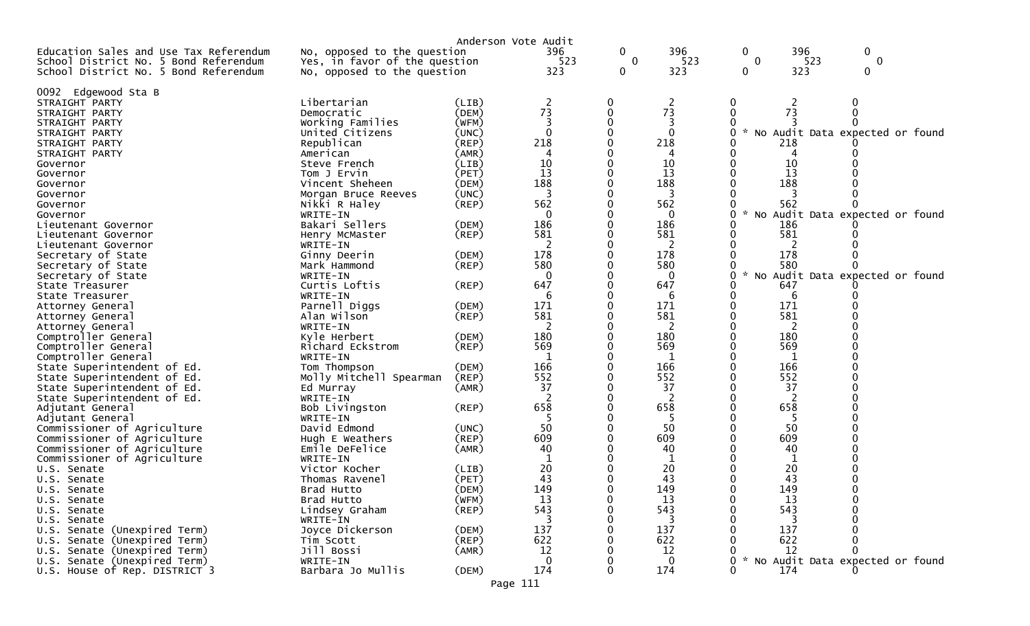|                                            |                                                              | Anderson Vote Audit |                |                                |              |               |          |                                   |
|--------------------------------------------|--------------------------------------------------------------|---------------------|----------------|--------------------------------|--------------|---------------|----------|-----------------------------------|
| Education Sales and Use Tax Referendum     | No, opposed to the question<br>Yes, in favor of the question |                     | 396<br>523     | $\mathbf{0}$<br>$\overline{0}$ | 396<br>523   | 0<br>$\Omega$ | 396      | $\mathbf{0}$<br>523<br>$\Omega$   |
| School District No. 5 Bond Referendum      | No, opposed to the question                                  |                     | 323            | 0                              | 323          | 0             | 323      | 0                                 |
| School District No. 5 Bond Referendum      |                                                              |                     |                |                                |              |               |          |                                   |
| 0092<br>Edgewood Sta B                     |                                                              |                     |                |                                |              |               |          |                                   |
| STRAIGHT PARTY                             | Libertarian                                                  | (LIB)               | $\overline{c}$ | 0                              | 2            |               | 2        |                                   |
| STRAIGHT PARTY                             | Democratic                                                   | (DEM)               | 73             | 0                              | 73           |               | 73       |                                   |
| STRAIGHT PARTY                             | Working Families                                             | (WFM)               | 3              | 0                              | 3            |               |          |                                   |
| STRAIGHT PARTY                             | United Citizens                                              | (UNC)               | $\Omega$       |                                | $\Omega$     |               |          | No Audit Data expected or found   |
| STRAIGHT PARTY                             | Republican                                                   | $($ REP $)$         | 218            |                                | 218          |               | 218      |                                   |
| STRAIGHT PARTY                             | American                                                     | (AMR)               | 4              |                                | 4            |               | 4        |                                   |
| Governor                                   | Steve French                                                 | (LIB)               | 10             |                                | 10           |               | 10       |                                   |
| Governor                                   | Tom J Ervin                                                  | (PET)               | 13             |                                | 13           |               | 13       |                                   |
| Governor                                   | Vincent Sheheen                                              | (DEM)               | 188            |                                | 188          |               | 188      |                                   |
| Governor                                   | Morgan Bruce Reeves                                          | (UNC)               | 3              |                                | 3            |               |          |                                   |
| Governor                                   | Nikki R Haley                                                | (REP)               | 562            |                                | 562          |               | 562      |                                   |
| Governor                                   | WRITE-IN                                                     |                     | $\mathbf 0$    |                                | 0            |               |          | * No Audit Data expected or found |
| Lieutenant Governor                        | Bakari Sellers                                               | (DEM)               | 186            |                                | 186          |               | 186      |                                   |
| Lieutenant Governor                        | Henry McMaster                                               | (REP)               | 581            |                                | 581          |               | 581      |                                   |
| Lieutenant Governor                        | WRITE-IN                                                     |                     | 2              |                                | <sup>2</sup> |               | 2        |                                   |
| Secretary of State                         | Ginny Deerin                                                 | (DEM)               | 178            |                                | 178          |               | 178      |                                   |
| Secretary of State                         | Mark Hammond                                                 | (REP)               | 580            |                                | 580          |               | 580      |                                   |
| Secretary of State                         | WRITE-IN                                                     |                     | $\mathbf{0}$   |                                | 0            | $\mathcal{H}$ |          | No Audit Data expected or found   |
| State Treasurer                            | Curtis Loftis                                                | (REP)               | 647            |                                | 647          |               | 647      |                                   |
| State Treasurer                            | WRITE-IN                                                     |                     | 6              |                                | 6            |               | 6        |                                   |
| Attorney General                           | Parnell Diggs                                                | (DEM)               | 171            |                                | 171          |               | 171      |                                   |
| Attorney General                           | Alan Wilson                                                  | $($ REP $)$         | 581            |                                | 581          |               | 581      |                                   |
| Attorney General                           | WRITE-IN                                                     |                     | 2              |                                | 2            |               | 2<br>180 |                                   |
| Comptroller General                        | Kyle Herbert                                                 | (DEM)               | 180<br>569     |                                | 180<br>569   |               | 569      |                                   |
| Comptroller General<br>Comptroller General | Richard Eckstrom<br>WRITE-IN                                 | (REP)               | -1             |                                | 1            |               |          |                                   |
| State Superintendent of Ed.                | Tom Thompson                                                 | (DEM)               | 166            |                                | 166          |               | 166      |                                   |
| State Superintendent of Ed.                | Molly Mitchell Spearman                                      | (REP)               | 552            |                                | 552          |               | 552      |                                   |
| State Superintendent of Ed.                | Ed Murray                                                    | (AMR)               | 37             |                                | 37           |               | 37       |                                   |
| State Superintendent of Ed.                | WRITE-IN                                                     |                     | 2              |                                | 2            |               | 2        |                                   |
| Adjutant General                           | Bob Livingston                                               | (REP)               | 658            |                                | 658          |               | 658      |                                   |
| Adjutant General                           | WRITE-IN                                                     |                     |                |                                |              |               |          |                                   |
| Commissioner of Agriculture                | David Edmond                                                 | (UNC)               | 50             |                                | 50           |               | 50       |                                   |
| Commissioner of Agriculture                | Hugh E Weathers                                              | (REP)               | 609            |                                | 609          |               | 609      |                                   |
| Commissioner of Agriculture                | Emile DeFelice                                               | (AMR)               | 40             |                                | 40           |               | 40       |                                   |
| Commissioner of Agriculture                | WRITE-IN                                                     |                     |                |                                |              |               |          |                                   |
| U.S. Senate                                | Victor Kocher                                                | (LIB)               | 20             |                                | 20           |               | 20       |                                   |
| U.S. Senate                                | Thomas Ravenel                                               | (PET)               | 43             |                                | 43           |               | 43       |                                   |
| U.S. Senate                                | Brad Hutto                                                   | (DEM)               | 149            | 0                              | 149          | 0             | 149      |                                   |
| U.S. Senate                                | Brad Hutto                                                   | (WFM)               | 13             | 0                              | 13           |               | 13       |                                   |
| U.S. Senate                                | Lindsey Graham                                               | (REP)               | 543            |                                | 543          |               | 543      |                                   |
| U.S. Senate                                | WRITE-IN                                                     |                     |                |                                | 3            |               | 3        |                                   |
| U.S. Senate (Unexpired Term)               | Joyce Dickerson                                              | (DEM)               | 137            |                                | 137          |               | 137      |                                   |
| U.S. Senate (Unexpired Term)               | Tim Scott                                                    | (REP)               | 622            |                                | 622          |               | 622      |                                   |
| U.S. Senate (Unexpired Term)               | Jill Bossi                                                   | (AMR)               | 12             |                                | 12           |               | 12       |                                   |
| U.S. Senate (Unexpired Term)               | WRITE-IN                                                     |                     | $\Omega$       |                                | 0            |               |          | No Audit Data expected or found   |
| U.S. House of Rep. DISTRICT 3              | Barbara Jo Mullis                                            | (DEM)               | 174            | 0                              | 174          |               | 174      |                                   |
|                                            |                                                              | Page 111            |                |                                |              |               |          |                                   |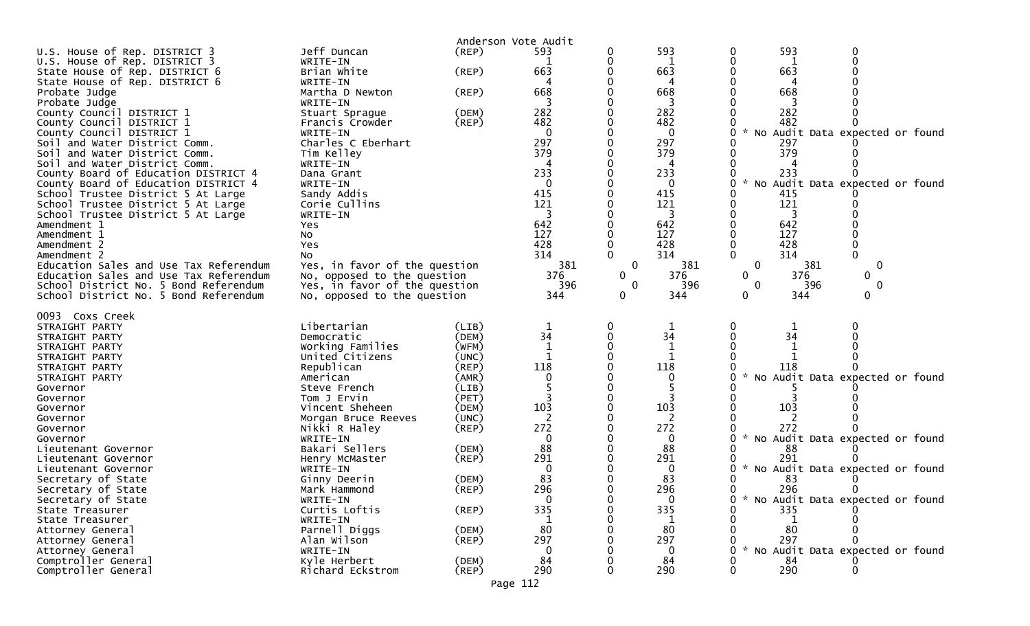|                                                        |                                     |                | Anderson Vote Audit |              |              |                                                       |  |
|--------------------------------------------------------|-------------------------------------|----------------|---------------------|--------------|--------------|-------------------------------------------------------|--|
| U.S. House of Rep. DISTRICT 3                          | Jeff Duncan                         | (REP)          | 593                 | 0            | 593          | 593<br>0<br>0                                         |  |
| U.S. House of Rep. DISTRICT 3                          | WRITE-IN                            |                |                     | 0            | 1            | 0<br>1                                                |  |
| State House of Rep. DISTRICT 6                         | Brian White                         | $($ REP $)$    | 663                 |              | 663          | 663                                                   |  |
| State House of Rep. DISTRICT 6                         | WRITE-IN                            |                | 4                   |              | 4            | 4                                                     |  |
| Probate Judge                                          | Martha D Newton                     | (REP)          | 668                 |              | 668          | 668                                                   |  |
| Probate Judge                                          | WRITE-IN                            |                | 282                 |              | 282          | 282                                                   |  |
| County Council DISTRICT 1<br>County Council DISTRICT 1 | Stuart Sprague<br>Francis Crowder   | (DEM)<br>(REP) | 482                 |              | 482          | 482                                                   |  |
| County Council DISTRICT 1                              | WRITE-IN                            |                | 0                   |              | 0            | $\mathcal{H}$<br>No Audit Data expected or found<br>0 |  |
| Soil and Water District Comm.                          | Charles C Eberhart                  |                | 297                 |              | 297          | 297                                                   |  |
| Soil and Water District Comm.                          | Tim Kelley                          |                | 379                 |              | 379          | 379                                                   |  |
| Soil and Water District Comm.                          | WRITE-IN                            |                |                     |              |              |                                                       |  |
| County Board of Education DISTRICT 4                   | Dana Grant                          |                | 233                 |              | 233          | 233<br>0                                              |  |
| County Board of Education DISTRICT 4                   | WRITE-IN                            |                | $\Omega$            |              | 0            | $\sim$<br>No Audit Data expected or found<br>0        |  |
| School Trustee District 5 At Large                     | Sandy Addis                         |                | 415                 |              | 415          | 415                                                   |  |
| School Trustee District 5 At Large                     | Corie Cullins                       |                | 121                 |              | 121          | 121                                                   |  |
| School Trustee District 5 At Large<br>Amendment 1      | WRITE-IN                            |                | 642                 |              | 3<br>642     | 642                                                   |  |
| Amendment 1                                            | Yes<br>No                           |                | 127                 |              | 127          | 127                                                   |  |
| Amendment 2                                            | Yes                                 |                | 428                 |              | 428          | 428                                                   |  |
| Amendment 2                                            | No.                                 |                | 314                 | $\Omega$     | 314          | $\Omega$<br>$\Omega$<br>314                           |  |
| Education Sales and Use Tax Referendum                 | Yes, in favor of the question       |                | 381                 | $\mathbf 0$  | 381          | 0<br>$\mathbf{0}$<br>381                              |  |
| Education Sales and Use Tax Referendum                 | No, opposed to the question         |                | 376                 | $\mathbf{0}$ | 376          | 0<br>376<br>0                                         |  |
| School District No. 5 Bond Referendum                  | Yes, in favor of the question       |                | 396                 | $\Omega$     | 396          | 396<br>$\mathbf{0}$<br>$\Omega$                       |  |
| School District No. 5 Bond Referendum                  | No, opposed to the question         |                | 344                 | 0            | 344          | 344<br>0<br>0                                         |  |
| 0093 Coxs Creek                                        |                                     |                |                     |              |              |                                                       |  |
|                                                        |                                     |                |                     |              |              |                                                       |  |
|                                                        |                                     |                |                     |              |              |                                                       |  |
| STRAIGHT PARTY                                         | Libertarian                         | (LIB)          |                     |              |              |                                                       |  |
| STRAIGHT PARTY<br>STRAIGHT PARTY                       | Democratic                          | (DEM)          | 34                  |              | 34<br>1      | 34                                                    |  |
| STRAIGHT PARTY                                         | Working Families<br>United Citizens | (WFM)<br>(UNC) | 1                   |              | 1            |                                                       |  |
| STRAIGHT PARTY                                         | Republican                          | (REP)          | 118                 |              | 118          | 118                                                   |  |
| STRAIGHT PARTY                                         | American                            | (AMR)          | 0                   |              | 0            | * No Audit Data expected or found<br>O                |  |
| Governor                                               | Steve French                        | (LIB)          |                     |              |              |                                                       |  |
| Governor                                               | Tom J Ervin                         | (PET)          |                     |              |              |                                                       |  |
| Governor                                               | Vincent Sheheen                     | (DEM)          | 103                 |              | 103          | 103                                                   |  |
| Governor                                               | Morgan Bruce Reeves                 | (UNC)          |                     |              | 2            |                                                       |  |
| Governor                                               | Nikki R Haley                       | $($ REP $)$    | 272                 |              | 272          | 272<br>$\mathcal{H}$<br>O                             |  |
| Governor                                               | WRITE-IN                            |                | 0                   |              | 0            | No Audit Data expected or found                       |  |
| Lieutenant Governor<br>Lieutenant Governor             | Bakari Sellers                      | (DEM)          | 88<br>291           |              | 88<br>291    | 88<br>291                                             |  |
| Lieutenant Governor                                    | Henry McMaster<br>WRITE-IN          | (REP)          | 0                   |              | $\bf{0}$     | * No Audit Data expected or found<br>0                |  |
| Secretary of State                                     | Ginny Deerin                        | (DEM)          | 83                  |              | 83           | 83                                                    |  |
| Secretary of State                                     | Mark Hammond                        | (REP)          | 296                 |              | 296          | 296<br>0<br>0                                         |  |
| Secretary of State                                     | WRITE-IN                            |                | $\mathbf{0}$        |              | $\mathbf{0}$ | * No Audit Data expected or found<br>0                |  |
| State Treasurer                                        | Curtis Loftis                       | (REP)          | 335                 |              | 335          | 335                                                   |  |
| State Treasurer                                        | WRITE-IN                            |                |                     |              |              |                                                       |  |
| Attorney General                                       | Parnell Diggs                       | (DEM)          | 80                  |              | 80           | 80                                                    |  |
| Attorney General                                       | Alan Wilson                         | $($ REP $)$    | 297<br>0            |              | 297<br>0     | 297                                                   |  |
| Attorney General<br>Comptroller General                | WRITE-IN<br>Kyle Herbert            | (DEM)          | 84                  |              | 84           | * No Audit Data expected or found<br>84               |  |
| Comptroller General                                    | Richard Eckstrom                    | $($ REP $)$    | 290                 |              | 290          | 290                                                   |  |

Page 112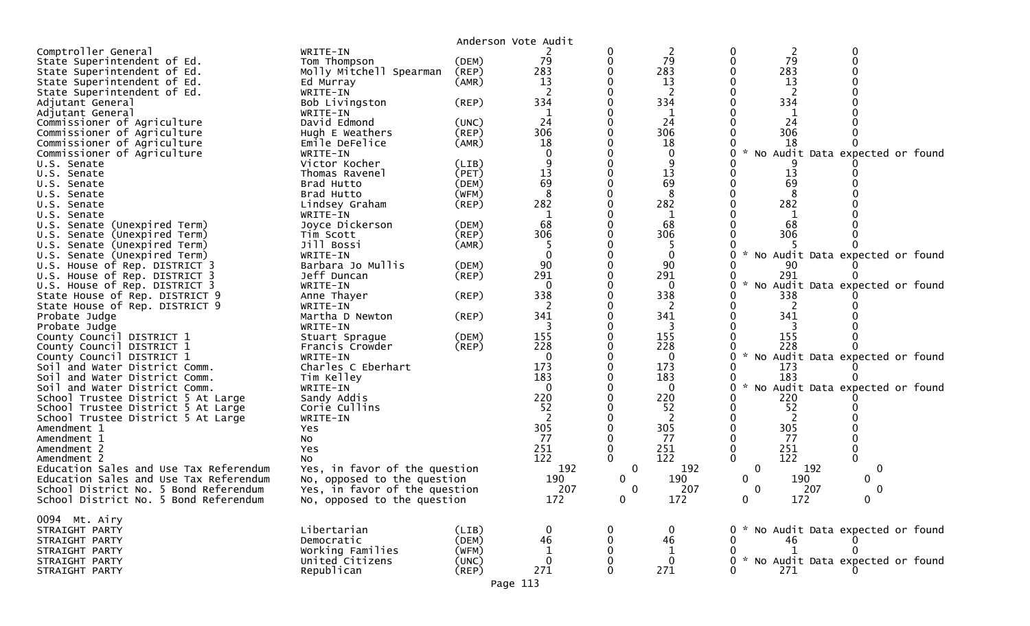|                                            |                                   | Anderson Vote Audit |              |   |                |                                     |                                   |   |  |
|--------------------------------------------|-----------------------------------|---------------------|--------------|---|----------------|-------------------------------------|-----------------------------------|---|--|
| Comptroller General                        | WRITE-IN                          |                     |              | 0 | $\overline{2}$ | 0                                   | 2                                 | 0 |  |
| State Superintendent of Ed.                | Tom Thompson                      | (DEM)               | 79           | 0 | 79             | $\Omega$                            | 79                                |   |  |
| State Superintendent of Ed.                | Molly Mitchell Spearman           | (REP)               | 283          |   | 283            | 283                                 |                                   |   |  |
| State Superintendent of Ed.                | Ed Murray                         | (AMR)               | 13           |   | 13             |                                     | 13                                |   |  |
| State Superintendent of Ed.                | WRITE-IN                          |                     |              |   | 2              |                                     | 2                                 |   |  |
| Adjutant General                           | Bob Livingston                    | (REP)               | 334          |   | 334            | 334                                 |                                   |   |  |
| Adjutant General                           | WRITE-IN                          |                     |              |   | 1              |                                     |                                   |   |  |
| Commissioner of Agriculture                | David Edmond                      | (UNC)               | 24           |   | 24             |                                     | 24                                |   |  |
| Commissioner of Agriculture                | Hugh E Weathers                   | (REP)               | 306          |   | 306            | 306                                 |                                   |   |  |
| Commissioner of Agriculture                | Emile DeFelice                    | (AMR)               | 18           |   | 18             |                                     | 18                                |   |  |
| Commissioner of Agriculture                | WRITE-IN                          |                     |              |   | $\mathbf 0$    | $\mathcal{H}$                       | No Audit Data expected or found   |   |  |
| U.S. Senate                                | Victor Kocher                     | (LIB)               |              |   | 9              |                                     |                                   |   |  |
| U.S. Senate                                | Thomas Ravenel                    | (PET)               | 13           |   | 13             |                                     | 13                                |   |  |
| U.S. Senate                                | Brad Hutto                        | (DEM)               | 69           |   | 69             |                                     | 69                                |   |  |
| U.S. Senate                                | Brad Hutto                        | (WFM)               | 8            |   | 8              |                                     |                                   |   |  |
| U.S. Senate                                | Lindsey Graham                    | (REP)               | 282          |   | 282            | 282                                 |                                   |   |  |
| U.S. Senate                                | WRITE-IN                          |                     |              |   |                |                                     |                                   |   |  |
| U.S. Senate (Unexpired Term)               | Joyce Dickerson                   | (DEM)               | 68           |   | 68             |                                     | 68                                |   |  |
| U.S. Senate (Unexpired Term)               | Tim Scott                         | (REP)               | 306          |   | 306            | 306                                 |                                   |   |  |
| U.S. Senate (Unexpired Term)               | Jill Bossi                        | (AMR)               |              |   | -5             |                                     |                                   |   |  |
| U.S. Senate (Unexpired Term)               | WRITE-IN                          |                     |              |   | 0              | U                                   | No Audit Data expected or found   |   |  |
| U.S. House of Rep. DISTRICT 3              | Barbara Jo Mullis                 | (DEM)               | 90           |   | 90             |                                     | 90                                |   |  |
| U.S. House of Rep. DISTRICT 3              | Jeff Duncan                       | (REP)               | 291          |   | 291            | 291<br>$\sim$                       |                                   |   |  |
| U.S. House of Rep. DISTRICT 3              | WRITE-IN                          |                     | $\Omega$     |   | $\Omega$       | U                                   | No Audit Data expected or found   |   |  |
| State House of Rep. DISTRICT 9             | Anne Thayer                       | (REP)               | 338          |   | 338            | 338                                 |                                   |   |  |
| State House of Rep. DISTRICT 9             | WRITE-IN                          |                     | 341          |   | 2<br>341       | 341                                 |                                   |   |  |
| Probate Judge                              | Martha D Newton                   | (REP)               |              |   | 3              |                                     |                                   |   |  |
| Probate Judge<br>County Council DISTRICT 1 | WRITE-IN                          | (DEM)               | 155          |   | 155            | 155                                 |                                   |   |  |
| County Council DISTRICT 1                  | Stuart Sprague<br>Francis Crowder | (REP)               | 228          |   | 228            | 228                                 |                                   |   |  |
| County Council DISTRICT 1                  | WRITE-IN                          |                     | 0            |   | $\mathbf 0$    | 0                                   | * No Audit Data expected or found |   |  |
| Soil and Water District Comm.              | Charles C Eberhart                |                     | 173          |   | 173            | 173                                 |                                   |   |  |
| Soil and Water District Comm.              | Tim Kelley                        |                     | 183          |   | 183            | 183                                 |                                   |   |  |
| Soil and Water District Comm.              | WRITE-IN                          |                     | 0            |   | $\mathbf 0$    | $\mathcal{H}$<br>0                  | No Audit Data expected or found   |   |  |
| School Trustee District 5 At Large         | Sandy Addis                       |                     | 220          |   | 220            | 220                                 |                                   |   |  |
| School Trustee District 5 At Large         | Corie Cullins                     |                     | 52           |   | 52             |                                     | 52                                |   |  |
| School Trustee District 5 At Large         | WRITE-IN                          |                     | 2            |   | 2              |                                     | 2                                 |   |  |
| Amendment 1<br>Yes                         |                                   |                     | 305          |   | 305            | 305                                 |                                   |   |  |
| Amendment 1<br>No                          |                                   |                     | 77           |   | 77             |                                     | 77                                |   |  |
| Amendment 2<br>Yes                         |                                   |                     | 251          |   | 251            | 251                                 |                                   |   |  |
| Amendment 2<br>No                          |                                   |                     | 122          |   | 122            | 122                                 |                                   |   |  |
| Education Sales and Use Tax Referendum     | Yes, in favor of the question     |                     | 192          | 0 | 192            | $\Omega$                            | 192                               | 0 |  |
| Education Sales and Use Tax Referendum     | No, opposed to the question       |                     | 190          | 0 | 190            | 0                                   | 190                               | 0 |  |
| School District No. 5 Bond Referendum      | Yes, in favor of the question     |                     | 207          | ∩ | 207            | ∩                                   | 207                               | ∩ |  |
| School District No. 5 Bond Referendum      | No, opposed to the question       |                     | 172          | 0 | 172            | $\overline{0}$                      | 172                               | 0 |  |
|                                            |                                   |                     |              |   |                |                                     |                                   |   |  |
| 0094 Mt. Airy                              |                                   |                     |              |   |                |                                     |                                   |   |  |
| STRAIGHT PARTY                             | Libertarian                       | (LIB)               |              |   | 0              | 0 * No Audit Data expected or found |                                   |   |  |
| STRAIGHT PARTY                             | Democratic                        | (DEM)               | 46           |   | 46             |                                     | 46                                |   |  |
| STRAIGHT PARTY                             | Working Families                  | (WFM)               |              |   | 1              | 0                                   |                                   |   |  |
| STRAIGHT PARTY                             | United Citizens                   | (UNC)               | $\mathbf{0}$ |   | $\mathbf{0}$   | 0 * No Audit Data expected or found |                                   |   |  |
| STRAIGHT PARTY                             | Republican                        | $($ REP $)$         | 271          |   | 271            | 271                                 |                                   |   |  |

Page 113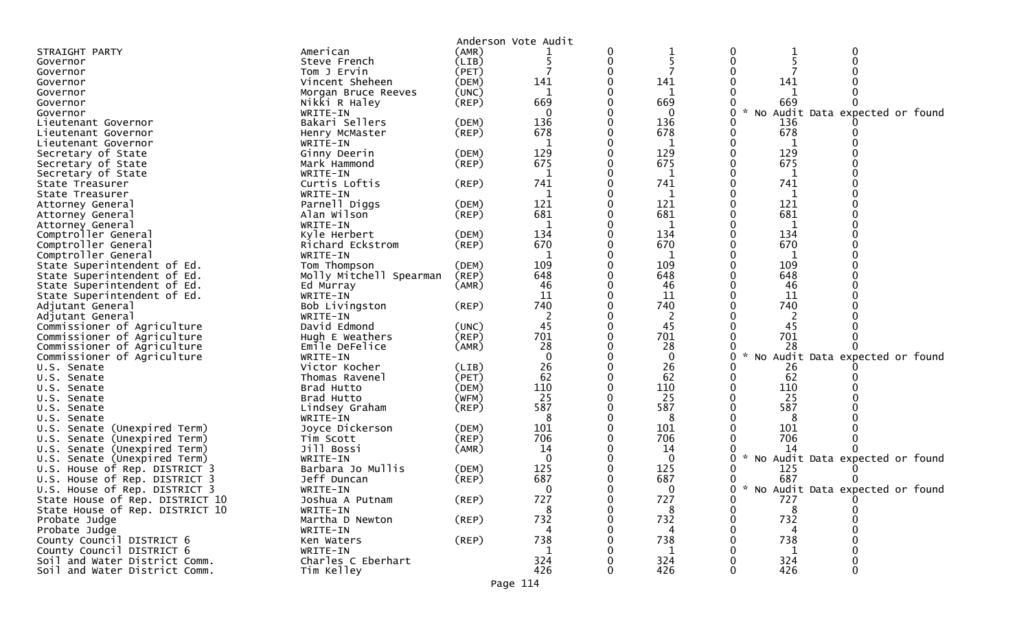|                                                                  |                             |             | Anderson Vote Audit |   |                     |              |            |                                   |  |
|------------------------------------------------------------------|-----------------------------|-------------|---------------------|---|---------------------|--------------|------------|-----------------------------------|--|
| STRAIGHT PARTY                                                   | American                    | (AMR)       |                     | 0 |                     | 0            |            | 0                                 |  |
| Governor                                                         | Steve French                | (LIB)       |                     | 0 |                     | $\mathbf{0}$ |            |                                   |  |
| Governor                                                         | Tom J Ervin                 | (PET)       |                     | 0 |                     |              |            |                                   |  |
| Governor                                                         | Vincent Sheheen             | (DEM)       | 141                 | 0 | 141                 |              | 141        |                                   |  |
| Governor                                                         | Morgan Bruce Reeves         | (UNC)       | 1                   |   |                     |              |            |                                   |  |
| Governor                                                         | Nikki R Haley               | $($ REP $)$ | 669                 |   | 669                 |              | 669        |                                   |  |
| Governor                                                         | WRITE-IN                    |             | $\Omega$            |   | $\mathbf{0}$        |              | No         | Audit Data expected or found      |  |
| Lieutenant Governor                                              | Bakari Sellers              | (DEM)       | 136                 |   | 136                 |              | 136        |                                   |  |
| Lieutenant Governor                                              | Henry McMaster              | $($ REP $)$ | 678                 |   | 678                 |              | 678        |                                   |  |
| Lieutenant Governor                                              | WRITE-IN                    |             | $\mathbf{1}$        |   | 1                   |              | 1          |                                   |  |
| Secretary of State                                               | Ginny Deerin                | (DEM)       | 129                 |   | 129                 |              | 129        |                                   |  |
| Secretary of State                                               | Mark Hammond                | $($ REP $)$ | 675                 |   | 675                 |              | 675        |                                   |  |
| Secretary of State                                               | WRITE-IN                    |             | 1                   |   | 1                   |              | 1          |                                   |  |
| State Treasurer                                                  | Curtis Loftis               | $($ REP $)$ | 741                 |   | 741                 |              | 741        |                                   |  |
| State Treasurer                                                  | WRITE-IN                    |             | 1                   |   | 1                   |              | 1          |                                   |  |
| Attorney General                                                 | Parnell Diggs               | (DEM)       | 121                 |   | 121                 |              | 121        |                                   |  |
| Attorney General                                                 | Alan Wilson                 | $($ REP $)$ | 681                 |   | 681                 |              | 681        |                                   |  |
| Attorney General                                                 | WRITE-IN                    |             | 1                   |   | 1                   |              | 1          |                                   |  |
| Comptroller General                                              | Kyle Herbert                | (DEM)       | 134                 |   | 134                 |              | 134        |                                   |  |
| Comptroller General                                              | Richard Eckstrom            | $($ REP $)$ | 670                 |   | 670                 |              | 670        |                                   |  |
| Comptroller General                                              | WRITE-IN                    |             | 1                   |   | 1                   |              | 1          |                                   |  |
| State Superintendent of Ed.                                      | Tom Thompson                | (DEM)       | 109                 |   | 109                 |              | 109        |                                   |  |
| State Superintendent of Ed.                                      | Molly Mitchell Spearman     | (REP)       | 648                 |   | 648                 |              | 648        |                                   |  |
| State Superintendent of Ed.                                      | Ed Murray                   | (AMR)       | 46                  |   | 46                  |              | 46         |                                   |  |
| State Superintendent of Ed.                                      | WRITE-IN                    |             | 11                  |   | 11                  |              | 11         |                                   |  |
| Adjutant General                                                 | Bob Livingston              | (REP)       | 740                 |   | 740                 |              | 740        |                                   |  |
| Adjutant General                                                 | WRITE-IN                    |             | 2                   |   | 2                   |              |            |                                   |  |
| Commissioner of Agriculture                                      | David Edmond                | (UNC)       | 45                  |   | 45                  |              | 45         |                                   |  |
| Commissioner of Agriculture                                      | Hugh E Weathers             | $($ REP $)$ | 701                 | 0 | 701                 |              | 701        |                                   |  |
| Commissioner of Agriculture                                      | Emile DeFelice              | (AMR)       | 28                  |   | 28                  |              | 28         |                                   |  |
| Commissioner of Agriculture                                      | WRITE-IN                    |             | $\Omega$            |   | $\Omega$            |              |            | No Audit Data expected or found   |  |
| U.S. Senate                                                      | Victor Kocher               | (LIB)       | 26                  |   | 26                  |              | 26         |                                   |  |
| U.S. Senate                                                      | Thomas Ravenel              | (PET)       | 62                  |   | 62                  |              | 62         |                                   |  |
| Senate<br>U.S.                                                   | Brad Hutto                  | (DEM)       | 110                 |   | 110                 |              | 110        |                                   |  |
| U.S. Senate                                                      | Brad Hutto                  | (WFM)       | 25                  |   | 25                  |              | 25         |                                   |  |
| U.S. Senate                                                      | Lindsey Graham              | (REP)       | 587                 |   | 587                 |              | 587        |                                   |  |
| U.S. Senate                                                      | WRITE-IN                    |             | 8                   |   | 8                   |              |            |                                   |  |
| Senate (Unexpired Term)<br>U.S.                                  | Joyce Dickerson             | (DEM)       | 101                 |   | 101                 |              | 101        |                                   |  |
| (Unexpired Term)<br>U.S. Senate                                  | Tim Scott                   | (REP)       | 706                 |   | 706                 |              | 706        |                                   |  |
| Senate (Unexpired Term)<br>U.S.                                  | Jill Bossi                  | (AMR)       | 14<br>$\mathbf{0}$  |   | 14                  |              | 14         |                                   |  |
| Senate (Unexpired Term)<br>U.S.                                  | WRITE-IN                    |             | 125                 |   | $\mathbf{0}$<br>125 |              | NO         | Audit Data expected or found      |  |
| U.S. House of Rep. DISTRICT 3                                    | Barbara Jo Mullis           | (DEM)       |                     |   |                     |              | 125<br>687 |                                   |  |
| U.S. House of Rep. DISTRICT 3                                    | Jeff Duncan                 | $($ REP $)$ | 687<br>0            |   | 687<br>$\Omega$     |              |            |                                   |  |
| U.S. House of Rep. DISTRICT 3<br>State House of Rep. DISTRICT 10 | WRITE-IN                    | $($ REP $)$ | 727                 |   | 727                 |              | 727        | * No Audit Data expected or found |  |
| State House of Rep. DISTRICT 10                                  | Joshua A Putnam             |             | 8                   | 0 | 8                   | 0            | 8          | 0                                 |  |
| Probate Judge                                                    | WRITE-IN<br>Martha D Newton | $($ REP $)$ | 732                 |   | 732                 |              | 732        |                                   |  |
| Probate Judge                                                    |                             |             | 4                   |   |                     |              | 4          |                                   |  |
| County Council DISTRICT 6                                        | WRITE-IN<br>Ken Waters      | $($ REP $)$ | 738                 |   | 4<br>738            |              | 738        |                                   |  |
| County Council DISTRICT 6                                        | WRITE-IN                    |             | 1                   |   | 1                   |              | 1          |                                   |  |
| Soil and Water District Comm.                                    | Charles C Eberhart          |             | 324                 |   | 324                 |              | 324        |                                   |  |
| Soil and Water District Comm.                                    | Tim Kelley                  |             | 426                 |   | 426                 |              | 426        | 0                                 |  |
|                                                                  |                             |             |                     |   |                     |              |            |                                   |  |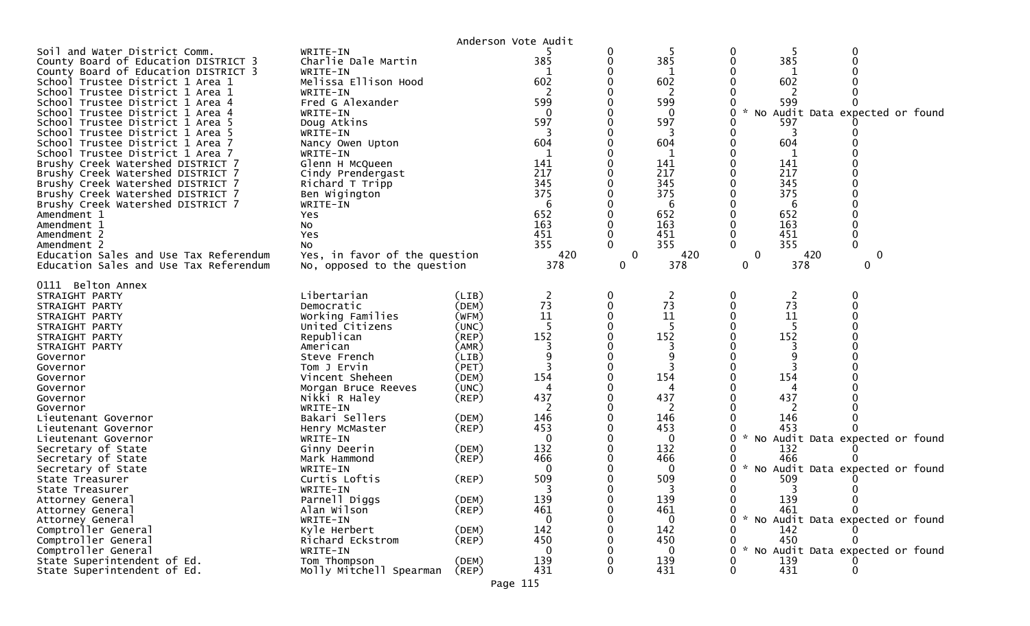|                                                                                                                                                                                                                                                                                                                                                                                                                                                                                                                                                                                                                                                                                                              |                                                                                                                                                                                                                                                                                                                                                                                                                                                                                                 |                                                                                                                                                                                                                      | Anderson Vote Audit                                                                                                                                                            |   |                                                                                                                                                                                      |                                                                                                                                                                                                                                                                                                                                                  |
|--------------------------------------------------------------------------------------------------------------------------------------------------------------------------------------------------------------------------------------------------------------------------------------------------------------------------------------------------------------------------------------------------------------------------------------------------------------------------------------------------------------------------------------------------------------------------------------------------------------------------------------------------------------------------------------------------------------|-------------------------------------------------------------------------------------------------------------------------------------------------------------------------------------------------------------------------------------------------------------------------------------------------------------------------------------------------------------------------------------------------------------------------------------------------------------------------------------------------|----------------------------------------------------------------------------------------------------------------------------------------------------------------------------------------------------------------------|--------------------------------------------------------------------------------------------------------------------------------------------------------------------------------|---|--------------------------------------------------------------------------------------------------------------------------------------------------------------------------------------|--------------------------------------------------------------------------------------------------------------------------------------------------------------------------------------------------------------------------------------------------------------------------------------------------------------------------------------------------|
| Soil and Water District Comm.<br>County Board of Education DISTRICT 3<br>County Board of Education DISTRICT 3<br>School Trustee District 1 Area 1<br>School Trustee District 1 Area 1<br>School Trustee District 1 Area 4<br>School Trustee District 1 Area 4<br>School Trustee District 1 Area 5<br>School Trustee District 1 Area 5<br>School Trustee District 1 Area 7<br>School Trustee District 1 Area 7<br>Brushy Creek Watershed DISTRICT 7<br>Brushy Creek Watershed DISTRICT 7<br>Brushy Creek Watershed DISTRICT 7<br>Brushy Creek Watershed DISTRICT 7<br>Brushy Creek Watershed DISTRICT 7<br>Amendment 1<br>Amendment 1<br>Amendment 2<br>Amendment 2<br>Education Sales and Use Tax Referendum | WRITE-IN<br>Charlie Dale Martin<br>WRITE-IN<br>Melissa Ellison Hood<br>WRITE-IN<br>Fred G Alexander<br>WRITE-IN<br>Doug Atkins<br>WRITE-IN<br>Nancy Owen Upton<br>WRITE-IN<br>Glenn H McQueen<br>Cindy Prendergast<br>Richard T Tripp<br>Ben Wigington<br>WRITE-IN<br>Yes<br>No<br>Yes<br><b>NO</b><br>Yes, in favor of the question                                                                                                                                                            |                                                                                                                                                                                                                      | 385<br>602<br>599<br>$\mathbf{0}$<br>597<br>604<br>141<br>217<br>345<br>375<br>6<br>652<br>163<br>451<br>355<br>420                                                            | 0 | 385<br>602<br>599<br>$\Omega$<br>597<br>604<br>1<br>141<br>217<br>345<br>375<br>6<br>652<br>163<br>451<br>355<br>420                                                                 | 0<br>385<br>602<br>599<br>No Audit Data expected or found<br>597<br>604<br>141<br>217<br>345<br>375<br>6<br>652<br>163<br>451<br>355<br>0<br>420<br>0                                                                                                                                                                                            |
| Education Sales and Use Tax Referendum<br>0111 Belton Annex<br>STRAIGHT PARTY<br>STRAIGHT PARTY<br>STRAIGHT PARTY<br>STRAIGHT PARTY<br>STRAIGHT PARTY<br>STRAIGHT PARTY<br>Governor<br>Governor<br>Governor<br>Governor<br>Governor<br>Governor<br>Lieutenant Governor<br>Lieutenant Governor<br>Lieutenant Governor<br>Secretary of State<br>Secretary of State<br>Secretary of State<br>State Treasurer<br>State Treasurer<br>Attorney General<br>Attorney General<br>Attorney General<br>Comptroller General<br>Comptroller General<br>Comptroller General<br>State Superintendent of Ed.<br>State Superintendent of Ed.                                                                                  | No, opposed to the question<br>Libertarian<br>Democratic<br>Working Families<br>United Citizens<br>Republican<br>American<br>Steve French<br>Tom J Ervin<br>Vincent Sheheen<br>Morgan Bruce Reeves<br>Nikki R Haley<br>WRITE-IN<br>Bakari Sellers<br>Henry McMaster<br>WRITE-IN<br>Ginny Deerin<br>Mark Hammond<br>WRITE-IN<br>Curtis Loftis<br>WRITE-IN<br>Parnell Diggs<br>Alan Wilson<br>WRITE-IN<br>Kyle Herbert<br>Richard Eckstrom<br>WRITE-IN<br>Tom Thompson<br>Molly Mitchell Spearman | (LIB)<br>(DEM)<br>(WFM)<br>(UNC)<br>(REP)<br>(AMR)<br>(LIB)<br>(PET)<br>(DEM)<br>(UNC)<br>$($ REP $)$<br>(DEM)<br>$($ REP $)$<br>(DEM)<br>(REP)<br>(REP)<br>(DEM)<br>$($ REP $)$<br>(DEM)<br>(REP)<br>(DEM)<br>(REP) | 378<br>2<br>73<br>11<br>5<br>152<br>154<br>4<br>437<br>2<br>146<br>453<br>$\Omega$<br>132<br>466<br>$\Omega$<br>509<br>139<br>461<br>0<br>142<br>450<br>$\Omega$<br>139<br>431 | 0 | 378<br>2<br>73<br>11<br>-5<br>152<br>9<br>154<br>4<br>437<br>2<br>146<br>453<br>0<br>132<br>466<br>$\Omega$<br>509<br>139<br>461<br>$\Omega$<br>142<br>450<br>$\Omega$<br>139<br>431 | 378<br>0<br>0<br>$\overline{c}$<br>73<br>11<br>-5<br>152<br>154<br>437<br>146<br>453<br>$\mathcal{H}$<br>No Audit Data expected or found<br>132<br>466<br>* No Audit Data expected or found<br>509<br>∩<br>3<br><sup>n</sup><br>139<br>461<br>* No Audit Data expected or found<br>142<br>450<br>* No Audit Data expected or found<br>139<br>431 |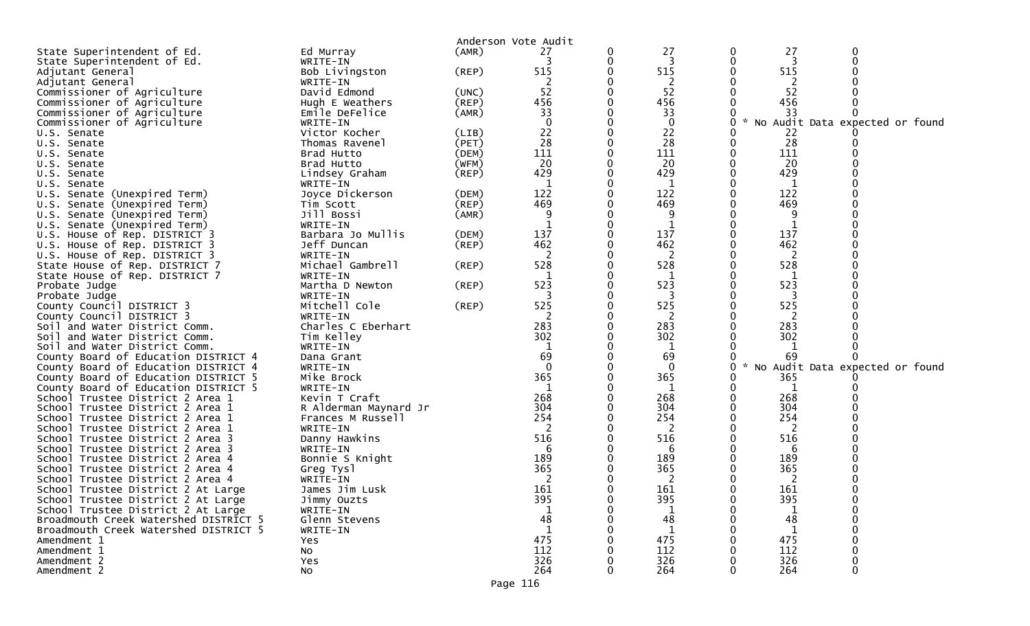|                                                        |                           |             | Anderson Vote Audit |   |            |   |                    |                                 |  |
|--------------------------------------------------------|---------------------------|-------------|---------------------|---|------------|---|--------------------|---------------------------------|--|
| State Superintendent of Ed.                            | Ed Murray                 | (AMR)       | 27                  | 0 | 27         |   | 27<br>0            | 0                               |  |
| State Superintendent of Ed.                            | WRITE-IN                  |             | 3                   | 0 | -3         |   | 3                  |                                 |  |
| Adjutant General                                       | Bob Livingston            | $($ REP $)$ | 515                 |   | 515        |   | 515                |                                 |  |
| Adjutant General                                       | WRITE-IN                  |             | 2                   |   | 2          |   | 2                  |                                 |  |
| Commissioner of Agriculture                            | David Edmond              | (UNC)       | 52                  |   | 52         |   | 52                 |                                 |  |
| Commissioner of Agriculture                            | Hugh E Weathers           | (REP)       | 456                 |   | 456        |   | 456                |                                 |  |
| Commissioner of Agriculture                            | Emile DeFelice            | (AMR)       | 33                  |   | 33         |   | 33                 |                                 |  |
| Commissioner of Agriculture                            | WRITE-IN                  |             |                     |   | $\bf{0}$   |   | $\mathcal{H}$<br>0 | No Audit Data expected or found |  |
| U.S. Senate                                            | Victor Kocher             | (LIB)       | 22                  |   | 22         |   | 22                 |                                 |  |
| U.S. Senate                                            | Thomas Ravenel            | (PET)       | 28                  |   | 28         |   | 28<br>0            |                                 |  |
| U.S. Senate                                            | Brad Hutto                | (DEM)       | 111                 |   | 111        |   | 111                |                                 |  |
| U.S. Senate                                            | Brad Hutto                | (WFM)       | 20                  |   | 20         | 0 | 20                 |                                 |  |
| U.S. Senate                                            | Lindsey Graham            | (REP)       | 429                 |   | 429        |   | 429                |                                 |  |
| U.S. Senate                                            | WRITE-IN                  |             | 1                   |   | 1          |   | 1                  |                                 |  |
| U.S. Senate (Unexpired Term)                           | Joyce Dickerson           | (DEM)       | 122                 |   | 122        |   | 122                |                                 |  |
| U.S. Senate (Unexpired Term)                           | Tim Scott                 | (REP)       | 469                 |   | 469        |   | 469                |                                 |  |
| U.S. Senate (Unexpired Term)                           | Jill Bossi                | (AMR)       |                     |   | 9          |   | 9                  |                                 |  |
| U.S. Senate (Unexpired Term)                           | WRITE-IN                  |             |                     |   |            |   |                    |                                 |  |
| U.S. House of Rep. DISTRICT 3                          | Barbara Jo Mullis         | (DEM)       | 137                 |   | 137        |   | 137                |                                 |  |
| U.S. House of Rep. DISTRICT 3                          | Jeff Duncan               | (REP)       | 462                 |   | 462        |   | 462                |                                 |  |
| U.S. House of Rep. DISTRICT 3                          | WRITE-IN                  |             |                     |   | 2          |   | 2                  |                                 |  |
| State House of Rep. DISTRICT 7                         | Michael Gambrell          | (REP)       | 528                 |   | 528        |   | 528                |                                 |  |
| State House of Rep. DISTRICT 7                         | WRITE-IN                  |             |                     |   | 1          |   | 1                  |                                 |  |
| Probate Judge                                          | Martha D Newton           | (REP)       | 523                 |   | 523        |   | 523<br>0           |                                 |  |
| Probate Judge                                          | WRITE-IN<br>Mitchell Cole |             | 525                 |   | 3<br>525   |   | 3<br>525           |                                 |  |
| County Council DISTRICT 3<br>County Council DISTRICT 3 | WRITE-IN                  | (REP)       | -2                  |   | 2          |   | 2                  |                                 |  |
| Soil and Water District Comm.                          | Charles C Eberhart        |             | 283                 |   | 283        |   | 283                |                                 |  |
| Soil and Water District Comm.                          | Tim Kelley                |             | 302                 |   | 302        |   | 302                |                                 |  |
| Soil and Water District Comm.                          | WRITE-IN                  |             |                     |   |            |   |                    |                                 |  |
| County Board of Education DISTRICT 4                   | Dana Grant                |             | 69                  |   | 69         |   | 69                 |                                 |  |
| County Board of Education DISTRICT 4                   | WRITE-IN                  |             | $\mathbf{0}$        |   | $\bf{0}$   |   | $\mathcal{H}$<br>0 | No Audit Data expected or found |  |
| County Board of Education DISTRICT 5                   | Mike Brock                |             | 365                 |   | 365        |   | 365<br>0           |                                 |  |
| County Board of Education DISTRICT 5                   | WRITE-IN                  |             | 1                   |   | 1          |   | 1<br>0             |                                 |  |
| School Trustee District 2 Area 1                       | Kevin T Craft             |             | 268                 |   | 268        |   | 268                |                                 |  |
| School Trustee District 2 Area 1                       | R Alderman Maynard Jr     |             | 304                 |   | 304        |   | 304                |                                 |  |
| School Trustee District 2 Area 1                       | Frances M Russell         |             | 254                 |   | 254        |   | 254                |                                 |  |
| School Trustee District 2 Area 1                       | WRITE-IN                  |             | 2                   |   | 2          |   | 2                  |                                 |  |
| School Trustee District 2 Area 3                       | Danny Hawkins             |             | 516                 |   | 516        |   | 516                |                                 |  |
| School Trustee District 2 Area 3                       | WRITE-IN                  |             | -6                  |   | 6          |   | 6                  |                                 |  |
| School Trustee District 2 Area 4                       | Bonnie S Knight           |             | 189                 |   | 189        |   | 189                |                                 |  |
| School Trustee District 2 Area 4                       | Greg Tysl                 |             | 365                 |   | 365        |   | 365                |                                 |  |
| School Trustee District 2 Area 4                       | WRITE-IN                  |             |                     |   | 2          |   | 2                  |                                 |  |
| School Trustee District 2 At Large                     | James Jim Lusk            |             | 161                 |   | 161        |   | 161<br>0           |                                 |  |
| School Trustee District 2 At Large                     | Jimmy Ouzts               |             | 395                 | 0 | 395        |   | 395<br>0           |                                 |  |
| School Trustee District 2 At Large                     | WRITE-IN                  |             |                     |   |            |   |                    |                                 |  |
| Broadmouth Creek Watershed DISTRICT 5                  | Glenn Stevens             |             | 48                  |   | 48         |   | 48                 |                                 |  |
| Broadmouth Creek Watershed DISTRICT 5                  | WRITE-IN                  |             | 1                   |   | 1          |   | 1                  |                                 |  |
| Amendment 1                                            | Yes                       |             | 475                 |   | 475        |   | 475                |                                 |  |
| Amendment 1                                            | <b>NO</b>                 |             | 112                 |   | 112        |   | 112                |                                 |  |
| Amendment 2                                            | Yes                       |             | 326<br>264          |   | 326<br>264 |   | 326<br>264         |                                 |  |
| Amendment 2                                            | No                        |             |                     |   |            |   |                    |                                 |  |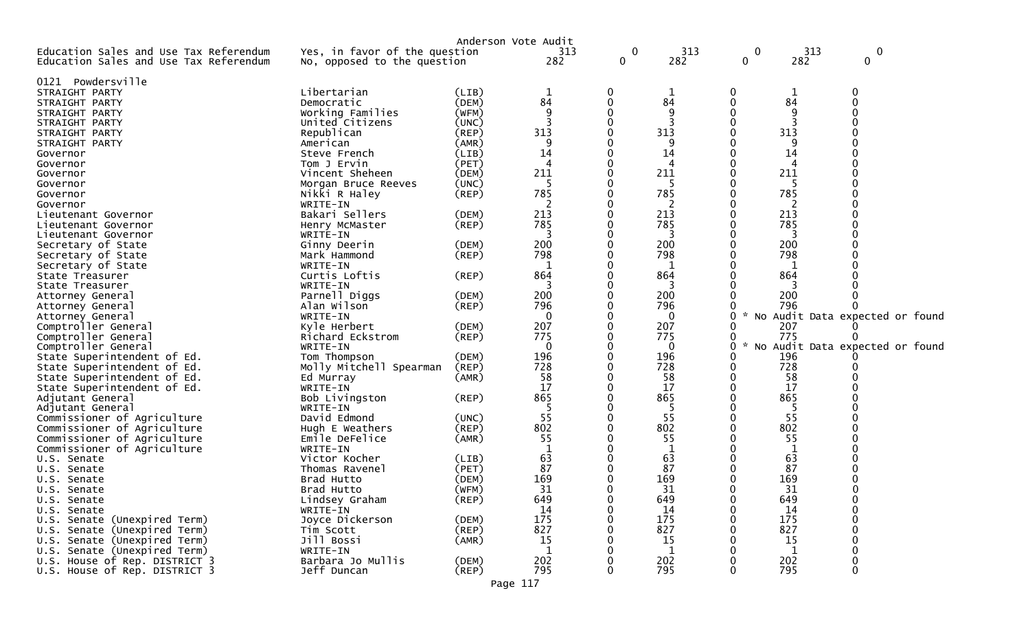|                                                                                  |                                                              |             | Anderson Vote Audit |                   |             |   |                    |                                 |
|----------------------------------------------------------------------------------|--------------------------------------------------------------|-------------|---------------------|-------------------|-------------|---|--------------------|---------------------------------|
| Education Sales and Use Tax Referendum<br>Education Sales and Use Tax Referendum | Yes, in favor of the question<br>No, opposed to the question |             | 313<br>282          | 0<br>$\mathbf{0}$ | 313<br>282  | 0 | $\mathbf 0$<br>282 | 313<br>0<br>0                   |
| Powdersville<br>0121                                                             |                                                              |             |                     |                   |             |   |                    |                                 |
| STRAIGHT PARTY                                                                   | Libertarian                                                  | (LIB)       | $\mathbf 1$         | O                 | 1           | 0 |                    | 0                               |
| STRAIGHT PARTY                                                                   | Democratic                                                   | (DEM)       | 84                  | 0                 | 84          | 0 | 84                 | $\Omega$                        |
| STRAIGHT PARTY                                                                   | Working Families                                             | (WFM)       | 9                   |                   | 9           |   | 9                  |                                 |
| STRAIGHT PARTY                                                                   | United Citizens                                              | (UNC)       |                     |                   |             | 0 |                    |                                 |
| STRAIGHT PARTY                                                                   | Republican                                                   | $($ REP $)$ | 313                 |                   | 313         |   | 313                |                                 |
| STRAIGHT PARTY                                                                   | American                                                     | (AMR)       |                     |                   |             |   |                    |                                 |
| Governor                                                                         | Steve French                                                 | (LIB)       | 14                  |                   | 14          |   | 14                 |                                 |
| Governor                                                                         | Tom J Ervin                                                  | (PET)       | 4                   |                   | 4           |   | 4                  |                                 |
| Governor                                                                         | Vincent Sheheen                                              | (DEM)       | 211                 |                   | 211         | 0 | 211                |                                 |
| Governor                                                                         | Morgan Bruce Reeves                                          | (UNC)       | 5                   |                   | -5          | 0 | -5                 |                                 |
| Governor                                                                         | Nikki R Haley                                                | (REP)       | 785                 |                   | 785         |   | 785                |                                 |
|                                                                                  | WRITE-IN                                                     |             |                     |                   |             |   |                    |                                 |
| Governor                                                                         | Bakari Sellers                                               | (DEM)       | 213                 |                   | 213         |   | 213                |                                 |
| Lieutenant Governor                                                              |                                                              | (REP)       | 785                 |                   | 785         |   | 785                |                                 |
| Lieutenant Governor                                                              | Henry McMaster                                               |             | 3                   |                   | 3           |   | 3                  |                                 |
| Lieutenant Governor                                                              | WRITE-IN                                                     | (DEM)       | 200                 |                   | 200         |   | 200                |                                 |
| Secretary of State                                                               | Ginny Deerin                                                 |             | 798                 |                   | 798         |   | 798                |                                 |
| Secretary of State                                                               | Mark Hammond                                                 | $($ REP $)$ |                     |                   |             |   |                    |                                 |
| Secretary of State                                                               | WRITE-IN                                                     |             |                     |                   |             |   |                    |                                 |
| State Treasurer                                                                  | Curtis Loftis                                                | (REP)       | 864                 |                   | 864<br>3    |   | 864                |                                 |
| State Treasurer                                                                  | WRITE-IN                                                     |             |                     |                   |             |   | 200                |                                 |
| Attorney General                                                                 | Parnell Diggs                                                | (DEM)       | 200                 |                   | 200         |   |                    |                                 |
| Attorney General                                                                 | Alan Wilson                                                  | $($ REP $)$ | 796                 |                   | 796         | 0 | 796                |                                 |
| Attorney General                                                                 | WRITE-IN                                                     |             | 0                   |                   | 0<br>207    |   |                    | No Audit Data expected or found |
| Comptroller General                                                              | Kyle Herbert                                                 | (DEM)       | 207<br>775          |                   |             |   | 207<br>775         |                                 |
| Comptroller General                                                              | Richard Eckstrom                                             | $($ REP $)$ |                     |                   | 775         | 0 |                    |                                 |
| Comptroller General                                                              | WRITE-IN                                                     |             | 0                   |                   | $\Omega$    | 0 |                    | No Audit Data expected or found |
| State Superintendent of Ed.                                                      | Tom Thompson                                                 | (DEM)       | 196                 |                   | 196         |   | 196                |                                 |
| State Superintendent of Ed.                                                      | Molly Mitchell Spearman                                      | (REP)       | 728                 |                   | 728         | 0 | 728                |                                 |
| State Superintendent of Ed.                                                      | Ed Murray                                                    | (AMR)       | 58                  |                   | 58          | 0 | 58                 |                                 |
| State Superintendent of Ed.                                                      | WRITE-IN                                                     |             | 17                  |                   | 17          | 0 | 17                 |                                 |
| Adjutant General                                                                 | Bob Livingston                                               | (REP)       | 865                 |                   | 865         |   | 865                |                                 |
| Adjutant General                                                                 | WRITE-IN                                                     |             |                     |                   | -5          |   | -5                 |                                 |
| Commissioner of Agriculture                                                      | David Edmond                                                 | (UNC)       | 55                  | ∩                 | 55          | 0 | 55                 |                                 |
| Commissioner of Agriculture                                                      | Hugh E Weathers                                              | (REP)       | 802                 |                   | 802         | 0 | 802                |                                 |
| Commissioner of Agriculture                                                      | Emile DeFelice                                               | (AMR)       | 55                  |                   | 55          |   | 55                 |                                 |
| Commissioner of Agriculture                                                      | WRITE-IN                                                     |             |                     |                   |             |   |                    |                                 |
| U.S. Senate                                                                      | Victor Kocher                                                | (LIB)       | 63                  |                   | 63          |   | 63                 |                                 |
| U.S. Senate                                                                      | Thomas Ravenel                                               | (PET)       | 87                  |                   | 87          |   | 87                 |                                 |
| U.S. Senate                                                                      | Brad Hutto                                                   | (DEM)       | 169                 |                   | 169         |   | 169                |                                 |
| U.S. Senate                                                                      | Brad Hutto                                                   | (WFM)       | 31                  |                   | 31          | 0 | 31                 |                                 |
| U.S. Senate                                                                      | Lindsey Graham                                               | $($ REP $)$ | 649                 | 0                 | 649         | 0 | 649                | 0                               |
| U.S. Senate                                                                      | WRITE-IN                                                     |             | 14                  |                   | 14          | O | 14                 | $\Omega$                        |
| U.S. Senate (Unexpired Term)                                                     | Joyce Dickerson                                              | (DEM)       | 175                 |                   | 175         |   | 175                | 0                               |
| U.S. Senate (Unexpired Term)                                                     | Tim Scott                                                    | (REP)       | 827                 |                   | 827         |   | 827                |                                 |
| U.S. Senate (Unexpired Term)                                                     | Jill Bossi                                                   | (AMR)       | 15                  |                   | 15          |   | 15                 |                                 |
| U.S. Senate (Unexpired Term)                                                     | WRITE-IN                                                     |             | 1                   |                   | $\mathbf 1$ |   | -1                 | 0                               |
| U.S. House of Rep. DISTRICT 3                                                    | Barbara Jo Mullis                                            | (DEM)       | 202                 |                   | 202         |   | 202                | 0                               |
| U.S. House of Rep. DISTRICT 3                                                    | Jeff Duncan                                                  | $($ REP $)$ | 795                 | 0                 | 795         | 0 | 795                | 0                               |
|                                                                                  |                                                              |             | Page 117            |                   |             |   |                    |                                 |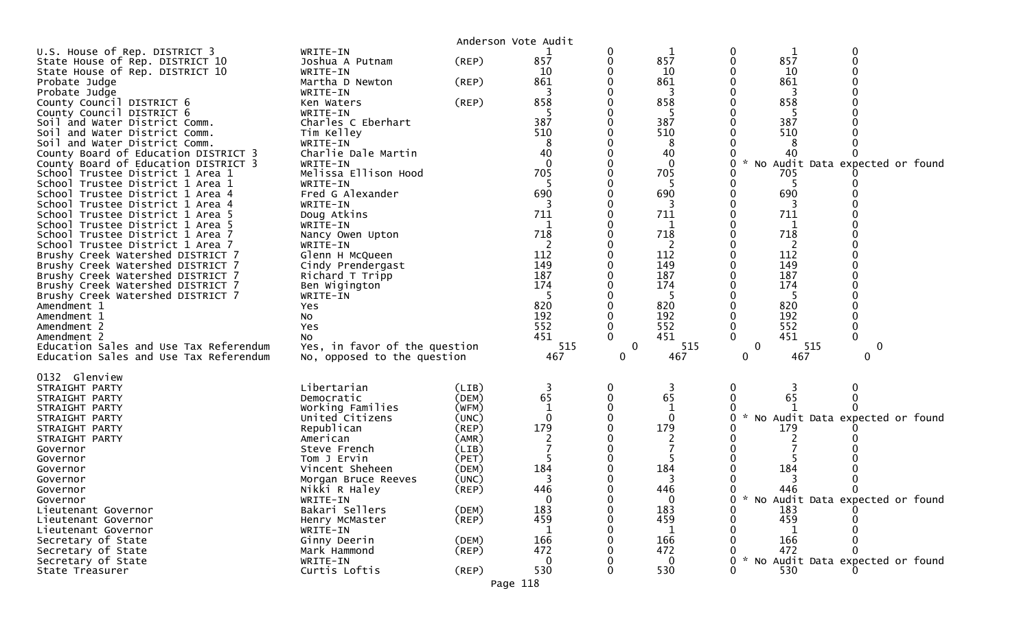| U.S. House of Rep. DISTRICT 3<br>State House of Rep. DISTRICT 10<br>State House of Rep. DISTRICT 10<br>Probate Judge<br>Probate Judge<br>County Council DISTRICT 6<br>County Council DISTRICT 6<br>Soil and Water District Comm.<br>Soil and Water District Comm.<br>Soil and Water District Comm.<br>County Board of Education DISTRICT 3<br>County Board of Education DISTRICT 3<br>School Trustee District 1 Area 1<br>School Trustee District 1 Area 1<br>School Trustee District 1 Area 4<br>School Trustee District 1 Area 4<br>School Trustee District 1 Area 5<br>School Trustee District 1 Area 5<br>School Trustee District 1 Area 7<br>School Trustee District 1 Area 7<br>Brushy Creek Watershed DISTRICT 7<br>Brushy Creek Watershed DISTRICT 7<br>Brushy Creek Watershed DISTRICT 7<br>Brushy Creek Watershed DISTRICT 7<br>Brushy Creek Watershed DISTRICT 7<br>Amendment 1<br>Amendment 1<br>Amendment 2<br>Amendment 2<br>Education Sales and Use Tax Referendum | WRITE-IN<br>Joshua A Putnam<br>WRITE-IN<br>Martha D Newton<br>WRITE-IN<br>Ken Waters<br>WRITE-IN<br>Charles C Eberhart<br>Tim Kelley<br>WRITE-IN<br>Charlie Dale Martin<br>WRITE-IN<br>Melissa Ellison Hood<br>WRITE-IN<br>Fred G Alexander<br>WRITE-IN<br>Doug Atkins<br>WRITE-IN<br>Nancy Owen Upton<br>WRITE-IN<br>Glenn H McQueen<br>Cindy Prendergast<br>Richard T Tripp<br>Ben Wigington<br>WRITE-IN<br>Yes<br>No.<br>Yes<br>NO.<br>Yes, in favor of the question | Anderson Vote Audit<br>(REP)<br>$($ REP $)$<br>(REP)                                                                 | 857<br>10<br>861<br>3<br>858<br>387<br>510<br>8<br>40<br>$\Omega$<br>705<br>-5<br>690<br>3<br>711<br>718<br>2<br>112<br>149<br>187<br>174<br>-5<br>820<br>192<br>552<br>451<br>515 | 0<br>0<br>$\mathbf{0}$ | 857<br>10<br>861<br>3<br>858<br>387<br>510<br>8<br>40<br>$\Omega$<br>705<br>-5<br>690<br>3<br>711<br>1<br>718<br>2<br>112<br>149<br>187<br>174<br>-5<br>820<br>192<br>552<br>451<br>515 | $\mathcal{H}$<br>0 | 1<br>857<br>10<br>861<br>3<br>858<br>387<br>510<br>8<br>40<br>No Audit Data expected or found<br>705<br>-5<br>690<br>3<br>711<br>1<br>718<br>2<br>112<br>149<br>187<br>174<br>-5<br>820<br>192<br>552<br>451<br>515 | 0<br>$\Omega$<br>0 |  |
|-----------------------------------------------------------------------------------------------------------------------------------------------------------------------------------------------------------------------------------------------------------------------------------------------------------------------------------------------------------------------------------------------------------------------------------------------------------------------------------------------------------------------------------------------------------------------------------------------------------------------------------------------------------------------------------------------------------------------------------------------------------------------------------------------------------------------------------------------------------------------------------------------------------------------------------------------------------------------------------|-------------------------------------------------------------------------------------------------------------------------------------------------------------------------------------------------------------------------------------------------------------------------------------------------------------------------------------------------------------------------------------------------------------------------------------------------------------------------|----------------------------------------------------------------------------------------------------------------------|------------------------------------------------------------------------------------------------------------------------------------------------------------------------------------|------------------------|-----------------------------------------------------------------------------------------------------------------------------------------------------------------------------------------|--------------------|---------------------------------------------------------------------------------------------------------------------------------------------------------------------------------------------------------------------|--------------------|--|
| Education Sales and Use Tax Referendum<br>0132 Glenview<br>STRAIGHT PARTY<br>STRAIGHT PARTY<br>STRAIGHT PARTY<br>STRAIGHT PARTY<br>STRAIGHT PARTY<br>STRAIGHT PARTY<br>Governor<br>Governor<br>Governor<br>Governor<br>Governor<br>Governor                                                                                                                                                                                                                                                                                                                                                                                                                                                                                                                                                                                                                                                                                                                                       | No, opposed to the question<br>Libertarian<br>Democratic<br>Working Families<br>United Citizens<br>Republican<br>American<br>Steve French<br>Tom J Ervin<br>Vincent Sheheen<br>Morgan Bruce Reeves<br>Nikki R Haley<br>WRITE-IN                                                                                                                                                                                                                                         | (LIB)<br>(DEM)<br>(WFM)<br>(UNC)<br>$($ REP $)$<br>(AMR)<br>(LIB)<br>(PET)<br>(DEM)<br>(UNC)<br>$($ REP $)$<br>(DEM) | 467<br>3<br>65<br>$\Omega$<br>179<br>184<br>3<br>446<br>0<br>183                                                                                                                   | 0<br>0<br>0            | 467<br>3<br>65<br>$\Omega$<br>179<br>184<br>3<br>446<br>$\Omega$<br>183                                                                                                                 | 0<br>*<br>0<br>0   | 467<br>65<br>No Audit Data expected or found<br>179<br>184<br>3<br>446<br>* No Audit Data expected or found<br>183                                                                                                  | 0<br>0             |  |
| Lieutenant Governor<br>Lieutenant Governor<br>Lieutenant Governor<br>Secretary of State<br>Secretary of State<br>Secretary of State<br>State Treasurer                                                                                                                                                                                                                                                                                                                                                                                                                                                                                                                                                                                                                                                                                                                                                                                                                            | Bakari Sellers<br>Henry McMaster<br>WRITE-IN<br>Ginny Deerin<br>Mark Hammond<br>WRITE-IN<br>Curtis Loftis                                                                                                                                                                                                                                                                                                                                                               | $($ REP $)$<br>(DEM)<br>$($ REP $)$<br>$($ REP $)$                                                                   | 459<br>166<br>472<br>0<br>530                                                                                                                                                      |                        | 459<br>1<br>166<br>472<br>0<br>530                                                                                                                                                      | $\sim$<br>0        | 459<br>166<br>472<br>No Audit Data expected or found<br>530                                                                                                                                                         |                    |  |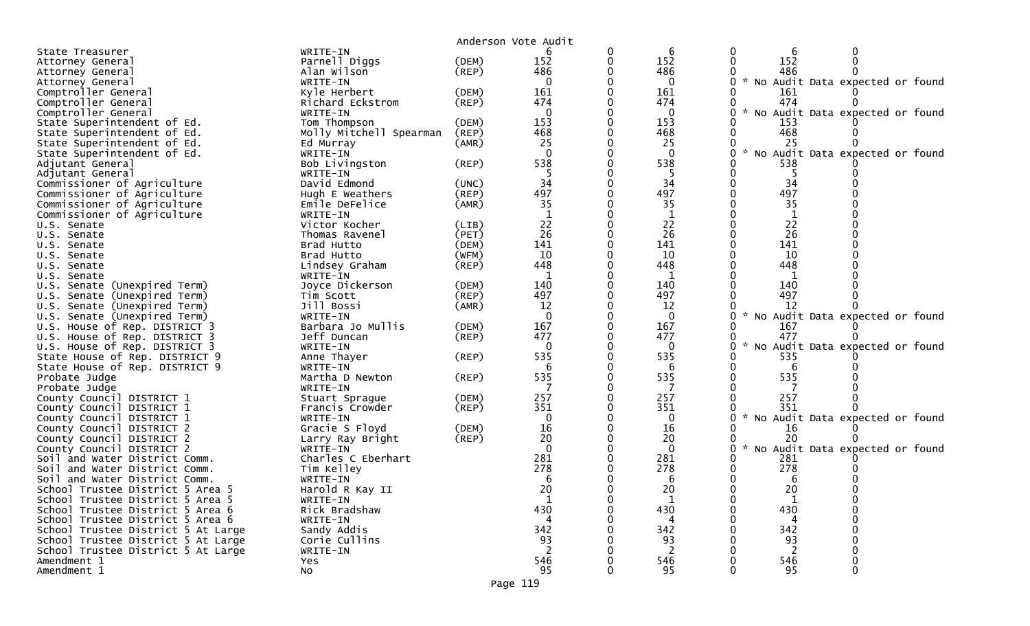|                                    |                         |             | Anderson Vote Audit |   |              |                    |             |                                 |  |
|------------------------------------|-------------------------|-------------|---------------------|---|--------------|--------------------|-------------|---------------------------------|--|
| State Treasurer                    | WRITE-IN                |             |                     | 0 | 6            | 0                  | 6           | 0                               |  |
| Attorney General                   | Parnell Diggs           | (DEM)       | 152                 | 0 | 152          | $\mathbf{0}$       | 152         | $\Omega$                        |  |
| Attorney General                   | Alan Wilson             | $($ REP $)$ | 486                 | 0 | 486          |                    | 486         |                                 |  |
| Attorney General                   | WRITE-IN                |             | $\mathbf{0}$        |   | $\mathbf 0$  | $0 * No$           |             | Audit Data expected or found    |  |
| Comptroller General                | Kyle Herbert            | (DEM)       | 161                 |   | 161          |                    | 161         |                                 |  |
| Comptroller General                | Richard Eckstrom        | (REP)       | 474                 | O | 474          | 0                  | 474         |                                 |  |
| Comptroller General                | WRITE-IN                |             | $\mathbf{0}$        |   | $\mathbf{0}$ | 0<br><b>NO</b>     |             | Audit Data expected or found    |  |
| State Superintendent of Ed.        | Tom Thompson            | (DEM)       | 153                 |   | 153          |                    | 153         |                                 |  |
| State Superintendent of Ed.        | Molly Mitchell Spearman | $($ REP $)$ | 468                 |   | 468          | 0                  | 468         |                                 |  |
| State Superintendent of Ed.        | Ed Murray               | (AMR)       | 25                  |   | 25           |                    | 25          |                                 |  |
| State Superintendent of Ed.        | WRITE-IN                |             | $\Omega$            |   | $\Omega$     | $\sim$<br>0        |             | No Audit Data expected or found |  |
| Adjutant General                   | Bob Livingston          | $($ REP $)$ | 538                 | 0 | 538          |                    | 538         |                                 |  |
| Adjutant General                   | WRITE-IN                |             | -5                  |   | 5            |                    | 5           |                                 |  |
| Commissioner of Agriculture        | David Edmond            | (UNC)       | 34                  |   | 34           |                    | 34          |                                 |  |
| Commissioner of Agriculture        | Hugh E Weathers         | (REP)       | 497                 | 0 | 497          | 0                  | 497         |                                 |  |
| Commissioner of Agriculture        | Emile DeFelice          | (AMR)       | 35                  |   | 35           |                    | 35          |                                 |  |
| Commissioner of Agriculture        | WRITE-IN                |             | 1                   |   | 1            |                    | 1           |                                 |  |
| U.S. Senate                        | Victor Kocher           | (LIB)       | 22                  |   | 22           |                    | 22          |                                 |  |
| U.S. Senate                        | Thomas Ravenel          | (PET)       | 26                  |   | 26           |                    | 26          |                                 |  |
| U.S. Senate                        | Brad Hutto              | (DEM)       | 141                 |   | 141          |                    | 141         |                                 |  |
| U.S. Senate                        | Brad Hutto              | (WFM)       | 10                  |   | 10           |                    | 10          |                                 |  |
| U.S. Senate                        | Lindsey Graham          | $($ REP $)$ | 448                 |   | 448          |                    | 448         |                                 |  |
| U.S. Senate                        | WRITE-IN                |             | -1                  |   | 1            |                    | 1           |                                 |  |
| U.S. Senate (Unexpired Term)       | Joyce Dickerson         | (DEM)       | 140                 |   | 140          |                    | 140         |                                 |  |
| U.S. Senate (Unexpired Term)       | Tim Scott               | $($ REP $)$ | 497                 |   | 497          |                    | 497         |                                 |  |
| Senate (Unexpired Term)<br>U.S.    | Jill Bossi              | (AMR)       | 12                  |   | 12           |                    | 12          |                                 |  |
| U.S. Senate (Unexpired Term)       | WRITE-IN                |             | $\Omega$            |   | $\mathbf{0}$ | NO.                |             | Audit Data expected or found    |  |
| U.S. House of Rep. DISTRICT 3      | Barbara Jo Mullis       | (DEM)       | 167                 | 0 | 167          | 0                  | 167         |                                 |  |
| U.S. House of Rep. DISTRICT 3      | Jeff Duncan             | $($ REP $)$ | 477                 |   | 477          | 0                  | 477         |                                 |  |
| U.S. House of Rep. DISTRICT 3      | WRITE-IN                |             | $\Omega$            |   | 0            | $\sim$<br>0        |             | No Audit Data expected or found |  |
| State House of Rep. DISTRICT 9     | Anne Thayer             | $($ REP $)$ | 535                 | 0 | 535          |                    | 535         |                                 |  |
| State House of Rep. DISTRICT 9     | WRITE-IN                |             | 6                   |   | -6           |                    | 6           |                                 |  |
| Probate Judge                      | Martha D Newton         | $($ REP $)$ | 535                 |   | 535          |                    | 535         |                                 |  |
| Probate Judge                      | WRITE-IN                |             |                     |   | 7            |                    |             |                                 |  |
| County Council DISTRICT 1          | Stuart Sprague          | (DEM)       | 257                 |   | 257          |                    | 257         |                                 |  |
| County Council DISTRICT 1          | Francis Crowder         | (REP)       | 351                 |   | 351          |                    | 351         |                                 |  |
| County Council DISTRICT 1          | WRITE-IN                |             | 0                   |   | $\mathbf 0$  | 0<br>$\mathcal{H}$ |             | No Audit Data expected or found |  |
| County Council DISTRICT 2          | Gracie S Floyd          | (DEM)       | 16                  |   | 16           |                    | 16          |                                 |  |
| County Council DISTRICT 2          | Larry Ray Bright        | $($ REP $)$ | 20                  |   | 20           |                    | 20          |                                 |  |
| County Council DISTRICT 2          | WRITE-IN                |             | $\Omega$            |   | $\mathbf 0$  | $\mathcal{H}$      |             | No Audit Data expected or found |  |
| Soil and Water District Comm.      | Charles C Eberhart      |             | 281                 |   | 281          |                    | 281         |                                 |  |
| and Water District Comm.<br>Soil.  | Tim Kelley              |             | 278                 |   | 278          |                    | 278         |                                 |  |
| Soil and Water District Comm.      | WRITE-IN                |             | 6                   |   | 6            |                    | 6           |                                 |  |
| School Trustee District 5 Area 5   | Harold R Kay II         |             | 20                  |   | 20           | 0                  | 20          |                                 |  |
| School Trustee District 5 Area 5   | WRITE-IN                |             | 1                   |   | $\mathbf{1}$ |                    | $\mathbf 1$ |                                 |  |
| School Trustee District 5 Area 6   | Rick Bradshaw           |             | 430                 |   | 430          |                    | 430         |                                 |  |
| School Trustee District 5 Area 6   | WRITE-IN                |             | 4                   |   | 4            |                    | 4           |                                 |  |
| School Trustee District 5 At Large | Sandy Addis             |             | 342                 |   | 342          |                    | 342         |                                 |  |
| School Trustee District 5 At Large | Corie Cullins           |             | 93                  |   | 93           |                    | 93          |                                 |  |
| School Trustee District 5 At Large | WRITE-IN                |             | 2                   |   | 2            |                    | 2           |                                 |  |
| Amendment 1                        | Yes                     |             | 546                 |   | 546          |                    | 546         |                                 |  |
| Amendment 1                        | <b>NO</b>               |             | 95                  |   | 95           |                    | 95          |                                 |  |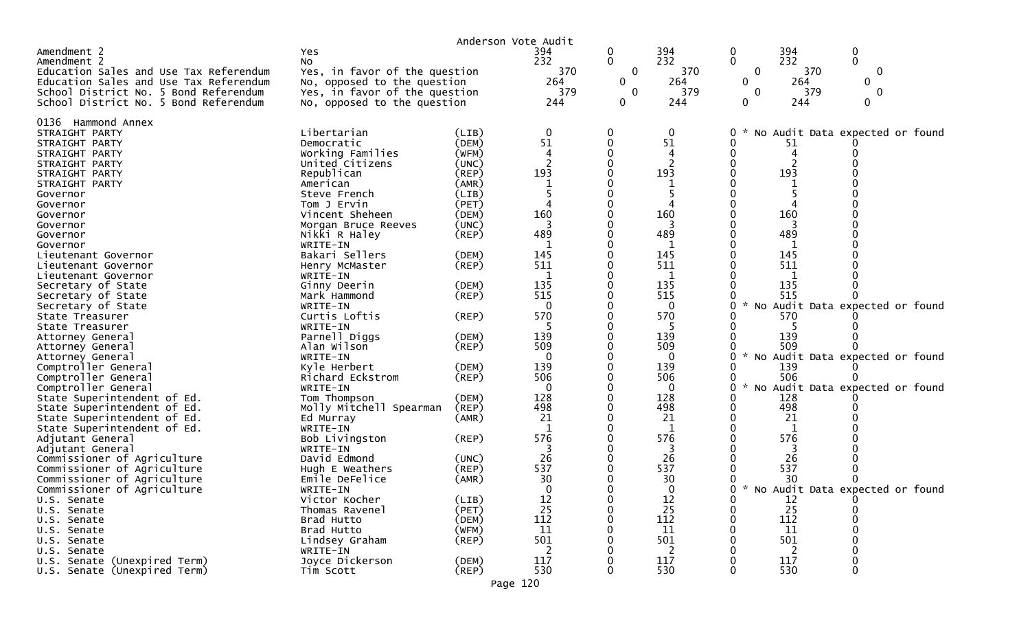|                                                 |                               | Anderson Vote Audit |              |              |          |              |          |                                   |  |
|-------------------------------------------------|-------------------------------|---------------------|--------------|--------------|----------|--------------|----------|-----------------------------------|--|
| Amendment 2                                     | Yes                           |                     | 394          | 0            | 394      | 0            | 394      | 0                                 |  |
| Amendment 2                                     | No                            |                     | 232          | 0            | 232      | $\mathbf 0$  | 232      | $\overline{0}$                    |  |
| Education Sales and Use Tax Referendum          | Yes, in favor of the question |                     | 370          | $\mathbf 0$  | 370      | $\mathbf 0$  | 370      | $\mathbf 0$                       |  |
| Education Sales and Use Tax Referendum          | No, opposed to the question   |                     | 264          | $\mathbf{0}$ | 264      | $\mathbf{0}$ | 264      | $\mathbf{0}$                      |  |
| School District No. 5 Bond Referendum           | Yes, in favor of the question |                     | 379          | 0            | 379      | $\mathbf 0$  | 379      | $\mathbf 0$                       |  |
| School District No. 5 Bond Referendum           | No, opposed to the question   |                     | 244          | 0            | 244      | 0            | 244      | $\mathbf{0}$                      |  |
| 0136 Hammond Annex                              |                               |                     |              |              |          |              |          |                                   |  |
| STRAIGHT PARTY                                  | Libertarian                   | (LIB)               | 0            |              | 0        | 0            |          | No Audit Data expected or found   |  |
| STRAIGHT PARTY                                  | Democratic                    | (DEM)               | 51           |              | 51       |              | 51       |                                   |  |
| STRAIGHT PARTY                                  | Working Families              | (WFM)               | 4            |              | 4        |              | 4        |                                   |  |
| STRAIGHT PARTY                                  | United Citizens               | (UNC)               |              |              |          |              |          |                                   |  |
| STRAIGHT PARTY                                  | Republican                    | (REP)               | 193          |              | 193      |              | 193      |                                   |  |
| STRAIGHT PARTY                                  | American                      | (AMR)               |              |              |          |              |          |                                   |  |
| Governor                                        | Steve French                  | (LIB)               |              |              |          |              |          |                                   |  |
| Governor                                        | Tom J Ervin                   | (PET)               |              |              |          |              |          |                                   |  |
| Governor                                        | Vincent Sheheen               | (DEM)               | 160          |              | 160      |              | 160      |                                   |  |
| Governor                                        | Morgan Bruce Reeves           | (UNC)               |              |              |          |              |          |                                   |  |
| Governor                                        | Nikki R Haley                 | (REP)               | 489          |              | 489      |              | 489      |                                   |  |
| Governor                                        | WRITE-IN                      |                     |              |              |          |              |          |                                   |  |
| Lieutenant Governor                             | Bakari Sellers                | (DEM)               | 145          |              | 145      |              | 145      |                                   |  |
| Lieutenant Governor                             | Henry McMaster                | (REP)               | 511          |              | 511      |              | 511      |                                   |  |
| Lieutenant Governor                             | WRITE-IN                      |                     | 135          |              | 1<br>135 |              | 135      |                                   |  |
| Secretary of State                              | Ginny Deerin                  | (DEM)<br>(REP)      | 515          |              | 515      |              | 515      |                                   |  |
| Secretary of State<br>Secretary of State        | Mark Hammond<br>WRITE-IN      |                     | $\Omega$     |              | $\Omega$ |              |          | No Audit Data expected or found   |  |
| State Treasurer                                 | Curtis Loftis                 | (REP)               | 570          |              | 570      |              | 570      |                                   |  |
| State Treasurer                                 | WRITE-IN                      |                     |              |              | -5       |              |          |                                   |  |
| Attorney General                                | Parnell Diggs                 | (DEM)               | 139          |              | 139      |              | 139      |                                   |  |
| Attorney General                                | Alan Wilson                   | (REP)               | 509          |              | 509      |              | 509      |                                   |  |
| Attorney General                                | WRITE-IN                      |                     | $\Omega$     |              | $\Omega$ | 0            |          | No Audit Data expected or found   |  |
| Comptroller General                             | Kyle Herbert                  | (DEM)               | 139          |              | 139      |              | 139      |                                   |  |
| Comptroller General                             | Richard Eckstrom              | (REP)               | 506          |              | 506      |              | 506      |                                   |  |
| Comptroller General                             | WRITE-IN                      |                     | $\mathbf{0}$ |              | 0        | 0<br>$\sim$  |          | No Audit Data expected or found   |  |
| State Superintendent of Ed.                     | Tom Thompson                  | (DEM)               | 128          |              | 128      |              | 128      |                                   |  |
| State Superintendent of Ed.                     | Molly Mitchell Spearman       | (REP)               | 498          |              | 498      |              | 498      |                                   |  |
| State Superintendent of Ed.                     | Ed Murray                     | (AMR)               | 21           |              | 21       |              | 21       |                                   |  |
| State Superintendent of Ed.                     | WRITE-IN                      |                     | -1           |              | 1        |              | 1        |                                   |  |
| Adjutant General                                | Bob Livingston                | (REP)               | 576          |              | 576<br>3 |              | 576<br>3 |                                   |  |
| Adjutant General<br>Commissioner of Agriculture | WRITE-IN<br>David Edmond      | (UNC)               | 26           |              | 26       |              | 26       |                                   |  |
| Commissioner of Agriculture                     | Hugh E Weathers               | (REP)               | 537          |              | 537      |              | 537      |                                   |  |
| Commissioner of Agriculture                     | Emile DeFelice                | (AMR)               | 30           |              | 30       |              | 30       |                                   |  |
| Commissioner of Agriculture                     | WRITE-IN                      |                     | $\Omega$     |              | $\Omega$ | ∩            |          | * No Audit Data expected or found |  |
| U.S. Senate                                     | Victor Kocher                 | (LIB)               | 12           |              | 12       | 0            | 12       |                                   |  |
| U.S. Senate                                     | Thomas Ravenel                | (PET)               | 25           |              | 25       |              | 25       |                                   |  |
| U.S. Senate                                     | Brad Hutto                    | (DEM)               | 112          |              | 112      |              | 112      |                                   |  |
| U.S. Senate                                     | Brad Hutto                    | (WFM)               | 11           |              | 11       |              | 11       |                                   |  |
| U.S. Senate                                     | Lindsey Graham                | $($ REP $)$         | 501          |              | 501      |              | 501      |                                   |  |
| U.S. Senate                                     | WRITE-IN                      |                     |              |              | 2        |              |          |                                   |  |
| U.S. Senate (Unexpired Term)                    | Joyce Dickerson               | (DEM)               | 117          |              | 117      |              | 117      |                                   |  |
| U.S. Senate (Unexpired Term)                    | Tim Scott                     | $($ REP $)$         | 530          |              | 530      |              | 530      | 0                                 |  |
|                                                 |                               | Page 120            |              |              |          |              |          |                                   |  |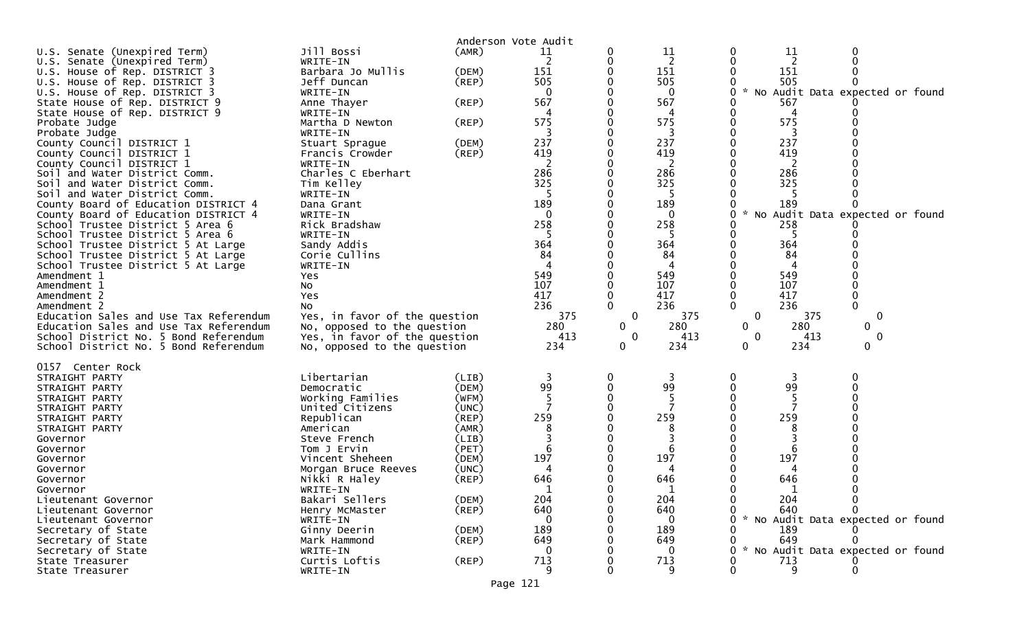|                                          |                               | Anderson Vote Audit  |              |             |              |                                           |
|------------------------------------------|-------------------------------|----------------------|--------------|-------------|--------------|-------------------------------------------|
| U.S. Senate (Unexpired Term)             | Jill Bossi                    | (AMR)                | 11           |             | 11           | 11<br>0                                   |
| U.S. Senate (Unexpired Term)             | WRITE-IN                      |                      | 2            |             | 2            | 2                                         |
|                                          | Barbara Jo Mullis             |                      | 151          |             | 151          | 151                                       |
| U.S. House of Rep. DISTRICT 3            | Jeff Duncan                   | (DEM)<br>$($ REP $)$ | 505          |             | 505          | 505                                       |
| U.S. House of Rep. DISTRICT 3            |                               |                      |              |             |              |                                           |
| U.S. House of Rep. DISTRICT 3            | WRITE-IN                      |                      | 0            |             | $\Omega$     | * No Audit Data expected or found<br>0    |
| State House of Rep. DISTRICT 9           | Anne Thayer                   | (REP)                | 567          |             | 567          | 567                                       |
| State House of Rep. DISTRICT 9           | WRITE-IN                      |                      |              |             |              | 4                                         |
| Probate Judge                            | Martha D Newton               | (REP)                | 575          |             | 575          | 575<br>0                                  |
| Probate Judge                            | WRITE-IN                      |                      |              |             | 3            |                                           |
| County Council DISTRICT 1                | Stuart Sprague                | (DEM)                | 237          |             | 237          | 237                                       |
| County Council DISTRICT 1                | Francis Crowder               | $($ REP $)$          | 419          |             | 419          | 419                                       |
| County Council DISTRICT 1                | WRITE-IN                      |                      |              |             | 2            | 2                                         |
| Soil and Water District Comm.            | Charles C Eberhart            |                      | 286          |             | 286          | 286                                       |
| Soil and Water District Comm.            | Tim Kelley                    |                      | 325          |             | 325          | 325                                       |
| Soil and Water District Comm.            | WRITE-IN                      |                      |              |             | -5           |                                           |
| County Board of Education DISTRICT 4     | Dana Grant                    |                      | 189          |             | 189          | 189                                       |
| County Board of Education DISTRICT 4     | WRITE-IN                      |                      | $\mathbf{0}$ |             | $\mathbf{0}$ | * No Audit Data expected or found<br>0    |
| School Trustee District 5 Area 6         | Rick Bradshaw                 |                      | 258          |             | 258          | 258                                       |
| School Trustee District 5 Area 6         | WRITE-IN                      |                      |              |             |              |                                           |
| School Trustee District 5 At Large       | Sandy Addis                   |                      | 364          |             | 364          | 364                                       |
| School Trustee District 5 At Large       | Corie Cullins                 |                      | 84           |             | 84           | 84                                        |
| School Trustee District 5 At Large       | WRITE-IN                      |                      |              |             | 4            | 4                                         |
| Amendment 1                              | Yes                           |                      | 549          |             | 549          | 549                                       |
| Amendment 1                              | No                            |                      | 107          |             | 107          | 107                                       |
| Amendment 2                              | Yes                           |                      | 417          |             | 417          | 417                                       |
| Amendment 2                              | NO.                           |                      | 236          |             | 236          | 236                                       |
| Education Sales and Use Tax Referendum   | Yes, in favor of the question |                      | 375          | $\mathbf 0$ | 375          | $\mathbf 0$<br>375<br>0                   |
| Education Sales and Use Tax Referendum   | No, opposed to the question   |                      | 280          | 0           | 280          | 280<br>$\mathbf{0}$<br>$\mathbf{0}$       |
| School District No. 5 Bond Referendum    | Yes, in favor of the question |                      | 413          | 0           | 413          | $\mathbf 0$<br>413<br>$\mathbf 0$         |
| School District No. 5 Bond Referendum    | No, opposed to the question   |                      | 234          | 0           | 234          | 0<br>234<br>0                             |
|                                          |                               |                      |              |             |              |                                           |
| 0157 Center Rock                         |                               |                      |              |             |              |                                           |
| STRAIGHT PARTY                           | Libertarian                   | (LIB)                | 3            |             | 3            | 3<br>0                                    |
| STRAIGHT PARTY                           | Democratic                    | (DEM)                | 99           |             | 99           | 99                                        |
| STRAIGHT PARTY                           | Working Families              | (WFM)                |              |             |              | 5                                         |
| STRAIGHT PARTY                           | United Citizens               | (UNC)                |              |             |              |                                           |
| STRAIGHT PARTY                           | Republican                    | (REP)                | 259          |             | 259          | 259                                       |
| STRAIGHT PARTY                           | American                      | (AMR)                | 8            |             | 8            | 8                                         |
| Governor                                 | Steve French                  | (LIB)                |              |             |              |                                           |
| Governor                                 | Tom J Ervin                   | (PET)                | 6            |             | 6            | 6                                         |
| Governor                                 | Vincent Sheheen               | (DEM)                | 197          |             | 197          | 197                                       |
| Governor                                 | Morgan Bruce Reeves           | (UNC)                |              |             |              |                                           |
| Governor                                 | Nikki R Haley                 | (REP)                | 646          |             | 646          | 646                                       |
| Governor                                 | WRITE-IN                      |                      |              |             |              |                                           |
| Lieutenant Governor                      | Bakari Sellers                | (DEM)                | 204          |             | 204          | 204                                       |
| Lieutenant Governor                      | Henry McMaster                | $($ REP $)$          | 640          |             | 640          | 640                                       |
| Lieutenant Governor                      | WRITE-IN                      |                      |              |             | $\Omega$     | $\sim$<br>No Audit Data expected or found |
| Secretary of State                       | Ginny Deerin                  | (DEM)                | 189          |             | 189          | 189                                       |
|                                          |                               |                      |              |             | 649          | 649                                       |
| Secretary of State<br>Secretary of State |                               |                      |              |             |              |                                           |
|                                          | Mark Hammond                  | $($ REP $)$          | 649          |             |              |                                           |
|                                          | WRITE-IN                      |                      |              |             | 0            | $\sim$<br>No Audit Data expected or found |
| State Treasurer<br>State Treasurer       | Curtis Loftis<br>WRITE-IN     | $($ REP $)$          | 713          |             | 713<br>9     | 713<br>9                                  |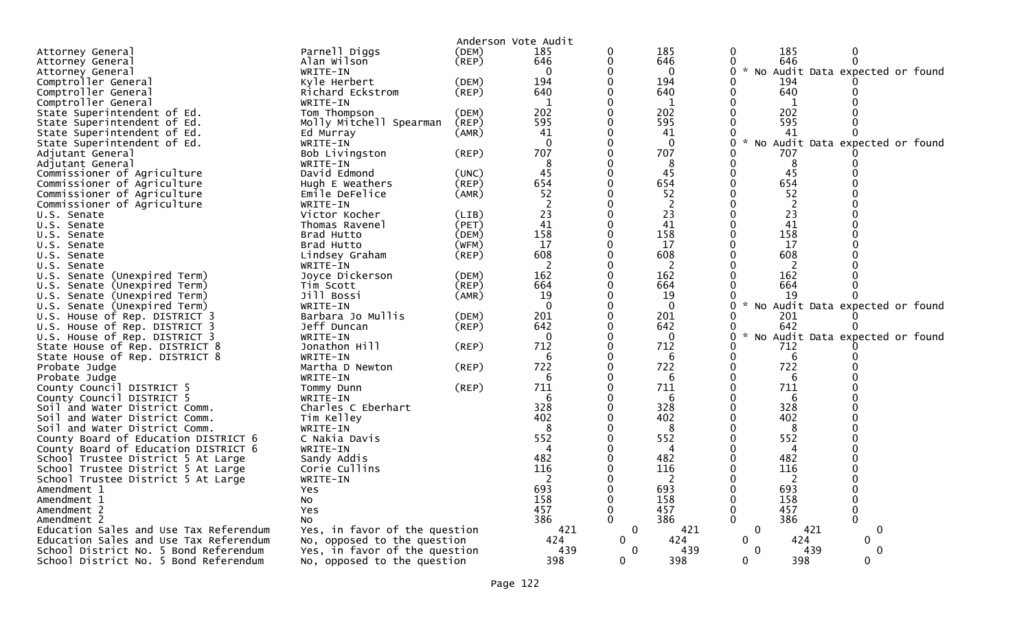|                                        |                               |       | Anderson Vote Audit      |              |              |                                  |      |                                   |  |
|----------------------------------------|-------------------------------|-------|--------------------------|--------------|--------------|----------------------------------|------|-----------------------------------|--|
| Attorney General                       | Parnell Diggs                 | (DEM) | 185                      | 0            | 185          | 0                                | 185  | 0                                 |  |
| Attorney General                       | Alan Wilson                   | (REP) | 646                      | 0            | 646          | 0                                | 646  | $\Omega$                          |  |
| Attorney General                       | WRITE-IN                      |       | $\Omega$                 | 0            | $\mathbf{0}$ | 0                                |      | * No Audit Data expected or found |  |
| Comptroller General                    | Kyle Herbert                  | (DEM) | 194                      | 0            | 194          | 0                                | 194  |                                   |  |
| Comptroller General                    | Richard Eckstrom              | (REP) | 640                      | 0            | 640          | 0                                | 640  |                                   |  |
| Comptroller General                    | WRITE-IN                      |       | 1                        | 0            | 1            | 0                                | 1    |                                   |  |
| State Superintendent of Ed.            | Tom Thompson                  | (DEM) | 202                      | $\Omega$     | 202          | $\Omega$                         | 202  |                                   |  |
| State Superintendent of Ed.            | Molly Mitchell Spearman       | (REP) | 595                      | 0            | 595          | O                                | 595  |                                   |  |
| State Superintendent of Ed.            | Ed Murray                     | (AMR) | 41                       | 0            | 41           | 0                                | 41   | 0                                 |  |
| State Superintendent of Ed.            | WRITE-IN                      |       | $\Omega$                 | 0            | $\Omega$     | 0<br>$\mathcal{R}$               |      | No Audit Data expected or found   |  |
| Adjutant General                       | Bob Livingston                | (REP) | 707                      | 0            | 707          | 0                                | 707  |                                   |  |
| Adjutant General                       | WRITE-IN                      |       | 8                        | $\Omega$     | 8            | $\Omega$                         | 8    |                                   |  |
| Commissioner of Agriculture            | David Edmond                  | (UNC) | 45                       | 0            | 45           | $\Omega$                         | 45   |                                   |  |
| Commissioner of Agriculture            | Hugh E Weathers               | (REP) | 654                      | 0            | 654          | 0                                | 654  |                                   |  |
| Commissioner of Agriculture            | Emile DeFelice                | (AMR) | 52                       | 0            | 52           | 0                                | 52   |                                   |  |
| Commissioner of Agriculture            | WRITE-IN                      |       | $\overline{2}$           | 0            | 2            | 0                                | 2    |                                   |  |
| U.S. Senate                            | Victor Kocher                 | (LIB) | 23                       | $\Omega$     | 23           | 0                                | 23   |                                   |  |
| U.S. Senate                            | Thomas Ravenel                | (PET) | 41                       | $\Omega$     | 41           | $\Omega$                         | 41   |                                   |  |
| U.S. Senate                            | Brad Hutto                    | (DEM) | 158                      | 0            | 158          | 0                                | 158  |                                   |  |
| U.S. Senate                            | Brad Hutto                    | (WFM) | 17                       | 0            | 17           | 0                                | 17   |                                   |  |
| U.S. Senate                            | Lindsey Graham                | (REP) | 608                      | 0            | 608          | 0                                | 608  |                                   |  |
| U.S. Senate                            | WRITE-IN                      |       | $\overline{\phantom{a}}$ | 0            | 2            |                                  | 2    |                                   |  |
| U.S. Senate (Unexpired Term)           | Joyce Dickerson               | (DEM) | 162                      | 0            | 162          |                                  | 162  |                                   |  |
| U.S. Senate (Unexpired Term)           | Tim Scott                     | (REP) | 664                      | 0            | 664          | U                                | 664  |                                   |  |
| U.S. Senate (Unexpired Term)           | Jill Bossi                    | (AMR) | 19                       | 0            | 19           | 0                                | 19   | ი                                 |  |
| U.S. Senate (Unexpired Term)           | WRITE-IN                      |       | $\Omega$                 | 0            | $\mathbf{0}$ | 0<br>$\mathcal{H}$               |      | No Audit Data expected or found   |  |
| U.S. House of Rep. DISTRICT 3          | Barbara Jo Mullis             | (DEM) | 201                      | 0            | 201          | 0                                | 201  |                                   |  |
| U.S. House of Rep. DISTRICT 3          | Jeff Duncan                   | (REP) | 642                      | 0            | 642          | U                                | 642  |                                   |  |
| U.S. House of Rep. DISTRICT 3          | WRITE-IN                      |       | $\Omega$                 | 0            | $\mathbf 0$  | 0<br>$\mathcal{H}^{\mathcal{C}}$ |      | No Audit Data expected or found   |  |
| State House of Rep. DISTRICT 8         | Jonathon Hill                 | (REP) | 712                      | 0            | 712          | 0                                | 712  |                                   |  |
| State House of Rep. DISTRICT 8         | WRITE-IN                      |       | 6                        | $\Omega$     | 6            | 0                                | 6    |                                   |  |
| Probate Judge                          | Martha D Newton               | (REP) | 722                      | 0            | 722          | $\Omega$                         | 722  |                                   |  |
| Probate Judge                          | WRITE-IN                      |       | 6                        | 0            | 6            | 0                                | 6    |                                   |  |
| County Council DISTRICT 5              | Tommy Dunn                    | (REP) | 711                      | 0            | 711          | 0                                | 711  |                                   |  |
| County Council DISTRICT 5              | WRITE-IN                      |       | 6                        | 0            | 6            | 0                                | 6    |                                   |  |
| Soil and Water District Comm.          | Charles C Eberhart            |       | 328                      | 0            | 328          | 0                                | 328  |                                   |  |
| Soil and Water District Comm.          | Tim Kelley                    |       | 402                      | 0            | 402          |                                  | 402  |                                   |  |
| Soil and Water District Comm.          | WRITE-IN                      |       | 8                        | 0            | 8            | 0                                | 8    |                                   |  |
| County Board of Education DISTRICT 6   | C Nakia Davis                 |       | 552                      | 0            | 552          | 0                                | 552  |                                   |  |
| County Board of Education DISTRICT 6   | WRITE-IN                      |       | 4                        | 0            | 4            | 0                                | 4    |                                   |  |
| School Trustee District 5 At Large     | Sandy Addis                   |       | 482                      | 0            | 482          | O                                | 482  |                                   |  |
| School Trustee District 5 At Large     | Corie Cullins                 |       | 116                      | 0            | 116          | 0                                | 116  |                                   |  |
| School Trustee District 5 At Large     | WRITE-IN                      |       | 2                        | U            | 2            |                                  | -2   |                                   |  |
| Amendment 1                            | Yes                           |       | 693                      | 0            | 693          |                                  | 693  |                                   |  |
| Amendment 1                            | No                            |       | 158                      | 0            | 158          | 0                                | 158  | 0                                 |  |
| Amendment 2                            | <b>Yes</b>                    |       | 457                      | $\Omega$     | 457          | $\Omega$                         | 457  | 0                                 |  |
| Amendment 2                            | No                            |       | 386                      | $\mathbf{0}$ | 386          | $\Omega$                         | 386  | 0                                 |  |
| Education Sales and Use Tax Referendum | Yes, in favor of the question |       | 421                      | 0            | 421          | 0                                | 421  | 0                                 |  |
| Education Sales and Use Tax Referendum | No, opposed to the question   |       | 424                      | 0            | 424          | 0                                | 424  | 0                                 |  |
| School District No. 5 Bond Referendum  | Yes, in favor of the question |       | 439                      | $\mathbf{0}$ | 439          | 0                                | 439. | 0                                 |  |
| School District No. 5 Bond Referendum  | No, opposed to the question   |       | 398                      | 0            | 398          | 0                                | 398  | $\mathbf{0}$                      |  |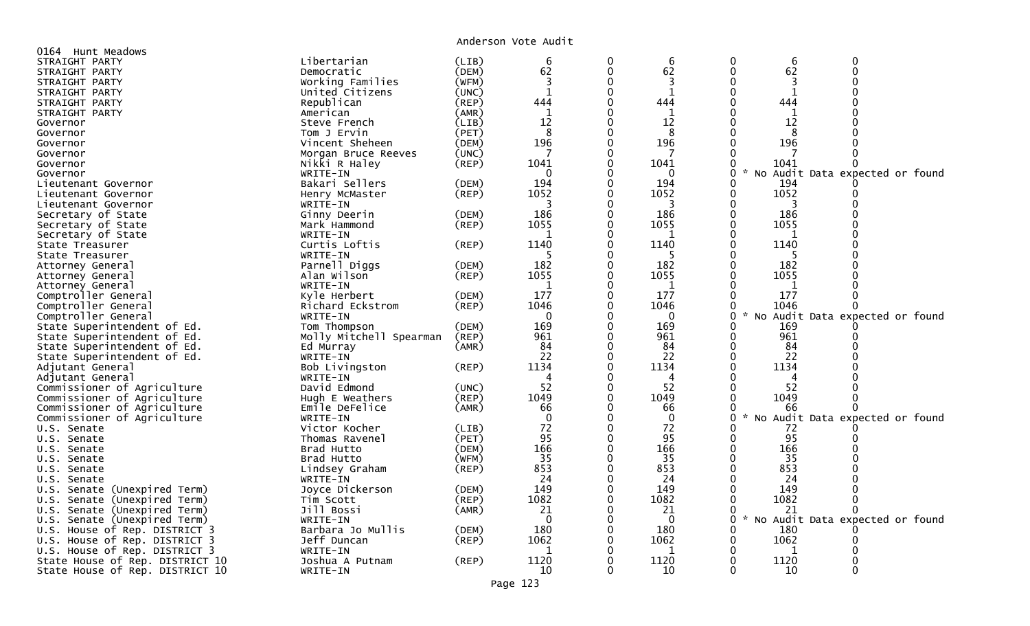Anderson Vote Audit

| 0164 Hunt Meadows                |                         |       |              |          |              |                                                       |
|----------------------------------|-------------------------|-------|--------------|----------|--------------|-------------------------------------------------------|
| STRAIGHT PARTY                   | Libertarian             | (LIB) | 6            | 0        | 6            | 6                                                     |
| STRAIGHT PARTY                   | Democratic              | (DEM) | 62           | $\Omega$ | 62           | 62<br>$\Omega$<br>$\Omega$                            |
| STRAIGHT PARTY                   | Working Families        | (WFM) | 3            |          | 3            | 0<br>3                                                |
| STRAIGHT PARTY                   | United Citizens         | (UNC) | $\mathbf{1}$ | 0        | $\mathbf{1}$ | $\mathbf{1}$<br>0                                     |
| STRAIGHT PARTY                   | Republican              | (REP) | 444          |          | 444          | 444                                                   |
| STRAIGHT PARTY                   | American                | (AMR) | 1            |          | 1            | -1                                                    |
| Governor                         | Steve French            | (LIB) | 12           |          | 12           | 12                                                    |
| Governor                         | Tom J Ervin             | (PET) | 8            | $\Omega$ | 8            | 8<br>0                                                |
| Governor                         | Vincent Sheheen         | (DEM) | 196          | $\Omega$ | 196          | 0<br>196                                              |
| Governor                         | Morgan Bruce Reeves     | (UNC) |              | 0        |              | 0                                                     |
| Governor                         | Nikki R Haley           | (REF) | 1041         |          | 1041         | 0<br>1041                                             |
| Governor                         | WRITE-IN                |       | 0            |          | 0            | $\sim$<br>0<br>No Audit Data expected or found        |
| Lieutenant Governor              | Bakari Sellers          | (DEM) | 194          |          | 194          | 194<br>0                                              |
| Lieutenant Governor              | Henry McMaster          | (REP) | 1052         |          | 1052         | 1052<br>0<br>O                                        |
|                                  |                         |       | 3            |          | 3            | 3                                                     |
| Lieutenant Governor              | WRITE-IN                |       | 186          |          | 186          | 186<br>0                                              |
| Secretary of State               | Ginny Deerin            | (DEM) | 1055         | 0        | 1055         | 1055<br>0                                             |
| Secretary of State               | Mark Hammond            | (REP) |              |          |              |                                                       |
| Secretary of State               | WRITE-IN                |       | ำ            | 0        | -1           | 0<br>1                                                |
| State Treasurer                  | Curtis Loftis           | (REP) | 1140         | 0        | 1140         | 0<br>1140                                             |
| State Treasurer                  | WRITE-IN                |       |              |          |              |                                                       |
| Attorney General                 | Parnell Diggs           | (DEM) | 182          |          | 182          | 182                                                   |
| Attorney General                 | Alan Wilson             | (REF) | 1055         |          | 1055         | 1055                                                  |
| Attorney General                 | WRITE-IN                |       | $\mathbf{1}$ |          | 1            | 1                                                     |
| Comptroller General              | Kyle Herbert            | (DEM) | 177          | $\Omega$ | 177          | 177<br>$\Omega$                                       |
| Comptroller General              | Richard Eckstrom        | (REF) | 1046         | 0        | 1046         | 1046<br>0                                             |
| Comptroller General              | WRITE-IN                |       | $\mathbf 0$  |          | $\mathbf{0}$ | 0<br>$\mathcal{H}$<br>No Audit Data expected or found |
| State Superintendent of Ed.      | Tom Thompson            | (DEM) | 169          | 0        | 169          | 169<br>0                                              |
| State Superintendent of Ed.      | Molly Mitchell Spearman | (REP) | 961          |          | 961          | 961<br>0                                              |
| State Superintendent of Ed.      | Ed Murray               | (AMR) | 84           |          | 84           | 84                                                    |
| State Superintendent of Ed.      | WRITE-IN                |       | 22           | $\Omega$ | 22           | 22                                                    |
| Adjutant General                 | Bob Livingston          | (REP) | 1134         | $\Omega$ | 1134         | $\Omega$<br>1134                                      |
| Adjutant General                 | WRITE-IN                |       | Δ            |          | 4            | ∩<br>4                                                |
| Commissioner of Agriculture      | David Edmond            | (UNC) | 52           | 0        | 52           | 52<br>0                                               |
| Commissioner of Agriculture      | Hugh E Weathers         | (REP) | 1049         | 0        | 1049         | $\Omega$<br>1049                                      |
| Commissioner of Agriculture      | Emile DeFelice          | (AMR) | 66           |          | 66           | 0<br>66                                               |
| Commissioner of Agriculture      | WRITE-IN                |       | $\Omega$     |          | $\Omega$     | No Audit Data expected or found<br>$\mathcal{H}$<br>0 |
| U.S. Senate                      | Victor Kocher           | (LIB) | 72           |          | 72           | 72                                                    |
| U.S. Senate                      | Thomas Ravenel          | (PET) | 95           | $\Omega$ | 95           | 95<br>0                                               |
| U.S. Senate                      | Brad Hutto              | (DEM) | 166          | $\Omega$ | 166          | $\Omega$<br>166                                       |
| U.S. Senate                      | Brad Hutto              | (WFM) | 35           | $\Omega$ | 35           | 35<br>O                                               |
| U.S. Senate                      | Lindsey Graham          | (REF) | 853          | $\Omega$ | 853          | 853<br>0                                              |
| U.S. Senate                      | WRITE-IN                |       | 24           | 0        | 24           | 24                                                    |
| U.S. Senate (Unexpired Term)     | Joyce Dickerson         | (DEM) | 149          | $\Omega$ | 149          | 149<br>0                                              |
| U.S. Senate (Unexpired Term)     | Tim Scott               | (REP) | 1082         | 0        | 1082         | 1082<br>0                                             |
| U.S. Senate (Unexpired Term)     | Jill Bossi              | (AMR) | 21           |          | 21           | 21<br>0                                               |
| Senate (Unexpired Term)<br>U.S.  | WRITE-IN                |       | $\Omega$     |          | $\Omega$     | 0<br>No Audit Data expected or found<br>$\mathcal{H}$ |
| House of Rep. DISTRICT 3<br>U.S. | Barbara Jo Mullis       | (DEM) | 180          | 0        | 180          | 180<br>0                                              |
| U.S. House of Rep. DISTRICT 3    | Jeff Duncan             | (REF) | 1062         | 0        | 1062         | 1062<br>0                                             |
| U.S. House of Rep. DISTRICT 3    | WRITE-IN                |       | -1           |          | 1            | 1                                                     |
| State House of Rep. DISTRICT 10  | Joshua A Putnam         | (REP) | 1120         | 0        | 1120         | 1120<br>0                                             |
| State House of Rep. DISTRICT 10  | WRITE-IN                |       | 10           | 0        | 10           | 0<br>10                                               |
|                                  |                         |       |              |          |              |                                                       |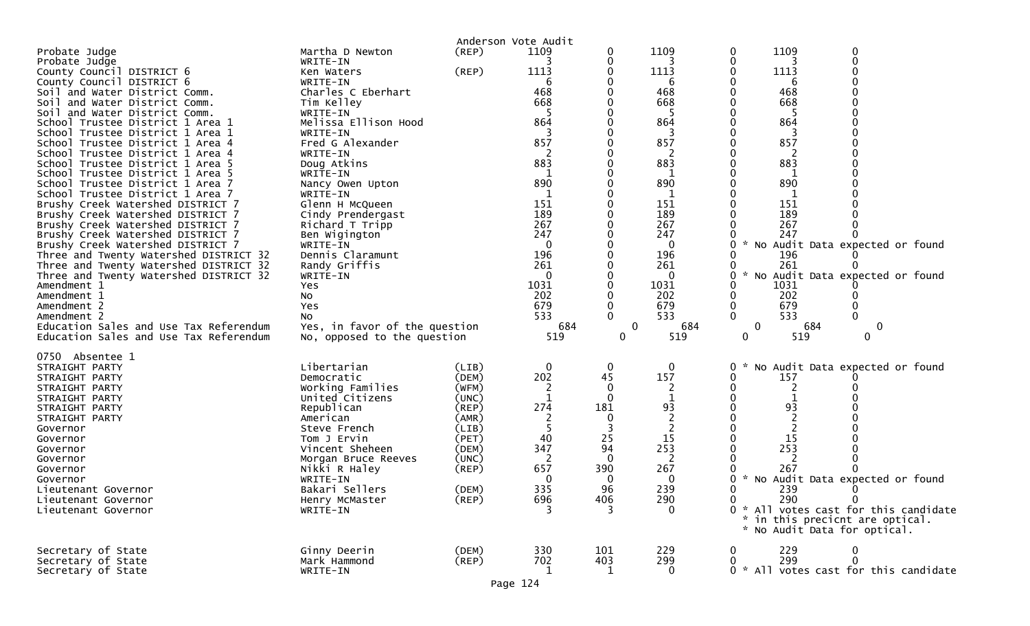| Probate Judge<br>Probate Judge<br>County Council DISTRICT 6<br>County Council DISTRICT 6<br>Soil and Water District Comm.<br>and Water District Comm.<br>Soil<br>Soil<br>and Water District Comm.<br>School Trustee District 1 Area 1<br>School Trustee District 1 Area 1<br>School Trustee District 1 Area 4<br>School Trustee District 1 Area 4<br>School Trustee District 1 Area 5<br>School Trustee District 1 Area 5<br>School Trustee District 1 Area 7<br>School Trustee District 1 Area 7<br>Brushy Creek Watershed DISTRICT 7<br>Brushy Creek Watershed DISTRICT 7<br>Brushy Creek Watershed DISTRICT 7<br>Brushy Creek Watershed DISTRICT 7<br>Brushy Creek Watershed DISTRICT 7<br>Three and Twenty Watershed DISTRICT 32<br>Three and Twenty Watershed DISTRICT 32<br>Three and Twenty Watershed DISTRICT 32<br>Amendment 1<br>Amendment 1<br>Amendment 2<br>Amendment 2<br>Education Sales and Use Tax Referendum | Martha D Newton<br>WRITE-IN<br>Ken Waters<br>WRITE-IN<br>Charles C Eberhart<br>Tim Kelley<br>WRITE-IN<br>Melissa Ellison Hood<br>WRITE-IN<br>Fred G Alexander<br>WRITE-IN<br>Doug Atkins<br>WRITE-IN<br>Nancy Owen Upton<br>WRITE-IN<br>Glenn H McQueen<br>Cindy Prendergast<br>Richard T Tripp<br>Ben Wigington<br>WRITE-IN<br>Dennis Claramunt<br>Randy Griffis<br>WRITE-IN<br>Yes<br>No<br>Yes<br>No.<br>Yes, in favor of the question | $($ REP $)$<br>(REP)                                                                                              | Anderson Vote Audit<br>1109<br>1113<br>6<br>468<br>668<br>864<br>857<br>883<br>$\mathbf{1}$<br>890<br>-1<br>151<br>189<br>267<br>247<br>0<br>196<br>261<br>1031<br>202<br>679<br>533<br>684 | 0<br>0<br>0<br>0<br>0<br>0<br>0<br>0<br>0<br>0<br>0<br>0<br>0<br>0<br>0<br>0<br>0<br>0<br>0<br>0<br>0<br>0<br>0<br>0<br>0<br>$\mathbf 0$<br>0 | 1109<br>1113<br>6<br>468<br>668<br>-5<br>864<br>3<br>857<br>883<br>1<br>890<br>151<br>189<br>267<br>247<br>0<br>196<br>261<br>0<br>1031<br>202<br>679<br>533<br>684 | 1109<br>0<br>0<br>0<br>1113<br>6<br>468<br>668<br>-5<br>864<br>857<br>883<br>890<br>151<br>189<br>267<br>247<br>* No Audit Data expected or found<br>196<br>261<br>* No Audit Data expected or found<br>0<br>1031<br>202<br>679<br>533<br>$\mathbf{0}$<br>$\Omega$<br>$\mathbf 0$<br>684<br>0         |
|--------------------------------------------------------------------------------------------------------------------------------------------------------------------------------------------------------------------------------------------------------------------------------------------------------------------------------------------------------------------------------------------------------------------------------------------------------------------------------------------------------------------------------------------------------------------------------------------------------------------------------------------------------------------------------------------------------------------------------------------------------------------------------------------------------------------------------------------------------------------------------------------------------------------------------|-------------------------------------------------------------------------------------------------------------------------------------------------------------------------------------------------------------------------------------------------------------------------------------------------------------------------------------------------------------------------------------------------------------------------------------------|-------------------------------------------------------------------------------------------------------------------|---------------------------------------------------------------------------------------------------------------------------------------------------------------------------------------------|-----------------------------------------------------------------------------------------------------------------------------------------------|---------------------------------------------------------------------------------------------------------------------------------------------------------------------|-------------------------------------------------------------------------------------------------------------------------------------------------------------------------------------------------------------------------------------------------------------------------------------------------------|
| Education Sales and Use Tax Referendum<br>0750 Absentee 1<br>STRAIGHT PARTY<br>STRAIGHT PARTY<br>STRAIGHT PARTY<br>STRAIGHT PARTY<br>STRAIGHT PARTY<br>STRAIGHT PARTY<br>Governor<br>Governor<br>Governor<br>Governor<br>Governor<br>Governor<br>Lieutenant Governor<br>Lieutenant Governor<br>Lieutenant Governor                                                                                                                                                                                                                                                                                                                                                                                                                                                                                                                                                                                                             | No, opposed to the question<br>Libertarian<br>Democratic<br>Working Families<br>United Citizens<br>Republican<br>American<br>Steve French<br>Tom J Ervin<br>Vincent Sheheen<br>Morgan Bruce Reeves<br>Nikki R Haley<br>WRITE-IN<br>Bakari Sellers<br>Henry McMaster<br>WRITE-IN                                                                                                                                                           | (LIB)<br>(DEM)<br>(WFM)<br>(UNC)<br>(REP)<br>(AMR)<br>(LIB)<br>(PET)<br>(DEM)<br>(UNC)<br>(REP)<br>(DEM)<br>(REP) | 519<br>0<br>202<br>2<br>274<br>40<br>347<br>657<br>0<br>335<br>696                                                                                                                          | 0<br>0<br>45<br>0<br>0<br>181<br>0<br>25<br>94<br>0<br>390<br>0<br>96<br>406                                                                  | 519<br>0<br>157<br>2<br>93<br>$\overline{2}$<br>15<br>253<br>267<br>0<br>239<br>290<br>$\Omega$                                                                     | $\mathbf{0}$<br>519<br>0<br>No Audit Data expected or found<br>157<br>0<br>0<br>93<br>15<br>253<br>267<br>* No Audit Data expected or found<br>239<br>290<br>$\mathbf{0}$<br>$\mathbf{0}$<br>0 * All votes cast for this candidate<br>* in this precicnt are optical.<br>* No Audit Data for optical. |
| Secretary of State<br>Secretary of State<br>Secretary of State                                                                                                                                                                                                                                                                                                                                                                                                                                                                                                                                                                                                                                                                                                                                                                                                                                                                 | Ginny Deerin<br>Mark Hammond<br>WRITE-IN                                                                                                                                                                                                                                                                                                                                                                                                  | (DEM)<br>$($ REP $)$                                                                                              | 330<br>702<br>-1<br>Page 124                                                                                                                                                                | 101<br>403<br>п.                                                                                                                              | 229<br>299<br>0                                                                                                                                                     | 229<br>299<br>$\mathbf 0$<br>0<br>0 * All votes cast for this candidate                                                                                                                                                                                                                               |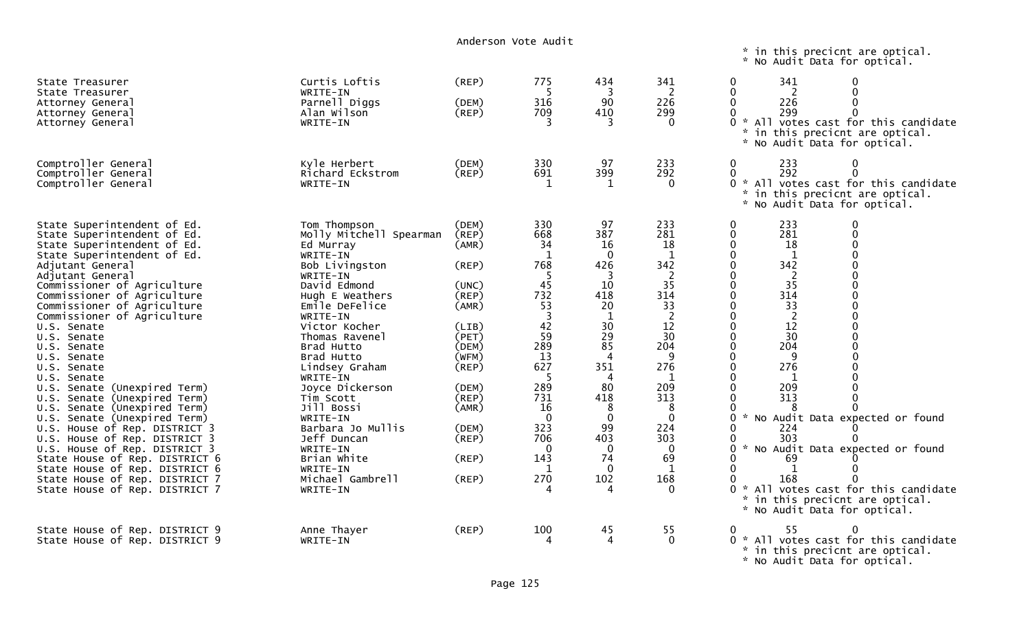|                                                                                                                                                                                                                                                                                                                                                                                                                                                                                                                                                                                                                                                                                                                                                                   |                                                                                                                                                                                                                                                                                                                                                                                                                                   | Anderson Vote Audit                                                                                                                                                     |                                                                                                                                                                                                                           |                                                                                                                                                                                                           |                                                                                                                                                                                                                  |                                                                                                                                                                                                                                                                                                                                                                                                                                                                                                                                                                                                                                                                                                                                                                                                                                                           |
|-------------------------------------------------------------------------------------------------------------------------------------------------------------------------------------------------------------------------------------------------------------------------------------------------------------------------------------------------------------------------------------------------------------------------------------------------------------------------------------------------------------------------------------------------------------------------------------------------------------------------------------------------------------------------------------------------------------------------------------------------------------------|-----------------------------------------------------------------------------------------------------------------------------------------------------------------------------------------------------------------------------------------------------------------------------------------------------------------------------------------------------------------------------------------------------------------------------------|-------------------------------------------------------------------------------------------------------------------------------------------------------------------------|---------------------------------------------------------------------------------------------------------------------------------------------------------------------------------------------------------------------------|-----------------------------------------------------------------------------------------------------------------------------------------------------------------------------------------------------------|------------------------------------------------------------------------------------------------------------------------------------------------------------------------------------------------------------------|-----------------------------------------------------------------------------------------------------------------------------------------------------------------------------------------------------------------------------------------------------------------------------------------------------------------------------------------------------------------------------------------------------------------------------------------------------------------------------------------------------------------------------------------------------------------------------------------------------------------------------------------------------------------------------------------------------------------------------------------------------------------------------------------------------------------------------------------------------------|
|                                                                                                                                                                                                                                                                                                                                                                                                                                                                                                                                                                                                                                                                                                                                                                   |                                                                                                                                                                                                                                                                                                                                                                                                                                   |                                                                                                                                                                         |                                                                                                                                                                                                                           |                                                                                                                                                                                                           |                                                                                                                                                                                                                  | * in this precicnt are optical.<br>* No Audit Data for optical.                                                                                                                                                                                                                                                                                                                                                                                                                                                                                                                                                                                                                                                                                                                                                                                           |
| State Treasurer<br>State Treasurer<br>Attorney General<br>Attorney General<br>Attorney General                                                                                                                                                                                                                                                                                                                                                                                                                                                                                                                                                                                                                                                                    | Curtis Loftis<br>WRITE-IN<br>Parnell Diggs<br>Alan Wilson<br>WRITE-IN                                                                                                                                                                                                                                                                                                                                                             | (REP)<br>(DEM)<br>(REP)                                                                                                                                                 | 775<br>-5<br>316<br>709<br>२                                                                                                                                                                                              | 434<br>3<br>90<br>410<br>3                                                                                                                                                                                | 341<br>2<br>226<br>299<br>$\Omega$                                                                                                                                                                               | 341<br>$\mathbf 0$<br>$\mathbf{0}$<br>2<br>$\Omega$<br>$\Omega$<br>226<br>$\mathbf 0$<br>$\Omega$<br>299<br>∩<br>0<br>* All votes cast for this candidate<br>* in this precicnt are optical.<br>* No Audit Data for optical.                                                                                                                                                                                                                                                                                                                                                                                                                                                                                                                                                                                                                              |
| Comptroller General<br>Comptroller General<br>Comptroller General                                                                                                                                                                                                                                                                                                                                                                                                                                                                                                                                                                                                                                                                                                 | Kyle Herbert<br>Richard Eckstrom<br>WRITE-IN                                                                                                                                                                                                                                                                                                                                                                                      | (DEM)<br>(REP)                                                                                                                                                          | 330<br>691<br>1                                                                                                                                                                                                           | 97<br>399<br>1                                                                                                                                                                                            | 233<br>292<br>$\mathbf{0}$                                                                                                                                                                                       | 233<br>$\Omega$<br>$\mathbf{0}$<br>292<br>$\Omega$<br>$\Omega$<br>0 * All votes cast for this candidate<br>* in this precicnt are optical.<br>* No Audit Data for optical.                                                                                                                                                                                                                                                                                                                                                                                                                                                                                                                                                                                                                                                                                |
| State Superintendent of Ed.<br>State Superintendent of Ed.<br>State Superintendent of Ed.<br>State Superintendent of Ed.<br>Adjutant General<br>Adjutant General<br>Commissioner of Agriculture<br>Commissioner of Agriculture<br>Commissioner of Agriculture<br>Commissioner of Agriculture<br>U.S. Senate<br>U.S. Senate<br>U.S. Senate<br>U.S. Senate<br>U.S. Senate<br>U.S. Senate<br>U.S. Senate (Unexpired Term)<br>U.S. Senate (Unexpired Term)<br>U.S. Senate (Unexpired Term)<br>U.S. Senate (Unexpired Term)<br>U.S. House of Rep. DISTRICT 3<br>U.S. House of Rep. DISTRICT 3<br>U.S. House of Rep. DISTRICT 3<br>State House of Rep. DISTRICT 6<br>State House of Rep. DISTRICT 6<br>State House of Rep. DISTRICT 7<br>State House of Rep. DISTRICT 7 | Tom Thompson<br>Molly Mitchell Spearman<br>Ed Murray<br>WRITE-IN<br>Bob Livingston<br>WRITE-IN<br>David Edmond<br>Hugh E Weathers<br>Emile DeFelice<br>WRITE-IN<br>Victor Kocher<br>Thomas Ravenel<br>Brad Hutto<br>Brad Hutto<br>Lindsey Graham<br>WRITE-IN<br>Joyce Dickerson<br>Tim Scott<br>Jill Bossi<br>WRITE-IN<br>Barbara Jo Mullis<br>Jeff Duncan<br>WRITE-IN<br>Brian White<br>WRITE-IN<br>Michael Gambrell<br>WRITE-IN | (DEM)<br>(REP)<br>(AMR)<br>(REP)<br>(UNC)<br>(REP)<br>(AMR)<br>(LIB)<br>(PET)<br>(DEM)<br>(WFM)<br>(REP)<br>(DEM)<br>(REP)<br>(AMR)<br>(DEM)<br>(REP)<br>(REP)<br>(REP) | 330<br>668<br>34<br>-1<br>768<br>-5<br>45<br>732<br>53<br>$\overline{\mathbf{3}}$<br>42<br>$5\overline{9}$<br>289<br>13<br>627<br>-5<br>289<br>731<br>16<br>$\mathbf 0$<br>323<br>706<br>$\mathbf{0}$<br>143<br>-1<br>270 | 97<br>387<br>16<br>$\mathbf 0$<br>426<br>3<br>10<br>418<br>20<br>$\mathbf{1}$<br>30<br>29<br>85<br>351<br>4<br>80<br>418<br>8<br>$\mathbf 0$<br>99<br>403<br>$\Omega$<br>74<br>$\overline{0}$<br>102<br>4 | 233<br>281<br>18<br>$\mathbf{1}$<br>342<br>2<br>35<br>314<br>33<br>$\overline{2}$<br>12<br>30<br>204<br>q<br>276<br>1<br>209<br>313<br>8<br>$\Omega$<br>224<br>303<br>$\mathbf{0}$<br>69<br>1<br>168<br>$\Omega$ | 233<br>$\Omega$<br>0<br>$\Omega$<br>$\mathbf{0}$<br>281<br>$\mathbf 0$<br>18<br>$\mathbf{0}$<br>$\Omega$<br>$\mathbf{1}$<br>0<br>342<br>$\Omega$<br>$\overline{2}$<br>$\mathbf 0$<br>$\Omega$<br>35<br>$\Omega$<br>0<br>314<br>$\Omega$<br>$\Omega$<br>$\Omega$<br>$\Omega$<br>33<br>$\overline{2}$<br>$\mathbf 0$<br>$\Omega$<br>12<br>$\Omega$<br>$\Omega$<br>$\Omega$<br>30<br>$\Omega$<br>204<br>$\mathbf 0$<br>$\Omega$<br>$\Omega$<br>0<br>9<br>$\Omega$<br>$\Omega$<br>276<br>$\Omega$<br>$\Omega$<br>1<br>$\Omega$<br>209<br>313<br>$\Omega$<br>0<br>8<br>* No Audit Data expected or found<br>0<br>224<br>0<br>303<br>$\Omega$<br>∩<br>No Audit Data expected or found<br>$\Omega$<br>0<br>69<br>$\mathbf{1}$<br>0<br>168<br>All votes cast for this candidate<br>$\mathcal{H}$<br>in this precicnt are optical.<br>* No Audit Data for optical. |
| State House of Rep. DISTRICT 9<br>State House of Rep. DISTRICT 9                                                                                                                                                                                                                                                                                                                                                                                                                                                                                                                                                                                                                                                                                                  | Anne Thayer<br>WRITE-IN                                                                                                                                                                                                                                                                                                                                                                                                           | $($ REP $)$                                                                                                                                                             | 100<br>4                                                                                                                                                                                                                  | 45<br>4                                                                                                                                                                                                   | 55<br>$\Omega$                                                                                                                                                                                                   | 55<br>$\Omega$<br>0<br>$0 *$ All votes cast for this candidate<br>* in this precicnt are optical.<br>* No Audit Data for optical.                                                                                                                                                                                                                                                                                                                                                                                                                                                                                                                                                                                                                                                                                                                         |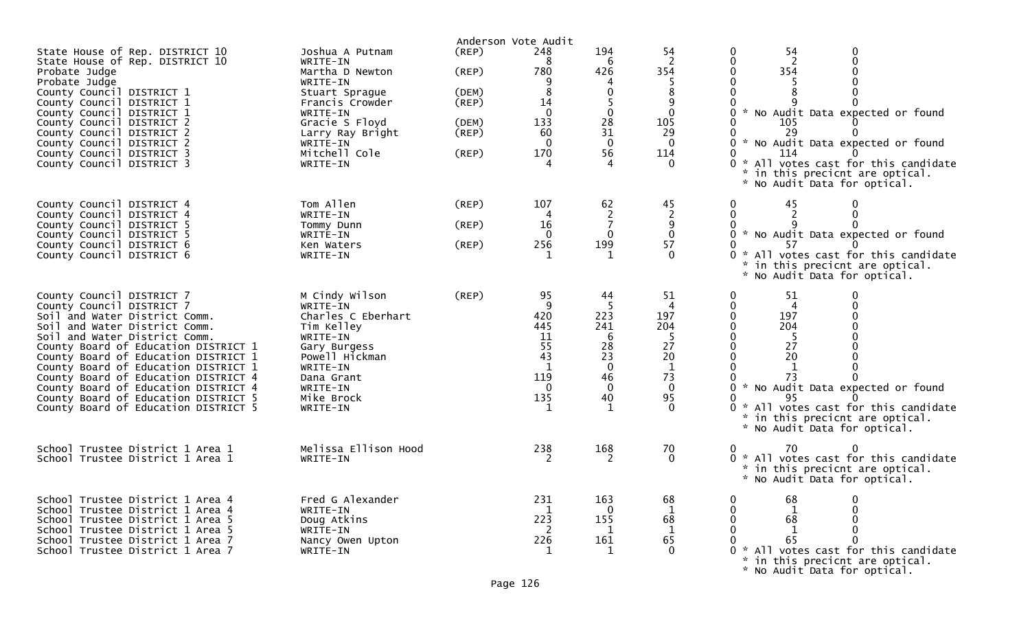|                                                                                                                                                                                                                                                                                                                                                                                                                                                   |                                                                                                                                                                                            | Anderson Vote Audit                                               |                                                                                |                                                                        |                                                                                                |                                                                                                                                                                                                                                                                                                         |
|---------------------------------------------------------------------------------------------------------------------------------------------------------------------------------------------------------------------------------------------------------------------------------------------------------------------------------------------------------------------------------------------------------------------------------------------------|--------------------------------------------------------------------------------------------------------------------------------------------------------------------------------------------|-------------------------------------------------------------------|--------------------------------------------------------------------------------|------------------------------------------------------------------------|------------------------------------------------------------------------------------------------|---------------------------------------------------------------------------------------------------------------------------------------------------------------------------------------------------------------------------------------------------------------------------------------------------------|
| State House of Rep. DISTRICT 10<br>State House of Rep. DISTRICT 10<br>Probate Judge<br>Probate Judge<br>County Council DISTRICT 1<br>County Council DISTRICT 1<br>County Council DISTRICT 1<br>County Council DISTRICT 2<br>County Council DISTRICT 2<br>County Council DISTRICT 2<br>County Council DISTRICT 3<br>County Council DISTRICT 3                                                                                                      | Joshua A Putnam<br>WRITE-IN<br>Martha D Newton<br>WRITE-IN<br>Stuart Sprague<br>Francis Crowder<br>WRITE-IN<br>Gracie S Floyd<br>Larry Ray Bright<br>WRITE-IN<br>Mitchell Cole<br>WRITE-IN | (REP)<br>(REP)<br>(DEM)<br>$($ REP $)$<br>(DEM)<br>(REP)<br>(REP) | 248<br>8<br>780<br>8<br>14<br>$\mathbf{0}$<br>133<br>60<br>$\mathbf{0}$<br>170 | 194<br>6<br>426<br>4<br>0<br>0<br>28<br>31<br>$\mathbf 0$<br>56        | 54<br>$\overline{2}$<br>354<br>$\mathbf{0}$<br>105<br>29<br>$\mathbf{0}$<br>114                | 0<br>0<br>54<br>$\overline{2}$<br>$\Omega$<br>0<br>354<br>0<br>$\Omega$<br>5<br>0 * No Audit Data expected or found<br>105<br>0<br>29<br>* No Audit Data expected or found<br>0<br>0<br>114<br>0 * All votes cast for this candidate<br>* in this precicnt are optical.<br>* No Audit Data for optical. |
| County Council DISTRICT 4<br>County Council DISTRICT 4<br>County Council DISTRICT 5<br>County Council DISTRICT 5<br>County Council DISTRICT 6<br>County Council DISTRICT 6                                                                                                                                                                                                                                                                        | Tom Allen<br>WRITE-IN<br>Tommy Dunn<br>WRITE-IN<br>Ken Waters<br>WRITE-IN                                                                                                                  | (REP)<br>$($ REP $)$<br>(REP)                                     | 107<br>4<br>16<br>$\Omega$<br>256                                              | 62<br>2<br>$\mathbf 0$<br>199                                          | 45<br>$\overline{2}$<br>9<br>$\mathbf 0$<br>57<br>$\Omega$                                     | 45<br>0<br>0<br>$\overline{2}$<br>0<br>0<br>0 * No Audit Data expected or found<br>0<br>57<br>All votes cast for this candidate<br>- 27<br>* in this precicnt are optical.<br>* No Audit Data for optical.                                                                                              |
| County Council DISTRICT 7<br>County Council DISTRICT 7<br>Soil and Water District Comm.<br>Soil and Water District Comm.<br>Soil and Water District Comm.<br>County Board of Education DISTRICT 1<br>County Board of Education DISTRICT 1<br>County Board of Education DISTRICT 1<br>County Board of Education DISTRICT 4<br>County Board of Education DISTRICT 4<br>County Board of Education DISTRICT 5<br>County Board of Education DISTRICT 5 | M Cindy Wilson<br>WRITE-IN<br>Charles C Eberhart<br>Tim Kelley<br>WRITE-IN<br>Gary Burgess<br>Powell Hickman<br>WRITE-IN<br>Dana Grant<br>WRITE-IN<br>Mike Brock<br>WRITE-IN               | (REP)                                                             | 95<br>9<br>420<br>445<br>11<br>55<br>43<br>119<br>$\mathbf{0}$<br>135          | 44<br>223<br>241<br>6<br>28<br>23<br>0<br>46<br>$\mathbf 0$<br>40<br>1 | 51<br>4<br>197<br>204<br>-5<br>27<br>20<br>$\mathbf{1}$<br>73<br>$\mathbf 0$<br>95<br>$\Omega$ | 51<br>0<br>0<br>$\overline{4}$<br>0<br>0<br>197<br>∩<br>$\Omega$<br>204<br>0<br>-5<br>27<br>20<br>1<br>73<br>* No Audit Data expected or found<br>0<br>95<br>All votes cast for this candidate<br>0 *<br>* in this precicnt are optical.<br>* No Audit Data for optical.                                |
| School Trustee District 1 Area 1<br>School Trustee District 1 Area 1                                                                                                                                                                                                                                                                                                                                                                              | Melissa Ellison Hood<br>WRITE-IN                                                                                                                                                           |                                                                   | 238                                                                            | 168<br>2                                                               | 70<br>$\mathbf{0}$                                                                             | 70<br>0<br>0<br>0 * All votes cast for this candidate<br>in this precicnt are optical.<br>* No Audit Data for optical.                                                                                                                                                                                  |
| School Trustee District 1 Area 4<br>School Trustee District 1 Area 4<br>School Trustee District 1 Area 5<br>School Trustee District 1 Area 5<br>School Trustee District 1 Area 7<br>School Trustee District 1 Area 7                                                                                                                                                                                                                              | Fred G Alexander<br>WRITE-IN<br>Doug Atkins<br>WRITE-IN<br>Nancy Owen Upton<br>WRITE-IN                                                                                                    |                                                                   | 231<br>1<br>223<br>-2<br>226                                                   | 163<br>$\mathbf 0$<br>155<br>1<br>161                                  | 68<br>1<br>68<br>1<br>65                                                                       | 68<br>68<br>0<br>$\mathbf{1}$<br>65<br>0 * All votes cast for this candidate<br>* in this precicnt are optical.<br>* No Audit Data for optical.                                                                                                                                                         |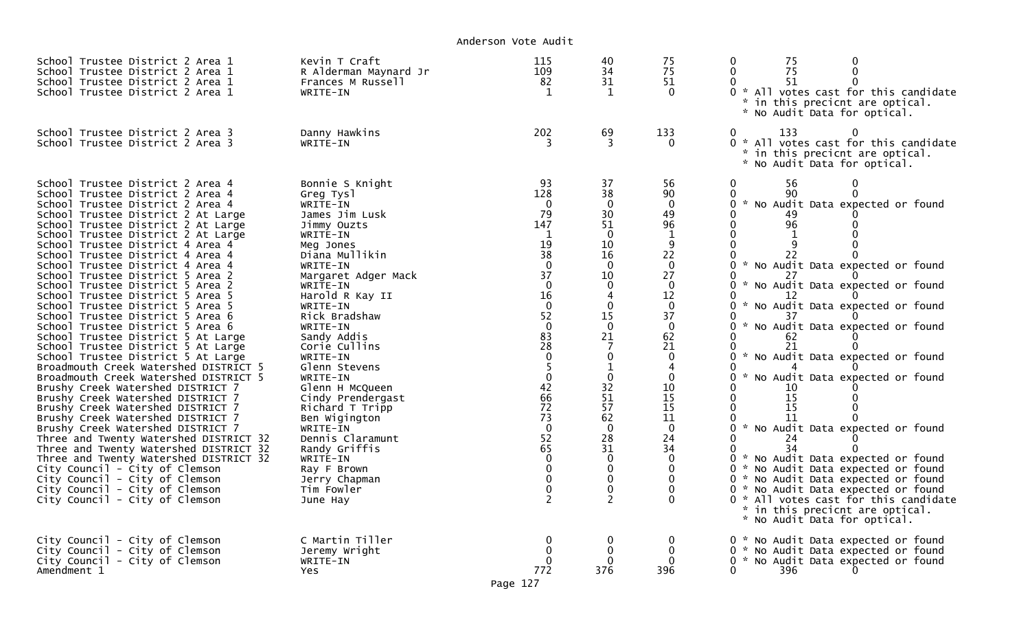Anderson Vote Audit

| School Trustee District 2 Area 1<br>School Trustee District 2 Area 1<br>School Trustee District 2 Area 1<br>School Trustee District 2 Area 1                                                                                                                                                                                                                                                                                                                                                                                                                                                                                                                                                                                                                                                                                                                                                                                                                                                                                                                                                                                                                                                                                      | Kevin T Craft<br>R Alderman Maynard Jr<br>Frances M Russell<br>WRITE-IN                                                                                                                                                                                                                                                                                                                                                                                                                                     | 115<br>109<br>82<br>$\mathbf{1}$                                                                                                                                                                                                                                                                                                  | 40<br>34<br>31<br>1                                                                                                                                                                                                                                                                                                                      | 75<br>75<br>51<br>$\Omega$                                                                                                                                                                                                                                              | 75<br>0<br>75<br>O<br>51<br>0 * All votes cast for this candidate<br>in this precicnt are optical.<br>* No Audit Data for optical.                                                                                                                                                                                                                                                                                                                                                                                                                                                                                                                                                                                                                                                                                          |
|-----------------------------------------------------------------------------------------------------------------------------------------------------------------------------------------------------------------------------------------------------------------------------------------------------------------------------------------------------------------------------------------------------------------------------------------------------------------------------------------------------------------------------------------------------------------------------------------------------------------------------------------------------------------------------------------------------------------------------------------------------------------------------------------------------------------------------------------------------------------------------------------------------------------------------------------------------------------------------------------------------------------------------------------------------------------------------------------------------------------------------------------------------------------------------------------------------------------------------------|-------------------------------------------------------------------------------------------------------------------------------------------------------------------------------------------------------------------------------------------------------------------------------------------------------------------------------------------------------------------------------------------------------------------------------------------------------------------------------------------------------------|-----------------------------------------------------------------------------------------------------------------------------------------------------------------------------------------------------------------------------------------------------------------------------------------------------------------------------------|------------------------------------------------------------------------------------------------------------------------------------------------------------------------------------------------------------------------------------------------------------------------------------------------------------------------------------------|-------------------------------------------------------------------------------------------------------------------------------------------------------------------------------------------------------------------------------------------------------------------------|-----------------------------------------------------------------------------------------------------------------------------------------------------------------------------------------------------------------------------------------------------------------------------------------------------------------------------------------------------------------------------------------------------------------------------------------------------------------------------------------------------------------------------------------------------------------------------------------------------------------------------------------------------------------------------------------------------------------------------------------------------------------------------------------------------------------------------|
| School Trustee District 2 Area 3<br>School Trustee District 2 Area 3                                                                                                                                                                                                                                                                                                                                                                                                                                                                                                                                                                                                                                                                                                                                                                                                                                                                                                                                                                                                                                                                                                                                                              | Danny Hawkins<br>WRITE-IN                                                                                                                                                                                                                                                                                                                                                                                                                                                                                   | 202                                                                                                                                                                                                                                                                                                                               | 69<br>3                                                                                                                                                                                                                                                                                                                                  | 133<br>$\Omega$                                                                                                                                                                                                                                                         | 0<br>133<br>ი ∗<br>All votes cast for this candidate<br>* in this precicnt are optical.<br>* No Audit Data for optical.                                                                                                                                                                                                                                                                                                                                                                                                                                                                                                                                                                                                                                                                                                     |
| School Trustee District 2 Area 4<br>School Trustee District 2 Area 4<br>School Trustee District 2 Area 4<br>School Trustee District 2 At Large<br>School Trustee District 2 At Large<br>School Trustee District 2 At Large<br>School Trustee District 4 Area 4<br>School Trustee District 4 Area 4<br>School Trustee District 4 Area 4<br>School Trustee District 5 Area 2<br>School Trustee District 5 Area 2<br>School Trustee District 5 Area 5<br>School Trustee District 5 Area 5<br>School Trustee District 5 Area 6<br>School Trustee District 5 Area 6<br>School Trustee District 5 At Large<br>School Trustee District 5 At Large<br>School Trustee District 5 At Large<br>Broadmouth Creek Watershed DISTRICT 5<br>Broadmouth Creek Watershed DISTRICT 5<br>Brushy Creek Watershed DISTRICT 7<br>Brushy Creek Watershed DISTRICT 7<br>Brushy Creek Watershed DISTRICT 7<br>Brushy Creek Watershed DISTRICT 7<br>Brushy Creek Watershed DISTRICT 7<br>Three and Twenty Watershed DISTRICT 32<br>Three and Twenty Watershed DISTRICT 32<br>Three and Twenty Watershed DISTRICT 32<br>City Council - City of Clemson<br>City Council - City of Clemson<br>City Council - City of Clemson<br>City Council - City of Clemson | Bonnie S Knight<br>Greg Tysl<br>WRITE-IN<br>James Jim Lusk<br>Jimmy Ouzts<br>WRITE-IN<br>Meg Jones<br>Diana Mullikin<br>WRITE-IN<br>Margaret Adger Mack<br>WRITE-IN<br>Harold R Kay II<br>WRITE-IN<br>Rick Bradshaw<br>WRITE-IN<br>Sandy Addis<br>Corie Cullins<br>WRITE-IN<br>Glenn Stevens<br>WRITE-IN<br>Glenn H McQueen<br>Cindy Prendergast<br>Richard T Tripp<br>Ben Wigington<br>WRITE-IN<br>Dennis Claramunt<br>Randy Griffis<br>WRITE-IN<br>Ray F Brown<br>Jerry Chapman<br>Tim Fowler<br>June Hay | 93<br>128<br>0<br>79<br>147<br>$\mathbf{1}$<br>19<br>38<br>$\overline{0}$<br>37<br>$\mathbf 0$<br>16<br>$\frac{1}{52}$<br>$\pmb{0}$<br>$8\bar{3}$<br>28<br>$\mathbf 0$<br>5<br>$\mathbf 0$<br>42<br>66<br>72<br>73<br>$\mathbf 0$<br>52<br>65<br>$\overline{0}$<br>$\mathbf 0$<br>$\mathbf 0$<br>$\overline{0}$<br>$\overline{2}$ | 37<br>38<br>$\mathbf{0}$<br>30<br>51<br>$\mathbf{0}$<br>10<br>16<br>$\Omega$<br>10<br>$\mathbf{0}$<br>$\overline{A}$<br>$\mathbf 0$<br>15<br>$\mathbf 0$<br>21<br>$\overline{7}$<br>0<br>$\mathbf 1$<br>$\mathbf{0}$<br>32<br>51<br>57<br>62<br>$\Omega$<br>28<br>31<br>$\mathbf 0$<br>$\mathbf 0$<br>0<br>$\mathbf 0$<br>$\overline{2}$ | 56<br>90<br>$\mathbf{0}$<br>49<br>96<br>$\mathbf{1}$<br>9<br>22<br>$\mathbf 0$<br>27<br>$\mathbf 0$<br>12<br>$\mathbf 0$<br>37<br>$\mathbf 0$<br>62<br>21<br>$\mathbf{0}$<br>0<br>10<br>15<br>15<br>11<br>$\Omega$<br>24<br>34<br>$\Omega$<br>0<br>$\Omega$<br>$\Omega$ | 0<br>56<br>0<br>0<br>90<br>$\Omega$<br>0<br>* No Audit Data expected or found<br>0<br>49<br>96<br>0<br>O<br>$\mathbf 1$<br>0<br>0<br>22<br>0 * No Audit Data expected or found<br>0<br>0 * No Audit Data expected or found<br>0<br>0<br>* No Audit Data expected or found<br>0 * No Audit Data expected or found<br>0<br>62<br>0<br>21<br>* No Audit Data expected or found<br>0<br>0<br>No Audit Data expected or found<br>0<br>$\mathcal{H}$<br>10<br>15<br>0<br>15<br>0<br>11<br>* No Audit Data expected or found<br>0<br>0<br>24<br>0<br>34<br>0 * No Audit Data expected or found<br>0 * No Audit Data expected or found<br>0 * No Audit Data expected or found<br>0 * No Audit Data expected or found<br>ი ∗<br>All votes cast for this candidate<br>* in this precicnt are optical.<br>* No Audit Data for optical. |
| City Council - City of Clemson<br>City Council - City of Clemson<br>City Council - City of Clemson<br>Amendment 1                                                                                                                                                                                                                                                                                                                                                                                                                                                                                                                                                                                                                                                                                                                                                                                                                                                                                                                                                                                                                                                                                                                 | C Martin Tiller<br>Jeremy Wright<br>WRITE-IN<br>Yes.                                                                                                                                                                                                                                                                                                                                                                                                                                                        | 772                                                                                                                                                                                                                                                                                                                               | 0<br>0<br>376                                                                                                                                                                                                                                                                                                                            | 396                                                                                                                                                                                                                                                                     | 0 * No Audit Data expected or found<br>0 * No Audit Data expected or found<br>0 * No Audit Data expected or found<br>0<br>396                                                                                                                                                                                                                                                                                                                                                                                                                                                                                                                                                                                                                                                                                               |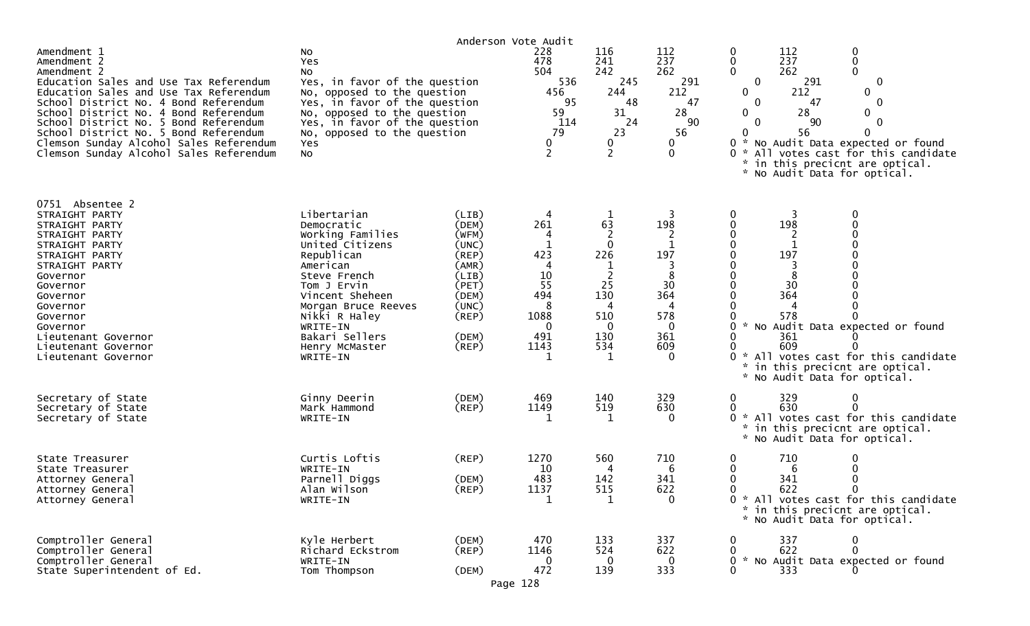|                                                                                                                                                                                                                                                                                                                                                                                         |                                                                                                                                                                                                                                                  | Anderson Vote Audit                                                                                                                 |                                                                                 |                                                                                                                     |                                                                              |                                                                                                                                                                                                                                                                                                                                                                                                                                       |
|-----------------------------------------------------------------------------------------------------------------------------------------------------------------------------------------------------------------------------------------------------------------------------------------------------------------------------------------------------------------------------------------|--------------------------------------------------------------------------------------------------------------------------------------------------------------------------------------------------------------------------------------------------|-------------------------------------------------------------------------------------------------------------------------------------|---------------------------------------------------------------------------------|---------------------------------------------------------------------------------------------------------------------|------------------------------------------------------------------------------|---------------------------------------------------------------------------------------------------------------------------------------------------------------------------------------------------------------------------------------------------------------------------------------------------------------------------------------------------------------------------------------------------------------------------------------|
| Amendment 1<br>Amendment 2<br>Amendment 2<br>Education Sales and Use Tax Referendum<br>Education Sales and Use Tax Referendum<br>School District No. 4 Bond Referendum<br>School District No. 4 Bond Referendum<br>School District No. 5 Bond Referendum<br>School District No. 5 Bond Referendum<br>Clemson Sunday Alcohol Sales Referendum<br>Clemson Sunday Alcohol Sales Referendum | No<br>Yes<br>NO.<br>Yes, in favor of the question<br>No, opposed to the question<br>Yes, in favor of the question<br>No, opposed to the question<br>Yes, in favor of the question<br>No, opposed to the question<br>Yes<br>No                    |                                                                                                                                     | 228<br>478<br>504<br>536<br>456<br>95<br>59<br>114<br>79<br>0<br>$\overline{2}$ | 116<br>241<br>242<br>245<br>244<br>48<br>31<br>24<br>23<br>0<br>$\overline{2}$                                      | 112<br>237<br>262<br>291<br>212<br>47<br>28<br>90<br>56<br>0<br>$\mathbf{0}$ | 112<br>$\boldsymbol{0}$<br>0<br>237<br>$\pmb{0}$<br>0<br>$\mathbf 0$<br>$\mathbf{0}$<br>262<br>$\mathbf 0$<br>291<br>0<br>212<br>$\mathbf{0}$<br>$\mathbf 0$<br>$\mathbf{0}$<br>$\mathbf 0$<br>47<br>28<br>0<br>0<br>$\mathbf{0}$<br>90<br>0<br>56<br>$\Omega$<br>$\mathbf{0}$<br>* No Audit Data expected or found<br>All votes cast for this candidate<br>$0 *$<br>in this precicnt are optical.<br>*<br>No Audit Data for optical. |
| 0751 Absentee 2<br>STRAIGHT PARTY<br>STRAIGHT PARTY<br>STRAIGHT PARTY<br>STRAIGHT PARTY<br>STRAIGHT PARTY<br>STRAIGHT PARTY<br>Governor<br>Governor<br>Governor<br>Governor<br>Governor<br>Governor<br>Lieutenant Governor<br>Lieutenant Governor<br>Lieutenant Governor                                                                                                                | Libertarian<br>Democratic<br>Working Families<br>United Citizens<br>Republican<br>American<br>Steve French<br>Tom J Ervin<br>Vincent Sheheen<br>Morgan Bruce Reeves<br>Nikki R Haley<br>WRITE-IN<br>Bakari Sellers<br>Henry McMaster<br>WRITE-IN | (LIB)<br>(DEM)<br>(WFM)<br>(UNC)<br>$($ REP $)$<br>(AMR)<br>(LIB)<br>(PET)<br>(DEM)<br>(UNC)<br>$($ REP $)$<br>(DEM)<br>$($ REP $)$ | 4<br>261<br>1<br>423<br>4<br>10<br>55<br>494<br>8<br>1088<br>0<br>491<br>1143   | 1<br>63<br>$\overline{c}$<br>$\mathbf{0}$<br>226<br>$\overline{2}$<br>25<br>130<br>4<br>510<br>0<br>130<br>534<br>1 | 198<br>1<br>197<br>8<br>30<br>364<br>4<br>578<br>0<br>361<br>609<br>$\Omega$ | 0<br>$\mathbf 0$<br>198<br>0<br>$\mathbf 1$<br>197<br>8<br>30<br>364<br>4<br>578<br>No Audit Data expected or found<br>361<br>609<br>All votes cast for this candidate<br>in this precicnt are optical.<br>No Audit Data for optical.                                                                                                                                                                                                 |
| Secretary of State<br>Secretary of State<br>Secretary of State                                                                                                                                                                                                                                                                                                                          | Ginny Deerin<br>Mark Hammond<br>WRITE-IN                                                                                                                                                                                                         | (DEM)<br>$($ REP $)$                                                                                                                | 469<br>1149<br>1                                                                | 140<br>519<br>1                                                                                                     | 329<br>630<br>0                                                              | 329<br>$\boldsymbol{0}$<br>0<br>630<br>∩<br>0<br>All votes cast for this candidate<br>0<br>in this precicnt are optical.<br>* No Audit Data for optical.                                                                                                                                                                                                                                                                              |
| State Treasurer<br>State Treasurer<br>Attorney General<br>Attorney General<br>Attorney General                                                                                                                                                                                                                                                                                          | Curtis Loftis<br>WRITE-IN<br>Parnell Diggs<br>Alan Wilson<br>WRITE-IN                                                                                                                                                                            | $($ REP $)$<br>(DEM)<br>$($ REP $)$                                                                                                 | 1270<br>10<br>483<br>1137                                                       | 560<br>142<br>515<br>1                                                                                              | 710<br>6<br>341<br>622<br>$\mathbf{0}$                                       | 710<br>0<br>6<br>0<br>341<br>0<br>0<br>622<br>$\Omega$<br>0 * All votes cast for this candidate<br>* in this precicnt are optical.<br>* No Audit Data for optical.                                                                                                                                                                                                                                                                    |
| Comptroller General<br>Comptroller General<br>Comptroller General<br>State Superintendent of Ed.                                                                                                                                                                                                                                                                                        | Kyle Herbert<br>Richard Eckstrom<br>WRITE-IN<br>Tom Thompson                                                                                                                                                                                     | (DEM)<br>(REP)<br>(DEM)<br>Page 128                                                                                                 | 470<br>1146<br>0<br>472                                                         | 133<br>524<br>0<br>139                                                                                              | 337<br>622<br>$\mathbf{0}$<br>333                                            | 337<br>$\boldsymbol{0}$<br>0<br>622<br>0<br>$\Omega$<br>$\Omega$<br>* No Audit Data expected or found<br>333<br>0                                                                                                                                                                                                                                                                                                                     |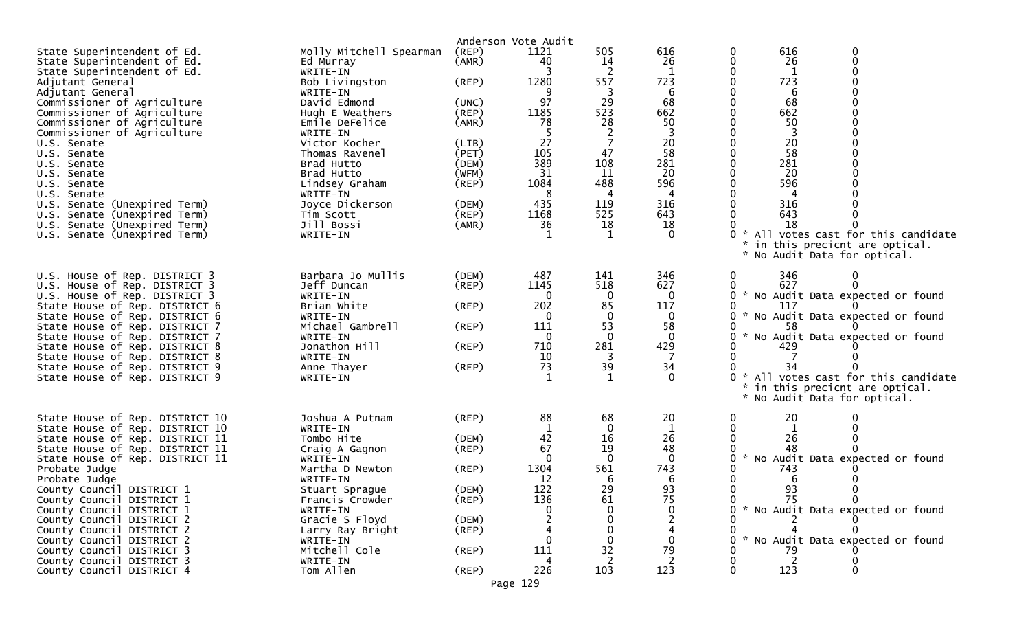|                                                                  |                                   |                | Anderson Vote Audit |                    |                |                    |          |                                   |  |
|------------------------------------------------------------------|-----------------------------------|----------------|---------------------|--------------------|----------------|--------------------|----------|-----------------------------------|--|
| State Superintendent of Ed.                                      | Molly Mitchell Spearman           | $($ REP $)$    | 1121                | 505                | 616            | 0                  | 616      | 0                                 |  |
| State Superintendent of Ed.                                      | Ed Murray                         | (AMR)          | 40                  | 14                 | 26             | 0                  | 26       | 0                                 |  |
| State Superintendent of Ed.                                      | WRITE-IN                          |                |                     | -2                 |                | 0                  | 1        |                                   |  |
| Adjutant General                                                 | Bob Livingston                    | $($ REP $)$    | 1280                | 557                | 723            | 0                  | 723      |                                   |  |
| Adjutant General                                                 | WRITE-IN                          |                |                     | -3                 | -6             | 0                  | 6        |                                   |  |
| Commissioner of Agriculture                                      | David Edmond                      | (UNC)          | 97                  | 29                 | 68             | $\Omega$           | 68       |                                   |  |
| Commissioner of Agriculture                                      | Hugh E Weathers                   | $($ REP $)$    | 1185                | 523                | 662            |                    | 662      |                                   |  |
| Commissioner of Agriculture                                      | Emile DeFelice                    | (AMR)          | 78                  | 28                 | 50             |                    | 50       |                                   |  |
| Commissioner of Agriculture                                      | WRITE-IN                          |                | 27                  | 2<br>7             |                | $\Omega$           | -3<br>20 |                                   |  |
| U.S. Senate<br>U.S. Senate                                       | Victor Kocher<br>Thomas Ravenel   | (LIB)<br>(PET) | 105                 | 47                 | 20<br>58       | 0                  | 58       |                                   |  |
| U.S. Senate                                                      | Brad Hutto                        | (DEM)          | 389                 | 108                | 281            | 0                  | 281      |                                   |  |
| U.S. Senate                                                      | Brad Hutto                        | (WFM)          | 31                  | 11                 | 20             | 0                  | 20       |                                   |  |
| U.S. Senate                                                      | Lindsey Graham                    | $($ REP $)$    | 1084                | 488                | 596            |                    | 596      |                                   |  |
| U.S. Senate                                                      | WRITE-IN                          |                | 8                   | 4                  |                |                    |          |                                   |  |
| U.S. Senate (Unexpired Term)                                     | Joyce Dickerson                   | (DEM)          | 435                 | 119                | 316            | $\Omega$           | 316      |                                   |  |
| U.S. Senate (Unexpired Term)                                     | Tim Scott                         | $($ REP $)$    | 1168                | 525                | 643            | $\Omega$           | 643      |                                   |  |
| U.S. Senate (Unexpired Term)                                     | Jill Bossi                        | (AMR)          | 36                  | 18                 | 18             |                    | 18       |                                   |  |
| U.S. Senate (Unexpired Term)                                     | WRITE-IN                          |                | $\mathbf{1}$        | -1                 | $\Omega$       | *                  |          | All votes cast for this candidate |  |
|                                                                  |                                   |                |                     |                    |                |                    |          | in this precicnt are optical.     |  |
|                                                                  |                                   |                |                     |                    |                | *                  |          | No Audit Data for optical.        |  |
|                                                                  |                                   |                |                     |                    |                |                    |          |                                   |  |
| U.S. House of Rep. DISTRICT 3                                    | Barbara Jo Mullis                 | (DEM)          | 487                 | 141                | 346            | 0                  | 346      | 0                                 |  |
| U.S. House of Rep. DISTRICT 3                                    | Jeff Duncan                       | $($ REP $)$    | 1145                | 518                | 627            | 0                  | 627      | 0                                 |  |
| U.S. House of Rep. DISTRICT 3                                    | WRITE-IN                          |                | $\Omega$            | $\bf{0}$           | $\mathbf 0$    | 0                  |          | * No Audit Data expected or found |  |
| State House of Rep. DISTRICT 6                                   | Brian White                       | $($ REP $)$    | 202                 | 85                 | 117            | 0                  | 117      |                                   |  |
| State House of Rep. DISTRICT 6                                   | WRITE-IN                          |                | $\Omega$            | 0                  | 0              | 0                  |          | * No Audit Data expected or found |  |
| State House of Rep. DISTRICT 7                                   | Michael Gambrell<br>WRITE-IN      | $($ REP $)$    | 111<br>$\mathbf{0}$ | 53<br>$\mathbf{0}$ | 58<br>$\Omega$ | 0<br>×.            | 58       | No Audit Data expected or found   |  |
| State House of Rep. DISTRICT 7<br>State House of Rep. DISTRICT 8 | Jonathon Hill                     | (REP)          | 710                 | 281                | 429            |                    | 429      |                                   |  |
| State House of Rep. DISTRICT 8                                   | WRITE-IN                          |                | 10                  | 3                  | -7             | 0                  |          |                                   |  |
| State House of Rep. DISTRICT 9                                   | Anne Thayer                       | $($ REP $)$    | 73                  | 39                 | 34             |                    | 34       |                                   |  |
| State House of Rep. DISTRICT 9                                   | WRITE-IN                          |                |                     | 1                  | $\Omega$       | $\mathcal{H}$<br>0 |          | All votes cast for this candidate |  |
|                                                                  |                                   |                |                     |                    |                |                    |          | * in this precicnt are optical.   |  |
|                                                                  |                                   |                |                     |                    |                |                    |          | * No Audit Data for optical.      |  |
|                                                                  |                                   |                |                     |                    |                |                    |          |                                   |  |
| State House of Rep. DISTRICT 10                                  | Joshua A Putnam                   | (REP)          | 88                  | 68                 | 20             | 0                  | 20       |                                   |  |
| State House of Rep. DISTRICT 10                                  | WRITE-IN                          |                |                     | $\Omega$           | $\mathbf 1$    | 0                  | 1        |                                   |  |
| State House of Rep. DISTRICT 11                                  | Tombo Hite                        | (DEM)          | 42                  | 16                 | 26             | 0                  | 26       |                                   |  |
| State House of Rep. DISTRICT 11                                  | Craig A Gagnon                    | $($ REP $)$    | 67                  | 19                 | 48             |                    | 48       |                                   |  |
| State House of Rep. DISTRICT 11                                  | WRITE-IN                          |                | $\mathbf{0}$        | $\mathbf 0$        | $\mathbf 0$    | $\mathcal{H}$<br>0 |          | No Audit Data expected or found   |  |
| Probate Judge                                                    | Martha D Newton                   | $($ REP $)$    | 1304<br>12          | 561<br>6           | 743<br>6       |                    | 743      |                                   |  |
| Probate Judge<br>County Council DISTRICT 1                       | WRITE-IN                          | (DEM)          | 122                 | 29                 | 93             | 0                  | 6<br>93  |                                   |  |
| County Council DISTRICT 1                                        | Stuart Sprague<br>Francis Crowder | (REP)          | 136                 | 61                 | 75             |                    | 75       |                                   |  |
| County Council DISTRICT 1                                        | WRITE-IN                          |                |                     | $\mathbf{0}$       | 0              |                    |          | * No Audit Data expected or found |  |
| County Council DISTRICT 2                                        | Gracie S Floyd                    | (DEM)          |                     | 0                  |                |                    |          |                                   |  |
| County Council DISTRICT 2                                        | Larry Ray Bright                  | $($ REP $)$    |                     | $\mathbf 0$        |                |                    |          |                                   |  |
| County Council DISTRICT 2                                        | WRITE-IN                          |                |                     | 0                  |                | 0                  |          | * No Audit Data expected or found |  |
| County Council DISTRICT 3                                        | Mitchell Cole                     | $($ REP $)$    | 111                 | 32                 | 79             |                    | 79       |                                   |  |
| County Council DISTRICT 3                                        | WRITE-IN                          |                |                     | 2                  |                | 0                  |          |                                   |  |
| County Council DISTRICT 4                                        | Tom Allen                         | $($ REP $)$    | 226                 | 103                | 123            | $\mathbf 0$        | 123      | 0                                 |  |
|                                                                  |                                   |                | Page 129            |                    |                |                    |          |                                   |  |
|                                                                  |                                   |                |                     |                    |                |                    |          |                                   |  |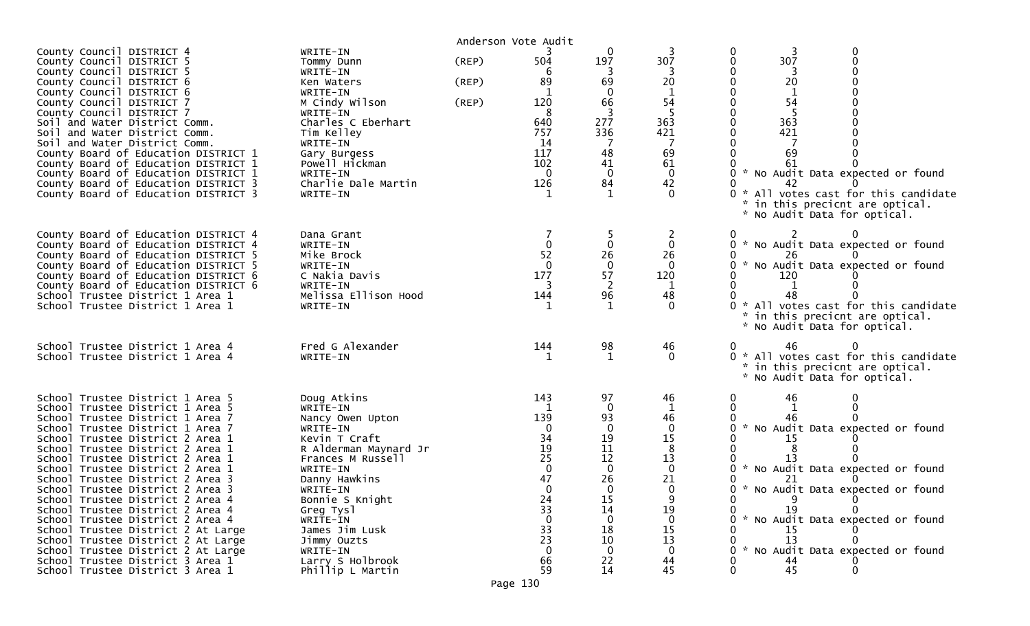| County Council DISTRICT 4<br>County Council DISTRICT 5<br>County Council DISTRICT 5<br>County Council DISTRICT 6<br>County Council DISTRICT 6<br>County Council DISTRICT 7<br>County Council DISTRICT 7<br>Soil and Water District Comm.<br>Soil and Water District Comm.<br>Soil and Water District Comm.<br>County Board of Education DISTRICT 1<br>County Board of Education DISTRICT 1<br>County Board of Education DISTRICT 1<br>County Board of Education DISTRICT 3<br>County Board of Education DISTRICT 3                                                                                                                                                         | WRITE-IN<br>Tommy Dunn<br>WRITE-IN<br>Ken Waters<br>WRITE-IN<br>M Cindy Wilson<br>WRITE-IN<br>Charles C Eberhart<br>Tim Kelley<br>WRITE-IN<br>Gary Burgess<br>Powell Hickman<br>WRITE-IN<br>Charlie Dale Martin<br>WRITE-IN                                                                      | $($ REP $)$<br>(REP)<br>(REP) | Anderson Vote Audit<br>504<br>6<br>89<br>$\mathbf{1}$<br>120<br>8<br>640<br>757<br>14<br>117<br>102<br>$\Omega$<br>126 | 0<br>197<br>-3<br>69<br>0<br>66<br>277<br>336<br>48<br>41<br>0<br>84                                                                       | 307<br>20<br>54<br>363<br>421<br>69<br>61<br>0<br>42                                                                      | 3<br>0<br>307<br>0<br>20<br>1<br>54<br>363<br>421<br>69<br>61<br>* No Audit Data expected or found<br>0<br>42<br>* All votes cast for this candidate<br>* in this precicnt are optical.<br>* No Audit Data for optical.                                                                                 |
|----------------------------------------------------------------------------------------------------------------------------------------------------------------------------------------------------------------------------------------------------------------------------------------------------------------------------------------------------------------------------------------------------------------------------------------------------------------------------------------------------------------------------------------------------------------------------------------------------------------------------------------------------------------------------|--------------------------------------------------------------------------------------------------------------------------------------------------------------------------------------------------------------------------------------------------------------------------------------------------|-------------------------------|------------------------------------------------------------------------------------------------------------------------|--------------------------------------------------------------------------------------------------------------------------------------------|---------------------------------------------------------------------------------------------------------------------------|---------------------------------------------------------------------------------------------------------------------------------------------------------------------------------------------------------------------------------------------------------------------------------------------------------|
| County Board of Education DISTRICT 4<br>County Board of Education DISTRICT 4<br>County Board of Education DISTRICT 5<br>County Board of Education DISTRICT 5<br>County Board of Education DISTRICT 6<br>County Board of Education DISTRICT 6<br>School Trustee District 1 Area 1<br>School Trustee District 1 Area 1                                                                                                                                                                                                                                                                                                                                                       | Dana Grant<br>WRITE-IN<br>Mike Brock<br>WRITE-IN<br>C Nakia Davis<br>WRITE-IN<br>Melissa Ellison Hood<br>WRITE-IN                                                                                                                                                                                |                               | $\mathbf{0}$<br>52<br>$\Omega$<br>177<br>144<br>1                                                                      | $\mathbf 0$<br>26<br>0<br>57<br>2<br>96<br>-1                                                                                              | 0<br>26<br>$\Omega$<br>120<br>48<br>$\Omega$                                                                              | * No Audit Data expected or found<br>$\mathbf{0}$<br>26<br>* No Audit Data expected or found<br>120<br>48<br>* All votes cast for this candidate<br>* in this precicnt are optical.<br>* No Audit Data for optical.                                                                                     |
| School Trustee District 1 Area 4<br>School Trustee District 1 Area 4                                                                                                                                                                                                                                                                                                                                                                                                                                                                                                                                                                                                       | Fred G Alexander<br>WRITE-IN                                                                                                                                                                                                                                                                     |                               | 144                                                                                                                    | 98<br>-1                                                                                                                                   | 46<br>$\Omega$                                                                                                            | 46<br>0 * All votes cast for this candidate<br>* in this precicnt are optical.<br>* No Audit Data for optical.                                                                                                                                                                                          |
| School Trustee District 1 Area 5<br>School Trustee District 1 Area 5<br>School Trustee District 1 Area 7<br>School Trustee District 1 Area 7<br>School Trustee District 2 Area 1<br>School Trustee District 2 Area 1<br>School Trustee District 2 Area 1<br>School Trustee District 2 Area 1<br>School Trustee District 2 Area 3<br>School Trustee District 2 Area 3<br>School Trustee District 2 Area 4<br>School Trustee District 2 Area 4<br>School Trustee District 2 Area 4<br>School Trustee District 2 At Large<br>School Trustee District 2 At Large<br>School Trustee District 2 At Large<br>School Trustee District 3 Area 1<br>School Trustee District 3 Area 1 | Doug Atkins<br>WRITE-IN<br>Nancy Owen Upton<br>WRITE-IN<br>Kevin T Craft<br>R Alderman Maynard Jr<br>Frances M Russell<br>WRITE-IN<br>Danny Hawkins<br>WRITE-IN<br>Bonnie S Knight<br>Greg Tysl<br>WRITE-IN<br>James Jim Lusk<br>Jimmy Ouzts<br>WRITE-IN<br>Larry S Holbrook<br>Phillip L Martin |                               | 143<br>139<br>$\Omega$<br>34<br>19<br>25<br>$\Omega$<br>47<br>$\mathbf 0$<br>24<br>33<br>33<br>23<br>66<br>59          | 97<br>0<br>93<br>$\overline{0}$<br>19<br>11<br>12<br>$\mathbf 0$<br>26<br>$\mathbf 0$<br>15<br>14<br>0<br>18<br>10<br>$\Omega$<br>22<br>14 | 46<br>46<br>$\mathbf 0$<br>15<br>8<br>13<br>0<br>21<br>$\mathbf{0}$<br>19<br>$\Omega$<br>15<br>13<br>$\Omega$<br>44<br>45 | 46<br>46<br>* No Audit Data expected or found<br>0<br>15<br>* No Audit Data expected or found<br>0<br>21<br>0<br>* No Audit Data expected or found<br>$\mathbf{0}$<br>19<br>* No Audit Data expected or found<br>15<br>13<br>* No Audit Data expected or found<br>$\Omega$<br>44<br>45<br>0<br>$\Omega$ |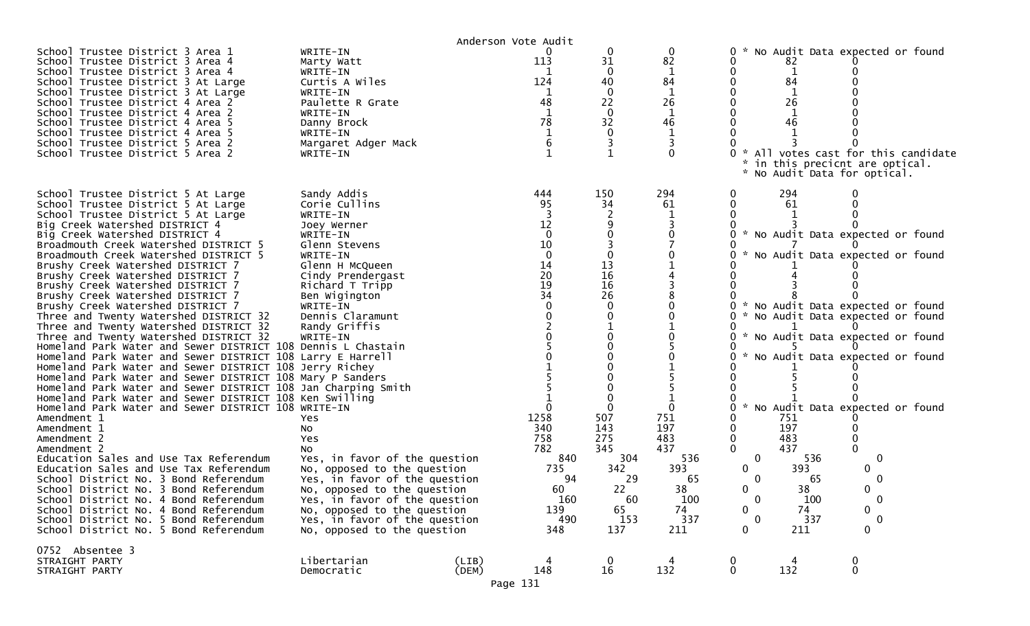|                                                                                                                                                                                                                                                                                                                                                                                                                                                                                                                                                                                                                                                                                                                                                                                                                                                                                                                                                                                                                                                                                                                                                                                                                                                                                                                                                                                                                                            |                                                                                                                                                                                                                                                                                                                                                                                                                                                                                                                                      | Anderson Vote Audit |                                                                                                                                                                 |                                                                                                                               |                                                                                                        |                                                                                                                                      |                                                                                            |                                                                                                                                                                                                                                                                                                                  |  |
|--------------------------------------------------------------------------------------------------------------------------------------------------------------------------------------------------------------------------------------------------------------------------------------------------------------------------------------------------------------------------------------------------------------------------------------------------------------------------------------------------------------------------------------------------------------------------------------------------------------------------------------------------------------------------------------------------------------------------------------------------------------------------------------------------------------------------------------------------------------------------------------------------------------------------------------------------------------------------------------------------------------------------------------------------------------------------------------------------------------------------------------------------------------------------------------------------------------------------------------------------------------------------------------------------------------------------------------------------------------------------------------------------------------------------------------------|--------------------------------------------------------------------------------------------------------------------------------------------------------------------------------------------------------------------------------------------------------------------------------------------------------------------------------------------------------------------------------------------------------------------------------------------------------------------------------------------------------------------------------------|---------------------|-----------------------------------------------------------------------------------------------------------------------------------------------------------------|-------------------------------------------------------------------------------------------------------------------------------|--------------------------------------------------------------------------------------------------------|--------------------------------------------------------------------------------------------------------------------------------------|--------------------------------------------------------------------------------------------|------------------------------------------------------------------------------------------------------------------------------------------------------------------------------------------------------------------------------------------------------------------------------------------------------------------|--|
| School Trustee District 3 Area 1<br>School Trustee District 3 Area 4<br>School Trustee District 3 Area 4<br>School Trustee District 3 At Large<br>School Trustee District 3 At Large<br>School Trustee District 4 Area 2<br>School Trustee District 4 Area 2<br>School Trustee District 4 Area 5<br>School Trustee District 4 Area 5<br>School Trustee District 5 Area 2<br>School Trustee District 5 Area 2                                                                                                                                                                                                                                                                                                                                                                                                                                                                                                                                                                                                                                                                                                                                                                                                                                                                                                                                                                                                                               | WRITE-IN<br>Marty Watt<br>WRITE-IN<br>Curtis A Wiles<br>WRITE-IN<br>Paulette R Grate<br>WRITE-IN<br>Danny Brock<br>WRITE-IN<br>Margaret Adger Mack<br>WRITE-IN                                                                                                                                                                                                                                                                                                                                                                       |                     | 113<br>124<br>48<br>$\mathbf{1}$<br>78<br>6                                                                                                                     | 0<br>31<br>$\Omega$<br>40<br>0<br>22<br>0<br>32<br>3                                                                          | 0<br>82<br>84<br>$\mathbf{1}$<br>26<br>1<br>46<br>0                                                    | 0                                                                                                                                    | 82<br>84<br>26<br>46                                                                       | No Audit Data expected or found<br>* All votes cast for this candidate<br>in this precicnt are optical.<br>* No Audit Data for optical.                                                                                                                                                                          |  |
| School Trustee District 5 At Large<br>School Trustee District 5 At Large<br>School Trustee District 5 At Large<br>Big Creek Watershed DISTRICT 4<br>Big Creek Watershed DISTRICT 4<br>Broadmouth Creek Watershed DISTRICT 5<br>Broadmouth Creek Watershed DISTRICT 5<br>Brushy Creek Watershed DISTRICT 7<br>Brushy Creek Watershed DISTRICT 7<br>Brushy Creek Watershed DISTRICT 7<br>Brushy Creek Watershed DISTRICT 7<br>Brushy Creek Watershed DISTRICT 7<br>Three and Twenty Watershed DISTRICT 32<br>Three and Twenty Watershed DISTRICT 32<br>Three and Twenty Watershed DISTRICT 32<br>Homeland Park Water and Sewer DISTRICT 108 Dennis L Chastain<br>Homeland Park Water and Sewer DISTRICT 108 Larry E Harrell<br>Homeland Park Water and Sewer DISTRICT 108 Jerry Richey<br>Homeland Park Water and Sewer DISTRICT 108 Mary P Sanders<br>Homeland Park Water and Sewer DISTRICT 108 Jan Charping Smith<br>Homeland Park Water and Sewer DISTRICT 108 Ken Swilling<br>Homeland Park Water and Sewer DISTRICT 108 WRITE-IN<br>Amendment 1<br>Amendment 1<br>Amendment 2<br>Amendment 2<br>Education Sales and Use Tax Referendum<br>Education Sales and Use Tax Referendum<br>School District No. 3 Bond Referendum<br>School District No. 3 Bond Referendum<br>School District No. 4 Bond Referendum<br>School District No. 4 Bond Referendum<br>School District No. 5 Bond Referendum<br>School District No. 5 Bond Referendum | Sandy Addis<br>Corie Cullins<br>WRITE-IN<br>Joey Werner<br>WRITE-IN<br>Glenn Stevens<br>WRITE-IN<br>Glenn H McQueen<br>Cindy Prendergast<br>Richard T Tripp<br>Ben Wigington<br>WRITE-IN<br>Dennis Claramunt<br>Randy Griffis<br>WRITE-IN<br>Yes<br>No<br>Yes<br>NO.<br>Yes, in favor of the question<br>No, opposed to the question<br>Yes, in favor of the question<br>No, opposed to the question<br>Yes, in favor of the question<br>No, opposed to the question<br>Yes, in favor of the question<br>No, opposed to the question |                     | 444<br>95<br>12<br>$\mathbf{0}$<br>10<br>$\mathbf 0$<br>14<br>20<br>19<br>34<br>1258<br>340<br>758<br>782<br>840<br>735<br>94<br>60<br>160<br>139<br>490<br>348 | 150<br>34<br>13<br>16<br>16<br>26<br>$\Omega$<br>507<br>143<br>275<br>345<br>304<br>342<br>29<br>22<br>60<br>65<br>153<br>137 | 294<br>61<br>$\Omega$<br>751<br>197<br>483<br>437<br>536<br>393<br>65<br>38<br>100<br>74<br>337<br>211 | 0<br>$\mathcal{H}$<br>0.<br>0.<br>0.<br>0.<br>0<br>$\mathbf 0$<br>$\mathbf 0$<br>0<br>0<br>0<br>$\mathbf 0$<br>0<br>$\mathbf 0$<br>0 | 294<br>61<br>751<br>197<br>483<br>437<br>536<br>393<br>65<br>38<br>100<br>74<br>337<br>211 | * No Audit Data expected or found<br>No Audit Data expected or found<br>* No Audit Data expected or found<br>* No Audit Data expected or found<br>* No Audit Data expected or found<br>* No Audit Data expected or found<br>* No Audit Data expected or found<br>0<br>0<br>$\mathbf{0}$<br>0<br>$\mathbf 0$<br>0 |  |
| 0752 Absentee 3<br>STRAIGHT PARTY<br>STRAIGHT PARTY                                                                                                                                                                                                                                                                                                                                                                                                                                                                                                                                                                                                                                                                                                                                                                                                                                                                                                                                                                                                                                                                                                                                                                                                                                                                                                                                                                                        | Libertarian<br>Democratic                                                                                                                                                                                                                                                                                                                                                                                                                                                                                                            | (LIB)<br>(DEM)      | 148                                                                                                                                                             | $\mathbf 0$<br>16                                                                                                             | 132                                                                                                    | $\mathbf 0$<br>$\mathbf 0$                                                                                                           | 132                                                                                        | $\bf{0}$<br>$\mathbf 0$                                                                                                                                                                                                                                                                                          |  |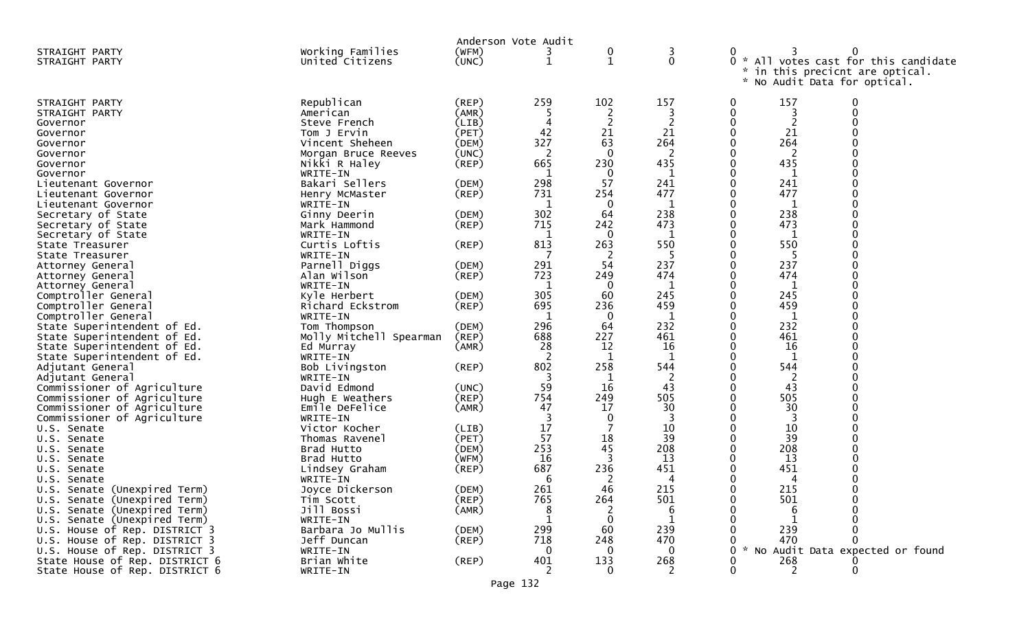| Working Families<br>(WFM)<br>STRAIGHT PARTY<br>$\boldsymbol{0}$<br>3<br>0<br>3                                                                       |  |
|------------------------------------------------------------------------------------------------------------------------------------------------------|--|
|                                                                                                                                                      |  |
| $\mathbf{0}$<br>0 * All votes cast for this candidate<br>(UNC)<br>1<br>United Citizens<br>1<br>STRAIGHT PARTY                                        |  |
| in this precicnt are optical.<br>*                                                                                                                   |  |
| * No Audit Data for optical.                                                                                                                         |  |
|                                                                                                                                                      |  |
| 102<br>157<br>259<br>157<br>Republican<br>0<br>0<br>STRAIGHT PARTY<br>(REP)                                                                          |  |
| $\mathbf{0}$<br>(AMR)<br>American<br>2<br>STRAIGHT PARTY                                                                                             |  |
| 0<br>2<br>(LIB)<br>Steve French<br>Governor                                                                                                          |  |
| 42<br>21<br>21<br>0<br>21<br>(PET)<br>Tom J Ervin<br>Governor                                                                                        |  |
| 327<br>63<br>264<br>0<br>264<br>Vincent Sheheen<br>(DEM)<br>Governor                                                                                 |  |
| (UNC)<br>-2<br>$\mathbf{0}$<br>0<br>2<br>Morgan Bruce Reeves<br>Governor                                                                             |  |
| 230<br>435<br>665<br>0<br>435<br>Nikki R Haley<br>(REP)<br>Governor                                                                                  |  |
| $\mathbf 0$<br>WRITE-IN<br>0<br>Governor                                                                                                             |  |
| 57<br>298<br>241<br>0<br>241<br>Bakari Sellers<br>(DEM)<br>Lieutenant Governor                                                                       |  |
| 731<br>254<br>477<br>0<br>477<br>$($ REP $)$<br>Henry McMaster<br>Lieutenant Governor                                                                |  |
| 0<br>WRITE-IN<br>0<br>Lieutenant Governor                                                                                                            |  |
| 302<br>238<br>0<br>238<br>64<br>Secretary of State<br>Ginny Deerin<br>(DEM)                                                                          |  |
| 715<br>242<br>473<br>0<br>473<br>$($ REP $)$<br>Secretary of State<br>Mark Hammond                                                                   |  |
| $\mathbf 0$<br>WRITE-IN<br>$\Omega$<br>Secretary of State                                                                                            |  |
| Curtis Loftis<br>263<br>550<br>550<br>813<br>0<br>(REP)<br>State Treasurer                                                                           |  |
| 0<br>WRITE-IN<br>-2<br>State Treasurer                                                                                                               |  |
| 291<br>54<br>237<br>0<br>237<br>Parnell Diggs<br>(DEM)<br>Attorney General                                                                           |  |
| 723<br>474<br>0<br>474<br>Alan Wilson<br>$($ REP $)$<br>249<br>Attorney General                                                                      |  |
| 0<br>$\mathbf 0$<br>WRITE-IN<br>1<br>1<br>1<br>Attorney General                                                                                      |  |
| 305<br>245<br>0<br>245<br>(DEM)<br>60<br>Comptroller General<br>Kyle Herbert                                                                         |  |
| 695<br>459<br>459<br>236<br>0<br>Comptroller General<br>$($ REP $)$<br>Richard Eckstrom                                                              |  |
| 0<br>Comptroller General<br>0<br>WRITE-IN<br>-1<br>1<br>-1                                                                                           |  |
| 296<br>232<br>0<br>232<br>(DEM)<br>64<br>State Superintendent of Ed.<br>Tom Thompson                                                                 |  |
| 688<br>227<br>461<br>461<br>(REP)<br>0<br>State Superintendent of Ed.<br>Molly Mitchell Spearman                                                     |  |
| 28<br>12<br>16<br>0<br>16<br>State Superintendent of Ed.<br>(AMR)<br>Ed Murray<br>0<br>$\mathbf{1}$                                                  |  |
| -2<br>State Superintendent of Ed.<br>WRITE-IN<br>1<br>-1<br>0                                                                                        |  |
| 802<br>258<br>544<br>544<br>Adjutant General<br>Bob Livingston<br>$($ REP $)$<br>0                                                                   |  |
| WRITE-IN<br>Adjutant General<br>1<br>59<br>16<br>43<br>0<br>43                                                                                       |  |
| (UNC)<br>Commissioner of Agriculture<br>David Edmond<br>754<br>505<br>505<br>249<br>0                                                                |  |
| Commissioner of Agriculture<br>$($ REP $)$<br>Hugh E Weathers<br>47<br>30<br>30<br>Commissioner of Agriculture<br>Emile DeFelice<br>(AMR)<br>17<br>0 |  |
| 0<br>0<br>WRITE-IN                                                                                                                                   |  |
| Commissioner of Agriculture<br>17<br>10<br>7<br>10<br>0<br>Victor Kocher<br>(LIB)<br>U.S. Senate                                                     |  |
| 57<br>18<br>39<br>0<br>(PET)<br>39<br>Thomas Ravenel<br>U.S. Senate                                                                                  |  |
| 253<br>208<br>45<br>208<br>0<br>(DEM)<br>Brad Hutto<br>U.S. Senate                                                                                   |  |
| 16<br>3<br>13<br>0<br>13<br>(WFM)<br>Brad Hutto<br>Senate<br>U.S.                                                                                    |  |
| 236<br>451<br>451<br>687<br>(REP)<br>0<br>U.S. Senate<br>Lindsey Graham                                                                              |  |
| WRITE-IN<br>6<br>-2<br>Senate<br>0<br>U.S.                                                                                                           |  |
| 261<br>46<br>215<br>0<br>215<br>Joyce Dickerson<br>(DEM)<br>U.S. Senate (Unexpired Term)                                                             |  |
| 765<br>264<br>501<br>501<br>U.S. Senate (Unexpired Term)<br>Tim Scott<br>(REP)<br>0                                                                  |  |
| (AMR)<br>Jill Bossi<br>U.S. Senate (Unexpired Term)                                                                                                  |  |
| 0<br>U.S. Senate (Unexpired Term)<br>WRITE-IN                                                                                                        |  |
| Barbara Jo Mullis<br>299<br>U.S. House of Rep. DISTRICT 3<br>(DEM)<br>60<br>239<br>239                                                               |  |
| 470<br>(REP)<br>718<br>248<br>470<br>U.S. House of Rep. DISTRICT 3<br>Jeff Duncan<br>0                                                               |  |
| * No Audit Data expected or found<br>U.S. House of Rep. DISTRICT 3<br>WRITE-IN<br>$\mathbf 0$<br>0<br>$\Omega$                                       |  |
| Brian White<br>401<br>133<br>268<br>268<br>State House of Rep. DISTRICT 6<br>$($ REP $)$<br>0                                                        |  |
| 0<br>State House of Rep. DISTRICT 6<br>WRITE-IN<br>2<br>$\Omega$<br>2                                                                                |  |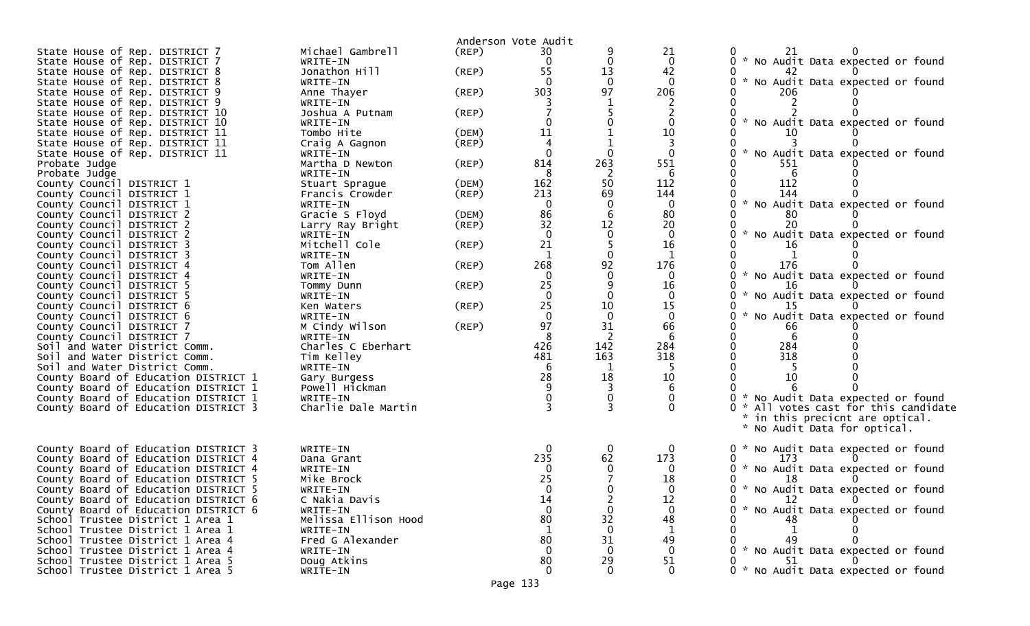|                                                                              |                            | Anderson Vote Audit  |                 |              |              |                                                  |                                   |
|------------------------------------------------------------------------------|----------------------------|----------------------|-----------------|--------------|--------------|--------------------------------------------------|-----------------------------------|
| State House of Rep. DISTRICT 7                                               | Michael Gambrell           | (REP)                | 30              |              | 21           | 21                                               |                                   |
| State House of Rep. DISTRICT 7                                               | WRITE-IN                   |                      | 0               | 0            | $\mathbf{0}$ | 0 * No Audit Data expected or found              |                                   |
| State House of Rep. DISTRICT 8                                               | Jonathon Hill              | (REP)                | 55              | 13           | 42           | 42                                               |                                   |
| State House of Rep. DISTRICT 8                                               | WRITE-IN                   |                      |                 | $\mathbf{0}$ | $\mathbf{0}$ | * No Audit Data expected or found<br>0           |                                   |
| State House of Rep. DISTRICT 9                                               | Anne Thayer                | $($ REP $)$          | 303             | 97           | 206          | 206                                              |                                   |
| State House of Rep. DISTRICT 9                                               | WRITE-IN                   |                      |                 |              |              |                                                  |                                   |
| State House of Rep. DISTRICT 10                                              | Joshua A Putnam            | $($ REP $)$          |                 |              |              | $\mathcal{H}$                                    |                                   |
| State House of Rep. DISTRICT 10                                              | WRITE-IN                   |                      |                 |              | 0<br>10      | No Audit Data expected or found                  |                                   |
| State House of Rep. DISTRICT 11<br>State House of Rep. DISTRICT 11           | Tombo Hite                 | (DEM)<br>$($ REP $)$ | 11              |              |              | 10                                               |                                   |
| State House of Rep. DISTRICT 11                                              | Craig A Gagnon<br>WRITE-IN |                      |                 | 0            | $\Omega$     | W.<br>No Audit Data expected or found            |                                   |
| Probate Judge                                                                | Martha D Newton            | $($ REP $)$          | 814             | 263          | 551          | 551                                              |                                   |
| Probate Judge                                                                | WRITE-IN                   |                      | -8              | -2           | 6            | 6<br>0                                           |                                   |
| County Council DISTRICT 1                                                    | Stuart Sprague             | (DEM)                | 162             | 50           | 112          | 112                                              |                                   |
| County Council DISTRICT 1                                                    | Francis Crowder            | $($ REP $)$          | 213             | 69           | 144          | 144                                              |                                   |
| County Council DISTRICT 1                                                    | WRITE-IN                   |                      | $\Omega$        | 0            | $\mathbf 0$  | * No Audit Data expected or found                |                                   |
| County Council DISTRICT 2                                                    | Gracie S Floyd             | (DEM)                | 86              | 6            | 80           | 80                                               |                                   |
| County Council DISTRICT 2                                                    | Larry Ray Bright           | $($ REP $)$          | 32              | 12           | 20           | 20                                               |                                   |
| County Council DISTRICT 2                                                    | WRITE-IN                   |                      | $\Omega$        | $\mathbf 0$  | $\mathbf{0}$ | $\sim$<br>No Audit Data expected or found        |                                   |
| County Council DISTRICT 3                                                    | Mitchell Cole              | $($ REP $)$          | 21              |              | 16           | 16                                               |                                   |
| County Council DISTRICT 3                                                    | WRITE-IN                   |                      |                 | $\Omega$     | -1           |                                                  |                                   |
| County Council DISTRICT 4                                                    | Tom Allen                  | $($ REP $)$          | 268             | 92           | 176          | 176                                              |                                   |
| County Council DISTRICT 4                                                    | WRITE-IN                   |                      |                 |              | $\Omega$     | * No Audit Data expected or found<br>0           |                                   |
| County Council DISTRICT 5                                                    | Tommy Dunn                 | (REP)                | 25              | 9            | 16           | -16                                              |                                   |
| County Council DISTRICT 5                                                    | WRITE-IN                   |                      | $\Omega$        |              | $\mathbf{0}$ | $\mathcal{H}$<br>No Audit Data expected or found |                                   |
| County Council DISTRICT 6                                                    | Ken Waters                 | (REF)                | 25              | 10           | 15           | $\sim$                                           |                                   |
| County Council DISTRICT 6                                                    | WRITE-IN                   |                      | $\Omega$        | $\Omega$     | $\Omega$     | No Audit Data expected or found                  |                                   |
| County Council DISTRICT 7<br>County Council DISTRICT 7                       | M Cindy Wilson<br>WRITE-IN | (REP)                | 97              | 31<br>2      | 66           | 66<br>-6                                         |                                   |
| Soil and Water District Comm.                                                | Charles C Eberhart         |                      | 426             | 142          | 284          | 284                                              |                                   |
| Soil and Water District Comm.                                                | Tim Kelley                 |                      | 481             | 163          | 318          | 318                                              |                                   |
| Soil and Water District Comm.                                                | WRITE-IN                   |                      |                 |              |              |                                                  |                                   |
| County Board of Education DISTRICT 1                                         | Gary Burgess               |                      | 28              | 18           | 10           | 10                                               |                                   |
| County Board of Education DISTRICT 1                                         | Powell Hickman             |                      |                 |              |              |                                                  |                                   |
| County Board of Education DISTRICT 1                                         | WRITE-IN                   |                      |                 |              |              | 0 * No Audit Data expected or found              |                                   |
| County Board of Education DISTRICT 3                                         | Charlie Dale Martin        |                      |                 |              | $\Omega$     |                                                  | All votes cast for this candidate |
|                                                                              |                            |                      |                 |              |              | * in this precicnt are optical.                  |                                   |
|                                                                              |                            |                      |                 |              |              | * No Audit Data for optical.                     |                                   |
|                                                                              |                            |                      |                 |              |              |                                                  |                                   |
| County Board of Education DISTRICT 3                                         | WRITE-IN                   |                      | 0               | 0            | 0            | 0 * No Audit Data expected or found              |                                   |
| County Board of Education DISTRICT 4                                         | Dana Grant                 |                      | 235<br>$\Omega$ | 62           | 173          | 173                                              |                                   |
| County Board of Education DISTRICT 4                                         | WRITE-IN                   |                      | 25              |              | $\Omega$     | 0 * No Audit Data expected or found<br>18        |                                   |
| County Board of Education DISTRICT 5<br>County Board of Education DISTRICT 5 | Mike Brock<br>WRITE-IN     |                      |                 |              | 18           | 0 * No Audit Data expected or found              |                                   |
| County Board of Education DISTRICT 6                                         | C Nakia Davis              |                      | 14              | 2            | 12           | 12<br>0                                          | $\overline{0}$                    |
| County Board of Education DISTRICT 6                                         | WRITE-IN                   |                      |                 |              |              | 0 * No Audit Data expected or found              |                                   |
| School Trustee District 1 Area 1                                             | Melissa Ellison Hood       |                      | 80              | 32           | 48           | 48                                               |                                   |
| School Trustee District 1 Area 1                                             | WRITE-IN                   |                      |                 | $\Omega$     |              |                                                  |                                   |
| School Trustee District 1 Area 4                                             | Fred G Alexander           |                      | 80              | 31           | 49           | 49                                               |                                   |
| School Trustee District 1 Area 4                                             | WRITE-IN                   |                      |                 |              |              | 0 * No Audit Data expected or found              |                                   |
| School Trustee District 1 Area 5                                             | Doug Atkins                |                      | 80              | 29           | 51           | 51                                               |                                   |
| School Trustee District 1 Area 5                                             | WRITE-IN                   |                      |                 |              | 0            | 0 * No Audit Data expected or found              |                                   |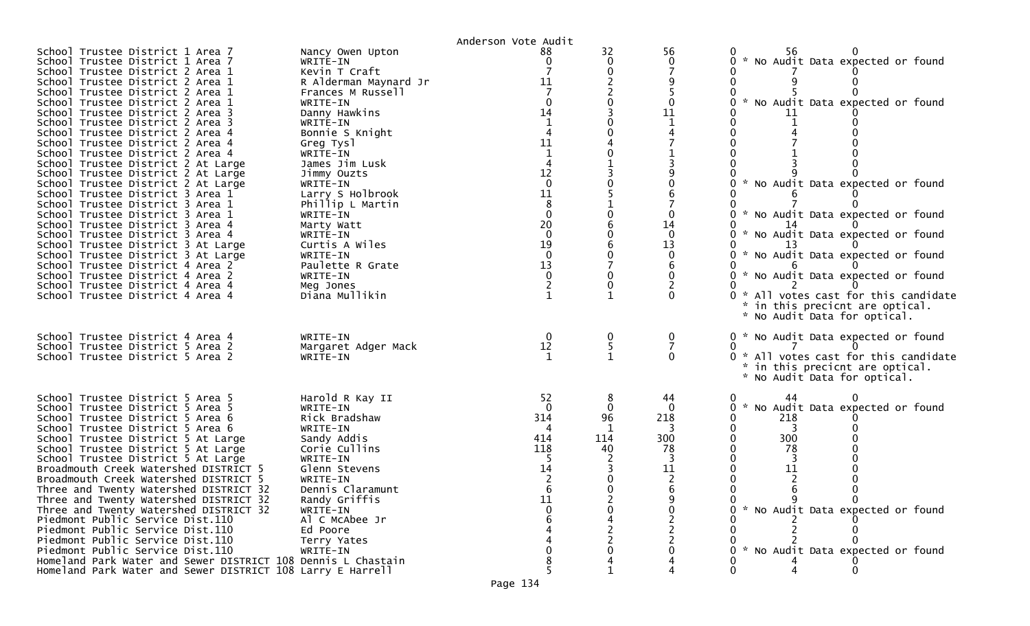|                                                                                                                                                                                                                                                                                                                                                                                                                                                                                                                                                                                                                                                                                                                                                                                                                                                                                                                                            |                                                                                                                                                                                                                                                                                                                                                                                                          | Anderson Vote Audit                                                                                                                                                         |                                                  |                                                                |                                                                                                                                                                                                                                                                                                                                                                 |
|--------------------------------------------------------------------------------------------------------------------------------------------------------------------------------------------------------------------------------------------------------------------------------------------------------------------------------------------------------------------------------------------------------------------------------------------------------------------------------------------------------------------------------------------------------------------------------------------------------------------------------------------------------------------------------------------------------------------------------------------------------------------------------------------------------------------------------------------------------------------------------------------------------------------------------------------|----------------------------------------------------------------------------------------------------------------------------------------------------------------------------------------------------------------------------------------------------------------------------------------------------------------------------------------------------------------------------------------------------------|-----------------------------------------------------------------------------------------------------------------------------------------------------------------------------|--------------------------------------------------|----------------------------------------------------------------|-----------------------------------------------------------------------------------------------------------------------------------------------------------------------------------------------------------------------------------------------------------------------------------------------------------------------------------------------------------------|
| School Trustee District 1 Area 7<br>School Trustee District 1 Area 7<br>School Trustee District 2 Area 1<br>School Trustee District 2 Area 1<br>School Trustee District 2 Area 1<br>School Trustee District 2 Area 1<br>School Trustee District 2 Area 3<br>School Trustee District 2 Area 3<br>School Trustee District 2 Area 4<br>School Trustee District 2 Area 4<br>School Trustee District 2 Area 4<br>School Trustee District 2 At Large<br>School Trustee District 2 At Large<br>School Trustee District 2 At Large<br>School Trustee District 3 Area 1<br>School Trustee District 3 Area 1<br>School Trustee District 3 Area 1<br>School Trustee District 3 Area 4<br>School Trustee District 3 Area 4<br>School Trustee District 3 At Large<br>School Trustee District 3 At Large<br>School Trustee District 4 Area 2<br>School Trustee District 4 Area 2<br>School Trustee District 4 Area 4<br>School Trustee District 4 Area 4 | Nancy Owen Upton<br>WRITE-IN<br>Kevin T Craft<br>R Alderman Maynard Jr<br>Frances M Russell<br>WRITE-IN<br>Danny Hawkins<br>WRITE-IN<br>Bonnie S Knight<br>Greg Tysl<br>WRITE-IN<br>James Jim Lusk<br>Jimmy Ouzts<br>WRITE-IN<br>Larry S Holbrook<br>Phillip L Martin<br>WRITE-IN<br>Marty Watt<br>WRITE-IN<br>Curtis A Wiles<br>WRITE-IN<br>Paulette R Grate<br>WRITE-IN<br>Meg Jones<br>Diana Mullikin | 88<br>0<br>11<br>14<br>11<br>4<br>12<br>$\Omega$<br>11<br>8<br>$\Omega$<br>20<br>$\overline{0}$<br>19<br>$\overline{0}$<br>13<br>$\Omega$<br>$\overline{c}$<br>$\mathbf{1}$ | 32<br>0<br>$\Omega$<br>$\Omega$<br>$\Omega$<br>0 | 56<br>0<br>$\mathbf{0}$<br>11<br>14<br>$\mathbf{0}$<br>13<br>0 | 56<br>* No Audit Data expected or found<br>* No Audit Data expected or found<br>0.<br>* No Audit Data expected or found<br>* No Audit Data expected or found<br>* No Audit Data expected or found<br>* No Audit Data expected or found<br>0<br>* No Audit Data expected or found<br>0<br>0 * All votes cast for this candidate<br>in this precicnt are optical. |
| School Trustee District 4 Area 4<br>School Trustee District 5 Area 2<br>School Trustee District 5 Area 2                                                                                                                                                                                                                                                                                                                                                                                                                                                                                                                                                                                                                                                                                                                                                                                                                                   | WRITE-IN<br>Margaret Adger Mack<br>WRITE-IN                                                                                                                                                                                                                                                                                                                                                              | 0<br>12<br>$\mathbf{1}$                                                                                                                                                     | 0<br>5                                           | 0<br>$\overline{7}$<br>$\Omega$                                | * No Audit Data for optical.<br>0 * No Audit Data expected or found<br>0 * All votes cast for this candidate<br>in this precicnt are optical.<br>* No Audit Data for optical.                                                                                                                                                                                   |
| School Trustee District 5 Area 5<br>School Trustee District 5 Area 5<br>School Trustee District 5 Area 6<br>School Trustee District 5 Area 6<br>School Trustee District 5 At Large<br>School Trustee District 5 At Large<br>School Trustee District 5 At Large<br>Broadmouth Creek Watershed DISTRICT 5<br>Broadmouth Creek Watershed DISTRICT 5<br>Three and Twenty Watershed DISTRICT 32<br>Three and Twenty Watershed DISTRICT 32<br>Three and Twenty Watershed DISTRICT 32<br>Piedmont Public Service Dist.110<br>Piedmont Public Service Dist.110<br>Piedmont Public Service Dist.110<br>Piedmont Public Service Dist.110<br>Homeland Park Water and Sewer DISTRICT 108 Dennis L Chastain<br>Homeland Park Water and Sewer DISTRICT 108 Larry E Harrell                                                                                                                                                                               | Harold R Kay II<br>WRITE-IN<br>Rick Bradshaw<br>WRITE-IN<br>Sandy Addis<br>Corie Cullins<br>WRITE-IN<br>Glenn Stevens<br>WRITE-IN<br>Dennis Claramunt<br>Randy Griffis<br>WRITE-IN<br>Al C McAbee Jr<br>Ed Poore<br>Terry Yates<br>WRITE-IN                                                                                                                                                              | 52<br>$\Omega$<br>314<br>414<br>118<br>14<br>11                                                                                                                             | 0<br>96<br>-1<br>114<br>40                       | 44<br>$\mathbf{0}$<br>218<br>300<br>78<br>11                   | 44<br>O<br>0 * No Audit Data expected or found<br>218<br>0<br>300<br>0<br>78<br>11<br>9<br>* No Audit Data expected or found<br>0 * No Audit Data expected or found<br>0<br>0                                                                                                                                                                                   |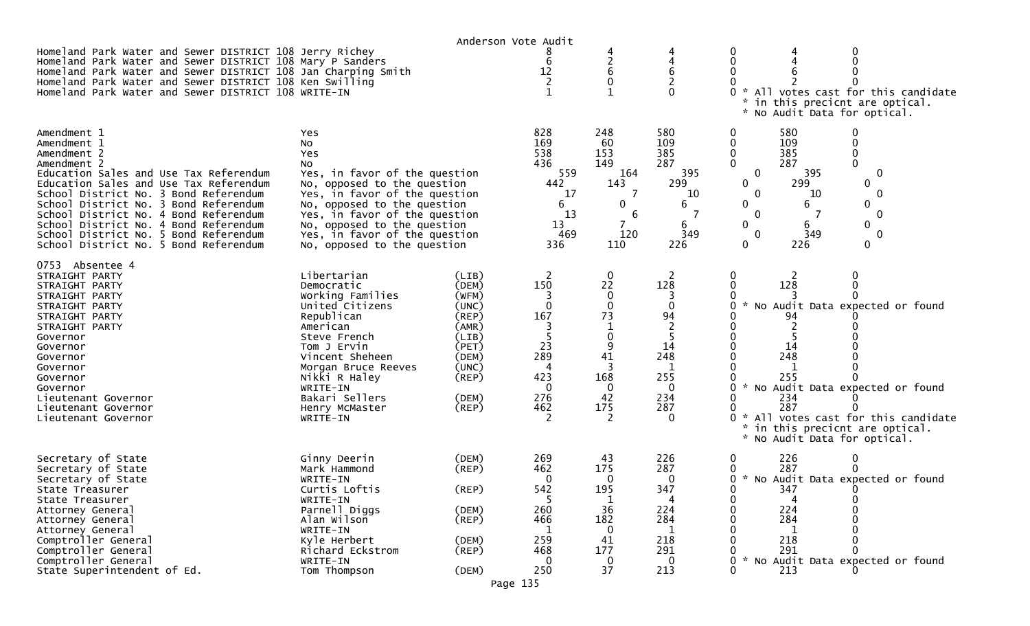|                                                                                                                                                                                                                                                                                                                                                                                                    |                                                                                                                                                                                                                                                                                        | Anderson Vote Audit                                                                                                                 |                                                                             |                                                                                           |                                                                                                    |                                                                                                                           |                                                                      |                                                                                                                                                                            |
|----------------------------------------------------------------------------------------------------------------------------------------------------------------------------------------------------------------------------------------------------------------------------------------------------------------------------------------------------------------------------------------------------|----------------------------------------------------------------------------------------------------------------------------------------------------------------------------------------------------------------------------------------------------------------------------------------|-------------------------------------------------------------------------------------------------------------------------------------|-----------------------------------------------------------------------------|-------------------------------------------------------------------------------------------|----------------------------------------------------------------------------------------------------|---------------------------------------------------------------------------------------------------------------------------|----------------------------------------------------------------------|----------------------------------------------------------------------------------------------------------------------------------------------------------------------------|
| Homeland Park Water and Sewer DISTRICT 108 Jerry Richey<br>Homeland Park Water and Sewer DISTRICT 108 Mary P Sanders<br>Homeland Park Water and Sewer DISTRICT 108 Jan Charping Smith<br>Homeland Park Water and Sewer DISTRICT 108 Ken Swilling<br>Homeland Park Water and Sewer DISTRICT 108 WRITE-IN                                                                                            |                                                                                                                                                                                                                                                                                        |                                                                                                                                     | 6<br>12                                                                     | 4<br>$\overline{2}$<br>6<br>0<br>1                                                        | 6<br>O                                                                                             | 0<br>0                                                                                                                    | * No Audit Data for optical.                                         | * All votes cast for this candidate<br>in this precicnt are optical.                                                                                                       |
| Amendment 1<br>Amendment 1<br>Amendment 2<br>Amendment 2<br>Education Sales and Use Tax Referendum<br>Education Sales and Use Tax Referendum<br>School District No. 3 Bond Referendum<br>School District No. 3 Bond Referendum<br>School District No. 4 Bond Referendum<br>School District No. 4 Bond Referendum<br>School District No. 5 Bond Referendum<br>School District No. 5 Bond Referendum | Yes<br>No<br>Yes<br>No<br>Yes, in favor of the question<br>No, opposed to the question<br>Yes, in favor of the question<br>No, opposed to the question<br>Yes, in favor of the question<br>No, opposed to the question<br>Yes, in favor of the question<br>No, opposed to the question |                                                                                                                                     | 828<br>169<br>538<br>436<br>559<br>442<br>17<br>6<br>13<br>13<br>469<br>336 | 248<br>60<br>153<br>149<br>164<br>143<br>7<br>0<br>6<br>7<br>120<br>110                   | 580<br>109<br>385<br>287<br>395<br>299<br>10<br>6<br>7<br>6<br>349<br>226                          | 0<br>0<br>0<br>$\mathbf{0}$<br>$\mathbf 0$<br>$\mathbf{0}$<br>$\mathbf{0}$<br>0<br>$\mathbf{0}$<br>0<br>$\mathbf{0}$<br>0 | 580<br>109<br>385<br>287<br>395<br>299<br>10<br>6<br>6<br>349<br>226 | $\Omega$<br>0<br>$\Omega$<br>0<br>0<br>0<br>$\mathbf{0}$<br>0<br>$\mathbf{0}$<br>0<br>0                                                                                    |
| 0753<br>Absentee 4<br>STRAIGHT PARTY<br>STRAIGHT PARTY<br>STRAIGHT PARTY<br>STRAIGHT PARTY<br>STRAIGHT PARTY<br>STRAIGHT PARTY<br>Governor<br>Governor<br>Governor<br>Governor<br>Governor<br>Governor<br>Lieutenant Governor<br>Lieutenant Governor<br>Lieutenant Governor                                                                                                                        | Libertarian<br>Democratic<br>Working Families<br>United Citizens<br>Republican<br>American<br>Steve French<br>Tom J Ervin<br>Vincent Sheheen<br>Morgan Bruce Reeves<br>Nikki R Haley<br>WRITE-IN<br>Bakari Sellers<br>Henry McMaster<br>WRITE-IN                                       | (LIB)<br>(DEM)<br>(WFM)<br>(UNC)<br>$($ REP $)$<br>(AMR)<br>(LIB)<br>(PET)<br>(DEM)<br>(UNC)<br>$($ REP $)$<br>(DEM)<br>$($ REP $)$ | 2<br>150<br>0<br>167<br>5<br>23<br>289<br>4<br>423<br>0<br>276<br>462<br>2  | 0<br>22<br>0<br>0<br>73<br>$\mathbf 1$<br>0<br>9<br>41<br>3<br>168<br>0<br>42<br>175<br>2 | 2<br>128<br>0<br>94<br>$\overline{2}$<br>5<br>14<br>248<br>1<br>255<br>0<br>234<br>287<br>$\Omega$ | 0<br>0<br>0<br>$\sim$<br>0<br>0<br>0                                                                                      | 128<br>94<br>14<br>248<br>1<br>255<br>234<br>287                     | * No Audit Data expected or found<br>No Audit Data expected or found<br>All votes cast for this candidate<br>in this precicnt are optical.<br>* No Audit Data for optical. |
| Secretary of State<br>Secretary of State<br>Secretary of State<br>State Treasurer<br>State Treasurer<br>Attorney General<br>Attorney General<br>Attorney General<br>Comptroller General<br>Comptroller General<br>Comptroller General<br>State Superintendent of Ed.                                                                                                                               | Ginny Deerin<br>Mark Hammond<br>WRITE-IN<br>Curtis Loftis<br>WRITE-IN<br>Parnell Diggs<br>Alan Wilson<br>WRITE-IN<br>Kyle Herbert<br>Richard Eckstrom<br>WRITE-IN<br>Tom Thompson                                                                                                      | (DEM)<br>$($ REP $)$<br>(REP)<br>(DEM)<br>$($ REP $)$<br>(DEM)<br>$($ REP $)$<br>(DEM)<br>Page 135                                  | 269<br>462<br>0<br>542<br>260<br>466<br>259<br>468<br>250                   | 43<br>175<br>0<br>195<br>36<br>182<br>0<br>41<br>177<br>0<br>37                           | 226<br>287<br>0<br>347<br>224<br>284<br>218<br>291<br>0<br>213                                     | 0<br>0<br>0<br>0<br>0<br>0<br>0<br>$\mathbf{0}$<br>$\mathcal{H}$<br>0                                                     | 226<br>287<br>347<br>224<br>284<br>218<br>291<br>213                 | 0<br>0<br>* No Audit Data expected or found<br>0<br>No Audit Data expected or found                                                                                        |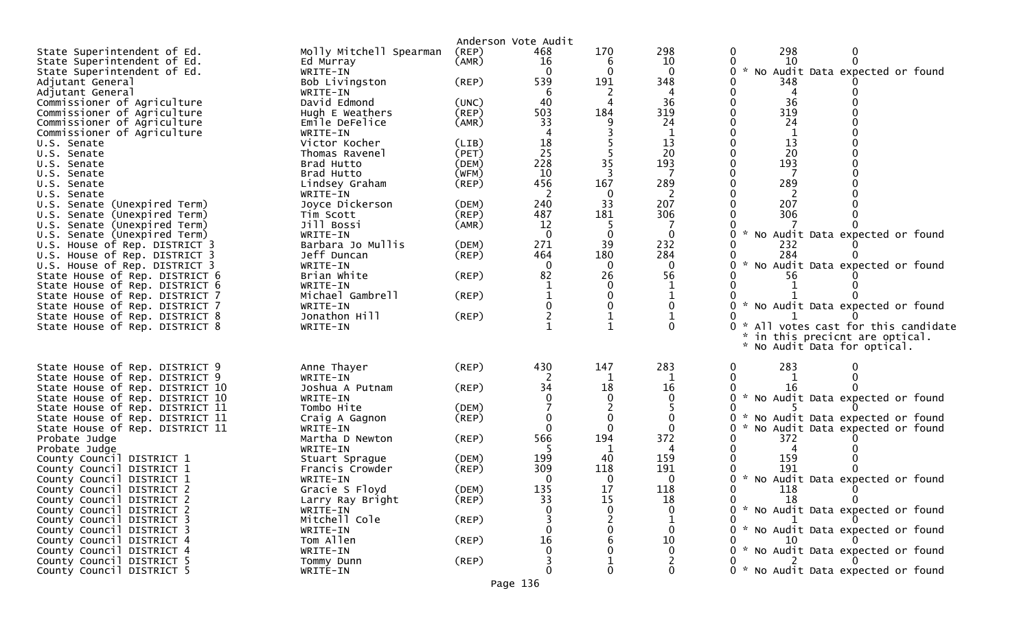|                                  |                         |             | Anderson Vote Audit |          |              |                                                       |
|----------------------------------|-------------------------|-------------|---------------------|----------|--------------|-------------------------------------------------------|
| State Superintendent of Ed.      | Molly Mitchell Spearman | $($ REP $)$ | 468                 | 170      | 298          | 298<br>0<br>0                                         |
| State Superintendent of Ed.      | Ed Murray               | (AMR)       | 16                  | 6        | 10           | 10<br>0<br>$\Omega$                                   |
| State Superintendent of Ed.      | WRITE-IN                |             | 0                   | 0        | 0            | $\mathcal{H}$<br>No Audit Data expected or found<br>0 |
| Adjutant General                 | Bob Livingston          | (REP)       | 539                 | 191      | 348          | 348                                                   |
| Adjutant General                 | WRITE-IN                |             | -6                  | 2        |              | 0                                                     |
| Commissioner of Agriculture      | David Edmond            | (UNC)       | 40                  | 4        | 36           | 36<br>0                                               |
| Commissioner of Agriculture      | Hugh E Weathers         | $($ REP $)$ | 503                 | 184      | 319          | 319                                                   |
| Commissioner of Agriculture      | Emile DeFelice          | (AMR)       | 33                  |          | 24           | 24                                                    |
| Commissioner of Agriculture      | WRITE-IN                |             |                     |          |              |                                                       |
| U.S. Senate                      | Victor Kocher           | (LIB)       | 18                  |          | 13           | 13                                                    |
| U.S. Senate                      | Thomas Ravenel          | (PET)       | 25                  |          | 20           | 20<br>0                                               |
| U.S. Senate                      | Brad Hutto              | (DEM)       | 228                 | 35       | 193          | $\mathbf{0}$<br>193                                   |
| U.S. Senate                      | Brad Hutto              | (WFM)       | 10                  | 3        |              | 0                                                     |
| U.S. Senate                      | Lindsey Graham          | $($ REP $)$ | 456                 | 167      | 289          | 289<br>0                                              |
| U.S. Senate                      | WRITE-IN                |             | 2                   | 0        |              | 2                                                     |
| U.S. Senate (Unexpired Term)     | Joyce Dickerson         | (DEM)       | 240                 | 33       | 207          | 207<br>0                                              |
| U.S. Senate (Unexpired Term)     | Tim Scott               | $($ REP $)$ | 487                 | 181      | 306          | 306<br>0                                              |
| U.S. Senate (Unexpired Term)     | Jill Bossi              | (AMR)       | 12                  |          |              |                                                       |
| U.S. Senate (Unexpired Term)     | WRITE-IN                |             | $\Omega$            | $\Omega$ | $\mathbf{0}$ | $\mathbf{0}$<br>* No Audit Data expected or found     |
| House of Rep. DISTRICT 3<br>U.S. | Barbara Jo Mullis       | (DEM)       | 271                 | 39       | 232          | 0<br>232                                              |
| U.S. House of Rep. DISTRICT 3    | Jeff Duncan             | (REP)       | 464                 | 180      | 284          | 284<br>0                                              |
| U.S. House of Rep. DISTRICT 3    | WRITE-IN                |             | 0                   | 0        | 0            | $\mathcal{H}$<br>No Audit Data expected or found<br>0 |
| State House of Rep. DISTRICT 6   | Brian White             | (REP)       | 82                  | 26       | 56           | 56                                                    |
| State House of Rep. DISTRICT 6   | WRITE-IN                |             |                     |          |              | 0                                                     |
| State House of Rep. DISTRICT 7   | Michael Gambrell        | (REP)       |                     |          |              |                                                       |
| State House of Rep. DISTRICT 7   | WRITE-IN                |             |                     |          |              | * No Audit Data expected or found<br>0                |
| State House of Rep. DISTRICT 8   | Jonathon Hill           | (REP)       |                     |          |              | 0                                                     |
| State House of Rep. DISTRICT 8   | WRITE-IN                |             |                     |          | 0            | All votes cast for this candidate<br>$0 *$            |
|                                  |                         |             |                     |          |              | in this precicnt are optical.                         |
|                                  |                         |             |                     |          |              | * No Audit Data for optical.                          |
|                                  |                         |             |                     |          |              |                                                       |
| State House of Rep. DISTRICT 9   | Anne Thayer             | (REP)       | 430                 | 147      | 283          | 283<br>0                                              |
| State House of Rep. DISTRICT 9   | WRITE-IN                |             |                     |          |              | 0                                                     |
| State House of Rep. DISTRICT 10  | Joshua A Putnam         | (REP)       | 34                  | 18       | 16           | -16                                                   |
| State House of Rep. DISTRICT 10  | WRITE-IN                |             |                     |          |              | * No Audit Data expected or found<br>0                |
| State House of Rep. DISTRICT 11  | Tombo Hite              | (DEM)       |                     |          |              |                                                       |
| State House of Rep. DISTRICT 11  | Craig A Gagnon          | $($ REP $)$ | 0                   | 0        |              | 0<br>* No Audit Data expected or found                |
| State House of Rep. DISTRICT 11  | WRITE-IN                |             | $\mathbf 0$         | $\Omega$ | $\Omega$     | 0<br>No Audit Data expected or found                  |
| Probate Judge                    | Martha D Newton         | (REP)       | 566                 | 194      | 372          | 372                                                   |
| Probate Judge                    | WRITE-IN                |             |                     | 1        | 4            |                                                       |
| County Council DISTRICT 1        | Stuart Sprague          | (DEM)       | 199                 | 40       | 159          | 159<br>0                                              |
| County Council DISTRICT 1        | Francis Crowder         | (REP)       | 309                 | 118      | 191          | 191                                                   |
| County Council DISTRICT 1        | WRITE-IN                |             | 0                   | $\Omega$ | 0            | * No Audit Data expected or found<br>0                |
| County Council DISTRICT 2        | Gracie S Floyd          | (DEM)       | 135                 | 17       | 118          | 118<br><sup>n</sup>                                   |
| County Council DISTRICT 2        | Larry Ray Bright        | $($ REP $)$ | 33                  | 15       | 18           | 18                                                    |
| County Council DISTRICT 2        | WRITE-IN                |             |                     |          |              | 0 * No Audit Data expected or found                   |
| County Council DISTRICT 3        | Mitchell Cole           | $($ REP $)$ |                     |          |              | 0                                                     |
| County Council DISTRICT 3        | WRITE-IN                |             |                     |          |              | * No Audit Data expected or found                     |
| County Council DISTRICT 4        | Tom Allen               | (REP)       | 16                  |          | 10           | <sup>10</sup>                                         |
| County Council DISTRICT 4        | WRITE-IN                |             |                     |          |              | 0 * No Audit Data expected or found                   |
| County Council DISTRICT 5        | Tommy Dunn              | $($ REP $)$ |                     |          |              |                                                       |
| County Council DISTRICT 5        | WRITE-IN                |             | 0                   | 0        | 0            | 0 * No Audit Data expected or found                   |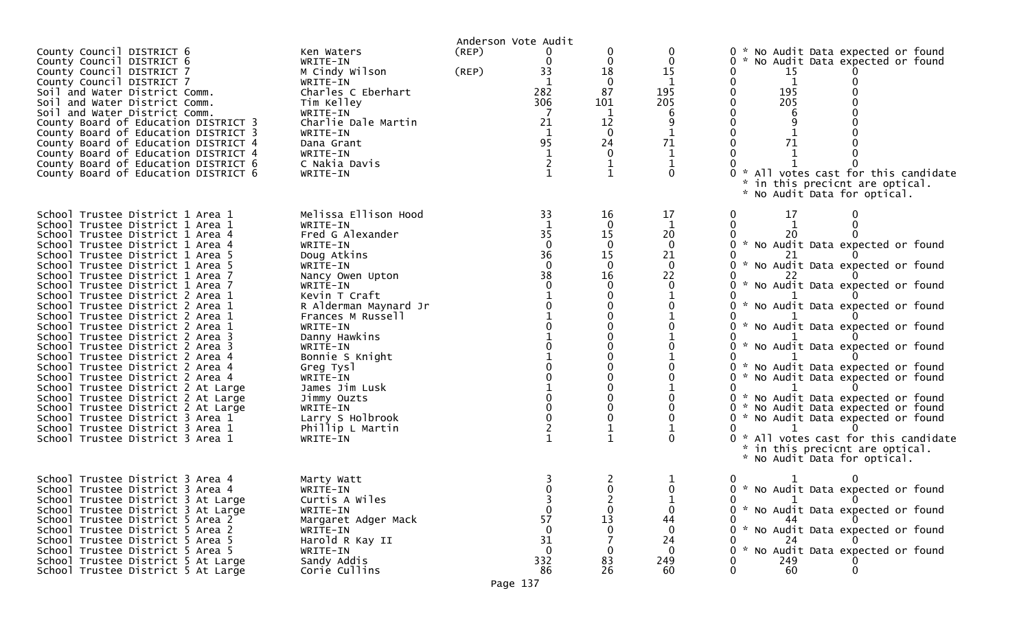|                                                                                                                                                                                                                                                                                                                                                                                                                                                                                                                                                                                                                                                                                                                                                                                                                                                                |                                                                                                                                                                                                                                                                                                                                                                                  |                | Anderson Vote Audit                                                            |                                                                                                                                      |                                                                                            |                                                                                                                                                                                                                                                                                                                                                                                                                                                                                                                                                                                                                                         |
|----------------------------------------------------------------------------------------------------------------------------------------------------------------------------------------------------------------------------------------------------------------------------------------------------------------------------------------------------------------------------------------------------------------------------------------------------------------------------------------------------------------------------------------------------------------------------------------------------------------------------------------------------------------------------------------------------------------------------------------------------------------------------------------------------------------------------------------------------------------|----------------------------------------------------------------------------------------------------------------------------------------------------------------------------------------------------------------------------------------------------------------------------------------------------------------------------------------------------------------------------------|----------------|--------------------------------------------------------------------------------|--------------------------------------------------------------------------------------------------------------------------------------|--------------------------------------------------------------------------------------------|-----------------------------------------------------------------------------------------------------------------------------------------------------------------------------------------------------------------------------------------------------------------------------------------------------------------------------------------------------------------------------------------------------------------------------------------------------------------------------------------------------------------------------------------------------------------------------------------------------------------------------------------|
| County Council DISTRICT 6<br>County Council DISTRICT 6<br>County Council DISTRICT 7<br>County Council DISTRICT 7<br>Soil and Water District Comm.<br>Soil and Water District Comm.<br>Soil and Water District Comm.<br>County Board of Education DISTRICT 3<br>County Board of Education DISTRICT 3<br>County Board of Education DISTRICT 4<br>County Board of Education DISTRICT 4<br>County Board of Education DISTRICT 6<br>County Board of Education DISTRICT 6                                                                                                                                                                                                                                                                                                                                                                                            | Ken Waters<br>WRITE-IN<br>M Cindy Wilson<br>WRITE-IN<br>Charles C Eberhart<br>Tim Kelley<br>WRITE-IN<br>Charlie Dale Martin<br>WRITE-IN<br>Dana Grant<br>WRITE-IN<br>C Nakia Davis<br>WRITE-IN                                                                                                                                                                                   | (REP)<br>(REP) | 0<br>33<br>282<br>306<br>21<br>1<br>95                                         | 0<br>$\mathbf 0$<br>18<br>$\Omega$<br>87<br>101<br>1<br>12<br>$\Omega$<br>24<br>0<br>$\mathbf{1}$                                    | 0<br>$\mathbf 0$<br>15<br>$\mathbf{1}$<br>195<br>205<br>6<br>71<br>$\mathbf 1$<br>$\Omega$ | No Audit Data expected or found<br>$0 *$<br>0<br>No Audit Data expected or found<br>0<br>15<br>0<br>1<br>0<br>195<br>205<br>$\Omega$<br>0<br>$\mathbf{0}$<br>$\Omega$<br>$\Omega$<br>71<br>* All votes cast for this candidate<br>in this precicnt are optical.<br>*.<br>No Audit Data for optical.                                                                                                                                                                                                                                                                                                                                     |
| School Trustee District 1 Area 1<br>School Trustee District 1 Area 1<br>School Trustee District 1 Area 4<br>School Trustee District 1 Area 4<br>School Trustee District 1 Area 5<br>School Trustee District 1 Area 5<br>School Trustee District 1 Area 7<br>School Trustee District 1 Area 7<br>School Trustee District 2 Area 1<br>School Trustee District 2 Area 1<br>School Trustee District 2 Area 1<br>School Trustee District 2 Area 1<br>School Trustee District 2 Area 3<br>School Trustee District 2 Area 3<br>School Trustee District 2 Area 4<br>School Trustee District 2 Area 4<br>School Trustee District 2 Area 4<br>School Trustee District 2 At Large<br>School Trustee District 2 At Large<br>School Trustee District 2 At Large<br>School Trustee District 3 Area 1<br>School Trustee District 3 Area 1<br>School Trustee District 3 Area 1 | Melissa Ellison Hood<br>WRITE-IN<br>Fred G Alexander<br>WRITE-IN<br>Doug Atkins<br>WRITE-IN<br>Nancy Owen Upton<br>WRITE-IN<br>Kevin T Craft<br>R Alderman Maynard Jr<br>Frances M Russell<br>WRITE-IN<br>Danny Hawkins<br>WRITE-IN<br>Bonnie S Knight<br>Greg Tysl<br>WRITE-IN<br>James Jim Lusk<br>Jimmy Ouzts<br>WRITE-IN<br>Larry S Holbrook<br>Phillip L Martin<br>WRITE-IN |                | 33<br>35<br>$\mathbf{0}$<br>36<br>$\mathbf 0$<br>38<br>$\Omega$<br>$\mathbf 0$ | 16<br>$\Omega$<br>15<br>$\Omega$<br>15<br>$\mathbf{0}$<br>16<br>$\Omega$<br>0<br>0<br>$\Omega$<br>0<br>$\Omega$<br>0<br>$\mathbf{1}$ | 17<br>1<br>20<br>$\mathbf 0$<br>21<br>$\mathbf{0}$<br>22<br>$\Omega$<br>$\Omega$           | 17<br>0<br>0<br>20<br>* No Audit Data expected or found<br>0<br>* No Audit Data expected or found<br>0<br>* No Audit Data expected or found<br>0<br>* No Audit Data expected or found<br>* No Audit Data expected or found<br>* No Audit Data expected or found<br>0<br>* No Audit Data expected or found<br>0<br>* No Audit Data expected or found<br>0<br>$\Omega$<br>* No Audit Data expected or found<br>0<br>* No Audit Data expected or found<br>$\mathbf{0}$<br>$\mathbf{0}$<br>* No Audit Data expected or found<br>0<br>* All votes cast for this candidate<br>* in this precicnt are optical.<br>* No Audit Data for optical. |
| School Trustee District 3 Area 4<br>School Trustee District 3 Area 4<br>School Trustee District 3 At Large<br>School Trustee District 3 At Large<br>School Trustee District 5 Area 2<br>School Trustee District 5 Area 2<br>School Trustee District 5 Area 5<br>School Trustee District 5 Area 5<br>School Trustee District 5 At Large<br>School Trustee District 5 At Large                                                                                                                                                                                                                                                                                                                                                                                                                                                                                   | Marty Watt<br>WRITE-IN<br>Curtis A Wiles<br>WRITE-IN<br>Margaret Adger Mack<br>WRITE-IN<br>Harold R Kay II<br>WRITE-IN<br>Sandy Addis<br>Corie Cullins                                                                                                                                                                                                                           |                | $\Omega$<br>57<br>$\Omega$<br>31<br>$\Omega$<br>332<br>86                      | 0<br>2<br>$\mathbf 0$<br>13<br>$\mathbf{0}$<br>0<br>83<br>26                                                                         | 0<br>44<br>0<br>24<br>-0<br>249<br>-60                                                     | 0<br>0 * No Audit Data expected or found<br>$\mathbf{1}$<br>0 * No Audit Data expected or found<br>44<br>* No Audit Data expected or found<br>0<br>24<br>* No Audit Data expected or found<br>0<br>249<br>60<br>$\Omega$<br>∩                                                                                                                                                                                                                                                                                                                                                                                                           |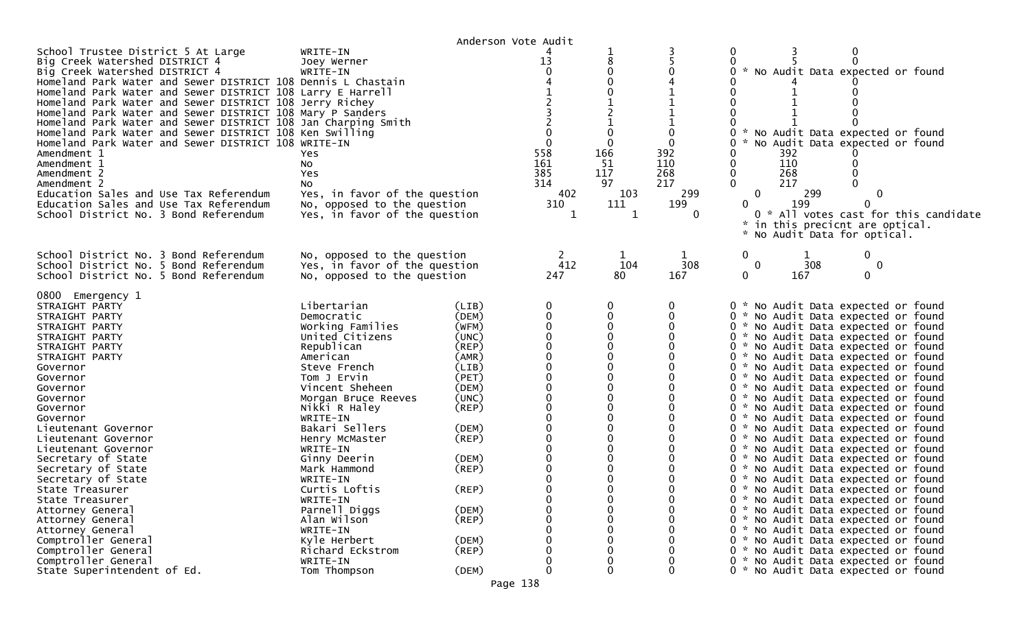|                                                                                                                                                                                                                                                                                                                                                                                                                                                                                                                                                                                                                                                                                                                                          |                                                                                                                                                                                                                                                                                                                                                                                       | Anderson Vote Audit                                                                                                                                                                 |                                                   |                                                          |                                                  |                                                                    |            |                                                                                                                                                                                                                                                                                                                                                                                                                                                                                                                                                                                                                                                                                                                                                                                                                                                                                                                                                                      |  |
|------------------------------------------------------------------------------------------------------------------------------------------------------------------------------------------------------------------------------------------------------------------------------------------------------------------------------------------------------------------------------------------------------------------------------------------------------------------------------------------------------------------------------------------------------------------------------------------------------------------------------------------------------------------------------------------------------------------------------------------|---------------------------------------------------------------------------------------------------------------------------------------------------------------------------------------------------------------------------------------------------------------------------------------------------------------------------------------------------------------------------------------|-------------------------------------------------------------------------------------------------------------------------------------------------------------------------------------|---------------------------------------------------|----------------------------------------------------------|--------------------------------------------------|--------------------------------------------------------------------|------------|----------------------------------------------------------------------------------------------------------------------------------------------------------------------------------------------------------------------------------------------------------------------------------------------------------------------------------------------------------------------------------------------------------------------------------------------------------------------------------------------------------------------------------------------------------------------------------------------------------------------------------------------------------------------------------------------------------------------------------------------------------------------------------------------------------------------------------------------------------------------------------------------------------------------------------------------------------------------|--|
| School Trustee District 5 At Large<br>Big Creek Watershed DISTRICT 4<br>Big Creek Watershed DISTRICT 4<br>Homeland Park Water and Sewer DISTRICT 108 Dennis L Chastain<br>Homeland Park Water and Sewer DISTRICT 108 Larry E Harrell<br>Homeland Park Water and Sewer DISTRICT 108 Jerry Richey<br>Homeland Park Water and Sewer DISTRICT 108 Mary P Sanders<br>Homeland Park Water and Sewer DISTRICT 108 Jan Charping Smith<br>Homeland Park Water and Sewer DISTRICT 108 Ken Swilling<br>Homeland Park Water and Sewer DISTRICT 108 WRITE-IN<br>Amendment 1<br>Amendment 1<br>Amendment 2<br>Amendment 2<br>Education Sales and Use Tax Referendum<br>Education Sales and Use Tax Referendum<br>School District No. 3 Bond Referendum | WRITE-IN<br>Joey Werner<br>WRITE-IN<br>Yes.<br>NO.<br>Yes<br>NO.<br>Yes, in favor of the question<br>No, opposed to the question<br>Yes, in favor of the question                                                                                                                                                                                                                     |                                                                                                                                                                                     | 13<br>558<br>161<br>385<br>314<br>402<br>310<br>1 | 8<br>0<br>166<br>-51<br>117<br>97<br>103<br>111<br>1     | 0<br>392<br>110<br>268<br>217<br>299<br>199<br>0 | 0<br>0<br>0<br>0<br>392<br>110<br>268<br>0<br>217<br>0<br>0<br>₩., | 299<br>199 | No Audit Data expected or found<br>No Audit Data expected or found<br>No Audit Data expected or found<br>$\Omega$<br>0 * All votes cast for this candidate<br>in this precicnt are optical.<br>* No Audit Data for optical.                                                                                                                                                                                                                                                                                                                                                                                                                                                                                                                                                                                                                                                                                                                                          |  |
| School District No. 3 Bond Referendum<br>School District No. 5 Bond Referendum<br>School District No. 5 Bond Referendum                                                                                                                                                                                                                                                                                                                                                                                                                                                                                                                                                                                                                  | No, opposed to the question<br>Yes, in favor of the question<br>No, opposed to the question                                                                                                                                                                                                                                                                                           |                                                                                                                                                                                     | 412<br>247                                        | 1<br>104<br>80                                           | 308<br>167                                       | 0<br>0<br>0                                                        | 308<br>167 | 0<br>0<br>0                                                                                                                                                                                                                                                                                                                                                                                                                                                                                                                                                                                                                                                                                                                                                                                                                                                                                                                                                          |  |
| 0800 Emergency 1<br>STRAIGHT PARTY<br>STRAIGHT PARTY<br>STRAIGHT PARTY<br>STRAIGHT PARTY<br>STRAIGHT PARTY<br>STRAIGHT PARTY<br>Governor<br>Governor<br>Governor<br>Governor<br>Governor<br>Governor<br>Lieutenant Governor<br>Lieutenant Governor<br>Lieutenant Governor<br>Secretary of State<br>Secretary of State<br>Secretary of State<br>State Treasurer<br>State Treasurer<br>Attorney General<br>Attorney General<br>Attorney General<br>Comptroller General                                                                                                                                                                                                                                                                     | Libertarian<br>Democratic<br>Working Families<br>United Citizens<br>Republican<br>American<br>Steve French<br>Tom J Ervin<br>Vincent Sheheen<br>Morgan Bruce Reeves<br>Nikki R Haley<br>WRITE-IN<br>Bakari Sellers<br>Henry McMaster<br>WRITE-IN<br>Ginny Deerin<br>Mark Hammond<br>WRITE-IN<br>Curtis Loftis<br>WRITE-IN<br>Parnell Diggs<br>Alan Wilson<br>WRITE-IN<br>Kyle Herbert | (LIB)<br>(DEM)<br>(WFM)<br>(UNC)<br>(REP)<br>(AMR)<br>(LIB)<br>(PET)<br>(DEM)<br>(UNC)<br>(REP)<br>(DEM)<br>(REP)<br>(DEM)<br>$($ REP $)$<br>(REP)<br>(DEM)<br>$($ REP $)$<br>(DEM) | 0<br>$\mathbf 0$<br>$\mathbf 0$<br>$\Omega$       | 0<br>0<br>0<br>0<br>0<br>0<br>0<br>0<br>0<br>0<br>0<br>0 | 0                                                |                                                                    |            | 0 * No Audit Data expected or found<br>0 * No Audit Data expected or found<br>0 * No Audit Data expected or found<br>0 * No Audit Data expected or found<br>0 * No Audit Data expected or found<br>0 * No Audit Data expected or found<br>0 * No Audit Data expected or found<br>0 * No Audit Data expected or found<br>0 * No Audit Data expected or found<br>0 * No Audit Data expected or found<br>0 * No Audit Data expected or found<br>0 * No Audit Data expected or found<br>0 * No Audit Data expected or found<br>0 * No Audit Data expected or found<br>0 * No Audit Data expected or found<br>0 * No Audit Data expected or found<br>0 * No Audit Data expected or found<br>0 * No Audit Data expected or found<br>0 * No Audit Data expected or found<br>0 * No Audit Data expected or found<br>0 * No Audit Data expected or found<br>0 * No Audit Data expected or found<br>0 * No Audit Data expected or found<br>0 * No Audit Data expected or found |  |
| Comptroller General<br>Comptroller General<br>State Superintendent of Ed.                                                                                                                                                                                                                                                                                                                                                                                                                                                                                                                                                                                                                                                                | Richard Eckstrom<br>WRITE-IN<br>Tom Thompson                                                                                                                                                                                                                                                                                                                                          | $($ REP $)$<br>(DEM)                                                                                                                                                                | 0                                                 | 0                                                        | $\Omega$                                         |                                                                    |            | 0 * No Audit Data expected or found<br>0 * No Audit Data expected or found<br>0 * No Audit Data expected or found                                                                                                                                                                                                                                                                                                                                                                                                                                                                                                                                                                                                                                                                                                                                                                                                                                                    |  |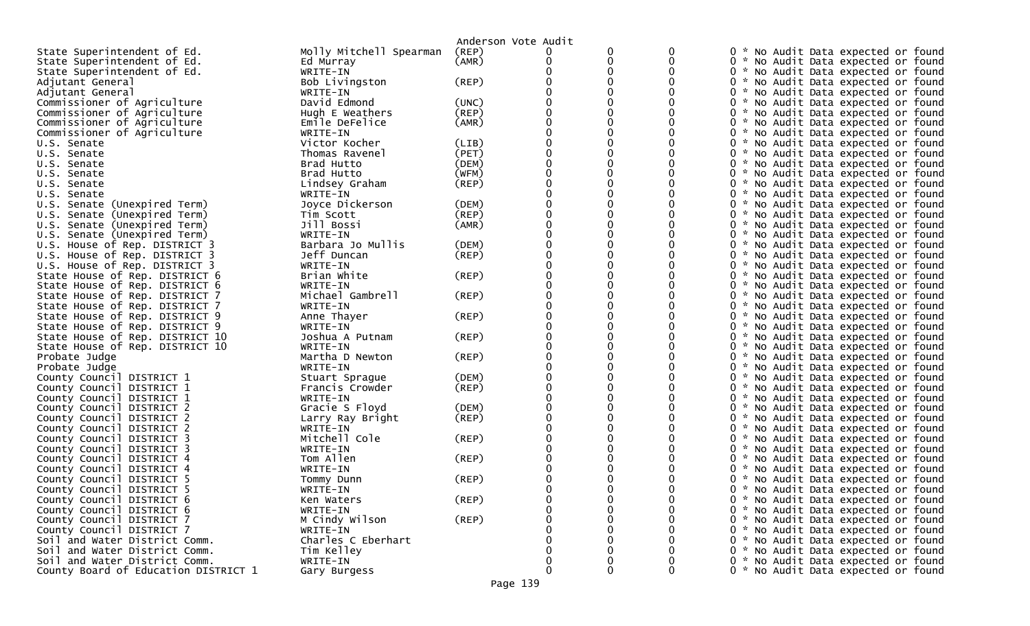|                                                            |                                | Anderson Vote Audit |          |   |              |                                                                            |
|------------------------------------------------------------|--------------------------------|---------------------|----------|---|--------------|----------------------------------------------------------------------------|
| State Superintendent of Ed.                                | Molly Mitchell Spearman        | (REP)               |          | 0 | 0            | 0 * No Audit Data expected or found                                        |
| State Superintendent of Ed.                                | Ed Murray                      | (AMR)               |          | 0 |              | 0 * No Audit Data expected or found                                        |
| State Superintendent of Ed.                                | WRITE-IN                       |                     |          |   |              | 0 * No Audit Data expected or found                                        |
| Adjutant General                                           | Bob Livingston                 | (REP)               |          |   |              | 0 * No Audit Data expected or found                                        |
| Adjutant General                                           | WRITE-IN                       |                     |          |   |              | 0 * No Audit Data expected or found                                        |
| Commissioner of Agriculture                                | David Edmond                   | (UNC)               |          |   |              | 0 * No Audit Data expected or found                                        |
| Commissioner of Agriculture                                | Hugh E Weathers                | (REP)               |          |   |              | * No Audit Data expected or found<br>0                                     |
| Commissioner of Agriculture                                | Emile DeFelice                 | (AMR)               |          |   |              | 0 * No Audit Data expected or found                                        |
| Commissioner of Agriculture                                | WRITE-IN                       |                     |          |   |              | 0 * No Audit Data expected or found                                        |
| U.S. Senate                                                | Victor Kocher                  | (LIB)               |          |   |              | 0 * No Audit Data expected or found                                        |
| U.S. Senate                                                | Thomas Ravenel                 | (PET)               |          |   |              | 0 * No Audit Data expected or found                                        |
| U.S. Senate                                                | Brad Hutto                     | (DEM)               |          | 0 |              | 0 * No Audit Data expected or found                                        |
| U.S. Senate                                                | Brad Hutto                     | (WFM)               |          |   |              | 0 * No Audit Data expected or found                                        |
| U.S. Senate                                                | Lindsey Graham                 | (REP)               |          |   |              | 0 * No Audit Data expected or found                                        |
| U.S. Senate                                                | WRITE-IN                       |                     |          |   |              | 0 * No Audit Data expected or found                                        |
| U.S. Senate (Unexpired Term)                               | Joyce Dickerson                | (DEM)               |          |   |              | 0 * No Audit Data expected or found                                        |
| U.S. Senate (Unexpired Term)                               | Tim Scott                      | (REP)               |          |   |              | 0 * No Audit Data expected or found                                        |
| U.S. Senate (Unexpired Term)                               | Jill Bossi                     | (AMR)               |          |   |              | 0 * No Audit Data expected or found                                        |
| U.S. Senate (Unexpired Term)                               | WRITE-IN                       |                     |          |   |              | 0 * No Audit Data expected or found                                        |
| U.S. House of Rep. DISTRICT 3                              | Barbara Jo Mullis              | (DEM)               |          |   |              | 0 *<br>No Audit Data expected or found                                     |
| U.S. House of Rep. DISTRICT 3                              | Jeff Duncan                    | $($ REP $)$         |          |   |              | 0 * No Audit Data expected or found                                        |
| U.S. House of Rep. DISTRICT 3                              | WRITE-IN                       |                     |          |   |              | 0 * No Audit Data expected or found                                        |
| State House of Rep. DISTRICT 6                             | Brian White                    | (REP)               |          |   |              | 0 * No Audit Data expected or found                                        |
| State House of Rep. DISTRICT 6                             | WRITE-IN                       |                     |          |   |              | 0 * No Audit Data expected or found                                        |
| State House of Rep. DISTRICT 7                             | Michael Gambrell               | (REP)               |          |   |              | 0 * No Audit Data expected or found                                        |
| State House of Rep. DISTRICT 7                             | WRITE-IN                       |                     |          |   |              | 0 * No Audit Data expected or found                                        |
| State House of Rep. DISTRICT 9                             | Anne Thayer                    | (REP)               |          |   |              | 0 * No Audit Data expected or found                                        |
| State House of Rep. DISTRICT 9                             | WRITE-IN                       |                     |          |   |              | 0 * No Audit Data expected or found                                        |
| State House of Rep. DISTRICT 10                            | Joshua A Putnam                | (REP)               |          |   |              | 0 * No Audit Data expected or found                                        |
| State House of Rep. DISTRICT 10                            | WRITE-IN                       |                     |          |   |              | 0 * No Audit Data expected or found                                        |
| Probate Judge                                              | Martha D Newton                | (REP)               |          |   |              | 0 * No Audit Data expected or found                                        |
| Probate Judge                                              | WRITE-IN                       |                     |          |   |              | 0 * No Audit Data expected or found                                        |
| County Council DISTRICT 1                                  | Stuart Sprague                 | (DEM)               |          |   |              | 0 * No Audit Data expected or found                                        |
| County Council DISTRICT 1                                  | Francis Crowder                | (REP)               |          |   |              | 0 * No Audit Data expected or found                                        |
| County Council DISTRICT 1                                  | WRITE-IN                       |                     |          |   |              | 0 * No Audit Data expected or found                                        |
| County Council DISTRICT 2                                  | Gracie S Floyd                 | (DEM)               |          |   |              | 0 * No Audit Data expected or found                                        |
| County Council DISTRICT 2                                  | Larry Ray Bright               | (REP)               |          |   |              | 0 * No Audit Data expected or found                                        |
| County Council DISTRICT 2                                  | WRITE-IN                       |                     |          |   |              | 0 * No Audit Data expected or found                                        |
| County Council DISTRICT 3                                  | Mitchell Cole                  | (REP)               |          |   |              | 0 * No Audit Data expected or found                                        |
| County Council DISTRICT 3                                  | WRITE-IN                       |                     |          |   |              | 0 * No Audit Data expected or found                                        |
| County Council DISTRICT 4                                  | Tom Allen                      | (REP)               |          |   |              | 0 * No Audit Data expected or found                                        |
| County Council DISTRICT 4                                  | WRITE-IN                       |                     |          |   |              | No Audit Data expected or found<br>77                                      |
| County Council DISTRICT 5                                  | Tommy Dunn                     | (REP)               |          | ∩ |              | 0 * No Audit Data expected or found                                        |
| County Council DISTRICT 5                                  | WRITE-IN                       |                     | $\Omega$ | 0 | $\mathbf{0}$ | 0 * No Audit Data expected or found                                        |
| County Council DISTRICT 6                                  | Ken Waters                     | $($ REP $)$         |          |   |              | 0 * No Audit Data expected or found                                        |
| County Council DISTRICT 6<br>County Council DISTRICT 7     | WRITE-IN<br>M Cindy Wilson     | $($ REP $)$         |          |   | 0            | 0 * No Audit Data expected or found<br>0 * No Audit Data expected or found |
|                                                            |                                |                     |          |   |              |                                                                            |
| County Council DISTRICT 7<br>Soil and Water District Comm. | WRITE-IN<br>Charles C Eberhart |                     |          |   |              | 0 * No Audit Data expected or found<br>0 * No Audit Data expected or found |
| Soil and Water District Comm.                              | Tim Kelley                     |                     |          |   |              | 0 * No Audit Data expected or found                                        |
| Soil and Water District Comm.                              | WRITE-IN                       |                     |          |   | 0            | 0 * No Audit Data expected or found                                        |
| County Board of Education DISTRICT 1                       |                                |                     | 0        | 0 | 0            | 0 * No Audit Data expected or found                                        |
|                                                            | Gary Burgess                   |                     |          |   |              |                                                                            |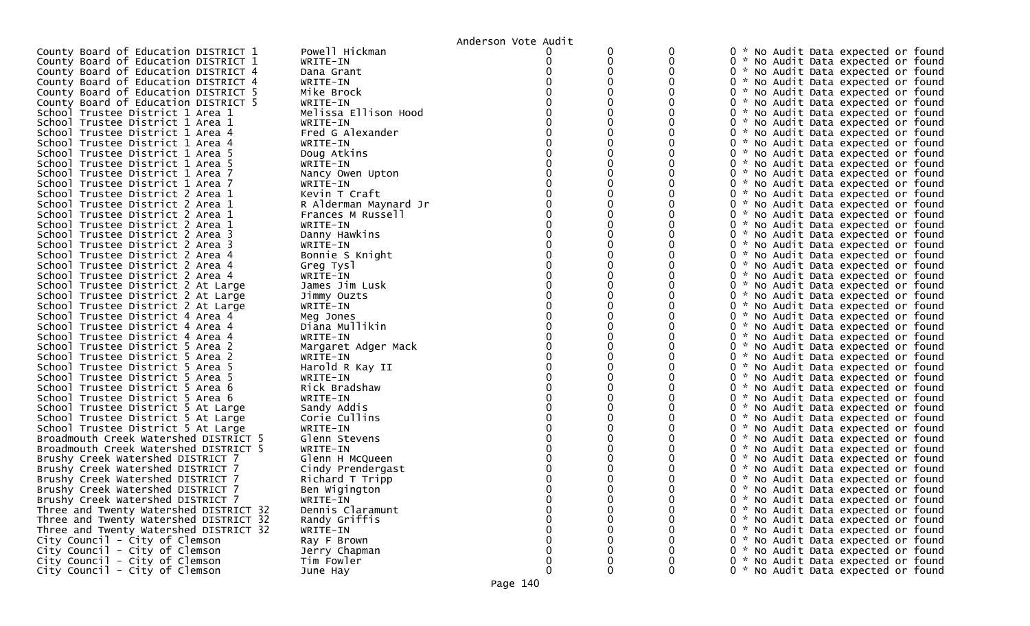|                                        |                       | Anderson Vote Audit |   |   |                                     |
|----------------------------------------|-----------------------|---------------------|---|---|-------------------------------------|
| County Board of Education DISTRICT 1   | Powell Hickman        |                     |   |   | 0 * No Audit Data expected or found |
| County Board of Education DISTRICT 1   | WRITE-IN              |                     | 0 | 0 | 0 * No Audit Data expected or found |
| County Board of Education DISTRICT 4   | Dana Grant            |                     |   |   | 0 * No Audit Data expected or found |
| County Board of Education DISTRICT 4   | WRITE-IN              |                     |   |   | 0 * No Audit Data expected or found |
| County Board of Education DISTRICT 5   | Mike Brock            |                     |   |   | 0 * No Audit Data expected or found |
| County Board of Education DISTRICT 5   | WRITE-IN              |                     |   |   | 0 * No Audit Data expected or found |
| School Trustee District 1 Area 1       | Melissa Ellison Hood  |                     |   |   | 0 * No Audit Data expected or found |
| School Trustee District 1 Area 1       | WRITE-IN              |                     |   |   | 0 * No Audit Data expected or found |
| School Trustee District 1 Area 4       | Fred G Alexander      |                     |   |   | 0 * No Audit Data expected or found |
| School Trustee District 1 Area 4       | WRITE-IN              |                     |   |   | 0 * No Audit Data expected or found |
| School Trustee District 1 Area 5       | Doug Atkins           |                     |   |   | 0 * No Audit Data expected or found |
| School Trustee District 1 Area 5       | WRITE-IN              |                     |   |   | 0 * No Audit Data expected or found |
| School Trustee District 1 Area 7       | Nancy Owen Upton      |                     |   |   | 0 * No Audit Data expected or found |
| School Trustee District 1 Area 7       | WRITE-IN              |                     |   |   | 0 * No Audit Data expected or found |
| School Trustee District 2 Area 1       | Kevin T Craft         |                     |   |   | 0 * No Audit Data expected or found |
| School Trustee District 2 Area 1       | R Alderman Maynard Jr |                     |   |   | 0 * No Audit Data expected or found |
| School Trustee District 2 Area 1       | Frances M Russell     |                     |   |   | 0 * No Audit Data expected or found |
| School Trustee District 2 Area 1       | WRITE-IN              |                     |   |   | 0 * No Audit Data expected or found |
| School Trustee District 2 Area 3       | Danny Hawkins         |                     |   |   | 0 * No Audit Data expected or found |
| School Trustee District 2 Area 3       | WRITE-IN              |                     |   |   | 0 * No Audit Data expected or found |
| School Trustee District 2 Area 4       | Bonnie S Knight       |                     |   |   | 0 * No Audit Data expected or found |
| School Trustee District 2 Area 4       | Greg Tysl             |                     |   |   | 0 * No Audit Data expected or found |
| School Trustee District 2 Area 4       | WRITE-IN              |                     |   |   | 0 * No Audit Data expected or found |
| School Trustee District 2 At Large     | James Jim Lusk        |                     |   |   | 0 * No Audit Data expected or found |
| School Trustee District 2 At Large     | Jimmy Ouzts           |                     |   |   | 0 * No Audit Data expected or found |
| School Trustee District 2 At Large     | WRITE-IN              |                     |   |   | 0 * No Audit Data expected or found |
| School Trustee District 4 Area 4       | Meg Jones             |                     |   |   | 0 * No Audit Data expected or found |
| School Trustee District 4 Area 4       | Diana Mullikin        |                     |   |   | 0 * No Audit Data expected or found |
| School Trustee District 4 Area 4       | WRITE-IN              |                     |   |   | 0 * No Audit Data expected or found |
| School Trustee District 5 Area 2       | Margaret Adger Mack   |                     |   |   | 0 * No Audit Data expected or found |
| School Trustee District 5 Area 2       | WRITE-IN              |                     |   |   | 0 * No Audit Data expected or found |
| School Trustee District 5 Area 5       | Harold R Kay II       |                     |   |   | 0 * No Audit Data expected or found |
| School Trustee District 5 Area 5       | WRITE-IN              |                     |   |   | 0 * No Audit Data expected or found |
| School Trustee District 5 Area 6       | Rick Bradshaw         |                     |   |   | 0 * No Audit Data expected or found |
| School Trustee District 5 Area 6       | WRITE-IN              |                     |   |   | 0 * No Audit Data expected or found |
| School Trustee District 5 At Large     | Sandy Addis           |                     |   |   | 0 * No Audit Data expected or found |
| School Trustee District 5 At Large     | Corie Cullins         |                     |   |   | 0 * No Audit Data expected or found |
| School Trustee District 5 At Large     | WRITE-IN              |                     |   |   | 0 * No Audit Data expected or found |
| Broadmouth Creek Watershed DISTRICT 5  | Glenn Stevens         |                     |   |   | 0 * No Audit Data expected or found |
| Broadmouth Creek Watershed DISTRICT 5  | WRITE-IN              |                     |   |   | 0 * No Audit Data expected or found |
| Brushy Creek Watershed DISTRICT 7      | Glenn H McQueen       |                     |   |   | 0 * No Audit Data expected or found |
| Brushy Creek Watershed DISTRICT 7      | Cindy Prendergast     |                     |   |   | 0 * No Audit Data expected or found |
| Brushy Creek Watershed DISTRICT 7      | Richard T Tripp       |                     |   |   | 0 * No Audit Data expected or found |
| Brushy Creek Watershed DISTRICT 7      | Ben Wigington         |                     |   |   | 0 * No Audit Data expected or found |
| Brushy Creek Watershed DISTRICT 7      | WRITE-IN              |                     |   | 0 | 0 * No Audit Data expected or found |
| Three and Twenty Watershed DISTRICT 32 | Dennis Claramunt      |                     |   | 0 | 0 * No Audit Data expected or found |
| Three and Twenty Watershed DISTRICT 32 | Randy Griffis         |                     |   | 0 | 0 * No Audit Data expected or found |
| Three and Twenty Watershed DISTRICT 32 | WRITE-IN              |                     |   |   | 0 * No Audit Data expected or found |
| City Council - City of Clemson         | Ray F Brown           |                     |   |   | 0 * No Audit Data expected or found |
| City Council - City of Clemson         | Jerry Chapman         |                     |   |   | 0 * No Audit Data expected or found |
| City Council - City of Clemson         | Tim Fowler            | 0                   |   | 0 | 0 * No Audit Data expected or found |
| City Council - City of Clemson         | June Hay              | 0                   | 0 | 0 | 0 * No Audit Data expected or found |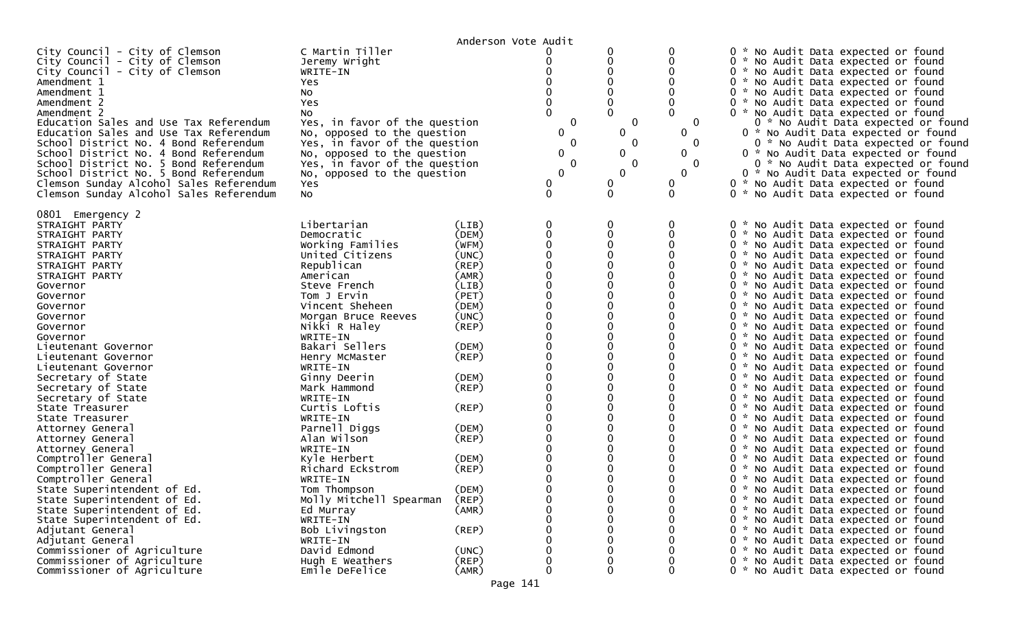|                                                                                                    |                                                              | Anderson Vote Audit |                  |               |                          |                                                                                                                   |
|----------------------------------------------------------------------------------------------------|--------------------------------------------------------------|---------------------|------------------|---------------|--------------------------|-------------------------------------------------------------------------------------------------------------------|
| City Council - City of Clemson<br>City Council - City of Clemson<br>City Council - City of Clemson | C Martin Tiller<br>Jeremy Wright<br>WRITE-IN                 |                     |                  |               | 0<br>0                   | 0 * No Audit Data expected or found<br>0 * No Audit Data expected or found<br>0 * No Audit Data expected or found |
| Amendment 1<br>Amendment 1                                                                         | Yes<br>NO.                                                   |                     |                  |               |                          | 0 * No Audit Data expected or found<br>0 * No Audit Data expected or found                                        |
| Amendment 2                                                                                        | <b>Yes</b>                                                   |                     |                  |               |                          | 0 * No Audit Data expected or found                                                                               |
| Amendment 2                                                                                        | NO.<br>Yes, in favor of the question                         |                     | 0                | 0             | 0                        | 0 * No Audit Data expected or found                                                                               |
| Education Sales and Use Tax Referendum<br>Education Sales and Use Tax Referendum                   | No, opposed to the question                                  |                     | 0                | 0<br>0        | $\mathbf 0$              | 0 * No Audit Data expected or found<br>0 * No Audit Data expected or found                                        |
| School District No. 4 Bond Referendum                                                              | Yes, in favor of the question                                |                     | 0                | 0             | $\Omega$                 | 0 * No Audit Data expected or found                                                                               |
| School District No. 4 Bond Referendum                                                              | No, opposed to the question                                  |                     | 0                | 0             | $\mathbf 0$              | 0 * No Audit Data expected or found                                                                               |
| School District No. 5 Bond Referendum<br>School District No. 5 Bond Referendum                     | Yes, in favor of the question<br>No, opposed to the question |                     | 0<br>$\mathbf 0$ | 0<br>$\Omega$ | $\Omega$<br>$\mathbf{0}$ | 0 * No Audit Data expected or found<br>0 * No Audit Data expected or found                                        |
| Clemson Sunday Alcohol Sales Referendum                                                            | Yes                                                          |                     | 0                | 0             | 0                        | 0 * No Audit Data expected or found                                                                               |
| Clemson Sunday Alcohol Sales Referendum                                                            | NO.                                                          |                     | 0                | $\mathbf{0}$  | $\Omega$                 | 0 * No Audit Data expected or found                                                                               |
| 0801 Emergency 2                                                                                   |                                                              |                     |                  |               |                          |                                                                                                                   |
| STRAIGHT PARTY                                                                                     | Libertarian                                                  | (LIB)               |                  | 0             | 0                        | 0 * No Audit Data expected or found                                                                               |
| STRAIGHT PARTY                                                                                     | Democratic                                                   | (DEM)               |                  | 0             | 0                        | 0 * No Audit Data expected or found                                                                               |
| STRAIGHT PARTY                                                                                     | Working Families                                             | (WFM)               |                  |               |                          | 0 * No Audit Data expected or found                                                                               |
| STRAIGHT PARTY                                                                                     | United Citizens                                              | (UNC)               |                  |               |                          | 0 * No Audit Data expected or found                                                                               |
| STRAIGHT PARTY<br>STRAIGHT PARTY                                                                   | Republican<br>American                                       | (REP)<br>(AMR)      |                  |               |                          | 0 * No Audit Data expected or found<br>0 * No Audit Data expected or found                                        |
| Governor                                                                                           | Steve French                                                 | (LIB)               |                  |               |                          | 0 * No Audit Data expected or found                                                                               |
| Governor                                                                                           | Tom J Ervin                                                  | (PET)               |                  |               |                          | 0 * No Audit Data expected or found                                                                               |
| Governor                                                                                           | Vincent Sheheen                                              | (DEM)               |                  |               |                          | 0 * No Audit Data expected or found                                                                               |
| Governor                                                                                           | Morgan Bruce Reeves                                          | (UNC)               |                  |               |                          | 0 * No Audit Data expected or found                                                                               |
| Governor                                                                                           | Nikki R Haley                                                | (REP)               |                  |               |                          | 0 * No Audit Data expected or found                                                                               |
| Governor                                                                                           | WRITE-IN                                                     |                     |                  |               |                          | 0 * No Audit Data expected or found                                                                               |
| Lieutenant Governor                                                                                | Bakari Sellers                                               | (DEM)               |                  |               |                          | 0 * No Audit Data expected or found                                                                               |
| Lieutenant Governor                                                                                | Henry McMaster                                               | (REP)               |                  |               |                          | 0 * No Audit Data expected or found                                                                               |
| Lieutenant Governor                                                                                | WRITE-IN                                                     |                     |                  |               |                          | 0 * No Audit Data expected or found                                                                               |
| Secretary of State                                                                                 | Ginny Deerin                                                 | (DEM)               |                  |               |                          | 0 * No Audit Data expected or found                                                                               |
| Secretary of State                                                                                 | Mark Hammond                                                 | $($ REP $)$         |                  |               |                          | 0 * No Audit Data expected or found                                                                               |
| Secretary of State<br>State Treasurer                                                              | WRITE-IN<br>Curtis Loftis                                    | (REP)               |                  |               |                          | 0 * No Audit Data expected or found<br>0 * No Audit Data expected or found                                        |
| State Treasurer                                                                                    | WRITE-IN                                                     |                     |                  |               |                          | 0 * No Audit Data expected or found                                                                               |
| Attorney General                                                                                   | Parnell Diggs                                                | (DEM)               |                  |               |                          | 0 * No Audit Data expected or found                                                                               |
| Attorney General                                                                                   | Alan Wilson                                                  | $($ REP $)$         |                  |               |                          | 0 * No Audit Data expected or found                                                                               |
| Attorney General                                                                                   | WRITE-IN                                                     |                     |                  |               |                          | 0 * No Audit Data expected or found                                                                               |
| Comptroller General                                                                                | Kyle Herbert                                                 | (DEM)               |                  |               |                          | 0 * No Audit Data expected or found                                                                               |
| Comptroller General                                                                                | Richard Eckstrom                                             | $($ REP $)$         |                  |               |                          | 0 * No Audit Data expected or found                                                                               |
| Comptroller General                                                                                | WRITE-IN                                                     |                     |                  |               |                          | 0 * No Audit Data expected or found                                                                               |
| State Superintendent of Ed.                                                                        | Tom Thompson                                                 | (DEM)               |                  |               |                          | 0 * No Audit Data expected or found                                                                               |
| State Superintendent of Ed.                                                                        | Molly Mitchell Spearman                                      | (REP)               |                  | 0             |                          | 0 * No Audit Data expected or found                                                                               |
| State Superintendent of Ed.                                                                        | Ed Murray                                                    | (AMR)               |                  | 0             | $\Omega$                 | 0 * No Audit Data expected or found                                                                               |
| State Superintendent of Ed.                                                                        | WRITE-IN                                                     |                     |                  | 0             | 0                        | 0 * No Audit Data expected or found                                                                               |
| Adjutant General                                                                                   | Bob Livingston                                               | (REP)               |                  | $\Omega$      |                          | 0 * No Audit Data expected or found                                                                               |
| Adjutant General<br>Commissioner of Agriculture                                                    | WRITE-IN<br>David Edmond                                     |                     |                  | 0<br>0        |                          | 0 * No Audit Data expected or found<br>0 * No Audit Data expected or found                                        |
| Commissioner of Agriculture                                                                        | Hugh E Weathers                                              | (UNC)<br>(REP)      |                  | 0             |                          | 0 * No Audit Data expected or found                                                                               |
| Commissioner of Agriculture                                                                        | Emile DeFelice                                               | (AMR)               |                  | 0             | $\mathbf{0}$             | 0 * No Audit Data expected or found                                                                               |
|                                                                                                    |                                                              |                     |                  |               |                          |                                                                                                                   |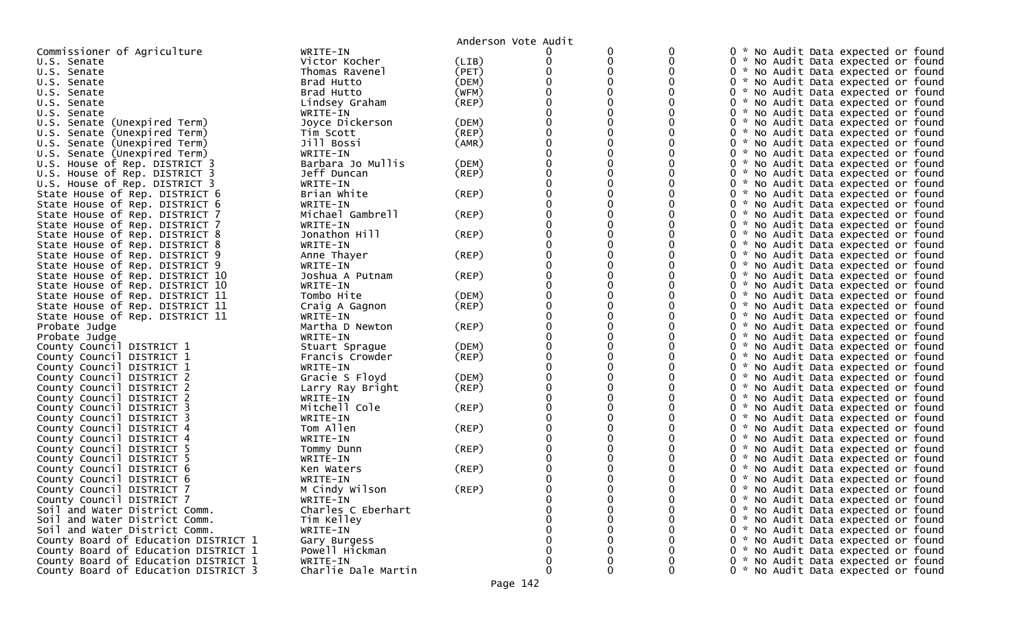|                                                                    |                     | Anderson Vote Audit  |   |   |   |                                                                            |
|--------------------------------------------------------------------|---------------------|----------------------|---|---|---|----------------------------------------------------------------------------|
| Commissioner of Agriculture                                        | WRITE-IN            |                      |   |   |   | 0<br>No Audit Data expected or found                                       |
| U.S. Senate                                                        | Victor Kocher       | (LIB)                | 0 | 0 |   | 0 * No Audit Data expected or found                                        |
| U.S. Senate                                                        | Thomas Ravenel      | (PET)                |   |   |   | 0 * No Audit Data expected or found                                        |
| U.S. Senate                                                        | Brad Hutto          | (DEM)                |   |   |   | 0 * No Audit Data expected or found                                        |
| U.S. Senate                                                        | Brad Hutto          | (WFM)                |   |   |   | 0 * No Audit Data expected or found                                        |
| U.S. Senate                                                        | Lindsey Graham      | $($ REP $)$          |   |   |   | No Audit Data expected or found<br>0                                       |
| U.S. Senate                                                        | WRITE-IN            |                      |   |   |   | 0 * No Audit Data expected or found                                        |
| U.S. Senate (Unexpired Term)                                       | Joyce Dickerson     | (DEM)                |   |   |   | 0 * No Audit Data expected or found                                        |
| U.S. Senate (Unexpired Term)                                       | Tim Scott           | (REP)                |   |   |   | 0 * No Audit Data expected or found                                        |
| U.S. Senate (Unexpired Term)                                       | Jill Bossi          | (AMR)                |   |   |   | 0 * No Audit Data expected or found                                        |
| U.S. Senate (Unexpired Term)                                       | WRITE-IN            |                      |   |   |   | 0 * No Audit Data expected or found                                        |
| U.S. House of Rep. DISTRICT 3                                      | Barbara Jo Mullis   | (DEM)                |   |   |   | 0 * No Audit Data expected or found                                        |
| U.S. House of Rep. DISTRICT 3                                      | Jeff Duncan         | (REP)                |   |   |   | 0 * No Audit Data expected or found                                        |
| U.S. House of Rep. DISTRICT 3                                      | WRITE-IN            |                      |   |   |   | 0 * No Audit Data expected or found                                        |
| State House of Rep. DISTRICT 6                                     | Brian White         | $($ REP $)$          |   |   |   | 0 * No Audit Data expected or found                                        |
| State House of Rep. DISTRICT 6                                     | WRITE-IN            |                      |   |   |   | 0 * No Audit Data expected or found                                        |
| State House of Rep. DISTRICT 7                                     | Michael Gambrell    | (REP)                |   |   |   | 0 * No Audit Data expected or found                                        |
| State House of Rep. DISTRICT 7                                     | WRITE-IN            |                      |   |   |   | 0 * No Audit Data expected or found                                        |
| State House of Rep. DISTRICT 8                                     | Jonathon Hill       | (REP)                |   |   |   | 0 * No Audit Data expected or found                                        |
| State House of Rep. DISTRICT 8                                     | WRITE-IN            |                      |   |   |   | 0 * No Audit Data expected or found                                        |
| State House of Rep. DISTRICT 9                                     | Anne Thayer         | (REP)                |   |   |   | 0 * No Audit Data expected or found                                        |
| State House of Rep. DISTRICT 9                                     | WRITE-IN            |                      |   |   |   | 0 * No Audit Data expected or found                                        |
| State House of Rep. DISTRICT 10                                    | Joshua A Putnam     | (REP)                |   |   |   | 0 * No Audit Data expected or found                                        |
| State House of Rep. DISTRICT 10                                    | WRITE-IN            |                      |   |   |   | 0 * No Audit Data expected or found                                        |
| State House of Rep. DISTRICT 11                                    | Tombo Hite          | (DEM)                |   |   |   | 0 * No Audit Data expected or found                                        |
|                                                                    | Craig A Gagnon      | (REP)                |   |   |   | 0 * No Audit Data expected or found                                        |
| State House of Rep. DISTRICT 11<br>State House of Rep. DISTRICT 11 | WRITE-IN            |                      |   |   |   | 0 * No Audit Data expected or found                                        |
|                                                                    | Martha D Newton     | (REP)                |   |   |   | 0 * No Audit Data expected or found                                        |
| Probate Judge                                                      | WRITE-IN            |                      |   |   |   | 0 * No Audit Data expected or found                                        |
| Probate Judge                                                      |                     |                      |   |   |   |                                                                            |
| County Council DISTRICT 1                                          | Stuart Sprague      | (DEM)<br>$($ REP $)$ |   |   |   | 0 * No Audit Data expected or found<br>0 * No Audit Data expected or found |
| County Council DISTRICT 1                                          | Francis Crowder     |                      |   |   |   | 0                                                                          |
| County Council DISTRICT 1                                          | WRITE-IN            |                      |   |   |   | * No Audit Data expected or found                                          |
| County Council DISTRICT 2                                          | Gracie S Floyd      | (DEM)                |   |   |   | 0 * No Audit Data expected or found                                        |
| County Council DISTRICT 2                                          | Larry Ray Bright    | (REP)                |   |   |   | 0 * No Audit Data expected or found                                        |
| County Council DISTRICT 2                                          | WRITE-IN            |                      |   |   |   | 0 * No Audit Data expected or found                                        |
| County Council DISTRICT 3                                          | Mitchell Cole       | (REP)                |   |   |   | 0 * No Audit Data expected or found                                        |
| County Council DISTRICT 3                                          | WRITE-IN            |                      |   |   |   | 0 * No Audit Data expected or found                                        |
| County Council DISTRICT 4                                          | Tom Allen           | (REP)                |   |   |   | 0 * No Audit Data expected or found                                        |
| County Council DISTRICT 4                                          | WRITE-IN            |                      |   |   |   | 0 * No Audit Data expected or found                                        |
| County Council DISTRICT 5                                          | Tommy Dunn          | $($ REP $)$          |   |   |   | 0 * No Audit Data expected or found                                        |
| County Council DISTRICT 5                                          | WRITE-IN            |                      |   |   |   | 0 * No Audit Data expected or found                                        |
| County Council DISTRICT 6                                          | Ken Waters          | (REP)                |   |   |   | 0<br>* No Audit Data expected or found                                     |
| County Council DISTRICT 6                                          | WRITE-IN            |                      |   |   |   | 0<br>Ж.,<br>No Audit Data expected or found                                |
| County Council DISTRICT 7                                          | M Cindy Wilson      | (REP)                |   |   |   | 0 * No Audit Data expected or found                                        |
| County Council DISTRICT 7                                          | WRITE-IN            |                      |   |   | 0 | 0 * No Audit Data expected or found                                        |
| Soil and Water District Comm.                                      | Charles C Eberhart  |                      |   |   | 0 | 0 * No Audit Data expected or found                                        |
| Soil and Water District Comm.                                      | Tim Kelley          |                      |   |   | 0 | 0 * No Audit Data expected or found                                        |
| Soil and Water District Comm.                                      | WRITE-IN            |                      |   |   |   | 0 * No Audit Data expected or found                                        |
| County Board of Education DISTRICT 1                               | Gary Burgess        |                      |   |   |   | 0 * No Audit Data expected or found                                        |
| County Board of Education DISTRICT 1                               | Powell Hickman      |                      |   |   |   | 0 * No Audit Data expected or found                                        |
| County Board of Education DISTRICT 1                               | WRITE-IN            |                      |   |   | 0 | 0 * No Audit Data expected or found                                        |
| County Board of Education DISTRICT 3                               | Charlie Dale Martin |                      | 0 | 0 | 0 | 0 * No Audit Data expected or found                                        |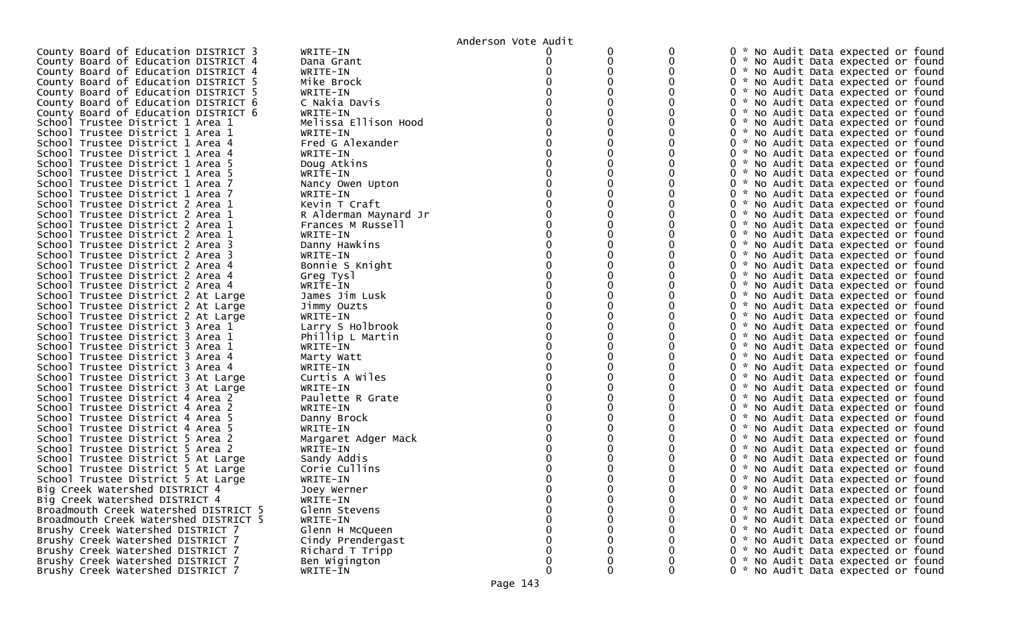|                                       |                       | Anderson Vote Audit |   |          |                                     |
|---------------------------------------|-----------------------|---------------------|---|----------|-------------------------------------|
| County Board of Education DISTRICT 3  | WRITE-IN              |                     |   |          | 0 * No Audit Data expected or found |
| County Board of Education DISTRICT 4  | Dana Grant            |                     | 0 |          | 0 * No Audit Data expected or found |
| County Board of Education DISTRICT 4  | WRITE-IN              |                     |   |          | 0 * No Audit Data expected or found |
| County Board of Education DISTRICT 5  | Mike Brock            |                     |   |          | 0 * No Audit Data expected or found |
| County Board of Education DISTRICT 5  | WRITE-IN              |                     |   |          | 0 * No Audit Data expected or found |
| County Board of Education DISTRICT 6  | C Nakia Davis         |                     |   |          | 0 * No Audit Data expected or found |
| County Board of Education DISTRICT 6  | WRITE-IN              |                     |   |          | 0 * No Audit Data expected or found |
| School Trustee District 1 Area 1      | Melissa Ellison Hood  |                     |   |          | 0 * No Audit Data expected or found |
| School Trustee District 1 Area 1      | WRITE-IN              |                     |   |          | 0 * No Audit Data expected or found |
| School Trustee District 1 Area 4      | Fred G Alexander      |                     |   |          | 0 * No Audit Data expected or found |
| School Trustee District 1 Area 4      | WRITE-IN              |                     |   |          | 0 * No Audit Data expected or found |
| School Trustee District 1 Area 5      | Doug Atkins           |                     |   |          | 0 * No Audit Data expected or found |
| School Trustee District 1 Area 5      | WRITE-IN              |                     |   |          | 0 * No Audit Data expected or found |
| School Trustee District 1 Area 7      | Nancy Owen Upton      |                     |   |          | 0 * No Audit Data expected or found |
| School Trustee District 1 Area 7      | WRITE-IN              |                     |   |          | 0 * No Audit Data expected or found |
| School Trustee District 2 Area 1      | Kevin T Craft         |                     |   |          | 0 * No Audit Data expected or found |
| School Trustee District 2 Area 1      | R Alderman Maynard Jr |                     |   |          | 0 * No Audit Data expected or found |
| School Trustee District 2 Area 1      | Frances M Russell     |                     |   |          | 0 * No Audit Data expected or found |
| School Trustee District 2 Area 1      | WRITE-IN              |                     |   |          | 0 * No Audit Data expected or found |
| School Trustee District 2 Area 3      | Danny Hawkins         |                     |   |          | 0 * No Audit Data expected or found |
| School Trustee District 2 Area 3      | WRITE-IN              |                     |   |          | 0 * No Audit Data expected or found |
| School Trustee District 2 Area 4      | Bonnie S Knight       |                     |   |          | 0 * No Audit Data expected or found |
| School Trustee District 2 Area 4      | Greg Tysl             |                     |   |          | 0 * No Audit Data expected or found |
| School Trustee District 2 Area 4      | WRITE-IN              |                     |   |          | 0 * No Audit Data expected or found |
| School Trustee District 2 At Large    | James Jim Lusk        |                     |   |          | 0 * No Audit Data expected or found |
| School Trustee District 2 At Large    | Jimmy Ouzts           |                     |   |          | 0 * No Audit Data expected or found |
| School Trustee District 2 At Large    | WRITE-IN              |                     |   |          | 0 * No Audit Data expected or found |
| School Trustee District 3 Area 1      | Larry S Holbrook      |                     |   |          | 0 * No Audit Data expected or found |
| School Trustee District 3 Area 1      | Phillip L Martin      |                     |   |          | 0 * No Audit Data expected or found |
| School Trustee District 3 Area 1      | WRITE-IN              |                     |   |          | 0 * No Audit Data expected or found |
| School Trustee District 3 Area 4      | Marty Watt            |                     |   |          | 0 * No Audit Data expected or found |
| School Trustee District 3 Area 4      | WRITE-IN              |                     |   |          | 0 * No Audit Data expected or found |
| School Trustee District 3 At Large    | Curtis A Wiles        |                     |   |          | 0 * No Audit Data expected or found |
| School Trustee District 3 At Large    | WRITE-IN              |                     |   |          | 0 * No Audit Data expected or found |
| School Trustee District 4 Area 2      | Paulette R Grate      |                     |   |          | 0 * No Audit Data expected or found |
| School Trustee District 4 Area 2      | WRITE-IN              |                     |   |          | 0 * No Audit Data expected or found |
| School Trustee District 4 Area 5      | Danny Brock           |                     |   |          | 0 * No Audit Data expected or found |
| School Trustee District 4 Area 5      | WRITE-IN              |                     |   |          | 0 * No Audit Data expected or found |
| School Trustee District 5 Area 2      | Margaret Adger Mack   |                     |   |          | 0 * No Audit Data expected or found |
| School Trustee District 5 Area 2      | WRITE-IN              |                     |   |          | 0 * No Audit Data expected or found |
| School Trustee District 5 At Large    | Sandy Addis           |                     |   |          | 0 * No Audit Data expected or found |
| School Trustee District 5 At Large    | Corie Cullins         |                     |   |          | 0 * No Audit Data expected or found |
| School Trustee District 5 At Large    | WRITE-IN              |                     |   |          | 0 * No Audit Data expected or found |
| Big Creek Watershed DISTRICT 4        | Joey Werner           |                     |   |          | 0 * No Audit Data expected or found |
| Big Creek Watershed DISTRICT 4        | WRITE-IN              | 0                   |   | 0        | 0 * No Audit Data expected or found |
| Broadmouth Creek Watershed DISTRICT 5 | Glenn Stevens         |                     |   | 0        | 0 * No Audit Data expected or found |
| Broadmouth Creek Watershed DISTRICT 5 | WRITE-IN              |                     |   | 0        | 0 * No Audit Data expected or found |
| Brushy Creek Watershed DISTRICT 7     | Glenn H McQueen       |                     |   |          | 0 * No Audit Data expected or found |
| Brushy Creek Watershed DISTRICT 7     | Cindy Prendergast     |                     |   |          | 0 * No Audit Data expected or found |
| Brushy Creek Watershed DISTRICT 7     | Richard T Tripp       |                     |   | $\Omega$ | 0 * No Audit Data expected or found |
| Brushy Creek Watershed DISTRICT 7     | Ben Wigington         | 0                   |   | 0        | 0 * No Audit Data expected or found |
| Brushy Creek Watershed DISTRICT 7     | WRITE-IN              | $\mathbf 0$         | 0 | 0        | 0 * No Audit Data expected or found |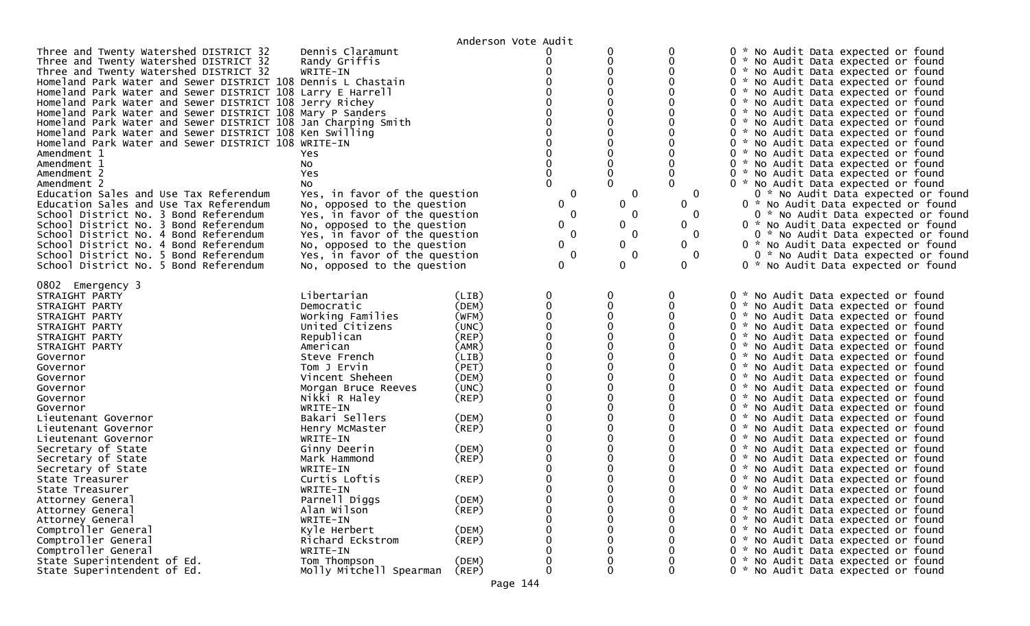|                                                                                                                                                                                                                                                                                                                                                                                                                                                                                                                                                                                                                                                                                                                                                                                                                                                                                                                                                                           |                                                                                                                                                                                                                                                                                                                                                                                                           | Anderson Vote Audit                                                                                                                                                                                |                                      |                                                                                                   |                                                  |                                                                                                                                                                                                                                                                                                                                                                                                                                                                                                                                                                                                                                                                                                                                                                                                                                                                                                                                                                                                             |
|---------------------------------------------------------------------------------------------------------------------------------------------------------------------------------------------------------------------------------------------------------------------------------------------------------------------------------------------------------------------------------------------------------------------------------------------------------------------------------------------------------------------------------------------------------------------------------------------------------------------------------------------------------------------------------------------------------------------------------------------------------------------------------------------------------------------------------------------------------------------------------------------------------------------------------------------------------------------------|-----------------------------------------------------------------------------------------------------------------------------------------------------------------------------------------------------------------------------------------------------------------------------------------------------------------------------------------------------------------------------------------------------------|----------------------------------------------------------------------------------------------------------------------------------------------------------------------------------------------------|--------------------------------------|---------------------------------------------------------------------------------------------------|--------------------------------------------------|-------------------------------------------------------------------------------------------------------------------------------------------------------------------------------------------------------------------------------------------------------------------------------------------------------------------------------------------------------------------------------------------------------------------------------------------------------------------------------------------------------------------------------------------------------------------------------------------------------------------------------------------------------------------------------------------------------------------------------------------------------------------------------------------------------------------------------------------------------------------------------------------------------------------------------------------------------------------------------------------------------------|
| Three and Twenty Watershed DISTRICT 32<br>Three and Twenty Watershed DISTRICT 32<br>Three and Twenty Watershed DISTRICT 32<br>Homeland Park Water and Sewer DISTRICT 108 Dennis L Chastain<br>Homeland Park Water and Sewer DISTRICT 108 Larry E Harrell<br>Homeland Park Water and Sewer DISTRICT 108 Jerry Richey<br>Homeland Park Water and Sewer DISTRICT 108 Mary P Sanders<br>Homeland Park Water and Sewer DISTRICT 108 Jan Charping Smith<br>Homeland Park Water and Sewer DISTRICT 108 Ken Swilling<br>Homeland Park Water and Sewer DISTRICT 108 WRITE-IN<br>Amendment 1<br>Amendment 1<br>Amendment 2<br>Amendment 2<br>Education Sales and Use Tax Referendum<br>Education Sales and Use Tax Referendum<br>School District No. 3 Bond Referendum<br>School District No. 3 Bond Referendum<br>School District No. 4 Bond Referendum<br>School District No. 4 Bond Referendum<br>School District No. 5 Bond Referendum<br>School District No. 5 Bond Referendum | Dennis Claramunt<br>Randy Griffis<br>WRITE-IN<br>Yes<br>No<br>Yes<br>No.<br>Yes, in favor of the question<br>No, opposed to the question<br>Yes, in favor of the question<br>No, opposed to the question<br>Yes, in favor of the question<br>No, opposed to the question<br>Yes, in favor of the question<br>No, opposed to the question                                                                  |                                                                                                                                                                                                    | 0<br>0<br>0<br>0<br>0<br>0<br>0<br>0 | 0<br>0<br>$\Omega$<br>$\Omega$<br>$\mathbf 0$<br>$\Omega$<br>0<br>0<br>0<br>0<br>0<br>0<br>0<br>0 | $\Omega$<br>0<br>0<br>0<br>0<br>0<br>0<br>0<br>0 | 0 * No Audit Data expected or found<br>0 * No Audit Data expected or found<br>0 * No Audit Data expected or found<br>0 * No Audit Data expected or found<br>0 * No Audit Data expected or found<br>0 * No Audit Data expected or found<br>0 * No Audit Data expected or found<br>0 * No Audit Data expected or found<br>0 * No Audit Data expected or found<br>0 * No Audit Data expected or found<br>0 * No Audit Data expected or found<br>0 * No Audit Data expected or found<br>0 * No Audit Data expected or found<br>0 * No Audit Data expected or found<br>0 * No Audit Data expected or found<br>0 * No Audit Data expected or found<br>0 * No Audit Data expected or found<br>0 * No Audit Data expected or found<br>0 * No Audit Data expected or found<br>0 * No Audit Data expected or found<br>0 * No Audit Data expected or found<br>0 * No Audit Data expected or found                                                                                                                      |
| 0802 Emergency 3<br>STRAIGHT PARTY<br>STRAIGHT PARTY<br>STRAIGHT PARTY<br>STRAIGHT PARTY<br>STRAIGHT PARTY<br>STRAIGHT PARTY<br>Governor<br>Governor<br>Governor<br>Governor<br>Governor<br>Governor<br>Lieutenant Governor<br>Lieutenant Governor<br>Lieutenant Governor<br>Secretary of State<br>Secretary of State<br>Secretary of State<br>State Treasurer<br>State Treasurer<br>Attorney General<br>Attorney General<br>Attorney General<br>Comptroller General<br>Comptroller General                                                                                                                                                                                                                                                                                                                                                                                                                                                                               | Libertarian<br>Democratic<br>Working Families<br>United Citizens<br>Republican<br>American<br>Steve French<br>Tom J Ervin<br>Vincent Sheheen<br>Morgan Bruce Reeves<br>Nikki R Haley<br>WRITE-IN<br>Bakari Sellers<br>Henry McMaster<br>WRITE-IN<br>Ginny Deerin<br>Mark Hammond<br>WRITE-IN<br>Curtis Loftis<br>WRITE-IN<br>Parnell Diggs<br>Alan Wilson<br>WRITE-IN<br>Kyle Herbert<br>Richard Eckstrom | (LIB)<br>(DEM)<br>(WFM)<br>(UNC)<br>(REP)<br>(AMR)<br>(LIB)<br>(PET)<br>(DEM)<br>(UNC)<br>$($ REP $)$<br>(DEM)<br>(REP)<br>(DEM)<br>(REP)<br>(REP)<br>(DEM)<br>$($ REP $)$<br>(DEM)<br>$($ REP $)$ | $\Omega$<br>∩                        | 0<br>$\mathbf 0$<br>0<br>$\Omega$<br>0<br>0<br>$\mathbf 0$<br>$\Omega$<br>0                       | 0                                                | 0 * No Audit Data expected or found<br>0 * No Audit Data expected or found<br>0 * No Audit Data expected or found<br>0 * No Audit Data expected or found<br>0 * No Audit Data expected or found<br>0 * No Audit Data expected or found<br>0 * No Audit Data expected or found<br>0 * No Audit Data expected or found<br>0 * No Audit Data expected or found<br>0 * No Audit Data expected or found<br>0 * No Audit Data expected or found<br>0 * No Audit Data expected or found<br>0 * No Audit Data expected or found<br>0 * No Audit Data expected or found<br>0 * No Audit Data expected or found<br>0 * No Audit Data expected or found<br>0 * No Audit Data expected or found<br>0 * No Audit Data expected or found<br>0 * No Audit Data expected or found<br>0 * No Audit Data expected or found<br>0 * No Audit Data expected or found<br>0 * No Audit Data expected or found<br>0 * No Audit Data expected or found<br>0 * No Audit Data expected or found<br>0 * No Audit Data expected or found |
| Comptroller General<br>State Superintendent of Ed.<br>State Superintendent of Ed.                                                                                                                                                                                                                                                                                                                                                                                                                                                                                                                                                                                                                                                                                                                                                                                                                                                                                         | WRITE-IN<br>Tom Thompson<br>Molly Mitchell Spearman                                                                                                                                                                                                                                                                                                                                                       | (DEM)<br>(REP)                                                                                                                                                                                     | 0                                    | $\Omega$<br>0<br>$\mathbf 0$                                                                      |                                                  | 0 * No Audit Data expected or found<br>0 * No Audit Data expected or found<br>0 * No Audit Data expected or found                                                                                                                                                                                                                                                                                                                                                                                                                                                                                                                                                                                                                                                                                                                                                                                                                                                                                           |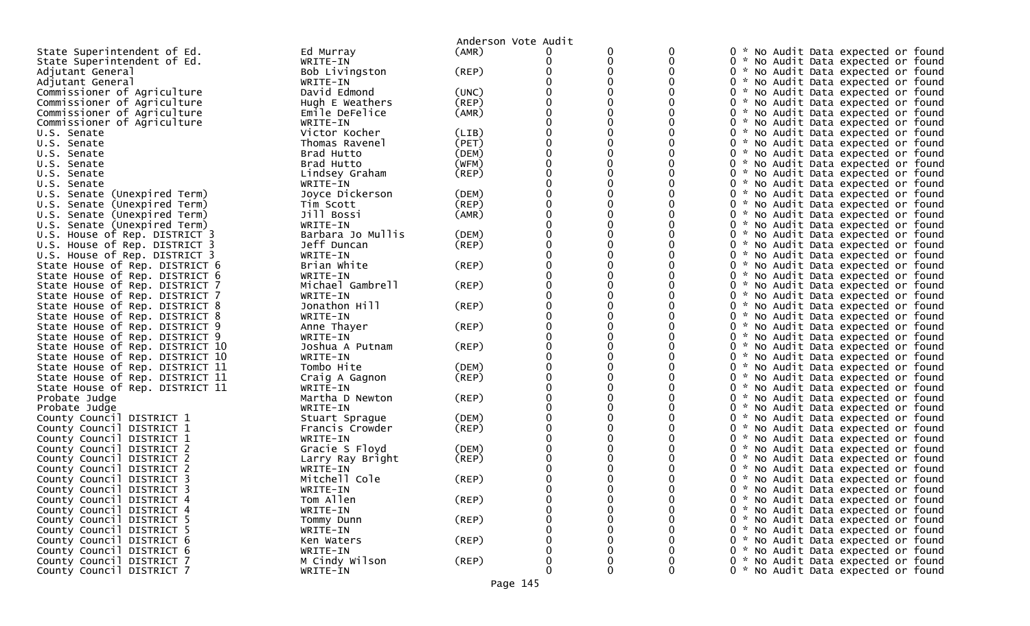| State Superintendent of Ed.<br>(AMR)<br>0<br>0<br>0<br>No Audit Data expected or found<br>Ed Murray<br>State Superintendent of Ed.<br>WRITE-IN<br>0<br>0<br>0 * No Audit Data expected or found<br>Bob Livingston<br>(REP)<br>0 * No Audit Data expected or found<br>Adjutant General<br>0 * No Audit Data expected or found<br>Adjutant General<br>WRITE-IN<br>Commissioner of Agriculture<br>David Edmond<br>0 * No Audit Data expected or found<br>(UNC)<br>(REP)<br>Commissioner of Agriculture<br>Hugh E Weathers<br>0 *<br>No Audit Data expected or found<br>Commissioner of Agriculture<br>Emile DeFelice<br>(AMR)<br>0 * No Audit Data expected or found<br>Commissioner of Agriculture<br>WRITE-IN<br>0 * No Audit Data expected or found<br>Victor Kocher<br>(LIB)<br>U.S. Senate<br>0 * No Audit Data expected or found<br>(PET)<br>Thomas Ravenel<br>0 * No Audit Data expected or found<br>U.S. Senate<br>(DEM)<br>Brad Hutto<br>0 * No Audit Data expected or found<br>U.S. Senate<br>(WFM)<br>Brad Hutto<br>0 * No Audit Data expected or found<br>U.S. Senate<br>(REP)<br>0 *<br>U.S. Senate<br>Lindsey Graham<br>No Audit Data expected or found<br>WRITE-IN<br>0 * No Audit Data expected or found<br>U.S. Senate<br>U.S. Senate (Unexpired Term)<br>(DEM)<br>Joyce Dickerson<br>0 * No Audit Data expected or found<br>(REP)<br>0 * No Audit Data expected or found<br>U.S. Senate (Unexpired Term)<br>Tim Scott<br>0<br>Jill Bossi<br>(AMR)<br>U.S. Senate (Unexpired Term)<br>0 * No Audit Data expected or found<br>WRITE-IN<br>0 * No Audit Data expected or found<br>U.S. Senate (Unexpired Term)<br>Barbara Jo Mullis<br>(DEM)<br>0 * No Audit Data expected or found<br>U.S. House of Rep. DISTRICT 3<br>Jeff Duncan<br>0<br>U.S. House of Rep. DISTRICT 3<br>(REP)<br>0 * No Audit Data expected or found<br>U.S. House of Rep. DISTRICT 3<br>0 * No Audit Data expected or found<br>WRITE-IN<br>$($ REP $)$<br>Brian White<br>State House of Rep. DISTRICT 6<br>0 * No Audit Data expected or found<br>State House of Rep. DISTRICT 6<br>WRITE-IN<br>0 * No Audit Data expected or found<br>Michael Gambrell<br>(REP)<br>State House of Rep. DISTRICT 7<br>0 * No Audit Data expected or found<br>0 * No Audit Data expected or found<br>State House of Rep. DISTRICT 7<br>WRITE-IN<br>Jonathon Hill<br>State House of Rep. DISTRICT 8<br>(REP)<br>0 * No Audit Data expected or found<br>0 * No Audit Data expected or found<br>State House of Rep. DISTRICT 8<br>WRITE-IN<br>Anne Thayer<br>(REP)<br>0 * No Audit Data expected or found<br>State House of Rep. DISTRICT 9<br>WRITE-IN<br>0 * No Audit Data expected or found<br>State House of Rep. DISTRICT 9<br>(REP)<br>0 * No Audit Data expected or found<br>State House of Rep. DISTRICT 10<br>Joshua A Putnam<br>0 *<br>State House of Rep. DISTRICT 10<br>WRITE-IN<br>No Audit Data expected or found<br>State House of Rep. DISTRICT 11<br>Tombo Hite<br>(DEM)<br>0 * No Audit Data expected or found<br>(REP)<br>State House of Rep. DISTRICT 11<br>0 * No Audit Data expected or found<br>Craig A Gagnon<br>0 * No Audit Data expected or found<br>State House of Rep. DISTRICT 11<br>WRITE-IN<br>Martha D Newton<br>(REP)<br>0 * No Audit Data expected or found<br>Probate Judge<br>Probate Judge<br>WRITE-IN<br>0 * No Audit Data expected or found<br>County Council DISTRICT 1<br>(DEM)<br>0 * No Audit Data expected or found<br>Stuart Sprague<br>County Council DISTRICT 1<br>(REP)<br>Francis Crowder<br>0 * No Audit Data expected or found<br>County Council DISTRICT 1<br>0 * No Audit Data expected or found<br>WRITE-IN<br>Gracie S Floyd<br>(DEM)<br>County Council DISTRICT 2<br>0 * No Audit Data expected or found<br>County Council DISTRICT 2<br>(REP)<br>0 * No Audit Data expected or found<br>Larry Ray Bright<br>County Council DISTRICT 2<br>WRITE-IN<br>0 *<br>No Audit Data expected or found<br>Mitchell Cole<br>County Council DISTRICT 3<br>(REP)<br>0<br>ж.,<br>No Audit Data expected or found<br>County Council DISTRICT 3<br>0 * No Audit Data expected or found<br>WRITE-IN<br>Tom Allen<br>$($ REP $)$<br>$\mathbf 0$<br>County Council DISTRICT 4<br>0<br>0 * No Audit Data expected or found<br>County Council DISTRICT 4<br>WRITE-IN<br>0<br>0 * No Audit Data expected or found<br>(REP)<br>0 * No Audit Data expected or found<br>County Council DISTRICT 5<br>0<br>Tommy Dunn<br>County Council DISTRICT 5<br>0 * No Audit Data expected or found<br>WRITE-IN<br>0 * No Audit Data expected or found<br>County Council DISTRICT 6<br>$($ REP $)$<br>Ken Waters<br>0 * No Audit Data expected or found<br>County Council DISTRICT 6<br>WRITE-IN<br>County Council DISTRICT 7<br>M Cindy Wilson<br>0<br>0<br>0 * No Audit Data expected or found<br>(REP)<br>0<br>0<br>0 |                           |          | Anderson Vote Audit |  |                                     |
|-------------------------------------------------------------------------------------------------------------------------------------------------------------------------------------------------------------------------------------------------------------------------------------------------------------------------------------------------------------------------------------------------------------------------------------------------------------------------------------------------------------------------------------------------------------------------------------------------------------------------------------------------------------------------------------------------------------------------------------------------------------------------------------------------------------------------------------------------------------------------------------------------------------------------------------------------------------------------------------------------------------------------------------------------------------------------------------------------------------------------------------------------------------------------------------------------------------------------------------------------------------------------------------------------------------------------------------------------------------------------------------------------------------------------------------------------------------------------------------------------------------------------------------------------------------------------------------------------------------------------------------------------------------------------------------------------------------------------------------------------------------------------------------------------------------------------------------------------------------------------------------------------------------------------------------------------------------------------------------------------------------------------------------------------------------------------------------------------------------------------------------------------------------------------------------------------------------------------------------------------------------------------------------------------------------------------------------------------------------------------------------------------------------------------------------------------------------------------------------------------------------------------------------------------------------------------------------------------------------------------------------------------------------------------------------------------------------------------------------------------------------------------------------------------------------------------------------------------------------------------------------------------------------------------------------------------------------------------------------------------------------------------------------------------------------------------------------------------------------------------------------------------------------------------------------------------------------------------------------------------------------------------------------------------------------------------------------------------------------------------------------------------------------------------------------------------------------------------------------------------------------------------------------------------------------------------------------------------------------------------------------------------------------------------------------------------------------------------------------------------------------------------------------------------------------------------------------------------------------------------------------------------------------------------------------------------------------------------------------------------------------------------------------------------------------------------------------------------------------------------------------------------------------------------------------------------------------------------------------------------------------------------------------------------------------------------------------------------------------------------------------------------------------------------------------------------------------------------------------------------------------------------------------------------------------------------------------------------------------------------------------------------------------------------------------------------------------------------------------------------------------------------------------------------------------|---------------------------|----------|---------------------|--|-------------------------------------|
|                                                                                                                                                                                                                                                                                                                                                                                                                                                                                                                                                                                                                                                                                                                                                                                                                                                                                                                                                                                                                                                                                                                                                                                                                                                                                                                                                                                                                                                                                                                                                                                                                                                                                                                                                                                                                                                                                                                                                                                                                                                                                                                                                                                                                                                                                                                                                                                                                                                                                                                                                                                                                                                                                                                                                                                                                                                                                                                                                                                                                                                                                                                                                                                                                                                                                                                                                                                                                                                                                                                                                                                                                                                                                                                                                                                                                                                                                                                                                                                                                                                                                                                                                                                                                                                                                                                                                                                                                                                                                                                                                                                                                                                                                                                                                                                                             |                           |          |                     |  |                                     |
|                                                                                                                                                                                                                                                                                                                                                                                                                                                                                                                                                                                                                                                                                                                                                                                                                                                                                                                                                                                                                                                                                                                                                                                                                                                                                                                                                                                                                                                                                                                                                                                                                                                                                                                                                                                                                                                                                                                                                                                                                                                                                                                                                                                                                                                                                                                                                                                                                                                                                                                                                                                                                                                                                                                                                                                                                                                                                                                                                                                                                                                                                                                                                                                                                                                                                                                                                                                                                                                                                                                                                                                                                                                                                                                                                                                                                                                                                                                                                                                                                                                                                                                                                                                                                                                                                                                                                                                                                                                                                                                                                                                                                                                                                                                                                                                                             |                           |          |                     |  |                                     |
|                                                                                                                                                                                                                                                                                                                                                                                                                                                                                                                                                                                                                                                                                                                                                                                                                                                                                                                                                                                                                                                                                                                                                                                                                                                                                                                                                                                                                                                                                                                                                                                                                                                                                                                                                                                                                                                                                                                                                                                                                                                                                                                                                                                                                                                                                                                                                                                                                                                                                                                                                                                                                                                                                                                                                                                                                                                                                                                                                                                                                                                                                                                                                                                                                                                                                                                                                                                                                                                                                                                                                                                                                                                                                                                                                                                                                                                                                                                                                                                                                                                                                                                                                                                                                                                                                                                                                                                                                                                                                                                                                                                                                                                                                                                                                                                                             |                           |          |                     |  |                                     |
|                                                                                                                                                                                                                                                                                                                                                                                                                                                                                                                                                                                                                                                                                                                                                                                                                                                                                                                                                                                                                                                                                                                                                                                                                                                                                                                                                                                                                                                                                                                                                                                                                                                                                                                                                                                                                                                                                                                                                                                                                                                                                                                                                                                                                                                                                                                                                                                                                                                                                                                                                                                                                                                                                                                                                                                                                                                                                                                                                                                                                                                                                                                                                                                                                                                                                                                                                                                                                                                                                                                                                                                                                                                                                                                                                                                                                                                                                                                                                                                                                                                                                                                                                                                                                                                                                                                                                                                                                                                                                                                                                                                                                                                                                                                                                                                                             |                           |          |                     |  |                                     |
|                                                                                                                                                                                                                                                                                                                                                                                                                                                                                                                                                                                                                                                                                                                                                                                                                                                                                                                                                                                                                                                                                                                                                                                                                                                                                                                                                                                                                                                                                                                                                                                                                                                                                                                                                                                                                                                                                                                                                                                                                                                                                                                                                                                                                                                                                                                                                                                                                                                                                                                                                                                                                                                                                                                                                                                                                                                                                                                                                                                                                                                                                                                                                                                                                                                                                                                                                                                                                                                                                                                                                                                                                                                                                                                                                                                                                                                                                                                                                                                                                                                                                                                                                                                                                                                                                                                                                                                                                                                                                                                                                                                                                                                                                                                                                                                                             |                           |          |                     |  |                                     |
|                                                                                                                                                                                                                                                                                                                                                                                                                                                                                                                                                                                                                                                                                                                                                                                                                                                                                                                                                                                                                                                                                                                                                                                                                                                                                                                                                                                                                                                                                                                                                                                                                                                                                                                                                                                                                                                                                                                                                                                                                                                                                                                                                                                                                                                                                                                                                                                                                                                                                                                                                                                                                                                                                                                                                                                                                                                                                                                                                                                                                                                                                                                                                                                                                                                                                                                                                                                                                                                                                                                                                                                                                                                                                                                                                                                                                                                                                                                                                                                                                                                                                                                                                                                                                                                                                                                                                                                                                                                                                                                                                                                                                                                                                                                                                                                                             |                           |          |                     |  |                                     |
|                                                                                                                                                                                                                                                                                                                                                                                                                                                                                                                                                                                                                                                                                                                                                                                                                                                                                                                                                                                                                                                                                                                                                                                                                                                                                                                                                                                                                                                                                                                                                                                                                                                                                                                                                                                                                                                                                                                                                                                                                                                                                                                                                                                                                                                                                                                                                                                                                                                                                                                                                                                                                                                                                                                                                                                                                                                                                                                                                                                                                                                                                                                                                                                                                                                                                                                                                                                                                                                                                                                                                                                                                                                                                                                                                                                                                                                                                                                                                                                                                                                                                                                                                                                                                                                                                                                                                                                                                                                                                                                                                                                                                                                                                                                                                                                                             |                           |          |                     |  |                                     |
|                                                                                                                                                                                                                                                                                                                                                                                                                                                                                                                                                                                                                                                                                                                                                                                                                                                                                                                                                                                                                                                                                                                                                                                                                                                                                                                                                                                                                                                                                                                                                                                                                                                                                                                                                                                                                                                                                                                                                                                                                                                                                                                                                                                                                                                                                                                                                                                                                                                                                                                                                                                                                                                                                                                                                                                                                                                                                                                                                                                                                                                                                                                                                                                                                                                                                                                                                                                                                                                                                                                                                                                                                                                                                                                                                                                                                                                                                                                                                                                                                                                                                                                                                                                                                                                                                                                                                                                                                                                                                                                                                                                                                                                                                                                                                                                                             |                           |          |                     |  |                                     |
|                                                                                                                                                                                                                                                                                                                                                                                                                                                                                                                                                                                                                                                                                                                                                                                                                                                                                                                                                                                                                                                                                                                                                                                                                                                                                                                                                                                                                                                                                                                                                                                                                                                                                                                                                                                                                                                                                                                                                                                                                                                                                                                                                                                                                                                                                                                                                                                                                                                                                                                                                                                                                                                                                                                                                                                                                                                                                                                                                                                                                                                                                                                                                                                                                                                                                                                                                                                                                                                                                                                                                                                                                                                                                                                                                                                                                                                                                                                                                                                                                                                                                                                                                                                                                                                                                                                                                                                                                                                                                                                                                                                                                                                                                                                                                                                                             |                           |          |                     |  |                                     |
|                                                                                                                                                                                                                                                                                                                                                                                                                                                                                                                                                                                                                                                                                                                                                                                                                                                                                                                                                                                                                                                                                                                                                                                                                                                                                                                                                                                                                                                                                                                                                                                                                                                                                                                                                                                                                                                                                                                                                                                                                                                                                                                                                                                                                                                                                                                                                                                                                                                                                                                                                                                                                                                                                                                                                                                                                                                                                                                                                                                                                                                                                                                                                                                                                                                                                                                                                                                                                                                                                                                                                                                                                                                                                                                                                                                                                                                                                                                                                                                                                                                                                                                                                                                                                                                                                                                                                                                                                                                                                                                                                                                                                                                                                                                                                                                                             |                           |          |                     |  |                                     |
|                                                                                                                                                                                                                                                                                                                                                                                                                                                                                                                                                                                                                                                                                                                                                                                                                                                                                                                                                                                                                                                                                                                                                                                                                                                                                                                                                                                                                                                                                                                                                                                                                                                                                                                                                                                                                                                                                                                                                                                                                                                                                                                                                                                                                                                                                                                                                                                                                                                                                                                                                                                                                                                                                                                                                                                                                                                                                                                                                                                                                                                                                                                                                                                                                                                                                                                                                                                                                                                                                                                                                                                                                                                                                                                                                                                                                                                                                                                                                                                                                                                                                                                                                                                                                                                                                                                                                                                                                                                                                                                                                                                                                                                                                                                                                                                                             |                           |          |                     |  |                                     |
|                                                                                                                                                                                                                                                                                                                                                                                                                                                                                                                                                                                                                                                                                                                                                                                                                                                                                                                                                                                                                                                                                                                                                                                                                                                                                                                                                                                                                                                                                                                                                                                                                                                                                                                                                                                                                                                                                                                                                                                                                                                                                                                                                                                                                                                                                                                                                                                                                                                                                                                                                                                                                                                                                                                                                                                                                                                                                                                                                                                                                                                                                                                                                                                                                                                                                                                                                                                                                                                                                                                                                                                                                                                                                                                                                                                                                                                                                                                                                                                                                                                                                                                                                                                                                                                                                                                                                                                                                                                                                                                                                                                                                                                                                                                                                                                                             |                           |          |                     |  |                                     |
|                                                                                                                                                                                                                                                                                                                                                                                                                                                                                                                                                                                                                                                                                                                                                                                                                                                                                                                                                                                                                                                                                                                                                                                                                                                                                                                                                                                                                                                                                                                                                                                                                                                                                                                                                                                                                                                                                                                                                                                                                                                                                                                                                                                                                                                                                                                                                                                                                                                                                                                                                                                                                                                                                                                                                                                                                                                                                                                                                                                                                                                                                                                                                                                                                                                                                                                                                                                                                                                                                                                                                                                                                                                                                                                                                                                                                                                                                                                                                                                                                                                                                                                                                                                                                                                                                                                                                                                                                                                                                                                                                                                                                                                                                                                                                                                                             |                           |          |                     |  |                                     |
|                                                                                                                                                                                                                                                                                                                                                                                                                                                                                                                                                                                                                                                                                                                                                                                                                                                                                                                                                                                                                                                                                                                                                                                                                                                                                                                                                                                                                                                                                                                                                                                                                                                                                                                                                                                                                                                                                                                                                                                                                                                                                                                                                                                                                                                                                                                                                                                                                                                                                                                                                                                                                                                                                                                                                                                                                                                                                                                                                                                                                                                                                                                                                                                                                                                                                                                                                                                                                                                                                                                                                                                                                                                                                                                                                                                                                                                                                                                                                                                                                                                                                                                                                                                                                                                                                                                                                                                                                                                                                                                                                                                                                                                                                                                                                                                                             |                           |          |                     |  |                                     |
|                                                                                                                                                                                                                                                                                                                                                                                                                                                                                                                                                                                                                                                                                                                                                                                                                                                                                                                                                                                                                                                                                                                                                                                                                                                                                                                                                                                                                                                                                                                                                                                                                                                                                                                                                                                                                                                                                                                                                                                                                                                                                                                                                                                                                                                                                                                                                                                                                                                                                                                                                                                                                                                                                                                                                                                                                                                                                                                                                                                                                                                                                                                                                                                                                                                                                                                                                                                                                                                                                                                                                                                                                                                                                                                                                                                                                                                                                                                                                                                                                                                                                                                                                                                                                                                                                                                                                                                                                                                                                                                                                                                                                                                                                                                                                                                                             |                           |          |                     |  |                                     |
|                                                                                                                                                                                                                                                                                                                                                                                                                                                                                                                                                                                                                                                                                                                                                                                                                                                                                                                                                                                                                                                                                                                                                                                                                                                                                                                                                                                                                                                                                                                                                                                                                                                                                                                                                                                                                                                                                                                                                                                                                                                                                                                                                                                                                                                                                                                                                                                                                                                                                                                                                                                                                                                                                                                                                                                                                                                                                                                                                                                                                                                                                                                                                                                                                                                                                                                                                                                                                                                                                                                                                                                                                                                                                                                                                                                                                                                                                                                                                                                                                                                                                                                                                                                                                                                                                                                                                                                                                                                                                                                                                                                                                                                                                                                                                                                                             |                           |          |                     |  |                                     |
|                                                                                                                                                                                                                                                                                                                                                                                                                                                                                                                                                                                                                                                                                                                                                                                                                                                                                                                                                                                                                                                                                                                                                                                                                                                                                                                                                                                                                                                                                                                                                                                                                                                                                                                                                                                                                                                                                                                                                                                                                                                                                                                                                                                                                                                                                                                                                                                                                                                                                                                                                                                                                                                                                                                                                                                                                                                                                                                                                                                                                                                                                                                                                                                                                                                                                                                                                                                                                                                                                                                                                                                                                                                                                                                                                                                                                                                                                                                                                                                                                                                                                                                                                                                                                                                                                                                                                                                                                                                                                                                                                                                                                                                                                                                                                                                                             |                           |          |                     |  |                                     |
|                                                                                                                                                                                                                                                                                                                                                                                                                                                                                                                                                                                                                                                                                                                                                                                                                                                                                                                                                                                                                                                                                                                                                                                                                                                                                                                                                                                                                                                                                                                                                                                                                                                                                                                                                                                                                                                                                                                                                                                                                                                                                                                                                                                                                                                                                                                                                                                                                                                                                                                                                                                                                                                                                                                                                                                                                                                                                                                                                                                                                                                                                                                                                                                                                                                                                                                                                                                                                                                                                                                                                                                                                                                                                                                                                                                                                                                                                                                                                                                                                                                                                                                                                                                                                                                                                                                                                                                                                                                                                                                                                                                                                                                                                                                                                                                                             |                           |          |                     |  |                                     |
|                                                                                                                                                                                                                                                                                                                                                                                                                                                                                                                                                                                                                                                                                                                                                                                                                                                                                                                                                                                                                                                                                                                                                                                                                                                                                                                                                                                                                                                                                                                                                                                                                                                                                                                                                                                                                                                                                                                                                                                                                                                                                                                                                                                                                                                                                                                                                                                                                                                                                                                                                                                                                                                                                                                                                                                                                                                                                                                                                                                                                                                                                                                                                                                                                                                                                                                                                                                                                                                                                                                                                                                                                                                                                                                                                                                                                                                                                                                                                                                                                                                                                                                                                                                                                                                                                                                                                                                                                                                                                                                                                                                                                                                                                                                                                                                                             |                           |          |                     |  |                                     |
|                                                                                                                                                                                                                                                                                                                                                                                                                                                                                                                                                                                                                                                                                                                                                                                                                                                                                                                                                                                                                                                                                                                                                                                                                                                                                                                                                                                                                                                                                                                                                                                                                                                                                                                                                                                                                                                                                                                                                                                                                                                                                                                                                                                                                                                                                                                                                                                                                                                                                                                                                                                                                                                                                                                                                                                                                                                                                                                                                                                                                                                                                                                                                                                                                                                                                                                                                                                                                                                                                                                                                                                                                                                                                                                                                                                                                                                                                                                                                                                                                                                                                                                                                                                                                                                                                                                                                                                                                                                                                                                                                                                                                                                                                                                                                                                                             |                           |          |                     |  |                                     |
|                                                                                                                                                                                                                                                                                                                                                                                                                                                                                                                                                                                                                                                                                                                                                                                                                                                                                                                                                                                                                                                                                                                                                                                                                                                                                                                                                                                                                                                                                                                                                                                                                                                                                                                                                                                                                                                                                                                                                                                                                                                                                                                                                                                                                                                                                                                                                                                                                                                                                                                                                                                                                                                                                                                                                                                                                                                                                                                                                                                                                                                                                                                                                                                                                                                                                                                                                                                                                                                                                                                                                                                                                                                                                                                                                                                                                                                                                                                                                                                                                                                                                                                                                                                                                                                                                                                                                                                                                                                                                                                                                                                                                                                                                                                                                                                                             |                           |          |                     |  |                                     |
|                                                                                                                                                                                                                                                                                                                                                                                                                                                                                                                                                                                                                                                                                                                                                                                                                                                                                                                                                                                                                                                                                                                                                                                                                                                                                                                                                                                                                                                                                                                                                                                                                                                                                                                                                                                                                                                                                                                                                                                                                                                                                                                                                                                                                                                                                                                                                                                                                                                                                                                                                                                                                                                                                                                                                                                                                                                                                                                                                                                                                                                                                                                                                                                                                                                                                                                                                                                                                                                                                                                                                                                                                                                                                                                                                                                                                                                                                                                                                                                                                                                                                                                                                                                                                                                                                                                                                                                                                                                                                                                                                                                                                                                                                                                                                                                                             |                           |          |                     |  |                                     |
|                                                                                                                                                                                                                                                                                                                                                                                                                                                                                                                                                                                                                                                                                                                                                                                                                                                                                                                                                                                                                                                                                                                                                                                                                                                                                                                                                                                                                                                                                                                                                                                                                                                                                                                                                                                                                                                                                                                                                                                                                                                                                                                                                                                                                                                                                                                                                                                                                                                                                                                                                                                                                                                                                                                                                                                                                                                                                                                                                                                                                                                                                                                                                                                                                                                                                                                                                                                                                                                                                                                                                                                                                                                                                                                                                                                                                                                                                                                                                                                                                                                                                                                                                                                                                                                                                                                                                                                                                                                                                                                                                                                                                                                                                                                                                                                                             |                           |          |                     |  |                                     |
|                                                                                                                                                                                                                                                                                                                                                                                                                                                                                                                                                                                                                                                                                                                                                                                                                                                                                                                                                                                                                                                                                                                                                                                                                                                                                                                                                                                                                                                                                                                                                                                                                                                                                                                                                                                                                                                                                                                                                                                                                                                                                                                                                                                                                                                                                                                                                                                                                                                                                                                                                                                                                                                                                                                                                                                                                                                                                                                                                                                                                                                                                                                                                                                                                                                                                                                                                                                                                                                                                                                                                                                                                                                                                                                                                                                                                                                                                                                                                                                                                                                                                                                                                                                                                                                                                                                                                                                                                                                                                                                                                                                                                                                                                                                                                                                                             |                           |          |                     |  |                                     |
|                                                                                                                                                                                                                                                                                                                                                                                                                                                                                                                                                                                                                                                                                                                                                                                                                                                                                                                                                                                                                                                                                                                                                                                                                                                                                                                                                                                                                                                                                                                                                                                                                                                                                                                                                                                                                                                                                                                                                                                                                                                                                                                                                                                                                                                                                                                                                                                                                                                                                                                                                                                                                                                                                                                                                                                                                                                                                                                                                                                                                                                                                                                                                                                                                                                                                                                                                                                                                                                                                                                                                                                                                                                                                                                                                                                                                                                                                                                                                                                                                                                                                                                                                                                                                                                                                                                                                                                                                                                                                                                                                                                                                                                                                                                                                                                                             |                           |          |                     |  |                                     |
|                                                                                                                                                                                                                                                                                                                                                                                                                                                                                                                                                                                                                                                                                                                                                                                                                                                                                                                                                                                                                                                                                                                                                                                                                                                                                                                                                                                                                                                                                                                                                                                                                                                                                                                                                                                                                                                                                                                                                                                                                                                                                                                                                                                                                                                                                                                                                                                                                                                                                                                                                                                                                                                                                                                                                                                                                                                                                                                                                                                                                                                                                                                                                                                                                                                                                                                                                                                                                                                                                                                                                                                                                                                                                                                                                                                                                                                                                                                                                                                                                                                                                                                                                                                                                                                                                                                                                                                                                                                                                                                                                                                                                                                                                                                                                                                                             |                           |          |                     |  |                                     |
|                                                                                                                                                                                                                                                                                                                                                                                                                                                                                                                                                                                                                                                                                                                                                                                                                                                                                                                                                                                                                                                                                                                                                                                                                                                                                                                                                                                                                                                                                                                                                                                                                                                                                                                                                                                                                                                                                                                                                                                                                                                                                                                                                                                                                                                                                                                                                                                                                                                                                                                                                                                                                                                                                                                                                                                                                                                                                                                                                                                                                                                                                                                                                                                                                                                                                                                                                                                                                                                                                                                                                                                                                                                                                                                                                                                                                                                                                                                                                                                                                                                                                                                                                                                                                                                                                                                                                                                                                                                                                                                                                                                                                                                                                                                                                                                                             |                           |          |                     |  |                                     |
|                                                                                                                                                                                                                                                                                                                                                                                                                                                                                                                                                                                                                                                                                                                                                                                                                                                                                                                                                                                                                                                                                                                                                                                                                                                                                                                                                                                                                                                                                                                                                                                                                                                                                                                                                                                                                                                                                                                                                                                                                                                                                                                                                                                                                                                                                                                                                                                                                                                                                                                                                                                                                                                                                                                                                                                                                                                                                                                                                                                                                                                                                                                                                                                                                                                                                                                                                                                                                                                                                                                                                                                                                                                                                                                                                                                                                                                                                                                                                                                                                                                                                                                                                                                                                                                                                                                                                                                                                                                                                                                                                                                                                                                                                                                                                                                                             |                           |          |                     |  |                                     |
|                                                                                                                                                                                                                                                                                                                                                                                                                                                                                                                                                                                                                                                                                                                                                                                                                                                                                                                                                                                                                                                                                                                                                                                                                                                                                                                                                                                                                                                                                                                                                                                                                                                                                                                                                                                                                                                                                                                                                                                                                                                                                                                                                                                                                                                                                                                                                                                                                                                                                                                                                                                                                                                                                                                                                                                                                                                                                                                                                                                                                                                                                                                                                                                                                                                                                                                                                                                                                                                                                                                                                                                                                                                                                                                                                                                                                                                                                                                                                                                                                                                                                                                                                                                                                                                                                                                                                                                                                                                                                                                                                                                                                                                                                                                                                                                                             |                           |          |                     |  |                                     |
|                                                                                                                                                                                                                                                                                                                                                                                                                                                                                                                                                                                                                                                                                                                                                                                                                                                                                                                                                                                                                                                                                                                                                                                                                                                                                                                                                                                                                                                                                                                                                                                                                                                                                                                                                                                                                                                                                                                                                                                                                                                                                                                                                                                                                                                                                                                                                                                                                                                                                                                                                                                                                                                                                                                                                                                                                                                                                                                                                                                                                                                                                                                                                                                                                                                                                                                                                                                                                                                                                                                                                                                                                                                                                                                                                                                                                                                                                                                                                                                                                                                                                                                                                                                                                                                                                                                                                                                                                                                                                                                                                                                                                                                                                                                                                                                                             |                           |          |                     |  |                                     |
|                                                                                                                                                                                                                                                                                                                                                                                                                                                                                                                                                                                                                                                                                                                                                                                                                                                                                                                                                                                                                                                                                                                                                                                                                                                                                                                                                                                                                                                                                                                                                                                                                                                                                                                                                                                                                                                                                                                                                                                                                                                                                                                                                                                                                                                                                                                                                                                                                                                                                                                                                                                                                                                                                                                                                                                                                                                                                                                                                                                                                                                                                                                                                                                                                                                                                                                                                                                                                                                                                                                                                                                                                                                                                                                                                                                                                                                                                                                                                                                                                                                                                                                                                                                                                                                                                                                                                                                                                                                                                                                                                                                                                                                                                                                                                                                                             |                           |          |                     |  |                                     |
|                                                                                                                                                                                                                                                                                                                                                                                                                                                                                                                                                                                                                                                                                                                                                                                                                                                                                                                                                                                                                                                                                                                                                                                                                                                                                                                                                                                                                                                                                                                                                                                                                                                                                                                                                                                                                                                                                                                                                                                                                                                                                                                                                                                                                                                                                                                                                                                                                                                                                                                                                                                                                                                                                                                                                                                                                                                                                                                                                                                                                                                                                                                                                                                                                                                                                                                                                                                                                                                                                                                                                                                                                                                                                                                                                                                                                                                                                                                                                                                                                                                                                                                                                                                                                                                                                                                                                                                                                                                                                                                                                                                                                                                                                                                                                                                                             |                           |          |                     |  |                                     |
|                                                                                                                                                                                                                                                                                                                                                                                                                                                                                                                                                                                                                                                                                                                                                                                                                                                                                                                                                                                                                                                                                                                                                                                                                                                                                                                                                                                                                                                                                                                                                                                                                                                                                                                                                                                                                                                                                                                                                                                                                                                                                                                                                                                                                                                                                                                                                                                                                                                                                                                                                                                                                                                                                                                                                                                                                                                                                                                                                                                                                                                                                                                                                                                                                                                                                                                                                                                                                                                                                                                                                                                                                                                                                                                                                                                                                                                                                                                                                                                                                                                                                                                                                                                                                                                                                                                                                                                                                                                                                                                                                                                                                                                                                                                                                                                                             |                           |          |                     |  |                                     |
|                                                                                                                                                                                                                                                                                                                                                                                                                                                                                                                                                                                                                                                                                                                                                                                                                                                                                                                                                                                                                                                                                                                                                                                                                                                                                                                                                                                                                                                                                                                                                                                                                                                                                                                                                                                                                                                                                                                                                                                                                                                                                                                                                                                                                                                                                                                                                                                                                                                                                                                                                                                                                                                                                                                                                                                                                                                                                                                                                                                                                                                                                                                                                                                                                                                                                                                                                                                                                                                                                                                                                                                                                                                                                                                                                                                                                                                                                                                                                                                                                                                                                                                                                                                                                                                                                                                                                                                                                                                                                                                                                                                                                                                                                                                                                                                                             |                           |          |                     |  |                                     |
|                                                                                                                                                                                                                                                                                                                                                                                                                                                                                                                                                                                                                                                                                                                                                                                                                                                                                                                                                                                                                                                                                                                                                                                                                                                                                                                                                                                                                                                                                                                                                                                                                                                                                                                                                                                                                                                                                                                                                                                                                                                                                                                                                                                                                                                                                                                                                                                                                                                                                                                                                                                                                                                                                                                                                                                                                                                                                                                                                                                                                                                                                                                                                                                                                                                                                                                                                                                                                                                                                                                                                                                                                                                                                                                                                                                                                                                                                                                                                                                                                                                                                                                                                                                                                                                                                                                                                                                                                                                                                                                                                                                                                                                                                                                                                                                                             |                           |          |                     |  |                                     |
|                                                                                                                                                                                                                                                                                                                                                                                                                                                                                                                                                                                                                                                                                                                                                                                                                                                                                                                                                                                                                                                                                                                                                                                                                                                                                                                                                                                                                                                                                                                                                                                                                                                                                                                                                                                                                                                                                                                                                                                                                                                                                                                                                                                                                                                                                                                                                                                                                                                                                                                                                                                                                                                                                                                                                                                                                                                                                                                                                                                                                                                                                                                                                                                                                                                                                                                                                                                                                                                                                                                                                                                                                                                                                                                                                                                                                                                                                                                                                                                                                                                                                                                                                                                                                                                                                                                                                                                                                                                                                                                                                                                                                                                                                                                                                                                                             |                           |          |                     |  |                                     |
|                                                                                                                                                                                                                                                                                                                                                                                                                                                                                                                                                                                                                                                                                                                                                                                                                                                                                                                                                                                                                                                                                                                                                                                                                                                                                                                                                                                                                                                                                                                                                                                                                                                                                                                                                                                                                                                                                                                                                                                                                                                                                                                                                                                                                                                                                                                                                                                                                                                                                                                                                                                                                                                                                                                                                                                                                                                                                                                                                                                                                                                                                                                                                                                                                                                                                                                                                                                                                                                                                                                                                                                                                                                                                                                                                                                                                                                                                                                                                                                                                                                                                                                                                                                                                                                                                                                                                                                                                                                                                                                                                                                                                                                                                                                                                                                                             |                           |          |                     |  |                                     |
|                                                                                                                                                                                                                                                                                                                                                                                                                                                                                                                                                                                                                                                                                                                                                                                                                                                                                                                                                                                                                                                                                                                                                                                                                                                                                                                                                                                                                                                                                                                                                                                                                                                                                                                                                                                                                                                                                                                                                                                                                                                                                                                                                                                                                                                                                                                                                                                                                                                                                                                                                                                                                                                                                                                                                                                                                                                                                                                                                                                                                                                                                                                                                                                                                                                                                                                                                                                                                                                                                                                                                                                                                                                                                                                                                                                                                                                                                                                                                                                                                                                                                                                                                                                                                                                                                                                                                                                                                                                                                                                                                                                                                                                                                                                                                                                                             |                           |          |                     |  |                                     |
|                                                                                                                                                                                                                                                                                                                                                                                                                                                                                                                                                                                                                                                                                                                                                                                                                                                                                                                                                                                                                                                                                                                                                                                                                                                                                                                                                                                                                                                                                                                                                                                                                                                                                                                                                                                                                                                                                                                                                                                                                                                                                                                                                                                                                                                                                                                                                                                                                                                                                                                                                                                                                                                                                                                                                                                                                                                                                                                                                                                                                                                                                                                                                                                                                                                                                                                                                                                                                                                                                                                                                                                                                                                                                                                                                                                                                                                                                                                                                                                                                                                                                                                                                                                                                                                                                                                                                                                                                                                                                                                                                                                                                                                                                                                                                                                                             |                           |          |                     |  |                                     |
|                                                                                                                                                                                                                                                                                                                                                                                                                                                                                                                                                                                                                                                                                                                                                                                                                                                                                                                                                                                                                                                                                                                                                                                                                                                                                                                                                                                                                                                                                                                                                                                                                                                                                                                                                                                                                                                                                                                                                                                                                                                                                                                                                                                                                                                                                                                                                                                                                                                                                                                                                                                                                                                                                                                                                                                                                                                                                                                                                                                                                                                                                                                                                                                                                                                                                                                                                                                                                                                                                                                                                                                                                                                                                                                                                                                                                                                                                                                                                                                                                                                                                                                                                                                                                                                                                                                                                                                                                                                                                                                                                                                                                                                                                                                                                                                                             |                           |          |                     |  |                                     |
|                                                                                                                                                                                                                                                                                                                                                                                                                                                                                                                                                                                                                                                                                                                                                                                                                                                                                                                                                                                                                                                                                                                                                                                                                                                                                                                                                                                                                                                                                                                                                                                                                                                                                                                                                                                                                                                                                                                                                                                                                                                                                                                                                                                                                                                                                                                                                                                                                                                                                                                                                                                                                                                                                                                                                                                                                                                                                                                                                                                                                                                                                                                                                                                                                                                                                                                                                                                                                                                                                                                                                                                                                                                                                                                                                                                                                                                                                                                                                                                                                                                                                                                                                                                                                                                                                                                                                                                                                                                                                                                                                                                                                                                                                                                                                                                                             |                           |          |                     |  |                                     |
|                                                                                                                                                                                                                                                                                                                                                                                                                                                                                                                                                                                                                                                                                                                                                                                                                                                                                                                                                                                                                                                                                                                                                                                                                                                                                                                                                                                                                                                                                                                                                                                                                                                                                                                                                                                                                                                                                                                                                                                                                                                                                                                                                                                                                                                                                                                                                                                                                                                                                                                                                                                                                                                                                                                                                                                                                                                                                                                                                                                                                                                                                                                                                                                                                                                                                                                                                                                                                                                                                                                                                                                                                                                                                                                                                                                                                                                                                                                                                                                                                                                                                                                                                                                                                                                                                                                                                                                                                                                                                                                                                                                                                                                                                                                                                                                                             |                           |          |                     |  |                                     |
|                                                                                                                                                                                                                                                                                                                                                                                                                                                                                                                                                                                                                                                                                                                                                                                                                                                                                                                                                                                                                                                                                                                                                                                                                                                                                                                                                                                                                                                                                                                                                                                                                                                                                                                                                                                                                                                                                                                                                                                                                                                                                                                                                                                                                                                                                                                                                                                                                                                                                                                                                                                                                                                                                                                                                                                                                                                                                                                                                                                                                                                                                                                                                                                                                                                                                                                                                                                                                                                                                                                                                                                                                                                                                                                                                                                                                                                                                                                                                                                                                                                                                                                                                                                                                                                                                                                                                                                                                                                                                                                                                                                                                                                                                                                                                                                                             |                           |          |                     |  |                                     |
|                                                                                                                                                                                                                                                                                                                                                                                                                                                                                                                                                                                                                                                                                                                                                                                                                                                                                                                                                                                                                                                                                                                                                                                                                                                                                                                                                                                                                                                                                                                                                                                                                                                                                                                                                                                                                                                                                                                                                                                                                                                                                                                                                                                                                                                                                                                                                                                                                                                                                                                                                                                                                                                                                                                                                                                                                                                                                                                                                                                                                                                                                                                                                                                                                                                                                                                                                                                                                                                                                                                                                                                                                                                                                                                                                                                                                                                                                                                                                                                                                                                                                                                                                                                                                                                                                                                                                                                                                                                                                                                                                                                                                                                                                                                                                                                                             |                           |          |                     |  |                                     |
|                                                                                                                                                                                                                                                                                                                                                                                                                                                                                                                                                                                                                                                                                                                                                                                                                                                                                                                                                                                                                                                                                                                                                                                                                                                                                                                                                                                                                                                                                                                                                                                                                                                                                                                                                                                                                                                                                                                                                                                                                                                                                                                                                                                                                                                                                                                                                                                                                                                                                                                                                                                                                                                                                                                                                                                                                                                                                                                                                                                                                                                                                                                                                                                                                                                                                                                                                                                                                                                                                                                                                                                                                                                                                                                                                                                                                                                                                                                                                                                                                                                                                                                                                                                                                                                                                                                                                                                                                                                                                                                                                                                                                                                                                                                                                                                                             |                           |          |                     |  |                                     |
|                                                                                                                                                                                                                                                                                                                                                                                                                                                                                                                                                                                                                                                                                                                                                                                                                                                                                                                                                                                                                                                                                                                                                                                                                                                                                                                                                                                                                                                                                                                                                                                                                                                                                                                                                                                                                                                                                                                                                                                                                                                                                                                                                                                                                                                                                                                                                                                                                                                                                                                                                                                                                                                                                                                                                                                                                                                                                                                                                                                                                                                                                                                                                                                                                                                                                                                                                                                                                                                                                                                                                                                                                                                                                                                                                                                                                                                                                                                                                                                                                                                                                                                                                                                                                                                                                                                                                                                                                                                                                                                                                                                                                                                                                                                                                                                                             |                           |          |                     |  |                                     |
|                                                                                                                                                                                                                                                                                                                                                                                                                                                                                                                                                                                                                                                                                                                                                                                                                                                                                                                                                                                                                                                                                                                                                                                                                                                                                                                                                                                                                                                                                                                                                                                                                                                                                                                                                                                                                                                                                                                                                                                                                                                                                                                                                                                                                                                                                                                                                                                                                                                                                                                                                                                                                                                                                                                                                                                                                                                                                                                                                                                                                                                                                                                                                                                                                                                                                                                                                                                                                                                                                                                                                                                                                                                                                                                                                                                                                                                                                                                                                                                                                                                                                                                                                                                                                                                                                                                                                                                                                                                                                                                                                                                                                                                                                                                                                                                                             |                           |          |                     |  |                                     |
|                                                                                                                                                                                                                                                                                                                                                                                                                                                                                                                                                                                                                                                                                                                                                                                                                                                                                                                                                                                                                                                                                                                                                                                                                                                                                                                                                                                                                                                                                                                                                                                                                                                                                                                                                                                                                                                                                                                                                                                                                                                                                                                                                                                                                                                                                                                                                                                                                                                                                                                                                                                                                                                                                                                                                                                                                                                                                                                                                                                                                                                                                                                                                                                                                                                                                                                                                                                                                                                                                                                                                                                                                                                                                                                                                                                                                                                                                                                                                                                                                                                                                                                                                                                                                                                                                                                                                                                                                                                                                                                                                                                                                                                                                                                                                                                                             |                           |          |                     |  |                                     |
|                                                                                                                                                                                                                                                                                                                                                                                                                                                                                                                                                                                                                                                                                                                                                                                                                                                                                                                                                                                                                                                                                                                                                                                                                                                                                                                                                                                                                                                                                                                                                                                                                                                                                                                                                                                                                                                                                                                                                                                                                                                                                                                                                                                                                                                                                                                                                                                                                                                                                                                                                                                                                                                                                                                                                                                                                                                                                                                                                                                                                                                                                                                                                                                                                                                                                                                                                                                                                                                                                                                                                                                                                                                                                                                                                                                                                                                                                                                                                                                                                                                                                                                                                                                                                                                                                                                                                                                                                                                                                                                                                                                                                                                                                                                                                                                                             |                           |          |                     |  |                                     |
|                                                                                                                                                                                                                                                                                                                                                                                                                                                                                                                                                                                                                                                                                                                                                                                                                                                                                                                                                                                                                                                                                                                                                                                                                                                                                                                                                                                                                                                                                                                                                                                                                                                                                                                                                                                                                                                                                                                                                                                                                                                                                                                                                                                                                                                                                                                                                                                                                                                                                                                                                                                                                                                                                                                                                                                                                                                                                                                                                                                                                                                                                                                                                                                                                                                                                                                                                                                                                                                                                                                                                                                                                                                                                                                                                                                                                                                                                                                                                                                                                                                                                                                                                                                                                                                                                                                                                                                                                                                                                                                                                                                                                                                                                                                                                                                                             |                           |          |                     |  |                                     |
|                                                                                                                                                                                                                                                                                                                                                                                                                                                                                                                                                                                                                                                                                                                                                                                                                                                                                                                                                                                                                                                                                                                                                                                                                                                                                                                                                                                                                                                                                                                                                                                                                                                                                                                                                                                                                                                                                                                                                                                                                                                                                                                                                                                                                                                                                                                                                                                                                                                                                                                                                                                                                                                                                                                                                                                                                                                                                                                                                                                                                                                                                                                                                                                                                                                                                                                                                                                                                                                                                                                                                                                                                                                                                                                                                                                                                                                                                                                                                                                                                                                                                                                                                                                                                                                                                                                                                                                                                                                                                                                                                                                                                                                                                                                                                                                                             |                           |          |                     |  |                                     |
|                                                                                                                                                                                                                                                                                                                                                                                                                                                                                                                                                                                                                                                                                                                                                                                                                                                                                                                                                                                                                                                                                                                                                                                                                                                                                                                                                                                                                                                                                                                                                                                                                                                                                                                                                                                                                                                                                                                                                                                                                                                                                                                                                                                                                                                                                                                                                                                                                                                                                                                                                                                                                                                                                                                                                                                                                                                                                                                                                                                                                                                                                                                                                                                                                                                                                                                                                                                                                                                                                                                                                                                                                                                                                                                                                                                                                                                                                                                                                                                                                                                                                                                                                                                                                                                                                                                                                                                                                                                                                                                                                                                                                                                                                                                                                                                                             | County Council DISTRICT 7 | WRITE-IN |                     |  | 0 * No Audit Data expected or found |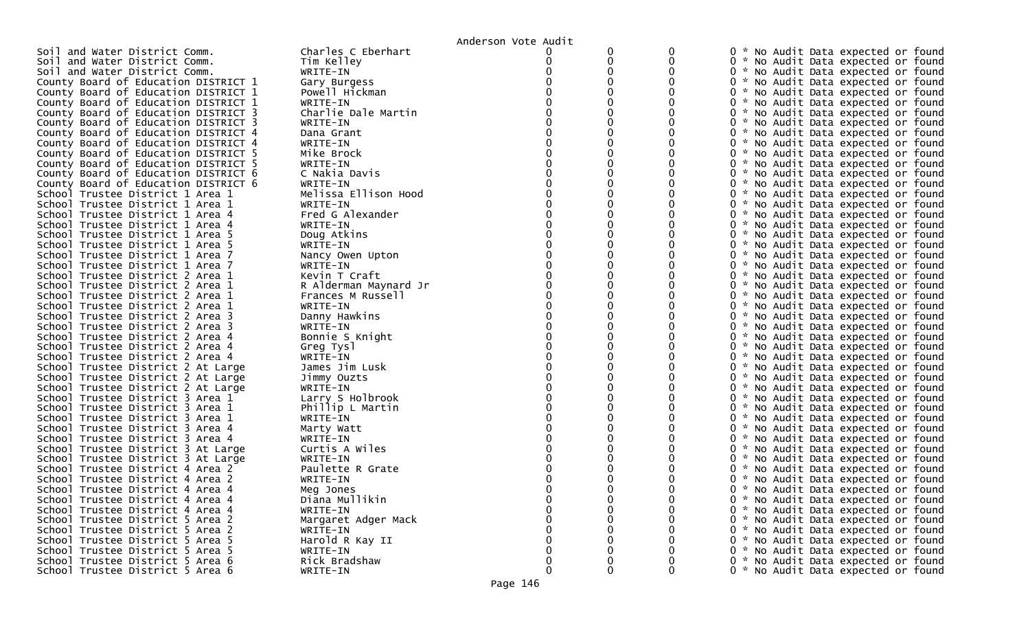|                                      |                       | Anderson Vote Audit |   |             |                                               |
|--------------------------------------|-----------------------|---------------------|---|-------------|-----------------------------------------------|
| Soil and Water District Comm.        | Charles C Eberhart    |                     |   |             | * No Audit Data expected or found<br>0        |
| Soil and Water District Comm.        | Tim Kelley            |                     | 0 | 0           | 0 * No Audit Data expected or found           |
| Soil and Water District Comm.        | WRITE-IN              |                     |   |             | 0 * No Audit Data expected or found           |
| County Board of Education DISTRICT 1 | Gary Burgess          |                     |   |             | * No Audit Data expected or found             |
| County Board of Education DISTRICT 1 | Powell Hickman        |                     |   |             | 0 * No Audit Data expected or found           |
| County Board of Education DISTRICT 1 | WRITE-IN              |                     |   |             | 0 * No Audit Data expected or found           |
| County Board of Education DISTRICT 3 | Charlie Dale Martin   |                     |   |             | 0 * No Audit Data expected or found           |
| County Board of Education DISTRICT 3 | WRITE-IN              |                     |   |             | 0 * No Audit Data expected or found           |
| County Board of Education DISTRICT 4 | Dana Grant            |                     |   |             | 0 * No Audit Data expected or found           |
| County Board of Education DISTRICT 4 | WRITE-IN              |                     |   |             | 0 * No Audit Data expected or found           |
| County Board of Education DISTRICT 5 | Mike Brock            |                     |   |             | 0 * No Audit Data expected or found           |
| County Board of Education DISTRICT 5 | WRITE-IN              |                     |   |             | 0 * No Audit Data expected or found           |
| County Board of Education DISTRICT 6 | C Nakia Davis         |                     |   |             | 0 * No Audit Data expected or found           |
| County Board of Education DISTRICT 6 | WRITE-IN              |                     |   |             | 0 * No Audit Data expected or found           |
| School Trustee District 1 Area 1     | Melissa Ellison Hood  |                     |   |             | 0 * No Audit Data expected or found           |
| School Trustee District 1 Area 1     | WRITE-IN              |                     |   |             | 0 * No Audit Data expected or found           |
| School Trustee District 1 Area 4     | Fred G Alexander      |                     |   |             | 0 * No Audit Data expected or found           |
| School Trustee District 1 Area 4     | WRITE-IN              |                     |   |             | 0 * No Audit Data expected or found           |
| School Trustee District 1 Area 5     | Doug Atkins           |                     |   |             | 0 * No Audit Data expected or found           |
| School Trustee District 1 Area 5     | WRITE-IN              |                     |   |             | 0 * No Audit Data expected or found           |
| School Trustee District 1 Area 7     | Nancy Owen Upton      |                     |   |             | 0 * No Audit Data expected or found           |
| School Trustee District 1 Area 7     | WRITE-IN              |                     |   |             | 0 * No Audit Data expected or found           |
| School Trustee District 2 Area 1     | Kevin T Craft         |                     |   |             | 0 * No Audit Data expected or found           |
| School Trustee District 2 Area 1     | R Alderman Maynard Jr |                     |   |             | 0 * No Audit Data expected or found           |
| School Trustee District 2 Area 1     | Frances M Russell     |                     |   |             | 0 * No Audit Data expected or found           |
| School Trustee District 2 Area 1     | WRITE-IN              |                     |   |             | 0 * No Audit Data expected or found           |
| School Trustee District 2 Area 3     | Danny Hawkins         |                     |   |             | 0 * No Audit Data expected or found           |
| School Trustee District 2 Area 3     | WRITE-IN              |                     |   |             | 0 * No Audit Data expected or found           |
| School Trustee District 2 Area 4     | Bonnie S Knight       |                     |   |             | 0 * No Audit Data expected or found           |
| School Trustee District 2 Area 4     | Greg Tysl             |                     |   |             | 0 * No Audit Data expected or found           |
| School Trustee District 2 Area 4     | WRITE-IN              |                     |   |             | 0 * No Audit Data expected or found           |
| School Trustee District 2 At Large   | James Jim Lusk        |                     |   |             | * No Audit Data expected or found<br>0        |
| School Trustee District 2 At Large   | Jimmy Ouzts           |                     |   |             | 0 * No Audit Data expected or found           |
| School Trustee District 2 At Large   | WRITE-IN              |                     |   |             | 0 * No Audit Data expected or found           |
| School Trustee District 3 Area 1     | Larry S Holbrook      |                     |   |             | 0 * No Audit Data expected or found           |
| School Trustee District 3 Area 1     | Phillip L Martin      |                     |   |             | 0 * No Audit Data expected or found           |
| School Trustee District 3 Area 1     | WRITE-IN              |                     |   |             | 0 * No Audit Data expected or found           |
| School Trustee District 3 Area 4     | Marty Watt            |                     |   |             | $\Omega$<br>* No Audit Data expected or found |
| School Trustee District 3 Area 4     | WRITE-IN              |                     |   |             | 0 * No Audit Data expected or found           |
| School Trustee District 3 At Large   | Curtis A Wiles        |                     |   |             | 0 * No Audit Data expected or found           |
| School Trustee District 3 At Large   | WRITE-IN              |                     |   |             | $\Omega$<br>* No Audit Data expected or found |
| School Trustee District 4 Area 2     | Paulette R Grate      |                     |   |             | * No Audit Data expected or found             |
| School Trustee District 4 Area 2     | WRITE-IN              |                     |   |             | 0<br>* No Audit Data expected or found        |
| School Trustee District 4 Area 4     | Meg Jones             |                     |   |             | 0<br>* No Audit Data expected or found        |
| School Trustee District 4 Area 4     | Diana Mullikin        |                     |   | $\mathbf 0$ | 0 * No Audit Data expected or found           |
| School Trustee District 4 Area 4     | WRITE-IN              |                     |   | 0           | 0 * No Audit Data expected or found           |
| School Trustee District 5 Area 2     | Margaret Adger Mack   |                     |   |             | 0 * No Audit Data expected or found           |
| School Trustee District 5 Area 2     | WRITE-IN              |                     |   |             | 0 * No Audit Data expected or found           |
| School Trustee District 5 Area 5     | Harold R Kay II       |                     |   |             | 0 * No Audit Data expected or found           |
| School Trustee District 5 Area 5     | WRITE-IN              |                     |   |             | 0 * No Audit Data expected or found           |
| School Trustee District 5 Area 6     | Rick Bradshaw         |                     |   |             | 0 * No Audit Data expected or found           |
| School Trustee District 5 Area 6     | WRITE-IN              | $\Omega$            | 0 | 0           | 0 * No Audit Data expected or found           |
|                                      |                       |                     |   |             |                                               |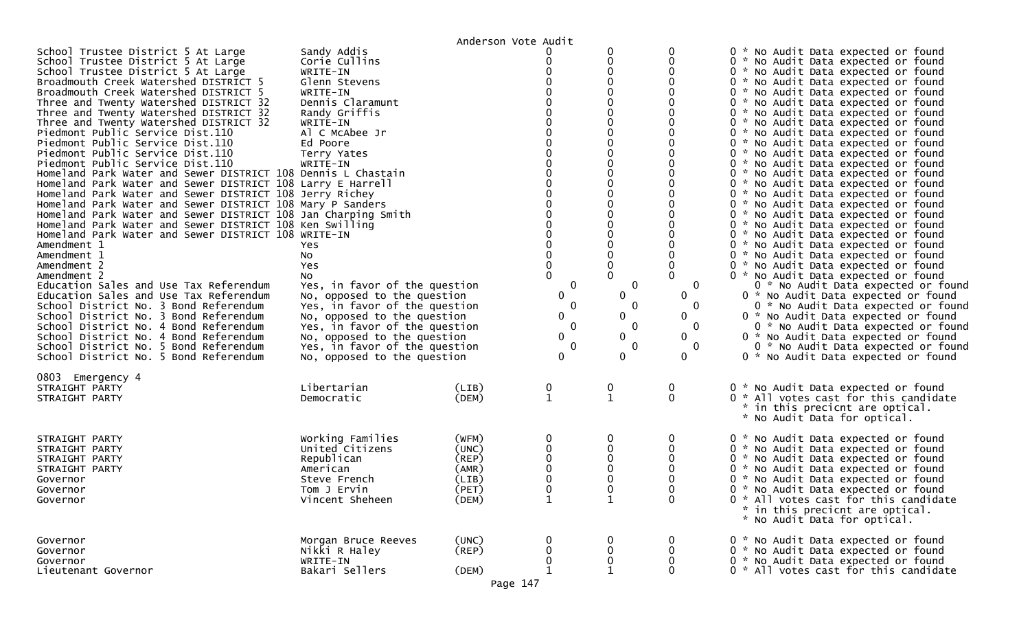|                                                                                                                                                                                                                                                                                                                                                                                                                                                                                                                                                                                                                                                                                                                                                                                                                                                                                                                                                                                                                                                                                                                                                                                                                                                                                                                               |                                                                                                                                                                                                                                                                                                                                                                                                                                                                             | Anderson Vote Audit                                         |                                                               |                                                                                                          |                                                                      |                                                                                                                                                                                                                                                                                                                                                                                                                                                                                                                                                                                                                                                                                                                                                                                                                                                                                                                                                                                                                                                                                                                                                                                                                                                       |
|-------------------------------------------------------------------------------------------------------------------------------------------------------------------------------------------------------------------------------------------------------------------------------------------------------------------------------------------------------------------------------------------------------------------------------------------------------------------------------------------------------------------------------------------------------------------------------------------------------------------------------------------------------------------------------------------------------------------------------------------------------------------------------------------------------------------------------------------------------------------------------------------------------------------------------------------------------------------------------------------------------------------------------------------------------------------------------------------------------------------------------------------------------------------------------------------------------------------------------------------------------------------------------------------------------------------------------|-----------------------------------------------------------------------------------------------------------------------------------------------------------------------------------------------------------------------------------------------------------------------------------------------------------------------------------------------------------------------------------------------------------------------------------------------------------------------------|-------------------------------------------------------------|---------------------------------------------------------------|----------------------------------------------------------------------------------------------------------|----------------------------------------------------------------------|-------------------------------------------------------------------------------------------------------------------------------------------------------------------------------------------------------------------------------------------------------------------------------------------------------------------------------------------------------------------------------------------------------------------------------------------------------------------------------------------------------------------------------------------------------------------------------------------------------------------------------------------------------------------------------------------------------------------------------------------------------------------------------------------------------------------------------------------------------------------------------------------------------------------------------------------------------------------------------------------------------------------------------------------------------------------------------------------------------------------------------------------------------------------------------------------------------------------------------------------------------|
| School Trustee District 5 At Large<br>School Trustee District 5 At Large<br>School Trustee District 5 At Large<br>Broadmouth Creek Watershed DISTRICT 5<br>Broadmouth Creek Watershed DISTRICT 5<br>Three and Twenty Watershed DISTRICT 32<br>Three and Twenty Watershed DISTRICT 32<br>Three and Twenty Watershed DISTRICT 32<br>Piedmont Public Service Dist.110<br>Piedmont Public Service Dist.110<br>Piedmont Public Service Dist.110<br>Piedmont Public Service Dist.110<br>Homeland Park Water and Sewer DISTRICT 108 Dennis L Chastain<br>Homeland Park Water and Sewer DISTRICT 108 Larry E Harrell<br>Homeland Park Water and Sewer DISTRICT 108 Jerry Richey<br>Homeland Park Water and Sewer DISTRICT 108 Mary P Sanders<br>Homeland Park Water and Sewer DISTRICT 108 Jan Charping Smith<br>Homeland Park Water and Sewer DISTRICT 108 Ken Swilling<br>Homeland Park Water and Sewer DISTRICT 108 WRITE-IN<br>Amendment 1<br>Amendment 1<br>Amendment 2<br>Amendment 2<br>Education Sales and Use Tax Referendum<br>Education Sales and Use Tax Referendum<br>School District No. 3 Bond Referendum<br>School District No. 3 Bond Referendum<br>School District No. 4 Bond Referendum<br>School District No. 4 Bond Referendum<br>School District No. 5 Bond Referendum<br>School District No. 5 Bond Referendum | Sandy Addis<br>Corie Cullins<br>WRITE-IN<br>Glenn Stevens<br>WRITE-IN<br>Dennis Claramunt<br>Randy Griffis<br>WRITE-IN<br>Al C McAbee Jr<br>Ed Poore<br>Terry Yates<br>WRITE-IN<br>Yes.<br>No<br>Yes<br>No.<br>Yes, in favor of the question<br>No, opposed to the question<br>Yes, in favor of the question<br>No, opposed to the question<br>Yes, in favor of the question<br>No, opposed to the question<br>Yes, in favor of the question<br>No, opposed to the question |                                                             | 0<br>$\mathbf 0$<br>0<br>0<br>0<br>$\mathbf 0$<br>0<br>0<br>0 | 0<br>0<br>0<br>0<br>0<br>0<br>$\mathbf{0}$<br>0<br>$\mathbf{0}$<br>0<br>$\mathbf{0}$<br>0<br>$\mathbf 0$ | 0<br>O<br>0<br>0<br>0<br>$\mathbf{0}$<br>0<br>0<br>0<br>$\mathbf{0}$ | 0 * No Audit Data expected or found<br>0 * No Audit Data expected or found<br>0 * No Audit Data expected or found<br>0 * No Audit Data expected or found<br>0 * No Audit Data expected or found<br>0 * No Audit Data expected or found<br>0 * No Audit Data expected or found<br>0 * No Audit Data expected or found<br>0 * No Audit Data expected or found<br>0 * No Audit Data expected or found<br>0 * No Audit Data expected or found<br>0 * No Audit Data expected or found<br>0 * No Audit Data expected or found<br>0 * No Audit Data expected or found<br>0 * No Audit Data expected or found<br>0 * No Audit Data expected or found<br>0 * No Audit Data expected or found<br>0 * No Audit Data expected or found<br>0 * No Audit Data expected or found<br>0 * No Audit Data expected or found<br>0 * No Audit Data expected or found<br>0 * No Audit Data expected or found<br>0 * No Audit Data expected or found<br>0 * No Audit Data expected or found<br>0 * No Audit Data expected or found<br>0 * No Audit Data expected or found<br>0 * No Audit Data expected or found<br>0 * No Audit Data expected or found<br>0 * No Audit Data expected or found<br>0 * No Audit Data expected or found<br>0 * No Audit Data expected or found |
| 0803 Emergency 4<br>STRAIGHT PARTY<br>STRAIGHT PARTY                                                                                                                                                                                                                                                                                                                                                                                                                                                                                                                                                                                                                                                                                                                                                                                                                                                                                                                                                                                                                                                                                                                                                                                                                                                                          | Libertarian<br>Democratic                                                                                                                                                                                                                                                                                                                                                                                                                                                   | (LIB)<br>(DEM)                                              | 0<br>$\mathbf{1}$                                             | 0<br>$\mathbf 1$                                                                                         | 0<br>$\mathbf{0}$                                                    | 0 * No Audit Data expected or found<br>0 * All votes cast for this candidate<br>* in this precicnt are optical.<br>* No Audit Data for optical.                                                                                                                                                                                                                                                                                                                                                                                                                                                                                                                                                                                                                                                                                                                                                                                                                                                                                                                                                                                                                                                                                                       |
| STRAIGHT PARTY<br>STRAIGHT PARTY<br>STRAIGHT PARTY<br>STRAIGHT PARTY<br>Governor<br>Governor<br>Governor                                                                                                                                                                                                                                                                                                                                                                                                                                                                                                                                                                                                                                                                                                                                                                                                                                                                                                                                                                                                                                                                                                                                                                                                                      | Working Families<br>United Citizens<br>Republican<br>American<br>Steve French<br>Tom J Ervin<br>Vincent Sheheen                                                                                                                                                                                                                                                                                                                                                             | (WFM)<br>(UNC)<br>(REP)<br>(AMR)<br>(LIB)<br>(PET)<br>(DEM) | 0<br>0<br>∩<br>$\mathbf{1}$                                   | 0<br>0                                                                                                   | O<br>$\Omega$                                                        | 0 * No Audit Data expected or found<br>0 * No Audit Data expected or found<br>0 * No Audit Data expected or found<br>0 * No Audit Data expected or found<br>0 * No Audit Data expected or found<br>0 * No Audit Data expected or found<br>0 * All votes cast for this candidate<br>* in this precicnt are optical.<br>* No Audit Data for optical.                                                                                                                                                                                                                                                                                                                                                                                                                                                                                                                                                                                                                                                                                                                                                                                                                                                                                                    |
| Governor<br>Governor<br>Governor<br>Lieutenant Governor                                                                                                                                                                                                                                                                                                                                                                                                                                                                                                                                                                                                                                                                                                                                                                                                                                                                                                                                                                                                                                                                                                                                                                                                                                                                       | Morgan Bruce Reeves<br>Nikki R Haley<br>WRITE-IN<br>Bakari Sellers                                                                                                                                                                                                                                                                                                                                                                                                          | (UNC)<br>(REP)<br>(DEM)                                     | 0<br>0<br>0                                                   | 0<br>0                                                                                                   | 0<br>0<br>0<br>0                                                     | 0 * No Audit Data expected or found<br>0 * No Audit Data expected or found<br>0 * No Audit Data expected or found<br>0 * All votes cast for this candidate                                                                                                                                                                                                                                                                                                                                                                                                                                                                                                                                                                                                                                                                                                                                                                                                                                                                                                                                                                                                                                                                                            |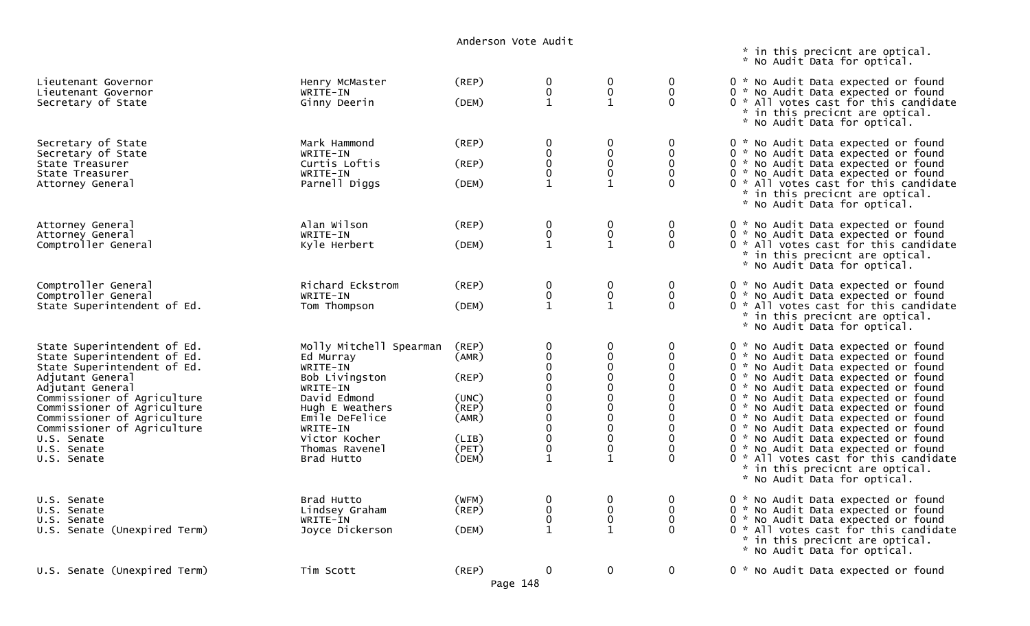\* in this precicnt are optical.

|                                                                                                                                                                                                                                                                                                            |                                                                                                                                                                                                  |                                                                                     |                                                                                                                                                                                                              |                                                                                                   |                                                                                                                      | * No Audit Data for optical.                                                                                                                                                                                                                                                                                                                                                                                                                                                                                                                          |
|------------------------------------------------------------------------------------------------------------------------------------------------------------------------------------------------------------------------------------------------------------------------------------------------------------|--------------------------------------------------------------------------------------------------------------------------------------------------------------------------------------------------|-------------------------------------------------------------------------------------|--------------------------------------------------------------------------------------------------------------------------------------------------------------------------------------------------------------|---------------------------------------------------------------------------------------------------|----------------------------------------------------------------------------------------------------------------------|-------------------------------------------------------------------------------------------------------------------------------------------------------------------------------------------------------------------------------------------------------------------------------------------------------------------------------------------------------------------------------------------------------------------------------------------------------------------------------------------------------------------------------------------------------|
| Lieutenant Governor<br>Lieutenant Governor<br>Secretary of State                                                                                                                                                                                                                                           | Henry McMaster<br>WRITE-IN<br>Ginny Deerin                                                                                                                                                       | (REP)<br>(DEM)                                                                      | $\mathbf 0$<br>$\pmb{0}$<br>$\mathbf{1}$                                                                                                                                                                     | 0<br>$\pmb{0}$<br>$\mathbf{1}$                                                                    | 0<br>$\mathbf 0$<br>$\mathbf{0}$                                                                                     | 0 * No Audit Data expected or found<br>0 * No Audit Data expected or found<br>0 * All votes cast for this candidate<br>* in this precicnt are optical.<br>* No Audit Data for optical.                                                                                                                                                                                                                                                                                                                                                                |
| Secretary of State<br>Secretary of State<br>State Treasurer<br>State Treasurer<br>Attorney General                                                                                                                                                                                                         | Mark Hammond<br>WRITE-IN<br>Curtis Loftis<br>WRITE-IN<br>Parnell Diggs                                                                                                                           | (REP)<br>(REP)<br>(DEM)                                                             | 0<br>$\pmb{0}$<br>$\pmb{0}$<br>$\mathbf 0$<br>$\mathbf{1}$                                                                                                                                                   | 0<br>0<br>0<br>$\mathbf 0$<br>$\mathbf{1}$                                                        | $\mathbf 0$<br>$\mathbf{0}$<br>$\mathbf 0$<br>$\mathbf 0$<br>$\Omega$                                                | 0 * No Audit Data expected or found<br>0 * No Audit Data expected or found<br>0 * No Audit Data expected or found<br>0 * No Audit Data expected or found<br>0 * All votes cast for this candidate<br>* in this precicnt are optical.<br>* No Audit Data for optical.                                                                                                                                                                                                                                                                                  |
| Attorney General<br>Attorney General<br>Comptroller General                                                                                                                                                                                                                                                | Alan Wilson<br>WRITE-IN<br>Kyle Herbert                                                                                                                                                          | (REP)<br>(DEM)                                                                      | $\pmb{0}$<br>$\pmb{0}$<br>$\mathbf{1}$                                                                                                                                                                       | $\pmb{0}$<br>$\pmb{0}$<br>$\mathbf{1}$                                                            | $\mathbf 0$<br>$\mathbf 0$<br>$\Omega$                                                                               | 0 * No Audit Data expected or found<br>0 * No Audit Data expected or found<br>0 * All votes cast for this candidate<br>* in this precicnt are optical.<br>* No Audit Data for optical.                                                                                                                                                                                                                                                                                                                                                                |
| Comptroller General<br>Comptroller General<br>State Superintendent of Ed.                                                                                                                                                                                                                                  | Richard Eckstrom<br>WRITE-IN<br>Tom Thompson                                                                                                                                                     | (REP)<br>(DEM)                                                                      | 0<br>$\pmb{0}$<br>$\mathbf{1}$                                                                                                                                                                               | 0<br>$\pmb{0}$<br>$\mathbf{1}$                                                                    | 0<br>$\mathbf 0$<br>$\mathbf{0}$                                                                                     | 0 * No Audit Data expected or found<br>0 * No Audit Data expected or found<br>0 * All votes cast for this candidate<br>* in this precicnt are optical.<br>* No Audit Data for optical.                                                                                                                                                                                                                                                                                                                                                                |
| State Superintendent of Ed.<br>State Superintendent of Ed.<br>State Superintendent of Ed.<br>Adjutant General<br>Adjutant General<br>Commissioner of Agriculture<br>Commissioner of Agriculture<br>Commissioner of Agriculture<br>Commissioner of Agriculture<br>U.S. Senate<br>U.S. Senate<br>U.S. Senate | Molly Mitchell Spearman<br>Ed Murray<br>WRITE-IN<br>Bob Livingston<br>WRITE-IN<br>David Edmond<br>Hugh E Weathers<br>Emile DeFelice<br>WRITE-IN<br>Victor Kocher<br>Thomas Ravenel<br>Brad Hutto | (REP)<br>(AMR)<br>(REP)<br>(UNC)<br>$($ REP $)$<br>(AMR)<br>(LIB)<br>(PET)<br>(DEM) | $\mathbf 0$<br>$\ddot{\mathbf{0}}$<br>$\begin{smallmatrix} 0\\0 \end{smallmatrix}$<br>$\mathbf 0$<br>$\overline{0}$<br>$0$<br>$\begin{matrix} 0 \\ 0 \end{matrix}$<br>$\pmb{0}$<br>$\pmb{0}$<br>$\mathbf{1}$ | 0<br>0<br>0<br>$\mathbf 0$<br>0<br>0<br>$\mathbf 0$<br>$\mathbf 0$<br>0<br>0<br>0<br>$\mathbf{1}$ | 0<br>0<br>$\Omega$<br>$\Omega$<br>$\Omega$<br>$\Omega$<br>$\Omega$<br>0<br>$\mathbf{0}$<br>$\Omega$<br>0<br>$\Omega$ | 0 * No Audit Data expected or found<br>0 * No Audit Data expected or found<br>0 * No Audit Data expected or found<br>0 * No Audit Data expected or found<br>0 * No Audit Data expected or found<br>0 * No Audit Data expected or found<br>0 * No Audit Data expected or found<br>0 * No Audit Data expected or found<br>0 * No Audit Data expected or found<br>0 * No Audit Data expected or found<br>0 * No Audit Data expected or found<br>0 * All votes cast for this candidate<br>* in this precicnt are optical.<br>* No Audit Data for optical. |
| U.S. Senate<br>U.S. Senate<br>U.S. Senate<br>U.S. Senate (Unexpired Term)                                                                                                                                                                                                                                  | Brad Hutto<br>Lindsey Graham<br>WRITE-IN<br>Joyce Dickerson                                                                                                                                      | (WFM)<br>(REP)<br>(DEM)                                                             | $\mathbf 0$<br>$\pmb{0}$<br>$\pmb{0}$<br>$\mathbf{1}$                                                                                                                                                        | 0<br>0<br>$\pmb{0}$<br>$\mathbf{1}$                                                               | 0<br>0<br>$\mathbf 0$<br>$\Omega$                                                                                    | 0 * No Audit Data expected or found<br>0 * No Audit Data expected or found<br>0 * No Audit Data expected or found<br>0 * All votes cast for this candidate<br>* in this precicnt are optical.<br>* No Audit Data for optical.                                                                                                                                                                                                                                                                                                                         |
| U.S. Senate (Unexpired Term)                                                                                                                                                                                                                                                                               | Tim Scott                                                                                                                                                                                        | (REP)                                                                               | $\mathbf 0$<br>Page 148                                                                                                                                                                                      | 0                                                                                                 | $\mathbf 0$                                                                                                          | 0 * No Audit Data expected or found                                                                                                                                                                                                                                                                                                                                                                                                                                                                                                                   |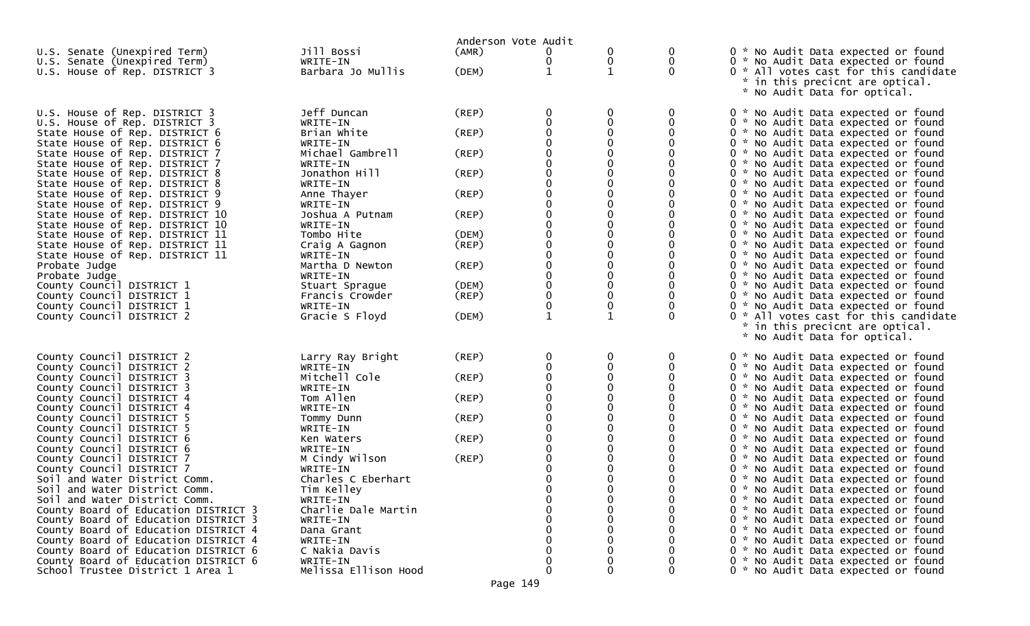|                                                                  |                                | Anderson Vote Audit |                  |              |          |                                                                            |
|------------------------------------------------------------------|--------------------------------|---------------------|------------------|--------------|----------|----------------------------------------------------------------------------|
| U.S. Senate (Unexpired Term)                                     | Jill Bossi                     | (AMR)               | 0                | 0            | 0        | 0 * No Audit Data expected or found                                        |
| U.S. Senate (Unexpired Term)                                     | WRITE-IN                       |                     | $\bf{0}$         | 0            | 0        | 0 * No Audit Data expected or found                                        |
| U.S. House of Rep. DISTRICT 3                                    | Barbara Jo Mullis              | (DEM)               | $\mathbf{1}$     | $\mathbf{1}$ | $\Omega$ | 0 * All votes cast for this candidate                                      |
|                                                                  |                                |                     |                  |              |          | *.<br>in this precicnt are optical.                                        |
|                                                                  |                                |                     |                  |              |          | * No Audit Data for optical.                                               |
|                                                                  |                                |                     |                  |              |          |                                                                            |
| U.S. House of Rep. DISTRICT 3                                    | Jeff Duncan                    | (REP)               |                  | 0            | 0        | 0 * No Audit Data expected or found                                        |
| U.S. House of Rep. DISTRICT 3                                    | WRITE-IN                       |                     |                  |              | 0        | 0 * No Audit Data expected or found                                        |
| State House of Rep. DISTRICT 6                                   | Brian White                    | (REP)               |                  | $\Omega$     |          | 0 * No Audit Data expected or found                                        |
| State House of Rep. DISTRICT 6<br>State House of Rep. DISTRICT 7 | WRITE-IN                       |                     |                  |              |          | 0 * No Audit Data expected or found                                        |
| State House of Rep. DISTRICT 7                                   | Michael Gambrell               | (REP)               |                  |              |          | 0 * No Audit Data expected or found                                        |
|                                                                  | WRITE-IN<br>Jonathon Hill      | (REP)               |                  |              |          | 0 * No Audit Data expected or found<br>0 * No Audit Data expected or found |
| State House of Rep. DISTRICT 8<br>State House of Rep. DISTRICT 8 | WRITE-IN                       |                     |                  |              |          | 0 * No Audit Data expected or found                                        |
| State House of Rep. DISTRICT 9                                   | Anne Thayer                    | (REP)               |                  |              |          | 0 * No Audit Data expected or found                                        |
| State House of Rep. DISTRICT 9                                   | WRITE-IN                       |                     |                  |              |          | 0 * No Audit Data expected or found                                        |
| State House of Rep. DISTRICT 10                                  | Joshua A Putnam                | (REP)               | ∩                |              |          | 0 * No Audit Data expected or found                                        |
| State House of Rep. DISTRICT 10                                  | WRITE-IN                       |                     |                  |              |          | 0 * No Audit Data expected or found                                        |
| State House of Rep. DISTRICT 11                                  | Tombo Hite                     | (DEM)               |                  |              |          | 0 * No Audit Data expected or found                                        |
| State House of Rep. DISTRICT 11                                  | Craig A Gagnon                 | (REP)               | $\Omega$         |              |          | 0 * No Audit Data expected or found                                        |
| State House of Rep. DISTRICT 11                                  | WRITE-IN                       |                     |                  |              |          | 0 * No Audit Data expected or found                                        |
| Probate Judge                                                    | Martha D Newton                | (REP)               |                  |              |          | 0 * No Audit Data expected or found                                        |
| Probate Judge                                                    | WRITE-IN                       |                     | $\Omega$         |              |          | 0 * No Audit Data expected or found                                        |
| County Council DISTRICT 1                                        | Stuart Sprague                 | (DEM)               | $\mathbf 0$      | 0            |          | 0 * No Audit Data expected or found                                        |
| County Council DISTRICT 1                                        | Francis Crowder                | (REP)               | $\boldsymbol{0}$ | 0            |          | 0 * No Audit Data expected or found                                        |
| County Council DISTRICT 1                                        | WRITE-IN                       |                     |                  | 0            |          | 0 * No Audit Data expected or found                                        |
| County Council DISTRICT 2                                        | Gracie S Floyd                 | (DEM)               | $\mathbf 1$      | $\mathbf{1}$ | $\Omega$ | 0 * All votes cast for this candidate                                      |
|                                                                  |                                |                     |                  |              |          | * in this precicnt are optical.                                            |
|                                                                  |                                |                     |                  |              |          | * No Audit Data for optical.                                               |
|                                                                  |                                |                     |                  |              |          |                                                                            |
| County Council DISTRICT 2                                        | Larry Ray Bright               | (REP)               | 0                | 0            | 0        | 0 * No Audit Data expected or found                                        |
| County Council DISTRICT 2                                        | WRITE-IN                       |                     |                  |              | 0        | 0 * No Audit Data expected or found                                        |
| County Council DISTRICT 3                                        | Mitchell Cole                  | (REP)               |                  | 0            |          | 0 * No Audit Data expected or found                                        |
| County Council DISTRICT 3                                        | WRITE-IN                       |                     |                  |              |          | 0 * No Audit Data expected or found                                        |
| County Council DISTRICT 4                                        | Tom Allen                      | (REP)               |                  |              |          | 0 * No Audit Data expected or found                                        |
| County Council DISTRICT 4                                        | WRITE-IN                       |                     |                  |              |          | 0 * No Audit Data expected or found                                        |
| County Council DISTRICT 5                                        | Tommy Dunn                     | (REP)               |                  |              |          | 0 * No Audit Data expected or found                                        |
| County Council DISTRICT 5                                        | WRITE-IN                       |                     |                  |              |          | 0 * No Audit Data expected or found                                        |
| County Council DISTRICT 6                                        | Ken Waters                     | (REP)               |                  |              |          | 0 * No Audit Data expected or found                                        |
| County Council DISTRICT 6                                        | WRITE-IN                       |                     |                  |              |          | 0 * No Audit Data expected or found                                        |
| County Council DISTRICT 7                                        | M Cindy Wilson                 | (REP)               |                  |              |          | 0 * No Audit Data expected or found<br>0 * No Audit Data expected or found |
| County Council DISTRICT 7<br>Soil and Water District Comm.       | WRITE-IN<br>Charles C Eberhart |                     |                  |              |          | 0 * No Audit Data expected or found                                        |
| Soil and Water District Comm.                                    | Tim Kelley                     |                     |                  |              |          | 0 * No Audit Data expected or found                                        |
| Soil and Water District Comm.                                    | WRITE-IN                       |                     | 0                | 0            | $\Omega$ | 0 * No Audit Data expected or found                                        |
| County Board of Education DISTRICT 3                             | Charlie Dale Martin            |                     |                  |              |          | 0 * No Audit Data expected or found                                        |
| County Board of Education DISTRICT 3                             | WRITE-IN                       |                     |                  | $\Omega$     |          | 0 * No Audit Data expected or found                                        |
| County Board of Education DISTRICT 4                             | Dana Grant                     |                     |                  | 0            |          | 0 * No Audit Data expected or found                                        |
| County Board of Education DISTRICT 4                             | WRITE-IN                       |                     |                  |              |          | 0 * No Audit Data expected or found                                        |
| County Board of Education DISTRICT 6                             | C Nakia Davis                  |                     |                  |              |          | 0 * No Audit Data expected or found                                        |
| County Board of Education DISTRICT 6                             | WRITE-IN                       |                     |                  | 0            |          | 0 * No Audit Data expected or found                                        |
| School Trustee District 1 Area 1                                 | Melissa Ellison Hood           |                     | $\mathbf 0$      | 0            | 0        | 0 * No Audit Data expected or found                                        |
|                                                                  |                                |                     |                  |              |          |                                                                            |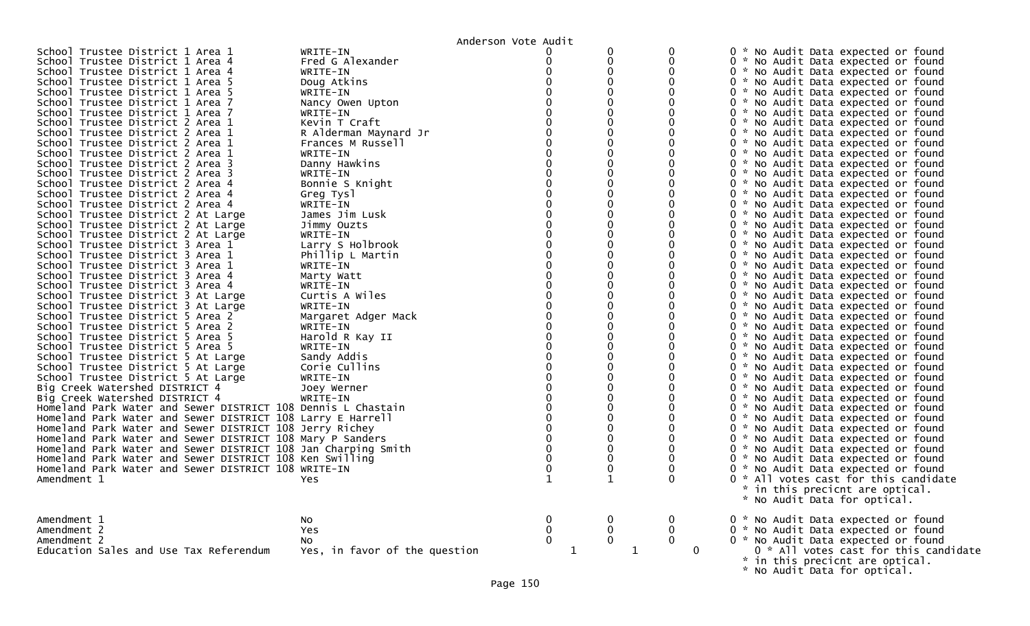|                                                                          |                               | Anderson Vote Audit |              |             |                                                                                                                                                             |
|--------------------------------------------------------------------------|-------------------------------|---------------------|--------------|-------------|-------------------------------------------------------------------------------------------------------------------------------------------------------------|
| School Trustee District 1 Area 1                                         | WRITE-IN                      |                     | 0            |             | 0 * No Audit Data expected or found                                                                                                                         |
| School Trustee District 1 Area 4                                         | Fred G Alexander              |                     | 0            |             | 0 * No Audit Data expected or found                                                                                                                         |
| School Trustee District 1 Area 4                                         | WRITE-IN                      |                     | 0            |             | 0 * No Audit Data expected or found                                                                                                                         |
| School Trustee District 1 Area 5                                         | Doug Atkins                   |                     |              |             | 0 * No Audit Data expected or found                                                                                                                         |
| School Trustee District 1 Area 5                                         | WRITE-IN                      |                     |              |             | 0 * No Audit Data expected or found                                                                                                                         |
| School Trustee District 1 Area 7                                         | Nancy Owen Upton              |                     |              |             | 0 * No Audit Data expected or found                                                                                                                         |
| School Trustee District 1 Area 7                                         | WRITE-IN                      |                     |              |             | 0 * No Audit Data expected or found                                                                                                                         |
| School Trustee District 2 Area 1                                         | Kevin T Craft                 |                     |              |             | 0 * No Audit Data expected or found                                                                                                                         |
| School Trustee District 2 Area 1                                         | R Alderman Maynard Jr         |                     |              |             | 0 * No Audit Data expected or found                                                                                                                         |
| School Trustee District 2 Area 1                                         | Frances M Russell             |                     |              |             | 0 * No Audit Data expected or found                                                                                                                         |
| School Trustee District 2 Area 1<br>School Trustee District 2 Area 3     | WRITE-IN                      |                     | 0            |             | 0 * No Audit Data expected or found                                                                                                                         |
| School Trustee District 2 Area 3                                         | Danny Hawkins                 |                     |              |             | 0 * No Audit Data expected or found                                                                                                                         |
| School Trustee District 2 Area 4                                         | WRITE-IN                      |                     |              |             | 0 * No Audit Data expected or found                                                                                                                         |
| School Trustee District 2 Area 4                                         | Bonnie S Knight               |                     |              |             | 0 * No Audit Data expected or found                                                                                                                         |
|                                                                          | Greg Tysl                     |                     |              |             | 0 * No Audit Data expected or found                                                                                                                         |
| School Trustee District 2 Area 4                                         | WRITE-IN<br>James Jim Lusk    |                     | 0            |             | 0 * No Audit Data expected or found<br>0 * No Audit Data expected or found                                                                                  |
| School Trustee District 2 At Large<br>School Trustee District 2 At Large |                               |                     |              |             | 0 * No Audit Data expected or found                                                                                                                         |
|                                                                          | Jimmy Ouzts                   |                     |              |             |                                                                                                                                                             |
| School Trustee District 2 At Large<br>School Trustee District 3 Area 1   | WRITE-IN<br>Larry S Holbrook  |                     |              |             | 0 * No Audit Data expected or found<br>0 * No Audit Data expected or found                                                                                  |
| School Trustee District 3 Area 1                                         |                               |                     |              |             | 0 * No Audit Data expected or found                                                                                                                         |
| School Trustee District 3 Area 1                                         | Phillip L Martin<br>WRITE-IN  |                     |              |             | 0 * No Audit Data expected or found                                                                                                                         |
| School Trustee District 3 Area 4                                         | Marty Watt                    |                     |              |             | 0 * No Audit Data expected or found                                                                                                                         |
| School Trustee District 3 Area 4                                         | WRITE-IN                      |                     |              |             | 0 * No Audit Data expected or found                                                                                                                         |
| School Trustee District 3 At Large                                       | Curtis A Wiles                |                     |              |             | 0 * No Audit Data expected or found                                                                                                                         |
| School Trustee District 3 At Large                                       | WRITE-IN                      |                     |              |             | 0 * No Audit Data expected or found                                                                                                                         |
| School Trustee District 5 Area 2                                         | Margaret Adger Mack           |                     |              |             | 0 * No Audit Data expected or found                                                                                                                         |
| School Trustee District 5 Area 2                                         | WRITE-IN                      |                     |              |             | 0 * No Audit Data expected or found                                                                                                                         |
| School Trustee District 5 Area 5                                         | Harold R Kay II               |                     |              |             | 0 * No Audit Data expected or found                                                                                                                         |
| School Trustee District 5 Area 5                                         | WRITE-IN                      |                     |              |             | 0 * No Audit Data expected or found                                                                                                                         |
| School Trustee District 5 At Large                                       | Sandy Addis                   |                     |              |             | 0 * No Audit Data expected or found                                                                                                                         |
| School Trustee District 5 At Large                                       | Corie Cullins                 |                     |              |             | 0 * No Audit Data expected or found                                                                                                                         |
| School Trustee District 5 At Large                                       | WRITE-IN                      |                     |              |             | 0 * No Audit Data expected or found                                                                                                                         |
| Big Creek Watershed DISTRICT 4                                           | Joey Werner                   |                     |              |             | 0 * No Audit Data expected or found                                                                                                                         |
| Big Creek Watershed DISTRICT 4                                           | WRITE-IN                      |                     |              |             | 0 * No Audit Data expected or found                                                                                                                         |
| Homeland Park Water and Sewer DISTRICT 108 Dennis L Chastain             |                               |                     |              |             | 0 * No Audit Data expected or found                                                                                                                         |
| Homeland Park Water and Sewer DISTRICT 108 Larry E Harrell               |                               |                     |              |             | 0 * No Audit Data expected or found                                                                                                                         |
| Homeland Park Water and Sewer DISTRICT 108 Jerry Richey                  |                               |                     |              |             | 0 * No Audit Data expected or found                                                                                                                         |
| Homeland Park Water and Sewer DISTRICT 108 Mary P Sanders                |                               |                     |              |             | 0 * No Audit Data expected or found                                                                                                                         |
| Homeland Park Water and Sewer DISTRICT 108 Jan Charping Smith            |                               |                     |              |             | 0 * No Audit Data expected or found                                                                                                                         |
| Homeland Park Water and Sewer DISTRICT 108 Ken Swilling                  |                               |                     | 0            |             | 0 * No Audit Data expected or found                                                                                                                         |
| Homeland Park Water and Sewer DISTRICT 108 WRITE-IN                      |                               |                     | 0            |             | 0 * No Audit Data expected or found                                                                                                                         |
| Amendment 1                                                              | Yes.                          |                     |              |             | 0 * All votes cast for this candidate                                                                                                                       |
|                                                                          |                               |                     |              |             | $\mathcal{R}$<br>in this precicnt are optical.                                                                                                              |
|                                                                          |                               |                     |              |             | * No Audit Data for optical.                                                                                                                                |
|                                                                          |                               |                     |              |             |                                                                                                                                                             |
| Amendment 1                                                              | NO.                           |                     |              | U           | 0 * No Audit Data expected or found                                                                                                                         |
| Amendment 2                                                              | Yes                           | $\pmb{0}$           | $\mathbf 0$  | $\mathbf 0$ |                                                                                                                                                             |
| Amendment 2                                                              | NO.                           | $\mathbf 0$         | $\mathbf{0}$ | $\mathbf 0$ |                                                                                                                                                             |
| Education Sales and Use Tax Referendum                                   | Yes, in favor of the question | 1                   | 1            |             | 0 * No Audit Data expected or found<br>0 * No Audit Data expected or found<br>0 * All votes cast for this candidate<br>* in this precicnt are optical.<br>0 |
|                                                                          |                               |                     |              |             |                                                                                                                                                             |
|                                                                          |                               |                     |              |             | * No Audit Data for optical.                                                                                                                                |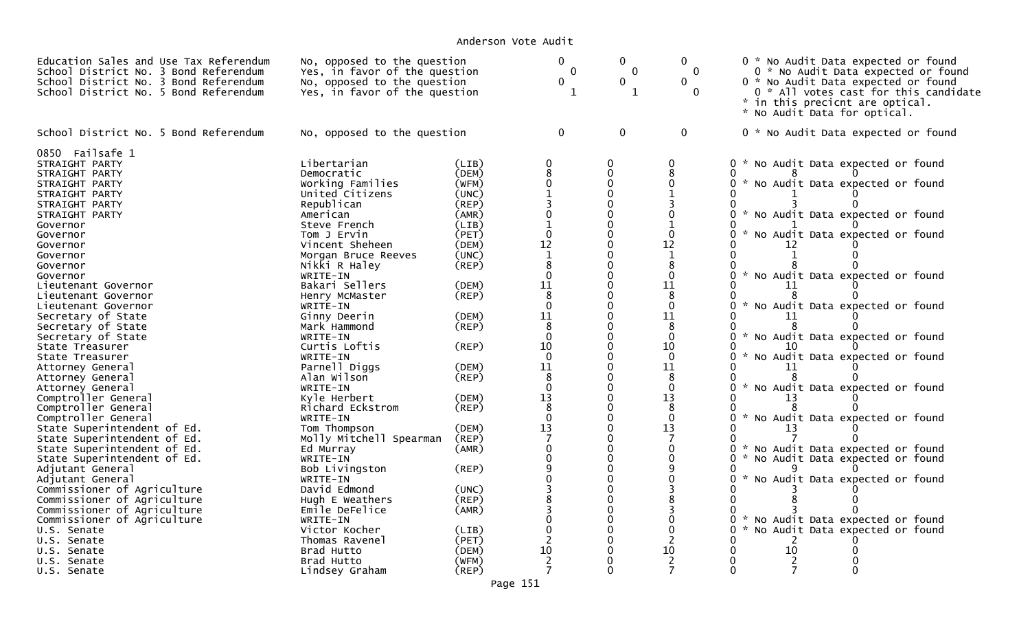| Education Sales and Use Tax Referendum<br>School District No. 3 Bond Referendum<br>School District No. 3 Bond Referendum<br>School District No. 5 Bond Referendum                                                                                                                                                                                                                                                                                                                                                                                                                                                                                                                                                                                                                                                 | No, opposed to the question<br>Yes, in favor of the question<br>No, opposed to the question<br>Yes, in favor of the question                                                                                                                                                                                                                                                                                                                                                                                                                                                             |                                                                                                                                                                                                                                                       | $\mathbf{0}$<br>$\mathbf 0$<br>$\mathbf 0$<br>1                                                                                                                                                                                                                                          | $\mathbf 0$<br>$\overline{0}$<br>$\mathbf{0}$<br>$\mathbf{1}$                                                                                                                                                                                                                                                                                                                                                                                      | $\mathbf{0}$<br>$\mathbf{0}$<br>$\Omega$<br>$\Omega$                                                                                                                                                                                                                                         | 0 * No Audit Data expected or found<br>0 * No Audit Data expected or found<br>0 * No Audit Data expected or found<br>0 * All votes cast for this candidate<br>* in this precicnt are optical.<br>* No Audit Data for optical.                                                                                                                                                                                                                                                                                                                                                                                                                                                                                                                                                  |  |
|-------------------------------------------------------------------------------------------------------------------------------------------------------------------------------------------------------------------------------------------------------------------------------------------------------------------------------------------------------------------------------------------------------------------------------------------------------------------------------------------------------------------------------------------------------------------------------------------------------------------------------------------------------------------------------------------------------------------------------------------------------------------------------------------------------------------|------------------------------------------------------------------------------------------------------------------------------------------------------------------------------------------------------------------------------------------------------------------------------------------------------------------------------------------------------------------------------------------------------------------------------------------------------------------------------------------------------------------------------------------------------------------------------------------|-------------------------------------------------------------------------------------------------------------------------------------------------------------------------------------------------------------------------------------------------------|------------------------------------------------------------------------------------------------------------------------------------------------------------------------------------------------------------------------------------------------------------------------------------------|----------------------------------------------------------------------------------------------------------------------------------------------------------------------------------------------------------------------------------------------------------------------------------------------------------------------------------------------------------------------------------------------------------------------------------------------------|----------------------------------------------------------------------------------------------------------------------------------------------------------------------------------------------------------------------------------------------------------------------------------------------|--------------------------------------------------------------------------------------------------------------------------------------------------------------------------------------------------------------------------------------------------------------------------------------------------------------------------------------------------------------------------------------------------------------------------------------------------------------------------------------------------------------------------------------------------------------------------------------------------------------------------------------------------------------------------------------------------------------------------------------------------------------------------------|--|
| School District No. 5 Bond Referendum                                                                                                                                                                                                                                                                                                                                                                                                                                                                                                                                                                                                                                                                                                                                                                             | No, opposed to the question                                                                                                                                                                                                                                                                                                                                                                                                                                                                                                                                                              |                                                                                                                                                                                                                                                       | $\overline{0}$                                                                                                                                                                                                                                                                           | $\mathbf 0$                                                                                                                                                                                                                                                                                                                                                                                                                                        | $\mathbf 0$                                                                                                                                                                                                                                                                                  | 0 * No Audit Data expected or found                                                                                                                                                                                                                                                                                                                                                                                                                                                                                                                                                                                                                                                                                                                                            |  |
| 0850 Failsafe 1<br>STRAIGHT PARTY<br>STRAIGHT PARTY<br>STRAIGHT PARTY<br>STRAIGHT PARTY<br>STRAIGHT PARTY<br>STRAIGHT PARTY<br>Governor<br>Governor<br>Governor<br>Governor<br>Governor<br>Governor<br>Lieutenant Governor<br>Lieutenant Governor<br>Lieutenant Governor<br>Secretary of State<br>Secretary of State<br>Secretary of State<br>State Treasurer<br>State Treasurer<br>Attorney General<br>Attorney General<br>Attorney General<br>Comptroller General<br>Comptroller General<br>Comptroller General<br>State Superintendent of Ed.<br>State Superintendent of Ed.<br>State Superintendent of Ed.<br>State Superintendent of Ed.<br>Adjutant General<br>Adjutant General<br>Commissioner of Agriculture<br>Commissioner of Agriculture<br>Commissioner of Agriculture<br>Commissioner of Agriculture | Libertarian<br>Democratic<br>Working Families<br>United Citizens<br>Republican<br>American<br>Steve French<br>Tom J Ervin<br>Vincent Sheheen<br>Morgan Bruce Reeves<br>Nikki R Haley<br>WRITE-IN<br>Bakari Sellers<br>Henry McMaster<br>WRITE-IN<br>Ginny Deerin<br>Mark Hammond<br>WRITE-IN<br>Curtis Loftis<br>WRITE-IN<br>Parnell Diggs<br>Alan Wilson<br>WRITE-IN<br>Kyle Herbert<br>Richard Eckstrom<br>WRITE-IN<br>Tom Thompson<br>Molly Mitchell Spearman<br>Ed Murray<br>WRITE-IN<br>Bob Livingston<br>WRITE-IN<br>David Edmond<br>Hugh E Weathers<br>Emile DeFelice<br>WRITE-IN | (LIB)<br>(DEM)<br>(WFM)<br>(UNC)<br>(REP)<br>(AMR)<br>(LIB)<br>(PET)<br>(DEM)<br>(UNC)<br>(REP)<br>(DEM)<br>(REP)<br>(DEM)<br>$($ REP $)$<br>(REP)<br>(DEM)<br>(REF)<br>(DEM)<br>(REP)<br>(DEM)<br>(REP)<br>(AMR)<br>(REP)<br>(UNC)<br>(REP)<br>(AMR) | 0<br>8<br>$\Omega$<br>$\mathbf{1}$<br>0<br>$\mathbf{1}$<br>$\Omega$<br>12<br>$\mathbf{1}$<br>8<br>$\Omega$<br>11<br>8<br>$\Omega$<br>11<br>8<br>$\mathbf{0}$<br>10<br>$\Omega$<br>11<br>8<br>$\Omega$<br>13<br>8<br>$\Omega$<br>13<br>7<br>$\Omega$<br>0<br>9<br>0<br>8<br>3<br>$\Omega$ | $\Omega$<br>$\Omega$<br>$\Omega$<br>$\Omega$<br>$\mathbf 0$<br>$\Omega$<br>$\Omega$<br>$\Omega$<br>$\Omega$<br>$\Omega$<br>$\Omega$<br>$\Omega$<br>$\Omega$<br>$\Omega$<br>$\Omega$<br>$\Omega$<br>$\Omega$<br>$\Omega$<br>$\Omega$<br>$\Omega$<br>$\Omega$<br>$\Omega$<br>$\Omega$<br>$\Omega$<br>$\Omega$<br>$\Omega$<br>$\Omega$<br>$\Omega$<br>$\Omega$<br>$\Omega$<br>$\Omega$<br>$\Omega$<br>$\Omega$<br>$\Omega$<br>$\mathbf 0$<br>$\Omega$ | $\mathbf{0}$<br>8<br>$\Omega$<br>0<br>1<br>$\Omega$<br>12<br>$\mathbf{1}$<br>8<br>$\Omega$<br>11<br>8<br>$\Omega$<br>11<br>8<br>$\mathbf 0$<br>10<br>$\Omega$<br>11<br>8<br>$\mathbf 0$<br>13<br>8<br>$\mathbf 0$<br>13<br>7<br>$\mathbf 0$<br>$\mathbf 0$<br>9<br>$\Omega$<br>3<br>$\Omega$ | 0<br>* No Audit Data expected or found<br>O<br>No Audit Data expected or found<br>$\mathcal{H}^{\prime}$<br>0<br>$\sim$<br>No Audit Data expected or found<br>0<br>No Audit Data expected or found<br>0<br>$\mathcal{H}$<br>12<br>$\mathcal{H}$<br>0<br>No Audit Data expected or found<br>11<br>$\sim$<br>No Audit Data expected or found<br>0<br>11<br>$\mathcal{H}$<br>No Audit Data expected or found<br>0<br>$\sim$<br>No Audit Data expected or found<br>0<br>11<br>$\sim$<br>0<br>No Audit Data expected or found<br>13<br>$\mathcal{H}$<br>No Audit Data expected or found<br>0<br>13<br>No Audit Data expected or found<br>0<br>0<br>$\mathcal{H}$<br>No Audit Data expected or found<br>No Audit Data expected or found<br>O<br>0<br>No Audit Data expected or found |  |
| U.S. Senate<br>U.S. Senate                                                                                                                                                                                                                                                                                                                                                                                                                                                                                                                                                                                                                                                                                                                                                                                        | Victor Kocher<br>Thomas Ravenel                                                                                                                                                                                                                                                                                                                                                                                                                                                                                                                                                          | (LIB)<br>(PET)                                                                                                                                                                                                                                        | $\Omega$                                                                                                                                                                                                                                                                                 | $\Omega$<br>$\Omega$                                                                                                                                                                                                                                                                                                                                                                                                                               | $\mathbf{0}$<br>2                                                                                                                                                                                                                                                                            | 0<br>$\mathcal{H}$<br>No Audit Data expected or found                                                                                                                                                                                                                                                                                                                                                                                                                                                                                                                                                                                                                                                                                                                          |  |
| U.S. Senate                                                                                                                                                                                                                                                                                                                                                                                                                                                                                                                                                                                                                                                                                                                                                                                                       | Brad Hutto                                                                                                                                                                                                                                                                                                                                                                                                                                                                                                                                                                               | (DEM)                                                                                                                                                                                                                                                 | 10                                                                                                                                                                                                                                                                                       | $\Omega$                                                                                                                                                                                                                                                                                                                                                                                                                                           | 10                                                                                                                                                                                                                                                                                           | 10<br>O<br>U                                                                                                                                                                                                                                                                                                                                                                                                                                                                                                                                                                                                                                                                                                                                                                   |  |
| U.S. Senate<br>U.S. Senate                                                                                                                                                                                                                                                                                                                                                                                                                                                                                                                                                                                                                                                                                                                                                                                        | Brad Hutto<br>Lindsey Graham                                                                                                                                                                                                                                                                                                                                                                                                                                                                                                                                                             | (WFM)<br>(REP)                                                                                                                                                                                                                                        | 2<br>$\overline{7}$                                                                                                                                                                                                                                                                      | 0<br>$\Omega$                                                                                                                                                                                                                                                                                                                                                                                                                                      | 2<br>7                                                                                                                                                                                                                                                                                       | 7<br>0<br>0                                                                                                                                                                                                                                                                                                                                                                                                                                                                                                                                                                                                                                                                                                                                                                    |  |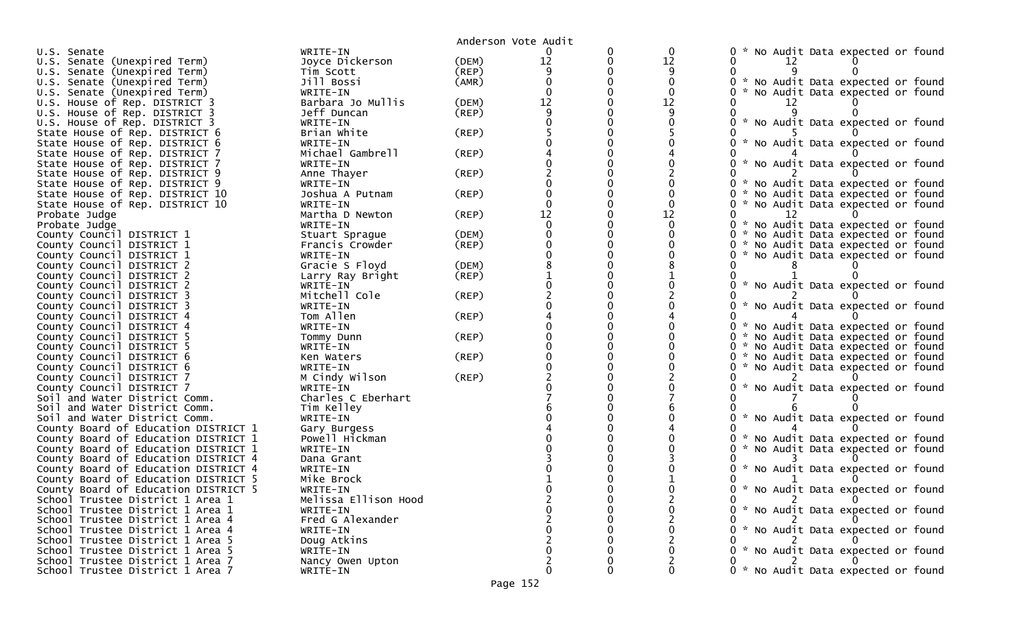|                                                        |                        |             | Anderson Vote Audit |   |    |                                                                            |
|--------------------------------------------------------|------------------------|-------------|---------------------|---|----|----------------------------------------------------------------------------|
| U.S. Senate                                            | WRITE-IN               |             |                     | 0 | 0  | No Audit Data expected or found                                            |
| U.S. Senate (Unexpired Term)                           | Joyce Dickerson        | (DEM)       | 12                  | 0 | 12 | 12                                                                         |
| U.S. Senate (Unexpired Term)                           | Tim Scott              | (REP)       |                     |   | 9  |                                                                            |
| U.S. Senate (Unexpired Term)                           | Jill Bossi             | (AMR)       |                     |   | 0  | 0 * No Audit Data expected or found                                        |
| U.S. Senate (Unexpired Term)                           | WRITE-IN               |             |                     |   | 0  | No Audit Data expected or found                                            |
| U.S. House of Rep. DISTRICT 3                          | Barbara Jo Mullis      | (DEM)       | 12                  |   | 12 |                                                                            |
| U.S. House of Rep. DISTRICT 3                          | Jeff Duncan            | $($ REP $)$ |                     |   |    |                                                                            |
| U.S. House of Rep. DISTRICT 3                          | WRITE-IN               |             |                     |   |    | * No Audit Data expected or found                                          |
| State House of Rep. DISTRICT 6                         | Brian White            | (REP)       |                     |   |    |                                                                            |
| State House of Rep. DISTRICT 6                         | WRITE-IN               |             |                     |   |    | * No Audit Data expected or found                                          |
| State House of Rep. DISTRICT 7                         | Michael Gambrell       | $($ REP $)$ |                     |   |    |                                                                            |
| State House of Rep. DISTRICT 7                         | WRITE-IN               |             |                     |   |    | * No Audit Data expected or found                                          |
| State House of Rep. DISTRICT 9                         | Anne Thayer            | (REP)       |                     |   |    |                                                                            |
| State House of Rep. DISTRICT 9                         | WRITE-IN               |             |                     |   |    | 0 * No Audit Data expected or found                                        |
| State House of Rep. DISTRICT 10                        | Joshua A Putnam        | $($ REP $)$ |                     |   |    | No Audit Data expected or found<br>0 *                                     |
| State House of Rep. DISTRICT 10                        | WRITE-IN               |             |                     |   |    | 0 * No Audit Data expected or found                                        |
| Probate Judge                                          | Martha D Newton        | $($ REP $)$ | 12                  | 0 | 12 | 12                                                                         |
| Probate Judge                                          | WRITE-IN               |             |                     |   | 0  | 0 * No Audit Data expected or found                                        |
| County Council DISTRICT 1                              | Stuart Sprague         | (DEM)       |                     |   |    | 0 * No Audit Data expected or found                                        |
| County Council DISTRICT 1                              | Francis Crowder        | $($ REP $)$ |                     | 0 |    | 0 * No Audit Data expected or found                                        |
| County Council DISTRICT 1                              | WRITE-IN               |             |                     |   |    | * No Audit Data expected or found                                          |
| County Council DISTRICT 2                              | Gracie S Floyd         | (DEM)       |                     |   |    |                                                                            |
| County Council DISTRICT 2                              | Larry Ray Bright       | $($ REP $)$ |                     |   |    |                                                                            |
| County Council DISTRICT 2                              | WRITE-IN               |             |                     |   |    | 0 * No Audit Data expected or found                                        |
| County Council DISTRICT 3                              | Mitchell Cole          | (REP)       |                     |   |    | $\mathcal{H}$                                                              |
| County Council DISTRICT 3                              | WRITE-IN               |             |                     |   |    | No Audit Data expected or found                                            |
| County Council DISTRICT 4                              | Tom Allen              | $($ REP $)$ |                     |   |    |                                                                            |
| County Council DISTRICT 4                              | WRITE-IN               |             |                     |   |    | 0 * No Audit Data expected or found                                        |
| County Council DISTRICT 5                              | Tommy Dunn             | (REP)       |                     |   |    | 0 * No Audit Data expected or found                                        |
| County Council DISTRICT 5<br>County Council DISTRICT 6 | WRITE-IN<br>Ken Waters | $($ REP $)$ |                     |   |    | 0 * No Audit Data expected or found<br>0 * No Audit Data expected or found |
| County Council DISTRICT 6                              | WRITE-IN               |             |                     |   |    | * No Audit Data expected or found<br>0                                     |
| County Council DISTRICT 7                              | M Cindy Wilson         | (REP)       |                     |   |    |                                                                            |
| County Council DISTRICT 7                              | WRITE-IN               |             |                     |   |    | $\mathcal{H}$<br>No Audit Data expected or found                           |
| Soil and Water District Comm.                          | Charles C Eberhart     |             |                     |   |    |                                                                            |
| Soil and Water District Comm.                          | Tim Kelley             |             |                     |   |    |                                                                            |
| Soil and Water District Comm.                          | WRITE-IN               |             |                     |   |    | * No Audit Data expected or found                                          |
| County Board of Education DISTRICT 1                   | Gary Burgess           |             |                     |   |    |                                                                            |
| County Board of Education DISTRICT 1                   | Powell Hickman         |             |                     |   |    | 0 * No Audit Data expected or found                                        |
| County Board of Education DISTRICT 1                   | WRITE-IN               |             |                     |   |    | 0 *<br>No Audit Data expected or found                                     |
| County Board of Education DISTRICT 4                   | Dana Grant             |             |                     |   |    |                                                                            |
| County Board of Education DISTRICT 4                   | WRITE-IN               |             |                     |   |    | * No Audit Data expected or found                                          |
| County Board of Education DISTRICT 5                   | Mike Brock             |             |                     |   |    |                                                                            |
| County Board of Education DISTRICT 5                   | WRITE-IN               |             |                     |   |    |                                                                            |
| School Trustee District 1 Area 1                       | Melissa Ellison Hood   |             |                     |   |    | 0 * No Audit Data expected or found<br>0 2 0                               |
| School Trustee District 1 Area 1                       | WRITE-IN               |             |                     |   |    | 0 * No Audit Data expected or found                                        |
| School Trustee District 1 Area 4                       | Fred G Alexander       |             |                     |   |    |                                                                            |
| School Trustee District 1 Area 4                       | WRITE-IN               |             |                     |   |    | 0 * No Audit Data expected or found                                        |
| School Trustee District 1 Area 5                       | Doug Atkins            |             |                     |   |    |                                                                            |
| School Trustee District 1 Area 5                       | WRITE-IN               |             |                     |   |    | 0 * No Audit Data expected or found                                        |
| School Trustee District 1 Area 7                       | Nancy Owen Upton       |             |                     |   |    |                                                                            |
| School Trustee District 1 Area 7                       | WRITE-IN               |             | 0                   | 0 | 0  | 0 * No Audit Data expected or found                                        |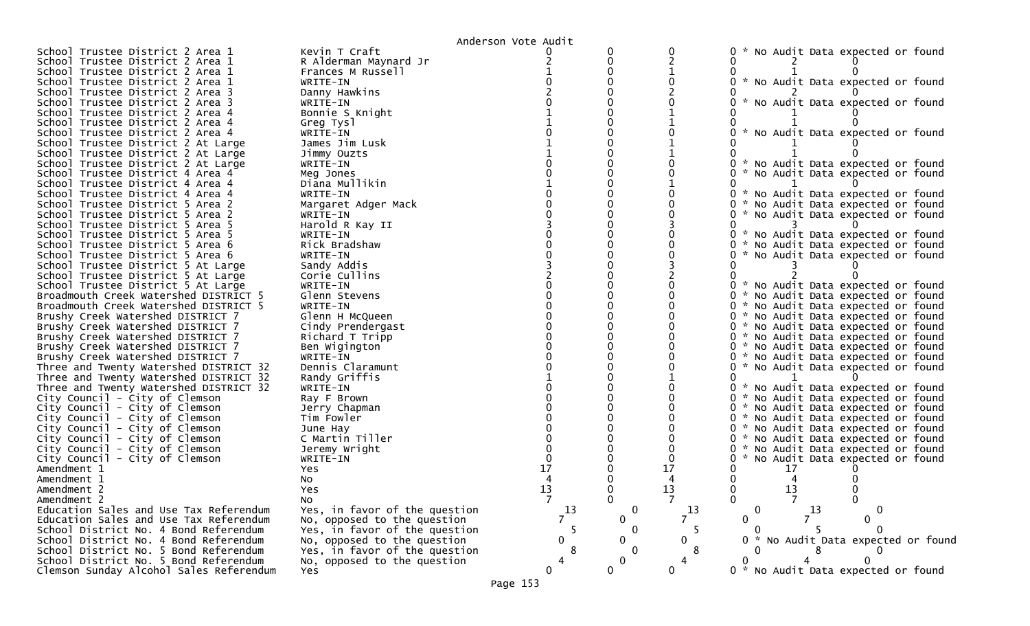|                                                                             |                                      | Anderson Vote Audit |             |                |                                               |
|-----------------------------------------------------------------------------|--------------------------------------|---------------------|-------------|----------------|-----------------------------------------------|
| School Trustee District 2 Area 1                                            | Kevin T Craft                        |                     | 0           | 0              | 0 * No Audit Data expected or found           |
| School Trustee District 2 Area 1                                            | R Alderman Maynard Jr                |                     |             |                |                                               |
| School Trustee District 2 Area 1                                            | Frances M Russell                    |                     |             |                |                                               |
| School Trustee District 2 Area 1                                            | WRITE-IN                             |                     |             |                | * No Audit Data expected or found<br>0        |
| School Trustee District 2 Area 3                                            | Danny Hawkins                        |                     |             |                |                                               |
| School Trustee District 2 Area 3                                            | WRITE-IN                             |                     |             |                | * No Audit Data expected or found<br>0        |
| School Trustee District 2 Area 4                                            | Bonnie S Knight                      |                     |             |                |                                               |
| School Trustee District 2 Area 4                                            | Greg Tysl                            |                     |             |                |                                               |
| School Trustee District 2 Area 4                                            | WRITE-IN                             |                     |             |                | * No Audit Data expected or found             |
| School Trustee District 2 At Large                                          | James Jim Lusk                       |                     |             |                |                                               |
| School Trustee District 2 At Large                                          | Jimmy Ouzts                          |                     |             |                |                                               |
| School Trustee District 2 At Large                                          | WRITE-IN                             |                     |             |                | * No Audit Data expected or found<br>0        |
| School Trustee District 4 Area 4                                            | Meg Jones                            |                     |             |                | 0<br>* No Audit Data expected or found        |
| School Trustee District 4 Area 4                                            | Diana Mullikin                       |                     |             |                |                                               |
| School Trustee District 4 Area 4                                            | WRITE-IN                             |                     |             |                | * No Audit Data expected or found<br>0        |
| School Trustee District 5 Area 2                                            | Margaret Adger Mack                  |                     |             |                | * No Audit Data expected or found<br>0        |
| School Trustee District 5 Area 2                                            | WRITE-IN                             |                     |             |                | * No Audit Data expected or found<br>0        |
| School Trustee District 5 Area 5                                            | Harold R Kay II                      |                     |             |                | 0                                             |
| School Trustee District 5 Area 5                                            | WRITE-IN                             |                     |             |                | 0<br>* No Audit Data expected or found        |
| School Trustee District 5 Area 6                                            | Rick Bradshaw                        |                     |             |                | 0 * No Audit Data expected or found           |
| School Trustee District 5 Area 6                                            | WRITE-IN                             |                     |             |                | * No Audit Data expected or found<br>0        |
| School Trustee District 5 At Large                                          | Sandy Addis                          |                     |             |                |                                               |
| School Trustee District 5 At Large                                          | Corie Cullins                        |                     |             |                |                                               |
| School Trustee District 5 At Large                                          | WRITE-IN                             |                     |             |                | 0 * No Audit Data expected or found           |
| Broadmouth Creek Watershed DISTRICT 5                                       | Glenn Stevens                        |                     |             |                | 0 * No Audit Data expected or found           |
| Broadmouth Creek Watershed DISTRICT 5                                       | WRITE-IN                             |                     |             |                | 0 * No Audit Data expected or found           |
| Brushy Creek Watershed DISTRICT 7                                           | Glenn H McQueen                      |                     |             |                | 0 * No Audit Data expected or found           |
|                                                                             |                                      |                     |             |                | 0 * No Audit Data expected or found           |
| Brushy Creek Watershed DISTRICT 7<br>Brushy Creek Watershed DISTRICT 7      | Cindy Prendergast<br>Richard T Tripp |                     |             |                | 0 * No Audit Data expected or found           |
| Brushy Creek Watershed DISTRICT 7                                           | Ben Wigington                        |                     |             |                | 0 * No Audit Data expected or found           |
|                                                                             | WRITE-IN                             |                     |             |                | 0 * No Audit Data expected or found           |
| Brushy Creek Watershed DISTRICT 7<br>Three and Twenty Watershed DISTRICT 32 | Dennis Claramunt                     |                     |             |                | 0 * No Audit Data expected or found           |
|                                                                             |                                      |                     |             |                | 0                                             |
| Three and Twenty Watershed DISTRICT 32                                      | Randy Griffis                        |                     |             |                | 0                                             |
| Three and Twenty Watershed DISTRICT 32                                      | WRITE-IN                             |                     |             |                | * No Audit Data expected or found             |
| City Council - City of Clemson                                              | Ray F Brown                          |                     |             |                | * No Audit Data expected or found<br>$\bf{0}$ |
| City Council - City of Clemson                                              | Jerry Chapman                        |                     |             |                | 0 * No Audit Data expected or found           |
| City Council - City of Clemson                                              | Tim Fowler                           |                     |             |                | No Audit Data expected or found<br>$0 *$      |
| City Council - City of Clemson                                              | June Hay                             |                     |             |                | 0 * No Audit Data expected or found           |
| City Council - City of Clemson                                              | C Martin Tiller                      |                     |             |                | 0 * No Audit Data expected or found           |
| City Council - City of Clemson                                              | Jeremy Wright                        |                     |             |                | 0 * No Audit Data expected or found<br>**     |
| City Council - City of Clemson                                              | WRITE-IN                             |                     |             |                | No Audit Data expected or found<br>0          |
| Amendment 1                                                                 | Yes                                  | 17                  |             | 17             | 17                                            |
| Amendment 1                                                                 | NO.                                  |                     |             |                |                                               |
| Amendment 2                                                                 | Yes                                  | 13                  |             | 13             | 13                                            |
| Amendment 2                                                                 | No.                                  | $\overline{7}$      | $\Omega$    | $\overline{7}$ | $\Omega$<br>$\Omega$                          |
| Education Sales and Use Tax Referendum                                      | Yes, in favor of the question        | 13                  | $\Omega$    | 13             | 13<br>$\Omega$                                |
| Education Sales and Use Tax Referendum                                      | No, opposed to the question          |                     | 0           |                | $\Omega$<br>∩                                 |
| School District No. 4 Bond Referendum                                       | Yes, in favor of the question        | 5                   | 0           | -5             |                                               |
| School District No. 4 Bond Referendum                                       | No, opposed to the question          |                     | 0           | $\Omega$       | 0 * No Audit Data expected or found           |
| School District No. 5 Bond Referendum                                       | Yes, in favor of the question        | 8                   | 0           | 8              | $\Omega$                                      |
| School District No. 5 Bond Referendum                                       | No, opposed to the question          | 4                   | $\mathbf 0$ | 4              | $\Omega$<br>$\mathbf{0}$                      |
| Clemson Sunday Alcohol Sales Referendum                                     | Yes                                  | 0                   | 0           | 0              | 0 * No Audit Data expected or found           |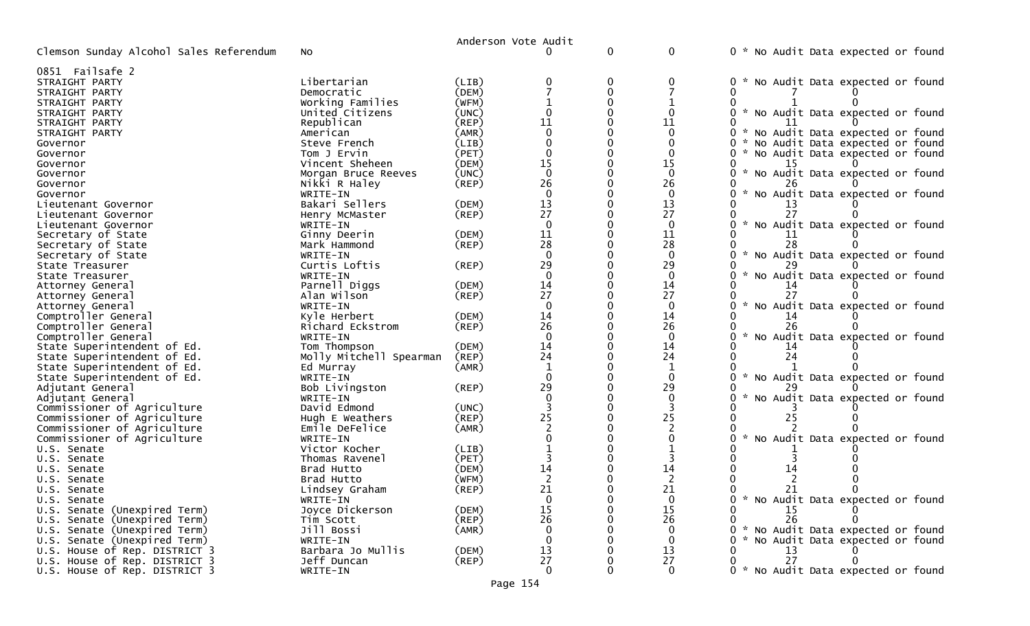|                                                            |                         |                | Anderson Vote Audit  |             |                    |                                                  |
|------------------------------------------------------------|-------------------------|----------------|----------------------|-------------|--------------------|--------------------------------------------------|
| Clemson Sunday Alcohol Sales Referendum                    | No                      |                |                      | 0           | 0                  | 0 * No Audit Data expected or found              |
| 0851 Failsafe 2                                            |                         |                |                      |             |                    |                                                  |
| STRAIGHT PARTY                                             | Libertarian             | (LIB)          |                      | 0           | 0                  | No Audit Data expected or found<br>0 *           |
| STRAIGHT PARTY                                             | Democratic              | (DEM)          |                      | $\mathbf 0$ |                    | 0                                                |
| STRAIGHT PARTY                                             | Working Families        | (WFM)          |                      |             |                    |                                                  |
| STRAIGHT PARTY                                             | United Citizens         | (UNC)          |                      |             |                    | * No Audit Data expected or found<br>0           |
| STRAIGHT PARTY                                             | Republican              | (REP)          | 11                   |             | 11                 |                                                  |
| STRAIGHT PARTY                                             | American                | (AMR)          | $\Omega$             |             | $\Omega$           | ი ∗<br>No Audit Data expected or found           |
| Governor                                                   | Steve French            | (LIB)          |                      |             | 0                  | No Audit Data expected or found<br>0             |
| Governor                                                   | Tom J Ervin             | (PET)          | $\mathbf 0$          | 0           | $\Omega$           | No Audit Data expected or found<br>0             |
| Governor                                                   | Vincent Sheheen         | (DEM)          | 15                   |             | 15                 |                                                  |
| Governor                                                   | Morgan Bruce Reeves     | (UNC)          | $\Omega$             |             | $\Omega$           | 0<br>$\sim$<br>No Audit Data expected or found   |
| Governor                                                   | Nikki R Haley           | (REP)          | 26                   |             | 26                 |                                                  |
| Governor                                                   | WRITE-IN                |                | $\Omega$             |             | $\Omega$           | $\mathcal{H}$<br>No Audit Data expected or found |
| Lieutenant Governor                                        | Bakari Sellers          | (DEM)          | 13                   | $\Omega$    | 13                 |                                                  |
| Lieutenant Governor                                        | Henry McMaster          | (REP)          | 27                   |             | 27                 | 27                                               |
| Lieutenant Governor                                        | WRITE-IN                |                | $\Omega$             |             | $\Omega$           | $\sim$<br>No Audit Data expected or found        |
| Secretary of State                                         | Ginny Deerin            | (DEM)          | 11                   | $\Omega$    | 11                 | 11                                               |
| Secretary of State                                         | Mark Hammond            | (REP)          | 28                   |             | 28                 | 28                                               |
| Secretary of State                                         | WRITE-IN                |                | $\Omega$             |             | $\Omega$           | $\mathcal{H}$<br>No Audit Data expected or found |
| State Treasurer                                            | Curtis Loftis           | $($ REP $)$    | 29                   |             | 29                 |                                                  |
| State Treasurer                                            | WRITE-IN                |                | $\Omega$             |             | $\Omega$           | No Audit Data expected or found                  |
| Attorney General                                           | Parnell Diggs           | (DEM)          | 14                   |             | 14                 | 14                                               |
| Attorney General                                           | Alan Wilson             | $($ REP $)$    | 27                   |             | 27                 | $\sim$                                           |
| Attorney General                                           | WRITE-IN                |                | $\overline{0}$       |             | $\Omega$           | No Audit Data expected or found                  |
| Comptroller General                                        | Kyle Herbert            | (DEM)          | 14                   |             | 14                 |                                                  |
| Comptroller General                                        | Richard Eckstrom        | (REP)          | 26<br>$\overline{0}$ |             | 26<br>$\mathbf{0}$ | $\mathcal{H}$<br>0                               |
| Comptroller General                                        | WRITE-IN                |                | 14                   |             |                    | No Audit Data expected or found                  |
| State Superintendent of Ed.<br>State Superintendent of Ed. | Tom Thompson            | (DEM)<br>(REP) | 24                   |             | 14<br>24           | 14<br>24                                         |
|                                                            | Molly Mitchell Spearman |                | 1                    |             | $\mathbf{1}$       |                                                  |
| State Superintendent of Ed.<br>State Superintendent of Ed. | Ed Murray<br>WRITE-IN   | (AMR)          |                      |             | $\Omega$           | No Audit Data expected or found                  |
| Adjutant General                                           | Bob Livingston          | (REP)          | 29                   |             | 29                 |                                                  |
| Adjutant General                                           | WRITE-IN                |                | $\Omega$             |             | $\mathbf{0}$       | No Audit Data expected or found                  |
| Commissioner of Agriculture                                | David Edmond            | (UNC)          |                      |             |                    |                                                  |
| Commissioner of Agriculture                                | Hugh E Weathers         | $($ REP $)$    | 25                   |             | 25                 |                                                  |
| Commissioner of Agriculture                                | Emile DeFelice          | (AMR)          |                      |             |                    |                                                  |
| Commissioner of Agriculture                                | WRITE-IN                |                |                      |             |                    | No Audit Data expected or found                  |
| U.S. Senate                                                | Victor Kocher           | (LIB)          |                      |             |                    |                                                  |
| U.S. Senate                                                | Thomas Ravenel          | (PET)          |                      |             |                    |                                                  |
| U.S. Senate                                                | Brad Hutto              | (DEM)          | 14                   |             | 14                 |                                                  |
| U.S. Senate                                                | Brad Hutto              | (WFM)          |                      |             | 2                  |                                                  |
| U.S. Senate                                                | Lindsey Graham          | (REP)          | 21                   |             | 21                 | 21<br>- 0                                        |
| U.S. Senate                                                | WRITE-IN                |                | $\mathbf 0$          |             | $\mathbf{0}$       | 0 * No Audit Data expected or found              |
| U.S. Senate (Unexpired Term)                               | Joyce Dickerson         | (DEM)          | 15                   |             | 15                 | 15                                               |
| U.S. Senate (Unexpired Term)                               | Tim Scott               | (REP)          | 26                   |             | 26                 | 26<br>0<br>0                                     |
| U.S. Senate (Unexpired Term)                               | Jill Bossi              | (AMR)          | 0                    |             | $\Omega$           | 0 * No Audit Data expected or found              |
| U.S. Senate (Unexpired Term)                               | WRITE-IN                |                | $\mathbf 0$          |             | $\mathbf{0}$       | No Audit Data expected or found<br>0             |
| U.S. House of Rep. DISTRICT 3                              | Barbara Jo Mullis       | (DEM)          | 13                   |             | 13                 | 13                                               |
| U.S. House of Rep. DISTRICT 3                              | Jeff Duncan             | $($ REP $)$    | 27                   |             | 27                 | 27<br>0                                          |
| U.S. House of Rep. DISTRICT 3                              | WRITE-IN                |                | $\Omega$             |             | $\Omega$           | 0 * No Audit Data expected or found              |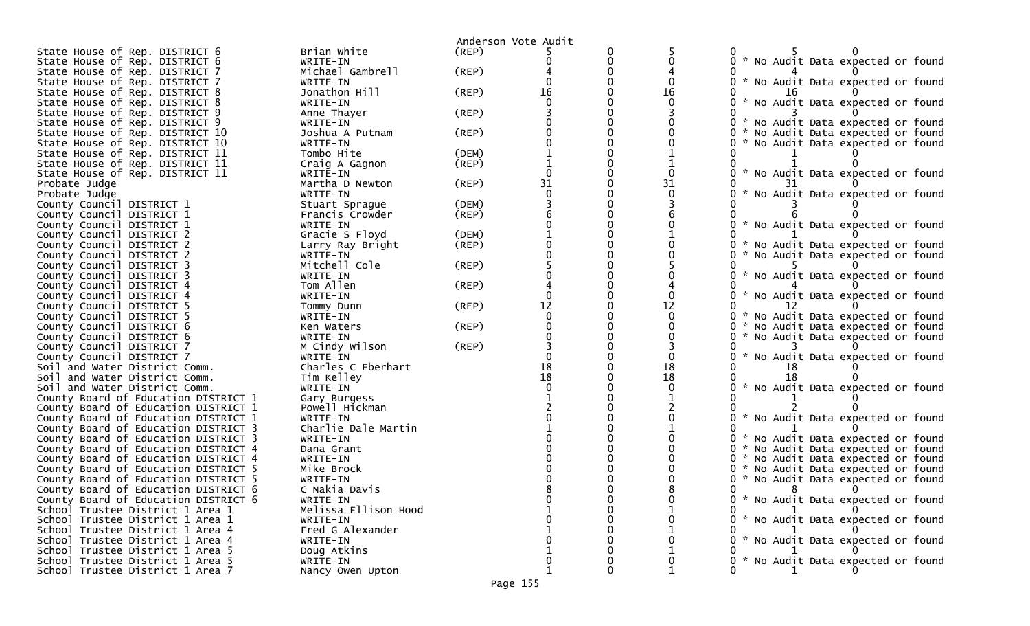|                                                                |                                |             | Anderson Vote Audit |   |    |                                             |
|----------------------------------------------------------------|--------------------------------|-------------|---------------------|---|----|---------------------------------------------|
| State House of Rep. DISTRICT 6                                 | Brian White                    | (REP)       |                     |   |    |                                             |
| State House of Rep. DISTRICT 6                                 | WRITE-IN                       |             |                     | 0 |    | 0 * No Audit Data expected or found         |
| State House of Rep. DISTRICT 7                                 | Michael Gambrell               | $($ REP $)$ |                     |   |    |                                             |
| State House of Rep. DISTRICT 7                                 | WRITE-IN                       |             |                     |   |    | 0 * No Audit Data expected or found         |
| State House of Rep. DISTRICT 8                                 | Jonathon Hill                  | $($ REP $)$ | 16                  |   | 16 |                                             |
| State House of Rep. DISTRICT 8                                 | WRITE-IN                       |             |                     |   |    | * No Audit Data expected or found           |
| State House of Rep. DISTRICT 9                                 | Anne Thayer                    | (REP)       |                     |   |    |                                             |
| State House of Rep. DISTRICT 9                                 | WRITE-IN                       |             |                     |   |    | * No Audit Data expected or found           |
| State House of Rep. DISTRICT 10                                | Joshua A Putnam                | $($ REP $)$ |                     |   |    | No Audit Data expected or found<br>0        |
| State House of Rep. DISTRICT 10                                | WRITE-IN                       |             |                     |   |    | * No Audit Data expected or found           |
| State House of Rep. DISTRICT 11                                | Tombo Hite                     | (DEM)       |                     |   |    |                                             |
| State House of Rep. DISTRICT 11                                | Craig A Gagnon                 | (REP)       |                     |   |    |                                             |
| State House of Rep. DISTRICT 11                                | WRITE-IN                       |             |                     |   |    | * No Audit Data expected or found           |
| Probate Judge                                                  | Martha D Newton                | (REP)       | 31                  |   | 31 |                                             |
| Probate Judge                                                  | WRITE-IN                       |             |                     |   | 0  | No Audit Data expected or found             |
| County Council DISTRICT 1                                      | Stuart Sprague                 | (DEM)       |                     |   |    |                                             |
| County Council DISTRICT 1                                      | Francis Crowder                | (REP)       |                     |   |    |                                             |
| County Council DISTRICT 1                                      | WRITE-IN                       |             |                     |   |    | * No Audit Data expected or found           |
| County Council DISTRICT 2                                      | Gracie S Floyd                 | (DEM)       |                     |   |    |                                             |
| County Council DISTRICT 2                                      | Larry Ray Bright               | $($ REP $)$ |                     |   |    | No Audit Data expected or found             |
| County Council DISTRICT 2                                      | WRITE-IN                       |             |                     |   |    | No Audit Data expected or found             |
| County Council DISTRICT 3                                      | Mitchell Cole                  | $($ REP $)$ |                     |   |    |                                             |
| County Council DISTRICT 3                                      | WRITE-IN                       |             |                     |   |    | <b>*</b><br>No Audit Data expected or found |
| County Council DISTRICT 4                                      | Tom Allen                      | (REP)       |                     |   |    |                                             |
| County Council DISTRICT 4                                      | WRITE-IN                       |             |                     |   |    | * No Audit Data expected or found           |
| County Council DISTRICT 5                                      | Tommy Dunn                     | (REP)       | 12                  |   | 12 |                                             |
| County Council DISTRICT 5                                      | WRITE-IN                       |             |                     |   |    | No Audit Data expected or found             |
| County Council DISTRICT 6                                      | Ken Waters                     | (REP)       |                     |   |    | No Audit Data expected or found             |
| County Council DISTRICT 6                                      | WRITE-IN                       |             |                     |   |    | No Audit Data expected or found             |
| County Council DISTRICT 7                                      | M Cindy Wilson                 | (REP)       |                     |   |    | *                                           |
| County Council DISTRICT 7                                      | WRITE-IN<br>Charles C Eberhart |             | 18                  |   | 18 | No Audit Data expected or found             |
| Soil and Water District Comm.                                  | Tim Kelley                     |             | 18                  |   | 18 |                                             |
| Soil and Water District Comm.<br>Soil and Water District Comm. | WRITE-IN                       |             |                     |   |    | * No Audit Data expected or found           |
| County Board of Education DISTRICT 1                           |                                |             |                     |   |    |                                             |
| County Board of Education DISTRICT 1                           | Gary Burgess<br>Powell Hickman |             |                     |   |    |                                             |
| County Board of Education DISTRICT 1                           | WRITE-IN                       |             |                     |   |    | * No Audit Data expected or found           |
| County Board of Education DISTRICT 3                           | Charlie Dale Martin            |             |                     |   |    |                                             |
| County Board of Education DISTRICT 3                           | WRITE-IN                       |             |                     |   |    | 0 * No Audit Data expected or found         |
| County Board of Education DISTRICT 4                           | Dana Grant                     |             |                     |   |    | 0 * No Audit Data expected or found         |
| County Board of Education DISTRICT 4                           | WRITE-IN                       |             |                     |   |    | 0 * No Audit Data expected or found         |
| County Board of Education DISTRICT 5                           | Mike Brock                     |             |                     |   |    | * No Audit Data expected or found           |
| County Board of Education DISTRICT 5                           | WRITE-IN                       |             |                     |   |    | * No Audit Data expected or found<br>0      |
| County Board of Education DISTRICT 6                           | C Nakia Davis                  |             |                     |   |    |                                             |
| County Board of Education DISTRICT 6                           | WRITE-IN                       |             |                     |   |    | 0 * No Audit Data expected or found         |
| School Trustee District 1 Area 1                               | Melissa Ellison Hood           |             |                     |   |    |                                             |
| School Trustee District 1 Area 1                               | WRITE-IN                       |             |                     |   |    | 0 * No Audit Data expected or found         |
| School Trustee District 1 Area 4                               | Fred G Alexander               |             |                     |   |    |                                             |
| School Trustee District 1 Area 4                               | WRITE-IN                       |             |                     |   |    | 0 * No Audit Data expected or found         |
| School Trustee District 1 Area 5                               | Doug Atkins                    |             |                     |   |    |                                             |
| School Trustee District 1 Area 5                               | WRITE-IN                       |             |                     |   | 0  | 0 * No Audit Data expected or found         |
| School Trustee District 1 Area 7                               | Nancy Owen Upton               |             |                     | 0 |    |                                             |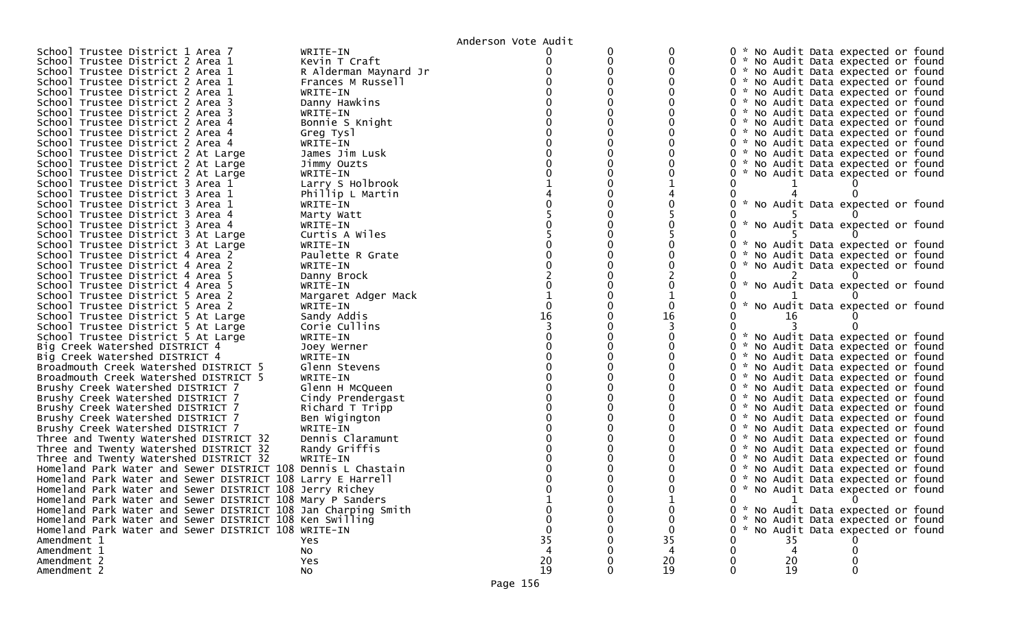|                                                               |                       | Anderson Vote Audit |          |    |     |  |    |                                     |  |
|---------------------------------------------------------------|-----------------------|---------------------|----------|----|-----|--|----|-------------------------------------|--|
| School Trustee District 1 Area 7                              | WRITE-IN              |                     |          |    |     |  |    | 0 * No Audit Data expected or found |  |
| School Trustee District 2 Area 1                              | Kevin T Craft         |                     | 0        |    |     |  |    | 0 * No Audit Data expected or found |  |
| School Trustee District 2 Area 1                              | R Alderman Maynard Jr |                     |          |    |     |  |    | 0 * No Audit Data expected or found |  |
| School Trustee District 2 Area 1                              | Frances M Russell     |                     |          |    |     |  |    | 0 * No Audit Data expected or found |  |
| School Trustee District 2 Area 1                              | WRITE-IN              |                     |          |    |     |  |    | 0 * No Audit Data expected or found |  |
| School Trustee District 2 Area 3                              | Danny Hawkins         |                     |          |    |     |  |    | 0 * No Audit Data expected or found |  |
| School Trustee District 2 Area 3                              | WRITE-IN              |                     |          |    |     |  |    | 0 * No Audit Data expected or found |  |
| School Trustee District 2 Area 4                              | Bonnie S Knight       |                     |          |    |     |  |    | 0 * No Audit Data expected or found |  |
| School Trustee District 2 Area 4                              | Greg Tysl             |                     |          |    |     |  |    | 0 * No Audit Data expected or found |  |
| School Trustee District 2 Area 4                              | WRITE-IN              |                     |          |    |     |  |    | 0 * No Audit Data expected or found |  |
| School Trustee District 2 At Large                            | James Jim Lusk        |                     |          |    |     |  |    | 0 * No Audit Data expected or found |  |
| School Trustee District 2 At Large                            | Jimmy Ouzts           |                     |          |    |     |  |    | 0 * No Audit Data expected or found |  |
| School Trustee District 2 At Large                            | WRITE-IN              |                     |          |    |     |  |    | 0 * No Audit Data expected or found |  |
| School Trustee District 3 Area 1                              | Larry S Holbrook      |                     |          |    |     |  |    |                                     |  |
| School Trustee District 3 Area 1                              | Phillip L Martin      |                     |          |    |     |  |    |                                     |  |
| School Trustee District 3 Area 1                              | WRITE-IN              |                     |          |    |     |  |    | 0 * No Audit Data expected or found |  |
| School Trustee District 3 Area 4                              | Marty Watt            |                     |          |    |     |  |    |                                     |  |
| School Trustee District 3 Area 4                              | WRITE-IN              |                     |          |    |     |  |    | 0 * No Audit Data expected or found |  |
| School Trustee District 3 At Large                            | Curtis A Wiles        |                     |          |    |     |  |    |                                     |  |
| School Trustee District 3 At Large                            | WRITE-IN              |                     |          |    |     |  |    | 0 * No Audit Data expected or found |  |
| School Trustee District 4 Area 2                              | Paulette R Grate      |                     |          |    |     |  |    | 0 * No Audit Data expected or found |  |
| School Trustee District 4 Area 2                              | WRITE-IN              |                     |          |    |     |  |    | 0 * No Audit Data expected or found |  |
| School Trustee District 4 Area 5                              | Danny Brock           |                     |          |    |     |  |    |                                     |  |
| School Trustee District 4 Area 5                              | WRITE-IN              |                     |          |    |     |  |    | 0 * No Audit Data expected or found |  |
| School Trustee District 5 Area 2                              |                       |                     |          |    |     |  |    |                                     |  |
| School Trustee District 5 Area 2                              | Margaret Adger Mack   |                     |          |    |     |  |    |                                     |  |
|                                                               | WRITE-IN              | 16                  |          | 16 |     |  |    | No Audit Data expected or found     |  |
| School Trustee District 5 At Large                            | Sandy Addis           |                     |          |    |     |  | 16 |                                     |  |
| School Trustee District 5 At Large                            | Corie Cullins         |                     |          |    |     |  |    |                                     |  |
| School Trustee District 5 At Large                            | WRITE-IN              |                     |          |    |     |  |    | 0 * No Audit Data expected or found |  |
| Big Creek Watershed DISTRICT 4                                | Joey Werner           |                     |          |    |     |  |    | 0 * No Audit Data expected or found |  |
| Big Creek Watershed DISTRICT 4                                | WRITE-IN              |                     |          |    |     |  |    | 0 * No Audit Data expected or found |  |
| Broadmouth Creek Watershed DISTRICT 5                         | Glenn Stevens         |                     |          |    |     |  |    | 0 * No Audit Data expected or found |  |
| Broadmouth Creek Watershed DISTRICT 5                         | WRITE-IN              |                     |          |    |     |  |    | 0 * No Audit Data expected or found |  |
| Brushy Creek Watershed DISTRICT 7                             | Glenn H McQueen       |                     |          |    |     |  |    | 0 * No Audit Data expected or found |  |
| Brushy Creek Watershed DISTRICT 7                             | Cindy Prendergast     |                     |          |    |     |  |    | 0 * No Audit Data expected or found |  |
| Brushy Creek Watershed DISTRICT 7                             | Richard T Tripp       |                     |          |    |     |  |    | 0 * No Audit Data expected or found |  |
| Brushy Creek Watershed DISTRICT 7                             | Ben Wigington         |                     |          |    |     |  |    | 0 * No Audit Data expected or found |  |
| Brushy Creek Watershed DISTRICT 7                             | WRITE-IN              |                     |          |    |     |  |    | 0 * No Audit Data expected or found |  |
| Three and Twenty Watershed DISTRICT 32                        | Dennis Claramunt      |                     |          |    |     |  |    | 0 * No Audit Data expected or found |  |
| Three and Twenty Watershed DISTRICT 32                        | Randy Griffis         |                     |          |    |     |  |    | 0 * No Audit Data expected or found |  |
| Three and Twenty Watershed DISTRICT 32                        | WRITE-IN              |                     |          |    |     |  |    | 0 * No Audit Data expected or found |  |
| Homeland Park Water and Sewer DISTRICT 108 Dennis L Chastain  |                       |                     |          |    |     |  |    | 0 * No Audit Data expected or found |  |
| Homeland Park Water and Sewer DISTRICT 108 Larry E Harrell    |                       |                     |          |    |     |  |    | 0 * No Audit Data expected or found |  |
| Homeland Park Water and Sewer DISTRICT 108 Jerry Richey       |                       |                     |          |    |     |  |    | 0 * No Audit Data expected or found |  |
| Homeland Park Water and Sewer DISTRICT 108 Mary P Sanders     |                       |                     |          |    | 0   |  |    | $\Omega$                            |  |
| Homeland Park Water and Sewer DISTRICT 108 Jan Charping Smith |                       |                     |          |    |     |  |    | 0 * No Audit Data expected or found |  |
| Homeland Park Water and Sewer DISTRICT 108 Ken Swilling       |                       |                     |          |    | 0 * |  |    | No Audit Data expected or found     |  |
| Homeland Park Water and Sewer DISTRICT 108 WRITE-IN           |                       |                     |          |    |     |  |    | No Audit Data expected or found     |  |
| Amendment 1                                                   | Yes                   | 35                  |          | 35 |     |  | 35 |                                     |  |
| Amendment 1                                                   | No                    |                     |          |    |     |  | 4  |                                     |  |
| Amendment 2                                                   | Yes                   | 20                  |          | 20 |     |  | 20 |                                     |  |
| Amendment 2                                                   | <b>NO</b>             | 19                  | $\Omega$ | 19 |     |  | 19 |                                     |  |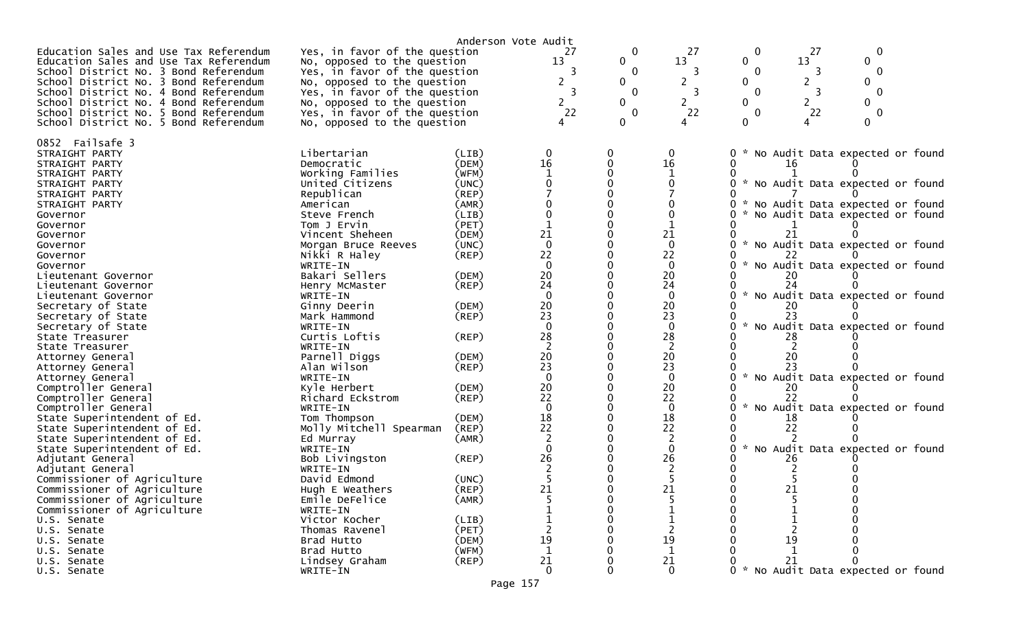|                                                                                |                                                              | Anderson Vote Audit |                  |                              |                |                             |              |                                   |  |
|--------------------------------------------------------------------------------|--------------------------------------------------------------|---------------------|------------------|------------------------------|----------------|-----------------------------|--------------|-----------------------------------|--|
| Education Sales and Use Tax Referendum                                         | Yes, in favor of the question                                |                     | 27               | $\mathbf 0$                  | 27<br>13       | 0                           | 27<br>13     | $\mathbf 0$<br>$\mathbf{0}$       |  |
| Education Sales and Use Tax Referendum                                         | No, opposed to the question                                  |                     | 13<br>3          | $\mathbf{0}$<br>$\mathbf{0}$ | 3              | $\mathbf{0}$<br>$\mathbf 0$ |              | $\mathbf 0$                       |  |
| School District No. 3 Bond Referendum<br>School District No. 3 Bond Referendum | Yes, in favor of the question<br>No, opposed to the question |                     | 2                | $\mathbf{0}$                 | 2              | $\mathbf{0}$                | 3<br>2       | $\mathbf{0}$                      |  |
| School District No. 4 Bond Referendum                                          | Yes, in favor of the question                                |                     | 3                | $\Omega$                     | 3              | $\Omega$                    | 3            | $\Omega$                          |  |
| School District No. 4 Bond Referendum                                          | No, opposed to the question                                  |                     | $2^{\circ}$      | $\mathbf{0}$                 | 2              | $\mathbf{0}$                | $\mathbf{2}$ | $\mathbf{0}$                      |  |
| School District No. 5 Bond Referendum                                          | Yes, in favor of the question                                |                     | 22               | $\Omega$                     | 22             | $\Omega$                    | 22           | $\Omega$                          |  |
| School District No. 5 Bond Referendum                                          | No, opposed to the question                                  |                     |                  | $\mathbf{0}$                 | 4              | 0                           |              | 0                                 |  |
|                                                                                |                                                              |                     |                  |                              |                |                             |              |                                   |  |
| 0852 Failsafe 3                                                                |                                                              |                     |                  |                              |                |                             |              |                                   |  |
| STRAIGHT PARTY                                                                 | Libertarian                                                  | (LIB)               | 0                | 0                            | 0              |                             |              | No Audit Data expected or found   |  |
| STRAIGHT PARTY                                                                 | Democratic                                                   | (DEM)               | 16               | $\mathbf{0}$                 | 16             |                             | 16           |                                   |  |
| STRAIGHT PARTY                                                                 | Working Families                                             | (WFM)               |                  |                              |                |                             |              |                                   |  |
| STRAIGHT PARTY                                                                 | United Citizens                                              | (UNC)               |                  |                              |                |                             |              | * No Audit Data expected or found |  |
| STRAIGHT PARTY                                                                 | Republican                                                   | $($ REP $)$         |                  |                              |                |                             |              |                                   |  |
| STRAIGHT PARTY                                                                 | American                                                     | (AMR)               |                  |                              |                |                             |              | No Audit Data expected or found   |  |
| Governor                                                                       | Steve French                                                 | (LIB)               |                  |                              |                |                             |              | No Audit Data expected or found   |  |
| Governor                                                                       | Tom J Ervin                                                  | (PET)               |                  |                              |                |                             |              |                                   |  |
| Governor                                                                       | Vincent Sheheen                                              | (DEM)               | 21               |                              | 21             |                             |              |                                   |  |
| Governor                                                                       | Morgan Bruce Reeves                                          | (UNC)               | $\mathbf 0$      |                              | $\mathbf{0}$   |                             |              | * No Audit Data expected or found |  |
| Governor                                                                       | Nikki R Haley                                                | (REP)               | 22               |                              | 22             |                             |              |                                   |  |
| Governor                                                                       | WRITE-IN                                                     |                     | $\Omega$         |                              | $\mathbf{0}$   |                             |              | No Audit Data expected or found   |  |
| Lieutenant Governor                                                            | Bakari Sellers                                               | (DEM)               | 20               |                              | 20             |                             | 20           |                                   |  |
| Lieutenant Governor                                                            | Henry McMaster                                               | (REP)               | 24               |                              | 24             |                             |              |                                   |  |
| Lieutenant Governor                                                            | WRITE-IN                                                     |                     | $\Omega$         |                              | $\mathbf{0}$   |                             |              | * No Audit Data expected or found |  |
| Secretary of State                                                             | Ginny Deerin                                                 | (DEM)               | 20<br>23         |                              | 20             |                             | 20           |                                   |  |
| Secretary of State                                                             | Mark Hammond                                                 | (REP)               | $\Omega$         |                              | 23             |                             | 23           |                                   |  |
| Secretary of State                                                             | WRITE-IN<br>Curtis Loftis                                    | $($ REP $)$         | 28               |                              | 0<br>28        |                             |              | No Audit Data expected or found   |  |
| State Treasurer<br>State Treasurer                                             | WRITE-IN                                                     |                     |                  |                              |                |                             | 28           |                                   |  |
| Attorney General                                                               | Parnell Diggs                                                | (DEM)               | 20               |                              | 20             |                             | 20           |                                   |  |
| Attorney General                                                               | Alan Wilson                                                  | $($ REP $)$         | 23               |                              | 23             |                             | 23           |                                   |  |
| Attorney General                                                               | WRITE-IN                                                     |                     | $\Omega$         |                              | $\mathbf{0}$   |                             |              | * No Audit Data expected or found |  |
| Comptroller General                                                            | Kyle Herbert                                                 | (DEM)               | 20               |                              | 20             |                             |              |                                   |  |
| Comptroller General                                                            | Richard Eckstrom                                             | $($ REP $)$         | 22               |                              | 22             |                             | 22           |                                   |  |
| Comptroller General                                                            | WRITE-IN                                                     |                     | $\mathbf{0}$     |                              | 0              |                             |              | * No Audit Data expected or found |  |
| State Superintendent of Ed.                                                    | Tom Thompson                                                 | (DEM)               | 18               |                              | 18             |                             | 18           |                                   |  |
| State Superintendent of Ed.                                                    | Molly Mitchell Spearman                                      | (REP)               | 22               |                              | 22             |                             | 22           |                                   |  |
| State Superintendent of Ed.                                                    | Ed Murray                                                    | (AMR)               |                  |                              |                |                             |              |                                   |  |
| State Superintendent of Ed.                                                    | WRITE-IN                                                     |                     | $\Omega$         |                              | $\Omega$       |                             |              | No Audit Data expected or found   |  |
| Adjutant General                                                               | Bob Livingston                                               | (REP)               | 26               |                              | 26             |                             | 26           |                                   |  |
| Adjutant General                                                               | WRITE-IN                                                     |                     |                  |                              |                |                             |              |                                   |  |
| Commissioner of Agriculture                                                    | David Edmond                                                 | (UNC)               |                  |                              |                |                             |              |                                   |  |
| Commissioner of Agriculture                                                    | Hugh E Weathers                                              | (REP)               | 21               |                              | 21             |                             | 21           |                                   |  |
| Commissioner of Agriculture                                                    | Emile DeFelice                                               | (AMR)               |                  | 0                            | 5              |                             |              |                                   |  |
| Commissioner of Agriculture                                                    | WRITE-IN                                                     |                     |                  |                              |                |                             |              |                                   |  |
| U.S. Senate                                                                    | Victor Kocher                                                | (LIB)               |                  |                              |                |                             |              |                                   |  |
| U.S. Senate                                                                    | Thomas Ravenel                                               | (PET)               |                  |                              |                |                             |              |                                   |  |
| U.S. Senate                                                                    | Brad Hutto                                                   | (DEM)               | 19               |                              | 19             |                             | 19           |                                   |  |
| U.S. Senate                                                                    | Brad Hutto                                                   | (WFM)               | $\mathbf{1}$     |                              | $\mathbf{1}$   |                             |              |                                   |  |
| U.S. Senate                                                                    | Lindsey Graham                                               | $($ REP $)$         | $_{\rm 20}^{21}$ |                              | $2\frac{1}{0}$ |                             | 21           |                                   |  |
| U.S. Senate                                                                    | WRITE-IN                                                     |                     |                  |                              |                |                             |              | * No Audit Data expected or found |  |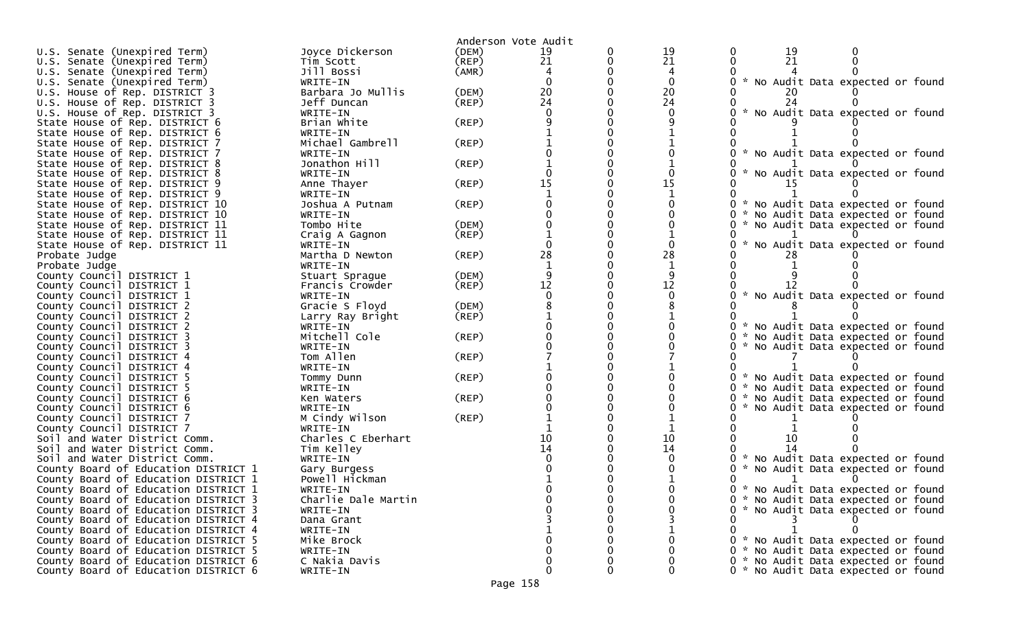|                                      |                     |       | Anderson Vote Audit |              |    |                                     |
|--------------------------------------|---------------------|-------|---------------------|--------------|----|-------------------------------------|
| U.S. Senate (Unexpired Term)         | Joyce Dickerson     | (DEM) | 19                  | 19           | 19 |                                     |
| U.S. Senate (Unexpired Term)         | Tim Scott           | (REP) | 21                  | 21           | 21 |                                     |
| U.S. Senate (Unexpired Term)         | Jill Bossi          | (AMR) |                     | 4            |    |                                     |
| U.S. Senate (Unexpired Term)         | WRITE-IN            |       |                     | $\mathbf{0}$ |    | * No Audit Data expected or found   |
| U.S. House of Rep. DISTRICT 3        | Barbara Jo Mullis   | (DEM) | 20                  | 20           |    |                                     |
| U.S. House of Rep. DISTRICT 3        | Jeff Duncan         | (REP) | 24                  | 24           |    |                                     |
| U.S. House of Rep. DISTRICT 3        | WRITE-IN            |       |                     |              |    | * No Audit Data expected or found   |
| State House of Rep. DISTRICT 6       | Brian White         | (REP) |                     |              |    |                                     |
| State House of Rep. DISTRICT 6       | WRITE-IN            |       |                     |              |    |                                     |
| State House of Rep. DISTRICT 7       | Michael Gambrell    | (REP) |                     |              |    |                                     |
| State House of Rep. DISTRICT 7       | WRITE-IN            |       |                     |              |    | * No Audit Data expected or found   |
| State House of Rep. DISTRICT 8       | Jonathon Hill       | (REP) |                     |              |    |                                     |
| State House of Rep. DISTRICT 8       | WRITE-IN            |       |                     |              |    | * No Audit Data expected or found   |
| State House of Rep. DISTRICT 9       | Anne Thayer         | (REP) | 15                  | 15           |    |                                     |
| State House of Rep. DISTRICT 9       | WRITE-IN            |       |                     |              |    |                                     |
| State House of Rep. DISTRICT 10      | Joshua A Putnam     | (REP) |                     |              |    | * No Audit Data expected or found   |
| State House of Rep. DISTRICT 10      | WRITE-IN            |       |                     |              |    | * No Audit Data expected or found   |
| State House of Rep. DISTRICT 11      | Tombo Hite          | (DEM) |                     |              |    | * No Audit Data expected or found   |
| State House of Rep. DISTRICT 11      | Craig A Gagnon      | (REP) |                     |              |    |                                     |
| State House of Rep. DISTRICT 11      | WRITE-IN            |       |                     |              |    | * No Audit Data expected or found   |
| Probate Judge                        | Martha D Newton     | (REP) | 28                  | 28           |    |                                     |
| Probate Judge                        | WRITE-IN            |       |                     |              |    |                                     |
| County Council DISTRICT 1            | Stuart Sprague      | (DEM) |                     |              |    |                                     |
| County Council DISTRICT 1            | Francis Crowder     | (REP) | 12                  | 12           |    |                                     |
| County Council DISTRICT 1            | WRITE-IN            |       |                     |              |    | * No Audit Data expected or found   |
| County Council DISTRICT 2            | Gracie S Floyd      | (DEM) |                     |              |    |                                     |
| County Council DISTRICT 2            | Larry Ray Bright    | (REP) |                     |              |    |                                     |
| County Council DISTRICT 2            | WRITE-IN            |       |                     |              |    | * No Audit Data expected or found   |
| County Council DISTRICT 3            | Mitchell Cole       | (REP) |                     |              |    | * No Audit Data expected or found   |
| County Council DISTRICT 3            | WRITE-IN            |       |                     |              |    | * No Audit Data expected or found   |
| County Council DISTRICT 4            | Tom Allen           | (REP) |                     |              |    |                                     |
| County Council DISTRICT 4            | WRITE-IN            |       |                     |              |    |                                     |
| County Council DISTRICT 5            | Tommy Dunn          | (REP) |                     |              |    | * No Audit Data expected or found   |
| County Council DISTRICT 5            | WRITE-IN            |       |                     |              |    | * No Audit Data expected or found   |
| County Council DISTRICT 6            | Ken Waters          | (REP) |                     |              |    | * No Audit Data expected or found   |
| County Council DISTRICT 6            | WRITE-IN            |       |                     |              |    | * No Audit Data expected or found   |
| County Council DISTRICT 7            | M Cindy Wilson      | (REP) |                     |              |    |                                     |
| County Council DISTRICT 7            | WRITE-IN            |       |                     |              |    |                                     |
| Soil and Water District Comm.        | Charles C Eberhart  |       |                     | 10           |    |                                     |
| Soil and Water District Comm.        | Tim Kelley          |       | 14                  | 14           |    |                                     |
| Soil and Water District Comm.        | WRITE-IN            |       |                     |              |    | * No Audit Data expected or found   |
| County Board of Education DISTRICT 1 | Gary Burgess        |       |                     |              |    | * No Audit Data expected or found   |
| County Board of Education DISTRICT 1 | Powell Hickman      |       |                     |              |    |                                     |
| County Board of Education DISTRICT 1 | WRITE-IN            |       |                     |              |    | 0 * No Audit Data expected or found |
| County Board of Education DISTRICT 3 | Charlie Dale Martin |       |                     |              |    | 0 * No Audit Data expected or found |
| County Board of Education DISTRICT 3 | WRITE-IN            |       |                     |              |    | 0 * No Audit Data expected or found |
| County Board of Education DISTRICT 4 | Dana Grant          |       |                     |              |    |                                     |
| County Board of Education DISTRICT 4 | WRITE-IN            |       |                     |              |    |                                     |
| County Board of Education DISTRICT 5 | Mike Brock          |       |                     |              |    | 0 * No Audit Data expected or found |
| County Board of Education DISTRICT 5 | WRITE-IN            |       |                     |              |    | 0 * No Audit Data expected or found |
| County Board of Education DISTRICT 6 | C Nakia Davis       |       |                     |              |    | 0 * No Audit Data expected or found |
| County Board of Education DISTRICT 6 | WRITE-IN            |       | 0                   |              |    | 0 * No Audit Data expected or found |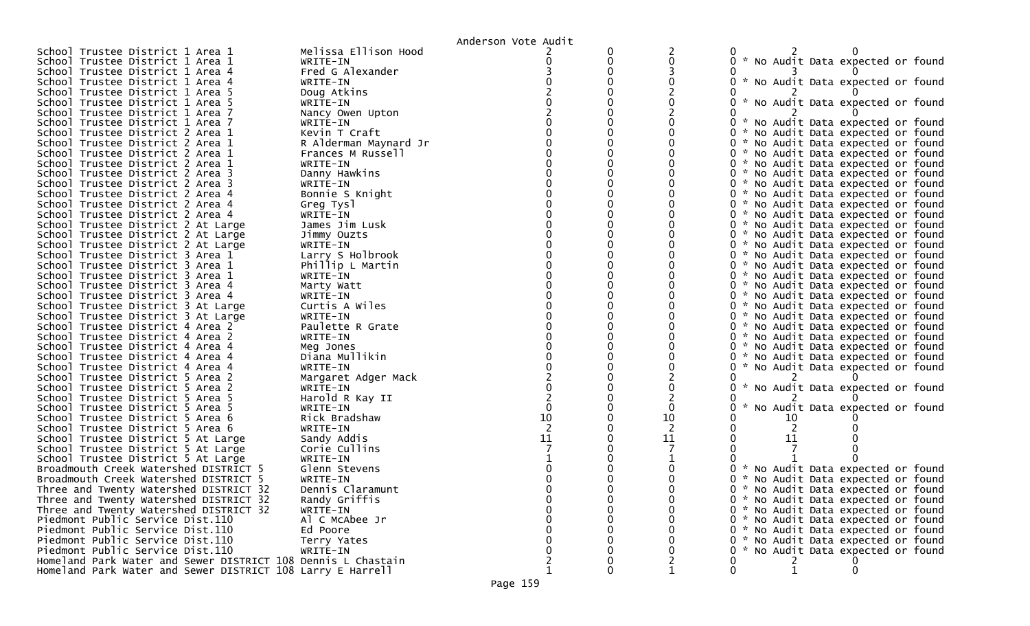|                                                              |                       | Anderson Vote Audit |   |    |          |    |                                     |  |
|--------------------------------------------------------------|-----------------------|---------------------|---|----|----------|----|-------------------------------------|--|
| School Trustee District 1 Area 1                             | Melissa Ellison Hood  |                     |   |    |          |    |                                     |  |
| School Trustee District 1 Area 1                             | WRITE-IN              |                     |   |    |          |    | 0 * No Audit Data expected or found |  |
| School Trustee District 1 Area 4                             | Fred G Alexander      |                     |   |    |          |    |                                     |  |
| School Trustee District 1 Area 4                             | WRITE-IN              |                     |   |    |          |    | 0 * No Audit Data expected or found |  |
| School Trustee District 1 Area 5                             | Doug Atkins           |                     |   |    |          |    |                                     |  |
| School Trustee District 1 Area 5                             | WRITE-IN              |                     |   |    |          |    | 0 * No Audit Data expected or found |  |
| School Trustee District 1 Area 7                             | Nancy Owen Upton      |                     |   |    |          |    |                                     |  |
| School Trustee District 1 Area 7                             | WRITE-IN              |                     |   |    |          |    | 0 * No Audit Data expected or found |  |
| School Trustee District 2 Area 1                             | Kevin T Craft         |                     |   |    |          |    | 0 * No Audit Data expected or found |  |
| School Trustee District 2 Area 1                             | R Alderman Maynard Jr |                     |   |    |          |    | 0 * No Audit Data expected or found |  |
| School Trustee District 2 Area 1                             | Frances M Russell     |                     |   |    |          |    | 0 * No Audit Data expected or found |  |
| School Trustee District 2 Area 1                             | WRITE-IN              |                     |   |    |          |    | 0 * No Audit Data expected or found |  |
| School Trustee District 2 Area 3                             | Danny Hawkins         |                     |   |    |          |    | 0 * No Audit Data expected or found |  |
| School Trustee District 2 Area 3                             | WRITE-IN              |                     |   |    |          |    | 0 * No Audit Data expected or found |  |
| School Trustee District 2 Area 4                             | Bonnie S Knight       |                     |   |    |          |    | 0 * No Audit Data expected or found |  |
| School Trustee District 2 Area 4                             | Greg Tysl             |                     |   |    |          |    | 0 * No Audit Data expected or found |  |
| School Trustee District 2 Area 4                             | WRITE-IN              |                     |   |    |          |    | 0 * No Audit Data expected or found |  |
| School Trustee District 2 At Large                           | James Jim Lusk        |                     |   |    |          |    | 0 * No Audit Data expected or found |  |
| School Trustee District 2 At Large                           | Jimmy Ouzts           |                     |   |    |          |    | 0 * No Audit Data expected or found |  |
| School Trustee District 2 At Large                           | WRITE-IN              |                     |   |    |          |    | 0 * No Audit Data expected or found |  |
| School Trustee District 3 Area 1                             | Larry S Holbrook      |                     |   |    |          |    | 0 * No Audit Data expected or found |  |
| School Trustee District 3 Area 1                             | Phillip L Martin      |                     |   |    |          |    | 0 * No Audit Data expected or found |  |
| School Trustee District 3 Area 1                             | WRITE-IN              |                     |   |    |          |    | 0 * No Audit Data expected or found |  |
| School Trustee District 3 Area 4                             | Marty Watt            |                     |   |    |          |    | 0 * No Audit Data expected or found |  |
| School Trustee District 3 Area 4                             | WRITE-IN              |                     |   |    |          |    | 0 * No Audit Data expected or found |  |
| School Trustee District 3 At Large                           | Curtis A Wiles        |                     |   |    |          |    | 0 * No Audit Data expected or found |  |
| School Trustee District 3 At Large                           | WRITE-IN              |                     |   |    |          |    | 0 * No Audit Data expected or found |  |
| School Trustee District 4 Area 2                             | Paulette R Grate      |                     |   |    |          |    | 0 * No Audit Data expected or found |  |
| School Trustee District 4 Area 2                             | WRITE-IN              |                     |   |    |          |    | 0 * No Audit Data expected or found |  |
| School Trustee District 4 Area 4                             | Meg Jones             |                     |   |    |          |    | 0 * No Audit Data expected or found |  |
| School Trustee District 4 Area 4                             | Diana Mullikin        |                     |   |    |          |    | 0 * No Audit Data expected or found |  |
| School Trustee District 4 Area 4                             | WRITE-IN              |                     |   |    |          |    | * No Audit Data expected or found   |  |
| School Trustee District 5 Area 2                             | Margaret Adger Mack   |                     |   |    |          |    |                                     |  |
| School Trustee District 5 Area 2                             | WRITE-IN              |                     |   |    | <b>W</b> |    | No Audit Data expected or found     |  |
| School Trustee District 5 Area 5                             | Harold R Kay II       |                     |   |    |          |    |                                     |  |
| School Trustee District 5 Area 5                             | WRITE-IN              |                     |   | 0  |          |    | * No Audit Data expected or found   |  |
| School Trustee District 5 Area 6                             | Rick Bradshaw         | 10                  |   | 10 |          | TO |                                     |  |
| School Trustee District 5 Area 6                             | WRITE-IN              |                     |   |    |          |    |                                     |  |
| School Trustee District 5 At Large                           | Sandy Addis           | 11                  |   | 11 |          | 11 |                                     |  |
| School Trustee District 5 At Large                           | Corie Cullins         |                     |   |    |          |    |                                     |  |
| School Trustee District 5 At Large                           | WRITE-IN              |                     |   |    |          |    |                                     |  |
| Broadmouth Creek Watershed DISTRICT 5                        | Glenn Stevens         |                     |   |    |          |    | * No Audit Data expected or found   |  |
| Broadmouth Creek Watershed DISTRICT 5                        | WRITE-IN              |                     |   |    | 0.       |    | No Audit Data expected or found     |  |
| Three and Twenty Watershed DISTRICT 32                       | Dennis Claramunt      |                     |   |    |          |    | 0 * No Audit Data expected or found |  |
| Three and Twenty Watershed DISTRICT 32                       | Randy Griffis         |                     |   | 0  |          |    | 0 * No Audit Data expected or found |  |
| Three and Twenty Watershed DISTRICT 32                       | WRITE-IN              |                     |   | 0  |          |    | 0 * No Audit Data expected or found |  |
| Piedmont Public Service Dist.110                             | Al C McAbee Jr        |                     |   |    |          |    | 0 * No Audit Data expected or found |  |
| Piedmont Public Service Dist.110                             | Ed Poore              |                     |   |    |          |    | 0 * No Audit Data expected or found |  |
| Piedmont Public Service Dist.110                             | Terry Yates           |                     |   |    |          |    | 0 * No Audit Data expected or found |  |
| Piedmont Public Service Dist.110                             | WRITE-IN              |                     |   |    |          |    | 0 * No Audit Data expected or found |  |
| Homeland Park Water and Sewer DISTRICT 108 Dennis L Chastain |                       |                     |   | 2  |          | 2  |                                     |  |
| Homeland Park Water and Sewer DISTRICT 108 Larry E Harrell   |                       |                     | 0 | 1  | 0        |    | 0                                   |  |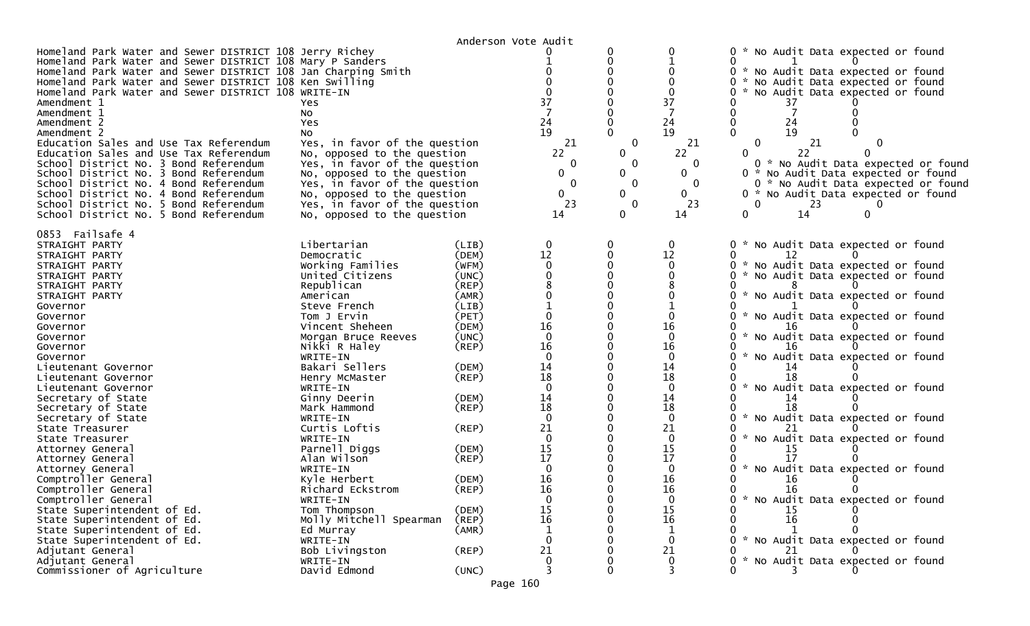|                                                                                                                                                                                                                                                                                                                                                                                                                                                                                                                                                                                                                                                                                                               |                                                                                                                                                                                                                                                                                                                                                                                                                                       |                                                                                                                                                                                                 | Anderson Vote Audit                                                                                                                                                                                                                            |                                                                         |                                                                                                                                                                                                             |                                                                                                                                                                                                                                                                                                                                                                                                                                                                                                                                           |
|---------------------------------------------------------------------------------------------------------------------------------------------------------------------------------------------------------------------------------------------------------------------------------------------------------------------------------------------------------------------------------------------------------------------------------------------------------------------------------------------------------------------------------------------------------------------------------------------------------------------------------------------------------------------------------------------------------------|---------------------------------------------------------------------------------------------------------------------------------------------------------------------------------------------------------------------------------------------------------------------------------------------------------------------------------------------------------------------------------------------------------------------------------------|-------------------------------------------------------------------------------------------------------------------------------------------------------------------------------------------------|------------------------------------------------------------------------------------------------------------------------------------------------------------------------------------------------------------------------------------------------|-------------------------------------------------------------------------|-------------------------------------------------------------------------------------------------------------------------------------------------------------------------------------------------------------|-------------------------------------------------------------------------------------------------------------------------------------------------------------------------------------------------------------------------------------------------------------------------------------------------------------------------------------------------------------------------------------------------------------------------------------------------------------------------------------------------------------------------------------------|
| Homeland Park Water and Sewer DISTRICT 108 Jerry Richey<br>Homeland Park Water and Sewer DISTRICT 108 Mary P Sanders<br>Homeland Park Water and Sewer DISTRICT 108 Jan Charping Smith<br>Homeland Park Water and Sewer DISTRICT 108 Ken Swilling<br>Homeland Park Water and Sewer DISTRICT 108 WRITE-IN<br>Amendment 1<br>Amendment 1<br>Amendment 2<br>Amendment 2<br>Education Sales and Use Tax Referendum<br>Education Sales and Use Tax Referendum<br>School District No. 3 Bond Referendum<br>School District No. 3 Bond Referendum<br>School District No. 4 Bond Referendum<br>School District No. 4 Bond Referendum<br>School District No. 5 Bond Referendum<br>School District No. 5 Bond Referendum | Yes<br>No<br>Yes<br>No.<br>Yes, in favor of the question<br>No, opposed to the question<br>Yes, in favor of the question<br>No, opposed to the question<br>Yes, in favor of the question<br>No, opposed to the question<br>Yes, in favor of the question<br>No, opposed to the question                                                                                                                                               |                                                                                                                                                                                                 | 37<br>24<br>19<br>21<br>22<br>0<br>0<br>0<br>0<br>23<br>14                                                                                                                                                                                     | 0<br>$\overline{0}$<br>0<br>$\mathbf{0}$<br>0<br>$\mathbf{0}$<br>0<br>0 | 0<br>37<br>7<br>24<br>19<br>21<br>22<br>0<br>0<br>0<br>0<br>23<br>14                                                                                                                                        | 0 * No Audit Data expected or found<br>0.<br>* No Audit Data expected or found<br>0.<br>* No Audit Data expected or found<br>No Audit Data expected or found<br>37<br>24<br>19<br>0<br>21<br>22<br>0<br>0 * No Audit Data expected or found<br>0 * No Audit Data expected or found<br>0 * No Audit Data expected or found<br>$0 *$<br>No Audit Data expected or found<br>0<br>23<br>$\Omega$<br>0<br>14<br>0                                                                                                                              |
| 0853 Failsafe 4<br>STRAIGHT PARTY<br>STRAIGHT PARTY<br>STRAIGHT PARTY<br>STRAIGHT PARTY<br>STRAIGHT PARTY<br>STRAIGHT PARTY<br>Governor<br>Governor<br>Governor<br>Governor<br>Governor<br>Governor<br>Lieutenant Governor<br>Lieutenant Governor<br>Lieutenant Governor<br>Secretary of State<br>Secretary of State<br>Secretary of State<br>State Treasurer<br>State Treasurer<br>Attorney General<br>Attorney General<br>Attorney General<br>Comptroller General<br>Comptroller General<br>Comptroller General<br>State Superintendent of Ed.                                                                                                                                                              | Libertarian<br>Democratic<br>Working Families<br>United Citizens<br>Republican<br>American<br>Steve French<br>Tom J Ervin<br>Vincent Sheheen<br>Morgan Bruce Reeves<br>Nikki R Haley<br>WRITE-IN<br>Bakari Sellers<br>Henry McMaster<br>WRITE-IN<br>Ginny Deerin<br>Mark Hammond<br>WRITE-IN<br>Curtis Loftis<br>WRITE-IN<br>Parnell Diggs<br>Alan Wilson<br>WRITE-IN<br>Kyle Herbert<br>Richard Eckstrom<br>WRITE-IN<br>Tom Thompson | (LIB)<br>(DEM)<br>(WFM)<br>(UNC)<br>(REP)<br>(AMR)<br>(LIB)<br>(PET)<br>(DEM)<br>(UNC)<br>(REP)<br>(DEM)<br>(REP)<br>(DEM)<br>$($ REP $)$<br>(REP)<br>(DEM)<br>(REP)<br>(DEM)<br>(REP)<br>(DEM) | 0<br>12<br>$\mathbf{0}$<br>$\Omega$<br>8<br>$\mathbf 1$<br>$\mathbf{0}$<br>16<br>$\mathbf{0}$<br>16<br>$\Omega$<br>14<br>18<br>$\Omega$<br>14<br>18<br>$\Omega$<br>21<br>$\mathbf{0}$<br>15<br>17<br>$\mathbf{0}$<br>16<br>16<br>0<br>15<br>16 | 0<br>$\mathbf 0$<br>$\Omega$                                            | 0<br>12<br>$\mathbf 0$<br>$\Omega$<br>8<br>$\Omega$<br>16<br>$\Omega$<br>16<br>$\mathbf{0}$<br>14<br>18<br>$\mathbf{0}$<br>14<br>18<br>0<br>21<br>$\mathbf 0$<br>15<br>17<br>0<br>16<br>16<br>0<br>15<br>16 | 0 * No Audit Data expected or found<br>O<br>12<br>* No Audit Data expected or found<br>0<br>No Audit Data expected or found<br>* No Audit Data expected or found<br>* No Audit Data expected or found<br>*.<br>No Audit Data expected or found<br>No Audit Data expected or found<br>*.<br>18<br>W.<br>No Audit Data expected or found<br>14<br>18<br>* No Audit Data expected or found<br>* No Audit Data expected or found<br>15<br>* No Audit Data expected or found<br>16<br>16<br>0<br>* No Audit Data expected or found<br>15<br>16 |
| State Superintendent of Ed.<br>State Superintendent of Ed.<br>State Superintendent of Ed.<br>Adjutant General<br>Adjutant General<br>Commissioner of Agriculture                                                                                                                                                                                                                                                                                                                                                                                                                                                                                                                                              | Molly Mitchell Spearman<br>Ed Murray<br>WRITE-IN<br>Bob Livingston<br>WRITE-IN<br>David Edmond                                                                                                                                                                                                                                                                                                                                        | (REP)<br>(AMR)<br>$($ REP $)$<br>(UNC)                                                                                                                                                          | 1<br>0<br>21<br>0                                                                                                                                                                                                                              | 0<br>$\mathbf 0$                                                        | 1<br>0<br>21<br>0<br>3                                                                                                                                                                                      | * No Audit Data expected or found<br>* No Audit Data expected or found                                                                                                                                                                                                                                                                                                                                                                                                                                                                    |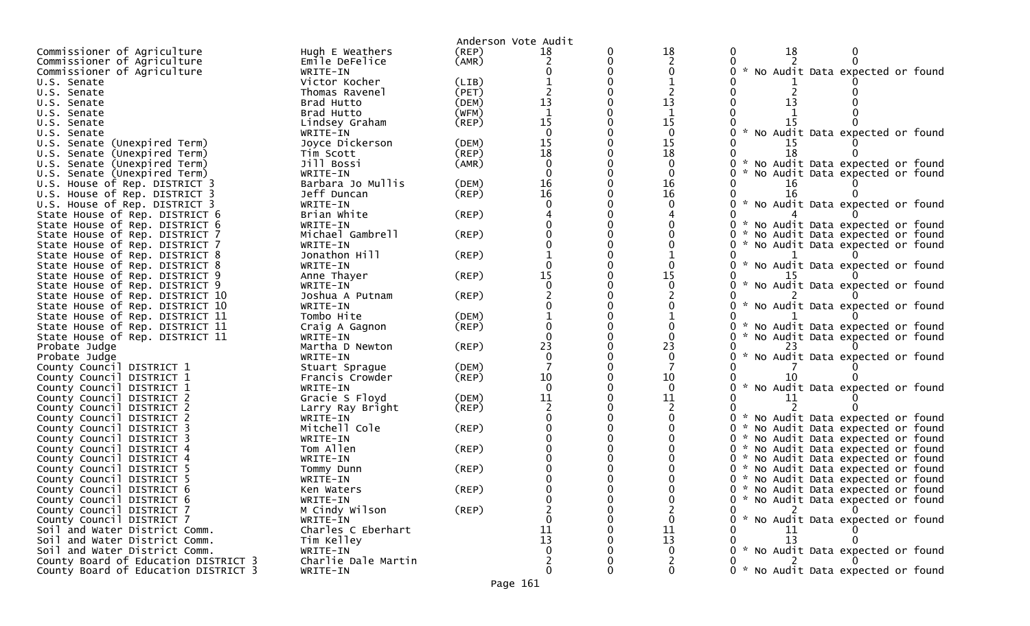|                                                        |                           |             | Anderson Vote Audit |              |                                                                             |
|--------------------------------------------------------|---------------------------|-------------|---------------------|--------------|-----------------------------------------------------------------------------|
| Commissioner of Agriculture                            | Hugh E Weathers           | (REP)       | 18                  | 18           | 18                                                                          |
| Commissioner of Agriculture                            | Emile DeFelice            | (AMR)       |                     | 2            |                                                                             |
| Commissioner of Agriculture                            | WRITE-IN                  |             |                     |              | * No Audit Data expected or found                                           |
| U.S. Senate                                            | Victor Kocher             | (LIB)       |                     |              |                                                                             |
| U.S. Senate                                            | Thomas Ravenel            | (PET)       |                     |              |                                                                             |
| U.S. Senate                                            | Brad Hutto                | (DEM)       | 13                  | 13           |                                                                             |
| U.S. Senate                                            | Brad Hutto                | (WFM)       |                     | $\mathbf 1$  |                                                                             |
| U.S. Senate                                            | Lindsey Graham            | $($ REP $)$ | 15                  | 15           | 15                                                                          |
| U.S. Senate                                            | WRITE-IN                  |             |                     | 0            | $\mathcal{H}$<br>No Audit Data expected or found                            |
| U.S. Senate (Unexpired Term)                           | Joyce Dickerson           | (DEM)       | 15                  | 15           | 15                                                                          |
| U.S. Senate (Unexpired Term)                           | Tim Scott                 | (REP)       | 18                  | 18           | 18                                                                          |
| U.S. Senate (Unexpired Term)                           | Jill Bossi                | (AMR)       |                     |              | ×.<br>No Audit Data expected or found                                       |
| U.S. Senate (Unexpired Term)                           | WRITE-IN                  |             |                     | 0            | No Audit Data expected or found                                             |
| U.S. House of Rep. DISTRICT 3                          | Barbara Jo Mullis         | (DEM)       | 16                  | 16           | 16                                                                          |
| U.S. House of Rep. DISTRICT 3                          | Jeff Duncan               | $($ REP $)$ | 16                  | 16           | 16                                                                          |
| U.S. House of Rep. DISTRICT 3                          | WRITE-IN                  |             |                     |              | * No Audit Data expected or found                                           |
| State House of Rep. DISTRICT 6                         | Brian White               | $($ REP $)$ |                     |              |                                                                             |
| State House of Rep. DISTRICT 6                         | WRITE-IN                  |             |                     |              | * No Audit Data expected or found                                           |
| State House of Rep. DISTRICT 7                         | Michael Gambrell          | (REP)       |                     |              | * No Audit Data expected or found                                           |
| State House of Rep. DISTRICT 7                         | WRITE-IN                  |             |                     |              | * No Audit Data expected or found                                           |
| State House of Rep. DISTRICT 8                         | Jonathon Hill             | $($ REP $)$ |                     |              |                                                                             |
| State House of Rep. DISTRICT 8                         | WRITE-IN                  |             |                     |              | * No Audit Data expected or found                                           |
| State House of Rep. DISTRICT 9                         | Anne Thayer               | $($ REP $)$ | 15                  | 15           |                                                                             |
| State House of Rep. DISTRICT 9                         | WRITE-IN                  |             |                     |              | * No Audit Data expected or found                                           |
| State House of Rep. DISTRICT 10                        | Joshua A Putnam           | (REP)       |                     |              |                                                                             |
| State House of Rep. DISTRICT 10                        | WRITE-IN                  |             |                     |              | * No Audit Data expected or found                                           |
| State House of Rep. DISTRICT 11                        | Tombo Hite                | (DEM)       |                     |              |                                                                             |
| State House of Rep. DISTRICT 11                        | Craig A Gagnon            | (REP)       |                     |              | * No Audit Data expected or found                                           |
| State House of Rep. DISTRICT 11                        | WRITE-IN                  |             |                     |              | No Audit Data expected or found                                             |
| Probate Judge                                          | Martha D Newton           | (REP)       | 23                  | 23           |                                                                             |
| Probate Judge                                          | WRITE-IN                  |             |                     | $\Omega$     | * No Audit Data expected or found                                           |
| County Council DISTRICT 1                              | Stuart Sprague            | (DEM)       |                     |              |                                                                             |
| County Council DISTRICT 1                              | Francis Crowder           | (REP)       | 10                  | 10           |                                                                             |
| County Council DISTRICT 1                              | WRITE-IN                  |             | $\Omega$            | $\mathbf{0}$ | * No Audit Data expected or found                                           |
| County Council DISTRICT 2                              | Gracie S Floyd            | (DEM)       | 11                  | 11           |                                                                             |
| County Council DISTRICT 2                              | Larry Ray Bright          | (REP)       |                     |              |                                                                             |
| County Council DISTRICT 2                              | WRITE-IN<br>Mitchell Cole |             |                     |              | * No Audit Data expected or found                                           |
| County Council DISTRICT 3                              |                           | $($ REP $)$ |                     |              | * No Audit Data expected or found<br>0                                      |
| County Council DISTRICT 3<br>County Council DISTRICT 4 | WRITE-IN<br>Tom Allen     | $($ REP $)$ |                     |              | * No Audit Data expected or found<br>0<br>* No Audit Data expected or found |
| County Council DISTRICT 4                              | WRITE-IN                  |             |                     |              |                                                                             |
| County Council DISTRICT 5                              |                           | (REP)       |                     |              | * No Audit Data expected or found<br>* No Audit Data expected or found      |
| County Council DISTRICT 5                              | Tommy Dunn<br>WRITE-IN    |             |                     |              | * No Audit Data expected or found<br>0.                                     |
| County Council DISTRICT 6                              | Ken Waters                | (REP)       |                     |              | 0 * No Audit Data expected or found                                         |
| County Council DISTRICT 6                              | WRITE-IN                  |             |                     |              | 0 * No Audit Data expected or found                                         |
| County Council DISTRICT 7                              | M Cindy Wilson            | $($ REP $)$ |                     |              |                                                                             |
| County Council DISTRICT 7                              | WRITE-IN                  |             |                     | 0            | * No Audit Data expected or found                                           |
| Soil and Water District Comm.                          | Charles C Eberhart        |             |                     | 11           | 11                                                                          |
| Soil and Water District Comm.                          | Tim Kelley                |             | 13                  | 13           | 13                                                                          |
| Soil and Water District Comm.                          | WRITE-IN                  |             |                     |              | 0 * No Audit Data expected or found                                         |
| County Board of Education DISTRICT 3                   | Charlie Dale Martin       |             |                     |              |                                                                             |
| County Board of Education DISTRICT 3                   | WRITE-IN                  |             |                     | 0            | 0 * No Audit Data expected or found                                         |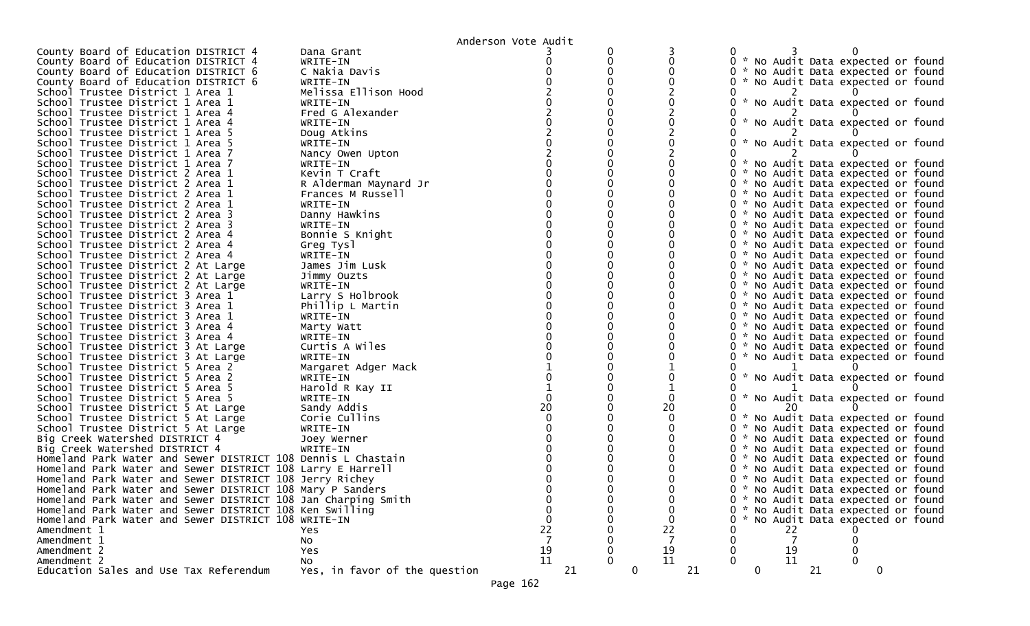|                                                                          |                                 | Anderson Vote Audit |                    |    |             |    |    |                                     |  |
|--------------------------------------------------------------------------|---------------------------------|---------------------|--------------------|----|-------------|----|----|-------------------------------------|--|
| County Board of Education DISTRICT 4                                     | Dana Grant                      |                     |                    |    |             |    |    |                                     |  |
| County Board of Education DISTRICT 4                                     | WRITE-IN                        |                     |                    |    |             |    |    | 0 * No Audit Data expected or found |  |
| County Board of Education DISTRICT 6                                     | C Nakia Davis                   |                     |                    |    |             |    |    | 0 * No Audit Data expected or found |  |
| County Board of Education DISTRICT 6                                     | WRITE-IN                        |                     |                    |    |             |    |    | * No Audit Data expected or found   |  |
| School Trustee District 1 Area 1                                         | Melissa Ellison Hood            |                     |                    |    |             |    |    |                                     |  |
| School Trustee District 1 Area 1                                         | WRITE-IN                        |                     |                    |    |             |    |    | * No Audit Data expected or found   |  |
| School Trustee District 1 Area 4                                         | Fred G Alexander                |                     |                    |    |             |    |    |                                     |  |
| School Trustee District 1 Area 4                                         | WRITE-IN                        |                     |                    |    |             |    |    | * No Audit Data expected or found   |  |
| School Trustee District 1 Area 5                                         | Doug Atkins                     |                     |                    |    |             |    |    |                                     |  |
| School Trustee District 1 Area 5                                         | WRITE-IN                        |                     |                    |    |             |    |    | * No Audit Data expected or found   |  |
| School Trustee District 1 Area 7                                         | Nancy Owen Upton                |                     |                    |    |             |    |    |                                     |  |
| School Trustee District 1 Area 7                                         | WRITE-IN                        |                     |                    |    |             |    |    | 0 * No Audit Data expected or found |  |
| School Trustee District 2 Area 1                                         | Kevin T Craft                   |                     |                    |    |             |    |    | * No Audit Data expected or found   |  |
| School Trustee District 2 Area 1                                         | R Alderman Maynard Jr           |                     |                    |    |             |    |    | 0 * No Audit Data expected or found |  |
| School Trustee District 2 Area 1                                         | Frances M Russell               |                     |                    |    |             |    |    | 0 * No Audit Data expected or found |  |
| School Trustee District 2 Area 1                                         | WRITE-IN                        |                     |                    |    |             |    |    | 0 * No Audit Data expected or found |  |
| School Trustee District 2 Area 3                                         | Danny Hawkins                   |                     |                    |    |             |    |    | 0 * No Audit Data expected or found |  |
| School Trustee District 2 Area 3                                         | WRITE-IN                        |                     |                    |    |             |    |    | 0 * No Audit Data expected or found |  |
| School Trustee District 2 Area 4                                         | Bonnie S Knight                 |                     |                    |    |             |    |    | 0 * No Audit Data expected or found |  |
| School Trustee District 2 Area 4                                         | Greg Tysl                       |                     |                    |    |             |    |    | 0 * No Audit Data expected or found |  |
| School Trustee District 2 Area 4                                         | WRITE-IN                        |                     |                    |    |             |    |    | 0 * No Audit Data expected or found |  |
| School Trustee District 2 At Large                                       | James Jim Lusk                  |                     |                    |    |             |    |    | 0 * No Audit Data expected or found |  |
| School Trustee District 2 At Large                                       | Jimmy Ouzts                     |                     |                    |    |             |    |    | 0 * No Audit Data expected or found |  |
| School Trustee District 2 At Large                                       | WRITE-IN                        |                     |                    |    |             |    |    | 0 * No Audit Data expected or found |  |
| School Trustee District 3 Area 1                                         | Larry S Holbrook                |                     |                    |    |             |    |    | 0 * No Audit Data expected or found |  |
| School Trustee District 3 Area 1                                         | Phillip L Martin                |                     |                    |    |             |    |    | 0 * No Audit Data expected or found |  |
| School Trustee District 3 Area 1                                         | WRITE-IN                        |                     |                    |    |             |    |    | 0 * No Audit Data expected or found |  |
| School Trustee District 3 Area 4                                         |                                 |                     |                    |    |             |    |    | 0 * No Audit Data expected or found |  |
| School Trustee District 3 Area 4                                         | Marty Watt<br>WRITE-IN          |                     |                    |    |             |    |    | 0 * No Audit Data expected or found |  |
|                                                                          | Curtis A Wiles                  |                     |                    |    |             |    |    | 0 * No Audit Data expected or found |  |
| School Trustee District 3 At Large<br>School Trustee District 3 At Large | WRITE-IN                        |                     |                    |    |             |    |    | 0 * No Audit Data expected or found |  |
| School Trustee District 5 Area 2                                         |                                 |                     |                    |    |             |    |    |                                     |  |
| School Trustee District 5 Area 2                                         | Margaret Adger Mack<br>WRITE-IN |                     |                    |    |             |    |    | * No Audit Data expected or found   |  |
| School Trustee District 5 Area 5                                         | Harold R Kay II                 |                     |                    |    |             |    |    |                                     |  |
| School Trustee District 5 Area 5                                         | WRITE-IN                        |                     |                    |    |             |    |    |                                     |  |
|                                                                          | Sandy Addis                     | 20                  | 20                 |    |             |    |    | * No Audit Data expected or found   |  |
| School Trustee District 5 At Large                                       |                                 |                     |                    |    |             |    |    |                                     |  |
| School Trustee District 5 At Large                                       | Corie Cullins                   |                     |                    | 0  |             |    |    | * No Audit Data expected or found   |  |
| School Trustee District 5 At Large                                       | WRITE-IN                        |                     |                    |    |             |    |    | * No Audit Data expected or found   |  |
| Big Creek Watershed DISTRICT 4                                           | Joey Werner                     |                     |                    |    |             |    |    | 0 * No Audit Data expected or found |  |
| Big Creek Watershed DISTRICT 4                                           | WRITE-IN                        |                     |                    |    |             |    |    | 0 * No Audit Data expected or found |  |
| Homeland Park Water and Sewer DISTRICT 108 Dennis L Chastain             |                                 |                     |                    | 0  |             |    |    | * No Audit Data expected or found   |  |
| Homeland Park Water and Sewer DISTRICT 108 Larry E Harrell               |                                 |                     |                    |    |             |    |    | * No Audit Data expected or found   |  |
| Homeland Park Water and Sewer DISTRICT 108 Jerry Richey                  |                                 |                     |                    | 0. |             |    |    | * No Audit Data expected or found   |  |
| Homeland Park Water and Sewer DISTRICT 108 Mary P Sanders                |                                 |                     |                    | 0. |             |    |    | * No Audit Data expected or found   |  |
| Homeland Park Water and Sewer DISTRICT 108 Jan Charping Smith            |                                 |                     |                    |    |             |    |    | 0 * No Audit Data expected or found |  |
| Homeland Park Water and Sewer DISTRICT 108 Ken Swilling                  |                                 |                     |                    |    |             |    |    | * No Audit Data expected or found   |  |
| Homeland Park Water and Sewer DISTRICT 108 WRITE-IN                      |                                 |                     |                    |    |             |    |    | * No Audit Data expected or found   |  |
| Amendment 1                                                              | Yes                             | 22                  | 22                 |    |             | 22 |    |                                     |  |
| Amendment 1                                                              | No                              |                     |                    |    |             |    |    |                                     |  |
| Amendment 2                                                              | Yes                             | 19                  | 19                 |    |             | 19 |    |                                     |  |
| Amendment 2                                                              | No                              | 11                  | 11                 |    |             | 11 |    |                                     |  |
| Education Sales and Use Tax Referendum                                   | Yes, in favor of the question   | 21                  | $\mathbf{0}$<br>21 |    | $\mathbf 0$ |    | 21 | 0                                   |  |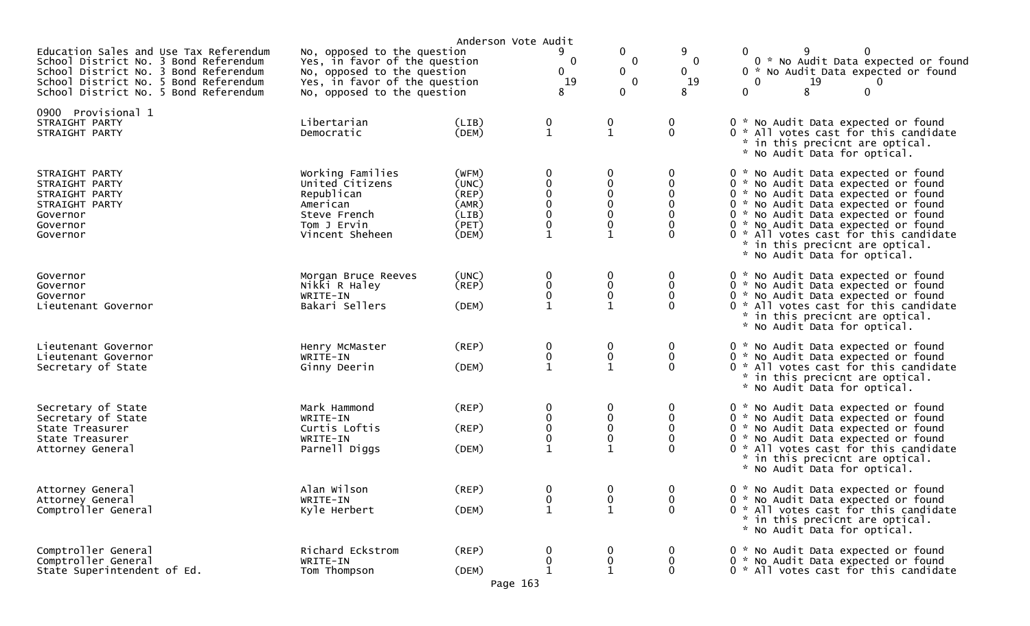|                                                                                                                                                                                                            |                                                                                                                                                             | Anderson Vote Audit                                               |                                                          |                                                                       |                                                      |                                                                                                                                                                                                                                                                                                                                                    |
|------------------------------------------------------------------------------------------------------------------------------------------------------------------------------------------------------------|-------------------------------------------------------------------------------------------------------------------------------------------------------------|-------------------------------------------------------------------|----------------------------------------------------------|-----------------------------------------------------------------------|------------------------------------------------------|----------------------------------------------------------------------------------------------------------------------------------------------------------------------------------------------------------------------------------------------------------------------------------------------------------------------------------------------------|
| Education Sales and Use Tax Referendum<br>School District No. 3 Bond Referendum<br>School District No. 3 Bond Referendum<br>School District No. 5 Bond Referendum<br>School District No. 5 Bond Referendum | No, opposed to the question<br>Yes, in favor of the question<br>No, opposed to the question<br>Yes, in favor of the question<br>No, opposed to the question |                                                                   | 9<br>$\mathbf 0$<br>$\mathbf{0}$<br>19<br>8              | 0<br>0<br>0<br>$\mathbf 0$<br>0                                       | 9<br>$\mathbf{0}$<br>0<br>19<br>8                    | 0<br>0<br>0 * No Audit Data expected or found<br>0 * No Audit Data expected or found<br>$\overline{0}$<br>19<br>0<br>0<br>8<br>$\mathbf{0}$                                                                                                                                                                                                        |
| 0900 Provisional 1<br>STRAIGHT PARTY<br>STRAIGHT PARTY                                                                                                                                                     | Libertarian<br>Democratic                                                                                                                                   | (LIB)<br>(DEM)                                                    | $\mathbf 0$<br>$\mathbf{1}$                              | 0<br>$\mathbf{1}$                                                     | 0<br>$\mathbf{0}$                                    | 0 * No Audit Data expected or found<br>0 * All votes cast for this candidate<br>* in this precicnt are optical.<br>* No Audit Data for optical.                                                                                                                                                                                                    |
| STRAIGHT PARTY<br>STRAIGHT PARTY<br>STRAIGHT PARTY<br>STRAIGHT PARTY<br>Governor<br>Governor<br>Governor                                                                                                   | Working Families<br>United Citizens<br>Republican<br>American<br>Steve French<br>Tom J Ervin<br>Vincent Sheheen                                             | (WFM)<br>(UNC)<br>$($ REP $)$<br>(AMR)<br>(LIB)<br>(PET)<br>(DEM) | 0<br>0<br>$\mathbf 0$<br>$\mathbf 0$<br>$\mathbf 0$<br>0 | 0<br>$\mathbf 0$<br>$\mathbf 0$<br>$\Omega$<br>0<br>0<br>$\mathbf{1}$ | 0<br>0<br>0<br>$\Omega$<br>0<br>$\Omega$<br>$\Omega$ | 0 * No Audit Data expected or found<br>0 * No Audit Data expected or found<br>0 * No Audit Data expected or found<br>0 * No Audit Data expected or found<br>0 * No Audit Data expected or found<br>0 * No Audit Data expected or found<br>0 * All votes cast for this candidate<br>* in this precicnt are optical.<br>* No Audit Data for optical. |
| Governor<br>Governor<br>Governor<br>Lieutenant Governor                                                                                                                                                    | Morgan Bruce Reeves<br>Nikki R Haley<br>WRITE-IN<br>Bakari Sellers                                                                                          | (UNC)<br>(REP)<br>(DEM)                                           | 0<br>$\pmb{0}$<br>0                                      | 0<br>$\mathbf 0$<br>$\mathbf 0$<br>1                                  | 0<br>0<br>$\mathbf{0}$<br>O                          | 0 * No Audit Data expected or found<br>0 * No Audit Data expected or found<br>0 * No Audit Data expected or found<br>0 * All votes cast for this candidate<br>* in this precicnt are optical.<br>* No Audit Data for optical.                                                                                                                      |
| Lieutenant Governor<br>Lieutenant Governor<br>Secretary of State                                                                                                                                           | Henry McMaster<br>WRITE-IN<br>Ginny Deerin                                                                                                                  | (REP)<br>(DEM)                                                    | 0<br>0                                                   | 0<br>$\pmb{0}$<br>$\mathbf{1}$                                        | 0<br>0<br>0                                          | 0 * No Audit Data expected or found<br>0 * No Audit Data expected or found<br>0 * All votes cast for this candidate<br>* in this precicnt are optical.<br>* No Audit Data for optical.                                                                                                                                                             |
| Secretary of State<br>Secretary of State<br>State Treasurer<br>State Treasurer<br>Attorney General                                                                                                         | Mark Hammond<br>WRITE-IN<br>Curtis Loftis<br>WRITE-IN<br>Parnell Diggs                                                                                      | (REP)<br>(REP)<br>(DEM)                                           | 0<br>$\boldsymbol{0}$<br>$\pmb{0}$<br>$\mathbf 0$        | 0<br>$\mathbf 0$<br>0<br>0<br>1                                       | 0<br>0<br>0<br>$\Omega$<br>$\Omega$                  | 0 * No Audit Data expected or found<br>0 * No Audit Data expected or found<br>0 * No Audit Data expected or found<br>0 * No Audit Data expected or found<br>0 * All votes cast for this candidate<br>* in this precicnt are optical.<br>* No Audit Data for optical.                                                                               |
| Attorney General<br>Attorney General<br>Comptroller General                                                                                                                                                | Alan Wilson<br>WRITE-IN<br>Kyle Herbert                                                                                                                     | (REP)<br>(DEM)                                                    | 0<br>0<br>$\mathbf{1}$                                   | 0<br>0<br>$\mathbf{1}$                                                | 0<br>0<br>0                                          | 0 * No Audit Data expected or found<br>0 * No Audit Data expected or found<br>0 * All votes cast for this candidate<br>* in this precicnt are optical.<br>* No Audit Data for optical.                                                                                                                                                             |
| Comptroller General<br>Comptroller General<br>State Superintendent of Ed.                                                                                                                                  | Richard Eckstrom<br>WRITE-IN<br>Tom Thompson                                                                                                                | (REP)<br>(DEM)<br>Page 163                                        | 0<br>0                                                   | 0<br>$\mathbf 1$                                                      | 0<br>0<br>$\Omega$                                   | 0 * No Audit Data expected or found<br>0 * No Audit Data expected or found<br>0 * All votes cast for this candidate                                                                                                                                                                                                                                |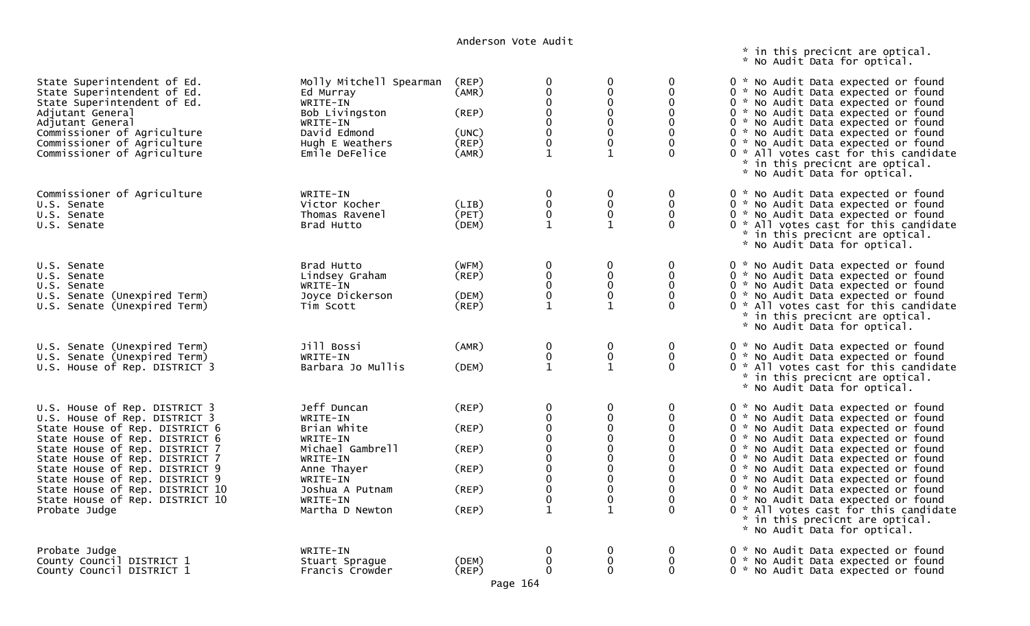\* in this precicnt are optical. \* No Audit Data for optical.

| State Superintendent of Ed.<br>State Superintendent of Ed.<br>State Superintendent of Ed.<br>Adjutant General<br>Adjutant General<br>Commissioner of Agriculture<br>Commissioner of Agriculture<br>Commissioner of Agriculture                                                                                                                                    | Molly Mitchell Spearman<br>Ed Murray<br>WRITE-IN<br>Bob Livingston<br>WRITE-IN<br>David Edmond<br>Hugh E Weathers<br>Emile DeFelice                             | (REP)<br>(AMR)<br>(REP)<br>(UNC)<br>(REP)<br>(AMR)             | 0<br>$\Omega$<br>0<br>$\mathbf 0$<br>$\mathbf 0$<br>$\mathbf{1}$                                                                     | 0<br>0<br>0<br>$\mathbf 0$<br>0<br>$\mathbf 0$<br>0<br>1          | 0<br>$\mathbf{0}$<br>0<br>$\mathbf{0}$<br>0                                 | 0 * No Audit Data expected or found<br>0 * No Audit Data expected or found<br>0 * No Audit Data expected or found<br>0 * No Audit Data expected or found<br>0 * No Audit Data expected or found<br>0 * No Audit Data expected or found<br>0 * No Audit Data expected or found<br>0 * All votes cast for this candidate<br>* in this precicnt are optical.<br>* No Audit Data for optical.                                                                                                                      |
|-------------------------------------------------------------------------------------------------------------------------------------------------------------------------------------------------------------------------------------------------------------------------------------------------------------------------------------------------------------------|-----------------------------------------------------------------------------------------------------------------------------------------------------------------|----------------------------------------------------------------|--------------------------------------------------------------------------------------------------------------------------------------|-------------------------------------------------------------------|-----------------------------------------------------------------------------|----------------------------------------------------------------------------------------------------------------------------------------------------------------------------------------------------------------------------------------------------------------------------------------------------------------------------------------------------------------------------------------------------------------------------------------------------------------------------------------------------------------|
| Commissioner of Agriculture<br>U.S. Senate<br>U.S. Senate<br>U.S. Senate                                                                                                                                                                                                                                                                                          | WRITE-IN<br>Victor Kocher<br>Thomas Ravenel<br>Brad Hutto                                                                                                       | (LIB)<br>(PET)<br>(DEM)                                        | 0<br>0<br>$\mathbf 0$<br>$\mathbf 1$                                                                                                 | $\mathbf 0$<br>0<br>0                                             | 0<br>0<br>$\Omega$<br>$\mathbf 0$                                           | 0 * No Audit Data expected or found<br>0 * No Audit Data expected or found<br>0 * No Audit Data expected or found<br>0 * All votes cast for this candidate<br>* in this precicnt are optical.<br>* No Audit Data for optical.                                                                                                                                                                                                                                                                                  |
| U.S. Senate<br>U.S. Senate<br>U.S. Senate<br>U.S. Senate (Unexpired Term)<br>U.S. Senate (Unexpired Term)                                                                                                                                                                                                                                                         | Brad Hutto<br>Lindsey Graham<br>WRITE-IN<br>Joyce Dickerson<br>Tim Scott                                                                                        | (WFM)<br>$($ REP $)$<br>(DEM)<br>(REP)                         | 0<br>$\mathbf 0$<br>$\mathbf 0$<br>$\mathbf 0$<br>$\mathbf{1}$                                                                       | $\pmb{0}$<br>$\mathbf 0$<br>$\mathbf 0$<br>0<br>$\mathbf{1}$      | $\mathbf 0$<br>$\mathbf 0$<br>$\mathbf 0$<br>$\mathbf{0}$<br>$\Omega$       | 0 * No Audit Data expected or found<br>0 * No Audit Data expected or found<br>0 * No Audit Data expected or found<br>0 * No Audit Data expected or found<br>0 * All votes cast for this candidate<br>* in this precicnt are optical.<br>* No Audit Data for optical.                                                                                                                                                                                                                                           |
| U.S. Senate (Unexpired Term)<br>U.S. Senate (Unexpired Term)<br>U.S. House of Rep. DISTRICT 3                                                                                                                                                                                                                                                                     | Jill Bossi<br>WRITE-IN<br>Barbara Jo Mullis                                                                                                                     | (AMR)<br>(DEM)                                                 | $\mathbf 0$<br>$\pmb{0}$<br>$\mathbf{1}$                                                                                             | $\boldsymbol{0}$<br>$\pmb{0}$<br>$\mathbf{1}$                     | 0<br>0<br>$\Omega$                                                          | 0 * No Audit Data expected or found<br>0 * No Audit Data expected or found<br>0 * All votes cast for this candidate<br>* in this precicnt are optical.<br>* No Audit Data for optical.                                                                                                                                                                                                                                                                                                                         |
| U.S. House of Rep. DISTRICT 3<br>U.S. House of Rep. DISTRICT 3<br>State House of Rep. DISTRICT 6<br>State House of Rep. DISTRICT 6<br>State House of Rep. DISTRICT 7<br>State House of Rep. DISTRICT 7<br>State House of Rep. DISTRICT 9<br>State House of Rep. DISTRICT 9<br>State House of Rep. DISTRICT 10<br>State House of Rep. DISTRICT 10<br>Probate Judge | Jeff Duncan<br>WRITE-IN<br>Brian White<br>WRITE-IN<br>Michael Gambrell<br>WRITE-IN<br>Anne Thayer<br>WRITE-IN<br>Joshua A Putnam<br>WRITE-IN<br>Martha D Newton | $($ REP $)$<br>(REP)<br>(REP)<br>(REP)<br>$($ REP $)$<br>(REP) | $\mathbf 0$<br>$\mathbf 0$<br>$\overline{0}$<br>$\Omega$<br>$\mathbf 0$<br>$\Omega$<br>$\mathbf 0$<br>0<br>$\pmb{0}$<br>$\mathbf{1}$ | 0<br>$\Omega$<br>0<br>$\Omega$<br>0<br>$\mathbf 0$<br>0<br>0<br>0 | 0<br>$\mathbf{0}$<br>$\Omega$<br>$\Omega$<br>0<br>$\Omega$<br>0<br>$\Omega$ | 0 * No Audit Data expected or found<br>0 * No Audit Data expected or found<br>0 * No Audit Data expected or found<br>0 * No Audit Data expected or found<br>0 * No Audit Data expected or found<br>0 * No Audit Data expected or found<br>0 * No Audit Data expected or found<br>0 * No Audit Data expected or found<br>0 * No Audit Data expected or found<br>0 * No Audit Data expected or found<br>0 * All votes cast for this candidate<br>* in this precicnt are optical.<br>* No Audit Data for optical. |
| Probate Judge<br>County Council DISTRICT 1<br>County Council DISTRICT 1                                                                                                                                                                                                                                                                                           | WRITE-IN<br>Stuart Sprague<br>Francis Crowder                                                                                                                   | (DEM)<br>(REP)                                                 | 0<br>$\Omega$<br>$\Omega$                                                                                                            | 0<br>0<br>$\Omega$                                                | 0<br>0<br>0                                                                 | 0 * No Audit Data expected or found<br>0 * No Audit Data expected or found<br>0 * No Audit Data expected or found                                                                                                                                                                                                                                                                                                                                                                                              |

Page 164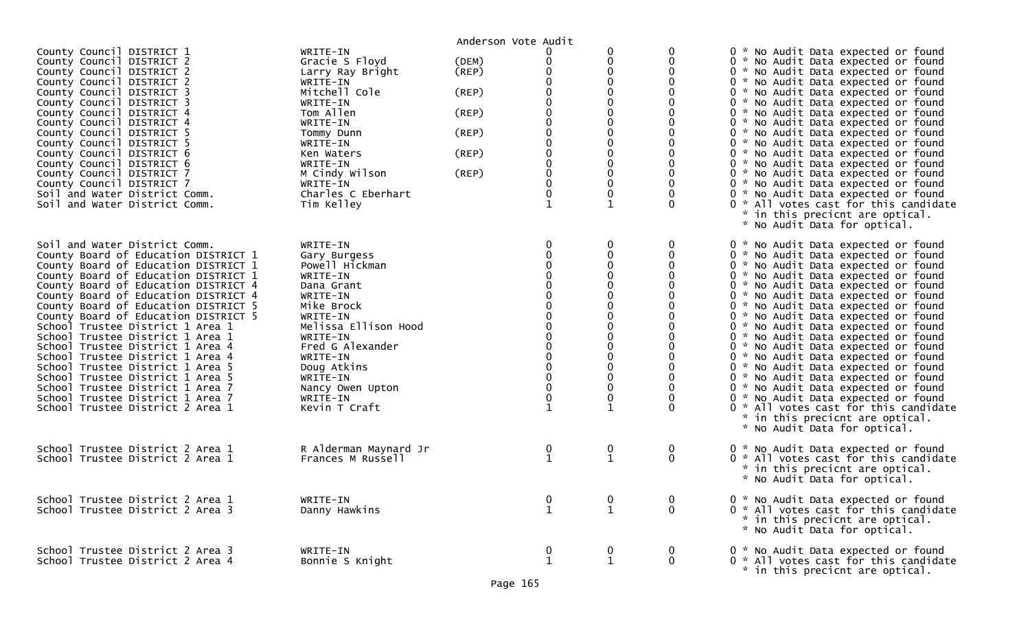|                                                                                                                                                                                                                                                                                                                                                                                                                                                                                                                                                                                                                                                           |                                                                                                                                                                                                                                                            | Anderson Vote Audit                                         |                                                                                                                |                                                                                                                            |                                     |                                                                                                                                                                                                                                                                                                                                                                                                                                                                                                                                                                                                                                                                                                                                                          |
|-----------------------------------------------------------------------------------------------------------------------------------------------------------------------------------------------------------------------------------------------------------------------------------------------------------------------------------------------------------------------------------------------------------------------------------------------------------------------------------------------------------------------------------------------------------------------------------------------------------------------------------------------------------|------------------------------------------------------------------------------------------------------------------------------------------------------------------------------------------------------------------------------------------------------------|-------------------------------------------------------------|----------------------------------------------------------------------------------------------------------------|----------------------------------------------------------------------------------------------------------------------------|-------------------------------------|----------------------------------------------------------------------------------------------------------------------------------------------------------------------------------------------------------------------------------------------------------------------------------------------------------------------------------------------------------------------------------------------------------------------------------------------------------------------------------------------------------------------------------------------------------------------------------------------------------------------------------------------------------------------------------------------------------------------------------------------------------|
| County Council DISTRICT 1<br>County Council DISTRICT 2<br>County Council DISTRICT 2<br>County Council DISTRICT 2<br>County Council DISTRICT 3<br>County Council DISTRICT 3<br>County Council DISTRICT 4<br>County Council DISTRICT 4<br>County Council DISTRICT 5<br>County Council DISTRICT 5<br>County Council DISTRICT 6<br>County Council DISTRICT 6<br>County Council DISTRICT 7<br>County Council DISTRICT 7<br>Soil and Water District Comm.<br>Soil and Water District Comm.                                                                                                                                                                      | WRITE-IN<br>Gracie S Floyd<br>Larry Ray Bright<br>WRITE-IN<br>Mitchell Cole<br>WRITE-IN<br>Tom Allen<br>WRITE-IN<br>Tommy Dunn<br>WRITE-IN<br>Ken Waters<br>WRITE-IN<br>M Cindy Wilson<br>WRITE-IN<br>Charles C Eberhart<br>Tim Kelley                     | (DEM)<br>(REP)<br>(REP)<br>(REP)<br>(REP)<br>(REP)<br>(REP) | 0<br>$\Omega$<br>$\Omega$<br>$\mathbf 0$<br>$\Omega$<br>0<br>$\mathbf 0$<br>$\Omega$<br>0<br>0<br>$\mathbf{1}$ | 0<br>0<br>0<br>$\Omega$<br>0<br>0<br>$\Omega$<br>0<br>$\mathbf{0}$<br>$\boldsymbol{0}$<br>$\boldsymbol{0}$<br>$\mathbf{1}$ | 0<br>0<br>$\Omega$<br>0<br>$\Omega$ | 0 * No Audit Data expected or found<br>0 * No Audit Data expected or found<br>0 * No Audit Data expected or found<br>0 * No Audit Data expected or found<br>0 * No Audit Data expected or found<br>0 * No Audit Data expected or found<br>0 * No Audit Data expected or found<br>0 * No Audit Data expected or found<br>0 * No Audit Data expected or found<br>0 * No Audit Data expected or found<br>0 * No Audit Data expected or found<br>0 * No Audit Data expected or found<br>0 * No Audit Data expected or found<br>0 * No Audit Data expected or found<br>0 * No Audit Data expected or found<br>0 * All votes cast for this candidate<br>* in this precicnt are optical.<br>* No Audit Data for optical.                                        |
| Soil and Water District Comm.<br>County Board of Education DISTRICT 1<br>County Board of Education DISTRICT 1<br>County Board of Education DISTRICT 1<br>County Board of Education DISTRICT 4<br>County Board of Education DISTRICT 4<br>County Board of Education DISTRICT 5<br>County Board of Education DISTRICT 5<br>School Trustee District 1 Area 1<br>School Trustee District 1 Area 1<br>School Trustee District 1 Area 4<br>School Trustee District 1 Area 4<br>School Trustee District 1 Area 5<br>School Trustee District 1 Area 5<br>School Trustee District 1 Area 7<br>School Trustee District 1 Area 7<br>School Trustee District 2 Area 1 | WRITE-IN<br>Gary Burgess<br>Powell Hickman<br>WRITE-IN<br>Dana Grant<br>WRITE-IN<br>Mike Brock<br>WRITE-IN<br>Melissa Ellison Hood<br>WRITE-IN<br>Fred G Alexander<br>WRITE-IN<br>Doug Atkins<br>WRITE-IN<br>Nancy Owen Upton<br>WRITE-IN<br>Kevin T Craft |                                                             | $\Omega$<br>$\mathbf 0$<br>$\pmb{0}$<br>$\mathbf{1}$                                                           | 0<br>0<br>$\mathbf 0$<br>0<br>$\Omega$<br>$\Omega$<br>0<br>0<br>$\boldsymbol{0}$<br>$\boldsymbol{0}$<br>$\mathbf{1}$       | 0<br>0<br>$\Omega$                  | 0 * No Audit Data expected or found<br>0 * No Audit Data expected or found<br>0 * No Audit Data expected or found<br>0 * No Audit Data expected or found<br>0 * No Audit Data expected or found<br>0 * No Audit Data expected or found<br>0 * No Audit Data expected or found<br>0 * No Audit Data expected or found<br>0 * No Audit Data expected or found<br>0 * No Audit Data expected or found<br>0 * No Audit Data expected or found<br>0 * No Audit Data expected or found<br>0 * No Audit Data expected or found<br>0 * No Audit Data expected or found<br>0 * No Audit Data expected or found<br>0 * No Audit Data expected or found<br>0 * All votes cast for this candidate<br>* in this precicnt are optical.<br>* No Audit Data for optical. |
| School Trustee District 2 Area 1<br>School Trustee District 2 Area 1                                                                                                                                                                                                                                                                                                                                                                                                                                                                                                                                                                                      | R Alderman Maynard Jr<br>Frances M Russell                                                                                                                                                                                                                 |                                                             | $\bf{0}$<br>$\mathbf{1}$                                                                                       | $\mathbf 0$<br>$\mathbf{1}$                                                                                                | 0<br>$\mathbf{0}$                   | 0 * No Audit Data expected or found<br>0 * All votes cast for this candidate<br>* in this precicnt are optical.<br>* No Audit Data for optical.                                                                                                                                                                                                                                                                                                                                                                                                                                                                                                                                                                                                          |
| School Trustee District 2 Area 1<br>School Trustee District 2 Area 3                                                                                                                                                                                                                                                                                                                                                                                                                                                                                                                                                                                      | WRITE-IN<br>Danny Hawkins                                                                                                                                                                                                                                  |                                                             | $\bf{0}$<br>$\mathbf{1}$                                                                                       | $\bf{0}$<br>$\mathbf{1}$                                                                                                   | 0<br>$\mathbf 0$                    | 0 * No Audit Data expected or found<br>0 * All votes cast for this candidate<br>* in this precicnt are optical.<br>* No Audit Data for optical.                                                                                                                                                                                                                                                                                                                                                                                                                                                                                                                                                                                                          |
| School Trustee District 2 Area 3<br>School Trustee District 2 Area 4                                                                                                                                                                                                                                                                                                                                                                                                                                                                                                                                                                                      | WRITE-IN<br>Bonnie S Knight                                                                                                                                                                                                                                |                                                             | $\bf{0}$<br>$\mathbf{1}$                                                                                       | $\boldsymbol{0}$<br>$\mathbf{1}$                                                                                           | 0<br>0                              | 0 * No Audit Data expected or found<br>0 * All votes cast for this candidate<br>* in this precicnt are optical.                                                                                                                                                                                                                                                                                                                                                                                                                                                                                                                                                                                                                                          |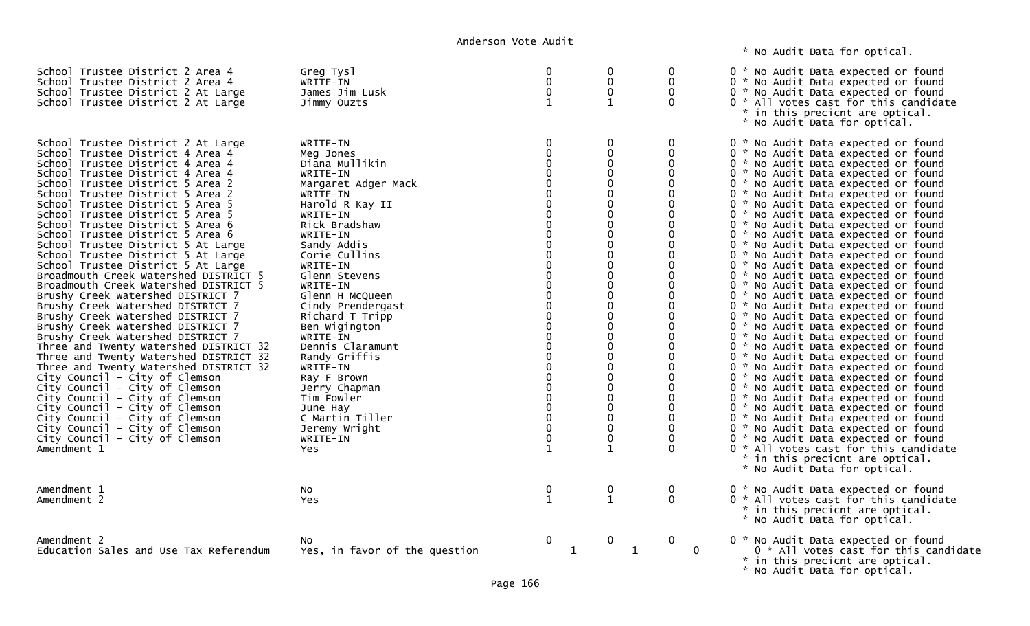\* No Audit Data for optical.

| School Trustee District 2 Area 4<br>School Trustee District 2 Area 4<br>School Trustee District 2 At Large<br>School Trustee District 2 At Large                                                                                                                                                                                                                                                                                                                                                                                                                                                                                                                                                                                                                                                                                                                                                                                                                                                                                                                                                                                                               | Greg Tysl<br>WRITE-IN<br>James Jim Lusk<br>Jimmy Ouzts                                                                                                                                                                                                                                                                                                                                                                                                                                       | 0<br>0<br>0<br>$\mathbf{1}$                          | $\mathbf{0}$<br>$\mathbf 0$<br>$\mathbf 0$<br>1                                                                                                                                                                                                                                                                                                                | $\Omega$<br>$\mathbf{0}$<br>$\Omega$<br>$\Omega$                                                                                                                                                                                                                                                                                          | 0 * No Audit Data expected or found<br>0 * No Audit Data expected or found<br>0 * No Audit Data expected or found<br>0 * All votes cast for this candidate<br>* in this precicnt are optical.<br>* No Audit Data for optical.                                                                                                                                                                                                                                                                                                                                                                                                                                                                                                                                                                                                                                                                                                                                                                                                                                                                                                                                                                                                                                                              |
|----------------------------------------------------------------------------------------------------------------------------------------------------------------------------------------------------------------------------------------------------------------------------------------------------------------------------------------------------------------------------------------------------------------------------------------------------------------------------------------------------------------------------------------------------------------------------------------------------------------------------------------------------------------------------------------------------------------------------------------------------------------------------------------------------------------------------------------------------------------------------------------------------------------------------------------------------------------------------------------------------------------------------------------------------------------------------------------------------------------------------------------------------------------|----------------------------------------------------------------------------------------------------------------------------------------------------------------------------------------------------------------------------------------------------------------------------------------------------------------------------------------------------------------------------------------------------------------------------------------------------------------------------------------------|------------------------------------------------------|----------------------------------------------------------------------------------------------------------------------------------------------------------------------------------------------------------------------------------------------------------------------------------------------------------------------------------------------------------------|-------------------------------------------------------------------------------------------------------------------------------------------------------------------------------------------------------------------------------------------------------------------------------------------------------------------------------------------|--------------------------------------------------------------------------------------------------------------------------------------------------------------------------------------------------------------------------------------------------------------------------------------------------------------------------------------------------------------------------------------------------------------------------------------------------------------------------------------------------------------------------------------------------------------------------------------------------------------------------------------------------------------------------------------------------------------------------------------------------------------------------------------------------------------------------------------------------------------------------------------------------------------------------------------------------------------------------------------------------------------------------------------------------------------------------------------------------------------------------------------------------------------------------------------------------------------------------------------------------------------------------------------------|
| School Trustee District 2 At Large<br>School Trustee District 4 Area 4<br>School Trustee District 4 Area 4<br>School Trustee District 4 Area 4<br>School Trustee District 5 Area 2<br>School Trustee District 5 Area 2<br>School Trustee District 5 Area 5<br>School Trustee District 5 Area 5<br>School Trustee District 5 Area 6<br>School Trustee District 5 Area 6<br>School Trustee District 5 At Large<br>School Trustee District 5 At Large<br>School Trustee District 5 At Large<br>Broadmouth Creek Watershed DISTRICT 5<br>Broadmouth Creek Watershed DISTRICT 5<br>Brushy Creek Watershed DISTRICT 7<br>Brushy Creek Watershed DISTRICT 7<br>Brushy Creek Watershed DISTRICT 7<br>Brushy Creek Watershed DISTRICT 7<br>Brushy Creek Watershed DISTRICT 7<br>Three and Twenty Watershed DISTRICT 32<br>Three and Twenty Watershed DISTRICT 32<br>Three and Twenty Watershed DISTRICT 32<br>City Council - City of Clemson<br>City Council - City of Clemson<br>City Council - City of Clemson<br>City Council - City of Clemson<br>City Council - City of Clemson<br>City Council - City of Clemson<br>City Council - City of Clemson<br>Amendment 1 | WRITE-IN<br>Meg Jones<br>Diana Mullikin<br>WRITE-IN<br>Margaret Adger Mack<br>WRITE-IN<br>Harold R Kay II<br>WRITE-IN<br>Rick Bradshaw<br>WRITE-IN<br>Sandy Addis<br>Corie Cullins<br>WRITE-IN<br>Glenn Stevens<br>WRITE-IN<br>Glenn H McQueen<br>Cindy Prendergast<br>Richard T Tripp<br>Ben Wigington<br>WRITE-IN<br>Dennis Claramunt<br>Randy Griffis<br>WRITE-IN<br>Ray F Brown<br>Jerry Chapman<br>Tim Fowler<br>June Hay<br>C Martin Tiller<br>Jeremy Wright<br>WRITE-IN<br><b>Yes</b> | $\Omega$<br>$\Omega$<br>$\mathbf{0}$<br>$\mathbf{1}$ | 0<br>$\Omega$<br>$\Omega$<br>$\Omega$<br>$\Omega$<br>$\Omega$<br>$\Omega$<br>$\Omega$<br>$\mathbf 0$<br>$\Omega$<br>$\Omega$<br>$\Omega$<br>$\Omega$<br>$\Omega$<br>0<br>$\Omega$<br>$\Omega$<br>$\Omega$<br>$\Omega$<br>$\Omega$<br>0<br>$\Omega$<br>$\Omega$<br>$\Omega$<br>$\Omega$<br>$\Omega$<br>$\Omega$<br>$\Omega$<br>$\mathbf 0$<br>0<br>$\mathbf{1}$ | $\mathbf 0$<br>$\mathbf 0$<br>$\mathbf{0}$<br>0<br>$\Omega$<br>$\Omega$<br>$\Omega$<br>$\Omega$<br>$\mathbf{0}$<br>0<br>$\mathbf{0}$<br>0<br>$\mathbf{0}$<br>$\Omega$<br>0<br>$\Omega$<br>$\mathbf{0}$<br>0<br>$\mathbf{0}$<br>$\Omega$<br>0<br>$\Omega$<br>0<br>0<br>0<br>0<br>$\mathbf{0}$<br>$\Omega$<br>0<br>$\mathbf{0}$<br>$\Omega$ | 0 * No Audit Data expected or found<br>0 * No Audit Data expected or found<br>0 * No Audit Data expected or found<br>0 * No Audit Data expected or found<br>0 * No Audit Data expected or found<br>0 * No Audit Data expected or found<br>0 * No Audit Data expected or found<br>0 * No Audit Data expected or found<br>0 * No Audit Data expected or found<br>0 * No Audit Data expected or found<br>0 * No Audit Data expected or found<br>0 * No Audit Data expected or found<br>0 * No Audit Data expected or found<br>0 * No Audit Data expected or found<br>0 * No Audit Data expected or found<br>0 * No Audit Data expected or found<br>0 * No Audit Data expected or found<br>0 * No Audit Data expected or found<br>0 * No Audit Data expected or found<br>0 * No Audit Data expected or found<br>0 * No Audit Data expected or found<br>0 * No Audit Data expected or found<br>0 * No Audit Data expected or found<br>0 * No Audit Data expected or found<br>0 * No Audit Data expected or found<br>0 * No Audit Data expected or found<br>0 * No Audit Data expected or found<br>0 * No Audit Data expected or found<br>0 * No Audit Data expected or found<br>0 * No Audit Data expected or found<br>0 * All votes cast for this candidate<br>* in this precicnt are optical. |
| Amendment 1<br>Amendment 2                                                                                                                                                                                                                                                                                                                                                                                                                                                                                                                                                                                                                                                                                                                                                                                                                                                                                                                                                                                                                                                                                                                                     | No<br>Yes                                                                                                                                                                                                                                                                                                                                                                                                                                                                                    | $\boldsymbol{0}$<br>$\mathbf{1}$                     | $\begin{smallmatrix} 0 \ 1 \end{smallmatrix}$                                                                                                                                                                                                                                                                                                                  | $\bf{0}$<br>$\mathbf{0}$                                                                                                                                                                                                                                                                                                                  | * No Audit Data for optical.<br>0 * No Audit Data expected or found<br>0 * All votes cast for this candidate<br>* in this precicnt are optical.<br>* No Audit Data for optical.                                                                                                                                                                                                                                                                                                                                                                                                                                                                                                                                                                                                                                                                                                                                                                                                                                                                                                                                                                                                                                                                                                            |
| Amendment 2<br>Education Sales and Use Tax Referendum                                                                                                                                                                                                                                                                                                                                                                                                                                                                                                                                                                                                                                                                                                                                                                                                                                                                                                                                                                                                                                                                                                          | NO.<br>Yes, in favor of the question                                                                                                                                                                                                                                                                                                                                                                                                                                                         | $\mathbf 0$<br>1                                     | 0<br>$\mathbf 1$                                                                                                                                                                                                                                                                                                                                               | $\mathbf 0$<br>0                                                                                                                                                                                                                                                                                                                          | 0 * No Audit Data expected or found<br>0 * All votes cast for this candidate<br>* in this precicnt are optical.<br>* No Audit Data for optical.                                                                                                                                                                                                                                                                                                                                                                                                                                                                                                                                                                                                                                                                                                                                                                                                                                                                                                                                                                                                                                                                                                                                            |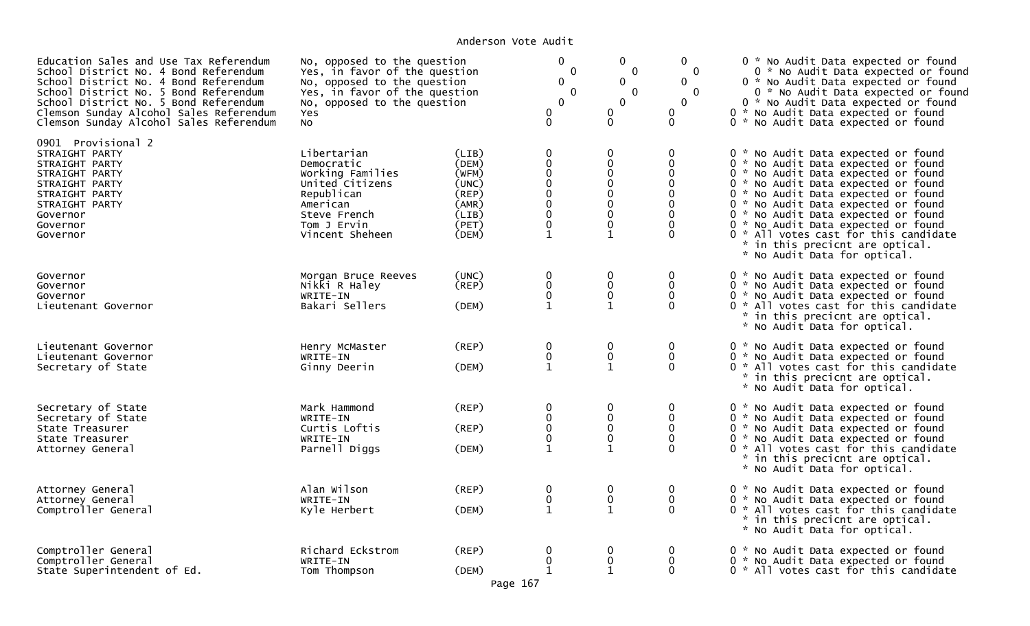| Education Sales and Use Tax Referendum<br>School District No. 4 Bond Referendum<br>School District No. 4 Bond Referendum<br>School District No. 5 Bond Referendum<br>School District No. 5 Bond Referendum<br>Clemson Sunday Alcohol Sales Referendum<br>Clemson Sunday Alcohol Sales Referendum | No, opposed to the question<br>Yes, in favor of the question<br>No, opposed to the question<br>Yes, in favor of the question<br>No, opposed to the question<br>Yes<br>NO. |                                                                                  | $\mathbf 0$<br>$\mathbf{0}$<br>0<br>$\mathbf 0$<br>$\overline{0}$<br>0<br>$\mathbf{0}$                                                    | $\mathbf{0}$<br>$\mathbf{0}$<br>$\mathbf{0}$<br>$\Omega$<br>$\overline{0}$<br>0<br>$\mathbf 0$         | $\mathbf{0}$<br>$\mathbf{0}$<br>$\Omega$<br>$\overline{0}$<br>$\mathbf{0}$<br>0<br>$\Omega$                        | 0 * No Audit Data expected or found<br>0 * No Audit Data expected or found<br>0 * No Audit Data expected or found<br>0 * No Audit Data expected or found<br>0 * No Audit Data expected or found<br>0 * No Audit Data expected or found<br>0 * No Audit Data expected or found                                                                                                                                                    |
|--------------------------------------------------------------------------------------------------------------------------------------------------------------------------------------------------------------------------------------------------------------------------------------------------|---------------------------------------------------------------------------------------------------------------------------------------------------------------------------|----------------------------------------------------------------------------------|-------------------------------------------------------------------------------------------------------------------------------------------|--------------------------------------------------------------------------------------------------------|--------------------------------------------------------------------------------------------------------------------|----------------------------------------------------------------------------------------------------------------------------------------------------------------------------------------------------------------------------------------------------------------------------------------------------------------------------------------------------------------------------------------------------------------------------------|
| 0901 Provisional 2<br>STRAIGHT PARTY<br>STRAIGHT PARTY<br>STRAIGHT PARTY<br>STRAIGHT PARTY<br>STRAIGHT PARTY<br>STRAIGHT PARTY<br>Governor<br>Governor<br>Governor                                                                                                                               | Libertarian<br>Democratic<br>Working Families<br>United Citizens<br>Republican<br>American<br>Steve French<br>Tom J Ervin<br>Vincent Sheheen                              | (LIB)<br>(DEM)<br>(WFM)<br>(UNC)<br>$($ REP)<br>(AMR)<br>(LIB)<br>(PET)<br>(DEM) | $\mathbf 0$<br>$\pmb{0}$<br>$\overline{0}$<br>$\overline{0}$<br>$\overline{0}$<br>$\pmb{0}$<br>$\mathbf 0$<br>$\mathbf 0$<br>$\mathbf{1}$ | 0<br>$\mathbf 0$<br>0<br>$\mathbf 0$<br>$\mathbf 0$<br>$\mathbf 0$<br>$\mathbf 0$<br>0<br>$\mathbf{1}$ | $\mathbf{0}$<br>$\mathbf 0$<br>$\Omega$<br>$\Omega$<br>$\Omega$<br>$\Omega$<br>$\mathbf 0$<br>$\Omega$<br>$\Omega$ | 0 * No Audit Data expected or found<br>0 * No Audit Data expected or found<br>0 * No Audit Data expected or found<br>0 * No Audit Data expected or found<br>0 * No Audit Data expected or found<br>0 * No Audit Data expected or found<br>0 * No Audit Data expected or found<br>0 * No Audit Data expected or found<br>0 * All votes cast for this candidate<br>* in this precicnt are optical.<br>* No Audit Data for optical. |
| Governor<br>Governor<br>Governor<br>Lieutenant Governor                                                                                                                                                                                                                                          | Morgan Bruce Reeves<br>Nikki R Haley<br>WRITE-IN<br>Bakari Sellers                                                                                                        | (UNC)<br>(REP)<br>(DEM)                                                          | 0<br>$\pmb{0}$<br>$\mathbf 0$<br>$\mathbf{1}$                                                                                             | $\mathbf{0}$<br>$\mathbf 0$<br>0<br>1                                                                  | $\mathbf{0}$<br>$\mathbf 0$<br>$\Omega$<br>$\Omega$                                                                | 0 * No Audit Data expected or found<br>0 * No Audit Data expected or found<br>0 * No Audit Data expected or found<br>0 * All votes cast for this candidate<br>* in this precicnt are optical.<br>* No Audit Data for optical.                                                                                                                                                                                                    |
| Lieutenant Governor<br>Lieutenant Governor<br>Secretary of State                                                                                                                                                                                                                                 | Henry McMaster<br>WRITE-IN<br>Ginny Deerin                                                                                                                                | (REP)<br>(DEM)                                                                   | $\mathbf 0$<br>$\mathbf 0$<br>$\mathbf{1}$                                                                                                | $\mathbf 0$<br>$\mathbf 0$<br>$\mathbf{1}$                                                             | $\mathbf{0}$<br>$\mathbf 0$<br>$\Omega$                                                                            | 0 * No Audit Data expected or found<br>0 * No Audit Data expected or found<br>0 * All votes cast for this candidate<br>* in this precicnt are optical.<br>* No Audit Data for optical.                                                                                                                                                                                                                                           |
| Secretary of State<br>Secretary of State<br>State Treasurer<br>State Treasurer<br>Attorney General                                                                                                                                                                                               | Mark Hammond<br>WRITE-IN<br>Curtis Loftis<br>WRITE-IN<br>Parnell Diggs                                                                                                    | (REP)<br>(REP)<br>(DEM)                                                          | 0<br>$\mathbf 0$<br>$\mathbf 0$<br>$\mathbf{1}$                                                                                           | 0<br>$\mathbf 0$<br>$\mathbf{0}$<br>0<br>1                                                             | 0<br>$\mathbf{0}$<br>$\mathbf{0}$<br>$\Omega$<br>$\Omega$                                                          | 0 * No Audit Data expected or found<br>0 * No Audit Data expected or found<br>0 * No Audit Data expected or found<br>0 * No Audit Data expected or found<br>0 * All votes cast for this candidate<br>* in this precicnt are optical.<br>* No Audit Data for optical.                                                                                                                                                             |
| Attorney General<br>Attorney General<br>Comptroller General                                                                                                                                                                                                                                      | Alan Wilson<br>WRITE-IN<br>Kyle Herbert                                                                                                                                   | (REP)<br>(DEM)                                                                   | 0<br>$\mathbf 0$<br>$\mathbf{1}$                                                                                                          | $\mathbf 0$<br>$\mathbf 0$<br>$\mathbf 1$                                                              | $\mathbf 0$<br>$\mathbf{0}$<br>$\mathbf{0}$                                                                        | 0 * No Audit Data expected or found<br>0 * No Audit Data expected or found<br>0 * All votes cast for this candidate<br>* in this precicnt are optical.<br>* No Audit Data for optical.                                                                                                                                                                                                                                           |
| Comptroller General<br>Comptroller General<br>State Superintendent of Ed.                                                                                                                                                                                                                        | Richard Eckstrom<br>WRITE-IN<br>Tom Thompson                                                                                                                              | (REP)<br>(DEM)<br>Page 167                                                       | 0<br>0                                                                                                                                    | 0<br>$\mathbf 0$<br>$\mathbf{1}$                                                                       | 0<br>$\mathbf{0}$<br>$\Omega$                                                                                      | 0 * No Audit Data expected or found<br>0 * No Audit Data expected or found<br>0 * All votes cast for this candidate                                                                                                                                                                                                                                                                                                              |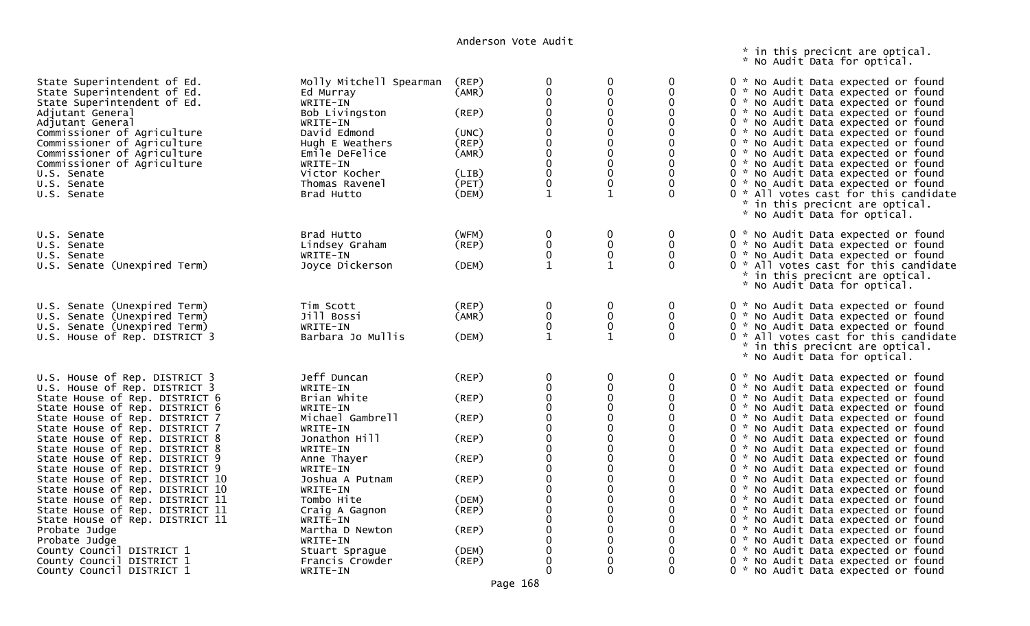\* in this precicnt are optical. \* No Audit Data for optical.

| State Superintendent of Ed.<br>State Superintendent of Ed.<br>State Superintendent of Ed.<br>Adjutant General<br>Adjutant General<br>Commissioner of Agriculture<br>Commissioner of Agriculture<br>Commissioner of Agriculture<br>Commissioner of Agriculture<br>U.S. Senate<br>U.S. Senate<br>U.S. Senate                                                                                                                                                                                 | Molly Mitchell Spearman<br>Ed Murray<br>WRITE-IN<br>Bob Livingston<br>WRITE-IN<br>David Edmond<br>Hugh E Weathers<br>Emile DeFelice<br>WRITE-IN<br>Victor Kocher<br>Thomas Ravenel<br>Brad Hutto          | (REP)<br>(AMR)<br>(REP)<br>(UNC)<br>(REP)<br>(AMR)<br>(LIB)<br>(PET)<br>(DEM)    | 0<br>0<br>$\Omega$<br>$\Omega$<br>$\mathbf{0}$<br>$\mathbf 0$<br>$\mathbf 0$<br>$\mathbf 0$<br>1 | 0<br>0<br>$\Omega$<br>0<br>0<br>0<br>$\Omega$<br>$\Omega$<br>0<br>0<br>$\mathbf 0$<br>1                                       | $\Omega$<br>$\Omega$<br>$\mathbf{0}$<br>$\mathbf 0$<br>$\mathbf{0}$<br>$\Omega$<br>$\Omega$<br>$\Omega$<br>$\mathbf{0}$<br>$\Omega$<br>$\Omega$                | 0 * No Audit Data expected or found<br>0 * No Audit Data expected or found<br>0 * No Audit Data expected or found<br>0 * No Audit Data expected or found<br>0 * No Audit Data expected or found<br>0 * No Audit Data expected or found<br>0 * No Audit Data expected or found<br>0 * No Audit Data expected or found<br>0 * No Audit Data expected or found<br>0 * No Audit Data expected or found<br>0 * No Audit Data expected or found<br>0 * All votes cast for this candidate<br>* in this precicnt are optical.<br>* No Audit Data for optical.          |
|--------------------------------------------------------------------------------------------------------------------------------------------------------------------------------------------------------------------------------------------------------------------------------------------------------------------------------------------------------------------------------------------------------------------------------------------------------------------------------------------|-----------------------------------------------------------------------------------------------------------------------------------------------------------------------------------------------------------|----------------------------------------------------------------------------------|--------------------------------------------------------------------------------------------------|-------------------------------------------------------------------------------------------------------------------------------|----------------------------------------------------------------------------------------------------------------------------------------------------------------|----------------------------------------------------------------------------------------------------------------------------------------------------------------------------------------------------------------------------------------------------------------------------------------------------------------------------------------------------------------------------------------------------------------------------------------------------------------------------------------------------------------------------------------------------------------|
| U.S. Senate<br>U.S. Senate<br>U.S. Senate<br>U.S. Senate (Unexpired Term)                                                                                                                                                                                                                                                                                                                                                                                                                  | Brad Hutto<br>Lindsey Graham<br>WRITE-IN<br>Joyce Dickerson                                                                                                                                               | (WFM)<br>(REP)<br>(DEM)                                                          | 0<br>$\pmb{0}$<br>$\mathbf 1$                                                                    | 0<br>$\pmb{0}$<br>0<br>$\mathbf{1}$                                                                                           | 0<br>0<br>$\mathbf{0}$<br>$\Omega$                                                                                                                             | 0 * No Audit Data expected or found<br>0 * No Audit Data expected or found<br>0 * No Audit Data expected or found<br>0 * All votes cast for this candidate<br>* in this precicnt are optical.<br>* No Audit Data for optical.                                                                                                                                                                                                                                                                                                                                  |
| U.S. Senate (Unexpired Term)<br>U.S. Senate (Unexpired Term)<br>U.S. Senate (Unexpired Term)<br>U.S. House of Rep. DISTRICT 3                                                                                                                                                                                                                                                                                                                                                              | Tim Scott<br>Jill Bossi<br>WRITE-IN<br>Barbara Jo Mullis                                                                                                                                                  | (REP)<br>(AMR)<br>(DEM)                                                          | 0<br>0<br>$\mathbf{0}$<br>1                                                                      | 0<br>0<br>0                                                                                                                   | 0<br>0<br>$\mathbf{0}$<br>$\Omega$                                                                                                                             | 0 * No Audit Data expected or found<br>0 * No Audit Data expected or found<br>0 * No Audit Data expected or found<br>0 * All votes cast for this candidate<br>* in this precicnt are optical.<br>* No Audit Data for optical.                                                                                                                                                                                                                                                                                                                                  |
| U.S. House of Rep. DISTRICT 3<br>U.S. House of Rep. DISTRICT 3<br>State House of Rep. DISTRICT 6<br>State House of Rep. DISTRICT 6<br>State House of Rep. DISTRICT 7<br>State House of Rep. DISTRICT 7<br>State House of Rep. DISTRICT 8<br>State House of Rep. DISTRICT 8<br>State House of Rep. DISTRICT 9<br>State House of Rep. DISTRICT 9<br>State House of Rep. DISTRICT 10<br>State House of Rep. DISTRICT 10<br>State House of Rep. DISTRICT 11<br>State House of Rep. DISTRICT 11 | Jeff Duncan<br>WRITE-IN<br>Brian White<br>WRITE-IN<br>Michael Gambrell<br>WRITE-IN<br>Jonathon Hill<br>WRITE-IN<br>Anne Thayer<br>WRITE-IN<br>Joshua A Putnam<br>WRITE-IN<br>Tombo Hite<br>Craig A Gagnon | (REP)<br>$($ REP $)$<br>(REP)<br>(REP)<br>(REP)<br>(REP)<br>(DEM)<br>$($ REP $)$ | $\mathbf 0$<br>$\Omega$<br>0<br>∩<br>∩<br>0<br>$\Omega$<br>0<br>0<br>0<br>$\overline{0}$         | $\Omega$<br>$\Omega$<br>$\mathbf 0$<br>$\Omega$<br>$\Omega$<br>$\Omega$<br>$\mathbf 0$<br>$\Omega$<br>0<br>0<br>0<br>$\Omega$ | $\mathbf{0}$<br>$\Omega$<br>0<br>$\Omega$<br>0<br>$\mathbf 0$<br>0<br>$\Omega$<br>0<br>$\mathbf{0}$<br>$\mathbf{0}$<br>$\Omega$<br>$\mathbf 0$<br>$\mathbf{0}$ | 0 * No Audit Data expected or found<br>0 * No Audit Data expected or found<br>0 * No Audit Data expected or found<br>0 * No Audit Data expected or found<br>0 * No Audit Data expected or found<br>0 * No Audit Data expected or found<br>0 * No Audit Data expected or found<br>0 * No Audit Data expected or found<br>0 * No Audit Data expected or found<br>0 * No Audit Data expected or found<br>0 * No Audit Data expected or found<br>0 * No Audit Data expected or found<br>0 * No Audit Data expected or found<br>0 * No Audit Data expected or found |
| State House of Rep. DISTRICT 11<br>Probate Judge<br>Probate Judge<br>County Council DISTRICT 1<br>County Council DISTRICT 1<br>County Council DISTRICT 1                                                                                                                                                                                                                                                                                                                                   | WRITE-IN<br>Martha D Newton<br>WRITE-IN<br>Stuart Sprague<br>Francis Crowder<br>WRITE-IN                                                                                                                  | (REP)<br>(DEM)<br>$($ REP $)$                                                    | $\Omega$<br>$\Omega$                                                                             | 0<br>$\mathbf 0$<br>0                                                                                                         | $\mathbf{0}$<br>0<br>$\mathbf{0}$<br>$\mathbf 0$<br>$\Omega$<br>0                                                                                              | 0 * No Audit Data expected or found<br>0 * No Audit Data expected or found<br>0 * No Audit Data expected or found<br>0 * No Audit Data expected or found<br>0 * No Audit Data expected or found<br>0 * No Audit Data expected or found                                                                                                                                                                                                                                                                                                                         |

Page 168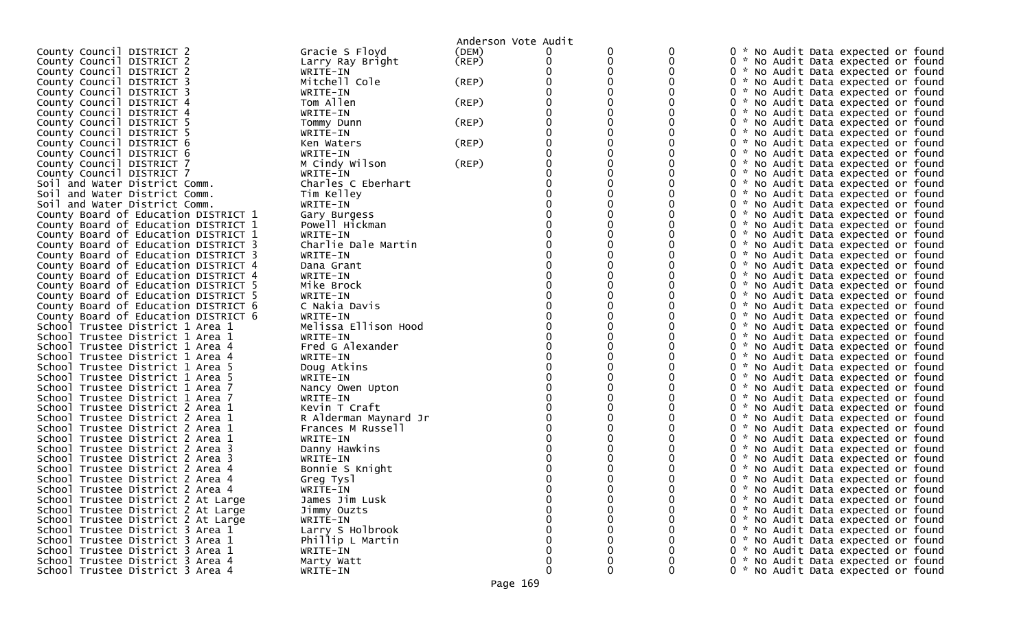|                                      |                       | Anderson Vote Audit |                  |                   |          |                                                                            |  |  |
|--------------------------------------|-----------------------|---------------------|------------------|-------------------|----------|----------------------------------------------------------------------------|--|--|
| County Council DISTRICT 2            | Gracie S Floyd        | (DEM)               |                  |                   |          | 0 * No Audit Data expected or found                                        |  |  |
| County Council DISTRICT 2            | Larry Ray Bright      | $($ REP $)$         |                  | 0                 |          | 0 * No Audit Data expected or found                                        |  |  |
| County Council DISTRICT 2            | WRITE-IN              |                     |                  | 0                 |          | 0 * No Audit Data expected or found                                        |  |  |
| County Council DISTRICT 3            | Mitchell Cole         | (REP)               |                  |                   |          | 0 * No Audit Data expected or found                                        |  |  |
| County Council DISTRICT 3            | WRITE-IN              |                     |                  |                   |          | 0 * No Audit Data expected or found                                        |  |  |
| County Council DISTRICT 4            | Tom Allen             | (REP)               |                  |                   |          | 0 * No Audit Data expected or found                                        |  |  |
| County Council DISTRICT 4            | WRITE-IN              |                     |                  |                   |          | 0 * No Audit Data expected or found                                        |  |  |
| County Council DISTRICT 5            | Tommy Dunn            | (REP)               |                  |                   |          | 0 * No Audit Data expected or found                                        |  |  |
| County Council DISTRICT 5            | WRITE-IN              |                     |                  |                   |          | 0 * No Audit Data expected or found                                        |  |  |
| County Council DISTRICT 6            | Ken Waters            | (REP)               |                  |                   |          | 0 * No Audit Data expected or found                                        |  |  |
| County Council DISTRICT 6            | WRITE-IN              |                     |                  |                   |          | 0 * No Audit Data expected or found                                        |  |  |
| County Council DISTRICT 7            | M Cindy Wilson        | (REP)               |                  | 0                 |          | 0 * No Audit Data expected or found                                        |  |  |
| County Council DISTRICT 7            | WRITE-IN              |                     |                  |                   |          | 0 * No Audit Data expected or found                                        |  |  |
| Soil and Water District Comm.        | Charles C Eberhart    |                     |                  |                   |          | 0 * No Audit Data expected or found                                        |  |  |
| Soil and Water District Comm.        | Tim Kelley            |                     |                  |                   |          | 0 * No Audit Data expected or found                                        |  |  |
| Soil and Water District Comm.        | WRITE-IN              |                     |                  |                   |          | 0 * No Audit Data expected or found                                        |  |  |
| County Board of Education DISTRICT 1 | Gary Burgess          |                     |                  |                   |          | 0 * No Audit Data expected or found                                        |  |  |
| County Board of Education DISTRICT 1 | Powell Hickman        |                     |                  |                   |          | 0 * No Audit Data expected or found                                        |  |  |
| County Board of Education DISTRICT 1 | WRITE-IN              |                     |                  |                   |          | 0 * No Audit Data expected or found                                        |  |  |
| County Board of Education DISTRICT 3 | Charlie Dale Martin   |                     |                  |                   |          | 0 * No Audit Data expected or found                                        |  |  |
| County Board of Education DISTRICT 3 | WRITE-IN              |                     |                  |                   |          | 0 * No Audit Data expected or found                                        |  |  |
| County Board of Education DISTRICT 4 | Dana Grant            |                     |                  |                   |          | 0 * No Audit Data expected or found                                        |  |  |
| County Board of Education DISTRICT 4 | WRITE-IN              |                     |                  |                   |          | 0 * No Audit Data expected or found                                        |  |  |
| County Board of Education DISTRICT 5 | Mike Brock            |                     |                  |                   |          | 0 * No Audit Data expected or found                                        |  |  |
| County Board of Education DISTRICT 5 | WRITE-IN              |                     |                  |                   |          | 0 * No Audit Data expected or found                                        |  |  |
| County Board of Education DISTRICT 6 | C Nakia Davis         |                     |                  |                   |          | 0 * No Audit Data expected or found                                        |  |  |
| County Board of Education DISTRICT 6 | WRITE-IN              |                     |                  |                   |          | 0 * No Audit Data expected or found                                        |  |  |
| School Trustee District 1 Area 1     | Melissa Ellison Hood  |                     |                  |                   |          | 0 * No Audit Data expected or found                                        |  |  |
| School Trustee District 1 Area 1     | WRITE-IN              |                     |                  |                   |          | 0 * No Audit Data expected or found                                        |  |  |
| School Trustee District 1 Area 4     | Fred G Alexander      |                     |                  |                   |          | 0 * No Audit Data expected or found                                        |  |  |
| School Trustee District 1 Area 4     | WRITE-IN              |                     |                  |                   |          | 0 * No Audit Data expected or found                                        |  |  |
| School Trustee District 1 Area 5     | Doug Atkins           |                     |                  |                   |          | 0 * No Audit Data expected or found                                        |  |  |
| School Trustee District 1 Area 5     | WRITE-IN              |                     |                  |                   |          | 0 * No Audit Data expected or found                                        |  |  |
| School Trustee District 1 Area 7     | Nancy Owen Upton      |                     |                  |                   |          | 0 * No Audit Data expected or found                                        |  |  |
| School Trustee District 1 Area 7     | WRITE-IN              |                     |                  |                   |          | 0 * No Audit Data expected or found                                        |  |  |
| School Trustee District 2 Area 1     | Kevin T Craft         |                     |                  |                   |          | 0 * No Audit Data expected or found                                        |  |  |
| School Trustee District 2 Area 1     | R Alderman Maynard Jr |                     |                  |                   |          | 0 * No Audit Data expected or found                                        |  |  |
| School Trustee District 2 Area 1     | Frances M Russell     |                     |                  |                   |          | 0 * No Audit Data expected or found                                        |  |  |
| School Trustee District 2 Area 1     | WRITE-IN              |                     |                  |                   |          | 0 * No Audit Data expected or found                                        |  |  |
| School Trustee District 2 Area 3     | Danny Hawkins         |                     |                  |                   |          | 0 * No Audit Data expected or found                                        |  |  |
| School Trustee District 2 Area 3     | WRITE-IN              |                     |                  |                   |          | 0 * No Audit Data expected or found                                        |  |  |
| School Trustee District 2 Area 4     | Bonnie S Knight       |                     |                  |                   |          | 0 * No Audit Data expected or found                                        |  |  |
| School Trustee District 2 Area 4     |                       |                     |                  |                   |          | 0 * No Audit Data expected or found                                        |  |  |
| School Trustee District 2 Area 4     | Greg Tysl<br>WRITE-IN |                     |                  |                   |          | 0 * No Audit Data expected or found                                        |  |  |
| School Trustee District 2 At Large   | James Jim Lusk        |                     | 0                |                   | 0        | 0 * No Audit Data expected or found                                        |  |  |
| School Trustee District 2 At Large   | Jimmy Ouzts           |                     | 0                |                   | 0        | 0 * No Audit Data expected or found                                        |  |  |
| School Trustee District 2 At Large   | WRITE-IN              |                     |                  |                   | $\Omega$ | 0 * No Audit Data expected or found                                        |  |  |
| School Trustee District 3 Area 1     | Larry S Holbrook      |                     |                  |                   |          | 0 * No Audit Data expected or found                                        |  |  |
| School Trustee District 3 Area 1     | Phillip L Martin      |                     |                  |                   |          | 0 * No Audit Data expected or found                                        |  |  |
| School Trustee District 3 Area 1     |                       |                     |                  |                   |          |                                                                            |  |  |
|                                      | WRITE-IN              |                     |                  |                   |          | 0 * No Audit Data expected or found                                        |  |  |
| School Trustee District 3 Area 4     | Marty Watt            |                     | 0<br>$\mathbf 0$ | 0<br>$\mathbf{0}$ | 0        | 0 * No Audit Data expected or found<br>0 * No Audit Data expected or found |  |  |
| School Trustee District 3 Area 4     | WRITE-IN              |                     |                  |                   | 0        |                                                                            |  |  |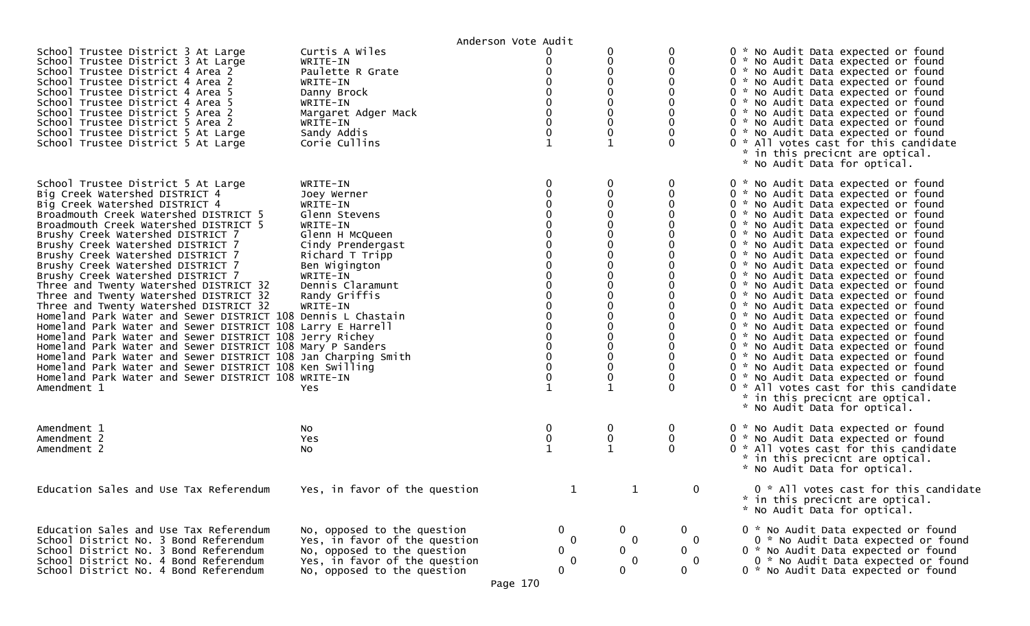|                                                                                                                                                                                                                                                                                                                                                                                                                                                                                                                                                                                                                                                                                                                                                                                                                                                                                                                                                                         |                                                                                                                                                                                                                   | Anderson Vote Audit                                                                                                                                                        |                                                                                   |                                                                            |                                                                                                                                                                                                                                                                                                                                                                                                                                                                                                                                                                                                                                                                                                                                                                                                                                                                                                                      |
|-------------------------------------------------------------------------------------------------------------------------------------------------------------------------------------------------------------------------------------------------------------------------------------------------------------------------------------------------------------------------------------------------------------------------------------------------------------------------------------------------------------------------------------------------------------------------------------------------------------------------------------------------------------------------------------------------------------------------------------------------------------------------------------------------------------------------------------------------------------------------------------------------------------------------------------------------------------------------|-------------------------------------------------------------------------------------------------------------------------------------------------------------------------------------------------------------------|----------------------------------------------------------------------------------------------------------------------------------------------------------------------------|-----------------------------------------------------------------------------------|----------------------------------------------------------------------------|----------------------------------------------------------------------------------------------------------------------------------------------------------------------------------------------------------------------------------------------------------------------------------------------------------------------------------------------------------------------------------------------------------------------------------------------------------------------------------------------------------------------------------------------------------------------------------------------------------------------------------------------------------------------------------------------------------------------------------------------------------------------------------------------------------------------------------------------------------------------------------------------------------------------|
| School Trustee District 3 At Large<br>School Trustee District 3 At Large<br>School Trustee District 4 Area 2<br>School Trustee District 4 Area 2<br>School Trustee District 4 Area 5<br>School Trustee District 4 Area 5<br>School Trustee District 5 Area 2<br>School Trustee District 5 Area 2<br>School Trustee District 5 At Large<br>School Trustee District 5 At Large                                                                                                                                                                                                                                                                                                                                                                                                                                                                                                                                                                                            | Curtis A Wiles<br>WRITE-IN<br>Paulette R Grate<br>WRITE-IN<br>Danny Brock<br>WRITE-IN<br>Margaret Adger Mack<br>WRITE-IN<br>Sandy Addis<br>Corie Cullins                                                          | 0<br>$\Omega$<br>$\Omega$<br>$\Omega$<br>$\Omega$<br>$\mathbf 0$<br>$\mathbf{1}$                                                                                           | 0<br>0<br>0<br>0<br>0<br>0<br>0<br>0<br>0<br>$\mathbf 1$                          | 0<br>$\Omega$<br>$\Omega$                                                  | 0 * No Audit Data expected or found<br>0 * No Audit Data expected or found<br>0 * No Audit Data expected or found<br>0 * No Audit Data expected or found<br>0 * No Audit Data expected or found<br>0 * No Audit Data expected or found<br>0 * No Audit Data expected or found<br>0 * No Audit Data expected or found<br>0 * No Audit Data expected or found<br>0 * All votes cast for this candidate<br>* in this precicnt are optical.<br>* No Audit Data for optical.                                                                                                                                                                                                                                                                                                                                                                                                                                              |
| School Trustee District 5 At Large<br>Big Creek Watershed DISTRICT 4<br>Big Creek Watershed DISTRICT 4<br>Broadmouth Creek Watershed DISTRICT 5<br>Broadmouth Creek Watershed DISTRICT 5<br>Brushy Creek Watershed DISTRICT 7<br>Brushy Creek Watershed DISTRICT 7<br>Brushy Creek Watershed DISTRICT 7<br>Brushy Creek Watershed DISTRICT 7<br>Brushy Creek Watershed DISTRICT 7<br>Three and Twenty Watershed DISTRICT 32<br>Three and Twenty Watershed DISTRICT 32<br>Three and Twenty Watershed DISTRICT 32<br>Homeland Park Water and Sewer DISTRICT 108 Dennis L Chastain<br>Homeland Park Water and Sewer DISTRICT 108 Larry E Harrell<br>Homeland Park Water and Sewer DISTRICT 108 Jerry Richey<br>Homeland Park Water and Sewer DISTRICT 108 Mary P Sanders<br>Homeland Park Water and Sewer DISTRICT 108 Jan Charping Smith<br>Homeland Park Water and Sewer DISTRICT 108 Ken Swilling<br>Homeland Park Water and Sewer DISTRICT 108 WRITE-IN<br>Amendment 1 | WRITE-IN<br>Joey Werner<br>WRITE-IN<br>Glenn Stevens<br>WRITE-IN<br>Glenn H McQueen<br>Cindy Prendergast<br>Richard T Tripp<br>Ben Wigington<br>WRITE-IN<br>Dennis Claramunt<br>Randy Griffis<br>WRITE-IN<br>Yes. | 0<br>$\Omega$<br>$\Omega$<br>$\Omega$<br>$\mathbf 0$<br>$\Omega$<br>$\Omega$<br>$\Omega$<br>$\Omega$<br>$\Omega$<br>$\mathbf{0}$<br>$\Omega$<br>$\mathbf 0$<br>$\mathbf 1$ | 0<br>0<br>0<br>0<br>0<br>0<br>0<br>0<br>0<br>0<br>0<br>0<br>0<br>0<br>0<br>0<br>0 | 0<br>0<br>$\Omega$                                                         | 0 * No Audit Data expected or found<br>0 * No Audit Data expected or found<br>0 * No Audit Data expected or found<br>0 * No Audit Data expected or found<br>0 * No Audit Data expected or found<br>0 * No Audit Data expected or found<br>0 * No Audit Data expected or found<br>0 * No Audit Data expected or found<br>0 * No Audit Data expected or found<br>0 * No Audit Data expected or found<br>0 * No Audit Data expected or found<br>0 * No Audit Data expected or found<br>0 * No Audit Data expected or found<br>0 * No Audit Data expected or found<br>0 * No Audit Data expected or found<br>0 * No Audit Data expected or found<br>0 * No Audit Data expected or found<br>0 * No Audit Data expected or found<br>0 * No Audit Data expected or found<br>0 * No Audit Data expected or found<br>0 * All votes cast for this candidate<br>* in this precicnt are optical.<br>* No Audit Data for optical. |
| Amendment 1<br>Amendment 2<br>Amendment 2                                                                                                                                                                                                                                                                                                                                                                                                                                                                                                                                                                                                                                                                                                                                                                                                                                                                                                                               | No<br>Yes<br>No                                                                                                                                                                                                   | 0<br>$\bf{0}$<br>$\mathbf{1}$                                                                                                                                              | 0<br>0                                                                            | 0<br>0<br>$\mathbf 0$                                                      | 0 * No Audit Data expected or found<br>0 * No Audit Data expected or found<br>0 * All votes cast for this candidate<br>* in this precicnt are optical.<br>* No Audit Data for optical.                                                                                                                                                                                                                                                                                                                                                                                                                                                                                                                                                                                                                                                                                                                               |
| Education Sales and Use Tax Referendum                                                                                                                                                                                                                                                                                                                                                                                                                                                                                                                                                                                                                                                                                                                                                                                                                                                                                                                                  | Yes, in favor of the question                                                                                                                                                                                     |                                                                                                                                                                            |                                                                                   | 0                                                                          | 0 * All votes cast for this candidate<br>* in this precicnt are optical.<br>* No Audit Data for optical.                                                                                                                                                                                                                                                                                                                                                                                                                                                                                                                                                                                                                                                                                                                                                                                                             |
| Education Sales and Use Tax Referendum<br>School District No. 3 Bond Referendum<br>School District No. 3 Bond Referendum<br>School District No. 4 Bond Referendum<br>School District No. 4 Bond Referendum                                                                                                                                                                                                                                                                                                                                                                                                                                                                                                                                                                                                                                                                                                                                                              | No, opposed to the question<br>Yes, in favor of the question<br>No, opposed to the question<br>Yes, in favor of the question<br>No, opposed to the question                                                       | $\mathbf 0$<br>$\Omega$<br>$\mathbf 0$<br>0<br>$\mathbf 0$                                                                                                                 | $\overline{0}$<br>$\mathbf 0$<br>$\mathbf{0}$<br>$\bf{0}$<br>0                    | $\mathbf{0}$<br>$\mathbf 0$<br>$\mathbf{0}$<br>$\mathbf 0$<br>$\mathbf{0}$ | 0 * No Audit Data expected or found<br>0 * No Audit Data expected or found<br>0 * No Audit Data expected or found<br>0 * No Audit Data expected or found<br>0 * No Audit Data expected or found                                                                                                                                                                                                                                                                                                                                                                                                                                                                                                                                                                                                                                                                                                                      |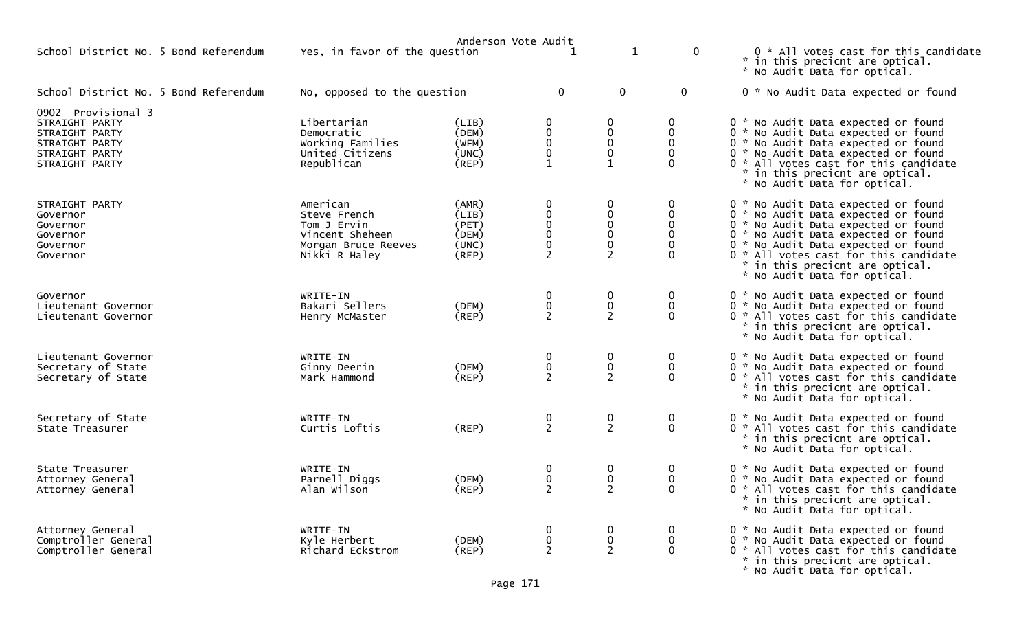|                                                                                                              |                                                                                                    |                                                          | Anderson Vote Audit                                                         |                                                             |                                                                          |                                                                                                                                                                                                                                                                                                             |
|--------------------------------------------------------------------------------------------------------------|----------------------------------------------------------------------------------------------------|----------------------------------------------------------|-----------------------------------------------------------------------------|-------------------------------------------------------------|--------------------------------------------------------------------------|-------------------------------------------------------------------------------------------------------------------------------------------------------------------------------------------------------------------------------------------------------------------------------------------------------------|
| School District No. 5 Bond Referendum                                                                        | Yes, in favor of the question                                                                      |                                                          |                                                                             | $\mathbf 1$                                                 | $\mathbf 0$                                                              | 0 * All votes cast for this candidate<br>* in this precicnt are optical.<br>* No Audit Data for optical.                                                                                                                                                                                                    |
| School District No. 5 Bond Referendum                                                                        | No, opposed to the question                                                                        |                                                          | $\mathbf 0$                                                                 | $\mathbf 0$                                                 | $\mathbf 0$                                                              | 0 * No Audit Data expected or found                                                                                                                                                                                                                                                                         |
| 0902 Provisional 3<br>STRAIGHT PARTY<br>STRAIGHT PARTY<br>STRAIGHT PARTY<br>STRAIGHT PARTY<br>STRAIGHT PARTY | Libertarian<br>Democratic<br>Working Families<br>United Citizens<br>Republican                     | (LIB)<br>(DEM)<br>(WFM)<br>(UNC)<br>$($ REP $)$          | 0<br>$\begin{smallmatrix}0\0\0\end{smallmatrix}$<br>$\pmb{0}$               | 0<br>0<br>$\mathbf 0$<br>0                                  | 0<br>0<br>$\mathbf{0}$<br>0<br>$\Omega$                                  | 0 * No Audit Data expected or found<br>0 * No Audit Data expected or found<br>0 * No Audit Data expected or found<br>0 * No Audit Data expected or found<br>0 * All votes cast for this candidate<br>* in this precicnt are optical.<br>* No Audit Data for optical.                                        |
| STRAIGHT PARTY<br>Governor<br>Governor<br>Governor<br>Governor<br>Governor                                   | American<br>Steve French<br>Tom J Ervin<br>Vincent Sheheen<br>Morgan Bruce Reeves<br>Nikki R Haley | (AMR)<br>(LIB)<br>(PET)<br>(DEM)<br>(UNC)<br>$($ REP $)$ | 0<br>$\mathbf 0$<br>$\pmb{0}$<br>$\pmb{0}$<br>$\mathbf 0$<br>$\overline{2}$ | $\mathbf 0$<br>0<br>0<br>$\mathbf 0$<br>0<br>$\overline{2}$ | $\bf{0}$<br>0<br>$\mathbf 0$<br>$\mathbf{0}$<br>$\mathbf{0}$<br>$\Omega$ | 0 * No Audit Data expected or found<br>0 * No Audit Data expected or found<br>0 * No Audit Data expected or found<br>0 * No Audit Data expected or found<br>0 * No Audit Data expected or found<br>0 * All votes cast for this candidate<br>* in this precicnt are optical.<br>* No Audit Data for optical. |
| Governor<br>Lieutenant Governor<br>Lieutenant Governor                                                       | WRITE-IN<br>Bakari Sellers<br>Henry McMaster                                                       | (DEM)<br>$($ REP $)$                                     | 0<br>$\begin{smallmatrix}0\0\2\end{smallmatrix}$                            | $\bf{0}$<br>$\begin{smallmatrix} 0 \\ 2 \end{smallmatrix}$  | $\bf{0}$<br>$\mathbf 0$<br>$\Omega$                                      | 0 * No Audit Data expected or found<br>0 * No Audit Data expected or found<br>0 * All votes cast for this candidate<br>* in this precicnt are optical.<br>* No Audit Data for optical.                                                                                                                      |
| Lieutenant Governor<br>Secretary of State<br>Secretary of State                                              | WRITE-IN<br>Ginny Deerin<br>Mark Hammond                                                           | (DEM)<br>$($ REP $)$                                     | 0<br>$\pmb{0}$<br>$\overline{2}$                                            | 0<br>$\frac{0}{2}$                                          | 0<br>$\mathbf 0$<br>$\Omega$                                             | 0 * No Audit Data expected or found<br>0 * No Audit Data expected or found<br>0 * All votes cast for this candidate<br>* in this precicnt are optical.<br>* No Audit Data for optical.                                                                                                                      |
| Secretary of State<br>State Treasurer                                                                        | WRITE-IN<br>Curtis Loftis                                                                          | (REP)                                                    | $\frac{0}{2}$                                                               | $\frac{0}{2}$                                               | $\mathbf 0$<br>0                                                         | 0 * No Audit Data expected or found<br>0 * All votes cast for this candidate<br>* in this precicnt are optical.<br>* No Audit Data for optical.                                                                                                                                                             |
| State Treasurer<br>Attorney General<br>Attorney General                                                      | WRITE-IN<br>Parnell Diggs<br>Alan Wilson                                                           | (DEM)<br>$($ REP $)$                                     | 0<br>0<br>2                                                                 | 0<br>$\mathbf 0$                                            | 0<br>0<br>$\Omega$                                                       | 0 * No Audit Data expected or found<br>0 * No Audit Data expected or found<br>0 * All votes cast for this candidate<br>* in this precicnt are optical.<br>* No Audit Data for optical.                                                                                                                      |
| Attorney General<br>Comptroller General<br>Comptroller General                                               | WRITE-IN<br>Kyle Herbert<br>Richard Eckstrom                                                       | (DEM)<br>$($ REP $)$                                     | $\boldsymbol{0}$<br>$\pmb{0}$<br>$\overline{2}$                             | $\bf{0}$<br>$\mathbf 0$<br>$\overline{2}$                   | 0<br>$\bf{0}$<br>$\mathbf 0$                                             | 0 * No Audit Data expected or found<br>0 * No Audit Data expected or found<br>0 * All votes cast for this candidate<br>* in this precicnt are optical.<br>* No Audit Data for optical.                                                                                                                      |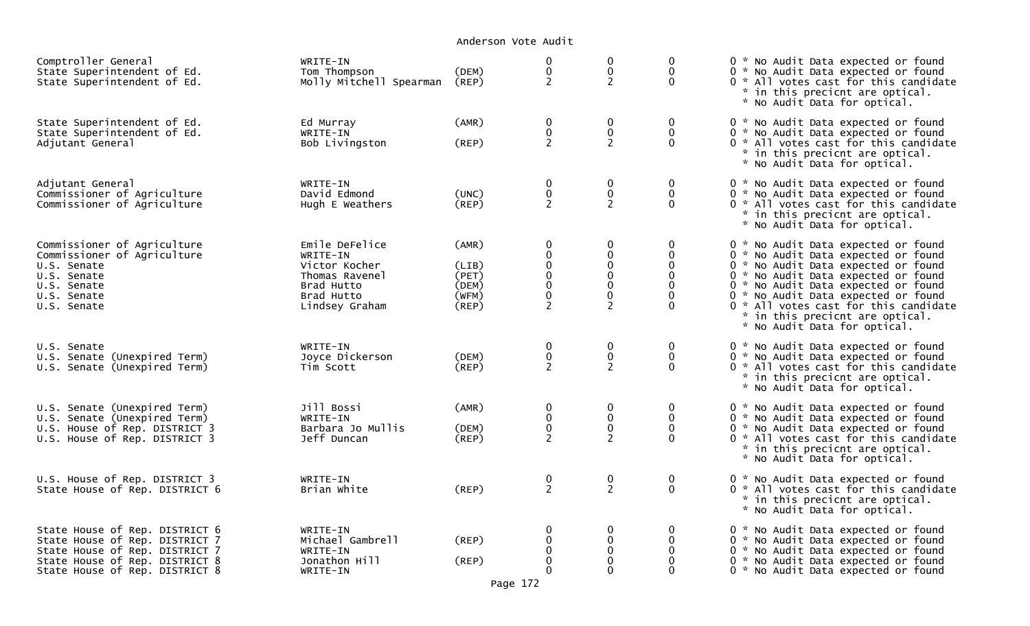| Comptroller General<br>State Superintendent of Ed.<br>State Superintendent of Ed.                                                                                      | WRITE-IN<br>Tom Thompson<br>Molly Mitchell Spearman                                                         | (DEM)<br>(REP)                                     | 0<br>$\pmb{0}$<br>$\overline{2}$                                                       | $\boldsymbol{0}$<br>$\mathbf 0$<br>$\overline{2}$                                             | 0<br>$\mathbf 0$<br>$\mathbf{0}$                                  | 0 * No Audit Data expected or found<br>0 * No Audit Data expected or found<br>0 * All votes cast for this candidate<br>* in this precicnt are optical.<br>* No Audit Data for optical.                                                                                                                                                             |
|------------------------------------------------------------------------------------------------------------------------------------------------------------------------|-------------------------------------------------------------------------------------------------------------|----------------------------------------------------|----------------------------------------------------------------------------------------|-----------------------------------------------------------------------------------------------|-------------------------------------------------------------------|----------------------------------------------------------------------------------------------------------------------------------------------------------------------------------------------------------------------------------------------------------------------------------------------------------------------------------------------------|
| State Superintendent of Ed.<br>State Superintendent of Ed.<br>Adjutant General                                                                                         | Ed Murray<br>WRITE-IN<br>Bob Livingston                                                                     | (AMR)<br>(REP)                                     | $\mathbf 0$<br>$\mathbf 0$<br>$\overline{2}$                                           | $\mathbf 0$<br>$\mathbf 0$<br>$\overline{2}$                                                  | 0<br>$\mathbf 0$<br>$\mathbf 0$                                   | 0 * No Audit Data expected or found<br>0 * No Audit Data expected or found<br>0 * All votes cast for this candidate<br>* in this precicnt are optical.<br>* No Audit Data for optical.                                                                                                                                                             |
| Adjutant General<br>Commissioner of Agriculture<br>Commissioner of Agriculture                                                                                         | WRITE-IN<br>David Edmond<br>Hugh E Weathers                                                                 | (UNC)<br>(REP)                                     | $\bf{0}$<br>${\bf 0}$<br>$\overline{2}$                                                | $\mathbf 0$<br>$\pmb{0}$<br>$\overline{2}$                                                    | 0<br>$\mathbf 0$<br>$\Omega$                                      | 0 * No Audit Data expected or found<br>0 * No Audit Data expected or found<br>0 * All votes cast for this candidate<br>* in this precicnt are optical.<br>* No Audit Data for optical.                                                                                                                                                             |
| Commissioner of Agriculture<br>Commissioner of Agriculture<br>U.S. Senate<br>U.S. Senate<br>U.S. Senate<br>U.S. Senate<br>U.S. Senate                                  | Emile DeFelice<br>WRITE-IN<br>Victor Kocher<br>Thomas Ravenel<br>Brad Hutto<br>Brad Hutto<br>Lindsey Graham | (AMR)<br>(LIB)<br>(PET)<br>(DEM)<br>(WFM)<br>(REP) | $\bf{0}$<br>$_{\rm 0}^{\rm 0}$<br>$\pmb{0}$<br>$\overline{0}$<br>$0$<br>$\overline{2}$ | 0<br>$\mathbf 0$<br>$\mathbf 0$<br>$\mathbf{0}$<br>$\pmb{0}$<br>$\mathbf 0$<br>$\overline{2}$ | 0<br>0<br>$\mathbf{0}$<br>$\mathbf 0$<br>$\Omega$<br>$\mathbf{0}$ | 0 * No Audit Data expected or found<br>0 * No Audit Data expected or found<br>0 * No Audit Data expected or found<br>0 * No Audit Data expected or found<br>0 * No Audit Data expected or found<br>0 * No Audit Data expected or found<br>0 * All votes cast for this candidate<br>* in this precicnt are optical.<br>* No Audit Data for optical. |
| U.S. Senate<br>U.S. Senate (Unexpired Term)<br>U.S. Senate (Unexpired Term)                                                                                            | WRITE-IN<br>Joyce Dickerson<br>Tim Scott                                                                    | (DEM)<br>(REP)                                     | $\mathbf 0$<br>$\pmb{0}$<br>$\overline{2}$                                             | 0<br>$\mathbf 0$<br>$\overline{2}$                                                            | 0<br>$\mathbf 0$<br>$\Omega$                                      | 0 * No Audit Data expected or found<br>0 * No Audit Data expected or found<br>0 * All votes cast for this candidate<br>* in this precicnt are optical.<br>* No Audit Data for optical.                                                                                                                                                             |
| U.S. Senate (Unexpired Term)<br>U.S. Senate (Unexpired Term)<br>U.S. House of Rep. DISTRICT 3<br>U.S. House of Rep. DISTRICT 3                                         | Jill Bossi<br>WRITE-IN<br>Barbara Jo Mullis<br>Jeff Duncan                                                  | (AMR)<br>(DEM)<br>(REP)                            | $\mathbf 0$<br>$\pmb{0}$<br>$\ddot{\mathbf{0}}$<br>$\overline{2}$                      | $\mathbf 0$<br>$\mathbf 0$<br>$\mathbf 0$<br>$\overline{2}$                                   | 0<br>$\mathbf 0$<br>$\Omega$                                      | 0 * No Audit Data expected or found<br>0 * No Audit Data expected or found<br>0 * No Audit Data expected or found<br>0 * All votes cast for this candidate<br>* in this precicnt are optical.<br>* No Audit Data for optical.                                                                                                                      |
| U.S. House of Rep. DISTRICT 3<br>State House of Rep. DISTRICT 6                                                                                                        | WRITE-IN<br>Brian White                                                                                     | (REP)                                              | $\boldsymbol{0}$<br>$\overline{2}$                                                     | $\pmb{0}$<br>$\overline{2}$                                                                   | 0<br>$\mathbf 0$                                                  | 0 * No Audit Data expected or found<br>0 * All votes cast for this candidate<br>* in this precicnt are optical.<br>* No Audit Data for optical.                                                                                                                                                                                                    |
| State House of Rep. DISTRICT 6<br>State House of Rep. DISTRICT 7<br>State House of Rep. DISTRICT 7<br>State House of Rep. DISTRICT 8<br>State House of Rep. DISTRICT 8 | WRITE-IN<br>Michael Gambrell<br>WRITE-IN<br>Jonathon Hill<br>WRITE-IN                                       | (REP)<br>(REP)                                     | $\mathbf 0$<br>$\mathbf 0$<br>0<br>$\mathbf 0$<br>$\Omega$                             | $\mathbf 0$<br>$\mathbf 0$<br>$\mathbf 0$<br>$\Omega$<br>$\Omega$                             | 0<br>$\mathbf{0}$<br>$\Omega$                                     | 0 * No Audit Data expected or found<br>0 * No Audit Data expected or found<br>0 * No Audit Data expected or found<br>0 * No Audit Data expected or found<br>0 * No Audit Data expected or found                                                                                                                                                    |

Page 172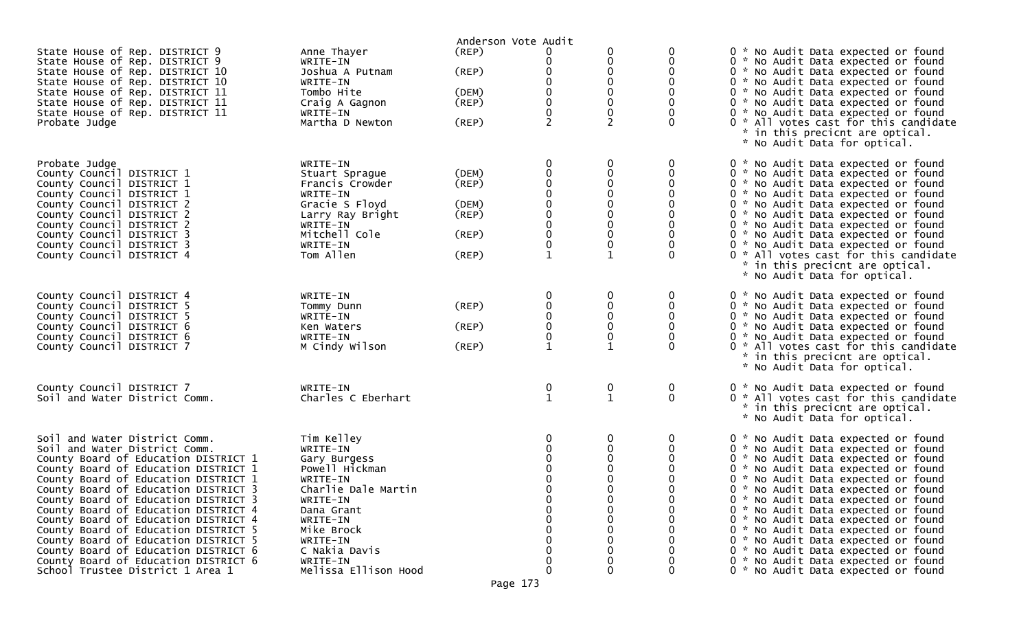|                                                                                                                                                                                                                                                                                                                                                                                                                                                                                                                                                            |                                                                                                                                                                                                                  | Anderson Vote Audit                                                        |                                                                              |                                                          |                            |                                                                                                                                                                                                                                                                                                                                                                                                                                                                                                                                                                |
|------------------------------------------------------------------------------------------------------------------------------------------------------------------------------------------------------------------------------------------------------------------------------------------------------------------------------------------------------------------------------------------------------------------------------------------------------------------------------------------------------------------------------------------------------------|------------------------------------------------------------------------------------------------------------------------------------------------------------------------------------------------------------------|----------------------------------------------------------------------------|------------------------------------------------------------------------------|----------------------------------------------------------|----------------------------|----------------------------------------------------------------------------------------------------------------------------------------------------------------------------------------------------------------------------------------------------------------------------------------------------------------------------------------------------------------------------------------------------------------------------------------------------------------------------------------------------------------------------------------------------------------|
| State House of Rep. DISTRICT 9<br>State House of Rep. DISTRICT 9<br>State House of Rep. DISTRICT 10<br>State House of Rep. DISTRICT 10<br>State House of Rep. DISTRICT 11<br>State House of Rep. DISTRICT 11<br>State House of Rep. DISTRICT 11<br>Probate Judge                                                                                                                                                                                                                                                                                           | Anne Thayer<br>WRITE-IN<br>Joshua A Putnam<br>WRITE-IN<br>Tombo Hite<br>Craig A Gagnon<br>WRITE-IN<br>Martha D Newton                                                                                            | (REP)<br>(REP)<br>(DEM)<br>$($ REP $)$<br>$($ REP $)$                      | 0<br>0<br>$\Omega$<br>0<br>$\mathbf 0$<br>0<br>$\mathbf 0$<br>$\overline{2}$ | 0<br>0<br>$\Omega$<br>0<br>0<br>0<br>0<br>$\overline{2}$ | 0<br>0                     | 0 * No Audit Data expected or found<br>0 * No Audit Data expected or found<br>0 * No Audit Data expected or found<br>0 * No Audit Data expected or found<br>0 * No Audit Data expected or found<br>0 * No Audit Data expected or found<br>0 * No Audit Data expected or found<br>0 * All votes cast for this candidate<br>* in this precicnt are optical.<br>* No Audit Data for optical.                                                                                                                                                                      |
| Probate Judge<br>County Council DISTRICT 1<br>County Council DISTRICT 1<br>County Council DISTRICT 1<br>County Council DISTRICT 2<br>County Council DISTRICT 2<br>County Council DISTRICT 2<br>County Council DISTRICT 3<br>County Council DISTRICT 3<br>County Council DISTRICT 4                                                                                                                                                                                                                                                                         | WRITE-IN<br>Stuart Sprague<br>Francis Crowder<br>WRITE-IN<br>Gracie S Floyd<br>Larry Ray Bright<br>WRITE-IN<br>Mitchell Cole<br>WRITE-IN<br>Tom Allen                                                            | (DEM)<br>$($ REP $)$<br>(DEM)<br>$($ REP $)$<br>$($ REP $)$<br>$($ REP $)$ | 0<br>$\mathbf 0$<br>$\Omega$<br>0<br>$\mathbf 0$<br>0<br>$\mathbf{1}$        | 0<br>0<br>0<br>0<br>0<br>0<br>0<br>$\mathbf{1}$          | 0<br>0<br>$\Omega$         | 0 * No Audit Data expected or found<br>0 * No Audit Data expected or found<br>0 * No Audit Data expected or found<br>0 * No Audit Data expected or found<br>0 * No Audit Data expected or found<br>0 * No Audit Data expected or found<br>0 * No Audit Data expected or found<br>0 * No Audit Data expected or found<br>0 * No Audit Data expected or found<br>0 * All votes cast for this candidate<br>* in this precicnt are optical.<br>* No Audit Data for optical.                                                                                        |
| County Council DISTRICT 4<br>County Council DISTRICT 5<br>County Council DISTRICT 5<br>County Council DISTRICT 6<br>County Council DISTRICT 6<br>County Council DISTRICT 7                                                                                                                                                                                                                                                                                                                                                                                 | WRITE-IN<br>Tommy Dunn<br>WRITE-IN<br>Ken Waters<br>WRITE-IN<br>M Cindy Wilson                                                                                                                                   | $($ REP $)$<br>$($ REP $)$<br>(REP)                                        | 0<br>0<br>0<br>$\mathbf 0$<br>0<br>$\mathbf{1}$                              | 0<br>0<br>0<br>0<br>0<br>$\mathbf{1}$                    | 0<br>0<br>$\Omega$         | 0 * No Audit Data expected or found<br>0 * No Audit Data expected or found<br>0 * No Audit Data expected or found<br>0 * No Audit Data expected or found<br>0 * No Audit Data expected or found<br>0 * All votes cast for this candidate<br>* in this precicnt are optical.<br>* No Audit Data for optical.                                                                                                                                                                                                                                                    |
| County Council DISTRICT 7<br>Soil and Water District Comm.                                                                                                                                                                                                                                                                                                                                                                                                                                                                                                 | WRITE-IN<br>Charles C Eberhart                                                                                                                                                                                   |                                                                            | 0<br>$\mathbf{1}$                                                            | 0<br>$\mathbf{1}$                                        | $\overline{0}$<br>$\Omega$ | 0 * No Audit Data expected or found<br>0 * All votes cast for this candidate<br>* in this precicnt are optical.<br>* No Audit Data for optical.                                                                                                                                                                                                                                                                                                                                                                                                                |
| Soil and Water District Comm.<br>Soil and Water District Comm.<br>County Board of Education DISTRICT 1<br>County Board of Education DISTRICT 1<br>County Board of Education DISTRICT 1<br>County Board of Education DISTRICT 3<br>County Board of Education DISTRICT 3<br>County Board of Education DISTRICT 4<br>County Board of Education DISTRICT 4<br>County Board of Education DISTRICT 5<br>County Board of Education DISTRICT 5<br>County Board of Education DISTRICT 6<br>County Board of Education DISTRICT 6<br>School Trustee District 1 Area 1 | Tim Kelley<br>WRITE-IN<br>Gary Burgess<br>Powell Hickman<br>WRITE-IN<br>Charlie Dale Martin<br>WRITE-IN<br>Dana Grant<br>WRITE-IN<br>Mike Brock<br>WRITE-IN<br>C Nakia Davis<br>WRITE-IN<br>Melissa Ellison Hood |                                                                            | ∩<br>$\Omega$                                                                | 0<br>0<br>0<br>0<br>0<br>0                               | 0<br>0                     | 0 * No Audit Data expected or found<br>0 * No Audit Data expected or found<br>0 * No Audit Data expected or found<br>0 * No Audit Data expected or found<br>0 * No Audit Data expected or found<br>0 * No Audit Data expected or found<br>0 * No Audit Data expected or found<br>0 * No Audit Data expected or found<br>0 * No Audit Data expected or found<br>0 * No Audit Data expected or found<br>0 * No Audit Data expected or found<br>0 * No Audit Data expected or found<br>0 * No Audit Data expected or found<br>0 * No Audit Data expected or found |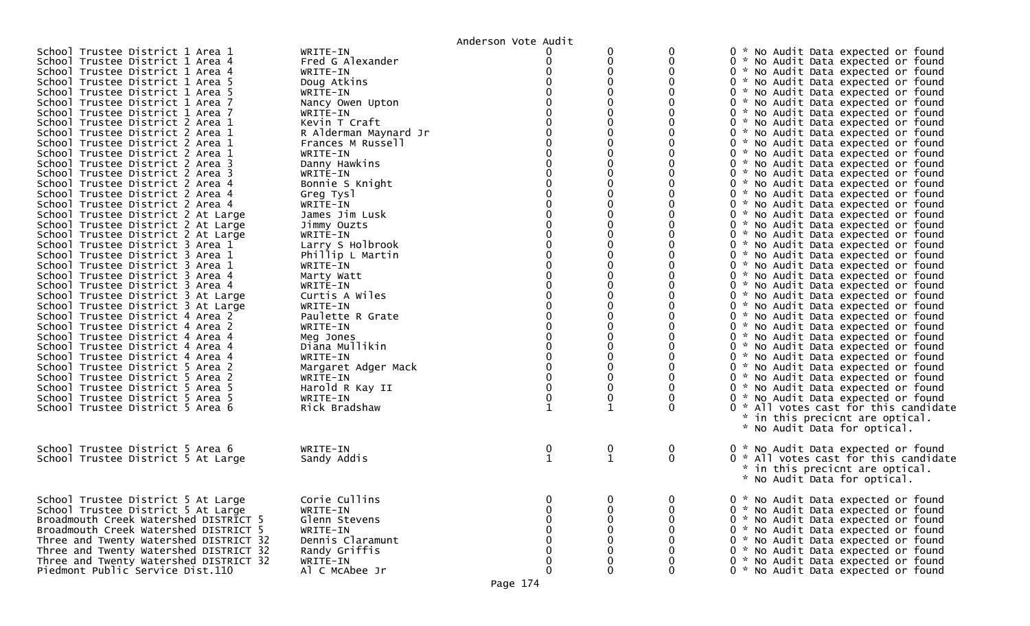|                                        |                       | Anderson Vote Audit |                  |              |                                       |
|----------------------------------------|-----------------------|---------------------|------------------|--------------|---------------------------------------|
| School Trustee District 1 Area 1       | WRITE-IN              |                     |                  | 0            | 0 * No Audit Data expected or found   |
| School Trustee District 1 Area 4       | Fred G Alexander      |                     | 0                | 0            | 0 * No Audit Data expected or found   |
| School Trustee District 1 Area 4       | WRITE-IN              |                     | $\Omega$         | $\Omega$     | 0 * No Audit Data expected or found   |
| School Trustee District 1 Area 5       | Doug Atkins           |                     |                  | 0            | 0 * No Audit Data expected or found   |
| School Trustee District 1 Area 5       | WRITE-IN              |                     |                  |              | 0 * No Audit Data expected or found   |
| School Trustee District 1 Area 7       | Nancy Owen Upton      |                     |                  | 0            | 0 * No Audit Data expected or found   |
| School Trustee District 1 Area 7       | WRITE-IN              |                     |                  | 0            | 0 * No Audit Data expected or found   |
| School Trustee District 2 Area 1       | Kevin T Craft         |                     |                  | 0            | 0 * No Audit Data expected or found   |
| School Trustee District 2 Area 1       | R Alderman Maynard Jr |                     |                  | 0            | 0 * No Audit Data expected or found   |
| School Trustee District 2 Area 1       | Frances M Russell     |                     |                  | 0            | 0 * No Audit Data expected or found   |
| School Trustee District 2 Area 1       | WRITE-IN              |                     |                  | 0            | 0 * No Audit Data expected or found   |
| School Trustee District 2 Area 3       | Danny Hawkins         |                     |                  | 0            | 0 * No Audit Data expected or found   |
| School Trustee District 2 Area 3       | WRITE-IN              |                     |                  | 0            | 0 * No Audit Data expected or found   |
| School Trustee District 2 Area 4       | Bonnie S Knight       |                     |                  |              | 0 * No Audit Data expected or found   |
| School Trustee District 2 Area 4       | Greg Tysl             |                     |                  | 0            | 0 * No Audit Data expected or found   |
| School Trustee District 2 Area 4       | WRITE-IN              |                     |                  |              | 0 * No Audit Data expected or found   |
|                                        | James Jim Lusk        |                     |                  | 0            |                                       |
| School Trustee District 2 At Large     |                       |                     |                  | 0            | 0 * No Audit Data expected or found   |
| School Trustee District 2 At Large     | Jimmy Ouzts           |                     |                  |              | 0 * No Audit Data expected or found   |
| School Trustee District 2 At Large     | WRITE-IN              |                     |                  |              | 0 * No Audit Data expected or found   |
| School Trustee District 3 Area 1       | Larry S Holbrook      |                     |                  | 0            | 0 * No Audit Data expected or found   |
| School Trustee District 3 Area 1       | Phillip L Martin      |                     |                  | 0            | 0 * No Audit Data expected or found   |
| School Trustee District 3 Area 1       | WRITE-IN              |                     |                  | 0            | 0 * No Audit Data expected or found   |
| School Trustee District 3 Area 4       | Marty Watt            |                     |                  | 0            | 0 * No Audit Data expected or found   |
| School Trustee District 3 Area 4       | WRITE-IN              |                     |                  | 0            | 0 * No Audit Data expected or found   |
| School Trustee District 3 At Large     | Curtis A Wiles        |                     |                  | 0            | 0 * No Audit Data expected or found   |
| School Trustee District 3 At Large     | WRITE-IN              |                     |                  | 0            | 0 * No Audit Data expected or found   |
| School Trustee District 4 Area 2       | Paulette R Grate      |                     |                  | 0            | 0 * No Audit Data expected or found   |
| School Trustee District 4 Area 2       | WRITE-IN              |                     |                  |              | 0 * No Audit Data expected or found   |
| School Trustee District 4 Area 4       | Meg Jones             |                     |                  | ∩            | 0 * No Audit Data expected or found   |
| School Trustee District 4 Area 4       | Diana Mullikin        |                     |                  |              | 0 * No Audit Data expected or found   |
| School Trustee District 4 Area 4       | WRITE-IN              |                     |                  | 0            | 0 * No Audit Data expected or found   |
| School Trustee District 5 Area 2       | Margaret Adger Mack   |                     |                  | 0            | 0 * No Audit Data expected or found   |
| School Trustee District 5 Area 2       | WRITE-IN              |                     | 0                | 0            | 0 * No Audit Data expected or found   |
| School Trustee District 5 Area 5       | Harold R Kay II       |                     | 0                | 0            | 0 * No Audit Data expected or found   |
| School Trustee District 5 Area 5       | WRITE-IN              |                     | 0                | 0            | 0 * No Audit Data expected or found   |
| School Trustee District 5 Area 6       | Rick Bradshaw         |                     | 1                | 0            | 0 * All votes cast for this candidate |
|                                        |                       |                     |                  |              | * in this precicnt are optical.       |
|                                        |                       |                     |                  |              | * No Audit Data for optical.          |
|                                        |                       |                     |                  |              |                                       |
| School Trustee District 5 Area 6       | WRITE-IN              | $\mathbf 0$         | $\boldsymbol{0}$ | 0            | 0 * No Audit Data expected or found   |
| School Trustee District 5 At Large     | Sandy Addis           | $\mathbf{1}$        | $\mathbf{1}$     | $\mathbf{0}$ | 0 * All votes cast for this candidate |
|                                        |                       |                     |                  |              | * in this precicnt are optical.       |
|                                        |                       |                     |                  |              | * No Audit Data for optical.          |
|                                        |                       |                     |                  |              |                                       |
| School Trustee District 5 At Large     | Corie Cullins         |                     | $\boldsymbol{0}$ | $\Omega$     | 0 * No Audit Data expected or found   |
| School Trustee District 5 At Large     | WRITE-IN              |                     | 0                | $\Omega$     | 0 * No Audit Data expected or found   |
| Broadmouth Creek Watershed DISTRICT 5  | Glenn Stevens         |                     | $\mathbf 0$      | ∩            | 0 * No Audit Data expected or found   |
| Broadmouth Creek Watershed DISTRICT 5  | WRITE-IN              |                     | 0                | 0            | 0 * No Audit Data expected or found   |
| Three and Twenty Watershed DISTRICT 32 | Dennis Claramunt      |                     |                  |              | 0 * No Audit Data expected or found   |
| Three and Twenty Watershed DISTRICT 32 | Randy Griffis         |                     | $\Omega$         | $\Omega$     | 0 * No Audit Data expected or found   |
| Three and Twenty Watershed DISTRICT 32 | WRITE-IN              |                     | $\boldsymbol{0}$ | 0            | 0 * No Audit Data expected or found   |
| Piedmont Public Service Dist.110       | Al C McAbee Jr        | O                   | $\mathbf 0$      | 0            | 0 * No Audit Data expected or found   |
|                                        |                       |                     |                  |              |                                       |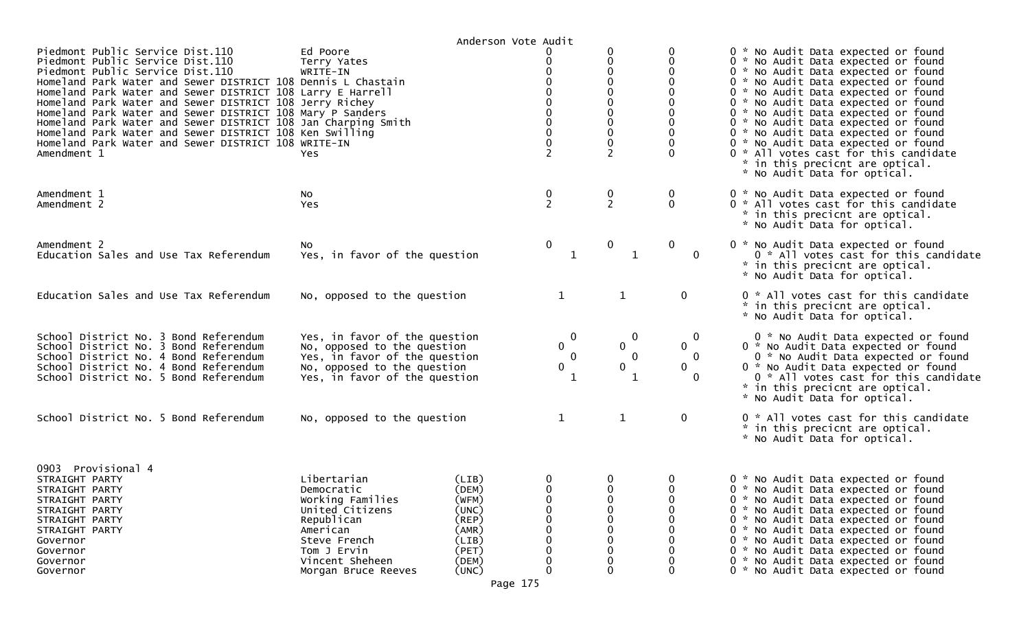| Piedmont Public Service Dist.110<br>Piedmont Public Service Dist.110<br>Piedmont Public Service Dist.110<br>Homeland Park Water and Sewer DISTRICT 108 Dennis L Chastain<br>Homeland Park Water and Sewer DISTRICT 108 Larry E Harrell<br>Homeland Park Water and Sewer DISTRICT 108 Jerry Richey<br>Homeland Park Water and Sewer DISTRICT 108 Mary P Sanders<br>Homeland Park Water and Sewer DISTRICT 108 Jan Charping Smith<br>Homeland Park Water and Sewer DISTRICT 108 Ken Swilling<br>Homeland Park Water and Sewer DISTRICT 108 WRITE-IN<br>Amendment 1 | Ed Poore<br>Terry Yates<br>WRITE-IN<br>Yes.                                                                                                                         | Anderson Vote Audit                                                                    | 0<br>$\mathbf 0$<br>0<br>$\Omega$<br>$\mathbf 0$<br>$\Omega$<br>0<br>$\overline{2}$                                                                             | 0<br>0<br>0<br>0<br>0<br>0<br>0<br>0<br>$\pmb{0}$<br>0<br>2 | 0<br>$\Omega$                                          | 0 * No Audit Data expected or found<br>0 * No Audit Data expected or found<br>0 * No Audit Data expected or found<br>0 * No Audit Data expected or found<br>0 * No Audit Data expected or found<br>0 * No Audit Data expected or found<br>0 * No Audit Data expected or found<br>0 * No Audit Data expected or found<br>0 * No Audit Data expected or found<br>0 * No Audit Data expected or found<br>0 * All votes cast for this candidate<br>* in this precicnt are optical.<br>* No Audit Data for optical. |
|------------------------------------------------------------------------------------------------------------------------------------------------------------------------------------------------------------------------------------------------------------------------------------------------------------------------------------------------------------------------------------------------------------------------------------------------------------------------------------------------------------------------------------------------------------------|---------------------------------------------------------------------------------------------------------------------------------------------------------------------|----------------------------------------------------------------------------------------|-----------------------------------------------------------------------------------------------------------------------------------------------------------------|-------------------------------------------------------------|--------------------------------------------------------|----------------------------------------------------------------------------------------------------------------------------------------------------------------------------------------------------------------------------------------------------------------------------------------------------------------------------------------------------------------------------------------------------------------------------------------------------------------------------------------------------------------|
| Amendment 1<br>Amendment 2                                                                                                                                                                                                                                                                                                                                                                                                                                                                                                                                       | No<br>Yes                                                                                                                                                           |                                                                                        | $\mathbf{0}$<br>2                                                                                                                                               | $\frac{0}{2}$                                               | 0<br>$\mathbf{0}$                                      | 0 * No Audit Data expected or found<br>0 * All votes cast for this candidate<br>* in this precicnt are optical.<br>* No Audit Data for optical.                                                                                                                                                                                                                                                                                                                                                                |
| Amendment 2<br>Education Sales and Use Tax Referendum                                                                                                                                                                                                                                                                                                                                                                                                                                                                                                            | NO.<br>Yes, in favor of the question                                                                                                                                |                                                                                        | $\boldsymbol{0}$<br>$\mathbf{1}$                                                                                                                                | 0<br>$\mathbf{1}$                                           | $\mathbf 0$<br>$\mathbf 0$                             | 0 * No Audit Data expected or found<br>0 * All votes cast for this candidate<br>* in this precicnt are optical.<br>* No Audit Data for optical.                                                                                                                                                                                                                                                                                                                                                                |
| Education Sales and Use Tax Referendum                                                                                                                                                                                                                                                                                                                                                                                                                                                                                                                           | No, opposed to the question                                                                                                                                         |                                                                                        | 1                                                                                                                                                               | $\mathbf{1}$                                                | $\mathbf 0$                                            | 0 * All votes cast for this candidate<br>* in this precicnt are optical.<br>* No Audit Data for optical.                                                                                                                                                                                                                                                                                                                                                                                                       |
| School District No. 3 Bond Referendum<br>School District No. 3 Bond Referendum<br>School District No. 4 Bond Referendum<br>School District No. 4 Bond Referendum<br>School District No. 5 Bond Referendum                                                                                                                                                                                                                                                                                                                                                        | Yes, in favor of the question<br>No, opposed to the question<br>Yes, in favor of the question<br>No, opposed to the question<br>Yes, in favor of the question       |                                                                                        | $\mathbf 0$<br>$\mathbf 0$<br>$\Omega$<br>$\mathbf 0$<br>1                                                                                                      | $\mathbf 0$<br>0<br>$\bf{0}$<br>0<br>1                      | 0<br>$\mathbf{0}$<br>0<br>$\mathbf{0}$<br>$\mathbf{0}$ | 0 * No Audit Data expected or found<br>0 * No Audit Data expected or found<br>0 * No Audit Data expected or found<br>0 * No Audit Data expected or found<br>0 * All votes cast for this candidate<br>* in this precicnt are optical.<br>* No Audit Data for optical.                                                                                                                                                                                                                                           |
| School District No. 5 Bond Referendum                                                                                                                                                                                                                                                                                                                                                                                                                                                                                                                            | No, opposed to the question                                                                                                                                         |                                                                                        | 1                                                                                                                                                               | $\mathbf{1}$                                                | $\mathbf 0$                                            | 0 * All votes cast for this candidate<br>* in this precicnt are optical.<br>* No Audit Data for optical.                                                                                                                                                                                                                                                                                                                                                                                                       |
| 0903 Provisional 4<br>STRAIGHT PARTY<br>STRAIGHT PARTY<br>STRAIGHT PARTY<br>STRAIGHT PARTY<br>STRAIGHT PARTY<br>STRAIGHT PARTY<br>Governor<br>Governor<br>Governor<br>Governor                                                                                                                                                                                                                                                                                                                                                                                   | Libertarian<br>Democratic<br>Working Families<br>United Citizens<br>Republican<br>American<br>Steve French<br>Tom J Ervin<br>Vincent Sheheen<br>Morgan Bruce Reeves | (LIB)<br>(DEM)<br>(WFM)<br>(UNC)<br>(REP)<br>(AMR)<br>(LIB)<br>(PET)<br>(DEM)<br>(UNC) | $\overline{0}$<br>$\mathbf 0$<br>0<br>$\mathbf 0$<br>$\boldsymbol{0}$<br>$\boldsymbol{0}$<br>$\mathbf 0$<br>$\boldsymbol{0}$<br>$\boldsymbol{0}$<br>$\mathbf 0$ | 0<br>$\mathbf 0$<br>0<br>0<br>0<br>0<br>0<br>0<br>0         | 0<br>$\mathbf 0$<br>0<br>0<br>0                        | 0 * No Audit Data expected or found<br>0 * No Audit Data expected or found<br>0 * No Audit Data expected or found<br>0 * No Audit Data expected or found<br>0 * No Audit Data expected or found<br>0 * No Audit Data expected or found<br>No Audit Data expected or found<br>0 *<br>0 * No Audit Data expected or found<br>0 * No Audit Data expected or found<br>0 * No Audit Data expected or found                                                                                                          |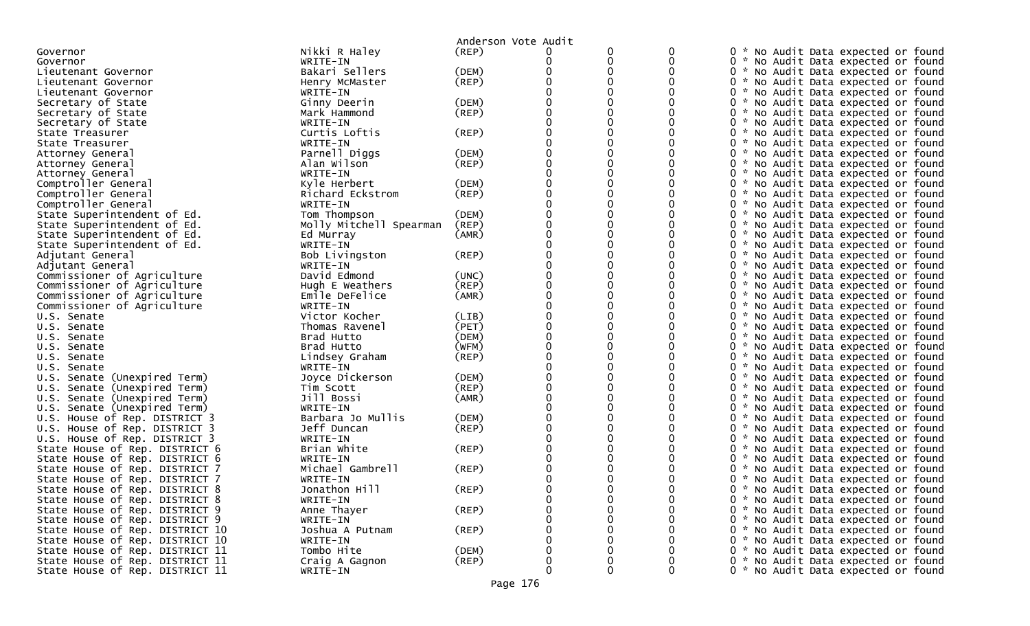|                                 |                         | Anderson Vote Audit |   | 0 | 0        |                                     |
|---------------------------------|-------------------------|---------------------|---|---|----------|-------------------------------------|
| Governor                        | Nikki R Haley           | $($ REP $)$         | 0 |   | 0        | 0 * No Audit Data expected or found |
| Governor                        | WRITE-IN                |                     |   | 0 |          | 0 * No Audit Data expected or found |
| Lieutenant Governor             | Bakari Sellers          | (DEM)               |   |   |          | 0 * No Audit Data expected or found |
| Lieutenant Governor             | Henry McMaster          | (REP)               |   |   |          | 0 * No Audit Data expected or found |
| Lieutenant Governor             | WRITE-IN                |                     |   |   |          | 0 * No Audit Data expected or found |
| Secretary of State              | Ginny Deerin            | (DEM)               |   |   |          | 0 * No Audit Data expected or found |
| Secretary of State              | Mark Hammond            | (REP)               |   |   |          | 0 * No Audit Data expected or found |
| Secretary of State              | WRITE-IN                |                     |   |   | 0        | 0 * No Audit Data expected or found |
| State Treasurer                 | Curtis Loftis           | (REP)               |   |   |          | 0 * No Audit Data expected or found |
| State Treasurer                 | WRITE-IN                |                     |   |   |          | 0 * No Audit Data expected or found |
| Attorney General                | Parnell Diggs           | (DEM)               |   |   |          | 0 * No Audit Data expected or found |
| Attorney General                | Alan Wilson             | (REP)               |   |   |          | 0 * No Audit Data expected or found |
| Attorney General                | WRITE-IN                |                     |   |   |          | 0 * No Audit Data expected or found |
| Comptroller General             | Kyle Herbert            | (DEM)               |   |   |          | 0 * No Audit Data expected or found |
| Comptroller General             | Richard Eckstrom        | (REP)               |   |   |          | 0 * No Audit Data expected or found |
| Comptroller General             | WRITE-IN                |                     |   |   |          | 0 * No Audit Data expected or found |
| State Superintendent of Ed.     | Tom Thompson            | (DEM)               |   |   |          | 0 * No Audit Data expected or found |
| State Superintendent of Ed.     | Molly Mitchell Spearman | (REP)               |   |   |          | 0 * No Audit Data expected or found |
| State Superintendent of Ed.     | Ed Murray               | (AMR)               |   |   |          | 0 * No Audit Data expected or found |
| State Superintendent of Ed.     | WRITE-IN                |                     |   |   |          | 0 * No Audit Data expected or found |
| Adjutant General                | Bob Livingston          | (REP)               |   |   |          | 0 * No Audit Data expected or found |
| Adjutant General                | WRITE-IN                |                     |   |   |          | 0 * No Audit Data expected or found |
| Commissioner of Agriculture     | David Edmond            | (UNC)               |   |   |          | 0 * No Audit Data expected or found |
| Commissioner of Agriculture     | Hugh E Weathers         | (REP)               |   |   |          | 0 * No Audit Data expected or found |
| Commissioner of Agriculture     | Emile DeFelice          | (AMR)               |   |   |          | 0 * No Audit Data expected or found |
| Commissioner of Agriculture     | WRITE-IN                |                     |   |   |          | 0 * No Audit Data expected or found |
| U.S. Senate                     | Victor Kocher           | (LIB)               |   |   |          | 0 * No Audit Data expected or found |
| U.S. Senate                     | Thomas Ravenel          | (PET)               |   |   |          | 0 * No Audit Data expected or found |
| U.S. Senate                     | Brad Hutto              | (DEM)               |   |   |          | 0 * No Audit Data expected or found |
| U.S. Senate                     | Brad Hutto              | (WFM)               |   |   |          | 0 * No Audit Data expected or found |
|                                 |                         | $($ REP $)$         |   |   |          |                                     |
| U.S. Senate                     | Lindsey Graham          |                     |   |   |          | 0 * No Audit Data expected or found |
| U.S. Senate                     | WRITE-IN                |                     |   |   |          | 0 * No Audit Data expected or found |
| U.S. Senate (Unexpired Term)    | Joyce Dickerson         | (DEM)               |   |   |          | 0 * No Audit Data expected or found |
| U.S. Senate (Unexpired Term)    | Tim Scott               | (REP)               |   |   |          | 0 * No Audit Data expected or found |
| U.S. Senate (Unexpired Term)    | Jill Bossi              | (AMR)               |   |   |          | 0 * No Audit Data expected or found |
| U.S. Senate (Unexpired Term)    | WRITE-IN                |                     |   |   |          | 0 * No Audit Data expected or found |
| U.S. House of Rep. DISTRICT 3   | Barbara Jo Mullis       | (DEM)               |   |   |          | 0 * No Audit Data expected or found |
| U.S. House of Rep. DISTRICT 3   | Jeff Duncan             | (REP)               |   |   |          | 0 * No Audit Data expected or found |
| U.S. House of Rep. DISTRICT 3   | WRITE-IN                |                     |   |   |          | 0 * No Audit Data expected or found |
| State House of Rep. DISTRICT 6  | Brian White             | (REP)               |   |   |          | 0 * No Audit Data expected or found |
| State House of Rep. DISTRICT 6  | WRITE-IN                |                     |   |   |          | 0 * No Audit Data expected or found |
| State House of Rep. DISTRICT 7  | Michael Gambrell        | $($ REP $)$         |   |   |          | 0 * No Audit Data expected or found |
| State House of Rep. DISTRICT 7  | WRITE-IN                |                     |   |   |          | 0 * No Audit Data expected or found |
| State House of Rep. DISTRICT 8  | Jonathon Hill           | (REP)               |   |   |          | 0 * No Audit Data expected or found |
| State House of Rep. DISTRICT 8  | WRITE-IN                |                     |   | 0 | 0        | 0 * No Audit Data expected or found |
| State House of Rep. DISTRICT 9  | Anne Thayer             | $($ REP $)$         |   | 0 | 0        | 0 * No Audit Data expected or found |
| State House of Rep. DISTRICT 9  | WRITE-IN                |                     |   |   | $\Omega$ | 0 * No Audit Data expected or found |
| State House of Rep. DISTRICT 10 | Joshua A Putnam         | (REP)               |   |   | 0        | 0 * No Audit Data expected or found |
| State House of Rep. DISTRICT 10 | WRITE-IN                |                     |   |   | 0        | 0 * No Audit Data expected or found |
| State House of Rep. DISTRICT 11 | Tombo Hite              | (DEM)               |   |   | 0        | 0 * No Audit Data expected or found |
| State House of Rep. DISTRICT 11 | Craig A Gagnon          | (REP)               | 0 |   | 0        | 0 * No Audit Data expected or found |
| State House of Rep. DISTRICT 11 | WRITE-IN                |                     | 0 | 0 | 0        | 0 * No Audit Data expected or found |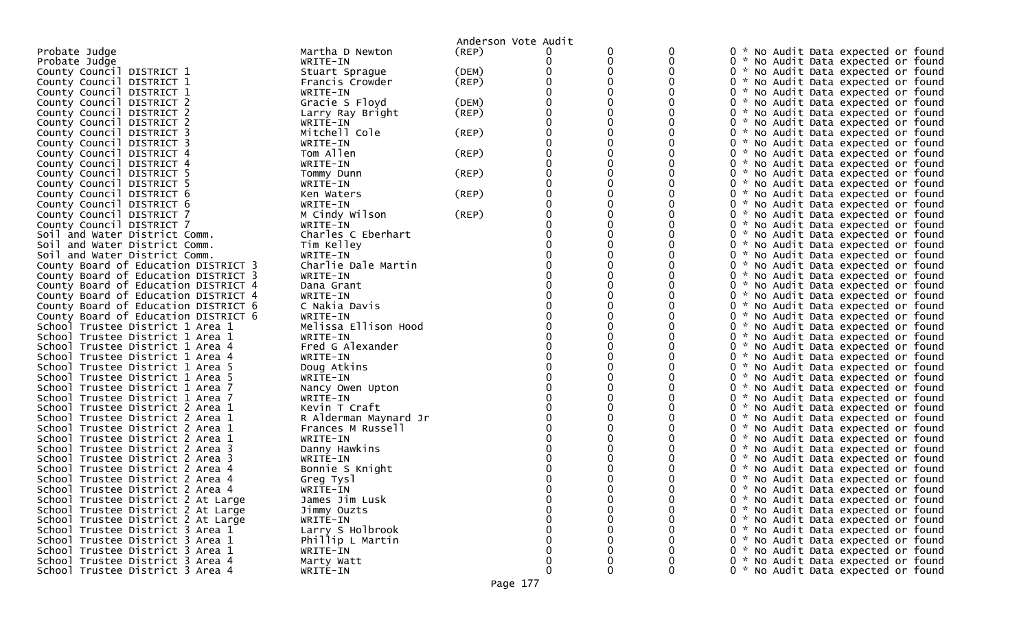|                                      |                       | Anderson Vote Audit |             |              |   |                                     |
|--------------------------------------|-----------------------|---------------------|-------------|--------------|---|-------------------------------------|
| Probate Judge                        | Martha D Newton       | (REP)               |             |              |   | 0 * No Audit Data expected or found |
| Probate Judge                        | WRITE-IN              |                     |             | 0            |   | 0 * No Audit Data expected or found |
| County Council DISTRICT 1            | Stuart Sprague        | (DEM)               |             | 0            |   | 0 * No Audit Data expected or found |
| County Council DISTRICT 1            | Francis Crowder       | (REP)               |             |              |   | 0 * No Audit Data expected or found |
| County Council DISTRICT 1            | WRITE-IN              |                     |             |              |   | 0 * No Audit Data expected or found |
| County Council DISTRICT 2            | Gracie S Floyd        | (DEM)               |             |              |   | 0 * No Audit Data expected or found |
| County Council DISTRICT 2            | Larry Ray Bright      | (REP)               |             |              |   | 0 * No Audit Data expected or found |
| County Council DISTRICT 2            | WRITE-IN              |                     |             |              |   | 0 * No Audit Data expected or found |
| County Council DISTRICT 3            | Mitchell Cole         | (REP)               |             |              |   | 0 * No Audit Data expected or found |
| County Council DISTRICT 3            | WRITE-IN              |                     |             |              |   | 0 * No Audit Data expected or found |
| County Council DISTRICT 4            | Tom Allen             | (REP)               |             |              |   | 0 * No Audit Data expected or found |
| County Council DISTRICT 4            | WRITE-IN              |                     |             | 0            |   | 0 * No Audit Data expected or found |
| County Council DISTRICT 5            | Tommy Dunn            | (REP)               |             |              |   | 0 * No Audit Data expected or found |
| County Council DISTRICT 5            | WRITE-IN              |                     |             |              |   | 0 * No Audit Data expected or found |
| County Council DISTRICT 6            | Ken Waters            | (REP)               |             |              |   | 0 * No Audit Data expected or found |
| County Council DISTRICT 6            | WRITE-IN              |                     |             |              |   | 0 * No Audit Data expected or found |
| County Council DISTRICT 7            | M Cindy Wilson        | (REP)               |             | 0            |   | 0 * No Audit Data expected or found |
| County Council DISTRICT 7            | WRITE-IN              |                     |             |              |   | 0 * No Audit Data expected or found |
| Soil and Water District Comm.        | Charles C Eberhart    |                     |             |              |   | 0 * No Audit Data expected or found |
| Soil and Water District Comm.        | Tim Kelley            |                     |             |              |   | 0 * No Audit Data expected or found |
| Soil and Water District Comm.        | WRITE-IN              |                     |             |              |   | 0 * No Audit Data expected or found |
| County Board of Education DISTRICT 3 | Charlie Dale Martin   |                     |             |              |   | 0 * No Audit Data expected or found |
| County Board of Education DISTRICT 3 | WRITE-IN              |                     |             |              |   | 0 * No Audit Data expected or found |
| County Board of Education DISTRICT 4 | Dana Grant            |                     |             |              |   | 0 * No Audit Data expected or found |
| County Board of Education DISTRICT 4 | WRITE-IN              |                     |             |              |   | 0 * No Audit Data expected or found |
| County Board of Education DISTRICT 6 | C Nakia Davis         |                     |             | 0            |   | 0 * No Audit Data expected or found |
| County Board of Education DISTRICT 6 | WRITE-IN              |                     |             |              |   |                                     |
|                                      |                       |                     |             |              |   | 0 * No Audit Data expected or found |
| School Trustee District 1 Area 1     | Melissa Ellison Hood  |                     |             |              |   | 0 * No Audit Data expected or found |
| School Trustee District 1 Area 1     | WRITE-IN              |                     |             |              |   | 0 * No Audit Data expected or found |
| School Trustee District 1 Area 4     | Fred G Alexander      |                     |             |              |   | 0 * No Audit Data expected or found |
| School Trustee District 1 Area 4     | WRITE-IN              |                     |             |              |   | 0 * No Audit Data expected or found |
| School Trustee District 1 Area 5     | Doug Atkins           |                     |             |              |   | 0 * No Audit Data expected or found |
| School Trustee District 1 Area 5     | WRITE-IN              |                     |             |              |   | 0 * No Audit Data expected or found |
| School Trustee District 1 Area 7     | Nancy Owen Upton      |                     |             |              |   | 0 * No Audit Data expected or found |
| School Trustee District 1 Area 7     | WRITE-IN              |                     |             |              |   | 0 * No Audit Data expected or found |
| School Trustee District 2 Area 1     | Kevin T Craft         |                     |             |              |   | 0 * No Audit Data expected or found |
| School Trustee District 2 Area 1     | R Alderman Maynard Jr |                     |             |              |   | 0 * No Audit Data expected or found |
| School Trustee District 2 Area 1     | Frances M Russell     |                     |             |              |   | 0 * No Audit Data expected or found |
| School Trustee District 2 Area 1     | WRITE-IN              |                     |             |              |   | 0 * No Audit Data expected or found |
| School Trustee District 2 Area 3     | Danny Hawkins         |                     |             |              |   | 0 * No Audit Data expected or found |
| School Trustee District 2 Area 3     | WRITE-IN              |                     |             |              |   | 0 * No Audit Data expected or found |
| School Trustee District 2 Area 4     | Bonnie S Knight       |                     |             |              |   | 0 * No Audit Data expected or found |
| School Trustee District 2 Area 4     | Greg Tysl             |                     |             |              |   | 0 * No Audit Data expected or found |
| School Trustee District 2 Area 4     | WRITE-IN              |                     |             |              |   | 0 * No Audit Data expected or found |
| School Trustee District 2 At Large   | James Jim Lusk        |                     | 0           |              | 0 | 0 * No Audit Data expected or found |
| School Trustee District 2 At Large   | Jimmy Ouzts           |                     | 0           |              | 0 | 0 * No Audit Data expected or found |
| School Trustee District 2 At Large   | WRITE-IN              |                     |             |              | 0 | 0 * No Audit Data expected or found |
| School Trustee District 3 Area 1     | Larry S Holbrook      |                     |             |              |   | 0 * No Audit Data expected or found |
| School Trustee District 3 Area 1     | Phillip L Martin      |                     |             |              |   | 0 * No Audit Data expected or found |
| School Trustee District 3 Area 1     | WRITE-IN              |                     |             |              |   | 0 * No Audit Data expected or found |
| School Trustee District 3 Area 4     | Marty Watt            |                     | 0           | 0            | 0 | 0 * No Audit Data expected or found |
| School Trustee District 3 Area 4     | WRITE-IN              |                     | $\mathbf 0$ | $\mathbf{0}$ | 0 | 0 * No Audit Data expected or found |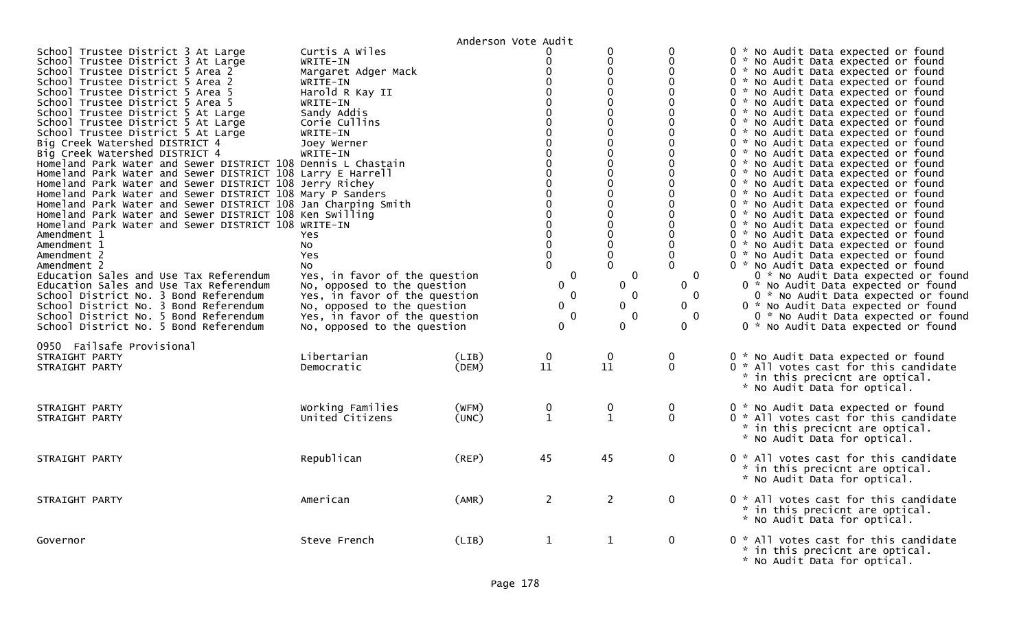|                                                                                                                                                                                                                                                                                                                                                                                                                                                                                                                                                                                                                                                                                                                                                                                                                                                                                                                                                                                                                                                                                                                                                                             |                                                                                                                                                                                                                                                                                                                                                                                                 | Anderson Vote Audit |                                                                                                                                                                                                                                                                                                                                                                                   |                                                                                                                                                                                                                                                                                                                                                                                   |                                                                                                                                                                                                                                                  |                                                                                                                                                                                                                                                                                                                                                                                                                                                                                                                                                                                                                                                                                                                                                                                                                                                                                                                                                                                                                                                                                                                                  |
|-----------------------------------------------------------------------------------------------------------------------------------------------------------------------------------------------------------------------------------------------------------------------------------------------------------------------------------------------------------------------------------------------------------------------------------------------------------------------------------------------------------------------------------------------------------------------------------------------------------------------------------------------------------------------------------------------------------------------------------------------------------------------------------------------------------------------------------------------------------------------------------------------------------------------------------------------------------------------------------------------------------------------------------------------------------------------------------------------------------------------------------------------------------------------------|-------------------------------------------------------------------------------------------------------------------------------------------------------------------------------------------------------------------------------------------------------------------------------------------------------------------------------------------------------------------------------------------------|---------------------|-----------------------------------------------------------------------------------------------------------------------------------------------------------------------------------------------------------------------------------------------------------------------------------------------------------------------------------------------------------------------------------|-----------------------------------------------------------------------------------------------------------------------------------------------------------------------------------------------------------------------------------------------------------------------------------------------------------------------------------------------------------------------------------|--------------------------------------------------------------------------------------------------------------------------------------------------------------------------------------------------------------------------------------------------|----------------------------------------------------------------------------------------------------------------------------------------------------------------------------------------------------------------------------------------------------------------------------------------------------------------------------------------------------------------------------------------------------------------------------------------------------------------------------------------------------------------------------------------------------------------------------------------------------------------------------------------------------------------------------------------------------------------------------------------------------------------------------------------------------------------------------------------------------------------------------------------------------------------------------------------------------------------------------------------------------------------------------------------------------------------------------------------------------------------------------------|
| School Trustee District 3 At Large<br>School Trustee District 3 At Large<br>School Trustee District 5 Area 2<br>School Trustee District 5 Area 2<br>School Trustee District 5 Area 5<br>School Trustee District 5 Area 5<br>School Trustee District 5 At Large<br>School Trustee District 5 At Large<br>School Trustee District 5 At Large<br>Big Creek Watershed DISTRICT 4<br>Big Creek Watershed DISTRICT 4<br>Homeland Park Water and Sewer DISTRICT 108 Dennis L Chastain<br>Homeland Park Water and Sewer DISTRICT 108 Larry E Harrell<br>Homeland Park Water and Sewer DISTRICT 108 Jerry Richey<br>Homeland Park Water and Sewer DISTRICT 108 Mary P Sanders<br>Homeland Park Water and Sewer DISTRICT 108 Jan Charping Smith<br>Homeland Park Water and Sewer DISTRICT 108 Ken Swilling<br>Homeland Park Water and Sewer DISTRICT 108 WRITE-IN<br>Amendment 1<br>Amendment 1<br>Amendment 2<br>Amendment 2<br>Education Sales and Use Tax Referendum<br>Education Sales and Use Tax Referendum<br>School District No. 3 Bond Referendum<br>School District No. 3 Bond Referendum<br>School District No. 5 Bond Referendum<br>School District No. 5 Bond Referendum | Curtis A Wiles<br>WRITE-IN<br>Margaret Adger Mack<br>WRITE-IN<br>Harold R Kay II<br>WRITE-IN<br>Sandy Addis<br>Corie Cullins<br>WRITE-IN<br>Joey Werner<br>WRITE-IN<br>Yes.<br>No<br>Yes<br>NO.<br>Yes, in favor of the question<br>No, opposed to the question<br>Yes, in favor of the question<br>No, opposed to the question<br>Yes, in favor of the question<br>No, opposed to the question |                     | $\mathbf 0$<br>$\Omega$<br>$\mathbf 0$<br>$\mathbf 0$<br>$\Omega$<br>$\mathbf{0}$<br>$\Omega$<br>$\Omega$<br>$\Omega$<br>$\mathbf 0$<br>$\mathbf{0}$<br>$\mathbf 0$<br>$\overline{0}$<br>$\overline{0}$<br>$\mathbf 0$<br>$\Omega$<br>$\Omega$<br>$\overline{0}$<br>$\overline{0}$<br>$\mathbf 0$<br>$\mathbf 0$<br>$\mathbf 0$<br>$\mathbf 0$<br>0<br>$\mathbf 0$<br>$\mathbf 0$ | 0<br>$\mathbf 0$<br>$\mathbf 0$<br>$\mathbf{0}$<br>$\mathbf{0}$<br>$\Omega$<br>$\mathbf{0}$<br>0<br>$\mathbf 0$<br>$\mathbf 0$<br>$\mathbf 0$<br>$\mathbf 0$<br>$\overline{0}$<br>0<br>$\overline{0}$<br>$\mathbf 0$<br>$\mathbf 0$<br>$\Omega$<br>$\mathbf 0$<br>$\mathbf 0$<br>$\mathbf{0}$<br>$\Omega$<br>$\mathbf 0$<br>0<br>$\mathbf{0}$<br>$\mathbf{0}$<br>$\mathbf 0$<br>0 | $\Omega$<br>$\Omega$<br>$\Omega$<br>$\Omega$<br>$\Omega$<br>$\Omega$<br>$\Omega$<br>$\Omega$<br>$\Omega$<br>$\Omega$<br>$\Omega$<br>$\Omega$<br>$\mathbf{0}$<br>$\Omega$<br>$\mathbf 0$<br>$\mathbf 0$<br>$\mathbf{0}$<br>0<br>0<br>$\mathbf{0}$ | 0 * No Audit Data expected or found<br>0 * No Audit Data expected or found<br>0 * No Audit Data expected or found<br>0 * No Audit Data expected or found<br>0 * No Audit Data expected or found<br>0 * No Audit Data expected or found<br>0 * No Audit Data expected or found<br>0 * No Audit Data expected or found<br>0 * No Audit Data expected or found<br>0 * No Audit Data expected or found<br>0 * No Audit Data expected or found<br>0 * No Audit Data expected or found<br>0 * No Audit Data expected or found<br>0 * No Audit Data expected or found<br>0 * No Audit Data expected or found<br>0 * No Audit Data expected or found<br>0 * No Audit Data expected or found<br>0 * No Audit Data expected or found<br>0 * No Audit Data expected or found<br>0 * No Audit Data expected or found<br>0 * No Audit Data expected or found<br>0 * No Audit Data expected or found<br>0 * No Audit Data expected or found<br>0 * No Audit Data expected or found<br>0 * No Audit Data expected or found<br>0 * No Audit Data expected or found<br>0 * No Audit Data expected or found<br>0 * No Audit Data expected or found |
| 0950 Failsafe Provisional<br>STRAIGHT PARTY<br>STRAIGHT PARTY                                                                                                                                                                                                                                                                                                                                                                                                                                                                                                                                                                                                                                                                                                                                                                                                                                                                                                                                                                                                                                                                                                               | Libertarian<br>Democratic                                                                                                                                                                                                                                                                                                                                                                       | (LIB)<br>(DEM)      | $\mathbf 0$<br>11                                                                                                                                                                                                                                                                                                                                                                 | $\mathbf 0$<br>11                                                                                                                                                                                                                                                                                                                                                                 | 0<br>$\Omega$                                                                                                                                                                                                                                    | 0 * No Audit Data expected or found<br>0 * All votes cast for this candidate<br>* in this precicnt are optical.<br>* No Audit Data for optical.                                                                                                                                                                                                                                                                                                                                                                                                                                                                                                                                                                                                                                                                                                                                                                                                                                                                                                                                                                                  |
| STRAIGHT PARTY<br>STRAIGHT PARTY                                                                                                                                                                                                                                                                                                                                                                                                                                                                                                                                                                                                                                                                                                                                                                                                                                                                                                                                                                                                                                                                                                                                            | Working Families<br>United Citizens                                                                                                                                                                                                                                                                                                                                                             | (WFM)<br>(UNC)      | 0<br>$\mathbf{1}$                                                                                                                                                                                                                                                                                                                                                                 | 0<br>$\mathbf{1}$                                                                                                                                                                                                                                                                                                                                                                 | $\mathbf 0$<br>$\mathbf 0$                                                                                                                                                                                                                       | 0 * No Audit Data expected or found<br>0 * All votes cast for this candidate<br>* in this precicnt are optical.<br>* No Audit Data for optical.                                                                                                                                                                                                                                                                                                                                                                                                                                                                                                                                                                                                                                                                                                                                                                                                                                                                                                                                                                                  |
| STRAIGHT PARTY                                                                                                                                                                                                                                                                                                                                                                                                                                                                                                                                                                                                                                                                                                                                                                                                                                                                                                                                                                                                                                                                                                                                                              | Republican                                                                                                                                                                                                                                                                                                                                                                                      | (REP)               | 45                                                                                                                                                                                                                                                                                                                                                                                | 45                                                                                                                                                                                                                                                                                                                                                                                | $\mathbf{0}$                                                                                                                                                                                                                                     | 0 * All votes cast for this candidate<br>* in this precicnt are optical.<br>* No Audit Data for optical.                                                                                                                                                                                                                                                                                                                                                                                                                                                                                                                                                                                                                                                                                                                                                                                                                                                                                                                                                                                                                         |
| STRAIGHT PARTY                                                                                                                                                                                                                                                                                                                                                                                                                                                                                                                                                                                                                                                                                                                                                                                                                                                                                                                                                                                                                                                                                                                                                              | American                                                                                                                                                                                                                                                                                                                                                                                        | (AMR)               | $\overline{2}$                                                                                                                                                                                                                                                                                                                                                                    | $\overline{2}$                                                                                                                                                                                                                                                                                                                                                                    | $\mathbf 0$                                                                                                                                                                                                                                      | 0 * All votes cast for this candidate<br>* in this precicnt are optical.<br>* No Audit Data for optical.                                                                                                                                                                                                                                                                                                                                                                                                                                                                                                                                                                                                                                                                                                                                                                                                                                                                                                                                                                                                                         |
| Governor                                                                                                                                                                                                                                                                                                                                                                                                                                                                                                                                                                                                                                                                                                                                                                                                                                                                                                                                                                                                                                                                                                                                                                    | Steve French                                                                                                                                                                                                                                                                                                                                                                                    | (LIB)               | 1                                                                                                                                                                                                                                                                                                                                                                                 | $\mathbf{1}$                                                                                                                                                                                                                                                                                                                                                                      | $\mathbf{0}$                                                                                                                                                                                                                                     | 0 * All votes cast for this candidate<br>* in this precicnt are optical.<br>* No Audit Data for optical.                                                                                                                                                                                                                                                                                                                                                                                                                                                                                                                                                                                                                                                                                                                                                                                                                                                                                                                                                                                                                         |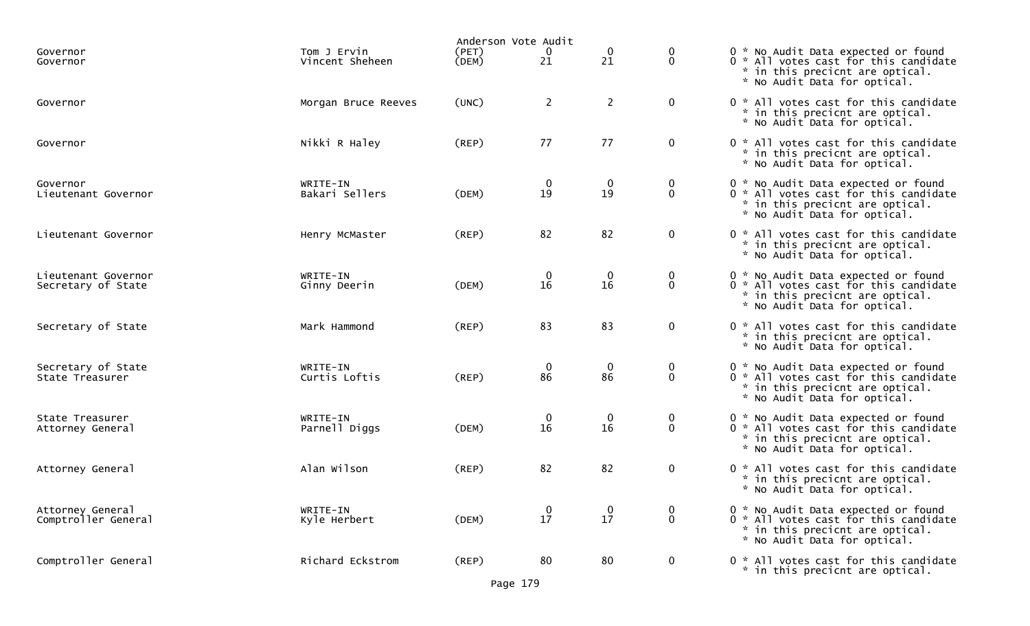|                                           |                                | Anderson Vote Audit |                                              |                        |                            |                                                                                                                                                 |
|-------------------------------------------|--------------------------------|---------------------|----------------------------------------------|------------------------|----------------------------|-------------------------------------------------------------------------------------------------------------------------------------------------|
| Governor<br>Governor                      | Tom J Ervin<br>Vincent Sheheen | (PET)<br>(DEM)      | $\begin{smallmatrix} 0\\21\end{smallmatrix}$ | 0<br>21                | 0<br>$\mathbf 0$           | 0 * No Audit Data expected or found<br>0 * All votes cast for this candidate<br>* in this precicnt are optical.<br>* No Audit Data for optical. |
| Governor                                  | Morgan Bruce Reeves            | (UNC)               | $\overline{2}$                               | $\overline{2}$         | $\mathbf 0$                | 0 * All votes cast for this candidate<br>* in this precicnt are optical.<br>* No Audit Data for optical.                                        |
| Governor                                  | Nikki R Haley                  | (REP)               | 77                                           | 77                     | $\mathbf 0$                | 0 * All votes cast for this candidate<br>* in this precicnt are optical.<br>* No Audit Data for optical.                                        |
| Governor<br>Lieutenant Governor           | WRITE-IN<br>Bakari Sellers     | (DEM)               | 0<br>19                                      | $\boldsymbol{0}$<br>19 | $\mathbf 0$<br>$\mathbf 0$ | 0 * No Audit Data expected or found<br>0 * All votes cast for this candidate<br>* in this precicnt are optical.<br>* No Audit Data for optical. |
| Lieutenant Governor                       | Henry McMaster                 | (REP)               | 82                                           | 82                     | $\mathbf 0$                | 0 * All votes cast for this candidate<br>* in this precicnt are optical.<br>* No Audit Data for optical.                                        |
| Lieutenant Governor<br>Secretary of State | WRITE-IN<br>Ginny Deerin       | (DEM)               | $\bf{0}$<br>16                               | $\mathbf 0$<br>16      | $\mathbf 0$<br>$\mathbf 0$ | 0 * No Audit Data expected or found<br>0 * All votes cast for this candidate<br>* in this precicnt are optical.<br>* No Audit Data for optical. |
| Secretary of State                        | Mark Hammond                   | (REP)               | 83                                           | 83                     | $\mathbf 0$                | 0 * All votes cast for this candidate<br>* in this precicnt are optical.<br>* No Audit Data for optical.                                        |
| Secretary of State<br>State Treasurer     | WRITE-IN<br>Curtis Loftis      | (REP)               | $\mathbf 0$<br>86                            | $\mathbf 0$<br>86      | $\mathbf 0$<br>$\mathbf 0$ | 0 * No Audit Data expected or found<br>0 * All votes cast for this candidate<br>* in this precicnt are optical.<br>* No Audit Data for optical. |
| State Treasurer<br>Attorney General       | WRITE-IN<br>Parnell Diggs      | (DEM)               | 0<br>16                                      | $\boldsymbol{0}$<br>16 | $\mathbf 0$<br>$\mathbf 0$ | 0 * No Audit Data expected or found<br>0 * All votes cast for this candidate<br>* in this precicnt are optical.<br>* No Audit Data for optical. |
| Attorney General                          | Alan Wilson                    | (REP)               | 82                                           | 82                     | $\overline{0}$             | 0 * All votes cast for this candidate<br>* in this precicnt are optical.<br>* No Audit Data for optical.                                        |
| Attorney General<br>Comptroller General   | WRITE-IN<br>Kyle Herbert       | (DEM)               | 17                                           | 0<br>17                | 0<br>$\mathbf 0$           | 0 * No Audit Data expected or found<br>0 * All votes cast for this candidate<br>* in this precicnt are optical.<br>* No Audit Data for optical. |
| Comptroller General                       | Richard Eckstrom               | (REP)               | 80                                           | 80                     | $\mathbf 0$                | 0 * All votes cast for this candidate<br>* in this precicnt are optical.                                                                        |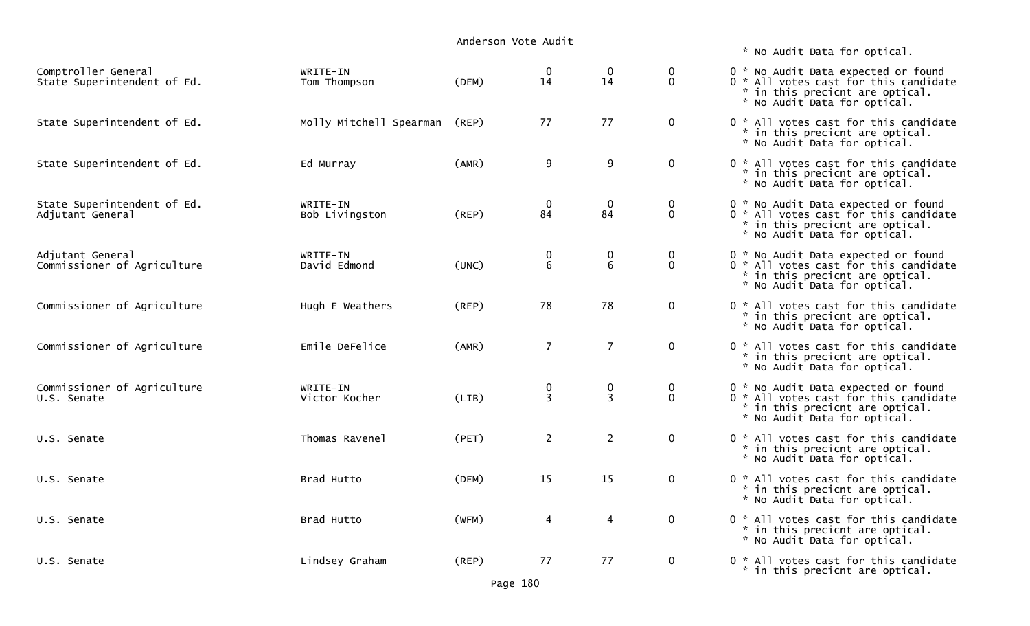## Anderson Vote Audit

| Comptroller General<br>State Superintendent of Ed. | WRITE-IN<br>Tom Thompson      | (DEM) | $\mathbf 0$<br>14   | $\mathbf 0$<br>14   | $\mathbf 0$<br>$\mathbf{0}$  | 0 * No Audit Data expected or found<br>0 * All votes cast for this candidate<br>* in this precicnt are optical.<br>* No Audit Data for optical. |
|----------------------------------------------------|-------------------------------|-------|---------------------|---------------------|------------------------------|-------------------------------------------------------------------------------------------------------------------------------------------------|
| State Superintendent of Ed.                        | Molly Mitchell Spearman (REP) |       | 77                  | 77                  | $\mathbf 0$                  | 0 * All votes cast for this candidate<br>* in this precicnt are optical.<br>* No Audit Data for optical.                                        |
| State Superintendent of Ed.                        | Ed Murray                     | (AMR) | 9                   | 9                   | $\mathbf{0}$                 | 0 * All votes cast for this candidate<br>* in this precicnt are optical.<br>* No Audit Data for optical.                                        |
| State Superintendent of Ed.<br>Adjutant General    | WRITE-IN<br>Bob Livingston    | (REP) | $\mathbf 0$<br>84   | $\mathbf 0$<br>84   | $\mathbf 0$<br>$\Omega$      | 0 * No Audit Data expected or found<br>0 * All votes cast for this candidate<br>* in this precicnt are optical.<br>* No Audit Data for optical. |
| Adjutant General<br>Commissioner of Agriculture    | WRITE-IN<br>David Edmond      | (UNC) | 0<br>6              | 0<br>6              | $\mathbf{0}$<br>$\mathbf{0}$ | 0 * No Audit Data expected or found<br>0 * All votes cast for this candidate<br>* in this precicnt are optical.<br>* No Audit Data for optical. |
| Commissioner of Agriculture                        | Hugh E Weathers               | (REP) | 78                  | 78                  | $\mathbf 0$                  | 0 * All votes cast for this candidate<br>* in this precicnt are optical.<br>* No Audit Data for optical.                                        |
| Commissioner of Agriculture                        | Emile DeFelice                | (AMR) | $\overline{7}$      | $\overline{7}$      | $\mathbf 0$                  | 0 * All votes cast for this candidate<br>* in this precicnt are optical.<br>* No Audit Data for optical.                                        |
| Commissioner of Agriculture<br>U.S. Senate         | WRITE-IN<br>Victor Kocher     | (LIB) | 0<br>$\overline{3}$ | 0<br>$\overline{3}$ | $\mathbf 0$<br>$\Omega$      | 0 * No Audit Data expected or found<br>0 * All votes cast for this candidate<br>* in this precicnt are optical.<br>* No Audit Data for optical. |
| U.S. Senate                                        | Thomas Ravenel                | (PET) | $\overline{2}$      | $\overline{2}$      | $\mathbf 0$                  | 0 * All votes cast for this candidate<br>* in this precicnt are optical.<br>* No Audit Data for optical.                                        |
| U.S. Senate                                        | Brad Hutto                    | (DEM) | 15                  | 15                  | $\mathbf 0$                  | 0 * All votes cast for this candidate<br>* in this precicnt are optical.<br>* No Audit Data for optical.                                        |
| U.S. Senate                                        | Brad Hutto                    | (WFM) | 4                   | 4                   | $\mathbf 0$                  | 0 * All votes cast for this candidate<br>* in this precicnt are optical.<br>* No Audit Data for optical.                                        |
| U.S. Senate                                        | Lindsey Graham                | (REP) | 77                  | 77                  | $\mathbf 0$                  | 0 * All votes cast for this candidate<br>* in this precicnt are optical.                                                                        |

\* No Audit Data for optical.

| 0 * 0<br>0<br>$\mathcal{H}$<br>$\mathbf{x}$<br>÷.                             | No Audit Data expected or found<br>All votes cast for this candidate<br>in this precicnt are optical.<br>No Audit Data for optical. |
|-------------------------------------------------------------------------------|-------------------------------------------------------------------------------------------------------------------------------------|
| 0<br>-20<br>$\mathcal{H}^{\mathcal{C}}$<br>$\sim$                             | All votes cast for this candidate<br>in this precicnt are optical.<br>No Audit Data for optical.                                    |
| 0 *<br>$\mathbf{x}$<br>÷.                                                     | All votes cast for this candidate<br>in this precicnt are optical.<br>No Audit Data for optical.                                    |
| 0<br>* .<br>0<br>$\mathcal{H}$<br>$\mathcal{H}^{\mathcal{C}}$<br>$\mathbf{x}$ | No Audit Data expected or found<br>All votes cast for this candidate<br>in this precicnt are optical.<br>No Audit Data for optical. |
| 0<br>Ж.,<br>0<br>$\mathbf{x}$<br>$\mathbf{z}$<br>÷.                           | No Audit Data expected or found<br>All votes cast for this candidate<br>in this precicnt are optical.<br>No Audit Data for optical. |
| 0<br>$\mathcal{H}^{\pm}$<br>$\mathbf{x}$<br>÷.                                | All votes cast for this candidate<br>in this precicnt are optical.<br>No Audit Data for optical.                                    |
| 0<br>$\mathbf{x}$<br>$\mathbf{x}$<br>÷.                                       | All votes cast for this candidate<br>in this precicnt are optical.<br>No Audit Data for optical.                                    |
| 0<br>*.<br>0<br>$\mathcal{H}$<br>$\mathbf{x}$<br>÷.                           | No Audit Data expected or found<br>All votes cast for this candidate<br>in this precicnt are optical.<br>No Audit Data for optical. |
| 0<br>*<br>$\mathbf{K}$ .<br>$\approx$                                         | All votes cast for this candidate<br>in this precicnt are optical.<br>No Audit Data for optical.                                    |
| 0<br>$\mathcal{H}^{\pm}$<br>$\mathbf{z}$<br>$\mathcal{R}$                     | All votes cast for this candidate<br>in this precicnt are optical.<br>No Audit Data for optical.                                    |
| $\Omega$<br>$\mathcal{R}$                                                     | * All votes cast for this candidate<br>* in this precicnt are optical.<br>No Audit Data for optical.                                |
| 0                                                                             | * All votes cast for this candidate<br>* in this precicnt are optical.                                                              |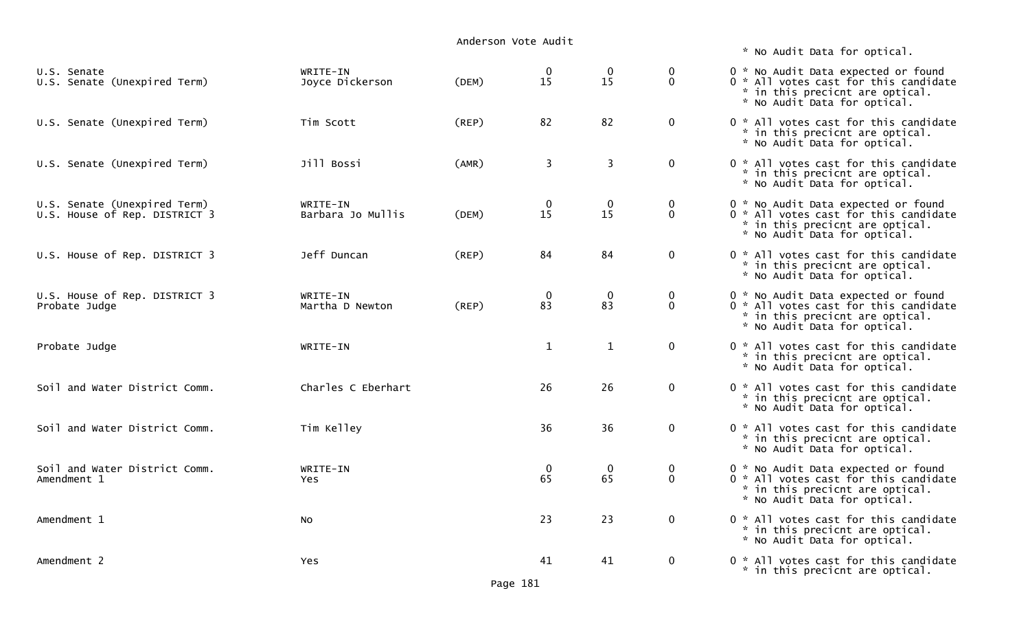|                                                               |                               | Anderson Vote Audit |                   |                      |                                 |                                                                                                                                                 |
|---------------------------------------------------------------|-------------------------------|---------------------|-------------------|----------------------|---------------------------------|-------------------------------------------------------------------------------------------------------------------------------------------------|
|                                                               |                               |                     |                   |                      |                                 | * No Audit Data for optical.                                                                                                                    |
| U.S. Senate<br>U.S. Senate (Unexpired Term)                   | WRITE-IN<br>Joyce Dickerson   | (DEM)               | $\bf{0}$<br>15    | $\mathbf{0}$<br>15   | $\boldsymbol{0}$<br>$\mathbf 0$ | 0 * No Audit Data expected or found<br>0 * All votes cast for this candidate<br>* in this precicnt are optical.<br>* No Audit Data for optical. |
| U.S. Senate (Unexpired Term)                                  | Tim Scott                     | $($ REP $)$         | 82                | 82                   | $\mathbf 0$                     | 0 * All votes cast for this candidate<br>* in this precicnt are optical.<br>* No Audit Data for optical.                                        |
| U.S. Senate (Unexpired Term)                                  | Jill Bossi                    | (AMR)               | 3                 | 3                    | $\overline{0}$                  | 0 * All votes cast for this candidate<br>* in this precicnt are optical.<br>* No Audit Data for optical.                                        |
| U.S. Senate (Unexpired Term)<br>U.S. House of Rep. DISTRICT 3 | WRITE-IN<br>Barbara Jo Mullis | (DEM)               | $\mathbf 0$<br>15 | $\bf{0}$<br>15       | $\mathbf 0$<br>$\overline{0}$   | 0 * No Audit Data expected or found<br>0 * All votes cast for this candidate<br>* in this precicnt are optical.<br>* No Audit Data for optical. |
| U.S. House of Rep. DISTRICT 3                                 | Jeff Duncan                   | $($ REP $)$         | 84                | 84                   | $\overline{0}$                  | 0 * All votes cast for this candidate<br>* in this precicnt are optical.<br>* No Audit Data for optical.                                        |
| U.S. House of Rep. DISTRICT 3<br>Probate Judge                | WRITE-IN<br>Martha D Newton   | (REP)               | $\mathbf 0$<br>83 | $\overline{0}$<br>83 | $\bf{0}$<br>$\mathbf{0}$        | 0 * No Audit Data expected or found<br>0 * All votes cast for this candidate<br>* in this precicnt are optical.<br>* No Audit Data for optical. |
| Probate Judge                                                 | WRITE-IN                      |                     | $\mathbf{1}$      | $\mathbf{1}$         | $\mathbf 0$                     | 0 * All votes cast for this candidate<br>* in this precicnt are optical.<br>* No Audit Data for optical.                                        |
| Soil and Water District Comm.                                 | Charles C Eberhart            |                     | 26                | 26                   | $\mathbf 0$                     | 0 * All votes cast for this candidate<br>* in this precicnt are optical.<br>* No Audit Data for optical.                                        |
| Soil and Water District Comm.                                 | Tim Kelley                    |                     | 36                | 36                   | $\overline{0}$                  | 0 * All votes cast for this candidate<br>* in this precicnt are optical.<br>* No Audit Data for optical.                                        |
| Soil and Water District Comm.<br>Amendment 1                  | WRITE-IN<br>Yes.              |                     | $\mathbf 0$<br>65 | $\overline{0}$<br>65 | $\bf{0}$<br>$\mathbf 0$         | 0 * No Audit Data expected or found<br>0 * All votes cast for this candidate<br>* in this precicnt are optical.<br>* No Audit Data for optical. |
| Amendment 1                                                   | No                            |                     | 23                | 23                   | $\overline{0}$                  | 0 * All votes cast for this candidate<br>* in this precicnt are optical.<br>* No Audit Data for optical.                                        |
| Amendment 2                                                   | Yes                           |                     | 41                | 41                   | $\mathbf 0$                     | 0 * All votes cast for this candidate<br>* in this precicnt are optical.                                                                        |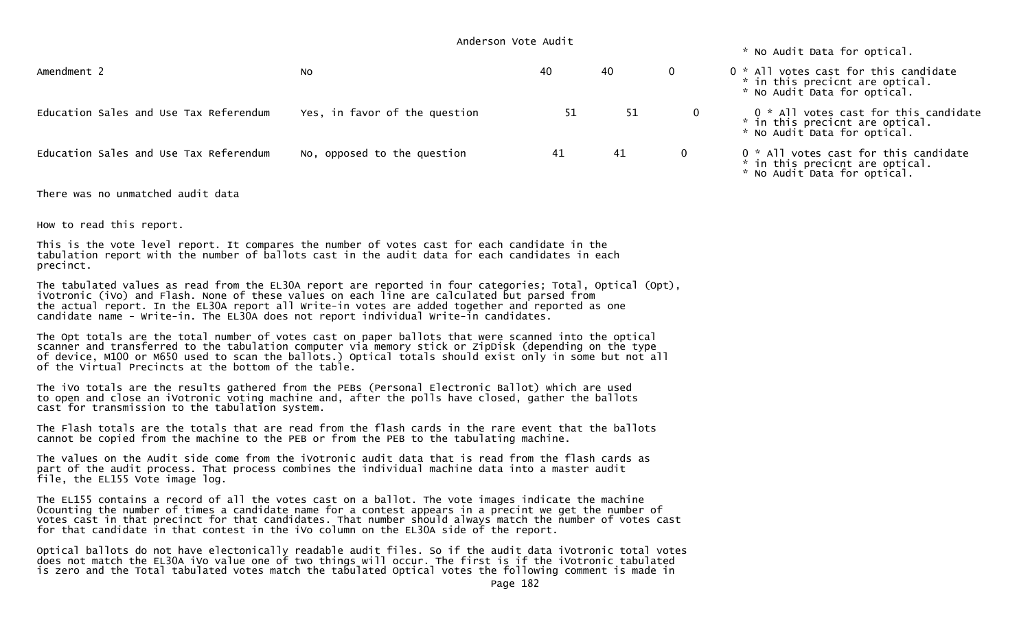|                                        | Anderson Vote Audit           |    | * No Audit Data for optical. |              |                                                                                                          |
|----------------------------------------|-------------------------------|----|------------------------------|--------------|----------------------------------------------------------------------------------------------------------|
| Amendment 2                            | NO.                           | 40 | 40                           | $\mathbf 0$  | 0 * All votes cast for this candidate<br>* in this precicnt are optical.<br>* No Audit Data for optical. |
| Education Sales and Use Tax Referendum | Yes, in favor of the question | 51 | 51                           | $\mathbf{0}$ | 0 * All votes cast for this candidate<br>* in this precicnt are optical.<br>* No Audit Data for optical. |
| Education Sales and Use Tax Referendum | No, opposed to the question   | 41 | 41                           | $\mathbf{0}$ | 0 * All votes cast for this candidate<br>* in this precicnt are optical.<br>* No Audit Data for optical. |

There was no unmatched audit data

How to read this report.

This is the vote level report. It compares the number of votes cast for each candidate in the tabulation report with the number of ballots cast in the audit data for each candidates in each precinct.

The tabulated values as read from the EL30A report are reported in four categories; Total, Optical (Opt), iVotronic (iVo) and Flash. None of these values on each line are calculated but parsed from the actual report. In the EL30A report all Write-in votes are added together and reported as one candidate name - Write-in. The EL30A does not report individual Write-in candidates.

The Opt totals are the total number of votes cast on paper ballots that were scanned into the optical scanner and transferred to the tabulation computer via memory stick or ZipDisk (depending on the type of device, M100 or M650 used to scan the ballots.) Optical totals should exist only in some but not all of the Virtual Precincts at the bottom of the table.

The iVo totals are the results gathered from the PEBs (Personal Electronic Ballot) which are used to open and close an iVotronic voting machine and, after the polls have closed, gather the ballots cast for transmission to the tabulation system.

The Flash totals are the totals that are read from the flash cards in the rare event that the ballotscannot be copied from the machine to the PEB or from the PEB to the tabulating machine.

The values on the Audit side come from the iVotronic audit data that is read from the flash cards as part of the audit process. That process combines the individual machine data into a master audit file, the EL155 Vote image log.

The EL155 contains a record of all the votes cast on a ballot. The vote images indicate the machine 0counting the number of times a candidate name for a contest appears in a precint we get the number of votes cast in that precinct for that candidates. That number should always match the number of votes cast for that candidate in that contest in the iVo column on the EL30A side of the report.

Optical ballots do not have electonically readable audit files. So if the audit data iVotronic total votes does not match the EL30A iVo value one of two things will occur. The first is if the iVotronic tabulated is zero and the Total tabulated votes match the tabulated Optical votes the following comment is made in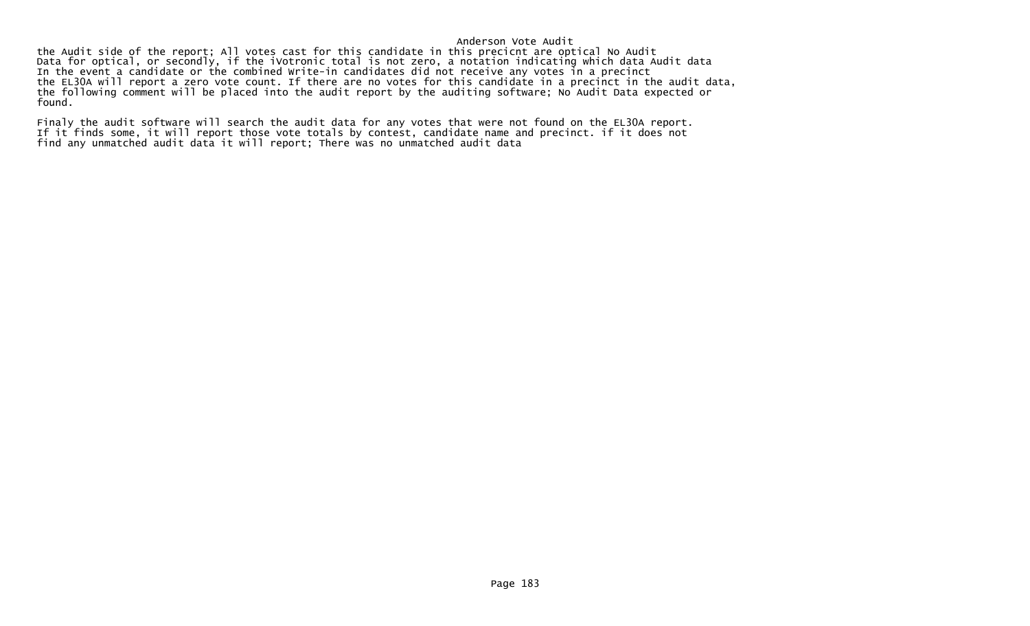## Anderson Vote Audit

 the Audit side of the report; All votes cast for this candidate in this precicnt are optical No Audit Data for optical, or secondly, if the iVotronic total is not zero, a notation indicating which data Audit data In the event a candidate or the combined Write-in candidates did not receive any votes in a precinct the EL30A will report a zero vote count. If there are no votes for this candidate in a precinct in the audit data, the following comment will be placed into the audit report by the auditing software; No Audit Data expected or found.

Finaly the audit software will search the audit data for any votes that were not found on the EL30A report. If it finds some, it will report those vote totals by contest, candidate name and precinct. if it does not find any unmatched audit data it will report; There was no unmatched audit data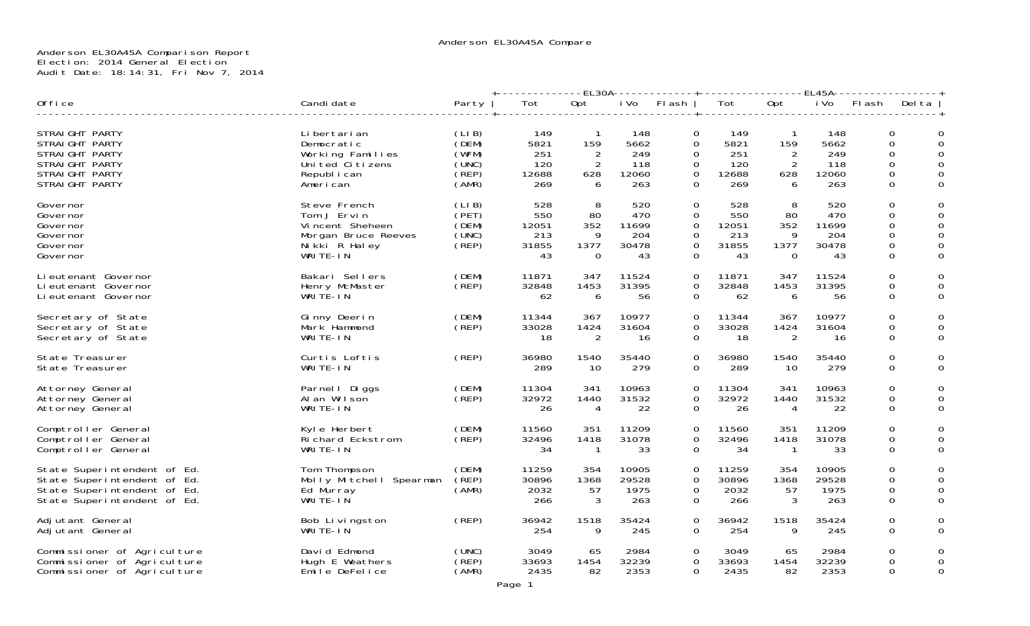## Anderson EL30A45A Comparison Report Election: 2014 General Election Audit Date: 18:14:31, Fri Nov 7, 2014

|                                                                                                                          |                                                                                                    |                                                    | ---EL30A-------------+---------------<br>-EL45A- |                                           |                                           |                                                                            |                                           |                                             |                                           |                                                            |                                   |  |  |
|--------------------------------------------------------------------------------------------------------------------------|----------------------------------------------------------------------------------------------------|----------------------------------------------------|--------------------------------------------------|-------------------------------------------|-------------------------------------------|----------------------------------------------------------------------------|-------------------------------------------|---------------------------------------------|-------------------------------------------|------------------------------------------------------------|-----------------------------------|--|--|
| Office                                                                                                                   | Candi date                                                                                         | Party                                              | Tot                                              | Opt                                       | i Vo                                      | Flash                                                                      | Tot                                       | Opt                                         | i Vo                                      | Flash                                                      | Del ta                            |  |  |
| STRAIGHT PARTY<br>STRAIGHT PARTY<br>STRAIGHT PARTY<br>STRAIGHT PARTY<br>STRAIGHT PARTY<br>STRAIGHT PARTY                 | Li bertari an<br>Democratic<br>Working Families<br>United Citizens<br>Republ i can<br>American     | (LIB)<br>(DEM)<br>(WFM)<br>(UNC)<br>(REP)<br>(AMR) | 149<br>5821<br>251<br>120<br>12688<br>269        | $\mathbf{1}$<br>159<br>2<br>2<br>628<br>6 | 148<br>5662<br>249<br>118<br>12060<br>263 | 0<br>0<br>0<br>$\Omega$<br>$\overline{0}$<br>$\Omega$                      | 149<br>5821<br>251<br>120<br>12688<br>269 | $\mathbf{1}$<br>159<br>2<br>2<br>628<br>6   | 148<br>5662<br>249<br>118<br>12060<br>263 | $\Omega$<br>$\Omega$<br>0<br>$\Omega$<br>$\mathbf{O}$<br>0 | 0<br>0<br>$\Omega$<br>0<br>0<br>0 |  |  |
| Governor<br>Governor<br>Governor<br>Governor<br>Governor<br>Governor                                                     | Steve French<br>Tom J Ervin<br>Vincent Sheheen<br>Morgan Bruce Reeves<br>Nikki R Haley<br>WRITE-IN | (LIB)<br>(PET)<br>(DEM)<br>(UNC)<br>(REF)          | 528<br>550<br>12051<br>213<br>31855<br>43        | 8<br>80<br>352<br>q<br>1377<br>0          | 520<br>470<br>11699<br>204<br>30478<br>43 | $\Omega$<br>0<br>$\mathbf 0$<br>$\Omega$<br>$\overline{0}$<br>$\mathbf{O}$ | 528<br>550<br>12051<br>213<br>31855<br>43 | 8<br>80<br>352<br>9<br>1377<br>$\mathbf{0}$ | 520<br>470<br>11699<br>204<br>30478<br>43 | $\Omega$<br>$\Omega$<br>0<br>$\Omega$<br>0<br>0            | 0<br>0<br>$\Omega$<br>0<br>0<br>0 |  |  |
| Li eutenant Governor<br>Li eutenant Governor<br>Li eutenant Governor                                                     | Bakari Sellers<br>Henry McMaster<br>WRITE-IN                                                       | (DEM)<br>(REP)                                     | 11871<br>32848<br>62                             | 347<br>1453<br>6                          | 11524<br>31395<br>56                      | $\mathbf{O}$<br>$\overline{0}$<br>$\overline{0}$                           | 11871<br>32848<br>62                      | 347<br>1453<br>6                            | 11524<br>31395<br>56                      | $\Omega$<br>0<br>0                                         | 0<br>0<br>0                       |  |  |
| Secretary of State<br>Secretary of State<br>Secretary of State                                                           | Ginny Deerin<br>Mark Hammond<br>WRITE-IN                                                           | (DEM)<br>(REP)                                     | 11344<br>33028<br>18                             | 367<br>1424<br>2                          | 10977<br>31604<br>16                      | $\mathbf{O}$<br>$\Omega$<br>0                                              | 11344<br>33028<br>18                      | 367<br>1424<br>2                            | 10977<br>31604<br>16                      | $\Omega$<br>0<br>0                                         | 0<br>0<br>0                       |  |  |
| State Treasurer<br>State Treasurer                                                                                       | Curtis Loftis<br>WRITE-IN                                                                          | (REP)                                              | 36980<br>289                                     | 1540<br>10                                | 35440<br>279                              | 0<br>$\Omega$                                                              | 36980<br>289                              | 1540<br>-10                                 | 35440<br>279                              | 0                                                          | 0<br>0<br>0                       |  |  |
| Attorney General<br>Attorney General<br>Attorney General                                                                 | Parnel   Diggs<br>Al an Wilson<br>WRITE-IN                                                         | (DEM)<br>(REF)                                     | 11304<br>32972<br>26                             | 341<br>1440<br>4                          | 10963<br>31532<br>22                      | $\mathbf 0$<br>$\mathbf 0$<br>$\overline{0}$                               | 11304<br>32972<br>26                      | 341<br>1440<br>4                            | 10963<br>31532<br>22                      | $\Omega$<br>$\Omega$<br>0                                  | 0<br>0<br>0                       |  |  |
| Comptroller General<br>Comptroller General<br>Comptroller General                                                        | Kyle Herbert<br>Richard Eckstrom<br>WRITE-IN                                                       | (DEM)<br>(REF)                                     | 11560<br>32496<br>34                             | 351<br>1418<br>-1                         | 11209<br>31078<br>33                      | 0<br>0<br>0                                                                | 11560<br>32496<br>34                      | 351<br>1418<br>-1                           | 11209<br>31078<br>33                      | $\Omega$<br>0<br>$\mathbf{O}$                              | 0<br>0<br>0                       |  |  |
| State Superintendent of Ed.<br>State Superintendent of Ed.<br>State Superintendent of Ed.<br>State Superintendent of Ed. | Tom Thompson<br>Molly Mitchell Spearman<br>Ed Murray<br>WRITE-IN                                   | (DEM)<br>(REP)<br>(AMR)                            | 11259<br>30896<br>2032<br>266                    | 354<br>1368<br>57<br>3                    | 10905<br>29528<br>1975<br>263             | $\mathbf{0}$<br>$\Omega$<br>0<br>$\Omega$                                  | 11259<br>30896<br>2032<br>266             | 354<br>1368<br>57<br>3                      | 10905<br>29528<br>1975<br>263             | $\Omega$<br>$\Omega$<br>0<br>$\Omega$                      | 0<br>$\Omega$<br>0<br>$\Omega$    |  |  |
| Adjutant General<br>Adjutant General                                                                                     | Bob Livingston<br>WRITE-IN                                                                         | (REP)                                              | 36942<br>254                                     | 1518<br>9                                 | 35424<br>245                              | 0<br>$\Omega$                                                              | 36942<br>254                              | 1518<br>9                                   | 35424<br>245                              | 0                                                          | 0<br>0<br>0                       |  |  |
| Commissioner of Agriculture<br>Commissioner of Agriculture<br>Commissioner of Agriculture                                | David Edmond<br>Hugh E Weathers<br>Emile DeFelice                                                  | (UNC)<br>(REP)<br>(AMR)                            | 3049<br>33693<br>2435                            | 65<br>1454<br>82                          | 2984<br>32239<br>2353                     | $\Omega$<br>0<br>0                                                         | 3049<br>33693<br>2435                     | 65<br>1454<br>82                            | 2984<br>32239<br>2353                     | $\Omega$<br>$\Omega$<br>0                                  | 0<br>0<br>0                       |  |  |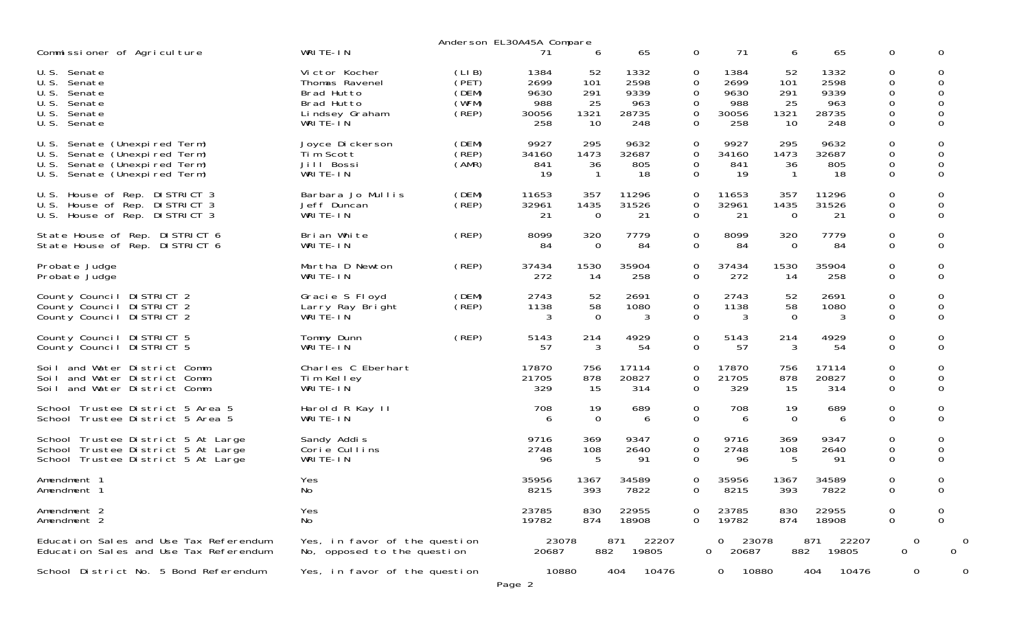|                                                                                                                                          |                                                              |                                  | Anderson EL30A45A Compare   |                            |                             |                                   |                                     |                         |                             |                                                |                              |
|------------------------------------------------------------------------------------------------------------------------------------------|--------------------------------------------------------------|----------------------------------|-----------------------------|----------------------------|-----------------------------|-----------------------------------|-------------------------------------|-------------------------|-----------------------------|------------------------------------------------|------------------------------|
| Commissioner of Agriculture                                                                                                              | WRITE-IN                                                     |                                  |                             | 6                          | 65                          | 0                                 | 71                                  | 6                       | 65                          | $\mathbf{O}$                                   | $\Omega$                     |
| U.S. Senate<br>U.S.<br>Senate<br>U.S.<br>Senate<br>U.S.<br>Senate                                                                        | Victor Kocher<br>Thomas Ravenel<br>Brad Hutto<br>Brad Hutto  | (LIB)<br>(PET)<br>(DEM)<br>(WFM) | 1384<br>2699<br>9630<br>988 | 52<br>101<br>291<br>25     | 1332<br>2598<br>9339<br>963 | 0<br>$\Omega$<br>0<br>0           | 1384<br>2699<br>9630<br>988         | 52<br>101<br>291<br>25  | 1332<br>2598<br>9339<br>963 | 0<br>$\Omega$<br>$\mathbf 0$<br>$\overline{0}$ | 0<br>$\Omega$<br>0<br>0      |
| U.S.<br>Senate<br>U.S.<br>Senate                                                                                                         | Lindsey Graham<br>WRITE-IN                                   | $($ REP)                         | 30056<br>258                | 1321<br>10                 | 28735<br>248                | 0<br>$\Omega$                     | 30056<br>258                        | 1321<br>10              | 28735<br>248                | $\Omega$<br>$\mathbf 0$                        | $\Omega$<br>0                |
| Senate (Unexpired Term)<br>U.S.<br>U.S.<br>Senate (Unexpired Term)<br>U.S.<br>Senate (Unexpired Term)<br>Senate (Unexpired Term)<br>U.S. | Joyce Dickerson<br>Tim Scott<br>Jill Bossi<br>WRITE-IN       | (DEM)<br>(REP)<br>(AMR)          | 9927<br>34160<br>841<br>19  | 295<br>1473<br>36<br>-1    | 9632<br>32687<br>805<br>18  | 0<br>$\mathbf 0$<br>0<br>$\Omega$ | 9927<br>34160<br>841<br>19          | 295<br>1473<br>36<br>-1 | 9632<br>32687<br>805<br>18  | $\mathbf 0$<br>$\mathbf 0$<br>0<br>$\Omega$    | 0<br>0<br>0<br>$\Omega$      |
| House of Rep. DISTRICT 3<br>U.S.<br>House of Rep. DISTRICT 3<br>U.S.<br>U.S.<br>House of Rep. DISTRICT 3                                 | Barbara Jo Mullis<br>Jeff Duncan<br>WRITE-IN                 | (DEM)<br>$($ REP $)$             | 11653<br>32961<br>21        | 357<br>1435<br>$\mathbf 0$ | 11296<br>31526<br>21        | 0<br>0<br>$\Omega$                | 11653<br>32961<br>21                | 357<br>1435<br>$\Omega$ | 11296<br>31526<br>21        | $\overline{0}$<br>$\mathbf 0$<br>$\Omega$      | 0<br>0<br>$\Omega$           |
| State House of Rep. DISTRICT 6<br>State House of Rep. DISTRICT 6                                                                         | Bri an White<br>WRITE-IN                                     | (REP)                            | 8099<br>84                  | 320<br>$\mathbf 0$         | 7779<br>84                  | 0<br>$\mathbf 0$                  | 8099<br>84                          | 320<br>$\mathbf 0$      | 7779<br>84                  | $\overline{0}$<br>$\mathbf 0$                  | 0<br>$\mathbf 0$             |
| Probate Judge<br>Probate Judge                                                                                                           | Martha D Newton<br>WRITE-IN                                  | (REP)                            | 37434<br>272                | 1530<br>14                 | 35904<br>258                | 0<br>$\mathbf 0$                  | 37434<br>272                        | 1530<br>14              | 35904<br>258                | $\overline{0}$<br>$\mathbf 0$                  | 0<br>$\mathbf 0$             |
| County Council DISTRICT 2<br>County Council DISTRICT 2<br>County Council DISTRICT 2                                                      | Gracie S Floyd<br>Larry Ray Bright<br>WRITE-IN               | (DEM)<br>(REF)                   | 2743<br>1138                | 52<br>58<br>$\Omega$       | 2691<br>1080<br>3           | 0<br>0<br>$\Omega$                | 2743<br>1138<br>3                   | 52<br>58<br>$\Omega$    | 2691<br>1080<br>3           | 0<br>$\mathbf 0$<br>$\Omega$                   | 0<br>$\mathbf 0$<br>$\Omega$ |
| County Council DISTRICT 5<br>County Council DISTRICT 5                                                                                   | Tommy Dunn<br>WRITE-IN                                       | (REP)                            | 5143<br>57                  | 214<br>3                   | 4929<br>54                  | 0<br>$\Omega$                     | 5143<br>57                          | 214<br>3                | 4929<br>54                  | $\mathbf 0$<br>$\Omega$                        | 0<br>$\Omega$                |
| and Water District Comm.<br>Soi L<br>and Water District Comm.<br>Soi I<br>and Water District Comm.<br>Soi L                              | Charles C Eberhart<br>Tim Kelley<br>WRITE-IN                 |                                  | 17870<br>21705<br>329       | 756<br>878<br>15           | 17114<br>20827<br>314       | 0<br>0<br>$\Omega$                | 17870<br>21705<br>329               | 756<br>878<br>15        | 17114<br>20827<br>314       | $\mathbf 0$<br>0<br>$\Omega$                   | 0<br>0<br>$\Omega$           |
| School Trustee District 5 Area 5<br>School Trustee District 5 Area 5                                                                     | Harold R Kay II<br>WRITE-IN                                  |                                  | 708<br>6                    | 19<br>$\Omega$             | 689<br>6                    | 0<br>$\Omega$                     | 708<br>6                            | 19<br>$\Omega$          | 689<br>6                    | $\overline{0}$<br>$\Omega$                     | 0<br>$\Omega$                |
| School Trustee District 5 At Large<br>School Trustee District 5 At Large<br>School Trustee District 5 At Large                           | Sandy Addis<br>Corie Cullins<br>WRITE-IN                     |                                  | 9716<br>2748<br>96          | 369<br>108<br>5            | 9347<br>2640<br>91          | 0<br>$\mathbf 0$<br>$\Omega$      | 9716<br>2748<br>96                  | 369<br>108<br>5         | 9347<br>2640<br>91          | $\mathbf 0$<br>$\mathbf 0$<br>$\Omega$         | 0<br>0<br>0                  |
| Amendment 1<br>Amendment 1                                                                                                               | Yes<br>No                                                    |                                  | 35956<br>8215               | 1367<br>393                | 34589<br>7822               | 0<br>0                            | 35956<br>8215                       | 1367<br>393             | 34589<br>7822               | $\overline{0}$<br>$\Omega$                     | 0<br>0                       |
| Amendment 2<br>Amendment 2                                                                                                               | Yes<br>No                                                    |                                  | 23785<br>19782              | 830<br>874                 | 22955<br>18908              | 0<br>$\Omega$                     | 23785<br>19782                      | 830<br>874              | 22955<br>18908              | 0<br>$\mathbf 0$                               | 0<br>$\Omega$                |
| Education Sales and Use Tax Referendum<br>Education Sales and Use Tax Referendum                                                         | Yes, in favor of the question<br>No, opposed to the question |                                  | 23078<br>20687              | 882                        | 22207<br>871<br>19805       |                                   | 0<br>23078<br>$\mathbf{O}$<br>20687 | 882                     | 871<br>22207<br>19805       | $\mathbf 0$<br>$\mathbf 0$                     | $\Omega$                     |
| School District No. 5 Bond Referendum                                                                                                    | Yes, in favor of the question                                |                                  | 10880<br>Page 2             |                            | 404<br>10476                |                                   | 10880<br>0                          |                         | 404<br>10476                | 0                                              |                              |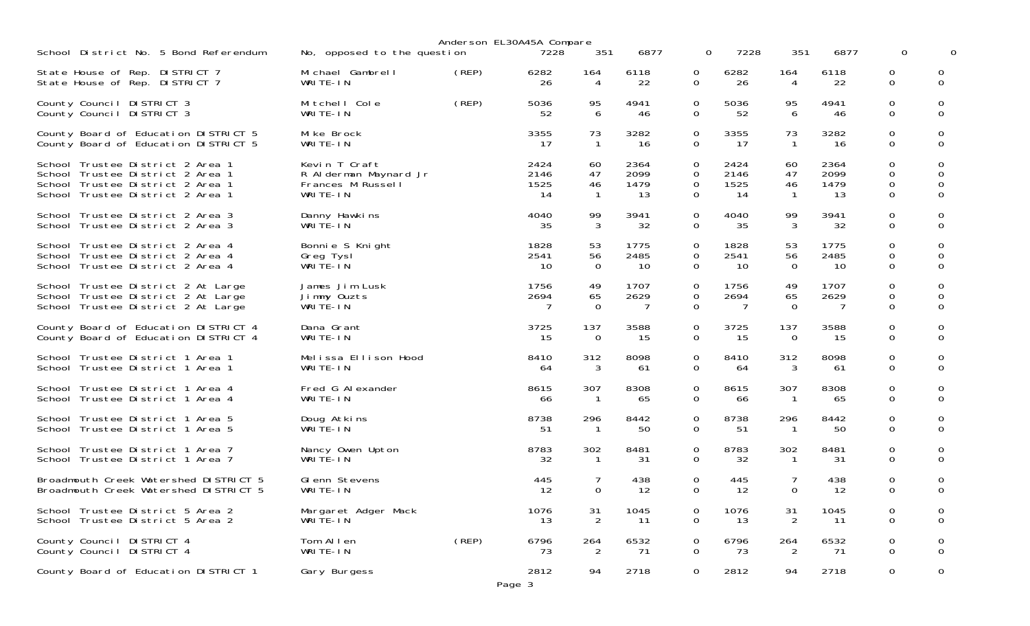| School District No. 5 Bond Referendum                                                                          | No, opposed to the question               |       | Anderson EL30A45A Compare<br>7228 | 351                  | 6877              | $\Omega$                      | 7228               | 351                  | 6877         | 0                  |                       |
|----------------------------------------------------------------------------------------------------------------|-------------------------------------------|-------|-----------------------------------|----------------------|-------------------|-------------------------------|--------------------|----------------------|--------------|--------------------|-----------------------|
| State House of Rep. DISTRICT 7<br>State House of Rep. DISTRICT 7                                               | Michael Gambrell<br>WRITE-IN              | (REP) | 6282<br>26                        | 164<br>4             | 6118<br>22        | 0<br>$\Omega$                 | 6282<br>26         | 164<br>4             | 6118<br>22   | 0<br>$\Omega$      | $\Omega$              |
| County Council DISTRICT 3                                                                                      | Mitchell Cole                             | (REP) | 5036                              | 95                   | 4941              | $\Omega$                      | 5036               | 95                   | 4941         | 0                  | 0                     |
| County Council DISTRICT 3                                                                                      | WRITE-IN                                  |       | 52                                | 6                    | 46                | $\Omega$                      | 52                 | 6                    | 46           | $\Omega$           | $\Omega$              |
| County Board of Education DISTRICT 5                                                                           | Mike Brock                                |       | 3355                              | 73                   | 3282              | $\Omega$                      | 3355               | 73                   | 3282         | 0                  | 0                     |
| County Board of Education DISTRICT 5                                                                           | WRITE-IN                                  |       | 17                                | $\overline{1}$       | 16                | $\Omega$                      | 17                 | $\overline{1}$       | -16          | $\Omega$           | $\Omega$              |
| School Trustee District 2 Area 1                                                                               | Kevin T Craft                             |       | 2424                              | 60                   | 2364              | 0                             | 2424               | 60                   | 2364         | 0                  | 0                     |
| School Trustee District 2 Area 1                                                                               | R Alderman Maynard Jr                     |       | 2146                              | 47                   | 2099              | $\Omega$                      | 2146               | 47                   | 2099         | 0                  | $\Omega$              |
| School Trustee District 2 Area 1                                                                               | Frances M Russell                         |       | 1525                              | 46                   | 1479              | $\mathbf{0}$                  | 1525               | 46                   | 1479         | 0                  | 0                     |
| School Trustee District 2 Area 1                                                                               | WRITE-IN                                  |       | 14                                | $\mathbf{1}$         | 13                | $\Omega$                      | -14                | $\mathbf{1}$         | -13          | $\Omega$           | $\Omega$              |
| School Trustee District 2 Area 3                                                                               | Danny Hawkins                             |       | 4040                              | 99                   | 3941              | $\mathbf 0$                   | 4040               | 99                   | 3941         | 0                  | 0                     |
| School Trustee District 2 Area 3                                                                               | WRITE-IN                                  |       | 35                                | 3                    | 32                | $\Omega$                      | 35                 | 3                    | 32           | $\Omega$           | $\Omega$              |
| School Trustee District 2 Area 4                                                                               | Bonnie S Knight                           |       | 1828                              | 53                   | 1775              | 0                             | 1828               | 53                   | 1775         | 0                  | 0                     |
| School Trustee District 2 Area 4                                                                               | Greg Tysl                                 |       | 2541                              | 56                   | 2485              | $\mathbf 0$                   | 2541               | 56                   | 2485         | 0                  | 0                     |
| School Trustee District 2 Area 4                                                                               | WRITE-IN                                  |       | 10                                | $\Omega$             | 10                | $\Omega$                      | -10                | $\Omega$             | 10           | $\Omega$           | $\Omega$              |
| School Trustee District 2 At Large<br>School Trustee District 2 At Large<br>School Trustee District 2 At Large | James Jim Lusk<br>Jimmy Ouzts<br>WRITE-IN |       | 1756<br>2694<br>7                 | 49<br>65<br>$\Omega$ | 1707<br>2629<br>7 | $\Omega$<br>$\mathbf{O}$<br>0 | 1756<br>2694<br>-7 | 49<br>65<br>$\Omega$ | 1707<br>2629 | 0<br>0<br>$\Omega$ | 0<br>0<br>$\mathbf 0$ |
| County Board of Education DISTRICT 4                                                                           | Dana Grant                                |       | 3725                              | 137                  | 3588              | $\Omega$                      | 3725               | 137                  | 3588         | 0                  | 0                     |
| County Board of Education DISTRICT 4                                                                           | WRITE-IN                                  |       | 15                                | $\Omega$             | 15                | $\Omega$                      | -15                | $\Omega$             | -15          | $\Omega$           | $\Omega$              |
| School Trustee District 1 Area 1                                                                               | Melissa Ellison Hood                      |       | 8410                              | 312                  | 8098              | $\Omega$                      | 8410               | 312                  | 8098         | 0                  | 0                     |
| School Trustee District 1 Area 1                                                                               | WRITE-IN                                  |       | 64                                | 3                    | 61                | $\Omega$                      | 64                 | 3                    | 61           | $\Omega$           | $\Omega$              |
| School Trustee District 1 Area 4                                                                               | Fred G Alexander                          |       | 8615                              | 307                  | 8308              | $\Omega$                      | 8615               | 307                  | 8308         | 0                  | 0                     |
| School Trustee District 1 Area 4                                                                               | WRITE-IN                                  |       | 66                                | $\overline{1}$       | 65                | 0                             | 66                 | $\overline{1}$       | 65           | $\Omega$           | $\Omega$              |
| School Trustee District 1 Area 5<br>School Trustee District 1 Area 5                                           | Doug Atkins<br>WRITE-IN                   |       | 8738<br>51                        | 296<br>-1            | 8442<br>50        | $\Omega$<br>$\Omega$          | 8738<br>-51        | 296                  | 8442<br>50   | 0<br>$\Omega$      | 0<br>$\Omega$         |
| School Trustee District 1 Area 7                                                                               | Nancy Owen Upton                          |       | 8783                              | 302                  | 8481              | 0                             | 8783               | 302                  | 8481         | 0                  | 0                     |
| School Trustee District 1 Area 7                                                                               | WRITE-IN                                  |       | 32                                | $\mathbf{1}$         | 31                | $\Omega$                      | 32                 | $\mathbf{1}$         | -31          | $\Omega$           | $\Omega$              |
| Broadmouth Creek Watershed DISTRICT 5<br>Broadmouth Creek Watershed DISTRICT 5                                 | Glenn Stevens<br>WRITE-IN                 |       | 445<br>12                         | $\Omega$             | 438<br>12         | 0<br>$\Omega$                 | 445<br>12          | $\Omega$             | 438<br>-12   | 0<br>$\Omega$      | 0<br>$\Omega$         |
| School Trustee District 5 Area 2                                                                               | Margaret Adger Mack                       |       | 1076                              | 31                   | 1045              | 0                             | 1076               | 31                   | 1045         | 0                  | 0                     |
| School Trustee District 5 Area 2                                                                               | WRITE-IN                                  |       | 13                                | 2                    | 11                | 0                             | 13                 | 2                    | -11          | $\Omega$           | $\mathbf 0$           |
| County Council DISTRICT 4                                                                                      | Tom Allen                                 | (REP) | 6796                              | 264                  | 6532              | 0                             | 6796               | 264                  | 6532         | 0                  | 0                     |
| County Council DISTRICT 4                                                                                      | WRITE-IN                                  |       | 73                                | 2                    | 71                | 0                             | 73                 | 2                    | 71           | $\Omega$           | $\mathbf 0$           |
| County Board of Education DISTRICT 1                                                                           | Gary Burgess                              |       | 2812<br>Page 3                    | 94                   | 2718              | 0                             | 2812               | 94                   | 2718         | 0                  | $\mathbf 0$           |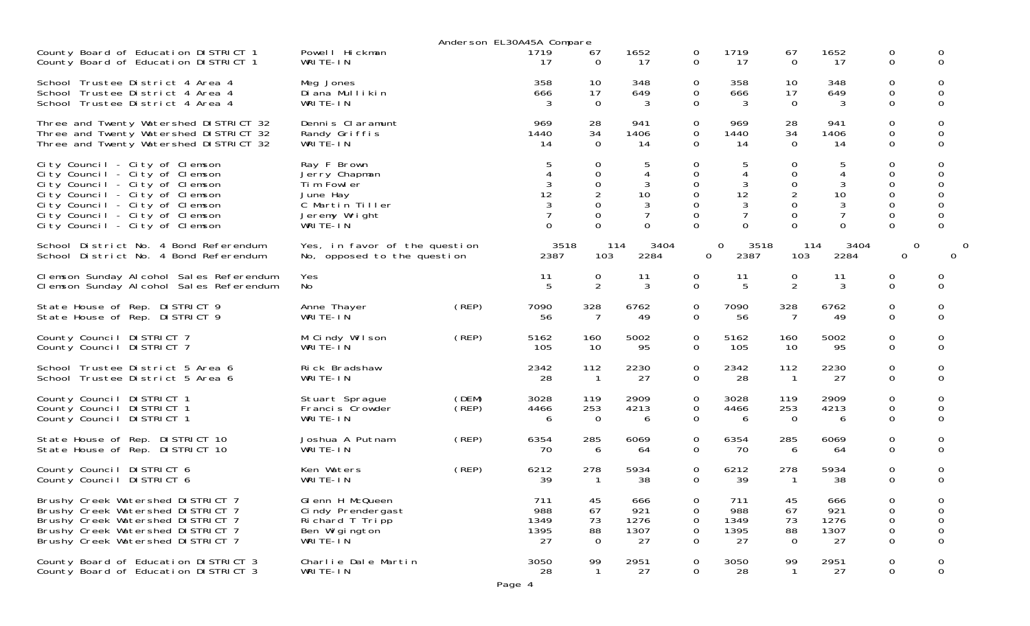|                                                                                                                                                                                                                                            |                                                                                                        |                | Anderson EL30A45A Compare |                                                                             |                                                            |                                                                       |                                                      |                                              |                                                 |                                                                                     |                                        |
|--------------------------------------------------------------------------------------------------------------------------------------------------------------------------------------------------------------------------------------------|--------------------------------------------------------------------------------------------------------|----------------|---------------------------|-----------------------------------------------------------------------------|------------------------------------------------------------|-----------------------------------------------------------------------|------------------------------------------------------|----------------------------------------------|-------------------------------------------------|-------------------------------------------------------------------------------------|----------------------------------------|
| County Board of Education DISTRICT 1                                                                                                                                                                                                       | Powell Hickman                                                                                         |                | 1719                      | 67                                                                          | 1652                                                       | 0                                                                     | 1719                                                 | 67                                           | 1652                                            | $\mathbf{O}$                                                                        | 0                                      |
| County Board of Education DISTRICT 1                                                                                                                                                                                                       | WRITE-IN                                                                                               |                | 17                        | $\Omega$                                                                    | 17                                                         | $\Omega$                                                              | 17                                                   | $\Omega$                                     | 17                                              | $\Omega$                                                                            | $\Omega$                               |
| School Trustee District 4 Area 4                                                                                                                                                                                                           | Meg Jones                                                                                              |                | 358                       | 10                                                                          | 348                                                        | 0                                                                     | 358                                                  | 10                                           | 348                                             | $\mathbf{O}$                                                                        | 0                                      |
| School Trustee District 4 Area 4                                                                                                                                                                                                           | Di ana Mullikin                                                                                        |                | 666                       | 17                                                                          | 649                                                        | 0                                                                     | 666                                                  | 17                                           | 649                                             | $\mathbf 0$                                                                         | $\Omega$                               |
| School Trustee District 4 Area 4                                                                                                                                                                                                           | WRITE-IN                                                                                               |                | 3                         | $\Omega$                                                                    | 3                                                          | $\Omega$                                                              | 3                                                    | $\Omega$                                     | 3                                               | $\Omega$                                                                            | $\Omega$                               |
| Three and Twenty Watershed DISTRICT 32                                                                                                                                                                                                     | Dennis Claramunt                                                                                       |                | 969                       | 28                                                                          | 941                                                        | 0                                                                     | 969                                                  | 28                                           | 941                                             | $\mathbf{O}$                                                                        | 0                                      |
| Three and Twenty Watershed DISTRICT 32                                                                                                                                                                                                     | Randy Griffis                                                                                          |                | 1440                      | 34                                                                          | 1406                                                       | $\Omega$                                                              | 1440                                                 | 34                                           | 1406                                            | $\mathbf 0$                                                                         | 0                                      |
| Three and Twenty Watershed DISTRICT 32                                                                                                                                                                                                     | WRITE-IN                                                                                               |                | 14                        | $\Omega$                                                                    | 14                                                         | $\Omega$                                                              | 14                                                   | $\Omega$                                     | 14                                              | $\Omega$                                                                            | $\Omega$                               |
| City Council - City of Clemson<br>City Council - City of Clemson<br>City Council - City of Clemson<br>City Council - City of Clemson<br>City Council - City of Clemson<br>City Council - City of Clemson<br>City Council - City of Clemson | Ray F Brown<br>Jerry Chapman<br>Tim Fowler<br>June Hay<br>C Martin Tiller<br>Jeremy Wright<br>WRITE-IN |                | 12<br>$\Omega$            | 0<br>$\Omega$<br>$\mathbf 0$<br>$\overline{2}$<br>$\Omega$<br>0<br>$\Omega$ | 5<br>$\overline{4}$<br>3<br>10<br>3<br>$\overline{7}$<br>∩ | 0<br>$\Omega$<br>$\mathbf 0$<br>$\Omega$<br>$\Omega$<br>0<br>$\Omega$ | 5<br>4<br>3<br>12<br>3<br>$\overline{7}$<br>$\Omega$ | 0<br>0<br>0<br>$\overline{2}$<br>0<br>0<br>0 | 5<br>4<br>3<br>10<br>$\overline{7}$<br>$\Omega$ | 0<br>$\Omega$<br>$\mathbf{O}$<br>$\Omega$<br>$\Omega$<br>$\overline{0}$<br>$\Omega$ | 0<br>0<br>0<br>0<br>0<br>0<br>$\Omega$ |
| School District No. 4 Bond Referendum<br>School District No. 4 Bond Referendum                                                                                                                                                             | Yes, in favor of the question<br>No, opposed to the question                                           |                | 3518<br>2387              | 103                                                                         | 114<br>3404<br>2284                                        | 0                                                                     | 0<br>3518<br>2387                                    | 103                                          | 3404<br>114<br>2284                             | $\overline{0}$<br>0                                                                 | $\Omega$                               |
| Clemson Sunday Alcohol Sales Referendum                                                                                                                                                                                                    | Yes                                                                                                    |                | 11                        | 0                                                                           | 11                                                         | 0                                                                     | 11                                                   | 0                                            | 11                                              | 0                                                                                   | 0                                      |
| Clemson Sunday Alcohol Sales Referendum                                                                                                                                                                                                    | No                                                                                                     |                | 5                         | $\overline{2}$                                                              | 3                                                          | $\Omega$                                                              | 5                                                    | $\overline{2}$                               | 3                                               | $\Omega$                                                                            | $\Omega$                               |
| State House of Rep. DISTRICT 9                                                                                                                                                                                                             | Anne Thayer                                                                                            | (REP)          | 7090                      | 328                                                                         | 6762                                                       | 0                                                                     | 7090                                                 | 328                                          | 6762                                            | $\overline{0}$                                                                      | 0                                      |
| State House of Rep. DISTRICT 9                                                                                                                                                                                                             | WRITE-IN                                                                                               |                | 56                        | $\overline{7}$                                                              | 49                                                         | $\Omega$                                                              | 56                                                   | $\overline{7}$                               | 49                                              | $\Omega$                                                                            | $\Omega$                               |
| County Council DISTRICT 7                                                                                                                                                                                                                  | M Cindy Wilson                                                                                         | (REP)          | 5162                      | 160                                                                         | 5002                                                       | $\mathbf 0$                                                           | 5162                                                 | 160                                          | 5002                                            | $\overline{0}$                                                                      | 0                                      |
| County Council DISTRICT 7                                                                                                                                                                                                                  | WRITE-IN                                                                                               |                | 105                       | <b>10</b>                                                                   | 95                                                         | $\Omega$                                                              | 105                                                  | 10                                           | 95                                              | $\Omega$                                                                            | $\Omega$                               |
| School Trustee District 5 Area 6                                                                                                                                                                                                           | Rick Bradshaw                                                                                          |                | 2342                      | 112                                                                         | 2230                                                       | 0                                                                     | 2342                                                 | 112                                          | 2230                                            | $\overline{0}$                                                                      | 0                                      |
| School Trustee District 5 Area 6                                                                                                                                                                                                           | WRITE-IN                                                                                               |                | 28                        | -1                                                                          | 27                                                         | $\Omega$                                                              | 28                                                   | $\mathbf{1}$                                 | 27                                              | $\mathbf 0$                                                                         | $\Omega$                               |
| County Council DISTRICT 1<br>County Council DISTRICT 1<br>County Council DISTRICT 1                                                                                                                                                        | Stuart Sprague<br>Francis Crowder<br>WRITE-IN                                                          | (DEM)<br>(REP) | 3028<br>4466<br>6         | 119<br>253<br>$\Omega$                                                      | 2909<br>4213<br>6                                          | 0<br>0<br>$\Omega$                                                    | 3028<br>4466<br>6                                    | 119<br>253<br>$\Omega$                       | 2909<br>4213<br>6                               | $\overline{0}$<br>$\overline{0}$<br>$\Omega$                                        | 0<br>0<br>$\Omega$                     |
| State House of Rep. DISTRICT 10                                                                                                                                                                                                            | Joshua A Putnam                                                                                        | (REP)          | 6354                      | 285                                                                         | 6069                                                       | 0                                                                     | 6354                                                 | 285                                          | 6069                                            | $\overline{0}$                                                                      | 0                                      |
| State House of Rep. DISTRICT 10                                                                                                                                                                                                            | WRITE-IN                                                                                               |                | 70                        | 6                                                                           | 64                                                         | $\Omega$                                                              | 70                                                   | 6                                            | 64                                              | $\Omega$                                                                            | $\Omega$                               |
| County Council DISTRICT 6                                                                                                                                                                                                                  | Ken Waters                                                                                             | (REP)          | 6212                      | 278                                                                         | 5934                                                       | 0                                                                     | 6212                                                 | 278                                          | 5934                                            | $\overline{0}$                                                                      | 0                                      |
| County Council DISTRICT 6                                                                                                                                                                                                                  | WRITE-IN                                                                                               |                | 39                        | -1                                                                          | 38                                                         | $\Omega$                                                              | 39                                                   | -1                                           | 38                                              | $\Omega$                                                                            | $\Omega$                               |
| Brushy Creek Watershed DISTRICT 7                                                                                                                                                                                                          | GI enn H McQueen                                                                                       |                | 711                       | 45                                                                          | 666                                                        | 0                                                                     | 711                                                  | 45                                           | 666                                             | $\mathbf{O}$                                                                        | 0                                      |
| Brushy Creek Watershed DISTRICT 7                                                                                                                                                                                                          | Cindy Prendergast                                                                                      |                | 988                       | 67                                                                          | 921                                                        | $\Omega$                                                              | 988                                                  | 67                                           | 921                                             | $\mathbf 0$                                                                         | 0                                      |
| Brushy Creek Watershed DISTRICT 7                                                                                                                                                                                                          | Richard T Tripp                                                                                        |                | 1349                      | 73                                                                          | 1276                                                       | 0                                                                     | 1349                                                 | 73                                           | 1276                                            | $\mathbf 0$                                                                         | 0                                      |
| Brushy Creek Watershed DISTRICT 7                                                                                                                                                                                                          | Ben Wigington                                                                                          |                | 1395                      | 88                                                                          | 1307                                                       | $\Omega$                                                              | 1395                                                 | 88                                           | 1307                                            | $\mathbf 0$                                                                         | 0                                      |
| Brushy Creek Watershed DISTRICT 7                                                                                                                                                                                                          | WRITE-IN                                                                                               |                | 27                        | $\Omega$                                                                    | 27                                                         | $\Omega$                                                              | 27                                                   | $\Omega$                                     | 27                                              | $\Omega$                                                                            | $\Omega$                               |
| County Board of Education DISTRICT 3                                                                                                                                                                                                       | Charlie Dale Martin                                                                                    |                | 3050                      | 99                                                                          | 2951                                                       | 0                                                                     | 3050                                                 | 99                                           | 2951                                            | 0                                                                                   | 0                                      |
| County Board of Education DISTRICT 3                                                                                                                                                                                                       | WRITE-IN                                                                                               |                | 28                        | $\mathbf{1}$                                                                | 27                                                         | 0                                                                     | 28                                                   | $\mathbf{1}$                                 | 27                                              | $\mathbf 0$                                                                         | 0                                      |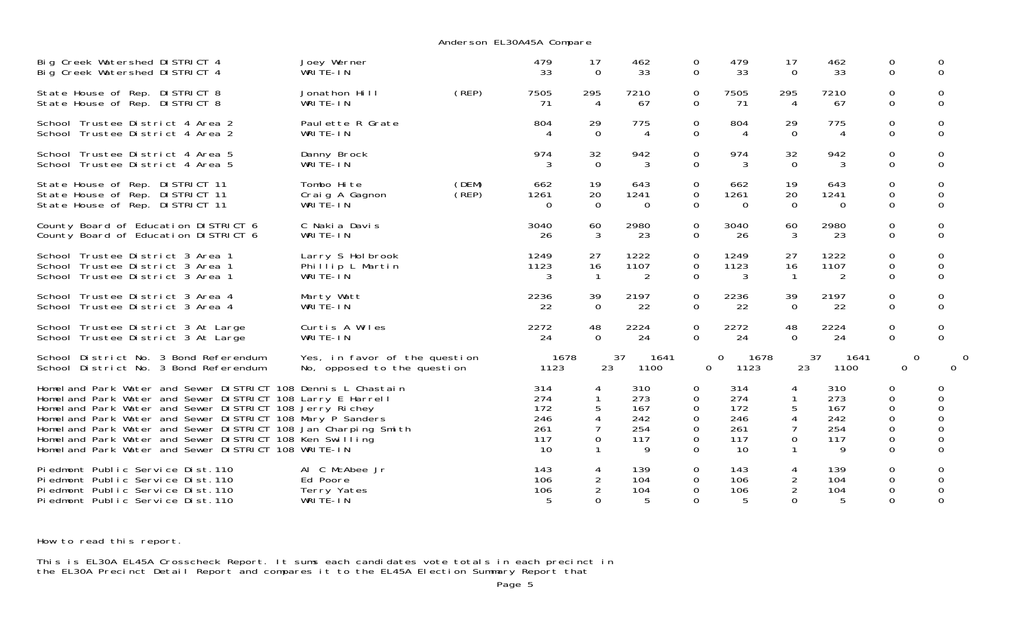| Big Creek Watershed DISTRICT 4                                                                                                                                                                                                                                                                                                                                                                                                               | Joey Werner                                                  |                | 479                                          | 17                                      | 462                                         | 0                                             | 479                                          | 17                                   | 462                                         | 0                                                                           | 0                                                    |
|----------------------------------------------------------------------------------------------------------------------------------------------------------------------------------------------------------------------------------------------------------------------------------------------------------------------------------------------------------------------------------------------------------------------------------------------|--------------------------------------------------------------|----------------|----------------------------------------------|-----------------------------------------|---------------------------------------------|-----------------------------------------------|----------------------------------------------|--------------------------------------|---------------------------------------------|-----------------------------------------------------------------------------|------------------------------------------------------|
| Big Creek Watershed DISTRICT 4                                                                                                                                                                                                                                                                                                                                                                                                               | WRITE-IN                                                     |                | 33                                           | $\Omega$                                | 33                                          | $\Omega$                                      | 33                                           | $\Omega$                             | 33                                          | $\Omega$                                                                    | $\Omega$                                             |
| State House of Rep. DISTRICT 8                                                                                                                                                                                                                                                                                                                                                                                                               | Jonathon Hill                                                | (REP)          | 7505                                         | 295                                     | 7210                                        | 0                                             | 7505                                         | 295                                  | 7210                                        | 0                                                                           | 0                                                    |
| State House of Rep. DISTRICT 8                                                                                                                                                                                                                                                                                                                                                                                                               | WRITE-IN                                                     |                | -71                                          | 4                                       | 67                                          | 0                                             | 71                                           | 4                                    | 67                                          | $\Omega$                                                                    | $\Omega$                                             |
| School Trustee District 4 Area 2                                                                                                                                                                                                                                                                                                                                                                                                             | Paul ette R Grate                                            |                | 804                                          | 29                                      | 775                                         | 0                                             | 804                                          | 29                                   | 775                                         | $\mathbf 0$                                                                 | $\Omega$                                             |
| School Trustee District 4 Area 2                                                                                                                                                                                                                                                                                                                                                                                                             | WRITE-IN                                                     |                | 4                                            | $\Omega$                                | 4                                           | $\Omega$                                      | 4                                            | $\Omega$                             | $\overline{4}$                              | $\Omega$                                                                    | $\Omega$                                             |
| School Trustee District 4 Area 5                                                                                                                                                                                                                                                                                                                                                                                                             | Danny Brock                                                  |                | 974                                          | 32                                      | 942                                         | 0                                             | 974                                          | 32                                   | 942                                         | 0                                                                           | 0                                                    |
| School Trustee District 4 Area 5                                                                                                                                                                                                                                                                                                                                                                                                             | WRITE-IN                                                     |                | 3                                            | $\Omega$                                | 3                                           | $\Omega$                                      | 3                                            | $\Omega$                             | 3                                           | $\Omega$                                                                    | $\Omega$                                             |
| State House of Rep. DISTRICT 11<br>State House of Rep. DISTRICT 11<br>State House of Rep. DISTRICT 11                                                                                                                                                                                                                                                                                                                                        | Tombo Hite<br>Craig A Gagnon<br>WRITE-IN                     | (DEM)<br>(REP) | 662<br>1261<br>$\Omega$                      | 19<br>20<br>$\Omega$                    | 643<br>1241<br>$\Omega$                     | 0<br>$\Omega$<br>$\Omega$                     | 662<br>1261<br>$\Omega$                      | 19<br>20<br>$\Omega$                 | 643<br>1241<br>$\Omega$                     | 0<br>0<br>$\overline{0}$                                                    | $\Omega$<br>$\Omega$<br>$\Omega$                     |
| County Board of Education DISTRICT 6                                                                                                                                                                                                                                                                                                                                                                                                         | C Nakia Davis                                                |                | 3040                                         | 60                                      | 2980                                        | 0                                             | 3040                                         | 60                                   | 2980                                        | 0                                                                           | 0                                                    |
| County Board of Education DISTRICT 6                                                                                                                                                                                                                                                                                                                                                                                                         | WRITE-IN                                                     |                | 26                                           | 3                                       | 23                                          | 0                                             | 26                                           | 3                                    | 23                                          | 0                                                                           | 0                                                    |
| School Trustee District 3 Area 1<br>School Trustee District 3 Area 1<br>School Trustee District 3 Area 1                                                                                                                                                                                                                                                                                                                                     | Larry S Hol brook<br>Phillip L Martin<br>WRITE-IN            |                | 1249<br>1123<br>3                            | 27<br>16                                | 1222<br>1107<br>2                           | 0<br>0<br>0                                   | 1249<br>1123<br>3                            | 27<br>16                             | 1222<br>1107<br>2                           | $\Omega$<br>$\mathbf 0$<br>$\Omega$                                         | 0<br>0<br>$\Omega$                                   |
| School Trustee District 3 Area 4                                                                                                                                                                                                                                                                                                                                                                                                             | Marty Watt                                                   |                | 2236                                         | 39                                      | 2197                                        | 0                                             | 2236                                         | 39                                   | 2197                                        | 0                                                                           | 0                                                    |
| School Trustee District 3 Area 4                                                                                                                                                                                                                                                                                                                                                                                                             | WRITE-IN                                                     |                | 22                                           | $\Omega$                                | 22                                          | 0                                             | 22                                           | $\Omega$                             | 22                                          | $\Omega$                                                                    | $\Omega$                                             |
| School Trustee District 3 At Large                                                                                                                                                                                                                                                                                                                                                                                                           | Curtis A Wiles                                               |                | 2272                                         | 48                                      | 2224                                        | 0                                             | 2272                                         | 48                                   | 2224                                        | $\mathbf 0$                                                                 | 0                                                    |
| School Trustee District 3 At Large                                                                                                                                                                                                                                                                                                                                                                                                           | WRITE-IN                                                     |                | 24                                           | $\Omega$                                | 24                                          | $\Omega$                                      | 24                                           | $\Omega$                             | 24                                          | $\mathbf 0$                                                                 | $\Omega$                                             |
| School District No. 3 Bond Referendum<br>School District No. 3 Bond Referendum                                                                                                                                                                                                                                                                                                                                                               | Yes, in favor of the question<br>No, opposed to the question |                | 1678<br>1123                                 | 23                                      | 37<br>1641<br>1100                          | 0                                             | 1678<br>0<br>1123                            | 23                                   | 37<br>1641<br>1100                          | $\overline{0}$<br>$\mathbf 0$                                               | $\Omega$                                             |
| Homel and Park Water and Sewer DISTRICT 108 Dennis L Chastain<br>Homel and Park Water and Sewer DISTRICT 108 Larry E Harrell<br>Homel and Park Water and Sewer DISTRICT 108 Jerry Richey<br>Homel and Park Water and Sewer DISTRICT 108 Mary P Sanders<br>Homel and Park Water and Sewer DISTRICT 108 Jan Charping Smith<br>Homel and Park Water and Sewer DISTRICT 108 Ken Swilling<br>Homel and Park Water and Sewer DISTRICT 108 WRITE-IN |                                                              |                | 314<br>274<br>172<br>246<br>261<br>117<br>10 | 4<br>$\mathbf{1}$<br>5<br>7<br>$\Omega$ | 310<br>273<br>167<br>242<br>254<br>117<br>9 | 0<br>0<br>0<br>0<br>0<br>$\Omega$<br>$\Omega$ | 314<br>274<br>172<br>246<br>261<br>117<br>10 | 5<br>4<br>$\overline{7}$<br>$\Omega$ | 310<br>273<br>167<br>242<br>254<br>117<br>9 | 0<br>0<br>$\Omega$<br>$\mathbf 0$<br>$\mathbf 0$<br>$\Omega$<br>$\mathbf 0$ | 0<br>0<br>$\Omega$<br>0<br>0<br>$\Omega$<br>$\Omega$ |
| Piedmont Public Service Dist. 110<br>Piedmont Public Service Dist. 110<br>Piedmont Public Service Dist. 110<br>Piedmont Public Service Dist.110                                                                                                                                                                                                                                                                                              | Al C McAbee Jr<br>Ed Poore<br>Terry Yates<br>WRITE-IN        |                | 143<br>106<br>106<br>.5                      | 4<br>$\overline{2}$<br>$\Omega$         | 139<br>104<br>104<br>5                      | 0<br>0<br>0<br>0                              | 143<br>106<br>106<br>5                       | 4<br>$\overline{2}$<br>$\Omega$      | 139<br>104<br>104<br>5                      | 0<br>0<br>0<br>$\Omega$                                                     | 0<br>0<br>$\Omega$                                   |

Anderson EL30A45A Compare

How to read this report.

This is EL30A EL45A Crosscheck Report. It sums each candidates vote totals in each precinct in the EL30A Precinct Detail Report and compares it to the EL45A Election Summary Report that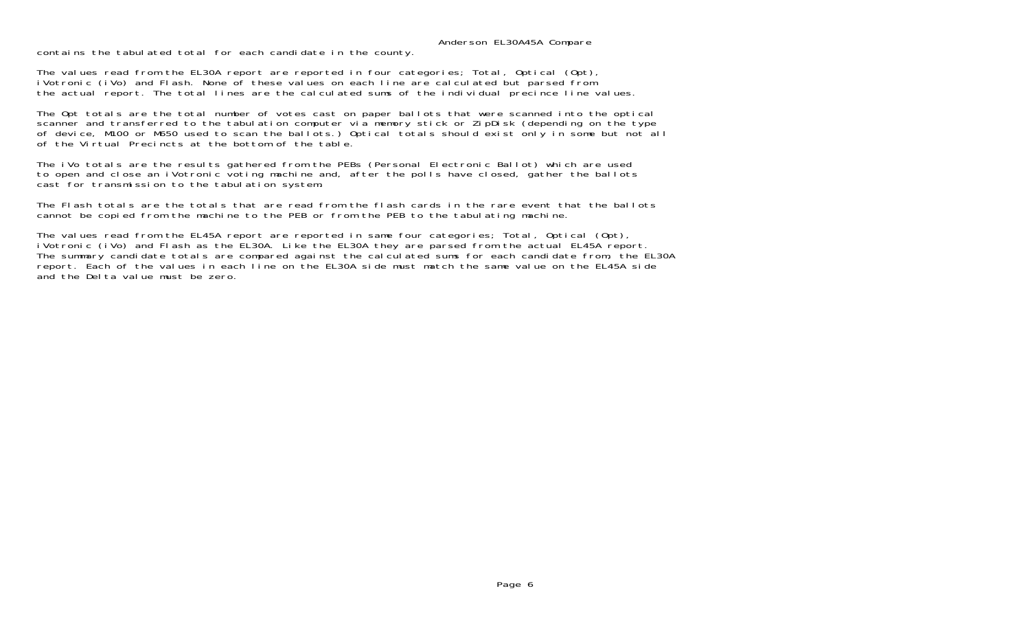Anderson EL30A45A Compare

contains the tabulated total for each candidate in the county.

The values read from the EL30A report are reported in four categories; Total, Optical (Opt), iVotronic (iVo) and Flash. None of these values on each line are calculated but parsed from the actual report. The total lines are the calculated sums of the individual precince line values.

The Opt totals are the total number of votes cast on paper ballots that were scanned into the optical scanner and transferred to the tabulation computer via memory stick or ZipDisk (depending on the type of device, M100 or M650 used to scan the ballots.) Optical totals should exist only in some but not all of the Virtual Precincts at the bottom of the table.

The iVo totals are the results gathered from the PEBs (Personal Electronic Ballot) which are used to open and close an iVotronic voting machine and, after the polls have closed, gather the ballots cast for transmission to the tabulation system.

The Flash totals are the totals that are read from the flash cards in the rare event that the ballots cannot be copied from the machine to the PEB or from the PEB to the tabulating machine.

The values read from the EL45A report are reported in same four categories; Total, Optical (Opt), iVotronic (iVo) and Flash as the EL30A. Like the EL30A they are parsed from the actual EL45A report. The summary candidate totals are compared against the calculated sums for each candidate from, the EL30A report. Each of the values in each line on the EL30A side must match the same value on the EL45A side and the Delta value must be zero.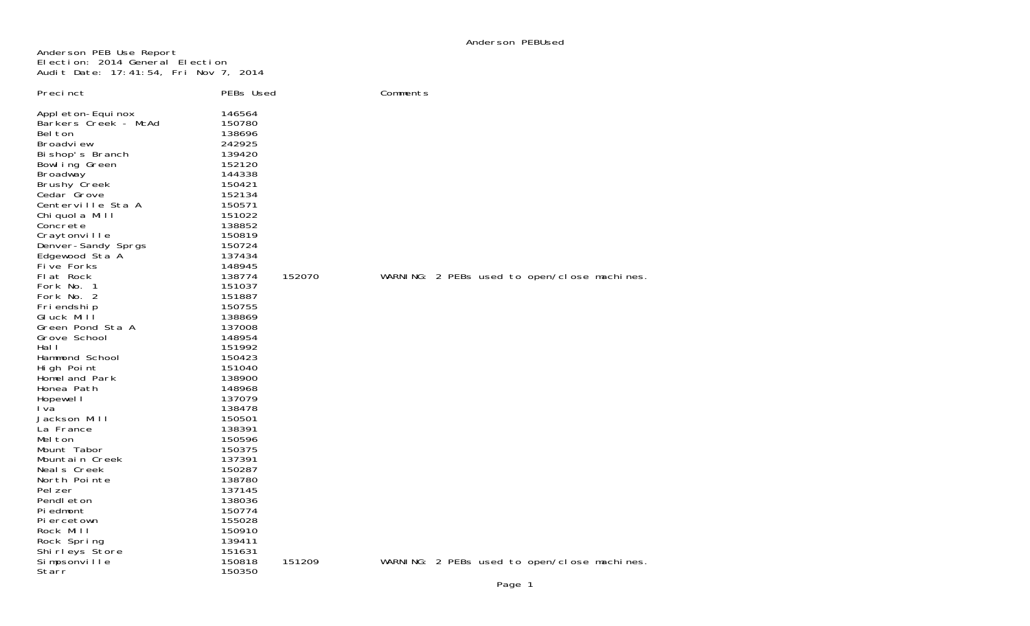Anderson PEB Use Report Election: 2014 General Election Audit Date: 17:41:54, Fri Nov 7, 2014

| Preci nct<br>Appl eton-Equi nox<br>Barkers Creek - McAd<br>Bel ton<br>Broadview<br>Bi shop's Branch<br>Bowl ing Green<br>Broadway<br><b>Brushy Creek</b><br>Cedar <sup>T</sup> Grove<br>Centerville Sta A<br>Chi quol a Mill<br>Concrete<br>Craytonville<br>Denver-Sandy Sprgs<br>Edgewood Sta A<br>Five Forks<br>Flat Rock<br>Fork No. 1<br>Fork No. 2<br>Fri endshi p<br>Gluck Mill<br>Green Pond Sta A<br>Grove School<br>Hal I<br>Hammond School<br>High Point<br>Homeland Park<br>Honea Path<br>Hopewel I<br>I va<br>Jackson Mill | PEBs Used<br>146564<br>150780<br>138696<br>242925<br>139420<br>152120<br>144338<br>150421<br>152134<br>150571<br>151022<br>138852<br>150819<br>150724<br>137434<br>148945<br>138774<br>151037<br>151887<br>150755<br>138869<br>137008<br>148954<br>151992<br>150423<br>151040<br>138900<br>148968<br>137079<br>138478<br>150501 | 152070 | Comments | WARNING: 2 PEBs used to open/close machines. |  |  |
|----------------------------------------------------------------------------------------------------------------------------------------------------------------------------------------------------------------------------------------------------------------------------------------------------------------------------------------------------------------------------------------------------------------------------------------------------------------------------------------------------------------------------------------|---------------------------------------------------------------------------------------------------------------------------------------------------------------------------------------------------------------------------------------------------------------------------------------------------------------------------------|--------|----------|----------------------------------------------|--|--|
|                                                                                                                                                                                                                                                                                                                                                                                                                                                                                                                                        |                                                                                                                                                                                                                                                                                                                                 |        |          |                                              |  |  |
| La France                                                                                                                                                                                                                                                                                                                                                                                                                                                                                                                              | 138391                                                                                                                                                                                                                                                                                                                          |        |          |                                              |  |  |
| Mel ton                                                                                                                                                                                                                                                                                                                                                                                                                                                                                                                                | 150596                                                                                                                                                                                                                                                                                                                          |        |          |                                              |  |  |
| Mount Tabor                                                                                                                                                                                                                                                                                                                                                                                                                                                                                                                            | 150375                                                                                                                                                                                                                                                                                                                          |        |          |                                              |  |  |
| Mountain Creek                                                                                                                                                                                                                                                                                                                                                                                                                                                                                                                         | 137391                                                                                                                                                                                                                                                                                                                          |        |          |                                              |  |  |
| Neals Creek                                                                                                                                                                                                                                                                                                                                                                                                                                                                                                                            | 150287                                                                                                                                                                                                                                                                                                                          |        |          |                                              |  |  |
| North Pointe                                                                                                                                                                                                                                                                                                                                                                                                                                                                                                                           | 138780                                                                                                                                                                                                                                                                                                                          |        |          |                                              |  |  |
| Pel zer                                                                                                                                                                                                                                                                                                                                                                                                                                                                                                                                | 137145                                                                                                                                                                                                                                                                                                                          |        |          |                                              |  |  |
| Pendl eton                                                                                                                                                                                                                                                                                                                                                                                                                                                                                                                             | 138036                                                                                                                                                                                                                                                                                                                          |        |          |                                              |  |  |
| Pi edmont                                                                                                                                                                                                                                                                                                                                                                                                                                                                                                                              | 150774                                                                                                                                                                                                                                                                                                                          |        |          |                                              |  |  |
| Pi ercetown                                                                                                                                                                                                                                                                                                                                                                                                                                                                                                                            | 155028                                                                                                                                                                                                                                                                                                                          |        |          |                                              |  |  |
| Rock Mill                                                                                                                                                                                                                                                                                                                                                                                                                                                                                                                              | 150910                                                                                                                                                                                                                                                                                                                          |        |          |                                              |  |  |
| Rock Spring                                                                                                                                                                                                                                                                                                                                                                                                                                                                                                                            | 139411                                                                                                                                                                                                                                                                                                                          |        |          |                                              |  |  |
| Shirleys Store                                                                                                                                                                                                                                                                                                                                                                                                                                                                                                                         | 151631                                                                                                                                                                                                                                                                                                                          |        |          |                                              |  |  |
| Simpsonville<br>Starr                                                                                                                                                                                                                                                                                                                                                                                                                                                                                                                  | 150818<br>150350                                                                                                                                                                                                                                                                                                                | 151209 |          | WARNING: 2 PEBs used to open/close machines. |  |  |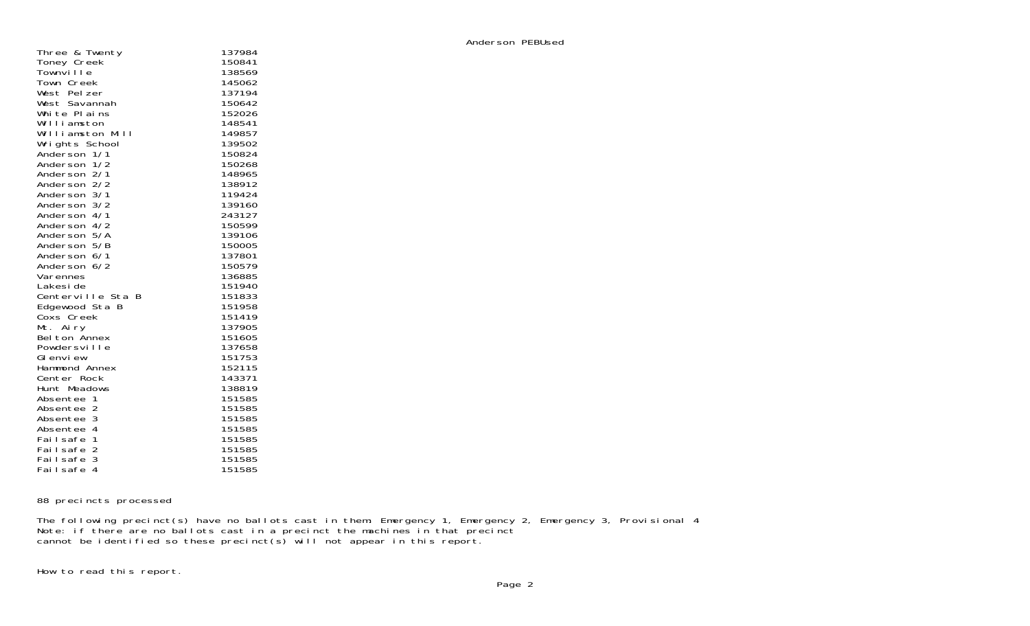| Three & Twenty                | 137984 |
|-------------------------------|--------|
| Toney Creek                   | 150841 |
| Townville                     | 138569 |
| Town Creek                    | 145062 |
| West Pelzer                   | 137194 |
|                               | 150642 |
| West Savannah<br>White Plains | 152026 |
|                               |        |
| Williamston                   | 148541 |
| Williamston Mill              | 149857 |
| Wrights School                | 139502 |
| Anderson 1/1<br>Anderson 1/2  | 150824 |
|                               | 150268 |
| Anderson 2/1                  | 148965 |
| Anderson 2/2                  | 138912 |
| Anderson 3/1                  | 119424 |
| Anderson 3/2                  | 139160 |
| Anderson 4/1                  | 243127 |
| Anderson 4/2                  | 150599 |
| Anderson 5/A                  | 139106 |
| Anderson 5/B                  | 150005 |
| Anderson 6/1                  | 137801 |
| Anderson 6/2                  | 150579 |
| Varennes                      | 136885 |
| Lakesi de                     | 151940 |
| Centerville Sta B             | 151833 |
| Edgewood Sta B                | 151958 |
| Coxs Creek                    | 151419 |
| Mt. Airy                      | 137905 |
| Bel ton Annex                 | 151605 |
| Powdersville                  | 137658 |
| GI envi ew                    | 151753 |
| Hammond Annex                 | 152115 |
|                               |        |
| Center Rock                   | 143371 |
| Hunt Meadows                  | 138819 |
| Absentee 1                    | 151585 |
| Absentee 2                    | 151585 |
| Absentee 3                    | 151585 |
| Absentee 4                    | 151585 |
| Failsafe 1                    | 151585 |
| $\overline{2}$<br>Fai I safe  | 151585 |
| 3<br>Fai I safe               | 151585 |
| $\overline{A}$<br>Fai I safe  | 151585 |

88 precincts processed

The following precinct(s) have no ballots cast in them: Emergency 1, Emergency 2, Emergency 3, Provisional 4 Note: if there are no ballots cast in a precinct the machines in that precinct cannot be identified so these precinct(s) will not appear in this report.

How to read this report.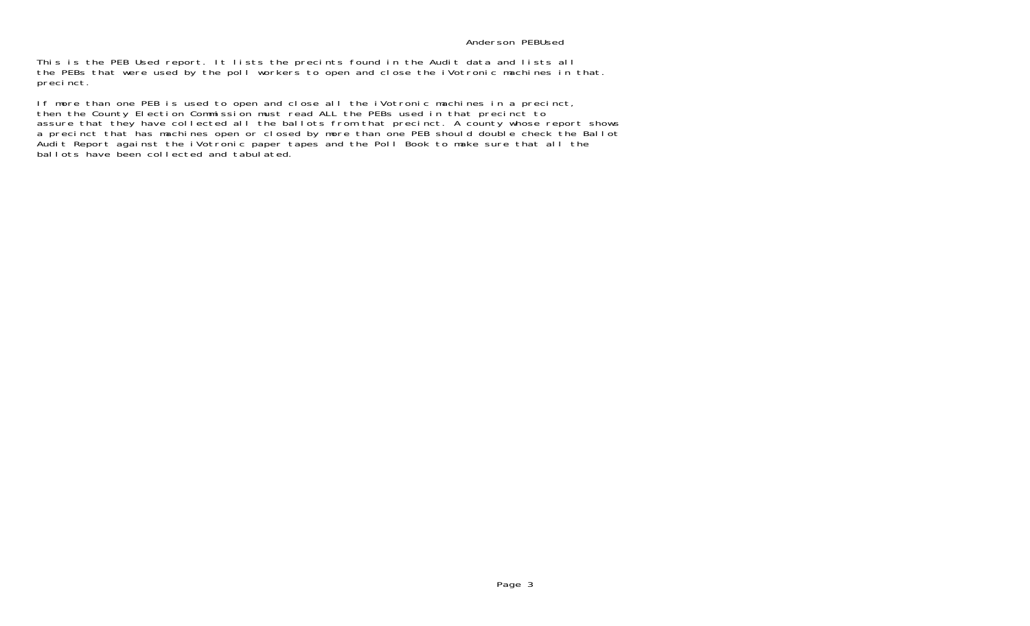## Anderson PEBUsed

This is the PEB Used report. It lists the precints found in the Audit data and lists all the PEBs that were used by the poll workers to open and close the iVotronic machines in that. precinct.

If more than one PEB is used to open and close all the iVotronic machines in a precinct, then the County Election Commission must read ALL the PEBs used in that precinct to assure that they have collected all the ballots from that precinct. A county whose report shows a precinct that has machines open or closed by more than one PEB should double check the Ballot Audit Report against the iVotronic paper tapes and the Poll Book to make sure that all the ballots have been collected and tabulated.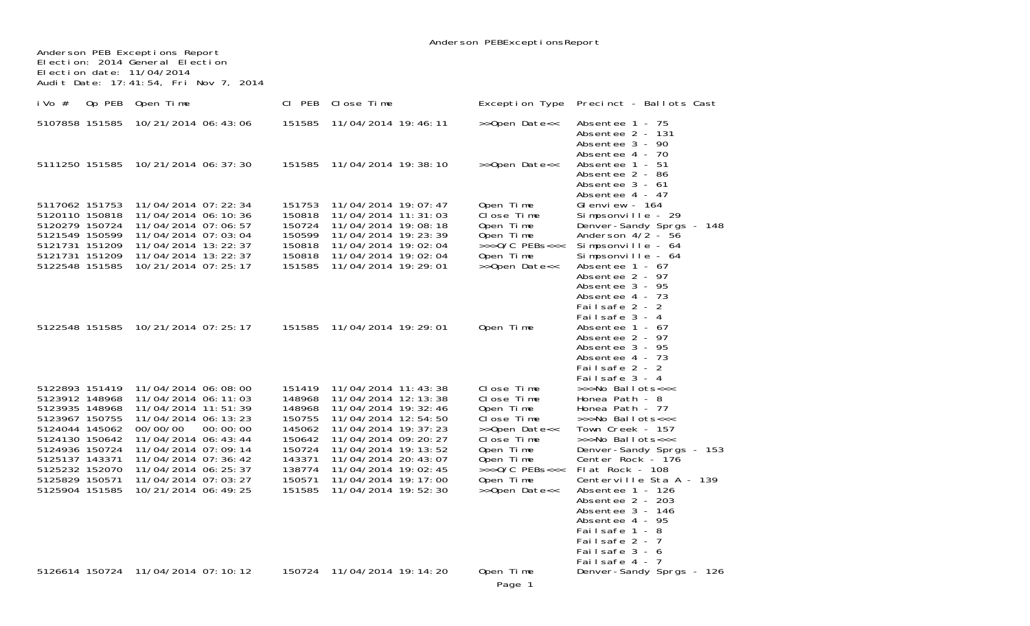|                                                                                                                                                                                                    |                                                                                                                                                                                                                                                                      |                                                                                                            |                                                                                                                                                                                                                                                                           | Anderson PEBExceptionsReport                                                                                                                                  |                                                                                                                                                                                                                                                                                                                                                                           |
|----------------------------------------------------------------------------------------------------------------------------------------------------------------------------------------------------|----------------------------------------------------------------------------------------------------------------------------------------------------------------------------------------------------------------------------------------------------------------------|------------------------------------------------------------------------------------------------------------|---------------------------------------------------------------------------------------------------------------------------------------------------------------------------------------------------------------------------------------------------------------------------|---------------------------------------------------------------------------------------------------------------------------------------------------------------|---------------------------------------------------------------------------------------------------------------------------------------------------------------------------------------------------------------------------------------------------------------------------------------------------------------------------------------------------------------------------|
| Anderson PEB Exceptions Report<br>Election date: 11/04/2014                                                                                                                                        | Election: 2014 General Election<br>Audit Date: 17:41:54, Fri Nov 7, 2014                                                                                                                                                                                             |                                                                                                            |                                                                                                                                                                                                                                                                           |                                                                                                                                                               |                                                                                                                                                                                                                                                                                                                                                                           |
| i Vo#                                                                                                                                                                                              | Op PEB Open Time                                                                                                                                                                                                                                                     | CI PEB                                                                                                     | Close Time                                                                                                                                                                                                                                                                | Exception Type                                                                                                                                                | Precinct - Ballots Cast                                                                                                                                                                                                                                                                                                                                                   |
| 5107858 151585                                                                                                                                                                                     | 10/21/2014 06:43:06                                                                                                                                                                                                                                                  | 151585                                                                                                     | 11/04/2014 19:46:11                                                                                                                                                                                                                                                       | >>Open Date<<                                                                                                                                                 | Absentee 1 - 75<br>Absentee 2 - 131<br>Absentee 3 - 90<br>Absentee 4 - 70                                                                                                                                                                                                                                                                                                 |
|                                                                                                                                                                                                    | 5111250 151585 10/21/2014 06:37:30                                                                                                                                                                                                                                   | 151585                                                                                                     | 11/04/2014 19: 38: 10                                                                                                                                                                                                                                                     | >>Open Date<<                                                                                                                                                 | Absentee 1 - 51<br>Absentee 2 - 86<br>Absentee 3 - 61<br>Absentee 4 - 47                                                                                                                                                                                                                                                                                                  |
| 5117062 151753<br>5120110 150818<br>5120279 150724<br>5121549 150599<br>5121731 151209<br>5121731 151209<br>5122548 151585                                                                         | 11/04/2014 07: 22: 34<br>11/04/2014 06: 10: 36<br>11/04/2014 07:06:57<br>11/04/2014 07:03:04<br>11/04/2014 13: 22: 37<br>11/04/2014 13: 22: 37<br>10/21/2014 07: 25: 17                                                                                              | 151753<br>150818<br>150724<br>150599<br>150818<br>150818<br>151585                                         | 11/04/2014 19: 07: 47<br>11/04/2014 11: 31: 03<br>11/04/2014 19:08:18<br>11/04/2014 19: 23: 39<br>11/04/2014 19:02:04<br>11/04/2014 19:02:04<br>11/04/2014 19: 29: 01                                                                                                     | Open Time<br>Close Time<br>Open Time<br>Open Time<br>$>>$ >O/C PEBs<<<<br>Open Time<br>>>Open Date<<                                                          | Glenview - $164$<br>Simpsonville - 29<br>Denver-Sandy Sprgs - 148<br>Anderson $4/2$ - 56<br>Simpsonville - 64<br>Simpsonville - 64<br>Absentee $1 - 67$<br>Absentee 2 - 97<br>Absentee 3 - 95<br>Absentee 4 - 73<br>Failsafe 2 - 2<br>Failsafe 3 - 4                                                                                                                      |
|                                                                                                                                                                                                    | 5122548 151585 10/21/2014 07:25:17                                                                                                                                                                                                                                   | 151585                                                                                                     | 11/04/2014 19: 29: 01                                                                                                                                                                                                                                                     | Open Time                                                                                                                                                     | Absentee $1 - 67$<br>Absentee 2 - 97<br>Absentee 3 - 95<br>Absentee 4 - 73<br>Failsafe 2 - 2<br>Failsafe 3 - 4                                                                                                                                                                                                                                                            |
| 5122893 151419<br>5123912 148968<br>5123935 148968<br>5123967 150755<br>5124044 145062<br>5124130 150642<br>5124936 150724<br>5125137 143371<br>5125232 152070<br>5125829 150571<br>5125904 151585 | 11/04/2014 06:08:00<br>11/04/2014 06: 11: 03<br>11/04/2014 11:51:39<br>11/04/2014 06: 13: 23<br>00/00/00<br>00:00:00<br>11/04/2014 06: 43: 44<br>11/04/2014 07:09:14<br>11/04/2014 07:36:42<br>11/04/2014 06: 25: 37<br>11/04/2014 07:03:27<br>10/21/2014 06: 49: 25 | 151419<br>148968<br>148968<br>150755<br>145062<br>150642<br>150724<br>143371<br>138774<br>150571<br>151585 | 11/04/2014 11: 43: 38<br>11/04/2014 12: 13: 38<br>11/04/2014 19: 32: 46<br>11/04/2014 12:54:50<br>11/04/2014 19: 37: 23<br>11/04/2014 09: 20: 27<br>11/04/2014 19: 13: 52<br>11/04/2014 20: 43: 07<br>11/04/2014 19:02:45<br>11/04/2014 19: 17: 00<br>11/04/2014 19:52:30 | Close Time<br>Close Time<br>Open Time<br>Close Time<br>>>Open Date<<<br>Close Time<br>Open Time<br>Open Time<br>$>>0/C$ PEBs<<<<br>Open Time<br>>>Open Date<< | >>>No Ballots<<<<br>Honea Path - 8<br>Honea Path - 77<br>>>>No Ballots<<<<br>Town Creek - 157<br>>>>No Ballots<<<<br>Denver-Sandy Sprgs - 153<br>Center Rock - 176<br>Flat Rock - 108<br>Centerville Sta A - 139<br>Absentee 1 - 126<br>Absentee 2 - 203<br>Absentee 3 - 146<br>Absentee 4 - 95<br>Failsafe 1 - 8<br>Failsafe 2 - 7<br>Failsafe 3 - 6<br>Failsafe $4 - 7$ |
|                                                                                                                                                                                                    | 5126614 150724 11/04/2014 07:10:12                                                                                                                                                                                                                                   | 150724                                                                                                     | 11/04/2014 19: 14: 20                                                                                                                                                                                                                                                     | Open Time<br>Page 1                                                                                                                                           | Denver-Sandy Sprgs - 126                                                                                                                                                                                                                                                                                                                                                  |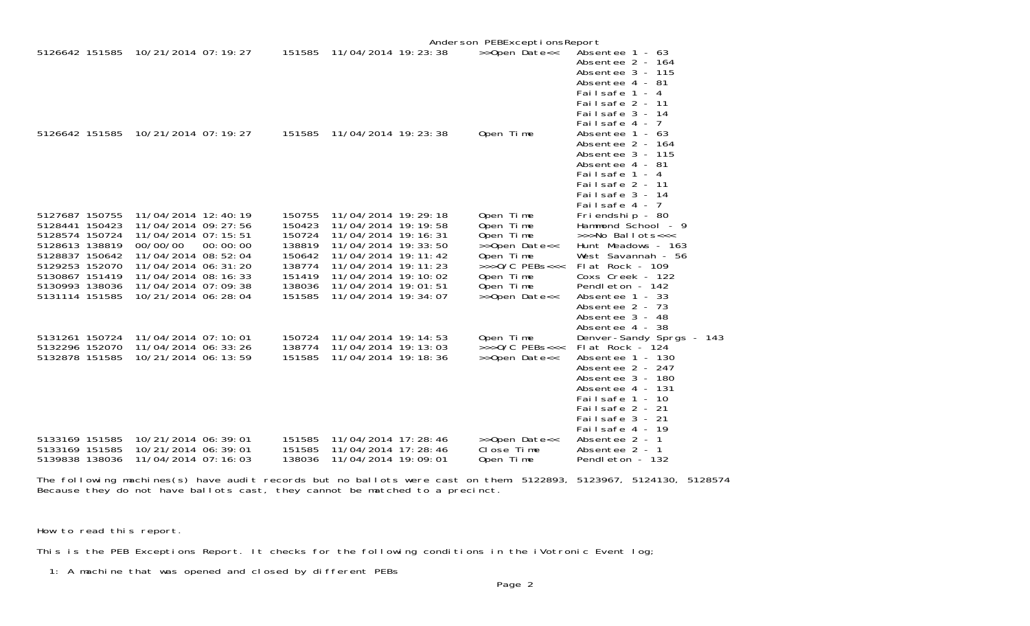|                                  |                                              |          |                  |                                                | Anderson PEBExceptionsReport |                                                                                                                                                        |
|----------------------------------|----------------------------------------------|----------|------------------|------------------------------------------------|------------------------------|--------------------------------------------------------------------------------------------------------------------------------------------------------|
| 5126642 151585                   | 10/21/2014 07: 19: 27                        |          | 151585           | 11/04/2014 19: 23: 38                          | >>Open Date<<                | Absentee 1 - 63<br>Absentee 2 - 164<br>Absentee $3 - 115$<br>Absentee 4 - 81<br>Failsafe 1 - 4<br>Failsafe 2 - 11<br>Failsafe 3 - 14<br>Failsafe 4 - 7 |
| 5126642 151585                   | 10/21/2014 07: 19: 27                        |          | 151585           | 11/04/2014 19: 23: 38                          | Open Time                    | Absentee $1 - 63$<br>Absentee 2 - 164<br>Absentee 3 - 115<br>Absentee 4 - 81<br>Failsafe 1 - 4<br>Failsafe 2 - 11<br>Failsafe 3 - 14<br>Failsafe 4 - 7 |
| 5127687 150755                   | 11/04/2014 12:40:19                          |          | 150755           | 11/04/2014 19: 29: 18                          | Open Time                    | Friendship - 80                                                                                                                                        |
| 5128441 150423                   | 11/04/2014 09: 27: 56                        |          | 150423           | 11/04/2014 19: 19: 58                          | Open Time                    | Hammond School - 9                                                                                                                                     |
| 5128574 150724                   | 11/04/2014 07: 15: 51                        |          | 150724           | 11/04/2014 19: 16: 31                          | Open Time                    | >>>No Ballots<<<                                                                                                                                       |
| 5128613 138819                   | 00/00/00                                     | 00:00:00 | 138819           | 11/04/2014 19: 33: 50                          | >>Open Date<<                | Hunt Meadows - 163                                                                                                                                     |
| 5128837 150642<br>5129253 152070 | 11/04/2014 08:52:04                          |          | 150642<br>138774 | 11/04/2014 19: 11: 42<br>11/04/2014 19: 11: 23 | Open Time<br>$>>0/C$ PEBs<<< | West Savannah - 56                                                                                                                                     |
| 5130867 151419                   | 11/04/2014 06: 31: 20<br>11/04/2014 08:16:33 |          | 151419           | 11/04/2014 19: 10: 02                          | Open Time                    | Flat Rock - 109<br>Coxs Creek - 122                                                                                                                    |
| 5130993 138036                   | 11/04/2014 07:09:38                          |          | 138036           | 11/04/2014 19:01:51                            | Open Time                    | Pendleton - 142                                                                                                                                        |
| 5131114 151585                   | 10/21/2014 06: 28: 04                        |          | 151585           | 11/04/2014 19: 34: 07                          | >>Open Date<<                | Absentee 1 - 33                                                                                                                                        |
|                                  |                                              |          |                  |                                                |                              | Absentee 2 - 73                                                                                                                                        |
|                                  |                                              |          |                  |                                                |                              | Absentee 3 - 48                                                                                                                                        |
|                                  |                                              |          |                  |                                                |                              | Absentee 4 - 38                                                                                                                                        |
| 5131261 150724                   | 11/04/2014 07:10:01                          |          | 150724           | 11/04/2014 19: 14: 53                          | Open Time                    | Denver-Sandy Sprgs - 143                                                                                                                               |
| 5132296 152070                   | 11/04/2014 06: 33: 26                        |          | 138774           | 11/04/2014 19: 13: 03                          | $>>$ $0/C$ PEBs<<<           | Flat Rock - 124                                                                                                                                        |
| 5132878 151585                   | 10/21/2014 06: 13: 59                        |          | 151585           | 11/04/2014 19: 18: 36                          | >>Open Date<<                | Absentee 1 - 130                                                                                                                                       |
|                                  |                                              |          |                  |                                                |                              | Absentee 2 - 247                                                                                                                                       |
|                                  |                                              |          |                  |                                                |                              | Absentee 3 - 180                                                                                                                                       |
|                                  |                                              |          |                  |                                                |                              | Absentee 4 - 131<br>Failsafe 1 - 10                                                                                                                    |
|                                  |                                              |          |                  |                                                |                              | Failsafe 2 - 21                                                                                                                                        |
|                                  |                                              |          |                  |                                                |                              | Failsafe 3 - 21                                                                                                                                        |
|                                  |                                              |          |                  |                                                |                              | Failsafe 4 - 19                                                                                                                                        |
| 5133169 151585                   | 10/21/2014 06:39:01                          |          | 151585           | 11/04/2014 17: 28: 46                          | >>Open Date<<                | Absentee 2 - 1                                                                                                                                         |
| 5133169 151585                   | 10/21/2014 06: 39: 01                        |          | 151585           | 11/04/2014 17: 28: 46                          | Close Time                   | Absentee 2 - 1                                                                                                                                         |
| 5139838 138036                   | 11/04/2014 07:16:03                          |          | 138036           | 11/04/2014 19:09:01                            | Open Time                    | Pendleton - 132                                                                                                                                        |
|                                  |                                              |          |                  |                                                |                              |                                                                                                                                                        |

The following machines(s) have audit records but no ballots were cast on them: 5122893, 5123967, 5124130, 5128574 Because they do not have ballots cast, they cannot be matched to a precinct.

How to read this report.

This is the PEB Exceptions Report. It checks for the following conditions in the iVotronic Event log;

1: A machine that was opened and closed by different PEBs